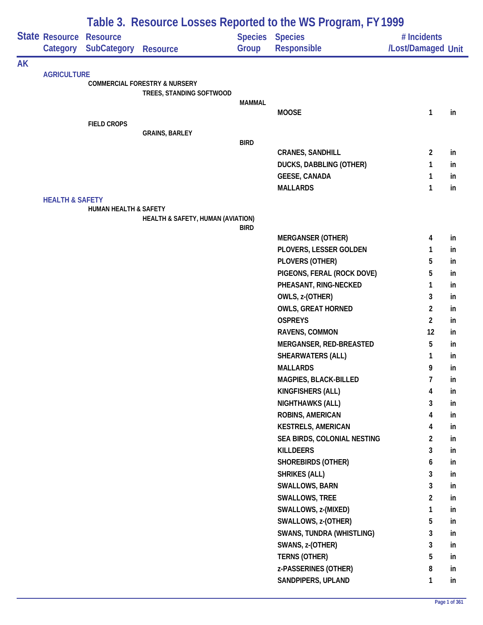|           |                            | Table 3. Resource Losses Reported to the WS Program, FY 1999 |                                          |                |                                         |                         |          |  |  |  |
|-----------|----------------------------|--------------------------------------------------------------|------------------------------------------|----------------|-----------------------------------------|-------------------------|----------|--|--|--|
|           | State Resource             | <b>Resource</b>                                              |                                          | <b>Species</b> | <b>Species</b>                          | # Incidents             |          |  |  |  |
|           | Category                   | <b>SubCategory</b>                                           | <b>Resource</b>                          | Group          | Responsible                             | /Lost/Damaged Unit      |          |  |  |  |
| <b>AK</b> |                            |                                                              |                                          |                |                                         |                         |          |  |  |  |
|           | <b>AGRICULTURE</b>         |                                                              | <b>COMMERCIAL FORESTRY &amp; NURSERY</b> |                |                                         |                         |          |  |  |  |
|           |                            |                                                              | TREES, STANDING SOFTWOOD                 |                |                                         |                         |          |  |  |  |
|           |                            |                                                              |                                          | <b>MAMMAL</b>  | <b>MOOSE</b>                            | 1                       | in       |  |  |  |
|           |                            | <b>FIELD CROPS</b>                                           |                                          |                |                                         |                         |          |  |  |  |
|           |                            |                                                              | <b>GRAINS, BARLEY</b>                    |                |                                         |                         |          |  |  |  |
|           |                            |                                                              |                                          | <b>BIRD</b>    |                                         |                         |          |  |  |  |
|           |                            |                                                              |                                          |                | <b>CRANES, SANDHILL</b>                 | $\overline{2}$          | in       |  |  |  |
|           |                            |                                                              |                                          |                | <b>DUCKS, DABBLING (OTHER)</b>          | 1                       | in       |  |  |  |
|           |                            |                                                              |                                          |                | <b>GEESE, CANADA</b><br><b>MALLARDS</b> | 1                       | in       |  |  |  |
|           | <b>HEALTH &amp; SAFETY</b> |                                                              |                                          |                |                                         | 1                       | in       |  |  |  |
|           |                            | HUMAN HEALTH & SAFETY                                        |                                          |                |                                         |                         |          |  |  |  |
|           |                            |                                                              | HEALTH & SAFETY, HUMAN (AVIATION)        |                |                                         |                         |          |  |  |  |
|           |                            |                                                              |                                          | <b>BIRD</b>    | <b>MERGANSER (OTHER)</b>                | 4                       | in       |  |  |  |
|           |                            |                                                              |                                          |                | PLOVERS, LESSER GOLDEN                  | 1                       | in       |  |  |  |
|           |                            |                                                              |                                          |                | PLOVERS (OTHER)                         | 5                       | in       |  |  |  |
|           |                            |                                                              |                                          |                | PIGEONS, FERAL (ROCK DOVE)              | 5                       | in       |  |  |  |
|           |                            |                                                              |                                          |                | PHEASANT, RING-NECKED                   | 1                       | in       |  |  |  |
|           |                            |                                                              |                                          |                | OWLS, z-(OTHER)                         | 3                       | in       |  |  |  |
|           |                            |                                                              |                                          |                | <b>OWLS, GREAT HORNED</b>               | $\overline{2}$          | in       |  |  |  |
|           |                            |                                                              |                                          |                | <b>OSPREYS</b>                          | $\overline{2}$          | in       |  |  |  |
|           |                            |                                                              |                                          |                | RAVENS, COMMON                          | 12                      | in       |  |  |  |
|           |                            |                                                              |                                          |                | MERGANSER, RED-BREASTED                 | 5                       | in       |  |  |  |
|           |                            |                                                              |                                          |                | SHEARWATERS (ALL)                       | 1                       | in       |  |  |  |
|           |                            |                                                              |                                          |                | <b>MALLARDS</b>                         | 9                       | in       |  |  |  |
|           |                            |                                                              |                                          |                | <b>MAGPIES, BLACK-BILLED</b>            | 7                       | in       |  |  |  |
|           |                            |                                                              |                                          |                | KINGFISHERS (ALL)                       | 4                       | in       |  |  |  |
|           |                            |                                                              |                                          |                | <b>NIGHTHAWKS (ALL)</b>                 | 3                       | in       |  |  |  |
|           |                            |                                                              |                                          |                | ROBINS, AMERICAN                        | 4                       | in       |  |  |  |
|           |                            |                                                              |                                          |                | <b>KESTRELS, AMERICAN</b>               | 4                       | in       |  |  |  |
|           |                            |                                                              |                                          |                | SEA BIRDS, COLONIAL NESTING             | $\overline{\mathbf{c}}$ | in       |  |  |  |
|           |                            |                                                              |                                          |                | <b>KILLDEERS</b>                        | 3                       | in       |  |  |  |
|           |                            |                                                              |                                          |                | <b>SHOREBIRDS (OTHER)</b>               | 6                       | in       |  |  |  |
|           |                            |                                                              |                                          |                | <b>SHRIKES (ALL)</b>                    | 3                       | in       |  |  |  |
|           |                            |                                                              |                                          |                | SWALLOWS, BARN<br><b>SWALLOWS, TREE</b> | 3<br>$\overline{2}$     | in<br>in |  |  |  |
|           |                            |                                                              |                                          |                | SWALLOWS, z-(MIXED)                     | 1                       | in       |  |  |  |
|           |                            |                                                              |                                          |                | SWALLOWS, z-(OTHER)                     | 5                       | in       |  |  |  |
|           |                            |                                                              |                                          |                | <b>SWANS, TUNDRA (WHISTLING)</b>        | 3                       | in       |  |  |  |
|           |                            |                                                              |                                          |                | SWANS, z-(OTHER)                        | 3                       | in       |  |  |  |
|           |                            |                                                              |                                          |                | <b>TERNS (OTHER)</b>                    | 5                       | in       |  |  |  |
|           |                            |                                                              |                                          |                | z-PASSERINES (OTHER)                    | 8                       | in       |  |  |  |
|           |                            |                                                              |                                          |                | SANDPIPERS, UPLAND                      | 1                       | in       |  |  |  |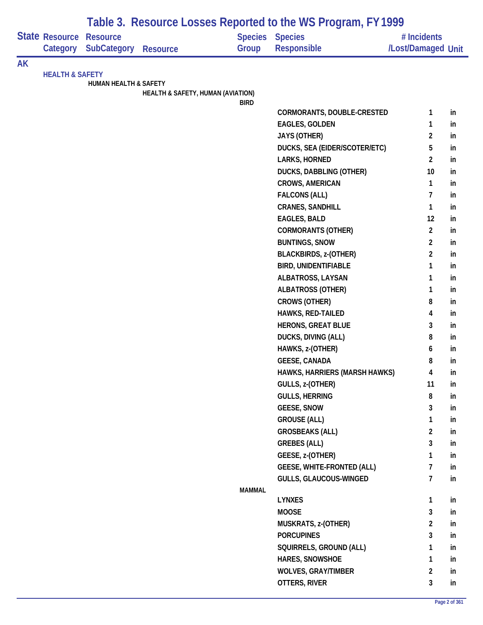|           |                                   |                                       |                                   |               | Table 3. Resource Losses Reported to the WS Program, FY 1999 |                                   |    |
|-----------|-----------------------------------|---------------------------------------|-----------------------------------|---------------|--------------------------------------------------------------|-----------------------------------|----|
|           | <b>State Resource</b><br>Category | <b>Resource</b><br><b>SubCategory</b> | <b>Resource</b>                   | Group         | <b>Species Species</b><br><b>Responsible</b>                 | # Incidents<br>/Lost/Damaged Unit |    |
| <b>AK</b> |                                   |                                       |                                   |               |                                                              |                                   |    |
|           | <b>HEALTH &amp; SAFETY</b>        |                                       |                                   |               |                                                              |                                   |    |
|           |                                   | <b>HUMAN HEALTH &amp; SAFETY</b>      | HEALTH & SAFETY, HUMAN (AVIATION) |               |                                                              |                                   |    |
|           |                                   |                                       |                                   | <b>BIRD</b>   |                                                              |                                   |    |
|           |                                   |                                       |                                   |               | CORMORANTS, DOUBLE-CRESTED                                   | 1                                 | in |
|           |                                   |                                       |                                   |               | <b>EAGLES, GOLDEN</b>                                        | 1                                 | in |
|           |                                   |                                       |                                   |               | <b>JAYS (OTHER)</b>                                          | $\overline{2}$                    | in |
|           |                                   |                                       |                                   |               | DUCKS, SEA (EIDER/SCOTER/ETC)                                | 5                                 | in |
|           |                                   |                                       |                                   |               | LARKS, HORNED                                                | 2                                 | in |
|           |                                   |                                       |                                   |               | <b>DUCKS, DABBLING (OTHER)</b>                               | 10                                | in |
|           |                                   |                                       |                                   |               | <b>CROWS, AMERICAN</b>                                       | 1                                 | in |
|           |                                   |                                       |                                   |               | <b>FALCONS (ALL)</b>                                         | $\overline{7}$                    | in |
|           |                                   |                                       |                                   |               | <b>CRANES, SANDHILL</b>                                      | 1                                 | in |
|           |                                   |                                       |                                   |               | <b>EAGLES, BALD</b>                                          | 12                                | in |
|           |                                   |                                       |                                   |               | <b>CORMORANTS (OTHER)</b>                                    | $\overline{2}$                    | in |
|           |                                   |                                       |                                   |               | <b>BUNTINGS, SNOW</b>                                        | $\overline{2}$                    | in |
|           |                                   |                                       |                                   |               | <b>BLACKBIRDS, z-(OTHER)</b>                                 | $\overline{a}$                    | in |
|           |                                   |                                       |                                   |               | <b>BIRD, UNIDENTIFIABLE</b>                                  | 1                                 | in |
|           |                                   |                                       |                                   |               | ALBATROSS, LAYSAN                                            | 1                                 | in |
|           |                                   |                                       |                                   |               | <b>ALBATROSS (OTHER)</b>                                     | 1                                 | in |
|           |                                   |                                       |                                   |               | <b>CROWS (OTHER)</b>                                         | 8                                 | in |
|           |                                   |                                       |                                   |               | HAWKS, RED-TAILED                                            | 4                                 | in |
|           |                                   |                                       |                                   |               | <b>HERONS, GREAT BLUE</b>                                    | 3                                 | in |
|           |                                   |                                       |                                   |               | DUCKS, DIVING (ALL)                                          | 8                                 | in |
|           |                                   |                                       |                                   |               | HAWKS, z-(OTHER)                                             | 6                                 | in |
|           |                                   |                                       |                                   |               | <b>GEESE, CANADA</b>                                         | 8                                 | in |
|           |                                   |                                       |                                   |               | HAWKS, HARRIERS (MARSH HAWKS)                                | 4                                 | in |
|           |                                   |                                       |                                   |               | GULLS, z-(OTHER)                                             | 11                                | in |
|           |                                   |                                       |                                   |               | <b>GULLS, HERRING</b>                                        | 8                                 | in |
|           |                                   |                                       |                                   |               | <b>GEESE, SNOW</b>                                           | 3                                 | in |
|           |                                   |                                       |                                   |               | <b>GROUSE (ALL)</b>                                          | 1                                 | in |
|           |                                   |                                       |                                   |               | <b>GROSBEAKS (ALL)</b>                                       | $\overline{2}$                    | in |
|           |                                   |                                       |                                   |               | <b>GREBES (ALL)</b>                                          | 3                                 | in |
|           |                                   |                                       |                                   |               | GEESE, z-(OTHER)                                             | 1                                 | in |
|           |                                   |                                       |                                   |               | <b>GEESE, WHITE-FRONTED (ALL)</b>                            | 7                                 | in |
|           |                                   |                                       |                                   |               | <b>GULLS, GLAUCOUS-WINGED</b>                                | $\overline{7}$                    | in |
|           |                                   |                                       |                                   | <b>MAMMAL</b> |                                                              |                                   |    |
|           |                                   |                                       |                                   |               | <b>LYNXES</b>                                                | 1                                 | in |
|           |                                   |                                       |                                   |               | <b>MOOSE</b>                                                 | $\mathbf{3}$                      | in |
|           |                                   |                                       |                                   |               | MUSKRATS, z-(OTHER)                                          | $\overline{\mathbf{c}}$           | in |
|           |                                   |                                       |                                   |               | <b>PORCUPINES</b>                                            | 3                                 | in |
|           |                                   |                                       |                                   |               | SQUIRRELS, GROUND (ALL)                                      | 1                                 | in |
|           |                                   |                                       |                                   |               | HARES, SNOWSHOE                                              | 1                                 | in |
|           |                                   |                                       |                                   |               | <b>WOLVES, GRAY/TIMBER</b>                                   | $\overline{2}$                    | in |
|           |                                   |                                       |                                   |               | OTTERS, RIVER                                                | $\mathbf{3}$                      | in |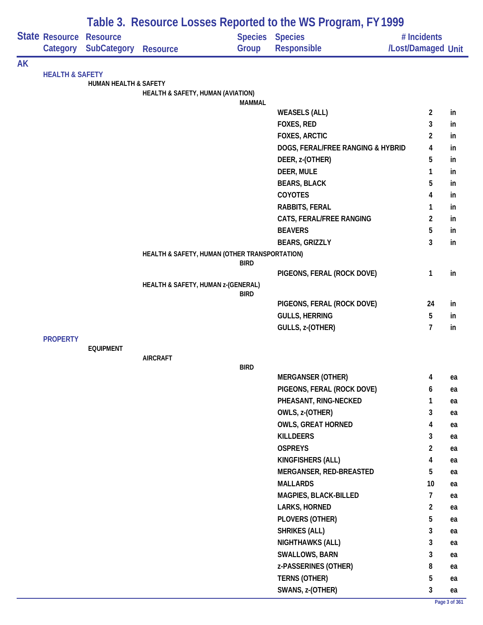|           |                                                                          |                                  | Table 3. Resource Losses Reported to the WS Program, FY 1999 |                         |                                   |                                   |    |  |  |  |  |
|-----------|--------------------------------------------------------------------------|----------------------------------|--------------------------------------------------------------|-------------------------|-----------------------------------|-----------------------------------|----|--|--|--|--|
|           | Category                                                                 | <b>SubCategory</b>               | <b>Resource</b>                                              | <b>Species</b><br>Group | <b>Species</b><br>Responsible     | # Incidents<br>/Lost/Damaged Unit |    |  |  |  |  |
| <b>AK</b> |                                                                          |                                  |                                                              |                         |                                   |                                   |    |  |  |  |  |
|           |                                                                          |                                  |                                                              |                         |                                   |                                   |    |  |  |  |  |
|           |                                                                          | <b>HUMAN HEALTH &amp; SAFETY</b> | <b>HEALTH &amp; SAFETY, HUMAN (AVIATION)</b>                 |                         |                                   |                                   |    |  |  |  |  |
|           |                                                                          |                                  |                                                              | <b>MAMMAL</b>           |                                   |                                   |    |  |  |  |  |
|           |                                                                          |                                  |                                                              |                         | <b>WEASELS (ALL)</b>              | $\overline{2}$                    | in |  |  |  |  |
|           |                                                                          |                                  |                                                              |                         | FOXES, RED                        | 3                                 | in |  |  |  |  |
|           |                                                                          |                                  |                                                              |                         | <b>FOXES, ARCTIC</b>              | $\overline{c}$                    | in |  |  |  |  |
|           |                                                                          |                                  |                                                              |                         | DOGS, FERAL/FREE RANGING & HYBRID | 4                                 | in |  |  |  |  |
|           |                                                                          |                                  |                                                              |                         | DEER, z-(OTHER)                   | 5                                 | in |  |  |  |  |
|           |                                                                          |                                  |                                                              |                         | DEER, MULE                        | 1                                 | in |  |  |  |  |
|           |                                                                          |                                  |                                                              |                         | <b>BEARS, BLACK</b>               | 5                                 | in |  |  |  |  |
|           | State Resource Resource<br><b>HEALTH &amp; SAFETY</b><br><b>PROPERTY</b> |                                  |                                                              |                         | <b>COYOTES</b>                    | 4                                 | in |  |  |  |  |
|           |                                                                          |                                  |                                                              |                         | RABBITS, FERAL                    | 1                                 | in |  |  |  |  |
|           |                                                                          |                                  |                                                              |                         | CATS, FERAL/FREE RANGING          | $\overline{2}$                    | in |  |  |  |  |
|           |                                                                          |                                  |                                                              |                         | <b>BEAVERS</b>                    | 5                                 | in |  |  |  |  |
|           |                                                                          |                                  |                                                              |                         | <b>BEARS, GRIZZLY</b>             | 3                                 | in |  |  |  |  |
|           |                                                                          |                                  | HEALTH & SAFETY, HUMAN (OTHER TRANSPORTATION)                | <b>BIRD</b>             |                                   |                                   |    |  |  |  |  |
|           |                                                                          |                                  |                                                              |                         | PIGEONS, FERAL (ROCK DOVE)        | $\mathbf{1}$                      | in |  |  |  |  |
|           |                                                                          |                                  | HEALTH & SAFETY, HUMAN z-(GENERAL)                           | <b>BIRD</b>             |                                   |                                   |    |  |  |  |  |
|           |                                                                          |                                  |                                                              |                         | PIGEONS, FERAL (ROCK DOVE)        | 24                                | in |  |  |  |  |
|           |                                                                          |                                  |                                                              |                         | <b>GULLS, HERRING</b>             | 5                                 | in |  |  |  |  |
|           |                                                                          |                                  |                                                              |                         | GULLS, z-(OTHER)                  | $\overline{7}$                    | in |  |  |  |  |
|           |                                                                          |                                  |                                                              |                         |                                   |                                   |    |  |  |  |  |
|           |                                                                          | <b>EQUIPMENT</b>                 | <b>AIRCRAFT</b>                                              |                         |                                   |                                   |    |  |  |  |  |
|           |                                                                          |                                  |                                                              | <b>BIRD</b>             |                                   |                                   |    |  |  |  |  |
|           |                                                                          |                                  |                                                              |                         | <b>MERGANSER (OTHER)</b>          | 4                                 | ea |  |  |  |  |
|           |                                                                          |                                  |                                                              |                         | PIGEONS, FERAL (ROCK DOVE)        | 6                                 | ea |  |  |  |  |
|           |                                                                          |                                  |                                                              |                         | PHEASANT, RING-NECKED             | 1                                 | ea |  |  |  |  |
|           |                                                                          |                                  |                                                              |                         | OWLS, z-(OTHER)                   | 3                                 | ea |  |  |  |  |
|           |                                                                          |                                  |                                                              |                         | <b>OWLS, GREAT HORNED</b>         | 4                                 | ea |  |  |  |  |
|           |                                                                          |                                  |                                                              |                         | <b>KILLDEERS</b>                  | 3                                 | ea |  |  |  |  |
|           |                                                                          |                                  |                                                              |                         | <b>OSPREYS</b>                    | $\overline{2}$                    | ea |  |  |  |  |
|           |                                                                          |                                  |                                                              |                         | KINGFISHERS (ALL)                 | 4                                 | ea |  |  |  |  |
|           |                                                                          |                                  |                                                              |                         | MERGANSER, RED-BREASTED           | 5                                 | ea |  |  |  |  |
|           |                                                                          |                                  |                                                              |                         | <b>MALLARDS</b>                   | 10                                | ea |  |  |  |  |
|           |                                                                          |                                  |                                                              |                         | MAGPIES, BLACK-BILLED             | $\overline{7}$                    | ea |  |  |  |  |
|           |                                                                          |                                  |                                                              |                         | LARKS, HORNED                     | $\overline{2}$                    | ea |  |  |  |  |
|           |                                                                          |                                  |                                                              |                         | PLOVERS (OTHER)                   | 5                                 | ea |  |  |  |  |
|           |                                                                          |                                  |                                                              |                         | <b>SHRIKES (ALL)</b>              | 3                                 | ea |  |  |  |  |
|           |                                                                          |                                  |                                                              |                         | NIGHTHAWKS (ALL)                  | 3                                 | ea |  |  |  |  |
|           |                                                                          |                                  |                                                              |                         | <b>SWALLOWS, BARN</b>             | 3                                 | ea |  |  |  |  |
|           |                                                                          |                                  |                                                              |                         | z-PASSERINES (OTHER)              | 8                                 | ea |  |  |  |  |
|           |                                                                          |                                  |                                                              |                         | TERNS (OTHER)                     | 5                                 | ea |  |  |  |  |
|           |                                                                          |                                  |                                                              |                         | SWANS, z-(OTHER)                  | 3                                 | ea |  |  |  |  |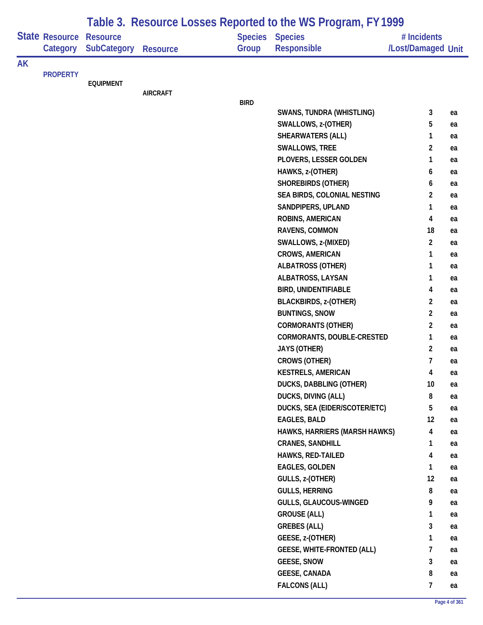|           |                                   |                                       |                 |             | Table 3. Resource Losses Reported to the WS Program, FY 1999 |                                   |          |
|-----------|-----------------------------------|---------------------------------------|-----------------|-------------|--------------------------------------------------------------|-----------------------------------|----------|
|           | <b>State Resource</b><br>Category | <b>Resource</b><br><b>SubCategory</b> | <b>Resource</b> | Group       | <b>Species Species</b><br><b>Responsible</b>                 | # Incidents<br>/Lost/Damaged Unit |          |
| <b>AK</b> |                                   |                                       |                 |             |                                                              |                                   |          |
|           | <b>PROPERTY</b>                   | <b>EQUIPMENT</b>                      |                 |             |                                                              |                                   |          |
|           |                                   |                                       | <b>AIRCRAFT</b> |             |                                                              |                                   |          |
|           |                                   |                                       |                 | <b>BIRD</b> |                                                              |                                   |          |
|           |                                   |                                       |                 |             | <b>SWANS, TUNDRA (WHISTLING)</b>                             | 3                                 | ea       |
|           |                                   |                                       |                 |             | SWALLOWS, z-(OTHER)                                          | 5                                 | ea       |
|           |                                   |                                       |                 |             | <b>SHEARWATERS (ALL)</b>                                     | 1                                 | ea       |
|           |                                   |                                       |                 |             | SWALLOWS, TREE                                               | 2                                 | ea       |
|           |                                   |                                       |                 |             | PLOVERS, LESSER GOLDEN                                       | 1                                 | ea       |
|           |                                   |                                       |                 |             | HAWKS, z-(OTHER)                                             | 6                                 | ea       |
|           |                                   |                                       |                 |             | <b>SHOREBIRDS (OTHER)</b>                                    | 6                                 | ea       |
|           |                                   |                                       |                 |             | SEA BIRDS, COLONIAL NESTING                                  | $\overline{c}$                    | ea       |
|           |                                   |                                       |                 |             | SANDPIPERS, UPLAND                                           | 1                                 | ea       |
|           |                                   |                                       |                 |             | <b>ROBINS, AMERICAN</b>                                      | 4                                 | ea       |
|           |                                   |                                       |                 |             | RAVENS, COMMON                                               | 18                                | ea       |
|           |                                   |                                       |                 |             | SWALLOWS, z-(MIXED)                                          | $\overline{2}$                    | ea       |
|           |                                   |                                       |                 |             | <b>CROWS, AMERICAN</b>                                       | 1                                 | ea       |
|           |                                   |                                       |                 |             | <b>ALBATROSS (OTHER)</b>                                     | 1                                 | ea       |
|           |                                   |                                       |                 |             | ALBATROSS, LAYSAN                                            | 1                                 | ea       |
|           |                                   |                                       |                 |             | <b>BIRD, UNIDENTIFIABLE</b>                                  | 4                                 | ea       |
|           |                                   |                                       |                 |             | <b>BLACKBIRDS, z-(OTHER)</b>                                 | $\overline{2}$                    | ea       |
|           |                                   |                                       |                 |             | <b>BUNTINGS, SNOW</b>                                        | $\overline{2}$                    | ea       |
|           |                                   |                                       |                 |             | <b>CORMORANTS (OTHER)</b>                                    | 2                                 | ea       |
|           |                                   |                                       |                 |             | CORMORANTS, DOUBLE-CRESTED                                   | 1                                 | ea       |
|           |                                   |                                       |                 |             | <b>JAYS (OTHER)</b>                                          | $\overline{2}$                    | ea       |
|           |                                   |                                       |                 |             | <b>CROWS (OTHER)</b>                                         | 7                                 | ea       |
|           |                                   |                                       |                 |             | <b>KESTRELS, AMERICAN</b>                                    | 4                                 | ea       |
|           |                                   |                                       |                 |             | DUCKS, DABBLING (OTHER)                                      | 10                                | ea       |
|           |                                   |                                       |                 |             | <b>DUCKS, DIVING (ALL)</b>                                   | 8                                 | ea       |
|           |                                   |                                       |                 |             | DUCKS, SEA (EIDER/SCOTER/ETC)                                | 5                                 | ea       |
|           |                                   |                                       |                 |             | <b>EAGLES, BALD</b>                                          | 12                                | ea       |
|           |                                   |                                       |                 |             | HAWKS, HARRIERS (MARSH HAWKS)<br><b>CRANES, SANDHILL</b>     | 4<br>1                            | ea       |
|           |                                   |                                       |                 |             | <b>HAWKS, RED-TAILED</b>                                     | 4                                 | ea<br>ea |
|           |                                   |                                       |                 |             | <b>EAGLES, GOLDEN</b>                                        | 1                                 | ea       |
|           |                                   |                                       |                 |             | GULLS, z-(OTHER)                                             | 12                                | ea       |
|           |                                   |                                       |                 |             | <b>GULLS, HERRING</b>                                        | 8                                 | ea       |
|           |                                   |                                       |                 |             | GULLS, GLAUCOUS-WINGED                                       | 9                                 | ea       |
|           |                                   |                                       |                 |             | <b>GROUSE (ALL)</b>                                          | 1                                 | ea       |
|           |                                   |                                       |                 |             | <b>GREBES (ALL)</b>                                          | 3                                 | ea       |
|           |                                   |                                       |                 |             | GEESE, z-(OTHER)                                             | 1                                 | ea       |
|           |                                   |                                       |                 |             | <b>GEESE, WHITE-FRONTED (ALL)</b>                            | 7                                 | ea       |
|           |                                   |                                       |                 |             | <b>GEESE, SNOW</b>                                           | 3                                 | ea       |
|           |                                   |                                       |                 |             | <b>GEESE, CANADA</b>                                         | 8                                 | ea       |
|           |                                   |                                       |                 |             | <b>FALCONS (ALL)</b>                                         | 7                                 | ea       |
|           |                                   |                                       |                 |             |                                                              |                                   |          |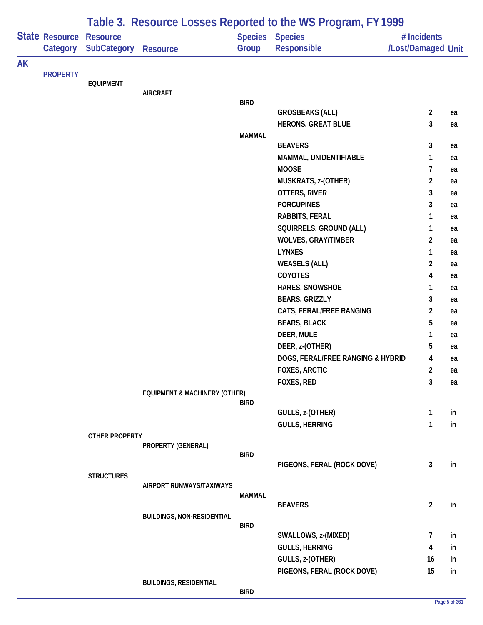|    |                       |                   |                                          |               | Table 3. Resource Losses Reported to the WS Program, FY 1999 |                    |    |
|----|-----------------------|-------------------|------------------------------------------|---------------|--------------------------------------------------------------|--------------------|----|
|    | <b>State Resource</b> | <b>Resource</b>   |                                          |               | Species Species                                              | # Incidents        |    |
|    | Category              | SubCategory       | <b>Resource</b>                          | Group         | Responsible                                                  | /Lost/Damaged Unit |    |
| AK |                       |                   |                                          |               |                                                              |                    |    |
|    | <b>PROPERTY</b>       |                   |                                          |               |                                                              |                    |    |
|    |                       | <b>EQUIPMENT</b>  | <b>AIRCRAFT</b>                          |               |                                                              |                    |    |
|    |                       |                   |                                          | <b>BIRD</b>   |                                                              |                    |    |
|    |                       |                   |                                          |               | <b>GROSBEAKS (ALL)</b>                                       | $\overline{2}$     | ea |
|    |                       |                   |                                          |               | <b>HERONS, GREAT BLUE</b>                                    | 3                  | ea |
|    |                       |                   |                                          | <b>MAMMAL</b> |                                                              |                    |    |
|    |                       |                   |                                          |               | <b>BEAVERS</b>                                               | 3                  | ea |
|    |                       |                   |                                          |               | MAMMAL, UNIDENTIFIABLE                                       | 1                  | ea |
|    |                       |                   |                                          |               | <b>MOOSE</b>                                                 | $\overline{7}$     | ea |
|    |                       |                   |                                          |               | MUSKRATS, z-(OTHER)                                          | $\overline{2}$     | ea |
|    |                       |                   |                                          |               | OTTERS, RIVER                                                | 3                  | ea |
|    |                       |                   |                                          |               | <b>PORCUPINES</b>                                            | 3                  | ea |
|    |                       |                   |                                          |               | RABBITS, FERAL                                               | 1                  | ea |
|    |                       |                   |                                          |               | SQUIRRELS, GROUND (ALL)                                      | 1                  | ea |
|    |                       |                   |                                          |               | <b>WOLVES, GRAY/TIMBER</b>                                   | $\overline{2}$     | ea |
|    |                       |                   |                                          |               | <b>LYNXES</b>                                                | 1                  | ea |
|    |                       |                   |                                          |               | <b>WEASELS (ALL)</b>                                         | $\overline{2}$     | ea |
|    |                       |                   |                                          |               | COYOTES                                                      | 4                  | ea |
|    |                       |                   |                                          |               | HARES, SNOWSHOE                                              | 1                  | ea |
|    |                       |                   |                                          |               | <b>BEARS, GRIZZLY</b>                                        | 3                  | ea |
|    |                       |                   |                                          |               | CATS, FERAL/FREE RANGING                                     | $\overline{a}$     | ea |
|    |                       |                   |                                          |               | <b>BEARS, BLACK</b>                                          | 5                  | ea |
|    |                       |                   |                                          |               | DEER, MULE                                                   | 1                  | ea |
|    |                       |                   |                                          |               | DEER, z-(OTHER)                                              | 5                  | ea |
|    |                       |                   |                                          |               | DOGS, FERAL/FREE RANGING & HYBRID                            | 4                  | ea |
|    |                       |                   |                                          |               | <b>FOXES, ARCTIC</b>                                         | 2                  | ea |
|    |                       |                   |                                          |               | FOXES, RED                                                   | 3                  | ea |
|    |                       |                   | <b>EQUIPMENT &amp; MACHINERY (OTHER)</b> | <b>BIRD</b>   |                                                              |                    |    |
|    |                       |                   |                                          |               | GULLS, z-(OTHER)                                             | $\mathbf{1}$       | in |
|    |                       |                   |                                          |               | <b>GULLS, HERRING</b>                                        | 1                  | in |
|    |                       | OTHER PROPERTY    |                                          |               |                                                              |                    |    |
|    |                       |                   | PROPERTY (GENERAL)                       |               |                                                              |                    |    |
|    |                       |                   |                                          | <b>BIRD</b>   |                                                              |                    |    |
|    |                       |                   |                                          |               | PIGEONS, FERAL (ROCK DOVE)                                   | $\mathbf{3}$       | in |
|    |                       | <b>STRUCTURES</b> | AIRPORT RUNWAYS/TAXIWAYS                 |               |                                                              |                    |    |
|    |                       |                   |                                          | <b>MAMMAL</b> |                                                              |                    |    |
|    |                       |                   |                                          |               | <b>BEAVERS</b>                                               | $\overline{2}$     | in |
|    |                       |                   | <b>BUILDINGS, NON-RESIDENTIAL</b>        |               |                                                              |                    |    |
|    |                       |                   |                                          | <b>BIRD</b>   |                                                              |                    |    |
|    |                       |                   |                                          |               | SWALLOWS, z-(MIXED)                                          | 7                  | in |
|    |                       |                   |                                          |               | <b>GULLS, HERRING</b>                                        | 4                  | in |
|    |                       |                   |                                          |               | GULLS, z-(OTHER)                                             | 16                 | in |
|    |                       |                   |                                          |               | PIGEONS, FERAL (ROCK DOVE)                                   | 15                 | in |
|    |                       |                   | <b>BUILDINGS, RESIDENTIAL</b>            | <b>BIRD</b>   |                                                              |                    |    |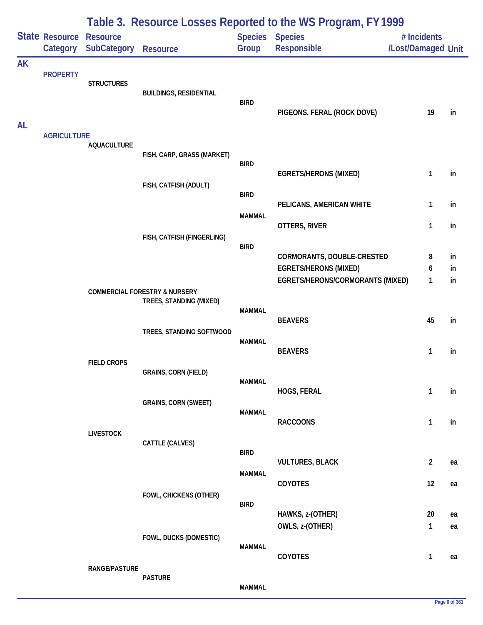|           |                            |                                       |                                                                     |                                | Table 3. Resource Losses Reported to the WS Program, FY 1999                                   |                                   |                |
|-----------|----------------------------|---------------------------------------|---------------------------------------------------------------------|--------------------------------|------------------------------------------------------------------------------------------------|-----------------------------------|----------------|
|           | State Resource<br>Category | <b>Resource</b><br><b>SubCategory</b> | <b>Resource</b>                                                     | Group                          | Species Species<br>Responsible                                                                 | # Incidents<br>/Lost/Damaged Unit |                |
| <b>AK</b> | <b>PROPERTY</b>            | <b>STRUCTURES</b>                     | <b>BUILDINGS, RESIDENTIAL</b>                                       | <b>BIRD</b>                    | PIGEONS, FERAL (ROCK DOVE)                                                                     | 19                                | in             |
| <b>AL</b> | <b>AGRICULTURE</b>         | <b>AQUACULTURE</b>                    | FISH, CARP, GRASS (MARKET)                                          | <b>BIRD</b>                    |                                                                                                |                                   |                |
|           |                            |                                       | FISH, CATFISH (ADULT)                                               | <b>BIRD</b>                    | <b>EGRETS/HERONS (MIXED)</b>                                                                   | 1                                 | in             |
|           |                            |                                       |                                                                     | <b>MAMMAL</b>                  | PELICANS, AMERICAN WHITE<br>OTTERS, RIVER                                                      | 1<br>1                            | in<br>in       |
|           |                            |                                       | FISH, CATFISH (FINGERLING)                                          | <b>BIRD</b>                    | CORMORANTS, DOUBLE-CRESTED<br><b>EGRETS/HERONS (MIXED)</b><br>EGRETS/HERONS/CORMORANTS (MIXED) | 8<br>6<br>$\mathbf{1}$            | in<br>in<br>in |
|           |                            |                                       | <b>COMMERCIAL FORESTRY &amp; NURSERY</b><br>TREES, STANDING (MIXED) | <b>MAMMAL</b>                  | <b>BEAVERS</b>                                                                                 | 45                                |                |
|           |                            |                                       | TREES, STANDING SOFTWOOD                                            | <b>MAMMAL</b>                  | <b>BEAVERS</b>                                                                                 | 1                                 | in<br>in       |
|           |                            | <b>FIELD CROPS</b>                    | <b>GRAINS, CORN (FIELD)</b>                                         | <b>MAMMAL</b>                  | HOGS, FERAL                                                                                    | 1                                 | in             |
|           |                            |                                       | <b>GRAINS, CORN (SWEET)</b>                                         | <b>MAMMAL</b>                  | <b>RACCOONS</b>                                                                                | $\mathbf{1}$                      | in             |
|           |                            | <b>LIVESTOCK</b>                      | CATTLE (CALVES)                                                     | <b>BIRD</b>                    | <b>VULTURES, BLACK</b>                                                                         | $\overline{2}$                    | ea             |
|           |                            |                                       | FOWL, CHICKENS (OTHER)                                              | <b>MAMMAL</b>                  | COYOTES                                                                                        | 12                                | ea             |
|           |                            |                                       | FOWL, DUCKS (DOMESTIC)                                              | <b>BIRD</b>                    | HAWKS, z-(OTHER)<br>OWLS, z-(OTHER)                                                            | 20<br>$\mathbf{1}$                | ea<br>ea       |
|           |                            | RANGE/PASTURE                         | <b>PASTURE</b>                                                      | <b>MAMMAL</b><br><b>MAMMAL</b> | COYOTES                                                                                        | $\mathbf{1}$                      | ea             |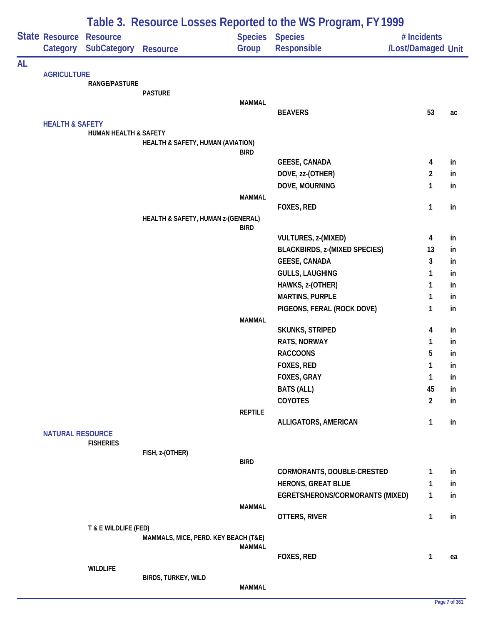|    |                                                       |                                                |                                      |                | Table 3. Resource Losses Reported to the WS Program, FY 1999 |                                   |          |
|----|-------------------------------------------------------|------------------------------------------------|--------------------------------------|----------------|--------------------------------------------------------------|-----------------------------------|----------|
|    | State Resource<br>Category                            | <b>Resource</b><br><b>SubCategory Resource</b> |                                      | Group          | <b>Species Species</b><br>Responsible                        | # Incidents<br>/Lost/Damaged Unit |          |
| AL |                                                       |                                                |                                      |                |                                                              |                                   |          |
|    | <b>AGRICULTURE</b>                                    |                                                |                                      |                |                                                              |                                   |          |
|    |                                                       | RANGE/PASTURE                                  |                                      |                |                                                              |                                   |          |
|    |                                                       |                                                | <b>PASTURE</b>                       | <b>MAMMAL</b>  |                                                              |                                   |          |
|    |                                                       |                                                |                                      |                | <b>BEAVERS</b>                                               | 53                                | ac       |
|    |                                                       |                                                |                                      |                |                                                              |                                   |          |
|    |                                                       | <b>HUMAN HEALTH &amp; SAFETY</b>               |                                      |                |                                                              |                                   |          |
|    |                                                       |                                                | HEALTH & SAFETY, HUMAN (AVIATION)    |                |                                                              |                                   |          |
|    |                                                       |                                                |                                      | <b>BIRD</b>    | <b>GEESE, CANADA</b>                                         | 4                                 | in       |
|    |                                                       |                                                |                                      |                | DOVE, zz-(OTHER)                                             | $\overline{2}$                    | in       |
|    |                                                       |                                                |                                      |                | DOVE, MOURNING                                               | $\mathbf{1}$                      | in       |
|    |                                                       |                                                |                                      | <b>MAMMAL</b>  |                                                              |                                   |          |
|    |                                                       |                                                |                                      |                | FOXES, RED                                                   | $\mathbf{1}$                      | in       |
|    |                                                       |                                                | HEALTH & SAFETY, HUMAN z-(GENERAL)   |                |                                                              |                                   |          |
|    |                                                       |                                                |                                      | <b>BIRD</b>    |                                                              |                                   |          |
|    |                                                       |                                                |                                      |                | VULTURES, z-(MIXED)                                          | 4                                 | in       |
|    |                                                       |                                                |                                      |                | <b>BLACKBIRDS, z-(MIXED SPECIES)</b>                         | 13                                | in       |
|    |                                                       |                                                |                                      |                | <b>GEESE, CANADA</b>                                         | 3                                 | in       |
|    |                                                       |                                                |                                      |                | <b>GULLS, LAUGHING</b>                                       | 1                                 | in       |
|    |                                                       |                                                |                                      |                | HAWKS, z-(OTHER)                                             | $\mathbf{1}$                      | in       |
|    |                                                       |                                                |                                      |                | <b>MARTINS, PURPLE</b>                                       | 1                                 | in       |
|    |                                                       |                                                |                                      |                | PIGEONS, FERAL (ROCK DOVE)                                   | $\mathbf{1}$                      | in       |
|    |                                                       |                                                |                                      | <b>MAMMAL</b>  |                                                              |                                   |          |
|    |                                                       |                                                |                                      |                | <b>SKUNKS, STRIPED</b>                                       | 4                                 | in       |
|    |                                                       |                                                |                                      |                | <b>RATS, NORWAY</b><br><b>RACCOONS</b>                       | 1<br>5                            | in       |
|    |                                                       |                                                |                                      |                | FOXES, RED                                                   |                                   | in       |
|    |                                                       |                                                |                                      |                | <b>FOXES, GRAY</b>                                           | 1<br>$\mathbf{1}$                 | in<br>in |
|    |                                                       |                                                |                                      |                | <b>BATS (ALL)</b>                                            | 45                                | in       |
|    |                                                       |                                                |                                      |                | COYOTES                                                      | $\overline{2}$                    | in       |
|    |                                                       |                                                |                                      | <b>REPTILE</b> |                                                              |                                   |          |
|    |                                                       |                                                |                                      |                | ALLIGATORS, AMERICAN                                         | $\mathbf{1}$                      | in       |
|    |                                                       |                                                |                                      |                |                                                              |                                   |          |
|    |                                                       | <b>FISHERIES</b>                               |                                      |                |                                                              |                                   |          |
|    |                                                       |                                                | FISH, z-(OTHER)                      |                |                                                              |                                   |          |
|    |                                                       |                                                |                                      | <b>BIRD</b>    | CORMORANTS, DOUBLE-CRESTED                                   | 1                                 | in       |
|    |                                                       |                                                |                                      |                | <b>HERONS, GREAT BLUE</b>                                    | $\mathbf{1}$                      | in       |
|    |                                                       |                                                |                                      |                | EGRETS/HERONS/CORMORANTS (MIXED)                             | $\mathbf{1}$                      | in       |
|    |                                                       |                                                |                                      | <b>MAMMAL</b>  |                                                              |                                   |          |
|    |                                                       |                                                |                                      |                | OTTERS, RIVER                                                | $\mathbf{1}$                      | in       |
|    |                                                       | T & E WILDLIFE (FED)                           |                                      |                |                                                              |                                   |          |
|    |                                                       |                                                | MAMMALS, MICE, PERD. KEY BEACH (T&E) |                |                                                              |                                   |          |
|    |                                                       |                                                |                                      | <b>MAMMAL</b>  |                                                              |                                   |          |
|    |                                                       |                                                |                                      |                | FOXES, RED                                                   | $\mathbf{1}$                      | ea       |
|    | <b>HEALTH &amp; SAFETY</b><br><b>NATURAL RESOURCE</b> | <b>WILDLIFE</b>                                | BIRDS, TURKEY, WILD                  |                |                                                              |                                   |          |
|    |                                                       |                                                |                                      | <b>MAMMAL</b>  |                                                              |                                   |          |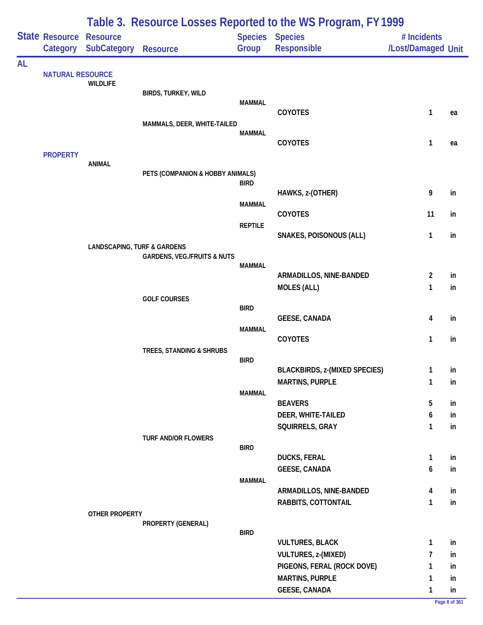|           |                                     |                                        | Table 3. Resource Losses Reported to the WS Program, FY 1999 |                |                                      |                                   |          |  |  |  |
|-----------|-------------------------------------|----------------------------------------|--------------------------------------------------------------|----------------|--------------------------------------|-----------------------------------|----------|--|--|--|
|           | State Resource Resource<br>Category | <b>SubCategory</b>                     | <b>Resource</b>                                              | Group          | Species Species<br>Responsible       | # Incidents<br>/Lost/Damaged Unit |          |  |  |  |
| <b>AL</b> |                                     |                                        |                                                              |                |                                      |                                   |          |  |  |  |
|           | <b>NATURAL RESOURCE</b>             | <b>WILDLIFE</b>                        |                                                              |                |                                      |                                   |          |  |  |  |
|           |                                     |                                        | BIRDS, TURKEY, WILD                                          |                |                                      |                                   |          |  |  |  |
|           |                                     |                                        |                                                              | <b>MAMMAL</b>  | <b>COYOTES</b>                       | 1                                 | ea       |  |  |  |
|           |                                     |                                        | MAMMALS, DEER, WHITE-TAILED                                  |                |                                      |                                   |          |  |  |  |
|           |                                     |                                        |                                                              | <b>MAMMAL</b>  | COYOTES                              | 1                                 |          |  |  |  |
|           | <b>PROPERTY</b>                     |                                        |                                                              |                |                                      |                                   | ea       |  |  |  |
|           |                                     | <b>ANIMAL</b>                          |                                                              |                |                                      |                                   |          |  |  |  |
|           |                                     |                                        | PETS (COMPANION & HOBBY ANIMALS)                             | <b>BIRD</b>    |                                      |                                   |          |  |  |  |
|           |                                     |                                        |                                                              |                | HAWKS, z-(OTHER)                     | 9                                 | in       |  |  |  |
|           |                                     |                                        |                                                              | <b>MAMMAL</b>  |                                      |                                   |          |  |  |  |
|           |                                     |                                        |                                                              | <b>REPTILE</b> | <b>COYOTES</b>                       | 11                                | in       |  |  |  |
|           |                                     |                                        |                                                              |                | <b>SNAKES, POISONOUS (ALL)</b>       | 1                                 | in       |  |  |  |
|           |                                     | <b>LANDSCAPING, TURF &amp; GARDENS</b> |                                                              |                |                                      |                                   |          |  |  |  |
|           |                                     |                                        | <b>GARDENS, VEG./FRUITS &amp; NUTS</b>                       | <b>MAMMAL</b>  |                                      |                                   |          |  |  |  |
|           |                                     |                                        |                                                              |                | ARMADILLOS, NINE-BANDED              | $\overline{c}$                    | in       |  |  |  |
|           |                                     |                                        |                                                              |                | <b>MOLES (ALL)</b>                   | $\mathbf{1}$                      | in       |  |  |  |
|           |                                     |                                        | <b>GOLF COURSES</b>                                          | <b>BIRD</b>    |                                      |                                   |          |  |  |  |
|           |                                     |                                        |                                                              |                | <b>GEESE, CANADA</b>                 | 4                                 | in       |  |  |  |
|           |                                     |                                        |                                                              | <b>MAMMAL</b>  |                                      |                                   |          |  |  |  |
|           |                                     |                                        | TREES, STANDING & SHRUBS                                     |                | COYOTES                              | 1                                 | in       |  |  |  |
|           |                                     |                                        |                                                              | <b>BIRD</b>    |                                      |                                   |          |  |  |  |
|           |                                     |                                        |                                                              |                | <b>BLACKBIRDS, z-(MIXED SPECIES)</b> |                                   | in       |  |  |  |
|           |                                     |                                        |                                                              | <b>MAMMAL</b>  | <b>MARTINS, PURPLE</b>               | $\mathbf{1}$                      | in       |  |  |  |
|           |                                     |                                        |                                                              |                | <b>BEAVERS</b>                       | 5                                 | in       |  |  |  |
|           |                                     |                                        |                                                              |                | DEER, WHITE-TAILED                   | 6                                 | in       |  |  |  |
|           |                                     |                                        |                                                              |                | SQUIRRELS, GRAY                      | 1                                 | in       |  |  |  |
|           |                                     |                                        | <b>TURF AND/OR FLOWERS</b>                                   | <b>BIRD</b>    |                                      |                                   |          |  |  |  |
|           |                                     |                                        |                                                              |                | <b>DUCKS, FERAL</b>                  | 1                                 | in       |  |  |  |
|           |                                     |                                        |                                                              |                | <b>GEESE, CANADA</b>                 | 6                                 | in       |  |  |  |
|           |                                     |                                        |                                                              | <b>MAMMAL</b>  | ARMADILLOS, NINE-BANDED              | 4                                 |          |  |  |  |
|           |                                     |                                        |                                                              |                | RABBITS, COTTONTAIL                  | 1                                 | in<br>in |  |  |  |
|           |                                     | OTHER PROPERTY                         |                                                              |                |                                      |                                   |          |  |  |  |
|           |                                     |                                        | PROPERTY (GENERAL)                                           |                |                                      |                                   |          |  |  |  |
|           |                                     |                                        |                                                              | <b>BIRD</b>    | <b>VULTURES, BLACK</b>               | 1                                 | in       |  |  |  |
|           |                                     |                                        |                                                              |                | VULTURES, z-(MIXED)                  | 7                                 | in       |  |  |  |
|           |                                     |                                        |                                                              |                | PIGEONS, FERAL (ROCK DOVE)           | 1                                 | in       |  |  |  |
|           |                                     |                                        |                                                              |                | <b>MARTINS, PURPLE</b>               | 1                                 | in       |  |  |  |
|           |                                     |                                        |                                                              |                | <b>GEESE, CANADA</b>                 | 1                                 | in       |  |  |  |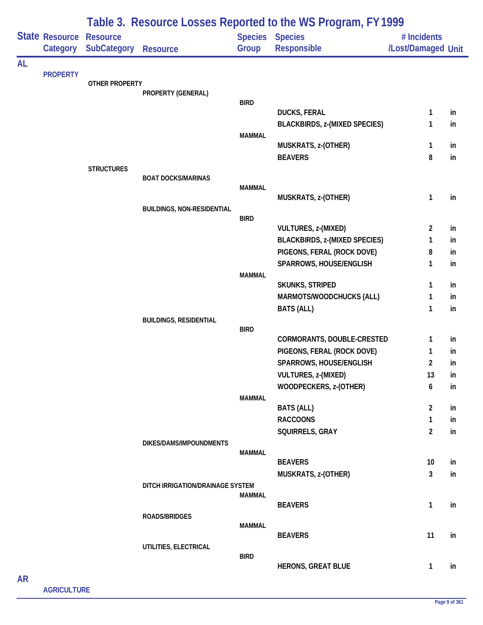|           |                            |                                       |                                   |                         | Table 3. Resource Losses Reported to the WS Program, FY 1999 |                                   |          |
|-----------|----------------------------|---------------------------------------|-----------------------------------|-------------------------|--------------------------------------------------------------|-----------------------------------|----------|
|           | State Resource<br>Category | <b>Resource</b><br><b>SubCategory</b> | <b>Resource</b>                   | <b>Species</b><br>Group | <b>Species</b><br>Responsible                                | # Incidents<br>/Lost/Damaged Unit |          |
| <b>AL</b> |                            |                                       |                                   |                         |                                                              |                                   |          |
|           | <b>PROPERTY</b>            | <b>OTHER PROPERTY</b>                 |                                   |                         |                                                              |                                   |          |
|           |                            |                                       | PROPERTY (GENERAL)                |                         |                                                              |                                   |          |
|           |                            |                                       |                                   | <b>BIRD</b>             |                                                              |                                   |          |
|           |                            |                                       |                                   |                         | <b>DUCKS, FERAL</b><br><b>BLACKBIRDS, z-(MIXED SPECIES)</b>  | 1<br>1                            | in<br>in |
|           |                            |                                       |                                   | <b>MAMMAL</b>           |                                                              |                                   |          |
|           |                            |                                       |                                   |                         | MUSKRATS, z-(OTHER)                                          | 1                                 | in       |
|           |                            |                                       |                                   |                         | <b>BEAVERS</b>                                               | 8                                 | in       |
|           |                            | <b>STRUCTURES</b>                     |                                   |                         |                                                              |                                   |          |
|           |                            |                                       | <b>BOAT DOCKS/MARINAS</b>         |                         |                                                              |                                   |          |
|           |                            |                                       |                                   | <b>MAMMAL</b>           | MUSKRATS, z-(OTHER)                                          | $\mathbf{1}$                      | in       |
|           |                            |                                       | <b>BUILDINGS, NON-RESIDENTIAL</b> |                         |                                                              |                                   |          |
|           |                            |                                       |                                   | <b>BIRD</b>             |                                                              |                                   |          |
|           |                            |                                       |                                   |                         | VULTURES, z-(MIXED)                                          | $\overline{2}$                    | in       |
|           |                            |                                       |                                   |                         | <b>BLACKBIRDS, z-(MIXED SPECIES)</b>                         | 1                                 | in       |
|           |                            |                                       |                                   |                         | PIGEONS, FERAL (ROCK DOVE)                                   | 8                                 | in       |
|           |                            |                                       |                                   |                         | SPARROWS, HOUSE/ENGLISH                                      | 1                                 | in       |
|           |                            |                                       |                                   | <b>MAMMAL</b>           | SKUNKS, STRIPED                                              | 1                                 | in       |
|           |                            |                                       |                                   |                         | MARMOTS/WOODCHUCKS (ALL)                                     | 1                                 | in       |
|           |                            |                                       |                                   |                         | <b>BATS (ALL)</b>                                            | 1                                 | in       |
|           |                            |                                       | <b>BUILDINGS, RESIDENTIAL</b>     |                         |                                                              |                                   |          |
|           |                            |                                       |                                   | <b>BIRD</b>             |                                                              |                                   |          |
|           |                            |                                       |                                   |                         | CORMORANTS, DOUBLE-CRESTED                                   | 1                                 | in       |
|           |                            |                                       |                                   |                         | PIGEONS, FERAL (ROCK DOVE)                                   | 1                                 | in       |
|           |                            |                                       |                                   |                         | SPARROWS, HOUSE/ENGLISH                                      | $\overline{2}$                    | in       |
|           |                            |                                       |                                   |                         | <b>VULTURES, z-(MIXED)</b>                                   | 13                                | in       |
|           |                            |                                       |                                   |                         | WOODPECKERS, z-(OTHER)                                       | 6                                 | in       |
|           |                            |                                       |                                   | <b>MAMMAL</b>           | <b>BATS (ALL)</b>                                            | $\overline{2}$                    | in       |
|           |                            |                                       |                                   |                         | <b>RACCOONS</b>                                              | $\mathbf{1}$                      | in       |
|           |                            |                                       |                                   |                         | SQUIRRELS, GRAY                                              | $\overline{2}$                    | in       |
|           |                            |                                       | DIKES/DAMS/IMPOUNDMENTS           |                         |                                                              |                                   |          |
|           |                            |                                       |                                   | MAMMAL                  |                                                              |                                   |          |
|           |                            |                                       |                                   |                         | <b>BEAVERS</b>                                               | 10                                | in       |
|           |                            |                                       |                                   |                         | MUSKRATS, z-(OTHER)                                          | 3                                 | in       |
|           |                            |                                       | DITCH IRRIGATION/DRAINAGE SYSTEM  | <b>MAMMAL</b>           |                                                              |                                   |          |
|           |                            |                                       |                                   |                         | <b>BEAVERS</b>                                               | 1                                 | in       |
|           |                            |                                       | <b>ROADS/BRIDGES</b>              |                         |                                                              |                                   |          |
|           |                            |                                       |                                   | <b>MAMMAL</b>           |                                                              |                                   |          |
|           |                            |                                       |                                   |                         | <b>BEAVERS</b>                                               | 11                                | in       |
|           |                            |                                       | UTILITIES, ELECTRICAL             | <b>BIRD</b>             |                                                              |                                   |          |
|           |                            |                                       |                                   |                         | <b>HERONS, GREAT BLUE</b>                                    | 1                                 | in       |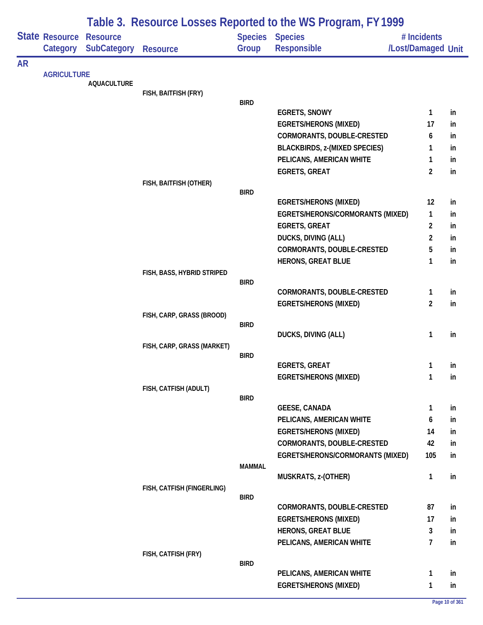|           |                            |                                       |                            |               | Table 3. Resource Losses Reported to the WS Program, FY 1999 |                                   |          |
|-----------|----------------------------|---------------------------------------|----------------------------|---------------|--------------------------------------------------------------|-----------------------------------|----------|
|           | State Resource<br>Category | <b>Resource</b><br><b>SubCategory</b> | <b>Resource</b>            | Group         | <b>Species Species</b><br><b>Responsible</b>                 | # Incidents<br>/Lost/Damaged Unit |          |
| <b>AR</b> |                            |                                       |                            |               |                                                              |                                   |          |
|           |                            | <b>AQUACULTURE</b>                    |                            |               |                                                              |                                   |          |
|           |                            |                                       | FISH, BAITFISH (FRY)       |               |                                                              |                                   |          |
|           |                            |                                       |                            | <b>BIRD</b>   |                                                              |                                   |          |
|           |                            |                                       |                            |               | <b>EGRETS, SNOWY</b><br><b>EGRETS/HERONS (MIXED)</b>         | $\mathbf{1}$<br>17                | in       |
|           |                            |                                       |                            |               | CORMORANTS, DOUBLE-CRESTED                                   | 6                                 | in<br>in |
|           |                            |                                       |                            |               | <b>BLACKBIRDS, z-(MIXED SPECIES)</b>                         | 1                                 | in       |
|           |                            |                                       |                            |               | PELICANS, AMERICAN WHITE                                     | 1                                 | in       |
|           |                            |                                       |                            |               | <b>EGRETS, GREAT</b>                                         | $\overline{2}$                    | in       |
|           |                            |                                       | FISH, BAITFISH (OTHER)     |               |                                                              |                                   |          |
|           |                            |                                       |                            | <b>BIRD</b>   |                                                              |                                   |          |
|           |                            |                                       |                            |               | <b>EGRETS/HERONS (MIXED)</b>                                 | 12                                | in       |
|           |                            |                                       |                            |               | EGRETS/HERONS/CORMORANTS (MIXED)                             | $\mathbf{1}$                      | in       |
|           |                            |                                       |                            |               | <b>EGRETS, GREAT</b>                                         | $\overline{2}$                    | in       |
|           |                            |                                       |                            |               | DUCKS, DIVING (ALL)                                          | $\overline{2}$                    | in       |
|           |                            |                                       |                            |               | CORMORANTS, DOUBLE-CRESTED                                   | 5                                 | in       |
|           |                            |                                       | FISH, BASS, HYBRID STRIPED |               | <b>HERONS, GREAT BLUE</b>                                    | 1                                 | in       |
|           |                            |                                       |                            | <b>BIRD</b>   |                                                              |                                   |          |
|           |                            |                                       |                            |               | CORMORANTS, DOUBLE-CRESTED                                   | $\mathbf{1}$                      | in       |
|           |                            |                                       |                            |               | <b>EGRETS/HERONS (MIXED)</b>                                 | $\overline{2}$                    | in       |
|           |                            |                                       | FISH, CARP, GRASS (BROOD)  |               |                                                              |                                   |          |
|           |                            |                                       |                            | <b>BIRD</b>   | DUCKS, DIVING (ALL)                                          | 1                                 | in       |
|           |                            |                                       | FISH, CARP, GRASS (MARKET) |               |                                                              |                                   |          |
|           |                            |                                       |                            | <b>BIRD</b>   |                                                              |                                   |          |
|           |                            |                                       |                            |               | <b>EGRETS, GREAT</b>                                         | 1                                 | in       |
|           |                            |                                       |                            |               | <b>EGRETS/HERONS (MIXED)</b>                                 | 1                                 | in       |
|           |                            |                                       | FISH, CATFISH (ADULT)      | <b>BIRD</b>   |                                                              |                                   |          |
|           |                            |                                       |                            |               | <b>GEESE, CANADA</b>                                         | 1                                 | in       |
|           |                            |                                       |                            |               | PELICANS, AMERICAN WHITE                                     | 6                                 | in       |
|           |                            |                                       |                            |               | <b>EGRETS/HERONS (MIXED)</b>                                 | 14                                | in       |
|           |                            |                                       |                            |               | <b>CORMORANTS, DOUBLE-CRESTED</b>                            | 42                                | in       |
|           |                            |                                       |                            |               | EGRETS/HERONS/CORMORANTS (MIXED)                             | 105                               | in       |
|           |                            |                                       |                            | <b>MAMMAL</b> |                                                              |                                   |          |
|           |                            |                                       |                            |               | MUSKRATS, z-(OTHER)                                          | $\mathbf{1}$                      | in       |
|           |                            |                                       | FISH, CATFISH (FINGERLING) |               |                                                              |                                   |          |
|           |                            |                                       |                            | <b>BIRD</b>   | <b>CORMORANTS, DOUBLE-CRESTED</b>                            | 87                                | in       |
|           |                            |                                       |                            |               | <b>EGRETS/HERONS (MIXED)</b>                                 | 17                                | in       |
|           |                            |                                       |                            |               | <b>HERONS, GREAT BLUE</b>                                    | 3                                 | in       |
|           |                            |                                       |                            |               | PELICANS, AMERICAN WHITE                                     | $\overline{7}$                    | in       |
|           |                            |                                       | FISH, CATFISH (FRY)        |               |                                                              |                                   |          |
|           | <b>AGRICULTURE</b>         |                                       |                            | <b>BIRD</b>   |                                                              |                                   |          |
|           |                            |                                       |                            |               | PELICANS, AMERICAN WHITE                                     | 1                                 | in       |
|           |                            |                                       |                            |               | <b>EGRETS/HERONS (MIXED)</b>                                 | 1                                 | in       |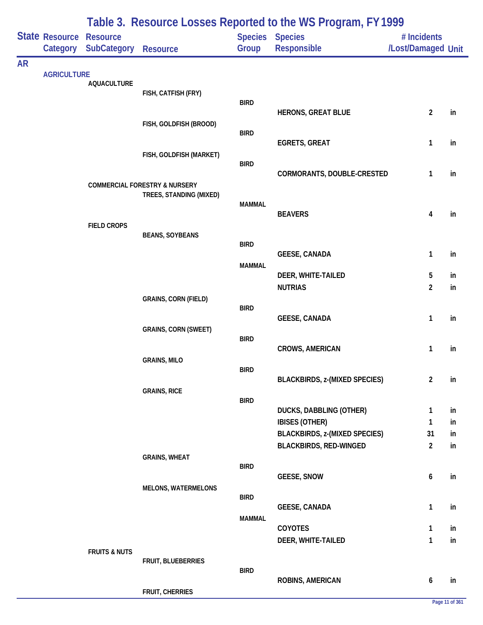|           |                            | Table 3. Resource Losses Reported to the WS Program, FY 1999 |                                                                     |               |                                                  |                                   |          |  |  |  |
|-----------|----------------------------|--------------------------------------------------------------|---------------------------------------------------------------------|---------------|--------------------------------------------------|-----------------------------------|----------|--|--|--|
|           | State Resource<br>Category | <b>Resource</b><br><b>SubCategory</b>                        | <b>Resource</b>                                                     | Group         | <b>Species Species</b><br>Responsible            | # Incidents<br>/Lost/Damaged Unit |          |  |  |  |
| <b>AR</b> |                            |                                                              |                                                                     |               |                                                  |                                   |          |  |  |  |
|           | <b>AGRICULTURE</b>         | <b>AQUACULTURE</b>                                           |                                                                     |               |                                                  |                                   |          |  |  |  |
|           |                            |                                                              | FISH, CATFISH (FRY)                                                 |               |                                                  |                                   |          |  |  |  |
|           |                            |                                                              |                                                                     | <b>BIRD</b>   | <b>HERONS, GREAT BLUE</b>                        | $\overline{2}$                    | in       |  |  |  |
|           |                            |                                                              | FISH, GOLDFISH (BROOD)                                              |               |                                                  |                                   |          |  |  |  |
|           |                            |                                                              |                                                                     | <b>BIRD</b>   | <b>EGRETS, GREAT</b>                             | 1                                 | in       |  |  |  |
|           |                            |                                                              | FISH, GOLDFISH (MARKET)                                             | <b>BIRD</b>   |                                                  |                                   |          |  |  |  |
|           |                            |                                                              |                                                                     |               | CORMORANTS, DOUBLE-CRESTED                       | 1                                 | in       |  |  |  |
|           |                            |                                                              | <b>COMMERCIAL FORESTRY &amp; NURSERY</b><br>TREES, STANDING (MIXED) |               |                                                  |                                   |          |  |  |  |
|           |                            |                                                              |                                                                     | <b>MAMMAL</b> |                                                  |                                   |          |  |  |  |
|           |                            | <b>FIELD CROPS</b>                                           |                                                                     |               | <b>BEAVERS</b>                                   | 4                                 | in       |  |  |  |
|           |                            |                                                              | <b>BEANS, SOYBEANS</b>                                              | <b>BIRD</b>   |                                                  |                                   |          |  |  |  |
|           |                            |                                                              |                                                                     |               | <b>GEESE, CANADA</b>                             | 1                                 | in       |  |  |  |
|           |                            |                                                              |                                                                     | <b>MAMMAL</b> | DEER, WHITE-TAILED                               | 5                                 | in       |  |  |  |
|           |                            |                                                              |                                                                     |               | <b>NUTRIAS</b>                                   | $\overline{a}$                    | in       |  |  |  |
|           |                            |                                                              | <b>GRAINS, CORN (FIELD)</b>                                         | <b>BIRD</b>   |                                                  |                                   |          |  |  |  |
|           |                            |                                                              |                                                                     |               | <b>GEESE, CANADA</b>                             | 1                                 | in       |  |  |  |
|           |                            |                                                              | <b>GRAINS, CORN (SWEET)</b>                                         | <b>BIRD</b>   |                                                  |                                   |          |  |  |  |
|           |                            |                                                              |                                                                     |               | <b>CROWS, AMERICAN</b>                           | 1                                 | in       |  |  |  |
|           |                            |                                                              | <b>GRAINS, MILO</b>                                                 | <b>BIRD</b>   |                                                  |                                   |          |  |  |  |
|           |                            |                                                              |                                                                     |               | <b>BLACKBIRDS, z-(MIXED SPECIES)</b>             | $\overline{2}$                    | in       |  |  |  |
|           |                            |                                                              | <b>GRAINS, RICE</b>                                                 | <b>BIRD</b>   |                                                  |                                   |          |  |  |  |
|           |                            |                                                              |                                                                     |               | DUCKS, DABBLING (OTHER)<br><b>IBISES (OTHER)</b> | 1<br>1                            | in<br>in |  |  |  |
|           |                            |                                                              |                                                                     |               | <b>BLACKBIRDS, z-(MIXED SPECIES)</b>             | 31                                | in       |  |  |  |
|           |                            |                                                              |                                                                     |               | <b>BLACKBIRDS, RED-WINGED</b>                    | $\overline{2}$                    | in       |  |  |  |
|           |                            |                                                              | <b>GRAINS, WHEAT</b>                                                | <b>BIRD</b>   |                                                  |                                   |          |  |  |  |
|           |                            |                                                              |                                                                     |               | <b>GEESE, SNOW</b>                               | 6                                 | in       |  |  |  |
|           |                            |                                                              | <b>MELONS, WATERMELONS</b>                                          | <b>BIRD</b>   |                                                  |                                   |          |  |  |  |
|           |                            |                                                              |                                                                     | <b>MAMMAL</b> | <b>GEESE, CANADA</b>                             | 1                                 | in       |  |  |  |
|           |                            |                                                              |                                                                     |               | <b>COYOTES</b>                                   | 1                                 | in       |  |  |  |
|           |                            |                                                              |                                                                     |               | DEER, WHITE-TAILED                               | 1                                 | in       |  |  |  |
|           |                            | <b>FRUITS &amp; NUTS</b>                                     | FRUIT, BLUEBERRIES                                                  |               |                                                  |                                   |          |  |  |  |
|           |                            |                                                              |                                                                     | <b>BIRD</b>   | ROBINS, AMERICAN                                 | 6                                 | in       |  |  |  |
|           |                            |                                                              | FRUIT, CHERRIES                                                     |               |                                                  |                                   |          |  |  |  |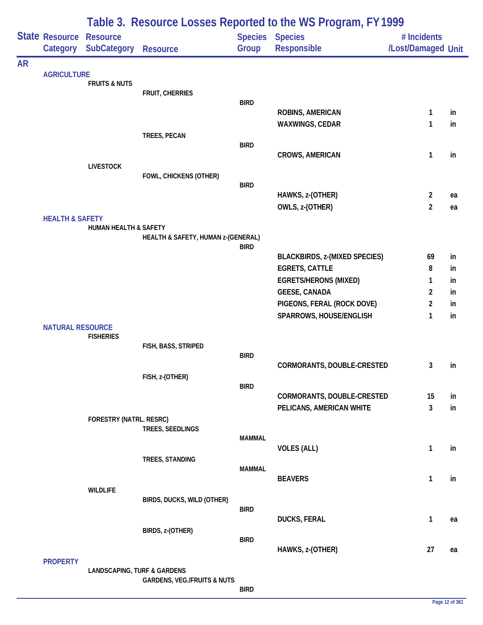|           |                                            | Table 3. Resource Losses Reported to the WS Program, FY 1999 |                                        |               |                                                       |                                   |          |  |  |
|-----------|--------------------------------------------|--------------------------------------------------------------|----------------------------------------|---------------|-------------------------------------------------------|-----------------------------------|----------|--|--|
|           | <b>State Resource Resource</b><br>Category | <b>SubCategory</b>                                           | <b>Resource</b>                        | Group         | <b>Species Species</b><br><b>Responsible</b>          | # Incidents<br>/Lost/Damaged Unit |          |  |  |
| <b>AR</b> |                                            |                                                              |                                        |               |                                                       |                                   |          |  |  |
|           | <b>AGRICULTURE</b>                         | <b>FRUITS &amp; NUTS</b>                                     |                                        |               |                                                       |                                   |          |  |  |
|           |                                            |                                                              | FRUIT, CHERRIES                        |               |                                                       |                                   |          |  |  |
|           |                                            |                                                              |                                        | <b>BIRD</b>   | ROBINS, AMERICAN                                      | $\mathbf{1}$                      | in       |  |  |
|           |                                            |                                                              |                                        |               | WAXWINGS, CEDAR                                       | 1                                 | in       |  |  |
|           |                                            |                                                              | TREES, PECAN                           |               |                                                       |                                   |          |  |  |
|           |                                            |                                                              |                                        | <b>BIRD</b>   |                                                       |                                   |          |  |  |
|           |                                            |                                                              |                                        |               | <b>CROWS, AMERICAN</b>                                | 1                                 | in       |  |  |
|           |                                            | <b>LIVESTOCK</b>                                             | FOWL, CHICKENS (OTHER)                 |               |                                                       |                                   |          |  |  |
|           |                                            |                                                              |                                        | <b>BIRD</b>   |                                                       |                                   |          |  |  |
|           |                                            |                                                              |                                        |               | HAWKS, z-(OTHER)                                      | $\overline{2}$                    | ea       |  |  |
|           |                                            |                                                              |                                        |               | OWLS, z-(OTHER)                                       | $\overline{2}$                    | ea       |  |  |
|           | <b>HEALTH &amp; SAFETY</b>                 | HUMAN HEALTH & SAFETY                                        |                                        |               |                                                       |                                   |          |  |  |
|           |                                            |                                                              | HEALTH & SAFETY, HUMAN z-(GENERAL)     |               |                                                       |                                   |          |  |  |
|           |                                            |                                                              |                                        | <b>BIRD</b>   |                                                       |                                   |          |  |  |
|           |                                            |                                                              |                                        |               | <b>BLACKBIRDS, z-(MIXED SPECIES)</b>                  | 69                                | in       |  |  |
|           |                                            |                                                              |                                        |               | <b>EGRETS, CATTLE</b><br><b>EGRETS/HERONS (MIXED)</b> | 8<br>1                            | in<br>in |  |  |
|           |                                            |                                                              |                                        |               | <b>GEESE, CANADA</b>                                  | 2                                 | in       |  |  |
|           |                                            |                                                              |                                        |               | PIGEONS, FERAL (ROCK DOVE)                            | 2                                 | in       |  |  |
|           |                                            |                                                              |                                        |               | SPARROWS, HOUSE/ENGLISH                               | 1                                 | in       |  |  |
|           | <b>NATURAL RESOURCE</b>                    |                                                              |                                        |               |                                                       |                                   |          |  |  |
|           |                                            | <b>FISHERIES</b>                                             |                                        |               |                                                       |                                   |          |  |  |
|           |                                            |                                                              | FISH, BASS, STRIPED                    | <b>BIRD</b>   |                                                       |                                   |          |  |  |
|           |                                            |                                                              |                                        |               | CORMORANTS, DOUBLE-CRESTED                            | 3                                 | in       |  |  |
|           |                                            |                                                              | FISH, z-(OTHER)                        |               |                                                       |                                   |          |  |  |
|           |                                            |                                                              |                                        | <b>BIRD</b>   | CORMORANTS, DOUBLE-CRESTED                            | 15                                | in       |  |  |
|           |                                            |                                                              |                                        |               | PELICANS, AMERICAN WHITE                              | 3                                 | in       |  |  |
|           |                                            | FORESTRY (NATRL. RESRC)                                      |                                        |               |                                                       |                                   |          |  |  |
|           |                                            |                                                              | TREES, SEEDLINGS                       |               |                                                       |                                   |          |  |  |
|           |                                            |                                                              |                                        | <b>MAMMAL</b> | <b>VOLES (ALL)</b>                                    | 1                                 | in       |  |  |
|           |                                            |                                                              | TREES, STANDING                        |               |                                                       |                                   |          |  |  |
|           |                                            |                                                              |                                        | <b>MAMMAL</b> |                                                       |                                   |          |  |  |
|           |                                            |                                                              |                                        |               | <b>BEAVERS</b>                                        | 1                                 | in       |  |  |
|           |                                            | <b>WILDLIFE</b>                                              | BIRDS, DUCKS, WILD (OTHER)             |               |                                                       |                                   |          |  |  |
|           |                                            |                                                              |                                        | <b>BIRD</b>   |                                                       |                                   |          |  |  |
|           |                                            |                                                              |                                        |               | <b>DUCKS, FERAL</b>                                   | 1                                 | ea       |  |  |
|           |                                            |                                                              | BIRDS, z-(OTHER)                       |               |                                                       |                                   |          |  |  |
|           |                                            |                                                              |                                        | <b>BIRD</b>   | HAWKS, z-(OTHER)                                      | 27                                | ea       |  |  |
|           | <b>PROPERTY</b>                            |                                                              |                                        |               |                                                       |                                   |          |  |  |
|           |                                            | <b>LANDSCAPING, TURF &amp; GARDENS</b>                       |                                        |               |                                                       |                                   |          |  |  |
|           |                                            |                                                              | <b>GARDENS, VEG./FRUITS &amp; NUTS</b> | <b>BIRD</b>   |                                                       |                                   |          |  |  |
|           |                                            |                                                              |                                        |               |                                                       |                                   |          |  |  |

÷,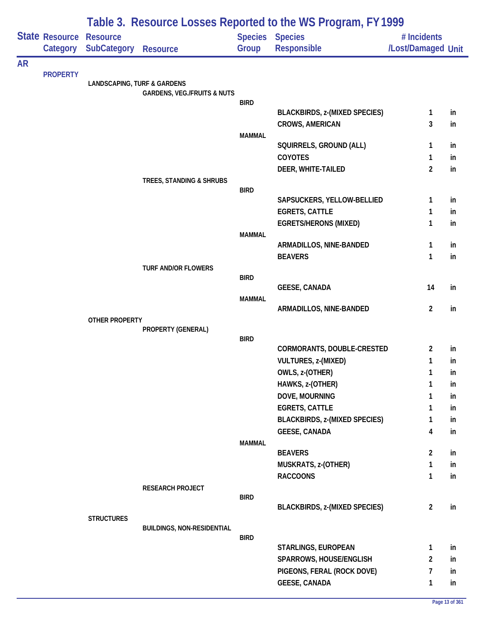|           |                            | Table 3. Resource Losses Reported to the WS Program, FY 1999 |                                        |               |                                                                |                                   |          |  |  |
|-----------|----------------------------|--------------------------------------------------------------|----------------------------------------|---------------|----------------------------------------------------------------|-----------------------------------|----------|--|--|
|           | State Resource<br>Category | <b>Resource</b><br><b>SubCategory</b>                        | Resource                               | Group         | <b>Species Species</b><br><b>Responsible</b>                   | # Incidents<br>/Lost/Damaged Unit |          |  |  |
| <b>AR</b> |                            |                                                              |                                        |               |                                                                |                                   |          |  |  |
|           | <b>PROPERTY</b>            | <b>LANDSCAPING, TURF &amp; GARDENS</b>                       |                                        |               |                                                                |                                   |          |  |  |
|           |                            |                                                              | <b>GARDENS, VEG./FRUITS &amp; NUTS</b> |               |                                                                |                                   |          |  |  |
|           |                            |                                                              |                                        | <b>BIRD</b>   |                                                                |                                   |          |  |  |
|           |                            |                                                              |                                        |               | <b>BLACKBIRDS, z-(MIXED SPECIES)</b><br><b>CROWS, AMERICAN</b> | $\mathbf{1}$<br>3                 | in<br>in |  |  |
|           |                            |                                                              |                                        | <b>MAMMAL</b> |                                                                |                                   |          |  |  |
|           |                            |                                                              |                                        |               | SQUIRRELS, GROUND (ALL)                                        | 1                                 | in       |  |  |
|           |                            |                                                              |                                        |               | <b>COYOTES</b>                                                 | 1                                 | in       |  |  |
|           |                            |                                                              |                                        |               | DEER, WHITE-TAILED                                             | $\overline{2}$                    | in       |  |  |
|           |                            |                                                              | TREES, STANDING & SHRUBS               | <b>BIRD</b>   |                                                                |                                   |          |  |  |
|           |                            |                                                              |                                        |               | SAPSUCKERS, YELLOW-BELLIED                                     | $\mathbf{1}$                      | in       |  |  |
|           |                            |                                                              |                                        |               | <b>EGRETS, CATTLE</b>                                          | 1                                 | in       |  |  |
|           |                            |                                                              |                                        |               | <b>EGRETS/HERONS (MIXED)</b>                                   | 1                                 | in       |  |  |
|           |                            |                                                              |                                        | <b>MAMMAL</b> |                                                                |                                   |          |  |  |
|           |                            |                                                              |                                        |               | ARMADILLOS, NINE-BANDED                                        | 1                                 | in       |  |  |
|           |                            |                                                              | TURF AND/OR FLOWERS                    |               | <b>BEAVERS</b>                                                 | 1                                 | in       |  |  |
|           |                            |                                                              |                                        | <b>BIRD</b>   |                                                                |                                   |          |  |  |
|           |                            |                                                              |                                        |               | <b>GEESE, CANADA</b>                                           | 14                                | in       |  |  |
|           |                            |                                                              |                                        | <b>MAMMAL</b> |                                                                | $\overline{2}$                    |          |  |  |
|           |                            | <b>OTHER PROPERTY</b>                                        |                                        |               | ARMADILLOS, NINE-BANDED                                        |                                   | in       |  |  |
|           |                            |                                                              | PROPERTY (GENERAL)                     |               |                                                                |                                   |          |  |  |
|           |                            |                                                              |                                        | <b>BIRD</b>   |                                                                |                                   |          |  |  |
|           |                            |                                                              |                                        |               | CORMORANTS, DOUBLE-CRESTED<br>VULTURES, z-(MIXED)              | $\overline{2}$<br>1               | in<br>in |  |  |
|           |                            |                                                              |                                        |               | OWLS, z-(OTHER)                                                | 1                                 | ın       |  |  |
|           |                            |                                                              |                                        |               | HAWKS, z-(OTHER)                                               | 1                                 | in       |  |  |
|           |                            |                                                              |                                        |               | DOVE, MOURNING                                                 | 1                                 | in       |  |  |
|           |                            |                                                              |                                        |               | <b>EGRETS, CATTLE</b>                                          | 1                                 | in       |  |  |
|           |                            |                                                              |                                        |               | <b>BLACKBIRDS, z-(MIXED SPECIES)</b>                           | 1                                 | in       |  |  |
|           |                            |                                                              |                                        |               | <b>GEESE, CANADA</b>                                           | 4                                 | in       |  |  |
|           |                            |                                                              |                                        | <b>MAMMAL</b> | <b>BEAVERS</b>                                                 | $\overline{2}$                    | in       |  |  |
|           |                            |                                                              |                                        |               | MUSKRATS, z-(OTHER)                                            | $\mathbf{1}$                      | in       |  |  |
|           |                            |                                                              |                                        |               | <b>RACCOONS</b>                                                | $\mathbf{1}$                      | in       |  |  |
|           |                            |                                                              | RESEARCH PROJECT                       |               |                                                                |                                   |          |  |  |
|           |                            |                                                              |                                        | <b>BIRD</b>   |                                                                |                                   |          |  |  |
|           |                            |                                                              |                                        |               | <b>BLACKBIRDS, z-(MIXED SPECIES)</b>                           | $\overline{2}$                    | in       |  |  |
|           |                            | <b>STRUCTURES</b>                                            | <b>BUILDINGS, NON-RESIDENTIAL</b>      |               |                                                                |                                   |          |  |  |
|           |                            |                                                              |                                        | <b>BIRD</b>   |                                                                |                                   |          |  |  |
|           |                            |                                                              |                                        |               | STARLINGS, EUROPEAN                                            | $\mathbf{1}$                      | in       |  |  |
|           |                            |                                                              |                                        |               | SPARROWS, HOUSE/ENGLISH                                        | $\overline{2}$                    | in       |  |  |
|           |                            |                                                              |                                        |               | PIGEONS, FERAL (ROCK DOVE)<br><b>GEESE, CANADA</b>             | 7<br>1                            | in<br>in |  |  |
|           |                            |                                                              |                                        |               |                                                                |                                   |          |  |  |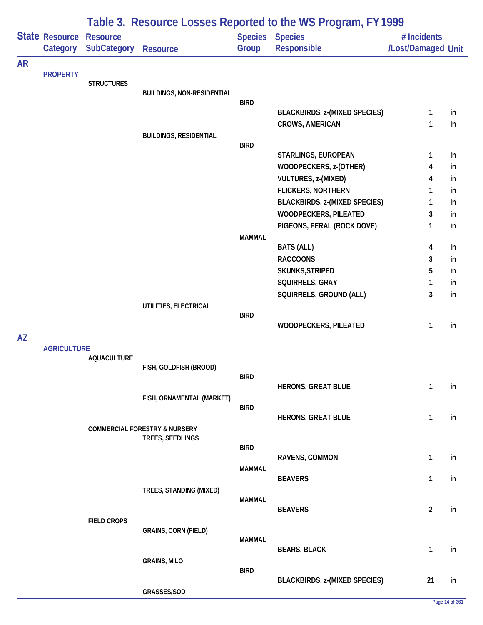|           |                            | Table 3. Resource Losses Reported to the WS Program, FY 1999 |                                          |               |                                      |                                   |    |  |  |  |
|-----------|----------------------------|--------------------------------------------------------------|------------------------------------------|---------------|--------------------------------------|-----------------------------------|----|--|--|--|
|           | State Resource<br>Category | <b>Resource</b><br><b>SubCategory</b>                        | <b>Resource</b>                          | Group         | Species Species<br>Responsible       | # Incidents<br>/Lost/Damaged Unit |    |  |  |  |
| <b>AR</b> |                            |                                                              |                                          |               |                                      |                                   |    |  |  |  |
|           | <b>PROPERTY</b>            | <b>STRUCTURES</b>                                            |                                          |               |                                      |                                   |    |  |  |  |
|           |                            |                                                              | <b>BUILDINGS, NON-RESIDENTIAL</b>        |               |                                      |                                   |    |  |  |  |
|           |                            |                                                              |                                          | <b>BIRD</b>   |                                      |                                   |    |  |  |  |
|           |                            |                                                              |                                          |               | <b>BLACKBIRDS, z-(MIXED SPECIES)</b> | $\mathbf{1}$                      | in |  |  |  |
|           |                            |                                                              | <b>BUILDINGS, RESIDENTIAL</b>            |               | <b>CROWS, AMERICAN</b>               | 1                                 | in |  |  |  |
|           |                            |                                                              |                                          | <b>BIRD</b>   |                                      |                                   |    |  |  |  |
|           |                            |                                                              |                                          |               | STARLINGS, EUROPEAN                  | 1                                 | in |  |  |  |
|           |                            |                                                              |                                          |               | WOODPECKERS, z-(OTHER)               | 4                                 | in |  |  |  |
|           |                            |                                                              |                                          |               | VULTURES, z-(MIXED)                  | 4                                 | in |  |  |  |
|           |                            |                                                              |                                          |               | <b>FLICKERS, NORTHERN</b>            | 1                                 | in |  |  |  |
|           |                            |                                                              |                                          |               | <b>BLACKBIRDS, z-(MIXED SPECIES)</b> | 1                                 | in |  |  |  |
|           |                            |                                                              |                                          |               | <b>WOODPECKERS, PILEATED</b>         | 3                                 | in |  |  |  |
|           |                            |                                                              |                                          |               | PIGEONS, FERAL (ROCK DOVE)           | 1                                 | in |  |  |  |
|           |                            |                                                              |                                          | <b>MAMMAL</b> |                                      |                                   |    |  |  |  |
|           |                            |                                                              |                                          |               | <b>BATS (ALL)</b>                    | 4                                 | in |  |  |  |
|           |                            |                                                              |                                          |               | <b>RACCOONS</b>                      | 3                                 | in |  |  |  |
|           |                            |                                                              |                                          |               | SKUNKS, STRIPED                      | 5                                 | in |  |  |  |
|           |                            |                                                              |                                          |               | SQUIRRELS, GRAY                      | 1<br>3                            | in |  |  |  |
|           |                            |                                                              | UTILITIES, ELECTRICAL                    |               | SQUIRRELS, GROUND (ALL)              |                                   | in |  |  |  |
|           |                            |                                                              |                                          | <b>BIRD</b>   |                                      |                                   |    |  |  |  |
|           |                            |                                                              |                                          |               | WOODPECKERS, PILEATED                | 1                                 | in |  |  |  |
| AZ        |                            |                                                              |                                          |               |                                      |                                   |    |  |  |  |
|           | <b>AGRICULTURE</b>         |                                                              |                                          |               |                                      |                                   |    |  |  |  |
|           |                            | <b>AQUACULTURE</b>                                           | FISH, GOLDFISH (BROOD)                   |               |                                      |                                   |    |  |  |  |
|           |                            |                                                              |                                          | <b>BIRD</b>   |                                      |                                   |    |  |  |  |
|           |                            |                                                              |                                          |               | <b>HERONS, GREAT BLUE</b>            | $\mathbf{1}$                      | in |  |  |  |
|           |                            |                                                              | FISH, ORNAMENTAL (MARKET)                |               |                                      |                                   |    |  |  |  |
|           |                            |                                                              |                                          | <b>BIRD</b>   | <b>HERONS, GREAT BLUE</b>            | $\mathbf{1}$                      | in |  |  |  |
|           |                            |                                                              | <b>COMMERCIAL FORESTRY &amp; NURSERY</b> |               |                                      |                                   |    |  |  |  |
|           |                            |                                                              | TREES, SEEDLINGS                         |               |                                      |                                   |    |  |  |  |
|           |                            |                                                              |                                          | <b>BIRD</b>   |                                      |                                   |    |  |  |  |
|           |                            |                                                              |                                          |               | RAVENS, COMMON                       | $\mathbf{1}$                      | in |  |  |  |
|           |                            |                                                              |                                          | <b>MAMMAL</b> | <b>BEAVERS</b>                       | $\mathbf{1}$                      | in |  |  |  |
|           |                            |                                                              | TREES, STANDING (MIXED)                  |               |                                      |                                   |    |  |  |  |
|           |                            |                                                              |                                          | <b>MAMMAL</b> |                                      |                                   |    |  |  |  |
|           |                            |                                                              |                                          |               | <b>BEAVERS</b>                       | $\overline{2}$                    | in |  |  |  |
|           |                            | <b>FIELD CROPS</b>                                           |                                          |               |                                      |                                   |    |  |  |  |
|           |                            |                                                              | <b>GRAINS, CORN (FIELD)</b>              | <b>MAMMAL</b> |                                      |                                   |    |  |  |  |
|           |                            |                                                              |                                          |               | <b>BEARS, BLACK</b>                  | $\mathbf{1}$                      | in |  |  |  |
|           |                            |                                                              | <b>GRAINS, MILO</b>                      |               |                                      |                                   |    |  |  |  |
|           |                            |                                                              |                                          | <b>BIRD</b>   |                                      |                                   |    |  |  |  |
|           |                            |                                                              |                                          |               | <b>BLACKBIRDS, z-(MIXED SPECIES)</b> | 21                                | in |  |  |  |
|           |                            |                                                              | GRASSES/SOD                              |               |                                      |                                   |    |  |  |  |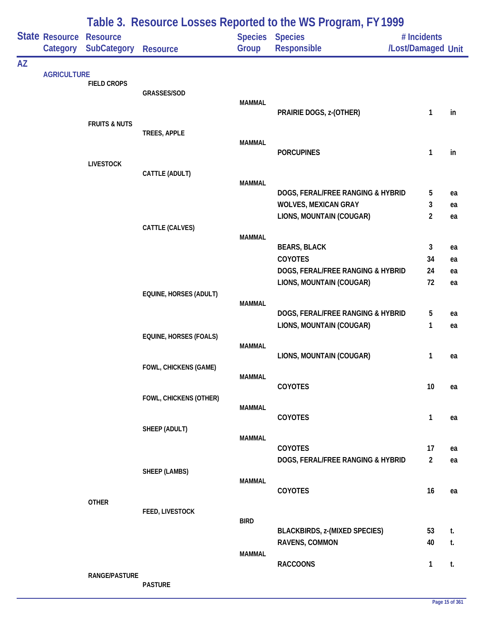|           |                                     |                          |                               |               | Table 3. Resource Losses Reported to the WS Program, FY 1999 |                                   |          |
|-----------|-------------------------------------|--------------------------|-------------------------------|---------------|--------------------------------------------------------------|-----------------------------------|----------|
|           | State Resource Resource<br>Category | <b>SubCategory</b>       | <b>Resource</b>               | Group         | Species Species<br>Responsible                               | # Incidents<br>/Lost/Damaged Unit |          |
| <b>AZ</b> |                                     |                          |                               |               |                                                              |                                   |          |
|           | <b>AGRICULTURE</b>                  | <b>FIELD CROPS</b>       |                               |               |                                                              |                                   |          |
|           |                                     |                          | GRASSES/SOD                   | <b>MAMMAL</b> |                                                              |                                   |          |
|           |                                     |                          |                               |               | PRAIRIE DOGS, z-(OTHER)                                      | $\mathbf{1}$                      | in       |
|           |                                     | <b>FRUITS &amp; NUTS</b> |                               |               |                                                              |                                   |          |
|           |                                     |                          | TREES, APPLE                  | <b>MAMMAL</b> |                                                              |                                   |          |
|           |                                     |                          |                               |               | <b>PORCUPINES</b>                                            | 1                                 | in       |
|           |                                     | <b>LIVESTOCK</b>         | CATTLE (ADULT)                |               |                                                              |                                   |          |
|           |                                     |                          |                               | <b>MAMMAL</b> |                                                              |                                   |          |
|           |                                     |                          |                               |               | DOGS, FERAL/FREE RANGING & HYBRID                            | 5                                 | ea       |
|           |                                     |                          |                               |               | <b>WOLVES, MEXICAN GRAY</b><br>LIONS, MOUNTAIN (COUGAR)      | 3<br>$\overline{2}$               | ea       |
|           |                                     |                          | CATTLE (CALVES)               |               |                                                              |                                   | ea       |
|           |                                     |                          |                               | <b>MAMMAL</b> |                                                              |                                   |          |
|           |                                     |                          |                               |               | <b>BEARS, BLACK</b><br>COYOTES                               | 3<br>34                           | ea       |
|           |                                     |                          |                               |               | DOGS, FERAL/FREE RANGING & HYBRID                            | 24                                | ea<br>ea |
|           |                                     |                          |                               |               | LIONS, MOUNTAIN (COUGAR)                                     | 72                                | ea       |
|           |                                     |                          | EQUINE, HORSES (ADULT)        |               |                                                              |                                   |          |
|           |                                     |                          |                               | <b>MAMMAL</b> | DOGS, FERAL/FREE RANGING & HYBRID                            | 5                                 | ea       |
|           |                                     |                          |                               |               | LIONS, MOUNTAIN (COUGAR)                                     | 1                                 | ea       |
|           |                                     |                          | <b>EQUINE, HORSES (FOALS)</b> |               |                                                              |                                   |          |
|           |                                     |                          |                               | <b>MAMMAL</b> | LIONS, MOUNTAIN (COUGAR)                                     | 1                                 | ea       |
|           |                                     |                          | FOWL, CHICKENS (GAME)         |               |                                                              |                                   |          |
|           |                                     |                          |                               | <b>MAMMAL</b> | COYOTES                                                      | $10$                              | ea       |
|           |                                     |                          | FOWL, CHICKENS (OTHER)        |               |                                                              |                                   |          |
|           |                                     |                          |                               | <b>MAMMAL</b> |                                                              |                                   |          |
|           |                                     |                          | SHEEP (ADULT)                 |               | COYOTES                                                      | 1                                 | ea       |
|           |                                     |                          |                               | <b>MAMMAL</b> |                                                              |                                   |          |
|           |                                     |                          |                               |               | COYOTES                                                      | 17                                | ea       |
|           |                                     |                          | SHEEP (LAMBS)                 |               | DOGS, FERAL/FREE RANGING & HYBRID                            | $\overline{2}$                    | ea       |
|           |                                     |                          |                               | <b>MAMMAL</b> |                                                              |                                   |          |
|           |                                     | <b>OTHER</b>             |                               |               | COYOTES                                                      | 16                                | ea       |
|           |                                     |                          | FEED, LIVESTOCK               |               |                                                              |                                   |          |
|           |                                     |                          |                               | <b>BIRD</b>   |                                                              | 53                                | t.       |
|           |                                     |                          |                               |               | <b>BLACKBIRDS, z-(MIXED SPECIES)</b><br>RAVENS, COMMON       | 40                                | t.       |
|           |                                     |                          |                               | <b>MAMMAL</b> |                                                              |                                   |          |
|           |                                     |                          |                               |               | <b>RACCOONS</b>                                              | 1                                 | t.       |
|           |                                     | RANGE/PASTURE            | <b>PASTURE</b>                |               |                                                              |                                   |          |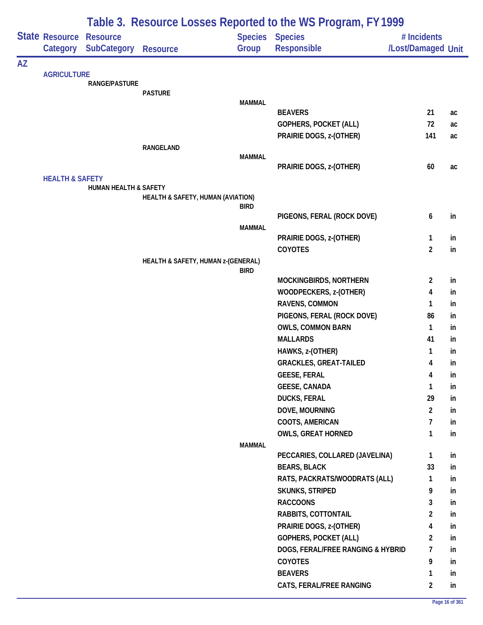|           |                            | Table 3. Resource Losses Reported to the WS Program, FY 1999 |                                    |                |                                   |                         |    |  |  |
|-----------|----------------------------|--------------------------------------------------------------|------------------------------------|----------------|-----------------------------------|-------------------------|----|--|--|
|           | State Resource             | <b>Resource</b>                                              |                                    | <b>Species</b> | <b>Species</b>                    | # Incidents             |    |  |  |
|           | Category                   | <b>SubCategory</b>                                           | <b>Resource</b>                    | Group          | <b>Responsible</b>                | /Lost/Damaged Unit      |    |  |  |
| <b>AZ</b> |                            |                                                              |                                    |                |                                   |                         |    |  |  |
|           | <b>AGRICULTURE</b>         | <b>RANGE/PASTURE</b>                                         |                                    |                |                                   |                         |    |  |  |
|           |                            |                                                              | <b>PASTURE</b>                     |                |                                   |                         |    |  |  |
|           |                            |                                                              |                                    | <b>MAMMAL</b>  |                                   |                         |    |  |  |
|           |                            |                                                              |                                    |                | <b>BEAVERS</b>                    | 21                      | ac |  |  |
|           |                            |                                                              |                                    |                | <b>GOPHERS, POCKET (ALL)</b>      | 72                      | ac |  |  |
|           |                            |                                                              |                                    |                | PRAIRIE DOGS, z-(OTHER)           | 141                     | ac |  |  |
|           |                            |                                                              | RANGELAND                          | <b>MAMMAL</b>  |                                   |                         |    |  |  |
|           |                            |                                                              |                                    |                | PRAIRIE DOGS, z-(OTHER)           | 60                      | ac |  |  |
|           | <b>HEALTH &amp; SAFETY</b> |                                                              |                                    |                |                                   |                         |    |  |  |
|           |                            | <b>HUMAN HEALTH &amp; SAFETY</b>                             |                                    |                |                                   |                         |    |  |  |
|           |                            |                                                              | HEALTH & SAFETY, HUMAN (AVIATION)  |                |                                   |                         |    |  |  |
|           |                            |                                                              |                                    | <b>BIRD</b>    | PIGEONS, FERAL (ROCK DOVE)        | 6                       | in |  |  |
|           |                            |                                                              |                                    | <b>MAMMAL</b>  |                                   |                         |    |  |  |
|           |                            |                                                              |                                    |                | PRAIRIE DOGS, z-(OTHER)           | 1                       | in |  |  |
|           |                            |                                                              |                                    |                | COYOTES                           | $\overline{2}$          | in |  |  |
|           |                            |                                                              | HEALTH & SAFETY, HUMAN z-(GENERAL) |                |                                   |                         |    |  |  |
|           |                            |                                                              |                                    | <b>BIRD</b>    |                                   |                         |    |  |  |
|           |                            |                                                              |                                    |                | MOCKINGBIRDS, NORTHERN            | $\overline{2}$          | in |  |  |
|           |                            |                                                              |                                    |                | WOODPECKERS, z-(OTHER)            | 4                       | in |  |  |
|           |                            |                                                              |                                    |                | RAVENS, COMMON                    | 1                       | in |  |  |
|           |                            |                                                              |                                    |                | PIGEONS, FERAL (ROCK DOVE)        | 86                      | in |  |  |
|           |                            |                                                              |                                    |                | <b>OWLS, COMMON BARN</b>          | 1                       | in |  |  |
|           |                            |                                                              |                                    |                | <b>MALLARDS</b>                   | 41                      | in |  |  |
|           |                            |                                                              |                                    |                | HAWKS, z-(OTHER)                  | 1                       | in |  |  |
|           |                            |                                                              |                                    |                | <b>GRACKLES, GREAT-TAILED</b>     | 4                       | in |  |  |
|           |                            |                                                              |                                    |                | <b>GEESE, FERAL</b>               | 4                       | in |  |  |
|           |                            |                                                              |                                    |                | <b>GEESE, CANADA</b>              | 1                       | in |  |  |
|           |                            |                                                              |                                    |                | <b>DUCKS, FERAL</b>               | 29                      | in |  |  |
|           |                            |                                                              |                                    |                | DOVE, MOURNING                    | $\overline{2}$          | in |  |  |
|           |                            |                                                              |                                    |                | COOTS, AMERICAN                   | $\overline{7}$          | in |  |  |
|           |                            |                                                              |                                    |                | <b>OWLS, GREAT HORNED</b>         | 1                       | in |  |  |
|           |                            |                                                              |                                    | <b>MAMMAL</b>  | PECCARIES, COLLARED (JAVELINA)    | 1                       | in |  |  |
|           |                            |                                                              |                                    |                | <b>BEARS, BLACK</b>               | 33                      | in |  |  |
|           |                            |                                                              |                                    |                | RATS, PACKRATS/WOODRATS (ALL)     | 1                       | in |  |  |
|           |                            |                                                              |                                    |                | <b>SKUNKS, STRIPED</b>            | 9                       | in |  |  |
|           |                            |                                                              |                                    |                | <b>RACCOONS</b>                   | 3                       | in |  |  |
|           |                            |                                                              |                                    |                | RABBITS, COTTONTAIL               | $\overline{\mathbf{c}}$ | in |  |  |
|           |                            |                                                              |                                    |                | PRAIRIE DOGS, z-(OTHER)           | 4                       | in |  |  |
|           |                            |                                                              |                                    |                | <b>GOPHERS, POCKET (ALL)</b>      | $\overline{2}$          | in |  |  |
|           |                            |                                                              |                                    |                | DOGS, FERAL/FREE RANGING & HYBRID | 7                       | in |  |  |
|           |                            |                                                              |                                    |                | <b>COYOTES</b>                    | 9                       | in |  |  |
|           |                            |                                                              |                                    |                | <b>BEAVERS</b>                    | 1                       | in |  |  |
|           |                            |                                                              |                                    |                | CATS, FERAL/FREE RANGING          | $\overline{2}$          | in |  |  |
|           |                            |                                                              |                                    |                |                                   |                         |    |  |  |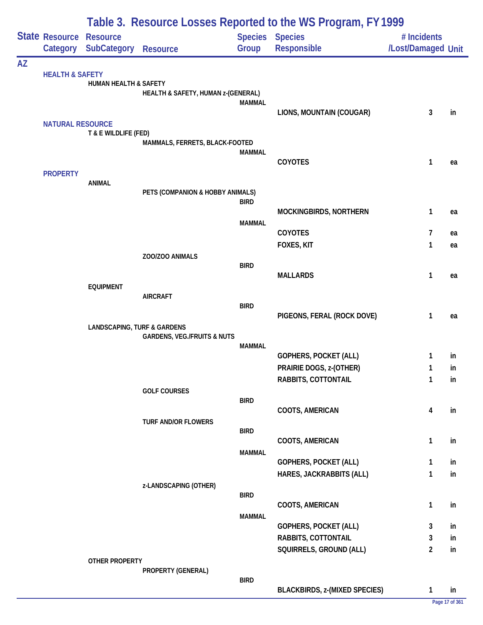|           |                                            | Table 3. Resource Losses Reported to the WS Program, FY 1999 |                                        |               |                                       |                                   |                      |  |  |
|-----------|--------------------------------------------|--------------------------------------------------------------|----------------------------------------|---------------|---------------------------------------|-----------------------------------|----------------------|--|--|
|           | <b>State Resource Resource</b><br>Category | <b>SubCategory</b>                                           | <b>Resource</b>                        | Group         | <b>Species Species</b><br>Responsible | # Incidents<br>/Lost/Damaged Unit |                      |  |  |
| <b>AZ</b> |                                            |                                                              |                                        |               |                                       |                                   |                      |  |  |
|           | <b>HEALTH &amp; SAFETY</b>                 | HUMAN HEALTH & SAFETY                                        |                                        |               |                                       |                                   |                      |  |  |
|           |                                            |                                                              | HEALTH & SAFETY, HUMAN z-(GENERAL)     |               |                                       |                                   |                      |  |  |
|           |                                            |                                                              |                                        | <b>MAMMAL</b> | LIONS, MOUNTAIN (COUGAR)              | 3                                 | in                   |  |  |
|           | <b>NATURAL RESOURCE</b>                    |                                                              |                                        |               |                                       |                                   |                      |  |  |
|           |                                            | T & E WILDLIFE (FED)                                         |                                        |               |                                       |                                   |                      |  |  |
|           |                                            |                                                              | MAMMALS, FERRETS, BLACK-FOOTED         | MAMMAL        |                                       |                                   |                      |  |  |
|           |                                            |                                                              |                                        |               | COYOTES                               | 1                                 | ea                   |  |  |
|           | <b>PROPERTY</b>                            |                                                              |                                        |               |                                       |                                   |                      |  |  |
|           |                                            | <b>ANIMAL</b>                                                |                                        |               |                                       |                                   |                      |  |  |
|           |                                            |                                                              | PETS (COMPANION & HOBBY ANIMALS)       | <b>BIRD</b>   |                                       |                                   |                      |  |  |
|           |                                            |                                                              |                                        |               | MOCKINGBIRDS, NORTHERN                | 1                                 | ea                   |  |  |
|           |                                            |                                                              |                                        | <b>MAMMAL</b> |                                       |                                   |                      |  |  |
|           |                                            |                                                              |                                        |               | COYOTES<br>FOXES, KIT                 | 7<br>1                            | ea                   |  |  |
|           |                                            |                                                              | ZOO/ZOO ANIMALS                        |               |                                       |                                   | ea                   |  |  |
|           |                                            |                                                              |                                        | <b>BIRD</b>   |                                       |                                   |                      |  |  |
|           |                                            |                                                              |                                        |               | <b>MALLARDS</b>                       | 1                                 | ea                   |  |  |
|           |                                            | <b>EQUIPMENT</b>                                             | <b>AIRCRAFT</b>                        |               |                                       |                                   |                      |  |  |
|           |                                            |                                                              |                                        | <b>BIRD</b>   |                                       |                                   |                      |  |  |
|           |                                            |                                                              |                                        |               | PIGEONS, FERAL (ROCK DOVE)            | 1                                 | ea                   |  |  |
|           |                                            | <b>LANDSCAPING, TURF &amp; GARDENS</b>                       | <b>GARDENS, VEG./FRUITS &amp; NUTS</b> |               |                                       |                                   |                      |  |  |
|           |                                            |                                                              |                                        | <b>MAMMAL</b> |                                       |                                   |                      |  |  |
|           |                                            |                                                              |                                        |               | <b>GOPHERS, POCKET (ALL)</b>          | 1                                 | in                   |  |  |
|           |                                            |                                                              |                                        |               | PRAIRIE DOGS, z-(OTHER)               |                                   | in                   |  |  |
|           |                                            |                                                              |                                        |               | RABBITS, COTTONTAIL                   | 1                                 | in                   |  |  |
|           |                                            |                                                              | <b>GOLF COURSES</b>                    | <b>BIRD</b>   |                                       |                                   |                      |  |  |
|           |                                            |                                                              |                                        |               | COOTS, AMERICAN                       | 4                                 | in                   |  |  |
|           |                                            |                                                              | TURF AND/OR FLOWERS                    |               |                                       |                                   |                      |  |  |
|           |                                            |                                                              |                                        | <b>BIRD</b>   | COOTS, AMERICAN                       | 1                                 | in                   |  |  |
|           |                                            |                                                              |                                        | <b>MAMMAL</b> |                                       |                                   |                      |  |  |
|           |                                            |                                                              |                                        |               | GOPHERS, POCKET (ALL)                 | 1                                 | in                   |  |  |
|           |                                            |                                                              |                                        |               | HARES, JACKRABBITS (ALL)              | 1                                 | in                   |  |  |
|           |                                            |                                                              | z-LANDSCAPING (OTHER)                  | <b>BIRD</b>   |                                       |                                   |                      |  |  |
|           |                                            |                                                              |                                        |               | COOTS, AMERICAN                       | 1                                 | in                   |  |  |
|           |                                            |                                                              |                                        | <b>MAMMAL</b> |                                       |                                   |                      |  |  |
|           |                                            |                                                              |                                        |               | GOPHERS, POCKET (ALL)                 | 3                                 | in                   |  |  |
|           |                                            |                                                              |                                        |               | RABBITS, COTTONTAIL                   | 3                                 | in                   |  |  |
|           |                                            | OTHER PROPERTY                                               |                                        |               | SQUIRRELS, GROUND (ALL)               | 2                                 | in                   |  |  |
|           |                                            |                                                              | PROPERTY (GENERAL)                     |               |                                       |                                   |                      |  |  |
|           |                                            |                                                              |                                        | <b>BIRD</b>   |                                       |                                   |                      |  |  |
|           |                                            |                                                              |                                        |               | <b>BLACKBIRDS, z-(MIXED SPECIES)</b>  | 1                                 | in<br>Page 17 of 361 |  |  |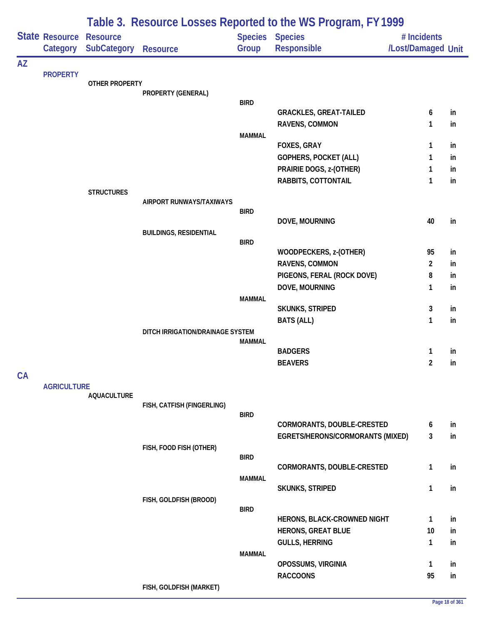|           |                            | Table 3. Resource Losses Reported to the WS Program, FY 1999 |                                  |               |                                   |                                   |          |  |  |
|-----------|----------------------------|--------------------------------------------------------------|----------------------------------|---------------|-----------------------------------|-----------------------------------|----------|--|--|
|           | State Resource<br>Category | <b>Resource</b><br><b>SubCategory</b>                        | <b>Resource</b>                  | Group         | Species Species<br>Responsible    | # Incidents<br>/Lost/Damaged Unit |          |  |  |
| <b>AZ</b> |                            |                                                              |                                  |               |                                   |                                   |          |  |  |
|           | <b>PROPERTY</b>            | <b>OTHER PROPERTY</b>                                        |                                  |               |                                   |                                   |          |  |  |
|           |                            |                                                              | PROPERTY (GENERAL)               |               |                                   |                                   |          |  |  |
|           |                            |                                                              |                                  | <b>BIRD</b>   | <b>GRACKLES, GREAT-TAILED</b>     | 6                                 | in       |  |  |
|           |                            |                                                              |                                  |               | RAVENS, COMMON                    | 1                                 | in       |  |  |
|           |                            |                                                              |                                  | <b>MAMMAL</b> |                                   |                                   |          |  |  |
|           |                            |                                                              |                                  |               | <b>FOXES, GRAY</b>                | 1                                 | in       |  |  |
|           |                            |                                                              |                                  |               | GOPHERS, POCKET (ALL)             | 1                                 | in       |  |  |
|           |                            |                                                              |                                  |               | PRAIRIE DOGS, z-(OTHER)           | 1                                 | in       |  |  |
|           |                            |                                                              |                                  |               | RABBITS, COTTONTAIL               | 1                                 | in       |  |  |
|           |                            | <b>STRUCTURES</b>                                            | AIRPORT RUNWAYS/TAXIWAYS         |               |                                   |                                   |          |  |  |
|           |                            |                                                              |                                  | <b>BIRD</b>   |                                   |                                   |          |  |  |
|           |                            |                                                              |                                  |               | DOVE, MOURNING                    | 40                                | in       |  |  |
|           |                            |                                                              | <b>BUILDINGS, RESIDENTIAL</b>    | <b>BIRD</b>   |                                   |                                   |          |  |  |
|           |                            |                                                              |                                  |               | WOODPECKERS, z-(OTHER)            | 95                                | in       |  |  |
|           |                            |                                                              |                                  |               | RAVENS, COMMON                    | $\overline{2}$                    | in       |  |  |
|           |                            |                                                              |                                  |               | PIGEONS, FERAL (ROCK DOVE)        | 8                                 | in       |  |  |
|           |                            |                                                              |                                  |               | DOVE, MOURNING                    | 1                                 | in       |  |  |
|           |                            |                                                              |                                  | <b>MAMMAL</b> |                                   |                                   |          |  |  |
|           |                            |                                                              |                                  |               | <b>SKUNKS, STRIPED</b>            | 3<br>1                            | in<br>in |  |  |
|           |                            |                                                              | DITCH IRRIGATION/DRAINAGE SYSTEM |               | <b>BATS (ALL)</b>                 |                                   |          |  |  |
|           |                            |                                                              |                                  | <b>MAMMAL</b> |                                   |                                   |          |  |  |
|           |                            |                                                              |                                  |               | <b>BADGERS</b>                    | 1                                 | in       |  |  |
|           |                            |                                                              |                                  |               | <b>BEAVERS</b>                    | $\overline{2}$                    | in       |  |  |
| CA        |                            |                                                              |                                  |               |                                   |                                   |          |  |  |
|           | <b>AGRICULTURE</b>         | <b>AQUACULTURE</b>                                           |                                  |               |                                   |                                   |          |  |  |
|           |                            |                                                              | FISH, CATFISH (FINGERLING)       |               |                                   |                                   |          |  |  |
|           |                            |                                                              |                                  | <b>BIRD</b>   | <b>CORMORANTS, DOUBLE-CRESTED</b> |                                   |          |  |  |
|           |                            |                                                              |                                  |               | EGRETS/HERONS/CORMORANTS (MIXED)  | 6<br>3                            | in<br>in |  |  |
|           |                            |                                                              | FISH, FOOD FISH (OTHER)          |               |                                   |                                   |          |  |  |
|           |                            |                                                              |                                  | <b>BIRD</b>   |                                   |                                   |          |  |  |
|           |                            |                                                              |                                  |               | CORMORANTS, DOUBLE-CRESTED        | $\mathbf{1}$                      | in       |  |  |
|           |                            |                                                              |                                  | <b>MAMMAL</b> | <b>SKUNKS, STRIPED</b>            | 1                                 | in       |  |  |
|           |                            |                                                              | FISH, GOLDFISH (BROOD)           |               |                                   |                                   |          |  |  |
|           |                            |                                                              |                                  | <b>BIRD</b>   |                                   |                                   |          |  |  |
|           |                            |                                                              |                                  |               | HERONS, BLACK-CROWNED NIGHT       | 1                                 | in       |  |  |
|           |                            |                                                              |                                  |               | <b>HERONS, GREAT BLUE</b>         | 10                                | in       |  |  |
|           |                            |                                                              |                                  |               | <b>GULLS, HERRING</b>             | 1                                 | in       |  |  |
|           |                            |                                                              |                                  | <b>MAMMAL</b> | OPOSSUMS, VIRGINIA                | 1                                 | in       |  |  |
|           |                            |                                                              |                                  |               | <b>RACCOONS</b>                   | 95                                | in       |  |  |
|           |                            |                                                              | FISH, GOLDFISH (MARKET)          |               |                                   |                                   |          |  |  |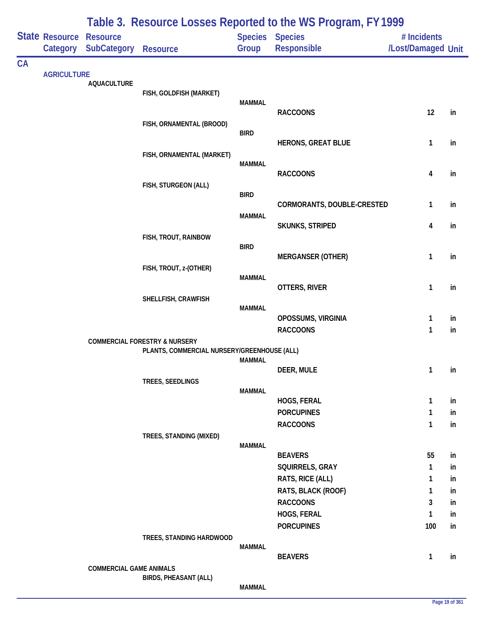|    |                            |                                       |                                                                                         |               | Table 3. Resource Losses Reported to the WS Program, FY 1999 |                                   |          |
|----|----------------------------|---------------------------------------|-----------------------------------------------------------------------------------------|---------------|--------------------------------------------------------------|-----------------------------------|----------|
|    | State Resource<br>Category | <b>Resource</b><br><b>SubCategory</b> | <b>Resource</b>                                                                         | Group         | <b>Species Species</b><br><b>Responsible</b>                 | # Incidents<br>/Lost/Damaged Unit |          |
| CA |                            |                                       |                                                                                         |               |                                                              |                                   |          |
|    |                            | <b>AQUACULTURE</b>                    |                                                                                         |               |                                                              |                                   |          |
|    |                            |                                       | FISH, GOLDFISH (MARKET)                                                                 |               |                                                              |                                   |          |
|    |                            |                                       |                                                                                         | <b>MAMMAL</b> | <b>RACCOONS</b>                                              | 12                                |          |
|    |                            |                                       | FISH, ORNAMENTAL (BROOD)                                                                |               |                                                              |                                   | in       |
|    |                            |                                       |                                                                                         | <b>BIRD</b>   |                                                              |                                   |          |
|    |                            |                                       |                                                                                         |               | <b>HERONS, GREAT BLUE</b>                                    | 1                                 | in       |
|    |                            |                                       | FISH, ORNAMENTAL (MARKET)                                                               |               |                                                              |                                   |          |
|    |                            |                                       |                                                                                         | MAMMAL        | <b>RACCOONS</b>                                              | 4                                 | in       |
|    |                            |                                       | FISH, STURGEON (ALL)                                                                    |               |                                                              |                                   |          |
|    |                            |                                       |                                                                                         | <b>BIRD</b>   |                                                              |                                   |          |
|    |                            |                                       |                                                                                         |               | CORMORANTS, DOUBLE-CRESTED                                   | 1                                 | in       |
|    |                            |                                       |                                                                                         | <b>MAMMAL</b> | SKUNKS, STRIPED                                              | $\overline{\mathbf{4}}$           | in       |
|    |                            |                                       | FISH, TROUT, RAINBOW                                                                    |               |                                                              |                                   |          |
|    |                            |                                       |                                                                                         | <b>BIRD</b>   |                                                              |                                   |          |
|    |                            |                                       |                                                                                         |               | <b>MERGANSER (OTHER)</b>                                     | 1                                 | in       |
|    |                            |                                       | FISH, TROUT, z-(OTHER)                                                                  |               |                                                              |                                   |          |
|    |                            |                                       |                                                                                         | MAMMAL        | OTTERS, RIVER                                                | 1                                 | in       |
|    |                            |                                       | SHELLFISH, CRAWFISH                                                                     |               |                                                              |                                   |          |
|    |                            |                                       |                                                                                         | <b>MAMMAL</b> |                                                              |                                   |          |
|    |                            |                                       |                                                                                         |               | OPOSSUMS, VIRGINIA                                           | 1                                 | in       |
|    |                            |                                       |                                                                                         |               | <b>RACCOONS</b>                                              | 1                                 | in       |
|    |                            |                                       | <b>COMMERCIAL FORESTRY &amp; NURSERY</b><br>PLANTS, COMMERCIAL NURSERY/GREENHOUSE (ALL) |               |                                                              |                                   |          |
|    |                            |                                       |                                                                                         | <b>MAMMAL</b> |                                                              |                                   |          |
|    |                            |                                       |                                                                                         |               | DEER, MULE                                                   | $\mathbf{1}$                      | in       |
|    |                            |                                       | TREES, SEEDLINGS                                                                        |               |                                                              |                                   |          |
|    |                            |                                       |                                                                                         | <b>MAMMAL</b> | HOGS, FERAL                                                  | $\mathbf{1}$                      | in       |
|    |                            |                                       |                                                                                         |               | <b>PORCUPINES</b>                                            | 1                                 | in       |
|    |                            |                                       |                                                                                         |               | <b>RACCOONS</b>                                              | $\mathbf{1}$                      | in       |
|    |                            |                                       | TREES, STANDING (MIXED)                                                                 |               |                                                              |                                   |          |
|    |                            |                                       |                                                                                         | <b>MAMMAL</b> |                                                              |                                   |          |
|    |                            |                                       |                                                                                         |               | <b>BEAVERS</b>                                               | 55                                | in       |
|    |                            |                                       |                                                                                         |               | SQUIRRELS, GRAY                                              | $\mathbf{1}$                      | in       |
|    |                            |                                       |                                                                                         |               | RATS, RICE (ALL)                                             | 1                                 | in       |
|    |                            |                                       |                                                                                         |               | RATS, BLACK (ROOF)<br><b>RACCOONS</b>                        | 1<br>3                            | in<br>in |
|    |                            |                                       |                                                                                         |               | HOGS, FERAL                                                  | $\mathbf{1}$                      | in       |
|    |                            |                                       |                                                                                         |               | <b>PORCUPINES</b>                                            | 100                               | in       |
|    |                            |                                       | TREES, STANDING HARDWOOD                                                                |               |                                                              |                                   |          |
|    | <b>AGRICULTURE</b>         |                                       |                                                                                         | <b>MAMMAL</b> |                                                              |                                   |          |
|    |                            |                                       |                                                                                         |               | <b>BEAVERS</b>                                               | $\mathbf{1}$                      | in       |
|    |                            | <b>COMMERCIAL GAME ANIMALS</b>        | <b>BIRDS, PHEASANT (ALL)</b>                                                            |               |                                                              |                                   |          |
|    |                            |                                       |                                                                                         | <b>MAMMAL</b> |                                                              |                                   |          |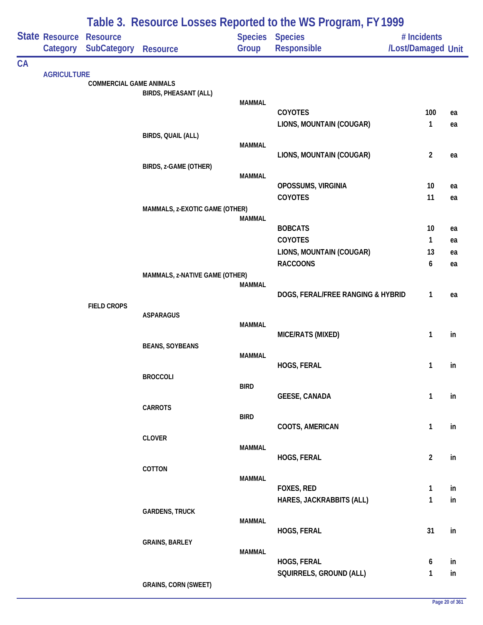|    |                       | Table 3. Resource Losses Reported to the WS Program, FY 1999 |                                |               |                                   |                    |    |  |  |  |
|----|-----------------------|--------------------------------------------------------------|--------------------------------|---------------|-----------------------------------|--------------------|----|--|--|--|
|    | <b>State Resource</b> | <b>Resource</b>                                              |                                |               | <b>Species Species</b>            | # Incidents        |    |  |  |  |
|    | Category              | <b>SubCategory</b>                                           | <b>Resource</b>                | Group         | Responsible                       | /Lost/Damaged Unit |    |  |  |  |
| CA |                       |                                                              |                                |               |                                   |                    |    |  |  |  |
|    | <b>AGRICULTURE</b>    |                                                              |                                |               |                                   |                    |    |  |  |  |
|    |                       | <b>COMMERCIAL GAME ANIMALS</b>                               | <b>BIRDS, PHEASANT (ALL)</b>   |               |                                   |                    |    |  |  |  |
|    |                       |                                                              |                                | <b>MAMMAL</b> |                                   |                    |    |  |  |  |
|    |                       |                                                              |                                |               | <b>COYOTES</b>                    | 100                | ea |  |  |  |
|    |                       |                                                              |                                |               | LIONS, MOUNTAIN (COUGAR)          | 1                  | ea |  |  |  |
|    |                       |                                                              | BIRDS, QUAIL (ALL)             |               |                                   |                    |    |  |  |  |
|    |                       |                                                              |                                | <b>MAMMAL</b> | LIONS, MOUNTAIN (COUGAR)          | $\overline{2}$     | ea |  |  |  |
|    |                       |                                                              | BIRDS, z-GAME (OTHER)          |               |                                   |                    |    |  |  |  |
|    |                       |                                                              |                                | <b>MAMMAL</b> |                                   |                    |    |  |  |  |
|    |                       |                                                              |                                |               | OPOSSUMS, VIRGINIA                | 10                 | ea |  |  |  |
|    |                       |                                                              |                                |               | COYOTES                           | 11                 | ea |  |  |  |
|    |                       |                                                              | MAMMALS, z-EXOTIC GAME (OTHER) |               |                                   |                    |    |  |  |  |
|    |                       |                                                              |                                | <b>MAMMAL</b> | <b>BOBCATS</b>                    | 10                 | ea |  |  |  |
|    |                       |                                                              |                                |               | COYOTES                           | 1                  | ea |  |  |  |
|    |                       |                                                              |                                |               | LIONS, MOUNTAIN (COUGAR)          | 13                 | ea |  |  |  |
|    |                       |                                                              |                                |               | <b>RACCOONS</b>                   | 6                  | ea |  |  |  |
|    |                       |                                                              | MAMMALS, z-NATIVE GAME (OTHER) |               |                                   |                    |    |  |  |  |
|    |                       |                                                              |                                | <b>MAMMAL</b> |                                   |                    |    |  |  |  |
|    |                       |                                                              |                                |               | DOGS, FERAL/FREE RANGING & HYBRID | 1                  | ea |  |  |  |
|    |                       | <b>FIELD CROPS</b>                                           | <b>ASPARAGUS</b>               |               |                                   |                    |    |  |  |  |
|    |                       |                                                              |                                | <b>MAMMAL</b> |                                   |                    |    |  |  |  |
|    |                       |                                                              |                                |               | MICE/RATS (MIXED)                 | 1                  | in |  |  |  |
|    |                       |                                                              | <b>BEANS, SOYBEANS</b>         |               |                                   |                    |    |  |  |  |
|    |                       |                                                              |                                | <b>MAMMAL</b> |                                   |                    |    |  |  |  |
|    |                       |                                                              | <b>BROCCOLI</b>                |               | HOGS, FERAL                       | 1                  | in |  |  |  |
|    |                       |                                                              |                                | <b>BIRD</b>   |                                   |                    |    |  |  |  |
|    |                       |                                                              |                                |               | <b>GEESE, CANADA</b>              | $\mathbf{1}$       | in |  |  |  |
|    |                       |                                                              | <b>CARROTS</b>                 |               |                                   |                    |    |  |  |  |
|    |                       |                                                              |                                | <b>BIRD</b>   |                                   | 1                  |    |  |  |  |
|    |                       |                                                              | <b>CLOVER</b>                  |               | COOTS, AMERICAN                   |                    | in |  |  |  |
|    |                       |                                                              |                                | <b>MAMMAL</b> |                                   |                    |    |  |  |  |
|    |                       |                                                              |                                |               | HOGS, FERAL                       | $\overline{a}$     | in |  |  |  |
|    |                       |                                                              | COTTON                         |               |                                   |                    |    |  |  |  |
|    |                       |                                                              |                                | <b>MAMMAL</b> | FOXES, RED                        | $\mathbf{1}$       | in |  |  |  |
|    |                       |                                                              |                                |               | HARES, JACKRABBITS (ALL)          | 1                  | in |  |  |  |
|    |                       |                                                              | <b>GARDENS, TRUCK</b>          |               |                                   |                    |    |  |  |  |
|    |                       |                                                              |                                | <b>MAMMAL</b> |                                   |                    |    |  |  |  |
|    |                       |                                                              |                                |               | HOGS, FERAL                       | 31                 | in |  |  |  |
|    |                       |                                                              | <b>GRAINS, BARLEY</b>          |               |                                   |                    |    |  |  |  |
|    |                       |                                                              |                                | <b>MAMMAL</b> | HOGS, FERAL                       | 6                  | in |  |  |  |
|    |                       |                                                              |                                |               | SQUIRRELS, GROUND (ALL)           | 1                  | in |  |  |  |
|    |                       |                                                              | <b>GRAINS, CORN (SWEET)</b>    |               |                                   |                    |    |  |  |  |
|    |                       |                                                              |                                |               |                                   |                    |    |  |  |  |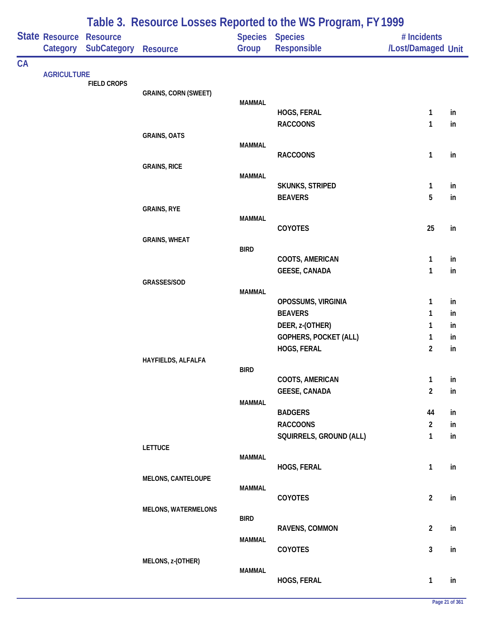|    |                    |                    |                             |                | Table 3. Resource Losses Reported to the WS Program, FY 1999 |                                |          |
|----|--------------------|--------------------|-----------------------------|----------------|--------------------------------------------------------------|--------------------------------|----------|
|    | State Resource     | <b>Resource</b>    |                             | <b>Species</b> | <b>Species</b>                                               | # Incidents                    |          |
|    | Category           | <b>SubCategory</b> | <b>Resource</b>             | Group          | Responsible                                                  | /Lost/Damaged Unit             |          |
| CA |                    |                    |                             |                |                                                              |                                |          |
|    | <b>AGRICULTURE</b> | <b>FIELD CROPS</b> |                             |                |                                                              |                                |          |
|    |                    |                    | <b>GRAINS, CORN (SWEET)</b> |                |                                                              |                                |          |
|    |                    |                    |                             | <b>MAMMAL</b>  | HOGS, FERAL                                                  | $\mathbf{1}$                   | in       |
|    |                    |                    |                             |                | <b>RACCOONS</b>                                              | 1                              | in       |
|    |                    |                    | <b>GRAINS, OATS</b>         |                |                                                              |                                |          |
|    |                    |                    |                             | <b>MAMMAL</b>  |                                                              |                                |          |
|    |                    |                    |                             |                | <b>RACCOONS</b>                                              | 1                              | in       |
|    |                    |                    | <b>GRAINS, RICE</b>         | <b>MAMMAL</b>  |                                                              |                                |          |
|    |                    |                    |                             |                | SKUNKS, STRIPED                                              | $\mathbf{1}$                   | in       |
|    |                    |                    |                             |                | <b>BEAVERS</b>                                               | 5                              | in       |
|    |                    |                    | <b>GRAINS, RYE</b>          |                |                                                              |                                |          |
|    |                    |                    |                             | <b>MAMMAL</b>  | COYOTES                                                      | 25                             | in       |
|    |                    |                    | <b>GRAINS, WHEAT</b>        |                |                                                              |                                |          |
|    |                    |                    |                             | <b>BIRD</b>    |                                                              |                                |          |
|    |                    |                    |                             |                | COOTS, AMERICAN                                              | 1                              | in       |
|    |                    |                    |                             |                | <b>GEESE, CANADA</b>                                         | $\mathbf{1}$                   | in       |
|    |                    |                    | GRASSES/SOD                 | <b>MAMMAL</b>  |                                                              |                                |          |
|    |                    |                    |                             |                | OPOSSUMS, VIRGINIA                                           | $\mathbf{1}$                   | in       |
|    |                    |                    |                             |                | <b>BEAVERS</b>                                               | 1                              | in       |
|    |                    |                    |                             |                | DEER, z-(OTHER)                                              | 1                              | in       |
|    |                    |                    |                             |                | <b>GOPHERS, POCKET (ALL)</b>                                 | $\mathbf{1}$                   | in       |
|    |                    |                    |                             |                | HOGS, FERAL                                                  | $\overline{2}$                 | in       |
|    |                    |                    | HAYFIELDS, ALFALFA          | <b>BIRD</b>    |                                                              |                                |          |
|    |                    |                    |                             |                | COOTS, AMERICAN                                              | $\mathbf{1}$                   | in       |
|    |                    |                    |                             |                | <b>GEESE, CANADA</b>                                         | $\overline{2}$                 | in       |
|    |                    |                    |                             | <b>MAMMAL</b>  |                                                              |                                |          |
|    |                    |                    |                             |                | <b>BADGERS</b>                                               | 44                             | in       |
|    |                    |                    |                             |                | <b>RACCOONS</b><br>SQUIRRELS, GROUND (ALL)                   | $\overline{2}$<br>$\mathbf{1}$ | in<br>in |
|    |                    |                    | <b>LETTUCE</b>              |                |                                                              |                                |          |
|    |                    |                    |                             | <b>MAMMAL</b>  |                                                              |                                |          |
|    |                    |                    |                             |                | HOGS, FERAL                                                  | $\mathbf{1}$                   | in       |
|    |                    |                    | <b>MELONS, CANTELOUPE</b>   | <b>MAMMAL</b>  |                                                              |                                |          |
|    |                    |                    |                             |                | COYOTES                                                      | $\overline{2}$                 | in       |
|    |                    |                    | <b>MELONS, WATERMELONS</b>  |                |                                                              |                                |          |
|    |                    |                    |                             | <b>BIRD</b>    |                                                              |                                |          |
|    |                    |                    |                             | <b>MAMMAL</b>  | RAVENS, COMMON                                               | $\overline{2}$                 | in       |
|    |                    |                    |                             |                | COYOTES                                                      | $\mathbf{3}$                   | in       |
|    |                    |                    | MELONS, z-(OTHER)           |                |                                                              |                                |          |
|    |                    |                    |                             | <b>MAMMAL</b>  |                                                              |                                |          |
|    |                    |                    |                             |                | HOGS, FERAL                                                  | $\mathbf{1}$                   | in       |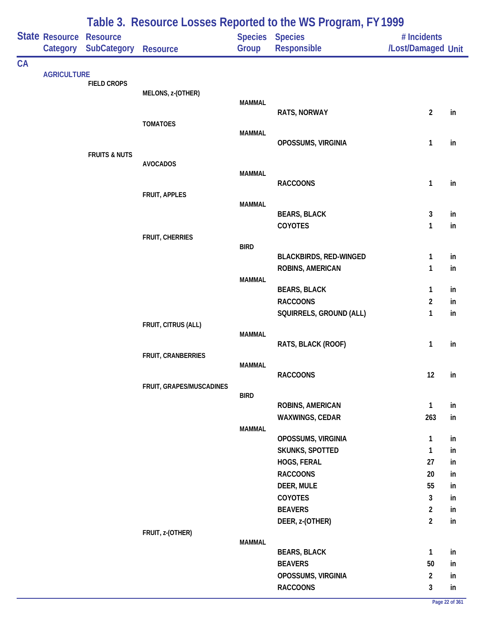|    |                    | Table 3. Resource Losses Reported to the WS Program, FY 1999 |                          |               |                                       |                    |          |  |  |  |
|----|--------------------|--------------------------------------------------------------|--------------------------|---------------|---------------------------------------|--------------------|----------|--|--|--|
|    | State Resource     | <b>Resource</b>                                              |                          |               | Species Species                       | # Incidents        |          |  |  |  |
|    | Category           | <b>SubCategory</b>                                           | <b>Resource</b>          | Group         | Responsible                           | /Lost/Damaged Unit |          |  |  |  |
| CA |                    |                                                              |                          |               |                                       |                    |          |  |  |  |
|    | <b>AGRICULTURE</b> | <b>FIELD CROPS</b>                                           |                          |               |                                       |                    |          |  |  |  |
|    |                    |                                                              | MELONS, z-(OTHER)        |               |                                       |                    |          |  |  |  |
|    |                    |                                                              |                          | <b>MAMMAL</b> |                                       |                    |          |  |  |  |
|    |                    |                                                              | <b>TOMATOES</b>          |               | RATS, NORWAY                          | $\overline{2}$     | in       |  |  |  |
|    |                    |                                                              |                          | <b>MAMMAL</b> |                                       |                    |          |  |  |  |
|    |                    |                                                              |                          |               | OPOSSUMS, VIRGINIA                    | $\mathbf{1}$       | in       |  |  |  |
|    |                    | <b>FRUITS &amp; NUTS</b>                                     |                          |               |                                       |                    |          |  |  |  |
|    |                    |                                                              | <b>AVOCADOS</b>          | <b>MAMMAL</b> |                                       |                    |          |  |  |  |
|    |                    |                                                              |                          |               | <b>RACCOONS</b>                       | 1                  | in       |  |  |  |
|    |                    |                                                              | FRUIT, APPLES            |               |                                       |                    |          |  |  |  |
|    |                    |                                                              |                          | <b>MAMMAL</b> |                                       |                    |          |  |  |  |
|    |                    |                                                              |                          |               | <b>BEARS, BLACK</b>                   | 3                  | in       |  |  |  |
|    |                    |                                                              |                          |               | <b>COYOTES</b>                        | 1                  | in       |  |  |  |
|    |                    |                                                              | <b>FRUIT, CHERRIES</b>   | <b>BIRD</b>   |                                       |                    |          |  |  |  |
|    |                    |                                                              |                          |               | <b>BLACKBIRDS, RED-WINGED</b>         | 1                  | in       |  |  |  |
|    |                    |                                                              |                          |               | ROBINS, AMERICAN                      | 1                  | in       |  |  |  |
|    |                    |                                                              |                          | <b>MAMMAL</b> |                                       |                    |          |  |  |  |
|    |                    |                                                              |                          |               | <b>BEARS, BLACK</b>                   | $\mathbf{1}$       | in       |  |  |  |
|    |                    |                                                              |                          |               | <b>RACCOONS</b>                       | $\overline{2}$     | in       |  |  |  |
|    |                    |                                                              | FRUIT, CITRUS (ALL)      |               | SQUIRRELS, GROUND (ALL)               | 1                  | in       |  |  |  |
|    |                    |                                                              |                          | <b>MAMMAL</b> |                                       |                    |          |  |  |  |
|    |                    |                                                              |                          |               | RATS, BLACK (ROOF)                    | $\mathbf{1}$       | in       |  |  |  |
|    |                    |                                                              | FRUIT, CRANBERRIES       |               |                                       |                    |          |  |  |  |
|    |                    |                                                              |                          | <b>MAMMAL</b> | <b>RACCOONS</b>                       | 12                 | in       |  |  |  |
|    |                    |                                                              | FRUIT, GRAPES/MUSCADINES |               |                                       |                    |          |  |  |  |
|    |                    |                                                              |                          | <b>BIRD</b>   |                                       |                    |          |  |  |  |
|    |                    |                                                              |                          |               | ROBINS, AMERICAN                      | $\mathbf{1}$       | in       |  |  |  |
|    |                    |                                                              |                          |               | WAXWINGS, CEDAR                       | 263                | in       |  |  |  |
|    |                    |                                                              |                          | <b>MAMMAL</b> |                                       |                    |          |  |  |  |
|    |                    |                                                              |                          |               | OPOSSUMS, VIRGINIA<br>SKUNKS, SPOTTED | $\mathbf{1}$<br>1  | in<br>in |  |  |  |
|    |                    |                                                              |                          |               | HOGS, FERAL                           | 27                 | in       |  |  |  |
|    |                    |                                                              |                          |               | <b>RACCOONS</b>                       | 20                 | in       |  |  |  |
|    |                    |                                                              |                          |               | DEER, MULE                            | 55                 | in       |  |  |  |
|    |                    |                                                              |                          |               | COYOTES                               | 3                  | in       |  |  |  |
|    |                    |                                                              |                          |               | <b>BEAVERS</b>                        | $\overline{a}$     | in       |  |  |  |
|    |                    |                                                              |                          |               | DEER, z-(OTHER)                       | $\overline{2}$     | in       |  |  |  |
|    |                    |                                                              | FRUIT, z-(OTHER)         |               |                                       |                    |          |  |  |  |
|    |                    |                                                              |                          | <b>MAMMAL</b> |                                       |                    |          |  |  |  |
|    |                    |                                                              |                          |               | <b>BEARS, BLACK</b><br><b>BEAVERS</b> | $\mathbf{1}$<br>50 | in       |  |  |  |
|    |                    |                                                              |                          |               | OPOSSUMS, VIRGINIA                    | $\overline{2}$     | in<br>in |  |  |  |
|    |                    |                                                              |                          |               | <b>RACCOONS</b>                       | $\mathbf{3}$       | in       |  |  |  |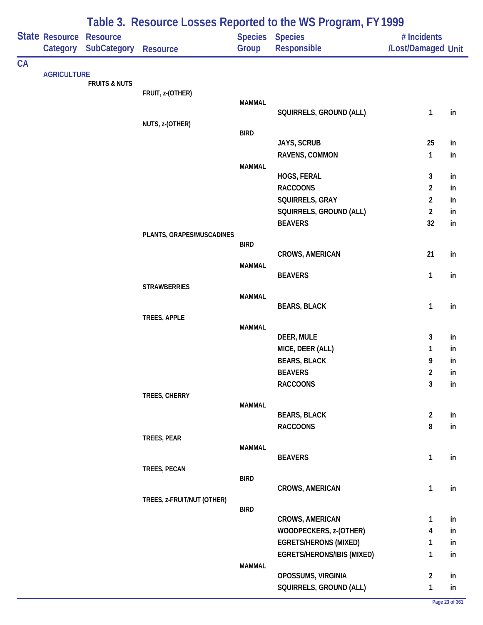|    |                    |                          | Table 3. Resource Losses Reported to the WS Program, FY 1999 |                |                                |                                  |          |  |  |
|----|--------------------|--------------------------|--------------------------------------------------------------|----------------|--------------------------------|----------------------------------|----------|--|--|
|    | State Resource     | <b>Resource</b>          |                                                              | <b>Species</b> | <b>Species</b>                 | # Incidents                      |          |  |  |
|    | Category           | SubCategory              | <b>Resource</b>                                              | Group          | Responsible                    | /Lost/Damaged Unit               |          |  |  |
| CA | <b>AGRICULTURE</b> |                          |                                                              |                |                                |                                  |          |  |  |
|    |                    | <b>FRUITS &amp; NUTS</b> |                                                              |                |                                |                                  |          |  |  |
|    |                    |                          | FRUIT, z-(OTHER)                                             |                |                                |                                  |          |  |  |
|    |                    |                          |                                                              | <b>MAMMAL</b>  | SQUIRRELS, GROUND (ALL)        | $\mathbf{1}$                     | in       |  |  |
|    |                    |                          | NUTS, z-(OTHER)                                              |                |                                |                                  |          |  |  |
|    |                    |                          |                                                              | <b>BIRD</b>    |                                |                                  |          |  |  |
|    |                    |                          |                                                              |                | JAYS, SCRUB                    | 25                               | in       |  |  |
|    |                    |                          |                                                              |                | RAVENS, COMMON                 | $\mathbf{1}$                     | in       |  |  |
|    |                    |                          |                                                              | <b>MAMMAL</b>  |                                |                                  |          |  |  |
|    |                    |                          |                                                              |                | HOGS, FERAL<br><b>RACCOONS</b> | 3                                | in       |  |  |
|    |                    |                          |                                                              |                | SQUIRRELS, GRAY                | $\overline{2}$<br>$\overline{2}$ | in       |  |  |
|    |                    |                          |                                                              |                | SQUIRRELS, GROUND (ALL)        | $\overline{2}$                   | in       |  |  |
|    |                    |                          |                                                              |                | <b>BEAVERS</b>                 | 32                               | in<br>in |  |  |
|    |                    |                          | PLANTS, GRAPES/MUSCADINES                                    |                |                                |                                  |          |  |  |
|    |                    |                          |                                                              | <b>BIRD</b>    |                                |                                  |          |  |  |
|    |                    |                          |                                                              |                | CROWS, AMERICAN                | 21                               | in       |  |  |
|    |                    |                          |                                                              | <b>MAMMAL</b>  |                                |                                  |          |  |  |
|    |                    |                          |                                                              |                | <b>BEAVERS</b>                 | 1                                | in       |  |  |
|    |                    |                          | <b>STRAWBERRIES</b>                                          | <b>MAMMAL</b>  |                                |                                  |          |  |  |
|    |                    |                          |                                                              |                | <b>BEARS, BLACK</b>            | 1                                | in       |  |  |
|    |                    |                          | TREES, APPLE                                                 |                |                                |                                  |          |  |  |
|    |                    |                          |                                                              | <b>MAMMAL</b>  |                                |                                  |          |  |  |
|    |                    |                          |                                                              |                | DEER, MULE                     | 3                                | in       |  |  |
|    |                    |                          |                                                              |                | MICE, DEER (ALL)               | 1                                | in       |  |  |
|    |                    |                          |                                                              |                | <b>BEARS, BLACK</b>            | 9                                | in       |  |  |
|    |                    |                          |                                                              |                | <b>BEAVERS</b>                 | $\overline{2}$                   | in       |  |  |
|    |                    |                          |                                                              |                | <b>RACCOONS</b>                | $\mathbf{3}$                     | in       |  |  |
|    |                    |                          | TREES, CHERRY                                                | <b>MAMMAL</b>  |                                |                                  |          |  |  |
|    |                    |                          |                                                              |                | <b>BEARS, BLACK</b>            | $\overline{2}$                   | in       |  |  |
|    |                    |                          |                                                              |                | <b>RACCOONS</b>                | 8                                | in       |  |  |
|    |                    |                          | TREES, PEAR                                                  |                |                                |                                  |          |  |  |
|    |                    |                          |                                                              | <b>MAMMAL</b>  |                                |                                  |          |  |  |
|    |                    |                          |                                                              |                | <b>BEAVERS</b>                 | $\mathbf{1}$                     | in       |  |  |
|    |                    |                          | TREES, PECAN                                                 | <b>BIRD</b>    |                                |                                  |          |  |  |
|    |                    |                          |                                                              |                | CROWS, AMERICAN                | $\mathbf{1}$                     | in       |  |  |
|    |                    |                          | TREES, z-FRUIT/NUT (OTHER)                                   |                |                                |                                  |          |  |  |
|    |                    |                          |                                                              | <b>BIRD</b>    |                                |                                  |          |  |  |
|    |                    |                          |                                                              |                | CROWS, AMERICAN                | 1                                | in       |  |  |
|    |                    |                          |                                                              |                | WOODPECKERS, z-(OTHER)         | 4                                | in       |  |  |
|    |                    |                          |                                                              |                | <b>EGRETS/HERONS (MIXED)</b>   | 1                                | in       |  |  |
|    |                    |                          |                                                              |                | EGRETS/HERONS/IBIS (MIXED)     | 1                                | in       |  |  |
|    |                    |                          |                                                              | <b>MAMMAL</b>  |                                |                                  |          |  |  |
|    |                    |                          |                                                              |                | OPOSSUMS, VIRGINIA             | $\overline{2}$                   | in       |  |  |
|    |                    |                          |                                                              |                | SQUIRRELS, GROUND (ALL)        | $\mathbf{1}$                     | in       |  |  |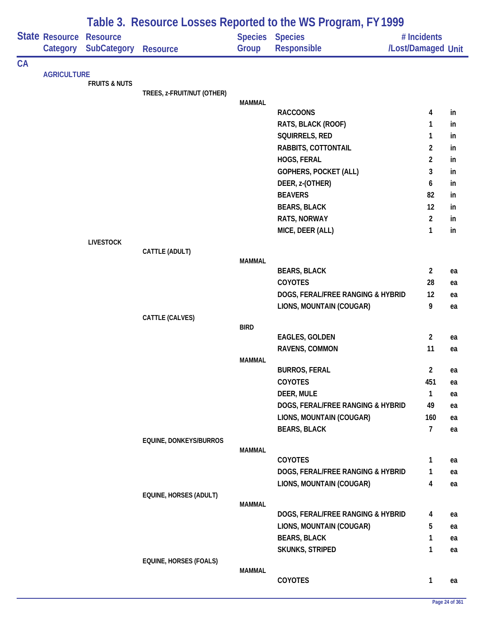|    |                            |                                       | Table 3. Resource Losses Reported to the WS Program, FY 1999 |               |                                      |                                   |          |  |  |  |
|----|----------------------------|---------------------------------------|--------------------------------------------------------------|---------------|--------------------------------------|-----------------------------------|----------|--|--|--|
|    | State Resource<br>Category | <b>Resource</b><br><b>SubCategory</b> | <b>Resource</b>                                              | Group         | Species Species<br>Responsible       | # Incidents<br>/Lost/Damaged Unit |          |  |  |  |
| CA |                            |                                       |                                                              |               |                                      |                                   |          |  |  |  |
|    | <b>AGRICULTURE</b>         | <b>FRUITS &amp; NUTS</b>              |                                                              |               |                                      |                                   |          |  |  |  |
|    |                            |                                       | TREES, z-FRUIT/NUT (OTHER)                                   |               |                                      |                                   |          |  |  |  |
|    |                            |                                       |                                                              | <b>MAMMAL</b> |                                      |                                   |          |  |  |  |
|    |                            |                                       |                                                              |               | <b>RACCOONS</b>                      | 4                                 | in       |  |  |  |
|    |                            |                                       |                                                              |               | RATS, BLACK (ROOF)<br>SQUIRRELS, RED | 1<br>1                            | in<br>in |  |  |  |
|    |                            |                                       |                                                              |               | RABBITS, COTTONTAIL                  | $\overline{2}$                    | in       |  |  |  |
|    |                            |                                       |                                                              |               | HOGS, FERAL                          | $\overline{2}$                    | in       |  |  |  |
|    |                            |                                       |                                                              |               | <b>GOPHERS, POCKET (ALL)</b>         | 3                                 | in       |  |  |  |
|    |                            |                                       |                                                              |               | DEER, z-(OTHER)                      | 6                                 | in       |  |  |  |
|    |                            |                                       |                                                              |               | <b>BEAVERS</b>                       | 82                                | in       |  |  |  |
|    |                            |                                       |                                                              |               | <b>BEARS, BLACK</b>                  | 12                                | in       |  |  |  |
|    |                            |                                       |                                                              |               | RATS, NORWAY                         | $\overline{2}$                    | in       |  |  |  |
|    |                            |                                       |                                                              |               | MICE, DEER (ALL)                     | $\mathbf{1}$                      | in       |  |  |  |
|    |                            | <b>LIVESTOCK</b>                      |                                                              |               |                                      |                                   |          |  |  |  |
|    |                            |                                       | CATTLE (ADULT)                                               |               |                                      |                                   |          |  |  |  |
|    |                            |                                       |                                                              | <b>MAMMAL</b> |                                      |                                   |          |  |  |  |
|    |                            |                                       |                                                              |               | <b>BEARS, BLACK</b>                  | $\overline{2}$                    | ea       |  |  |  |
|    |                            |                                       |                                                              |               | <b>COYOTES</b>                       | 28                                | ea       |  |  |  |
|    |                            |                                       |                                                              |               | DOGS, FERAL/FREE RANGING & HYBRID    | 12                                | ea       |  |  |  |
|    |                            |                                       |                                                              |               | LIONS, MOUNTAIN (COUGAR)             | 9                                 | ea       |  |  |  |
|    |                            |                                       | CATTLE (CALVES)                                              | <b>BIRD</b>   |                                      |                                   |          |  |  |  |
|    |                            |                                       |                                                              |               | <b>EAGLES, GOLDEN</b>                | $\overline{2}$                    | ea       |  |  |  |
|    |                            |                                       |                                                              |               | RAVENS, COMMON                       | 11                                | ea       |  |  |  |
|    |                            |                                       |                                                              | <b>MAMMAL</b> |                                      |                                   |          |  |  |  |
|    |                            |                                       |                                                              |               | <b>BURROS, FERAL</b>                 | $\overline{c}$                    | ea       |  |  |  |
|    |                            |                                       |                                                              |               | COYOTES                              | 451                               | ea       |  |  |  |
|    |                            |                                       |                                                              |               | DEER, MULE                           | $\mathbf{1}$                      | ea       |  |  |  |
|    |                            |                                       |                                                              |               | DOGS, FERAL/FREE RANGING & HYBRID    | 49                                | ea       |  |  |  |
|    |                            |                                       |                                                              |               | LIONS, MOUNTAIN (COUGAR)             | 160                               | ea       |  |  |  |
|    |                            |                                       |                                                              |               | <b>BEARS, BLACK</b>                  | $\overline{7}$                    | ea       |  |  |  |
|    |                            |                                       | EQUINE, DONKEYS/BURROS                                       | <b>MAMMAL</b> |                                      |                                   |          |  |  |  |
|    |                            |                                       |                                                              |               | <b>COYOTES</b>                       | 1                                 | ea       |  |  |  |
|    |                            |                                       |                                                              |               | DOGS, FERAL/FREE RANGING & HYBRID    | 1                                 | ea       |  |  |  |
|    |                            |                                       |                                                              |               | LIONS, MOUNTAIN (COUGAR)             | 4                                 | ea       |  |  |  |
|    |                            |                                       | EQUINE, HORSES (ADULT)                                       |               |                                      |                                   |          |  |  |  |
|    |                            |                                       |                                                              | <b>MAMMAL</b> |                                      |                                   |          |  |  |  |
|    |                            |                                       |                                                              |               | DOGS, FERAL/FREE RANGING & HYBRID    | 4                                 | ea       |  |  |  |
|    |                            |                                       |                                                              |               | LIONS, MOUNTAIN (COUGAR)             | 5                                 | ea       |  |  |  |
|    |                            |                                       |                                                              |               | <b>BEARS, BLACK</b>                  | 1                                 | ea       |  |  |  |
|    |                            |                                       |                                                              |               | <b>SKUNKS, STRIPED</b>               | $\mathbf{1}$                      | ea       |  |  |  |
|    |                            |                                       | EQUINE, HORSES (FOALS)                                       |               |                                      |                                   |          |  |  |  |
|    |                            |                                       |                                                              | <b>MAMMAL</b> | <b>COYOTES</b>                       | $\mathbf{1}$                      | ea       |  |  |  |
|    |                            |                                       |                                                              |               |                                      |                                   |          |  |  |  |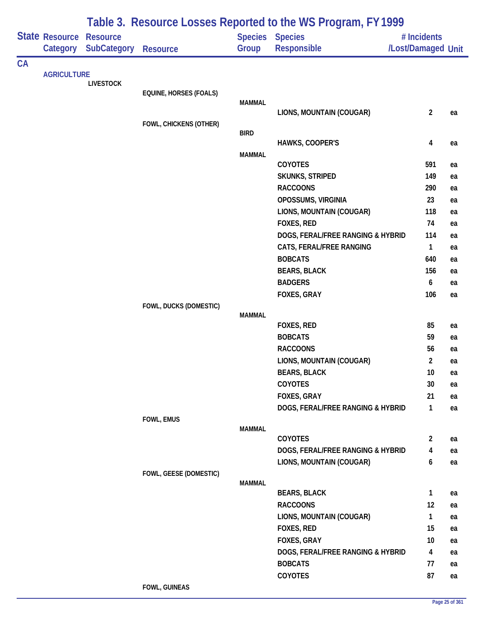|    |                    |                    |                               |               | Table 3. Resource Losses Reported to the WS Program, FY 1999 |                         |          |
|----|--------------------|--------------------|-------------------------------|---------------|--------------------------------------------------------------|-------------------------|----------|
|    | State Resource     | <b>Resource</b>    |                               |               | <b>Species Species</b>                                       | # Incidents             |          |
|    | Category           | <b>SubCategory</b> | <b>Resource</b>               | Group         | <b>Responsible</b>                                           | /Lost/Damaged Unit      |          |
| CA | <b>AGRICULTURE</b> |                    |                               |               |                                                              |                         |          |
|    |                    | <b>LIVESTOCK</b>   |                               |               |                                                              |                         |          |
|    |                    |                    | <b>EQUINE, HORSES (FOALS)</b> |               |                                                              |                         |          |
|    |                    |                    |                               | <b>MAMMAL</b> | LIONS, MOUNTAIN (COUGAR)                                     | $\overline{2}$          | ea       |
|    |                    |                    | FOWL, CHICKENS (OTHER)        |               |                                                              |                         |          |
|    |                    |                    |                               | <b>BIRD</b>   |                                                              |                         |          |
|    |                    |                    |                               |               | HAWKS, COOPER'S                                              | $\overline{\mathbf{4}}$ | ea       |
|    |                    |                    |                               | <b>MAMMAL</b> |                                                              |                         |          |
|    |                    |                    |                               |               | <b>COYOTES</b>                                               | 591                     | ea       |
|    |                    |                    |                               |               | <b>SKUNKS, STRIPED</b>                                       | 149                     | ea       |
|    |                    |                    |                               |               | <b>RACCOONS</b><br>OPOSSUMS, VIRGINIA                        | 290<br>23               | ea       |
|    |                    |                    |                               |               | LIONS, MOUNTAIN (COUGAR)                                     | 118                     | ea<br>ea |
|    |                    |                    |                               |               | FOXES, RED                                                   | 74                      | ea       |
|    |                    |                    |                               |               | DOGS, FERAL/FREE RANGING & HYBRID                            | 114                     | ea       |
|    |                    |                    |                               |               | CATS, FERAL/FREE RANGING                                     | 1                       | ea       |
|    |                    |                    |                               |               | <b>BOBCATS</b>                                               | 640                     | ea       |
|    |                    |                    |                               |               | <b>BEARS, BLACK</b>                                          | 156                     | ea       |
|    |                    |                    |                               |               | <b>BADGERS</b>                                               | 6                       | ea       |
|    |                    |                    |                               |               | FOXES, GRAY                                                  | 106                     | ea       |
|    |                    |                    | FOWL, DUCKS (DOMESTIC)        |               |                                                              |                         |          |
|    |                    |                    |                               | <b>MAMMAL</b> |                                                              |                         |          |
|    |                    |                    |                               |               | FOXES, RED                                                   | 85                      | ea       |
|    |                    |                    |                               |               | <b>BOBCATS</b>                                               | 59                      | ea       |
|    |                    |                    |                               |               | <b>RACCOONS</b>                                              | 56                      | ea       |
|    |                    |                    |                               |               | LIONS, MOUNTAIN (COUGAR)                                     | $\overline{2}$          | ea       |
|    |                    |                    |                               |               | <b>BEARS, BLACK</b><br><b>COYOTES</b>                        | 10<br>30                | ea       |
|    |                    |                    |                               |               | FOXES, GRAY                                                  | 21                      | ea<br>ea |
|    |                    |                    |                               |               | DOGS, FERAL/FREE RANGING & HYBRID                            | $\mathbf{1}$            | ea       |
|    |                    |                    | FOWL, EMUS                    |               |                                                              |                         |          |
|    |                    |                    |                               | <b>MAMMAL</b> |                                                              |                         |          |
|    |                    |                    |                               |               | <b>COYOTES</b>                                               | $\overline{2}$          | ea       |
|    |                    |                    |                               |               | DOGS, FERAL/FREE RANGING & HYBRID                            | 4                       | ea       |
|    |                    |                    |                               |               | LIONS, MOUNTAIN (COUGAR)                                     | 6                       | ea       |
|    |                    |                    | FOWL, GEESE (DOMESTIC)        | <b>MAMMAL</b> |                                                              |                         |          |
|    |                    |                    |                               |               | <b>BEARS, BLACK</b>                                          | $\mathbf{1}$            | ea       |
|    |                    |                    |                               |               | <b>RACCOONS</b>                                              | 12                      | ea       |
|    |                    |                    |                               |               | LIONS, MOUNTAIN (COUGAR)                                     | 1                       | ea       |
|    |                    |                    |                               |               | FOXES, RED                                                   | 15                      | ea       |
|    |                    |                    |                               |               | FOXES, GRAY                                                  | 10                      | ea       |
|    |                    |                    |                               |               | DOGS, FERAL/FREE RANGING & HYBRID                            | $\overline{4}$          | ea       |
|    |                    |                    |                               |               | <b>BOBCATS</b>                                               | 77                      | ea       |
|    |                    |                    |                               |               | COYOTES                                                      | 87                      | ea       |
|    |                    |                    | FOWL, GUINEAS                 |               |                                                              |                         |          |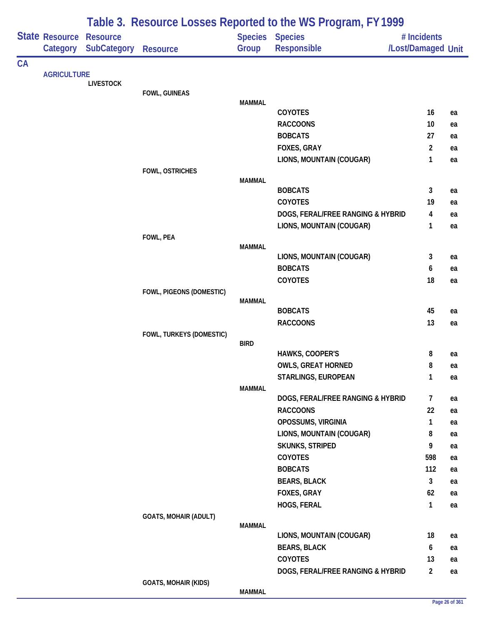|           |                            |                                       | Table 3. Resource Losses Reported to the WS Program, FY 1999 |               |                                   |                                   |    |  |  |  |
|-----------|----------------------------|---------------------------------------|--------------------------------------------------------------|---------------|-----------------------------------|-----------------------------------|----|--|--|--|
|           | State Resource<br>Category | <b>Resource</b><br><b>SubCategory</b> | <b>Resource</b>                                              | Group         | Species Species<br>Responsible    | # Incidents<br>/Lost/Damaged Unit |    |  |  |  |
| <b>CA</b> |                            |                                       |                                                              |               |                                   |                                   |    |  |  |  |
|           | <b>AGRICULTURE</b>         |                                       |                                                              |               |                                   |                                   |    |  |  |  |
|           |                            | <b>LIVESTOCK</b>                      |                                                              |               |                                   |                                   |    |  |  |  |
|           |                            |                                       | FOWL, GUINEAS                                                | <b>MAMMAL</b> |                                   |                                   |    |  |  |  |
|           |                            |                                       |                                                              |               | COYOTES                           | 16                                | ea |  |  |  |
|           |                            |                                       |                                                              |               | <b>RACCOONS</b>                   | 10                                | ea |  |  |  |
|           |                            |                                       |                                                              |               | <b>BOBCATS</b>                    | 27                                | ea |  |  |  |
|           |                            |                                       |                                                              |               | FOXES, GRAY                       | $\overline{2}$                    | ea |  |  |  |
|           |                            |                                       |                                                              |               | LIONS, MOUNTAIN (COUGAR)          | 1                                 | ea |  |  |  |
|           |                            |                                       | <b>FOWL, OSTRICHES</b>                                       |               |                                   |                                   |    |  |  |  |
|           |                            |                                       |                                                              | <b>MAMMAL</b> |                                   |                                   |    |  |  |  |
|           |                            |                                       |                                                              |               | <b>BOBCATS</b>                    | 3                                 | ea |  |  |  |
|           |                            |                                       |                                                              |               | COYOTES                           | 19                                | ea |  |  |  |
|           |                            |                                       |                                                              |               | DOGS, FERAL/FREE RANGING & HYBRID | $\overline{\mathbf{4}}$           | ea |  |  |  |
|           |                            |                                       |                                                              |               | LIONS, MOUNTAIN (COUGAR)          | $\mathbf{1}$                      | ea |  |  |  |
|           |                            |                                       | FOWL, PEA                                                    | <b>MAMMAL</b> |                                   |                                   |    |  |  |  |
|           |                            |                                       |                                                              |               | LIONS, MOUNTAIN (COUGAR)          | 3                                 | ea |  |  |  |
|           |                            |                                       |                                                              |               | <b>BOBCATS</b>                    | 6                                 | ea |  |  |  |
|           |                            |                                       |                                                              |               | COYOTES                           | 18                                | ea |  |  |  |
|           |                            |                                       | FOWL, PIGEONS (DOMESTIC)                                     |               |                                   |                                   |    |  |  |  |
|           |                            |                                       |                                                              | <b>MAMMAL</b> |                                   |                                   |    |  |  |  |
|           |                            |                                       |                                                              |               | <b>BOBCATS</b>                    | 45                                | ea |  |  |  |
|           |                            |                                       |                                                              |               | <b>RACCOONS</b>                   | 13                                | ea |  |  |  |
|           |                            |                                       | FOWL, TURKEYS (DOMESTIC)                                     |               |                                   |                                   |    |  |  |  |
|           |                            |                                       |                                                              | <b>BIRD</b>   | HAWKS, COOPER'S                   | 8                                 | ea |  |  |  |
|           |                            |                                       |                                                              |               | <b>OWLS, GREAT HORNED</b>         | 8                                 | ea |  |  |  |
|           |                            |                                       |                                                              |               | STARLINGS, EUROPEAN               | $\mathbf{1}$                      | ea |  |  |  |
|           |                            |                                       |                                                              | <b>MAMMAL</b> |                                   |                                   |    |  |  |  |
|           |                            |                                       |                                                              |               | DOGS, FERAL/FREE RANGING & HYBRID | 7                                 | ea |  |  |  |
|           |                            |                                       |                                                              |               | <b>RACCOONS</b>                   | 22                                | ea |  |  |  |
|           |                            |                                       |                                                              |               | OPOSSUMS, VIRGINIA                | $\mathbf{1}$                      | ea |  |  |  |
|           |                            |                                       |                                                              |               | LIONS, MOUNTAIN (COUGAR)          | 8                                 | ea |  |  |  |
|           |                            |                                       |                                                              |               | <b>SKUNKS, STRIPED</b>            | 9                                 | ea |  |  |  |
|           |                            |                                       |                                                              |               | COYOTES                           | 598                               | ea |  |  |  |
|           |                            |                                       |                                                              |               | <b>BOBCATS</b>                    | 112                               | ea |  |  |  |
|           |                            |                                       |                                                              |               | <b>BEARS, BLACK</b>               | $\mathbf{3}$                      | ea |  |  |  |
|           |                            |                                       |                                                              |               | FOXES, GRAY                       | 62                                | ea |  |  |  |
|           |                            |                                       |                                                              |               | HOGS, FERAL                       | $\mathbf{1}$                      | ea |  |  |  |
|           |                            |                                       | <b>GOATS, MOHAIR (ADULT)</b>                                 |               |                                   |                                   |    |  |  |  |
|           |                            |                                       |                                                              | MAMMAL        |                                   |                                   |    |  |  |  |
|           |                            |                                       |                                                              |               | LIONS, MOUNTAIN (COUGAR)          | 18                                | ea |  |  |  |
|           |                            |                                       |                                                              |               | <b>BEARS, BLACK</b>               | $\boldsymbol{6}$                  | ea |  |  |  |
|           |                            |                                       |                                                              |               | COYOTES                           | 13                                | ea |  |  |  |
|           |                            |                                       |                                                              |               | DOGS, FERAL/FREE RANGING & HYBRID | $\overline{2}$                    | ea |  |  |  |
|           |                            |                                       | <b>GOATS, MOHAIR (KIDS)</b>                                  | <b>MAMMAL</b> |                                   |                                   |    |  |  |  |
|           |                            |                                       |                                                              |               |                                   |                                   |    |  |  |  |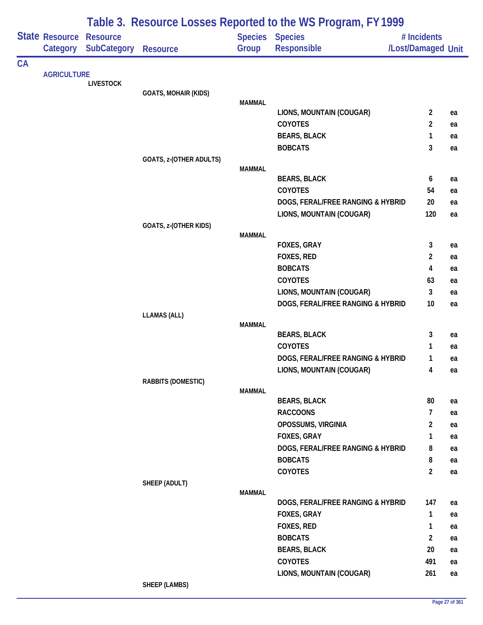|    |                            |                                       | Table 3. Resource Losses Reported to the WS Program, FY 1999 |               |                                                     |                                   |          |  |  |
|----|----------------------------|---------------------------------------|--------------------------------------------------------------|---------------|-----------------------------------------------------|-----------------------------------|----------|--|--|
|    | State Resource<br>Category | <b>Resource</b><br><b>SubCategory</b> | <b>Resource</b>                                              | Group         | <b>Species Species</b><br><b>Responsible</b>        | # Incidents<br>/Lost/Damaged Unit |          |  |  |
| CA |                            |                                       |                                                              |               |                                                     |                                   |          |  |  |
|    | <b>AGRICULTURE</b>         | <b>LIVESTOCK</b>                      |                                                              |               |                                                     |                                   |          |  |  |
|    |                            |                                       | <b>GOATS, MOHAIR (KIDS)</b>                                  |               |                                                     |                                   |          |  |  |
|    |                            |                                       |                                                              | <b>MAMMAL</b> | LIONS, MOUNTAIN (COUGAR)                            | $\overline{2}$                    |          |  |  |
|    |                            |                                       |                                                              |               | COYOTES                                             | 2                                 | ea<br>ea |  |  |
|    |                            |                                       |                                                              |               | <b>BEARS, BLACK</b>                                 | 1                                 | ea       |  |  |
|    |                            |                                       |                                                              |               | <b>BOBCATS</b>                                      | 3                                 | ea       |  |  |
|    |                            |                                       | GOATS, z-(OTHER ADULTS)                                      |               |                                                     |                                   |          |  |  |
|    |                            |                                       |                                                              | <b>MAMMAL</b> |                                                     |                                   |          |  |  |
|    |                            |                                       |                                                              |               | <b>BEARS, BLACK</b>                                 | 6                                 | ea       |  |  |
|    |                            |                                       |                                                              |               | <b>COYOTES</b>                                      | 54                                | ea       |  |  |
|    |                            |                                       |                                                              |               | DOGS, FERAL/FREE RANGING & HYBRID                   | 20                                | ea       |  |  |
|    |                            |                                       |                                                              |               | LIONS, MOUNTAIN (COUGAR)                            | 120                               | ea       |  |  |
|    |                            |                                       | GOATS, z-(OTHER KIDS)                                        | <b>MAMMAL</b> |                                                     |                                   |          |  |  |
|    |                            |                                       |                                                              |               | FOXES, GRAY                                         | 3                                 | ea       |  |  |
|    |                            |                                       |                                                              |               | FOXES, RED                                          | $\overline{2}$                    | ea       |  |  |
|    |                            |                                       |                                                              |               | <b>BOBCATS</b>                                      | 4                                 | ea       |  |  |
|    |                            |                                       |                                                              |               | COYOTES                                             | 63                                | ea       |  |  |
|    |                            |                                       |                                                              |               | LIONS, MOUNTAIN (COUGAR)                            | 3                                 | ea       |  |  |
|    |                            |                                       |                                                              |               | DOGS, FERAL/FREE RANGING & HYBRID                   | 10                                | ea       |  |  |
|    |                            |                                       | <b>LLAMAS (ALL)</b>                                          |               |                                                     |                                   |          |  |  |
|    |                            |                                       |                                                              | <b>MAMMAL</b> | <b>BEARS, BLACK</b>                                 | 3                                 | ea       |  |  |
|    |                            |                                       |                                                              |               | COYOTES                                             | 1                                 | ea       |  |  |
|    |                            |                                       |                                                              |               | DOGS, FERAL/FREE RANGING & HYBRID                   | 1                                 | ea       |  |  |
|    |                            |                                       |                                                              |               | LIONS, MOUNTAIN (COUGAR)                            | 4                                 | ea       |  |  |
|    |                            |                                       | RABBITS (DOMESTIC)                                           |               |                                                     |                                   |          |  |  |
|    |                            |                                       |                                                              | <b>MAMMAL</b> |                                                     |                                   |          |  |  |
|    |                            |                                       |                                                              |               | <b>BEARS, BLACK</b>                                 | 80                                | ea       |  |  |
|    |                            |                                       |                                                              |               | <b>RACCOONS</b>                                     | $\overline{7}$                    | ea       |  |  |
|    |                            |                                       |                                                              |               | OPOSSUMS, VIRGINIA                                  | $\overline{c}$                    | ea       |  |  |
|    |                            |                                       |                                                              |               | <b>FOXES, GRAY</b>                                  | 1                                 | ea       |  |  |
|    |                            |                                       |                                                              |               | DOGS, FERAL/FREE RANGING & HYBRID<br><b>BOBCATS</b> | 8<br>8                            | ea       |  |  |
|    |                            |                                       |                                                              |               | <b>COYOTES</b>                                      | $\overline{2}$                    | ea<br>ea |  |  |
|    |                            |                                       | SHEEP (ADULT)                                                |               |                                                     |                                   |          |  |  |
|    |                            |                                       |                                                              | <b>MAMMAL</b> |                                                     |                                   |          |  |  |
|    |                            |                                       |                                                              |               | DOGS, FERAL/FREE RANGING & HYBRID                   | 147                               | ea       |  |  |
|    |                            |                                       |                                                              |               | FOXES, GRAY                                         | $\mathbf{1}$                      | ea       |  |  |
|    |                            |                                       |                                                              |               | FOXES, RED                                          | $\mathbf{1}$                      | ea       |  |  |
|    |                            |                                       |                                                              |               | <b>BOBCATS</b>                                      | $\overline{2}$                    | ea       |  |  |
|    |                            |                                       |                                                              |               | <b>BEARS, BLACK</b>                                 | 20                                | ea       |  |  |
|    |                            |                                       |                                                              |               | <b>COYOTES</b>                                      | 491                               | ea       |  |  |
|    |                            |                                       |                                                              |               | LIONS, MOUNTAIN (COUGAR)                            | 261                               | ea       |  |  |
|    |                            |                                       | <b>SHEEP (LAMBS)</b>                                         |               |                                                     |                                   |          |  |  |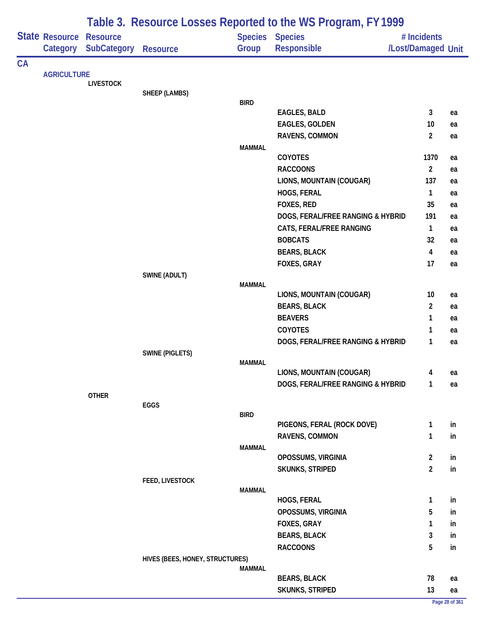| State Resource<br><b>Species Species</b><br><b>Resource</b><br># Incidents<br><b>SubCategory Resource</b><br>Responsible<br>/Lost/Damaged Unit<br>Group<br>Category<br>CA<br><b>AGRICULTURE</b><br><b>LIVESTOCK</b><br>SHEEP (LAMBS)<br><b>BIRD</b><br>3<br><b>EAGLES, BALD</b><br><b>EAGLES, GOLDEN</b><br>10<br>RAVENS, COMMON<br>$\overline{2}$<br><b>MAMMAL</b><br>COYOTES<br>1370<br>$\overline{2}$<br><b>RACCOONS</b><br>LIONS, MOUNTAIN (COUGAR)<br>137<br>HOGS, FERAL<br>$\mathbf{1}$<br>FOXES, RED<br>35<br>DOGS, FERAL/FREE RANGING & HYBRID<br>191<br>CATS, FERAL/FREE RANGING<br>$\mathbf{1}$<br><b>BOBCATS</b><br>32<br><b>BEARS, BLACK</b><br>$\overline{\mathbf{4}}$<br>17<br>FOXES, GRAY<br>SWINE (ADULT)<br><b>MAMMAL</b><br>LIONS, MOUNTAIN (COUGAR)<br>10<br>ea<br><b>BEARS, BLACK</b><br>$\overline{2}$<br>ea<br><b>BEAVERS</b><br>$\mathbf{1}$<br>ea<br><b>COYOTES</b><br>1<br>ea<br>DOGS, FERAL/FREE RANGING & HYBRID<br>1<br>ea<br><b>SWINE (PIGLETS)</b><br><b>MAMMAL</b><br>LIONS, MOUNTAIN (COUGAR)<br>4<br>DOGS, FERAL/FREE RANGING & HYBRID<br>1<br><b>OTHER</b><br>EGGS<br><b>BIRD</b><br>PIGEONS, FERAL (ROCK DOVE)<br>$\mathbf{1}$<br>in<br>RAVENS, COMMON<br>$\mathbf{1}$<br>in<br><b>MAMMAL</b><br>$\overline{2}$<br>OPOSSUMS, VIRGINIA<br>in<br>$\overline{2}$<br>SKUNKS, STRIPED<br>in<br>FEED, LIVESTOCK<br><b>MAMMAL</b><br>HOGS, FERAL<br>$\mathbf{1}$<br>in<br>OPOSSUMS, VIRGINIA<br>5<br>in<br>FOXES, GRAY<br>$\mathbf{1}$<br>in<br>$\mathbf{3}$<br><b>BEARS, BLACK</b><br>in<br>5<br><b>RACCOONS</b><br>in<br>HIVES (BEES, HONEY, STRUCTURES)<br>MAMMAL<br><b>BEARS, BLACK</b><br>78<br>ea<br>13<br>SKUNKS, STRIPED<br>ea |  | Table 3. Resource Losses Reported to the WS Program, FY 1999 |  |  |  |                |  |  |  |  |
|--------------------------------------------------------------------------------------------------------------------------------------------------------------------------------------------------------------------------------------------------------------------------------------------------------------------------------------------------------------------------------------------------------------------------------------------------------------------------------------------------------------------------------------------------------------------------------------------------------------------------------------------------------------------------------------------------------------------------------------------------------------------------------------------------------------------------------------------------------------------------------------------------------------------------------------------------------------------------------------------------------------------------------------------------------------------------------------------------------------------------------------------------------------------------------------------------------------------------------------------------------------------------------------------------------------------------------------------------------------------------------------------------------------------------------------------------------------------------------------------------------------------------------------------------------------------------------------------------------------------------------------------------------------------|--|--------------------------------------------------------------|--|--|--|----------------|--|--|--|--|
|                                                                                                                                                                                                                                                                                                                                                                                                                                                                                                                                                                                                                                                                                                                                                                                                                                                                                                                                                                                                                                                                                                                                                                                                                                                                                                                                                                                                                                                                                                                                                                                                                                                                    |  |                                                              |  |  |  |                |  |  |  |  |
|                                                                                                                                                                                                                                                                                                                                                                                                                                                                                                                                                                                                                                                                                                                                                                                                                                                                                                                                                                                                                                                                                                                                                                                                                                                                                                                                                                                                                                                                                                                                                                                                                                                                    |  |                                                              |  |  |  |                |  |  |  |  |
|                                                                                                                                                                                                                                                                                                                                                                                                                                                                                                                                                                                                                                                                                                                                                                                                                                                                                                                                                                                                                                                                                                                                                                                                                                                                                                                                                                                                                                                                                                                                                                                                                                                                    |  |                                                              |  |  |  |                |  |  |  |  |
|                                                                                                                                                                                                                                                                                                                                                                                                                                                                                                                                                                                                                                                                                                                                                                                                                                                                                                                                                                                                                                                                                                                                                                                                                                                                                                                                                                                                                                                                                                                                                                                                                                                                    |  |                                                              |  |  |  |                |  |  |  |  |
|                                                                                                                                                                                                                                                                                                                                                                                                                                                                                                                                                                                                                                                                                                                                                                                                                                                                                                                                                                                                                                                                                                                                                                                                                                                                                                                                                                                                                                                                                                                                                                                                                                                                    |  |                                                              |  |  |  |                |  |  |  |  |
|                                                                                                                                                                                                                                                                                                                                                                                                                                                                                                                                                                                                                                                                                                                                                                                                                                                                                                                                                                                                                                                                                                                                                                                                                                                                                                                                                                                                                                                                                                                                                                                                                                                                    |  |                                                              |  |  |  |                |  |  |  |  |
|                                                                                                                                                                                                                                                                                                                                                                                                                                                                                                                                                                                                                                                                                                                                                                                                                                                                                                                                                                                                                                                                                                                                                                                                                                                                                                                                                                                                                                                                                                                                                                                                                                                                    |  |                                                              |  |  |  | ea             |  |  |  |  |
|                                                                                                                                                                                                                                                                                                                                                                                                                                                                                                                                                                                                                                                                                                                                                                                                                                                                                                                                                                                                                                                                                                                                                                                                                                                                                                                                                                                                                                                                                                                                                                                                                                                                    |  |                                                              |  |  |  | ea             |  |  |  |  |
|                                                                                                                                                                                                                                                                                                                                                                                                                                                                                                                                                                                                                                                                                                                                                                                                                                                                                                                                                                                                                                                                                                                                                                                                                                                                                                                                                                                                                                                                                                                                                                                                                                                                    |  |                                                              |  |  |  | ea             |  |  |  |  |
|                                                                                                                                                                                                                                                                                                                                                                                                                                                                                                                                                                                                                                                                                                                                                                                                                                                                                                                                                                                                                                                                                                                                                                                                                                                                                                                                                                                                                                                                                                                                                                                                                                                                    |  |                                                              |  |  |  |                |  |  |  |  |
|                                                                                                                                                                                                                                                                                                                                                                                                                                                                                                                                                                                                                                                                                                                                                                                                                                                                                                                                                                                                                                                                                                                                                                                                                                                                                                                                                                                                                                                                                                                                                                                                                                                                    |  |                                                              |  |  |  | ea             |  |  |  |  |
|                                                                                                                                                                                                                                                                                                                                                                                                                                                                                                                                                                                                                                                                                                                                                                                                                                                                                                                                                                                                                                                                                                                                                                                                                                                                                                                                                                                                                                                                                                                                                                                                                                                                    |  |                                                              |  |  |  | ea             |  |  |  |  |
|                                                                                                                                                                                                                                                                                                                                                                                                                                                                                                                                                                                                                                                                                                                                                                                                                                                                                                                                                                                                                                                                                                                                                                                                                                                                                                                                                                                                                                                                                                                                                                                                                                                                    |  |                                                              |  |  |  | ea             |  |  |  |  |
|                                                                                                                                                                                                                                                                                                                                                                                                                                                                                                                                                                                                                                                                                                                                                                                                                                                                                                                                                                                                                                                                                                                                                                                                                                                                                                                                                                                                                                                                                                                                                                                                                                                                    |  |                                                              |  |  |  | ea             |  |  |  |  |
|                                                                                                                                                                                                                                                                                                                                                                                                                                                                                                                                                                                                                                                                                                                                                                                                                                                                                                                                                                                                                                                                                                                                                                                                                                                                                                                                                                                                                                                                                                                                                                                                                                                                    |  |                                                              |  |  |  | ea             |  |  |  |  |
|                                                                                                                                                                                                                                                                                                                                                                                                                                                                                                                                                                                                                                                                                                                                                                                                                                                                                                                                                                                                                                                                                                                                                                                                                                                                                                                                                                                                                                                                                                                                                                                                                                                                    |  |                                                              |  |  |  | ea             |  |  |  |  |
|                                                                                                                                                                                                                                                                                                                                                                                                                                                                                                                                                                                                                                                                                                                                                                                                                                                                                                                                                                                                                                                                                                                                                                                                                                                                                                                                                                                                                                                                                                                                                                                                                                                                    |  |                                                              |  |  |  | ea             |  |  |  |  |
|                                                                                                                                                                                                                                                                                                                                                                                                                                                                                                                                                                                                                                                                                                                                                                                                                                                                                                                                                                                                                                                                                                                                                                                                                                                                                                                                                                                                                                                                                                                                                                                                                                                                    |  |                                                              |  |  |  | ea             |  |  |  |  |
|                                                                                                                                                                                                                                                                                                                                                                                                                                                                                                                                                                                                                                                                                                                                                                                                                                                                                                                                                                                                                                                                                                                                                                                                                                                                                                                                                                                                                                                                                                                                                                                                                                                                    |  |                                                              |  |  |  | ea             |  |  |  |  |
|                                                                                                                                                                                                                                                                                                                                                                                                                                                                                                                                                                                                                                                                                                                                                                                                                                                                                                                                                                                                                                                                                                                                                                                                                                                                                                                                                                                                                                                                                                                                                                                                                                                                    |  |                                                              |  |  |  | ea             |  |  |  |  |
|                                                                                                                                                                                                                                                                                                                                                                                                                                                                                                                                                                                                                                                                                                                                                                                                                                                                                                                                                                                                                                                                                                                                                                                                                                                                                                                                                                                                                                                                                                                                                                                                                                                                    |  |                                                              |  |  |  |                |  |  |  |  |
|                                                                                                                                                                                                                                                                                                                                                                                                                                                                                                                                                                                                                                                                                                                                                                                                                                                                                                                                                                                                                                                                                                                                                                                                                                                                                                                                                                                                                                                                                                                                                                                                                                                                    |  |                                                              |  |  |  |                |  |  |  |  |
|                                                                                                                                                                                                                                                                                                                                                                                                                                                                                                                                                                                                                                                                                                                                                                                                                                                                                                                                                                                                                                                                                                                                                                                                                                                                                                                                                                                                                                                                                                                                                                                                                                                                    |  |                                                              |  |  |  |                |  |  |  |  |
|                                                                                                                                                                                                                                                                                                                                                                                                                                                                                                                                                                                                                                                                                                                                                                                                                                                                                                                                                                                                                                                                                                                                                                                                                                                                                                                                                                                                                                                                                                                                                                                                                                                                    |  |                                                              |  |  |  |                |  |  |  |  |
|                                                                                                                                                                                                                                                                                                                                                                                                                                                                                                                                                                                                                                                                                                                                                                                                                                                                                                                                                                                                                                                                                                                                                                                                                                                                                                                                                                                                                                                                                                                                                                                                                                                                    |  |                                                              |  |  |  |                |  |  |  |  |
|                                                                                                                                                                                                                                                                                                                                                                                                                                                                                                                                                                                                                                                                                                                                                                                                                                                                                                                                                                                                                                                                                                                                                                                                                                                                                                                                                                                                                                                                                                                                                                                                                                                                    |  |                                                              |  |  |  |                |  |  |  |  |
|                                                                                                                                                                                                                                                                                                                                                                                                                                                                                                                                                                                                                                                                                                                                                                                                                                                                                                                                                                                                                                                                                                                                                                                                                                                                                                                                                                                                                                                                                                                                                                                                                                                                    |  |                                                              |  |  |  |                |  |  |  |  |
|                                                                                                                                                                                                                                                                                                                                                                                                                                                                                                                                                                                                                                                                                                                                                                                                                                                                                                                                                                                                                                                                                                                                                                                                                                                                                                                                                                                                                                                                                                                                                                                                                                                                    |  |                                                              |  |  |  |                |  |  |  |  |
|                                                                                                                                                                                                                                                                                                                                                                                                                                                                                                                                                                                                                                                                                                                                                                                                                                                                                                                                                                                                                                                                                                                                                                                                                                                                                                                                                                                                                                                                                                                                                                                                                                                                    |  |                                                              |  |  |  | ea             |  |  |  |  |
|                                                                                                                                                                                                                                                                                                                                                                                                                                                                                                                                                                                                                                                                                                                                                                                                                                                                                                                                                                                                                                                                                                                                                                                                                                                                                                                                                                                                                                                                                                                                                                                                                                                                    |  |                                                              |  |  |  | ea             |  |  |  |  |
|                                                                                                                                                                                                                                                                                                                                                                                                                                                                                                                                                                                                                                                                                                                                                                                                                                                                                                                                                                                                                                                                                                                                                                                                                                                                                                                                                                                                                                                                                                                                                                                                                                                                    |  |                                                              |  |  |  |                |  |  |  |  |
|                                                                                                                                                                                                                                                                                                                                                                                                                                                                                                                                                                                                                                                                                                                                                                                                                                                                                                                                                                                                                                                                                                                                                                                                                                                                                                                                                                                                                                                                                                                                                                                                                                                                    |  |                                                              |  |  |  |                |  |  |  |  |
|                                                                                                                                                                                                                                                                                                                                                                                                                                                                                                                                                                                                                                                                                                                                                                                                                                                                                                                                                                                                                                                                                                                                                                                                                                                                                                                                                                                                                                                                                                                                                                                                                                                                    |  |                                                              |  |  |  |                |  |  |  |  |
|                                                                                                                                                                                                                                                                                                                                                                                                                                                                                                                                                                                                                                                                                                                                                                                                                                                                                                                                                                                                                                                                                                                                                                                                                                                                                                                                                                                                                                                                                                                                                                                                                                                                    |  |                                                              |  |  |  |                |  |  |  |  |
|                                                                                                                                                                                                                                                                                                                                                                                                                                                                                                                                                                                                                                                                                                                                                                                                                                                                                                                                                                                                                                                                                                                                                                                                                                                                                                                                                                                                                                                                                                                                                                                                                                                                    |  |                                                              |  |  |  |                |  |  |  |  |
|                                                                                                                                                                                                                                                                                                                                                                                                                                                                                                                                                                                                                                                                                                                                                                                                                                                                                                                                                                                                                                                                                                                                                                                                                                                                                                                                                                                                                                                                                                                                                                                                                                                                    |  |                                                              |  |  |  |                |  |  |  |  |
|                                                                                                                                                                                                                                                                                                                                                                                                                                                                                                                                                                                                                                                                                                                                                                                                                                                                                                                                                                                                                                                                                                                                                                                                                                                                                                                                                                                                                                                                                                                                                                                                                                                                    |  |                                                              |  |  |  |                |  |  |  |  |
|                                                                                                                                                                                                                                                                                                                                                                                                                                                                                                                                                                                                                                                                                                                                                                                                                                                                                                                                                                                                                                                                                                                                                                                                                                                                                                                                                                                                                                                                                                                                                                                                                                                                    |  |                                                              |  |  |  |                |  |  |  |  |
|                                                                                                                                                                                                                                                                                                                                                                                                                                                                                                                                                                                                                                                                                                                                                                                                                                                                                                                                                                                                                                                                                                                                                                                                                                                                                                                                                                                                                                                                                                                                                                                                                                                                    |  |                                                              |  |  |  |                |  |  |  |  |
|                                                                                                                                                                                                                                                                                                                                                                                                                                                                                                                                                                                                                                                                                                                                                                                                                                                                                                                                                                                                                                                                                                                                                                                                                                                                                                                                                                                                                                                                                                                                                                                                                                                                    |  |                                                              |  |  |  |                |  |  |  |  |
|                                                                                                                                                                                                                                                                                                                                                                                                                                                                                                                                                                                                                                                                                                                                                                                                                                                                                                                                                                                                                                                                                                                                                                                                                                                                                                                                                                                                                                                                                                                                                                                                                                                                    |  |                                                              |  |  |  |                |  |  |  |  |
|                                                                                                                                                                                                                                                                                                                                                                                                                                                                                                                                                                                                                                                                                                                                                                                                                                                                                                                                                                                                                                                                                                                                                                                                                                                                                                                                                                                                                                                                                                                                                                                                                                                                    |  |                                                              |  |  |  |                |  |  |  |  |
|                                                                                                                                                                                                                                                                                                                                                                                                                                                                                                                                                                                                                                                                                                                                                                                                                                                                                                                                                                                                                                                                                                                                                                                                                                                                                                                                                                                                                                                                                                                                                                                                                                                                    |  |                                                              |  |  |  |                |  |  |  |  |
|                                                                                                                                                                                                                                                                                                                                                                                                                                                                                                                                                                                                                                                                                                                                                                                                                                                                                                                                                                                                                                                                                                                                                                                                                                                                                                                                                                                                                                                                                                                                                                                                                                                                    |  |                                                              |  |  |  |                |  |  |  |  |
|                                                                                                                                                                                                                                                                                                                                                                                                                                                                                                                                                                                                                                                                                                                                                                                                                                                                                                                                                                                                                                                                                                                                                                                                                                                                                                                                                                                                                                                                                                                                                                                                                                                                    |  |                                                              |  |  |  |                |  |  |  |  |
|                                                                                                                                                                                                                                                                                                                                                                                                                                                                                                                                                                                                                                                                                                                                                                                                                                                                                                                                                                                                                                                                                                                                                                                                                                                                                                                                                                                                                                                                                                                                                                                                                                                                    |  |                                                              |  |  |  |                |  |  |  |  |
|                                                                                                                                                                                                                                                                                                                                                                                                                                                                                                                                                                                                                                                                                                                                                                                                                                                                                                                                                                                                                                                                                                                                                                                                                                                                                                                                                                                                                                                                                                                                                                                                                                                                    |  |                                                              |  |  |  |                |  |  |  |  |
|                                                                                                                                                                                                                                                                                                                                                                                                                                                                                                                                                                                                                                                                                                                                                                                                                                                                                                                                                                                                                                                                                                                                                                                                                                                                                                                                                                                                                                                                                                                                                                                                                                                                    |  |                                                              |  |  |  | Page 28 of 361 |  |  |  |  |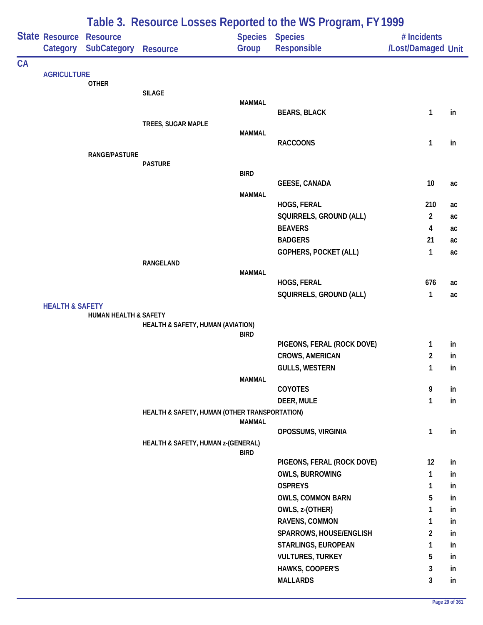|           |                                                                                         | Table 3. Resource Losses Reported to the WS Program, FY 1999 |                                               |               |                                       |                                   |    |  |  |
|-----------|-----------------------------------------------------------------------------------------|--------------------------------------------------------------|-----------------------------------------------|---------------|---------------------------------------|-----------------------------------|----|--|--|
|           |                                                                                         | <b>SubCategory</b>                                           | <b>Resource</b>                               | Group         | <b>Species Species</b><br>Responsible | # Incidents<br>/Lost/Damaged Unit |    |  |  |
| <b>CA</b> |                                                                                         |                                                              |                                               |               |                                       |                                   |    |  |  |
|           |                                                                                         | <b>OTHER</b>                                                 |                                               |               |                                       |                                   |    |  |  |
|           |                                                                                         |                                                              | <b>SILAGE</b>                                 | <b>MAMMAL</b> |                                       |                                   |    |  |  |
|           |                                                                                         |                                                              | TREES, SUGAR MAPLE                            |               | <b>BEARS, BLACK</b>                   | 1                                 | in |  |  |
|           |                                                                                         |                                                              |                                               | <b>MAMMAL</b> |                                       |                                   |    |  |  |
|           |                                                                                         |                                                              |                                               |               | <b>RACCOONS</b>                       | 1                                 | in |  |  |
|           |                                                                                         | <b>RANGE/PASTURE</b>                                         |                                               |               |                                       |                                   |    |  |  |
|           |                                                                                         |                                                              | <b>PASTURE</b>                                | <b>BIRD</b>   |                                       |                                   |    |  |  |
|           |                                                                                         |                                                              |                                               |               | <b>GEESE, CANADA</b>                  | 10                                | ac |  |  |
|           |                                                                                         |                                                              |                                               | <b>MAMMAL</b> |                                       |                                   |    |  |  |
|           |                                                                                         |                                                              |                                               |               | HOGS, FERAL                           | 210                               | ac |  |  |
|           |                                                                                         |                                                              |                                               |               | SQUIRRELS, GROUND (ALL)               | $\overline{2}$                    | ac |  |  |
|           |                                                                                         |                                                              |                                               |               | <b>BEAVERS</b>                        | 4                                 | ac |  |  |
|           |                                                                                         |                                                              |                                               |               | <b>BADGERS</b>                        | 21                                | ac |  |  |
|           |                                                                                         |                                                              |                                               |               | GOPHERS, POCKET (ALL)                 | $\mathbf{1}$                      | ac |  |  |
|           | State Resource Resource<br>Category<br><b>AGRICULTURE</b><br><b>HEALTH &amp; SAFETY</b> |                                                              | RANGELAND                                     | <b>MAMMAL</b> |                                       |                                   |    |  |  |
|           |                                                                                         |                                                              |                                               |               | HOGS, FERAL                           | 676                               | ac |  |  |
|           |                                                                                         |                                                              |                                               |               | SQUIRRELS, GROUND (ALL)               | 1                                 | ac |  |  |
|           |                                                                                         |                                                              |                                               |               |                                       |                                   |    |  |  |
|           |                                                                                         | HUMAN HEALTH & SAFETY                                        |                                               |               |                                       |                                   |    |  |  |
|           |                                                                                         |                                                              | HEALTH & SAFETY, HUMAN (AVIATION)             | <b>BIRD</b>   |                                       |                                   |    |  |  |
|           |                                                                                         |                                                              |                                               |               | PIGEONS, FERAL (ROCK DOVE)            | 1                                 | in |  |  |
|           |                                                                                         |                                                              |                                               |               | <b>CROWS, AMERICAN</b>                | $\overline{c}$                    | in |  |  |
|           |                                                                                         |                                                              |                                               |               | <b>GULLS, WESTERN</b>                 | $\mathbf{1}$                      | in |  |  |
|           |                                                                                         |                                                              |                                               | <b>MAMMAL</b> |                                       |                                   |    |  |  |
|           |                                                                                         |                                                              |                                               |               | COYOTES                               | 9                                 | in |  |  |
|           |                                                                                         |                                                              |                                               |               | DEER, MULE                            | $\mathbf{1}$                      | in |  |  |
|           |                                                                                         |                                                              | HEALTH & SAFETY, HUMAN (OTHER TRANSPORTATION) | <b>MAMMAL</b> |                                       |                                   |    |  |  |
|           |                                                                                         |                                                              |                                               |               | OPOSSUMS, VIRGINIA                    | $\mathbf{1}$                      | in |  |  |
|           |                                                                                         |                                                              | HEALTH & SAFETY, HUMAN z-(GENERAL)            | <b>BIRD</b>   |                                       |                                   |    |  |  |
|           |                                                                                         |                                                              |                                               |               | PIGEONS, FERAL (ROCK DOVE)            | 12                                | in |  |  |
|           |                                                                                         |                                                              |                                               |               | <b>OWLS, BURROWING</b>                | 1                                 | in |  |  |
|           |                                                                                         |                                                              |                                               |               | <b>OSPREYS</b>                        | 1                                 | in |  |  |
|           |                                                                                         |                                                              |                                               |               | <b>OWLS, COMMON BARN</b>              | 5                                 | in |  |  |
|           |                                                                                         |                                                              |                                               |               | OWLS, z-(OTHER)                       | 1                                 | in |  |  |
|           |                                                                                         |                                                              |                                               |               | RAVENS, COMMON                        | 1                                 | in |  |  |
|           |                                                                                         |                                                              |                                               |               | SPARROWS, HOUSE/ENGLISH               | 2                                 | in |  |  |
|           |                                                                                         |                                                              |                                               |               | STARLINGS, EUROPEAN                   | 1                                 | in |  |  |
|           |                                                                                         |                                                              |                                               |               | <b>VULTURES, TURKEY</b>               | 5                                 | in |  |  |
|           |                                                                                         |                                                              |                                               |               | HAWKS, COOPER'S                       | 3                                 | in |  |  |
|           |                                                                                         |                                                              |                                               |               | <b>MALLARDS</b>                       | 3                                 | in |  |  |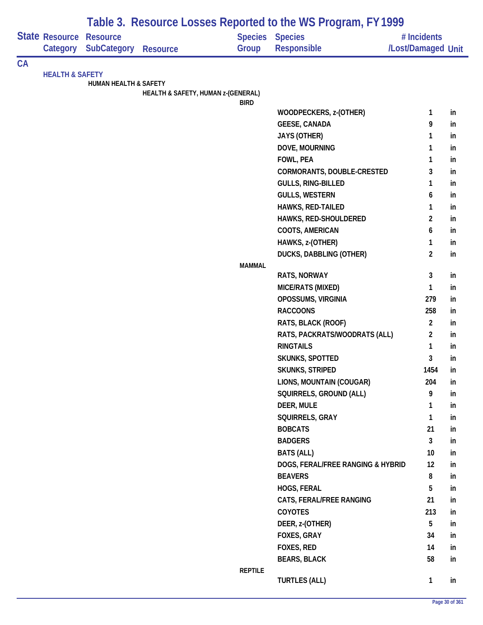| Table 3. Resource Losses Reported to the WS Program, FY 1999 |                                   |                                       |                                    |                |                                              |                                   |    |
|--------------------------------------------------------------|-----------------------------------|---------------------------------------|------------------------------------|----------------|----------------------------------------------|-----------------------------------|----|
|                                                              | <b>State Resource</b><br>Category | <b>Resource</b><br><b>SubCategory</b> | <b>Resource</b>                    | Group          | <b>Species Species</b><br><b>Responsible</b> | # Incidents<br>/Lost/Damaged Unit |    |
| <b>CA</b>                                                    |                                   |                                       |                                    |                |                                              |                                   |    |
|                                                              | <b>HEALTH &amp; SAFETY</b>        |                                       |                                    |                |                                              |                                   |    |
|                                                              |                                   | <b>HUMAN HEALTH &amp; SAFETY</b>      | HEALTH & SAFETY, HUMAN z-(GENERAL) |                |                                              |                                   |    |
|                                                              |                                   |                                       |                                    | <b>BIRD</b>    |                                              |                                   |    |
|                                                              |                                   |                                       |                                    |                | WOODPECKERS, z-(OTHER)                       | 1                                 | in |
|                                                              |                                   |                                       |                                    |                | <b>GEESE, CANADA</b>                         | 9                                 | in |
|                                                              |                                   |                                       |                                    |                | <b>JAYS (OTHER)</b>                          | 1                                 | in |
|                                                              |                                   |                                       |                                    |                | DOVE, MOURNING                               | 1                                 | in |
|                                                              |                                   |                                       |                                    |                | FOWL, PEA                                    | 1                                 | in |
|                                                              |                                   |                                       |                                    |                | CORMORANTS, DOUBLE-CRESTED                   | 3                                 | in |
|                                                              |                                   |                                       |                                    |                | <b>GULLS, RING-BILLED</b>                    | 1                                 | in |
|                                                              |                                   |                                       |                                    |                | <b>GULLS, WESTERN</b>                        | 6                                 | in |
|                                                              |                                   |                                       |                                    |                | HAWKS, RED-TAILED                            | 1                                 | in |
|                                                              |                                   |                                       |                                    |                | HAWKS, RED-SHOULDERED                        | $\overline{c}$                    | in |
|                                                              |                                   |                                       |                                    |                | COOTS, AMERICAN                              | 6                                 | in |
|                                                              |                                   |                                       |                                    |                | HAWKS, z-(OTHER)                             | 1                                 | in |
|                                                              |                                   |                                       |                                    |                | <b>DUCKS, DABBLING (OTHER)</b>               | $\overline{2}$                    | in |
|                                                              |                                   |                                       |                                    | <b>MAMMAL</b>  |                                              |                                   |    |
|                                                              |                                   |                                       |                                    |                | <b>RATS, NORWAY</b>                          | 3                                 | in |
|                                                              |                                   |                                       |                                    |                | MICE/RATS (MIXED)                            | 1                                 | in |
|                                                              |                                   |                                       |                                    |                | OPOSSUMS, VIRGINIA                           | 279                               | in |
|                                                              |                                   |                                       |                                    |                | <b>RACCOONS</b>                              | 258                               | in |
|                                                              |                                   |                                       |                                    |                | RATS, BLACK (ROOF)                           | $\overline{2}$                    | in |
|                                                              |                                   |                                       |                                    |                | RATS, PACKRATS/WOODRATS (ALL)                | $\overline{2}$                    | in |
|                                                              |                                   |                                       |                                    |                | <b>RINGTAILS</b>                             | 1                                 | in |
|                                                              |                                   |                                       |                                    |                | SKUNKS, SPOTTED                              | 3                                 | in |
|                                                              |                                   |                                       |                                    |                | SKUNKS, STRIPED                              | 1454                              | in |
|                                                              |                                   |                                       |                                    |                | LIONS, MOUNTAIN (COUGAR)                     | 204                               | in |
|                                                              |                                   |                                       |                                    |                | SQUIRRELS, GROUND (ALL)                      | 9                                 | in |
|                                                              |                                   |                                       |                                    |                | DEER, MULE                                   | 1                                 | in |
|                                                              |                                   |                                       |                                    |                | SQUIRRELS, GRAY                              | 1                                 | in |
|                                                              |                                   |                                       |                                    |                | <b>BOBCATS</b>                               | 21                                | in |
|                                                              |                                   |                                       |                                    |                | <b>BADGERS</b>                               | $\mathbf{3}$                      | in |
|                                                              |                                   |                                       |                                    |                | <b>BATS (ALL)</b>                            | 10                                | in |
|                                                              |                                   |                                       |                                    |                | DOGS, FERAL/FREE RANGING & HYBRID            | 12                                | in |
|                                                              |                                   |                                       |                                    |                | <b>BEAVERS</b>                               | 8                                 | in |
|                                                              |                                   |                                       |                                    |                | HOGS, FERAL                                  | 5                                 | in |
|                                                              |                                   |                                       |                                    |                | CATS, FERAL/FREE RANGING                     | 21                                | in |
|                                                              |                                   |                                       |                                    |                | <b>COYOTES</b>                               | 213                               | in |
|                                                              |                                   |                                       |                                    |                | DEER, z-(OTHER)                              | 5                                 | in |
|                                                              |                                   |                                       |                                    |                | FOXES, GRAY                                  | 34                                | in |
|                                                              |                                   |                                       |                                    |                | FOXES, RED                                   | 14                                | in |
|                                                              |                                   |                                       |                                    |                | <b>BEARS, BLACK</b>                          | 58                                | in |
|                                                              |                                   |                                       |                                    | <b>REPTILE</b> |                                              |                                   |    |
|                                                              |                                   |                                       |                                    |                | <b>TURTLES (ALL)</b>                         | $\mathbf{1}$                      | in |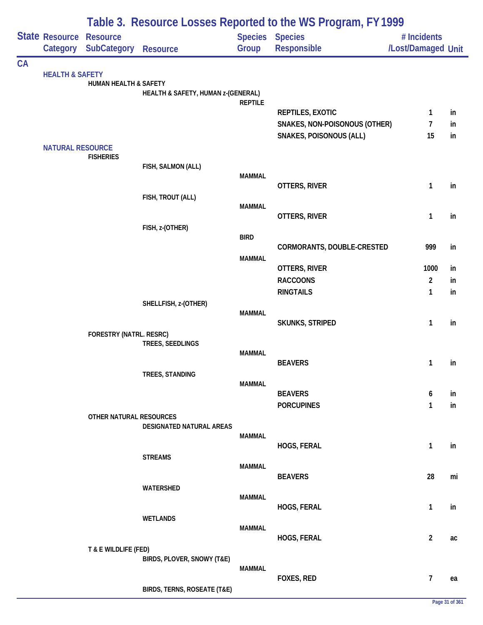|           |                                   |                                       |                                    |                | Table 3. Resource Losses Reported to the WS Program, FY 1999 |                                   |    |
|-----------|-----------------------------------|---------------------------------------|------------------------------------|----------------|--------------------------------------------------------------|-----------------------------------|----|
|           | <b>State Resource</b><br>Category | <b>Resource</b><br><b>SubCategory</b> | <b>Resource</b>                    | Group          | <b>Species Species</b><br>Responsible                        | # Incidents<br>/Lost/Damaged Unit |    |
| <b>CA</b> |                                   |                                       |                                    |                |                                                              |                                   |    |
|           | <b>HEALTH &amp; SAFETY</b>        | <b>HUMAN HEALTH &amp; SAFETY</b>      | HEALTH & SAFETY, HUMAN z-(GENERAL) |                |                                                              |                                   |    |
|           |                                   |                                       |                                    | <b>REPTILE</b> |                                                              |                                   |    |
|           |                                   |                                       |                                    |                | REPTILES, EXOTIC                                             | $\mathbf{1}$                      | in |
|           |                                   |                                       |                                    |                | SNAKES, NON-POISONOUS (OTHER)                                | 7                                 | in |
|           |                                   |                                       |                                    |                | <b>SNAKES, POISONOUS (ALL)</b>                               | 15                                | in |
|           | <b>NATURAL RESOURCE</b>           | <b>FISHERIES</b>                      |                                    |                |                                                              |                                   |    |
|           |                                   |                                       | FISH, SALMON (ALL)                 |                |                                                              |                                   |    |
|           |                                   |                                       |                                    | <b>MAMMAL</b>  |                                                              |                                   |    |
|           |                                   |                                       |                                    |                | OTTERS, RIVER                                                | 1                                 | in |
|           |                                   |                                       | FISH, TROUT (ALL)                  | <b>MAMMAL</b>  |                                                              |                                   |    |
|           |                                   |                                       |                                    |                | OTTERS, RIVER                                                | 1                                 | in |
|           |                                   |                                       | FISH, z-(OTHER)                    |                |                                                              |                                   |    |
|           |                                   |                                       |                                    | <b>BIRD</b>    |                                                              |                                   |    |
|           |                                   |                                       |                                    |                | CORMORANTS, DOUBLE-CRESTED                                   | 999                               | in |
|           |                                   |                                       |                                    | <b>MAMMAL</b>  | OTTERS, RIVER                                                | 1000                              | in |
|           |                                   |                                       |                                    |                | <b>RACCOONS</b>                                              | $\overline{2}$                    | in |
|           |                                   |                                       |                                    |                | <b>RINGTAILS</b>                                             | 1                                 | in |
|           |                                   |                                       | SHELLFISH, z-(OTHER)               |                |                                                              |                                   |    |
|           |                                   |                                       |                                    | <b>MAMMAL</b>  |                                                              |                                   |    |
|           |                                   |                                       |                                    |                | <b>SKUNKS, STRIPED</b>                                       | 1                                 | in |
|           |                                   | FORESTRY (NATRL. RESRC)               |                                    |                |                                                              |                                   |    |
|           |                                   |                                       | TREES, SEEDLINGS                   | <b>MAMMAL</b>  |                                                              |                                   |    |
|           |                                   |                                       |                                    |                | <b>BEAVERS</b>                                               | 1                                 | in |
|           |                                   |                                       | TREES, STANDING                    |                |                                                              |                                   |    |
|           |                                   |                                       |                                    | <b>MAMMAL</b>  |                                                              |                                   |    |
|           |                                   |                                       |                                    |                | <b>BEAVERS</b>                                               | 6                                 | in |
|           |                                   | OTHER NATURAL RESOURCES               |                                    |                | <b>PORCUPINES</b>                                            | 1                                 | in |
|           |                                   |                                       | DESIGNATED NATURAL AREAS           |                |                                                              |                                   |    |
|           |                                   |                                       |                                    | MAMMAL         |                                                              |                                   |    |
|           |                                   |                                       |                                    |                | HOGS, FERAL                                                  | 1                                 | in |
|           |                                   |                                       | <b>STREAMS</b>                     | <b>MAMMAL</b>  |                                                              |                                   |    |
|           |                                   |                                       |                                    |                | <b>BEAVERS</b>                                               | 28                                | mi |
|           |                                   |                                       | WATERSHED                          |                |                                                              |                                   |    |
|           |                                   |                                       |                                    | <b>MAMMAL</b>  |                                                              |                                   |    |
|           |                                   |                                       |                                    |                | HOGS, FERAL                                                  | 1                                 | in |
|           |                                   |                                       | <b>WETLANDS</b>                    | <b>MAMMAL</b>  |                                                              |                                   |    |
|           |                                   |                                       |                                    |                | HOGS, FERAL                                                  | $\overline{2}$                    | ac |
|           |                                   | T & E WILDLIFE (FED)                  |                                    |                |                                                              |                                   |    |
|           |                                   |                                       | BIRDS, PLOVER, SNOWY (T&E)         |                |                                                              |                                   |    |
|           |                                   |                                       |                                    | MAMMAL         | FOXES, RED                                                   | 7                                 |    |
|           |                                   |                                       | BIRDS, TERNS, ROSEATE (T&E)        |                |                                                              |                                   | ea |
|           |                                   |                                       |                                    |                |                                                              |                                   |    |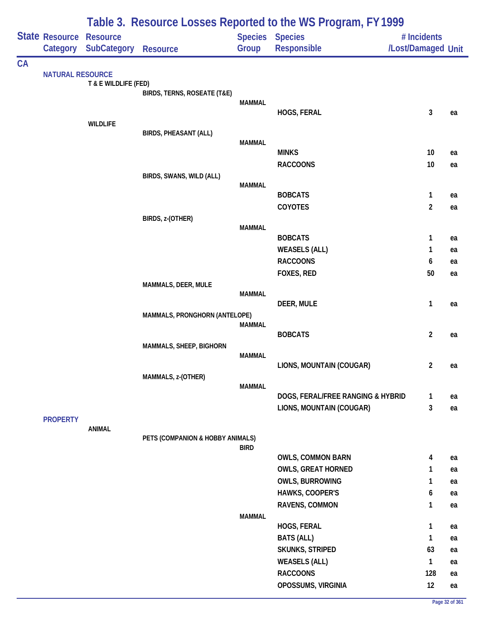| <b>State Resource Resource</b><br><b>Species Species</b><br># Incidents<br><b>SubCategory</b><br>Group<br>Responsible<br>/Lost/Damaged Unit<br>Category<br>Resource<br><b>NATURAL RESOURCE</b><br>T & E WILDLIFE (FED)<br>BIRDS, TERNS, ROSEATE (T&E)<br><b>MAMMAL</b><br>3<br>HOGS, FERAL<br>ea<br><b>WILDLIFE</b><br><b>BIRDS, PHEASANT (ALL)</b><br><b>MAMMAL</b><br><b>MINKS</b><br>10<br>ea<br><b>RACCOONS</b><br>10<br>ea<br>BIRDS, SWANS, WILD (ALL)<br><b>MAMMAL</b><br><b>BOBCATS</b><br>1<br>ea<br>$\overline{2}$<br>COYOTES<br>ea<br>BIRDS, z-(OTHER)<br><b>MAMMAL</b><br><b>BOBCATS</b><br>1<br>ea<br><b>WEASELS (ALL)</b><br>1<br>ea<br><b>RACCOONS</b><br>6<br>ea<br>FOXES, RED<br>50<br>ea<br>MAMMALS, DEER, MULE<br><b>MAMMAL</b><br>1<br>DEER, MULE<br>ea<br>MAMMALS, PRONGHORN (ANTELOPE)<br><b>MAMMAL</b><br><b>BOBCATS</b><br>$\overline{2}$<br>ea<br><b>MAMMALS, SHEEP, BIGHORN</b><br><b>MAMMAL</b><br>LIONS, MOUNTAIN (COUGAR)<br>2<br>ea<br>MAMMALS, z-(OTHER)<br><b>MAMMAL</b><br>DOGS, FERAL/FREE RANGING & HYBRID<br>1<br>ea<br>3<br>LIONS, MOUNTAIN (COUGAR)<br>ea<br><b>PROPERTY</b><br>ANIMAL<br>PETS (COMPANION & HOBBY ANIMALS)<br><b>BIRD</b><br><b>OWLS, COMMON BARN</b><br>4<br>ea<br><b>OWLS, GREAT HORNED</b><br>1<br>ea<br><b>OWLS, BURROWING</b><br>1<br>ea<br>HAWKS, COOPER'S<br>6<br>ea<br>RAVENS, COMMON<br>1<br>ea<br><b>MAMMAL</b><br>HOGS, FERAL<br>1<br>ea<br><b>BATS (ALL)</b><br>1<br>ea<br>SKUNKS, STRIPED<br>63<br>ea<br><b>WEASELS (ALL)</b><br>1<br>ea<br><b>RACCOONS</b><br>128<br>ea |    | Table 3. Resource Losses Reported to the WS Program, FY 1999 |  |  |                    |    |    |  |  |  |
|--------------------------------------------------------------------------------------------------------------------------------------------------------------------------------------------------------------------------------------------------------------------------------------------------------------------------------------------------------------------------------------------------------------------------------------------------------------------------------------------------------------------------------------------------------------------------------------------------------------------------------------------------------------------------------------------------------------------------------------------------------------------------------------------------------------------------------------------------------------------------------------------------------------------------------------------------------------------------------------------------------------------------------------------------------------------------------------------------------------------------------------------------------------------------------------------------------------------------------------------------------------------------------------------------------------------------------------------------------------------------------------------------------------------------------------------------------------------------------------------------------------------------------------------|----|--------------------------------------------------------------|--|--|--------------------|----|----|--|--|--|
|                                                                                                                                                                                                                                                                                                                                                                                                                                                                                                                                                                                                                                                                                                                                                                                                                                                                                                                                                                                                                                                                                                                                                                                                                                                                                                                                                                                                                                                                                                                                            |    |                                                              |  |  |                    |    |    |  |  |  |
|                                                                                                                                                                                                                                                                                                                                                                                                                                                                                                                                                                                                                                                                                                                                                                                                                                                                                                                                                                                                                                                                                                                                                                                                                                                                                                                                                                                                                                                                                                                                            | CA |                                                              |  |  |                    |    |    |  |  |  |
|                                                                                                                                                                                                                                                                                                                                                                                                                                                                                                                                                                                                                                                                                                                                                                                                                                                                                                                                                                                                                                                                                                                                                                                                                                                                                                                                                                                                                                                                                                                                            |    |                                                              |  |  |                    |    |    |  |  |  |
|                                                                                                                                                                                                                                                                                                                                                                                                                                                                                                                                                                                                                                                                                                                                                                                                                                                                                                                                                                                                                                                                                                                                                                                                                                                                                                                                                                                                                                                                                                                                            |    |                                                              |  |  |                    |    |    |  |  |  |
|                                                                                                                                                                                                                                                                                                                                                                                                                                                                                                                                                                                                                                                                                                                                                                                                                                                                                                                                                                                                                                                                                                                                                                                                                                                                                                                                                                                                                                                                                                                                            |    |                                                              |  |  |                    |    |    |  |  |  |
|                                                                                                                                                                                                                                                                                                                                                                                                                                                                                                                                                                                                                                                                                                                                                                                                                                                                                                                                                                                                                                                                                                                                                                                                                                                                                                                                                                                                                                                                                                                                            |    |                                                              |  |  |                    |    |    |  |  |  |
|                                                                                                                                                                                                                                                                                                                                                                                                                                                                                                                                                                                                                                                                                                                                                                                                                                                                                                                                                                                                                                                                                                                                                                                                                                                                                                                                                                                                                                                                                                                                            |    |                                                              |  |  |                    |    |    |  |  |  |
|                                                                                                                                                                                                                                                                                                                                                                                                                                                                                                                                                                                                                                                                                                                                                                                                                                                                                                                                                                                                                                                                                                                                                                                                                                                                                                                                                                                                                                                                                                                                            |    |                                                              |  |  |                    |    |    |  |  |  |
|                                                                                                                                                                                                                                                                                                                                                                                                                                                                                                                                                                                                                                                                                                                                                                                                                                                                                                                                                                                                                                                                                                                                                                                                                                                                                                                                                                                                                                                                                                                                            |    |                                                              |  |  |                    |    |    |  |  |  |
|                                                                                                                                                                                                                                                                                                                                                                                                                                                                                                                                                                                                                                                                                                                                                                                                                                                                                                                                                                                                                                                                                                                                                                                                                                                                                                                                                                                                                                                                                                                                            |    |                                                              |  |  |                    |    |    |  |  |  |
|                                                                                                                                                                                                                                                                                                                                                                                                                                                                                                                                                                                                                                                                                                                                                                                                                                                                                                                                                                                                                                                                                                                                                                                                                                                                                                                                                                                                                                                                                                                                            |    |                                                              |  |  |                    |    |    |  |  |  |
|                                                                                                                                                                                                                                                                                                                                                                                                                                                                                                                                                                                                                                                                                                                                                                                                                                                                                                                                                                                                                                                                                                                                                                                                                                                                                                                                                                                                                                                                                                                                            |    |                                                              |  |  |                    |    |    |  |  |  |
|                                                                                                                                                                                                                                                                                                                                                                                                                                                                                                                                                                                                                                                                                                                                                                                                                                                                                                                                                                                                                                                                                                                                                                                                                                                                                                                                                                                                                                                                                                                                            |    |                                                              |  |  |                    |    |    |  |  |  |
|                                                                                                                                                                                                                                                                                                                                                                                                                                                                                                                                                                                                                                                                                                                                                                                                                                                                                                                                                                                                                                                                                                                                                                                                                                                                                                                                                                                                                                                                                                                                            |    |                                                              |  |  |                    |    |    |  |  |  |
|                                                                                                                                                                                                                                                                                                                                                                                                                                                                                                                                                                                                                                                                                                                                                                                                                                                                                                                                                                                                                                                                                                                                                                                                                                                                                                                                                                                                                                                                                                                                            |    |                                                              |  |  |                    |    |    |  |  |  |
|                                                                                                                                                                                                                                                                                                                                                                                                                                                                                                                                                                                                                                                                                                                                                                                                                                                                                                                                                                                                                                                                                                                                                                                                                                                                                                                                                                                                                                                                                                                                            |    |                                                              |  |  |                    |    |    |  |  |  |
|                                                                                                                                                                                                                                                                                                                                                                                                                                                                                                                                                                                                                                                                                                                                                                                                                                                                                                                                                                                                                                                                                                                                                                                                                                                                                                                                                                                                                                                                                                                                            |    |                                                              |  |  |                    |    |    |  |  |  |
|                                                                                                                                                                                                                                                                                                                                                                                                                                                                                                                                                                                                                                                                                                                                                                                                                                                                                                                                                                                                                                                                                                                                                                                                                                                                                                                                                                                                                                                                                                                                            |    |                                                              |  |  |                    |    |    |  |  |  |
|                                                                                                                                                                                                                                                                                                                                                                                                                                                                                                                                                                                                                                                                                                                                                                                                                                                                                                                                                                                                                                                                                                                                                                                                                                                                                                                                                                                                                                                                                                                                            |    |                                                              |  |  |                    |    |    |  |  |  |
|                                                                                                                                                                                                                                                                                                                                                                                                                                                                                                                                                                                                                                                                                                                                                                                                                                                                                                                                                                                                                                                                                                                                                                                                                                                                                                                                                                                                                                                                                                                                            |    |                                                              |  |  |                    |    |    |  |  |  |
|                                                                                                                                                                                                                                                                                                                                                                                                                                                                                                                                                                                                                                                                                                                                                                                                                                                                                                                                                                                                                                                                                                                                                                                                                                                                                                                                                                                                                                                                                                                                            |    |                                                              |  |  |                    |    |    |  |  |  |
|                                                                                                                                                                                                                                                                                                                                                                                                                                                                                                                                                                                                                                                                                                                                                                                                                                                                                                                                                                                                                                                                                                                                                                                                                                                                                                                                                                                                                                                                                                                                            |    |                                                              |  |  |                    |    |    |  |  |  |
|                                                                                                                                                                                                                                                                                                                                                                                                                                                                                                                                                                                                                                                                                                                                                                                                                                                                                                                                                                                                                                                                                                                                                                                                                                                                                                                                                                                                                                                                                                                                            |    |                                                              |  |  |                    |    |    |  |  |  |
|                                                                                                                                                                                                                                                                                                                                                                                                                                                                                                                                                                                                                                                                                                                                                                                                                                                                                                                                                                                                                                                                                                                                                                                                                                                                                                                                                                                                                                                                                                                                            |    |                                                              |  |  |                    |    |    |  |  |  |
|                                                                                                                                                                                                                                                                                                                                                                                                                                                                                                                                                                                                                                                                                                                                                                                                                                                                                                                                                                                                                                                                                                                                                                                                                                                                                                                                                                                                                                                                                                                                            |    |                                                              |  |  |                    |    |    |  |  |  |
|                                                                                                                                                                                                                                                                                                                                                                                                                                                                                                                                                                                                                                                                                                                                                                                                                                                                                                                                                                                                                                                                                                                                                                                                                                                                                                                                                                                                                                                                                                                                            |    |                                                              |  |  |                    |    |    |  |  |  |
|                                                                                                                                                                                                                                                                                                                                                                                                                                                                                                                                                                                                                                                                                                                                                                                                                                                                                                                                                                                                                                                                                                                                                                                                                                                                                                                                                                                                                                                                                                                                            |    |                                                              |  |  |                    |    |    |  |  |  |
|                                                                                                                                                                                                                                                                                                                                                                                                                                                                                                                                                                                                                                                                                                                                                                                                                                                                                                                                                                                                                                                                                                                                                                                                                                                                                                                                                                                                                                                                                                                                            |    |                                                              |  |  |                    |    |    |  |  |  |
|                                                                                                                                                                                                                                                                                                                                                                                                                                                                                                                                                                                                                                                                                                                                                                                                                                                                                                                                                                                                                                                                                                                                                                                                                                                                                                                                                                                                                                                                                                                                            |    |                                                              |  |  |                    |    |    |  |  |  |
|                                                                                                                                                                                                                                                                                                                                                                                                                                                                                                                                                                                                                                                                                                                                                                                                                                                                                                                                                                                                                                                                                                                                                                                                                                                                                                                                                                                                                                                                                                                                            |    |                                                              |  |  |                    |    |    |  |  |  |
|                                                                                                                                                                                                                                                                                                                                                                                                                                                                                                                                                                                                                                                                                                                                                                                                                                                                                                                                                                                                                                                                                                                                                                                                                                                                                                                                                                                                                                                                                                                                            |    |                                                              |  |  |                    |    |    |  |  |  |
|                                                                                                                                                                                                                                                                                                                                                                                                                                                                                                                                                                                                                                                                                                                                                                                                                                                                                                                                                                                                                                                                                                                                                                                                                                                                                                                                                                                                                                                                                                                                            |    |                                                              |  |  |                    |    |    |  |  |  |
|                                                                                                                                                                                                                                                                                                                                                                                                                                                                                                                                                                                                                                                                                                                                                                                                                                                                                                                                                                                                                                                                                                                                                                                                                                                                                                                                                                                                                                                                                                                                            |    |                                                              |  |  |                    |    |    |  |  |  |
|                                                                                                                                                                                                                                                                                                                                                                                                                                                                                                                                                                                                                                                                                                                                                                                                                                                                                                                                                                                                                                                                                                                                                                                                                                                                                                                                                                                                                                                                                                                                            |    |                                                              |  |  |                    |    |    |  |  |  |
|                                                                                                                                                                                                                                                                                                                                                                                                                                                                                                                                                                                                                                                                                                                                                                                                                                                                                                                                                                                                                                                                                                                                                                                                                                                                                                                                                                                                                                                                                                                                            |    |                                                              |  |  |                    |    |    |  |  |  |
|                                                                                                                                                                                                                                                                                                                                                                                                                                                                                                                                                                                                                                                                                                                                                                                                                                                                                                                                                                                                                                                                                                                                                                                                                                                                                                                                                                                                                                                                                                                                            |    |                                                              |  |  |                    |    |    |  |  |  |
|                                                                                                                                                                                                                                                                                                                                                                                                                                                                                                                                                                                                                                                                                                                                                                                                                                                                                                                                                                                                                                                                                                                                                                                                                                                                                                                                                                                                                                                                                                                                            |    |                                                              |  |  |                    |    |    |  |  |  |
|                                                                                                                                                                                                                                                                                                                                                                                                                                                                                                                                                                                                                                                                                                                                                                                                                                                                                                                                                                                                                                                                                                                                                                                                                                                                                                                                                                                                                                                                                                                                            |    |                                                              |  |  |                    |    |    |  |  |  |
|                                                                                                                                                                                                                                                                                                                                                                                                                                                                                                                                                                                                                                                                                                                                                                                                                                                                                                                                                                                                                                                                                                                                                                                                                                                                                                                                                                                                                                                                                                                                            |    |                                                              |  |  |                    |    |    |  |  |  |
|                                                                                                                                                                                                                                                                                                                                                                                                                                                                                                                                                                                                                                                                                                                                                                                                                                                                                                                                                                                                                                                                                                                                                                                                                                                                                                                                                                                                                                                                                                                                            |    |                                                              |  |  |                    |    |    |  |  |  |
|                                                                                                                                                                                                                                                                                                                                                                                                                                                                                                                                                                                                                                                                                                                                                                                                                                                                                                                                                                                                                                                                                                                                                                                                                                                                                                                                                                                                                                                                                                                                            |    |                                                              |  |  |                    |    |    |  |  |  |
|                                                                                                                                                                                                                                                                                                                                                                                                                                                                                                                                                                                                                                                                                                                                                                                                                                                                                                                                                                                                                                                                                                                                                                                                                                                                                                                                                                                                                                                                                                                                            |    |                                                              |  |  |                    |    |    |  |  |  |
|                                                                                                                                                                                                                                                                                                                                                                                                                                                                                                                                                                                                                                                                                                                                                                                                                                                                                                                                                                                                                                                                                                                                                                                                                                                                                                                                                                                                                                                                                                                                            |    |                                                              |  |  | OPOSSUMS, VIRGINIA | 12 | ea |  |  |  |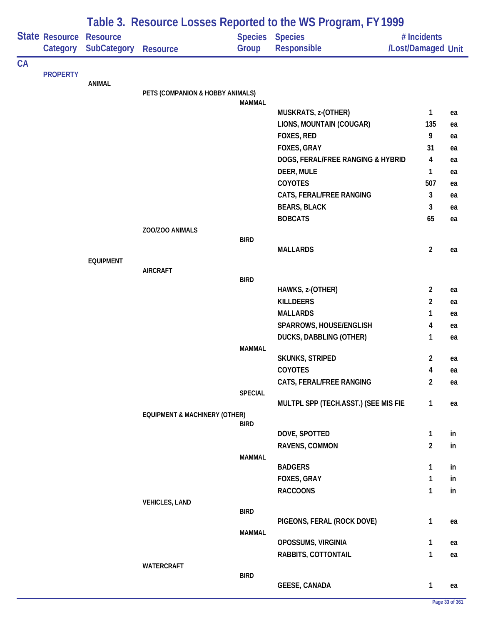|    | State Resource<br>Category | <b>Resource</b><br><b>SubCategory</b> | <b>Resource</b>                          | Group            | Table 5. INCOULDE EDISCS INCROITED TO THE WOLF DOMENT, FILLY 77<br><b>Species Species</b><br><b>Responsible</b> | # Incidents<br>/Lost/Damaged Unit |    |
|----|----------------------------|---------------------------------------|------------------------------------------|------------------|-----------------------------------------------------------------------------------------------------------------|-----------------------------------|----|
| CA |                            |                                       |                                          |                  |                                                                                                                 |                                   |    |
|    | <b>PROPERTY</b>            | <b>ANIMAL</b>                         |                                          |                  |                                                                                                                 |                                   |    |
|    |                            |                                       | PETS (COMPANION & HOBBY ANIMALS)         |                  |                                                                                                                 |                                   |    |
|    |                            |                                       |                                          | <b>MAMMAL</b>    |                                                                                                                 |                                   |    |
|    |                            |                                       |                                          |                  | MUSKRATS, z-(OTHER)                                                                                             | $\mathbf{1}$                      | ea |
|    |                            |                                       |                                          |                  | LIONS, MOUNTAIN (COUGAR)                                                                                        | 135<br>9                          | ea |
|    |                            |                                       |                                          |                  | FOXES, RED                                                                                                      | 31                                | ea |
|    |                            |                                       |                                          |                  | FOXES, GRAY                                                                                                     |                                   | ea |
|    |                            |                                       |                                          |                  | DOGS, FERAL/FREE RANGING & HYBRID<br>DEER, MULE                                                                 | 4<br>1                            | ea |
|    |                            |                                       |                                          |                  | COYOTES                                                                                                         | 507                               | ea |
|    |                            |                                       |                                          |                  | CATS, FERAL/FREE RANGING                                                                                        | 3                                 | ea |
|    |                            |                                       |                                          |                  |                                                                                                                 | 3                                 | ea |
|    |                            |                                       |                                          |                  | <b>BEARS, BLACK</b>                                                                                             | 65                                | ea |
|    |                            |                                       | ZOO/ZOO ANIMALS                          |                  | <b>BOBCATS</b>                                                                                                  |                                   | ea |
|    |                            |                                       |                                          | <b>BIRD</b>      |                                                                                                                 |                                   |    |
|    |                            |                                       |                                          |                  | <b>MALLARDS</b>                                                                                                 | $\overline{2}$                    | ea |
|    |                            | <b>EQUIPMENT</b>                      |                                          |                  |                                                                                                                 |                                   |    |
|    |                            |                                       | <b>AIRCRAFT</b>                          |                  |                                                                                                                 |                                   |    |
|    |                            |                                       |                                          | <b>BIRD</b>      | HAWKS, z-(OTHER)                                                                                                | $\overline{2}$                    |    |
|    |                            |                                       |                                          | <b>KILLDEERS</b> | $\overline{c}$                                                                                                  | ea                                |    |
|    |                            |                                       |                                          |                  | <b>MALLARDS</b>                                                                                                 | 1                                 | ea |
|    |                            |                                       |                                          |                  | SPARROWS, HOUSE/ENGLISH                                                                                         | 4                                 | ea |
|    |                            |                                       |                                          |                  |                                                                                                                 |                                   | ea |
|    |                            |                                       |                                          | <b>MAMMAL</b>    | DUCKS, DABBLING (OTHER)                                                                                         | 1                                 | ea |
|    |                            |                                       |                                          |                  | <b>SKUNKS, STRIPED</b>                                                                                          | 2                                 | ea |
|    |                            |                                       |                                          |                  | COYOTES                                                                                                         | 4                                 | ea |
|    |                            |                                       |                                          |                  | CATS, FERAL/FREE RANGING                                                                                        | $\overline{\mathbf{c}}$           | ea |
|    |                            |                                       |                                          | <b>SPECIAL</b>   |                                                                                                                 |                                   |    |
|    |                            |                                       |                                          |                  | MULTPL SPP (TECH.ASST.) (SEE MIS FIE                                                                            | $\mathbf{1}$                      | ea |
|    |                            |                                       | <b>EQUIPMENT &amp; MACHINERY (OTHER)</b> |                  |                                                                                                                 |                                   |    |
|    |                            |                                       |                                          | <b>BIRD</b>      |                                                                                                                 |                                   |    |
|    |                            |                                       |                                          |                  | DOVE, SPOTTED                                                                                                   | 1                                 | in |
|    |                            |                                       |                                          |                  | RAVENS, COMMON                                                                                                  | $\overline{2}$                    | in |
|    |                            |                                       |                                          | <b>MAMMAL</b>    | <b>BADGERS</b>                                                                                                  | 1                                 | in |
|    |                            |                                       |                                          |                  | FOXES, GRAY                                                                                                     | 1                                 | in |
|    |                            |                                       |                                          |                  | <b>RACCOONS</b>                                                                                                 | 1                                 | in |
|    |                            |                                       | <b>VEHICLES, LAND</b>                    |                  |                                                                                                                 |                                   |    |
|    |                            |                                       |                                          | <b>BIRD</b>      |                                                                                                                 |                                   |    |
|    |                            |                                       |                                          |                  | PIGEONS, FERAL (ROCK DOVE)                                                                                      | $\mathbf{1}$                      | ea |
|    |                            |                                       |                                          | <b>MAMMAL</b>    |                                                                                                                 |                                   |    |
|    |                            |                                       |                                          |                  | OPOSSUMS, VIRGINIA                                                                                              | 1                                 | ea |
|    |                            |                                       |                                          |                  | RABBITS, COTTONTAIL                                                                                             | 1                                 | ea |
|    |                            |                                       | WATERCRAFT                               |                  |                                                                                                                 |                                   |    |
|    |                            |                                       |                                          | <b>BIRD</b>      | <b>GEESE, CANADA</b>                                                                                            | 1                                 |    |
|    |                            |                                       |                                          |                  |                                                                                                                 |                                   | ea |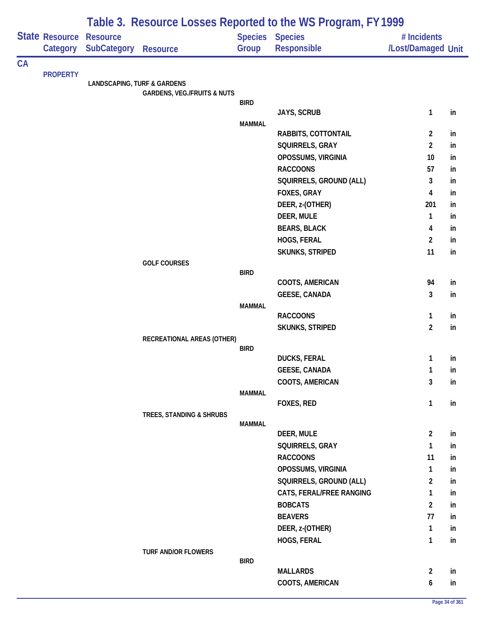|    |                       | Table 3. Resource Losses Reported to the WS Program, FY 1999 |                                        |                |                          |                    |    |  |  |
|----|-----------------------|--------------------------------------------------------------|----------------------------------------|----------------|--------------------------|--------------------|----|--|--|
|    | <b>State Resource</b> | <b>Resource</b>                                              |                                        | <b>Species</b> | <b>Species</b>           | # Incidents        |    |  |  |
|    | Category              | <b>SubCategory</b>                                           | <b>Resource</b>                        | Group          | Responsible              | /Lost/Damaged Unit |    |  |  |
| CA |                       |                                                              |                                        |                |                          |                    |    |  |  |
|    | <b>PROPERTY</b>       | <b>LANDSCAPING, TURF &amp; GARDENS</b>                       |                                        |                |                          |                    |    |  |  |
|    |                       |                                                              | <b>GARDENS, VEG./FRUITS &amp; NUTS</b> |                |                          |                    |    |  |  |
|    |                       |                                                              |                                        | <b>BIRD</b>    |                          |                    |    |  |  |
|    |                       |                                                              |                                        |                | <b>JAYS, SCRUB</b>       | $\mathbf{1}$       | in |  |  |
|    |                       |                                                              |                                        | <b>MAMMAL</b>  | RABBITS, COTTONTAIL      | $\overline{2}$     | in |  |  |
|    |                       |                                                              |                                        |                | SQUIRRELS, GRAY          | $\overline{2}$     | in |  |  |
|    |                       |                                                              |                                        |                | OPOSSUMS, VIRGINIA       | 10                 | in |  |  |
|    |                       |                                                              |                                        |                | <b>RACCOONS</b>          | 57                 | in |  |  |
|    |                       |                                                              |                                        |                | SQUIRRELS, GROUND (ALL)  | 3                  | in |  |  |
|    |                       |                                                              |                                        |                | FOXES, GRAY              | 4                  | in |  |  |
|    |                       |                                                              |                                        |                | DEER, z-(OTHER)          | 201                | in |  |  |
|    |                       |                                                              |                                        |                | DEER, MULE               | $\mathbf{1}$       | in |  |  |
|    |                       |                                                              |                                        |                | <b>BEARS, BLACK</b>      | 4                  | in |  |  |
|    |                       |                                                              |                                        |                | HOGS, FERAL              | $\overline{2}$     | in |  |  |
|    |                       |                                                              |                                        |                | <b>SKUNKS, STRIPED</b>   | 11                 | in |  |  |
|    |                       |                                                              | <b>GOLF COURSES</b>                    |                |                          |                    |    |  |  |
|    |                       |                                                              |                                        | <b>BIRD</b>    |                          |                    |    |  |  |
|    |                       |                                                              |                                        |                | COOTS, AMERICAN          | 94                 | in |  |  |
|    |                       |                                                              |                                        |                | <b>GEESE, CANADA</b>     | 3                  | in |  |  |
|    |                       |                                                              |                                        | <b>MAMMAL</b>  | <b>RACCOONS</b>          | 1                  | in |  |  |
|    |                       |                                                              |                                        |                | <b>SKUNKS, STRIPED</b>   | $\overline{2}$     | in |  |  |
|    |                       |                                                              | RECREATIONAL AREAS (OTHER)             |                |                          |                    |    |  |  |
|    |                       |                                                              |                                        | <b>BIRD</b>    |                          |                    |    |  |  |
|    |                       |                                                              |                                        |                | <b>DUCKS, FERAL</b>      | 1                  | in |  |  |
|    |                       |                                                              |                                        |                | <b>GEESE, CANADA</b>     | $\mathbf{1}$       | in |  |  |
|    |                       |                                                              |                                        |                | COOTS, AMERICAN          | 3                  | in |  |  |
|    |                       |                                                              |                                        | <b>MAMMAL</b>  |                          |                    |    |  |  |
|    |                       |                                                              |                                        |                | FOXES, RED               | $\mathbf{1}$       | in |  |  |
|    |                       |                                                              | TREES, STANDING & SHRUBS               | <b>MAMMAL</b>  |                          |                    |    |  |  |
|    |                       |                                                              |                                        |                | DEER, MULE               | $\overline{2}$     | in |  |  |
|    |                       |                                                              |                                        |                | SQUIRRELS, GRAY          | $\mathbf{1}$       | in |  |  |
|    |                       |                                                              |                                        |                | <b>RACCOONS</b>          | 11                 | in |  |  |
|    |                       |                                                              |                                        |                | OPOSSUMS, VIRGINIA       | $\mathbf{1}$       | in |  |  |
|    |                       |                                                              |                                        |                | SQUIRRELS, GROUND (ALL)  | $\overline{2}$     | in |  |  |
|    |                       |                                                              |                                        |                | CATS, FERAL/FREE RANGING | $\mathbf{1}$       | in |  |  |
|    |                       |                                                              |                                        |                | <b>BOBCATS</b>           | $\overline{2}$     | in |  |  |
|    |                       |                                                              |                                        |                | <b>BEAVERS</b>           | 77                 | in |  |  |
|    |                       |                                                              |                                        |                | DEER, z-(OTHER)          | 1                  | in |  |  |
|    |                       |                                                              |                                        |                | HOGS, FERAL              | $\mathbf{1}$       | in |  |  |
|    |                       |                                                              | <b>TURF AND/OR FLOWERS</b>             |                |                          |                    |    |  |  |
|    |                       |                                                              |                                        | <b>BIRD</b>    |                          |                    |    |  |  |
|    |                       |                                                              |                                        |                | <b>MALLARDS</b>          | $\overline{2}$     | in |  |  |
|    |                       |                                                              |                                        |                | COOTS, AMERICAN          | 6                  | in |  |  |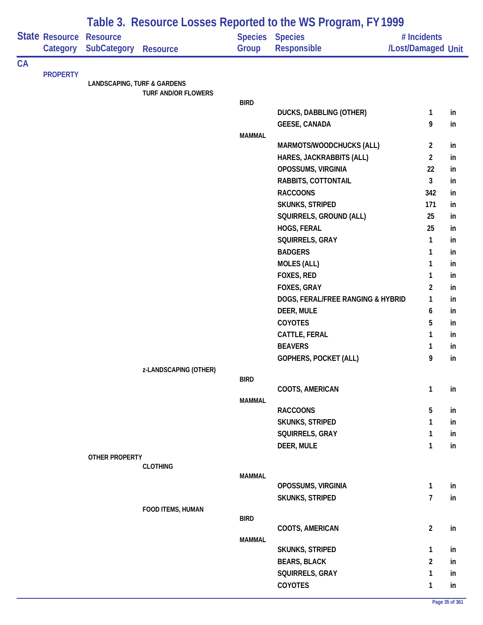|    |                            | Table 3. Resource Losses Reported to the WS Program, FY 1999 |                            |               |                                    |                                   |    |  |  |  |
|----|----------------------------|--------------------------------------------------------------|----------------------------|---------------|------------------------------------|-----------------------------------|----|--|--|--|
|    | State Resource<br>Category | <b>Resource</b><br><b>SubCategory</b>                        | <b>Resource</b>            | Group         | Species Species<br>Responsible     | # Incidents<br>/Lost/Damaged Unit |    |  |  |  |
| CA |                            |                                                              |                            |               |                                    |                                   |    |  |  |  |
|    | <b>PROPERTY</b>            | <b>LANDSCAPING, TURF &amp; GARDENS</b>                       |                            |               |                                    |                                   |    |  |  |  |
|    |                            |                                                              | <b>TURF AND/OR FLOWERS</b> |               |                                    |                                   |    |  |  |  |
|    |                            |                                                              |                            | <b>BIRD</b>   |                                    |                                   |    |  |  |  |
|    |                            |                                                              |                            |               | <b>DUCKS, DABBLING (OTHER)</b>     | $\mathbf{1}$                      | in |  |  |  |
|    |                            |                                                              |                            | <b>MAMMAL</b> | <b>GEESE, CANADA</b>               | 9                                 | in |  |  |  |
|    |                            |                                                              |                            |               | MARMOTS/WOODCHUCKS (ALL)           | 2                                 | in |  |  |  |
|    |                            |                                                              |                            |               | HARES, JACKRABBITS (ALL)           | $\overline{2}$                    | in |  |  |  |
|    |                            |                                                              |                            |               | OPOSSUMS, VIRGINIA                 | 22                                | in |  |  |  |
|    |                            |                                                              |                            |               | RABBITS, COTTONTAIL                | $\mathbf{3}$                      | in |  |  |  |
|    |                            |                                                              |                            |               | <b>RACCOONS</b>                    | 342                               | in |  |  |  |
|    |                            |                                                              |                            |               | <b>SKUNKS, STRIPED</b>             | 171                               | in |  |  |  |
|    |                            |                                                              |                            |               | SQUIRRELS, GROUND (ALL)            | 25                                | in |  |  |  |
|    |                            |                                                              |                            |               | HOGS, FERAL                        | 25                                | in |  |  |  |
|    |                            |                                                              |                            |               | SQUIRRELS, GRAY                    | $\mathbf{1}$                      | in |  |  |  |
|    |                            |                                                              |                            |               | <b>BADGERS</b>                     | $\mathbf{1}$                      | in |  |  |  |
|    |                            |                                                              |                            |               | <b>MOLES (ALL)</b>                 | 1                                 | in |  |  |  |
|    |                            |                                                              |                            | FOXES, RED    | 1                                  | in                                |    |  |  |  |
|    |                            |                                                              |                            |               | FOXES, GRAY                        | $\overline{2}$                    | in |  |  |  |
|    |                            |                                                              |                            |               | DOGS, FERAL/FREE RANGING & HYBRID  | 1                                 | in |  |  |  |
|    |                            |                                                              |                            |               | DEER, MULE                         | 6                                 | in |  |  |  |
|    |                            |                                                              |                            |               | COYOTES                            | 5                                 | in |  |  |  |
|    |                            |                                                              |                            |               | CATTLE, FERAL                      | 1                                 | in |  |  |  |
|    |                            |                                                              |                            |               | <b>BEAVERS</b>                     | 1                                 | in |  |  |  |
|    |                            |                                                              |                            |               | <b>GOPHERS, POCKET (ALL)</b>       | 9                                 | in |  |  |  |
|    |                            |                                                              | z-LANDSCAPING (OTHER)      |               |                                    |                                   |    |  |  |  |
|    |                            |                                                              |                            | <b>BIRD</b>   |                                    |                                   |    |  |  |  |
|    |                            |                                                              |                            |               | COOTS, AMERICAN                    | $\mathbf{1}$                      | in |  |  |  |
|    |                            |                                                              |                            | <b>MAMMAL</b> |                                    |                                   |    |  |  |  |
|    |                            |                                                              |                            |               | <b>RACCOONS</b><br>SKUNKS, STRIPED | 5<br>1                            | in |  |  |  |
|    |                            |                                                              |                            |               | SQUIRRELS, GRAY                    |                                   | in |  |  |  |
|    |                            |                                                              |                            |               | DEER, MULE                         | $\mathbf{1}$<br>$\mathbf{1}$      | in |  |  |  |
|    |                            | <b>OTHER PROPERTY</b>                                        |                            |               |                                    |                                   | in |  |  |  |
|    |                            |                                                              | <b>CLOTHING</b>            |               |                                    |                                   |    |  |  |  |
|    |                            |                                                              |                            | <b>MAMMAL</b> |                                    |                                   |    |  |  |  |
|    |                            |                                                              |                            |               | OPOSSUMS, VIRGINIA                 | $\mathbf{1}$                      | in |  |  |  |
|    |                            |                                                              |                            |               | <b>SKUNKS, STRIPED</b>             | $\overline{1}$                    | in |  |  |  |
|    |                            |                                                              | FOOD ITEMS, HUMAN          |               |                                    |                                   |    |  |  |  |
|    |                            |                                                              |                            | <b>BIRD</b>   | COOTS, AMERICAN                    | $\overline{2}$                    | in |  |  |  |
|    |                            |                                                              |                            | <b>MAMMAL</b> |                                    |                                   |    |  |  |  |
|    |                            |                                                              |                            |               | <b>SKUNKS, STRIPED</b>             | $\mathbf{1}$                      | in |  |  |  |
|    |                            |                                                              |                            |               | <b>BEARS, BLACK</b>                | $\overline{c}$                    | in |  |  |  |
|    |                            |                                                              |                            |               | SQUIRRELS, GRAY                    | $\mathbf{1}$                      | in |  |  |  |
|    |                            |                                                              |                            |               | <b>COYOTES</b>                     | $\mathbf{1}$                      | in |  |  |  |
|    |                            |                                                              |                            |               |                                    |                                   |    |  |  |  |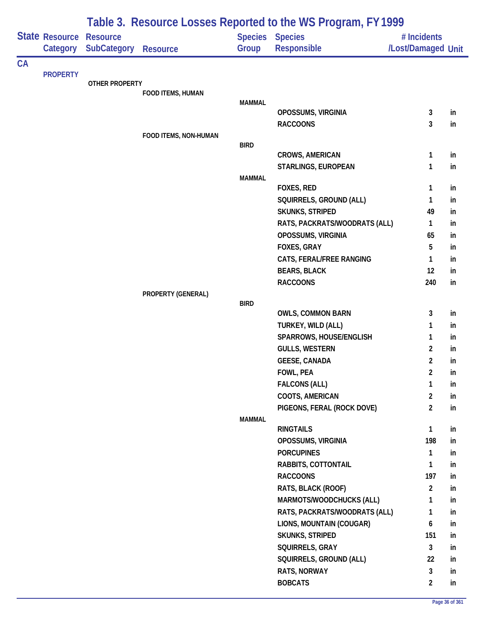|           |                            | Table 3. Resource Losses Reported to the WS Program, FY 1999 |                       |               |                                |                                   |    |  |  |
|-----------|----------------------------|--------------------------------------------------------------|-----------------------|---------------|--------------------------------|-----------------------------------|----|--|--|
|           | State Resource<br>Category | <b>Resource</b><br><b>SubCategory</b>                        | <b>Resource</b>       | Group         | Species Species<br>Responsible | # Incidents<br>/Lost/Damaged Unit |    |  |  |
| <b>CA</b> |                            |                                                              |                       |               |                                |                                   |    |  |  |
|           | <b>PROPERTY</b>            | <b>OTHER PROPERTY</b>                                        |                       |               |                                |                                   |    |  |  |
|           |                            |                                                              | FOOD ITEMS, HUMAN     |               |                                |                                   |    |  |  |
|           |                            |                                                              |                       | <b>MAMMAL</b> |                                |                                   |    |  |  |
|           |                            |                                                              |                       |               | OPOSSUMS, VIRGINIA             | $\mathbf{3}$                      | in |  |  |
|           |                            |                                                              |                       |               | <b>RACCOONS</b>                | 3                                 | in |  |  |
|           |                            |                                                              | FOOD ITEMS, NON-HUMAN |               |                                |                                   |    |  |  |
|           |                            |                                                              |                       | <b>BIRD</b>   | <b>CROWS, AMERICAN</b>         | 1                                 | in |  |  |
|           |                            |                                                              |                       |               | STARLINGS, EUROPEAN            | 1                                 | in |  |  |
|           |                            |                                                              |                       | <b>MAMMAL</b> |                                |                                   |    |  |  |
|           |                            |                                                              |                       |               | <b>FOXES, RED</b>              | $\mathbf{1}$                      | in |  |  |
|           |                            |                                                              |                       |               | SQUIRRELS, GROUND (ALL)        | 1                                 | in |  |  |
|           |                            |                                                              |                       |               | <b>SKUNKS, STRIPED</b>         | 49                                | in |  |  |
|           |                            |                                                              |                       |               | RATS, PACKRATS/WOODRATS (ALL)  | $\mathbf{1}$                      | in |  |  |
|           |                            |                                                              |                       |               | OPOSSUMS, VIRGINIA             | 65                                | in |  |  |
|           |                            |                                                              |                       |               | FOXES, GRAY                    | 5                                 | in |  |  |
|           |                            |                                                              |                       |               | CATS, FERAL/FREE RANGING       | 1                                 | in |  |  |
|           |                            |                                                              |                       |               | <b>BEARS, BLACK</b>            | 12                                | in |  |  |
|           |                            |                                                              |                       |               | <b>RACCOONS</b>                | 240                               | in |  |  |
|           |                            |                                                              | PROPERTY (GENERAL)    |               |                                |                                   |    |  |  |
|           |                            |                                                              |                       | <b>BIRD</b>   |                                |                                   |    |  |  |
|           |                            |                                                              |                       |               | <b>OWLS, COMMON BARN</b>       | 3                                 | in |  |  |
|           |                            |                                                              |                       |               | TURKEY, WILD (ALL)             | 1                                 | in |  |  |
|           |                            |                                                              |                       |               | SPARROWS, HOUSE/ENGLISH        | 1                                 | in |  |  |
|           |                            |                                                              |                       |               | <b>GULLS, WESTERN</b>          | $\overline{2}$                    | in |  |  |
|           |                            |                                                              |                       |               | <b>GEESE, CANADA</b>           | $\overline{2}$                    | in |  |  |
|           |                            |                                                              |                       |               | FOWL, PEA                      | $\overline{2}$                    | in |  |  |
|           |                            |                                                              |                       |               | <b>FALCONS (ALL)</b>           | 1                                 | in |  |  |
|           |                            |                                                              |                       |               | COOTS, AMERICAN                | $\overline{2}$                    | in |  |  |
|           |                            |                                                              |                       |               | PIGEONS, FERAL (ROCK DOVE)     | $\overline{2}$                    | in |  |  |
|           |                            |                                                              |                       | <b>MAMMAL</b> | <b>RINGTAILS</b>               | $\mathbf{1}$                      | in |  |  |
|           |                            |                                                              |                       |               | OPOSSUMS, VIRGINIA             | 198                               | in |  |  |
|           |                            |                                                              |                       |               | <b>PORCUPINES</b>              | $\mathbf{1}$                      | in |  |  |
|           |                            |                                                              |                       |               | RABBITS, COTTONTAIL            | $\mathbf{1}$                      | in |  |  |
|           |                            |                                                              |                       |               | <b>RACCOONS</b>                | 197                               | in |  |  |
|           |                            |                                                              |                       |               | RATS, BLACK (ROOF)             | $\overline{2}$                    | in |  |  |
|           |                            |                                                              |                       |               | MARMOTS/WOODCHUCKS (ALL)       | 1                                 | in |  |  |
|           |                            |                                                              |                       |               | RATS, PACKRATS/WOODRATS (ALL)  | 1                                 | in |  |  |
|           |                            |                                                              |                       |               | LIONS, MOUNTAIN (COUGAR)       | 6                                 | in |  |  |
|           |                            |                                                              |                       |               | <b>SKUNKS, STRIPED</b>         | 151                               | in |  |  |
|           |                            |                                                              |                       |               | SQUIRRELS, GRAY                | $\mathbf{3}$                      | in |  |  |
|           |                            |                                                              |                       |               | SQUIRRELS, GROUND (ALL)        | 22                                | in |  |  |
|           |                            |                                                              |                       |               | <b>RATS, NORWAY</b>            | 3                                 | in |  |  |
|           |                            |                                                              |                       |               | <b>BOBCATS</b>                 | $\overline{2}$                    | in |  |  |
|           |                            |                                                              |                       |               |                                |                                   |    |  |  |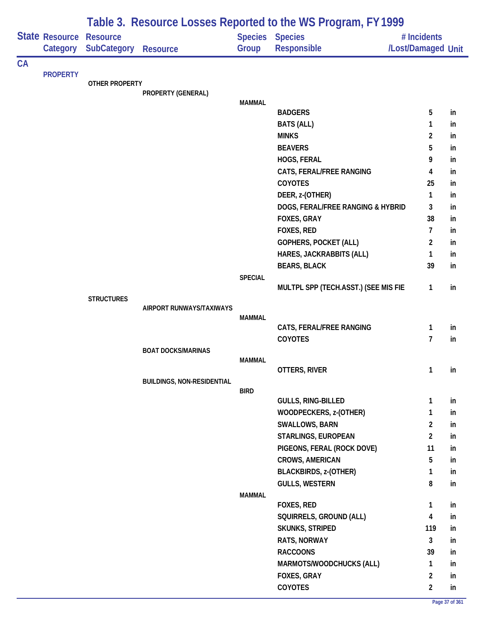|    |                 | Table 3. Resource Losses Reported to the WS Program, FY 1999 |                                   |                |                                       |                                         |          |  |  |  |
|----|-----------------|--------------------------------------------------------------|-----------------------------------|----------------|---------------------------------------|-----------------------------------------|----------|--|--|--|
|    | State Resource  | <b>Resource</b><br>SubCategory                               |                                   |                | Species Species                       | # Incidents                             |          |  |  |  |
|    | Category        |                                                              | <b>Resource</b>                   | Group          | Responsible                           | /Lost/Damaged Unit                      |          |  |  |  |
| CA | <b>PROPERTY</b> |                                                              |                                   |                |                                       |                                         |          |  |  |  |
|    |                 | <b>OTHER PROPERTY</b>                                        |                                   |                |                                       |                                         |          |  |  |  |
|    |                 |                                                              | PROPERTY (GENERAL)                |                |                                       |                                         |          |  |  |  |
|    |                 |                                                              |                                   | <b>MAMMAL</b>  | <b>BADGERS</b>                        | 5                                       | in       |  |  |  |
|    |                 |                                                              |                                   |                | <b>BATS (ALL)</b>                     | 1                                       | in       |  |  |  |
|    |                 |                                                              |                                   |                | <b>MINKS</b>                          | $\overline{2}$                          | in       |  |  |  |
|    |                 |                                                              |                                   |                | <b>BEAVERS</b>                        | 5                                       | in       |  |  |  |
|    |                 |                                                              |                                   |                | HOGS, FERAL                           | 9                                       | in       |  |  |  |
|    |                 |                                                              |                                   |                | CATS, FERAL/FREE RANGING              | 4                                       | in       |  |  |  |
|    |                 |                                                              |                                   |                | COYOTES                               | 25                                      | in       |  |  |  |
|    |                 |                                                              |                                   |                | DEER, z-(OTHER)                       | $\mathbf{1}$                            | in       |  |  |  |
|    |                 |                                                              |                                   |                | DOGS, FERAL/FREE RANGING & HYBRID     | 3                                       | in       |  |  |  |
|    |                 |                                                              |                                   |                | FOXES, GRAY                           | 38                                      | in       |  |  |  |
|    |                 |                                                              |                                   |                | FOXES, RED                            | $\overline{7}$                          | in       |  |  |  |
|    |                 |                                                              |                                   |                | GOPHERS, POCKET (ALL)                 | $\overline{2}$                          | in       |  |  |  |
|    |                 |                                                              |                                   |                | HARES, JACKRABBITS (ALL)              | 1                                       | in       |  |  |  |
|    |                 |                                                              |                                   |                | <b>BEARS, BLACK</b>                   | 39                                      | in       |  |  |  |
|    |                 |                                                              |                                   | <b>SPECIAL</b> |                                       |                                         |          |  |  |  |
|    |                 |                                                              |                                   |                | MULTPL SPP (TECH.ASST.) (SEE MIS FIE  | $\mathbf{1}$                            | in       |  |  |  |
|    |                 | <b>STRUCTURES</b>                                            | AIRPORT RUNWAYS/TAXIWAYS          |                |                                       |                                         |          |  |  |  |
|    |                 |                                                              |                                   | <b>MAMMAL</b>  |                                       |                                         |          |  |  |  |
|    |                 |                                                              |                                   |                | CATS, FERAL/FREE RANGING              | 1                                       | in       |  |  |  |
|    |                 |                                                              |                                   |                | COYOTES                               | $\overline{7}$                          | in       |  |  |  |
|    |                 |                                                              | <b>BOAT DOCKS/MARINAS</b>         |                |                                       |                                         |          |  |  |  |
|    |                 |                                                              |                                   | <b>MAMMAL</b>  | OTTERS, RIVER                         | $\mathbf{1}$                            | in       |  |  |  |
|    |                 |                                                              | <b>BUILDINGS, NON-RESIDENTIAL</b> |                |                                       |                                         |          |  |  |  |
|    |                 |                                                              |                                   | <b>BIRD</b>    |                                       |                                         |          |  |  |  |
|    |                 |                                                              |                                   |                | <b>GULLS, RING-BILLED</b>             | $\mathbf{1}$                            | in       |  |  |  |
|    |                 |                                                              |                                   |                | WOODPECKERS, z-(OTHER)                | 1                                       | in       |  |  |  |
|    |                 |                                                              |                                   |                | SWALLOWS, BARN                        | $\overline{\mathbf{c}}$                 | in       |  |  |  |
|    |                 |                                                              |                                   |                | STARLINGS, EUROPEAN                   | $\overline{2}$                          | in       |  |  |  |
|    |                 |                                                              |                                   |                | PIGEONS, FERAL (ROCK DOVE)            | 11                                      | in       |  |  |  |
|    |                 |                                                              |                                   |                | <b>CROWS, AMERICAN</b>                | 5                                       | in       |  |  |  |
|    |                 |                                                              |                                   |                | <b>BLACKBIRDS, z-(OTHER)</b>          | 1                                       | in       |  |  |  |
|    |                 |                                                              |                                   |                | <b>GULLS, WESTERN</b>                 | 8                                       | in       |  |  |  |
|    |                 |                                                              |                                   | <b>MAMMAL</b>  |                                       |                                         |          |  |  |  |
|    |                 |                                                              |                                   |                | FOXES, RED<br>SQUIRRELS, GROUND (ALL) | $\mathbf{1}$<br>$\overline{\mathbf{4}}$ | in<br>in |  |  |  |
|    |                 |                                                              |                                   |                | <b>SKUNKS, STRIPED</b>                | 119                                     | in       |  |  |  |
|    |                 |                                                              |                                   |                | RATS, NORWAY                          | $\mathbf{3}$                            | in       |  |  |  |
|    |                 |                                                              |                                   |                | <b>RACCOONS</b>                       | 39                                      | in       |  |  |  |
|    |                 |                                                              |                                   |                | MARMOTS/WOODCHUCKS (ALL)              | 1                                       | in       |  |  |  |
|    |                 |                                                              |                                   |                | FOXES, GRAY                           | $\overline{2}$                          | in       |  |  |  |
|    |                 |                                                              |                                   |                | COYOTES                               | $\overline{2}$                          | in       |  |  |  |
|    |                 |                                                              |                                   |                |                                       |                                         |          |  |  |  |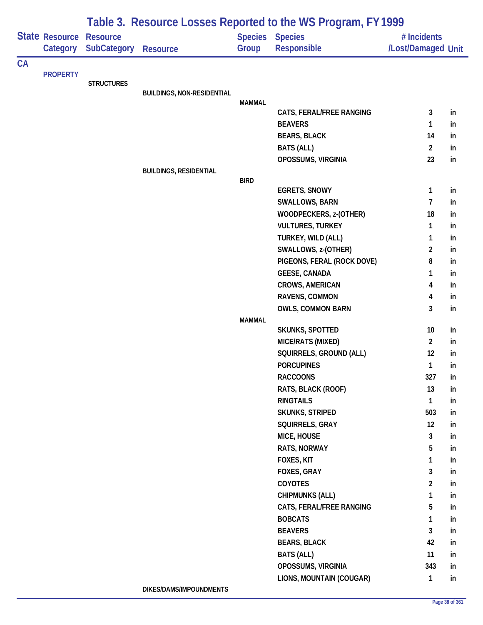|           |                                   | Table 3. Resource Losses Reported to the WS Program, FY 1999 |                                   |               |                                              |                                   |     |  |  |  |
|-----------|-----------------------------------|--------------------------------------------------------------|-----------------------------------|---------------|----------------------------------------------|-----------------------------------|-----|--|--|--|
|           | <b>State Resource</b><br>Category | <b>Resource</b><br><b>SubCategory</b>                        | <b>Resource</b>                   | Group         | <b>Species Species</b><br><b>Responsible</b> | # Incidents<br>/Lost/Damaged Unit |     |  |  |  |
| <b>CA</b> | <b>PROPERTY</b>                   |                                                              |                                   |               |                                              |                                   |     |  |  |  |
|           |                                   | <b>STRUCTURES</b>                                            | <b>BUILDINGS, NON-RESIDENTIAL</b> |               |                                              |                                   |     |  |  |  |
|           |                                   |                                                              |                                   | <b>MAMMAL</b> |                                              |                                   |     |  |  |  |
|           |                                   |                                                              |                                   |               | CATS, FERAL/FREE RANGING                     | 3                                 | in  |  |  |  |
|           |                                   |                                                              |                                   |               | <b>BEAVERS</b>                               | 1                                 | in  |  |  |  |
|           |                                   |                                                              |                                   |               | <b>BEARS, BLACK</b>                          | 14                                | in  |  |  |  |
|           |                                   |                                                              |                                   |               | <b>BATS (ALL)</b>                            | $\overline{2}$                    | in  |  |  |  |
|           |                                   |                                                              |                                   |               | OPOSSUMS, VIRGINIA                           | 23                                | in  |  |  |  |
|           |                                   |                                                              | <b>BUILDINGS, RESIDENTIAL</b>     | <b>BIRD</b>   |                                              |                                   |     |  |  |  |
|           |                                   |                                                              |                                   |               | <b>EGRETS, SNOWY</b>                         | $\mathbf{1}$                      | in  |  |  |  |
|           |                                   |                                                              |                                   |               | SWALLOWS, BARN                               | 7                                 | in  |  |  |  |
|           |                                   |                                                              |                                   |               | WOODPECKERS, z-(OTHER)                       | 18                                | in  |  |  |  |
|           |                                   |                                                              |                                   |               | <b>VULTURES, TURKEY</b>                      | 1                                 | in  |  |  |  |
|           |                                   |                                                              |                                   |               | TURKEY, WILD (ALL)                           | 1                                 | in  |  |  |  |
|           |                                   |                                                              |                                   |               | SWALLOWS, z-(OTHER)                          | $\overline{2}$                    | in  |  |  |  |
|           |                                   |                                                              |                                   |               | PIGEONS, FERAL (ROCK DOVE)                   | 8                                 | in  |  |  |  |
|           |                                   |                                                              |                                   |               | <b>GEESE, CANADA</b>                         | 1                                 | in  |  |  |  |
|           |                                   |                                                              |                                   |               | CROWS, AMERICAN                              | 4                                 | in  |  |  |  |
|           |                                   |                                                              |                                   |               | RAVENS, COMMON                               | 4                                 | in  |  |  |  |
|           |                                   |                                                              |                                   |               | <b>OWLS, COMMON BARN</b>                     | 3                                 | in  |  |  |  |
|           |                                   |                                                              |                                   | <b>MAMMAL</b> |                                              |                                   |     |  |  |  |
|           |                                   |                                                              |                                   |               | <b>SKUNKS, SPOTTED</b>                       | 10                                | in  |  |  |  |
|           |                                   |                                                              |                                   |               | MICE/RATS (MIXED)                            | $\overline{2}$                    | in  |  |  |  |
|           |                                   |                                                              |                                   |               | SQUIRRELS, GROUND (ALL)                      | 12                                | in  |  |  |  |
|           |                                   |                                                              |                                   |               | <b>PORCUPINES</b>                            | $\mathbf{1}$                      | in. |  |  |  |
|           |                                   |                                                              |                                   |               | <b>RACCOONS</b>                              | 327                               | in  |  |  |  |
|           |                                   |                                                              |                                   |               | RATS, BLACK (ROOF)                           | 13                                | in  |  |  |  |
|           |                                   |                                                              |                                   |               | <b>RINGTAILS</b>                             | $\mathbf{1}$                      | in  |  |  |  |
|           |                                   |                                                              |                                   |               | SKUNKS, STRIPED                              | 503                               | in  |  |  |  |
|           |                                   |                                                              |                                   |               | SQUIRRELS, GRAY                              | 12                                | in  |  |  |  |
|           |                                   |                                                              |                                   |               | MICE, HOUSE                                  | 3                                 | in  |  |  |  |
|           |                                   |                                                              |                                   |               | RATS, NORWAY                                 | 5                                 | in  |  |  |  |
|           |                                   |                                                              |                                   |               | FOXES, KIT                                   | 1                                 | in  |  |  |  |
|           |                                   |                                                              |                                   |               | FOXES, GRAY                                  | 3                                 | in  |  |  |  |
|           |                                   |                                                              |                                   |               | COYOTES                                      | $\overline{2}$                    | in  |  |  |  |
|           |                                   |                                                              |                                   |               | <b>CHIPMUNKS (ALL)</b>                       | 1                                 | in  |  |  |  |
|           |                                   |                                                              |                                   |               | CATS, FERAL/FREE RANGING                     | 5                                 | in  |  |  |  |
|           |                                   |                                                              |                                   |               | <b>BOBCATS</b>                               | 1                                 | in  |  |  |  |
|           |                                   |                                                              |                                   |               | <b>BEAVERS</b>                               | 3                                 | in  |  |  |  |
|           |                                   |                                                              |                                   |               | <b>BEARS, BLACK</b>                          | 42                                | in  |  |  |  |
|           |                                   |                                                              |                                   |               | <b>BATS (ALL)</b>                            | 11                                | in  |  |  |  |
|           |                                   |                                                              |                                   |               | OPOSSUMS, VIRGINIA                           | 343                               | in  |  |  |  |
|           |                                   |                                                              |                                   |               | LIONS, MOUNTAIN (COUGAR)                     | $\mathbf{1}$                      | in  |  |  |  |

#### **DIKES/DAMS/IMPOUNDMENTS**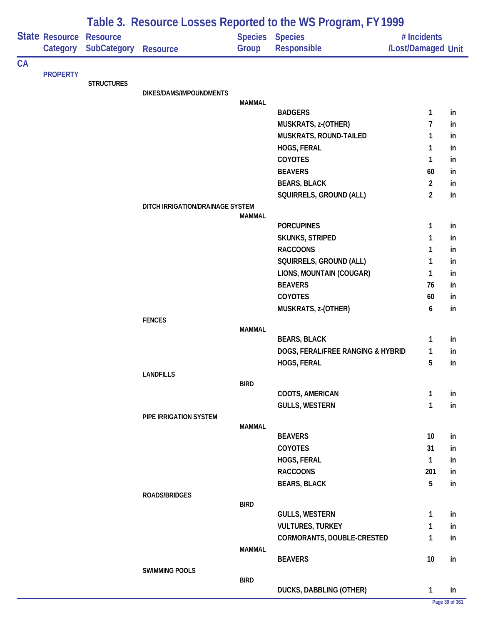|    |                            |                                       | Table 3. Resource Losses Reported to the WS Program, FY 1999 |               |                                               |                                   |          |  |  |  |  |
|----|----------------------------|---------------------------------------|--------------------------------------------------------------|---------------|-----------------------------------------------|-----------------------------------|----------|--|--|--|--|
|    | State Resource<br>Category | <b>Resource</b><br><b>SubCategory</b> | <b>Resource</b>                                              | Group         | <b>Species Species</b><br>Responsible         | # Incidents<br>/Lost/Damaged Unit |          |  |  |  |  |
| CA |                            |                                       |                                                              |               |                                               |                                   |          |  |  |  |  |
|    |                            | <b>STRUCTURES</b>                     |                                                              |               |                                               |                                   |          |  |  |  |  |
|    |                            |                                       | DIKES/DAMS/IMPOUNDMENTS                                      |               |                                               |                                   |          |  |  |  |  |
|    |                            |                                       |                                                              | <b>MAMMAL</b> |                                               |                                   |          |  |  |  |  |
|    |                            |                                       |                                                              |               | <b>BADGERS</b>                                | 1<br>7                            | in       |  |  |  |  |
|    |                            |                                       |                                                              |               | MUSKRATS, z-(OTHER)<br>MUSKRATS, ROUND-TAILED | 1                                 | in<br>in |  |  |  |  |
|    |                            |                                       |                                                              |               | HOGS, FERAL                                   | 1                                 | in       |  |  |  |  |
|    |                            |                                       |                                                              |               | COYOTES                                       | 1                                 | in       |  |  |  |  |
|    |                            |                                       |                                                              |               | <b>BEAVERS</b>                                | 60                                | in       |  |  |  |  |
|    |                            |                                       |                                                              |               | <b>BEARS, BLACK</b>                           | $\overline{2}$                    | in       |  |  |  |  |
|    |                            |                                       |                                                              |               | SQUIRRELS, GROUND (ALL)                       | $\overline{2}$                    | in       |  |  |  |  |
|    |                            |                                       | DITCH IRRIGATION/DRAINAGE SYSTEM                             |               |                                               |                                   |          |  |  |  |  |
|    |                            |                                       |                                                              | <b>MAMMAL</b> |                                               |                                   |          |  |  |  |  |
|    |                            |                                       |                                                              |               | <b>PORCUPINES</b>                             | 1                                 | in       |  |  |  |  |
|    |                            |                                       |                                                              |               | <b>SKUNKS, STRIPED</b>                        | 1                                 | in       |  |  |  |  |
|    |                            |                                       |                                                              |               | <b>RACCOONS</b>                               | 1                                 | in       |  |  |  |  |
|    |                            |                                       |                                                              |               | SQUIRRELS, GROUND (ALL)                       | 1                                 | in       |  |  |  |  |
|    | <b>PROPERTY</b>            |                                       |                                                              |               | LIONS, MOUNTAIN (COUGAR)                      | 1                                 | in       |  |  |  |  |
|    |                            |                                       |                                                              |               | <b>BEAVERS</b><br><b>COYOTES</b>              | 76                                | in       |  |  |  |  |
|    |                            |                                       |                                                              |               | MUSKRATS, z-(OTHER)                           | 60<br>6                           | in<br>in |  |  |  |  |
|    |                            |                                       | <b>FENCES</b>                                                |               |                                               |                                   |          |  |  |  |  |
|    |                            |                                       |                                                              | <b>MAMMAL</b> |                                               |                                   |          |  |  |  |  |
|    |                            |                                       |                                                              |               | <b>BEARS, BLACK</b>                           | 1                                 | in       |  |  |  |  |
|    |                            |                                       |                                                              |               | DOGS, FERAL/FREE RANGING & HYBRID             | 1                                 | in       |  |  |  |  |
|    |                            |                                       |                                                              |               | HOGS, FERAL                                   | 5                                 | in       |  |  |  |  |
|    |                            |                                       | <b>LANDFILLS</b>                                             |               |                                               |                                   |          |  |  |  |  |
|    |                            |                                       |                                                              | <b>BIRD</b>   | COOTS, AMERICAN                               | 1                                 | in       |  |  |  |  |
|    |                            |                                       |                                                              |               | <b>GULLS, WESTERN</b>                         | $\mathbf{1}$                      | in       |  |  |  |  |
|    |                            |                                       | PIPE IRRIGATION SYSTEM                                       |               |                                               |                                   |          |  |  |  |  |
|    |                            |                                       |                                                              | <b>MAMMAL</b> |                                               |                                   |          |  |  |  |  |
|    |                            |                                       |                                                              |               | <b>BEAVERS</b>                                | 10                                | in       |  |  |  |  |
|    |                            |                                       |                                                              |               | <b>COYOTES</b>                                | 31                                | in       |  |  |  |  |
|    |                            |                                       |                                                              |               | HOGS, FERAL                                   | 1                                 | in       |  |  |  |  |
|    |                            |                                       |                                                              |               | <b>RACCOONS</b>                               | 201                               | in       |  |  |  |  |
|    |                            |                                       |                                                              |               | <b>BEARS, BLACK</b>                           | 5                                 | in       |  |  |  |  |
|    |                            |                                       | <b>ROADS/BRIDGES</b>                                         | <b>BIRD</b>   |                                               |                                   |          |  |  |  |  |
|    |                            |                                       |                                                              |               | <b>GULLS, WESTERN</b>                         | 1                                 | in       |  |  |  |  |
|    |                            |                                       |                                                              |               | <b>VULTURES, TURKEY</b>                       | 1                                 | in       |  |  |  |  |
|    |                            |                                       |                                                              |               | CORMORANTS, DOUBLE-CRESTED                    | 1                                 | in       |  |  |  |  |
|    |                            |                                       |                                                              | MAMMAL        |                                               |                                   |          |  |  |  |  |
|    |                            |                                       |                                                              |               | <b>BEAVERS</b>                                | 10                                | in       |  |  |  |  |
|    |                            |                                       | <b>SWIMMING POOLS</b>                                        |               |                                               |                                   |          |  |  |  |  |
|    |                            |                                       |                                                              | <b>BIRD</b>   | DUCKS, DABBLING (OTHER)                       | $\mathbf{1}$                      | in       |  |  |  |  |
|    |                            |                                       |                                                              |               |                                               |                                   |          |  |  |  |  |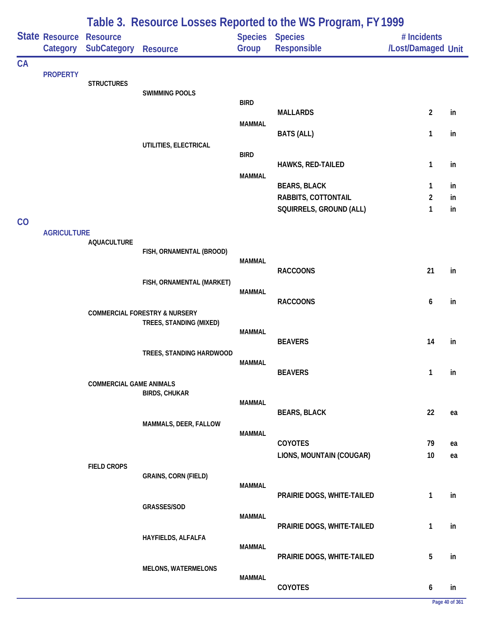|    |                            | Table 3. Resource Losses Reported to the WS Program, FY 1999 |                                                                     |               |                                            |                                   |          |  |  |
|----|----------------------------|--------------------------------------------------------------|---------------------------------------------------------------------|---------------|--------------------------------------------|-----------------------------------|----------|--|--|
|    | State Resource<br>Category | <b>Resource</b><br><b>SubCategory</b>                        | <b>Resource</b>                                                     | Group         | <b>Species Species</b><br>Responsible      | # Incidents<br>/Lost/Damaged Unit |          |  |  |
| CA | <b>PROPERTY</b>            |                                                              |                                                                     |               |                                            |                                   |          |  |  |
|    |                            | <b>STRUCTURES</b>                                            |                                                                     |               |                                            |                                   |          |  |  |
|    |                            |                                                              | <b>SWIMMING POOLS</b>                                               | <b>BIRD</b>   |                                            |                                   |          |  |  |
|    |                            |                                                              |                                                                     |               | <b>MALLARDS</b>                            | $\overline{2}$                    | in       |  |  |
|    |                            |                                                              |                                                                     | <b>MAMMAL</b> | <b>BATS (ALL)</b>                          | 1                                 | in       |  |  |
|    |                            |                                                              | UTILITIES, ELECTRICAL                                               |               |                                            |                                   |          |  |  |
|    |                            |                                                              |                                                                     | <b>BIRD</b>   | HAWKS, RED-TAILED                          | 1                                 | in       |  |  |
|    |                            |                                                              |                                                                     | <b>MAMMAL</b> |                                            |                                   |          |  |  |
|    |                            |                                                              |                                                                     |               | <b>BEARS, BLACK</b><br>RABBITS, COTTONTAIL | 1<br>2                            | in<br>in |  |  |
|    |                            |                                                              |                                                                     |               | SQUIRRELS, GROUND (ALL)                    | 1                                 | in       |  |  |
| CO |                            |                                                              |                                                                     |               |                                            |                                   |          |  |  |
|    | <b>AGRICULTURE</b>         | <b>AQUACULTURE</b>                                           |                                                                     |               |                                            |                                   |          |  |  |
|    |                            |                                                              | FISH, ORNAMENTAL (BROOD)                                            | <b>MAMMAL</b> |                                            |                                   |          |  |  |
|    |                            |                                                              |                                                                     |               | <b>RACCOONS</b>                            | 21                                | in       |  |  |
|    |                            |                                                              | FISH, ORNAMENTAL (MARKET)                                           | <b>MAMMAL</b> |                                            |                                   |          |  |  |
|    |                            |                                                              |                                                                     |               | <b>RACCOONS</b>                            | 6                                 | in       |  |  |
|    |                            |                                                              | <b>COMMERCIAL FORESTRY &amp; NURSERY</b><br>TREES, STANDING (MIXED) |               |                                            |                                   |          |  |  |
|    |                            |                                                              |                                                                     | <b>MAMMAL</b> |                                            |                                   |          |  |  |
|    |                            |                                                              | TREES, STANDING HARDWOOD                                            |               | <b>BEAVERS</b>                             | 14                                | in       |  |  |
|    |                            |                                                              |                                                                     | <b>MAMMAL</b> |                                            |                                   |          |  |  |
|    |                            | <b>COMMERCIAL GAME ANIMALS</b>                               |                                                                     |               | <b>BEAVERS</b>                             | 1                                 | in       |  |  |
|    |                            |                                                              | <b>BIRDS, CHUKAR</b>                                                |               |                                            |                                   |          |  |  |
|    |                            |                                                              |                                                                     | <b>MAMMAL</b> | <b>BEARS, BLACK</b>                        | 22                                | ea       |  |  |
|    |                            |                                                              | MAMMALS, DEER, FALLOW                                               |               |                                            |                                   |          |  |  |
|    |                            |                                                              |                                                                     | <b>MAMMAL</b> | COYOTES                                    | 79                                | ea       |  |  |
|    |                            |                                                              |                                                                     |               | LIONS, MOUNTAIN (COUGAR)                   | 10                                | ea       |  |  |
|    |                            | <b>FIELD CROPS</b>                                           | <b>GRAINS, CORN (FIELD)</b>                                         |               |                                            |                                   |          |  |  |
|    |                            |                                                              |                                                                     | <b>MAMMAL</b> |                                            |                                   |          |  |  |
|    |                            |                                                              | GRASSES/SOD                                                         |               | PRAIRIE DOGS, WHITE-TAILED                 | 1                                 | in       |  |  |
|    |                            |                                                              |                                                                     | <b>MAMMAL</b> |                                            |                                   |          |  |  |
|    |                            |                                                              | HAYFIELDS, ALFALFA                                                  |               | PRAIRIE DOGS, WHITE-TAILED                 | 1                                 | in       |  |  |
|    |                            |                                                              |                                                                     | <b>MAMMAL</b> |                                            |                                   |          |  |  |
|    |                            |                                                              | <b>MELONS, WATERMELONS</b>                                          |               | PRAIRIE DOGS, WHITE-TAILED                 | 5                                 | in       |  |  |
|    |                            |                                                              |                                                                     | <b>MAMMAL</b> |                                            |                                   |          |  |  |
|    |                            |                                                              |                                                                     |               | COYOTES                                    | 6                                 | in       |  |  |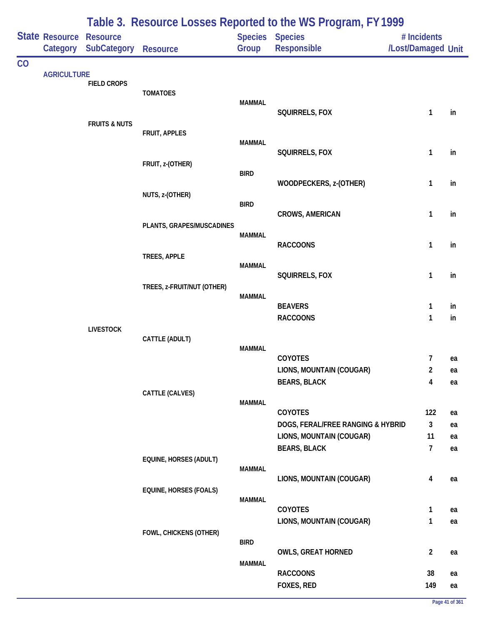|    |                            |                                       |                               |               | Table 3. Resource Losses Reported to the WS Program, FY 1999 |                                   |          |
|----|----------------------------|---------------------------------------|-------------------------------|---------------|--------------------------------------------------------------|-----------------------------------|----------|
|    | State Resource<br>Category | <b>Resource</b><br><b>SubCategory</b> | Resource                      | Group         | Species Species<br><b>Responsible</b>                        | # Incidents<br>/Lost/Damaged Unit |          |
| CO |                            |                                       |                               |               |                                                              |                                   |          |
|    | <b>AGRICULTURE</b>         | <b>FIELD CROPS</b>                    |                               |               |                                                              |                                   |          |
|    |                            |                                       | <b>TOMATOES</b>               |               |                                                              |                                   |          |
|    |                            |                                       |                               | <b>MAMMAL</b> | SQUIRRELS, FOX                                               | 1                                 | in       |
|    |                            | <b>FRUITS &amp; NUTS</b>              |                               |               |                                                              |                                   |          |
|    |                            |                                       | FRUIT, APPLES                 | <b>MAMMAL</b> |                                                              |                                   |          |
|    |                            |                                       |                               |               | SQUIRRELS, FOX                                               | $\mathbf{1}$                      | in       |
|    |                            |                                       | FRUIT, z-(OTHER)              | <b>BIRD</b>   |                                                              |                                   |          |
|    |                            |                                       |                               |               | WOODPECKERS, z-(OTHER)                                       | 1                                 | in       |
|    |                            |                                       | NUTS, z-(OTHER)               |               |                                                              |                                   |          |
|    |                            |                                       |                               | <b>BIRD</b>   | <b>CROWS, AMERICAN</b>                                       | $\mathbf{1}$                      | in       |
|    |                            |                                       | PLANTS, GRAPES/MUSCADINES     |               |                                                              |                                   |          |
|    |                            |                                       |                               | <b>MAMMAL</b> | <b>RACCOONS</b>                                              | 1                                 | in       |
|    |                            |                                       | TREES, APPLE                  |               |                                                              |                                   |          |
|    |                            |                                       |                               | <b>MAMMAL</b> | SQUIRRELS, FOX                                               | $\mathbf{1}$                      | in       |
|    |                            |                                       | TREES, z-FRUIT/NUT (OTHER)    |               |                                                              |                                   |          |
|    |                            |                                       |                               | <b>MAMMAL</b> |                                                              |                                   |          |
|    |                            |                                       |                               |               | <b>BEAVERS</b><br><b>RACCOONS</b>                            | 1<br>1                            | in<br>in |
|    |                            | <b>LIVESTOCK</b>                      |                               |               |                                                              |                                   |          |
|    |                            |                                       | CATTLE (ADULT)                |               |                                                              |                                   |          |
|    |                            |                                       |                               | <b>MAMMAL</b> | <b>COYOTES</b>                                               | 7                                 | ea       |
|    |                            |                                       |                               |               | LIONS, MOUNTAIN (COUGAR)                                     | 2                                 | ea       |
|    |                            |                                       |                               |               | <b>BEARS, BLACK</b>                                          | 4                                 | ea       |
|    |                            |                                       | CATTLE (CALVES)               | <b>MAMMAL</b> |                                                              |                                   |          |
|    |                            |                                       |                               |               | COYOTES                                                      | 122                               | ea       |
|    |                            |                                       |                               |               | DOGS, FERAL/FREE RANGING & HYBRID                            | $\mathbf{3}$                      | ea       |
|    |                            |                                       |                               |               | LIONS, MOUNTAIN (COUGAR)<br><b>BEARS, BLACK</b>              | 11<br>$\overline{1}$              | ea<br>ea |
|    |                            |                                       | EQUINE, HORSES (ADULT)        |               |                                                              |                                   |          |
|    |                            |                                       |                               | <b>MAMMAL</b> |                                                              |                                   |          |
|    |                            |                                       | <b>EQUINE, HORSES (FOALS)</b> |               | LIONS, MOUNTAIN (COUGAR)                                     | 4                                 | ea       |
|    |                            |                                       |                               | <b>MAMMAL</b> |                                                              |                                   |          |
|    |                            |                                       |                               |               | COYOTES                                                      | 1<br>1                            | ea       |
|    |                            |                                       | FOWL, CHICKENS (OTHER)        |               | LIONS, MOUNTAIN (COUGAR)                                     |                                   | ea       |
|    |                            |                                       |                               | <b>BIRD</b>   |                                                              |                                   |          |
|    |                            |                                       |                               | <b>MAMMAL</b> | <b>OWLS, GREAT HORNED</b>                                    | $\overline{2}$                    | ea       |
|    |                            |                                       |                               |               | <b>RACCOONS</b>                                              | 38                                | ea       |
|    |                            |                                       |                               |               | FOXES, RED                                                   | 149                               | ea       |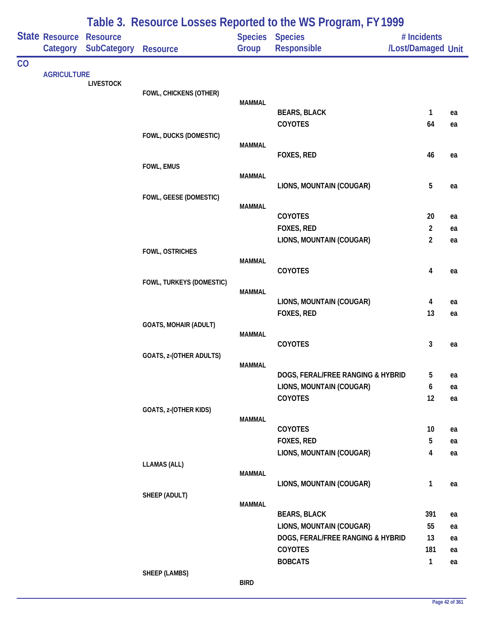|    |                            | Table 3. Resource Losses Reported to the WS Program, FY 1999 |                              |                         |                                     |                                   |          |  |  |
|----|----------------------------|--------------------------------------------------------------|------------------------------|-------------------------|-------------------------------------|-----------------------------------|----------|--|--|
|    | State Resource<br>Category | <b>Resource</b><br><b>SubCategory</b>                        | <b>Resource</b>              | <b>Species</b><br>Group | <b>Species</b><br>Responsible       | # Incidents<br>/Lost/Damaged Unit |          |  |  |
| CO |                            |                                                              |                              |                         |                                     |                                   |          |  |  |
|    | <b>AGRICULTURE</b>         | <b>LIVESTOCK</b>                                             |                              |                         |                                     |                                   |          |  |  |
|    |                            |                                                              | FOWL, CHICKENS (OTHER)       |                         |                                     |                                   |          |  |  |
|    |                            |                                                              |                              | <b>MAMMAL</b>           | <b>BEARS, BLACK</b>                 | 1                                 | ea       |  |  |
|    |                            |                                                              |                              |                         | COYOTES                             | 64                                | ea       |  |  |
|    |                            |                                                              | FOWL, DUCKS (DOMESTIC)       |                         |                                     |                                   |          |  |  |
|    |                            |                                                              |                              | <b>MAMMAL</b>           |                                     |                                   |          |  |  |
|    |                            |                                                              |                              |                         | FOXES, RED                          | 46                                | ea       |  |  |
|    |                            |                                                              | FOWL, EMUS                   | <b>MAMMAL</b>           |                                     |                                   |          |  |  |
|    |                            |                                                              |                              |                         | LIONS, MOUNTAIN (COUGAR)            | 5                                 | ea       |  |  |
|    |                            |                                                              | FOWL, GEESE (DOMESTIC)       |                         |                                     |                                   |          |  |  |
|    |                            |                                                              |                              | <b>MAMMAL</b>           | COYOTES                             | 20                                | ea       |  |  |
|    |                            |                                                              |                              |                         | FOXES, RED                          | $\overline{2}$                    | ea       |  |  |
|    |                            |                                                              |                              |                         | LIONS, MOUNTAIN (COUGAR)            | $\overline{2}$                    | ea       |  |  |
|    |                            |                                                              | FOWL, OSTRICHES              |                         |                                     |                                   |          |  |  |
|    |                            |                                                              |                              | <b>MAMMAL</b>           |                                     |                                   |          |  |  |
|    |                            |                                                              | FOWL, TURKEYS (DOMESTIC)     |                         | COYOTES                             | 4                                 | ea       |  |  |
|    |                            |                                                              |                              | <b>MAMMAL</b>           |                                     |                                   |          |  |  |
|    |                            |                                                              |                              |                         | LIONS, MOUNTAIN (COUGAR)            | 4                                 | ea       |  |  |
|    |                            |                                                              |                              |                         | FOXES, RED                          | 13                                | ea       |  |  |
|    |                            |                                                              | <b>GOATS, MOHAIR (ADULT)</b> | <b>MAMMAL</b>           |                                     |                                   |          |  |  |
|    |                            |                                                              |                              |                         | COYOTES                             | 3                                 | ea       |  |  |
|    |                            |                                                              | GOATS, z-(OTHER ADULTS)      |                         |                                     |                                   |          |  |  |
|    |                            |                                                              |                              | <b>MAMMAL</b>           |                                     |                                   |          |  |  |
|    |                            |                                                              |                              |                         | DOGS, FERAL/FREE RANGING & HYBRID   | 5                                 | ea       |  |  |
|    |                            |                                                              |                              |                         | LIONS, MOUNTAIN (COUGAR)<br>COYOTES | 6<br>12                           | ea<br>ea |  |  |
|    |                            |                                                              | GOATS, z-(OTHER KIDS)        |                         |                                     |                                   |          |  |  |
|    |                            |                                                              |                              | <b>MAMMAL</b>           |                                     |                                   |          |  |  |
|    |                            |                                                              |                              |                         | COYOTES                             | 10                                | ea       |  |  |
|    |                            |                                                              |                              |                         | FOXES, RED                          | 5                                 | ea       |  |  |
|    |                            |                                                              | <b>LLAMAS (ALL)</b>          |                         | LIONS, MOUNTAIN (COUGAR)            | 4                                 | ea       |  |  |
|    |                            |                                                              |                              | <b>MAMMAL</b>           |                                     |                                   |          |  |  |
|    |                            |                                                              |                              |                         | LIONS, MOUNTAIN (COUGAR)            | $\mathbf{1}$                      | ea       |  |  |
|    |                            |                                                              | SHEEP (ADULT)                |                         |                                     |                                   |          |  |  |
|    |                            |                                                              |                              | <b>MAMMAL</b>           | <b>BEARS, BLACK</b>                 | 391                               | ea       |  |  |
|    |                            |                                                              |                              |                         | LIONS, MOUNTAIN (COUGAR)            | 55                                | ea       |  |  |
|    |                            |                                                              |                              |                         | DOGS, FERAL/FREE RANGING & HYBRID   | 13                                | ea       |  |  |
|    |                            |                                                              |                              |                         | COYOTES                             | 181                               | ea       |  |  |
|    |                            |                                                              |                              |                         | <b>BOBCATS</b>                      | $\mathbf{1}$                      | ea       |  |  |
|    |                            |                                                              | <b>SHEEP (LAMBS)</b>         |                         |                                     |                                   |          |  |  |

### **BIRD**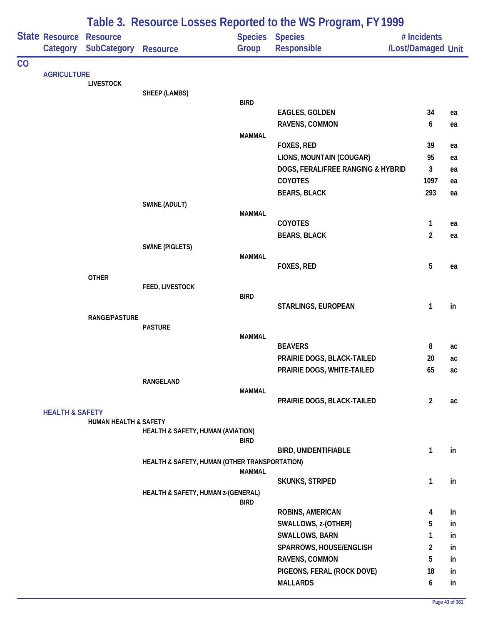|    |                                                                                                                                       |                                  | Table 3. Resource Losses Reported to the WS Program, FY 1999 |               |                                   |                    |    |  |  |  |  |
|----|---------------------------------------------------------------------------------------------------------------------------------------|----------------------------------|--------------------------------------------------------------|---------------|-----------------------------------|--------------------|----|--|--|--|--|
|    |                                                                                                                                       | <b>Resource</b>                  |                                                              |               | Species Species                   | # Incidents        |    |  |  |  |  |
|    |                                                                                                                                       |                                  | <b>Resource</b>                                              | Group         | Responsible                       | /Lost/Damaged Unit |    |  |  |  |  |
| CO |                                                                                                                                       |                                  |                                                              |               |                                   |                    |    |  |  |  |  |
|    |                                                                                                                                       |                                  |                                                              |               |                                   |                    |    |  |  |  |  |
|    |                                                                                                                                       |                                  | SHEEP (LAMBS)                                                |               |                                   |                    |    |  |  |  |  |
|    |                                                                                                                                       |                                  |                                                              | <b>BIRD</b>   |                                   |                    |    |  |  |  |  |
|    |                                                                                                                                       |                                  |                                                              |               | <b>EAGLES, GOLDEN</b>             | 34                 | ea |  |  |  |  |
|    |                                                                                                                                       |                                  |                                                              |               | RAVENS, COMMON                    | 6                  | ea |  |  |  |  |
|    |                                                                                                                                       |                                  |                                                              | <b>MAMMAL</b> | FOXES, RED                        | 39                 | ea |  |  |  |  |
|    |                                                                                                                                       |                                  |                                                              |               | LIONS, MOUNTAIN (COUGAR)          | 95                 | ea |  |  |  |  |
|    |                                                                                                                                       |                                  |                                                              |               | DOGS, FERAL/FREE RANGING & HYBRID | 3                  | ea |  |  |  |  |
|    |                                                                                                                                       |                                  |                                                              |               | COYOTES                           | 1097               | ea |  |  |  |  |
|    |                                                                                                                                       |                                  |                                                              |               | <b>BEARS, BLACK</b>               | 293                | ea |  |  |  |  |
|    |                                                                                                                                       |                                  | SWINE (ADULT)                                                |               |                                   |                    |    |  |  |  |  |
|    |                                                                                                                                       |                                  |                                                              | <b>MAMMAL</b> |                                   |                    |    |  |  |  |  |
|    |                                                                                                                                       |                                  |                                                              |               | COYOTES                           | 1                  | ea |  |  |  |  |
|    |                                                                                                                                       |                                  |                                                              |               | <b>BEARS, BLACK</b>               | $\overline{2}$     | ea |  |  |  |  |
|    |                                                                                                                                       |                                  | <b>SWINE (PIGLETS)</b>                                       | <b>MAMMAL</b> |                                   |                    |    |  |  |  |  |
|    |                                                                                                                                       |                                  |                                                              |               | FOXES, RED                        | 5                  | ea |  |  |  |  |
|    |                                                                                                                                       |                                  |                                                              |               |                                   |                    |    |  |  |  |  |
|    | <b>State Resource</b><br>Category SubCategory<br><b>AGRICULTURE</b><br><b>LIVESTOCK</b><br><b>OTHER</b><br><b>HEALTH &amp; SAFETY</b> |                                  | FEED, LIVESTOCK                                              |               |                                   |                    |    |  |  |  |  |
|    |                                                                                                                                       |                                  |                                                              | <b>BIRD</b>   |                                   |                    |    |  |  |  |  |
|    |                                                                                                                                       |                                  |                                                              |               | STARLINGS, EUROPEAN               | 1                  | in |  |  |  |  |
|    |                                                                                                                                       |                                  | <b>PASTURE</b>                                               |               |                                   |                    |    |  |  |  |  |
|    | <b>RANGE/PASTURE</b>                                                                                                                  |                                  |                                                              | <b>MAMMAL</b> |                                   |                    |    |  |  |  |  |
|    |                                                                                                                                       |                                  |                                                              |               | <b>BEAVERS</b>                    | 8                  | ac |  |  |  |  |
|    |                                                                                                                                       |                                  |                                                              |               | PRAIRIE DOGS, BLACK-TAILED        | 20                 | ac |  |  |  |  |
|    |                                                                                                                                       |                                  |                                                              |               | PRAIRIE DOGS, WHITE-TAILED        | 65                 | ac |  |  |  |  |
|    |                                                                                                                                       |                                  | RANGELAND                                                    | <b>MAMMAL</b> |                                   |                    |    |  |  |  |  |
|    |                                                                                                                                       |                                  |                                                              |               | PRAIRIE DOGS, BLACK-TAILED        | $\overline{2}$     | ac |  |  |  |  |
|    |                                                                                                                                       |                                  |                                                              |               |                                   |                    |    |  |  |  |  |
|    |                                                                                                                                       | <b>HUMAN HEALTH &amp; SAFETY</b> |                                                              |               |                                   |                    |    |  |  |  |  |
|    |                                                                                                                                       |                                  | HEALTH & SAFETY, HUMAN (AVIATION)                            | <b>BIRD</b>   |                                   |                    |    |  |  |  |  |
|    |                                                                                                                                       |                                  |                                                              |               | <b>BIRD, UNIDENTIFIABLE</b>       | 1                  | in |  |  |  |  |
|    |                                                                                                                                       |                                  | HEALTH & SAFETY, HUMAN (OTHER TRANSPORTATION)                |               |                                   |                    |    |  |  |  |  |
|    |                                                                                                                                       |                                  |                                                              | <b>MAMMAL</b> |                                   |                    |    |  |  |  |  |
|    |                                                                                                                                       |                                  |                                                              |               | <b>SKUNKS, STRIPED</b>            | $\mathbf{1}$       | in |  |  |  |  |
|    |                                                                                                                                       |                                  | HEALTH & SAFETY, HUMAN z-(GENERAL)                           | <b>BIRD</b>   |                                   |                    |    |  |  |  |  |
|    |                                                                                                                                       |                                  |                                                              |               | <b>ROBINS, AMERICAN</b>           | 4                  | in |  |  |  |  |
|    |                                                                                                                                       |                                  |                                                              |               | SWALLOWS, z-(OTHER)               | 5                  | in |  |  |  |  |
|    |                                                                                                                                       |                                  |                                                              |               | <b>SWALLOWS, BARN</b>             | 1                  | in |  |  |  |  |
|    |                                                                                                                                       |                                  |                                                              |               | SPARROWS, HOUSE/ENGLISH           | $\overline{2}$     | in |  |  |  |  |
|    |                                                                                                                                       |                                  |                                                              |               | RAVENS, COMMON                    | 5                  | in |  |  |  |  |
|    |                                                                                                                                       |                                  |                                                              |               | PIGEONS, FERAL (ROCK DOVE)        | 18                 | in |  |  |  |  |
|    |                                                                                                                                       |                                  |                                                              |               | <b>MALLARDS</b>                   | 6                  | in |  |  |  |  |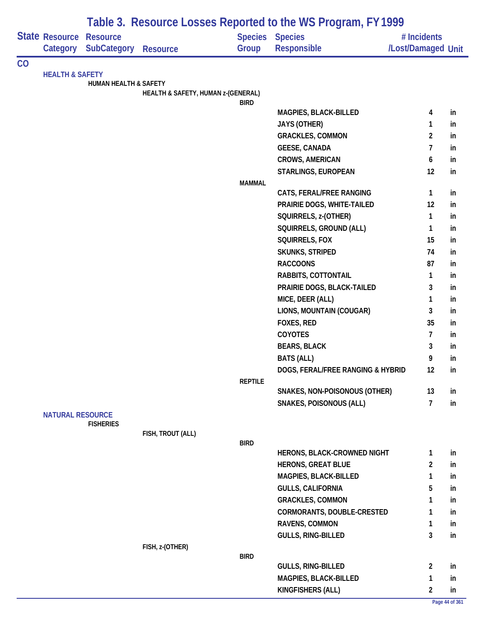|    |                                                                                     | Table 3. Resource Losses Reported to the WS Program, FY 1999 |                                    |                |                                    |                    |    |  |  |
|----|-------------------------------------------------------------------------------------|--------------------------------------------------------------|------------------------------------|----------------|------------------------------------|--------------------|----|--|--|
|    |                                                                                     | <b>Resource</b>                                              |                                    | <b>Species</b> | <b>Species</b>                     | # Incidents        |    |  |  |
|    |                                                                                     | <b>SubCategory</b>                                           | <b>Resource</b>                    | Group          | Responsible                        | /Lost/Damaged Unit |    |  |  |
| CO |                                                                                     |                                                              |                                    |                |                                    |                    |    |  |  |
|    |                                                                                     | <b>HUMAN HEALTH &amp; SAFETY</b>                             |                                    |                |                                    |                    |    |  |  |
|    |                                                                                     |                                                              | HEALTH & SAFETY, HUMAN z-(GENERAL) |                |                                    |                    |    |  |  |
|    |                                                                                     |                                                              |                                    | <b>BIRD</b>    |                                    |                    |    |  |  |
|    |                                                                                     |                                                              |                                    |                | MAGPIES, BLACK-BILLED              | 4                  | in |  |  |
|    |                                                                                     |                                                              |                                    |                | <b>JAYS (OTHER)</b>                | 1                  | in |  |  |
|    |                                                                                     |                                                              |                                    |                | <b>GRACKLES, COMMON</b>            | 2                  | in |  |  |
|    |                                                                                     |                                                              |                                    |                | <b>GEESE, CANADA</b>               | 7                  | in |  |  |
|    |                                                                                     |                                                              |                                    |                | <b>CROWS, AMERICAN</b>             | 6                  | in |  |  |
|    |                                                                                     |                                                              |                                    |                | STARLINGS, EUROPEAN                | 12                 | in |  |  |
|    |                                                                                     |                                                              |                                    | <b>MAMMAL</b>  |                                    |                    |    |  |  |
|    |                                                                                     |                                                              |                                    |                | CATS, FERAL/FREE RANGING           | $\mathbf{1}$       | in |  |  |
|    |                                                                                     |                                                              |                                    |                | PRAIRIE DOGS, WHITE-TAILED         | 12                 | in |  |  |
|    |                                                                                     |                                                              |                                    |                | SQUIRRELS, z-(OTHER)               | 1                  | in |  |  |
|    |                                                                                     |                                                              |                                    |                | SQUIRRELS, GROUND (ALL)            | 1                  | in |  |  |
|    |                                                                                     |                                                              |                                    |                | SQUIRRELS, FOX                     | 15                 | in |  |  |
|    |                                                                                     |                                                              |                                    |                | <b>SKUNKS, STRIPED</b>             | 74                 | in |  |  |
|    | State Resource<br>Category<br><b>HEALTH &amp; SAFETY</b><br><b>NATURAL RESOURCE</b> |                                                              |                                    |                | <b>RACCOONS</b>                    | 87                 | in |  |  |
|    |                                                                                     |                                                              |                                    |                | RABBITS, COTTONTAIL                | 1                  | in |  |  |
|    |                                                                                     |                                                              |                                    |                | PRAIRIE DOGS, BLACK-TAILED         | 3                  | in |  |  |
|    |                                                                                     |                                                              |                                    |                | MICE, DEER (ALL)                   | 1                  | in |  |  |
|    |                                                                                     |                                                              |                                    |                | LIONS, MOUNTAIN (COUGAR)           | 3                  | in |  |  |
|    |                                                                                     |                                                              |                                    |                | FOXES, RED                         | 35                 | in |  |  |
|    |                                                                                     |                                                              |                                    |                | <b>COYOTES</b>                     | 7                  | in |  |  |
|    |                                                                                     |                                                              |                                    |                | <b>BEARS, BLACK</b>                | 3                  | in |  |  |
|    |                                                                                     |                                                              |                                    |                | <b>BATS (ALL)</b>                  | 9                  | in |  |  |
|    |                                                                                     |                                                              |                                    | <b>REPTILE</b> | DOGS, FERAL/FREE RANGING & HYBRID  | 12                 | in |  |  |
|    |                                                                                     |                                                              |                                    |                | SNAKES, NON-POISONOUS (OTHER)      | 13                 | in |  |  |
|    |                                                                                     |                                                              |                                    |                | <b>SNAKES, POISONOUS (ALL)</b>     | $\overline{7}$     | in |  |  |
|    |                                                                                     |                                                              |                                    |                |                                    |                    |    |  |  |
|    |                                                                                     | <b>FISHERIES</b>                                             |                                    |                |                                    |                    |    |  |  |
|    |                                                                                     |                                                              | FISH, TROUT (ALL)                  |                |                                    |                    |    |  |  |
|    |                                                                                     |                                                              |                                    | <b>BIRD</b>    |                                    |                    |    |  |  |
|    |                                                                                     |                                                              |                                    |                | <b>HERONS, BLACK-CROWNED NIGHT</b> | 1                  | in |  |  |
|    |                                                                                     |                                                              |                                    |                | <b>HERONS, GREAT BLUE</b>          | $\overline{2}$     | in |  |  |
|    |                                                                                     |                                                              |                                    |                | MAGPIES, BLACK-BILLED              | 1                  | in |  |  |
|    |                                                                                     |                                                              |                                    |                | <b>GULLS, CALIFORNIA</b>           | 5                  | in |  |  |
|    |                                                                                     |                                                              |                                    |                | <b>GRACKLES, COMMON</b>            | 1                  | in |  |  |
|    |                                                                                     |                                                              |                                    |                | CORMORANTS, DOUBLE-CRESTED         | 1                  | in |  |  |
|    |                                                                                     |                                                              |                                    |                | RAVENS, COMMON                     | 1                  | in |  |  |
|    |                                                                                     |                                                              |                                    |                | <b>GULLS, RING-BILLED</b>          | 3                  | in |  |  |
|    |                                                                                     |                                                              | FISH, z-(OTHER)                    | <b>BIRD</b>    |                                    |                    |    |  |  |
|    |                                                                                     |                                                              |                                    |                | <b>GULLS, RING-BILLED</b>          | $\overline{2}$     | in |  |  |
|    |                                                                                     |                                                              |                                    |                | MAGPIES, BLACK-BILLED              | 1                  | in |  |  |
|    |                                                                                     |                                                              |                                    |                | KINGFISHERS (ALL)                  | $\overline{2}$     | in |  |  |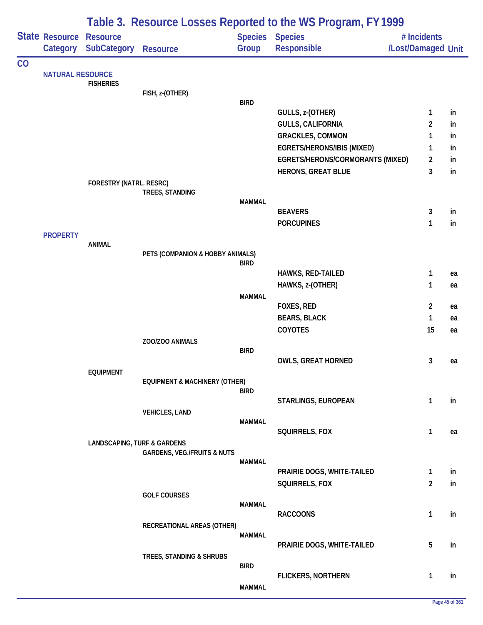|    |                                                                                          | Table 3. Resource Losses Reported to the WS Program, FY 1999 |                                          |               |                                                               |                                   |                     |          |  |
|----|------------------------------------------------------------------------------------------|--------------------------------------------------------------|------------------------------------------|---------------|---------------------------------------------------------------|-----------------------------------|---------------------|----------|--|
|    |                                                                                          | <b>SubCategory</b>                                           | <b>Resource</b>                          | Group         | Species Species<br><b>Responsible</b>                         | # Incidents<br>/Lost/Damaged Unit |                     |          |  |
| CO |                                                                                          |                                                              |                                          |               |                                                               |                                   |                     |          |  |
|    |                                                                                          | <b>FISHERIES</b>                                             |                                          |               |                                                               |                                   |                     |          |  |
|    |                                                                                          |                                                              | FISH, z-(OTHER)                          |               |                                                               |                                   |                     |          |  |
|    |                                                                                          |                                                              |                                          | <b>BIRD</b>   |                                                               |                                   |                     |          |  |
|    |                                                                                          |                                                              |                                          |               | GULLS, z-(OTHER)                                              |                                   | 1                   | in       |  |
|    |                                                                                          |                                                              |                                          |               | <b>GULLS, CALIFORNIA</b>                                      |                                   | 2                   | in       |  |
|    |                                                                                          |                                                              |                                          |               | <b>GRACKLES, COMMON</b>                                       |                                   | 1                   | in       |  |
|    |                                                                                          |                                                              |                                          |               | EGRETS/HERONS/IBIS (MIXED)                                    |                                   | 1<br>$\overline{2}$ | in       |  |
|    |                                                                                          |                                                              |                                          |               | EGRETS/HERONS/CORMORANTS (MIXED)<br><b>HERONS, GREAT BLUE</b> |                                   | 3                   | in<br>in |  |
|    |                                                                                          | <b>FORESTRY (NATRL. RESRC)</b>                               |                                          |               |                                                               |                                   |                     |          |  |
|    |                                                                                          |                                                              | TREES, STANDING                          |               |                                                               |                                   |                     |          |  |
|    |                                                                                          |                                                              |                                          | <b>MAMMAL</b> |                                                               |                                   |                     |          |  |
|    |                                                                                          |                                                              |                                          |               | <b>BEAVERS</b>                                                |                                   | 3                   | in       |  |
|    |                                                                                          |                                                              |                                          |               | <b>PORCUPINES</b>                                             |                                   | 1                   | in       |  |
|    |                                                                                          | <b>ANIMAL</b>                                                |                                          |               |                                                               |                                   |                     |          |  |
|    |                                                                                          |                                                              | PETS (COMPANION & HOBBY ANIMALS)         |               |                                                               |                                   |                     |          |  |
|    |                                                                                          |                                                              |                                          | <b>BIRD</b>   |                                                               |                                   |                     |          |  |
|    | <b>State Resource Resource</b><br>Category<br><b>NATURAL RESOURCE</b><br><b>PROPERTY</b> |                                                              |                                          |               | HAWKS, RED-TAILED                                             |                                   | 1                   | ea       |  |
|    |                                                                                          |                                                              |                                          |               | HAWKS, z-(OTHER)                                              |                                   | 1                   | ea       |  |
|    |                                                                                          |                                                              |                                          | <b>MAMMAL</b> |                                                               |                                   | $\overline{2}$      |          |  |
|    |                                                                                          |                                                              |                                          |               | FOXES, RED<br><b>BEARS, BLACK</b>                             |                                   | 1                   | ea<br>ea |  |
|    |                                                                                          |                                                              |                                          |               | <b>COYOTES</b>                                                |                                   | 15                  | ea       |  |
|    |                                                                                          |                                                              | ZOO/ZOO ANIMALS                          |               |                                                               |                                   |                     |          |  |
|    |                                                                                          |                                                              |                                          | <b>BIRD</b>   |                                                               |                                   |                     |          |  |
|    |                                                                                          |                                                              |                                          |               | <b>OWLS, GREAT HORNED</b>                                     |                                   | 3                   | ea       |  |
|    |                                                                                          | <b>EQUIPMENT</b>                                             |                                          |               |                                                               |                                   |                     |          |  |
|    |                                                                                          |                                                              | <b>EQUIPMENT &amp; MACHINERY (OTHER)</b> | <b>BIRD</b>   |                                                               |                                   |                     |          |  |
|    |                                                                                          |                                                              |                                          |               | STARLINGS, EUROPEAN                                           |                                   | $\mathbf{1}$        | in       |  |
|    |                                                                                          |                                                              | <b>VEHICLES, LAND</b>                    |               |                                                               |                                   |                     |          |  |
|    |                                                                                          |                                                              |                                          | <b>MAMMAL</b> |                                                               |                                   |                     |          |  |
|    |                                                                                          |                                                              |                                          |               | SQUIRRELS, FOX                                                |                                   | $\mathbf{1}$        | ea       |  |
|    |                                                                                          | <b>LANDSCAPING, TURF &amp; GARDENS</b>                       | <b>GARDENS, VEG./FRUITS &amp; NUTS</b>   |               |                                                               |                                   |                     |          |  |
|    |                                                                                          |                                                              |                                          | <b>MAMMAL</b> |                                                               |                                   |                     |          |  |
|    |                                                                                          |                                                              |                                          |               | PRAIRIE DOGS, WHITE-TAILED                                    |                                   | $\mathbf{1}$        | in       |  |
|    |                                                                                          |                                                              |                                          |               | SQUIRRELS, FOX                                                |                                   | $\overline{2}$      | in       |  |
|    |                                                                                          |                                                              | <b>GOLF COURSES</b>                      |               |                                                               |                                   |                     |          |  |
|    |                                                                                          |                                                              |                                          | <b>MAMMAL</b> | <b>RACCOONS</b>                                               |                                   | 1                   | in       |  |
|    |                                                                                          |                                                              | RECREATIONAL AREAS (OTHER)               |               |                                                               |                                   |                     |          |  |
|    |                                                                                          |                                                              |                                          | MAMMAL        |                                                               |                                   |                     |          |  |
|    |                                                                                          |                                                              |                                          |               | PRAIRIE DOGS, WHITE-TAILED                                    |                                   | 5                   | in       |  |
|    |                                                                                          |                                                              | TREES, STANDING & SHRUBS                 |               |                                                               |                                   |                     |          |  |
|    |                                                                                          |                                                              |                                          | <b>BIRD</b>   | <b>FLICKERS, NORTHERN</b>                                     |                                   | 1                   | in       |  |
|    |                                                                                          |                                                              |                                          | <b>MAMMAL</b> |                                                               |                                   |                     |          |  |
|    |                                                                                          |                                                              |                                          |               |                                                               |                                   |                     |          |  |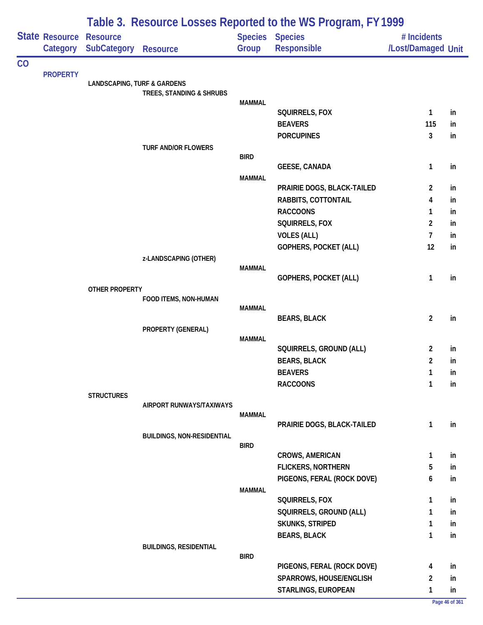|    |                                   | Table 3. Resource Losses Reported to the WS Program, FY 1999 |                                   |                       |                                                       |                                   |          |  |  |  |
|----|-----------------------------------|--------------------------------------------------------------|-----------------------------------|-----------------------|-------------------------------------------------------|-----------------------------------|----------|--|--|--|
|    | <b>State Resource</b><br>Category | <b>Resource</b><br><b>SubCategory</b>                        | <b>Resource</b>                   | Group                 | <b>Species Species</b><br><b>Responsible</b>          | # Incidents<br>/Lost/Damaged Unit |          |  |  |  |
| CO |                                   |                                                              |                                   |                       |                                                       |                                   |          |  |  |  |
|    | <b>PROPERTY</b>                   | <b>LANDSCAPING, TURF &amp; GARDENS</b>                       |                                   |                       |                                                       |                                   |          |  |  |  |
|    |                                   |                                                              | TREES, STANDING & SHRUBS          |                       |                                                       |                                   |          |  |  |  |
|    |                                   |                                                              |                                   | <b>MAMMAL</b>         | SQUIRRELS, FOX                                        | 1                                 | in       |  |  |  |
|    |                                   |                                                              |                                   |                       | <b>BEAVERS</b>                                        | 115                               | in.      |  |  |  |
|    |                                   |                                                              |                                   |                       | <b>PORCUPINES</b>                                     | 3                                 | in       |  |  |  |
|    |                                   |                                                              | TURF AND/OR FLOWERS               |                       |                                                       |                                   |          |  |  |  |
|    |                                   |                                                              |                                   | <b>BIRD</b>           |                                                       |                                   |          |  |  |  |
|    |                                   |                                                              |                                   |                       | <b>GEESE, CANADA</b>                                  | $\mathbf{1}$                      | in       |  |  |  |
|    |                                   |                                                              |                                   | <b>MAMMAL</b>         | PRAIRIE DOGS, BLACK-TAILED                            | $\overline{a}$                    |          |  |  |  |
|    |                                   |                                                              |                                   |                       | RABBITS, COTTONTAIL                                   | 4                                 | in<br>in |  |  |  |
|    |                                   |                                                              |                                   |                       | <b>RACCOONS</b>                                       | 1                                 | in       |  |  |  |
|    |                                   |                                                              |                                   |                       | SQUIRRELS, FOX                                        | $\overline{2}$                    | in       |  |  |  |
|    |                                   |                                                              |                                   |                       | <b>VOLES (ALL)</b>                                    | $\mathcal{I}$                     | in       |  |  |  |
|    |                                   |                                                              |                                   |                       | GOPHERS, POCKET (ALL)                                 | 12                                | in       |  |  |  |
|    |                                   |                                                              | z-LANDSCAPING (OTHER)             |                       |                                                       |                                   |          |  |  |  |
|    |                                   |                                                              |                                   | <b>MAMMAL</b>         |                                                       |                                   |          |  |  |  |
|    |                                   |                                                              |                                   | GOPHERS, POCKET (ALL) | 1                                                     | in                                |          |  |  |  |
|    |                                   | <b>OTHER PROPERTY</b>                                        | FOOD ITEMS, NON-HUMAN             |                       |                                                       |                                   |          |  |  |  |
|    |                                   |                                                              |                                   | <b>MAMMAL</b>         |                                                       |                                   |          |  |  |  |
|    |                                   |                                                              |                                   |                       | <b>BEARS, BLACK</b>                                   | $\overline{2}$                    | in       |  |  |  |
|    |                                   |                                                              | PROPERTY (GENERAL)                | <b>MAMMAL</b>         |                                                       |                                   |          |  |  |  |
|    |                                   |                                                              |                                   |                       | SQUIRRELS, GROUND (ALL)                               | 2                                 | in       |  |  |  |
|    |                                   |                                                              |                                   |                       | <b>BEARS, BLACK</b>                                   | $\overline{2}$                    | in       |  |  |  |
|    |                                   |                                                              |                                   |                       | <b>BEAVERS</b>                                        | 1                                 | ın       |  |  |  |
|    |                                   |                                                              |                                   |                       | <b>RACCOONS</b>                                       | $\mathbf{1}$                      | in       |  |  |  |
|    |                                   | <b>STRUCTURES</b>                                            |                                   |                       |                                                       |                                   |          |  |  |  |
|    |                                   |                                                              | AIRPORT RUNWAYS/TAXIWAYS          | <b>MAMMAL</b>         |                                                       |                                   |          |  |  |  |
|    |                                   |                                                              |                                   |                       | PRAIRIE DOGS, BLACK-TAILED                            | 1                                 | in       |  |  |  |
|    |                                   |                                                              | <b>BUILDINGS, NON-RESIDENTIAL</b> |                       |                                                       |                                   |          |  |  |  |
|    |                                   |                                                              |                                   | <b>BIRD</b>           |                                                       |                                   |          |  |  |  |
|    |                                   |                                                              |                                   |                       | <b>CROWS, AMERICAN</b>                                | 1                                 | in       |  |  |  |
|    |                                   |                                                              |                                   |                       | FLICKERS, NORTHERN                                    | 5                                 | in       |  |  |  |
|    |                                   |                                                              |                                   | MAMMAL                | PIGEONS, FERAL (ROCK DOVE)                            | 6                                 | in       |  |  |  |
|    |                                   |                                                              |                                   |                       | SQUIRRELS, FOX                                        | 1                                 | in       |  |  |  |
|    |                                   |                                                              |                                   |                       | SQUIRRELS, GROUND (ALL)                               | 1                                 | in       |  |  |  |
|    |                                   |                                                              |                                   |                       | <b>SKUNKS, STRIPED</b>                                | 1                                 | in       |  |  |  |
|    |                                   |                                                              |                                   |                       | <b>BEARS, BLACK</b>                                   | 1                                 | in       |  |  |  |
|    |                                   |                                                              | <b>BUILDINGS, RESIDENTIAL</b>     |                       |                                                       |                                   |          |  |  |  |
|    |                                   |                                                              |                                   | <b>BIRD</b>           |                                                       |                                   |          |  |  |  |
|    |                                   |                                                              |                                   |                       | PIGEONS, FERAL (ROCK DOVE)<br>SPARROWS, HOUSE/ENGLISH | 4<br>$\overline{2}$               | in<br>in |  |  |  |
|    |                                   |                                                              |                                   |                       | STARLINGS, EUROPEAN                                   | 1                                 | in       |  |  |  |
|    |                                   |                                                              |                                   |                       |                                                       |                                   |          |  |  |  |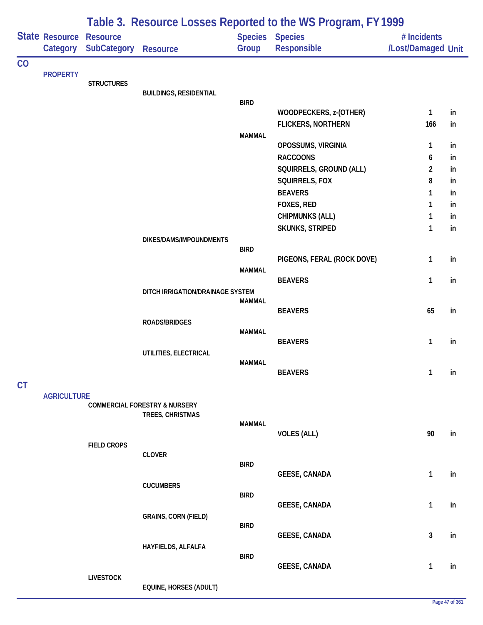|    |                            |                                       | Table 3. Resource Losses Reported to the WS Program, FY 1999 |               |                                |                                   |    |  |  |  |
|----|----------------------------|---------------------------------------|--------------------------------------------------------------|---------------|--------------------------------|-----------------------------------|----|--|--|--|
|    | State Resource<br>Category | <b>Resource</b><br><b>SubCategory</b> | <b>Resource</b>                                              | Group         | Species Species<br>Responsible | # Incidents<br>/Lost/Damaged Unit |    |  |  |  |
| CO |                            |                                       |                                                              |               |                                |                                   |    |  |  |  |
|    | <b>PROPERTY</b>            | <b>STRUCTURES</b>                     |                                                              |               |                                |                                   |    |  |  |  |
|    |                            |                                       | <b>BUILDINGS, RESIDENTIAL</b>                                |               |                                |                                   |    |  |  |  |
|    |                            |                                       |                                                              | <b>BIRD</b>   |                                |                                   |    |  |  |  |
|    |                            |                                       |                                                              |               | WOODPECKERS, z-(OTHER)         | 1<br>166                          | in |  |  |  |
|    |                            |                                       |                                                              | <b>MAMMAL</b> | <b>FLICKERS, NORTHERN</b>      |                                   | in |  |  |  |
|    |                            |                                       |                                                              |               | OPOSSUMS, VIRGINIA             | 1                                 | in |  |  |  |
|    |                            |                                       |                                                              |               | <b>RACCOONS</b>                | 6                                 | in |  |  |  |
|    |                            |                                       |                                                              |               | SQUIRRELS, GROUND (ALL)        | $\overline{c}$                    | in |  |  |  |
|    |                            |                                       |                                                              |               | SQUIRRELS, FOX                 | 8                                 | in |  |  |  |
|    |                            |                                       |                                                              |               | <b>BEAVERS</b>                 | 1                                 | in |  |  |  |
|    |                            |                                       |                                                              |               | FOXES, RED                     | 1                                 | in |  |  |  |
|    |                            |                                       |                                                              |               | <b>CHIPMUNKS (ALL)</b>         | 1                                 | in |  |  |  |
|    |                            |                                       |                                                              |               | SKUNKS, STRIPED                | 1                                 | in |  |  |  |
|    |                            |                                       | DIKES/DAMS/IMPOUNDMENTS                                      | <b>BIRD</b>   |                                |                                   |    |  |  |  |
|    |                            |                                       |                                                              |               | PIGEONS, FERAL (ROCK DOVE)     | 1                                 | in |  |  |  |
|    |                            |                                       |                                                              | <b>MAMMAL</b> |                                |                                   |    |  |  |  |
|    |                            |                                       |                                                              |               | <b>BEAVERS</b>                 | 1                                 | in |  |  |  |
|    |                            |                                       | DITCH IRRIGATION/DRAINAGE SYSTEM                             |               |                                |                                   |    |  |  |  |
|    |                            |                                       |                                                              | <b>MAMMAL</b> | <b>BEAVERS</b>                 | 65                                | in |  |  |  |
|    |                            |                                       | <b>ROADS/BRIDGES</b>                                         |               |                                |                                   |    |  |  |  |
|    |                            |                                       |                                                              | <b>MAMMAL</b> |                                |                                   |    |  |  |  |
|    |                            |                                       |                                                              |               | <b>BEAVERS</b>                 | 1                                 | in |  |  |  |
|    |                            |                                       | UTILITIES, ELECTRICAL                                        |               |                                |                                   |    |  |  |  |
|    |                            |                                       |                                                              | <b>MAMMAL</b> | <b>BEAVERS</b>                 | 1                                 | in |  |  |  |
| CT |                            |                                       |                                                              |               |                                |                                   |    |  |  |  |
|    | <b>AGRICULTURE</b>         |                                       |                                                              |               |                                |                                   |    |  |  |  |
|    |                            |                                       | <b>COMMERCIAL FORESTRY &amp; NURSERY</b>                     |               |                                |                                   |    |  |  |  |
|    |                            |                                       | TREES, CHRISTMAS                                             |               |                                |                                   |    |  |  |  |
|    |                            |                                       |                                                              | <b>MAMMAL</b> | <b>VOLES (ALL)</b>             | 90                                | in |  |  |  |
|    |                            | <b>FIELD CROPS</b>                    |                                                              |               |                                |                                   |    |  |  |  |
|    |                            |                                       | <b>CLOVER</b>                                                |               |                                |                                   |    |  |  |  |
|    |                            |                                       |                                                              | <b>BIRD</b>   |                                | 1                                 | in |  |  |  |
|    |                            |                                       | <b>CUCUMBERS</b>                                             |               | <b>GEESE, CANADA</b>           |                                   |    |  |  |  |
|    |                            |                                       |                                                              | <b>BIRD</b>   |                                |                                   |    |  |  |  |
|    |                            |                                       |                                                              |               | <b>GEESE, CANADA</b>           | 1                                 | in |  |  |  |
|    |                            |                                       | <b>GRAINS, CORN (FIELD)</b>                                  |               |                                |                                   |    |  |  |  |
|    |                            |                                       |                                                              | <b>BIRD</b>   | <b>GEESE, CANADA</b>           | 3                                 | in |  |  |  |
|    |                            |                                       | HAYFIELDS, ALFALFA                                           |               |                                |                                   |    |  |  |  |
|    |                            |                                       |                                                              | <b>BIRD</b>   |                                |                                   |    |  |  |  |
|    |                            |                                       |                                                              |               | <b>GEESE, CANADA</b>           | 1                                 | in |  |  |  |
|    |                            | <b>LIVESTOCK</b>                      | EQUINE, HORSES (ADULT)                                       |               |                                |                                   |    |  |  |  |
|    |                            |                                       |                                                              |               |                                |                                   |    |  |  |  |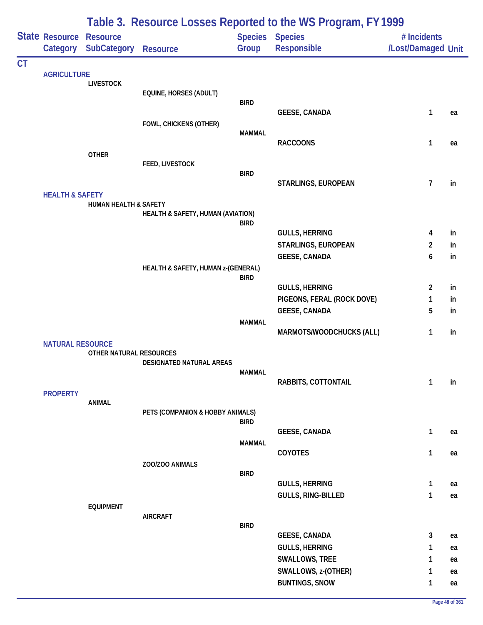|           |                                                                                                                               | Table 3. Resource Losses Reported to the WS Program, FY 1999 |                                    |               |                                                     |                                   |          |  |  |
|-----------|-------------------------------------------------------------------------------------------------------------------------------|--------------------------------------------------------------|------------------------------------|---------------|-----------------------------------------------------|-----------------------------------|----------|--|--|
|           | <b>State Resource Resource</b><br>Category                                                                                    | <b>SubCategory</b>                                           | <b>Resource</b>                    | Group         | Species Species<br><b>Responsible</b>               | # Incidents<br>/Lost/Damaged Unit |          |  |  |
| <b>CT</b> |                                                                                                                               |                                                              |                                    |               |                                                     |                                   |          |  |  |
|           | <b>AGRICULTURE</b>                                                                                                            | <b>LIVESTOCK</b>                                             |                                    |               |                                                     |                                   |          |  |  |
|           |                                                                                                                               |                                                              | EQUINE, HORSES (ADULT)             |               |                                                     |                                   |          |  |  |
|           |                                                                                                                               |                                                              |                                    | <b>BIRD</b>   | <b>GEESE, CANADA</b>                                | 1                                 | ea       |  |  |
|           |                                                                                                                               |                                                              | FOWL, CHICKENS (OTHER)             |               |                                                     |                                   |          |  |  |
|           |                                                                                                                               |                                                              |                                    | <b>MAMMAL</b> |                                                     |                                   |          |  |  |
|           |                                                                                                                               |                                                              |                                    |               | <b>RACCOONS</b>                                     | 1                                 | ea       |  |  |
|           |                                                                                                                               |                                                              | FEED, LIVESTOCK                    |               |                                                     |                                   |          |  |  |
|           |                                                                                                                               |                                                              |                                    | <b>BIRD</b>   |                                                     |                                   |          |  |  |
|           |                                                                                                                               |                                                              |                                    |               | <b>STARLINGS, EUROPEAN</b>                          | 7                                 | in       |  |  |
|           |                                                                                                                               | <b>HUMAN HEALTH &amp; SAFETY</b>                             |                                    |               |                                                     |                                   |          |  |  |
|           |                                                                                                                               |                                                              | HEALTH & SAFETY, HUMAN (AVIATION)  |               |                                                     |                                   |          |  |  |
|           |                                                                                                                               |                                                              |                                    | <b>BIRD</b>   | <b>GULLS, HERRING</b>                               | 4                                 | in       |  |  |
|           |                                                                                                                               |                                                              |                                    |               | STARLINGS, EUROPEAN                                 | $\overline{2}$                    | in       |  |  |
|           |                                                                                                                               |                                                              |                                    |               | <b>GEESE, CANADA</b>                                | 6                                 | in       |  |  |
|           |                                                                                                                               |                                                              | HEALTH & SAFETY, HUMAN z-(GENERAL) |               |                                                     |                                   |          |  |  |
|           | <b>OTHER</b><br><b>HEALTH &amp; SAFETY</b><br><b>NATURAL RESOURCE</b><br>OTHER NATURAL RESOURCES<br><b>PROPERTY</b><br>ANIMAL |                                                              |                                    | <b>BIRD</b>   |                                                     |                                   |          |  |  |
|           |                                                                                                                               |                                                              |                                    |               | <b>GULLS, HERRING</b><br>PIGEONS, FERAL (ROCK DOVE) | $\overline{2}$<br>1               | in<br>in |  |  |
|           |                                                                                                                               |                                                              |                                    |               | <b>GEESE, CANADA</b>                                | 5                                 | in       |  |  |
|           |                                                                                                                               |                                                              |                                    | <b>MAMMAL</b> |                                                     |                                   |          |  |  |
|           |                                                                                                                               |                                                              |                                    |               | MARMOTS/WOODCHUCKS (ALL)                            | 1                                 | in       |  |  |
|           |                                                                                                                               |                                                              |                                    |               |                                                     |                                   |          |  |  |
|           |                                                                                                                               |                                                              | DESIGNATED NATURAL AREAS           |               |                                                     |                                   |          |  |  |
|           |                                                                                                                               |                                                              |                                    | <b>MAMMAL</b> |                                                     |                                   |          |  |  |
|           |                                                                                                                               |                                                              |                                    |               | RABBITS, COTTONTAIL                                 | 1                                 | in       |  |  |
|           |                                                                                                                               |                                                              |                                    |               |                                                     |                                   |          |  |  |
|           |                                                                                                                               |                                                              | PETS (COMPANION & HOBBY ANIMALS)   |               |                                                     |                                   |          |  |  |
|           |                                                                                                                               |                                                              |                                    | <b>BIRD</b>   | <b>GEESE, CANADA</b>                                | $\mathbf{1}$                      | ea       |  |  |
|           |                                                                                                                               |                                                              |                                    | <b>MAMMAL</b> |                                                     |                                   |          |  |  |
|           |                                                                                                                               |                                                              |                                    |               | COYOTES                                             | 1                                 | ea       |  |  |
|           |                                                                                                                               |                                                              | ZOO/ZOO ANIMALS                    |               |                                                     |                                   |          |  |  |
|           |                                                                                                                               |                                                              |                                    | <b>BIRD</b>   | <b>GULLS, HERRING</b>                               | $\mathbf{1}$                      | ea       |  |  |
|           |                                                                                                                               |                                                              |                                    |               | GULLS, RING-BILLED                                  | 1                                 | ea       |  |  |
|           |                                                                                                                               | <b>EQUIPMENT</b>                                             |                                    |               |                                                     |                                   |          |  |  |
|           |                                                                                                                               |                                                              | <b>AIRCRAFT</b>                    | <b>BIRD</b>   |                                                     |                                   |          |  |  |
|           |                                                                                                                               |                                                              |                                    |               | <b>GEESE, CANADA</b>                                | 3                                 | ea       |  |  |
|           |                                                                                                                               |                                                              |                                    |               | <b>GULLS, HERRING</b>                               | 1                                 | ea       |  |  |
|           |                                                                                                                               |                                                              |                                    |               | SWALLOWS, TREE                                      | 1                                 | ea       |  |  |
|           |                                                                                                                               |                                                              |                                    |               | SWALLOWS, z-(OTHER)                                 | 1                                 | ea       |  |  |
|           |                                                                                                                               |                                                              |                                    |               | <b>BUNTINGS, SNOW</b>                               | 1                                 | ea       |  |  |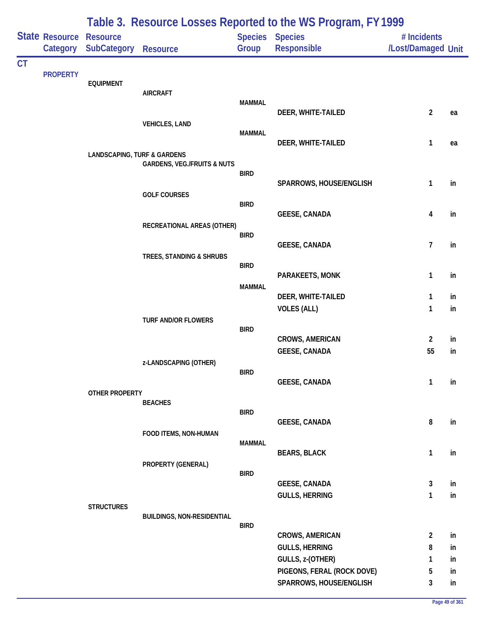|           |                                   | Table 3. Resource Losses Reported to the WS Program, FY 1999 |                                        |               |                                       |                                   |    |  |  |
|-----------|-----------------------------------|--------------------------------------------------------------|----------------------------------------|---------------|---------------------------------------|-----------------------------------|----|--|--|
|           | <b>State Resource</b><br>Category | <b>Resource</b><br>SubCategory                               | <b>Resource</b>                        | Group         | Species Species<br><b>Responsible</b> | # Incidents<br>/Lost/Damaged Unit |    |  |  |
| <b>CT</b> |                                   |                                                              |                                        |               |                                       |                                   |    |  |  |
|           | <b>PROPERTY</b>                   | <b>EQUIPMENT</b>                                             |                                        |               |                                       |                                   |    |  |  |
|           |                                   |                                                              | <b>AIRCRAFT</b>                        | <b>MAMMAL</b> |                                       |                                   |    |  |  |
|           |                                   |                                                              |                                        |               | DEER, WHITE-TAILED                    | $\overline{2}$                    | ea |  |  |
|           |                                   |                                                              | <b>VEHICLES, LAND</b>                  |               |                                       |                                   |    |  |  |
|           |                                   |                                                              |                                        | <b>MAMMAL</b> | DEER, WHITE-TAILED                    | $\mathbf{1}$                      | ea |  |  |
|           |                                   | <b>LANDSCAPING, TURF &amp; GARDENS</b>                       |                                        |               |                                       |                                   |    |  |  |
|           |                                   |                                                              | <b>GARDENS, VEG./FRUITS &amp; NUTS</b> | <b>BIRD</b>   |                                       |                                   |    |  |  |
|           |                                   |                                                              |                                        |               | SPARROWS, HOUSE/ENGLISH               | 1                                 | in |  |  |
|           |                                   |                                                              | <b>GOLF COURSES</b>                    | <b>BIRD</b>   |                                       |                                   |    |  |  |
|           |                                   |                                                              |                                        |               | <b>GEESE, CANADA</b>                  | 4                                 | in |  |  |
|           |                                   |                                                              | RECREATIONAL AREAS (OTHER)             | <b>BIRD</b>   |                                       |                                   |    |  |  |
|           |                                   |                                                              |                                        |               | <b>GEESE, CANADA</b>                  | $\overline{7}$                    | in |  |  |
|           |                                   |                                                              | TREES, STANDING & SHRUBS               | <b>BIRD</b>   |                                       |                                   |    |  |  |
|           |                                   |                                                              |                                        |               | PARAKEETS, MONK                       | $\mathbf{1}$                      | in |  |  |
|           |                                   |                                                              |                                        | <b>MAMMAL</b> | DEER, WHITE-TAILED                    | 1                                 | in |  |  |
|           |                                   |                                                              |                                        |               | <b>VOLES (ALL)</b>                    | $\mathbf{1}$                      | in |  |  |
|           |                                   |                                                              | <b>TURF AND/OR FLOWERS</b>             |               |                                       |                                   |    |  |  |
|           |                                   |                                                              |                                        | <b>BIRD</b>   | <b>CROWS, AMERICAN</b>                | $\overline{2}$                    | in |  |  |
|           |                                   |                                                              |                                        |               | <b>GEESE, CANADA</b>                  | 55                                | in |  |  |
|           |                                   |                                                              | z-LANDSCAPING (OTHER)                  |               |                                       |                                   |    |  |  |
|           |                                   |                                                              |                                        | <b>BIRD</b>   | <b>GEESE, CANADA</b>                  | 1                                 | in |  |  |
|           |                                   | <b>OTHER PROPERTY</b>                                        |                                        |               |                                       |                                   |    |  |  |
|           |                                   |                                                              | <b>BEACHES</b>                         | <b>BIRD</b>   |                                       |                                   |    |  |  |
|           |                                   |                                                              |                                        |               | GEESE, CANADA                         | 8                                 | in |  |  |
|           |                                   |                                                              | FOOD ITEMS, NON-HUMAN                  | <b>MAMMAL</b> |                                       |                                   |    |  |  |
|           |                                   |                                                              |                                        |               | <b>BEARS, BLACK</b>                   | $\mathbf{1}$                      | in |  |  |
|           |                                   |                                                              | PROPERTY (GENERAL)                     | <b>BIRD</b>   |                                       |                                   |    |  |  |
|           |                                   |                                                              |                                        |               | <b>GEESE, CANADA</b>                  | 3                                 | in |  |  |
|           |                                   | <b>STRUCTURES</b>                                            |                                        |               | <b>GULLS, HERRING</b>                 | 1                                 | in |  |  |
|           |                                   |                                                              | <b>BUILDINGS, NON-RESIDENTIAL</b>      |               |                                       |                                   |    |  |  |
|           |                                   |                                                              |                                        | <b>BIRD</b>   | <b>CROWS, AMERICAN</b>                | $\overline{2}$                    | in |  |  |
|           |                                   |                                                              |                                        |               | <b>GULLS, HERRING</b>                 | 8                                 | in |  |  |
|           |                                   |                                                              |                                        |               | GULLS, z-(OTHER)                      | 1                                 | in |  |  |
|           |                                   |                                                              |                                        |               | PIGEONS, FERAL (ROCK DOVE)            | 5                                 | in |  |  |
|           |                                   |                                                              |                                        |               | SPARROWS, HOUSE/ENGLISH               | 3                                 | in |  |  |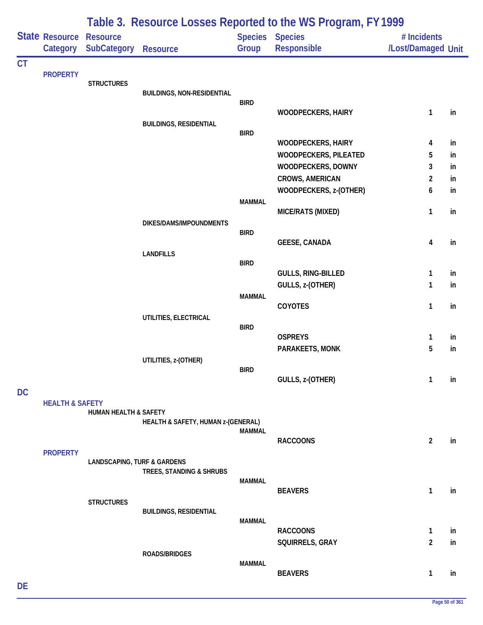|           |                                   | Table 3. Resource Losses Reported to the WS Program, FY 1999 |                                    |               |                                                    |                                   |          |  |  |  |
|-----------|-----------------------------------|--------------------------------------------------------------|------------------------------------|---------------|----------------------------------------------------|-----------------------------------|----------|--|--|--|
|           | <b>State Resource</b><br>Category | <b>Resource</b><br><b>SubCategory</b>                        | <b>Resource</b>                    | Group         | Species Species<br>Responsible                     | # Incidents<br>/Lost/Damaged Unit |          |  |  |  |
| <b>CT</b> |                                   |                                                              |                                    |               |                                                    |                                   |          |  |  |  |
|           | <b>PROPERTY</b>                   | <b>STRUCTURES</b>                                            |                                    |               |                                                    |                                   |          |  |  |  |
|           |                                   |                                                              | <b>BUILDINGS, NON-RESIDENTIAL</b>  |               |                                                    |                                   |          |  |  |  |
|           |                                   |                                                              |                                    | <b>BIRD</b>   | <b>WOODPECKERS, HAIRY</b>                          | $\mathbf{1}$                      | in       |  |  |  |
|           |                                   |                                                              | <b>BUILDINGS, RESIDENTIAL</b>      |               |                                                    |                                   |          |  |  |  |
|           |                                   |                                                              |                                    | <b>BIRD</b>   |                                                    |                                   |          |  |  |  |
|           |                                   |                                                              |                                    |               | <b>WOODPECKERS, HAIRY</b><br>WOODPECKERS, PILEATED | 4<br>5                            | in<br>in |  |  |  |
|           |                                   |                                                              |                                    |               | WOODPECKERS, DOWNY                                 | 3                                 | in       |  |  |  |
|           |                                   |                                                              |                                    |               | <b>CROWS, AMERICAN</b>                             | $\overline{2}$                    | in       |  |  |  |
|           |                                   |                                                              |                                    |               | WOODPECKERS, z-(OTHER)                             | 6                                 | in       |  |  |  |
|           |                                   |                                                              |                                    | <b>MAMMAL</b> |                                                    |                                   |          |  |  |  |
|           |                                   |                                                              |                                    |               | MICE/RATS (MIXED)                                  | $\mathbf{1}$                      | in       |  |  |  |
|           |                                   |                                                              | DIKES/DAMS/IMPOUNDMENTS            | <b>BIRD</b>   |                                                    |                                   |          |  |  |  |
|           |                                   |                                                              |                                    |               | <b>GEESE, CANADA</b>                               | 4                                 | in       |  |  |  |
|           |                                   |                                                              | <b>LANDFILLS</b>                   |               |                                                    |                                   |          |  |  |  |
|           |                                   |                                                              |                                    | <b>BIRD</b>   | GULLS, RING-BILLED                                 | $\mathbf{1}$                      | in       |  |  |  |
|           |                                   |                                                              |                                    |               | GULLS, z-(OTHER)                                   | $\mathbf{1}$                      | in       |  |  |  |
|           |                                   |                                                              |                                    | <b>MAMMAL</b> |                                                    |                                   |          |  |  |  |
|           |                                   |                                                              |                                    |               | COYOTES                                            | $\mathbf{1}$                      | in       |  |  |  |
|           |                                   |                                                              | UTILITIES, ELECTRICAL              | <b>BIRD</b>   |                                                    |                                   |          |  |  |  |
|           |                                   |                                                              |                                    |               | <b>OSPREYS</b>                                     | $\mathbf{1}$                      | in       |  |  |  |
|           |                                   |                                                              |                                    |               | PARAKEETS, MONK                                    | 5                                 | in       |  |  |  |
|           |                                   |                                                              | UTILITIES, z-(OTHER)               |               |                                                    |                                   |          |  |  |  |
|           |                                   |                                                              |                                    | <b>BIRD</b>   | GULLS, z-(OTHER)                                   | $\mathbf{1}$                      | in       |  |  |  |
| <b>DC</b> |                                   |                                                              |                                    |               |                                                    |                                   |          |  |  |  |
|           | <b>HEALTH &amp; SAFETY</b>        |                                                              |                                    |               |                                                    |                                   |          |  |  |  |
|           |                                   | <b>HUMAN HEALTH &amp; SAFETY</b>                             | HEALTH & SAFETY, HUMAN z-(GENERAL) |               |                                                    |                                   |          |  |  |  |
|           |                                   |                                                              |                                    | <b>MAMMAL</b> |                                                    |                                   |          |  |  |  |
|           |                                   |                                                              |                                    |               | <b>RACCOONS</b>                                    | $\overline{2}$                    | in       |  |  |  |
|           | <b>PROPERTY</b>                   | <b>LANDSCAPING, TURF &amp; GARDENS</b>                       |                                    |               |                                                    |                                   |          |  |  |  |
|           |                                   |                                                              | TREES, STANDING & SHRUBS           |               |                                                    |                                   |          |  |  |  |
|           |                                   |                                                              |                                    | <b>MAMMAL</b> |                                                    |                                   |          |  |  |  |
|           |                                   | <b>STRUCTURES</b>                                            |                                    |               | <b>BEAVERS</b>                                     | 1                                 | in       |  |  |  |
|           |                                   |                                                              | <b>BUILDINGS, RESIDENTIAL</b>      |               |                                                    |                                   |          |  |  |  |
|           |                                   |                                                              |                                    | <b>MAMMAL</b> |                                                    |                                   |          |  |  |  |
|           |                                   |                                                              |                                    |               | <b>RACCOONS</b><br>SQUIRRELS, GRAY                 | $\mathbf{1}$<br>$\overline{2}$    | in<br>in |  |  |  |
|           |                                   |                                                              | <b>ROADS/BRIDGES</b>               |               |                                                    |                                   |          |  |  |  |
|           |                                   |                                                              |                                    | <b>MAMMAL</b> |                                                    |                                   |          |  |  |  |
|           |                                   |                                                              |                                    |               | <b>BEAVERS</b>                                     | $\mathbf{1}$                      | in       |  |  |  |

#### **Page 50 of 361**

## **DE**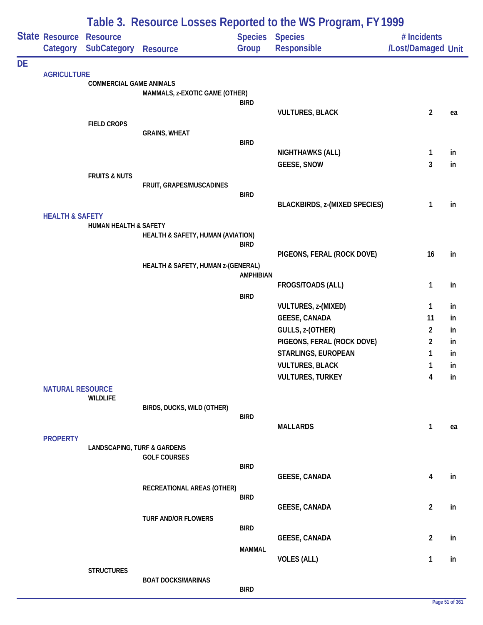|           |                            | Table 3. Resource Losses Reported to the WS Program, FY 1999 |                                    |                                 |                                      |                                   |    |  |  |  |
|-----------|----------------------------|--------------------------------------------------------------|------------------------------------|---------------------------------|--------------------------------------|-----------------------------------|----|--|--|--|
|           | State Resource<br>Category | <b>Resource</b><br>SubCategory                               | <b>Resource</b>                    | <b>Species Species</b><br>Group | Responsible                          | # Incidents<br>/Lost/Damaged Unit |    |  |  |  |
|           |                            |                                                              |                                    |                                 |                                      |                                   |    |  |  |  |
| <b>DE</b> | <b>AGRICULTURE</b>         |                                                              |                                    |                                 |                                      |                                   |    |  |  |  |
|           |                            | <b>COMMERCIAL GAME ANIMALS</b>                               |                                    |                                 |                                      |                                   |    |  |  |  |
|           |                            |                                                              | MAMMALS, z-EXOTIC GAME (OTHER)     | <b>BIRD</b>                     |                                      |                                   |    |  |  |  |
|           |                            |                                                              |                                    |                                 | <b>VULTURES, BLACK</b>               | $\overline{2}$                    | ea |  |  |  |
|           |                            | <b>FIELD CROPS</b>                                           |                                    |                                 |                                      |                                   |    |  |  |  |
|           |                            |                                                              | <b>GRAINS, WHEAT</b>               |                                 |                                      |                                   |    |  |  |  |
|           |                            |                                                              |                                    | <b>BIRD</b>                     | NIGHTHAWKS (ALL)                     | $\mathbf{1}$                      | in |  |  |  |
|           |                            |                                                              |                                    |                                 | <b>GEESE, SNOW</b>                   | 3                                 | in |  |  |  |
|           |                            | <b>FRUITS &amp; NUTS</b>                                     |                                    |                                 |                                      |                                   |    |  |  |  |
|           |                            |                                                              | FRUIT, GRAPES/MUSCADINES           |                                 |                                      |                                   |    |  |  |  |
|           |                            |                                                              |                                    | <b>BIRD</b>                     | <b>BLACKBIRDS, z-(MIXED SPECIES)</b> | 1                                 | in |  |  |  |
|           | <b>HEALTH &amp; SAFETY</b> |                                                              |                                    |                                 |                                      |                                   |    |  |  |  |
|           |                            | <b>HUMAN HEALTH &amp; SAFETY</b>                             |                                    |                                 |                                      |                                   |    |  |  |  |
|           |                            |                                                              | HEALTH & SAFETY, HUMAN (AVIATION)  | <b>BIRD</b>                     |                                      |                                   |    |  |  |  |
|           |                            |                                                              |                                    |                                 | PIGEONS, FERAL (ROCK DOVE)           | 16                                | in |  |  |  |
|           |                            |                                                              | HEALTH & SAFETY, HUMAN z-(GENERAL) |                                 |                                      |                                   |    |  |  |  |
|           |                            |                                                              |                                    | <b>AMPHIBIAN</b>                | FROGS/TOADS (ALL)                    | 1                                 | in |  |  |  |
|           |                            |                                                              |                                    | <b>BIRD</b>                     |                                      |                                   |    |  |  |  |
|           |                            |                                                              |                                    |                                 | VULTURES, z-(MIXED)                  | 1                                 | in |  |  |  |
|           |                            |                                                              |                                    |                                 | <b>GEESE, CANADA</b>                 | 11                                | in |  |  |  |
|           |                            |                                                              |                                    |                                 | GULLS, z-(OTHER)                     | $\overline{2}$                    | in |  |  |  |
|           |                            |                                                              |                                    |                                 | PIGEONS, FERAL (ROCK DOVE)           | $\overline{2}$                    | in |  |  |  |
|           |                            |                                                              |                                    |                                 | STARLINGS, EUROPEAN                  | 1                                 | in |  |  |  |
|           |                            |                                                              |                                    |                                 | <b>VULTURES, BLACK</b>               | 1                                 | in |  |  |  |
|           | <b>NATURAL RESOURCE</b>    |                                                              |                                    |                                 | <b>VULTURES, TURKEY</b>              | 4                                 | in |  |  |  |
|           |                            | <b>WILDLIFE</b>                                              |                                    |                                 |                                      |                                   |    |  |  |  |
|           |                            |                                                              | BIRDS, DUCKS, WILD (OTHER)         |                                 |                                      |                                   |    |  |  |  |
|           |                            |                                                              |                                    | <b>BIRD</b>                     | <b>MALLARDS</b>                      | 1                                 | ea |  |  |  |
|           | <b>PROPERTY</b>            |                                                              |                                    |                                 |                                      |                                   |    |  |  |  |
|           |                            | <b>LANDSCAPING, TURF &amp; GARDENS</b>                       |                                    |                                 |                                      |                                   |    |  |  |  |
|           |                            |                                                              | <b>GOLF COURSES</b>                | <b>BIRD</b>                     |                                      |                                   |    |  |  |  |
|           |                            |                                                              |                                    |                                 | <b>GEESE, CANADA</b>                 | 4                                 | in |  |  |  |
|           |                            |                                                              | RECREATIONAL AREAS (OTHER)         |                                 |                                      |                                   |    |  |  |  |
|           |                            |                                                              |                                    | <b>BIRD</b>                     |                                      |                                   |    |  |  |  |
|           |                            |                                                              | TURF AND/OR FLOWERS                |                                 | <b>GEESE, CANADA</b>                 | $\overline{2}$                    | in |  |  |  |
|           |                            |                                                              |                                    | <b>BIRD</b>                     |                                      |                                   |    |  |  |  |
|           |                            |                                                              |                                    |                                 | <b>GEESE, CANADA</b>                 | $\overline{2}$                    | in |  |  |  |
|           |                            |                                                              |                                    | <b>MAMMAL</b>                   |                                      |                                   |    |  |  |  |
|           |                            | <b>STRUCTURES</b>                                            |                                    |                                 | <b>VOLES (ALL)</b>                   | 1                                 | in |  |  |  |
|           |                            |                                                              | <b>BOAT DOCKS/MARINAS</b>          |                                 |                                      |                                   |    |  |  |  |
|           |                            |                                                              |                                    | <b>BIRD</b>                     |                                      |                                   |    |  |  |  |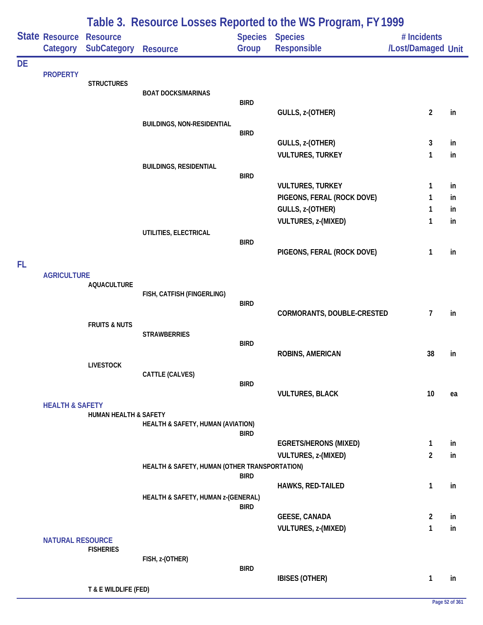|           |                            |                                       |                                               |             | Table 3. Resource Losses Reported to the WS Program, FY 1999 |                                   |          |
|-----------|----------------------------|---------------------------------------|-----------------------------------------------|-------------|--------------------------------------------------------------|-----------------------------------|----------|
|           | State Resource<br>Category | <b>Resource</b><br><b>SubCategory</b> | <b>Resource</b>                               | Group       | <b>Species Species</b><br>Responsible                        | # Incidents<br>/Lost/Damaged Unit |          |
| <b>DE</b> |                            |                                       |                                               |             |                                                              |                                   |          |
|           | <b>PROPERTY</b>            | <b>STRUCTURES</b>                     |                                               |             |                                                              |                                   |          |
|           |                            |                                       | <b>BOAT DOCKS/MARINAS</b>                     | <b>BIRD</b> |                                                              |                                   |          |
|           |                            |                                       |                                               |             | GULLS, z-(OTHER)                                             | $\overline{c}$                    | in       |
|           |                            |                                       | <b>BUILDINGS, NON-RESIDENTIAL</b>             |             |                                                              |                                   |          |
|           |                            |                                       |                                               | <b>BIRD</b> | GULLS, z-(OTHER)                                             | 3                                 | in       |
|           |                            |                                       |                                               |             | <b>VULTURES, TURKEY</b>                                      | 1                                 | in       |
|           |                            |                                       | <b>BUILDINGS, RESIDENTIAL</b>                 |             |                                                              |                                   |          |
|           |                            |                                       |                                               | <b>BIRD</b> |                                                              |                                   |          |
|           |                            |                                       |                                               |             | <b>VULTURES, TURKEY</b><br>PIGEONS, FERAL (ROCK DOVE)        | 1<br>1                            | in<br>in |
|           |                            |                                       |                                               |             | GULLS, z-(OTHER)                                             | 1                                 | in.      |
|           |                            |                                       |                                               |             | <b>VULTURES, z-(MIXED)</b>                                   | 1                                 | in       |
|           |                            |                                       | UTILITIES, ELECTRICAL                         |             |                                                              |                                   |          |
|           |                            |                                       |                                               | <b>BIRD</b> | PIGEONS, FERAL (ROCK DOVE)                                   | 1                                 | in       |
| FL        |                            |                                       |                                               |             |                                                              |                                   |          |
|           | <b>AGRICULTURE</b>         |                                       |                                               |             |                                                              |                                   |          |
|           |                            | <b>AQUACULTURE</b>                    | FISH, CATFISH (FINGERLING)                    |             |                                                              |                                   |          |
|           |                            |                                       |                                               | <b>BIRD</b> |                                                              |                                   |          |
|           |                            |                                       |                                               |             | CORMORANTS, DOUBLE-CRESTED                                   | $\overline{7}$                    | in       |
|           |                            | <b>FRUITS &amp; NUTS</b>              | <b>STRAWBERRIES</b>                           |             |                                                              |                                   |          |
|           |                            |                                       |                                               | <b>BIRD</b> |                                                              |                                   |          |
|           |                            |                                       |                                               |             | <b>ROBINS, AMERICAN</b>                                      | 38                                | in       |
|           |                            | <b>LIVESTOCK</b>                      | CATTLE (CALVES)                               |             |                                                              |                                   |          |
|           |                            |                                       |                                               | <b>BIRD</b> |                                                              |                                   |          |
|           |                            |                                       |                                               |             | <b>VULTURES, BLACK</b>                                       | 10                                | ea       |
|           | <b>HEALTH &amp; SAFETY</b> | HUMAN HEALTH & SAFETY                 |                                               |             |                                                              |                                   |          |
|           |                            |                                       | HEALTH & SAFETY, HUMAN (AVIATION)             |             |                                                              |                                   |          |
|           |                            |                                       |                                               | <b>BIRD</b> | <b>EGRETS/HERONS (MIXED)</b>                                 | $\mathbf{1}$                      | in       |
|           |                            |                                       |                                               |             | VULTURES, z-(MIXED)                                          | $\overline{2}$                    | in       |
|           |                            |                                       | HEALTH & SAFETY, HUMAN (OTHER TRANSPORTATION) |             |                                                              |                                   |          |
|           |                            |                                       |                                               | <b>BIRD</b> | HAWKS, RED-TAILED                                            | 1                                 | in       |
|           |                            |                                       | HEALTH & SAFETY, HUMAN z-(GENERAL)            |             |                                                              |                                   |          |
|           |                            |                                       |                                               | <b>BIRD</b> |                                                              |                                   |          |
|           |                            |                                       |                                               |             | <b>GEESE, CANADA</b>                                         | $\overline{2}$                    | in       |
|           | <b>NATURAL RESOURCE</b>    |                                       |                                               |             | VULTURES, z-(MIXED)                                          | 1                                 | in       |
|           |                            | <b>FISHERIES</b>                      |                                               |             |                                                              |                                   |          |
|           |                            |                                       | FISH, z-(OTHER)                               | <b>BIRD</b> |                                                              |                                   |          |
|           |                            |                                       |                                               |             | <b>IBISES (OTHER)</b>                                        | 1                                 | in       |
|           |                            | T & E WILDLIFE (FED)                  |                                               |             |                                                              |                                   |          |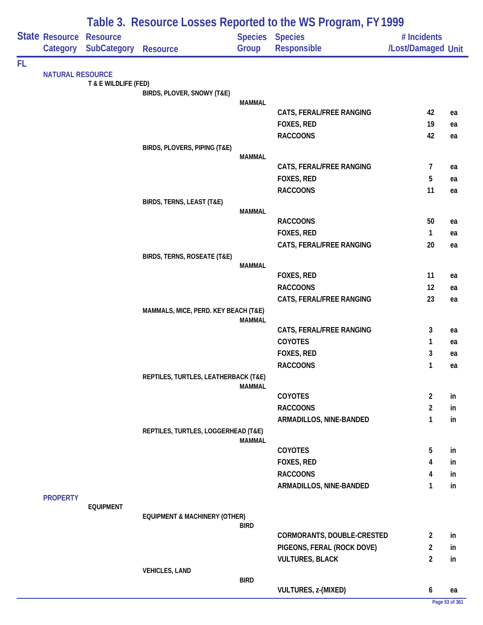| State Resource<br><b>Species</b><br><b>Species</b><br><b>Resource</b><br># Incidents<br>Category SubCategory<br>Group<br>Responsible<br>/Lost/Damaged Unit<br><b>Resource</b><br><b>NATURAL RESOURCE</b><br>T & E WILDLIFE (FED)<br>BIRDS, PLOVER, SNOWY (T&E)<br><b>MAMMAL</b><br>CATS, FERAL/FREE RANGING<br>42<br>ea<br>FOXES, RED<br>19<br>ea<br>42<br><b>RACCOONS</b><br>ea<br>BIRDS, PLOVERS, PIPING (T&E)<br><b>MAMMAL</b><br>CATS, FERAL/FREE RANGING<br>7<br>ea<br>FOXES, RED<br>5<br>ea<br><b>RACCOONS</b><br>11<br>ea<br>BIRDS, TERNS, LEAST (T&E)<br><b>MAMMAL</b><br><b>RACCOONS</b><br>50<br>ea<br>FOXES, RED<br>1<br>ea<br>CATS, FERAL/FREE RANGING<br>20<br>ea<br>BIRDS, TERNS, ROSEATE (T&E)<br><b>MAMMAL</b><br>FOXES, RED<br>11<br>ea<br><b>RACCOONS</b><br>12<br>ea<br>CATS, FERAL/FREE RANGING<br>23<br>ea<br>MAMMALS, MICE, PERD. KEY BEACH (T&E)<br><b>MAMMAL</b><br>CATS, FERAL/FREE RANGING<br>3<br>ea<br><b>COYOTES</b><br>1<br>ea<br>FOXES, RED<br>3<br>ea<br><b>RACCOONS</b><br>1<br>ea<br>REPTILES, TURTLES, LEATHERBACK (T&E)<br><b>MAMMAL</b><br>$\overline{\mathbf{c}}$<br><b>COYOTES</b><br>in<br><b>RACCOONS</b><br>2<br>in<br>1<br>ARMADILLOS, NINE-BANDED<br>in<br>REPTILES, TURTLES, LOGGERHEAD (T&E)<br><b>MAMMAL</b><br>COYOTES<br>5<br>in<br>FOXES, RED<br>4<br>in<br><b>RACCOONS</b><br>4<br>in<br>ARMADILLOS, NINE-BANDED<br>1<br>in<br><b>PROPERTY</b><br><b>EQUIPMENT</b><br><b>EQUIPMENT &amp; MACHINERY (OTHER)</b><br><b>BIRD</b><br>CORMORANTS, DOUBLE-CRESTED<br>2<br>in<br>PIGEONS, FERAL (ROCK DOVE)<br>2<br>in<br>$\overline{2}$<br><b>VULTURES, BLACK</b><br>in<br><b>VEHICLES, LAND</b><br><b>BIRD</b><br>VULTURES, z-(MIXED)<br>6<br>ea<br>Page 53 of 361 |    | Table 3. Resource Losses Reported to the WS Program, FY 1999 |  |  |  |  |  |  |  |
|------------------------------------------------------------------------------------------------------------------------------------------------------------------------------------------------------------------------------------------------------------------------------------------------------------------------------------------------------------------------------------------------------------------------------------------------------------------------------------------------------------------------------------------------------------------------------------------------------------------------------------------------------------------------------------------------------------------------------------------------------------------------------------------------------------------------------------------------------------------------------------------------------------------------------------------------------------------------------------------------------------------------------------------------------------------------------------------------------------------------------------------------------------------------------------------------------------------------------------------------------------------------------------------------------------------------------------------------------------------------------------------------------------------------------------------------------------------------------------------------------------------------------------------------------------------------------------------------------------------------------------------------------------------------------------------------------------------|----|--------------------------------------------------------------|--|--|--|--|--|--|--|
|                                                                                                                                                                                                                                                                                                                                                                                                                                                                                                                                                                                                                                                                                                                                                                                                                                                                                                                                                                                                                                                                                                                                                                                                                                                                                                                                                                                                                                                                                                                                                                                                                                                                                                                  |    |                                                              |  |  |  |  |  |  |  |
|                                                                                                                                                                                                                                                                                                                                                                                                                                                                                                                                                                                                                                                                                                                                                                                                                                                                                                                                                                                                                                                                                                                                                                                                                                                                                                                                                                                                                                                                                                                                                                                                                                                                                                                  |    |                                                              |  |  |  |  |  |  |  |
|                                                                                                                                                                                                                                                                                                                                                                                                                                                                                                                                                                                                                                                                                                                                                                                                                                                                                                                                                                                                                                                                                                                                                                                                                                                                                                                                                                                                                                                                                                                                                                                                                                                                                                                  | FL |                                                              |  |  |  |  |  |  |  |
|                                                                                                                                                                                                                                                                                                                                                                                                                                                                                                                                                                                                                                                                                                                                                                                                                                                                                                                                                                                                                                                                                                                                                                                                                                                                                                                                                                                                                                                                                                                                                                                                                                                                                                                  |    |                                                              |  |  |  |  |  |  |  |
|                                                                                                                                                                                                                                                                                                                                                                                                                                                                                                                                                                                                                                                                                                                                                                                                                                                                                                                                                                                                                                                                                                                                                                                                                                                                                                                                                                                                                                                                                                                                                                                                                                                                                                                  |    |                                                              |  |  |  |  |  |  |  |
|                                                                                                                                                                                                                                                                                                                                                                                                                                                                                                                                                                                                                                                                                                                                                                                                                                                                                                                                                                                                                                                                                                                                                                                                                                                                                                                                                                                                                                                                                                                                                                                                                                                                                                                  |    |                                                              |  |  |  |  |  |  |  |
|                                                                                                                                                                                                                                                                                                                                                                                                                                                                                                                                                                                                                                                                                                                                                                                                                                                                                                                                                                                                                                                                                                                                                                                                                                                                                                                                                                                                                                                                                                                                                                                                                                                                                                                  |    |                                                              |  |  |  |  |  |  |  |
|                                                                                                                                                                                                                                                                                                                                                                                                                                                                                                                                                                                                                                                                                                                                                                                                                                                                                                                                                                                                                                                                                                                                                                                                                                                                                                                                                                                                                                                                                                                                                                                                                                                                                                                  |    |                                                              |  |  |  |  |  |  |  |
|                                                                                                                                                                                                                                                                                                                                                                                                                                                                                                                                                                                                                                                                                                                                                                                                                                                                                                                                                                                                                                                                                                                                                                                                                                                                                                                                                                                                                                                                                                                                                                                                                                                                                                                  |    |                                                              |  |  |  |  |  |  |  |
|                                                                                                                                                                                                                                                                                                                                                                                                                                                                                                                                                                                                                                                                                                                                                                                                                                                                                                                                                                                                                                                                                                                                                                                                                                                                                                                                                                                                                                                                                                                                                                                                                                                                                                                  |    |                                                              |  |  |  |  |  |  |  |
|                                                                                                                                                                                                                                                                                                                                                                                                                                                                                                                                                                                                                                                                                                                                                                                                                                                                                                                                                                                                                                                                                                                                                                                                                                                                                                                                                                                                                                                                                                                                                                                                                                                                                                                  |    |                                                              |  |  |  |  |  |  |  |
|                                                                                                                                                                                                                                                                                                                                                                                                                                                                                                                                                                                                                                                                                                                                                                                                                                                                                                                                                                                                                                                                                                                                                                                                                                                                                                                                                                                                                                                                                                                                                                                                                                                                                                                  |    |                                                              |  |  |  |  |  |  |  |
|                                                                                                                                                                                                                                                                                                                                                                                                                                                                                                                                                                                                                                                                                                                                                                                                                                                                                                                                                                                                                                                                                                                                                                                                                                                                                                                                                                                                                                                                                                                                                                                                                                                                                                                  |    |                                                              |  |  |  |  |  |  |  |
|                                                                                                                                                                                                                                                                                                                                                                                                                                                                                                                                                                                                                                                                                                                                                                                                                                                                                                                                                                                                                                                                                                                                                                                                                                                                                                                                                                                                                                                                                                                                                                                                                                                                                                                  |    |                                                              |  |  |  |  |  |  |  |
|                                                                                                                                                                                                                                                                                                                                                                                                                                                                                                                                                                                                                                                                                                                                                                                                                                                                                                                                                                                                                                                                                                                                                                                                                                                                                                                                                                                                                                                                                                                                                                                                                                                                                                                  |    |                                                              |  |  |  |  |  |  |  |
|                                                                                                                                                                                                                                                                                                                                                                                                                                                                                                                                                                                                                                                                                                                                                                                                                                                                                                                                                                                                                                                                                                                                                                                                                                                                                                                                                                                                                                                                                                                                                                                                                                                                                                                  |    |                                                              |  |  |  |  |  |  |  |
|                                                                                                                                                                                                                                                                                                                                                                                                                                                                                                                                                                                                                                                                                                                                                                                                                                                                                                                                                                                                                                                                                                                                                                                                                                                                                                                                                                                                                                                                                                                                                                                                                                                                                                                  |    |                                                              |  |  |  |  |  |  |  |
|                                                                                                                                                                                                                                                                                                                                                                                                                                                                                                                                                                                                                                                                                                                                                                                                                                                                                                                                                                                                                                                                                                                                                                                                                                                                                                                                                                                                                                                                                                                                                                                                                                                                                                                  |    |                                                              |  |  |  |  |  |  |  |
|                                                                                                                                                                                                                                                                                                                                                                                                                                                                                                                                                                                                                                                                                                                                                                                                                                                                                                                                                                                                                                                                                                                                                                                                                                                                                                                                                                                                                                                                                                                                                                                                                                                                                                                  |    |                                                              |  |  |  |  |  |  |  |
|                                                                                                                                                                                                                                                                                                                                                                                                                                                                                                                                                                                                                                                                                                                                                                                                                                                                                                                                                                                                                                                                                                                                                                                                                                                                                                                                                                                                                                                                                                                                                                                                                                                                                                                  |    |                                                              |  |  |  |  |  |  |  |
|                                                                                                                                                                                                                                                                                                                                                                                                                                                                                                                                                                                                                                                                                                                                                                                                                                                                                                                                                                                                                                                                                                                                                                                                                                                                                                                                                                                                                                                                                                                                                                                                                                                                                                                  |    |                                                              |  |  |  |  |  |  |  |
|                                                                                                                                                                                                                                                                                                                                                                                                                                                                                                                                                                                                                                                                                                                                                                                                                                                                                                                                                                                                                                                                                                                                                                                                                                                                                                                                                                                                                                                                                                                                                                                                                                                                                                                  |    |                                                              |  |  |  |  |  |  |  |
|                                                                                                                                                                                                                                                                                                                                                                                                                                                                                                                                                                                                                                                                                                                                                                                                                                                                                                                                                                                                                                                                                                                                                                                                                                                                                                                                                                                                                                                                                                                                                                                                                                                                                                                  |    |                                                              |  |  |  |  |  |  |  |
|                                                                                                                                                                                                                                                                                                                                                                                                                                                                                                                                                                                                                                                                                                                                                                                                                                                                                                                                                                                                                                                                                                                                                                                                                                                                                                                                                                                                                                                                                                                                                                                                                                                                                                                  |    |                                                              |  |  |  |  |  |  |  |
|                                                                                                                                                                                                                                                                                                                                                                                                                                                                                                                                                                                                                                                                                                                                                                                                                                                                                                                                                                                                                                                                                                                                                                                                                                                                                                                                                                                                                                                                                                                                                                                                                                                                                                                  |    |                                                              |  |  |  |  |  |  |  |
|                                                                                                                                                                                                                                                                                                                                                                                                                                                                                                                                                                                                                                                                                                                                                                                                                                                                                                                                                                                                                                                                                                                                                                                                                                                                                                                                                                                                                                                                                                                                                                                                                                                                                                                  |    |                                                              |  |  |  |  |  |  |  |
|                                                                                                                                                                                                                                                                                                                                                                                                                                                                                                                                                                                                                                                                                                                                                                                                                                                                                                                                                                                                                                                                                                                                                                                                                                                                                                                                                                                                                                                                                                                                                                                                                                                                                                                  |    |                                                              |  |  |  |  |  |  |  |
|                                                                                                                                                                                                                                                                                                                                                                                                                                                                                                                                                                                                                                                                                                                                                                                                                                                                                                                                                                                                                                                                                                                                                                                                                                                                                                                                                                                                                                                                                                                                                                                                                                                                                                                  |    |                                                              |  |  |  |  |  |  |  |
|                                                                                                                                                                                                                                                                                                                                                                                                                                                                                                                                                                                                                                                                                                                                                                                                                                                                                                                                                                                                                                                                                                                                                                                                                                                                                                                                                                                                                                                                                                                                                                                                                                                                                                                  |    |                                                              |  |  |  |  |  |  |  |
|                                                                                                                                                                                                                                                                                                                                                                                                                                                                                                                                                                                                                                                                                                                                                                                                                                                                                                                                                                                                                                                                                                                                                                                                                                                                                                                                                                                                                                                                                                                                                                                                                                                                                                                  |    |                                                              |  |  |  |  |  |  |  |
|                                                                                                                                                                                                                                                                                                                                                                                                                                                                                                                                                                                                                                                                                                                                                                                                                                                                                                                                                                                                                                                                                                                                                                                                                                                                                                                                                                                                                                                                                                                                                                                                                                                                                                                  |    |                                                              |  |  |  |  |  |  |  |
|                                                                                                                                                                                                                                                                                                                                                                                                                                                                                                                                                                                                                                                                                                                                                                                                                                                                                                                                                                                                                                                                                                                                                                                                                                                                                                                                                                                                                                                                                                                                                                                                                                                                                                                  |    |                                                              |  |  |  |  |  |  |  |
|                                                                                                                                                                                                                                                                                                                                                                                                                                                                                                                                                                                                                                                                                                                                                                                                                                                                                                                                                                                                                                                                                                                                                                                                                                                                                                                                                                                                                                                                                                                                                                                                                                                                                                                  |    |                                                              |  |  |  |  |  |  |  |
|                                                                                                                                                                                                                                                                                                                                                                                                                                                                                                                                                                                                                                                                                                                                                                                                                                                                                                                                                                                                                                                                                                                                                                                                                                                                                                                                                                                                                                                                                                                                                                                                                                                                                                                  |    |                                                              |  |  |  |  |  |  |  |
|                                                                                                                                                                                                                                                                                                                                                                                                                                                                                                                                                                                                                                                                                                                                                                                                                                                                                                                                                                                                                                                                                                                                                                                                                                                                                                                                                                                                                                                                                                                                                                                                                                                                                                                  |    |                                                              |  |  |  |  |  |  |  |
|                                                                                                                                                                                                                                                                                                                                                                                                                                                                                                                                                                                                                                                                                                                                                                                                                                                                                                                                                                                                                                                                                                                                                                                                                                                                                                                                                                                                                                                                                                                                                                                                                                                                                                                  |    |                                                              |  |  |  |  |  |  |  |
|                                                                                                                                                                                                                                                                                                                                                                                                                                                                                                                                                                                                                                                                                                                                                                                                                                                                                                                                                                                                                                                                                                                                                                                                                                                                                                                                                                                                                                                                                                                                                                                                                                                                                                                  |    |                                                              |  |  |  |  |  |  |  |
|                                                                                                                                                                                                                                                                                                                                                                                                                                                                                                                                                                                                                                                                                                                                                                                                                                                                                                                                                                                                                                                                                                                                                                                                                                                                                                                                                                                                                                                                                                                                                                                                                                                                                                                  |    |                                                              |  |  |  |  |  |  |  |
|                                                                                                                                                                                                                                                                                                                                                                                                                                                                                                                                                                                                                                                                                                                                                                                                                                                                                                                                                                                                                                                                                                                                                                                                                                                                                                                                                                                                                                                                                                                                                                                                                                                                                                                  |    |                                                              |  |  |  |  |  |  |  |
|                                                                                                                                                                                                                                                                                                                                                                                                                                                                                                                                                                                                                                                                                                                                                                                                                                                                                                                                                                                                                                                                                                                                                                                                                                                                                                                                                                                                                                                                                                                                                                                                                                                                                                                  |    |                                                              |  |  |  |  |  |  |  |
|                                                                                                                                                                                                                                                                                                                                                                                                                                                                                                                                                                                                                                                                                                                                                                                                                                                                                                                                                                                                                                                                                                                                                                                                                                                                                                                                                                                                                                                                                                                                                                                                                                                                                                                  |    |                                                              |  |  |  |  |  |  |  |
|                                                                                                                                                                                                                                                                                                                                                                                                                                                                                                                                                                                                                                                                                                                                                                                                                                                                                                                                                                                                                                                                                                                                                                                                                                                                                                                                                                                                                                                                                                                                                                                                                                                                                                                  |    |                                                              |  |  |  |  |  |  |  |
|                                                                                                                                                                                                                                                                                                                                                                                                                                                                                                                                                                                                                                                                                                                                                                                                                                                                                                                                                                                                                                                                                                                                                                                                                                                                                                                                                                                                                                                                                                                                                                                                                                                                                                                  |    |                                                              |  |  |  |  |  |  |  |
|                                                                                                                                                                                                                                                                                                                                                                                                                                                                                                                                                                                                                                                                                                                                                                                                                                                                                                                                                                                                                                                                                                                                                                                                                                                                                                                                                                                                                                                                                                                                                                                                                                                                                                                  |    |                                                              |  |  |  |  |  |  |  |
|                                                                                                                                                                                                                                                                                                                                                                                                                                                                                                                                                                                                                                                                                                                                                                                                                                                                                                                                                                                                                                                                                                                                                                                                                                                                                                                                                                                                                                                                                                                                                                                                                                                                                                                  |    |                                                              |  |  |  |  |  |  |  |
|                                                                                                                                                                                                                                                                                                                                                                                                                                                                                                                                                                                                                                                                                                                                                                                                                                                                                                                                                                                                                                                                                                                                                                                                                                                                                                                                                                                                                                                                                                                                                                                                                                                                                                                  |    |                                                              |  |  |  |  |  |  |  |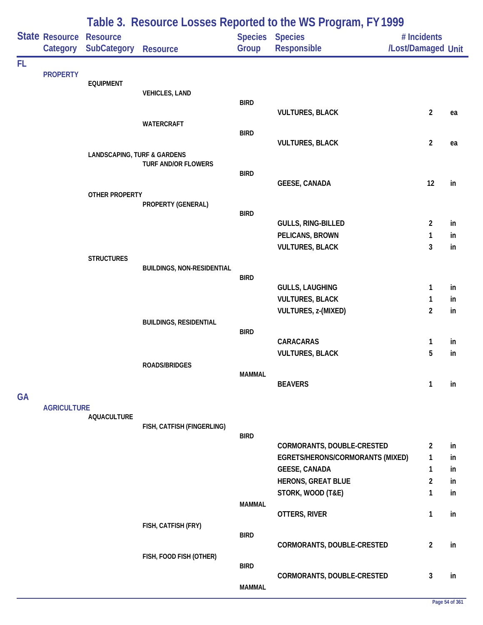|           |                            | Table 3. Resource Losses Reported to the WS Program, FY1999 |                                   |               |                                                                |                                   |          |  |  |  |
|-----------|----------------------------|-------------------------------------------------------------|-----------------------------------|---------------|----------------------------------------------------------------|-----------------------------------|----------|--|--|--|
|           | State Resource<br>Category | <b>Resource</b><br><b>SubCategory</b>                       | <b>Resource</b>                   | Group         | Species Species<br><b>Responsible</b>                          | # Incidents<br>/Lost/Damaged Unit |          |  |  |  |
| FL        |                            |                                                             |                                   |               |                                                                |                                   |          |  |  |  |
|           | <b>PROPERTY</b>            | <b>EQUIPMENT</b>                                            |                                   |               |                                                                |                                   |          |  |  |  |
|           |                            |                                                             | <b>VEHICLES, LAND</b>             |               |                                                                |                                   |          |  |  |  |
|           |                            |                                                             |                                   | <b>BIRD</b>   | <b>VULTURES, BLACK</b>                                         | $\overline{2}$                    | ea       |  |  |  |
|           |                            |                                                             | <b>WATERCRAFT</b>                 |               |                                                                |                                   |          |  |  |  |
|           |                            |                                                             |                                   | <b>BIRD</b>   |                                                                |                                   |          |  |  |  |
|           |                            | <b>LANDSCAPING, TURF &amp; GARDENS</b>                      |                                   |               | <b>VULTURES, BLACK</b>                                         | $\overline{2}$                    | ea       |  |  |  |
|           |                            |                                                             | <b>TURF AND/OR FLOWERS</b>        |               |                                                                |                                   |          |  |  |  |
|           |                            |                                                             |                                   | <b>BIRD</b>   | <b>GEESE, CANADA</b>                                           | 12                                | in       |  |  |  |
|           |                            | OTHER PROPERTY                                              |                                   |               |                                                                |                                   |          |  |  |  |
|           |                            |                                                             | PROPERTY (GENERAL)                |               |                                                                |                                   |          |  |  |  |
|           |                            |                                                             |                                   | <b>BIRD</b>   | <b>GULLS, RING-BILLED</b>                                      | $\overline{2}$                    | in       |  |  |  |
|           |                            |                                                             |                                   |               | PELICANS, BROWN                                                | 1                                 | in       |  |  |  |
|           |                            |                                                             |                                   |               | <b>VULTURES, BLACK</b>                                         | 3                                 | in       |  |  |  |
|           |                            | <b>STRUCTURES</b>                                           |                                   |               |                                                                |                                   |          |  |  |  |
|           |                            |                                                             | <b>BUILDINGS, NON-RESIDENTIAL</b> | <b>BIRD</b>   |                                                                |                                   |          |  |  |  |
|           |                            |                                                             |                                   |               | <b>GULLS, LAUGHING</b>                                         | 1                                 | in       |  |  |  |
|           |                            |                                                             |                                   |               | <b>VULTURES, BLACK</b>                                         | 1                                 | in       |  |  |  |
|           |                            |                                                             |                                   |               | VULTURES, z-(MIXED)                                            | $\overline{2}$                    | in       |  |  |  |
|           |                            |                                                             | <b>BUILDINGS, RESIDENTIAL</b>     | <b>BIRD</b>   |                                                                |                                   |          |  |  |  |
|           |                            |                                                             |                                   |               | CARACARAS                                                      | 1                                 | in       |  |  |  |
|           |                            |                                                             |                                   |               | <b>VULTURES, BLACK</b>                                         | 5                                 | in       |  |  |  |
|           |                            |                                                             | <b>ROADS/BRIDGES</b>              | <b>MAMMAL</b> |                                                                |                                   |          |  |  |  |
|           |                            |                                                             |                                   |               | <b>BEAVERS</b>                                                 | 1                                 | in       |  |  |  |
| <b>GA</b> |                            |                                                             |                                   |               |                                                                |                                   |          |  |  |  |
|           | <b>AGRICULTURE</b>         |                                                             |                                   |               |                                                                |                                   |          |  |  |  |
|           |                            | <b>AQUACULTURE</b>                                          | FISH, CATFISH (FINGERLING)        |               |                                                                |                                   |          |  |  |  |
|           |                            |                                                             |                                   | <b>BIRD</b>   |                                                                |                                   |          |  |  |  |
|           |                            |                                                             |                                   |               | CORMORANTS, DOUBLE-CRESTED<br>EGRETS/HERONS/CORMORANTS (MIXED) | $\overline{2}$<br>1               | in<br>in |  |  |  |
|           |                            |                                                             |                                   |               | <b>GEESE, CANADA</b>                                           | 1                                 | in       |  |  |  |
|           |                            |                                                             |                                   |               | <b>HERONS, GREAT BLUE</b>                                      | $\overline{2}$                    | in       |  |  |  |
|           |                            |                                                             |                                   |               | STORK, WOOD (T&E)                                              | 1                                 | in       |  |  |  |
|           |                            |                                                             |                                   | MAMMAL        |                                                                |                                   |          |  |  |  |
|           |                            |                                                             | FISH, CATFISH (FRY)               |               | OTTERS, RIVER                                                  | $\mathbf{1}$                      | in       |  |  |  |
|           |                            |                                                             |                                   | <b>BIRD</b>   |                                                                |                                   |          |  |  |  |
|           |                            |                                                             |                                   |               | CORMORANTS, DOUBLE-CRESTED                                     | $\overline{2}$                    | in       |  |  |  |
|           |                            |                                                             | FISH, FOOD FISH (OTHER)           | <b>BIRD</b>   |                                                                |                                   |          |  |  |  |
|           |                            |                                                             |                                   |               | CORMORANTS, DOUBLE-CRESTED                                     | 3                                 | in       |  |  |  |
|           |                            |                                                             |                                   | <b>MAMMAL</b> |                                                                |                                   |          |  |  |  |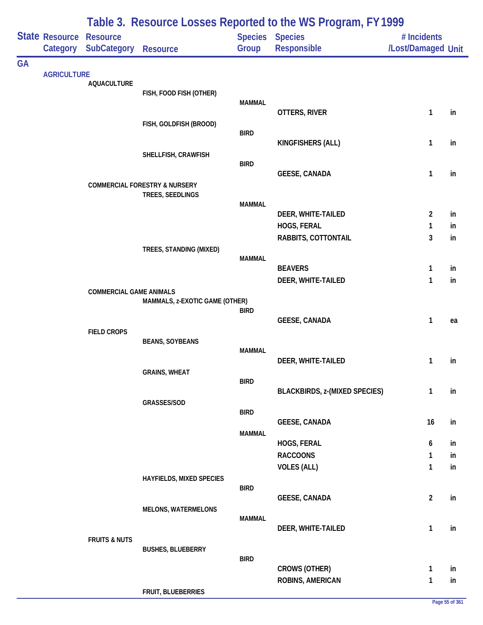|           |                                            | Table 3. Resource Losses Reported to the WS Program, FY 1999 |                                          |               |                                      |                                   |    |  |  |  |
|-----------|--------------------------------------------|--------------------------------------------------------------|------------------------------------------|---------------|--------------------------------------|-----------------------------------|----|--|--|--|
|           | <b>State Resource Resource</b><br>Category | <b>SubCategory</b>                                           | <b>Resource</b>                          | Group         | Species Species<br>Responsible       | # Incidents<br>/Lost/Damaged Unit |    |  |  |  |
| <b>GA</b> |                                            |                                                              |                                          |               |                                      |                                   |    |  |  |  |
|           | <b>AGRICULTURE</b>                         | <b>AQUACULTURE</b>                                           |                                          |               |                                      |                                   |    |  |  |  |
|           |                                            |                                                              | FISH, FOOD FISH (OTHER)                  |               |                                      |                                   |    |  |  |  |
|           |                                            |                                                              |                                          | <b>MAMMAL</b> | OTTERS, RIVER                        | 1                                 | in |  |  |  |
|           |                                            |                                                              | FISH, GOLDFISH (BROOD)                   |               |                                      |                                   |    |  |  |  |
|           |                                            |                                                              |                                          | <b>BIRD</b>   | KINGFISHERS (ALL)                    | 1                                 | in |  |  |  |
|           |                                            |                                                              | SHELLFISH, CRAWFISH                      |               |                                      |                                   |    |  |  |  |
|           |                                            |                                                              |                                          | <b>BIRD</b>   | <b>GEESE, CANADA</b>                 | $\mathbf{1}$                      | in |  |  |  |
|           |                                            |                                                              | <b>COMMERCIAL FORESTRY &amp; NURSERY</b> |               |                                      |                                   |    |  |  |  |
|           |                                            |                                                              | TREES, SEEDLINGS                         | <b>MAMMAL</b> |                                      |                                   |    |  |  |  |
|           |                                            |                                                              |                                          |               | DEER, WHITE-TAILED                   | $\overline{2}$                    | in |  |  |  |
|           |                                            |                                                              |                                          |               | HOGS, FERAL                          | 1                                 | in |  |  |  |
|           |                                            |                                                              |                                          |               | RABBITS, COTTONTAIL                  | 3                                 | in |  |  |  |
|           |                                            |                                                              | TREES, STANDING (MIXED)                  | <b>MAMMAL</b> |                                      |                                   |    |  |  |  |
|           |                                            |                                                              |                                          |               | <b>BEAVERS</b>                       | 1                                 | in |  |  |  |
|           |                                            | <b>COMMERCIAL GAME ANIMALS</b>                               |                                          |               | DEER, WHITE-TAILED                   | $\mathbf{1}$                      | in |  |  |  |
|           |                                            |                                                              | MAMMALS, z-EXOTIC GAME (OTHER)           |               |                                      |                                   |    |  |  |  |
|           |                                            |                                                              |                                          | <b>BIRD</b>   | <b>GEESE, CANADA</b>                 | 1                                 | ea |  |  |  |
|           |                                            | <b>FIELD CROPS</b>                                           |                                          |               |                                      |                                   |    |  |  |  |
|           |                                            |                                                              | <b>BEANS, SOYBEANS</b>                   | <b>MAMMAL</b> |                                      |                                   |    |  |  |  |
|           |                                            |                                                              |                                          |               | DEER, WHITE-TAILED                   | 1                                 | in |  |  |  |
|           |                                            |                                                              | <b>GRAINS, WHEAT</b>                     | <b>BIRD</b>   |                                      |                                   |    |  |  |  |
|           |                                            |                                                              |                                          |               | <b>BLACKBIRDS, z-(MIXED SPECIES)</b> | $\mathbf{1}$                      | in |  |  |  |
|           |                                            |                                                              | GRASSES/SOD                              | <b>BIRD</b>   |                                      |                                   |    |  |  |  |
|           |                                            |                                                              |                                          |               | <b>GEESE, CANADA</b>                 | 16                                | in |  |  |  |
|           |                                            |                                                              |                                          | <b>MAMMAL</b> | HOGS, FERAL                          | 6                                 | in |  |  |  |
|           |                                            |                                                              |                                          |               | <b>RACCOONS</b>                      | $\mathbf{1}$                      | in |  |  |  |
|           |                                            |                                                              |                                          |               | <b>VOLES (ALL)</b>                   | $\mathbf{1}$                      | in |  |  |  |
|           |                                            |                                                              | HAYFIELDS, MIXED SPECIES                 | <b>BIRD</b>   |                                      |                                   |    |  |  |  |
|           |                                            |                                                              |                                          |               | <b>GEESE, CANADA</b>                 | $\overline{2}$                    | in |  |  |  |
|           |                                            |                                                              | <b>MELONS, WATERMELONS</b>               | <b>MAMMAL</b> |                                      |                                   |    |  |  |  |
|           |                                            |                                                              |                                          |               | DEER, WHITE-TAILED                   | $\mathbf{1}$                      | in |  |  |  |
|           |                                            | <b>FRUITS &amp; NUTS</b>                                     |                                          |               |                                      |                                   |    |  |  |  |
|           |                                            |                                                              | <b>BUSHES, BLUEBERRY</b>                 | <b>BIRD</b>   |                                      |                                   |    |  |  |  |
|           |                                            |                                                              |                                          |               | <b>CROWS (OTHER)</b>                 | $\mathbf{1}$                      | in |  |  |  |
|           |                                            |                                                              | FRUIT, BLUEBERRIES                       |               | ROBINS, AMERICAN                     | $\mathbf{1}$                      | in |  |  |  |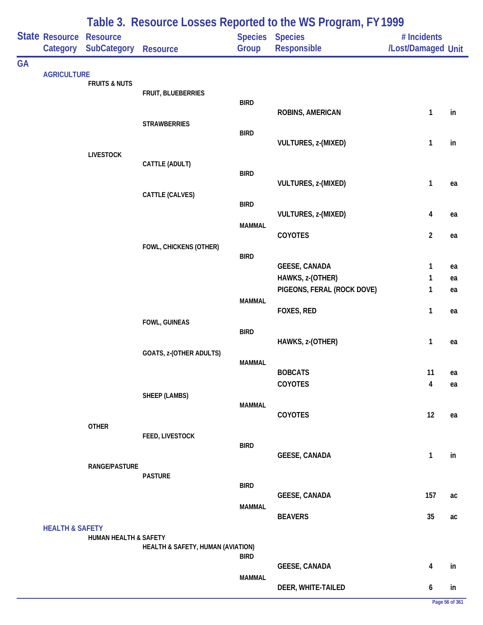|           |                                     |                          |                                   |               | Table 3. Resource Losses Reported to the WS Program, FY 1999 |                                   |    |
|-----------|-------------------------------------|--------------------------|-----------------------------------|---------------|--------------------------------------------------------------|-----------------------------------|----|
|           | State Resource Resource<br>Category | SubCategory              | <b>Resource</b>                   | Group         | Species Species<br><b>Responsible</b>                        | # Incidents<br>/Lost/Damaged Unit |    |
| <b>GA</b> |                                     |                          |                                   |               |                                                              |                                   |    |
|           | <b>AGRICULTURE</b>                  | <b>FRUITS &amp; NUTS</b> |                                   |               |                                                              |                                   |    |
|           |                                     |                          | FRUIT, BLUEBERRIES                | <b>BIRD</b>   |                                                              |                                   |    |
|           |                                     |                          |                                   |               | ROBINS, AMERICAN                                             | 1                                 | in |
|           |                                     |                          | <b>STRAWBERRIES</b>               |               |                                                              |                                   |    |
|           |                                     |                          |                                   | <b>BIRD</b>   | VULTURES, z-(MIXED)                                          | 1                                 | in |
|           |                                     | <b>LIVESTOCK</b>         |                                   |               |                                                              |                                   |    |
|           |                                     |                          | CATTLE (ADULT)                    | <b>BIRD</b>   |                                                              |                                   |    |
|           |                                     |                          |                                   |               | VULTURES, z-(MIXED)                                          | 1                                 | ea |
|           |                                     |                          | CATTLE (CALVES)                   | <b>BIRD</b>   |                                                              |                                   |    |
|           |                                     |                          |                                   |               | VULTURES, z-(MIXED)                                          | 4                                 | ea |
|           |                                     |                          |                                   | <b>MAMMAL</b> | COYOTES                                                      | $\overline{2}$                    | ea |
|           |                                     |                          | FOWL, CHICKENS (OTHER)            |               |                                                              |                                   |    |
|           |                                     |                          |                                   | <b>BIRD</b>   | <b>GEESE, CANADA</b>                                         | 1                                 | ea |
|           |                                     |                          |                                   |               | HAWKS, z-(OTHER)                                             | 1                                 | ea |
|           |                                     |                          |                                   |               | PIGEONS, FERAL (ROCK DOVE)                                   | 1                                 | ea |
|           |                                     |                          |                                   | <b>MAMMAL</b> | FOXES, RED                                                   | 1                                 |    |
|           |                                     |                          | FOWL, GUINEAS                     |               |                                                              |                                   | ea |
|           |                                     |                          |                                   | <b>BIRD</b>   |                                                              |                                   |    |
|           |                                     |                          | GOATS, z-(OTHER ADULTS)           |               | HAWKS, z-(OTHER)                                             | 1                                 | ea |
|           |                                     |                          |                                   | <b>MAMMAL</b> |                                                              |                                   |    |
|           |                                     |                          |                                   |               | <b>BOBCATS</b><br>COYOTES                                    | 11<br>$\pmb{4}$                   | ea |
|           |                                     |                          | SHEEP (LAMBS)                     |               |                                                              |                                   | ea |
|           |                                     |                          |                                   | <b>MAMMAL</b> |                                                              |                                   |    |
|           |                                     | <b>OTHER</b>             |                                   |               | COYOTES                                                      | 12                                | ea |
|           |                                     |                          | FEED, LIVESTOCK                   |               |                                                              |                                   |    |
|           |                                     |                          |                                   | <b>BIRD</b>   | <b>GEESE, CANADA</b>                                         | $\mathbf{1}$                      | in |
|           |                                     | <b>RANGE/PASTURE</b>     |                                   |               |                                                              |                                   |    |
|           |                                     |                          | <b>PASTURE</b>                    | <b>BIRD</b>   |                                                              |                                   |    |
|           |                                     |                          |                                   |               | <b>GEESE, CANADA</b>                                         | 157                               | ac |
|           |                                     |                          |                                   | <b>MAMMAL</b> | <b>BEAVERS</b>                                               | 35                                | ac |
|           | <b>HEALTH &amp; SAFETY</b>          |                          |                                   |               |                                                              |                                   |    |
|           |                                     | HUMAN HEALTH & SAFETY    | HEALTH & SAFETY, HUMAN (AVIATION) |               |                                                              |                                   |    |
|           |                                     |                          |                                   | <b>BIRD</b>   |                                                              |                                   |    |
|           |                                     |                          |                                   | <b>MAMMAL</b> | <b>GEESE, CANADA</b>                                         | 4                                 | in |
|           |                                     |                          |                                   |               | DEER, WHITE-TAILED                                           | 6                                 | in |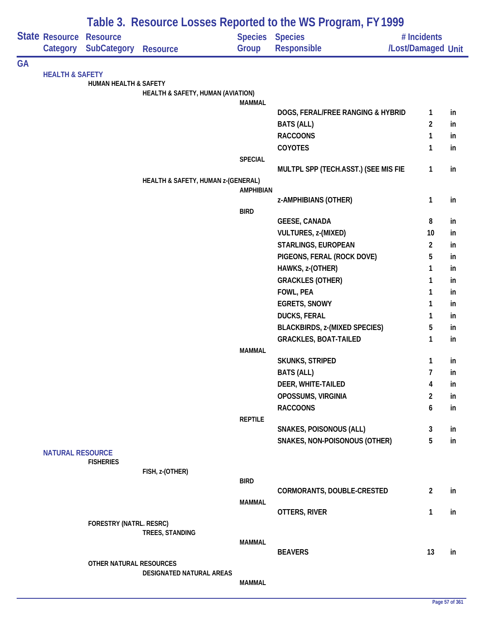|    |                            | Table 3. Resource Losses Reported to the WS Program, FY 1999 |                                    |                        |                                      |                         |    |  |  |  |
|----|----------------------------|--------------------------------------------------------------|------------------------------------|------------------------|--------------------------------------|-------------------------|----|--|--|--|
|    | State Resource             | <b>Resource</b>                                              |                                    | <b>Species Species</b> |                                      | # Incidents             |    |  |  |  |
|    | Category                   | SubCategory                                                  | <b>Resource</b>                    | Group                  | Responsible                          | /Lost/Damaged Unit      |    |  |  |  |
| GA |                            |                                                              |                                    |                        |                                      |                         |    |  |  |  |
|    | <b>HEALTH &amp; SAFETY</b> |                                                              |                                    |                        |                                      |                         |    |  |  |  |
|    |                            | HUMAN HEALTH & SAFETY                                        | HEALTH & SAFETY, HUMAN (AVIATION)  |                        |                                      |                         |    |  |  |  |
|    |                            |                                                              |                                    | <b>MAMMAL</b>          |                                      |                         |    |  |  |  |
|    |                            |                                                              |                                    |                        | DOGS, FERAL/FREE RANGING & HYBRID    | 1                       | in |  |  |  |
|    |                            |                                                              |                                    |                        | <b>BATS (ALL)</b>                    | $\overline{2}$          | in |  |  |  |
|    |                            |                                                              |                                    |                        | <b>RACCOONS</b>                      | 1                       | in |  |  |  |
|    |                            |                                                              |                                    |                        | COYOTES                              | 1                       | in |  |  |  |
|    |                            |                                                              |                                    | <b>SPECIAL</b>         |                                      |                         |    |  |  |  |
|    |                            |                                                              |                                    |                        | MULTPL SPP (TECH.ASST.) (SEE MIS FIE | 1                       | in |  |  |  |
|    |                            |                                                              | HEALTH & SAFETY, HUMAN z-(GENERAL) | <b>AMPHIBIAN</b>       |                                      |                         |    |  |  |  |
|    |                            |                                                              |                                    |                        | z-AMPHIBIANS (OTHER)                 | 1                       | in |  |  |  |
|    |                            |                                                              |                                    | <b>BIRD</b>            |                                      |                         |    |  |  |  |
|    |                            |                                                              |                                    |                        | <b>GEESE, CANADA</b>                 | 8                       | in |  |  |  |
|    |                            |                                                              |                                    |                        | VULTURES, z-(MIXED)                  | 10                      | in |  |  |  |
|    |                            |                                                              |                                    |                        | STARLINGS, EUROPEAN                  | $\overline{\mathbf{c}}$ | in |  |  |  |
|    |                            |                                                              |                                    |                        | PIGEONS, FERAL (ROCK DOVE)           | 5                       | in |  |  |  |
|    |                            |                                                              |                                    |                        | HAWKS, z-(OTHER)                     | 1                       | in |  |  |  |
|    |                            |                                                              |                                    |                        | <b>GRACKLES (OTHER)</b>              | 1                       | in |  |  |  |
|    |                            |                                                              |                                    |                        | FOWL, PEA                            | 1                       | in |  |  |  |
|    |                            |                                                              |                                    |                        | <b>EGRETS, SNOWY</b>                 | 1                       | in |  |  |  |
|    |                            |                                                              |                                    |                        | <b>DUCKS, FERAL</b>                  | 1                       | in |  |  |  |
|    |                            |                                                              |                                    |                        | <b>BLACKBIRDS, z-(MIXED SPECIES)</b> | 5                       | in |  |  |  |
|    |                            |                                                              |                                    |                        | <b>GRACKLES, BOAT-TAILED</b>         | 1                       | in |  |  |  |
|    |                            |                                                              |                                    | <b>MAMMAL</b>          | <b>SKUNKS, STRIPED</b>               | 1                       | in |  |  |  |
|    |                            |                                                              |                                    |                        | <b>BATS (ALL)</b>                    | 7                       | in |  |  |  |
|    |                            |                                                              |                                    |                        | DEER, WHITE-TAILED                   | 4                       | in |  |  |  |
|    |                            |                                                              |                                    |                        | OPOSSUMS, VIRGINIA                   | 2                       | in |  |  |  |
|    |                            |                                                              |                                    |                        | <b>RACCOONS</b>                      | 6                       | in |  |  |  |
|    |                            |                                                              |                                    | <b>REPTILE</b>         |                                      |                         |    |  |  |  |
|    |                            |                                                              |                                    |                        | <b>SNAKES, POISONOUS (ALL)</b>       | 3                       | in |  |  |  |
|    |                            |                                                              |                                    |                        | SNAKES, NON-POISONOUS (OTHER)        | 5                       | in |  |  |  |
|    | <b>NATURAL RESOURCE</b>    |                                                              |                                    |                        |                                      |                         |    |  |  |  |
|    |                            | <b>FISHERIES</b>                                             | FISH, z-(OTHER)                    |                        |                                      |                         |    |  |  |  |
|    |                            |                                                              |                                    | <b>BIRD</b>            |                                      |                         |    |  |  |  |
|    |                            |                                                              |                                    |                        | CORMORANTS, DOUBLE-CRESTED           | $\overline{2}$          | in |  |  |  |
|    |                            |                                                              |                                    | <b>MAMMAL</b>          |                                      |                         |    |  |  |  |
|    |                            |                                                              |                                    |                        | OTTERS, RIVER                        | 1                       | in |  |  |  |
|    |                            | <b>FORESTRY (NATRL. RESRC)</b>                               |                                    |                        |                                      |                         |    |  |  |  |
|    |                            |                                                              | TREES, STANDING                    | <b>MAMMAL</b>          |                                      |                         |    |  |  |  |
|    |                            |                                                              |                                    |                        | <b>BEAVERS</b>                       | 13                      | in |  |  |  |
|    |                            | OTHER NATURAL RESOURCES                                      |                                    |                        |                                      |                         |    |  |  |  |
|    |                            |                                                              | DESIGNATED NATURAL AREAS           |                        |                                      |                         |    |  |  |  |
|    |                            |                                                              |                                    | <b>MAMMAL</b>          |                                      |                         |    |  |  |  |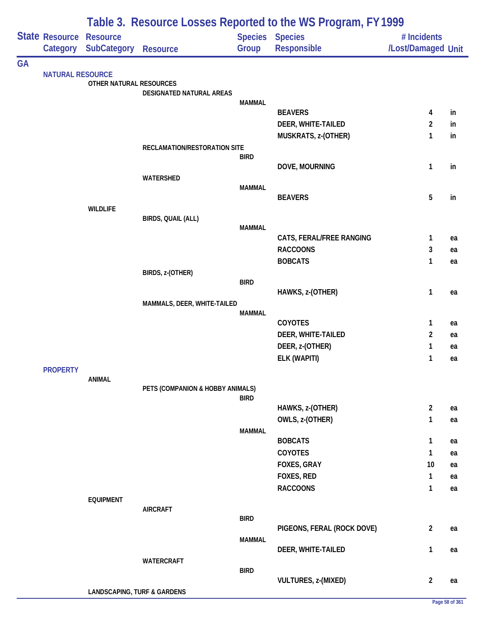| Table 3. Resource Losses Reported to the WS Program, FY 1999 |                         |                                        |                                  |               |                            |                    |          |
|--------------------------------------------------------------|-------------------------|----------------------------------------|----------------------------------|---------------|----------------------------|--------------------|----------|
|                                                              | State Resource Resource |                                        |                                  |               | Species Species            | # Incidents        |          |
|                                                              | Category                | <b>SubCategory</b>                     | <b>Resource</b>                  | Group         | Responsible                | /Lost/Damaged Unit |          |
| <b>GA</b>                                                    | <b>NATURAL RESOURCE</b> |                                        |                                  |               |                            |                    |          |
|                                                              |                         | OTHER NATURAL RESOURCES                |                                  |               |                            |                    |          |
|                                                              |                         |                                        | DESIGNATED NATURAL AREAS         |               |                            |                    |          |
|                                                              |                         |                                        |                                  | <b>MAMMAL</b> | <b>BEAVERS</b>             | 4                  | in       |
|                                                              |                         |                                        |                                  |               | DEER, WHITE-TAILED         | $\overline{2}$     | in       |
|                                                              |                         |                                        |                                  |               | MUSKRATS, z-(OTHER)        | 1                  | in       |
|                                                              |                         |                                        | RECLAMATION/RESTORATION SITE     |               |                            |                    |          |
|                                                              |                         |                                        |                                  | <b>BIRD</b>   |                            |                    |          |
|                                                              |                         |                                        |                                  |               | DOVE, MOURNING             | $\mathbf{1}$       | in       |
|                                                              |                         |                                        | WATERSHED                        | <b>MAMMAL</b> |                            |                    |          |
|                                                              |                         |                                        |                                  |               | <b>BEAVERS</b>             | $\overline{5}$     | in       |
|                                                              |                         | <b>WILDLIFE</b>                        |                                  |               |                            |                    |          |
|                                                              |                         |                                        | BIRDS, QUAIL (ALL)               |               |                            |                    |          |
|                                                              |                         |                                        |                                  | <b>MAMMAL</b> | CATS, FERAL/FREE RANGING   | 1                  | ea       |
|                                                              |                         |                                        |                                  |               | <b>RACCOONS</b>            | 3                  | ea       |
|                                                              |                         |                                        |                                  |               | <b>BOBCATS</b>             | 1                  | ea       |
|                                                              |                         |                                        | BIRDS, z-(OTHER)                 |               |                            |                    |          |
|                                                              |                         |                                        |                                  | <b>BIRD</b>   |                            |                    |          |
|                                                              |                         |                                        |                                  |               | HAWKS, z-(OTHER)           | 1                  | ea       |
|                                                              |                         |                                        | MAMMALS, DEER, WHITE-TAILED      | <b>MAMMAL</b> |                            |                    |          |
|                                                              |                         |                                        |                                  |               | COYOTES                    | $\mathbf{1}$       | ea       |
|                                                              |                         |                                        |                                  |               | DEER, WHITE-TAILED         | $\overline{2}$     | ea       |
|                                                              |                         |                                        |                                  |               | DEER, z-(OTHER)            | 1                  | ea       |
|                                                              |                         |                                        |                                  |               | ELK (WAPITI)               | 1                  | ea       |
|                                                              | <b>PROPERTY</b>         |                                        |                                  |               |                            |                    |          |
|                                                              |                         | <b>ANIMAL</b>                          | PETS (COMPANION & HOBBY ANIMALS) |               |                            |                    |          |
|                                                              |                         |                                        |                                  | <b>BIRD</b>   |                            |                    |          |
|                                                              |                         |                                        |                                  |               | HAWKS, z-(OTHER)           | $\overline{2}$     | ea       |
|                                                              |                         |                                        |                                  |               | OWLS, z-(OTHER)            | $\mathbf{1}$       | ea       |
|                                                              |                         |                                        |                                  | <b>MAMMAL</b> |                            |                    |          |
|                                                              |                         |                                        |                                  |               | <b>BOBCATS</b><br>COYOTES  | 1                  | ea       |
|                                                              |                         |                                        |                                  |               | FOXES, GRAY                | 1<br>10            | ea<br>ea |
|                                                              |                         |                                        |                                  |               | FOXES, RED                 | $\mathbf{1}$       | ea       |
|                                                              |                         |                                        |                                  |               | <b>RACCOONS</b>            | $\mathbf{1}$       | ea       |
|                                                              |                         | <b>EQUIPMENT</b>                       |                                  |               |                            |                    |          |
|                                                              |                         |                                        | <b>AIRCRAFT</b>                  |               |                            |                    |          |
|                                                              |                         |                                        |                                  | <b>BIRD</b>   |                            |                    |          |
|                                                              |                         |                                        |                                  | <b>MAMMAL</b> | PIGEONS, FERAL (ROCK DOVE) | $\overline{2}$     | ea       |
|                                                              |                         |                                        |                                  |               | DEER, WHITE-TAILED         | $\mathbf{1}$       | ea       |
|                                                              |                         |                                        | WATERCRAFT                       |               |                            |                    |          |
|                                                              |                         |                                        |                                  | <b>BIRD</b>   |                            |                    |          |
|                                                              |                         |                                        |                                  |               | VULTURES, z-(MIXED)        | $\overline{2}$     | ea       |
|                                                              |                         | <b>LANDSCAPING, TURF &amp; GARDENS</b> |                                  |               |                            |                    |          |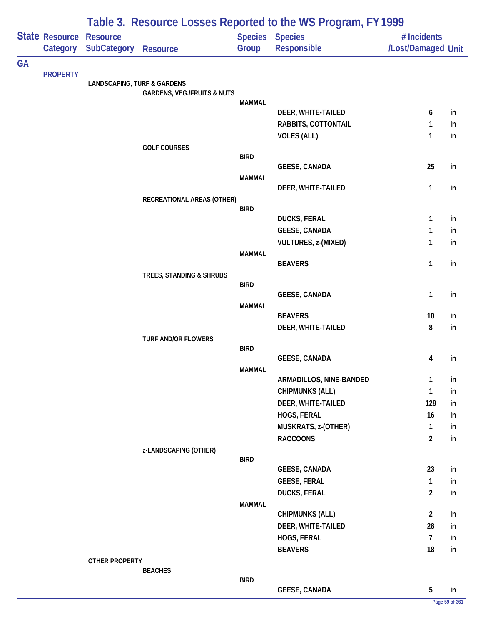| <b>State Resource</b><br><b>Species</b><br><b>Species</b><br><b>Resource</b><br># Incidents<br><b>SubCategory</b><br>/Lost/Damaged Unit<br>Group<br>Responsible<br>Category<br><b>Resource</b><br><b>PROPERTY</b><br><b>LANDSCAPING, TURF &amp; GARDENS</b><br><b>GARDENS, VEG./FRUITS &amp; NUTS</b><br><b>MAMMAL</b><br>DEER, WHITE-TAILED<br>6<br>in<br>RABBITS, COTTONTAIL<br>1<br>in<br><b>VOLES (ALL)</b><br>1<br>in<br><b>GOLF COURSES</b><br><b>BIRD</b><br><b>GEESE, CANADA</b><br>25<br>in<br><b>MAMMAL</b><br>DEER, WHITE-TAILED<br>1<br>in<br>RECREATIONAL AREAS (OTHER)<br><b>BIRD</b><br><b>DUCKS, FERAL</b><br>1<br>in<br><b>GEESE, CANADA</b><br>1<br>in<br><b>VULTURES, z-(MIXED)</b><br>1<br>in<br><b>MAMMAL</b><br><b>BEAVERS</b><br>1<br>in<br>TREES, STANDING & SHRUBS<br><b>BIRD</b><br><b>GEESE, CANADA</b><br>1<br>in<br><b>MAMMAL</b><br><b>BEAVERS</b><br>10<br>in<br>8<br>DEER, WHITE-TAILED<br>in<br>TURF AND/OR FLOWERS<br><b>BIRD</b><br><b>GEESE, CANADA</b><br>4<br>in<br><b>MAMMAL</b><br>ARMADILLOS, NINE-BANDED<br>1<br>in<br><b>CHIPMUNKS (ALL)</b><br>1<br>in<br>DEER, WHITE-TAILED<br>128<br>in<br>HOGS, FERAL<br>16<br>in<br>MUSKRATS, z-(OTHER)<br>$\mathbf{1}$<br>in<br>$\overline{2}$<br><b>RACCOONS</b><br>in<br>z-LANDSCAPING (OTHER)<br><b>BIRD</b><br><b>GEESE, CANADA</b><br>23<br>in<br><b>GEESE, FERAL</b><br>1<br>in<br><b>DUCKS, FERAL</b><br>$\overline{2}$<br>in<br><b>MAMMAL</b><br><b>CHIPMUNKS (ALL)</b><br>$\overline{2}$<br>in<br>DEER, WHITE-TAILED<br>28<br>in<br>HOGS, FERAL<br>$\overline{7}$<br>in<br><b>BEAVERS</b><br>18<br>in<br>OTHER PROPERTY<br><b>BEACHES</b><br><b>BIRD</b><br>5<br><b>GEESE, CANADA</b><br>in |           |  | Table 3. Resource Losses Reported to the WS Program, FY 1999 |  |  |  |  |  |  |  |
|---------------------------------------------------------------------------------------------------------------------------------------------------------------------------------------------------------------------------------------------------------------------------------------------------------------------------------------------------------------------------------------------------------------------------------------------------------------------------------------------------------------------------------------------------------------------------------------------------------------------------------------------------------------------------------------------------------------------------------------------------------------------------------------------------------------------------------------------------------------------------------------------------------------------------------------------------------------------------------------------------------------------------------------------------------------------------------------------------------------------------------------------------------------------------------------------------------------------------------------------------------------------------------------------------------------------------------------------------------------------------------------------------------------------------------------------------------------------------------------------------------------------------------------------------------------------------------------------------------------------------------------------------------------------------------------|-----------|--|--------------------------------------------------------------|--|--|--|--|--|--|--|
|                                                                                                                                                                                                                                                                                                                                                                                                                                                                                                                                                                                                                                                                                                                                                                                                                                                                                                                                                                                                                                                                                                                                                                                                                                                                                                                                                                                                                                                                                                                                                                                                                                                                                       |           |  |                                                              |  |  |  |  |  |  |  |
|                                                                                                                                                                                                                                                                                                                                                                                                                                                                                                                                                                                                                                                                                                                                                                                                                                                                                                                                                                                                                                                                                                                                                                                                                                                                                                                                                                                                                                                                                                                                                                                                                                                                                       | <b>GA</b> |  |                                                              |  |  |  |  |  |  |  |
|                                                                                                                                                                                                                                                                                                                                                                                                                                                                                                                                                                                                                                                                                                                                                                                                                                                                                                                                                                                                                                                                                                                                                                                                                                                                                                                                                                                                                                                                                                                                                                                                                                                                                       |           |  |                                                              |  |  |  |  |  |  |  |
|                                                                                                                                                                                                                                                                                                                                                                                                                                                                                                                                                                                                                                                                                                                                                                                                                                                                                                                                                                                                                                                                                                                                                                                                                                                                                                                                                                                                                                                                                                                                                                                                                                                                                       |           |  |                                                              |  |  |  |  |  |  |  |
|                                                                                                                                                                                                                                                                                                                                                                                                                                                                                                                                                                                                                                                                                                                                                                                                                                                                                                                                                                                                                                                                                                                                                                                                                                                                                                                                                                                                                                                                                                                                                                                                                                                                                       |           |  |                                                              |  |  |  |  |  |  |  |
|                                                                                                                                                                                                                                                                                                                                                                                                                                                                                                                                                                                                                                                                                                                                                                                                                                                                                                                                                                                                                                                                                                                                                                                                                                                                                                                                                                                                                                                                                                                                                                                                                                                                                       |           |  |                                                              |  |  |  |  |  |  |  |
|                                                                                                                                                                                                                                                                                                                                                                                                                                                                                                                                                                                                                                                                                                                                                                                                                                                                                                                                                                                                                                                                                                                                                                                                                                                                                                                                                                                                                                                                                                                                                                                                                                                                                       |           |  |                                                              |  |  |  |  |  |  |  |
|                                                                                                                                                                                                                                                                                                                                                                                                                                                                                                                                                                                                                                                                                                                                                                                                                                                                                                                                                                                                                                                                                                                                                                                                                                                                                                                                                                                                                                                                                                                                                                                                                                                                                       |           |  |                                                              |  |  |  |  |  |  |  |
|                                                                                                                                                                                                                                                                                                                                                                                                                                                                                                                                                                                                                                                                                                                                                                                                                                                                                                                                                                                                                                                                                                                                                                                                                                                                                                                                                                                                                                                                                                                                                                                                                                                                                       |           |  |                                                              |  |  |  |  |  |  |  |
|                                                                                                                                                                                                                                                                                                                                                                                                                                                                                                                                                                                                                                                                                                                                                                                                                                                                                                                                                                                                                                                                                                                                                                                                                                                                                                                                                                                                                                                                                                                                                                                                                                                                                       |           |  |                                                              |  |  |  |  |  |  |  |
|                                                                                                                                                                                                                                                                                                                                                                                                                                                                                                                                                                                                                                                                                                                                                                                                                                                                                                                                                                                                                                                                                                                                                                                                                                                                                                                                                                                                                                                                                                                                                                                                                                                                                       |           |  |                                                              |  |  |  |  |  |  |  |
|                                                                                                                                                                                                                                                                                                                                                                                                                                                                                                                                                                                                                                                                                                                                                                                                                                                                                                                                                                                                                                                                                                                                                                                                                                                                                                                                                                                                                                                                                                                                                                                                                                                                                       |           |  |                                                              |  |  |  |  |  |  |  |
|                                                                                                                                                                                                                                                                                                                                                                                                                                                                                                                                                                                                                                                                                                                                                                                                                                                                                                                                                                                                                                                                                                                                                                                                                                                                                                                                                                                                                                                                                                                                                                                                                                                                                       |           |  |                                                              |  |  |  |  |  |  |  |
|                                                                                                                                                                                                                                                                                                                                                                                                                                                                                                                                                                                                                                                                                                                                                                                                                                                                                                                                                                                                                                                                                                                                                                                                                                                                                                                                                                                                                                                                                                                                                                                                                                                                                       |           |  |                                                              |  |  |  |  |  |  |  |
|                                                                                                                                                                                                                                                                                                                                                                                                                                                                                                                                                                                                                                                                                                                                                                                                                                                                                                                                                                                                                                                                                                                                                                                                                                                                                                                                                                                                                                                                                                                                                                                                                                                                                       |           |  |                                                              |  |  |  |  |  |  |  |
|                                                                                                                                                                                                                                                                                                                                                                                                                                                                                                                                                                                                                                                                                                                                                                                                                                                                                                                                                                                                                                                                                                                                                                                                                                                                                                                                                                                                                                                                                                                                                                                                                                                                                       |           |  |                                                              |  |  |  |  |  |  |  |
|                                                                                                                                                                                                                                                                                                                                                                                                                                                                                                                                                                                                                                                                                                                                                                                                                                                                                                                                                                                                                                                                                                                                                                                                                                                                                                                                                                                                                                                                                                                                                                                                                                                                                       |           |  |                                                              |  |  |  |  |  |  |  |
|                                                                                                                                                                                                                                                                                                                                                                                                                                                                                                                                                                                                                                                                                                                                                                                                                                                                                                                                                                                                                                                                                                                                                                                                                                                                                                                                                                                                                                                                                                                                                                                                                                                                                       |           |  |                                                              |  |  |  |  |  |  |  |
|                                                                                                                                                                                                                                                                                                                                                                                                                                                                                                                                                                                                                                                                                                                                                                                                                                                                                                                                                                                                                                                                                                                                                                                                                                                                                                                                                                                                                                                                                                                                                                                                                                                                                       |           |  |                                                              |  |  |  |  |  |  |  |
|                                                                                                                                                                                                                                                                                                                                                                                                                                                                                                                                                                                                                                                                                                                                                                                                                                                                                                                                                                                                                                                                                                                                                                                                                                                                                                                                                                                                                                                                                                                                                                                                                                                                                       |           |  |                                                              |  |  |  |  |  |  |  |
|                                                                                                                                                                                                                                                                                                                                                                                                                                                                                                                                                                                                                                                                                                                                                                                                                                                                                                                                                                                                                                                                                                                                                                                                                                                                                                                                                                                                                                                                                                                                                                                                                                                                                       |           |  |                                                              |  |  |  |  |  |  |  |
|                                                                                                                                                                                                                                                                                                                                                                                                                                                                                                                                                                                                                                                                                                                                                                                                                                                                                                                                                                                                                                                                                                                                                                                                                                                                                                                                                                                                                                                                                                                                                                                                                                                                                       |           |  |                                                              |  |  |  |  |  |  |  |
|                                                                                                                                                                                                                                                                                                                                                                                                                                                                                                                                                                                                                                                                                                                                                                                                                                                                                                                                                                                                                                                                                                                                                                                                                                                                                                                                                                                                                                                                                                                                                                                                                                                                                       |           |  |                                                              |  |  |  |  |  |  |  |
|                                                                                                                                                                                                                                                                                                                                                                                                                                                                                                                                                                                                                                                                                                                                                                                                                                                                                                                                                                                                                                                                                                                                                                                                                                                                                                                                                                                                                                                                                                                                                                                                                                                                                       |           |  |                                                              |  |  |  |  |  |  |  |
|                                                                                                                                                                                                                                                                                                                                                                                                                                                                                                                                                                                                                                                                                                                                                                                                                                                                                                                                                                                                                                                                                                                                                                                                                                                                                                                                                                                                                                                                                                                                                                                                                                                                                       |           |  |                                                              |  |  |  |  |  |  |  |
|                                                                                                                                                                                                                                                                                                                                                                                                                                                                                                                                                                                                                                                                                                                                                                                                                                                                                                                                                                                                                                                                                                                                                                                                                                                                                                                                                                                                                                                                                                                                                                                                                                                                                       |           |  |                                                              |  |  |  |  |  |  |  |
|                                                                                                                                                                                                                                                                                                                                                                                                                                                                                                                                                                                                                                                                                                                                                                                                                                                                                                                                                                                                                                                                                                                                                                                                                                                                                                                                                                                                                                                                                                                                                                                                                                                                                       |           |  |                                                              |  |  |  |  |  |  |  |
|                                                                                                                                                                                                                                                                                                                                                                                                                                                                                                                                                                                                                                                                                                                                                                                                                                                                                                                                                                                                                                                                                                                                                                                                                                                                                                                                                                                                                                                                                                                                                                                                                                                                                       |           |  |                                                              |  |  |  |  |  |  |  |
|                                                                                                                                                                                                                                                                                                                                                                                                                                                                                                                                                                                                                                                                                                                                                                                                                                                                                                                                                                                                                                                                                                                                                                                                                                                                                                                                                                                                                                                                                                                                                                                                                                                                                       |           |  |                                                              |  |  |  |  |  |  |  |
|                                                                                                                                                                                                                                                                                                                                                                                                                                                                                                                                                                                                                                                                                                                                                                                                                                                                                                                                                                                                                                                                                                                                                                                                                                                                                                                                                                                                                                                                                                                                                                                                                                                                                       |           |  |                                                              |  |  |  |  |  |  |  |
|                                                                                                                                                                                                                                                                                                                                                                                                                                                                                                                                                                                                                                                                                                                                                                                                                                                                                                                                                                                                                                                                                                                                                                                                                                                                                                                                                                                                                                                                                                                                                                                                                                                                                       |           |  |                                                              |  |  |  |  |  |  |  |
|                                                                                                                                                                                                                                                                                                                                                                                                                                                                                                                                                                                                                                                                                                                                                                                                                                                                                                                                                                                                                                                                                                                                                                                                                                                                                                                                                                                                                                                                                                                                                                                                                                                                                       |           |  |                                                              |  |  |  |  |  |  |  |
|                                                                                                                                                                                                                                                                                                                                                                                                                                                                                                                                                                                                                                                                                                                                                                                                                                                                                                                                                                                                                                                                                                                                                                                                                                                                                                                                                                                                                                                                                                                                                                                                                                                                                       |           |  |                                                              |  |  |  |  |  |  |  |
|                                                                                                                                                                                                                                                                                                                                                                                                                                                                                                                                                                                                                                                                                                                                                                                                                                                                                                                                                                                                                                                                                                                                                                                                                                                                                                                                                                                                                                                                                                                                                                                                                                                                                       |           |  |                                                              |  |  |  |  |  |  |  |
|                                                                                                                                                                                                                                                                                                                                                                                                                                                                                                                                                                                                                                                                                                                                                                                                                                                                                                                                                                                                                                                                                                                                                                                                                                                                                                                                                                                                                                                                                                                                                                                                                                                                                       |           |  |                                                              |  |  |  |  |  |  |  |
|                                                                                                                                                                                                                                                                                                                                                                                                                                                                                                                                                                                                                                                                                                                                                                                                                                                                                                                                                                                                                                                                                                                                                                                                                                                                                                                                                                                                                                                                                                                                                                                                                                                                                       |           |  |                                                              |  |  |  |  |  |  |  |
|                                                                                                                                                                                                                                                                                                                                                                                                                                                                                                                                                                                                                                                                                                                                                                                                                                                                                                                                                                                                                                                                                                                                                                                                                                                                                                                                                                                                                                                                                                                                                                                                                                                                                       |           |  |                                                              |  |  |  |  |  |  |  |
|                                                                                                                                                                                                                                                                                                                                                                                                                                                                                                                                                                                                                                                                                                                                                                                                                                                                                                                                                                                                                                                                                                                                                                                                                                                                                                                                                                                                                                                                                                                                                                                                                                                                                       |           |  |                                                              |  |  |  |  |  |  |  |
|                                                                                                                                                                                                                                                                                                                                                                                                                                                                                                                                                                                                                                                                                                                                                                                                                                                                                                                                                                                                                                                                                                                                                                                                                                                                                                                                                                                                                                                                                                                                                                                                                                                                                       |           |  |                                                              |  |  |  |  |  |  |  |
|                                                                                                                                                                                                                                                                                                                                                                                                                                                                                                                                                                                                                                                                                                                                                                                                                                                                                                                                                                                                                                                                                                                                                                                                                                                                                                                                                                                                                                                                                                                                                                                                                                                                                       |           |  |                                                              |  |  |  |  |  |  |  |
|                                                                                                                                                                                                                                                                                                                                                                                                                                                                                                                                                                                                                                                                                                                                                                                                                                                                                                                                                                                                                                                                                                                                                                                                                                                                                                                                                                                                                                                                                                                                                                                                                                                                                       |           |  |                                                              |  |  |  |  |  |  |  |
|                                                                                                                                                                                                                                                                                                                                                                                                                                                                                                                                                                                                                                                                                                                                                                                                                                                                                                                                                                                                                                                                                                                                                                                                                                                                                                                                                                                                                                                                                                                                                                                                                                                                                       |           |  |                                                              |  |  |  |  |  |  |  |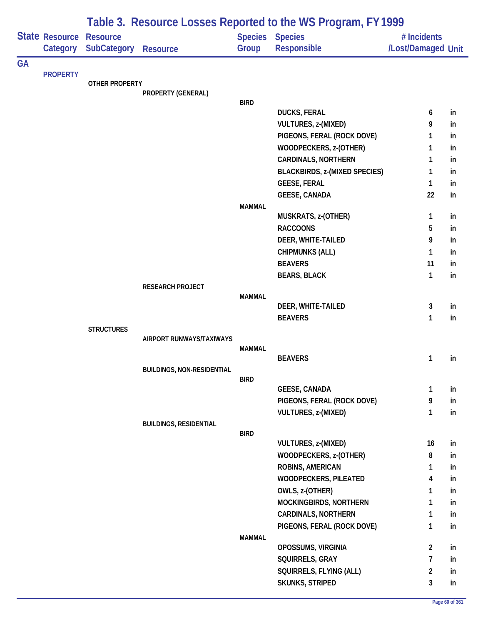|           |                       | Table 3. Resource Losses Reported to the WS Program, FY 1999 |                                   |               |                                      |                    |    |  |  |  |
|-----------|-----------------------|--------------------------------------------------------------|-----------------------------------|---------------|--------------------------------------|--------------------|----|--|--|--|
|           | <b>State Resource</b> | <b>Resource</b>                                              |                                   |               | Species Species                      | # Incidents        |    |  |  |  |
|           | Category              | SubCategory                                                  | <b>Resource</b>                   | Group         | Responsible                          | /Lost/Damaged Unit |    |  |  |  |
| <b>GA</b> |                       |                                                              |                                   |               |                                      |                    |    |  |  |  |
|           | <b>PROPERTY</b>       | OTHER PROPERTY                                               |                                   |               |                                      |                    |    |  |  |  |
|           |                       |                                                              | PROPERTY (GENERAL)                |               |                                      |                    |    |  |  |  |
|           |                       |                                                              |                                   | <b>BIRD</b>   |                                      |                    |    |  |  |  |
|           |                       |                                                              |                                   |               | <b>DUCKS, FERAL</b>                  | 6                  | in |  |  |  |
|           |                       |                                                              |                                   |               | VULTURES, z-(MIXED)                  | 9                  | in |  |  |  |
|           |                       |                                                              |                                   |               | PIGEONS, FERAL (ROCK DOVE)           | 1                  | in |  |  |  |
|           |                       |                                                              |                                   |               | WOODPECKERS, z-(OTHER)               | 1                  | in |  |  |  |
|           |                       |                                                              |                                   |               | <b>CARDINALS, NORTHERN</b>           | 1                  | in |  |  |  |
|           |                       |                                                              |                                   |               | <b>BLACKBIRDS, z-(MIXED SPECIES)</b> | 1                  | in |  |  |  |
|           |                       |                                                              |                                   |               | <b>GEESE, FERAL</b>                  | $\mathbf{1}$       | in |  |  |  |
|           |                       |                                                              |                                   |               | <b>GEESE, CANADA</b>                 | 22                 | in |  |  |  |
|           |                       |                                                              |                                   | <b>MAMMAL</b> | MUSKRATS, z-(OTHER)                  | 1                  | in |  |  |  |
|           |                       |                                                              |                                   |               | <b>RACCOONS</b>                      | 5                  | in |  |  |  |
|           |                       |                                                              |                                   |               | DEER, WHITE-TAILED                   | 9                  | in |  |  |  |
|           |                       |                                                              |                                   |               | <b>CHIPMUNKS (ALL)</b>               | 1                  | in |  |  |  |
|           |                       |                                                              |                                   |               | <b>BEAVERS</b>                       | 11                 | in |  |  |  |
|           |                       |                                                              |                                   |               | <b>BEARS, BLACK</b>                  | $\mathbf{1}$       | in |  |  |  |
|           |                       |                                                              | RESEARCH PROJECT                  |               |                                      |                    |    |  |  |  |
|           |                       |                                                              |                                   | <b>MAMMAL</b> |                                      |                    |    |  |  |  |
|           |                       |                                                              |                                   |               | DEER, WHITE-TAILED                   | 3                  | in |  |  |  |
|           |                       |                                                              |                                   |               | <b>BEAVERS</b>                       | 1                  | in |  |  |  |
|           |                       | <b>STRUCTURES</b>                                            |                                   |               |                                      |                    |    |  |  |  |
|           |                       |                                                              | AIRPORT RUNWAYS/TAXIWAYS          | MAMMAL        |                                      |                    |    |  |  |  |
|           |                       |                                                              |                                   |               | <b>BEAVERS</b>                       | 1                  | in |  |  |  |
|           |                       |                                                              | <b>BUILDINGS, NON-RESIDENTIAL</b> |               |                                      |                    |    |  |  |  |
|           |                       |                                                              |                                   | <b>BIRD</b>   |                                      |                    |    |  |  |  |
|           |                       |                                                              |                                   |               | <b>GEESE, CANADA</b>                 | 1                  | in |  |  |  |
|           |                       |                                                              |                                   |               | PIGEONS, FERAL (ROCK DOVE)           | 9                  | in |  |  |  |
|           |                       |                                                              |                                   |               | VULTURES, z-(MIXED)                  | 1                  | in |  |  |  |
|           |                       |                                                              | <b>BUILDINGS, RESIDENTIAL</b>     | <b>BIRD</b>   |                                      |                    |    |  |  |  |
|           |                       |                                                              |                                   |               | <b>VULTURES, z-(MIXED)</b>           | 16                 | in |  |  |  |
|           |                       |                                                              |                                   |               | WOODPECKERS, z-(OTHER)               | 8                  | in |  |  |  |
|           |                       |                                                              |                                   |               | <b>ROBINS, AMERICAN</b>              | 1                  | in |  |  |  |
|           |                       |                                                              |                                   |               | <b>WOODPECKERS, PILEATED</b>         | 4                  | in |  |  |  |
|           |                       |                                                              |                                   |               | OWLS, z-(OTHER)                      | 1                  | in |  |  |  |
|           |                       |                                                              |                                   |               | MOCKINGBIRDS, NORTHERN               | 1                  | in |  |  |  |
|           |                       |                                                              |                                   |               | <b>CARDINALS, NORTHERN</b>           | 1                  | in |  |  |  |
|           |                       |                                                              |                                   |               | PIGEONS, FERAL (ROCK DOVE)           | 1                  | in |  |  |  |
|           |                       |                                                              |                                   | <b>MAMMAL</b> |                                      |                    |    |  |  |  |
|           |                       |                                                              |                                   |               | OPOSSUMS, VIRGINIA                   | $\overline{2}$     | in |  |  |  |
|           |                       |                                                              |                                   |               | SQUIRRELS, GRAY                      | 7                  | in |  |  |  |
|           |                       |                                                              |                                   |               | SQUIRRELS, FLYING (ALL)              | $\overline{2}$     | in |  |  |  |
|           |                       |                                                              |                                   |               | SKUNKS, STRIPED                      | 3                  | in |  |  |  |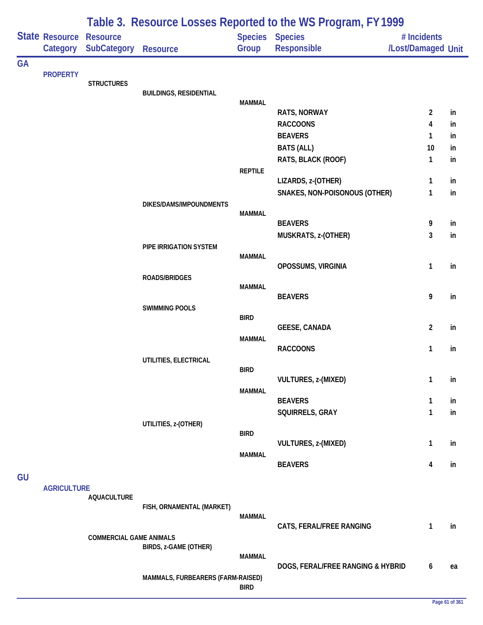|           |                            | Table 3. Resource Losses Reported to the WS Program, FY 1999 |                                   |                |                                       |                                   |    |  |  |  |
|-----------|----------------------------|--------------------------------------------------------------|-----------------------------------|----------------|---------------------------------------|-----------------------------------|----|--|--|--|
|           | State Resource<br>Category | <b>Resource</b><br><b>SubCategory</b>                        | <b>Resource</b>                   | Group          | Species Species<br><b>Responsible</b> | # Incidents<br>/Lost/Damaged Unit |    |  |  |  |
| <b>GA</b> | <b>PROPERTY</b>            | <b>STRUCTURES</b>                                            | <b>BUILDINGS, RESIDENTIAL</b>     |                |                                       |                                   |    |  |  |  |
|           |                            |                                                              |                                   | <b>MAMMAL</b>  | RATS, NORWAY                          | $\overline{2}$                    | in |  |  |  |
|           |                            |                                                              |                                   |                | <b>RACCOONS</b>                       | 4                                 | in |  |  |  |
|           |                            |                                                              |                                   |                | <b>BEAVERS</b>                        | $\mathbf{1}$                      | in |  |  |  |
|           |                            |                                                              |                                   |                | <b>BATS (ALL)</b>                     | 10                                | in |  |  |  |
|           |                            |                                                              |                                   |                | RATS, BLACK (ROOF)                    | $\mathbf{1}$                      | in |  |  |  |
|           |                            |                                                              |                                   | <b>REPTILE</b> |                                       |                                   |    |  |  |  |
|           |                            |                                                              |                                   |                | LIZARDS, z-(OTHER)                    | 1                                 | in |  |  |  |
|           |                            |                                                              | DIKES/DAMS/IMPOUNDMENTS           |                | SNAKES, NON-POISONOUS (OTHER)         | 1                                 | in |  |  |  |
|           |                            |                                                              |                                   | <b>MAMMAL</b>  |                                       |                                   |    |  |  |  |
|           |                            |                                                              |                                   |                | <b>BEAVERS</b>                        | 9                                 | in |  |  |  |
|           |                            |                                                              |                                   |                | MUSKRATS, z-(OTHER)                   | 3                                 | in |  |  |  |
|           |                            |                                                              | PIPE IRRIGATION SYSTEM            | <b>MAMMAL</b>  |                                       |                                   |    |  |  |  |
|           |                            |                                                              |                                   |                | OPOSSUMS, VIRGINIA                    | 1                                 | in |  |  |  |
|           |                            |                                                              | ROADS/BRIDGES                     | <b>MAMMAL</b>  |                                       |                                   |    |  |  |  |
|           |                            |                                                              | <b>SWIMMING POOLS</b>             |                | <b>BEAVERS</b>                        | 9                                 | in |  |  |  |
|           |                            |                                                              |                                   | <b>BIRD</b>    |                                       | $\overline{2}$                    | in |  |  |  |
|           |                            |                                                              |                                   | <b>MAMMAL</b>  | <b>GEESE, CANADA</b>                  |                                   |    |  |  |  |
|           |                            |                                                              | UTILITIES, ELECTRICAL             |                | <b>RACCOONS</b>                       | 1                                 | in |  |  |  |
|           |                            |                                                              |                                   | <b>BIRD</b>    |                                       |                                   |    |  |  |  |
|           |                            |                                                              |                                   |                | VULTURES, z-(MIXED)                   | $\mathbf{1}$                      | in |  |  |  |
|           |                            |                                                              |                                   | <b>MAMMAL</b>  | <b>BEAVERS</b>                        | $\mathbf{1}$                      | in |  |  |  |
|           |                            |                                                              |                                   |                | SQUIRRELS, GRAY                       | $\mathbf{1}$                      | in |  |  |  |
|           |                            |                                                              | UTILITIES, z-(OTHER)              |                |                                       |                                   |    |  |  |  |
|           |                            |                                                              |                                   | <b>BIRD</b>    |                                       |                                   |    |  |  |  |
|           |                            |                                                              |                                   |                | VULTURES, z-(MIXED)                   | 1                                 | in |  |  |  |
|           |                            |                                                              |                                   | <b>MAMMAL</b>  | <b>BEAVERS</b>                        | 4                                 | in |  |  |  |
| GU        |                            |                                                              |                                   |                |                                       |                                   |    |  |  |  |
|           | <b>AGRICULTURE</b>         | <b>AQUACULTURE</b>                                           |                                   |                |                                       |                                   |    |  |  |  |
|           |                            |                                                              | FISH, ORNAMENTAL (MARKET)         |                |                                       |                                   |    |  |  |  |
|           |                            |                                                              |                                   | <b>MAMMAL</b>  |                                       |                                   |    |  |  |  |
|           |                            |                                                              |                                   |                | CATS, FERAL/FREE RANGING              | 1                                 | in |  |  |  |
|           |                            | <b>COMMERCIAL GAME ANIMALS</b>                               | BIRDS, z-GAME (OTHER)             |                |                                       |                                   |    |  |  |  |
|           |                            |                                                              |                                   | <b>MAMMAL</b>  |                                       |                                   |    |  |  |  |
|           |                            |                                                              |                                   |                | DOGS, FERAL/FREE RANGING & HYBRID     | 6                                 | ea |  |  |  |
|           |                            |                                                              | MAMMALS, FURBEARERS (FARM-RAISED) | <b>BIRD</b>    |                                       |                                   |    |  |  |  |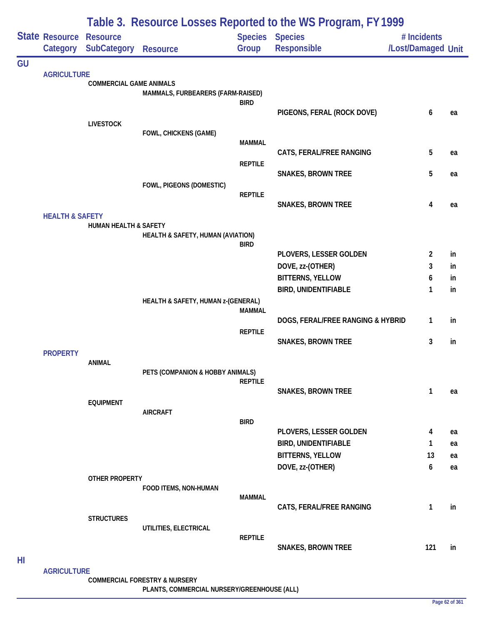|    |                                               |                                       | Table 3. Resource Losses Reported to the WS Program, FY 1999 |                |                                            |                                   |          |
|----|-----------------------------------------------|---------------------------------------|--------------------------------------------------------------|----------------|--------------------------------------------|-----------------------------------|----------|
|    | State Resource<br>Category                    | <b>Resource</b><br><b>SubCategory</b> | <b>Resource</b>                                              | Group          | <b>Species Species</b><br>Responsible      | # Incidents<br>/Lost/Damaged Unit |          |
| GU |                                               |                                       |                                                              |                |                                            |                                   |          |
|    | <b>AGRICULTURE</b>                            | <b>COMMERCIAL GAME ANIMALS</b>        |                                                              |                |                                            |                                   |          |
|    |                                               |                                       | MAMMALS, FURBEARERS (FARM-RAISED)                            |                |                                            |                                   |          |
|    |                                               |                                       |                                                              | <b>BIRD</b>    | PIGEONS, FERAL (ROCK DOVE)                 | 6                                 | ea       |
|    |                                               | <b>LIVESTOCK</b>                      |                                                              |                |                                            |                                   |          |
|    |                                               |                                       | <b>FOWL, CHICKENS (GAME)</b>                                 |                |                                            |                                   |          |
|    |                                               |                                       |                                                              | <b>MAMMAL</b>  | CATS, FERAL/FREE RANGING                   | 5                                 | ea       |
|    |                                               |                                       |                                                              | <b>REPTILE</b> |                                            |                                   |          |
|    |                                               |                                       |                                                              |                | <b>SNAKES, BROWN TREE</b>                  | 5                                 | ea       |
|    |                                               |                                       | FOWL, PIGEONS (DOMESTIC)                                     | <b>REPTILE</b> |                                            |                                   |          |
|    |                                               |                                       |                                                              |                | <b>SNAKES, BROWN TREE</b>                  | 4                                 | ea       |
|    |                                               |                                       |                                                              |                |                                            |                                   |          |
|    |                                               | <b>HUMAN HEALTH &amp; SAFETY</b>      | HEALTH & SAFETY, HUMAN (AVIATION)                            |                |                                            |                                   |          |
|    |                                               |                                       |                                                              | <b>BIRD</b>    |                                            |                                   |          |
|    |                                               |                                       |                                                              |                | PLOVERS, LESSER GOLDEN<br>DOVE, zz-(OTHER) | 2<br>3                            | in<br>in |
|    | <b>HEALTH &amp; SAFETY</b><br><b>PROPERTY</b> |                                       |                                                              |                | <b>BITTERNS, YELLOW</b>                    | 6                                 | in       |
|    |                                               |                                       |                                                              |                | <b>BIRD, UNIDENTIFIABLE</b>                | 1                                 | in       |
|    |                                               |                                       | HEALTH & SAFETY, HUMAN z-(GENERAL)                           |                |                                            |                                   |          |
|    |                                               |                                       |                                                              | <b>MAMMAL</b>  | DOGS, FERAL/FREE RANGING & HYBRID          | 1                                 | in       |
|    |                                               |                                       |                                                              | <b>REPTILE</b> |                                            |                                   |          |
|    |                                               |                                       |                                                              |                | <b>SNAKES, BROWN TREE</b>                  | 3                                 | in       |
|    |                                               | <b>ANIMAL</b>                         |                                                              |                |                                            |                                   |          |
|    |                                               |                                       | PETS (COMPANION & HOBBY ANIMALS)                             |                |                                            |                                   |          |
|    |                                               |                                       |                                                              | <b>REPTILE</b> | <b>SNAKES, BROWN TREE</b>                  | 1                                 | ea       |
|    |                                               | <b>EQUIPMENT</b>                      |                                                              |                |                                            |                                   |          |
|    |                                               |                                       | <b>AIRCRAFT</b>                                              | <b>BIRD</b>    |                                            |                                   |          |
|    |                                               |                                       |                                                              |                | PLOVERS, LESSER GOLDEN                     | 4                                 | ea       |
|    |                                               |                                       |                                                              |                | <b>BIRD, UNIDENTIFIABLE</b>                | 1                                 | ea       |
|    |                                               |                                       |                                                              |                | <b>BITTERNS, YELLOW</b>                    | 13                                | ea       |
|    |                                               |                                       |                                                              |                | DOVE, zz-(OTHER)                           | 6                                 | ea       |
|    |                                               | <b>OTHER PROPERTY</b>                 | FOOD ITEMS, NON-HUMAN                                        |                |                                            |                                   |          |
|    |                                               |                                       |                                                              | MAMMAL         |                                            |                                   |          |
|    |                                               | <b>STRUCTURES</b>                     |                                                              |                | CATS, FERAL/FREE RANGING                   | 1                                 | in       |
|    |                                               |                                       | UTILITIES, ELECTRICAL                                        |                |                                            |                                   |          |
|    |                                               |                                       |                                                              | <b>REPTILE</b> | <b>SNAKES, BROWN TREE</b>                  | 121                               | in       |
| HI |                                               |                                       |                                                              |                |                                            |                                   |          |
|    | <b>AGRICULTURE</b>                            |                                       |                                                              |                |                                            |                                   |          |

**COMMERCIAL FORESTRY & NURSERY**

**PLANTS, COMMERCIAL NURSERY/GREENHOUSE (ALL)**

÷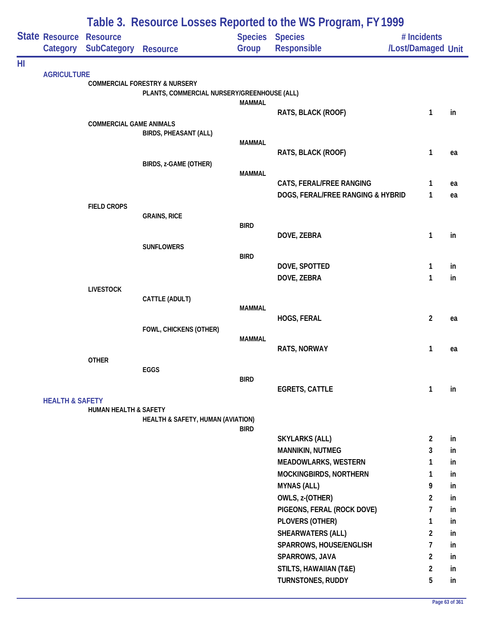|    |                                            | Table 3. Resource Losses Reported to the WS Program, FY 1999 |                                             |               |                                   |                                   |    |  |  |
|----|--------------------------------------------|--------------------------------------------------------------|---------------------------------------------|---------------|-----------------------------------|-----------------------------------|----|--|--|
|    | <b>State Resource Resource</b><br>Category | <b>SubCategory Resource</b>                                  |                                             | Group         | Species Species<br>Responsible    | # Incidents<br>/Lost/Damaged Unit |    |  |  |
| HI |                                            |                                                              |                                             |               |                                   |                                   |    |  |  |
|    | <b>AGRICULTURE</b>                         |                                                              | <b>COMMERCIAL FORESTRY &amp; NURSERY</b>    |               |                                   |                                   |    |  |  |
|    |                                            |                                                              | PLANTS, COMMERCIAL NURSERY/GREENHOUSE (ALL) |               |                                   |                                   |    |  |  |
|    |                                            |                                                              |                                             | <b>MAMMAL</b> |                                   |                                   |    |  |  |
|    |                                            |                                                              |                                             |               | RATS, BLACK (ROOF)                | $\mathbf{1}$                      | in |  |  |
|    |                                            | <b>COMMERCIAL GAME ANIMALS</b>                               | <b>BIRDS, PHEASANT (ALL)</b>                |               |                                   |                                   |    |  |  |
|    |                                            |                                                              |                                             | <b>MAMMAL</b> |                                   |                                   |    |  |  |
|    |                                            |                                                              |                                             |               | RATS, BLACK (ROOF)                | $\mathbf{1}$                      | ea |  |  |
|    |                                            |                                                              | BIRDS, z-GAME (OTHER)                       |               |                                   |                                   |    |  |  |
|    |                                            |                                                              |                                             | <b>MAMMAL</b> |                                   |                                   |    |  |  |
|    |                                            |                                                              |                                             |               | CATS, FERAL/FREE RANGING          | 1                                 | ea |  |  |
|    |                                            |                                                              |                                             |               | DOGS, FERAL/FREE RANGING & HYBRID | $\mathbf{1}$                      | ea |  |  |
|    |                                            | <b>FIELD CROPS</b>                                           | <b>GRAINS, RICE</b>                         |               |                                   |                                   |    |  |  |
|    |                                            |                                                              |                                             | <b>BIRD</b>   |                                   |                                   |    |  |  |
|    |                                            |                                                              |                                             |               | DOVE, ZEBRA                       | $\mathbf{1}$                      | in |  |  |
|    |                                            |                                                              | <b>SUNFLOWERS</b>                           |               |                                   |                                   |    |  |  |
|    |                                            |                                                              |                                             | <b>BIRD</b>   | DOVE, SPOTTED                     | 1                                 | in |  |  |
|    |                                            |                                                              |                                             |               | DOVE, ZEBRA                       | $\mathbf{1}$                      | in |  |  |
|    |                                            | <b>LIVESTOCK</b>                                             |                                             |               |                                   |                                   |    |  |  |
|    |                                            |                                                              | CATTLE (ADULT)                              |               |                                   |                                   |    |  |  |
|    |                                            |                                                              |                                             | <b>MAMMAL</b> |                                   |                                   |    |  |  |
|    |                                            |                                                              |                                             |               | HOGS, FERAL                       | $\overline{2}$                    | ea |  |  |
|    |                                            |                                                              | FOWL, CHICKENS (OTHER)                      |               |                                   |                                   |    |  |  |
|    |                                            |                                                              |                                             | <b>MAMMAL</b> | RATS, NORWAY                      | $\mathbf{1}$                      | ea |  |  |
|    |                                            | <b>OTHER</b>                                                 |                                             |               |                                   |                                   |    |  |  |
|    |                                            |                                                              | EGGS                                        |               |                                   |                                   |    |  |  |
|    |                                            |                                                              |                                             | <b>BIRD</b>   |                                   |                                   |    |  |  |
|    |                                            |                                                              |                                             |               | <b>EGRETS, CATTLE</b>             | $\mathbf{1}$                      | in |  |  |
|    | <b>HEALTH &amp; SAFETY</b>                 | <b>HUMAN HEALTH &amp; SAFETY</b>                             |                                             |               |                                   |                                   |    |  |  |
|    |                                            |                                                              | HEALTH & SAFETY, HUMAN (AVIATION)           |               |                                   |                                   |    |  |  |
|    |                                            |                                                              |                                             | <b>BIRD</b>   |                                   |                                   |    |  |  |
|    |                                            |                                                              |                                             |               | <b>SKYLARKS (ALL)</b>             | $\overline{2}$                    | in |  |  |
|    |                                            |                                                              |                                             |               | <b>MANNIKIN, NUTMEG</b>           | 3                                 | in |  |  |
|    |                                            |                                                              |                                             |               | MEADOWLARKS, WESTERN              | 1                                 | in |  |  |
|    |                                            |                                                              |                                             |               | MOCKINGBIRDS, NORTHERN            | $\mathbf{1}$                      | in |  |  |
|    |                                            |                                                              |                                             |               | <b>MYNAS (ALL)</b>                | 9                                 | in |  |  |
|    |                                            |                                                              |                                             |               | OWLS, z-(OTHER)                   | 2                                 | in |  |  |
|    |                                            |                                                              |                                             |               | PIGEONS, FERAL (ROCK DOVE)        | $\overline{7}$                    | in |  |  |
|    |                                            |                                                              |                                             |               | PLOVERS (OTHER)                   | 1                                 | in |  |  |
|    |                                            |                                                              |                                             |               | SHEARWATERS (ALL)                 | $\overline{2}$                    | in |  |  |
|    |                                            |                                                              |                                             |               | SPARROWS, HOUSE/ENGLISH           | $\overline{7}$                    | in |  |  |
|    |                                            |                                                              |                                             |               | SPARROWS, JAVA                    | $\overline{2}$                    | in |  |  |
|    |                                            |                                                              |                                             |               | <b>STILTS, HAWAIIAN (T&amp;E)</b> | $\overline{2}$                    | in |  |  |
|    |                                            |                                                              |                                             |               | TURNSTONES, RUDDY                 | 5                                 | in |  |  |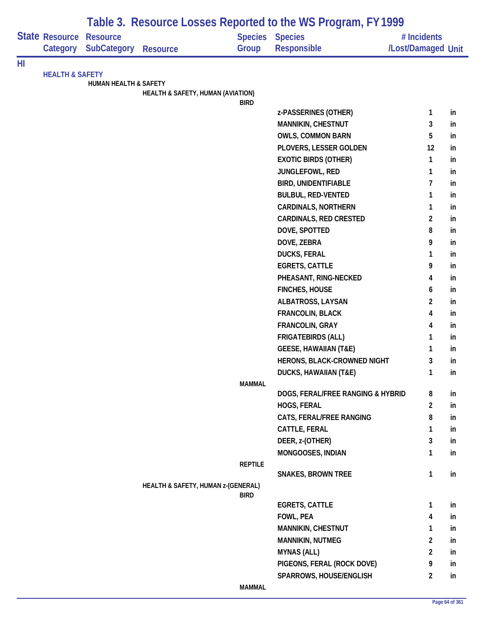|    |                            |                                  |                                    |                | Table 3. Resource Losses Reported to the WS Program, FY 1999 |                    |    |
|----|----------------------------|----------------------------------|------------------------------------|----------------|--------------------------------------------------------------|--------------------|----|
|    | State Resource             | <b>Resource</b>                  |                                    | <b>Species</b> | <b>Species</b>                                               | # Incidents        |    |
|    | Category                   | <b>SubCategory</b>               | <b>Resource</b>                    | Group          | <b>Responsible</b>                                           | /Lost/Damaged Unit |    |
| HI |                            |                                  |                                    |                |                                                              |                    |    |
|    | <b>HEALTH &amp; SAFETY</b> |                                  |                                    |                |                                                              |                    |    |
|    |                            | <b>HUMAN HEALTH &amp; SAFETY</b> | HEALTH & SAFETY, HUMAN (AVIATION)  |                |                                                              |                    |    |
|    |                            |                                  |                                    | <b>BIRD</b>    |                                                              |                    |    |
|    |                            |                                  |                                    |                | z-PASSERINES (OTHER)                                         | 1                  | in |
|    |                            |                                  |                                    |                | MANNIKIN, CHESTNUT                                           | 3                  | in |
|    |                            |                                  |                                    |                | <b>OWLS, COMMON BARN</b>                                     | 5                  | in |
|    |                            |                                  |                                    |                | PLOVERS, LESSER GOLDEN                                       | 12                 | in |
|    |                            |                                  |                                    |                | <b>EXOTIC BIRDS (OTHER)</b>                                  | $\mathbf{1}$       | in |
|    |                            |                                  |                                    |                | JUNGLEFOWL, RED                                              | 1                  | in |
|    |                            |                                  |                                    |                | <b>BIRD, UNIDENTIFIABLE</b>                                  | 7                  | in |
|    |                            |                                  |                                    |                | <b>BULBUL, RED-VENTED</b>                                    | 1                  | in |
|    |                            |                                  |                                    |                | <b>CARDINALS, NORTHERN</b>                                   | 1                  | in |
|    |                            |                                  |                                    |                | <b>CARDINALS, RED CRESTED</b>                                | $\overline{2}$     | in |
|    |                            |                                  |                                    |                | DOVE, SPOTTED                                                | 8                  | in |
|    |                            |                                  |                                    |                | DOVE, ZEBRA                                                  | 9                  | in |
|    |                            |                                  |                                    |                | <b>DUCKS, FERAL</b>                                          | 1                  | in |
|    |                            |                                  |                                    |                | <b>EGRETS, CATTLE</b>                                        | 9                  | in |
|    |                            |                                  |                                    |                | PHEASANT, RING-NECKED                                        | 4                  | in |
|    |                            |                                  |                                    |                | <b>FINCHES, HOUSE</b>                                        | 6                  | in |
|    |                            |                                  |                                    |                | ALBATROSS, LAYSAN                                            | $\overline{2}$     | in |
|    |                            |                                  |                                    |                | FRANCOLIN, BLACK                                             | 4                  | in |
|    |                            |                                  |                                    |                | FRANCOLIN, GRAY                                              | 4                  | in |
|    |                            |                                  |                                    |                | <b>FRIGATEBIRDS (ALL)</b>                                    | 1                  | in |
|    |                            |                                  |                                    |                | <b>GEESE, HAWAIIAN (T&amp;E)</b>                             | 1                  | in |
|    |                            |                                  |                                    |                | HERONS, BLACK-CROWNED NIGHT                                  | 3                  | in |
|    |                            |                                  |                                    |                | <b>DUCKS, HAWAIIAN (T&amp;E)</b>                             | 1                  | ın |
|    |                            |                                  |                                    | <b>MAMMAL</b>  |                                                              |                    |    |
|    |                            |                                  |                                    |                | DOGS, FERAL/FREE RANGING & HYBRID                            | 8                  | in |
|    |                            |                                  |                                    |                | HOGS, FERAL                                                  | $\overline{2}$     | in |
|    |                            |                                  |                                    |                | CATS, FERAL/FREE RANGING                                     | 8                  | in |
|    |                            |                                  |                                    |                | CATTLE, FERAL                                                | 1                  | in |
|    |                            |                                  |                                    |                | DEER, z-(OTHER)                                              | 3                  | in |
|    |                            |                                  |                                    |                | MONGOOSES, INDIAN                                            | 1                  | in |
|    |                            |                                  |                                    | <b>REPTILE</b> | <b>SNAKES, BROWN TREE</b>                                    | $\mathbf{1}$       | in |
|    |                            |                                  | HEALTH & SAFETY, HUMAN z-(GENERAL) |                |                                                              |                    |    |
|    |                            |                                  |                                    | <b>BIRD</b>    |                                                              |                    |    |
|    |                            |                                  |                                    |                | <b>EGRETS, CATTLE</b>                                        | 1                  | in |
|    |                            |                                  |                                    |                | FOWL, PEA                                                    | 4                  | in |
|    |                            |                                  |                                    |                | MANNIKIN, CHESTNUT                                           | 1                  | in |
|    |                            |                                  |                                    |                | <b>MANNIKIN, NUTMEG</b>                                      | $\overline{2}$     | in |
|    |                            |                                  |                                    |                | <b>MYNAS (ALL)</b>                                           | $\overline{2}$     | in |
|    |                            |                                  |                                    |                | PIGEONS, FERAL (ROCK DOVE)                                   | 9                  | in |
|    |                            |                                  |                                    |                | SPARROWS, HOUSE/ENGLISH                                      | $\overline{2}$     | in |
|    |                            |                                  |                                    | <b>MAMMAL</b>  |                                                              |                    |    |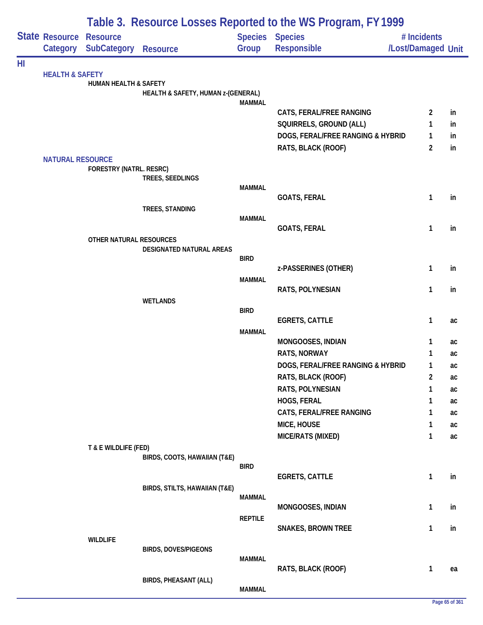|    |                            |                                       | Table 3. Resource Losses Reported to the WS Program, FY 1999 |                |                                              |                                   |          |  |  |  |
|----|----------------------------|---------------------------------------|--------------------------------------------------------------|----------------|----------------------------------------------|-----------------------------------|----------|--|--|--|
|    | State Resource<br>Category | <b>Resource</b><br><b>SubCategory</b> | <b>Resource</b>                                              | Group          | <b>Species Species</b><br><b>Responsible</b> | # Incidents<br>/Lost/Damaged Unit |          |  |  |  |
| HI |                            |                                       |                                                              |                |                                              |                                   |          |  |  |  |
|    | <b>HEALTH &amp; SAFETY</b> | HUMAN HEALTH & SAFETY                 |                                                              |                |                                              |                                   |          |  |  |  |
|    | <b>NATURAL RESOURCE</b>    |                                       | HEALTH & SAFETY, HUMAN z-(GENERAL)                           |                |                                              |                                   |          |  |  |  |
|    |                            |                                       |                                                              | <b>MAMMAL</b>  | CATS, FERAL/FREE RANGING                     | $\overline{2}$                    | in       |  |  |  |
|    |                            |                                       |                                                              |                | SQUIRRELS, GROUND (ALL)                      | 1                                 | in       |  |  |  |
|    |                            |                                       |                                                              |                | DOGS, FERAL/FREE RANGING & HYBRID            | 1                                 | in.      |  |  |  |
|    |                            |                                       |                                                              |                | RATS, BLACK (ROOF)                           | 2                                 | in       |  |  |  |
|    |                            |                                       |                                                              |                |                                              |                                   |          |  |  |  |
|    |                            | <b>FORESTRY (NATRL. RESRC)</b>        | TREES, SEEDLINGS                                             |                |                                              |                                   |          |  |  |  |
|    |                            |                                       |                                                              | <b>MAMMAL</b>  |                                              |                                   |          |  |  |  |
|    |                            |                                       |                                                              |                | <b>GOATS, FERAL</b>                          | 1                                 | in       |  |  |  |
|    |                            |                                       | TREES, STANDING                                              | <b>MAMMAL</b>  |                                              |                                   |          |  |  |  |
|    |                            |                                       |                                                              |                | <b>GOATS, FERAL</b>                          | 1                                 | in       |  |  |  |
|    |                            | OTHER NATURAL RESOURCES               |                                                              |                |                                              |                                   |          |  |  |  |
|    |                            |                                       | DESIGNATED NATURAL AREAS                                     |                |                                              |                                   |          |  |  |  |
|    |                            |                                       |                                                              | <b>BIRD</b>    | z-PASSERINES (OTHER)                         | 1                                 | in       |  |  |  |
|    |                            |                                       |                                                              | <b>MAMMAL</b>  |                                              |                                   |          |  |  |  |
|    |                            |                                       |                                                              |                | RATS, POLYNESIAN                             | 1                                 | in       |  |  |  |
|    |                            |                                       | <b>WETLANDS</b>                                              | <b>BIRD</b>    |                                              |                                   |          |  |  |  |
|    |                            |                                       |                                                              |                | <b>EGRETS, CATTLE</b>                        | 1                                 | ac       |  |  |  |
|    |                            |                                       |                                                              | <b>MAMMAL</b>  |                                              |                                   |          |  |  |  |
|    |                            |                                       |                                                              |                | MONGOOSES, INDIAN                            | 1                                 | ac       |  |  |  |
|    |                            |                                       |                                                              |                | <b>RATS, NORWAY</b>                          | 1                                 | ac       |  |  |  |
|    |                            |                                       |                                                              |                | DOGS, FERAL/FREE RANGING & HYBRID            | 1                                 | ac       |  |  |  |
|    |                            |                                       |                                                              |                | RATS, BLACK (ROOF)<br>RATS, POLYNESIAN       | $\overline{\mathbf{c}}$<br>1      | ac       |  |  |  |
|    |                            |                                       |                                                              |                | HOGS, FERAL                                  | 1                                 | ac<br>ac |  |  |  |
|    |                            |                                       |                                                              |                | CATS, FERAL/FREE RANGING                     | 1                                 | ac       |  |  |  |
|    |                            |                                       |                                                              |                | MICE, HOUSE                                  | 1                                 | ac       |  |  |  |
|    |                            |                                       |                                                              |                | MICE/RATS (MIXED)                            | 1                                 | ac       |  |  |  |
|    |                            | T & E WILDLIFE (FED)                  |                                                              |                |                                              |                                   |          |  |  |  |
|    |                            |                                       | BIRDS, COOTS, HAWAIIAN (T&E)                                 | <b>BIRD</b>    |                                              |                                   |          |  |  |  |
|    |                            |                                       |                                                              |                | <b>EGRETS, CATTLE</b>                        | 1                                 | in       |  |  |  |
|    |                            |                                       | BIRDS, STILTS, HAWAIIAN (T&E)                                |                |                                              |                                   |          |  |  |  |
|    |                            |                                       |                                                              | MAMMAL         |                                              |                                   |          |  |  |  |
|    |                            |                                       |                                                              | <b>REPTILE</b> | MONGOOSES, INDIAN                            | 1                                 | in       |  |  |  |
|    |                            |                                       |                                                              |                | <b>SNAKES, BROWN TREE</b>                    | 1                                 | in       |  |  |  |
|    |                            | <b>WILDLIFE</b>                       |                                                              |                |                                              |                                   |          |  |  |  |
|    |                            |                                       | <b>BIRDS, DOVES/PIGEONS</b>                                  |                |                                              |                                   |          |  |  |  |
|    |                            |                                       |                                                              | <b>MAMMAL</b>  | RATS, BLACK (ROOF)                           | 1                                 | ea       |  |  |  |
|    |                            |                                       | BIRDS, PHEASANT (ALL)                                        |                |                                              |                                   |          |  |  |  |
|    |                            |                                       |                                                              | <b>MAMMAL</b>  |                                              |                                   |          |  |  |  |

÷,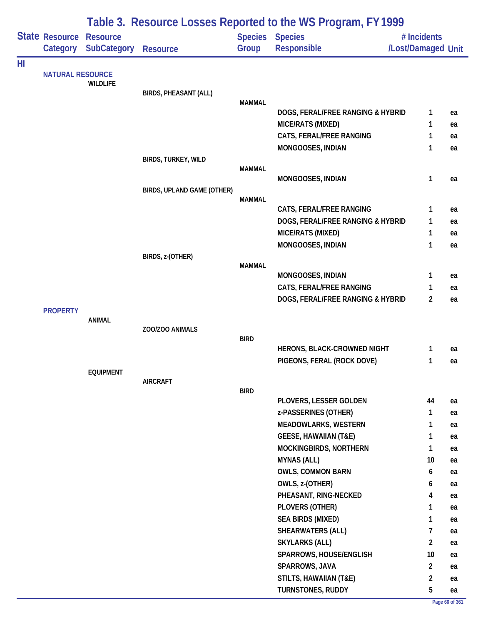|    |                            | Table 3. Resource Losses Reported to the WS Program, FY 1999 |                              |               |                                              |                                   |    |  |  |
|----|----------------------------|--------------------------------------------------------------|------------------------------|---------------|----------------------------------------------|-----------------------------------|----|--|--|
|    | State Resource<br>Category | <b>Resource</b><br><b>SubCategory</b>                        | <b>Resource</b>              | Group         | <b>Species Species</b><br><b>Responsible</b> | # Incidents<br>/Lost/Damaged Unit |    |  |  |
| HI | <b>NATURAL RESOURCE</b>    | <b>WILDLIFE</b>                                              | <b>BIRDS, PHEASANT (ALL)</b> | <b>MAMMAL</b> |                                              |                                   |    |  |  |
|    |                            |                                                              |                              |               | DOGS, FERAL/FREE RANGING & HYBRID            | 1                                 | ea |  |  |
|    |                            |                                                              |                              |               | MICE/RATS (MIXED)                            | 1                                 | ea |  |  |
|    |                            |                                                              |                              |               | CATS, FERAL/FREE RANGING                     | 1                                 | ea |  |  |
|    |                            |                                                              |                              |               | MONGOOSES, INDIAN                            | 1                                 | ea |  |  |
|    |                            |                                                              | BIRDS, TURKEY, WILD          |               |                                              |                                   |    |  |  |
|    |                            |                                                              |                              | <b>MAMMAL</b> |                                              |                                   |    |  |  |
|    |                            |                                                              |                              |               | MONGOOSES, INDIAN                            | $\mathbf{1}$                      | ea |  |  |
|    |                            |                                                              | BIRDS, UPLAND GAME (OTHER)   | <b>MAMMAL</b> |                                              |                                   |    |  |  |
|    |                            |                                                              |                              |               | CATS, FERAL/FREE RANGING                     | 1                                 | ea |  |  |
|    |                            |                                                              |                              |               | DOGS, FERAL/FREE RANGING & HYBRID            | 1                                 | ea |  |  |
|    |                            |                                                              |                              |               | MICE/RATS (MIXED)                            | $\mathbf{1}$                      | ea |  |  |
|    |                            |                                                              |                              |               | MONGOOSES, INDIAN                            | 1                                 | ea |  |  |
|    |                            |                                                              | BIRDS, z-(OTHER)             |               |                                              |                                   |    |  |  |
|    |                            |                                                              |                              | <b>MAMMAL</b> |                                              |                                   |    |  |  |
|    |                            |                                                              |                              |               | MONGOOSES, INDIAN                            | 1                                 | ea |  |  |
|    |                            |                                                              |                              |               | CATS, FERAL/FREE RANGING                     | 1                                 | ea |  |  |
|    |                            |                                                              |                              |               | DOGS, FERAL/FREE RANGING & HYBRID            | $\overline{2}$                    | ea |  |  |
|    | <b>PROPERTY</b>            |                                                              |                              |               |                                              |                                   |    |  |  |
|    |                            | <b>ANIMAL</b>                                                | ZOO/ZOO ANIMALS              |               |                                              |                                   |    |  |  |
|    |                            |                                                              |                              | <b>BIRD</b>   |                                              |                                   |    |  |  |
|    |                            |                                                              |                              |               | HERONS, BLACK-CROWNED NIGHT                  | 1                                 | ea |  |  |
|    |                            |                                                              |                              |               | PIGEONS, FERAL (ROCK DOVE)                   | 1                                 | ea |  |  |
|    |                            | <b>EQUIPMENT</b>                                             |                              |               |                                              |                                   |    |  |  |
|    |                            |                                                              | <b>AIRCRAFT</b>              | <b>BIRD</b>   |                                              |                                   |    |  |  |
|    |                            |                                                              |                              |               | PLOVERS, LESSER GOLDEN                       | 44                                | ea |  |  |
|    |                            |                                                              |                              |               | z-PASSERINES (OTHER)                         | $\mathbf{1}$                      | ea |  |  |
|    |                            |                                                              |                              |               | <b>MEADOWLARKS, WESTERN</b>                  | $\mathbf{1}$                      | ea |  |  |
|    |                            |                                                              |                              |               | <b>GEESE, HAWAIIAN (T&amp;E)</b>             | 1                                 | ea |  |  |
|    |                            |                                                              |                              |               | MOCKINGBIRDS, NORTHERN                       | $\mathbf{1}$                      | ea |  |  |
|    |                            |                                                              |                              |               | <b>MYNAS (ALL)</b>                           | 10                                | ea |  |  |
|    |                            |                                                              |                              |               | <b>OWLS, COMMON BARN</b>                     | 6                                 | ea |  |  |
|    |                            |                                                              |                              |               | OWLS, z-(OTHER)                              | 6                                 | ea |  |  |
|    |                            |                                                              |                              |               | PHEASANT, RING-NECKED                        | 4                                 | ea |  |  |
|    |                            |                                                              |                              |               | PLOVERS (OTHER)                              | 1                                 | ea |  |  |
|    |                            |                                                              |                              |               | <b>SEA BIRDS (MIXED)</b>                     | $\mathbf{1}$                      | ea |  |  |
|    |                            |                                                              |                              |               | <b>SHEARWATERS (ALL)</b>                     | 7                                 | ea |  |  |
|    |                            |                                                              |                              |               | <b>SKYLARKS (ALL)</b>                        | $\overline{2}$                    | ea |  |  |
|    |                            |                                                              |                              |               | SPARROWS, HOUSE/ENGLISH                      | 10                                | ea |  |  |
|    |                            |                                                              |                              |               | SPARROWS, JAVA                               | $\overline{2}$                    | ea |  |  |
|    |                            |                                                              |                              |               | <b>STILTS, HAWAIIAN (T&amp;E)</b>            | $\overline{2}$                    | ea |  |  |
|    |                            |                                                              |                              |               | <b>TURNSTONES, RUDDY</b>                     | 5                                 | ea |  |  |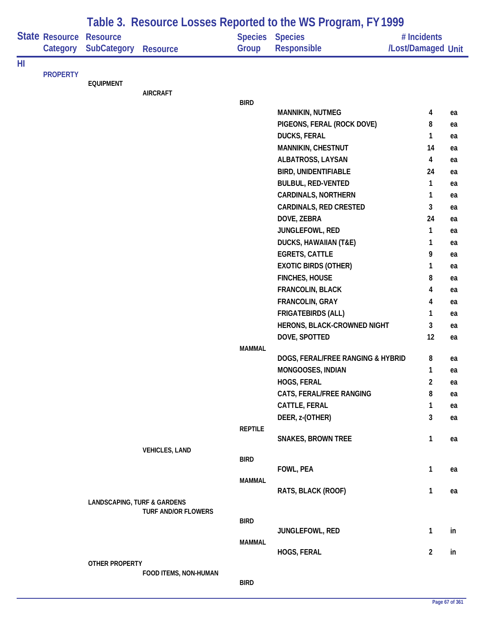|    |                                   |                                        |                            |                | Table 3. Resource Losses Reported to the WS Program, FY 1999 |                                   |          |
|----|-----------------------------------|----------------------------------------|----------------------------|----------------|--------------------------------------------------------------|-----------------------------------|----------|
|    | <b>State Resource</b><br>Category | <b>Resource</b><br>SubCategory         | <b>Resource</b>            | Group          | <b>Species Species</b><br>Responsible                        | # Incidents<br>/Lost/Damaged Unit |          |
| HI |                                   |                                        |                            |                |                                                              |                                   |          |
|    | <b>PROPERTY</b>                   |                                        |                            |                |                                                              |                                   |          |
|    |                                   | <b>EQUIPMENT</b>                       | <b>AIRCRAFT</b>            |                |                                                              |                                   |          |
|    |                                   |                                        |                            | <b>BIRD</b>    |                                                              |                                   |          |
|    |                                   |                                        |                            |                | <b>MANNIKIN, NUTMEG</b>                                      | 4                                 | ea       |
|    |                                   |                                        |                            |                | PIGEONS, FERAL (ROCK DOVE)                                   | 8                                 | ea       |
|    |                                   |                                        |                            |                | <b>DUCKS, FERAL</b>                                          | $\mathbf{1}$                      | ea       |
|    |                                   |                                        |                            |                | MANNIKIN, CHESTNUT                                           | 14                                | ea       |
|    |                                   |                                        |                            |                | ALBATROSS, LAYSAN                                            | 4                                 | ea       |
|    |                                   |                                        |                            |                | <b>BIRD, UNIDENTIFIABLE</b>                                  | 24                                | ea       |
|    |                                   |                                        |                            |                | <b>BULBUL, RED-VENTED</b>                                    | 1                                 | ea       |
|    |                                   |                                        |                            |                | <b>CARDINALS, NORTHERN</b>                                   | 1                                 | ea       |
|    |                                   |                                        |                            |                | <b>CARDINALS, RED CRESTED</b>                                | 3                                 | ea       |
|    |                                   |                                        |                            |                | DOVE, ZEBRA                                                  | 24                                | ea       |
|    |                                   |                                        |                            |                | JUNGLEFOWL, RED                                              | 1                                 | ea       |
|    |                                   |                                        |                            |                | <b>DUCKS, HAWAIIAN (T&amp;E)</b>                             | 1                                 | ea       |
|    |                                   |                                        |                            |                | <b>EGRETS, CATTLE</b>                                        | 9                                 | ea       |
|    |                                   |                                        |                            |                | <b>EXOTIC BIRDS (OTHER)</b>                                  | 1                                 | ea       |
|    |                                   |                                        |                            |                | <b>FINCHES, HOUSE</b>                                        | 8                                 | ea       |
|    |                                   |                                        |                            |                | FRANCOLIN, BLACK                                             | 4                                 | ea       |
|    |                                   |                                        |                            |                | FRANCOLIN, GRAY                                              | 4                                 | ea       |
|    |                                   |                                        |                            |                | <b>FRIGATEBIRDS (ALL)</b>                                    | 1                                 | ea       |
|    |                                   |                                        |                            |                | HERONS, BLACK-CROWNED NIGHT                                  | 3                                 | ea       |
|    |                                   |                                        |                            |                | DOVE, SPOTTED                                                | 12                                | ea       |
|    |                                   |                                        |                            | <b>MAMMAL</b>  | DOGS, FERAL/FREE RANGING & HYBRID                            | 8                                 |          |
|    |                                   |                                        |                            |                | MONGOOSES, INDIAN                                            | $\mathbf{1}$                      | ea       |
|    |                                   |                                        |                            |                | <b>HOGS, FERAL</b>                                           | $\overline{c}$                    | ea<br>ea |
|    |                                   |                                        |                            |                | CATS, FERAL/FREE RANGING                                     | 8                                 | ea       |
|    |                                   |                                        |                            |                | CATTLE, FERAL                                                | 1                                 | ea       |
|    |                                   |                                        |                            |                | DEER, z-(OTHER)                                              | 3                                 | ea       |
|    |                                   |                                        |                            | <b>REPTILE</b> |                                                              |                                   |          |
|    |                                   |                                        |                            |                | <b>SNAKES, BROWN TREE</b>                                    | $\mathbf{1}$                      | ea       |
|    |                                   |                                        | <b>VEHICLES, LAND</b>      |                |                                                              |                                   |          |
|    |                                   |                                        |                            | <b>BIRD</b>    |                                                              |                                   |          |
|    |                                   |                                        |                            |                | FOWL, PEA                                                    | $\mathbf{1}$                      | ea       |
|    |                                   |                                        |                            | <b>MAMMAL</b>  | RATS, BLACK (ROOF)                                           | $\mathbf{1}$                      | ea       |
|    |                                   | <b>LANDSCAPING, TURF &amp; GARDENS</b> |                            |                |                                                              |                                   |          |
|    |                                   |                                        | <b>TURF AND/OR FLOWERS</b> |                |                                                              |                                   |          |
|    |                                   |                                        |                            | <b>BIRD</b>    |                                                              |                                   |          |
|    |                                   |                                        |                            |                | JUNGLEFOWL, RED                                              | $\mathbf{1}$                      | in       |
|    |                                   |                                        |                            | <b>MAMMAL</b>  |                                                              |                                   |          |
|    |                                   | OTHER PROPERTY                         |                            |                | HOGS, FERAL                                                  | $\overline{2}$                    | in       |
|    |                                   |                                        | FOOD ITEMS, NON-HUMAN      |                |                                                              |                                   |          |
|    |                                   |                                        |                            | <b>BIRD</b>    |                                                              |                                   |          |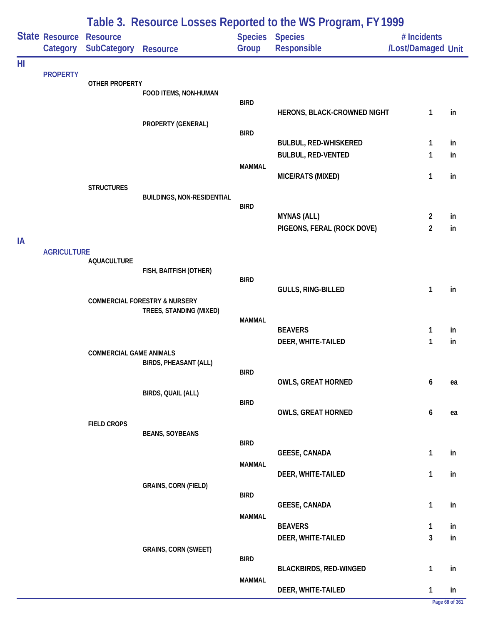|    |                                            | Table 3. Resource Losses Reported to the WS Program, FY1999 |                                          |                         |                               |                                   |    |  |  |
|----|--------------------------------------------|-------------------------------------------------------------|------------------------------------------|-------------------------|-------------------------------|-----------------------------------|----|--|--|
|    | <b>State Resource Resource</b><br>Category | <b>SubCategory</b>                                          | <b>Resource</b>                          | <b>Species</b><br>Group | <b>Species</b><br>Responsible | # Incidents<br>/Lost/Damaged Unit |    |  |  |
| HI | <b>PROPERTY</b>                            | <b>OTHER PROPERTY</b>                                       |                                          |                         |                               |                                   |    |  |  |
|    |                                            |                                                             | FOOD ITEMS, NON-HUMAN                    | <b>BIRD</b>             | HERONS, BLACK-CROWNED NIGHT   | 1                                 | in |  |  |
|    |                                            |                                                             | PROPERTY (GENERAL)                       | <b>BIRD</b>             |                               |                                   |    |  |  |
|    |                                            |                                                             |                                          |                         | <b>BULBUL, RED-WHISKERED</b>  | 1                                 | in |  |  |
|    |                                            |                                                             |                                          | <b>MAMMAL</b>           | <b>BULBUL, RED-VENTED</b>     | 1                                 | in |  |  |
|    |                                            |                                                             |                                          |                         | MICE/RATS (MIXED)             | 1                                 | in |  |  |
|    |                                            | <b>STRUCTURES</b>                                           | <b>BUILDINGS, NON-RESIDENTIAL</b>        |                         |                               |                                   |    |  |  |
|    |                                            |                                                             |                                          | <b>BIRD</b>             | <b>MYNAS (ALL)</b>            | $\overline{2}$                    | in |  |  |
|    |                                            |                                                             |                                          |                         | PIGEONS, FERAL (ROCK DOVE)    | $\overline{2}$                    | in |  |  |
| IA | <b>AGRICULTURE</b>                         |                                                             |                                          |                         |                               |                                   |    |  |  |
|    |                                            | <b>AQUACULTURE</b>                                          | FISH, BAITFISH (OTHER)                   |                         |                               |                                   |    |  |  |
|    |                                            |                                                             |                                          | <b>BIRD</b>             |                               |                                   |    |  |  |
|    |                                            |                                                             | <b>COMMERCIAL FORESTRY &amp; NURSERY</b> |                         | GULLS, RING-BILLED            | 1                                 | in |  |  |
|    |                                            |                                                             | TREES, STANDING (MIXED)                  | <b>MAMMAL</b>           |                               |                                   |    |  |  |
|    |                                            |                                                             |                                          |                         | <b>BEAVERS</b>                | 1                                 | in |  |  |
|    |                                            |                                                             |                                          |                         | DEER, WHITE-TAILED            | 1                                 | in |  |  |
|    |                                            | <b>COMMERCIAL GAME ANIMALS</b>                              | <b>BIRDS, PHEASANT (ALL)</b>             |                         |                               |                                   |    |  |  |
|    |                                            |                                                             |                                          | <b>BIRD</b>             | <b>OWLS, GREAT HORNED</b>     | 6                                 | ea |  |  |
|    |                                            |                                                             | BIRDS, QUAIL (ALL)                       |                         |                               |                                   |    |  |  |
|    |                                            |                                                             |                                          | <b>BIRD</b>             | <b>OWLS, GREAT HORNED</b>     | 6                                 | ea |  |  |
|    |                                            | <b>FIELD CROPS</b>                                          |                                          |                         |                               |                                   |    |  |  |
|    |                                            |                                                             | <b>BEANS, SOYBEANS</b>                   | <b>BIRD</b>             |                               |                                   |    |  |  |
|    |                                            |                                                             |                                          | <b>MAMMAL</b>           | <b>GEESE, CANADA</b>          | 1                                 | in |  |  |
|    |                                            |                                                             |                                          |                         | DEER, WHITE-TAILED            | $\mathbf{1}$                      | in |  |  |
|    |                                            |                                                             | <b>GRAINS, CORN (FIELD)</b>              | <b>BIRD</b>             |                               |                                   |    |  |  |
|    |                                            |                                                             |                                          |                         | <b>GEESE, CANADA</b>          | $\mathbf{1}$                      | in |  |  |
|    |                                            |                                                             |                                          | <b>MAMMAL</b>           | <b>BEAVERS</b>                | 1                                 | in |  |  |
|    |                                            |                                                             |                                          |                         | DEER, WHITE-TAILED            | 3                                 | in |  |  |
|    |                                            |                                                             | <b>GRAINS, CORN (SWEET)</b>              | <b>BIRD</b>             |                               |                                   |    |  |  |
|    |                                            |                                                             |                                          |                         | <b>BLACKBIRDS, RED-WINGED</b> | $\mathbf{1}$                      | in |  |  |
|    |                                            |                                                             |                                          | <b>MAMMAL</b>           | DEER, WHITE-TAILED            | $\mathbf{1}$                      | in |  |  |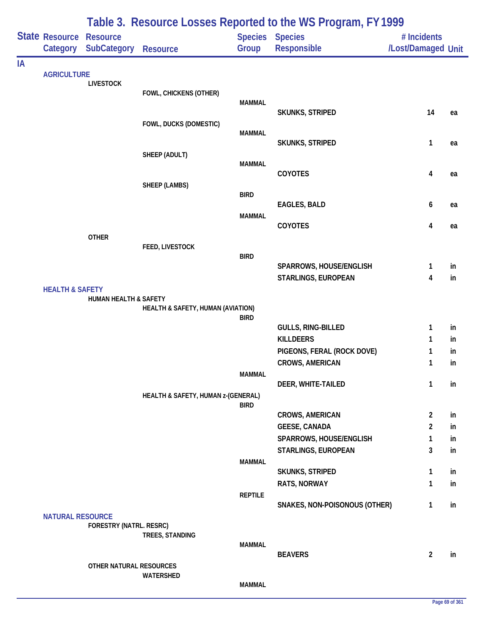|    | State Resource<br>Category | <b>Resource</b><br>SubCategory | <b>Resource</b>                    | Group          | <b>Species Species</b><br>Responsible          | # Incidents<br>/Lost/Damaged Unit |          |
|----|----------------------------|--------------------------------|------------------------------------|----------------|------------------------------------------------|-----------------------------------|----------|
| IA |                            |                                |                                    |                |                                                |                                   |          |
|    | <b>AGRICULTURE</b>         | <b>LIVESTOCK</b>               |                                    |                |                                                |                                   |          |
|    |                            |                                | FOWL, CHICKENS (OTHER)             |                |                                                |                                   |          |
|    |                            |                                |                                    | <b>MAMMAL</b>  | <b>SKUNKS, STRIPED</b>                         | 14                                | ea       |
|    |                            |                                | FOWL, DUCKS (DOMESTIC)             |                |                                                |                                   |          |
|    |                            |                                |                                    | <b>MAMMAL</b>  |                                                |                                   |          |
|    |                            |                                | SHEEP (ADULT)                      |                | <b>SKUNKS, STRIPED</b>                         | $\mathbf{1}$                      | ea       |
|    |                            |                                |                                    | <b>MAMMAL</b>  |                                                |                                   |          |
|    |                            |                                |                                    |                | COYOTES                                        | 4                                 | ea       |
|    |                            |                                | SHEEP (LAMBS)                      | <b>BIRD</b>    |                                                |                                   |          |
|    |                            |                                |                                    |                | EAGLES, BALD                                   | 6                                 | ea       |
|    |                            |                                |                                    | <b>MAMMAL</b>  |                                                |                                   |          |
|    |                            |                                |                                    |                | COYOTES                                        | 4                                 | ea       |
|    |                            | <b>OTHER</b>                   | FEED, LIVESTOCK                    |                |                                                |                                   |          |
|    |                            |                                |                                    | <b>BIRD</b>    |                                                |                                   |          |
|    |                            |                                |                                    |                | SPARROWS, HOUSE/ENGLISH                        | 1                                 | in       |
|    | <b>HEALTH &amp; SAFETY</b> |                                |                                    |                | STARLINGS, EUROPEAN                            | $\overline{\mathbf{4}}$           | in       |
|    |                            | HUMAN HEALTH & SAFETY          |                                    |                |                                                |                                   |          |
|    |                            |                                | HEALTH & SAFETY, HUMAN (AVIATION)  |                |                                                |                                   |          |
|    |                            |                                |                                    | <b>BIRD</b>    | <b>GULLS, RING-BILLED</b>                      | 1                                 | in       |
|    |                            |                                |                                    |                | <b>KILLDEERS</b>                               | 1                                 | in       |
|    |                            |                                |                                    |                | PIGEONS, FERAL (ROCK DOVE)                     | 1                                 | in       |
|    |                            |                                |                                    |                | <b>CROWS, AMERICAN</b>                         | 1                                 | in       |
|    |                            |                                |                                    | MAMMAL         | DEER, WHITE-TAILED                             | 1                                 |          |
|    |                            |                                | HEALTH & SAFETY, HUMAN z-(GENERAL) |                |                                                |                                   | in       |
|    |                            |                                |                                    | <b>BIRD</b>    |                                                |                                   |          |
|    |                            |                                |                                    |                | <b>CROWS, AMERICAN</b>                         | $\overline{2}$                    | in       |
|    |                            |                                |                                    |                | <b>GEESE, CANADA</b>                           | $\overline{2}$                    | in       |
|    |                            |                                |                                    |                | SPARROWS, HOUSE/ENGLISH<br>STARLINGS, EUROPEAN | $\mathbf{1}$<br>3                 | in<br>in |
|    |                            |                                |                                    | <b>MAMMAL</b>  |                                                |                                   |          |
|    |                            |                                |                                    |                | <b>SKUNKS, STRIPED</b>                         | 1                                 | in       |
|    |                            |                                |                                    |                | RATS, NORWAY                                   | 1                                 | in       |
|    |                            |                                |                                    | <b>REPTILE</b> | SNAKES, NON-POISONOUS (OTHER)                  | 1                                 | in       |
|    | <b>NATURAL RESOURCE</b>    |                                |                                    |                |                                                |                                   |          |
|    |                            | <b>FORESTRY (NATRL. RESRC)</b> |                                    |                |                                                |                                   |          |
|    |                            |                                | TREES, STANDING                    | <b>MAMMAL</b>  |                                                |                                   |          |
|    |                            |                                |                                    |                | <b>BEAVERS</b>                                 | $\overline{2}$                    | in       |
|    |                            | OTHER NATURAL RESOURCES        |                                    |                |                                                |                                   |          |
|    |                            |                                | WATERSHED                          | <b>MAMMAL</b>  |                                                |                                   |          |
|    |                            |                                |                                    |                |                                                |                                   |          |

# **Table 3. Resource Losses Reported to the WS Program, FY 1999**

**Page 69 of 361**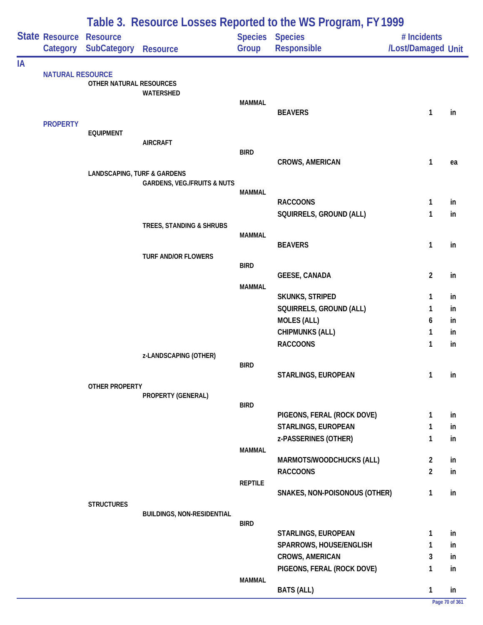|    |                         | Table 3. Resource Losses Reported to the WS Program, FY 1999 |                                        |                |                                              |                                   |          |  |  |  |
|----|-------------------------|--------------------------------------------------------------|----------------------------------------|----------------|----------------------------------------------|-----------------------------------|----------|--|--|--|
|    | State Resource Resource | Category SubCategory                                         | <b>Resource</b>                        | Group          | <b>Species Species</b><br><b>Responsible</b> | # Incidents<br>/Lost/Damaged Unit |          |  |  |  |
| ΙA |                         |                                                              |                                        |                |                                              |                                   |          |  |  |  |
|    | <b>NATURAL RESOURCE</b> | OTHER NATURAL RESOURCES                                      |                                        |                |                                              |                                   |          |  |  |  |
|    |                         |                                                              | WATERSHED                              |                |                                              |                                   |          |  |  |  |
|    |                         |                                                              |                                        | <b>MAMMAL</b>  | <b>BEAVERS</b>                               | 1                                 | in       |  |  |  |
|    | <b>PROPERTY</b>         |                                                              |                                        |                |                                              |                                   |          |  |  |  |
|    |                         | <b>EQUIPMENT</b>                                             |                                        |                |                                              |                                   |          |  |  |  |
|    |                         |                                                              | <b>AIRCRAFT</b>                        | <b>BIRD</b>    |                                              |                                   |          |  |  |  |
|    |                         |                                                              |                                        |                | <b>CROWS, AMERICAN</b>                       | 1                                 | ea       |  |  |  |
|    |                         | <b>LANDSCAPING, TURF &amp; GARDENS</b>                       |                                        |                |                                              |                                   |          |  |  |  |
|    |                         |                                                              | <b>GARDENS, VEG./FRUITS &amp; NUTS</b> | <b>MAMMAL</b>  |                                              |                                   |          |  |  |  |
|    |                         |                                                              |                                        |                | <b>RACCOONS</b>                              | 1                                 | in       |  |  |  |
|    |                         |                                                              |                                        |                | SQUIRRELS, GROUND (ALL)                      | 1                                 | in       |  |  |  |
|    |                         |                                                              | TREES, STANDING & SHRUBS               |                |                                              |                                   |          |  |  |  |
|    |                         |                                                              |                                        | <b>MAMMAL</b>  | <b>BEAVERS</b>                               | 1                                 | in       |  |  |  |
|    |                         |                                                              | <b>TURF AND/OR FLOWERS</b>             |                |                                              |                                   |          |  |  |  |
|    |                         |                                                              |                                        | <b>BIRD</b>    |                                              |                                   |          |  |  |  |
|    |                         |                                                              |                                        |                | <b>GEESE, CANADA</b>                         | $\overline{c}$                    | in       |  |  |  |
|    |                         |                                                              |                                        | <b>MAMMAL</b>  | <b>SKUNKS, STRIPED</b>                       | 1                                 | in       |  |  |  |
|    |                         |                                                              |                                        |                | SQUIRRELS, GROUND (ALL)                      | 1                                 | in       |  |  |  |
|    |                         |                                                              |                                        |                | <b>MOLES (ALL)</b>                           | 6                                 | in       |  |  |  |
|    |                         |                                                              |                                        |                | <b>CHIPMUNKS (ALL)</b>                       | 1                                 | in       |  |  |  |
|    |                         |                                                              |                                        |                | <b>RACCOONS</b>                              | 1                                 | in       |  |  |  |
|    |                         |                                                              | z-LANDSCAPING (OTHER)                  | <b>BIRD</b>    |                                              |                                   |          |  |  |  |
|    |                         |                                                              |                                        |                | STARLINGS, EUROPEAN                          | 1                                 | in       |  |  |  |
|    |                         | <b>OTHER PROPERTY</b>                                        |                                        |                |                                              |                                   |          |  |  |  |
|    |                         |                                                              | PROPERTY (GENERAL)                     | <b>BIRD</b>    |                                              |                                   |          |  |  |  |
|    |                         |                                                              |                                        |                | PIGEONS, FERAL (ROCK DOVE)                   | 1                                 | in       |  |  |  |
|    |                         |                                                              |                                        |                | <b>STARLINGS, EUROPEAN</b>                   | 1                                 | in       |  |  |  |
|    |                         |                                                              |                                        |                | z-PASSERINES (OTHER)                         | 1                                 | in       |  |  |  |
|    |                         |                                                              |                                        | <b>MAMMAL</b>  |                                              |                                   |          |  |  |  |
|    |                         |                                                              |                                        |                | MARMOTS/WOODCHUCKS (ALL)<br><b>RACCOONS</b>  | $\overline{2}$<br>$\overline{2}$  | in<br>in |  |  |  |
|    |                         |                                                              |                                        | <b>REPTILE</b> |                                              |                                   |          |  |  |  |
|    |                         |                                                              |                                        |                | SNAKES, NON-POISONOUS (OTHER)                | 1                                 | in       |  |  |  |
|    |                         | <b>STRUCTURES</b>                                            |                                        |                |                                              |                                   |          |  |  |  |
|    |                         |                                                              | <b>BUILDINGS, NON-RESIDENTIAL</b>      | <b>BIRD</b>    |                                              |                                   |          |  |  |  |
|    |                         |                                                              |                                        |                | STARLINGS, EUROPEAN                          | 1                                 | in       |  |  |  |
|    |                         |                                                              |                                        |                | SPARROWS, HOUSE/ENGLISH                      | 1                                 | in       |  |  |  |
|    |                         |                                                              |                                        |                | <b>CROWS, AMERICAN</b>                       | 3                                 | in       |  |  |  |
|    |                         |                                                              |                                        |                | PIGEONS, FERAL (ROCK DOVE)                   | 1                                 | in       |  |  |  |
|    |                         |                                                              |                                        | <b>MAMMAL</b>  | <b>BATS (ALL)</b>                            |                                   |          |  |  |  |
|    |                         |                                                              |                                        |                |                                              | 1                                 | in       |  |  |  |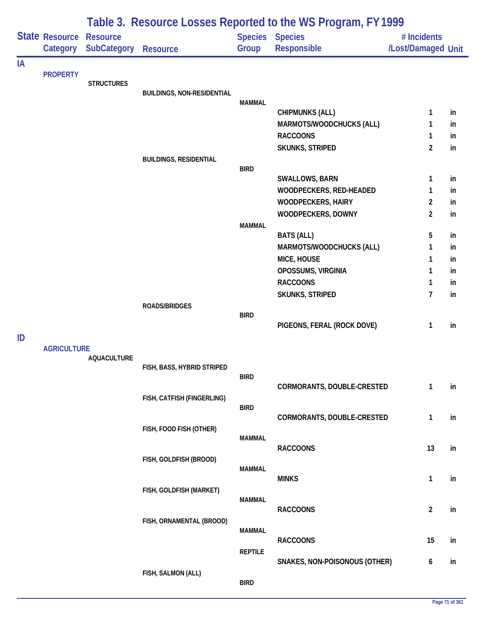|    |                    |                    |                                   |                | Table 3. Resource Losses Reported to the WS Program, FY 1999 |                    |    |
|----|--------------------|--------------------|-----------------------------------|----------------|--------------------------------------------------------------|--------------------|----|
|    | State Resource     | <b>Resource</b>    |                                   | <b>Species</b> | <b>Species</b>                                               | # Incidents        |    |
|    | Category           | <b>SubCategory</b> | <b>Resource</b>                   | Group          | Responsible                                                  | /Lost/Damaged Unit |    |
| IA |                    |                    |                                   |                |                                                              |                    |    |
|    | <b>PROPERTY</b>    | <b>STRUCTURES</b>  |                                   |                |                                                              |                    |    |
|    |                    |                    | <b>BUILDINGS, NON-RESIDENTIAL</b> |                |                                                              |                    |    |
|    |                    |                    |                                   | <b>MAMMAL</b>  |                                                              |                    |    |
|    |                    |                    |                                   |                | <b>CHIPMUNKS (ALL)</b>                                       | $\mathbf{1}$       | in |
|    |                    |                    |                                   |                | MARMOTS/WOODCHUCKS (ALL)                                     | 1                  | in |
|    |                    |                    |                                   |                | <b>RACCOONS</b>                                              | $\mathbf{1}$       | in |
|    |                    |                    |                                   |                | SKUNKS, STRIPED                                              | $\overline{2}$     | in |
|    |                    |                    | <b>BUILDINGS, RESIDENTIAL</b>     | <b>BIRD</b>    |                                                              |                    |    |
|    |                    |                    |                                   |                | <b>SWALLOWS, BARN</b>                                        | 1                  | in |
|    |                    |                    |                                   |                | WOODPECKERS, RED-HEADED                                      | 1                  | in |
|    |                    |                    |                                   |                | <b>WOODPECKERS, HAIRY</b>                                    | 2                  | in |
|    |                    |                    |                                   |                | WOODPECKERS, DOWNY                                           | $\overline{2}$     | in |
|    |                    |                    |                                   | <b>MAMMAL</b>  |                                                              |                    |    |
|    |                    |                    |                                   |                | <b>BATS (ALL)</b>                                            | 5                  | in |
|    |                    |                    |                                   |                | MARMOTS/WOODCHUCKS (ALL)                                     | 1                  | in |
|    |                    |                    |                                   |                | MICE, HOUSE                                                  | 1                  | in |
|    |                    |                    |                                   |                | OPOSSUMS, VIRGINIA                                           | 1                  | in |
|    |                    |                    |                                   |                | <b>RACCOONS</b>                                              | 1                  | in |
|    |                    |                    |                                   |                | SKUNKS, STRIPED                                              | $\overline{7}$     | in |
|    |                    |                    | ROADS/BRIDGES                     |                |                                                              |                    |    |
|    |                    |                    |                                   | <b>BIRD</b>    | PIGEONS, FERAL (ROCK DOVE)                                   | 1                  | in |
| ID |                    |                    |                                   |                |                                                              |                    |    |
|    | <b>AGRICULTURE</b> |                    |                                   |                |                                                              |                    |    |
|    |                    | <b>AQUACULTURE</b> |                                   |                |                                                              |                    |    |
|    |                    |                    | FISH, BASS, HYBRID STRIPED        |                |                                                              |                    |    |
|    |                    |                    |                                   | <b>BIRD</b>    | CORMORANTS, DOUBLE-CRESTED                                   | 1                  | in |
|    |                    |                    | FISH, CATFISH (FINGERLING)        |                |                                                              |                    |    |
|    |                    |                    |                                   | <b>BIRD</b>    |                                                              |                    |    |
|    |                    |                    |                                   |                | CORMORANTS, DOUBLE-CRESTED                                   | 1                  | in |
|    |                    |                    | FISH, FOOD FISH (OTHER)           |                |                                                              |                    |    |
|    |                    |                    |                                   | <b>MAMMAL</b>  | <b>RACCOONS</b>                                              | 13                 | in |
|    |                    |                    | FISH, GOLDFISH (BROOD)            |                |                                                              |                    |    |
|    |                    |                    |                                   | <b>MAMMAL</b>  |                                                              |                    |    |
|    |                    |                    |                                   |                | <b>MINKS</b>                                                 | $\mathbf{1}$       | in |
|    |                    |                    | FISH, GOLDFISH (MARKET)           |                |                                                              |                    |    |
|    |                    |                    |                                   | <b>MAMMAL</b>  | <b>RACCOONS</b>                                              | $\overline{2}$     | in |
|    |                    |                    | FISH, ORNAMENTAL (BROOD)          |                |                                                              |                    |    |
|    |                    |                    |                                   | <b>MAMMAL</b>  |                                                              |                    |    |
|    |                    |                    |                                   |                | <b>RACCOONS</b>                                              | 15                 | in |
|    |                    |                    |                                   | <b>REPTILE</b> |                                                              |                    |    |
|    |                    |                    |                                   |                | SNAKES, NON-POISONOUS (OTHER)                                | 6                  | in |
|    |                    |                    | FISH, SALMON (ALL)                | <b>BIRD</b>    |                                                              |                    |    |
|    |                    |                    |                                   |                |                                                              |                    |    |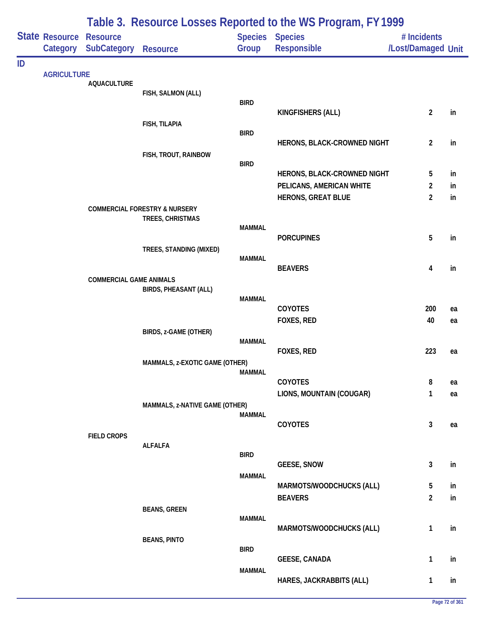|    |                            |                                       |                                          |               | Table 3. Resource Losses Reported to the WS Program, FY 1999 |                                   |          |
|----|----------------------------|---------------------------------------|------------------------------------------|---------------|--------------------------------------------------------------|-----------------------------------|----------|
|    | State Resource<br>Category | <b>Resource</b><br><b>SubCategory</b> | <b>Resource</b>                          | Group         | Species Species<br>Responsible                               | # Incidents<br>/Lost/Damaged Unit |          |
| ID |                            |                                       |                                          |               |                                                              |                                   |          |
|    | <b>AGRICULTURE</b>         | <b>AQUACULTURE</b>                    |                                          |               |                                                              |                                   |          |
|    |                            |                                       | FISH, SALMON (ALL)                       |               |                                                              |                                   |          |
|    |                            |                                       |                                          | <b>BIRD</b>   | KINGFISHERS (ALL)                                            | $\overline{2}$                    | in       |
|    |                            |                                       | FISH, TILAPIA                            |               |                                                              |                                   |          |
|    |                            |                                       |                                          | <b>BIRD</b>   | HERONS, BLACK-CROWNED NIGHT                                  | $\overline{2}$                    | in       |
|    |                            |                                       | FISH, TROUT, RAINBOW                     |               |                                                              |                                   |          |
|    |                            |                                       |                                          | <b>BIRD</b>   |                                                              |                                   |          |
|    |                            |                                       |                                          |               | HERONS, BLACK-CROWNED NIGHT                                  | 5                                 | in       |
|    |                            |                                       |                                          |               | PELICANS, AMERICAN WHITE<br><b>HERONS, GREAT BLUE</b>        | $\overline{2}$<br>$\overline{2}$  | in<br>in |
|    |                            |                                       | <b>COMMERCIAL FORESTRY &amp; NURSERY</b> |               |                                                              |                                   |          |
|    |                            |                                       | TREES, CHRISTMAS                         | <b>MAMMAL</b> |                                                              |                                   |          |
|    |                            |                                       |                                          |               | <b>PORCUPINES</b>                                            | 5                                 | in       |
|    |                            |                                       | TREES, STANDING (MIXED)                  |               |                                                              |                                   |          |
|    |                            |                                       |                                          | <b>MAMMAL</b> | <b>BEAVERS</b>                                               | 4                                 | in       |
|    |                            | <b>COMMERCIAL GAME ANIMALS</b>        |                                          |               |                                                              |                                   |          |
|    |                            |                                       | <b>BIRDS, PHEASANT (ALL)</b>             | <b>MAMMAL</b> |                                                              |                                   |          |
|    |                            |                                       |                                          |               | COYOTES                                                      | 200                               | ea       |
|    |                            |                                       |                                          |               | FOXES, RED                                                   | 40                                | ea       |
|    |                            |                                       | BIRDS, z-GAME (OTHER)                    | <b>MAMMAL</b> |                                                              |                                   |          |
|    |                            |                                       |                                          |               | FOXES, RED                                                   | 223                               | ea       |
|    |                            |                                       | MAMMALS, z-EXOTIC GAME (OTHER)           |               |                                                              |                                   |          |
|    |                            |                                       |                                          | <b>MAMMAL</b> | COYOTES                                                      | 8                                 | ea       |
|    |                            |                                       |                                          |               | LIONS, MOUNTAIN (COUGAR)                                     | 1                                 | ea       |
|    |                            |                                       | MAMMALS, z-NATIVE GAME (OTHER)           |               |                                                              |                                   |          |
|    |                            |                                       |                                          | <b>MAMMAL</b> | COYOTES                                                      | $\mathbf{3}$                      | ea       |
|    |                            | <b>FIELD CROPS</b>                    |                                          |               |                                                              |                                   |          |
|    |                            |                                       | <b>ALFALFA</b>                           | <b>BIRD</b>   |                                                              |                                   |          |
|    |                            |                                       |                                          |               | <b>GEESE, SNOW</b>                                           | $\mathbf{3}$                      | in       |
|    |                            |                                       |                                          | <b>MAMMAL</b> |                                                              |                                   |          |
|    |                            |                                       |                                          |               | MARMOTS/WOODCHUCKS (ALL)<br><b>BEAVERS</b>                   | 5<br>$\overline{2}$               | in<br>in |
|    |                            |                                       | <b>BEANS, GREEN</b>                      |               |                                                              |                                   |          |
|    |                            |                                       |                                          | <b>MAMMAL</b> |                                                              |                                   |          |
|    |                            |                                       | <b>BEANS, PINTO</b>                      |               | MARMOTS/WOODCHUCKS (ALL)                                     | 1                                 | in       |
|    |                            |                                       |                                          | <b>BIRD</b>   |                                                              |                                   |          |
|    |                            |                                       |                                          |               | <b>GEESE, CANADA</b>                                         | 1                                 | in       |
|    |                            |                                       |                                          | <b>MAMMAL</b> | HARES, JACKRABBITS (ALL)                                     | $\mathbf{1}$                      | in       |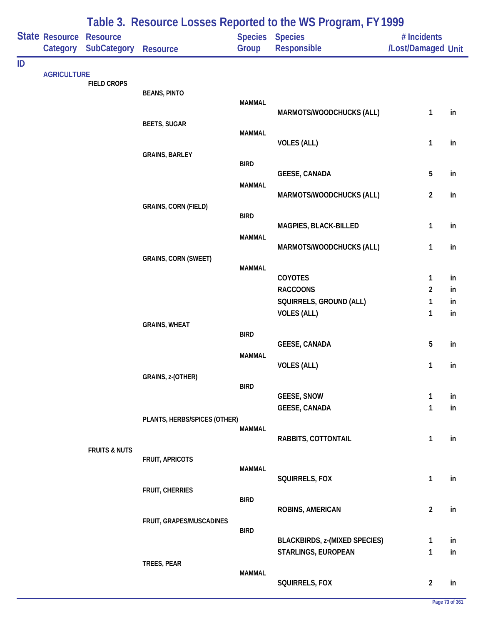|    |                            |                                       |                              |               | Table 3. Resource Losses Reported to the WS Program, FY 1999 |                                   |          |
|----|----------------------------|---------------------------------------|------------------------------|---------------|--------------------------------------------------------------|-----------------------------------|----------|
|    | State Resource<br>Category | <b>Resource</b><br><b>SubCategory</b> | <b>Resource</b>              | Group         | Species Species<br>Responsible                               | # Incidents<br>/Lost/Damaged Unit |          |
| ID |                            |                                       |                              |               |                                                              |                                   |          |
|    | <b>AGRICULTURE</b>         | <b>FIELD CROPS</b>                    |                              |               |                                                              |                                   |          |
|    |                            |                                       | <b>BEANS, PINTO</b>          | <b>MAMMAL</b> |                                                              |                                   |          |
|    |                            |                                       |                              |               | MARMOTS/WOODCHUCKS (ALL)                                     | 1                                 | in       |
|    |                            |                                       | <b>BEETS, SUGAR</b>          |               |                                                              |                                   |          |
|    |                            |                                       |                              | <b>MAMMAL</b> | <b>VOLES (ALL)</b>                                           | 1                                 | in       |
|    |                            |                                       | <b>GRAINS, BARLEY</b>        |               |                                                              |                                   |          |
|    |                            |                                       |                              | <b>BIRD</b>   |                                                              |                                   |          |
|    |                            |                                       |                              | <b>MAMMAL</b> | <b>GEESE, CANADA</b>                                         | 5                                 | in       |
|    |                            |                                       |                              |               | MARMOTS/WOODCHUCKS (ALL)                                     | $\overline{2}$                    | in       |
|    |                            |                                       | <b>GRAINS, CORN (FIELD)</b>  | <b>BIRD</b>   |                                                              |                                   |          |
|    |                            |                                       |                              |               | MAGPIES, BLACK-BILLED                                        | 1                                 | in       |
|    |                            |                                       |                              | <b>MAMMAL</b> |                                                              |                                   |          |
|    |                            |                                       |                              |               | MARMOTS/WOODCHUCKS (ALL)                                     | 1                                 | in       |
|    |                            |                                       | <b>GRAINS, CORN (SWEET)</b>  | <b>MAMMAL</b> |                                                              |                                   |          |
|    |                            |                                       |                              |               | COYOTES                                                      | 1                                 | in       |
|    |                            |                                       |                              |               | <b>RACCOONS</b>                                              | $\overline{2}$                    | in       |
|    |                            |                                       |                              |               | SQUIRRELS, GROUND (ALL)<br><b>VOLES (ALL)</b>                | 1<br>1                            | in<br>in |
|    |                            |                                       | <b>GRAINS, WHEAT</b>         |               |                                                              |                                   |          |
|    |                            |                                       |                              | <b>BIRD</b>   |                                                              |                                   |          |
|    |                            |                                       |                              | <b>MAMMAL</b> | <b>GEESE, CANADA</b>                                         | 5                                 | in       |
|    |                            |                                       |                              |               | <b>VOLES (ALL)</b>                                           | 1                                 | in       |
|    |                            |                                       | GRAINS, z-(OTHER)            | <b>BIRD</b>   |                                                              |                                   |          |
|    |                            |                                       |                              |               | <b>GEESE, SNOW</b>                                           | $\mathbf{1}$                      | in       |
|    |                            |                                       |                              |               | <b>GEESE, CANADA</b>                                         | 1                                 | in       |
|    |                            |                                       | PLANTS, HERBS/SPICES (OTHER) | <b>MAMMAL</b> |                                                              |                                   |          |
|    |                            |                                       |                              |               | RABBITS, COTTONTAIL                                          | $\mathbf{1}$                      | in       |
|    |                            | <b>FRUITS &amp; NUTS</b>              |                              |               |                                                              |                                   |          |
|    |                            |                                       | FRUIT, APRICOTS              | <b>MAMMAL</b> |                                                              |                                   |          |
|    |                            |                                       |                              |               | SQUIRRELS, FOX                                               | $\mathbf{1}$                      | in       |
|    |                            |                                       | FRUIT, CHERRIES              | <b>BIRD</b>   |                                                              |                                   |          |
|    |                            |                                       |                              |               | <b>ROBINS, AMERICAN</b>                                      | $\overline{2}$                    | in       |
|    |                            |                                       | FRUIT, GRAPES/MUSCADINES     |               |                                                              |                                   |          |
|    |                            |                                       |                              | <b>BIRD</b>   | <b>BLACKBIRDS, z-(MIXED SPECIES)</b>                         | $\mathbf{1}$                      | in       |
|    |                            |                                       |                              |               | STARLINGS, EUROPEAN                                          | $\mathbf{1}$                      | in       |
|    |                            |                                       | TREES, PEAR                  |               |                                                              |                                   |          |
|    |                            |                                       |                              | <b>MAMMAL</b> | SQUIRRELS, FOX                                               | $\overline{2}$                    | in       |
|    |                            |                                       |                              |               |                                                              |                                   |          |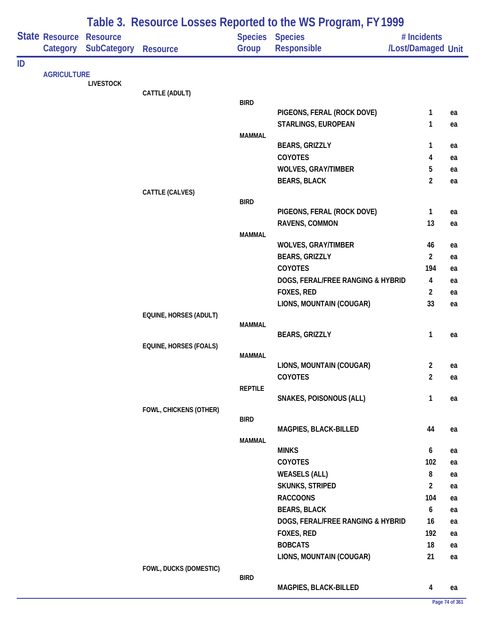|    |                            |                                       |                               |                | Table 3. Resource Losses Reported to the WS Program, FY 1999 |                                   |    |
|----|----------------------------|---------------------------------------|-------------------------------|----------------|--------------------------------------------------------------|-----------------------------------|----|
|    | State Resource<br>Category | <b>Resource</b><br><b>SubCategory</b> | <b>Resource</b>               | Group          | Species Species<br>Responsible                               | # Incidents<br>/Lost/Damaged Unit |    |
| ID |                            |                                       |                               |                |                                                              |                                   |    |
|    | <b>AGRICULTURE</b>         | <b>LIVESTOCK</b>                      |                               |                |                                                              |                                   |    |
|    |                            |                                       | CATTLE (ADULT)                |                |                                                              |                                   |    |
|    |                            |                                       |                               | <b>BIRD</b>    |                                                              |                                   |    |
|    |                            |                                       |                               |                | PIGEONS, FERAL (ROCK DOVE)                                   | $\mathbf{1}$                      | ea |
|    |                            |                                       |                               | <b>MAMMAL</b>  | STARLINGS, EUROPEAN                                          | 1                                 | ea |
|    |                            |                                       |                               |                | <b>BEARS, GRIZZLY</b>                                        | 1                                 | ea |
|    |                            |                                       |                               |                | <b>COYOTES</b>                                               | 4                                 | ea |
|    |                            |                                       |                               |                | <b>WOLVES, GRAY/TIMBER</b>                                   | 5                                 | ea |
|    |                            |                                       |                               |                | <b>BEARS, BLACK</b>                                          | $\overline{2}$                    | ea |
|    |                            |                                       | CATTLE (CALVES)               |                |                                                              |                                   |    |
|    |                            |                                       |                               | <b>BIRD</b>    | PIGEONS, FERAL (ROCK DOVE)                                   | 1                                 | ea |
|    |                            |                                       |                               |                | RAVENS, COMMON                                               | 13                                | ea |
|    |                            |                                       |                               | <b>MAMMAL</b>  |                                                              |                                   |    |
|    |                            |                                       |                               |                | <b>WOLVES, GRAY/TIMBER</b>                                   | 46                                | ea |
|    |                            |                                       |                               |                | <b>BEARS, GRIZZLY</b>                                        | $\overline{2}$                    | ea |
|    |                            |                                       |                               |                | <b>COYOTES</b>                                               | 194                               | ea |
|    |                            |                                       |                               |                | DOGS, FERAL/FREE RANGING & HYBRID                            | 4                                 | ea |
|    |                            |                                       |                               |                | FOXES, RED                                                   | $\overline{2}$                    | ea |
|    |                            |                                       |                               |                | LIONS, MOUNTAIN (COUGAR)                                     | 33                                | ea |
|    |                            |                                       | EQUINE, HORSES (ADULT)        | <b>MAMMAL</b>  |                                                              |                                   |    |
|    |                            |                                       |                               |                | <b>BEARS, GRIZZLY</b>                                        | 1                                 | ea |
|    |                            |                                       | <b>EQUINE, HORSES (FOALS)</b> |                |                                                              |                                   |    |
|    |                            |                                       |                               | <b>MAMMAL</b>  |                                                              |                                   |    |
|    |                            |                                       |                               |                | LIONS, MOUNTAIN (COUGAR)                                     | $\overline{2}$                    | ea |
|    |                            |                                       |                               | <b>REPTILE</b> | COYOTES                                                      | $\overline{2}$                    | ea |
|    |                            |                                       |                               |                | SNAKES, POISONOUS (ALL)                                      | $\mathbf{1}$                      | ea |
|    |                            |                                       | FOWL, CHICKENS (OTHER)        |                |                                                              |                                   |    |
|    |                            |                                       |                               | <b>BIRD</b>    |                                                              |                                   |    |
|    |                            |                                       |                               |                | MAGPIES, BLACK-BILLED                                        | 44                                | ea |
|    |                            |                                       |                               | <b>MAMMAL</b>  | <b>MINKS</b>                                                 | 6                                 | ea |
|    |                            |                                       |                               |                | COYOTES                                                      | 102                               | ea |
|    |                            |                                       |                               |                | <b>WEASELS (ALL)</b>                                         | $\bf 8$                           | ea |
|    |                            |                                       |                               |                | <b>SKUNKS, STRIPED</b>                                       | $\overline{2}$                    | ea |
|    |                            |                                       |                               |                | <b>RACCOONS</b>                                              | 104                               | ea |
|    |                            |                                       |                               |                | <b>BEARS, BLACK</b>                                          | 6                                 | ea |
|    |                            |                                       |                               |                | DOGS, FERAL/FREE RANGING & HYBRID                            | 16                                | ea |
|    |                            |                                       |                               |                | FOXES, RED                                                   | 192                               | ea |
|    |                            |                                       |                               |                | <b>BOBCATS</b>                                               | 18                                | ea |
|    |                            |                                       |                               |                | LIONS, MOUNTAIN (COUGAR)                                     | 21                                | ea |
|    |                            |                                       | FOWL, DUCKS (DOMESTIC)        | <b>BIRD</b>    |                                                              |                                   |    |
|    |                            |                                       |                               |                | MAGPIES, BLACK-BILLED                                        | 4                                 | ea |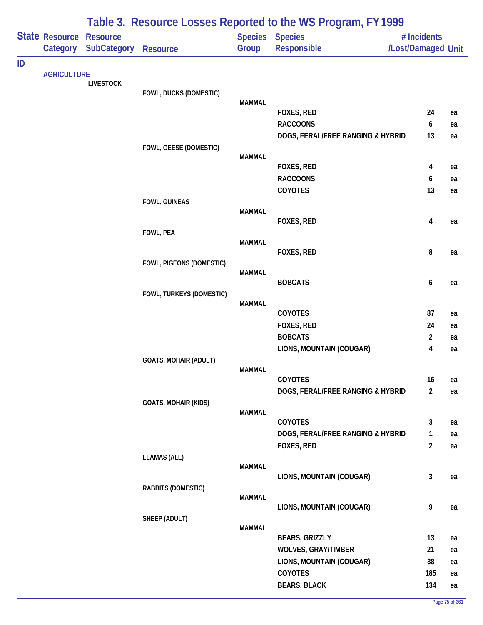|    | State Resource<br>Category | <b>Resource</b><br><b>SubCategory</b> | <b>Resource</b>              | Group         | <b>Species Species</b><br>Responsible | # Incidents<br>/Lost/Damaged Unit |          |
|----|----------------------------|---------------------------------------|------------------------------|---------------|---------------------------------------|-----------------------------------|----------|
| ID |                            |                                       |                              |               |                                       |                                   |          |
|    | <b>AGRICULTURE</b>         |                                       |                              |               |                                       |                                   |          |
|    |                            | <b>LIVESTOCK</b>                      | FOWL, DUCKS (DOMESTIC)       |               |                                       |                                   |          |
|    |                            |                                       |                              | <b>MAMMAL</b> |                                       |                                   |          |
|    |                            |                                       |                              |               | FOXES, RED                            | 24                                | ea       |
|    |                            |                                       |                              |               | <b>RACCOONS</b>                       | 6                                 | ea       |
|    |                            |                                       |                              |               | DOGS, FERAL/FREE RANGING & HYBRID     | 13                                | ea       |
|    |                            |                                       | FOWL, GEESE (DOMESTIC)       |               |                                       |                                   |          |
|    |                            |                                       |                              | <b>MAMMAL</b> | FOXES, RED                            | 4                                 | ea       |
|    |                            |                                       |                              |               | <b>RACCOONS</b>                       | 6                                 | ea       |
|    |                            |                                       |                              |               | COYOTES                               | 13                                | ea       |
|    |                            |                                       | FOWL, GUINEAS                |               |                                       |                                   |          |
|    |                            |                                       |                              | <b>MAMMAL</b> |                                       |                                   |          |
|    |                            |                                       |                              |               | FOXES, RED                            | 4                                 | ea       |
|    |                            |                                       | FOWL, PEA                    | <b>MAMMAL</b> |                                       |                                   |          |
|    |                            |                                       |                              |               | FOXES, RED                            | 8                                 | ea       |
|    |                            |                                       | FOWL, PIGEONS (DOMESTIC)     |               |                                       |                                   |          |
|    |                            |                                       |                              | <b>MAMMAL</b> |                                       |                                   |          |
|    |                            |                                       |                              |               | <b>BOBCATS</b>                        | 6                                 | ea       |
|    |                            |                                       | FOWL, TURKEYS (DOMESTIC)     | <b>MAMMAL</b> |                                       |                                   |          |
|    |                            |                                       |                              |               | COYOTES                               | 87                                | ea       |
|    |                            |                                       |                              |               | FOXES, RED                            | 24                                | ea       |
|    |                            |                                       |                              |               | <b>BOBCATS</b>                        | $\overline{2}$                    | ea       |
|    |                            |                                       |                              |               | LIONS, MOUNTAIN (COUGAR)              | 4                                 | ea       |
|    |                            |                                       | <b>GOATS, MOHAIR (ADULT)</b> |               |                                       |                                   |          |
|    |                            |                                       |                              | <b>MAMMAL</b> | COYOTES                               | 16                                |          |
|    |                            |                                       |                              |               | DOGS, FERAL/FREE RANGING & HYBRID     | $\overline{2}$                    | ea<br>ea |
|    |                            |                                       | <b>GOATS, MOHAIR (KIDS)</b>  |               |                                       |                                   |          |
|    |                            |                                       |                              | <b>MAMMAL</b> |                                       |                                   |          |
|    |                            |                                       |                              |               | COYOTES                               | 3                                 | ea       |
|    |                            |                                       |                              |               | DOGS, FERAL/FREE RANGING & HYBRID     | 1                                 | ea       |
|    |                            |                                       |                              |               | FOXES, RED                            | $\overline{a}$                    | ea       |
|    |                            |                                       | <b>LLAMAS (ALL)</b>          | <b>MAMMAL</b> |                                       |                                   |          |
|    |                            |                                       |                              |               | LIONS, MOUNTAIN (COUGAR)              | 3                                 | ea       |
|    |                            |                                       | RABBITS (DOMESTIC)           |               |                                       |                                   |          |
|    |                            |                                       |                              | <b>MAMMAL</b> |                                       |                                   |          |
|    |                            |                                       |                              |               | LIONS, MOUNTAIN (COUGAR)              | 9                                 | ea       |
|    |                            |                                       | SHEEP (ADULT)                | <b>MAMMAL</b> |                                       |                                   |          |
|    |                            |                                       |                              |               | <b>BEARS, GRIZZLY</b>                 | 13                                | ea       |
|    |                            |                                       |                              |               | <b>WOLVES, GRAY/TIMBER</b>            | 21                                | ea       |
|    |                            |                                       |                              |               | LIONS, MOUNTAIN (COUGAR)              | 38                                | ea       |
|    |                            |                                       |                              |               | COYOTES                               | 185                               | ea       |
|    |                            |                                       |                              |               | <b>BEARS, BLACK</b>                   | 134                               | ea       |

## **Table 3. Resource Losses Reported to the WS Program, FY 1999**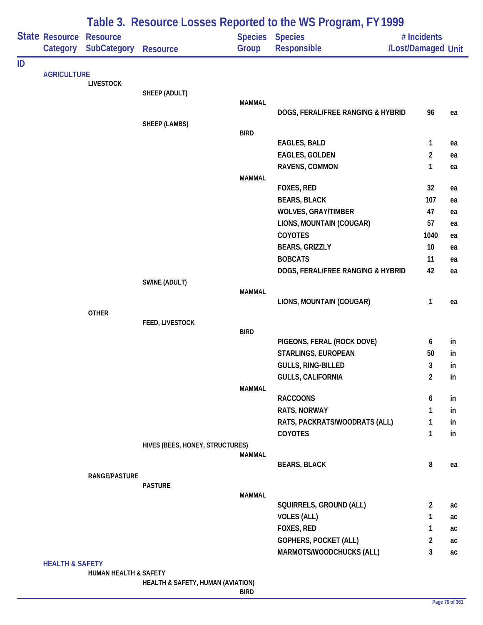|    |                            |                                  |                                   |               | Table 3. Resource Losses Reported to the WS Program, FY 1999 |                    |    |
|----|----------------------------|----------------------------------|-----------------------------------|---------------|--------------------------------------------------------------|--------------------|----|
|    | State Resource             | <b>Resource</b>                  |                                   |               | Species Species                                              | # Incidents        |    |
|    | Category                   | <b>SubCategory</b>               | <b>Resource</b>                   | Group         | Responsible                                                  | /Lost/Damaged Unit |    |
| ID |                            |                                  |                                   |               |                                                              |                    |    |
|    | <b>AGRICULTURE</b>         | <b>LIVESTOCK</b>                 |                                   |               |                                                              |                    |    |
|    |                            |                                  | SHEEP (ADULT)                     |               |                                                              |                    |    |
|    |                            |                                  |                                   | <b>MAMMAL</b> |                                                              |                    |    |
|    |                            |                                  |                                   |               | DOGS, FERAL/FREE RANGING & HYBRID                            | 96                 | ea |
|    |                            |                                  | <b>SHEEP (LAMBS)</b>              | <b>BIRD</b>   |                                                              |                    |    |
|    |                            |                                  |                                   |               | <b>EAGLES, BALD</b>                                          | $\mathbf{1}$       | ea |
|    |                            |                                  |                                   |               | EAGLES, GOLDEN                                               | $\overline{2}$     | ea |
|    |                            |                                  |                                   |               | RAVENS, COMMON                                               | 1                  | ea |
|    |                            |                                  |                                   | <b>MAMMAL</b> |                                                              |                    |    |
|    |                            |                                  |                                   |               | FOXES, RED                                                   | 32                 | ea |
|    |                            |                                  |                                   |               | <b>BEARS, BLACK</b>                                          | 107                | ea |
|    |                            |                                  |                                   |               | <b>WOLVES, GRAY/TIMBER</b>                                   | 47                 | ea |
|    |                            |                                  |                                   |               | LIONS, MOUNTAIN (COUGAR)                                     | 57                 | ea |
|    |                            |                                  |                                   |               | COYOTES                                                      | 1040               | ea |
|    |                            |                                  |                                   |               | <b>BEARS, GRIZZLY</b>                                        | 10                 | ea |
|    |                            |                                  |                                   |               | <b>BOBCATS</b>                                               | 11<br>42           | ea |
|    |                            |                                  | SWINE (ADULT)                     |               | DOGS, FERAL/FREE RANGING & HYBRID                            |                    | ea |
|    |                            |                                  |                                   | <b>MAMMAL</b> |                                                              |                    |    |
|    |                            |                                  |                                   |               | LIONS, MOUNTAIN (COUGAR)                                     | 1                  | ea |
|    |                            | <b>OTHER</b>                     |                                   |               |                                                              |                    |    |
|    |                            |                                  | FEED, LIVESTOCK                   | <b>BIRD</b>   |                                                              |                    |    |
|    |                            |                                  |                                   |               | PIGEONS, FERAL (ROCK DOVE)                                   | 6                  | in |
|    |                            |                                  |                                   |               | STARLINGS, EUROPEAN                                          | 50                 | in |
|    |                            |                                  |                                   |               | GULLS, RING-BILLED                                           | 3                  | in |
|    |                            |                                  |                                   |               | <b>GULLS, CALIFORNIA</b>                                     | $\overline{2}$     | in |
|    |                            |                                  |                                   | <b>MAMMAL</b> |                                                              |                    |    |
|    |                            |                                  |                                   |               | <b>RACCOONS</b>                                              | 6                  | in |
|    |                            |                                  |                                   |               | RATS, NORWAY                                                 | 1                  | in |
|    |                            |                                  |                                   |               | RATS, PACKRATS/WOODRATS (ALL)                                | 1                  | in |
|    |                            |                                  |                                   |               | COYOTES                                                      | 1                  | in |
|    |                            |                                  | HIVES (BEES, HONEY, STRUCTURES)   | <b>MAMMAL</b> |                                                              |                    |    |
|    |                            |                                  |                                   |               | <b>BEARS, BLACK</b>                                          | 8                  | ea |
|    |                            | <b>RANGE/PASTURE</b>             |                                   |               |                                                              |                    |    |
|    |                            |                                  | <b>PASTURE</b>                    |               |                                                              |                    |    |
|    |                            |                                  |                                   | <b>MAMMAL</b> | SQUIRRELS, GROUND (ALL)                                      | $\overline{2}$     | ac |
|    |                            |                                  |                                   |               | <b>VOLES (ALL)</b>                                           | 1                  | ac |
|    |                            |                                  |                                   |               | FOXES, RED                                                   | 1                  | ac |
|    |                            |                                  |                                   |               | GOPHERS, POCKET (ALL)                                        | $\overline{2}$     | ac |
|    |                            |                                  |                                   |               | MARMOTS/WOODCHUCKS (ALL)                                     | 3                  | ac |
|    | <b>HEALTH &amp; SAFETY</b> |                                  |                                   |               |                                                              |                    |    |
|    |                            | <b>HUMAN HEALTH &amp; SAFETY</b> |                                   |               |                                                              |                    |    |
|    |                            |                                  | HEALTH & SAFETY, HUMAN (AVIATION) | <b>BIRD</b>   |                                                              |                    |    |
|    |                            |                                  |                                   |               |                                                              |                    |    |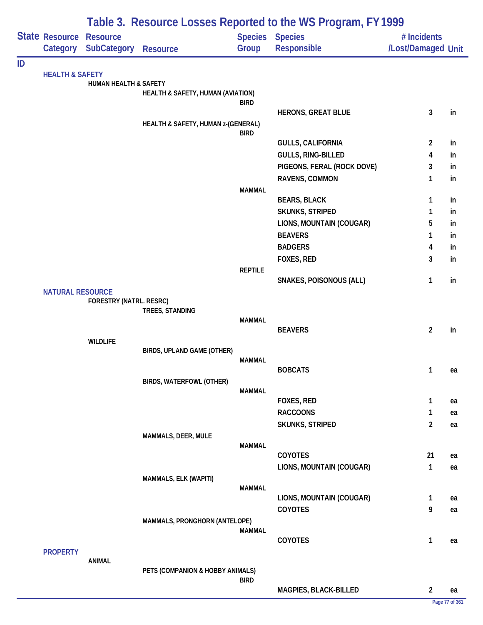|    |                            |                                       |                                    |                | Table 3. Resource Losses Reported to the WS Program, FY 1999 |                                   |    |
|----|----------------------------|---------------------------------------|------------------------------------|----------------|--------------------------------------------------------------|-----------------------------------|----|
|    | State Resource<br>Category | <b>Resource</b><br><b>SubCategory</b> | <b>Resource</b>                    | Group          | Species Species<br>Responsible                               | # Incidents<br>/Lost/Damaged Unit |    |
| ID |                            |                                       |                                    |                |                                                              |                                   |    |
|    | <b>HEALTH &amp; SAFETY</b> | <b>HUMAN HEALTH &amp; SAFETY</b>      |                                    |                |                                                              |                                   |    |
|    |                            |                                       | HEALTH & SAFETY, HUMAN (AVIATION)  |                |                                                              |                                   |    |
|    |                            |                                       |                                    | <b>BIRD</b>    |                                                              |                                   |    |
|    |                            |                                       |                                    |                | <b>HERONS, GREAT BLUE</b>                                    | $\mathbf{3}$                      | in |
|    |                            |                                       | HEALTH & SAFETY, HUMAN z-(GENERAL) | <b>BIRD</b>    |                                                              |                                   |    |
|    |                            |                                       |                                    |                | <b>GULLS, CALIFORNIA</b>                                     | 2                                 | in |
|    |                            |                                       |                                    |                | GULLS, RING-BILLED                                           | 4                                 | in |
|    |                            |                                       |                                    |                | PIGEONS, FERAL (ROCK DOVE)                                   | 3                                 | in |
|    |                            |                                       |                                    |                | RAVENS, COMMON                                               | 1                                 | in |
|    |                            |                                       |                                    | <b>MAMMAL</b>  |                                                              |                                   |    |
|    |                            |                                       |                                    |                | <b>BEARS, BLACK</b>                                          | 1                                 | in |
|    |                            |                                       |                                    |                | <b>SKUNKS, STRIPED</b>                                       | 1                                 | in |
|    |                            |                                       |                                    |                | LIONS, MOUNTAIN (COUGAR)                                     | 5                                 | in |
|    |                            |                                       |                                    |                | <b>BEAVERS</b>                                               | 1                                 | in |
|    |                            |                                       |                                    |                | <b>BADGERS</b>                                               | 4                                 | in |
|    |                            |                                       |                                    |                | FOXES, RED                                                   | 3                                 | in |
|    |                            |                                       |                                    | <b>REPTILE</b> | <b>SNAKES, POISONOUS (ALL)</b>                               | $\mathbf{1}$                      | in |
|    | <b>NATURAL RESOURCE</b>    |                                       |                                    |                |                                                              |                                   |    |
|    |                            | FORESTRY (NATRL. RESRC)               |                                    |                |                                                              |                                   |    |
|    |                            |                                       | TREES, STANDING                    |                |                                                              |                                   |    |
|    |                            |                                       |                                    | <b>MAMMAL</b>  | <b>BEAVERS</b>                                               | $\overline{2}$                    | in |
|    |                            | <b>WILDLIFE</b>                       |                                    |                |                                                              |                                   |    |
|    |                            |                                       | BIRDS, UPLAND GAME (OTHER)         |                |                                                              |                                   |    |
|    |                            |                                       |                                    | <b>MAMMAL</b>  |                                                              |                                   |    |
|    |                            |                                       |                                    |                | <b>BOBCATS</b>                                               | $\mathbf{1}$                      | ea |
|    |                            |                                       | BIRDS, WATERFOWL (OTHER)           | <b>MAMMAL</b>  |                                                              |                                   |    |
|    |                            |                                       |                                    |                | <b>FOXES, RED</b>                                            | $\mathbf{1}$                      | ea |
|    |                            |                                       |                                    |                | <b>RACCOONS</b>                                              | 1                                 | ea |
|    |                            |                                       |                                    |                | <b>SKUNKS, STRIPED</b>                                       | $\overline{2}$                    | ea |
|    |                            |                                       | MAMMALS, DEER, MULE                |                |                                                              |                                   |    |
|    |                            |                                       |                                    | <b>MAMMAL</b>  |                                                              |                                   |    |
|    |                            |                                       |                                    |                | COYOTES                                                      | 21                                | ea |
|    |                            |                                       |                                    |                | LIONS, MOUNTAIN (COUGAR)                                     | $\mathbf{1}$                      | ea |
|    |                            |                                       | MAMMALS, ELK (WAPITI)              | <b>MAMMAL</b>  |                                                              |                                   |    |
|    |                            |                                       |                                    |                | LIONS, MOUNTAIN (COUGAR)                                     | $\mathbf{1}$                      | ea |
|    |                            |                                       |                                    |                | COYOTES                                                      | 9                                 | ea |
|    |                            |                                       | MAMMALS, PRONGHORN (ANTELOPE)      |                |                                                              |                                   |    |
|    |                            |                                       |                                    | <b>MAMMAL</b>  |                                                              |                                   |    |
|    |                            |                                       |                                    |                | COYOTES                                                      | $\mathbf{1}$                      | ea |
|    | <b>PROPERTY</b>            | <b>ANIMAL</b>                         |                                    |                |                                                              |                                   |    |
|    |                            |                                       | PETS (COMPANION & HOBBY ANIMALS)   |                |                                                              |                                   |    |
|    |                            |                                       |                                    | <b>BIRD</b>    |                                                              |                                   |    |
|    |                            |                                       |                                    |                | MAGPIES, BLACK-BILLED                                        | $\overline{2}$                    | ea |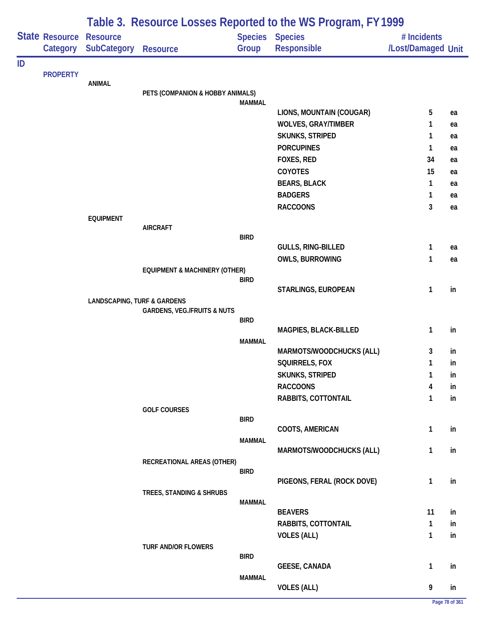|    |                            |                                        | Table 3. Resource Losses Reported to the WS Program, FY 1999 |               |                                       |                                   |    |  |
|----|----------------------------|----------------------------------------|--------------------------------------------------------------|---------------|---------------------------------------|-----------------------------------|----|--|
|    | State Resource<br>Category | <b>Resource</b><br><b>SubCategory</b>  | <b>Resource</b>                                              | Group         | <b>Species Species</b><br>Responsible | # Incidents<br>/Lost/Damaged Unit |    |  |
| ID |                            |                                        |                                                              |               |                                       |                                   |    |  |
|    | <b>PROPERTY</b>            | <b>ANIMAL</b>                          |                                                              |               |                                       |                                   |    |  |
|    |                            |                                        | PETS (COMPANION & HOBBY ANIMALS)                             |               |                                       |                                   |    |  |
|    |                            |                                        |                                                              | <b>MAMMAL</b> | LIONS, MOUNTAIN (COUGAR)              | 5                                 | ea |  |
|    |                            |                                        |                                                              |               | <b>WOLVES, GRAY/TIMBER</b>            | 1                                 | ea |  |
|    |                            |                                        |                                                              |               | SKUNKS, STRIPED                       | 1                                 | ea |  |
|    |                            |                                        |                                                              |               | <b>PORCUPINES</b>                     | 1                                 | ea |  |
|    |                            |                                        |                                                              |               | FOXES, RED                            | 34                                | ea |  |
|    |                            |                                        |                                                              |               | COYOTES                               | 15                                | ea |  |
|    |                            |                                        |                                                              |               | <b>BEARS, BLACK</b>                   | 1                                 | ea |  |
|    |                            |                                        |                                                              |               | <b>BADGERS</b>                        | 1                                 | ea |  |
|    |                            |                                        |                                                              |               | <b>RACCOONS</b>                       | 3                                 | ea |  |
|    |                            | <b>EQUIPMENT</b>                       |                                                              |               |                                       |                                   |    |  |
|    |                            |                                        | <b>AIRCRAFT</b>                                              |               |                                       |                                   |    |  |
|    |                            |                                        |                                                              | <b>BIRD</b>   |                                       |                                   |    |  |
|    |                            |                                        |                                                              |               | GULLS, RING-BILLED                    | 1<br>1                            | ea |  |
|    |                            |                                        | <b>EQUIPMENT &amp; MACHINERY (OTHER)</b>                     |               | <b>OWLS, BURROWING</b>                |                                   | ea |  |
|    |                            |                                        |                                                              | <b>BIRD</b>   |                                       |                                   |    |  |
|    |                            |                                        |                                                              |               | STARLINGS, EUROPEAN                   | 1                                 | in |  |
|    |                            | <b>LANDSCAPING, TURF &amp; GARDENS</b> |                                                              |               |                                       |                                   |    |  |
|    |                            |                                        | <b>GARDENS, VEG./FRUITS &amp; NUTS</b>                       |               |                                       |                                   |    |  |
|    |                            |                                        |                                                              | <b>BIRD</b>   | MAGPIES, BLACK-BILLED                 | 1                                 | in |  |
|    |                            |                                        |                                                              | <b>MAMMAL</b> |                                       |                                   |    |  |
|    |                            |                                        |                                                              |               | MARMOTS/WOODCHUCKS (ALL)              | 3                                 | in |  |
|    |                            |                                        |                                                              |               | SQUIRRELS, FOX                        | 1                                 | in |  |
|    |                            |                                        |                                                              |               | <b>SKUNKS, STRIPED</b>                | 1                                 | in |  |
|    |                            |                                        |                                                              |               | <b>RACCOONS</b>                       | 4                                 | in |  |
|    |                            |                                        |                                                              |               | RABBITS, COTTONTAIL                   | 1                                 | in |  |
|    |                            |                                        | <b>GOLF COURSES</b>                                          |               |                                       |                                   |    |  |
|    |                            |                                        |                                                              | <b>BIRD</b>   |                                       |                                   |    |  |
|    |                            |                                        |                                                              | <b>MAMMAL</b> | COOTS, AMERICAN                       | 1                                 | in |  |
|    |                            |                                        |                                                              |               | MARMOTS/WOODCHUCKS (ALL)              | 1                                 | in |  |
|    |                            |                                        | RECREATIONAL AREAS (OTHER)                                   |               |                                       |                                   |    |  |
|    |                            |                                        |                                                              | <b>BIRD</b>   |                                       |                                   |    |  |
|    |                            |                                        |                                                              |               | PIGEONS, FERAL (ROCK DOVE)            | 1                                 | in |  |
|    |                            |                                        | TREES, STANDING & SHRUBS                                     | <b>MAMMAL</b> |                                       |                                   |    |  |
|    |                            |                                        |                                                              |               | <b>BEAVERS</b>                        | 11                                | in |  |
|    |                            |                                        |                                                              |               | RABBITS, COTTONTAIL                   | 1                                 | in |  |
|    |                            |                                        |                                                              |               | <b>VOLES (ALL)</b>                    | 1                                 | in |  |
|    |                            |                                        | <b>TURF AND/OR FLOWERS</b>                                   |               |                                       |                                   |    |  |
|    |                            |                                        |                                                              | <b>BIRD</b>   |                                       |                                   |    |  |
|    |                            |                                        |                                                              |               | <b>GEESE, CANADA</b>                  | 1                                 | in |  |
|    |                            |                                        |                                                              | <b>MAMMAL</b> | <b>VOLES (ALL)</b>                    | 9                                 | in |  |
|    |                            |                                        |                                                              |               |                                       |                                   |    |  |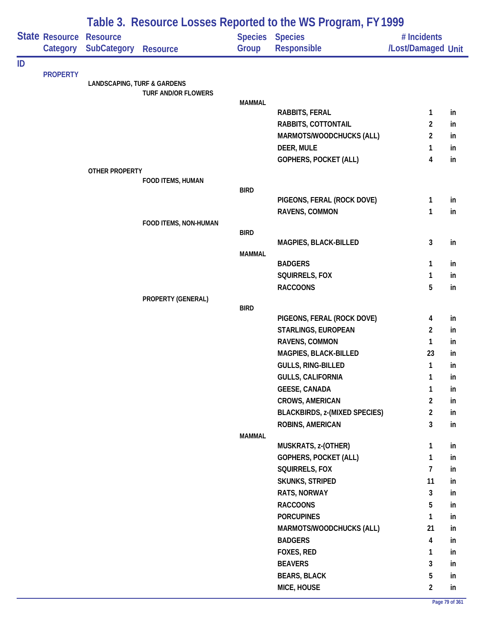|    |                            | Table 3. Resource Losses Reported to the WS Program, FY 1999 |                            |               |                                       |                                   |    |  |  |
|----|----------------------------|--------------------------------------------------------------|----------------------------|---------------|---------------------------------------|-----------------------------------|----|--|--|
|    | State Resource<br>Category | <b>Resource</b><br><b>SubCategory</b>                        | <b>Resource</b>            | Group         | <b>Species Species</b><br>Responsible | # Incidents<br>/Lost/Damaged Unit |    |  |  |
| ID |                            |                                                              |                            |               |                                       |                                   |    |  |  |
|    | <b>PROPERTY</b>            | <b>LANDSCAPING, TURF &amp; GARDENS</b>                       |                            |               |                                       |                                   |    |  |  |
|    |                            |                                                              | <b>TURF AND/OR FLOWERS</b> |               |                                       |                                   |    |  |  |
|    |                            |                                                              |                            | <b>MAMMAL</b> |                                       |                                   |    |  |  |
|    |                            |                                                              |                            |               | <b>RABBITS, FERAL</b>                 | 1                                 | in |  |  |
|    |                            |                                                              |                            |               | RABBITS, COTTONTAIL                   | 2                                 | in |  |  |
|    |                            |                                                              |                            |               | MARMOTS/WOODCHUCKS (ALL)              | $\overline{2}$                    | in |  |  |
|    |                            |                                                              |                            |               | DEER, MULE                            | 1                                 | in |  |  |
|    |                            |                                                              |                            |               | GOPHERS, POCKET (ALL)                 | 4                                 | in |  |  |
|    |                            | OTHER PROPERTY                                               | FOOD ITEMS, HUMAN          |               |                                       |                                   |    |  |  |
|    |                            |                                                              |                            | <b>BIRD</b>   |                                       |                                   |    |  |  |
|    |                            |                                                              |                            |               | PIGEONS, FERAL (ROCK DOVE)            | 1                                 | in |  |  |
|    |                            |                                                              |                            |               | RAVENS, COMMON                        | 1                                 | in |  |  |
|    |                            |                                                              | FOOD ITEMS, NON-HUMAN      |               |                                       |                                   |    |  |  |
|    |                            |                                                              |                            | <b>BIRD</b>   |                                       |                                   |    |  |  |
|    |                            |                                                              |                            |               | MAGPIES, BLACK-BILLED                 | 3                                 | in |  |  |
|    |                            |                                                              |                            | <b>MAMMAL</b> | <b>BADGERS</b>                        | 1                                 | in |  |  |
|    |                            |                                                              |                            |               | SQUIRRELS, FOX                        | 1                                 | in |  |  |
|    |                            |                                                              |                            |               | <b>RACCOONS</b>                       | 5                                 | in |  |  |
|    |                            |                                                              | PROPERTY (GENERAL)         |               |                                       |                                   |    |  |  |
|    |                            |                                                              |                            | <b>BIRD</b>   |                                       |                                   |    |  |  |
|    |                            |                                                              |                            |               | PIGEONS, FERAL (ROCK DOVE)            | 4                                 | in |  |  |
|    |                            |                                                              |                            |               | <b>STARLINGS, EUROPEAN</b>            | $\overline{2}$                    | in |  |  |
|    |                            |                                                              |                            |               | RAVENS, COMMON                        | 1                                 | in |  |  |
|    |                            |                                                              |                            |               | MAGPIES, BLACK-BILLED                 | 23                                | in |  |  |
|    |                            |                                                              |                            |               | GULLS, RING-BILLED                    | 1                                 | in |  |  |
|    |                            |                                                              |                            |               | <b>GULLS, CALIFORNIA</b>              | 1                                 | in |  |  |
|    |                            |                                                              |                            |               | <b>GEESE, CANADA</b>                  | 1                                 | in |  |  |
|    |                            |                                                              |                            |               | <b>CROWS, AMERICAN</b>                | $\overline{2}$                    | in |  |  |
|    |                            |                                                              |                            |               | <b>BLACKBIRDS, z-(MIXED SPECIES)</b>  | $\overline{2}$                    | in |  |  |
|    |                            |                                                              |                            |               | ROBINS, AMERICAN                      | 3                                 | in |  |  |
|    |                            |                                                              |                            | <b>MAMMAL</b> |                                       |                                   |    |  |  |
|    |                            |                                                              |                            |               | MUSKRATS, z-(OTHER)                   | 1                                 | in |  |  |
|    |                            |                                                              |                            |               | GOPHERS, POCKET (ALL)                 | 1                                 | in |  |  |
|    |                            |                                                              |                            |               | SQUIRRELS, FOX                        | $\overline{7}$                    | in |  |  |
|    |                            |                                                              |                            |               | <b>SKUNKS, STRIPED</b>                | 11                                | in |  |  |
|    |                            |                                                              |                            |               | RATS, NORWAY                          | 3                                 | in |  |  |
|    |                            |                                                              |                            |               | <b>RACCOONS</b>                       | 5                                 | in |  |  |
|    |                            |                                                              |                            |               | <b>PORCUPINES</b>                     | 1                                 | in |  |  |
|    |                            |                                                              |                            |               | MARMOTS/WOODCHUCKS (ALL)              | 21                                | in |  |  |
|    |                            |                                                              |                            |               | <b>BADGERS</b>                        | $\overline{\mathbf{4}}$           | in |  |  |
|    |                            |                                                              |                            |               | FOXES, RED                            | 1                                 | in |  |  |
|    |                            |                                                              |                            |               | <b>BEAVERS</b>                        | 3                                 | in |  |  |
|    |                            |                                                              |                            |               | <b>BEARS, BLACK</b>                   | 5                                 | in |  |  |
|    |                            |                                                              |                            |               | MICE, HOUSE                           | $\overline{2}$                    | in |  |  |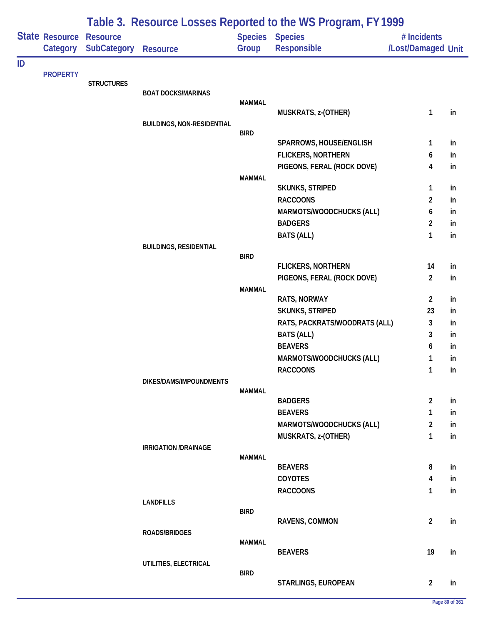| Table 3. Resource Losses Reported to the WS Program, FY 1999 |                                   |                                       |                                   |               |                                                      |                                   |          |
|--------------------------------------------------------------|-----------------------------------|---------------------------------------|-----------------------------------|---------------|------------------------------------------------------|-----------------------------------|----------|
|                                                              | <b>State Resource</b><br>Category | <b>Resource</b><br><b>SubCategory</b> | <b>Resource</b>                   | Group         | Species Species<br>Responsible                       | # Incidents<br>/Lost/Damaged Unit |          |
| ID                                                           |                                   |                                       |                                   |               |                                                      |                                   |          |
|                                                              | <b>PROPERTY</b>                   |                                       |                                   |               |                                                      |                                   |          |
|                                                              |                                   | <b>STRUCTURES</b>                     | <b>BOAT DOCKS/MARINAS</b>         |               |                                                      |                                   |          |
|                                                              |                                   |                                       |                                   | <b>MAMMAL</b> |                                                      |                                   |          |
|                                                              |                                   |                                       |                                   |               | MUSKRATS, z-(OTHER)                                  | $\mathbf{1}$                      | in       |
|                                                              |                                   |                                       | <b>BUILDINGS, NON-RESIDENTIAL</b> |               |                                                      |                                   |          |
|                                                              |                                   |                                       |                                   | <b>BIRD</b>   |                                                      |                                   |          |
|                                                              |                                   |                                       |                                   |               | SPARROWS, HOUSE/ENGLISH<br><b>FLICKERS, NORTHERN</b> | 1                                 | in       |
|                                                              |                                   |                                       |                                   |               | PIGEONS, FERAL (ROCK DOVE)                           | 6<br>4                            | in<br>in |
|                                                              |                                   |                                       |                                   | <b>MAMMAL</b> |                                                      |                                   |          |
|                                                              |                                   |                                       |                                   |               | <b>SKUNKS, STRIPED</b>                               | 1                                 | in       |
|                                                              |                                   |                                       |                                   |               | <b>RACCOONS</b>                                      | $\overline{2}$                    | in       |
|                                                              |                                   |                                       |                                   |               | MARMOTS/WOODCHUCKS (ALL)                             | 6                                 | in       |
|                                                              |                                   |                                       |                                   |               | <b>BADGERS</b>                                       | $\overline{2}$                    | in       |
|                                                              |                                   |                                       |                                   |               | <b>BATS (ALL)</b>                                    | 1                                 | in       |
|                                                              |                                   |                                       | <b>BUILDINGS, RESIDENTIAL</b>     |               |                                                      |                                   |          |
|                                                              |                                   |                                       |                                   | <b>BIRD</b>   |                                                      |                                   |          |
|                                                              |                                   |                                       |                                   |               | <b>FLICKERS, NORTHERN</b>                            | 14                                | in       |
|                                                              |                                   |                                       |                                   |               | PIGEONS, FERAL (ROCK DOVE)                           | $\overline{2}$                    | in       |
|                                                              |                                   |                                       |                                   | <b>MAMMAL</b> | <b>RATS, NORWAY</b>                                  | $\overline{2}$                    | in       |
|                                                              |                                   |                                       |                                   |               | SKUNKS, STRIPED                                      | 23                                | in       |
|                                                              |                                   |                                       |                                   |               | RATS, PACKRATS/WOODRATS (ALL)                        | 3                                 | in       |
|                                                              |                                   |                                       |                                   |               | <b>BATS (ALL)</b>                                    | 3                                 | in       |
|                                                              |                                   |                                       |                                   |               | <b>BEAVERS</b>                                       | 6                                 | in       |
|                                                              |                                   |                                       |                                   |               | MARMOTS/WOODCHUCKS (ALL)                             | 1                                 | in       |
|                                                              |                                   |                                       |                                   |               | <b>RACCOONS</b>                                      | 1                                 | in       |
|                                                              |                                   |                                       | DIKES/DAMS/IMPOUNDMENTS           |               |                                                      |                                   |          |
|                                                              |                                   |                                       |                                   | <b>MAMMAL</b> |                                                      |                                   |          |
|                                                              |                                   |                                       |                                   |               | <b>BADGERS</b>                                       | $\overline{2}$                    | in       |
|                                                              |                                   |                                       |                                   |               | <b>BEAVERS</b>                                       | 1                                 | in       |
|                                                              |                                   |                                       |                                   |               | MARMOTS/WOODCHUCKS (ALL)                             | 2                                 | in       |
|                                                              |                                   |                                       |                                   |               | MUSKRATS, z-(OTHER)                                  | 1                                 | in       |
|                                                              |                                   |                                       | <b>IRRIGATION /DRAINAGE</b>       |               |                                                      |                                   |          |
|                                                              |                                   |                                       |                                   | <b>MAMMAL</b> | <b>BEAVERS</b>                                       | 8                                 | in       |
|                                                              |                                   |                                       |                                   |               | COYOTES                                              | 4                                 | in       |
|                                                              |                                   |                                       |                                   |               | <b>RACCOONS</b>                                      | $\mathbf{1}$                      | in       |
|                                                              |                                   |                                       | <b>LANDFILLS</b>                  |               |                                                      |                                   |          |
|                                                              |                                   |                                       |                                   | <b>BIRD</b>   |                                                      |                                   |          |
|                                                              |                                   |                                       |                                   |               | RAVENS, COMMON                                       | $\overline{2}$                    | in       |
|                                                              |                                   |                                       | <b>ROADS/BRIDGES</b>              |               |                                                      |                                   |          |
|                                                              |                                   |                                       |                                   | <b>MAMMAL</b> | <b>BEAVERS</b>                                       | 19                                | in       |
|                                                              |                                   |                                       | UTILITIES, ELECTRICAL             |               |                                                      |                                   |          |
|                                                              |                                   |                                       |                                   | <b>BIRD</b>   |                                                      |                                   |          |
|                                                              |                                   |                                       |                                   |               | STARLINGS, EUROPEAN                                  | $\overline{2}$                    | in       |

## **Page 80 of 361**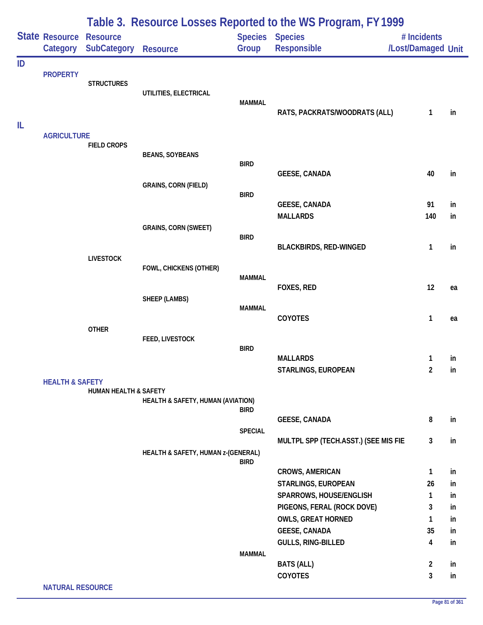|    |                            |                                       |                                    |                         | Table 3. Resource Losses Reported to the WS Program, FY 1999 |                                   |          |
|----|----------------------------|---------------------------------------|------------------------------------|-------------------------|--------------------------------------------------------------|-----------------------------------|----------|
|    | State Resource<br>Category | <b>Resource</b><br><b>SubCategory</b> | <b>Resource</b>                    | <b>Species</b><br>Group | <b>Species</b><br>Responsible                                | # Incidents<br>/Lost/Damaged Unit |          |
| ID | <b>PROPERTY</b>            |                                       |                                    |                         |                                                              |                                   |          |
|    |                            | <b>STRUCTURES</b>                     | UTILITIES, ELECTRICAL              |                         |                                                              |                                   |          |
|    |                            |                                       |                                    | <b>MAMMAL</b>           | RATS, PACKRATS/WOODRATS (ALL)                                | $\mathbf{1}$                      | in       |
| IL | <b>AGRICULTURE</b>         |                                       |                                    |                         |                                                              |                                   |          |
|    |                            | <b>FIELD CROPS</b>                    |                                    |                         |                                                              |                                   |          |
|    |                            |                                       | <b>BEANS, SOYBEANS</b>             | <b>BIRD</b>             | <b>GEESE, CANADA</b>                                         | 40                                | in       |
|    |                            |                                       | <b>GRAINS, CORN (FIELD)</b>        |                         |                                                              |                                   |          |
|    |                            |                                       |                                    | <b>BIRD</b>             |                                                              |                                   |          |
|    |                            |                                       |                                    |                         | <b>GEESE, CANADA</b><br><b>MALLARDS</b>                      | 91<br>140                         | in<br>in |
|    |                            |                                       | <b>GRAINS, CORN (SWEET)</b>        |                         |                                                              |                                   |          |
|    |                            |                                       |                                    | <b>BIRD</b>             |                                                              |                                   |          |
|    |                            | <b>LIVESTOCK</b>                      |                                    |                         | <b>BLACKBIRDS, RED-WINGED</b>                                | 1                                 | in       |
|    |                            |                                       | FOWL, CHICKENS (OTHER)             |                         |                                                              |                                   |          |
|    |                            |                                       |                                    | MAMMAL                  |                                                              |                                   |          |
|    |                            |                                       | SHEEP (LAMBS)                      |                         | FOXES, RED                                                   | 12                                | ea       |
|    |                            |                                       |                                    | <b>MAMMAL</b>           |                                                              |                                   |          |
|    |                            |                                       |                                    |                         | COYOTES                                                      | 1                                 | ea       |
|    |                            | <b>OTHER</b>                          | FEED, LIVESTOCK                    |                         |                                                              |                                   |          |
|    |                            |                                       |                                    | <b>BIRD</b>             |                                                              |                                   |          |
|    |                            |                                       |                                    |                         | <b>MALLARDS</b>                                              | 1                                 | in       |
|    | <b>HEALTH &amp; SAFETY</b> |                                       |                                    |                         | STARLINGS, EUROPEAN                                          | $\overline{2}$                    | in       |
|    |                            | <b>HUMAN HEALTH &amp; SAFETY</b>      |                                    |                         |                                                              |                                   |          |
|    |                            |                                       | HEALTH & SAFETY, HUMAN (AVIATION)  | <b>BIRD</b>             |                                                              |                                   |          |
|    |                            |                                       |                                    |                         | <b>GEESE, CANADA</b>                                         | 8                                 | in       |
|    |                            |                                       |                                    | <b>SPECIAL</b>          |                                                              |                                   |          |
|    |                            |                                       | HEALTH & SAFETY, HUMAN z-(GENERAL) |                         | MULTPL SPP (TECH.ASST.) (SEE MIS FIE                         | $\mathbf{3}$                      | in       |
|    |                            |                                       |                                    | <b>BIRD</b>             |                                                              |                                   |          |
|    |                            |                                       |                                    |                         | <b>CROWS, AMERICAN</b>                                       | $\mathbf{1}$                      | in       |
|    |                            |                                       |                                    |                         | STARLINGS, EUROPEAN                                          | 26                                | in       |
|    |                            |                                       |                                    |                         | SPARROWS, HOUSE/ENGLISH                                      | 1                                 | in       |
|    |                            |                                       |                                    |                         | PIGEONS, FERAL (ROCK DOVE)<br><b>OWLS, GREAT HORNED</b>      | 3<br>1                            | in<br>in |
|    |                            |                                       |                                    |                         | <b>GEESE, CANADA</b>                                         | 35                                | in       |
|    |                            |                                       |                                    |                         | <b>GULLS, RING-BILLED</b>                                    | 4                                 | in       |
|    |                            |                                       |                                    | <b>MAMMAL</b>           |                                                              |                                   |          |
|    |                            |                                       |                                    |                         | <b>BATS (ALL)</b><br>COYOTES                                 | $\overline{2}$<br>3               | in<br>in |
|    | <b>NATURAL RESOURCE</b>    |                                       |                                    |                         |                                                              |                                   |          |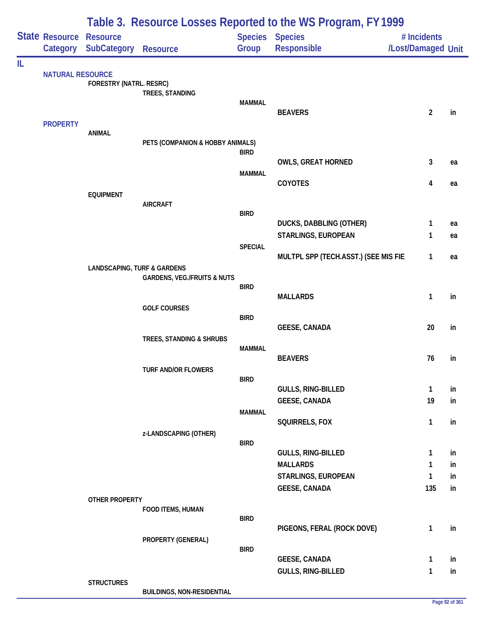|    | Table 3. Resource Losses Reported to the WS Program, FY 1999 |                                        |                                        |                |                                        |                                   |          |
|----|--------------------------------------------------------------|----------------------------------------|----------------------------------------|----------------|----------------------------------------|-----------------------------------|----------|
|    | State Resource Resource                                      | Category SubCategory                   | <b>Resource</b>                        | Group          | Species Species<br>Responsible         | # Incidents<br>/Lost/Damaged Unit |          |
| IL |                                                              |                                        |                                        |                |                                        |                                   |          |
|    | <b>NATURAL RESOURCE</b>                                      | FORESTRY (NATRL. RESRC)                | TREES, STANDING                        | <b>MAMMAL</b>  |                                        |                                   |          |
|    | <b>PROPERTY</b>                                              |                                        |                                        |                | <b>BEAVERS</b>                         | $\overline{2}$                    | in       |
|    |                                                              | <b>ANIMAL</b>                          |                                        |                |                                        |                                   |          |
|    |                                                              |                                        | PETS (COMPANION & HOBBY ANIMALS)       | <b>BIRD</b>    |                                        |                                   |          |
|    |                                                              |                                        |                                        |                | <b>OWLS, GREAT HORNED</b>              | 3                                 | ea       |
|    |                                                              |                                        |                                        | <b>MAMMAL</b>  |                                        |                                   |          |
|    |                                                              |                                        |                                        |                | <b>COYOTES</b>                         | 4                                 | ea       |
|    |                                                              | <b>EQUIPMENT</b>                       | <b>AIRCRAFT</b>                        |                |                                        |                                   |          |
|    |                                                              |                                        |                                        | <b>BIRD</b>    |                                        |                                   |          |
|    |                                                              |                                        |                                        |                | DUCKS, DABBLING (OTHER)                | 1                                 | ea       |
|    |                                                              |                                        |                                        | <b>SPECIAL</b> | <b>STARLINGS, EUROPEAN</b>             | 1                                 | ea       |
|    |                                                              |                                        |                                        |                | MULTPL SPP (TECH.ASST.) (SEE MIS FIE   | $\mathbf{1}$                      | ea       |
|    |                                                              | <b>LANDSCAPING, TURF &amp; GARDENS</b> |                                        |                |                                        |                                   |          |
|    |                                                              |                                        | <b>GARDENS, VEG./FRUITS &amp; NUTS</b> | <b>BIRD</b>    |                                        |                                   |          |
|    |                                                              |                                        |                                        |                | <b>MALLARDS</b>                        | 1                                 | in       |
|    |                                                              |                                        | <b>GOLF COURSES</b>                    |                |                                        |                                   |          |
|    |                                                              |                                        |                                        | <b>BIRD</b>    | <b>GEESE, CANADA</b>                   | 20                                | in       |
|    |                                                              |                                        | TREES, STANDING & SHRUBS               |                |                                        |                                   |          |
|    |                                                              |                                        |                                        | <b>MAMMAL</b>  |                                        |                                   |          |
|    |                                                              |                                        |                                        |                | <b>BEAVERS</b>                         | 76                                | in       |
|    |                                                              |                                        | <b>TURF AND/OR FLOWERS</b>             | <b>BIRD</b>    |                                        |                                   |          |
|    |                                                              |                                        |                                        |                | <b>GULLS, RING-BILLED</b>              | $\mathbf{1}$                      | in       |
|    |                                                              |                                        |                                        |                | <b>GEESE, CANADA</b>                   | 19                                | in       |
|    |                                                              |                                        |                                        | <b>MAMMAL</b>  | SQUIRRELS, FOX                         | $\mathbf{1}$                      | in       |
|    |                                                              |                                        | z-LANDSCAPING (OTHER)                  |                |                                        |                                   |          |
|    |                                                              |                                        |                                        | <b>BIRD</b>    |                                        |                                   |          |
|    |                                                              |                                        |                                        |                | <b>GULLS, RING-BILLED</b>              | 1                                 | in       |
|    |                                                              |                                        |                                        |                | <b>MALLARDS</b><br>STARLINGS, EUROPEAN | 1<br>1                            | in<br>in |
|    |                                                              |                                        |                                        |                | <b>GEESE, CANADA</b>                   | 135                               | in       |
|    |                                                              | <b>OTHER PROPERTY</b>                  |                                        |                |                                        |                                   |          |
|    |                                                              |                                        | FOOD ITEMS, HUMAN                      |                |                                        |                                   |          |
|    |                                                              |                                        |                                        | <b>BIRD</b>    | PIGEONS, FERAL (ROCK DOVE)             | 1                                 | in       |
|    |                                                              |                                        | PROPERTY (GENERAL)                     |                |                                        |                                   |          |
|    |                                                              |                                        |                                        | <b>BIRD</b>    |                                        |                                   |          |
|    |                                                              |                                        |                                        |                | <b>GEESE, CANADA</b>                   | 1                                 | in       |
|    |                                                              | <b>STRUCTURES</b>                      |                                        |                | GULLS, RING-BILLED                     | 1                                 | in       |
|    |                                                              |                                        | <b>BUILDINGS, NON-RESIDENTIAL</b>      |                |                                        |                                   |          |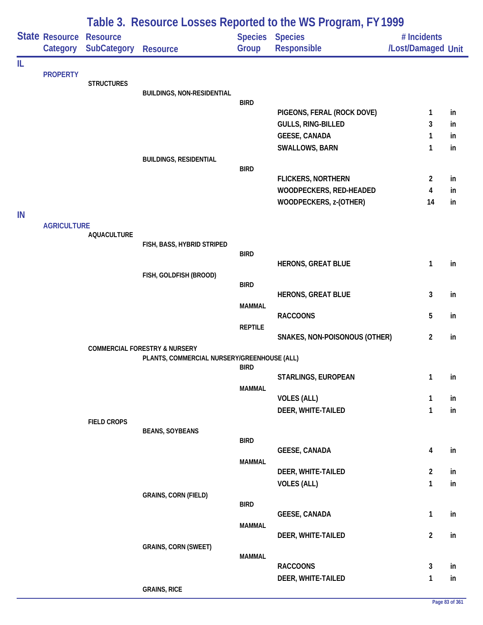|    |                            |                                       |                                                                                         |                                 | Table 3. Resource Losses Reported to the WS Program, FY1999                    |                                   |                |
|----|----------------------------|---------------------------------------|-----------------------------------------------------------------------------------------|---------------------------------|--------------------------------------------------------------------------------|-----------------------------------|----------------|
|    | State Resource<br>Category | <b>Resource</b><br><b>SubCategory</b> | <b>Resource</b>                                                                         | Group                           | <b>Species Species</b><br><b>Responsible</b>                                   | # Incidents<br>/Lost/Damaged Unit |                |
| IL | <b>PROPERTY</b>            | <b>STRUCTURES</b>                     | <b>BUILDINGS, NON-RESIDENTIAL</b>                                                       | <b>BIRD</b>                     | PIGEONS, FERAL (ROCK DOVE)                                                     | 1                                 | in             |
|    |                            |                                       | <b>BUILDINGS, RESIDENTIAL</b>                                                           |                                 | GULLS, RING-BILLED<br><b>GEESE, CANADA</b><br>SWALLOWS, BARN                   | 3<br>1<br>1                       | in<br>in<br>in |
| IN |                            |                                       |                                                                                         | <b>BIRD</b>                     | <b>FLICKERS, NORTHERN</b><br>WOODPECKERS, RED-HEADED<br>WOODPECKERS, z-(OTHER) | $\overline{2}$<br>4<br>14         | in<br>in<br>in |
|    | <b>AGRICULTURE</b>         | <b>AQUACULTURE</b>                    | FISH, BASS, HYBRID STRIPED                                                              | <b>BIRD</b>                     |                                                                                |                                   |                |
|    |                            |                                       | FISH, GOLDFISH (BROOD)                                                                  | <b>BIRD</b>                     | <b>HERONS, GREAT BLUE</b><br><b>HERONS, GREAT BLUE</b>                         | 1<br>3                            | in<br>in       |
|    |                            |                                       |                                                                                         | <b>MAMMAL</b><br><b>REPTILE</b> | <b>RACCOONS</b>                                                                | 5                                 | in             |
|    |                            |                                       | <b>COMMERCIAL FORESTRY &amp; NURSERY</b><br>PLANTS, COMMERCIAL NURSERY/GREENHOUSE (ALL) |                                 | SNAKES, NON-POISONOUS (OTHER)                                                  | $\overline{2}$                    | in             |
|    |                            |                                       |                                                                                         | <b>BIRD</b><br><b>MAMMAL</b>    | STARLINGS, EUROPEAN<br><b>VOLES (ALL)</b>                                      | 1<br>$\mathbf{1}$                 | in<br>in       |
|    |                            | <b>FIELD CROPS</b>                    | <b>BEANS, SOYBEANS</b>                                                                  | <b>BIRD</b>                     | DEER, WHITE-TAILED                                                             | $\mathbf{1}$                      | in             |
|    |                            |                                       |                                                                                         | <b>MAMMAL</b>                   | <b>GEESE, CANADA</b><br>DEER, WHITE-TAILED                                     | 4<br>$\overline{2}$               | in<br>in       |
|    |                            |                                       | <b>GRAINS, CORN (FIELD)</b>                                                             | <b>BIRD</b>                     | <b>VOLES (ALL)</b>                                                             | $\mathbf{1}$                      | in             |
|    |                            |                                       |                                                                                         | <b>MAMMAL</b>                   | <b>GEESE, CANADA</b><br>DEER, WHITE-TAILED                                     | $\mathbf{1}$<br>$\overline{2}$    | in<br>in       |
|    |                            |                                       | <b>GRAINS, CORN (SWEET)</b>                                                             | <b>MAMMAL</b>                   | <b>RACCOONS</b>                                                                | 3                                 | in             |
|    |                            |                                       | <b>GRAINS, RICE</b>                                                                     |                                 | DEER, WHITE-TAILED                                                             | $\mathbf{1}$                      | in             |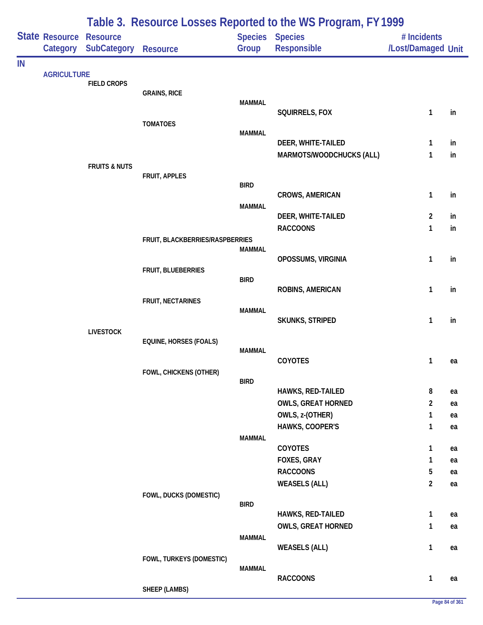|    |                                   | Table 3. Resource Losses Reported to the WS Program, FY 1999 |                                 |               |                                       |                                   |          |  |  |
|----|-----------------------------------|--------------------------------------------------------------|---------------------------------|---------------|---------------------------------------|-----------------------------------|----------|--|--|
|    | <b>State Resource</b><br>Category | <b>Resource</b><br><b>SubCategory</b>                        | Resource                        | Group         | Species Species<br>Responsible        | # Incidents<br>/Lost/Damaged Unit |          |  |  |
| IN |                                   |                                                              |                                 |               |                                       |                                   |          |  |  |
|    | <b>AGRICULTURE</b>                | <b>FIELD CROPS</b>                                           |                                 |               |                                       |                                   |          |  |  |
|    |                                   |                                                              | <b>GRAINS, RICE</b>             |               |                                       |                                   |          |  |  |
|    |                                   |                                                              |                                 | <b>MAMMAL</b> | SQUIRRELS, FOX                        | $\mathbf{1}$                      |          |  |  |
|    |                                   |                                                              | <b>TOMATOES</b>                 |               |                                       |                                   | in       |  |  |
|    |                                   |                                                              |                                 | <b>MAMMAL</b> |                                       |                                   |          |  |  |
|    |                                   |                                                              |                                 |               | DEER, WHITE-TAILED                    | 1                                 | in       |  |  |
|    |                                   |                                                              |                                 |               | MARMOTS/WOODCHUCKS (ALL)              | 1                                 | in       |  |  |
|    |                                   | <b>FRUITS &amp; NUTS</b>                                     | FRUIT, APPLES                   |               |                                       |                                   |          |  |  |
|    |                                   |                                                              |                                 | <b>BIRD</b>   |                                       |                                   |          |  |  |
|    |                                   |                                                              |                                 |               | CROWS, AMERICAN                       | 1                                 | in       |  |  |
|    |                                   |                                                              |                                 | <b>MAMMAL</b> |                                       | $\overline{2}$                    |          |  |  |
|    |                                   |                                                              |                                 |               | DEER, WHITE-TAILED<br><b>RACCOONS</b> | 1                                 | in<br>in |  |  |
|    |                                   |                                                              | FRUIT, BLACKBERRIES/RASPBERRIES |               |                                       |                                   |          |  |  |
|    |                                   |                                                              |                                 | <b>MAMMAL</b> |                                       |                                   |          |  |  |
|    |                                   |                                                              |                                 |               | OPOSSUMS, VIRGINIA                    | 1                                 | in       |  |  |
|    |                                   |                                                              | FRUIT, BLUEBERRIES              | <b>BIRD</b>   |                                       |                                   |          |  |  |
|    |                                   |                                                              |                                 |               | ROBINS, AMERICAN                      | 1                                 | in       |  |  |
|    |                                   |                                                              | FRUIT, NECTARINES               |               |                                       |                                   |          |  |  |
|    |                                   |                                                              |                                 | <b>MAMMAL</b> |                                       | $\mathbf{1}$                      | in       |  |  |
|    |                                   | <b>LIVESTOCK</b>                                             |                                 |               | SKUNKS, STRIPED                       |                                   |          |  |  |
|    |                                   |                                                              | <b>EQUINE, HORSES (FOALS)</b>   |               |                                       |                                   |          |  |  |
|    |                                   |                                                              |                                 | <b>MAMMAL</b> |                                       |                                   |          |  |  |
|    |                                   |                                                              |                                 |               | COYOTES                               | 1                                 | ea       |  |  |
|    |                                   |                                                              | FOWL, CHICKENS (OTHER)          | <b>BIRD</b>   |                                       |                                   |          |  |  |
|    |                                   |                                                              |                                 |               | HAWKS, RED-TAILED                     | 8                                 | ea       |  |  |
|    |                                   |                                                              |                                 |               | <b>OWLS, GREAT HORNED</b>             | $\overline{2}$                    | ea       |  |  |
|    |                                   |                                                              |                                 |               | OWLS, z-(OTHER)                       | $\mathbf{1}$                      | ea       |  |  |
|    |                                   |                                                              |                                 |               | HAWKS, COOPER'S                       | 1                                 | ea       |  |  |
|    |                                   |                                                              |                                 | <b>MAMMAL</b> | COYOTES                               | 1                                 | ea       |  |  |
|    |                                   |                                                              |                                 |               | FOXES, GRAY                           | 1                                 | ea       |  |  |
|    |                                   |                                                              |                                 |               | <b>RACCOONS</b>                       | 5                                 | ea       |  |  |
|    |                                   |                                                              |                                 |               | <b>WEASELS (ALL)</b>                  | $\overline{2}$                    | ea       |  |  |
|    |                                   |                                                              | FOWL, DUCKS (DOMESTIC)          |               |                                       |                                   |          |  |  |
|    |                                   |                                                              |                                 | <b>BIRD</b>   | HAWKS, RED-TAILED                     | 1                                 | ea       |  |  |
|    |                                   |                                                              |                                 |               | <b>OWLS, GREAT HORNED</b>             | 1                                 | ea       |  |  |
|    |                                   |                                                              |                                 | <b>MAMMAL</b> |                                       |                                   |          |  |  |
|    |                                   |                                                              |                                 |               | <b>WEASELS (ALL)</b>                  | 1                                 | ea       |  |  |
|    |                                   |                                                              | FOWL, TURKEYS (DOMESTIC)        |               |                                       |                                   |          |  |  |
|    |                                   |                                                              |                                 | <b>MAMMAL</b> | <b>RACCOONS</b>                       | 1                                 | ea       |  |  |
|    |                                   |                                                              | <b>SHEEP (LAMBS)</b>            |               |                                       |                                   |          |  |  |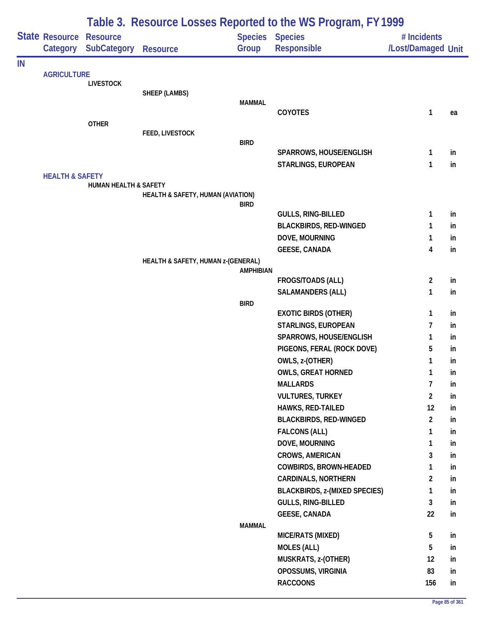| Table 3. Resource Losses Reported to the WS Program, FY 1999 |                            |                       |                                    |                  |                                           |                    |          |
|--------------------------------------------------------------|----------------------------|-----------------------|------------------------------------|------------------|-------------------------------------------|--------------------|----------|
|                                                              | State Resource             | <b>Resource</b>       |                                    | <b>Species</b>   | <b>Species</b>                            | # Incidents        |          |
|                                                              | Category                   | <b>SubCategory</b>    | <b>Resource</b>                    | Group            | Responsible                               | /Lost/Damaged Unit |          |
| IN                                                           |                            |                       |                                    |                  |                                           |                    |          |
|                                                              | <b>AGRICULTURE</b>         | <b>LIVESTOCK</b>      |                                    |                  |                                           |                    |          |
|                                                              |                            |                       | SHEEP (LAMBS)                      |                  |                                           |                    |          |
|                                                              |                            |                       |                                    | <b>MAMMAL</b>    |                                           |                    |          |
|                                                              |                            |                       |                                    |                  | <b>COYOTES</b>                            | 1                  | ea       |
|                                                              |                            | <b>OTHER</b>          | FEED, LIVESTOCK                    |                  |                                           |                    |          |
|                                                              |                            |                       |                                    | <b>BIRD</b>      |                                           |                    |          |
|                                                              |                            |                       |                                    |                  | SPARROWS, HOUSE/ENGLISH                   | $\mathbf{1}$       | in       |
|                                                              |                            |                       |                                    |                  | <b>STARLINGS, EUROPEAN</b>                | 1                  | in       |
|                                                              | <b>HEALTH &amp; SAFETY</b> |                       |                                    |                  |                                           |                    |          |
|                                                              |                            | HUMAN HEALTH & SAFETY |                                    |                  |                                           |                    |          |
|                                                              |                            |                       | HEALTH & SAFETY, HUMAN (AVIATION)  | <b>BIRD</b>      |                                           |                    |          |
|                                                              |                            |                       |                                    |                  | <b>GULLS, RING-BILLED</b>                 | 1                  | in       |
|                                                              |                            |                       |                                    |                  | <b>BLACKBIRDS, RED-WINGED</b>             | 1                  | in       |
|                                                              |                            |                       |                                    |                  | DOVE, MOURNING                            | 1                  | in       |
|                                                              |                            |                       |                                    |                  | <b>GEESE, CANADA</b>                      | 4                  | in       |
|                                                              |                            |                       | HEALTH & SAFETY, HUMAN z-(GENERAL) |                  |                                           |                    |          |
|                                                              |                            |                       |                                    | <b>AMPHIBIAN</b> |                                           |                    |          |
|                                                              |                            |                       |                                    |                  | FROGS/TOADS (ALL)                         | $\overline{2}$     | in<br>in |
|                                                              |                            |                       |                                    | <b>BIRD</b>      | <b>SALAMANDERS (ALL)</b>                  | 1                  |          |
|                                                              |                            |                       |                                    |                  | <b>EXOTIC BIRDS (OTHER)</b>               | 1                  | in       |
|                                                              |                            |                       |                                    |                  | STARLINGS, EUROPEAN                       | 7                  | in       |
|                                                              |                            |                       |                                    |                  | SPARROWS, HOUSE/ENGLISH                   | 1                  | in       |
|                                                              |                            |                       |                                    |                  | PIGEONS, FERAL (ROCK DOVE)                | 5                  | in       |
|                                                              |                            |                       |                                    |                  | OWLS, z-(OTHER)                           | 1                  | in       |
|                                                              |                            |                       |                                    |                  | <b>OWLS, GREAT HORNED</b>                 | 1                  | ın       |
|                                                              |                            |                       |                                    |                  | <b>MALLARDS</b>                           | $\overline{7}$     | in       |
|                                                              |                            |                       |                                    |                  | <b>VULTURES, TURKEY</b>                   | $\overline{2}$     | in       |
|                                                              |                            |                       |                                    |                  | HAWKS, RED-TAILED                         | 12                 | in       |
|                                                              |                            |                       |                                    |                  | <b>BLACKBIRDS, RED-WINGED</b>             | $\overline{2}$     | in       |
|                                                              |                            |                       |                                    |                  | <b>FALCONS (ALL)</b>                      | 1                  | in       |
|                                                              |                            |                       |                                    |                  | DOVE, MOURNING                            | 1                  | in       |
|                                                              |                            |                       |                                    |                  | <b>CROWS, AMERICAN</b>                    | 3                  | in       |
|                                                              |                            |                       |                                    |                  | COWBIRDS, BROWN-HEADED                    | 1                  | in       |
|                                                              |                            |                       |                                    |                  | <b>CARDINALS, NORTHERN</b>                | $\overline{a}$     | in       |
|                                                              |                            |                       |                                    |                  | <b>BLACKBIRDS, z-(MIXED SPECIES)</b>      | 1                  | in       |
|                                                              |                            |                       |                                    |                  | <b>GULLS, RING-BILLED</b>                 | 3                  | in       |
|                                                              |                            |                       |                                    |                  | <b>GEESE, CANADA</b>                      | 22                 | in       |
|                                                              |                            |                       |                                    | <b>MAMMAL</b>    |                                           |                    |          |
|                                                              |                            |                       |                                    |                  | MICE/RATS (MIXED)                         | 5<br>5             | in       |
|                                                              |                            |                       |                                    |                  | <b>MOLES (ALL)</b><br>MUSKRATS, z-(OTHER) | 12                 | in<br>in |
|                                                              |                            |                       |                                    |                  | OPOSSUMS, VIRGINIA                        | 83                 | in       |
|                                                              |                            |                       |                                    |                  | <b>RACCOONS</b>                           | 156                | in       |
|                                                              |                            |                       |                                    |                  |                                           |                    |          |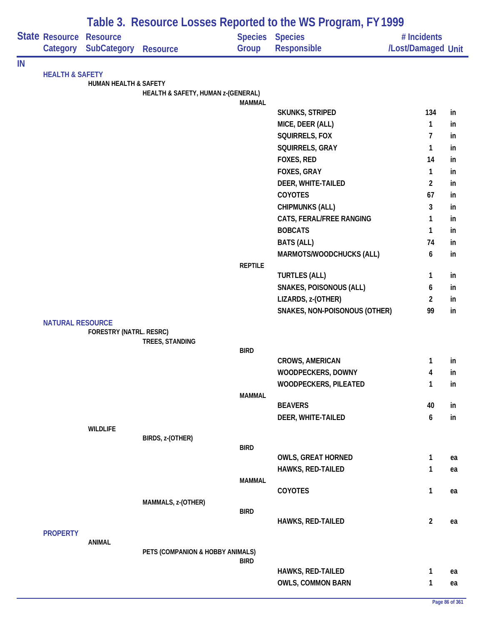|    |                            |                                |                                    |                | Table 3. Resource Losses Reported to the WS Program, FY 1999 |                                   |    |
|----|----------------------------|--------------------------------|------------------------------------|----------------|--------------------------------------------------------------|-----------------------------------|----|
|    | State Resource<br>Category | <b>Resource</b><br>SubCategory |                                    | Group          | <b>Species Species</b><br>Responsible                        | # Incidents<br>/Lost/Damaged Unit |    |
|    |                            |                                | <b>Resource</b>                    |                |                                                              |                                   |    |
| IN | <b>HEALTH &amp; SAFETY</b> |                                |                                    |                |                                                              |                                   |    |
|    |                            | HUMAN HEALTH & SAFETY          |                                    |                |                                                              |                                   |    |
|    |                            |                                | HEALTH & SAFETY, HUMAN z-(GENERAL) |                |                                                              |                                   |    |
|    |                            |                                |                                    | <b>MAMMAL</b>  | <b>SKUNKS, STRIPED</b>                                       | 134                               | in |
|    |                            |                                |                                    |                | MICE, DEER (ALL)                                             | 1                                 | in |
|    |                            |                                |                                    |                | SQUIRRELS, FOX                                               | 7                                 | in |
|    |                            |                                |                                    |                | SQUIRRELS, GRAY                                              | 1                                 | in |
|    |                            |                                |                                    |                | FOXES, RED                                                   | 14                                | in |
|    |                            |                                |                                    |                | FOXES, GRAY                                                  | 1                                 | in |
|    |                            |                                |                                    |                | DEER, WHITE-TAILED                                           | 2                                 | in |
|    |                            |                                |                                    |                | <b>COYOTES</b>                                               | 67                                | in |
|    |                            |                                |                                    |                | <b>CHIPMUNKS (ALL)</b>                                       | 3                                 | in |
|    |                            |                                |                                    |                | CATS, FERAL/FREE RANGING                                     | 1                                 | in |
|    |                            |                                |                                    |                | <b>BOBCATS</b>                                               | 1                                 | in |
|    |                            |                                |                                    |                | <b>BATS (ALL)</b>                                            | 74                                | in |
|    |                            |                                |                                    |                | MARMOTS/WOODCHUCKS (ALL)                                     | 6                                 | in |
|    |                            |                                |                                    | <b>REPTILE</b> |                                                              |                                   |    |
|    |                            |                                |                                    |                | <b>TURTLES (ALL)</b>                                         | 1                                 | in |
|    |                            |                                |                                    |                | <b>SNAKES, POISONOUS (ALL)</b>                               | 6                                 | in |
|    |                            |                                |                                    |                | LIZARDS, z-(OTHER)                                           | 2                                 | in |
|    |                            |                                |                                    |                | SNAKES, NON-POISONOUS (OTHER)                                | 99                                | in |
|    | <b>NATURAL RESOURCE</b>    |                                |                                    |                |                                                              |                                   |    |
|    |                            | FORESTRY (NATRL. RESRC)        |                                    |                |                                                              |                                   |    |
|    |                            |                                | TREES, STANDING                    | <b>BIRD</b>    |                                                              |                                   |    |
|    |                            |                                |                                    |                | <b>CROWS, AMERICAN</b>                                       | 1                                 | in |
|    |                            |                                |                                    |                | WOODPECKERS, DOWNY                                           | 4                                 | ın |
|    |                            |                                |                                    |                | <b>WOODPECKERS, PILEATED</b>                                 | 1                                 | in |
|    |                            |                                |                                    | MAMMAL         |                                                              |                                   |    |
|    |                            |                                |                                    |                | <b>BEAVERS</b>                                               | 40                                | in |
|    |                            |                                |                                    |                | DEER, WHITE-TAILED                                           | 6                                 | in |
|    |                            | <b>WILDLIFE</b>                |                                    |                |                                                              |                                   |    |
|    |                            |                                | BIRDS, z-(OTHER)                   |                |                                                              |                                   |    |
|    |                            |                                |                                    | <b>BIRD</b>    | <b>OWLS, GREAT HORNED</b>                                    | 1                                 | ea |
|    |                            |                                |                                    |                | <b>HAWKS, RED-TAILED</b>                                     | 1                                 | ea |
|    |                            |                                |                                    | MAMMAL         |                                                              |                                   |    |
|    |                            |                                |                                    |                | COYOTES                                                      | 1                                 | ea |
|    |                            |                                | MAMMALS, z-(OTHER)                 |                |                                                              |                                   |    |
|    |                            |                                |                                    | <b>BIRD</b>    |                                                              |                                   |    |
|    |                            |                                |                                    |                | HAWKS, RED-TAILED                                            | $\overline{2}$                    | ea |
|    | <b>PROPERTY</b>            |                                |                                    |                |                                                              |                                   |    |
|    |                            | <b>ANIMAL</b>                  | PETS (COMPANION & HOBBY ANIMALS)   |                |                                                              |                                   |    |
|    |                            |                                |                                    | <b>BIRD</b>    |                                                              |                                   |    |
|    |                            |                                |                                    |                | <b>HAWKS, RED-TAILED</b>                                     | 1                                 | ea |
|    |                            |                                |                                    |                | <b>OWLS, COMMON BARN</b>                                     | 1                                 | ea |
|    |                            |                                |                                    |                |                                                              |                                   |    |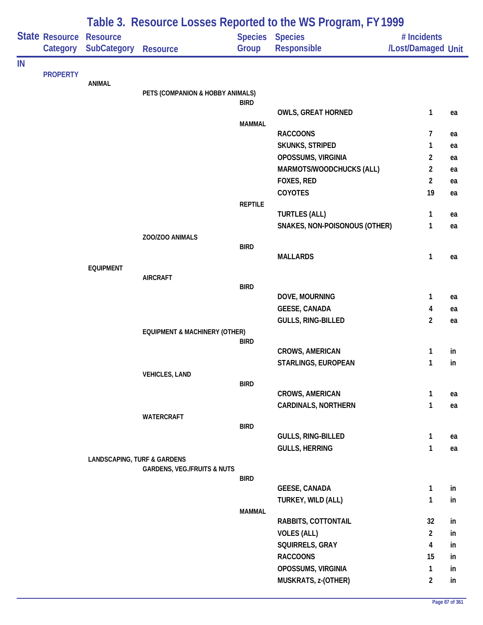|    |                            |                                       |                                          |                | Table 3. Resource Losses Reported to the WS Program, FY 1999 |                                   |    |
|----|----------------------------|---------------------------------------|------------------------------------------|----------------|--------------------------------------------------------------|-----------------------------------|----|
|    | State Resource<br>Category | <b>Resource</b><br><b>SubCategory</b> | <b>Resource</b>                          | Group          | Species Species<br>Responsible                               | # Incidents<br>/Lost/Damaged Unit |    |
| IN |                            |                                       |                                          |                |                                                              |                                   |    |
|    | <b>PROPERTY</b>            | <b>ANIMAL</b>                         |                                          |                |                                                              |                                   |    |
|    |                            |                                       | PETS (COMPANION & HOBBY ANIMALS)         |                |                                                              |                                   |    |
|    |                            |                                       |                                          | <b>BIRD</b>    | <b>OWLS, GREAT HORNED</b>                                    | $\mathbf{1}$                      |    |
|    |                            |                                       |                                          | <b>MAMMAL</b>  |                                                              |                                   | ea |
|    |                            |                                       |                                          |                | <b>RACCOONS</b>                                              | 7                                 | ea |
|    |                            |                                       |                                          |                | SKUNKS, STRIPED                                              | 1                                 | ea |
|    |                            |                                       |                                          |                | OPOSSUMS, VIRGINIA                                           | $\overline{2}$                    | ea |
|    |                            |                                       |                                          |                | MARMOTS/WOODCHUCKS (ALL)                                     | $\overline{2}$                    | ea |
|    |                            |                                       |                                          |                | FOXES, RED                                                   | $\overline{2}$                    | ea |
|    |                            |                                       |                                          |                | COYOTES                                                      | 19                                | ea |
|    |                            |                                       |                                          | <b>REPTILE</b> |                                                              |                                   |    |
|    |                            |                                       |                                          |                | <b>TURTLES (ALL)</b>                                         | 1                                 | ea |
|    |                            |                                       |                                          |                | SNAKES, NON-POISONOUS (OTHER)                                | 1                                 | ea |
|    |                            |                                       | ZOO/ZOO ANIMALS                          | <b>BIRD</b>    |                                                              |                                   |    |
|    |                            |                                       |                                          |                | <b>MALLARDS</b>                                              | 1                                 | ea |
|    |                            | <b>EQUIPMENT</b>                      |                                          |                |                                                              |                                   |    |
|    |                            |                                       | <b>AIRCRAFT</b>                          | <b>BIRD</b>    |                                                              |                                   |    |
|    |                            |                                       |                                          |                | DOVE, MOURNING                                               | 1                                 | ea |
|    |                            |                                       |                                          |                | <b>GEESE, CANADA</b>                                         | 4                                 | ea |
|    |                            |                                       |                                          |                | GULLS, RING-BILLED                                           | $\overline{2}$                    | ea |
|    |                            |                                       | <b>EQUIPMENT &amp; MACHINERY (OTHER)</b> |                |                                                              |                                   |    |
|    |                            |                                       |                                          | <b>BIRD</b>    |                                                              |                                   |    |
|    |                            |                                       |                                          |                | <b>CROWS, AMERICAN</b>                                       | 1                                 | in |
|    |                            |                                       |                                          |                | STARLINGS, EUROPEAN                                          | 1                                 | in |
|    |                            |                                       | <b>VEHICLES, LAND</b>                    | <b>BIRD</b>    |                                                              |                                   |    |
|    |                            |                                       |                                          |                | CROWS, AMERICAN                                              | 1                                 | ea |
|    |                            |                                       |                                          |                | <b>CARDINALS, NORTHERN</b>                                   | 1                                 | ea |
|    |                            |                                       | WATERCRAFT                               |                |                                                              |                                   |    |
|    |                            |                                       |                                          | <b>BIRD</b>    |                                                              |                                   |    |
|    |                            |                                       |                                          |                | GULLS, RING-BILLED<br><b>GULLS, HERRING</b>                  | 1<br>1                            | ea |
|    |                            | LANDSCAPING, TURF & GARDENS           |                                          |                |                                                              |                                   | ea |
|    |                            |                                       | <b>GARDENS, VEG./FRUITS &amp; NUTS</b>   |                |                                                              |                                   |    |
|    |                            |                                       |                                          | <b>BIRD</b>    |                                                              |                                   |    |
|    |                            |                                       |                                          |                | <b>GEESE, CANADA</b>                                         | 1                                 | in |
|    |                            |                                       |                                          |                | TURKEY, WILD (ALL)                                           | 1                                 | in |
|    |                            |                                       |                                          | <b>MAMMAL</b>  | RABBITS, COTTONTAIL                                          | 32                                | in |
|    |                            |                                       |                                          |                | <b>VOLES (ALL)</b>                                           | $\overline{2}$                    | in |
|    |                            |                                       |                                          |                | SQUIRRELS, GRAY                                              | 4                                 | in |
|    |                            |                                       |                                          |                | <b>RACCOONS</b>                                              | 15                                | in |
|    |                            |                                       |                                          |                | OPOSSUMS, VIRGINIA                                           | $\mathbf{1}$                      | in |
|    |                            |                                       |                                          |                | MUSKRATS, z-(OTHER)                                          | $\overline{2}$                    | in |
|    |                            |                                       |                                          |                |                                                              |                                   |    |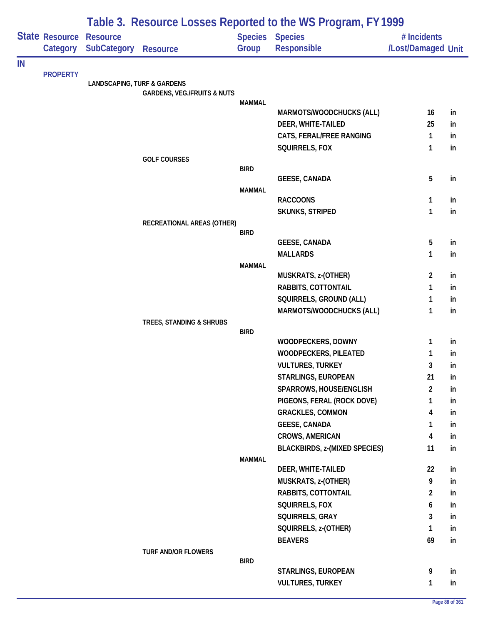|    |                 | Table 3. Resource Losses Reported to the WS Program, FY 1999 |                                        |                |                                            |                    |          |  |  |
|----|-----------------|--------------------------------------------------------------|----------------------------------------|----------------|--------------------------------------------|--------------------|----------|--|--|
|    | State Resource  | <b>Resource</b>                                              |                                        | <b>Species</b> | <b>Species</b>                             | # Incidents        |          |  |  |
|    | Category        | <b>SubCategory</b>                                           | <b>Resource</b>                        | Group          | Responsible                                | /Lost/Damaged Unit |          |  |  |
| IN |                 |                                                              |                                        |                |                                            |                    |          |  |  |
|    | <b>PROPERTY</b> |                                                              |                                        |                |                                            |                    |          |  |  |
|    |                 | <b>LANDSCAPING, TURF &amp; GARDENS</b>                       | <b>GARDENS, VEG./FRUITS &amp; NUTS</b> |                |                                            |                    |          |  |  |
|    |                 |                                                              |                                        | <b>MAMMAL</b>  |                                            |                    |          |  |  |
|    |                 |                                                              |                                        |                | MARMOTS/WOODCHUCKS (ALL)                   | 16                 | in       |  |  |
|    |                 |                                                              |                                        |                | DEER, WHITE-TAILED                         | 25                 | in       |  |  |
|    |                 |                                                              |                                        |                | CATS, FERAL/FREE RANGING                   | 1                  | in       |  |  |
|    |                 |                                                              |                                        |                | SQUIRRELS, FOX                             | 1                  | in       |  |  |
|    |                 |                                                              | <b>GOLF COURSES</b>                    | <b>BIRD</b>    |                                            |                    |          |  |  |
|    |                 |                                                              |                                        |                | <b>GEESE, CANADA</b>                       | 5                  | in       |  |  |
|    |                 |                                                              |                                        | <b>MAMMAL</b>  |                                            |                    |          |  |  |
|    |                 |                                                              |                                        |                | <b>RACCOONS</b>                            | 1                  | in       |  |  |
|    |                 |                                                              |                                        |                | SKUNKS, STRIPED                            | 1                  | in       |  |  |
|    |                 |                                                              | RECREATIONAL AREAS (OTHER)             |                |                                            |                    |          |  |  |
|    |                 |                                                              |                                        | <b>BIRD</b>    |                                            |                    |          |  |  |
|    |                 |                                                              |                                        |                | <b>GEESE, CANADA</b>                       | 5                  | in       |  |  |
|    |                 |                                                              |                                        |                | <b>MALLARDS</b>                            | 1                  | in       |  |  |
|    |                 |                                                              |                                        | <b>MAMMAL</b>  | MUSKRATS, z-(OTHER)                        | $\overline{2}$     | in       |  |  |
|    |                 |                                                              |                                        |                | RABBITS, COTTONTAIL                        | 1                  | in       |  |  |
|    |                 |                                                              |                                        |                | SQUIRRELS, GROUND (ALL)                    | 1                  | in       |  |  |
|    |                 |                                                              |                                        |                | MARMOTS/WOODCHUCKS (ALL)                   | $\mathbf{1}$       | in       |  |  |
|    |                 |                                                              | TREES, STANDING & SHRUBS               |                |                                            |                    |          |  |  |
|    |                 |                                                              |                                        | <b>BIRD</b>    |                                            |                    |          |  |  |
|    |                 |                                                              |                                        |                | WOODPECKERS, DOWNY                         | 1                  | in       |  |  |
|    |                 |                                                              |                                        |                | WOODPECKERS, PILEATED                      | 1                  | in       |  |  |
|    |                 |                                                              |                                        |                | <b>VULTURES, TURKEY</b>                    | 3                  | in       |  |  |
|    |                 |                                                              |                                        |                | <b>STARLINGS, EUROPEAN</b>                 | 21                 | in       |  |  |
|    |                 |                                                              |                                        |                | SPARROWS, HOUSE/ENGLISH                    | $\overline{c}$     | in       |  |  |
|    |                 |                                                              |                                        |                | PIGEONS, FERAL (ROCK DOVE)                 | 1                  | in       |  |  |
|    |                 |                                                              |                                        |                | <b>GRACKLES, COMMON</b>                    | 4                  | in       |  |  |
|    |                 |                                                              |                                        |                | <b>GEESE, CANADA</b>                       | 1                  | in       |  |  |
|    |                 |                                                              |                                        |                | <b>CROWS, AMERICAN</b>                     | 4                  | in       |  |  |
|    |                 |                                                              |                                        |                | <b>BLACKBIRDS, z-(MIXED SPECIES)</b>       | 11                 | in       |  |  |
|    |                 |                                                              |                                        | <b>MAMMAL</b>  |                                            |                    |          |  |  |
|    |                 |                                                              |                                        |                | DEER, WHITE-TAILED                         | 22<br>9            | in       |  |  |
|    |                 |                                                              |                                        |                | MUSKRATS, z-(OTHER)<br>RABBITS, COTTONTAIL | $\overline{2}$     | in       |  |  |
|    |                 |                                                              |                                        |                | SQUIRRELS, FOX                             | 6                  | in<br>in |  |  |
|    |                 |                                                              |                                        |                | SQUIRRELS, GRAY                            | 3                  | in       |  |  |
|    |                 |                                                              |                                        |                | SQUIRRELS, z-(OTHER)                       | 1                  | in       |  |  |
|    |                 |                                                              |                                        |                | <b>BEAVERS</b>                             | 69                 | in       |  |  |
|    |                 |                                                              | <b>TURF AND/OR FLOWERS</b>             |                |                                            |                    |          |  |  |
|    |                 |                                                              |                                        | <b>BIRD</b>    |                                            |                    |          |  |  |
|    |                 |                                                              |                                        |                | STARLINGS, EUROPEAN                        | 9                  | in       |  |  |
|    |                 |                                                              |                                        |                | <b>VULTURES, TURKEY</b>                    | 1                  | in       |  |  |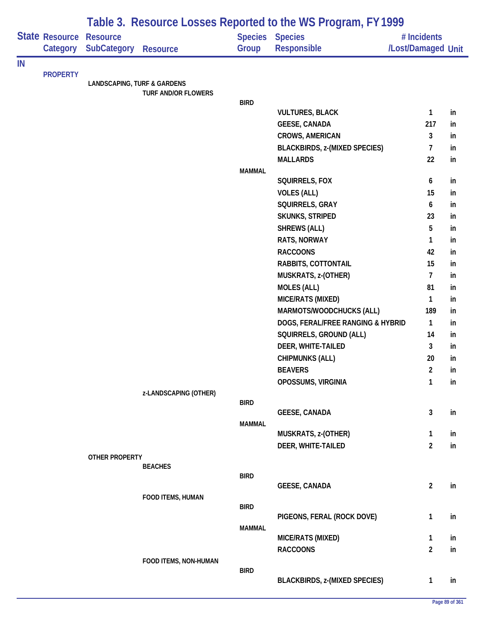|    |                            | Table 3. Resource Losses Reported to the WS Program, FY 1999 |                            |                         |                                      |                                   |           |  |  |
|----|----------------------------|--------------------------------------------------------------|----------------------------|-------------------------|--------------------------------------|-----------------------------------|-----------|--|--|
|    | State Resource<br>Category | <b>Resource</b><br><b>SubCategory</b>                        | <b>Resource</b>            | <b>Species</b><br>Group | <b>Species</b><br>Responsible        | # Incidents<br>/Lost/Damaged Unit |           |  |  |
| IN |                            |                                                              |                            |                         |                                      |                                   |           |  |  |
|    | <b>PROPERTY</b>            | <b>LANDSCAPING, TURF &amp; GARDENS</b>                       |                            |                         |                                      |                                   |           |  |  |
|    |                            |                                                              | <b>TURF AND/OR FLOWERS</b> |                         |                                      |                                   |           |  |  |
|    |                            |                                                              |                            | <b>BIRD</b>             |                                      |                                   |           |  |  |
|    |                            |                                                              |                            |                         | <b>VULTURES, BLACK</b>               | 1                                 | in        |  |  |
|    |                            |                                                              |                            |                         | <b>GEESE, CANADA</b>                 | 217                               | in        |  |  |
|    |                            |                                                              |                            |                         | <b>CROWS, AMERICAN</b>               | 3                                 | in        |  |  |
|    |                            |                                                              |                            |                         | <b>BLACKBIRDS, z-(MIXED SPECIES)</b> | $\overline{7}$                    | in        |  |  |
|    |                            |                                                              |                            |                         | <b>MALLARDS</b>                      | 22                                | in        |  |  |
|    |                            |                                                              |                            | <b>MAMMAL</b>           | SQUIRRELS, FOX                       | 6                                 | in        |  |  |
|    |                            |                                                              |                            |                         | <b>VOLES (ALL)</b>                   | 15                                | in        |  |  |
|    |                            |                                                              |                            |                         | SQUIRRELS, GRAY                      | 6                                 | in        |  |  |
|    |                            |                                                              |                            |                         | SKUNKS, STRIPED                      | 23                                | in        |  |  |
|    |                            |                                                              |                            |                         | <b>SHREWS (ALL)</b>                  | 5                                 | in        |  |  |
|    |                            |                                                              |                            |                         | RATS, NORWAY                         | 1                                 | in        |  |  |
|    |                            |                                                              |                            |                         | <b>RACCOONS</b>                      | 42                                | in        |  |  |
|    |                            |                                                              |                            |                         | RABBITS, COTTONTAIL                  | 15                                | in        |  |  |
|    |                            |                                                              |                            |                         | MUSKRATS, z-(OTHER)                  | $\overline{7}$                    | in        |  |  |
|    |                            |                                                              |                            |                         | <b>MOLES (ALL)</b>                   | 81                                | in        |  |  |
|    |                            |                                                              |                            |                         | MICE/RATS (MIXED)                    | 1                                 | in        |  |  |
|    |                            |                                                              |                            |                         | MARMOTS/WOODCHUCKS (ALL)             | 189                               | in        |  |  |
|    |                            |                                                              |                            |                         | DOGS, FERAL/FREE RANGING & HYBRID    | $\mathbf{1}$                      | in        |  |  |
|    |                            |                                                              |                            |                         | SQUIRRELS, GROUND (ALL)              | 14                                | in        |  |  |
|    |                            |                                                              |                            |                         | DEER, WHITE-TAILED                   | 3                                 | in        |  |  |
|    |                            |                                                              |                            |                         | <b>CHIPMUNKS (ALL)</b>               | 20                                | in        |  |  |
|    |                            |                                                              |                            |                         | <b>BEAVERS</b>                       | $\overline{2}$                    |           |  |  |
|    |                            |                                                              |                            |                         | OPOSSUMS, VIRGINIA                   | 1                                 | In.<br>in |  |  |
|    |                            |                                                              | z-LANDSCAPING (OTHER)      |                         |                                      |                                   |           |  |  |
|    |                            |                                                              |                            | <b>BIRD</b>             |                                      |                                   |           |  |  |
|    |                            |                                                              |                            |                         | <b>GEESE, CANADA</b>                 | 3                                 | in        |  |  |
|    |                            |                                                              |                            | <b>MAMMAL</b>           |                                      |                                   |           |  |  |
|    |                            |                                                              |                            |                         | MUSKRATS, z-(OTHER)                  | 1                                 | in        |  |  |
|    |                            |                                                              |                            |                         | DEER, WHITE-TAILED                   | $\overline{2}$                    | in        |  |  |
|    |                            | <b>OTHER PROPERTY</b>                                        |                            |                         |                                      |                                   |           |  |  |
|    |                            |                                                              | <b>BEACHES</b>             | <b>BIRD</b>             |                                      |                                   |           |  |  |
|    |                            |                                                              |                            |                         | <b>GEESE, CANADA</b>                 | $\overline{2}$                    | in        |  |  |
|    |                            |                                                              | FOOD ITEMS, HUMAN          |                         |                                      |                                   |           |  |  |
|    |                            |                                                              |                            | <b>BIRD</b>             |                                      |                                   |           |  |  |
|    |                            |                                                              |                            |                         | PIGEONS, FERAL (ROCK DOVE)           | 1                                 | in        |  |  |
|    |                            |                                                              |                            | <b>MAMMAL</b>           |                                      |                                   |           |  |  |
|    |                            |                                                              |                            |                         | MICE/RATS (MIXED)                    | 1                                 | in        |  |  |
|    |                            |                                                              |                            |                         | <b>RACCOONS</b>                      | $\overline{2}$                    | in        |  |  |
|    |                            |                                                              | FOOD ITEMS, NON-HUMAN      | <b>BIRD</b>             |                                      |                                   |           |  |  |
|    |                            |                                                              |                            |                         | <b>BLACKBIRDS, z-(MIXED SPECIES)</b> | $\mathbf{1}$                      | in        |  |  |
|    |                            |                                                              |                            |                         |                                      |                                   |           |  |  |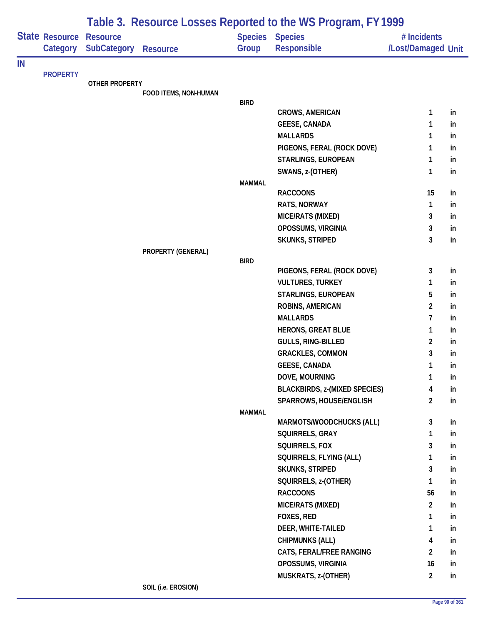|    |                                   | Table 3. Resource Losses Reported to the WS Program, FY 1999 |                       |               |                                              |                                   |    |  |  |
|----|-----------------------------------|--------------------------------------------------------------|-----------------------|---------------|----------------------------------------------|-----------------------------------|----|--|--|
|    | <b>State Resource</b><br>Category | <b>Resource</b><br><b>SubCategory</b>                        | <b>Resource</b>       | Group         | <b>Species Species</b><br><b>Responsible</b> | # Incidents<br>/Lost/Damaged Unit |    |  |  |
| IN |                                   |                                                              |                       |               |                                              |                                   |    |  |  |
|    | <b>PROPERTY</b>                   | <b>OTHER PROPERTY</b>                                        |                       |               |                                              |                                   |    |  |  |
|    |                                   |                                                              | FOOD ITEMS, NON-HUMAN |               |                                              |                                   |    |  |  |
|    |                                   |                                                              |                       | <b>BIRD</b>   |                                              |                                   |    |  |  |
|    |                                   |                                                              |                       |               | <b>CROWS, AMERICAN</b>                       | 1                                 | in |  |  |
|    |                                   |                                                              |                       |               | <b>GEESE, CANADA</b>                         | 1                                 | in |  |  |
|    |                                   |                                                              |                       |               | <b>MALLARDS</b>                              | 1                                 | in |  |  |
|    |                                   |                                                              |                       |               | PIGEONS, FERAL (ROCK DOVE)                   | 1                                 | in |  |  |
|    |                                   |                                                              |                       |               | STARLINGS, EUROPEAN                          | $\mathbf{1}$                      | in |  |  |
|    |                                   |                                                              |                       |               | SWANS, z-(OTHER)                             | 1                                 | in |  |  |
|    |                                   |                                                              |                       | <b>MAMMAL</b> | <b>RACCOONS</b>                              | 15                                | in |  |  |
|    |                                   |                                                              |                       |               | RATS, NORWAY                                 | $\mathbf{1}$                      | in |  |  |
|    |                                   |                                                              |                       |               | MICE/RATS (MIXED)                            | 3                                 | in |  |  |
|    |                                   |                                                              |                       |               | OPOSSUMS, VIRGINIA                           | 3                                 | in |  |  |
|    |                                   |                                                              |                       |               | SKUNKS, STRIPED                              | 3                                 | in |  |  |
|    |                                   |                                                              | PROPERTY (GENERAL)    |               |                                              |                                   |    |  |  |
|    |                                   |                                                              |                       | <b>BIRD</b>   |                                              |                                   |    |  |  |
|    |                                   |                                                              |                       |               | PIGEONS, FERAL (ROCK DOVE)                   | 3                                 | in |  |  |
|    |                                   |                                                              |                       |               | <b>VULTURES, TURKEY</b>                      | 1                                 | in |  |  |
|    |                                   |                                                              |                       |               | STARLINGS, EUROPEAN                          | 5                                 | in |  |  |
|    |                                   |                                                              |                       |               | ROBINS, AMERICAN                             | $\overline{2}$                    | in |  |  |
|    |                                   |                                                              |                       |               | <b>MALLARDS</b>                              | $\overline{7}$                    | in |  |  |
|    |                                   |                                                              |                       |               | <b>HERONS, GREAT BLUE</b>                    | $\mathbf{1}$                      | in |  |  |
|    |                                   |                                                              |                       |               | GULLS, RING-BILLED                           | $\overline{2}$                    | in |  |  |
|    |                                   |                                                              |                       |               | <b>GRACKLES, COMMON</b>                      | 3                                 | in |  |  |
|    |                                   |                                                              |                       |               | <b>GEESE, CANADA</b>                         | 1                                 | in |  |  |
|    |                                   |                                                              |                       |               | DOVE, MOURNING                               | $\mathbf{1}$                      | in |  |  |
|    |                                   |                                                              |                       |               | <b>BLACKBIRDS, z-(MIXED SPECIES)</b>         | $\overline{\mathbf{4}}$           | in |  |  |
|    |                                   |                                                              |                       | <b>MAMMAL</b> | SPARROWS, HOUSE/ENGLISH                      | $\overline{2}$                    | in |  |  |
|    |                                   |                                                              |                       |               | MARMOTS/WOODCHUCKS (ALL)                     | 3                                 | in |  |  |
|    |                                   |                                                              |                       |               | SQUIRRELS, GRAY                              | 1                                 | in |  |  |
|    |                                   |                                                              |                       |               | SQUIRRELS, FOX                               | 3                                 | in |  |  |
|    |                                   |                                                              |                       |               | SQUIRRELS, FLYING (ALL)                      | 1                                 | in |  |  |
|    |                                   |                                                              |                       |               | <b>SKUNKS, STRIPED</b>                       | 3                                 | in |  |  |
|    |                                   |                                                              |                       |               | SQUIRRELS, z-(OTHER)                         | $\mathbf{1}$                      | in |  |  |
|    |                                   |                                                              |                       |               | <b>RACCOONS</b>                              | 56                                | in |  |  |
|    |                                   |                                                              |                       |               | MICE/RATS (MIXED)                            | $\overline{2}$                    | in |  |  |
|    |                                   |                                                              |                       |               | <b>FOXES, RED</b>                            | 1                                 | in |  |  |
|    |                                   |                                                              |                       |               | DEER, WHITE-TAILED                           | 1                                 | in |  |  |
|    |                                   |                                                              |                       |               | <b>CHIPMUNKS (ALL)</b>                       | 4                                 | in |  |  |
|    |                                   |                                                              |                       |               | CATS, FERAL/FREE RANGING                     | $\overline{2}$                    | in |  |  |
|    |                                   |                                                              |                       |               | OPOSSUMS, VIRGINIA                           | 16                                | in |  |  |
|    |                                   |                                                              |                       |               | MUSKRATS, z-(OTHER)                          | $\overline{2}$                    | in |  |  |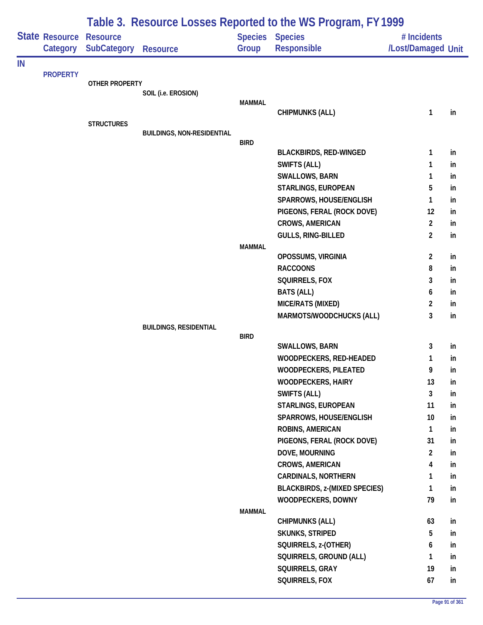|    |                            | Table 3. Resource Losses Reported to the WS Program, FY 1999 |                                   |               |                                                |                                   |          |  |  |
|----|----------------------------|--------------------------------------------------------------|-----------------------------------|---------------|------------------------------------------------|-----------------------------------|----------|--|--|
|    | State Resource<br>Category | <b>Resource</b><br><b>SubCategory</b>                        | <b>Resource</b>                   | Group         | <b>Species Species</b><br><b>Responsible</b>   | # Incidents<br>/Lost/Damaged Unit |          |  |  |
| IN |                            |                                                              |                                   |               |                                                |                                   |          |  |  |
|    | <b>PROPERTY</b>            | <b>OTHER PROPERTY</b>                                        |                                   |               |                                                |                                   |          |  |  |
|    |                            |                                                              | SOIL (i.e. EROSION)               |               |                                                |                                   |          |  |  |
|    |                            |                                                              |                                   | <b>MAMMAL</b> |                                                |                                   |          |  |  |
|    |                            | <b>STRUCTURES</b>                                            |                                   |               | <b>CHIPMUNKS (ALL)</b>                         | 1                                 | in       |  |  |
|    |                            |                                                              | <b>BUILDINGS, NON-RESIDENTIAL</b> |               |                                                |                                   |          |  |  |
|    |                            |                                                              |                                   | <b>BIRD</b>   |                                                |                                   |          |  |  |
|    |                            |                                                              |                                   |               | <b>BLACKBIRDS, RED-WINGED</b>                  | 1                                 | in       |  |  |
|    |                            |                                                              |                                   |               | <b>SWIFTS (ALL)</b>                            | 1                                 | in       |  |  |
|    |                            |                                                              |                                   |               | <b>SWALLOWS, BARN</b>                          | 1                                 | in       |  |  |
|    |                            |                                                              |                                   |               | STARLINGS, EUROPEAN<br>SPARROWS, HOUSE/ENGLISH | 5<br>1                            | in       |  |  |
|    |                            |                                                              |                                   |               | PIGEONS, FERAL (ROCK DOVE)                     | 12                                | in<br>in |  |  |
|    |                            |                                                              |                                   |               | <b>CROWS, AMERICAN</b>                         | $\overline{2}$                    | in       |  |  |
|    |                            |                                                              |                                   |               | GULLS, RING-BILLED                             | $\overline{2}$                    | in       |  |  |
|    |                            |                                                              |                                   | <b>MAMMAL</b> |                                                |                                   |          |  |  |
|    |                            |                                                              |                                   |               | OPOSSUMS, VIRGINIA                             | $\overline{2}$                    | in       |  |  |
|    |                            |                                                              |                                   |               | <b>RACCOONS</b>                                | 8                                 | in       |  |  |
|    |                            |                                                              |                                   |               | SQUIRRELS, FOX                                 | 3                                 | in       |  |  |
|    |                            |                                                              |                                   |               | <b>BATS (ALL)</b>                              | 6                                 | in       |  |  |
|    |                            |                                                              |                                   |               | MICE/RATS (MIXED)                              | $\overline{2}$                    | in       |  |  |
|    |                            |                                                              |                                   |               | MARMOTS/WOODCHUCKS (ALL)                       | 3                                 | in       |  |  |
|    |                            |                                                              | <b>BUILDINGS, RESIDENTIAL</b>     | <b>BIRD</b>   |                                                |                                   |          |  |  |
|    |                            |                                                              |                                   |               | SWALLOWS, BARN                                 | 3                                 | in       |  |  |
|    |                            |                                                              |                                   |               | WOODPECKERS, RED-HEADED                        | 1                                 | in       |  |  |
|    |                            |                                                              |                                   |               | WOODPECKERS, PILEATED                          | 9                                 | In.      |  |  |
|    |                            |                                                              |                                   |               | <b>WOODPECKERS, HAIRY</b>                      | 13                                | in       |  |  |
|    |                            |                                                              |                                   |               | SWIFTS (ALL)                                   | 3                                 | in       |  |  |
|    |                            |                                                              |                                   |               | STARLINGS, EUROPEAN                            | 11                                | in       |  |  |
|    |                            |                                                              |                                   |               | SPARROWS, HOUSE/ENGLISH                        | 10                                | in       |  |  |
|    |                            |                                                              |                                   |               | ROBINS, AMERICAN                               | 1                                 | in       |  |  |
|    |                            |                                                              |                                   |               | PIGEONS, FERAL (ROCK DOVE)                     | 31                                | in       |  |  |
|    |                            |                                                              |                                   |               | DOVE, MOURNING                                 | $\overline{2}$                    | in       |  |  |
|    |                            |                                                              |                                   |               | <b>CROWS, AMERICAN</b>                         | 4                                 | in       |  |  |
|    |                            |                                                              |                                   |               | <b>CARDINALS, NORTHERN</b>                     | 1                                 | in       |  |  |
|    |                            |                                                              |                                   |               | <b>BLACKBIRDS, z-(MIXED SPECIES)</b>           | 1                                 | in       |  |  |
|    |                            |                                                              |                                   |               | WOODPECKERS, DOWNY                             | 79                                | in       |  |  |
|    |                            |                                                              |                                   | <b>MAMMAL</b> | <b>CHIPMUNKS (ALL)</b>                         | 63                                | in       |  |  |
|    |                            |                                                              |                                   |               | <b>SKUNKS, STRIPED</b>                         | 5                                 | in       |  |  |
|    |                            |                                                              |                                   |               | SQUIRRELS, z-(OTHER)                           | 6                                 | in       |  |  |
|    |                            |                                                              |                                   |               | SQUIRRELS, GROUND (ALL)                        | 1                                 | in       |  |  |
|    |                            |                                                              |                                   |               | SQUIRRELS, GRAY                                | 19                                | in       |  |  |
|    |                            |                                                              |                                   |               | SQUIRRELS, FOX                                 | 67                                | in       |  |  |
|    |                            |                                                              |                                   |               |                                                |                                   |          |  |  |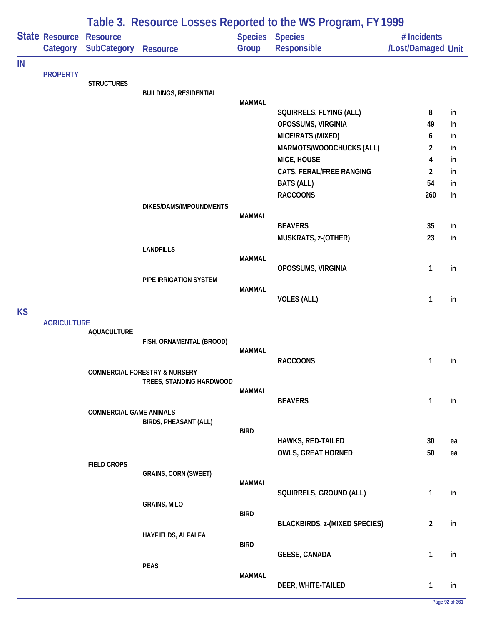|           |                            | Table 3. Resource Losses Reported to the WS Program, FY 1999 |                                          |               |                                      |                                   |    |  |  |  |
|-----------|----------------------------|--------------------------------------------------------------|------------------------------------------|---------------|--------------------------------------|-----------------------------------|----|--|--|--|
|           | State Resource<br>Category | <b>Resource</b><br><b>SubCategory</b>                        | <b>Resource</b>                          | Group         | Species Species<br>Responsible       | # Incidents<br>/Lost/Damaged Unit |    |  |  |  |
| IN        |                            |                                                              |                                          |               |                                      |                                   |    |  |  |  |
|           | <b>PROPERTY</b>            | <b>STRUCTURES</b>                                            |                                          |               |                                      |                                   |    |  |  |  |
|           |                            |                                                              | <b>BUILDINGS, RESIDENTIAL</b>            | <b>MAMMAL</b> |                                      |                                   |    |  |  |  |
|           |                            |                                                              |                                          |               | SQUIRRELS, FLYING (ALL)              | 8                                 | in |  |  |  |
|           |                            |                                                              |                                          |               | OPOSSUMS, VIRGINIA                   | 49                                | in |  |  |  |
|           |                            |                                                              |                                          |               | MICE/RATS (MIXED)                    | 6                                 | in |  |  |  |
|           |                            |                                                              |                                          |               | MARMOTS/WOODCHUCKS (ALL)             | $\overline{c}$                    | in |  |  |  |
|           |                            |                                                              |                                          |               | MICE, HOUSE                          | 4                                 | in |  |  |  |
|           |                            |                                                              |                                          |               | CATS, FERAL/FREE RANGING             | $\overline{2}$                    | in |  |  |  |
|           |                            |                                                              |                                          |               | <b>BATS (ALL)</b><br><b>RACCOONS</b> | 54                                | in |  |  |  |
|           |                            |                                                              | DIKES/DAMS/IMPOUNDMENTS                  |               |                                      | 260                               | in |  |  |  |
|           |                            |                                                              |                                          | <b>MAMMAL</b> |                                      |                                   |    |  |  |  |
|           |                            |                                                              |                                          |               | <b>BEAVERS</b>                       | 35                                | in |  |  |  |
|           |                            |                                                              |                                          |               | MUSKRATS, z-(OTHER)                  | 23                                | in |  |  |  |
|           |                            |                                                              | <b>LANDFILLS</b>                         | <b>MAMMAL</b> |                                      |                                   |    |  |  |  |
|           |                            |                                                              |                                          |               | OPOSSUMS, VIRGINIA                   | 1                                 | in |  |  |  |
|           |                            |                                                              | PIPE IRRIGATION SYSTEM                   |               |                                      |                                   |    |  |  |  |
|           |                            |                                                              |                                          | <b>MAMMAL</b> | <b>VOLES (ALL)</b>                   | $\mathbf{1}$                      | in |  |  |  |
| <b>KS</b> |                            |                                                              |                                          |               |                                      |                                   |    |  |  |  |
|           | <b>AGRICULTURE</b>         |                                                              |                                          |               |                                      |                                   |    |  |  |  |
|           |                            | <b>AQUACULTURE</b>                                           |                                          |               |                                      |                                   |    |  |  |  |
|           |                            |                                                              | FISH, ORNAMENTAL (BROOD)                 | <b>MAMMAL</b> |                                      |                                   |    |  |  |  |
|           |                            |                                                              |                                          |               | <b>RACCOONS</b>                      | 1                                 | in |  |  |  |
|           |                            |                                                              | <b>COMMERCIAL FORESTRY &amp; NURSERY</b> |               |                                      |                                   |    |  |  |  |
|           |                            |                                                              | TREES, STANDING HARDWOOD                 |               |                                      |                                   |    |  |  |  |
|           |                            |                                                              |                                          | <b>MAMMAL</b> | <b>BEAVERS</b>                       | $\mathbf{1}$                      | in |  |  |  |
|           |                            | <b>COMMERCIAL GAME ANIMALS</b>                               |                                          |               |                                      |                                   |    |  |  |  |
|           |                            |                                                              | <b>BIRDS, PHEASANT (ALL)</b>             |               |                                      |                                   |    |  |  |  |
|           |                            |                                                              |                                          | <b>BIRD</b>   | <b>HAWKS, RED-TAILED</b>             | 30                                | ea |  |  |  |
|           |                            |                                                              |                                          |               | <b>OWLS, GREAT HORNED</b>            | 50                                | ea |  |  |  |
|           |                            | <b>FIELD CROPS</b>                                           |                                          |               |                                      |                                   |    |  |  |  |
|           |                            |                                                              | <b>GRAINS, CORN (SWEET)</b>              |               |                                      |                                   |    |  |  |  |
|           |                            |                                                              |                                          | <b>MAMMAL</b> | SQUIRRELS, GROUND (ALL)              | $\mathbf{1}$                      | in |  |  |  |
|           |                            |                                                              | <b>GRAINS, MILO</b>                      |               |                                      |                                   |    |  |  |  |
|           |                            |                                                              |                                          | <b>BIRD</b>   |                                      |                                   |    |  |  |  |
|           |                            |                                                              |                                          |               | <b>BLACKBIRDS, z-(MIXED SPECIES)</b> | $\overline{2}$                    | in |  |  |  |
|           |                            |                                                              | HAYFIELDS, ALFALFA                       | <b>BIRD</b>   |                                      |                                   |    |  |  |  |
|           |                            |                                                              |                                          |               | <b>GEESE, CANADA</b>                 | $\mathbf{1}$                      | in |  |  |  |
|           |                            |                                                              | <b>PEAS</b>                              |               |                                      |                                   |    |  |  |  |
|           |                            |                                                              |                                          | <b>MAMMAL</b> | DEER, WHITE-TAILED                   | 1                                 | in |  |  |  |
|           |                            |                                                              |                                          |               |                                      |                                   |    |  |  |  |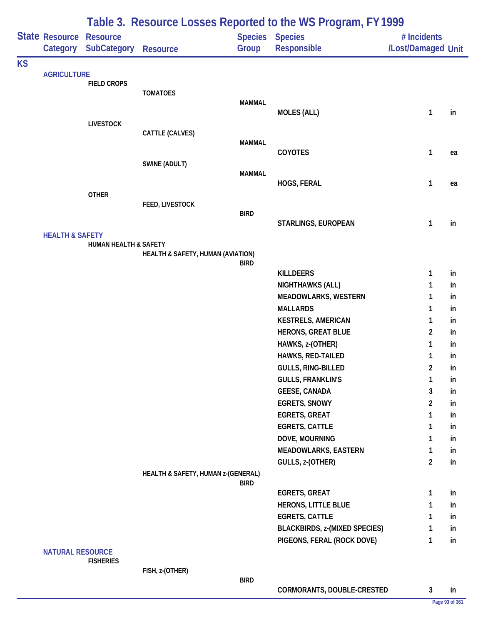|           |                            |                                       |                                    |                         | Table 3. Resource Losses Reported to the WS Program, FY 1999       |                                   |          |
|-----------|----------------------------|---------------------------------------|------------------------------------|-------------------------|--------------------------------------------------------------------|-----------------------------------|----------|
|           | State Resource<br>Category | <b>Resource</b><br><b>SubCategory</b> | <b>Resource</b>                    | <b>Species</b><br>Group | <b>Species</b><br>Responsible                                      | # Incidents<br>/Lost/Damaged Unit |          |
| <b>KS</b> |                            |                                       |                                    |                         |                                                                    |                                   |          |
|           | <b>AGRICULTURE</b>         | <b>FIELD CROPS</b>                    |                                    |                         |                                                                    |                                   |          |
|           |                            |                                       | <b>TOMATOES</b>                    |                         |                                                                    |                                   |          |
|           |                            |                                       |                                    | <b>MAMMAL</b>           | <b>MOLES (ALL)</b>                                                 | $\mathbf{1}$                      | in       |
|           |                            | <b>LIVESTOCK</b>                      |                                    |                         |                                                                    |                                   |          |
|           |                            |                                       | CATTLE (CALVES)                    |                         |                                                                    |                                   |          |
|           |                            |                                       |                                    | <b>MAMMAL</b>           | <b>COYOTES</b>                                                     | 1                                 | ea       |
|           |                            |                                       | SWINE (ADULT)                      |                         |                                                                    |                                   |          |
|           |                            |                                       |                                    | <b>MAMMAL</b>           |                                                                    |                                   |          |
|           |                            | <b>OTHER</b>                          |                                    |                         | HOGS, FERAL                                                        | $\mathbf{1}$                      | ea       |
|           |                            |                                       | FEED, LIVESTOCK                    |                         |                                                                    |                                   |          |
|           |                            |                                       |                                    | <b>BIRD</b>             |                                                                    |                                   |          |
|           |                            |                                       |                                    |                         | STARLINGS, EUROPEAN                                                | $\mathbf{1}$                      | in       |
|           | <b>HEALTH &amp; SAFETY</b> | <b>HUMAN HEALTH &amp; SAFETY</b>      |                                    |                         |                                                                    |                                   |          |
|           |                            |                                       | HEALTH & SAFETY, HUMAN (AVIATION)  |                         |                                                                    |                                   |          |
|           |                            |                                       |                                    | <b>BIRD</b>             | <b>KILLDEERS</b>                                                   | 1                                 | in       |
|           |                            |                                       |                                    |                         | NIGHTHAWKS (ALL)                                                   | 1                                 | in       |
|           |                            |                                       |                                    |                         | <b>MEADOWLARKS, WESTERN</b>                                        | 1                                 | in       |
|           |                            |                                       |                                    |                         | <b>MALLARDS</b>                                                    | 1                                 | in       |
|           |                            |                                       |                                    |                         | <b>KESTRELS, AMERICAN</b>                                          | 1                                 | in       |
|           |                            |                                       |                                    |                         | <b>HERONS, GREAT BLUE</b>                                          | 2                                 | in       |
|           |                            |                                       |                                    |                         | HAWKS, z-(OTHER)                                                   | 1                                 | in       |
|           |                            |                                       |                                    |                         | HAWKS, RED-TAILED<br><b>GULLS, RING-BILLED</b>                     | 1<br>2                            | in<br>in |
|           |                            |                                       |                                    |                         | <b>GULLS, FRANKLIN'S</b>                                           | $\mathbf{1}$                      | in       |
|           |                            |                                       |                                    |                         | <b>GEESE, CANADA</b>                                               | 3                                 | in       |
|           |                            |                                       |                                    |                         | <b>EGRETS, SNOWY</b>                                               | $\overline{c}$                    | in       |
|           |                            |                                       |                                    |                         | <b>EGRETS, GREAT</b>                                               | 1                                 | in       |
|           |                            |                                       |                                    |                         | <b>EGRETS, CATTLE</b>                                              | 1                                 | in       |
|           |                            |                                       |                                    |                         | DOVE, MOURNING                                                     | 1                                 | in       |
|           |                            |                                       |                                    |                         | <b>MEADOWLARKS, EASTERN</b>                                        | 1                                 | in       |
|           |                            |                                       | HEALTH & SAFETY, HUMAN z-(GENERAL) |                         | GULLS, z-(OTHER)                                                   | $\overline{2}$                    | in       |
|           |                            |                                       |                                    | <b>BIRD</b>             |                                                                    |                                   |          |
|           |                            |                                       |                                    |                         | <b>EGRETS, GREAT</b>                                               | 1                                 | in       |
|           |                            |                                       |                                    |                         | HERONS, LITTLE BLUE                                                | 1                                 | in       |
|           |                            |                                       |                                    |                         | <b>EGRETS, CATTLE</b>                                              | 1                                 | in       |
|           |                            |                                       |                                    |                         | <b>BLACKBIRDS, z-(MIXED SPECIES)</b><br>PIGEONS, FERAL (ROCK DOVE) | 1<br>1                            | in<br>in |
|           | <b>NATURAL RESOURCE</b>    | <b>FISHERIES</b>                      |                                    |                         |                                                                    |                                   |          |
|           |                            |                                       | FISH, z-(OTHER)                    |                         |                                                                    |                                   |          |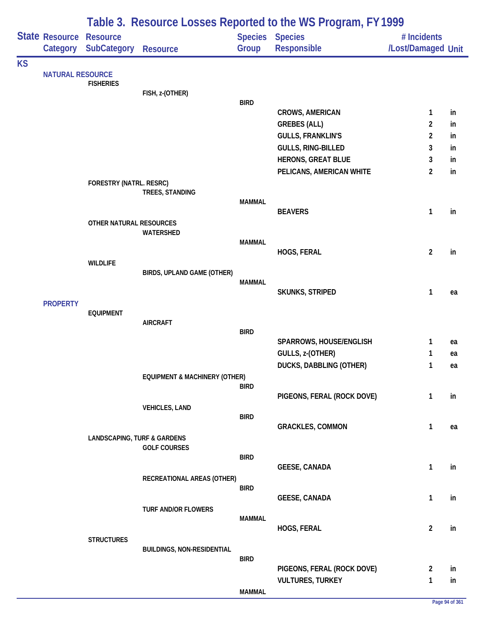|           |                         | Table 3. Resource Losses Reported to the WS Program, FY 1999 |                                          |               |                                                |                                   |          |  |  |
|-----------|-------------------------|--------------------------------------------------------------|------------------------------------------|---------------|------------------------------------------------|-----------------------------------|----------|--|--|
|           | State Resource          | <b>Resource</b><br>Category SubCategory                      | <b>Resource</b>                          | Group         | Species Species<br>Responsible                 | # Incidents<br>/Lost/Damaged Unit |          |  |  |
| <b>KS</b> |                         |                                                              |                                          |               |                                                |                                   |          |  |  |
|           | <b>NATURAL RESOURCE</b> | <b>FISHERIES</b>                                             |                                          |               |                                                |                                   |          |  |  |
|           |                         |                                                              | FISH, z-(OTHER)                          |               |                                                |                                   |          |  |  |
|           |                         |                                                              |                                          | <b>BIRD</b>   |                                                |                                   |          |  |  |
|           |                         |                                                              |                                          |               | <b>CROWS, AMERICAN</b>                         | $\mathbf{1}$                      | in       |  |  |
|           |                         |                                                              |                                          |               | <b>GREBES (ALL)</b>                            | $\overline{2}$                    | in       |  |  |
|           |                         |                                                              |                                          |               | <b>GULLS, FRANKLIN'S</b><br>GULLS, RING-BILLED | $\overline{2}$<br>3               | in<br>in |  |  |
|           |                         |                                                              |                                          |               | <b>HERONS, GREAT BLUE</b>                      | 3                                 | in       |  |  |
|           |                         |                                                              |                                          |               | PELICANS, AMERICAN WHITE                       | $\overline{2}$                    | in       |  |  |
|           |                         | FORESTRY (NATRL. RESRC)                                      |                                          |               |                                                |                                   |          |  |  |
|           |                         |                                                              | TREES, STANDING                          |               |                                                |                                   |          |  |  |
|           |                         |                                                              |                                          | <b>MAMMAL</b> |                                                |                                   |          |  |  |
|           |                         | OTHER NATURAL RESOURCES                                      |                                          |               | <b>BEAVERS</b>                                 | 1                                 | in       |  |  |
|           |                         |                                                              | WATERSHED                                |               |                                                |                                   |          |  |  |
|           |                         |                                                              |                                          | <b>MAMMAL</b> |                                                |                                   |          |  |  |
|           |                         |                                                              |                                          |               | HOGS, FERAL                                    | $\overline{2}$                    | in       |  |  |
|           |                         | <b>WILDLIFE</b>                                              | BIRDS, UPLAND GAME (OTHER)               |               |                                                |                                   |          |  |  |
|           |                         |                                                              |                                          | MAMMAL        |                                                |                                   |          |  |  |
|           |                         |                                                              |                                          |               | <b>SKUNKS, STRIPED</b>                         | 1                                 | ea       |  |  |
|           | <b>PROPERTY</b>         |                                                              |                                          |               |                                                |                                   |          |  |  |
|           |                         | <b>EQUIPMENT</b>                                             | <b>AIRCRAFT</b>                          |               |                                                |                                   |          |  |  |
|           |                         |                                                              |                                          | <b>BIRD</b>   |                                                |                                   |          |  |  |
|           |                         |                                                              |                                          |               | SPARROWS, HOUSE/ENGLISH                        | $\mathbf{1}$                      | ea       |  |  |
|           |                         |                                                              |                                          |               | GULLS, z-(OTHER)                               | 1                                 | ea       |  |  |
|           |                         |                                                              |                                          |               | <b>DUCKS, DABBLING (OTHER)</b>                 | 1                                 | ea       |  |  |
|           |                         |                                                              | <b>EQUIPMENT &amp; MACHINERY (OTHER)</b> | <b>BIRD</b>   |                                                |                                   |          |  |  |
|           |                         |                                                              |                                          |               | PIGEONS, FERAL (ROCK DOVE)                     | 1                                 | in       |  |  |
|           |                         |                                                              | <b>VEHICLES, LAND</b>                    |               |                                                |                                   |          |  |  |
|           |                         |                                                              |                                          | <b>BIRD</b>   |                                                |                                   |          |  |  |
|           |                         | <b>LANDSCAPING, TURF &amp; GARDENS</b>                       |                                          |               | <b>GRACKLES, COMMON</b>                        | $\mathbf{1}$                      | ea       |  |  |
|           |                         |                                                              | <b>GOLF COURSES</b>                      |               |                                                |                                   |          |  |  |
|           |                         |                                                              |                                          | <b>BIRD</b>   |                                                |                                   |          |  |  |
|           |                         |                                                              |                                          |               | <b>GEESE, CANADA</b>                           | $\mathbf{1}$                      | in       |  |  |
|           |                         |                                                              | RECREATIONAL AREAS (OTHER)               | <b>BIRD</b>   |                                                |                                   |          |  |  |
|           |                         |                                                              |                                          |               | <b>GEESE, CANADA</b>                           | 1                                 | in       |  |  |
|           |                         |                                                              | TURF AND/OR FLOWERS                      |               |                                                |                                   |          |  |  |
|           |                         |                                                              |                                          | <b>MAMMAL</b> |                                                |                                   |          |  |  |
|           |                         |                                                              |                                          |               | HOGS, FERAL                                    | $\overline{2}$                    | in       |  |  |
|           |                         | <b>STRUCTURES</b>                                            | <b>BUILDINGS, NON-RESIDENTIAL</b>        |               |                                                |                                   |          |  |  |
|           |                         |                                                              |                                          | <b>BIRD</b>   |                                                |                                   |          |  |  |
|           |                         |                                                              |                                          |               | PIGEONS, FERAL (ROCK DOVE)                     | $\overline{2}$                    | in       |  |  |
|           |                         |                                                              |                                          |               | <b>VULTURES, TURKEY</b>                        | 1                                 | in       |  |  |
|           |                         |                                                              |                                          | <b>MAMMAL</b> |                                                |                                   |          |  |  |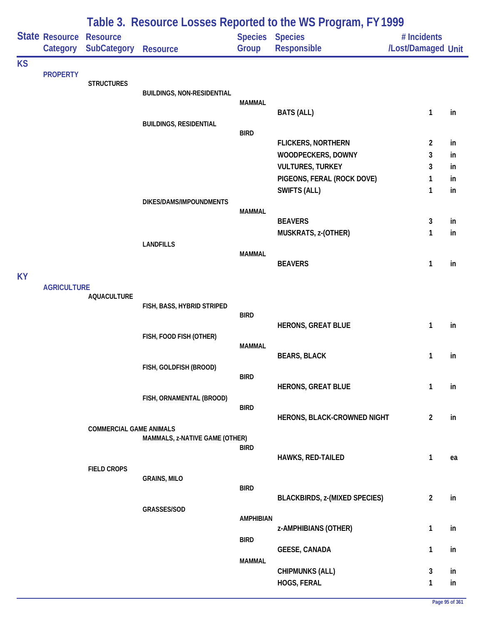|           |                                   |                                       |                                   |                                 | Table 3. Resource Losses Reported to the WS Program, FY 1999 |                                   |          |
|-----------|-----------------------------------|---------------------------------------|-----------------------------------|---------------------------------|--------------------------------------------------------------|-----------------------------------|----------|
|           | <b>State Resource</b><br>Category | <b>Resource</b><br><b>SubCategory</b> | <b>Resource</b>                   | <b>Species Species</b><br>Group | Responsible                                                  | # Incidents<br>/Lost/Damaged Unit |          |
| <b>KS</b> |                                   |                                       |                                   |                                 |                                                              |                                   |          |
|           | <b>PROPERTY</b>                   | <b>STRUCTURES</b>                     |                                   |                                 |                                                              |                                   |          |
|           |                                   |                                       | <b>BUILDINGS, NON-RESIDENTIAL</b> |                                 |                                                              |                                   |          |
|           |                                   |                                       |                                   | <b>MAMMAL</b>                   |                                                              |                                   |          |
|           |                                   |                                       |                                   |                                 | <b>BATS (ALL)</b>                                            | 1                                 | in       |
|           |                                   |                                       | <b>BUILDINGS, RESIDENTIAL</b>     | <b>BIRD</b>                     |                                                              |                                   |          |
|           |                                   |                                       |                                   |                                 | <b>FLICKERS, NORTHERN</b>                                    | 2                                 | in       |
|           |                                   |                                       |                                   |                                 | WOODPECKERS, DOWNY                                           | 3                                 | in       |
|           |                                   |                                       |                                   |                                 | <b>VULTURES, TURKEY</b>                                      | 3                                 | in       |
|           |                                   |                                       |                                   |                                 | PIGEONS, FERAL (ROCK DOVE)                                   | 1                                 | in       |
|           |                                   |                                       |                                   |                                 | SWIFTS (ALL)                                                 | 1                                 | in       |
|           |                                   |                                       | DIKES/DAMS/IMPOUNDMENTS           |                                 |                                                              |                                   |          |
|           |                                   |                                       |                                   | <b>MAMMAL</b>                   | <b>BEAVERS</b>                                               |                                   |          |
|           |                                   |                                       |                                   |                                 | MUSKRATS, z-(OTHER)                                          | 3<br>1                            | in<br>in |
|           |                                   |                                       | <b>LANDFILLS</b>                  |                                 |                                                              |                                   |          |
|           |                                   |                                       |                                   | <b>MAMMAL</b>                   |                                                              |                                   |          |
|           |                                   |                                       |                                   |                                 | <b>BEAVERS</b>                                               | 1                                 | in       |
| <b>KY</b> |                                   |                                       |                                   |                                 |                                                              |                                   |          |
|           | <b>AGRICULTURE</b>                |                                       |                                   |                                 |                                                              |                                   |          |
|           |                                   | <b>AQUACULTURE</b>                    | FISH, BASS, HYBRID STRIPED        |                                 |                                                              |                                   |          |
|           |                                   |                                       |                                   | <b>BIRD</b>                     |                                                              |                                   |          |
|           |                                   |                                       |                                   |                                 | <b>HERONS, GREAT BLUE</b>                                    | 1                                 | in       |
|           |                                   |                                       | FISH, FOOD FISH (OTHER)           |                                 |                                                              |                                   |          |
|           |                                   |                                       |                                   | <b>MAMMAL</b>                   | <b>BEARS, BLACK</b>                                          | 1                                 | in       |
|           |                                   |                                       | FISH, GOLDFISH (BROOD)            |                                 |                                                              |                                   |          |
|           |                                   |                                       |                                   | <b>BIRD</b>                     |                                                              |                                   |          |
|           |                                   |                                       |                                   |                                 | <b>HERONS, GREAT BLUE</b>                                    | 1                                 | in       |
|           |                                   |                                       | FISH, ORNAMENTAL (BROOD)          |                                 |                                                              |                                   |          |
|           |                                   |                                       |                                   | <b>BIRD</b>                     | HERONS, BLACK-CROWNED NIGHT                                  | $\overline{2}$                    | in       |
|           |                                   | <b>COMMERCIAL GAME ANIMALS</b>        |                                   |                                 |                                                              |                                   |          |
|           |                                   |                                       | MAMMALS, z-NATIVE GAME (OTHER)    |                                 |                                                              |                                   |          |
|           |                                   |                                       |                                   | <b>BIRD</b>                     | HAWKS, RED-TAILED                                            | 1                                 | ea       |
|           |                                   | <b>FIELD CROPS</b>                    |                                   |                                 |                                                              |                                   |          |
|           |                                   |                                       | <b>GRAINS, MILO</b>               |                                 |                                                              |                                   |          |
|           |                                   |                                       |                                   | <b>BIRD</b>                     |                                                              |                                   |          |
|           |                                   |                                       |                                   |                                 | <b>BLACKBIRDS, z-(MIXED SPECIES)</b>                         | $\overline{2}$                    | in       |
|           |                                   |                                       | GRASSES/SOD                       | <b>AMPHIBIAN</b>                |                                                              |                                   |          |
|           |                                   |                                       |                                   |                                 | z-AMPHIBIANS (OTHER)                                         | 1                                 | in       |
|           |                                   |                                       |                                   | <b>BIRD</b>                     |                                                              |                                   |          |
|           |                                   |                                       |                                   |                                 | <b>GEESE, CANADA</b>                                         | 1                                 | in       |
|           |                                   |                                       |                                   | <b>MAMMAL</b>                   |                                                              |                                   |          |
|           |                                   |                                       |                                   |                                 | <b>CHIPMUNKS (ALL)</b>                                       | 3                                 | in       |
|           |                                   |                                       |                                   |                                 | HOGS, FERAL                                                  | 1                                 | in       |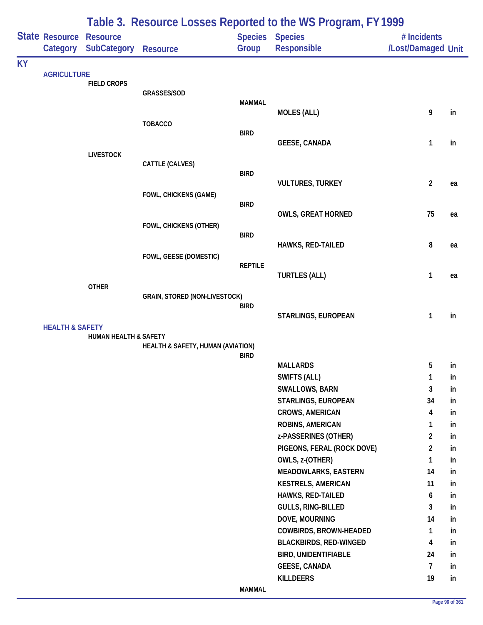|           |                            | Table 3. Resource Losses Reported to the WS Program, FY 1999 |                                   |                |                                          |                                   |          |  |  |
|-----------|----------------------------|--------------------------------------------------------------|-----------------------------------|----------------|------------------------------------------|-----------------------------------|----------|--|--|
|           | State Resource<br>Category | <b>Resource</b><br><b>SubCategory</b>                        | <b>Resource</b>                   | Group          | Species Species<br>Responsible           | # Incidents<br>/Lost/Damaged Unit |          |  |  |
| <b>KY</b> |                            |                                                              |                                   |                |                                          |                                   |          |  |  |
|           | <b>AGRICULTURE</b>         | <b>FIELD CROPS</b>                                           |                                   |                |                                          |                                   |          |  |  |
|           |                            |                                                              | GRASSES/SOD                       |                |                                          |                                   |          |  |  |
|           |                            |                                                              |                                   | <b>MAMMAL</b>  |                                          |                                   |          |  |  |
|           |                            |                                                              | <b>TOBACCO</b>                    |                | <b>MOLES (ALL)</b>                       | 9                                 | in       |  |  |
|           |                            |                                                              |                                   | <b>BIRD</b>    |                                          |                                   |          |  |  |
|           |                            |                                                              |                                   |                | <b>GEESE, CANADA</b>                     | $\mathbf{1}$                      | in       |  |  |
|           |                            | <b>LIVESTOCK</b>                                             |                                   |                |                                          |                                   |          |  |  |
|           |                            |                                                              | CATTLE (CALVES)                   | <b>BIRD</b>    |                                          |                                   |          |  |  |
|           |                            |                                                              |                                   |                | <b>VULTURES, TURKEY</b>                  | $\overline{2}$                    | ea       |  |  |
|           |                            |                                                              | FOWL, CHICKENS (GAME)             |                |                                          |                                   |          |  |  |
|           |                            |                                                              |                                   | <b>BIRD</b>    |                                          | 75                                |          |  |  |
|           |                            |                                                              | FOWL, CHICKENS (OTHER)            |                | <b>OWLS, GREAT HORNED</b>                |                                   | ea       |  |  |
|           |                            |                                                              |                                   | <b>BIRD</b>    |                                          |                                   |          |  |  |
|           |                            |                                                              |                                   |                | HAWKS, RED-TAILED                        | 8                                 | ea       |  |  |
|           |                            |                                                              | FOWL, GEESE (DOMESTIC)            |                |                                          |                                   |          |  |  |
|           |                            |                                                              |                                   | <b>REPTILE</b> | <b>TURTLES (ALL)</b>                     | 1                                 | ea       |  |  |
|           |                            | <b>OTHER</b>                                                 |                                   |                |                                          |                                   |          |  |  |
|           |                            |                                                              | GRAIN, STORED (NON-LIVESTOCK)     |                |                                          |                                   |          |  |  |
|           |                            |                                                              |                                   | <b>BIRD</b>    |                                          |                                   | in       |  |  |
|           | <b>HEALTH &amp; SAFETY</b> |                                                              |                                   |                | STARLINGS, EUROPEAN                      | 1                                 |          |  |  |
|           |                            | HUMAN HEALTH & SAFETY                                        |                                   |                |                                          |                                   |          |  |  |
|           |                            |                                                              | HEALTH & SAFETY, HUMAN (AVIATION) |                |                                          |                                   |          |  |  |
|           |                            |                                                              |                                   | <b>BIRD</b>    | <b>MALLARDS</b>                          | 5                                 | in       |  |  |
|           |                            |                                                              |                                   |                | SWIFTS (ALL)                             | 1                                 | in       |  |  |
|           |                            |                                                              |                                   |                | SWALLOWS, BARN                           | 3                                 | in       |  |  |
|           |                            |                                                              |                                   |                | STARLINGS, EUROPEAN                      | 34                                | in       |  |  |
|           |                            |                                                              |                                   |                | CROWS, AMERICAN                          | 4                                 | in       |  |  |
|           |                            |                                                              |                                   |                | ROBINS, AMERICAN                         | 1                                 | in       |  |  |
|           |                            |                                                              |                                   |                | z-PASSERINES (OTHER)                     | $\overline{a}$                    | in       |  |  |
|           |                            |                                                              |                                   |                | PIGEONS, FERAL (ROCK DOVE)               | $\overline{2}$                    | in       |  |  |
|           |                            |                                                              |                                   |                | OWLS, z-(OTHER)                          | 1                                 | in       |  |  |
|           |                            |                                                              |                                   |                | <b>MEADOWLARKS, EASTERN</b>              | 14                                | in       |  |  |
|           |                            |                                                              |                                   |                | <b>KESTRELS, AMERICAN</b>                | 11                                | in       |  |  |
|           |                            |                                                              |                                   |                | HAWKS, RED-TAILED                        | 6                                 | in       |  |  |
|           |                            |                                                              |                                   |                | <b>GULLS, RING-BILLED</b>                | 3                                 | in       |  |  |
|           |                            |                                                              |                                   |                | DOVE, MOURNING<br>COWBIRDS, BROWN-HEADED | 14<br>$\mathbf{1}$                | in<br>in |  |  |
|           |                            |                                                              |                                   |                | <b>BLACKBIRDS, RED-WINGED</b>            | 4                                 | in       |  |  |
|           |                            |                                                              |                                   |                | <b>BIRD, UNIDENTIFIABLE</b>              | 24                                | in       |  |  |
|           |                            |                                                              |                                   |                | <b>GEESE, CANADA</b>                     | $\overline{7}$                    | in       |  |  |
|           |                            |                                                              |                                   |                | <b>KILLDEERS</b>                         | 19                                | in       |  |  |
|           |                            |                                                              |                                   | <b>MAMMAL</b>  |                                          |                                   |          |  |  |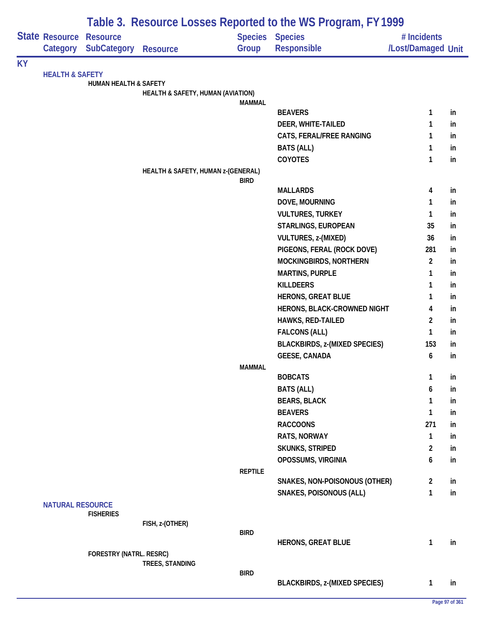|           |                            |                                       |                                    |                         | Table 3. Resource Losses Reported to the WS Program, FY 1999 |                                   |    |
|-----------|----------------------------|---------------------------------------|------------------------------------|-------------------------|--------------------------------------------------------------|-----------------------------------|----|
|           | State Resource<br>Category | <b>Resource</b><br><b>SubCategory</b> | <b>Resource</b>                    | <b>Species</b><br>Group | <b>Species</b><br>Responsible                                | # Incidents<br>/Lost/Damaged Unit |    |
| <b>KY</b> |                            |                                       |                                    |                         |                                                              |                                   |    |
|           | <b>HEALTH &amp; SAFETY</b> | <b>HUMAN HEALTH &amp; SAFETY</b>      |                                    |                         |                                                              |                                   |    |
|           |                            |                                       | HEALTH & SAFETY, HUMAN (AVIATION)  |                         |                                                              |                                   |    |
|           |                            |                                       |                                    | <b>MAMMAL</b>           |                                                              |                                   |    |
|           |                            |                                       |                                    |                         | <b>BEAVERS</b>                                               | 1                                 | in |
|           |                            |                                       |                                    |                         | DEER, WHITE-TAILED                                           | 1                                 | in |
|           |                            |                                       |                                    |                         | CATS, FERAL/FREE RANGING                                     | 1                                 | in |
|           |                            |                                       |                                    |                         | <b>BATS (ALL)</b>                                            | 1                                 | in |
|           |                            |                                       |                                    |                         | <b>COYOTES</b>                                               | 1                                 | in |
|           |                            |                                       | HEALTH & SAFETY, HUMAN z-(GENERAL) | <b>BIRD</b>             |                                                              |                                   |    |
|           |                            |                                       |                                    |                         | <b>MALLARDS</b>                                              | 4                                 | in |
|           |                            |                                       |                                    |                         | DOVE, MOURNING                                               | 1                                 | in |
|           |                            |                                       |                                    |                         | <b>VULTURES, TURKEY</b>                                      | 1                                 | in |
|           |                            |                                       |                                    |                         | STARLINGS, EUROPEAN                                          | 35                                | in |
|           |                            |                                       |                                    |                         | VULTURES, z-(MIXED)                                          | 36                                | in |
|           |                            |                                       |                                    |                         | PIGEONS, FERAL (ROCK DOVE)                                   | 281                               | in |
|           |                            |                                       |                                    |                         | MOCKINGBIRDS, NORTHERN                                       | $\overline{2}$                    | in |
|           |                            |                                       |                                    |                         | <b>MARTINS, PURPLE</b>                                       | 1                                 | in |
|           |                            |                                       |                                    |                         | <b>KILLDEERS</b>                                             | 1                                 | in |
|           |                            |                                       |                                    |                         | <b>HERONS, GREAT BLUE</b>                                    | 1                                 | in |
|           |                            |                                       |                                    |                         | HERONS, BLACK-CROWNED NIGHT                                  | 4                                 | in |
|           |                            |                                       |                                    |                         | HAWKS, RED-TAILED                                            | $\overline{c}$                    | in |
|           |                            |                                       |                                    |                         | <b>FALCONS (ALL)</b>                                         | 1                                 | in |
|           |                            |                                       |                                    |                         | <b>BLACKBIRDS, z-(MIXED SPECIES)</b>                         | 153                               | in |
|           |                            |                                       |                                    |                         | <b>GEESE, CANADA</b>                                         | 6                                 | in |
|           |                            |                                       |                                    | <b>MAMMAL</b>           |                                                              |                                   |    |
|           |                            |                                       |                                    |                         | <b>BOBCATS</b>                                               | 1                                 | in |
|           |                            |                                       |                                    |                         | <b>BATS (ALL)</b>                                            | 6                                 | in |
|           |                            |                                       |                                    |                         | <b>BEARS, BLACK</b>                                          | 1                                 | in |
|           |                            |                                       |                                    |                         | <b>BEAVERS</b>                                               | 1                                 | in |
|           |                            |                                       |                                    |                         | <b>RACCOONS</b>                                              | 271                               | in |
|           |                            |                                       |                                    |                         | RATS, NORWAY                                                 | 1                                 | in |
|           |                            |                                       |                                    |                         | <b>SKUNKS, STRIPED</b>                                       | $\overline{2}$                    | in |
|           |                            |                                       |                                    |                         | OPOSSUMS, VIRGINIA                                           | 6                                 | in |
|           |                            |                                       |                                    | <b>REPTILE</b>          |                                                              |                                   |    |
|           |                            |                                       |                                    |                         | SNAKES, NON-POISONOUS (OTHER)                                | $\overline{2}$                    | in |
|           |                            |                                       |                                    |                         | SNAKES, POISONOUS (ALL)                                      | 1                                 | in |
|           | <b>NATURAL RESOURCE</b>    | <b>FISHERIES</b>                      |                                    |                         |                                                              |                                   |    |
|           |                            |                                       | FISH, z-(OTHER)                    |                         |                                                              |                                   |    |
|           |                            |                                       |                                    | <b>BIRD</b>             |                                                              |                                   |    |
|           |                            |                                       |                                    |                         | <b>HERONS, GREAT BLUE</b>                                    | 1                                 | in |
|           |                            | FORESTRY (NATRL. RESRC)               |                                    |                         |                                                              |                                   |    |
|           |                            |                                       | TREES, STANDING                    | <b>BIRD</b>             |                                                              |                                   |    |
|           |                            |                                       |                                    |                         | <b>BLACKBIRDS, z-(MIXED SPECIES)</b>                         | $\mathbf{1}$                      | in |
|           |                            |                                       |                                    |                         |                                                              |                                   |    |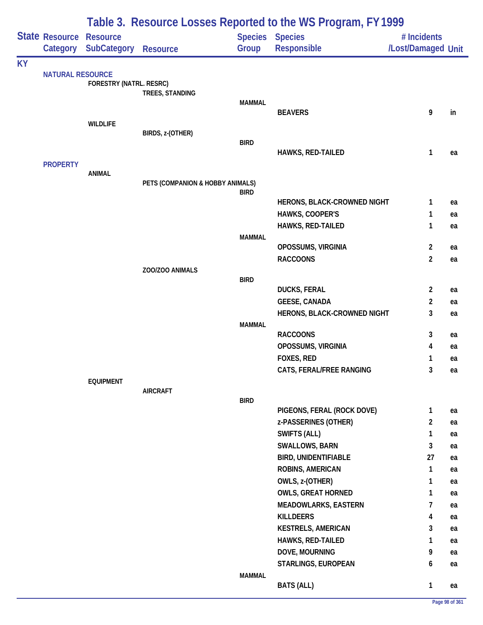|           |                            |                                       |                                  |                         | Table 3. Resource Losses Reported to the WS Program, FY 1999 |                                   |          |
|-----------|----------------------------|---------------------------------------|----------------------------------|-------------------------|--------------------------------------------------------------|-----------------------------------|----------|
|           | State Resource<br>Category | <b>Resource</b><br><b>SubCategory</b> | <b>Resource</b>                  | <b>Species</b><br>Group | <b>Species</b><br>Responsible                                | # Incidents<br>/Lost/Damaged Unit |          |
| <b>KY</b> |                            |                                       |                                  |                         |                                                              |                                   |          |
|           | <b>NATURAL RESOURCE</b>    | FORESTRY (NATRL. RESRC)               | TREES, STANDING                  | <b>MAMMAL</b>           |                                                              |                                   |          |
|           |                            |                                       |                                  |                         | <b>BEAVERS</b>                                               | 9                                 | in       |
|           |                            | <b>WILDLIFE</b>                       | BIRDS, z-(OTHER)                 |                         |                                                              |                                   |          |
|           |                            |                                       |                                  | <b>BIRD</b>             |                                                              | 1                                 |          |
|           | <b>PROPERTY</b>            |                                       |                                  |                         | HAWKS, RED-TAILED                                            |                                   | ea       |
|           |                            | <b>ANIMAL</b>                         | PETS (COMPANION & HOBBY ANIMALS) |                         |                                                              |                                   |          |
|           |                            |                                       |                                  | <b>BIRD</b>             |                                                              |                                   |          |
|           |                            |                                       |                                  |                         | HERONS, BLACK-CROWNED NIGHT                                  | 1                                 | ea       |
|           |                            |                                       |                                  |                         | HAWKS, COOPER'S<br>HAWKS, RED-TAILED                         | 1<br>1                            | ea<br>ea |
|           |                            |                                       |                                  | <b>MAMMAL</b>           |                                                              |                                   |          |
|           |                            |                                       |                                  |                         | OPOSSUMS, VIRGINIA                                           | $\overline{2}$<br>$\overline{2}$  | ea       |
|           |                            |                                       | ZOO/ZOO ANIMALS                  |                         | <b>RACCOONS</b>                                              |                                   | ea       |
|           |                            |                                       |                                  | <b>BIRD</b>             |                                                              |                                   |          |
|           |                            |                                       |                                  |                         | <b>DUCKS, FERAL</b><br><b>GEESE, CANADA</b>                  | $\overline{2}$<br>$\overline{c}$  | ea<br>ea |
|           |                            |                                       |                                  |                         | HERONS, BLACK-CROWNED NIGHT                                  | 3                                 | ea       |
|           |                            |                                       |                                  | <b>MAMMAL</b>           |                                                              |                                   |          |
|           |                            |                                       |                                  |                         | <b>RACCOONS</b><br>OPOSSUMS, VIRGINIA                        | 3<br>4                            | ea<br>ea |
|           |                            |                                       |                                  |                         | <b>FOXES, RED</b>                                            | 1                                 | ea       |
|           |                            |                                       |                                  |                         | CATS, FERAL/FREE RANGING                                     | 3                                 | ea       |
|           |                            | <b>EQUIPMENT</b>                      | <b>AIRCRAFT</b>                  |                         |                                                              |                                   |          |
|           |                            |                                       |                                  | <b>BIRD</b>             |                                                              |                                   |          |
|           |                            |                                       |                                  |                         | PIGEONS, FERAL (ROCK DOVE)                                   | $\mathbf{1}$                      | ea       |
|           |                            |                                       |                                  |                         | z-PASSERINES (OTHER)<br>SWIFTS (ALL)                         | $\overline{a}$<br>1               | ea<br>ea |
|           |                            |                                       |                                  |                         | <b>SWALLOWS, BARN</b>                                        | 3                                 | ea       |
|           |                            |                                       |                                  |                         | <b>BIRD, UNIDENTIFIABLE</b>                                  | 27                                | ea       |
|           |                            |                                       |                                  |                         | ROBINS, AMERICAN                                             | 1                                 | ea       |
|           |                            |                                       |                                  |                         | OWLS, z-(OTHER)                                              | 1                                 | ea       |
|           |                            |                                       |                                  |                         | <b>OWLS, GREAT HORNED</b>                                    | 1                                 | ea       |
|           |                            |                                       |                                  |                         | <b>MEADOWLARKS, EASTERN</b>                                  | 7                                 | ea       |
|           |                            |                                       |                                  |                         | <b>KILLDEERS</b>                                             | 4                                 | ea       |
|           |                            |                                       |                                  |                         | <b>KESTRELS, AMERICAN</b>                                    | 3                                 | ea       |
|           |                            |                                       |                                  |                         | HAWKS, RED-TAILED                                            | 1                                 | ea       |
|           |                            |                                       |                                  |                         | DOVE, MOURNING                                               | 9                                 | ea       |
|           |                            |                                       |                                  | <b>MAMMAL</b>           | STARLINGS, EUROPEAN                                          | 6                                 | ea       |
|           |                            |                                       |                                  |                         | <b>BATS (ALL)</b>                                            | $\mathbf{1}$                      | ea       |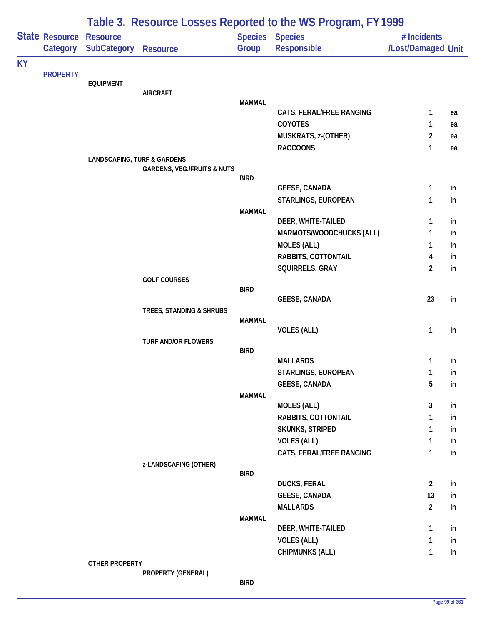|           |                 |                                        |                                        |               | Table 3. Resource Losses Reported to the WS Program, FY 1999 |                     |          |
|-----------|-----------------|----------------------------------------|----------------------------------------|---------------|--------------------------------------------------------------|---------------------|----------|
|           | State Resource  | <b>Resource</b>                        |                                        |               | <b>Species Species</b>                                       | # Incidents         |          |
|           | Category        | <b>SubCategory</b>                     | <b>Resource</b>                        | Group         | Responsible                                                  | /Lost/Damaged Unit  |          |
| <b>KY</b> |                 |                                        |                                        |               |                                                              |                     |          |
|           | <b>PROPERTY</b> | <b>EQUIPMENT</b>                       |                                        |               |                                                              |                     |          |
|           |                 |                                        | <b>AIRCRAFT</b>                        |               |                                                              |                     |          |
|           |                 |                                        |                                        | <b>MAMMAL</b> |                                                              |                     |          |
|           |                 |                                        |                                        |               | CATS, FERAL/FREE RANGING                                     | 1                   | ea       |
|           |                 |                                        |                                        |               | COYOTES                                                      | 1<br>$\overline{2}$ | ea       |
|           |                 |                                        |                                        |               | MUSKRATS, z-(OTHER)<br><b>RACCOONS</b>                       | 1                   | ea<br>ea |
|           |                 | <b>LANDSCAPING, TURF &amp; GARDENS</b> |                                        |               |                                                              |                     |          |
|           |                 |                                        | <b>GARDENS, VEG./FRUITS &amp; NUTS</b> |               |                                                              |                     |          |
|           |                 |                                        |                                        | <b>BIRD</b>   |                                                              |                     |          |
|           |                 |                                        |                                        |               | <b>GEESE, CANADA</b>                                         | 1                   | in       |
|           |                 |                                        |                                        |               | STARLINGS, EUROPEAN                                          | 1                   | in       |
|           |                 |                                        |                                        | <b>MAMMAL</b> | DEER, WHITE-TAILED                                           | 1                   | in       |
|           |                 |                                        |                                        |               | MARMOTS/WOODCHUCKS (ALL)                                     | 1                   | in       |
|           |                 |                                        |                                        |               | <b>MOLES (ALL)</b>                                           | 1                   | in       |
|           |                 |                                        |                                        |               | RABBITS, COTTONTAIL                                          | 4                   | in       |
|           |                 |                                        |                                        |               | SQUIRRELS, GRAY                                              | $\overline{c}$      | in       |
|           |                 |                                        | <b>GOLF COURSES</b>                    |               |                                                              |                     |          |
|           |                 |                                        |                                        | <b>BIRD</b>   |                                                              |                     |          |
|           |                 |                                        |                                        |               | <b>GEESE, CANADA</b>                                         | 23                  | in       |
|           |                 |                                        | TREES, STANDING & SHRUBS               | <b>MAMMAL</b> |                                                              |                     |          |
|           |                 |                                        |                                        |               | <b>VOLES (ALL)</b>                                           | 1                   | in       |
|           |                 |                                        | <b>TURF AND/OR FLOWERS</b>             |               |                                                              |                     |          |
|           |                 |                                        |                                        | <b>BIRD</b>   |                                                              |                     |          |
|           |                 |                                        |                                        |               | <b>MALLARDS</b>                                              | 1                   | in       |
|           |                 |                                        |                                        |               | STARLINGS, EUROPEAN                                          | 1                   | ın       |
|           |                 |                                        |                                        |               | <b>GEESE, CANADA</b>                                         | 5                   | in       |
|           |                 |                                        |                                        | <b>MAMMAL</b> | <b>MOLES (ALL)</b>                                           | 3                   | in       |
|           |                 |                                        |                                        |               | <b>RABBITS, COTTONTAIL</b>                                   | 1                   | in       |
|           |                 |                                        |                                        |               | <b>SKUNKS, STRIPED</b>                                       | 1                   | in       |
|           |                 |                                        |                                        |               | <b>VOLES (ALL)</b>                                           | 1                   | in       |
|           |                 |                                        |                                        |               | CATS, FERAL/FREE RANGING                                     | 1                   | in       |
|           |                 |                                        | z-LANDSCAPING (OTHER)                  |               |                                                              |                     |          |
|           |                 |                                        |                                        | <b>BIRD</b>   |                                                              |                     |          |
|           |                 |                                        |                                        |               | <b>DUCKS, FERAL</b>                                          | $\overline{2}$      | in       |
|           |                 |                                        |                                        |               | <b>GEESE, CANADA</b>                                         | 13                  | in       |
|           |                 |                                        |                                        | <b>MAMMAL</b> | <b>MALLARDS</b>                                              | $\overline{2}$      | in       |
|           |                 |                                        |                                        |               | DEER, WHITE-TAILED                                           | 1                   | in       |
|           |                 |                                        |                                        |               | <b>VOLES (ALL)</b>                                           | 1                   | in       |
|           |                 |                                        |                                        |               | <b>CHIPMUNKS (ALL)</b>                                       | 1                   | in       |
|           |                 | OTHER PROPERTY                         |                                        |               |                                                              |                     |          |
|           |                 |                                        | PROPERTY (GENERAL)                     |               |                                                              |                     |          |

**BIRD**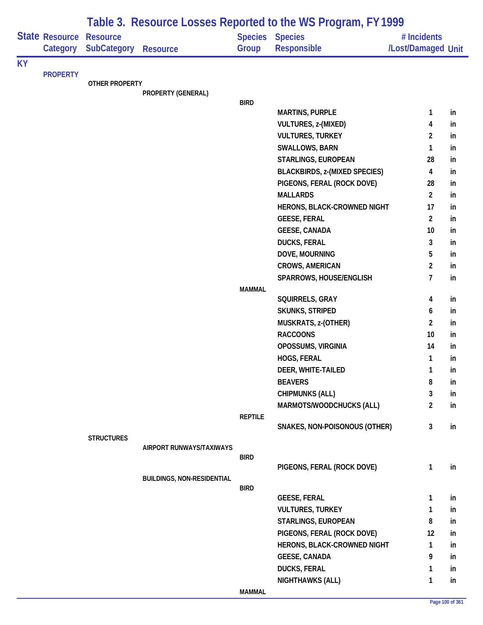|           |                            |                                       |                                   |                | Table 3. Resource Losses Reported to the WS Program, FY 1999 |                                   |     |
|-----------|----------------------------|---------------------------------------|-----------------------------------|----------------|--------------------------------------------------------------|-----------------------------------|-----|
|           | State Resource<br>Category | <b>Resource</b><br><b>SubCategory</b> | <b>Resource</b>                   | Group          | <b>Species Species</b><br><b>Responsible</b>                 | # Incidents<br>/Lost/Damaged Unit |     |
| <b>KY</b> |                            |                                       |                                   |                |                                                              |                                   |     |
|           | <b>PROPERTY</b>            |                                       |                                   |                |                                                              |                                   |     |
|           |                            | <b>OTHER PROPERTY</b>                 | PROPERTY (GENERAL)                |                |                                                              |                                   |     |
|           |                            |                                       |                                   | <b>BIRD</b>    |                                                              |                                   |     |
|           |                            |                                       |                                   |                | <b>MARTINS, PURPLE</b>                                       | 1                                 | in  |
|           |                            |                                       |                                   |                | <b>VULTURES, z-(MIXED)</b>                                   | 4                                 | in  |
|           |                            |                                       |                                   |                | <b>VULTURES, TURKEY</b>                                      | $\overline{2}$                    | in  |
|           |                            |                                       |                                   |                | SWALLOWS, BARN                                               | 1                                 | in  |
|           |                            |                                       |                                   |                | STARLINGS, EUROPEAN                                          | 28                                | in  |
|           |                            |                                       |                                   |                | <b>BLACKBIRDS, z-(MIXED SPECIES)</b>                         | 4                                 | in  |
|           |                            |                                       |                                   |                | PIGEONS, FERAL (ROCK DOVE)                                   | 28                                | in  |
|           |                            |                                       |                                   |                | <b>MALLARDS</b>                                              | $\overline{2}$                    | in  |
|           |                            |                                       |                                   |                | HERONS, BLACK-CROWNED NIGHT                                  | 17                                | in  |
|           |                            |                                       |                                   |                | <b>GEESE, FERAL</b>                                          | $\overline{2}$                    | in  |
|           |                            |                                       |                                   |                | <b>GEESE, CANADA</b>                                         | 10                                | in  |
|           |                            |                                       |                                   |                | <b>DUCKS, FERAL</b>                                          | 3                                 | in  |
|           |                            |                                       |                                   |                | DOVE, MOURNING                                               | 5                                 | in  |
|           |                            |                                       |                                   |                | <b>CROWS, AMERICAN</b>                                       | $\overline{2}$                    | in  |
|           |                            |                                       |                                   |                | SPARROWS, HOUSE/ENGLISH                                      | $\overline{7}$                    | in  |
|           |                            |                                       |                                   | <b>MAMMAL</b>  |                                                              |                                   |     |
|           |                            |                                       |                                   |                | SQUIRRELS, GRAY                                              | 4                                 | in  |
|           |                            |                                       |                                   |                | SKUNKS, STRIPED                                              | 6                                 | in  |
|           |                            |                                       |                                   |                | MUSKRATS, z-(OTHER)                                          | $\overline{2}$                    | in  |
|           |                            |                                       |                                   |                | <b>RACCOONS</b>                                              | 10                                | in  |
|           |                            |                                       |                                   |                | OPOSSUMS, VIRGINIA                                           | 14                                | in  |
|           |                            |                                       |                                   |                | HOGS, FERAL                                                  | $\mathbf{1}$                      | in  |
|           |                            |                                       |                                   |                | DEER, WHITE-TAILED                                           | 1                                 | In. |
|           |                            |                                       |                                   |                | <b>BEAVERS</b>                                               | 8                                 | in  |
|           |                            |                                       |                                   |                | <b>CHIPMUNKS (ALL)</b>                                       | 3                                 | in  |
|           |                            |                                       |                                   |                | MARMOTS/WOODCHUCKS (ALL)                                     | $\overline{2}$                    | in  |
|           |                            |                                       |                                   | <b>REPTILE</b> |                                                              |                                   |     |
|           |                            |                                       |                                   |                | SNAKES, NON-POISONOUS (OTHER)                                | $\mathbf{3}$                      | in  |
|           |                            | <b>STRUCTURES</b>                     | AIRPORT RUNWAYS/TAXIWAYS          |                |                                                              |                                   |     |
|           |                            |                                       |                                   | <b>BIRD</b>    |                                                              |                                   |     |
|           |                            |                                       |                                   |                | PIGEONS, FERAL (ROCK DOVE)                                   | $\mathbf{1}$                      | in  |
|           |                            |                                       | <b>BUILDINGS, NON-RESIDENTIAL</b> |                |                                                              |                                   |     |
|           |                            |                                       |                                   | <b>BIRD</b>    |                                                              |                                   |     |
|           |                            |                                       |                                   |                | <b>GEESE, FERAL</b>                                          | $\mathbf{1}$                      | in  |
|           |                            |                                       |                                   |                | <b>VULTURES, TURKEY</b>                                      | $\mathbf{1}$                      | in  |
|           |                            |                                       |                                   |                | STARLINGS, EUROPEAN                                          | 8                                 | in  |
|           |                            |                                       |                                   |                | PIGEONS, FERAL (ROCK DOVE)                                   | 12                                | in  |
|           |                            |                                       |                                   |                | HERONS, BLACK-CROWNED NIGHT                                  | 1                                 | in  |
|           |                            |                                       |                                   |                | <b>GEESE, CANADA</b>                                         | 9                                 | in  |
|           |                            |                                       |                                   |                | <b>DUCKS, FERAL</b>                                          | $\mathbf{1}$                      | in  |
|           |                            |                                       |                                   |                | <b>NIGHTHAWKS (ALL)</b>                                      | $\mathbf{1}$                      | in  |
|           |                            |                                       |                                   | <b>MAMMAL</b>  |                                                              |                                   |     |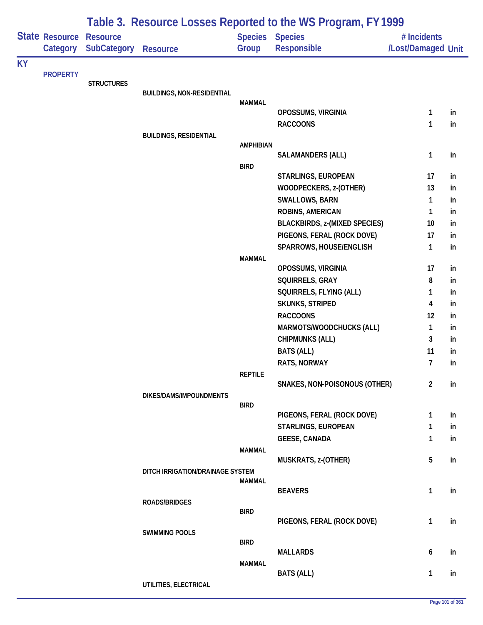|           |                                   |                                       |                                   |                          | Table 3. Resource Losses Reported to the WS Program, FY 1999 |                                   |          |
|-----------|-----------------------------------|---------------------------------------|-----------------------------------|--------------------------|--------------------------------------------------------------|-----------------------------------|----------|
|           | <b>State Resource</b><br>Category | <b>Resource</b><br><b>SubCategory</b> | <b>Resource</b>                   | Species Species<br>Group | Responsible                                                  | # Incidents<br>/Lost/Damaged Unit |          |
| <b>KY</b> |                                   |                                       |                                   |                          |                                                              |                                   |          |
|           | <b>PROPERTY</b>                   | <b>STRUCTURES</b>                     |                                   |                          |                                                              |                                   |          |
|           |                                   |                                       | <b>BUILDINGS, NON-RESIDENTIAL</b> |                          |                                                              |                                   |          |
|           |                                   |                                       |                                   | <b>MAMMAL</b>            |                                                              |                                   |          |
|           |                                   |                                       |                                   |                          | OPOSSUMS, VIRGINIA                                           | $\mathbf{1}$                      | in       |
|           |                                   |                                       |                                   |                          | <b>RACCOONS</b>                                              | 1                                 | in       |
|           |                                   |                                       | <b>BUILDINGS, RESIDENTIAL</b>     | <b>AMPHIBIAN</b>         |                                                              |                                   |          |
|           |                                   |                                       |                                   |                          | <b>SALAMANDERS (ALL)</b>                                     | $\mathbf{1}$                      | in       |
|           |                                   |                                       |                                   | <b>BIRD</b>              |                                                              |                                   |          |
|           |                                   |                                       |                                   |                          | STARLINGS, EUROPEAN                                          | 17                                | in       |
|           |                                   |                                       |                                   |                          | WOODPECKERS, z-(OTHER)                                       | 13                                | in       |
|           |                                   |                                       |                                   |                          | <b>SWALLOWS, BARN</b>                                        | 1                                 | in       |
|           |                                   |                                       |                                   |                          | ROBINS, AMERICAN                                             | $\mathbf{1}$                      | in       |
|           |                                   |                                       |                                   |                          | <b>BLACKBIRDS, z-(MIXED SPECIES)</b>                         | 10                                | in       |
|           |                                   |                                       |                                   |                          | PIGEONS, FERAL (ROCK DOVE)<br>SPARROWS, HOUSE/ENGLISH        | 17<br>$\mathbf{1}$                | in<br>in |
|           |                                   |                                       |                                   | <b>MAMMAL</b>            |                                                              |                                   |          |
|           |                                   |                                       |                                   |                          | OPOSSUMS, VIRGINIA                                           | 17                                | in       |
|           |                                   |                                       |                                   |                          | SQUIRRELS, GRAY                                              | 8                                 | in       |
|           |                                   |                                       |                                   |                          | SQUIRRELS, FLYING (ALL)                                      | 1                                 | in       |
|           |                                   |                                       |                                   |                          | <b>SKUNKS, STRIPED</b>                                       | 4                                 | in       |
|           |                                   |                                       |                                   |                          | <b>RACCOONS</b>                                              | 12                                | in       |
|           |                                   |                                       |                                   |                          | MARMOTS/WOODCHUCKS (ALL)                                     | 1                                 | in       |
|           |                                   |                                       |                                   |                          | <b>CHIPMUNKS (ALL)</b>                                       | 3                                 | in       |
|           |                                   |                                       |                                   |                          | <b>BATS (ALL)</b>                                            | 11                                | in       |
|           |                                   |                                       |                                   |                          | RATS, NORWAY                                                 | $\overline{7}$                    | in       |
|           |                                   |                                       |                                   | <b>REPTILE</b>           | SNAKES, NON-POISONOUS (OTHER)                                | $\overline{2}$                    | in       |
|           |                                   |                                       | DIKES/DAMS/IMPOUNDMENTS           |                          |                                                              |                                   |          |
|           |                                   |                                       |                                   | <b>BIRD</b>              |                                                              |                                   |          |
|           |                                   |                                       |                                   |                          | PIGEONS, FERAL (ROCK DOVE)                                   | $\mathbf{1}$                      | in       |
|           |                                   |                                       |                                   |                          | STARLINGS, EUROPEAN                                          | $\mathbf{1}$                      | in       |
|           |                                   |                                       |                                   |                          | <b>GEESE, CANADA</b>                                         | 1                                 | in       |
|           |                                   |                                       |                                   | <b>MAMMAL</b>            |                                                              | 5                                 |          |
|           |                                   |                                       | DITCH IRRIGATION/DRAINAGE SYSTEM  |                          | MUSKRATS, z-(OTHER)                                          |                                   | in       |
|           |                                   |                                       |                                   | <b>MAMMAL</b>            |                                                              |                                   |          |
|           |                                   |                                       |                                   |                          | <b>BEAVERS</b>                                               | 1                                 | in       |
|           |                                   |                                       | ROADS/BRIDGES                     |                          |                                                              |                                   |          |
|           |                                   |                                       |                                   | <b>BIRD</b>              | PIGEONS, FERAL (ROCK DOVE)                                   | 1                                 | in       |
|           |                                   |                                       | <b>SWIMMING POOLS</b>             |                          |                                                              |                                   |          |
|           |                                   |                                       |                                   | <b>BIRD</b>              |                                                              |                                   |          |
|           |                                   |                                       |                                   |                          | <b>MALLARDS</b>                                              | 6                                 | in       |
|           |                                   |                                       |                                   | <b>MAMMAL</b>            |                                                              |                                   |          |
|           |                                   |                                       |                                   |                          | <b>BATS (ALL)</b>                                            | 1                                 | in       |
|           |                                   |                                       | UTILITIES, ELECTRICAL             |                          |                                                              |                                   |          |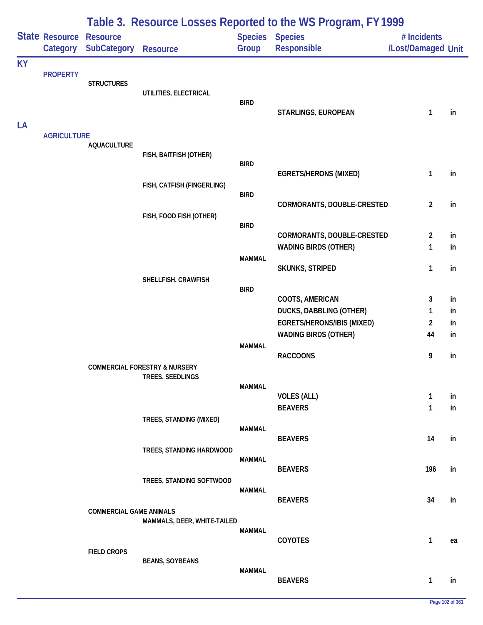|           |                            |                                       |                                                              |                              | Table 3. Resource Losses Reported to the WS Program, FY 1999     |                                   |          |
|-----------|----------------------------|---------------------------------------|--------------------------------------------------------------|------------------------------|------------------------------------------------------------------|-----------------------------------|----------|
|           | State Resource<br>Category | <b>Resource</b><br><b>SubCategory</b> | <b>Resource</b>                                              | Group                        | Species Species<br>Responsible                                   | # Incidents<br>/Lost/Damaged Unit |          |
| <b>KY</b> | <b>PROPERTY</b>            | <b>STRUCTURES</b>                     | UTILITIES, ELECTRICAL                                        | <b>BIRD</b>                  | STARLINGS, EUROPEAN                                              | 1                                 | in       |
| LA        | <b>AGRICULTURE</b>         | <b>AQUACULTURE</b>                    | FISH, BAITFISH (OTHER)                                       |                              |                                                                  |                                   |          |
|           |                            |                                       | FISH, CATFISH (FINGERLING)                                   | <b>BIRD</b>                  | <b>EGRETS/HERONS (MIXED)</b>                                     | 1                                 | in       |
|           |                            |                                       | FISH, FOOD FISH (OTHER)                                      | <b>BIRD</b>                  | CORMORANTS, DOUBLE-CRESTED                                       | $\overline{2}$                    | in       |
|           |                            |                                       |                                                              | <b>BIRD</b>                  | CORMORANTS, DOUBLE-CRESTED<br><b>WADING BIRDS (OTHER)</b>        | $\overline{2}$<br>1               | in<br>in |
|           |                            |                                       | SHELLFISH, CRAWFISH                                          | <b>MAMMAL</b><br><b>BIRD</b> | <b>SKUNKS, STRIPED</b>                                           | 1                                 | in       |
|           |                            |                                       |                                                              |                              | COOTS, AMERICAN<br><b>DUCKS, DABBLING (OTHER)</b>                | 3<br>1                            | in<br>in |
|           |                            |                                       |                                                              | <b>MAMMAL</b>                | <b>EGRETS/HERONS/IBIS (MIXED)</b><br><b>WADING BIRDS (OTHER)</b> | $\overline{2}$<br>44              | in<br>in |
|           |                            |                                       | <b>COMMERCIAL FORESTRY &amp; NURSERY</b><br>TREES, SEEDLINGS |                              | <b>RACCOONS</b>                                                  | 9                                 | in       |
|           |                            |                                       |                                                              | <b>MAMMAL</b>                | <b>VOLES (ALL)</b><br><b>BEAVERS</b>                             | $\mathbf{1}$<br>$\mathbf{1}$      | in<br>in |
|           |                            |                                       | TREES, STANDING (MIXED)                                      | MAMMAL                       | <b>BEAVERS</b>                                                   | 14                                | in       |
|           |                            |                                       | TREES, STANDING HARDWOOD                                     | <b>MAMMAL</b>                | <b>BEAVERS</b>                                                   | 196                               | in       |
|           |                            |                                       | TREES, STANDING SOFTWOOD                                     | <b>MAMMAL</b>                | <b>BEAVERS</b>                                                   | 34                                | in       |
|           |                            | <b>COMMERCIAL GAME ANIMALS</b>        | MAMMALS, DEER, WHITE-TAILED                                  | <b>MAMMAL</b>                |                                                                  |                                   |          |
|           |                            | <b>FIELD CROPS</b>                    | <b>BEANS, SOYBEANS</b>                                       |                              | COYOTES                                                          | $\mathbf{1}$                      | ea       |
|           |                            |                                       |                                                              | <b>MAMMAL</b>                | <b>BEAVERS</b>                                                   | $\mathbf{1}$                      | in       |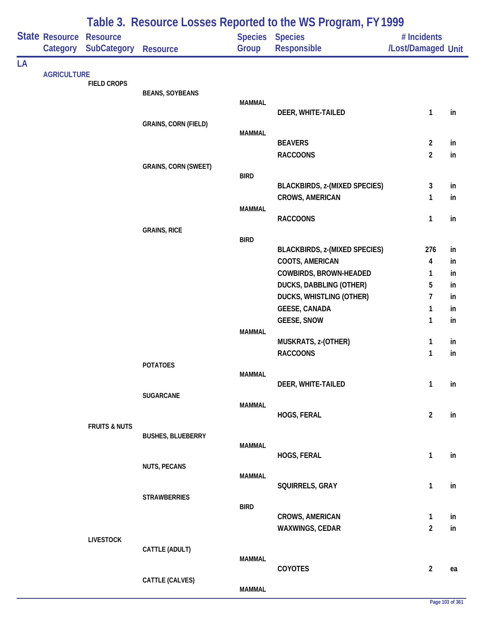|    |                            |                                       |                             |                         | Table 3. Resource Losses Reported to the WS Program, FY 1999      |                                   |          |
|----|----------------------------|---------------------------------------|-----------------------------|-------------------------|-------------------------------------------------------------------|-----------------------------------|----------|
|    | State Resource<br>Category | <b>Resource</b><br><b>SubCategory</b> | <b>Resource</b>             | <b>Species</b><br>Group | <b>Species</b><br>Responsible                                     | # Incidents<br>/Lost/Damaged Unit |          |
| LA |                            |                                       |                             |                         |                                                                   |                                   |          |
|    | <b>AGRICULTURE</b>         | <b>FIELD CROPS</b>                    |                             |                         |                                                                   |                                   |          |
|    |                            |                                       | <b>BEANS, SOYBEANS</b>      |                         |                                                                   |                                   |          |
|    |                            |                                       |                             | <b>MAMMAL</b>           | DEER, WHITE-TAILED                                                | 1                                 | in       |
|    |                            |                                       | <b>GRAINS, CORN (FIELD)</b> |                         |                                                                   |                                   |          |
|    |                            |                                       |                             | <b>MAMMAL</b>           |                                                                   |                                   |          |
|    |                            |                                       |                             |                         | <b>BEAVERS</b>                                                    | $\overline{2}$                    | in       |
|    |                            |                                       |                             |                         | <b>RACCOONS</b>                                                   | $\overline{2}$                    | in       |
|    |                            |                                       | <b>GRAINS, CORN (SWEET)</b> | <b>BIRD</b>             |                                                                   |                                   |          |
|    |                            |                                       |                             |                         | <b>BLACKBIRDS, z-(MIXED SPECIES)</b>                              | 3                                 | in       |
|    |                            |                                       |                             |                         | <b>CROWS, AMERICAN</b>                                            | 1                                 | in       |
|    |                            |                                       |                             | <b>MAMMAL</b>           |                                                                   |                                   |          |
|    |                            |                                       | <b>GRAINS, RICE</b>         |                         | <b>RACCOONS</b>                                                   | 1                                 | in       |
|    |                            |                                       |                             | <b>BIRD</b>             |                                                                   |                                   |          |
|    |                            |                                       |                             |                         | <b>BLACKBIRDS, z-(MIXED SPECIES)</b>                              | 276                               | in       |
|    |                            |                                       |                             |                         | COOTS, AMERICAN                                                   | 4                                 | in       |
|    |                            |                                       |                             |                         | COWBIRDS, BROWN-HEADED                                            | 1                                 | in       |
|    |                            |                                       |                             |                         | <b>DUCKS, DABBLING (OTHER)</b><br><b>DUCKS, WHISTLING (OTHER)</b> | 5<br>7                            | in<br>in |
|    |                            |                                       |                             |                         | <b>GEESE, CANADA</b>                                              | 1                                 | in       |
|    |                            |                                       |                             |                         | <b>GEESE, SNOW</b>                                                | 1                                 | in       |
|    |                            |                                       |                             | <b>MAMMAL</b>           |                                                                   |                                   |          |
|    |                            |                                       |                             |                         | MUSKRATS, z-(OTHER)                                               | 1                                 | in       |
|    |                            |                                       |                             |                         | <b>RACCOONS</b>                                                   | 1                                 | in       |
|    |                            |                                       | <b>POTATOES</b>             | <b>MAMMAL</b>           |                                                                   |                                   |          |
|    |                            |                                       |                             |                         | DEER, WHITE-TAILED                                                | $\mathbf{1}$                      | in       |
|    |                            |                                       | <b>SUGARCANE</b>            |                         |                                                                   |                                   |          |
|    |                            |                                       |                             | <b>MAMMAL</b>           | HOGS, FERAL                                                       | $\overline{2}$                    | in       |
|    |                            | <b>FRUITS &amp; NUTS</b>              |                             |                         |                                                                   |                                   |          |
|    |                            |                                       | <b>BUSHES, BLUEBERRY</b>    |                         |                                                                   |                                   |          |
|    |                            |                                       |                             | <b>MAMMAL</b>           |                                                                   |                                   |          |
|    |                            |                                       | <b>NUTS, PECANS</b>         |                         | HOGS, FERAL                                                       | $\mathbf{1}$                      | in       |
|    |                            |                                       |                             | <b>MAMMAL</b>           |                                                                   |                                   |          |
|    |                            |                                       |                             |                         | SQUIRRELS, GRAY                                                   | $\mathbf{1}$                      | in       |
|    |                            |                                       | <b>STRAWBERRIES</b>         | <b>BIRD</b>             |                                                                   |                                   |          |
|    |                            |                                       |                             |                         | <b>CROWS, AMERICAN</b>                                            | $\mathbf{1}$                      | in       |
|    |                            |                                       |                             |                         | WAXWINGS, CEDAR                                                   | $\overline{2}$                    | in       |
|    |                            | <b>LIVESTOCK</b>                      |                             |                         |                                                                   |                                   |          |
|    |                            |                                       | CATTLE (ADULT)              | <b>MAMMAL</b>           |                                                                   |                                   |          |
|    |                            |                                       |                             |                         | COYOTES                                                           | $\overline{2}$                    | ea       |
|    |                            |                                       | CATTLE (CALVES)             |                         |                                                                   |                                   |          |
|    |                            |                                       |                             | <b>MAMMAL</b>           |                                                                   |                                   |          |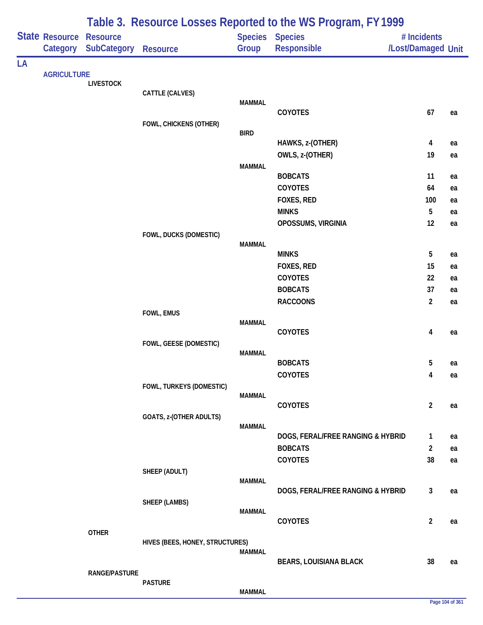|    |                            |                                |                                 |               | Table 3. Resource Losses Reported to the WS Program, FY 1999 |                                   |          |
|----|----------------------------|--------------------------------|---------------------------------|---------------|--------------------------------------------------------------|-----------------------------------|----------|
|    | State Resource<br>Category | <b>Resource</b><br>SubCategory | <b>Resource</b>                 | Group         | Species Species<br><b>Responsible</b>                        | # Incidents<br>/Lost/Damaged Unit |          |
| LA |                            |                                |                                 |               |                                                              |                                   |          |
|    | <b>AGRICULTURE</b>         | <b>LIVESTOCK</b>               |                                 |               |                                                              |                                   |          |
|    |                            |                                | CATTLE (CALVES)                 |               |                                                              |                                   |          |
|    |                            |                                |                                 | <b>MAMMAL</b> |                                                              |                                   |          |
|    |                            |                                | FOWL, CHICKENS (OTHER)          |               | COYOTES                                                      | 67                                | ea       |
|    |                            |                                |                                 | <b>BIRD</b>   |                                                              |                                   |          |
|    |                            |                                |                                 |               | HAWKS, z-(OTHER)                                             | 4                                 | ea       |
|    |                            |                                |                                 |               | OWLS, z-(OTHER)                                              | 19                                | ea       |
|    |                            |                                |                                 | <b>MAMMAL</b> |                                                              |                                   |          |
|    |                            |                                |                                 |               | <b>BOBCATS</b><br><b>COYOTES</b>                             | 11<br>64                          | ea<br>ea |
|    |                            |                                |                                 |               | FOXES, RED                                                   | 100                               | ea       |
|    |                            |                                |                                 |               | <b>MINKS</b>                                                 | $5\phantom{.0}$                   | ea       |
|    |                            |                                |                                 |               | OPOSSUMS, VIRGINIA                                           | 12                                | ea       |
|    |                            |                                | FOWL, DUCKS (DOMESTIC)          |               |                                                              |                                   |          |
|    |                            |                                |                                 | <b>MAMMAL</b> |                                                              |                                   |          |
|    |                            |                                |                                 |               | <b>MINKS</b>                                                 | 5                                 | ea       |
|    |                            |                                |                                 |               | FOXES, RED<br>COYOTES                                        | 15                                | ea       |
|    |                            |                                |                                 |               | <b>BOBCATS</b>                                               | 22<br>37                          | ea<br>ea |
|    |                            |                                |                                 |               | <b>RACCOONS</b>                                              | $\overline{2}$                    | ea       |
|    |                            |                                | FOWL, EMUS                      |               |                                                              |                                   |          |
|    |                            |                                |                                 | <b>MAMMAL</b> |                                                              |                                   |          |
|    |                            |                                |                                 |               | COYOTES                                                      | 4                                 | ea       |
|    |                            |                                | FOWL, GEESE (DOMESTIC)          | <b>MAMMAL</b> |                                                              |                                   |          |
|    |                            |                                |                                 |               | <b>BOBCATS</b>                                               | 5                                 | ea       |
|    |                            |                                |                                 |               | COYOTES                                                      | 4                                 | ea       |
|    |                            |                                | FOWL, TURKEYS (DOMESTIC)        |               |                                                              |                                   |          |
|    |                            |                                |                                 | <b>MAMMAL</b> |                                                              |                                   |          |
|    |                            |                                | GOATS, z-(OTHER ADULTS)         |               | <b>COYOTES</b>                                               | $\overline{2}$                    | ea       |
|    |                            |                                |                                 | <b>MAMMAL</b> |                                                              |                                   |          |
|    |                            |                                |                                 |               | DOGS, FERAL/FREE RANGING & HYBRID                            | $\mathbf{1}$                      | ea       |
|    |                            |                                |                                 |               | <b>BOBCATS</b>                                               | $\overline{2}$                    | ea       |
|    |                            |                                |                                 |               | COYOTES                                                      | 38                                | ea       |
|    |                            |                                | SHEEP (ADULT)                   | <b>MAMMAL</b> |                                                              |                                   |          |
|    |                            |                                |                                 |               | DOGS, FERAL/FREE RANGING & HYBRID                            | 3                                 | ea       |
|    |                            |                                | SHEEP (LAMBS)                   |               |                                                              |                                   |          |
|    |                            |                                |                                 | <b>MAMMAL</b> |                                                              |                                   |          |
|    |                            |                                |                                 |               | COYOTES                                                      | $\overline{2}$                    | ea       |
|    |                            | <b>OTHER</b>                   | HIVES (BEES, HONEY, STRUCTURES) |               |                                                              |                                   |          |
|    |                            |                                |                                 | <b>MAMMAL</b> |                                                              |                                   |          |
|    |                            |                                |                                 |               | <b>BEARS, LOUISIANA BLACK</b>                                | 38                                | ea       |
|    |                            | RANGE/PASTURE                  | <b>PASTURE</b>                  |               |                                                              |                                   |          |
|    |                            |                                |                                 | <b>MAMMAL</b> |                                                              |                                   |          |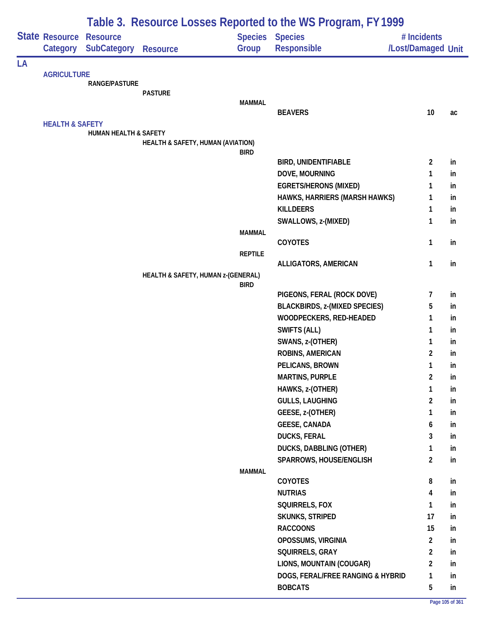|    |                            |                                  |                                    |                | Table 3. Resource Losses Reported to the WS Program, FY 1999  |                    |          |
|----|----------------------------|----------------------------------|------------------------------------|----------------|---------------------------------------------------------------|--------------------|----------|
|    | State Resource             | <b>Resource</b>                  |                                    | <b>Species</b> | <b>Species</b>                                                | # Incidents        |          |
|    | Category                   | <b>SubCategory</b>               | <b>Resource</b>                    | Group          | Responsible                                                   | /Lost/Damaged Unit |          |
| LA |                            |                                  |                                    |                |                                                               |                    |          |
|    | <b>AGRICULTURE</b>         | <b>RANGE/PASTURE</b>             |                                    |                |                                                               |                    |          |
|    |                            |                                  | <b>PASTURE</b>                     |                |                                                               |                    |          |
|    |                            |                                  |                                    | <b>MAMMAL</b>  |                                                               |                    |          |
|    |                            |                                  |                                    |                | <b>BEAVERS</b>                                                | 10                 | ac       |
|    | <b>HEALTH &amp; SAFETY</b> | <b>HUMAN HEALTH &amp; SAFETY</b> |                                    |                |                                                               |                    |          |
|    |                            |                                  | HEALTH & SAFETY, HUMAN (AVIATION)  |                |                                                               |                    |          |
|    |                            |                                  |                                    | <b>BIRD</b>    |                                                               |                    |          |
|    |                            |                                  |                                    |                | <b>BIRD, UNIDENTIFIABLE</b>                                   | $\overline{2}$     | in       |
|    |                            |                                  |                                    |                | DOVE, MOURNING                                                | 1                  | in       |
|    |                            |                                  |                                    |                | <b>EGRETS/HERONS (MIXED)</b><br>HAWKS, HARRIERS (MARSH HAWKS) | 1<br>1             | in<br>in |
|    |                            |                                  |                                    |                | <b>KILLDEERS</b>                                              | 1                  | in       |
|    |                            |                                  |                                    |                | SWALLOWS, z-(MIXED)                                           | 1                  | in       |
|    |                            |                                  |                                    | <b>MAMMAL</b>  |                                                               |                    |          |
|    |                            |                                  |                                    |                | <b>COYOTES</b>                                                | 1                  | in       |
|    |                            |                                  |                                    | <b>REPTILE</b> |                                                               |                    |          |
|    |                            |                                  |                                    |                | ALLIGATORS, AMERICAN                                          | 1                  | in       |
|    |                            |                                  | HEALTH & SAFETY, HUMAN z-(GENERAL) | <b>BIRD</b>    |                                                               |                    |          |
|    |                            |                                  |                                    |                | PIGEONS, FERAL (ROCK DOVE)                                    | 7                  | in       |
|    |                            |                                  |                                    |                | <b>BLACKBIRDS, z-(MIXED SPECIES)</b>                          | 5                  | in       |
|    |                            |                                  |                                    |                | WOODPECKERS, RED-HEADED                                       | 1                  | in       |
|    |                            |                                  |                                    |                | <b>SWIFTS (ALL)</b>                                           | 1                  | in       |
|    |                            |                                  |                                    |                | SWANS, z-(OTHER)                                              | 1                  | in       |
|    |                            |                                  |                                    |                | ROBINS, AMERICAN                                              | $\overline{2}$     | in       |
|    |                            |                                  |                                    |                | PELICANS, BROWN                                               | 1                  | in       |
|    |                            |                                  |                                    |                | <b>MARTINS, PURPLE</b>                                        | $\overline{2}$     | in       |
|    |                            |                                  |                                    |                | HAWKS, z-(OTHER)                                              | 1                  | in       |
|    |                            |                                  |                                    |                | <b>GULLS, LAUGHING</b>                                        | $\overline{c}$     | in       |
|    |                            |                                  |                                    |                | GEESE, z-(OTHER)                                              | 1                  | in       |
|    |                            |                                  |                                    |                | <b>GEESE, CANADA</b>                                          | 6                  | in       |
|    |                            |                                  |                                    |                | <b>DUCKS, FERAL</b>                                           | 3                  | in       |
|    |                            |                                  |                                    |                | DUCKS, DABBLING (OTHER)                                       | 1                  | in       |
|    |                            |                                  |                                    |                | SPARROWS, HOUSE/ENGLISH                                       | $\overline{2}$     | in       |
|    |                            |                                  |                                    | <b>MAMMAL</b>  | <b>COYOTES</b>                                                | 8                  | in       |
|    |                            |                                  |                                    |                | <b>NUTRIAS</b>                                                | 4                  | in       |
|    |                            |                                  |                                    |                | SQUIRRELS, FOX                                                | 1                  | in       |
|    |                            |                                  |                                    |                | <b>SKUNKS, STRIPED</b>                                        | 17                 | in       |
|    |                            |                                  |                                    |                | <b>RACCOONS</b>                                               | 15                 | in       |
|    |                            |                                  |                                    |                | OPOSSUMS, VIRGINIA                                            | $\overline{2}$     | in       |
|    |                            |                                  |                                    |                | SQUIRRELS, GRAY                                               | $\overline{a}$     | in       |
|    |                            |                                  |                                    |                | LIONS, MOUNTAIN (COUGAR)                                      | $\overline{2}$     | in       |
|    |                            |                                  |                                    |                | DOGS, FERAL/FREE RANGING & HYBRID                             | 1                  | in       |
|    |                            |                                  |                                    |                |                                                               |                    | in       |
|    |                            |                                  |                                    |                | <b>BOBCATS</b>                                                | 5                  |          |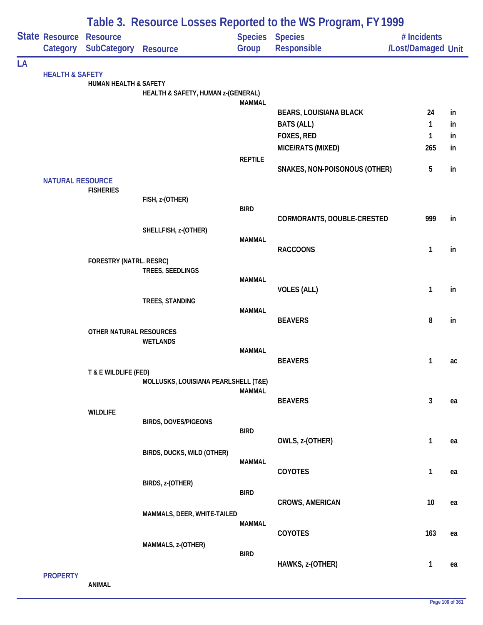|    |                                   |                                       |                                      |                | Table 3. Resource Losses Reported to the WS Program, FY 1999 |                                   |    |
|----|-----------------------------------|---------------------------------------|--------------------------------------|----------------|--------------------------------------------------------------|-----------------------------------|----|
|    | <b>State Resource</b><br>Category | <b>Resource</b><br><b>SubCategory</b> | <b>Resource</b>                      | Group          | Species Species<br>Responsible                               | # Incidents<br>/Lost/Damaged Unit |    |
| LA |                                   |                                       |                                      |                |                                                              |                                   |    |
|    | <b>HEALTH &amp; SAFETY</b>        | HUMAN HEALTH & SAFETY                 |                                      |                |                                                              |                                   |    |
|    |                                   |                                       | HEALTH & SAFETY, HUMAN z-(GENERAL)   |                |                                                              |                                   |    |
|    |                                   |                                       |                                      | <b>MAMMAL</b>  | <b>BEARS, LOUISIANA BLACK</b>                                | 24                                | in |
|    |                                   |                                       |                                      |                | <b>BATS (ALL)</b>                                            | 1                                 | in |
|    |                                   |                                       |                                      |                | FOXES, RED                                                   | 1                                 | in |
|    |                                   |                                       |                                      |                | MICE/RATS (MIXED)                                            | 265                               | in |
|    |                                   |                                       |                                      | <b>REPTILE</b> |                                                              |                                   |    |
|    |                                   |                                       |                                      |                | SNAKES, NON-POISONOUS (OTHER)                                | 5                                 | in |
|    | <b>NATURAL RESOURCE</b>           | <b>FISHERIES</b>                      |                                      |                |                                                              |                                   |    |
|    |                                   |                                       | FISH, z-(OTHER)                      |                |                                                              |                                   |    |
|    |                                   |                                       |                                      | <b>BIRD</b>    |                                                              |                                   |    |
|    |                                   |                                       | SHELLFISH, z-(OTHER)                 |                | CORMORANTS, DOUBLE-CRESTED                                   | 999                               | in |
|    |                                   |                                       |                                      | <b>MAMMAL</b>  |                                                              |                                   |    |
|    |                                   |                                       |                                      |                | <b>RACCOONS</b>                                              | 1                                 | in |
|    |                                   | FORESTRY (NATRL. RESRC)               | TREES, SEEDLINGS                     |                |                                                              |                                   |    |
|    |                                   |                                       |                                      | <b>MAMMAL</b>  |                                                              |                                   |    |
|    |                                   |                                       |                                      |                | <b>VOLES (ALL)</b>                                           | 1                                 | in |
|    |                                   |                                       | TREES, STANDING                      |                |                                                              |                                   |    |
|    |                                   |                                       |                                      | <b>MAMMAL</b>  | <b>BEAVERS</b>                                               | 8                                 | in |
|    |                                   | OTHER NATURAL RESOURCES               |                                      |                |                                                              |                                   |    |
|    |                                   |                                       | <b>WETLANDS</b>                      |                |                                                              |                                   |    |
|    |                                   |                                       |                                      | <b>MAMMAL</b>  | <b>BEAVERS</b>                                               | 1                                 | ac |
|    |                                   | T & E WILDLIFE (FED)                  |                                      |                |                                                              |                                   |    |
|    |                                   |                                       | MOLLUSKS, LOUISIANA PEARLSHELL (T&E) |                |                                                              |                                   |    |
|    |                                   |                                       |                                      | <b>MAMMAL</b>  | <b>BEAVERS</b>                                               | $\mathbf{3}$                      | ea |
|    |                                   | <b>WILDLIFE</b>                       |                                      |                |                                                              |                                   |    |
|    |                                   |                                       | <b>BIRDS, DOVES/PIGEONS</b>          |                |                                                              |                                   |    |
|    |                                   |                                       |                                      | <b>BIRD</b>    | OWLS, z-(OTHER)                                              | $\mathbf{1}$                      | ea |
|    |                                   |                                       | BIRDS, DUCKS, WILD (OTHER)           |                |                                                              |                                   |    |
|    |                                   |                                       |                                      | <b>MAMMAL</b>  |                                                              |                                   |    |
|    |                                   |                                       |                                      |                | COYOTES                                                      | $\mathbf{1}$                      | ea |
|    |                                   |                                       | BIRDS, z-(OTHER)                     | <b>BIRD</b>    |                                                              |                                   |    |
|    |                                   |                                       |                                      |                | <b>CROWS, AMERICAN</b>                                       | 10                                | ea |
|    |                                   |                                       | MAMMALS, DEER, WHITE-TAILED          |                |                                                              |                                   |    |
|    |                                   |                                       |                                      | <b>MAMMAL</b>  | COYOTES                                                      | 163                               | ea |
|    |                                   |                                       | MAMMALS, z-(OTHER)                   |                |                                                              |                                   |    |
|    |                                   |                                       |                                      | <b>BIRD</b>    |                                                              | 1                                 |    |
|    | <b>PROPERTY</b>                   |                                       |                                      |                | HAWKS, z-(OTHER)                                             |                                   | ea |

**ANIMAL**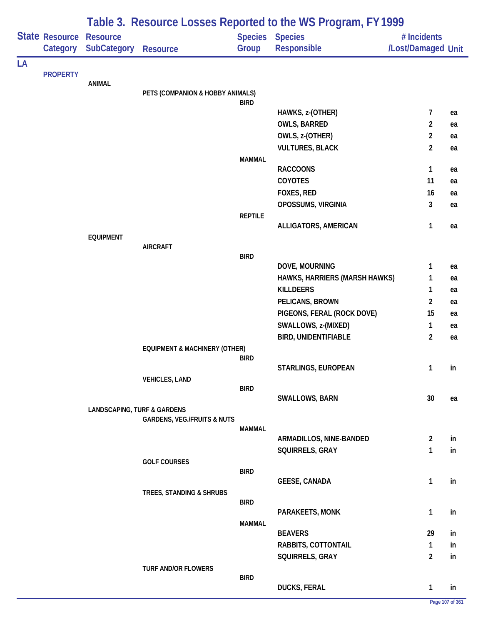|    |                                   |                                        |                                          |                | Table 3. Resource Losses Reported to the WS Program, FY 1999 |                                   |    |
|----|-----------------------------------|----------------------------------------|------------------------------------------|----------------|--------------------------------------------------------------|-----------------------------------|----|
|    | <b>State Resource</b><br>Category | <b>Resource</b><br><b>SubCategory</b>  | <b>Resource</b>                          | Group          | <b>Species Species</b><br><b>Responsible</b>                 | # Incidents<br>/Lost/Damaged Unit |    |
| LA |                                   |                                        |                                          |                |                                                              |                                   |    |
|    | <b>PROPERTY</b>                   | <b>ANIMAL</b>                          |                                          |                |                                                              |                                   |    |
|    |                                   |                                        | PETS (COMPANION & HOBBY ANIMALS)         |                |                                                              |                                   |    |
|    |                                   |                                        |                                          | <b>BIRD</b>    |                                                              |                                   |    |
|    |                                   |                                        |                                          |                | HAWKS, z-(OTHER)                                             | 7                                 | ea |
|    |                                   |                                        |                                          |                | <b>OWLS, BARRED</b>                                          | $\overline{2}$                    | ea |
|    |                                   |                                        |                                          |                | OWLS, z-(OTHER)                                              | $\overline{2}$                    | ea |
|    |                                   |                                        |                                          | <b>MAMMAL</b>  | <b>VULTURES, BLACK</b>                                       | $\overline{2}$                    | ea |
|    |                                   |                                        |                                          |                | <b>RACCOONS</b>                                              | 1                                 | ea |
|    |                                   |                                        |                                          |                | <b>COYOTES</b>                                               | 11                                | ea |
|    |                                   |                                        |                                          |                | FOXES, RED                                                   | 16                                | ea |
|    |                                   |                                        |                                          |                | OPOSSUMS, VIRGINIA                                           | 3                                 | ea |
|    |                                   |                                        |                                          | <b>REPTILE</b> |                                                              |                                   |    |
|    |                                   |                                        |                                          |                | ALLIGATORS, AMERICAN                                         | 1                                 | ea |
|    |                                   | <b>EQUIPMENT</b>                       |                                          |                |                                                              |                                   |    |
|    |                                   |                                        | <b>AIRCRAFT</b>                          | <b>BIRD</b>    |                                                              |                                   |    |
|    |                                   |                                        |                                          |                | DOVE, MOURNING                                               | 1                                 | ea |
|    |                                   |                                        |                                          |                | HAWKS, HARRIERS (MARSH HAWKS)                                | 1                                 | ea |
|    |                                   |                                        |                                          |                | <b>KILLDEERS</b>                                             | 1                                 | ea |
|    |                                   |                                        |                                          |                | PELICANS, BROWN                                              | $\overline{2}$                    | ea |
|    |                                   |                                        |                                          |                | PIGEONS, FERAL (ROCK DOVE)                                   | 15                                | ea |
|    |                                   |                                        |                                          |                | SWALLOWS, z-(MIXED)                                          | 1                                 | ea |
|    |                                   |                                        |                                          |                | <b>BIRD, UNIDENTIFIABLE</b>                                  | $\overline{2}$                    | ea |
|    |                                   |                                        | <b>EQUIPMENT &amp; MACHINERY (OTHER)</b> |                |                                                              |                                   |    |
|    |                                   |                                        |                                          | <b>BIRD</b>    |                                                              |                                   |    |
|    |                                   |                                        |                                          |                | STARLINGS, EUROPEAN                                          | $\mathbf{1}$                      | in |
|    |                                   |                                        | <b>VEHICLES, LAND</b>                    | <b>BIRD</b>    |                                                              |                                   |    |
|    |                                   |                                        |                                          |                | SWALLOWS, BARN                                               | 30                                | ea |
|    |                                   | <b>LANDSCAPING, TURF &amp; GARDENS</b> |                                          |                |                                                              |                                   |    |
|    |                                   |                                        | <b>GARDENS, VEG./FRUITS &amp; NUTS</b>   |                |                                                              |                                   |    |
|    |                                   |                                        |                                          | MAMMAL         | ARMADILLOS, NINE-BANDED                                      | $\overline{2}$                    | in |
|    |                                   |                                        |                                          |                | SQUIRRELS, GRAY                                              | 1                                 | in |
|    |                                   |                                        | <b>GOLF COURSES</b>                      |                |                                                              |                                   |    |
|    |                                   |                                        |                                          | <b>BIRD</b>    |                                                              |                                   |    |
|    |                                   |                                        |                                          |                | <b>GEESE, CANADA</b>                                         | 1                                 | in |
|    |                                   |                                        | TREES, STANDING & SHRUBS                 |                |                                                              |                                   |    |
|    |                                   |                                        |                                          | <b>BIRD</b>    |                                                              | 1                                 |    |
|    |                                   |                                        |                                          | <b>MAMMAL</b>  | PARAKEETS, MONK                                              |                                   | in |
|    |                                   |                                        |                                          |                | <b>BEAVERS</b>                                               | 29                                | in |
|    |                                   |                                        |                                          |                | RABBITS, COTTONTAIL                                          | 1                                 | in |
|    |                                   |                                        |                                          |                | SQUIRRELS, GRAY                                              | $\overline{a}$                    | in |
|    |                                   |                                        | TURF AND/OR FLOWERS                      |                |                                                              |                                   |    |
|    |                                   |                                        |                                          | <b>BIRD</b>    |                                                              |                                   |    |
|    |                                   |                                        |                                          |                | <b>DUCKS, FERAL</b>                                          | 1                                 | in |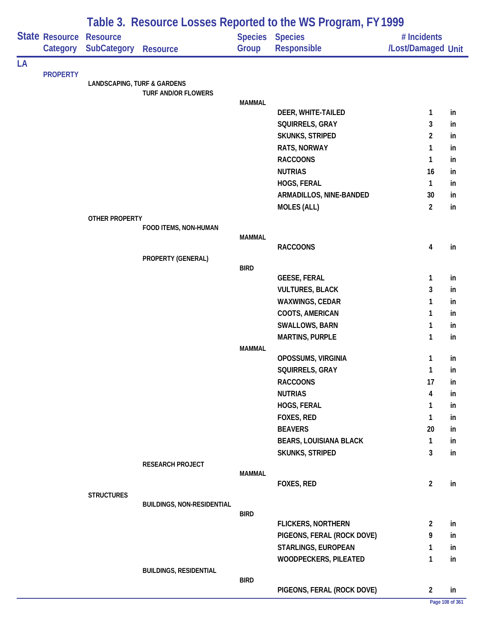|    |                                   |                                        |                                   |               | Table 3. Resource Losses Reported to the WS Program, FY 1999 |                                   |          |
|----|-----------------------------------|----------------------------------------|-----------------------------------|---------------|--------------------------------------------------------------|-----------------------------------|----------|
|    | State Resource<br><b>Category</b> | <b>Resource</b><br>SubCategory         | <b>Resource</b>                   | Group         | <b>Species Species</b><br>Responsible                        | # Incidents<br>/Lost/Damaged Unit |          |
| LA |                                   |                                        |                                   |               |                                                              |                                   |          |
|    | <b>PROPERTY</b>                   |                                        |                                   |               |                                                              |                                   |          |
|    |                                   | <b>LANDSCAPING, TURF &amp; GARDENS</b> | <b>TURF AND/OR FLOWERS</b>        |               |                                                              |                                   |          |
|    |                                   |                                        |                                   | <b>MAMMAL</b> |                                                              |                                   |          |
|    |                                   |                                        |                                   |               | DEER, WHITE-TAILED                                           | 1                                 | in       |
|    |                                   |                                        |                                   |               | SQUIRRELS, GRAY                                              | 3                                 | in       |
|    |                                   |                                        |                                   |               | SKUNKS, STRIPED                                              | $\overline{2}$                    | in       |
|    |                                   |                                        |                                   |               | RATS, NORWAY                                                 | 1                                 | in       |
|    |                                   |                                        |                                   |               | <b>RACCOONS</b>                                              | 1                                 | in       |
|    |                                   |                                        |                                   |               | <b>NUTRIAS</b>                                               | 16                                | in       |
|    |                                   |                                        |                                   |               | HOGS, FERAL                                                  | $\mathbf{1}$                      | in       |
|    |                                   |                                        |                                   |               | ARMADILLOS, NINE-BANDED                                      | 30                                | in       |
|    |                                   |                                        |                                   |               | <b>MOLES (ALL)</b>                                           | $\overline{2}$                    | in       |
|    |                                   | OTHER PROPERTY                         |                                   |               |                                                              |                                   |          |
|    |                                   |                                        | FOOD ITEMS, NON-HUMAN             |               |                                                              |                                   |          |
|    |                                   |                                        |                                   | <b>MAMMAL</b> | <b>RACCOONS</b>                                              | 4                                 | in       |
|    |                                   |                                        | PROPERTY (GENERAL)                |               |                                                              |                                   |          |
|    |                                   |                                        |                                   | <b>BIRD</b>   |                                                              |                                   |          |
|    |                                   |                                        |                                   |               | <b>GEESE, FERAL</b>                                          | 1                                 | in       |
|    |                                   |                                        |                                   |               | <b>VULTURES, BLACK</b>                                       | 3                                 | in       |
|    |                                   |                                        |                                   |               | WAXWINGS, CEDAR                                              | 1                                 | in       |
|    |                                   |                                        |                                   |               | COOTS, AMERICAN                                              | 1                                 | in       |
|    |                                   |                                        |                                   |               | <b>SWALLOWS, BARN</b>                                        | 1                                 | in       |
|    |                                   |                                        |                                   |               | <b>MARTINS, PURPLE</b>                                       | 1                                 | in       |
|    |                                   |                                        |                                   | <b>MAMMAL</b> |                                                              |                                   |          |
|    |                                   |                                        |                                   |               | OPOSSUMS, VIRGINIA                                           | 1                                 | in       |
|    |                                   |                                        |                                   |               | SQUIRRELS, GRAY                                              | $\mathbf{1}$                      | in       |
|    |                                   |                                        |                                   |               | <b>RACCOONS</b>                                              | 17                                | in       |
|    |                                   |                                        |                                   |               | <b>NUTRIAS</b>                                               | 4                                 | in       |
|    |                                   |                                        |                                   |               | HOGS, FERAL                                                  | $\mathbf{1}$                      | in       |
|    |                                   |                                        |                                   |               | FOXES, RED<br><b>BEAVERS</b>                                 | $\mathbf{1}$                      | in       |
|    |                                   |                                        |                                   |               |                                                              | 20                                | in       |
|    |                                   |                                        |                                   |               | <b>BEARS, LOUISIANA BLACK</b><br><b>SKUNKS, STRIPED</b>      | 1<br>3                            | in<br>in |
|    |                                   |                                        | RESEARCH PROJECT                  |               |                                                              |                                   |          |
|    |                                   |                                        |                                   | <b>MAMMAL</b> |                                                              |                                   |          |
|    |                                   |                                        |                                   |               | FOXES, RED                                                   | $\overline{2}$                    | in       |
|    |                                   | <b>STRUCTURES</b>                      |                                   |               |                                                              |                                   |          |
|    |                                   |                                        | <b>BUILDINGS, NON-RESIDENTIAL</b> |               |                                                              |                                   |          |
|    |                                   |                                        |                                   | <b>BIRD</b>   | <b>FLICKERS, NORTHERN</b>                                    | $\overline{2}$                    | in       |
|    |                                   |                                        |                                   |               | PIGEONS, FERAL (ROCK DOVE)                                   | 9                                 | in       |
|    |                                   |                                        |                                   |               | STARLINGS, EUROPEAN                                          | $\mathbf{1}$                      | in       |
|    |                                   |                                        |                                   |               | WOODPECKERS, PILEATED                                        | 1                                 | in       |
|    |                                   |                                        | <b>BUILDINGS, RESIDENTIAL</b>     |               |                                                              |                                   |          |
|    |                                   |                                        |                                   | <b>BIRD</b>   |                                                              |                                   |          |
|    |                                   |                                        |                                   |               | PIGEONS, FERAL (ROCK DOVE)                                   | $\overline{2}$                    | in       |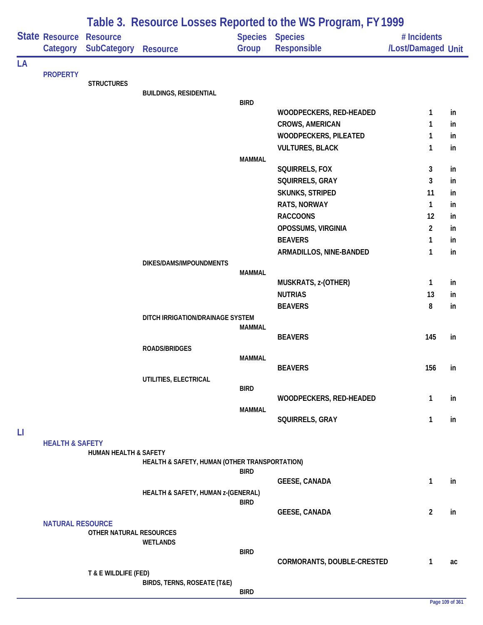|    |                            | Table 3. Resource Losses Reported to the WS Program, FY 1999 |                                               |               |                                           |                                   |           |  |  |
|----|----------------------------|--------------------------------------------------------------|-----------------------------------------------|---------------|-------------------------------------------|-----------------------------------|-----------|--|--|
|    | State Resource<br>Category | <b>Resource</b><br><b>SubCategory</b>                        | <b>Resource</b>                               | Group         | Species Species<br>Responsible            | # Incidents<br>/Lost/Damaged Unit |           |  |  |
| LA |                            |                                                              |                                               |               |                                           |                                   |           |  |  |
|    | <b>PROPERTY</b>            |                                                              |                                               |               |                                           |                                   |           |  |  |
|    |                            | <b>STRUCTURES</b>                                            | <b>BUILDINGS, RESIDENTIAL</b>                 |               |                                           |                                   |           |  |  |
|    |                            |                                                              |                                               | <b>BIRD</b>   |                                           |                                   |           |  |  |
|    |                            |                                                              |                                               |               | <b>WOODPECKERS, RED-HEADED</b>            | 1                                 | in        |  |  |
|    |                            |                                                              |                                               |               | <b>CROWS, AMERICAN</b>                    | 1                                 | in        |  |  |
|    |                            |                                                              |                                               |               | WOODPECKERS, PILEATED                     | 1                                 | in        |  |  |
|    |                            |                                                              |                                               |               | <b>VULTURES, BLACK</b>                    | 1                                 | in        |  |  |
|    |                            |                                                              |                                               | <b>MAMMAL</b> |                                           |                                   |           |  |  |
|    |                            |                                                              |                                               |               | SQUIRRELS, FOX                            | 3<br>3                            | in<br>in  |  |  |
|    |                            |                                                              |                                               |               | SQUIRRELS, GRAY<br><b>SKUNKS, STRIPED</b> | 11                                | in        |  |  |
|    |                            |                                                              |                                               |               | RATS, NORWAY                              | $\mathbf{1}$                      | in        |  |  |
|    |                            |                                                              |                                               |               | <b>RACCOONS</b>                           | 12                                | in        |  |  |
|    |                            |                                                              |                                               |               | OPOSSUMS, VIRGINIA                        | $\overline{2}$                    | in        |  |  |
|    |                            |                                                              |                                               |               | <b>BEAVERS</b>                            | 1                                 | in        |  |  |
|    |                            |                                                              |                                               |               | ARMADILLOS, NINE-BANDED                   | $\mathbf{1}$                      | in        |  |  |
|    |                            |                                                              | DIKES/DAMS/IMPOUNDMENTS                       |               |                                           |                                   |           |  |  |
|    |                            |                                                              |                                               | <b>MAMMAL</b> |                                           |                                   |           |  |  |
|    |                            |                                                              |                                               |               | MUSKRATS, z-(OTHER)                       | $\mathbf{1}$                      | in        |  |  |
|    |                            |                                                              |                                               |               | <b>NUTRIAS</b>                            | 13                                | in        |  |  |
|    |                            |                                                              |                                               |               | <b>BEAVERS</b>                            | 8                                 | in        |  |  |
|    |                            |                                                              | DITCH IRRIGATION/DRAINAGE SYSTEM              |               |                                           |                                   |           |  |  |
|    |                            |                                                              |                                               | <b>MAMMAL</b> | <b>BEAVERS</b>                            | 145                               | in        |  |  |
|    |                            |                                                              | <b>ROADS/BRIDGES</b>                          |               |                                           |                                   |           |  |  |
|    |                            |                                                              |                                               | <b>MAMMAL</b> |                                           |                                   |           |  |  |
|    |                            |                                                              |                                               |               | <b>BEAVERS</b>                            | 156                               | <i>in</i> |  |  |
|    |                            |                                                              | UTILITIES, ELECTRICAL                         |               |                                           |                                   |           |  |  |
|    |                            |                                                              |                                               | <b>BIRD</b>   |                                           |                                   |           |  |  |
|    |                            |                                                              |                                               |               | WOODPECKERS, RED-HEADED                   | 1                                 | in        |  |  |
|    |                            |                                                              |                                               | <b>MAMMAL</b> | SQUIRRELS, GRAY                           | $\mathbf{1}$                      | in        |  |  |
| П  |                            |                                                              |                                               |               |                                           |                                   |           |  |  |
|    | <b>HEALTH &amp; SAFETY</b> | HUMAN HEALTH & SAFETY                                        |                                               |               |                                           |                                   |           |  |  |
|    |                            |                                                              | HEALTH & SAFETY, HUMAN (OTHER TRANSPORTATION) | <b>BIRD</b>   |                                           |                                   |           |  |  |
|    |                            |                                                              |                                               |               | <b>GEESE, CANADA</b>                      | 1                                 | in        |  |  |
|    |                            |                                                              | HEALTH & SAFETY, HUMAN z-(GENERAL)            |               |                                           |                                   |           |  |  |
|    |                            |                                                              |                                               | <b>BIRD</b>   |                                           |                                   |           |  |  |
|    |                            |                                                              |                                               |               | <b>GEESE, CANADA</b>                      | $\overline{2}$                    | in        |  |  |
|    | <b>NATURAL RESOURCE</b>    | OTHER NATURAL RESOURCES                                      |                                               |               |                                           |                                   |           |  |  |
|    |                            |                                                              | <b>WETLANDS</b>                               |               |                                           |                                   |           |  |  |
|    |                            |                                                              |                                               | <b>BIRD</b>   |                                           |                                   |           |  |  |
|    |                            |                                                              |                                               |               | CORMORANTS, DOUBLE-CRESTED                | $\mathbf{1}$                      | ac        |  |  |
|    |                            | T & E WILDLIFE (FED)                                         | BIRDS, TERNS, ROSEATE (T&E)                   |               |                                           |                                   |           |  |  |
|    |                            |                                                              |                                               | <b>BIRD</b>   |                                           |                                   |           |  |  |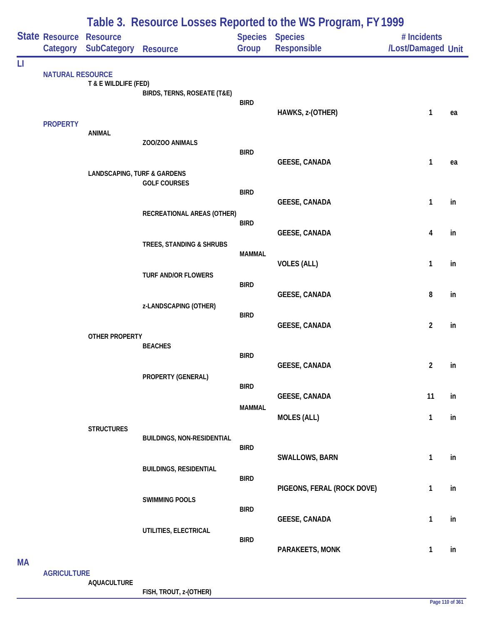|            |                                |                                        |                                   |                              | Table 3. Resource Losses Reported to the WS Program, FY 1999 |                                   |          |
|------------|--------------------------------|----------------------------------------|-----------------------------------|------------------------------|--------------------------------------------------------------|-----------------------------------|----------|
|            | <b>State Resource Resource</b> | Category SubCategory                   | <b>Resource</b>                   | <b>Species</b><br>Group      | <b>Species</b><br>Responsible                                | # Incidents<br>/Lost/Damaged Unit |          |
| LI         | <b>NATURAL RESOURCE</b>        | T & E WILDLIFE (FED)                   | BIRDS, TERNS, ROSEATE (T&E)       | <b>BIRD</b>                  | HAWKS, z-(OTHER)                                             | 1                                 | ea       |
|            | <b>PROPERTY</b>                | <b>ANIMAL</b>                          | ZOO/ZOO ANIMALS                   | <b>BIRD</b>                  |                                                              |                                   |          |
|            |                                | <b>LANDSCAPING, TURF &amp; GARDENS</b> | <b>GOLF COURSES</b>               | <b>BIRD</b>                  | <b>GEESE, CANADA</b>                                         | $\mathbf{1}$                      | ea       |
|            |                                |                                        | RECREATIONAL AREAS (OTHER)        | <b>BIRD</b>                  | <b>GEESE, CANADA</b>                                         | $\mathbf{1}$                      | in       |
|            |                                |                                        | TREES, STANDING & SHRUBS          | <b>MAMMAL</b>                | <b>GEESE, CANADA</b><br><b>VOLES (ALL)</b>                   | 4<br>$\mathbf{1}$                 | in<br>in |
|            |                                |                                        | <b>TURF AND/OR FLOWERS</b>        | <b>BIRD</b>                  | <b>GEESE, CANADA</b>                                         | 8                                 | in       |
|            |                                | <b>OTHER PROPERTY</b>                  | z-LANDSCAPING (OTHER)             | <b>BIRD</b>                  | <b>GEESE, CANADA</b>                                         | $\overline{2}$                    | in       |
|            |                                |                                        | <b>BEACHES</b>                    | <b>BIRD</b>                  | <b>GEESE, CANADA</b>                                         | $\overline{2}$                    | in       |
|            |                                |                                        | PROPERTY (GENERAL)                | <b>BIRD</b><br><b>MAMMAL</b> | <b>GEESE, CANADA</b>                                         | 11                                | in       |
|            |                                | <b>STRUCTURES</b>                      | <b>BUILDINGS, NON-RESIDENTIAL</b> |                              | <b>MOLES (ALL)</b>                                           | $\mathbf{1}$                      | in       |
|            |                                |                                        | <b>BUILDINGS, RESIDENTIAL</b>     | <b>BIRD</b><br><b>BIRD</b>   | SWALLOWS, BARN                                               | $\mathbf{1}$                      | in       |
|            |                                |                                        | <b>SWIMMING POOLS</b>             | <b>BIRD</b>                  | PIGEONS, FERAL (ROCK DOVE)                                   | 1                                 | in       |
|            |                                |                                        | UTILITIES, ELECTRICAL             | <b>BIRD</b>                  | <b>GEESE, CANADA</b><br>PARAKEETS, MONK                      | $\mathbf{1}$<br>$\mathbf{1}$      | in<br>in |
| <b>NAA</b> |                                |                                        |                                   |                              |                                                              |                                   |          |

**MA**

**AGRICULTURE**

**AQUACULTURE**

**FISH, TROUT, z-(OTHER)**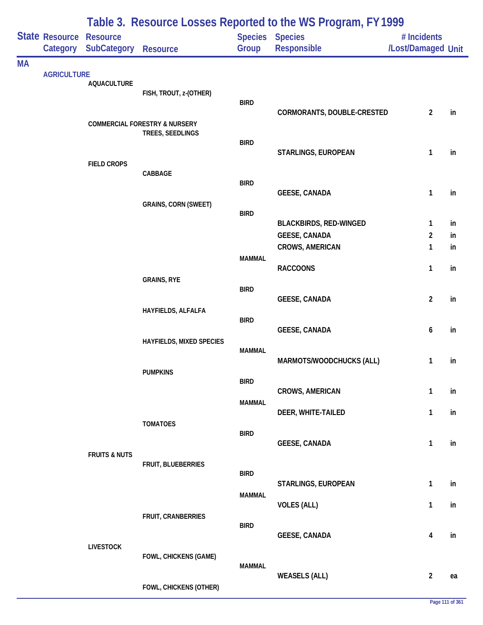|           |                            |                                       |                                                              |               | Table 3. Resource Losses Reported to the WS Program, FY 1999 |                                   |    |
|-----------|----------------------------|---------------------------------------|--------------------------------------------------------------|---------------|--------------------------------------------------------------|-----------------------------------|----|
|           | State Resource<br>Category | <b>Resource</b><br><b>SubCategory</b> | Resource                                                     | Group         | Species Species<br>Responsible                               | # Incidents<br>/Lost/Damaged Unit |    |
| <b>MA</b> |                            |                                       |                                                              |               |                                                              |                                   |    |
|           | <b>AGRICULTURE</b>         | <b>AQUACULTURE</b>                    |                                                              |               |                                                              |                                   |    |
|           |                            |                                       | FISH, TROUT, z-(OTHER)                                       | <b>BIRD</b>   |                                                              |                                   |    |
|           |                            |                                       |                                                              |               | CORMORANTS, DOUBLE-CRESTED                                   | $\overline{2}$                    | in |
|           |                            |                                       | <b>COMMERCIAL FORESTRY &amp; NURSERY</b><br>TREES, SEEDLINGS |               |                                                              |                                   |    |
|           |                            |                                       |                                                              | <b>BIRD</b>   | STARLINGS, EUROPEAN                                          | $\mathbf{1}$                      | in |
|           |                            | <b>FIELD CROPS</b>                    | CABBAGE                                                      |               |                                                              |                                   |    |
|           |                            |                                       |                                                              | <b>BIRD</b>   |                                                              |                                   |    |
|           |                            |                                       | <b>GRAINS, CORN (SWEET)</b>                                  |               | <b>GEESE, CANADA</b>                                         | 1                                 | in |
|           |                            |                                       |                                                              | <b>BIRD</b>   | <b>BLACKBIRDS, RED-WINGED</b>                                | $\mathbf{1}$                      | in |
|           |                            |                                       |                                                              |               | <b>GEESE, CANADA</b>                                         | $\overline{2}$                    | in |
|           |                            |                                       |                                                              |               | <b>CROWS, AMERICAN</b>                                       | 1                                 | in |
|           |                            |                                       |                                                              | <b>MAMMAL</b> | <b>RACCOONS</b>                                              | 1                                 | in |
|           |                            |                                       | <b>GRAINS, RYE</b>                                           | <b>BIRD</b>   |                                                              |                                   |    |
|           |                            |                                       |                                                              |               | <b>GEESE, CANADA</b>                                         | $\overline{c}$                    | in |
|           |                            |                                       | HAYFIELDS, ALFALFA                                           | <b>BIRD</b>   |                                                              |                                   |    |
|           |                            |                                       | <b>HAYFIELDS, MIXED SPECIES</b>                              |               | <b>GEESE, CANADA</b>                                         | 6                                 | in |
|           |                            |                                       |                                                              | <b>MAMMAL</b> |                                                              |                                   |    |
|           |                            |                                       | <b>PUMPKINS</b>                                              |               | MARMOTS/WOODCHUCKS (ALL)                                     | 1                                 | in |
|           |                            |                                       |                                                              | <b>BIRD</b>   | <b>CROWS, AMERICAN</b>                                       | 1                                 | in |
|           |                            |                                       |                                                              | <b>MAMMAL</b> |                                                              |                                   |    |
|           |                            |                                       | <b>TOMATOES</b>                                              |               | DEER, WHITE-TAILED                                           | 1                                 | in |
|           |                            |                                       |                                                              | <b>BIRD</b>   | <b>GEESE, CANADA</b>                                         | $\mathbf{1}$                      | in |
|           |                            | <b>FRUITS &amp; NUTS</b>              |                                                              |               |                                                              |                                   |    |
|           |                            |                                       | FRUIT, BLUEBERRIES                                           | <b>BIRD</b>   |                                                              |                                   |    |
|           |                            |                                       |                                                              | <b>MAMMAL</b> | STARLINGS, EUROPEAN                                          | $\mathbf{1}$                      | in |
|           |                            |                                       |                                                              |               | <b>VOLES (ALL)</b>                                           | $\mathbf{1}$                      | in |
|           |                            |                                       | FRUIT, CRANBERRIES                                           | <b>BIRD</b>   |                                                              |                                   |    |
|           |                            |                                       |                                                              |               | <b>GEESE, CANADA</b>                                         | 4                                 | in |
|           |                            | <b>LIVESTOCK</b>                      | <b>FOWL, CHICKENS (GAME)</b>                                 |               |                                                              |                                   |    |
|           |                            |                                       |                                                              | <b>MAMMAL</b> | <b>WEASELS (ALL)</b>                                         | $\overline{2}$                    | ea |
|           |                            |                                       | FOWL, CHICKENS (OTHER)                                       |               |                                                              |                                   |    |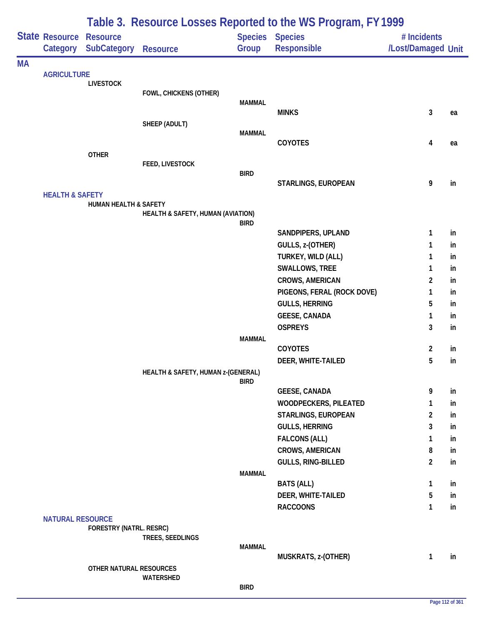|           |                            |                                                      |                                    |               | Table 3. Resource Losses Reported to the WS Program, FY1999 |                                   |          |
|-----------|----------------------------|------------------------------------------------------|------------------------------------|---------------|-------------------------------------------------------------|-----------------------------------|----------|
|           | Category                   | <b>State Resource Resource</b><br><b>SubCategory</b> | <b>Resource</b>                    | Group         | Species Species<br><b>Responsible</b>                       | # Incidents<br>/Lost/Damaged Unit |          |
| <b>MA</b> |                            |                                                      |                                    |               |                                                             |                                   |          |
|           | <b>AGRICULTURE</b>         | <b>LIVESTOCK</b>                                     |                                    |               |                                                             |                                   |          |
|           |                            |                                                      | FOWL, CHICKENS (OTHER)             |               |                                                             |                                   |          |
|           |                            |                                                      |                                    | <b>MAMMAL</b> | <b>MINKS</b>                                                | 3                                 | ea       |
|           |                            |                                                      | SHEEP (ADULT)                      |               |                                                             |                                   |          |
|           |                            |                                                      |                                    | <b>MAMMAL</b> |                                                             |                                   |          |
|           |                            |                                                      |                                    |               | COYOTES                                                     | 4                                 | ea       |
|           |                            | <b>OTHER</b>                                         | FEED, LIVESTOCK                    |               |                                                             |                                   |          |
|           |                            |                                                      |                                    | <b>BIRD</b>   |                                                             |                                   |          |
|           |                            |                                                      |                                    |               | STARLINGS, EUROPEAN                                         | 9                                 | in       |
|           | <b>HEALTH &amp; SAFETY</b> |                                                      |                                    |               |                                                             |                                   |          |
|           |                            | <b>HUMAN HEALTH &amp; SAFETY</b>                     | HEALTH & SAFETY, HUMAN (AVIATION)  |               |                                                             |                                   |          |
|           |                            |                                                      |                                    | <b>BIRD</b>   |                                                             |                                   |          |
|           |                            |                                                      |                                    |               | SANDPIPERS, UPLAND                                          | 1                                 | in       |
|           |                            |                                                      |                                    |               | GULLS, z-(OTHER)                                            | 1                                 | in       |
|           |                            |                                                      |                                    |               | TURKEY, WILD (ALL)                                          | 1                                 | in       |
|           |                            |                                                      |                                    |               | SWALLOWS, TREE                                              | 1                                 | in       |
|           |                            |                                                      |                                    |               | <b>CROWS, AMERICAN</b>                                      | $\overline{2}$                    | in       |
|           |                            |                                                      |                                    |               | PIGEONS, FERAL (ROCK DOVE)<br><b>GULLS, HERRING</b>         | 1<br>5                            | in<br>in |
|           |                            |                                                      |                                    |               | <b>GEESE, CANADA</b>                                        | 1                                 | in       |
|           |                            |                                                      |                                    |               | <b>OSPREYS</b>                                              | 3                                 | in       |
|           |                            |                                                      |                                    | <b>MAMMAL</b> |                                                             |                                   |          |
|           |                            |                                                      |                                    |               | <b>COYOTES</b>                                              | $\overline{2}$                    | in       |
|           |                            |                                                      |                                    |               | DEER, WHITE-TAILED                                          | 5                                 | in       |
|           |                            |                                                      | HEALTH & SAFETY, HUMAN z-(GENERAL) |               |                                                             |                                   |          |
|           |                            |                                                      |                                    | <b>BIRD</b>   | <b>GEESE, CANADA</b>                                        | 9                                 | in       |
|           |                            |                                                      |                                    |               | WOODPECKERS, PILEATED                                       | 1                                 | in       |
|           |                            |                                                      |                                    |               | STARLINGS, EUROPEAN                                         | $\overline{2}$                    | in       |
|           |                            |                                                      |                                    |               | <b>GULLS, HERRING</b>                                       | 3                                 | in       |
|           |                            |                                                      |                                    |               | <b>FALCONS (ALL)</b>                                        | 1                                 | in       |
|           |                            |                                                      |                                    |               | CROWS, AMERICAN                                             | 8                                 | in       |
|           |                            |                                                      |                                    |               | GULLS, RING-BILLED                                          | $\overline{2}$                    | in       |
|           |                            |                                                      |                                    | <b>MAMMAL</b> |                                                             |                                   |          |
|           |                            |                                                      |                                    |               | <b>BATS (ALL)</b>                                           | 1                                 | in       |
|           |                            |                                                      |                                    |               | DEER, WHITE-TAILED                                          | 5                                 | in       |
|           | <b>NATURAL RESOURCE</b>    |                                                      |                                    |               | <b>RACCOONS</b>                                             | 1                                 | in       |
|           |                            | <b>FORESTRY (NATRL. RESRC)</b>                       |                                    |               |                                                             |                                   |          |
|           |                            |                                                      | TREES, SEEDLINGS                   |               |                                                             |                                   |          |
|           |                            |                                                      |                                    | <b>MAMMAL</b> |                                                             |                                   |          |
|           |                            | OTHER NATURAL RESOURCES                              |                                    |               | MUSKRATS, z-(OTHER)                                         | 1                                 | in       |
|           |                            |                                                      | WATERSHED                          |               |                                                             |                                   |          |
|           |                            |                                                      |                                    | <b>BIRD</b>   |                                                             |                                   |          |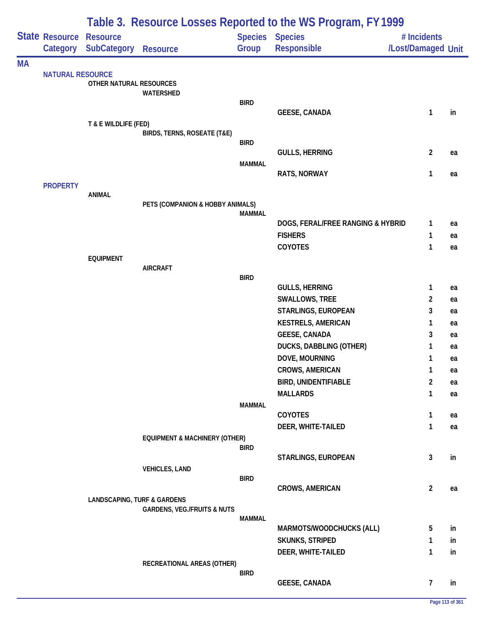|           |                            |                                        |                                          |                         | Table 3. Resource Losses Reported to the WS Program, FY 1999 |                                   |    |
|-----------|----------------------------|----------------------------------------|------------------------------------------|-------------------------|--------------------------------------------------------------|-----------------------------------|----|
|           | State Resource<br>Category | <b>Resource</b><br><b>SubCategory</b>  | <b>Resource</b>                          | <b>Species</b><br>Group | <b>Species</b><br>Responsible                                | # Incidents<br>/Lost/Damaged Unit |    |
| <b>MA</b> |                            |                                        |                                          |                         |                                                              |                                   |    |
|           | <b>NATURAL RESOURCE</b>    | OTHER NATURAL RESOURCES                |                                          |                         |                                                              |                                   |    |
|           |                            |                                        | WATERSHED                                |                         |                                                              |                                   |    |
|           |                            |                                        |                                          | <b>BIRD</b>             |                                                              |                                   |    |
|           |                            |                                        |                                          |                         | <b>GEESE, CANADA</b>                                         | 1                                 | in |
|           |                            | T & E WILDLIFE (FED)                   | BIRDS, TERNS, ROSEATE (T&E)              |                         |                                                              |                                   |    |
|           |                            |                                        |                                          | <b>BIRD</b>             |                                                              |                                   |    |
|           |                            |                                        |                                          |                         | <b>GULLS, HERRING</b>                                        | $\overline{2}$                    | ea |
|           |                            |                                        |                                          | <b>MAMMAL</b>           |                                                              |                                   |    |
|           |                            |                                        |                                          |                         | <b>RATS, NORWAY</b>                                          | 1                                 | ea |
|           | <b>PROPERTY</b>            |                                        |                                          |                         |                                                              |                                   |    |
|           |                            | <b>ANIMAL</b>                          | PETS (COMPANION & HOBBY ANIMALS)         |                         |                                                              |                                   |    |
|           |                            |                                        |                                          | <b>MAMMAL</b>           |                                                              |                                   |    |
|           |                            |                                        |                                          |                         | DOGS, FERAL/FREE RANGING & HYBRID                            | 1                                 | ea |
|           |                            |                                        |                                          |                         | <b>FISHERS</b>                                               | 1                                 | ea |
|           |                            |                                        |                                          |                         | COYOTES                                                      | 1                                 | ea |
|           |                            | <b>EQUIPMENT</b>                       |                                          |                         |                                                              |                                   |    |
|           |                            |                                        | <b>AIRCRAFT</b>                          | <b>BIRD</b>             |                                                              |                                   |    |
|           |                            |                                        |                                          |                         | <b>GULLS, HERRING</b>                                        | 1                                 | ea |
|           |                            |                                        |                                          |                         | SWALLOWS, TREE                                               | $\overline{2}$                    | ea |
|           |                            |                                        |                                          |                         | STARLINGS, EUROPEAN                                          | 3                                 | ea |
|           |                            |                                        |                                          |                         | <b>KESTRELS, AMERICAN</b>                                    | 1                                 | ea |
|           |                            |                                        |                                          |                         | <b>GEESE, CANADA</b>                                         | 3                                 | ea |
|           |                            |                                        |                                          |                         | <b>DUCKS, DABBLING (OTHER)</b>                               | 1                                 | ea |
|           |                            |                                        |                                          |                         | DOVE, MOURNING                                               | 1                                 | ea |
|           |                            |                                        |                                          |                         | <b>CROWS, AMERICAN</b>                                       | 1                                 | ea |
|           |                            |                                        |                                          |                         | <b>BIRD, UNIDENTIFIABLE</b>                                  | $\overline{2}$                    | ea |
|           |                            |                                        |                                          |                         | <b>MALLARDS</b>                                              | 1                                 | ea |
|           |                            |                                        |                                          | <b>MAMMAL</b>           |                                                              |                                   |    |
|           |                            |                                        |                                          |                         | COYOTES                                                      | 1                                 | ea |
|           |                            |                                        |                                          |                         | DEER, WHITE-TAILED                                           | 1                                 | ea |
|           |                            |                                        | <b>EQUIPMENT &amp; MACHINERY (OTHER)</b> |                         |                                                              |                                   |    |
|           |                            |                                        |                                          | <b>BIRD</b>             | STARLINGS, EUROPEAN                                          | 3                                 | in |
|           |                            |                                        | <b>VEHICLES, LAND</b>                    |                         |                                                              |                                   |    |
|           |                            |                                        |                                          | <b>BIRD</b>             |                                                              |                                   |    |
|           |                            |                                        |                                          |                         | <b>CROWS, AMERICAN</b>                                       | $\overline{2}$                    | ea |
|           |                            | <b>LANDSCAPING, TURF &amp; GARDENS</b> |                                          |                         |                                                              |                                   |    |
|           |                            |                                        | <b>GARDENS, VEG./FRUITS &amp; NUTS</b>   | <b>MAMMAL</b>           |                                                              |                                   |    |
|           |                            |                                        |                                          |                         | MARMOTS/WOODCHUCKS (ALL)                                     | 5                                 | in |
|           |                            |                                        |                                          |                         | <b>SKUNKS, STRIPED</b>                                       | 1                                 | in |
|           |                            |                                        |                                          |                         | DEER, WHITE-TAILED                                           | 1                                 | in |
|           |                            |                                        | RECREATIONAL AREAS (OTHER)               |                         |                                                              |                                   |    |
|           |                            |                                        |                                          | <b>BIRD</b>             |                                                              |                                   |    |
|           |                            |                                        |                                          |                         | <b>GEESE, CANADA</b>                                         | $\overline{7}$                    | in |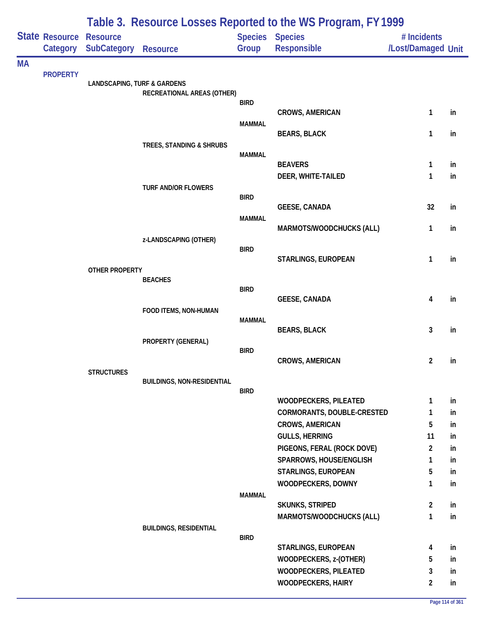|           |                            |                                        |                                   |               | Table 3. Resource Losses Reported to the WS Program, FY 1999 |                                   |          |
|-----------|----------------------------|----------------------------------------|-----------------------------------|---------------|--------------------------------------------------------------|-----------------------------------|----------|
|           | State Resource<br>Category | <b>Resource</b><br><b>SubCategory</b>  | <b>Resource</b>                   | Group         | <b>Species Species</b><br><b>Responsible</b>                 | # Incidents<br>/Lost/Damaged Unit |          |
| <b>MA</b> |                            |                                        |                                   |               |                                                              |                                   |          |
|           | <b>PROPERTY</b>            | <b>LANDSCAPING, TURF &amp; GARDENS</b> |                                   |               |                                                              |                                   |          |
|           |                            |                                        | RECREATIONAL AREAS (OTHER)        | <b>BIRD</b>   |                                                              |                                   |          |
|           |                            |                                        |                                   |               | <b>CROWS, AMERICAN</b>                                       | $\mathbf{1}$                      | in       |
|           |                            |                                        |                                   | <b>MAMMAL</b> | <b>BEARS, BLACK</b>                                          | 1                                 | in       |
|           |                            |                                        | TREES, STANDING & SHRUBS          |               |                                                              |                                   |          |
|           |                            |                                        |                                   | <b>MAMMAL</b> | <b>BEAVERS</b>                                               | 1                                 | in       |
|           |                            |                                        |                                   |               | DEER, WHITE-TAILED                                           | 1                                 | in       |
|           |                            |                                        | <b>TURF AND/OR FLOWERS</b>        |               |                                                              |                                   |          |
|           |                            |                                        |                                   | <b>BIRD</b>   | <b>GEESE, CANADA</b>                                         | 32                                | in       |
|           |                            |                                        |                                   | <b>MAMMAL</b> |                                                              |                                   |          |
|           |                            |                                        | z-LANDSCAPING (OTHER)             |               | MARMOTS/WOODCHUCKS (ALL)                                     | 1                                 | in       |
|           |                            |                                        |                                   | <b>BIRD</b>   |                                                              |                                   |          |
|           |                            | OTHER PROPERTY                         |                                   |               | STARLINGS, EUROPEAN                                          | 1                                 | in       |
|           |                            |                                        | <b>BEACHES</b>                    |               |                                                              |                                   |          |
|           |                            |                                        |                                   | <b>BIRD</b>   | <b>GEESE, CANADA</b>                                         | 4                                 | in       |
|           |                            |                                        | FOOD ITEMS, NON-HUMAN             |               |                                                              |                                   |          |
|           |                            |                                        |                                   | <b>MAMMAL</b> | <b>BEARS, BLACK</b>                                          | 3                                 | in       |
|           |                            |                                        | PROPERTY (GENERAL)                |               |                                                              |                                   |          |
|           |                            |                                        |                                   | <b>BIRD</b>   | <b>CROWS, AMERICAN</b>                                       | $\overline{c}$                    | in       |
|           |                            | <b>STRUCTURES</b>                      |                                   |               |                                                              |                                   |          |
|           |                            |                                        | <b>BUILDINGS, NON-RESIDENTIAL</b> | <b>BIRD</b>   |                                                              |                                   |          |
|           |                            |                                        |                                   |               | <b>WOODPECKERS, PILEATED</b>                                 | 1                                 | in       |
|           |                            |                                        |                                   |               | CORMORANTS, DOUBLE-CRESTED                                   | $\mathbf{1}$                      | in       |
|           |                            |                                        |                                   |               | <b>CROWS, AMERICAN</b><br><b>GULLS, HERRING</b>              | 5<br>11                           | in<br>in |
|           |                            |                                        |                                   |               | PIGEONS, FERAL (ROCK DOVE)                                   | $\overline{2}$                    | in       |
|           |                            |                                        |                                   |               | SPARROWS, HOUSE/ENGLISH                                      | $\mathbf{1}$                      | in       |
|           |                            |                                        |                                   |               | STARLINGS, EUROPEAN                                          | 5                                 | in       |
|           |                            |                                        |                                   | <b>MAMMAL</b> | WOODPECKERS, DOWNY                                           | 1                                 | in       |
|           |                            |                                        |                                   |               | <b>SKUNKS, STRIPED</b>                                       | $\overline{2}$                    | in       |
|           |                            |                                        |                                   |               | MARMOTS/WOODCHUCKS (ALL)                                     | 1                                 | in       |
|           |                            |                                        | <b>BUILDINGS, RESIDENTIAL</b>     | <b>BIRD</b>   |                                                              |                                   |          |
|           |                            |                                        |                                   |               | STARLINGS, EUROPEAN                                          | 4                                 | in       |
|           |                            |                                        |                                   |               | WOODPECKERS, z-(OTHER)<br>WOODPECKERS, PILEATED              | 5<br>3                            | in<br>in |
|           |                            |                                        |                                   |               | <b>WOODPECKERS, HAIRY</b>                                    | $\overline{2}$                    | in       |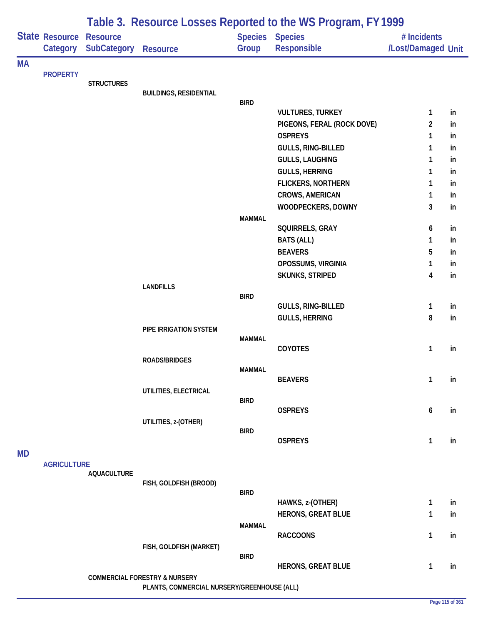|           |                            |                                       |                                                                                         |                         | Table 3. Resource Losses Reported to the WS Program, FY 1999 |                                   |    |
|-----------|----------------------------|---------------------------------------|-----------------------------------------------------------------------------------------|-------------------------|--------------------------------------------------------------|-----------------------------------|----|
|           | State Resource<br>Category | <b>Resource</b><br><b>SubCategory</b> | <b>Resource</b>                                                                         | <b>Species</b><br>Group | <b>Species</b><br>Responsible                                | # Incidents<br>/Lost/Damaged Unit |    |
| <b>MA</b> |                            |                                       |                                                                                         |                         |                                                              |                                   |    |
|           | <b>PROPERTY</b>            |                                       |                                                                                         |                         |                                                              |                                   |    |
|           |                            | <b>STRUCTURES</b>                     | <b>BUILDINGS, RESIDENTIAL</b>                                                           |                         |                                                              |                                   |    |
|           |                            |                                       |                                                                                         | <b>BIRD</b>             |                                                              |                                   |    |
|           |                            |                                       |                                                                                         |                         | <b>VULTURES, TURKEY</b>                                      | 1                                 | in |
|           |                            |                                       |                                                                                         |                         | PIGEONS, FERAL (ROCK DOVE)                                   | 2                                 | in |
|           |                            |                                       |                                                                                         |                         | <b>OSPREYS</b>                                               | 1                                 | in |
|           |                            |                                       |                                                                                         |                         | GULLS, RING-BILLED                                           | 1                                 | in |
|           |                            |                                       |                                                                                         |                         | <b>GULLS, LAUGHING</b>                                       | 1                                 | in |
|           |                            |                                       |                                                                                         |                         | <b>GULLS, HERRING</b>                                        | 1                                 | in |
|           |                            |                                       |                                                                                         |                         | <b>FLICKERS, NORTHERN</b>                                    | 1                                 | in |
|           |                            |                                       |                                                                                         |                         | <b>CROWS, AMERICAN</b>                                       | 1                                 | in |
|           |                            |                                       |                                                                                         |                         | WOODPECKERS, DOWNY                                           | 3                                 | in |
|           |                            |                                       |                                                                                         | <b>MAMMAL</b>           |                                                              |                                   |    |
|           |                            |                                       |                                                                                         |                         | SQUIRRELS, GRAY                                              | 6                                 | in |
|           |                            |                                       |                                                                                         |                         | <b>BATS (ALL)</b>                                            | 1                                 | in |
|           |                            |                                       |                                                                                         |                         | <b>BEAVERS</b>                                               | 5                                 | in |
|           |                            |                                       |                                                                                         |                         | OPOSSUMS, VIRGINIA                                           | 1                                 | in |
|           |                            |                                       | <b>LANDFILLS</b>                                                                        |                         | SKUNKS, STRIPED                                              | 4                                 | in |
|           |                            |                                       |                                                                                         | <b>BIRD</b>             |                                                              |                                   |    |
|           |                            |                                       |                                                                                         |                         | GULLS, RING-BILLED                                           | 1                                 | in |
|           |                            |                                       |                                                                                         |                         | <b>GULLS, HERRING</b>                                        | 8                                 | in |
|           |                            |                                       | PIPE IRRIGATION SYSTEM                                                                  |                         |                                                              |                                   |    |
|           |                            |                                       |                                                                                         | <b>MAMMAL</b>           |                                                              |                                   |    |
|           |                            |                                       |                                                                                         |                         | COYOTES                                                      | 1                                 | in |
|           |                            |                                       | ROADS/BRIDGES                                                                           | <b>MAMMAL</b>           |                                                              |                                   |    |
|           |                            |                                       |                                                                                         |                         | <b>BEAVERS</b>                                               | $\mathbf{1}$                      | in |
|           |                            |                                       | UTILITIES, ELECTRICAL                                                                   |                         |                                                              |                                   |    |
|           |                            |                                       |                                                                                         | <b>BIRD</b>             |                                                              |                                   |    |
|           |                            |                                       |                                                                                         |                         | <b>OSPREYS</b>                                               | 6                                 | in |
|           |                            |                                       | UTILITIES, z-(OTHER)                                                                    |                         |                                                              |                                   |    |
|           |                            |                                       |                                                                                         | <b>BIRD</b>             | <b>OSPREYS</b>                                               | $\mathbf{1}$                      | in |
| <b>MD</b> |                            |                                       |                                                                                         |                         |                                                              |                                   |    |
|           | <b>AGRICULTURE</b>         |                                       |                                                                                         |                         |                                                              |                                   |    |
|           |                            | <b>AQUACULTURE</b>                    |                                                                                         |                         |                                                              |                                   |    |
|           |                            |                                       | FISH, GOLDFISH (BROOD)                                                                  |                         |                                                              |                                   |    |
|           |                            |                                       |                                                                                         | <b>BIRD</b>             | HAWKS, z-(OTHER)                                             | 1                                 | in |
|           |                            |                                       |                                                                                         |                         | <b>HERONS, GREAT BLUE</b>                                    | 1                                 |    |
|           |                            |                                       |                                                                                         | <b>MAMMAL</b>           |                                                              |                                   | in |
|           |                            |                                       |                                                                                         |                         | <b>RACCOONS</b>                                              | 1                                 | in |
|           |                            |                                       | FISH, GOLDFISH (MARKET)                                                                 |                         |                                                              |                                   |    |
|           |                            |                                       |                                                                                         | <b>BIRD</b>             |                                                              |                                   |    |
|           |                            |                                       |                                                                                         |                         | <b>HERONS, GREAT BLUE</b>                                    | 1                                 | in |
|           |                            |                                       | <b>COMMERCIAL FORESTRY &amp; NURSERY</b><br>PLANTS, COMMERCIAL NURSERY/GREENHOUSE (ALL) |                         |                                                              |                                   |    |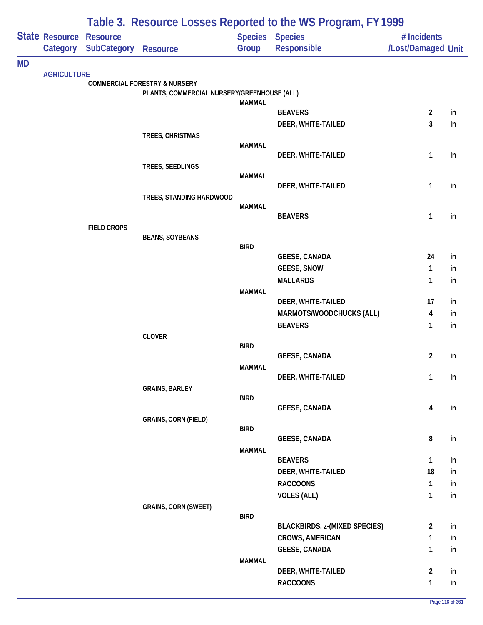|           | Table 3. Resource Losses Reported to the WS Program, FY 1999 |                    |                                             |                |                                            |                         |          |
|-----------|--------------------------------------------------------------|--------------------|---------------------------------------------|----------------|--------------------------------------------|-------------------------|----------|
|           | State Resource                                               | <b>Resource</b>    |                                             | <b>Species</b> | <b>Species</b>                             | # Incidents             |          |
|           | Category                                                     | <b>SubCategory</b> | <b>Resource</b>                             | Group          | Responsible                                | /Lost/Damaged Unit      |          |
| <b>MD</b> |                                                              |                    |                                             |                |                                            |                         |          |
|           | <b>AGRICULTURE</b>                                           |                    | <b>COMMERCIAL FORESTRY &amp; NURSERY</b>    |                |                                            |                         |          |
|           |                                                              |                    | PLANTS, COMMERCIAL NURSERY/GREENHOUSE (ALL) |                |                                            |                         |          |
|           |                                                              |                    |                                             | <b>MAMMAL</b>  |                                            |                         |          |
|           |                                                              |                    |                                             |                | <b>BEAVERS</b>                             | $\overline{\mathbf{c}}$ | in       |
|           |                                                              |                    | TREES, CHRISTMAS                            |                | DEER, WHITE-TAILED                         | 3                       | in       |
|           |                                                              |                    |                                             | <b>MAMMAL</b>  |                                            |                         |          |
|           |                                                              |                    |                                             |                | DEER, WHITE-TAILED                         | 1                       | in       |
|           |                                                              |                    | TREES, SEEDLINGS                            |                |                                            |                         |          |
|           |                                                              |                    |                                             | <b>MAMMAL</b>  | DEER, WHITE-TAILED                         | 1                       | in       |
|           |                                                              |                    | TREES, STANDING HARDWOOD                    |                |                                            |                         |          |
|           |                                                              |                    |                                             | <b>MAMMAL</b>  |                                            |                         |          |
|           |                                                              |                    |                                             |                | <b>BEAVERS</b>                             | 1                       | in       |
|           |                                                              | <b>FIELD CROPS</b> |                                             |                |                                            |                         |          |
|           |                                                              |                    | <b>BEANS, SOYBEANS</b>                      | <b>BIRD</b>    |                                            |                         |          |
|           |                                                              |                    |                                             |                | <b>GEESE, CANADA</b>                       | 24                      | in       |
|           |                                                              |                    |                                             |                | <b>GEESE, SNOW</b>                         | 1                       | in       |
|           |                                                              |                    |                                             |                | <b>MALLARDS</b>                            | 1                       | in       |
|           |                                                              |                    |                                             | <b>MAMMAL</b>  |                                            |                         |          |
|           |                                                              |                    |                                             |                | DEER, WHITE-TAILED                         | 17                      | in       |
|           |                                                              |                    |                                             |                | MARMOTS/WOODCHUCKS (ALL)<br><b>BEAVERS</b> | 4<br>$\mathbf{1}$       | in<br>in |
|           |                                                              |                    | <b>CLOVER</b>                               |                |                                            |                         |          |
|           |                                                              |                    |                                             | <b>BIRD</b>    |                                            |                         |          |
|           |                                                              |                    |                                             |                | <b>GEESE, CANADA</b>                       | $\overline{c}$          | in       |
|           |                                                              |                    |                                             | <b>MAMMAL</b>  |                                            |                         |          |
|           |                                                              |                    | <b>GRAINS, BARLEY</b>                       |                | DEER, WHITE-TAILED                         | 1                       | in       |
|           |                                                              |                    |                                             | <b>BIRD</b>    |                                            |                         |          |
|           |                                                              |                    |                                             |                | <b>GEESE, CANADA</b>                       | 4                       | in       |
|           |                                                              |                    | <b>GRAINS, CORN (FIELD)</b>                 |                |                                            |                         |          |
|           |                                                              |                    |                                             | <b>BIRD</b>    | <b>GEESE, CANADA</b>                       | 8                       | in       |
|           |                                                              |                    |                                             | <b>MAMMAL</b>  |                                            |                         |          |
|           |                                                              |                    |                                             |                | <b>BEAVERS</b>                             | $\mathbf{1}$            | in       |
|           |                                                              |                    |                                             |                | DEER, WHITE-TAILED                         | 18                      | in       |
|           |                                                              |                    |                                             |                | <b>RACCOONS</b>                            | 1                       | in       |
|           |                                                              |                    |                                             |                | <b>VOLES (ALL)</b>                         | $\mathbf{1}$            | in       |
|           |                                                              |                    | <b>GRAINS, CORN (SWEET)</b>                 |                |                                            |                         |          |
|           |                                                              |                    |                                             | <b>BIRD</b>    | <b>BLACKBIRDS, z-(MIXED SPECIES)</b>       | 2                       | in       |
|           |                                                              |                    |                                             |                | <b>CROWS, AMERICAN</b>                     | 1                       | in       |
|           |                                                              |                    |                                             |                | <b>GEESE, CANADA</b>                       | $\mathbf{1}$            | in       |
|           |                                                              |                    |                                             | <b>MAMMAL</b>  |                                            |                         |          |
|           |                                                              |                    |                                             |                | DEER, WHITE-TAILED                         | $\overline{\mathbf{c}}$ | in       |
|           |                                                              |                    |                                             |                | <b>RACCOONS</b>                            | $\mathbf{1}$            | in       |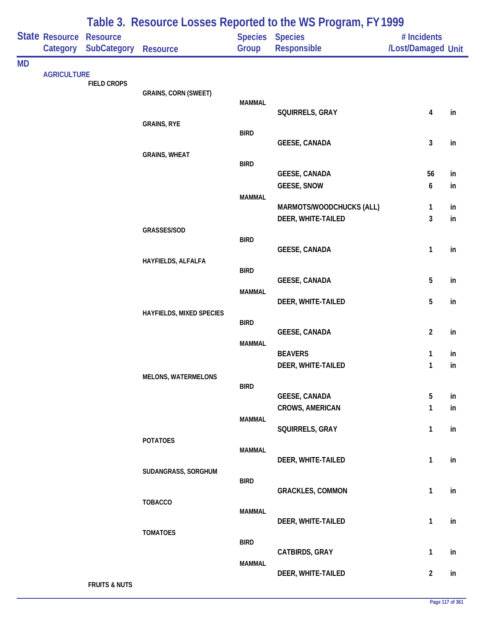|           |                            |                                       |                             |               | Table 3. Resource Losses Reported to the WS Program, FY 1999 |                                   |          |
|-----------|----------------------------|---------------------------------------|-----------------------------|---------------|--------------------------------------------------------------|-----------------------------------|----------|
|           | State Resource<br>Category | <b>Resource</b><br><b>SubCategory</b> | <b>Resource</b>             | Group         | Species Species<br><b>Responsible</b>                        | # Incidents<br>/Lost/Damaged Unit |          |
| <b>MD</b> |                            |                                       |                             |               |                                                              |                                   |          |
|           | <b>AGRICULTURE</b>         | <b>FIELD CROPS</b>                    |                             |               |                                                              |                                   |          |
|           |                            |                                       | <b>GRAINS, CORN (SWEET)</b> |               |                                                              |                                   |          |
|           |                            |                                       |                             | <b>MAMMAL</b> | SQUIRRELS, GRAY                                              | 4                                 | in       |
|           |                            |                                       | <b>GRAINS, RYE</b>          |               |                                                              |                                   |          |
|           |                            |                                       |                             | <b>BIRD</b>   | <b>GEESE, CANADA</b>                                         | 3                                 | in       |
|           |                            |                                       | <b>GRAINS, WHEAT</b>        |               |                                                              |                                   |          |
|           |                            |                                       |                             | <b>BIRD</b>   |                                                              |                                   |          |
|           |                            |                                       |                             |               | <b>GEESE, CANADA</b><br><b>GEESE, SNOW</b>                   | 56<br>6                           | in<br>in |
|           |                            |                                       |                             | <b>MAMMAL</b> |                                                              |                                   |          |
|           |                            |                                       |                             |               | MARMOTS/WOODCHUCKS (ALL)                                     | 1                                 | in       |
|           |                            |                                       |                             |               | DEER, WHITE-TAILED                                           | 3                                 | in       |
|           |                            |                                       | GRASSES/SOD                 | <b>BIRD</b>   |                                                              |                                   |          |
|           |                            |                                       |                             |               | <b>GEESE, CANADA</b>                                         | 1                                 | in       |
|           |                            |                                       | HAYFIELDS, ALFALFA          | <b>BIRD</b>   |                                                              |                                   |          |
|           |                            |                                       |                             |               | <b>GEESE, CANADA</b>                                         | 5                                 | in       |
|           |                            |                                       |                             | <b>MAMMAL</b> |                                                              |                                   |          |
|           |                            |                                       | HAYFIELDS, MIXED SPECIES    |               | DEER, WHITE-TAILED                                           | 5                                 | in       |
|           |                            |                                       |                             | <b>BIRD</b>   |                                                              |                                   |          |
|           |                            |                                       |                             |               | <b>GEESE, CANADA</b>                                         | $\overline{2}$                    | in       |
|           |                            |                                       |                             | <b>MAMMAL</b> | <b>BEAVERS</b>                                               | 1                                 | in       |
|           |                            |                                       |                             |               | DEER, WHITE-TAILED                                           | 1                                 | in       |
|           |                            |                                       | <b>MELONS, WATERMELONS</b>  |               |                                                              |                                   |          |
|           |                            |                                       |                             | <b>BIRD</b>   | <b>GEESE, CANADA</b>                                         | 5                                 | in       |
|           |                            |                                       |                             |               | <b>CROWS, AMERICAN</b>                                       | $\mathbf{1}$                      | in       |
|           |                            |                                       |                             | <b>MAMMAL</b> |                                                              |                                   |          |
|           |                            |                                       |                             |               | SQUIRRELS, GRAY                                              | $\mathbf{1}$                      | in       |
|           |                            |                                       | <b>POTATOES</b>             | <b>MAMMAL</b> |                                                              |                                   |          |
|           |                            |                                       |                             |               | DEER, WHITE-TAILED                                           | $\mathbf{1}$                      | in       |
|           |                            |                                       | SUDANGRASS, SORGHUM         | <b>BIRD</b>   |                                                              |                                   |          |
|           |                            |                                       |                             |               | <b>GRACKLES, COMMON</b>                                      | $\mathbf{1}$                      | in       |
|           |                            |                                       | <b>TOBACCO</b>              |               |                                                              |                                   |          |
|           |                            |                                       |                             | <b>MAMMAL</b> | DEER, WHITE-TAILED                                           | $\mathbf{1}$                      | in       |
|           |                            |                                       | <b>TOMATOES</b>             |               |                                                              |                                   |          |
|           |                            |                                       |                             | <b>BIRD</b>   | CATBIRDS, GRAY                                               | $\mathbf{1}$                      | in       |
|           |                            |                                       |                             | <b>MAMMAL</b> |                                                              |                                   |          |
|           |                            |                                       |                             |               | DEER, WHITE-TAILED                                           | $\overline{2}$                    | in       |
|           |                            | <b>FRUITS &amp; NUTS</b>              |                             |               |                                                              |                                   |          |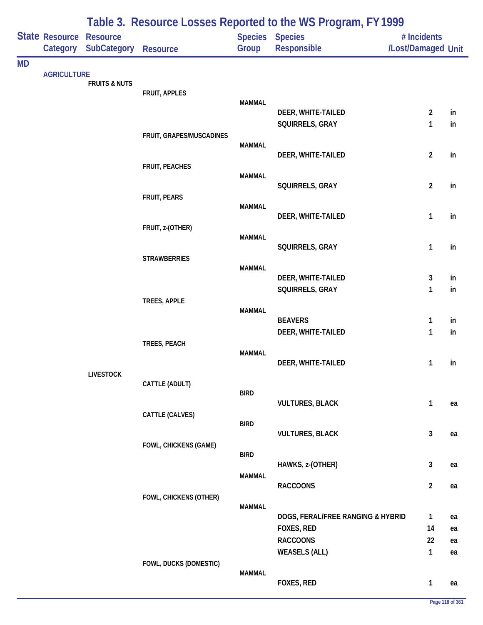|           |                            |                                |                          |               | Table 3. Resource Losses Reported to the WS Program, FY 1999 |                                   |          |
|-----------|----------------------------|--------------------------------|--------------------------|---------------|--------------------------------------------------------------|-----------------------------------|----------|
|           | State Resource<br>Category | <b>Resource</b><br>SubCategory | <b>Resource</b>          | Group         | Species Species<br>Responsible                               | # Incidents<br>/Lost/Damaged Unit |          |
| <b>MD</b> |                            |                                |                          |               |                                                              |                                   |          |
|           | <b>AGRICULTURE</b>         | <b>FRUITS &amp; NUTS</b>       |                          |               |                                                              |                                   |          |
|           |                            |                                | FRUIT, APPLES            |               |                                                              |                                   |          |
|           |                            |                                |                          | <b>MAMMAL</b> | DEER, WHITE-TAILED                                           | $\overline{2}$                    | in       |
|           |                            |                                |                          |               | SQUIRRELS, GRAY                                              | 1                                 | in       |
|           |                            |                                | FRUIT, GRAPES/MUSCADINES |               |                                                              |                                   |          |
|           |                            |                                |                          | <b>MAMMAL</b> | DEER, WHITE-TAILED                                           | $\overline{2}$                    | in       |
|           |                            |                                | FRUIT, PEACHES           |               |                                                              |                                   |          |
|           |                            |                                |                          | <b>MAMMAL</b> |                                                              |                                   |          |
|           |                            |                                | <b>FRUIT, PEARS</b>      |               | SQUIRRELS, GRAY                                              | $\overline{2}$                    | in       |
|           |                            |                                |                          | <b>MAMMAL</b> |                                                              |                                   |          |
|           |                            |                                |                          |               | DEER, WHITE-TAILED                                           | $\mathbf{1}$                      | in       |
|           |                            |                                | FRUIT, z-(OTHER)         | <b>MAMMAL</b> |                                                              |                                   |          |
|           |                            |                                |                          |               | SQUIRRELS, GRAY                                              | 1                                 | in       |
|           |                            |                                | <b>STRAWBERRIES</b>      |               |                                                              |                                   |          |
|           |                            |                                |                          | <b>MAMMAL</b> | DEER, WHITE-TAILED                                           | 3                                 | in       |
|           |                            |                                |                          |               | SQUIRRELS, GRAY                                              | 1                                 | in       |
|           |                            |                                | TREES, APPLE             |               |                                                              |                                   |          |
|           |                            |                                |                          | <b>MAMMAL</b> | <b>BEAVERS</b>                                               | $\mathbf{1}$                      | in       |
|           |                            |                                |                          |               | DEER, WHITE-TAILED                                           | 1                                 | in       |
|           |                            |                                | TREES, PEACH             |               |                                                              |                                   |          |
|           |                            |                                |                          | <b>MAMMAL</b> |                                                              |                                   |          |
|           |                            | <b>LIVESTOCK</b>               |                          |               | DEER, WHITE-TAILED                                           | 1                                 | in       |
|           |                            |                                | CATTLE (ADULT)           |               |                                                              |                                   |          |
|           |                            |                                |                          | <b>BIRD</b>   | <b>VULTURES, BLACK</b>                                       | $\mathbf{1}$                      | ea       |
|           |                            |                                | CATTLE (CALVES)          |               |                                                              |                                   |          |
|           |                            |                                |                          | <b>BIRD</b>   |                                                              |                                   |          |
|           |                            |                                |                          |               | <b>VULTURES, BLACK</b>                                       | 3                                 | ea       |
|           |                            |                                | FOWL, CHICKENS (GAME)    | <b>BIRD</b>   |                                                              |                                   |          |
|           |                            |                                |                          |               | HAWKS, z-(OTHER)                                             | 3                                 | ea       |
|           |                            |                                |                          | <b>MAMMAL</b> | <b>RACCOONS</b>                                              | $\overline{2}$                    | ea       |
|           |                            |                                | FOWL, CHICKENS (OTHER)   |               |                                                              |                                   |          |
|           |                            |                                |                          | <b>MAMMAL</b> |                                                              |                                   |          |
|           |                            |                                |                          |               | DOGS, FERAL/FREE RANGING & HYBRID                            | $\mathbf{1}$                      | ea       |
|           |                            |                                |                          |               | FOXES, RED<br><b>RACCOONS</b>                                | 14<br>22                          | ea<br>ea |
|           |                            |                                |                          |               | <b>WEASELS (ALL)</b>                                         | $\mathbf{1}$                      | ea       |
|           |                            |                                | FOWL, DUCKS (DOMESTIC)   |               |                                                              |                                   |          |
|           |                            |                                |                          | <b>MAMMAL</b> |                                                              |                                   |          |
|           |                            |                                |                          |               | FOXES, RED                                                   | $\mathbf{1}$                      | ea       |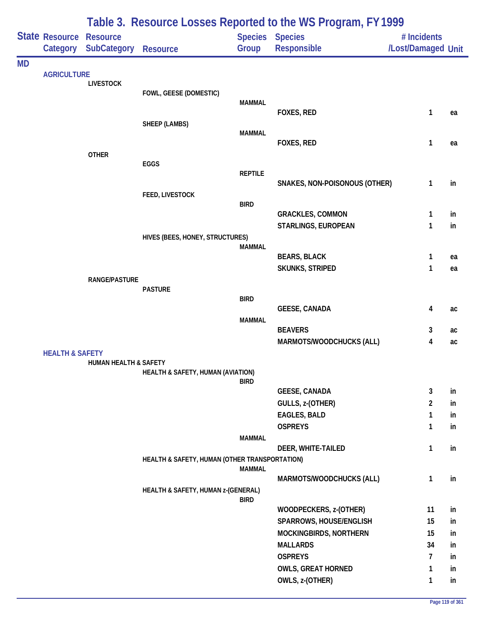|           |                                            |                                  |                                               |                | Table 3. Resource Losses Reported to the WS Program, FY 1999 |                                   |    |
|-----------|--------------------------------------------|----------------------------------|-----------------------------------------------|----------------|--------------------------------------------------------------|-----------------------------------|----|
|           | <b>State Resource Resource</b><br>Category | <b>SubCategory</b>               | <b>Resource</b>                               | Group          | <b>Species Species</b><br><b>Responsible</b>                 | # Incidents<br>/Lost/Damaged Unit |    |
| <b>MD</b> |                                            |                                  |                                               |                |                                                              |                                   |    |
|           | <b>AGRICULTURE</b>                         | <b>LIVESTOCK</b>                 |                                               |                |                                                              |                                   |    |
|           |                                            |                                  | FOWL, GEESE (DOMESTIC)                        |                |                                                              |                                   |    |
|           |                                            |                                  |                                               | <b>MAMMAL</b>  |                                                              |                                   |    |
|           |                                            |                                  |                                               |                | FOXES, RED                                                   | 1                                 | ea |
|           |                                            |                                  | <b>SHEEP (LAMBS)</b>                          | <b>MAMMAL</b>  |                                                              |                                   |    |
|           |                                            |                                  |                                               |                | FOXES, RED                                                   | 1                                 | ea |
|           |                                            | <b>OTHER</b>                     |                                               |                |                                                              |                                   |    |
|           |                                            |                                  | EGGS                                          |                |                                                              |                                   |    |
|           |                                            |                                  |                                               | <b>REPTILE</b> |                                                              |                                   |    |
|           |                                            |                                  |                                               |                | SNAKES, NON-POISONOUS (OTHER)                                | 1                                 | in |
|           |                                            |                                  | <b>FEED, LIVESTOCK</b>                        | <b>BIRD</b>    |                                                              |                                   |    |
|           |                                            |                                  |                                               |                | <b>GRACKLES, COMMON</b>                                      | 1                                 | in |
|           |                                            |                                  |                                               |                | STARLINGS, EUROPEAN                                          | 1                                 | in |
|           |                                            |                                  | HIVES (BEES, HONEY, STRUCTURES)               |                |                                                              |                                   |    |
|           |                                            |                                  |                                               | <b>MAMMAL</b>  |                                                              |                                   |    |
|           |                                            |                                  |                                               |                | <b>BEARS, BLACK</b>                                          | 1                                 | ea |
|           |                                            |                                  |                                               |                | <b>SKUNKS, STRIPED</b>                                       | 1                                 | ea |
|           |                                            | <b>RANGE/PASTURE</b>             | <b>PASTURE</b>                                |                |                                                              |                                   |    |
|           |                                            |                                  |                                               | <b>BIRD</b>    |                                                              |                                   |    |
|           |                                            |                                  |                                               |                | <b>GEESE, CANADA</b>                                         | 4                                 | ac |
|           |                                            |                                  |                                               | <b>MAMMAL</b>  |                                                              |                                   |    |
|           |                                            |                                  |                                               |                | <b>BEAVERS</b>                                               | 3                                 | ac |
|           |                                            |                                  |                                               |                | <b>MARMOTS/WOODCHUCKS (ALL)</b>                              | 4                                 | ac |
|           | <b>HEALTH &amp; SAFETY</b>                 | <b>HUMAN HEALTH &amp; SAFETY</b> |                                               |                |                                                              |                                   |    |
|           |                                            |                                  | HEALTH & SAFETY, HUMAN (AVIATION)             |                |                                                              |                                   |    |
|           |                                            |                                  |                                               | <b>BIRD</b>    |                                                              |                                   |    |
|           |                                            |                                  |                                               |                | <b>GEESE, CANADA</b>                                         | 3                                 | in |
|           |                                            |                                  |                                               |                | GULLS, z-(OTHER)                                             | $\overline{2}$                    | in |
|           |                                            |                                  |                                               |                | <b>EAGLES, BALD</b>                                          | $\mathbf{1}$                      | in |
|           |                                            |                                  |                                               |                | <b>OSPREYS</b>                                               | 1                                 | in |
|           |                                            |                                  |                                               | <b>MAMMAL</b>  |                                                              |                                   |    |
|           |                                            |                                  |                                               |                | DEER, WHITE-TAILED                                           | 1                                 | in |
|           |                                            |                                  | HEALTH & SAFETY, HUMAN (OTHER TRANSPORTATION) | <b>MAMMAL</b>  |                                                              |                                   |    |
|           |                                            |                                  |                                               |                | MARMOTS/WOODCHUCKS (ALL)                                     | $\mathbf{1}$                      | in |
|           |                                            |                                  | HEALTH & SAFETY, HUMAN z-(GENERAL)            | <b>BIRD</b>    |                                                              |                                   |    |
|           |                                            |                                  |                                               |                | WOODPECKERS, z-(OTHER)                                       | 11                                | in |
|           |                                            |                                  |                                               |                | SPARROWS, HOUSE/ENGLISH                                      | 15                                | in |
|           |                                            |                                  |                                               |                | MOCKINGBIRDS, NORTHERN                                       | 15                                | in |
|           |                                            |                                  |                                               |                | <b>MALLARDS</b>                                              | 34                                | in |
|           |                                            |                                  |                                               |                | <b>OSPREYS</b>                                               | $\overline{7}$                    | in |
|           |                                            |                                  |                                               |                | <b>OWLS, GREAT HORNED</b>                                    | 1                                 | in |
|           |                                            |                                  |                                               |                | OWLS, z-(OTHER)                                              | 1                                 | in |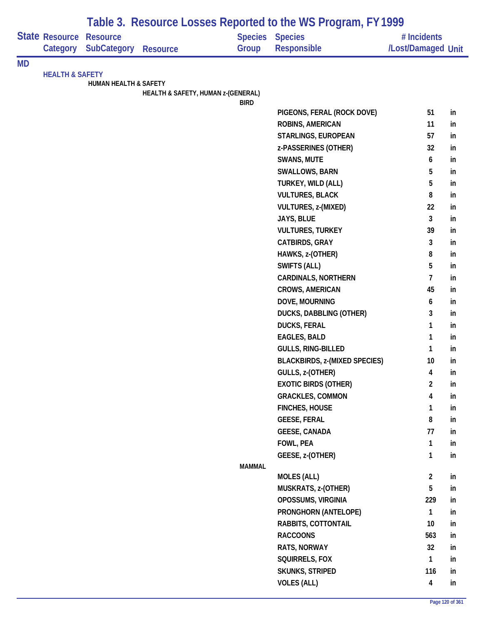|           | Table 3. Resource Losses Reported to the WS Program, FY 1999 |                                  |                                    |                        |                                      |                         |    |
|-----------|--------------------------------------------------------------|----------------------------------|------------------------------------|------------------------|--------------------------------------|-------------------------|----|
|           | <b>State Resource</b>                                        | <b>Resource</b>                  |                                    | <b>Species Species</b> |                                      | # Incidents             |    |
|           | Category                                                     | <b>SubCategory</b>               | <b>Resource</b>                    | Group                  | <b>Responsible</b>                   | /Lost/Damaged Unit      |    |
| <b>MD</b> |                                                              |                                  |                                    |                        |                                      |                         |    |
|           | <b>HEALTH &amp; SAFETY</b>                                   |                                  |                                    |                        |                                      |                         |    |
|           |                                                              | <b>HUMAN HEALTH &amp; SAFETY</b> | HEALTH & SAFETY, HUMAN z-(GENERAL) |                        |                                      |                         |    |
|           |                                                              |                                  |                                    | <b>BIRD</b>            |                                      |                         |    |
|           |                                                              |                                  |                                    |                        | PIGEONS, FERAL (ROCK DOVE)           | 51                      | in |
|           |                                                              |                                  |                                    |                        | ROBINS, AMERICAN                     | 11                      | in |
|           |                                                              |                                  |                                    |                        | STARLINGS, EUROPEAN                  | 57                      | in |
|           |                                                              |                                  |                                    |                        | z-PASSERINES (OTHER)                 | 32                      | in |
|           |                                                              |                                  |                                    |                        | SWANS, MUTE                          | 6                       | in |
|           |                                                              |                                  |                                    |                        | SWALLOWS, BARN                       | 5                       | in |
|           |                                                              |                                  |                                    |                        | TURKEY, WILD (ALL)                   | 5                       | in |
|           |                                                              |                                  |                                    |                        | <b>VULTURES, BLACK</b>               | 8                       | in |
|           |                                                              |                                  |                                    |                        | VULTURES, z-(MIXED)                  | 22                      | in |
|           |                                                              |                                  |                                    |                        | JAYS, BLUE                           | $\mathbf{3}$            | in |
|           |                                                              |                                  |                                    |                        | <b>VULTURES, TURKEY</b>              | 39                      | in |
|           |                                                              |                                  |                                    |                        | CATBIRDS, GRAY                       | $\mathbf{3}$            | in |
|           |                                                              |                                  |                                    |                        | HAWKS, z-(OTHER)                     | 8                       | in |
|           |                                                              |                                  |                                    |                        | SWIFTS (ALL)                         | 5                       | in |
|           |                                                              |                                  |                                    |                        | <b>CARDINALS, NORTHERN</b>           | 7                       | in |
|           |                                                              |                                  |                                    |                        | <b>CROWS, AMERICAN</b>               | 45                      | in |
|           |                                                              |                                  |                                    |                        | DOVE, MOURNING                       | 6                       | in |
|           |                                                              |                                  |                                    |                        | <b>DUCKS, DABBLING (OTHER)</b>       | 3                       | in |
|           |                                                              |                                  |                                    |                        | <b>DUCKS, FERAL</b>                  | 1                       | in |
|           |                                                              |                                  |                                    |                        | <b>EAGLES, BALD</b>                  | $\mathbf{1}$            | in |
|           |                                                              |                                  |                                    |                        | GULLS, RING-BILLED                   | 1                       | in |
|           |                                                              |                                  |                                    |                        | <b>BLACKBIRDS, z-(MIXED SPECIES)</b> | 10                      | in |
|           |                                                              |                                  |                                    |                        | GULLS, z-(OTHER)                     | 4                       | in |
|           |                                                              |                                  |                                    |                        | <b>EXOTIC BIRDS (OTHER)</b>          | $\overline{2}$          | in |
|           |                                                              |                                  |                                    |                        | <b>GRACKLES, COMMON</b>              | 4                       | in |
|           |                                                              |                                  |                                    |                        | <b>FINCHES, HOUSE</b>                | 1                       | in |
|           |                                                              |                                  |                                    |                        | <b>GEESE, FERAL</b>                  | 8                       | in |
|           |                                                              |                                  |                                    |                        | <b>GEESE, CANADA</b>                 | 77                      | in |
|           |                                                              |                                  |                                    |                        | FOWL, PEA                            | $\mathbf{1}$            | in |
|           |                                                              |                                  |                                    |                        | GEESE, z-(OTHER)                     | $\mathbf{1}$            | in |
|           |                                                              |                                  |                                    | <b>MAMMAL</b>          |                                      |                         |    |
|           |                                                              |                                  |                                    |                        | <b>MOLES (ALL)</b>                   | $\overline{2}$          | in |
|           |                                                              |                                  |                                    |                        | MUSKRATS, z-(OTHER)                  | 5                       | in |
|           |                                                              |                                  |                                    |                        | OPOSSUMS, VIRGINIA                   | 229                     | in |
|           |                                                              |                                  |                                    |                        | PRONGHORN (ANTELOPE)                 | $\mathbf{1}$            | in |
|           |                                                              |                                  |                                    |                        | RABBITS, COTTONTAIL                  | 10                      | in |
|           |                                                              |                                  |                                    |                        | <b>RACCOONS</b>                      | 563                     | in |
|           |                                                              |                                  |                                    |                        | RATS, NORWAY                         | 32                      | in |
|           |                                                              |                                  |                                    |                        | SQUIRRELS, FOX                       | $\mathbf{1}$            | in |
|           |                                                              |                                  |                                    |                        | <b>SKUNKS, STRIPED</b>               | 116                     | in |
|           |                                                              |                                  |                                    |                        | <b>VOLES (ALL)</b>                   | $\overline{\mathbf{4}}$ | in |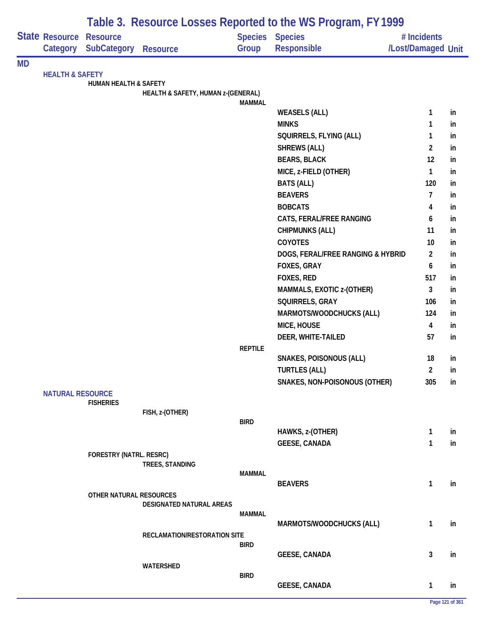|           |                            |                                       |                                    |                | Table 3. Resource Losses Reported to the WS Program, FY 1999 |                                   |    |
|-----------|----------------------------|---------------------------------------|------------------------------------|----------------|--------------------------------------------------------------|-----------------------------------|----|
|           | State Resource<br>Category | <b>Resource</b><br><b>SubCategory</b> | <b>Resource</b>                    | Group          | Species Species<br>Responsible                               | # Incidents<br>/Lost/Damaged Unit |    |
| <b>MD</b> |                            |                                       |                                    |                |                                                              |                                   |    |
|           | <b>HEALTH &amp; SAFETY</b> | <b>HUMAN HEALTH &amp; SAFETY</b>      |                                    |                |                                                              |                                   |    |
|           |                            |                                       | HEALTH & SAFETY, HUMAN z-(GENERAL) |                |                                                              |                                   |    |
|           |                            |                                       |                                    | <b>MAMMAL</b>  |                                                              |                                   |    |
|           |                            |                                       |                                    |                | <b>WEASELS (ALL)</b>                                         | $\mathbf{1}$                      | in |
|           |                            |                                       |                                    |                | <b>MINKS</b>                                                 | 1                                 | in |
|           |                            |                                       |                                    |                | SQUIRRELS, FLYING (ALL)                                      | 1                                 | in |
|           |                            |                                       |                                    |                | <b>SHREWS (ALL)</b>                                          | $\overline{2}$                    | in |
|           |                            |                                       |                                    |                | <b>BEARS, BLACK</b>                                          | 12                                | in |
|           |                            |                                       |                                    |                | MICE, z-FIELD (OTHER)                                        | 1                                 | in |
|           |                            |                                       |                                    |                | <b>BATS (ALL)</b>                                            | 120                               | in |
|           |                            |                                       |                                    |                | <b>BEAVERS</b>                                               | $\overline{7}$                    | in |
|           |                            |                                       |                                    |                | <b>BOBCATS</b>                                               | 4                                 | in |
|           |                            |                                       |                                    |                | CATS, FERAL/FREE RANGING                                     | 6                                 | in |
|           |                            |                                       |                                    |                | <b>CHIPMUNKS (ALL)</b>                                       | 11                                | in |
|           |                            |                                       |                                    |                | COYOTES                                                      | 10                                | in |
|           |                            |                                       |                                    |                | DOGS, FERAL/FREE RANGING & HYBRID                            | $\overline{2}$                    | in |
|           |                            |                                       |                                    |                | FOXES, GRAY                                                  | 6                                 | in |
|           |                            |                                       |                                    |                | FOXES, RED                                                   | 517                               | in |
|           |                            |                                       |                                    |                | MAMMALS, EXOTIC z-(OTHER)                                    | 3                                 | in |
|           |                            |                                       |                                    |                | SQUIRRELS, GRAY                                              | 106                               | in |
|           |                            |                                       |                                    |                | MARMOTS/WOODCHUCKS (ALL)                                     | 124                               | in |
|           |                            |                                       |                                    |                | MICE, HOUSE                                                  | $\overline{4}$                    | in |
|           |                            |                                       |                                    |                | DEER, WHITE-TAILED                                           | 57                                | in |
|           |                            |                                       |                                    | <b>REPTILE</b> |                                                              |                                   |    |
|           |                            |                                       |                                    |                | <b>SNAKES, POISONOUS (ALL)</b>                               | 18                                | in |
|           |                            |                                       |                                    |                | <b>TURTLES (ALL)</b>                                         | $\overline{2}$                    | in |
|           |                            |                                       |                                    |                | SNAKES, NON-POISONOUS (OTHER)                                | 305                               | in |
|           | <b>NATURAL RESOURCE</b>    |                                       |                                    |                |                                                              |                                   |    |
|           |                            | <b>FISHERIES</b>                      | FISH, z-(OTHER)                    |                |                                                              |                                   |    |
|           |                            |                                       |                                    | <b>BIRD</b>    |                                                              |                                   |    |
|           |                            |                                       |                                    |                | HAWKS, z-(OTHER)                                             | $\mathbf{1}$                      | in |
|           |                            |                                       |                                    |                | <b>GEESE, CANADA</b>                                         | 1                                 | in |
|           |                            | FORESTRY (NATRL. RESRC)               |                                    |                |                                                              |                                   |    |
|           |                            |                                       | TREES, STANDING                    |                |                                                              |                                   |    |
|           |                            |                                       |                                    | <b>MAMMAL</b>  |                                                              |                                   |    |
|           |                            | OTHER NATURAL RESOURCES               |                                    |                | <b>BEAVERS</b>                                               | $\mathbf{1}$                      | in |
|           |                            |                                       | <b>DESIGNATED NATURAL AREAS</b>    |                |                                                              |                                   |    |
|           |                            |                                       |                                    | <b>MAMMAL</b>  |                                                              |                                   |    |
|           |                            |                                       |                                    |                | MARMOTS/WOODCHUCKS (ALL)                                     | 1                                 | in |
|           |                            |                                       | RECLAMATION/RESTORATION SITE       |                |                                                              |                                   |    |
|           |                            |                                       |                                    | <b>BIRD</b>    |                                                              |                                   |    |
|           |                            |                                       |                                    |                | <b>GEESE, CANADA</b>                                         | 3                                 | in |
|           |                            |                                       | WATERSHED                          | <b>BIRD</b>    |                                                              |                                   |    |
|           |                            |                                       |                                    |                | <b>GEESE, CANADA</b>                                         | 1                                 | in |
|           |                            |                                       |                                    |                |                                                              |                                   |    |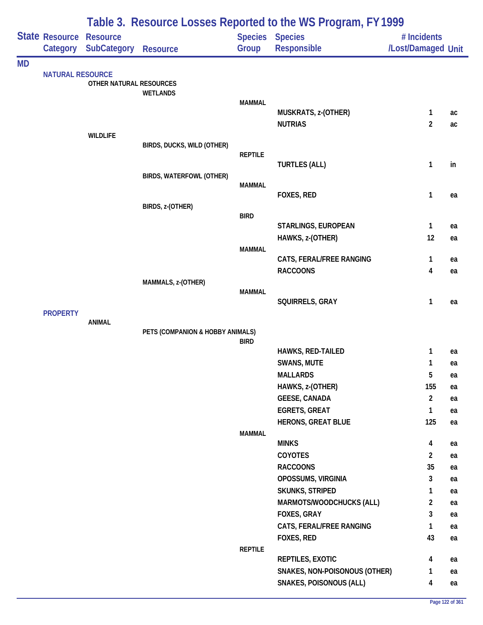|           |                         |                         | Table 3. Resource Losses Reported to the WS Program, FY 1999 |                |                                              |                                   |          |
|-----------|-------------------------|-------------------------|--------------------------------------------------------------|----------------|----------------------------------------------|-----------------------------------|----------|
|           | State Resource Resource | Category SubCategory    | Resource                                                     | Group          | <b>Species Species</b><br>Responsible        | # Incidents<br>/Lost/Damaged Unit |          |
| <b>MD</b> |                         |                         |                                                              |                |                                              |                                   |          |
|           | <b>NATURAL RESOURCE</b> | OTHER NATURAL RESOURCES | <b>WETLANDS</b>                                              |                |                                              |                                   |          |
|           |                         |                         |                                                              | <b>MAMMAL</b>  |                                              |                                   |          |
|           |                         |                         |                                                              |                | MUSKRATS, z-(OTHER)<br><b>NUTRIAS</b>        | $\mathbf{1}$<br>$\overline{2}$    | ac<br>ac |
|           |                         | <b>WILDLIFE</b>         |                                                              |                |                                              |                                   |          |
|           |                         |                         | BIRDS, DUCKS, WILD (OTHER)                                   |                |                                              |                                   |          |
|           |                         |                         |                                                              | <b>REPTILE</b> |                                              |                                   |          |
|           |                         |                         |                                                              |                | <b>TURTLES (ALL)</b>                         | $\mathbf{1}$                      | in       |
|           |                         |                         | BIRDS, WATERFOWL (OTHER)                                     | <b>MAMMAL</b>  |                                              |                                   |          |
|           |                         |                         |                                                              |                | FOXES, RED                                   | 1                                 | ea       |
|           |                         |                         | BIRDS, z-(OTHER)                                             |                |                                              |                                   |          |
|           |                         |                         |                                                              | <b>BIRD</b>    |                                              |                                   |          |
|           |                         |                         |                                                              |                | STARLINGS, EUROPEAN<br>HAWKS, z-(OTHER)      | 1<br>12                           | ea       |
|           |                         |                         |                                                              | <b>MAMMAL</b>  |                                              |                                   | ea       |
|           |                         |                         |                                                              |                | CATS, FERAL/FREE RANGING                     | 1                                 | ea       |
|           |                         |                         |                                                              |                | <b>RACCOONS</b>                              | $\overline{\mathbf{4}}$           | ea       |
|           |                         |                         | MAMMALS, z-(OTHER)                                           |                |                                              |                                   |          |
|           |                         |                         |                                                              | <b>MAMMAL</b>  |                                              |                                   |          |
|           |                         |                         |                                                              |                | SQUIRRELS, GRAY                              | 1                                 | ea       |
|           | <b>PROPERTY</b>         | <b>ANIMAL</b>           |                                                              |                |                                              |                                   |          |
|           |                         |                         | PETS (COMPANION & HOBBY ANIMALS)                             |                |                                              |                                   |          |
|           |                         |                         |                                                              | <b>BIRD</b>    |                                              |                                   |          |
|           |                         |                         |                                                              |                | HAWKS, RED-TAILED                            | 1                                 | ea       |
|           |                         |                         |                                                              |                | SWANS, MUTE                                  | 1                                 | ea       |
|           |                         |                         |                                                              |                | <b>MALLARDS</b>                              | 5                                 | ea       |
|           |                         |                         |                                                              |                | HAWKS, z-(OTHER)                             | 155<br>$\overline{2}$             | ea       |
|           |                         |                         |                                                              |                | <b>GEESE, CANADA</b><br><b>EGRETS, GREAT</b> | $\mathbf{1}$                      | ea       |
|           |                         |                         |                                                              |                | <b>HERONS, GREAT BLUE</b>                    | 125                               | ea<br>ea |
|           |                         |                         |                                                              | <b>MAMMAL</b>  |                                              |                                   |          |
|           |                         |                         |                                                              |                | <b>MINKS</b>                                 | 4                                 | ea       |
|           |                         |                         |                                                              |                | COYOTES                                      | $\overline{2}$                    | ea       |
|           |                         |                         |                                                              |                | <b>RACCOONS</b>                              | 35                                | ea       |
|           |                         |                         |                                                              |                | OPOSSUMS, VIRGINIA                           | 3                                 | ea       |
|           |                         |                         |                                                              |                | <b>SKUNKS, STRIPED</b>                       | 1                                 | ea       |
|           |                         |                         |                                                              |                | MARMOTS/WOODCHUCKS (ALL)                     | $\overline{2}$                    | ea       |
|           |                         |                         |                                                              |                | FOXES, GRAY                                  | 3                                 | ea       |
|           |                         |                         |                                                              |                | CATS, FERAL/FREE RANGING                     | 1                                 | ea       |
|           |                         |                         |                                                              |                | FOXES, RED                                   | 43                                | ea       |
|           |                         |                         |                                                              | <b>REPTILE</b> |                                              |                                   |          |
|           |                         |                         |                                                              |                | REPTILES, EXOTIC                             | 4                                 | ea       |
|           |                         |                         |                                                              |                | SNAKES, NON-POISONOUS (OTHER)                | 1                                 | ea       |
|           |                         |                         |                                                              |                | <b>SNAKES, POISONOUS (ALL)</b>               | 4                                 | ea       |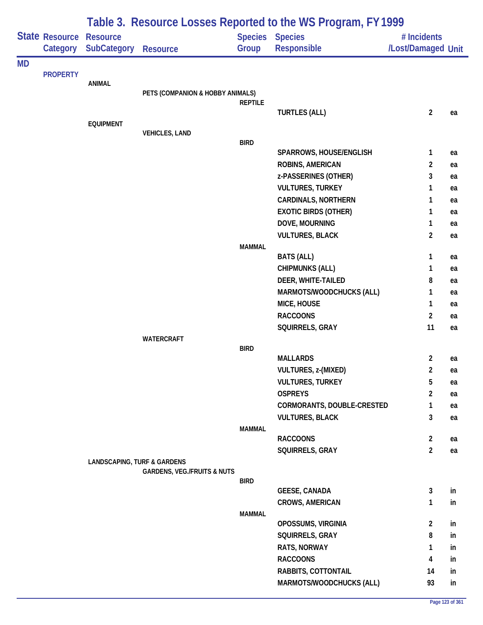|           |                            | Table 3. Resource Losses Reported to the WS Program, FY 1999 |                                        |                |                                              |                                   |          |  |  |  |
|-----------|----------------------------|--------------------------------------------------------------|----------------------------------------|----------------|----------------------------------------------|-----------------------------------|----------|--|--|--|
|           | State Resource<br>Category | <b>Resource</b><br><b>SubCategory</b>                        | <b>Resource</b>                        | Group          | <b>Species Species</b><br><b>Responsible</b> | # Incidents<br>/Lost/Damaged Unit |          |  |  |  |
| <b>MD</b> |                            |                                                              |                                        |                |                                              |                                   |          |  |  |  |
|           | <b>PROPERTY</b>            | ANIMAL                                                       |                                        |                |                                              |                                   |          |  |  |  |
|           |                            |                                                              | PETS (COMPANION & HOBBY ANIMALS)       |                |                                              |                                   |          |  |  |  |
|           |                            |                                                              |                                        | <b>REPTILE</b> |                                              |                                   |          |  |  |  |
|           |                            |                                                              |                                        |                | <b>TURTLES (ALL)</b>                         | $\overline{2}$                    | ea       |  |  |  |
|           |                            | <b>EQUIPMENT</b>                                             | <b>VEHICLES, LAND</b>                  |                |                                              |                                   |          |  |  |  |
|           |                            |                                                              |                                        | <b>BIRD</b>    |                                              |                                   |          |  |  |  |
|           |                            |                                                              |                                        |                | SPARROWS, HOUSE/ENGLISH                      | 1                                 | ea       |  |  |  |
|           |                            |                                                              |                                        |                | ROBINS, AMERICAN                             | $\overline{2}$                    | ea       |  |  |  |
|           |                            |                                                              |                                        |                | z-PASSERINES (OTHER)                         | 3                                 | ea       |  |  |  |
|           |                            |                                                              |                                        |                | <b>VULTURES, TURKEY</b>                      | 1                                 | ea       |  |  |  |
|           |                            |                                                              |                                        |                | <b>CARDINALS, NORTHERN</b>                   | 1                                 | ea       |  |  |  |
|           |                            |                                                              |                                        |                | <b>EXOTIC BIRDS (OTHER)</b>                  | 1                                 | ea       |  |  |  |
|           |                            |                                                              |                                        |                | DOVE, MOURNING                               | 1                                 | ea       |  |  |  |
|           |                            |                                                              |                                        |                | <b>VULTURES, BLACK</b>                       | $\overline{a}$                    | ea       |  |  |  |
|           |                            |                                                              |                                        | <b>MAMMAL</b>  | <b>BATS (ALL)</b>                            | 1                                 | ea       |  |  |  |
|           |                            |                                                              |                                        |                | <b>CHIPMUNKS (ALL)</b>                       | 1                                 | ea       |  |  |  |
|           |                            |                                                              |                                        |                | DEER, WHITE-TAILED                           | 8                                 | ea       |  |  |  |
|           |                            |                                                              |                                        |                | MARMOTS/WOODCHUCKS (ALL)                     | 1                                 | ea       |  |  |  |
|           |                            |                                                              |                                        |                | MICE, HOUSE                                  | 1                                 | ea       |  |  |  |
|           |                            |                                                              |                                        |                | <b>RACCOONS</b>                              | $\overline{2}$                    | ea       |  |  |  |
|           |                            |                                                              |                                        |                | SQUIRRELS, GRAY                              | 11                                | ea       |  |  |  |
|           |                            |                                                              | <b>WATERCRAFT</b>                      |                |                                              |                                   |          |  |  |  |
|           |                            |                                                              |                                        | <b>BIRD</b>    |                                              |                                   |          |  |  |  |
|           |                            |                                                              |                                        |                | <b>MALLARDS</b>                              | $\overline{2}$                    | ea       |  |  |  |
|           |                            |                                                              |                                        |                | VULTURES, z-(MIXED)                          | 2                                 | ea       |  |  |  |
|           |                            |                                                              |                                        |                | <b>VULTURES, TURKEY</b><br><b>OSPREYS</b>    | 5                                 | ea       |  |  |  |
|           |                            |                                                              |                                        |                | CORMORANTS, DOUBLE-CRESTED                   | $\overline{2}$<br>1               | ea       |  |  |  |
|           |                            |                                                              |                                        |                | <b>VULTURES, BLACK</b>                       | 3                                 | ea<br>ea |  |  |  |
|           |                            |                                                              |                                        | MAMMAL         |                                              |                                   |          |  |  |  |
|           |                            |                                                              |                                        |                | <b>RACCOONS</b>                              | $\mathbf{2}$                      | ea       |  |  |  |
|           |                            |                                                              |                                        |                | SQUIRRELS, GRAY                              | $\overline{2}$                    | ea       |  |  |  |
|           |                            | <b>LANDSCAPING, TURF &amp; GARDENS</b>                       |                                        |                |                                              |                                   |          |  |  |  |
|           |                            |                                                              | <b>GARDENS, VEG./FRUITS &amp; NUTS</b> |                |                                              |                                   |          |  |  |  |
|           |                            |                                                              |                                        | <b>BIRD</b>    | <b>GEESE, CANADA</b>                         | 3                                 | in       |  |  |  |
|           |                            |                                                              |                                        |                | <b>CROWS, AMERICAN</b>                       | 1                                 | in       |  |  |  |
|           |                            |                                                              |                                        | <b>MAMMAL</b>  |                                              |                                   |          |  |  |  |
|           |                            |                                                              |                                        |                | OPOSSUMS, VIRGINIA                           | $\mathbf{2}$                      | in       |  |  |  |
|           |                            |                                                              |                                        |                | SQUIRRELS, GRAY                              | 8                                 | in       |  |  |  |
|           |                            |                                                              |                                        |                | RATS, NORWAY                                 | 1                                 | in       |  |  |  |
|           |                            |                                                              |                                        |                | <b>RACCOONS</b>                              | 4                                 | in       |  |  |  |
|           |                            |                                                              |                                        |                | RABBITS, COTTONTAIL                          | 14                                | in       |  |  |  |
|           |                            |                                                              |                                        |                | MARMOTS/WOODCHUCKS (ALL)                     | 93                                | in       |  |  |  |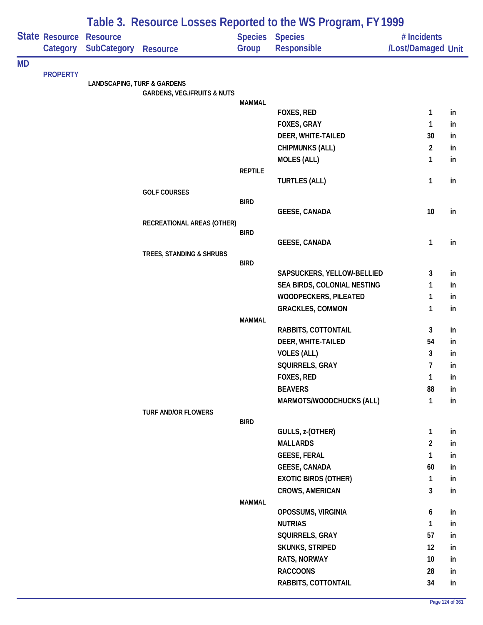|           |                            |                                        | Table 3. Resource Losses Reported to the WS Program, FY 1999 |                |                                |                                   |    |  |  |  |
|-----------|----------------------------|----------------------------------------|--------------------------------------------------------------|----------------|--------------------------------|-----------------------------------|----|--|--|--|
|           | State Resource<br>Category | <b>Resource</b><br><b>SubCategory</b>  | <b>Resource</b>                                              | Group          | Species Species<br>Responsible | # Incidents<br>/Lost/Damaged Unit |    |  |  |  |
| <b>MD</b> |                            |                                        |                                                              |                |                                |                                   |    |  |  |  |
|           | <b>PROPERTY</b>            | <b>LANDSCAPING, TURF &amp; GARDENS</b> |                                                              |                |                                |                                   |    |  |  |  |
|           |                            |                                        | <b>GARDENS, VEG./FRUITS &amp; NUTS</b>                       |                |                                |                                   |    |  |  |  |
|           |                            |                                        |                                                              | <b>MAMMAL</b>  |                                |                                   |    |  |  |  |
|           |                            |                                        |                                                              |                | <b>FOXES, RED</b>              | 1                                 | in |  |  |  |
|           |                            |                                        |                                                              |                | FOXES, GRAY                    | $\mathbf{1}$                      | in |  |  |  |
|           |                            |                                        |                                                              |                | DEER, WHITE-TAILED             | 30                                | in |  |  |  |
|           |                            |                                        |                                                              |                | <b>CHIPMUNKS (ALL)</b>         | $\overline{2}$                    | in |  |  |  |
|           |                            |                                        |                                                              |                | <b>MOLES (ALL)</b>             | $\mathbf{1}$                      | in |  |  |  |
|           |                            |                                        |                                                              | <b>REPTILE</b> | <b>TURTLES (ALL)</b>           | $\mathbf{1}$                      | in |  |  |  |
|           |                            |                                        | <b>GOLF COURSES</b>                                          |                |                                |                                   |    |  |  |  |
|           |                            |                                        |                                                              | <b>BIRD</b>    |                                |                                   |    |  |  |  |
|           |                            |                                        |                                                              |                | <b>GEESE, CANADA</b>           | 10                                | in |  |  |  |
|           |                            |                                        | RECREATIONAL AREAS (OTHER)                                   |                |                                |                                   |    |  |  |  |
|           |                            |                                        |                                                              | <b>BIRD</b>    | <b>GEESE, CANADA</b>           | 1                                 | in |  |  |  |
|           |                            |                                        | TREES, STANDING & SHRUBS                                     |                |                                |                                   |    |  |  |  |
|           |                            |                                        |                                                              | <b>BIRD</b>    |                                |                                   |    |  |  |  |
|           |                            |                                        |                                                              |                | SAPSUCKERS, YELLOW-BELLIED     | 3                                 | in |  |  |  |
|           |                            |                                        |                                                              |                | SEA BIRDS, COLONIAL NESTING    | $\mathbf{1}$                      | in |  |  |  |
|           |                            |                                        |                                                              |                | WOODPECKERS, PILEATED          | $\mathbf{1}$                      | in |  |  |  |
|           |                            |                                        |                                                              |                | <b>GRACKLES, COMMON</b>        | $\mathbf{1}$                      | in |  |  |  |
|           |                            |                                        |                                                              | <b>MAMMAL</b>  |                                |                                   |    |  |  |  |
|           |                            |                                        |                                                              |                | RABBITS, COTTONTAIL            | 3                                 | in |  |  |  |
|           |                            |                                        |                                                              |                | DEER, WHITE-TAILED             | 54                                | in |  |  |  |
|           |                            |                                        |                                                              |                | <b>VOLES (ALL)</b>             | 3                                 | in |  |  |  |
|           |                            |                                        |                                                              |                | SQUIRRELS, GRAY                | $\overline{7}$                    | in |  |  |  |
|           |                            |                                        |                                                              |                | FOXES, RED                     | $\mathbf{1}$                      | in |  |  |  |
|           |                            |                                        |                                                              |                | <b>BEAVERS</b>                 | 88                                | in |  |  |  |
|           |                            |                                        |                                                              |                | MARMOTS/WOODCHUCKS (ALL)       | 1                                 | in |  |  |  |
|           |                            |                                        | <b>TURF AND/OR FLOWERS</b>                                   | <b>BIRD</b>    |                                |                                   |    |  |  |  |
|           |                            |                                        |                                                              |                | GULLS, z-(OTHER)               | $\mathbf{1}$                      | in |  |  |  |
|           |                            |                                        |                                                              |                | <b>MALLARDS</b>                | $\overline{2}$                    | in |  |  |  |
|           |                            |                                        |                                                              |                | <b>GEESE, FERAL</b>            | $\mathbf{1}$                      | in |  |  |  |
|           |                            |                                        |                                                              |                | <b>GEESE, CANADA</b>           | 60                                | in |  |  |  |
|           |                            |                                        |                                                              |                | <b>EXOTIC BIRDS (OTHER)</b>    | $\mathbf{1}$                      | in |  |  |  |
|           |                            |                                        |                                                              |                | <b>CROWS, AMERICAN</b>         | 3                                 | in |  |  |  |
|           |                            |                                        |                                                              | <b>MAMMAL</b>  |                                |                                   |    |  |  |  |
|           |                            |                                        |                                                              |                | OPOSSUMS, VIRGINIA             | 6                                 | in |  |  |  |
|           |                            |                                        |                                                              |                | <b>NUTRIAS</b>                 | $\mathbf{1}$                      | in |  |  |  |
|           |                            |                                        |                                                              |                | SQUIRRELS, GRAY                | 57                                | in |  |  |  |
|           |                            |                                        |                                                              |                | <b>SKUNKS, STRIPED</b>         | 12                                | in |  |  |  |
|           |                            |                                        |                                                              |                | RATS, NORWAY                   | 10                                | in |  |  |  |
|           |                            |                                        |                                                              |                | <b>RACCOONS</b>                | 28                                | in |  |  |  |
|           |                            |                                        |                                                              |                | RABBITS, COTTONTAIL            | 34                                | in |  |  |  |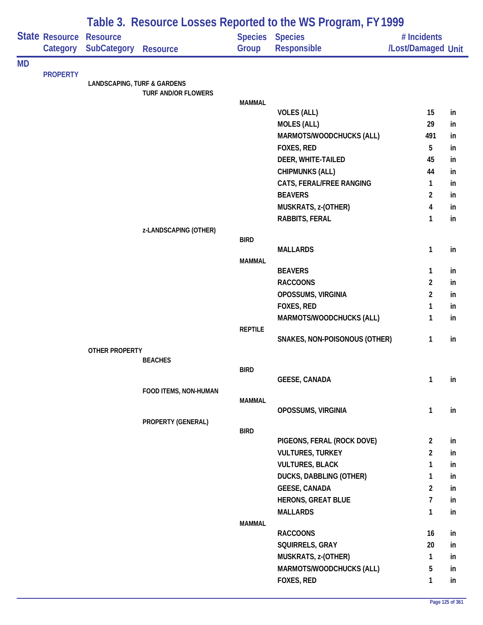|           |                 | Table 3. Resource Losses Reported to the WS Program, FY 1999 |                       |                |                               |                    |    |  |  |
|-----------|-----------------|--------------------------------------------------------------|-----------------------|----------------|-------------------------------|--------------------|----|--|--|
|           | State Resource  | <b>Resource</b>                                              |                       |                | <b>Species Species</b>        | # Incidents        |    |  |  |
|           | Category        | SubCategory                                                  | <b>Resource</b>       | Group          | Responsible                   | /Lost/Damaged Unit |    |  |  |
| <b>MD</b> |                 |                                                              |                       |                |                               |                    |    |  |  |
|           | <b>PROPERTY</b> | <b>LANDSCAPING, TURF &amp; GARDENS</b>                       |                       |                |                               |                    |    |  |  |
|           |                 |                                                              | TURF AND/OR FLOWERS   |                |                               |                    |    |  |  |
|           |                 |                                                              |                       | <b>MAMMAL</b>  |                               |                    |    |  |  |
|           |                 |                                                              |                       |                | <b>VOLES (ALL)</b>            | 15                 | in |  |  |
|           |                 |                                                              |                       |                | <b>MOLES (ALL)</b>            | 29                 | in |  |  |
|           |                 |                                                              |                       |                | MARMOTS/WOODCHUCKS (ALL)      | 491                | in |  |  |
|           |                 |                                                              |                       |                | FOXES, RED                    | 5                  | in |  |  |
|           |                 |                                                              |                       |                | DEER, WHITE-TAILED            | 45                 | in |  |  |
|           |                 |                                                              |                       |                | <b>CHIPMUNKS (ALL)</b>        | 44                 | in |  |  |
|           |                 |                                                              |                       |                | CATS, FERAL/FREE RANGING      | 1                  | in |  |  |
|           |                 |                                                              |                       |                | <b>BEAVERS</b>                | $\overline{2}$     | in |  |  |
|           |                 |                                                              |                       |                | MUSKRATS, z-(OTHER)           | 4                  | in |  |  |
|           |                 |                                                              |                       |                | RABBITS, FERAL                | 1                  | in |  |  |
|           |                 |                                                              | z-LANDSCAPING (OTHER) |                |                               |                    |    |  |  |
|           |                 |                                                              |                       | <b>BIRD</b>    | <b>MALLARDS</b>               | 1                  | in |  |  |
|           |                 |                                                              |                       | <b>MAMMAL</b>  |                               |                    |    |  |  |
|           |                 |                                                              |                       |                | <b>BEAVERS</b>                | 1                  | in |  |  |
|           |                 |                                                              |                       |                | <b>RACCOONS</b>               | $\overline{2}$     | in |  |  |
|           |                 |                                                              |                       |                | OPOSSUMS, VIRGINIA            | $\overline{2}$     | in |  |  |
|           |                 |                                                              |                       |                | FOXES, RED                    | 1                  | in |  |  |
|           |                 |                                                              |                       |                | MARMOTS/WOODCHUCKS (ALL)      | 1                  | in |  |  |
|           |                 |                                                              |                       | <b>REPTILE</b> |                               |                    |    |  |  |
|           |                 |                                                              |                       |                | SNAKES, NON-POISONOUS (OTHER) | 1                  | in |  |  |
|           |                 | OTHER PROPERTY                                               |                       |                |                               |                    |    |  |  |
|           |                 |                                                              | <b>BEACHES</b>        |                |                               |                    |    |  |  |
|           |                 |                                                              |                       | <b>BIRD</b>    |                               | $\mathbf{1}$       | in |  |  |
|           |                 |                                                              | FOOD ITEMS, NON-HUMAN |                | <b>GEESE, CANADA</b>          |                    |    |  |  |
|           |                 |                                                              |                       | <b>MAMMAL</b>  |                               |                    |    |  |  |
|           |                 |                                                              |                       |                | OPOSSUMS, VIRGINIA            | 1                  | in |  |  |
|           |                 |                                                              | PROPERTY (GENERAL)    |                |                               |                    |    |  |  |
|           |                 |                                                              |                       | <b>BIRD</b>    |                               |                    |    |  |  |
|           |                 |                                                              |                       |                | PIGEONS, FERAL (ROCK DOVE)    | $\overline{2}$     | in |  |  |
|           |                 |                                                              |                       |                | <b>VULTURES, TURKEY</b>       | $\overline{c}$     | in |  |  |
|           |                 |                                                              |                       |                | <b>VULTURES, BLACK</b>        | 1                  | in |  |  |
|           |                 |                                                              |                       |                | DUCKS, DABBLING (OTHER)       | 1                  | in |  |  |
|           |                 |                                                              |                       |                | <b>GEESE, CANADA</b>          | $\overline{a}$     | in |  |  |
|           |                 |                                                              |                       |                | <b>HERONS, GREAT BLUE</b>     | $\overline{7}$     | in |  |  |
|           |                 |                                                              |                       |                | <b>MALLARDS</b>               | $\mathbf{1}$       | in |  |  |
|           |                 |                                                              |                       | MAMMAL         | <b>RACCOONS</b>               | 16                 | in |  |  |
|           |                 |                                                              |                       |                | SQUIRRELS, GRAY               | 20                 |    |  |  |
|           |                 |                                                              |                       |                |                               |                    | in |  |  |
|           |                 |                                                              |                       |                | MUSKRATS, z-(OTHER)           | 1                  | in |  |  |
|           |                 |                                                              |                       |                | MARMOTS/WOODCHUCKS (ALL)      | 5                  | in |  |  |
|           |                 |                                                              |                       |                | FOXES, RED                    | 1                  | in |  |  |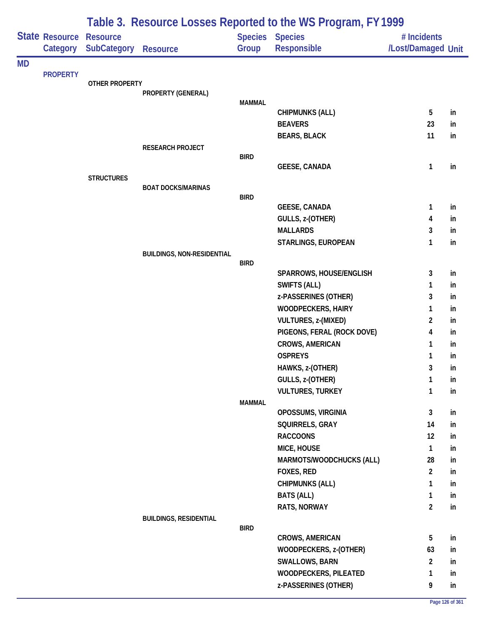|           |                            | Table 3. Resource Losses Reported to the WS Program, FY 1999 |                                   |                         |                               |                                   |    |  |  |
|-----------|----------------------------|--------------------------------------------------------------|-----------------------------------|-------------------------|-------------------------------|-----------------------------------|----|--|--|
|           | State Resource<br>Category | <b>Resource</b><br><b>SubCategory</b>                        | <b>Resource</b>                   | <b>Species</b><br>Group | <b>Species</b><br>Responsible | # Incidents<br>/Lost/Damaged Unit |    |  |  |
| <b>MD</b> |                            |                                                              |                                   |                         |                               |                                   |    |  |  |
|           | <b>PROPERTY</b>            | OTHER PROPERTY                                               |                                   |                         |                               |                                   |    |  |  |
|           |                            |                                                              | PROPERTY (GENERAL)                |                         |                               |                                   |    |  |  |
|           |                            |                                                              |                                   | <b>MAMMAL</b>           | <b>CHIPMUNKS (ALL)</b>        | 5                                 | in |  |  |
|           |                            |                                                              |                                   |                         | <b>BEAVERS</b>                | 23                                | in |  |  |
|           |                            |                                                              |                                   |                         | <b>BEARS, BLACK</b>           | 11                                | in |  |  |
|           |                            |                                                              | RESEARCH PROJECT                  |                         |                               |                                   |    |  |  |
|           |                            |                                                              |                                   | <b>BIRD</b>             |                               |                                   |    |  |  |
|           |                            |                                                              |                                   |                         | <b>GEESE, CANADA</b>          | $\mathbf{1}$                      | in |  |  |
|           |                            | <b>STRUCTURES</b>                                            | <b>BOAT DOCKS/MARINAS</b>         |                         |                               |                                   |    |  |  |
|           |                            |                                                              |                                   | <b>BIRD</b>             |                               |                                   |    |  |  |
|           |                            |                                                              |                                   |                         | <b>GEESE, CANADA</b>          | 1                                 | in |  |  |
|           |                            |                                                              |                                   |                         | GULLS, z-(OTHER)              | 4                                 | in |  |  |
|           |                            |                                                              |                                   |                         | <b>MALLARDS</b>               | 3                                 | in |  |  |
|           |                            |                                                              |                                   |                         | STARLINGS, EUROPEAN           | 1                                 | in |  |  |
|           |                            |                                                              | <b>BUILDINGS, NON-RESIDENTIAL</b> |                         |                               |                                   |    |  |  |
|           |                            |                                                              |                                   | <b>BIRD</b>             | SPARROWS, HOUSE/ENGLISH       | 3                                 | in |  |  |
|           |                            |                                                              |                                   |                         | <b>SWIFTS (ALL)</b>           | 1                                 | in |  |  |
|           |                            |                                                              |                                   |                         | z-PASSERINES (OTHER)          | 3                                 | in |  |  |
|           |                            |                                                              |                                   |                         | <b>WOODPECKERS, HAIRY</b>     | 1                                 | in |  |  |
|           |                            |                                                              |                                   |                         | VULTURES, z-(MIXED)           | $\overline{c}$                    | in |  |  |
|           |                            |                                                              |                                   |                         | PIGEONS, FERAL (ROCK DOVE)    | 4                                 | in |  |  |
|           |                            |                                                              |                                   |                         | <b>CROWS, AMERICAN</b>        | 1                                 | in |  |  |
|           |                            |                                                              |                                   |                         | <b>OSPREYS</b>                | 1                                 | in |  |  |
|           |                            |                                                              |                                   |                         | HAWKS, z-(OTHER)              | 3                                 | in |  |  |
|           |                            |                                                              |                                   |                         | GULLS, z-(OTHER)              | 1                                 | in |  |  |
|           |                            |                                                              |                                   |                         | <b>VULTURES, TURKEY</b>       | 1                                 | in |  |  |
|           |                            |                                                              |                                   | <b>MAMMAL</b>           |                               |                                   |    |  |  |
|           |                            |                                                              |                                   |                         | OPOSSUMS, VIRGINIA            | $\mathbf{3}$                      | in |  |  |
|           |                            |                                                              |                                   |                         | SQUIRRELS, GRAY               | 14                                | in |  |  |
|           |                            |                                                              |                                   |                         | <b>RACCOONS</b>               | 12                                | in |  |  |
|           |                            |                                                              |                                   |                         | MICE, HOUSE                   | 1                                 | in |  |  |
|           |                            |                                                              |                                   |                         | MARMOTS/WOODCHUCKS (ALL)      | 28                                | in |  |  |
|           |                            |                                                              |                                   |                         | FOXES, RED                    | $\overline{2}$                    | in |  |  |
|           |                            |                                                              |                                   |                         | <b>CHIPMUNKS (ALL)</b>        | 1                                 | in |  |  |
|           |                            |                                                              |                                   |                         | <b>BATS (ALL)</b>             | 1                                 | in |  |  |
|           |                            |                                                              | <b>BUILDINGS, RESIDENTIAL</b>     |                         | RATS, NORWAY                  | $\overline{2}$                    | in |  |  |
|           |                            |                                                              |                                   | <b>BIRD</b>             |                               |                                   |    |  |  |
|           |                            |                                                              |                                   |                         | CROWS, AMERICAN               | 5                                 | in |  |  |
|           |                            |                                                              |                                   |                         | WOODPECKERS, z-(OTHER)        | 63                                | in |  |  |
|           |                            |                                                              |                                   |                         | <b>SWALLOWS, BARN</b>         | $\overline{2}$                    | in |  |  |
|           |                            |                                                              |                                   |                         | WOODPECKERS, PILEATED         | $\mathbf{1}$                      | in |  |  |
|           |                            |                                                              |                                   |                         | z-PASSERINES (OTHER)          | 9                                 | in |  |  |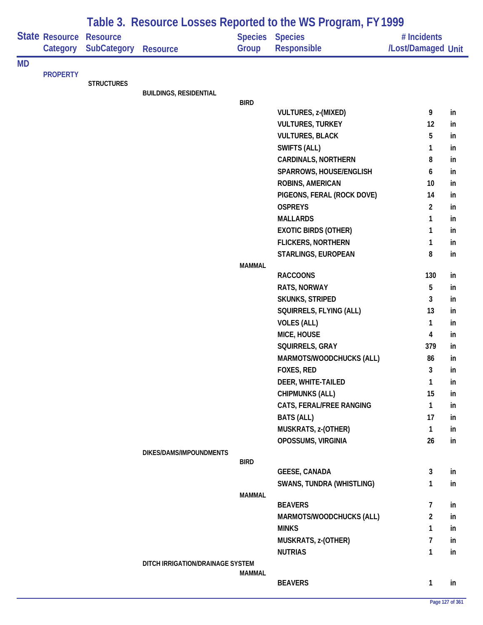|           |                            |                                       |                                  |                         | Table 3. Resource Losses Reported to the WS Program, FY 1999 |                                   |    |
|-----------|----------------------------|---------------------------------------|----------------------------------|-------------------------|--------------------------------------------------------------|-----------------------------------|----|
|           | State Resource<br>Category | <b>Resource</b><br><b>SubCategory</b> | <b>Resource</b>                  | <b>Species</b><br>Group | <b>Species</b><br><b>Responsible</b>                         | # Incidents<br>/Lost/Damaged Unit |    |
|           |                            |                                       |                                  |                         |                                                              |                                   |    |
| <b>MD</b> | <b>PROPERTY</b>            |                                       |                                  |                         |                                                              |                                   |    |
|           |                            | <b>STRUCTURES</b>                     |                                  |                         |                                                              |                                   |    |
|           |                            |                                       | <b>BUILDINGS, RESIDENTIAL</b>    |                         |                                                              |                                   |    |
|           |                            |                                       |                                  | <b>BIRD</b>             | VULTURES, z-(MIXED)                                          | 9                                 | in |
|           |                            |                                       |                                  |                         | <b>VULTURES, TURKEY</b>                                      | 12                                | in |
|           |                            |                                       |                                  |                         | <b>VULTURES, BLACK</b>                                       | 5                                 | in |
|           |                            |                                       |                                  |                         | SWIFTS (ALL)                                                 | 1                                 | in |
|           |                            |                                       |                                  |                         | <b>CARDINALS, NORTHERN</b>                                   | 8                                 | in |
|           |                            |                                       |                                  |                         | SPARROWS, HOUSE/ENGLISH                                      | 6                                 | in |
|           |                            |                                       |                                  |                         | ROBINS, AMERICAN                                             | 10                                | in |
|           |                            |                                       |                                  |                         | PIGEONS, FERAL (ROCK DOVE)                                   | 14                                | in |
|           |                            |                                       |                                  |                         | <b>OSPREYS</b>                                               | $\overline{2}$                    | in |
|           |                            |                                       |                                  |                         | <b>MALLARDS</b>                                              | 1                                 | in |
|           |                            |                                       |                                  |                         | <b>EXOTIC BIRDS (OTHER)</b>                                  | 1                                 | in |
|           |                            |                                       |                                  |                         | <b>FLICKERS, NORTHERN</b>                                    | 1                                 | in |
|           |                            |                                       |                                  |                         | STARLINGS, EUROPEAN                                          | 8                                 | in |
|           |                            |                                       |                                  | <b>MAMMAL</b>           |                                                              |                                   |    |
|           |                            |                                       |                                  |                         | <b>RACCOONS</b>                                              | 130                               | in |
|           |                            |                                       |                                  |                         | RATS, NORWAY                                                 | 5                                 | in |
|           |                            |                                       |                                  |                         | <b>SKUNKS, STRIPED</b>                                       | 3                                 | in |
|           |                            |                                       |                                  |                         | SQUIRRELS, FLYING (ALL)                                      | 13                                | in |
|           |                            |                                       |                                  |                         | <b>VOLES (ALL)</b>                                           | 1                                 | in |
|           |                            |                                       |                                  |                         | MICE, HOUSE                                                  | 4                                 | in |
|           |                            |                                       |                                  |                         | SQUIRRELS, GRAY                                              | 379                               | in |
|           |                            |                                       |                                  |                         | MARMOTS/WOODCHUCKS (ALL)                                     | 86                                | in |
|           |                            |                                       |                                  |                         | FOXES, RED                                                   | 3                                 | in |
|           |                            |                                       |                                  |                         | DEER, WHITE-TAILED                                           | 1                                 | in |
|           |                            |                                       |                                  |                         | <b>CHIPMUNKS (ALL)</b>                                       | 15                                | in |
|           |                            |                                       |                                  |                         | CATS, FERAL/FREE RANGING                                     | $\mathbf{1}$                      | in |
|           |                            |                                       |                                  |                         | <b>BATS (ALL)</b>                                            | 17                                | in |
|           |                            |                                       |                                  |                         | MUSKRATS, z-(OTHER)                                          | 1                                 | in |
|           |                            |                                       |                                  |                         | OPOSSUMS, VIRGINIA                                           | 26                                | in |
|           |                            |                                       | DIKES/DAMS/IMPOUNDMENTS          |                         |                                                              |                                   |    |
|           |                            |                                       |                                  | <b>BIRD</b>             |                                                              |                                   |    |
|           |                            |                                       |                                  |                         | <b>GEESE, CANADA</b>                                         | 3                                 | in |
|           |                            |                                       |                                  |                         | <b>SWANS, TUNDRA (WHISTLING)</b>                             | 1                                 | in |
|           |                            |                                       |                                  | <b>MAMMAL</b>           |                                                              |                                   |    |
|           |                            |                                       |                                  |                         | <b>BEAVERS</b>                                               | 7                                 | in |
|           |                            |                                       |                                  |                         | MARMOTS/WOODCHUCKS (ALL)                                     | $\overline{a}$                    | in |
|           |                            |                                       |                                  |                         | <b>MINKS</b>                                                 | 1                                 | in |
|           |                            |                                       |                                  |                         | MUSKRATS, z-(OTHER)                                          | 7                                 | in |
|           |                            |                                       |                                  |                         | <b>NUTRIAS</b>                                               | 1                                 | in |
|           |                            |                                       | DITCH IRRIGATION/DRAINAGE SYSTEM | <b>MAMMAL</b>           |                                                              |                                   |    |
|           |                            |                                       |                                  |                         | <b>BEAVERS</b>                                               | $\mathbf{1}$                      | in |
|           |                            |                                       |                                  |                         |                                                              |                                   |    |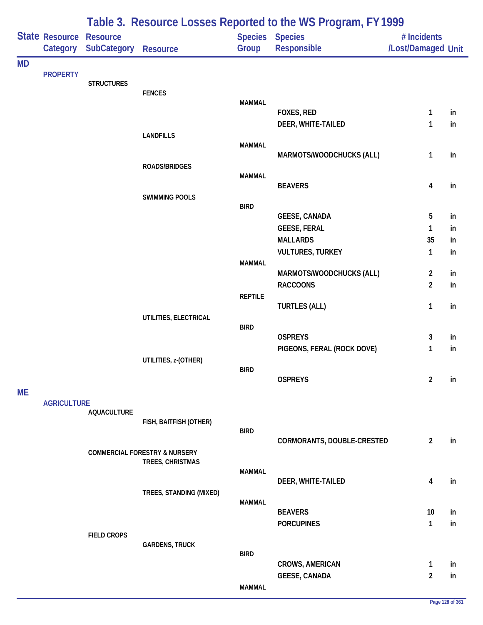|           |                            |                                       | Table 3. Resource Losses Reported to the WS Program, FY 1999 |                |                                             |                                   |          |  |  |
|-----------|----------------------------|---------------------------------------|--------------------------------------------------------------|----------------|---------------------------------------------|-----------------------------------|----------|--|--|
|           | State Resource<br>Category | <b>Resource</b><br><b>SubCategory</b> | <b>Resource</b>                                              | Group          | Species Species<br><b>Responsible</b>       | # Incidents<br>/Lost/Damaged Unit |          |  |  |
| <b>MD</b> |                            |                                       |                                                              |                |                                             |                                   |          |  |  |
|           | <b>PROPERTY</b>            | <b>STRUCTURES</b>                     |                                                              |                |                                             |                                   |          |  |  |
|           |                            |                                       | <b>FENCES</b>                                                |                |                                             |                                   |          |  |  |
|           |                            |                                       |                                                              | <b>MAMMAL</b>  | FOXES, RED                                  | 1                                 | in       |  |  |
|           |                            |                                       |                                                              |                | DEER, WHITE-TAILED                          | 1                                 | in       |  |  |
|           |                            |                                       | <b>LANDFILLS</b>                                             |                |                                             |                                   |          |  |  |
|           |                            |                                       |                                                              | <b>MAMMAL</b>  |                                             |                                   |          |  |  |
|           |                            |                                       | <b>ROADS/BRIDGES</b>                                         |                | MARMOTS/WOODCHUCKS (ALL)                    | $\mathbf{1}$                      | in       |  |  |
|           |                            |                                       |                                                              | <b>MAMMAL</b>  |                                             |                                   |          |  |  |
|           |                            |                                       |                                                              |                | <b>BEAVERS</b>                              | 4                                 | in       |  |  |
|           |                            |                                       | <b>SWIMMING POOLS</b>                                        | <b>BIRD</b>    |                                             |                                   |          |  |  |
|           |                            |                                       |                                                              |                | <b>GEESE, CANADA</b>                        | 5                                 | in       |  |  |
|           |                            |                                       |                                                              |                | <b>GEESE, FERAL</b>                         | 1                                 | in       |  |  |
|           |                            |                                       |                                                              |                | <b>MALLARDS</b>                             | 35                                | in       |  |  |
|           |                            |                                       |                                                              |                | <b>VULTURES, TURKEY</b>                     | 1                                 | in       |  |  |
|           |                            |                                       |                                                              | <b>MAMMAL</b>  |                                             |                                   |          |  |  |
|           |                            |                                       |                                                              |                | MARMOTS/WOODCHUCKS (ALL)<br><b>RACCOONS</b> | $\overline{2}$<br>$\overline{2}$  | in<br>in |  |  |
|           |                            |                                       |                                                              | <b>REPTILE</b> |                                             |                                   |          |  |  |
|           |                            |                                       |                                                              |                | <b>TURTLES (ALL)</b>                        | 1                                 | in       |  |  |
|           |                            |                                       | UTILITIES, ELECTRICAL                                        |                |                                             |                                   |          |  |  |
|           |                            |                                       |                                                              | <b>BIRD</b>    | <b>OSPREYS</b>                              | $\mathbf{3}$                      | in       |  |  |
|           |                            |                                       |                                                              |                | PIGEONS, FERAL (ROCK DOVE)                  | 1                                 | in       |  |  |
|           |                            |                                       | UTILITIES, z-(OTHER)                                         |                |                                             |                                   |          |  |  |
|           |                            |                                       |                                                              | <b>BIRD</b>    |                                             |                                   |          |  |  |
|           |                            |                                       |                                                              |                | <b>OSPREYS</b>                              | $\overline{2}$                    | in       |  |  |
| <b>ME</b> |                            |                                       |                                                              |                |                                             |                                   |          |  |  |
|           | <b>AGRICULTURE</b>         | <b>AQUACULTURE</b>                    |                                                              |                |                                             |                                   |          |  |  |
|           |                            |                                       | FISH, BAITFISH (OTHER)                                       |                |                                             |                                   |          |  |  |
|           |                            |                                       |                                                              | <b>BIRD</b>    | CORMORANTS, DOUBLE-CRESTED                  | $\overline{2}$                    | in       |  |  |
|           |                            |                                       | <b>COMMERCIAL FORESTRY &amp; NURSERY</b>                     |                |                                             |                                   |          |  |  |
|           |                            |                                       | TREES, CHRISTMAS                                             |                |                                             |                                   |          |  |  |
|           |                            |                                       |                                                              | <b>MAMMAL</b>  |                                             |                                   |          |  |  |
|           |                            |                                       | TREES, STANDING (MIXED)                                      |                | DEER, WHITE-TAILED                          | 4                                 | in       |  |  |
|           |                            |                                       |                                                              | <b>MAMMAL</b>  |                                             |                                   |          |  |  |
|           |                            |                                       |                                                              |                | <b>BEAVERS</b>                              | 10                                | in       |  |  |
|           |                            |                                       |                                                              |                | <b>PORCUPINES</b>                           | $\mathbf{1}$                      | in       |  |  |
|           |                            | <b>FIELD CROPS</b>                    | <b>GARDENS, TRUCK</b>                                        |                |                                             |                                   |          |  |  |
|           |                            |                                       |                                                              | <b>BIRD</b>    |                                             |                                   |          |  |  |
|           |                            |                                       |                                                              |                | <b>CROWS, AMERICAN</b>                      | 1                                 | in       |  |  |
|           |                            |                                       |                                                              |                | <b>GEESE, CANADA</b>                        | $\overline{2}$                    | in       |  |  |
|           |                            |                                       |                                                              | <b>MAMMAL</b>  |                                             |                                   |          |  |  |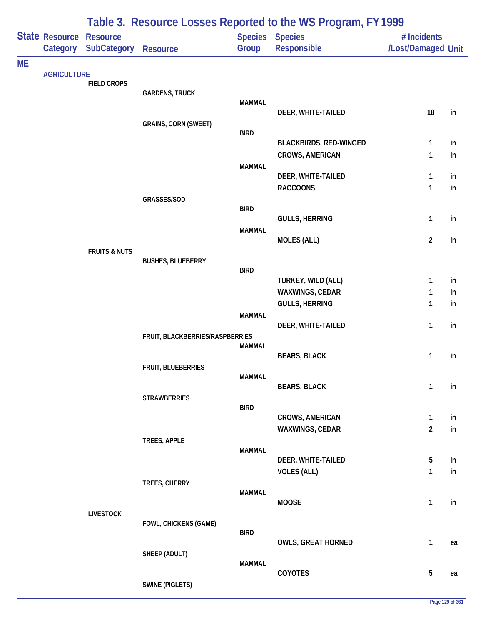|           | Table 3. Resource Losses Reported to the WS Program, FY 1999 |                                       |                                 |               |                                                         |                                   |          |
|-----------|--------------------------------------------------------------|---------------------------------------|---------------------------------|---------------|---------------------------------------------------------|-----------------------------------|----------|
|           | State Resource<br>Category                                   | <b>Resource</b><br><b>SubCategory</b> | <b>Resource</b>                 | Group         | Species Species<br><b>Responsible</b>                   | # Incidents<br>/Lost/Damaged Unit |          |
| <b>ME</b> |                                                              |                                       |                                 |               |                                                         |                                   |          |
|           | <b>AGRICULTURE</b>                                           | <b>FIELD CROPS</b>                    |                                 |               |                                                         |                                   |          |
|           |                                                              |                                       | <b>GARDENS, TRUCK</b>           |               |                                                         |                                   |          |
|           |                                                              |                                       |                                 | <b>MAMMAL</b> | DEER, WHITE-TAILED                                      | 18                                | in       |
|           |                                                              |                                       | <b>GRAINS, CORN (SWEET)</b>     |               |                                                         |                                   |          |
|           |                                                              |                                       |                                 | <b>BIRD</b>   |                                                         |                                   |          |
|           |                                                              |                                       |                                 |               | <b>BLACKBIRDS, RED-WINGED</b><br><b>CROWS, AMERICAN</b> | $\mathbf{1}$<br>$\mathbf{1}$      | in<br>in |
|           |                                                              |                                       |                                 | <b>MAMMAL</b> |                                                         |                                   |          |
|           |                                                              |                                       |                                 |               | DEER, WHITE-TAILED                                      | 1                                 | in       |
|           |                                                              |                                       |                                 |               | <b>RACCOONS</b>                                         | 1                                 | in       |
|           |                                                              |                                       | GRASSES/SOD                     | <b>BIRD</b>   |                                                         |                                   |          |
|           |                                                              |                                       |                                 |               | <b>GULLS, HERRING</b>                                   | $\mathbf{1}$                      | in       |
|           |                                                              |                                       |                                 | <b>MAMMAL</b> |                                                         |                                   |          |
|           |                                                              | <b>FRUITS &amp; NUTS</b>              |                                 |               | <b>MOLES (ALL)</b>                                      | $\overline{2}$                    | in       |
|           |                                                              |                                       | <b>BUSHES, BLUEBERRY</b>        |               |                                                         |                                   |          |
|           |                                                              |                                       |                                 | <b>BIRD</b>   | TURKEY, WILD (ALL)                                      | 1                                 | in       |
|           |                                                              |                                       |                                 |               | WAXWINGS, CEDAR                                         | 1                                 | in       |
|           |                                                              |                                       |                                 |               | <b>GULLS, HERRING</b>                                   | 1                                 | in       |
|           |                                                              |                                       |                                 | <b>MAMMAL</b> |                                                         |                                   |          |
|           |                                                              |                                       |                                 |               | DEER, WHITE-TAILED                                      | $\mathbf{1}$                      | in       |
|           |                                                              |                                       | FRUIT, BLACKBERRIES/RASPBERRIES | <b>MAMMAL</b> |                                                         |                                   |          |
|           |                                                              |                                       |                                 |               | <b>BEARS, BLACK</b>                                     | 1                                 | in       |
|           |                                                              |                                       | FRUIT, BLUEBERRIES              | <b>MAMMAL</b> |                                                         |                                   |          |
|           |                                                              |                                       |                                 |               | <b>BEARS, BLACK</b>                                     | $\mathbf{1}$                      | in       |
|           |                                                              |                                       | <b>STRAWBERRIES</b>             |               |                                                         |                                   |          |
|           |                                                              |                                       |                                 | <b>BIRD</b>   | <b>CROWS, AMERICAN</b>                                  | $\mathbf{1}$                      | in       |
|           |                                                              |                                       |                                 |               | WAXWINGS, CEDAR                                         | $\overline{2}$                    | in       |
|           |                                                              |                                       | TREES, APPLE                    |               |                                                         |                                   |          |
|           |                                                              |                                       |                                 | <b>MAMMAL</b> | DEER, WHITE-TAILED                                      | 5                                 | in       |
|           |                                                              |                                       |                                 |               | <b>VOLES (ALL)</b>                                      | 1                                 | in       |
|           |                                                              |                                       | TREES, CHERRY                   |               |                                                         |                                   |          |
|           |                                                              |                                       |                                 | <b>MAMMAL</b> | <b>MOOSE</b>                                            | $\mathbf{1}$                      | in       |
|           |                                                              | <b>LIVESTOCK</b>                      |                                 |               |                                                         |                                   |          |
|           |                                                              |                                       | FOWL, CHICKENS (GAME)           |               |                                                         |                                   |          |
|           |                                                              |                                       |                                 | <b>BIRD</b>   | <b>OWLS, GREAT HORNED</b>                               | $\mathbf{1}$                      | ea       |
|           |                                                              |                                       | SHEEP (ADULT)                   |               |                                                         |                                   |          |
|           |                                                              |                                       |                                 | <b>MAMMAL</b> |                                                         |                                   |          |
|           |                                                              |                                       | <b>SWINE (PIGLETS)</b>          |               | COYOTES                                                 | $\overline{5}$                    | ea       |
|           |                                                              |                                       |                                 |               |                                                         |                                   |          |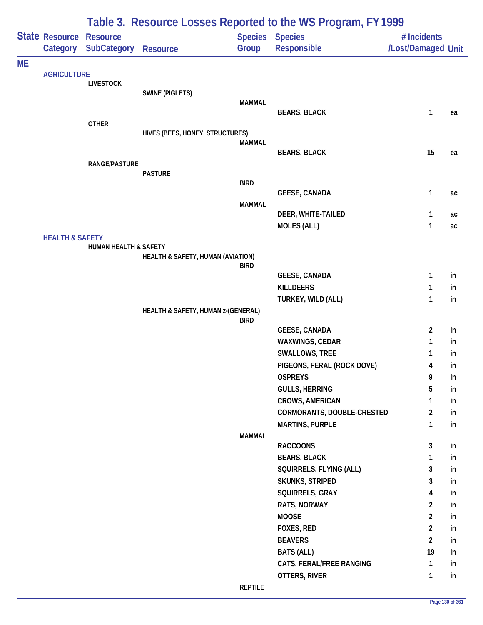|           |                            | Table 3. Resource Losses Reported to the WS Program, FY 1999 |                                    |                |                                           |                    |          |  |  |
|-----------|----------------------------|--------------------------------------------------------------|------------------------------------|----------------|-------------------------------------------|--------------------|----------|--|--|
|           | State Resource             | <b>Resource</b>                                              |                                    | <b>Species</b> | <b>Species</b>                            | # Incidents        |          |  |  |
|           | Category                   | <b>SubCategory</b>                                           | <b>Resource</b>                    | Group          | Responsible                               | /Lost/Damaged Unit |          |  |  |
| <b>ME</b> |                            |                                                              |                                    |                |                                           |                    |          |  |  |
|           | <b>AGRICULTURE</b>         | <b>LIVESTOCK</b>                                             |                                    |                |                                           |                    |          |  |  |
|           |                            |                                                              | <b>SWINE (PIGLETS)</b>             |                |                                           |                    |          |  |  |
|           |                            |                                                              |                                    | <b>MAMMAL</b>  |                                           |                    |          |  |  |
|           |                            |                                                              |                                    |                | <b>BEARS, BLACK</b>                       | $\mathbf{1}$       | ea       |  |  |
|           |                            | <b>OTHER</b>                                                 | HIVES (BEES, HONEY, STRUCTURES)    |                |                                           |                    |          |  |  |
|           |                            |                                                              |                                    | <b>MAMMAL</b>  |                                           |                    |          |  |  |
|           |                            |                                                              |                                    |                | <b>BEARS, BLACK</b>                       | 15                 | ea       |  |  |
|           |                            | <b>RANGE/PASTURE</b>                                         |                                    |                |                                           |                    |          |  |  |
|           |                            |                                                              | <b>PASTURE</b>                     | <b>BIRD</b>    |                                           |                    |          |  |  |
|           |                            |                                                              |                                    |                | <b>GEESE, CANADA</b>                      | 1                  | ac       |  |  |
|           |                            |                                                              |                                    | <b>MAMMAL</b>  |                                           |                    |          |  |  |
|           |                            |                                                              |                                    |                | DEER, WHITE-TAILED                        | 1                  | ac       |  |  |
|           |                            |                                                              |                                    |                | <b>MOLES (ALL)</b>                        | 1                  | ac       |  |  |
|           | <b>HEALTH &amp; SAFETY</b> |                                                              |                                    |                |                                           |                    |          |  |  |
|           |                            | <b>HUMAN HEALTH &amp; SAFETY</b>                             | HEALTH & SAFETY, HUMAN (AVIATION)  |                |                                           |                    |          |  |  |
|           |                            |                                                              |                                    | <b>BIRD</b>    |                                           |                    |          |  |  |
|           |                            |                                                              |                                    |                | <b>GEESE, CANADA</b>                      | 1                  | in       |  |  |
|           |                            |                                                              |                                    |                | <b>KILLDEERS</b>                          | 1                  | in       |  |  |
|           |                            |                                                              |                                    |                | TURKEY, WILD (ALL)                        | $\mathbf{1}$       | in       |  |  |
|           |                            |                                                              | HEALTH & SAFETY, HUMAN z-(GENERAL) | <b>BIRD</b>    |                                           |                    |          |  |  |
|           |                            |                                                              |                                    |                | <b>GEESE, CANADA</b>                      | $\overline{2}$     | in       |  |  |
|           |                            |                                                              |                                    |                | <b>WAXWINGS, CEDAR</b>                    | 1                  | in       |  |  |
|           |                            |                                                              |                                    |                | SWALLOWS, TREE                            | 1                  | in       |  |  |
|           |                            |                                                              |                                    |                | PIGEONS, FERAL (ROCK DOVE)                | 4                  | in       |  |  |
|           |                            |                                                              |                                    |                | <b>OSPREYS</b>                            | 9                  | in       |  |  |
|           |                            |                                                              |                                    |                | <b>GULLS, HERRING</b>                     | 5                  | in       |  |  |
|           |                            |                                                              |                                    |                | CROWS, AMERICAN                           | 1                  | in       |  |  |
|           |                            |                                                              |                                    |                | CORMORANTS, DOUBLE-CRESTED                | $\overline{2}$     | in       |  |  |
|           |                            |                                                              |                                    |                | <b>MARTINS, PURPLE</b>                    | 1                  | in       |  |  |
|           |                            |                                                              |                                    | <b>MAMMAL</b>  |                                           |                    |          |  |  |
|           |                            |                                                              |                                    |                | <b>RACCOONS</b>                           | 3                  | in       |  |  |
|           |                            |                                                              |                                    |                | <b>BEARS, BLACK</b>                       | 1                  | in       |  |  |
|           |                            |                                                              |                                    |                | SQUIRRELS, FLYING (ALL)                   | 3                  | in       |  |  |
|           |                            |                                                              |                                    |                | <b>SKUNKS, STRIPED</b>                    | 3                  | in       |  |  |
|           |                            |                                                              |                                    |                | SQUIRRELS, GRAY                           | 4                  | in       |  |  |
|           |                            |                                                              |                                    |                | RATS, NORWAY                              | $\overline{2}$     | in       |  |  |
|           |                            |                                                              |                                    |                | <b>MOOSE</b>                              | $\overline{2}$     | in       |  |  |
|           |                            |                                                              |                                    |                | FOXES, RED                                | $\overline{2}$     | in       |  |  |
|           |                            |                                                              |                                    |                | <b>BEAVERS</b>                            | $\overline{2}$     | in       |  |  |
|           |                            |                                                              |                                    |                | <b>BATS (ALL)</b>                         | 19                 | in       |  |  |
|           |                            |                                                              |                                    |                | CATS, FERAL/FREE RANGING<br>OTTERS, RIVER | 1                  | in<br>in |  |  |
|           |                            |                                                              |                                    | <b>REPTILE</b> |                                           | 1                  |          |  |  |
|           |                            |                                                              |                                    |                |                                           |                    |          |  |  |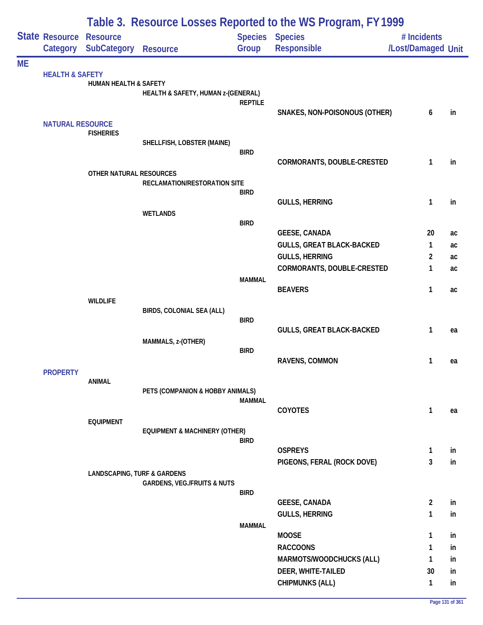|           |                            | Table 3. Resource Losses Reported to the WS Program, FY 1999 |                                          |                         |                                                          |                                   |          |  |  |  |
|-----------|----------------------------|--------------------------------------------------------------|------------------------------------------|-------------------------|----------------------------------------------------------|-----------------------------------|----------|--|--|--|
|           | State Resource<br>Category | <b>Resource</b><br><b>SubCategory</b>                        | <b>Resource</b>                          | <b>Species</b><br>Group | <b>Species</b><br>Responsible                            | # Incidents<br>/Lost/Damaged Unit |          |  |  |  |
| <b>ME</b> |                            |                                                              |                                          |                         |                                                          |                                   |          |  |  |  |
|           | <b>HEALTH &amp; SAFETY</b> | <b>HUMAN HEALTH &amp; SAFETY</b>                             | HEALTH & SAFETY, HUMAN z-(GENERAL)       |                         |                                                          |                                   |          |  |  |  |
|           |                            |                                                              |                                          | <b>REPTILE</b>          | SNAKES, NON-POISONOUS (OTHER)                            | 6                                 | in       |  |  |  |
|           | <b>NATURAL RESOURCE</b>    | <b>FISHERIES</b>                                             |                                          |                         |                                                          |                                   |          |  |  |  |
|           |                            |                                                              | SHELLFISH, LOBSTER (MAINE)               | <b>BIRD</b>             | CORMORANTS, DOUBLE-CRESTED                               | $\mathbf{1}$                      | in       |  |  |  |
|           |                            | OTHER NATURAL RESOURCES                                      |                                          |                         |                                                          |                                   |          |  |  |  |
|           |                            |                                                              | RECLAMATION/RESTORATION SITE             |                         |                                                          |                                   |          |  |  |  |
|           |                            |                                                              |                                          | <b>BIRD</b>             | <b>GULLS, HERRING</b>                                    | 1                                 | in       |  |  |  |
|           |                            |                                                              | <b>WETLANDS</b>                          |                         |                                                          |                                   |          |  |  |  |
|           |                            |                                                              |                                          | <b>BIRD</b>             |                                                          |                                   |          |  |  |  |
|           |                            |                                                              |                                          |                         | <b>GEESE, CANADA</b><br><b>GULLS, GREAT BLACK-BACKED</b> | 20<br>1                           | ac<br>ac |  |  |  |
|           |                            |                                                              |                                          |                         | <b>GULLS, HERRING</b>                                    | 2                                 | ac       |  |  |  |
|           |                            |                                                              |                                          |                         | CORMORANTS, DOUBLE-CRESTED                               | 1                                 | ac       |  |  |  |
|           |                            |                                                              |                                          | <b>MAMMAL</b>           |                                                          |                                   |          |  |  |  |
|           |                            |                                                              |                                          |                         | <b>BEAVERS</b>                                           | 1                                 | ac       |  |  |  |
|           |                            | <b>WILDLIFE</b>                                              | BIRDS, COLONIAL SEA (ALL)                |                         |                                                          |                                   |          |  |  |  |
|           |                            |                                                              |                                          | <b>BIRD</b>             |                                                          |                                   |          |  |  |  |
|           |                            |                                                              | MAMMALS, z-(OTHER)                       |                         | <b>GULLS, GREAT BLACK-BACKED</b>                         | 1                                 | ea       |  |  |  |
|           |                            |                                                              |                                          | <b>BIRD</b>             |                                                          |                                   |          |  |  |  |
|           |                            |                                                              |                                          |                         | RAVENS, COMMON                                           | 1                                 | ea       |  |  |  |
|           | <b>PROPERTY</b>            | <b>ANIMAL</b>                                                |                                          |                         |                                                          |                                   |          |  |  |  |
|           |                            |                                                              | PETS (COMPANION & HOBBY ANIMALS)         |                         |                                                          |                                   |          |  |  |  |
|           |                            |                                                              |                                          | <b>MAMMAL</b>           |                                                          |                                   |          |  |  |  |
|           |                            | <b>EQUIPMENT</b>                                             |                                          |                         | <b>COYOTES</b>                                           | 1                                 | ea       |  |  |  |
|           |                            |                                                              | <b>EQUIPMENT &amp; MACHINERY (OTHER)</b> | <b>BIRD</b>             |                                                          |                                   |          |  |  |  |
|           |                            |                                                              |                                          |                         | <b>OSPREYS</b>                                           | $\mathbf{1}$                      | in       |  |  |  |
|           |                            |                                                              |                                          |                         | PIGEONS, FERAL (ROCK DOVE)                               | 3                                 | in       |  |  |  |
|           |                            | <b>LANDSCAPING, TURF &amp; GARDENS</b>                       | <b>GARDENS, VEG./FRUITS &amp; NUTS</b>   |                         |                                                          |                                   |          |  |  |  |
|           |                            |                                                              |                                          | <b>BIRD</b>             |                                                          |                                   |          |  |  |  |
|           |                            |                                                              |                                          |                         | <b>GEESE, CANADA</b>                                     | $\overline{2}$                    | in       |  |  |  |
|           |                            |                                                              |                                          | <b>MAMMAL</b>           | <b>GULLS, HERRING</b>                                    | 1                                 | in       |  |  |  |
|           |                            |                                                              |                                          |                         | <b>MOOSE</b>                                             | 1                                 | in       |  |  |  |
|           |                            |                                                              |                                          |                         | <b>RACCOONS</b>                                          | 1                                 | in       |  |  |  |
|           |                            |                                                              |                                          |                         | MARMOTS/WOODCHUCKS (ALL)                                 | 1                                 | in       |  |  |  |
|           |                            |                                                              |                                          |                         | DEER, WHITE-TAILED                                       | 30                                | in       |  |  |  |
|           |                            |                                                              |                                          |                         | <b>CHIPMUNKS (ALL)</b>                                   | 1                                 | in       |  |  |  |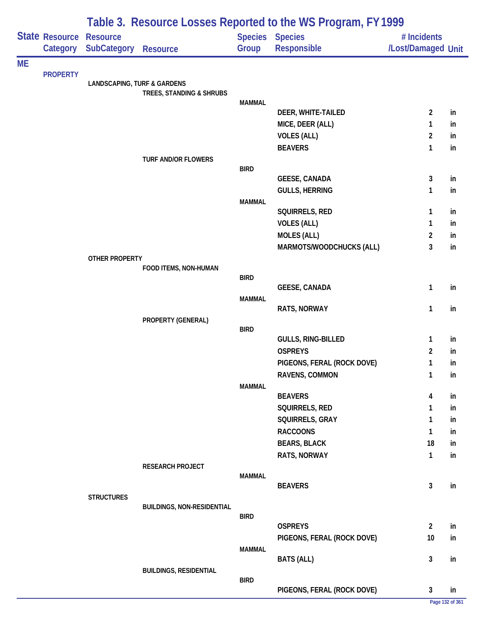|           | Table 3. Resource Losses Reported to the WS Program, FY 1999 |                                        |                                   |                |                                                |                    |                 |
|-----------|--------------------------------------------------------------|----------------------------------------|-----------------------------------|----------------|------------------------------------------------|--------------------|-----------------|
|           | State Resource                                               | <b>Resource</b>                        |                                   | <b>Species</b> | <b>Species</b>                                 | # Incidents        |                 |
|           | Category                                                     | <b>SubCategory</b>                     | <b>Resource</b>                   | Group          | Responsible                                    | /Lost/Damaged Unit |                 |
| <b>ME</b> |                                                              |                                        |                                   |                |                                                |                    |                 |
|           | <b>PROPERTY</b>                                              | <b>LANDSCAPING, TURF &amp; GARDENS</b> |                                   |                |                                                |                    |                 |
|           |                                                              |                                        | TREES, STANDING & SHRUBS          |                |                                                |                    |                 |
|           |                                                              |                                        |                                   | <b>MAMMAL</b>  |                                                |                    |                 |
|           |                                                              |                                        |                                   |                | DEER, WHITE-TAILED                             | $\overline{2}$     | in              |
|           |                                                              |                                        |                                   |                | MICE, DEER (ALL)<br><b>VOLES (ALL)</b>         | 1                  | in              |
|           |                                                              |                                        |                                   |                | <b>BEAVERS</b>                                 | 2<br>$\mathbf{1}$  | in<br>in        |
|           |                                                              |                                        | <b>TURF AND/OR FLOWERS</b>        |                |                                                |                    |                 |
|           |                                                              |                                        |                                   | <b>BIRD</b>    |                                                |                    |                 |
|           |                                                              |                                        |                                   |                | <b>GEESE, CANADA</b>                           | 3                  | in              |
|           |                                                              |                                        |                                   |                | <b>GULLS, HERRING</b>                          | 1                  | in              |
|           |                                                              |                                        |                                   | <b>MAMMAL</b>  |                                                |                    |                 |
|           |                                                              |                                        |                                   |                | SQUIRRELS, RED                                 | 1                  | in              |
|           |                                                              |                                        |                                   |                | <b>VOLES (ALL)</b>                             | 1                  | in              |
|           |                                                              |                                        |                                   |                | <b>MOLES (ALL)</b><br>MARMOTS/WOODCHUCKS (ALL) | 2<br>3             | in<br>in        |
|           |                                                              | OTHER PROPERTY                         |                                   |                |                                                |                    |                 |
|           |                                                              |                                        | FOOD ITEMS, NON-HUMAN             |                |                                                |                    |                 |
|           |                                                              |                                        |                                   | <b>BIRD</b>    |                                                |                    |                 |
|           |                                                              |                                        |                                   |                | <b>GEESE, CANADA</b>                           | 1                  | in              |
|           |                                                              |                                        |                                   | <b>MAMMAL</b>  | RATS, NORWAY                                   | 1                  | in              |
|           |                                                              |                                        | PROPERTY (GENERAL)                |                |                                                |                    |                 |
|           |                                                              |                                        |                                   | <b>BIRD</b>    |                                                |                    |                 |
|           |                                                              |                                        |                                   |                | GULLS, RING-BILLED                             | $\mathbf{1}$       | in              |
|           |                                                              |                                        |                                   |                | <b>OSPREYS</b>                                 | $\overline{2}$     | in              |
|           |                                                              |                                        |                                   |                | PIGEONS, FERAL (ROCK DOVE)                     | 1                  | in              |
|           |                                                              |                                        |                                   |                | RAVENS, COMMON                                 | 1                  | in              |
|           |                                                              |                                        |                                   | <b>MAMMAL</b>  | <b>BEAVERS</b>                                 | 4                  | in              |
|           |                                                              |                                        |                                   |                | SQUIRRELS, RED                                 | 1                  | in              |
|           |                                                              |                                        |                                   |                | SQUIRRELS, GRAY                                | 1                  | in              |
|           |                                                              |                                        |                                   |                | <b>RACCOONS</b>                                | 1                  | in              |
|           |                                                              |                                        |                                   |                | <b>BEARS, BLACK</b>                            | 18                 | in              |
|           |                                                              |                                        |                                   |                | RATS, NORWAY                                   | $\mathbf{1}$       | in              |
|           |                                                              |                                        | <b>RESEARCH PROJECT</b>           |                |                                                |                    |                 |
|           |                                                              |                                        |                                   | <b>MAMMAL</b>  |                                                |                    |                 |
|           |                                                              |                                        |                                   |                | <b>BEAVERS</b>                                 | 3                  | in              |
|           |                                                              | <b>STRUCTURES</b>                      | <b>BUILDINGS, NON-RESIDENTIAL</b> |                |                                                |                    |                 |
|           |                                                              |                                        |                                   | <b>BIRD</b>    |                                                |                    |                 |
|           |                                                              |                                        |                                   |                | <b>OSPREYS</b>                                 | $\overline{2}$     | in              |
|           |                                                              |                                        |                                   |                | PIGEONS, FERAL (ROCK DOVE)                     | 10                 | in              |
|           |                                                              |                                        |                                   | <b>MAMMAL</b>  |                                                |                    |                 |
|           |                                                              |                                        |                                   |                | <b>BATS (ALL)</b>                              | 3                  | in              |
|           |                                                              |                                        | <b>BUILDINGS, RESIDENTIAL</b>     | <b>BIRD</b>    |                                                |                    |                 |
|           |                                                              |                                        |                                   |                | PIGEONS, FERAL (ROCK DOVE)                     | 3                  | in              |
|           |                                                              |                                        |                                   |                |                                                |                    | Page 132 of 361 |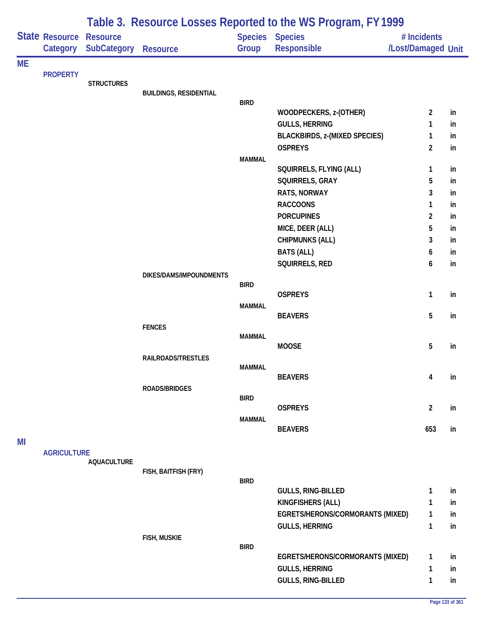|           |                                   | Table 3. Resource Losses Reported to the WS Program, FY 1999 |                               |               |                                      |                                   |          |  |  |
|-----------|-----------------------------------|--------------------------------------------------------------|-------------------------------|---------------|--------------------------------------|-----------------------------------|----------|--|--|
|           | <b>State Resource</b><br>Category | <b>Resource</b><br><b>SubCategory</b>                        | <b>Resource</b>               | Group         | Species Species<br>Responsible       | # Incidents<br>/Lost/Damaged Unit |          |  |  |
| <b>ME</b> |                                   |                                                              |                               |               |                                      |                                   |          |  |  |
|           | <b>PROPERTY</b>                   | <b>STRUCTURES</b>                                            |                               |               |                                      |                                   |          |  |  |
|           |                                   |                                                              | <b>BUILDINGS, RESIDENTIAL</b> |               |                                      |                                   |          |  |  |
|           |                                   |                                                              |                               | <b>BIRD</b>   | WOODPECKERS, z-(OTHER)               | 2                                 | in       |  |  |
|           |                                   |                                                              |                               |               | <b>GULLS, HERRING</b>                | 1                                 | in       |  |  |
|           |                                   |                                                              |                               |               | <b>BLACKBIRDS, z-(MIXED SPECIES)</b> | 1                                 | in       |  |  |
|           |                                   |                                                              |                               |               | <b>OSPREYS</b>                       | $\overline{2}$                    | in       |  |  |
|           |                                   |                                                              |                               | <b>MAMMAL</b> |                                      |                                   |          |  |  |
|           |                                   |                                                              |                               |               | SQUIRRELS, FLYING (ALL)              | 1                                 | in       |  |  |
|           |                                   |                                                              |                               |               | SQUIRRELS, GRAY                      | 5                                 | in       |  |  |
|           |                                   |                                                              |                               |               | <b>RATS, NORWAY</b>                  | 3                                 | in       |  |  |
|           |                                   |                                                              |                               |               | <b>RACCOONS</b>                      | 1                                 | in       |  |  |
|           |                                   |                                                              |                               |               | <b>PORCUPINES</b>                    | 2                                 | in       |  |  |
|           |                                   |                                                              |                               |               | MICE, DEER (ALL)                     | 5                                 | in       |  |  |
|           |                                   |                                                              |                               |               | <b>CHIPMUNKS (ALL)</b>               | 3                                 | in       |  |  |
|           |                                   |                                                              |                               |               | <b>BATS (ALL)</b>                    | 6                                 | in       |  |  |
|           |                                   |                                                              |                               |               | SQUIRRELS, RED                       | 6                                 | in       |  |  |
|           |                                   |                                                              | DIKES/DAMS/IMPOUNDMENTS       | <b>BIRD</b>   |                                      |                                   |          |  |  |
|           |                                   |                                                              |                               |               | <b>OSPREYS</b>                       | 1                                 | in       |  |  |
|           |                                   |                                                              |                               | <b>MAMMAL</b> |                                      |                                   |          |  |  |
|           |                                   |                                                              |                               |               | <b>BEAVERS</b>                       | 5                                 | in       |  |  |
|           |                                   |                                                              | <b>FENCES</b>                 |               |                                      |                                   |          |  |  |
|           |                                   |                                                              |                               | <b>MAMMAL</b> | <b>MOOSE</b>                         | 5                                 | in       |  |  |
|           |                                   |                                                              | RAILROADS/TRESTLES            |               |                                      |                                   |          |  |  |
|           |                                   |                                                              |                               | <b>MAMMAL</b> |                                      |                                   |          |  |  |
|           |                                   |                                                              |                               |               | <b>BEAVERS</b>                       | 4                                 | in       |  |  |
|           |                                   |                                                              | <b>ROADS/BRIDGES</b>          |               |                                      |                                   |          |  |  |
|           |                                   |                                                              |                               | <b>BIRD</b>   | <b>OSPREYS</b>                       | $\overline{c}$                    | in       |  |  |
|           |                                   |                                                              |                               | <b>MAMMAL</b> |                                      |                                   |          |  |  |
|           |                                   |                                                              |                               |               | <b>BEAVERS</b>                       | 653                               | in       |  |  |
| MI        |                                   |                                                              |                               |               |                                      |                                   |          |  |  |
|           | <b>AGRICULTURE</b>                |                                                              |                               |               |                                      |                                   |          |  |  |
|           |                                   | <b>AQUACULTURE</b>                                           | FISH, BAITFISH (FRY)          |               |                                      |                                   |          |  |  |
|           |                                   |                                                              |                               | <b>BIRD</b>   |                                      |                                   |          |  |  |
|           |                                   |                                                              |                               |               | GULLS, RING-BILLED                   | 1                                 | in       |  |  |
|           |                                   |                                                              |                               |               | KINGFISHERS (ALL)                    | 1                                 | in       |  |  |
|           |                                   |                                                              |                               |               | EGRETS/HERONS/CORMORANTS (MIXED)     | 1                                 | in       |  |  |
|           |                                   |                                                              |                               |               | <b>GULLS, HERRING</b>                | 1                                 | in       |  |  |
|           |                                   |                                                              | <b>FISH, MUSKIE</b>           |               |                                      |                                   |          |  |  |
|           |                                   |                                                              |                               | <b>BIRD</b>   | EGRETS/HERONS/CORMORANTS (MIXED)     | 1                                 |          |  |  |
|           |                                   |                                                              |                               |               | <b>GULLS, HERRING</b>                | 1                                 | in<br>in |  |  |
|           |                                   |                                                              |                               |               | GULLS, RING-BILLED                   | 1                                 | in       |  |  |
|           |                                   |                                                              |                               |               |                                      |                                   |          |  |  |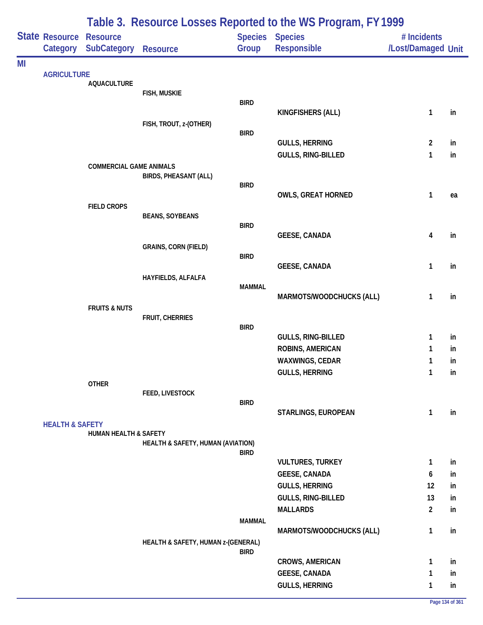|    |                                   |                                       | Table 3. Resource Losses Reported to the WS Program, FY 1999 |               |                                |                                   |    |  |  |  |
|----|-----------------------------------|---------------------------------------|--------------------------------------------------------------|---------------|--------------------------------|-----------------------------------|----|--|--|--|
|    | <b>State Resource</b><br>Category | <b>Resource</b><br><b>SubCategory</b> | <b>Resource</b>                                              | Group         | Species Species<br>Responsible | # Incidents<br>/Lost/Damaged Unit |    |  |  |  |
| MI |                                   |                                       |                                                              |               |                                |                                   |    |  |  |  |
|    | <b>AGRICULTURE</b>                | <b>AQUACULTURE</b>                    |                                                              |               |                                |                                   |    |  |  |  |
|    |                                   |                                       | FISH, MUSKIE                                                 |               |                                |                                   |    |  |  |  |
|    |                                   |                                       |                                                              | <b>BIRD</b>   |                                |                                   |    |  |  |  |
|    |                                   |                                       | FISH, TROUT, z-(OTHER)                                       |               | KINGFISHERS (ALL)              | 1                                 | in |  |  |  |
|    |                                   |                                       |                                                              | <b>BIRD</b>   |                                |                                   |    |  |  |  |
|    |                                   |                                       |                                                              |               | <b>GULLS, HERRING</b>          | $\overline{2}$                    | in |  |  |  |
|    |                                   |                                       |                                                              |               | GULLS, RING-BILLED             | $\mathbf{1}$                      | in |  |  |  |
|    |                                   | <b>COMMERCIAL GAME ANIMALS</b>        |                                                              |               |                                |                                   |    |  |  |  |
|    |                                   |                                       | <b>BIRDS, PHEASANT (ALL)</b>                                 | <b>BIRD</b>   |                                |                                   |    |  |  |  |
|    |                                   |                                       |                                                              |               | <b>OWLS, GREAT HORNED</b>      | 1                                 | ea |  |  |  |
|    |                                   | <b>FIELD CROPS</b>                    |                                                              |               |                                |                                   |    |  |  |  |
|    |                                   |                                       | <b>BEANS, SOYBEANS</b>                                       |               |                                |                                   |    |  |  |  |
|    |                                   |                                       |                                                              | <b>BIRD</b>   | <b>GEESE, CANADA</b>           | 4                                 | in |  |  |  |
|    |                                   |                                       | <b>GRAINS, CORN (FIELD)</b>                                  |               |                                |                                   |    |  |  |  |
|    |                                   |                                       |                                                              | <b>BIRD</b>   |                                |                                   |    |  |  |  |
|    |                                   |                                       |                                                              |               | <b>GEESE, CANADA</b>           | 1                                 | in |  |  |  |
|    |                                   |                                       | HAYFIELDS, ALFALFA                                           |               |                                |                                   |    |  |  |  |
|    |                                   |                                       |                                                              | <b>MAMMAL</b> | MARMOTS/WOODCHUCKS (ALL)       |                                   |    |  |  |  |
|    |                                   | <b>FRUITS &amp; NUTS</b>              |                                                              |               |                                | 1                                 | in |  |  |  |
|    |                                   |                                       | FRUIT, CHERRIES                                              |               |                                |                                   |    |  |  |  |
|    |                                   |                                       |                                                              | <b>BIRD</b>   |                                |                                   |    |  |  |  |
|    |                                   |                                       |                                                              |               | <b>GULLS, RING-BILLED</b>      | 1                                 | in |  |  |  |
|    |                                   |                                       |                                                              |               | ROBINS, AMERICAN               | 1                                 | in |  |  |  |
|    |                                   |                                       |                                                              |               | WAXWINGS, CEDAR                | 1                                 | in |  |  |  |
|    |                                   |                                       |                                                              |               | <b>GULLS, HERRING</b>          | 1                                 | in |  |  |  |
|    |                                   | <b>OTHER</b>                          | FEED, LIVESTOCK                                              |               |                                |                                   |    |  |  |  |
|    |                                   |                                       |                                                              | <b>BIRD</b>   |                                |                                   |    |  |  |  |
|    |                                   |                                       |                                                              |               | STARLINGS, EUROPEAN            | $\mathbf{1}$                      | in |  |  |  |
|    | <b>HEALTH &amp; SAFETY</b>        |                                       |                                                              |               |                                |                                   |    |  |  |  |
|    |                                   | HUMAN HEALTH & SAFETY                 | HEALTH & SAFETY, HUMAN (AVIATION)                            |               |                                |                                   |    |  |  |  |
|    |                                   |                                       |                                                              | <b>BIRD</b>   |                                |                                   |    |  |  |  |
|    |                                   |                                       |                                                              |               | <b>VULTURES, TURKEY</b>        | $\mathbf{1}$                      | in |  |  |  |
|    |                                   |                                       |                                                              |               | <b>GEESE, CANADA</b>           | 6                                 | in |  |  |  |
|    |                                   |                                       |                                                              |               | <b>GULLS, HERRING</b>          | 12                                | in |  |  |  |
|    |                                   |                                       |                                                              |               | GULLS, RING-BILLED             | 13                                | in |  |  |  |
|    |                                   |                                       |                                                              |               | <b>MALLARDS</b>                | $\overline{2}$                    | in |  |  |  |
|    |                                   |                                       |                                                              | <b>MAMMAL</b> |                                |                                   |    |  |  |  |
|    |                                   |                                       | HEALTH & SAFETY, HUMAN z-(GENERAL)                           | <b>BIRD</b>   | MARMOTS/WOODCHUCKS (ALL)       | $\mathbf{1}$                      | in |  |  |  |
|    |                                   |                                       |                                                              |               | <b>CROWS, AMERICAN</b>         | $\mathbf{1}$                      | in |  |  |  |
|    |                                   |                                       |                                                              |               | <b>GEESE, CANADA</b>           | 1                                 | in |  |  |  |
|    |                                   |                                       |                                                              |               | <b>GULLS, HERRING</b>          | 1                                 | in |  |  |  |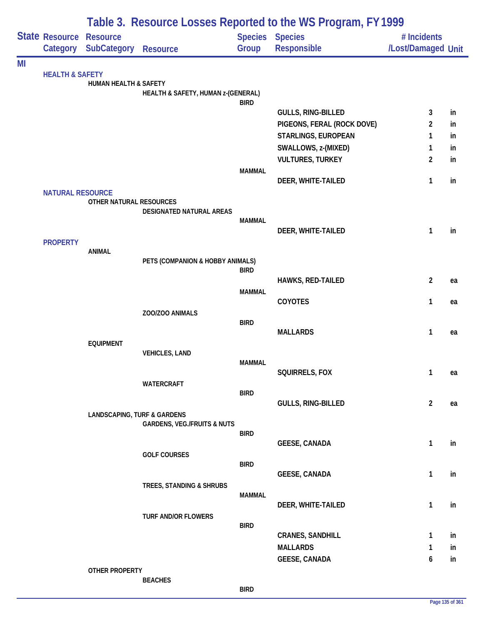|    |                            | Table 3. Resource Losses Reported to the WS Program, FY 1999 |                                        |               |                                       |                                   |    |  |  |
|----|----------------------------|--------------------------------------------------------------|----------------------------------------|---------------|---------------------------------------|-----------------------------------|----|--|--|
|    | State Resource             | <b>Resource</b><br>Category SubCategory                      | <b>Resource</b>                        | Group         | <b>Species Species</b><br>Responsible | # Incidents<br>/Lost/Damaged Unit |    |  |  |
|    |                            |                                                              |                                        |               |                                       |                                   |    |  |  |
| MI | <b>HEALTH &amp; SAFETY</b> |                                                              |                                        |               |                                       |                                   |    |  |  |
|    |                            | HUMAN HEALTH & SAFETY                                        |                                        |               |                                       |                                   |    |  |  |
|    |                            |                                                              | HEALTH & SAFETY, HUMAN z-(GENERAL)     |               |                                       |                                   |    |  |  |
|    |                            |                                                              |                                        | <b>BIRD</b>   | <b>GULLS, RING-BILLED</b>             | 3                                 | in |  |  |
|    |                            |                                                              |                                        |               | PIGEONS, FERAL (ROCK DOVE)            | $\overline{2}$                    | in |  |  |
|    |                            |                                                              |                                        |               | <b>STARLINGS, EUROPEAN</b>            | 1                                 | in |  |  |
|    |                            |                                                              |                                        |               | SWALLOWS, z-(MIXED)                   | 1                                 | in |  |  |
|    |                            |                                                              |                                        |               | <b>VULTURES, TURKEY</b>               | $\overline{c}$                    | in |  |  |
|    |                            |                                                              |                                        | <b>MAMMAL</b> |                                       |                                   |    |  |  |
|    |                            |                                                              |                                        |               | DEER, WHITE-TAILED                    | 1                                 | in |  |  |
|    | <b>NATURAL RESOURCE</b>    | OTHER NATURAL RESOURCES                                      |                                        |               |                                       |                                   |    |  |  |
|    |                            |                                                              | DESIGNATED NATURAL AREAS               |               |                                       |                                   |    |  |  |
|    |                            |                                                              |                                        | <b>MAMMAL</b> |                                       |                                   |    |  |  |
|    |                            |                                                              |                                        |               | DEER, WHITE-TAILED                    | 1                                 | in |  |  |
|    | <b>PROPERTY</b>            | <b>ANIMAL</b>                                                |                                        |               |                                       |                                   |    |  |  |
|    |                            |                                                              | PETS (COMPANION & HOBBY ANIMALS)       |               |                                       |                                   |    |  |  |
|    |                            |                                                              |                                        | <b>BIRD</b>   |                                       |                                   |    |  |  |
|    |                            |                                                              |                                        |               | HAWKS, RED-TAILED                     | $\overline{c}$                    | ea |  |  |
|    |                            |                                                              |                                        | <b>MAMMAL</b> | COYOTES                               | 1                                 | ea |  |  |
|    |                            |                                                              | ZOO/ZOO ANIMALS                        |               |                                       |                                   |    |  |  |
|    |                            |                                                              |                                        | <b>BIRD</b>   |                                       |                                   |    |  |  |
|    |                            |                                                              |                                        |               | <b>MALLARDS</b>                       | 1                                 | ea |  |  |
|    |                            | <b>EQUIPMENT</b>                                             | <b>VEHICLES, LAND</b>                  |               |                                       |                                   |    |  |  |
|    |                            |                                                              |                                        | <b>MAMMAL</b> |                                       |                                   |    |  |  |
|    |                            |                                                              |                                        |               | SQUIRRELS, FOX                        | 1                                 | ea |  |  |
|    |                            |                                                              | WATERCRAFT                             |               |                                       |                                   |    |  |  |
|    |                            |                                                              |                                        | <b>BIRD</b>   | <b>GULLS, RING-BILLED</b>             | $\overline{2}$                    |    |  |  |
|    |                            | <b>LANDSCAPING, TURF &amp; GARDENS</b>                       |                                        |               |                                       |                                   | ea |  |  |
|    |                            |                                                              | <b>GARDENS, VEG./FRUITS &amp; NUTS</b> |               |                                       |                                   |    |  |  |
|    |                            |                                                              |                                        | <b>BIRD</b>   |                                       |                                   |    |  |  |
|    |                            |                                                              |                                        |               | <b>GEESE, CANADA</b>                  | 1                                 | in |  |  |
|    |                            |                                                              | <b>GOLF COURSES</b>                    | <b>BIRD</b>   |                                       |                                   |    |  |  |
|    |                            |                                                              |                                        |               | <b>GEESE, CANADA</b>                  | 1                                 | in |  |  |
|    |                            |                                                              | TREES, STANDING & SHRUBS               |               |                                       |                                   |    |  |  |
|    |                            |                                                              |                                        | MAMMAL        |                                       |                                   |    |  |  |
|    |                            |                                                              | <b>TURF AND/OR FLOWERS</b>             |               | DEER, WHITE-TAILED                    | 1                                 | in |  |  |
|    |                            |                                                              |                                        | <b>BIRD</b>   |                                       |                                   |    |  |  |
|    |                            |                                                              |                                        |               | <b>CRANES, SANDHILL</b>               | 1                                 | in |  |  |
|    |                            |                                                              |                                        |               | <b>MALLARDS</b>                       | 1                                 | in |  |  |
|    |                            |                                                              |                                        |               | <b>GEESE, CANADA</b>                  | 6                                 | in |  |  |
|    |                            | <b>OTHER PROPERTY</b>                                        |                                        |               |                                       |                                   |    |  |  |
|    |                            |                                                              | <b>BEACHES</b>                         | <b>BIRD</b>   |                                       |                                   |    |  |  |
|    |                            |                                                              |                                        |               |                                       |                                   |    |  |  |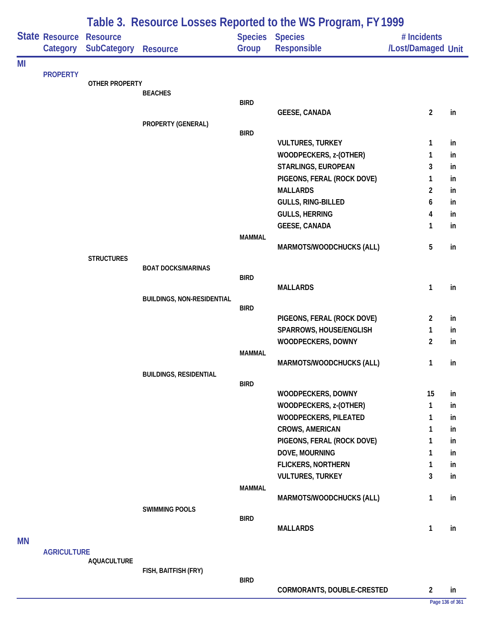|           |                    | Table 3. Resource Losses Reported to the WS Program, FY 1999 |                                   |                |                                             |                    |          |  |  |  |
|-----------|--------------------|--------------------------------------------------------------|-----------------------------------|----------------|---------------------------------------------|--------------------|----------|--|--|--|
|           | State Resource     | <b>Resource</b>                                              |                                   | <b>Species</b> | <b>Species</b>                              | # Incidents        |          |  |  |  |
|           | Category           | SubCategory                                                  | <b>Resource</b>                   | Group          | Responsible                                 | /Lost/Damaged Unit |          |  |  |  |
| MI        |                    |                                                              |                                   |                |                                             |                    |          |  |  |  |
|           | <b>PROPERTY</b>    | <b>OTHER PROPERTY</b>                                        |                                   |                |                                             |                    |          |  |  |  |
|           |                    |                                                              | <b>BEACHES</b>                    |                |                                             |                    |          |  |  |  |
|           |                    |                                                              |                                   | <b>BIRD</b>    |                                             |                    |          |  |  |  |
|           |                    |                                                              |                                   |                | <b>GEESE, CANADA</b>                        | $\overline{c}$     | in       |  |  |  |
|           |                    |                                                              | PROPERTY (GENERAL)                | <b>BIRD</b>    |                                             |                    |          |  |  |  |
|           |                    |                                                              |                                   |                | <b>VULTURES, TURKEY</b>                     | 1                  | in       |  |  |  |
|           |                    |                                                              |                                   |                | WOODPECKERS, z-(OTHER)                      | 1                  | in       |  |  |  |
|           |                    |                                                              |                                   |                | STARLINGS, EUROPEAN                         | 3                  | in       |  |  |  |
|           |                    |                                                              |                                   |                | PIGEONS, FERAL (ROCK DOVE)                  | 1                  | in       |  |  |  |
|           |                    |                                                              |                                   |                | <b>MALLARDS</b>                             | 2                  | in       |  |  |  |
|           |                    |                                                              |                                   |                | GULLS, RING-BILLED                          | 6                  | in       |  |  |  |
|           |                    |                                                              |                                   |                | <b>GULLS, HERRING</b>                       | 4                  | in       |  |  |  |
|           |                    |                                                              |                                   |                | <b>GEESE, CANADA</b>                        | 1                  | in       |  |  |  |
|           |                    |                                                              |                                   | <b>MAMMAL</b>  | MARMOTS/WOODCHUCKS (ALL)                    | 5                  | in       |  |  |  |
|           |                    | <b>STRUCTURES</b>                                            |                                   |                |                                             |                    |          |  |  |  |
|           |                    |                                                              | <b>BOAT DOCKS/MARINAS</b>         |                |                                             |                    |          |  |  |  |
|           |                    |                                                              |                                   | <b>BIRD</b>    | <b>MALLARDS</b>                             | 1                  | in       |  |  |  |
|           |                    |                                                              | <b>BUILDINGS, NON-RESIDENTIAL</b> |                |                                             |                    |          |  |  |  |
|           |                    |                                                              |                                   | <b>BIRD</b>    |                                             |                    |          |  |  |  |
|           |                    |                                                              |                                   |                | PIGEONS, FERAL (ROCK DOVE)                  | 2                  | in       |  |  |  |
|           |                    |                                                              |                                   |                | SPARROWS, HOUSE/ENGLISH                     | 1                  | in       |  |  |  |
|           |                    |                                                              |                                   |                | WOODPECKERS, DOWNY                          | 2                  | in       |  |  |  |
|           |                    |                                                              |                                   | <b>MAMMAL</b>  | MARMOTS/WOODCHUCKS (ALL)                    | 1                  | in       |  |  |  |
|           |                    |                                                              | <b>BUILDINGS, RESIDENTIAL</b>     |                |                                             |                    |          |  |  |  |
|           |                    |                                                              |                                   | <b>BIRD</b>    |                                             |                    |          |  |  |  |
|           |                    |                                                              |                                   |                | WOODPECKERS, DOWNY                          | 15                 | in       |  |  |  |
|           |                    |                                                              |                                   |                | WOODPECKERS, z-(OTHER)                      | 1                  | in       |  |  |  |
|           |                    |                                                              |                                   |                | <b>WOODPECKERS, PILEATED</b>                | 1                  | in       |  |  |  |
|           |                    |                                                              |                                   |                | <b>CROWS, AMERICAN</b>                      | 1                  | in       |  |  |  |
|           |                    |                                                              |                                   |                | PIGEONS, FERAL (ROCK DOVE)                  | 1                  | in       |  |  |  |
|           |                    |                                                              |                                   |                | DOVE, MOURNING<br><b>FLICKERS, NORTHERN</b> | 1<br>1             | in<br>in |  |  |  |
|           |                    |                                                              |                                   |                | <b>VULTURES, TURKEY</b>                     | 3                  | in       |  |  |  |
|           |                    |                                                              |                                   | <b>MAMMAL</b>  |                                             |                    |          |  |  |  |
|           |                    |                                                              |                                   |                | MARMOTS/WOODCHUCKS (ALL)                    | 1                  | in       |  |  |  |
|           |                    |                                                              | <b>SWIMMING POOLS</b>             |                |                                             |                    |          |  |  |  |
|           |                    |                                                              |                                   | <b>BIRD</b>    |                                             |                    |          |  |  |  |
|           |                    |                                                              |                                   |                | <b>MALLARDS</b>                             | 1                  | in       |  |  |  |
| <b>MN</b> | <b>AGRICULTURE</b> |                                                              |                                   |                |                                             |                    |          |  |  |  |
|           |                    | <b>AQUACULTURE</b>                                           |                                   |                |                                             |                    |          |  |  |  |
|           |                    |                                                              | FISH, BAITFISH (FRY)              |                |                                             |                    |          |  |  |  |

**BIRD**

**CORMORANTS, DOUBLE-CRESTED 2 in**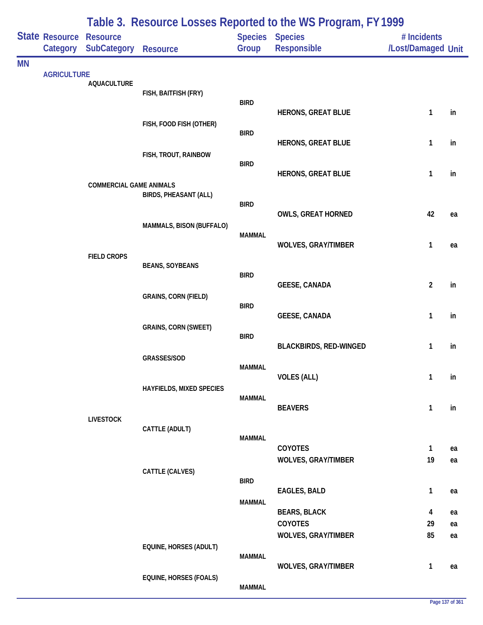|           |                            |                                       | Table 3. Resource Losses Reported to the WS Program, FY 1999 |                         |                               |                                   |    |  |
|-----------|----------------------------|---------------------------------------|--------------------------------------------------------------|-------------------------|-------------------------------|-----------------------------------|----|--|
|           | State Resource<br>Category | <b>Resource</b><br><b>SubCategory</b> | <b>Resource</b>                                              | <b>Species</b><br>Group | <b>Species</b><br>Responsible | # Incidents<br>/Lost/Damaged Unit |    |  |
| <b>MN</b> |                            |                                       |                                                              |                         |                               |                                   |    |  |
|           | <b>AGRICULTURE</b>         | <b>AQUACULTURE</b>                    |                                                              |                         |                               |                                   |    |  |
|           |                            |                                       | FISH, BAITFISH (FRY)                                         | <b>BIRD</b>             |                               |                                   |    |  |
|           |                            |                                       |                                                              |                         | <b>HERONS, GREAT BLUE</b>     | 1                                 | in |  |
|           |                            |                                       | FISH, FOOD FISH (OTHER)                                      | <b>BIRD</b>             |                               |                                   |    |  |
|           |                            |                                       |                                                              |                         | <b>HERONS, GREAT BLUE</b>     | 1                                 | in |  |
|           |                            |                                       | FISH, TROUT, RAINBOW                                         | <b>BIRD</b>             |                               |                                   |    |  |
|           |                            |                                       |                                                              |                         | <b>HERONS, GREAT BLUE</b>     | $\mathbf{1}$                      | in |  |
|           |                            | <b>COMMERCIAL GAME ANIMALS</b>        | <b>BIRDS, PHEASANT (ALL)</b>                                 |                         |                               |                                   |    |  |
|           |                            |                                       |                                                              | <b>BIRD</b>             | <b>OWLS, GREAT HORNED</b>     | 42                                | ea |  |
|           |                            |                                       | MAMMALS, BISON (BUFFALO)                                     |                         |                               |                                   |    |  |
|           |                            |                                       |                                                              | <b>MAMMAL</b>           | <b>WOLVES, GRAY/TIMBER</b>    | 1                                 | ea |  |
|           |                            | <b>FIELD CROPS</b>                    |                                                              |                         |                               |                                   |    |  |
|           |                            |                                       | <b>BEANS, SOYBEANS</b>                                       | <b>BIRD</b>             |                               |                                   |    |  |
|           |                            |                                       |                                                              | <b>GEESE, CANADA</b>    | $\overline{2}$                | in                                |    |  |
|           |                            |                                       | <b>GRAINS, CORN (FIELD)</b>                                  | <b>BIRD</b>             |                               |                                   |    |  |
|           |                            |                                       |                                                              |                         | <b>GEESE, CANADA</b>          | $\mathbf{1}$                      | in |  |
|           |                            |                                       | <b>GRAINS, CORN (SWEET)</b>                                  | <b>BIRD</b>             |                               |                                   |    |  |
|           |                            |                                       |                                                              |                         | <b>BLACKBIRDS, RED-WINGED</b> | $\mathbf{1}$                      | in |  |
|           |                            |                                       | GRASSES/SOD                                                  | MAMMAL                  |                               |                                   |    |  |
|           |                            |                                       | HAYFIELDS, MIXED SPECIES                                     |                         | <b>VOLES (ALL)</b>            | 1                                 | in |  |
|           |                            |                                       |                                                              | <b>MAMMAL</b>           |                               |                                   |    |  |
|           |                            | <b>LIVESTOCK</b>                      |                                                              |                         | <b>BEAVERS</b>                | $\mathbf{1}$                      | in |  |
|           |                            |                                       | CATTLE (ADULT)                                               |                         |                               |                                   |    |  |
|           |                            |                                       |                                                              | <b>MAMMAL</b>           | COYOTES                       | $\mathbf{1}$                      | ea |  |
|           |                            |                                       |                                                              |                         | <b>WOLVES, GRAY/TIMBER</b>    | 19                                | ea |  |
|           |                            |                                       | CATTLE (CALVES)                                              | <b>BIRD</b>             |                               |                                   |    |  |
|           |                            |                                       |                                                              |                         | <b>EAGLES, BALD</b>           | $\mathbf{1}$                      | ea |  |
|           |                            |                                       |                                                              | <b>MAMMAL</b>           | <b>BEARS, BLACK</b>           | 4                                 | ea |  |
|           |                            |                                       |                                                              |                         | COYOTES                       | 29                                | ea |  |
|           |                            |                                       |                                                              |                         | <b>WOLVES, GRAY/TIMBER</b>    | 85                                | ea |  |
|           |                            |                                       | EQUINE, HORSES (ADULT)                                       | <b>MAMMAL</b>           |                               |                                   |    |  |
|           |                            |                                       | <b>EQUINE, HORSES (FOALS)</b>                                |                         | <b>WOLVES, GRAY/TIMBER</b>    | $\mathbf{1}$                      | ea |  |
|           |                            |                                       |                                                              | <b>MAMMAL</b>           |                               |                                   |    |  |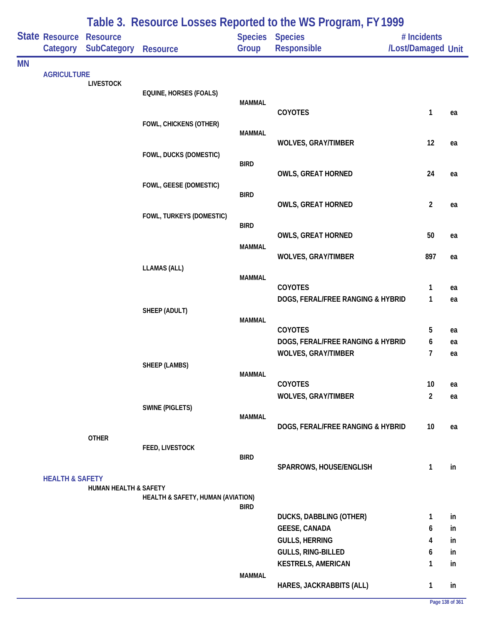|           |                            |                                       |                                   |                         | Table 3. Resource Losses Reported to the WS Program, FY 1999 |                                   |          |
|-----------|----------------------------|---------------------------------------|-----------------------------------|-------------------------|--------------------------------------------------------------|-----------------------------------|----------|
|           | State Resource<br>Category | <b>Resource</b><br><b>SubCategory</b> | <b>Resource</b>                   | <b>Species</b><br>Group | <b>Species</b><br>Responsible                                | # Incidents<br>/Lost/Damaged Unit |          |
| <b>MN</b> |                            |                                       |                                   |                         |                                                              |                                   |          |
|           | <b>AGRICULTURE</b>         | <b>LIVESTOCK</b>                      |                                   |                         |                                                              |                                   |          |
|           |                            |                                       | EQUINE, HORSES (FOALS)            |                         |                                                              |                                   |          |
|           |                            |                                       |                                   | <b>MAMMAL</b>           | COYOTES                                                      | 1                                 | ea       |
|           |                            |                                       | FOWL, CHICKENS (OTHER)            |                         |                                                              |                                   |          |
|           |                            |                                       |                                   | <b>MAMMAL</b>           |                                                              |                                   |          |
|           |                            |                                       | FOWL, DUCKS (DOMESTIC)            |                         | <b>WOLVES, GRAY/TIMBER</b>                                   | 12                                | ea       |
|           |                            |                                       |                                   | <b>BIRD</b>             |                                                              |                                   |          |
|           |                            |                                       |                                   |                         | <b>OWLS, GREAT HORNED</b>                                    | 24                                | ea       |
|           |                            |                                       | FOWL, GEESE (DOMESTIC)            | <b>BIRD</b>             |                                                              |                                   |          |
|           |                            |                                       |                                   |                         | <b>OWLS, GREAT HORNED</b>                                    | $\overline{2}$                    | ea       |
|           |                            |                                       | FOWL, TURKEYS (DOMESTIC)          |                         |                                                              |                                   |          |
|           |                            |                                       |                                   | <b>BIRD</b>             | OWLS, GREAT HORNED                                           | 50                                | ea       |
|           |                            |                                       |                                   | <b>MAMMAL</b>           |                                                              |                                   |          |
|           |                            |                                       |                                   |                         | <b>WOLVES, GRAY/TIMBER</b>                                   | 897                               | ea       |
|           |                            |                                       | <b>LLAMAS (ALL)</b>               | <b>MAMMAL</b>           |                                                              |                                   |          |
|           |                            |                                       |                                   |                         | COYOTES                                                      | 1                                 | ea       |
|           |                            |                                       |                                   |                         | DOGS, FERAL/FREE RANGING & HYBRID                            | $\mathbf{1}$                      | ea       |
|           |                            |                                       | SHEEP (ADULT)                     |                         |                                                              |                                   |          |
|           |                            |                                       |                                   | <b>MAMMAL</b>           | <b>COYOTES</b>                                               | 5                                 | ea       |
|           |                            |                                       |                                   |                         | DOGS, FERAL/FREE RANGING & HYBRID                            | 6                                 | ea       |
|           |                            |                                       |                                   |                         | <b>WOLVES, GRAY/TIMBER</b>                                   | 7                                 | ea       |
|           |                            |                                       | <b>SHEEP (LAMBS)</b>              |                         |                                                              |                                   |          |
|           |                            |                                       |                                   | <b>MAMMAL</b>           | <b>COYOTES</b>                                               | 10                                | ea       |
|           |                            |                                       |                                   |                         | <b>WOLVES, GRAY/TIMBER</b>                                   | $\overline{2}$                    | ea       |
|           |                            |                                       | <b>SWINE (PIGLETS)</b>            |                         |                                                              |                                   |          |
|           |                            |                                       |                                   | <b>MAMMAL</b>           | DOGS, FERAL/FREE RANGING & HYBRID                            | 10                                | ea       |
|           |                            | <b>OTHER</b>                          |                                   |                         |                                                              |                                   |          |
|           |                            |                                       | FEED, LIVESTOCK                   |                         |                                                              |                                   |          |
|           |                            |                                       |                                   | <b>BIRD</b>             | SPARROWS, HOUSE/ENGLISH                                      | 1                                 | in       |
|           | <b>HEALTH &amp; SAFETY</b> |                                       |                                   |                         |                                                              |                                   |          |
|           |                            | <b>HUMAN HEALTH &amp; SAFETY</b>      |                                   |                         |                                                              |                                   |          |
|           |                            |                                       | HEALTH & SAFETY, HUMAN (AVIATION) | <b>BIRD</b>             |                                                              |                                   |          |
|           |                            |                                       |                                   |                         | DUCKS, DABBLING (OTHER)                                      | 1                                 | in       |
|           |                            |                                       |                                   |                         | <b>GEESE, CANADA</b>                                         | 6                                 | in       |
|           |                            |                                       |                                   |                         | <b>GULLS, HERRING</b>                                        | 4                                 | in       |
|           |                            |                                       |                                   |                         | GULLS, RING-BILLED<br><b>KESTRELS, AMERICAN</b>              | 6<br>1                            | in<br>in |
|           |                            |                                       |                                   | <b>MAMMAL</b>           |                                                              |                                   |          |
|           |                            |                                       |                                   |                         | HARES, JACKRABBITS (ALL)                                     | 1                                 | in       |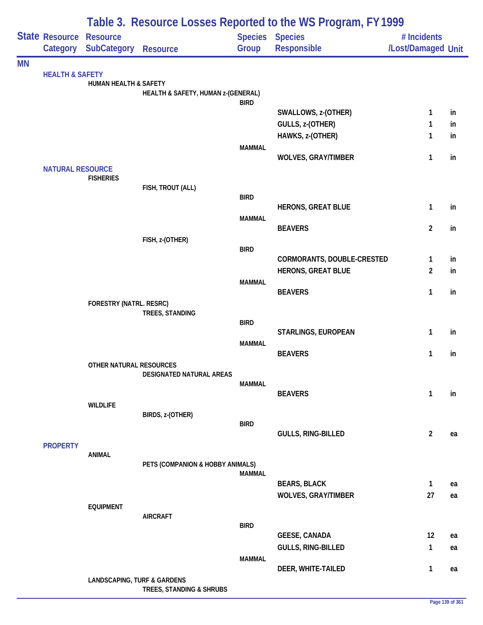|           |                                            | Table 3. Resource Losses Reported to the WS Program, FY 1999 |                                    |               |                                       |                                   |    |  |  |
|-----------|--------------------------------------------|--------------------------------------------------------------|------------------------------------|---------------|---------------------------------------|-----------------------------------|----|--|--|
|           | <b>State Resource Resource</b><br>Category | <b>SubCategory</b>                                           | Resource                           | Group         | Species Species<br><b>Responsible</b> | # Incidents<br>/Lost/Damaged Unit |    |  |  |
| <b>MN</b> |                                            |                                                              |                                    |               |                                       |                                   |    |  |  |
|           | <b>HEALTH &amp; SAFETY</b>                 | HUMAN HEALTH & SAFETY                                        |                                    |               |                                       |                                   |    |  |  |
|           |                                            |                                                              | HEALTH & SAFETY, HUMAN z-(GENERAL) |               |                                       |                                   |    |  |  |
|           |                                            |                                                              |                                    | <b>BIRD</b>   | SWALLOWS, z-(OTHER)                   | $\mathbf{1}$                      | in |  |  |
|           |                                            |                                                              |                                    |               | GULLS, z-(OTHER)                      | $\mathbf{1}$                      | in |  |  |
|           |                                            |                                                              |                                    |               | HAWKS, z-(OTHER)                      | $\mathbf{1}$                      | in |  |  |
|           |                                            |                                                              |                                    | <b>MAMMAL</b> |                                       |                                   |    |  |  |
|           |                                            |                                                              |                                    |               | <b>WOLVES, GRAY/TIMBER</b>            | 1                                 | in |  |  |
|           | <b>NATURAL RESOURCE</b>                    |                                                              |                                    |               |                                       |                                   |    |  |  |
|           |                                            | <b>FISHERIES</b>                                             | FISH, TROUT (ALL)                  |               |                                       |                                   |    |  |  |
|           |                                            |                                                              |                                    | <b>BIRD</b>   |                                       |                                   |    |  |  |
|           |                                            |                                                              |                                    |               | <b>HERONS, GREAT BLUE</b>             | $\mathbf{1}$                      | in |  |  |
|           |                                            |                                                              |                                    | <b>MAMMAL</b> | <b>BEAVERS</b>                        | $\overline{2}$                    | in |  |  |
|           |                                            |                                                              | FISH, z-(OTHER)                    |               |                                       |                                   |    |  |  |
|           |                                            |                                                              |                                    | <b>BIRD</b>   |                                       |                                   |    |  |  |
|           |                                            |                                                              |                                    |               | CORMORANTS, DOUBLE-CRESTED            | $\mathbf{1}$                      | in |  |  |
|           |                                            |                                                              |                                    | <b>MAMMAL</b> | <b>HERONS, GREAT BLUE</b>             | $\overline{c}$                    | in |  |  |
|           |                                            |                                                              |                                    |               | <b>BEAVERS</b>                        | $\mathbf{1}$                      | in |  |  |
|           |                                            | FORESTRY (NATRL. RESRC)                                      |                                    |               |                                       |                                   |    |  |  |
|           |                                            |                                                              | TREES, STANDING                    | <b>BIRD</b>   |                                       |                                   |    |  |  |
|           |                                            |                                                              |                                    |               | STARLINGS, EUROPEAN                   | $\mathbf{1}$                      | in |  |  |
|           |                                            |                                                              |                                    | <b>MAMMAL</b> |                                       |                                   |    |  |  |
|           |                                            |                                                              |                                    |               | <b>BEAVERS</b>                        | 1                                 | in |  |  |
|           |                                            | OTHER NATURAL RESOURCES                                      | DESIGNATED NATURAL AREAS           |               |                                       |                                   |    |  |  |
|           |                                            |                                                              |                                    | <b>MAMMAL</b> |                                       |                                   |    |  |  |
|           |                                            |                                                              |                                    |               | <b>BEAVERS</b>                        | $\mathbf{1}$                      | in |  |  |
|           |                                            | <b>WILDLIFE</b>                                              |                                    |               |                                       |                                   |    |  |  |
|           |                                            |                                                              | BIRDS, z-(OTHER)                   | <b>BIRD</b>   |                                       |                                   |    |  |  |
|           |                                            |                                                              |                                    |               | <b>GULLS, RING-BILLED</b>             | $\overline{2}$                    | ea |  |  |
|           | <b>PROPERTY</b>                            |                                                              |                                    |               |                                       |                                   |    |  |  |
|           |                                            | <b>ANIMAL</b>                                                | PETS (COMPANION & HOBBY ANIMALS)   |               |                                       |                                   |    |  |  |
|           |                                            |                                                              |                                    | <b>MAMMAL</b> |                                       |                                   |    |  |  |
|           |                                            |                                                              |                                    |               | <b>BEARS, BLACK</b>                   | $\mathbf{1}$                      | ea |  |  |
|           |                                            |                                                              |                                    |               | <b>WOLVES, GRAY/TIMBER</b>            | 27                                | ea |  |  |
|           |                                            | <b>EQUIPMENT</b>                                             | <b>AIRCRAFT</b>                    |               |                                       |                                   |    |  |  |
|           |                                            |                                                              |                                    | <b>BIRD</b>   |                                       |                                   |    |  |  |
|           |                                            |                                                              |                                    |               | <b>GEESE, CANADA</b>                  | 12                                | ea |  |  |
|           |                                            |                                                              |                                    |               | GULLS, RING-BILLED                    | $\mathbf{1}$                      | ea |  |  |
|           |                                            |                                                              |                                    | <b>MAMMAL</b> | DEER, WHITE-TAILED                    | 1                                 | ea |  |  |
|           |                                            | <b>LANDSCAPING, TURF &amp; GARDENS</b>                       | TREES, STANDING & SHRUBS           |               |                                       |                                   |    |  |  |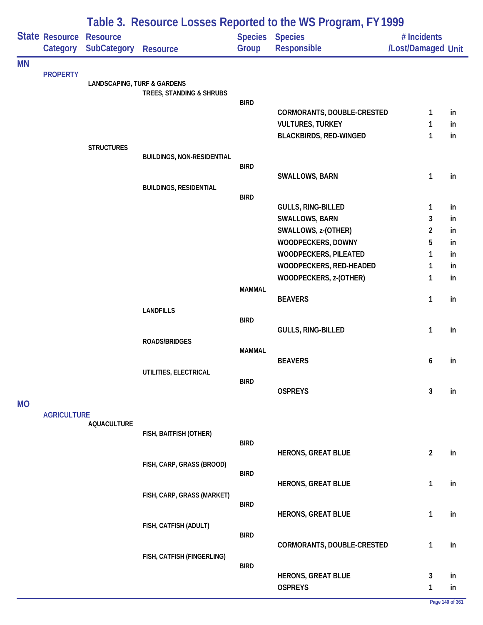| Table 3. Resource Losses Reported to the WS Program, FY 1999 |                            |                                        |                                   |               |                                                  |                                   |          |
|--------------------------------------------------------------|----------------------------|----------------------------------------|-----------------------------------|---------------|--------------------------------------------------|-----------------------------------|----------|
|                                                              | State Resource<br>Category | <b>Resource</b><br><b>SubCategory</b>  | <b>Resource</b>                   | Group         | Species Species<br>Responsible                   | # Incidents<br>/Lost/Damaged Unit |          |
| <b>MN</b>                                                    |                            |                                        |                                   |               |                                                  |                                   |          |
|                                                              | <b>PROPERTY</b>            | <b>LANDSCAPING, TURF &amp; GARDENS</b> |                                   |               |                                                  |                                   |          |
|                                                              |                            |                                        | TREES, STANDING & SHRUBS          |               |                                                  |                                   |          |
|                                                              |                            |                                        |                                   | <b>BIRD</b>   | CORMORANTS, DOUBLE-CRESTED                       | 1                                 | in       |
|                                                              |                            |                                        |                                   |               | <b>VULTURES, TURKEY</b>                          | 1                                 | in       |
|                                                              |                            |                                        |                                   |               | <b>BLACKBIRDS, RED-WINGED</b>                    | 1                                 | in       |
|                                                              |                            | <b>STRUCTURES</b>                      |                                   |               |                                                  |                                   |          |
|                                                              |                            |                                        | <b>BUILDINGS, NON-RESIDENTIAL</b> |               |                                                  |                                   |          |
|                                                              |                            |                                        |                                   | <b>BIRD</b>   | SWALLOWS, BARN                                   | $\mathbf{1}$                      | in       |
|                                                              |                            |                                        | <b>BUILDINGS, RESIDENTIAL</b>     |               |                                                  |                                   |          |
|                                                              |                            |                                        |                                   | <b>BIRD</b>   |                                                  |                                   |          |
|                                                              |                            |                                        |                                   |               | <b>GULLS, RING-BILLED</b>                        | 1                                 | in       |
|                                                              |                            |                                        |                                   |               | <b>SWALLOWS, BARN</b>                            | 3                                 | in       |
|                                                              |                            |                                        |                                   |               | SWALLOWS, z-(OTHER)                              | $\overline{c}$                    | in       |
|                                                              |                            |                                        |                                   |               | WOODPECKERS, DOWNY                               | 5                                 | in       |
|                                                              |                            |                                        |                                   |               | WOODPECKERS, PILEATED<br>WOODPECKERS, RED-HEADED | 1<br>1                            | in<br>in |
|                                                              |                            |                                        |                                   |               | WOODPECKERS, z-(OTHER)                           | 1                                 | in       |
|                                                              |                            |                                        |                                   | <b>MAMMAL</b> |                                                  |                                   |          |
|                                                              |                            |                                        |                                   |               | <b>BEAVERS</b>                                   | 1                                 | in       |
|                                                              |                            |                                        | <b>LANDFILLS</b>                  |               |                                                  |                                   |          |
|                                                              |                            |                                        |                                   | <b>BIRD</b>   | GULLS, RING-BILLED                               | 1                                 | in       |
|                                                              |                            |                                        | <b>ROADS/BRIDGES</b>              |               |                                                  |                                   |          |
|                                                              |                            |                                        |                                   | <b>MAMMAL</b> |                                                  |                                   |          |
|                                                              |                            |                                        |                                   |               | <b>BEAVERS</b>                                   | 6                                 | in       |
|                                                              |                            |                                        | UTILITIES, ELECTRICAL             |               |                                                  |                                   |          |
|                                                              |                            |                                        |                                   | <b>BIRD</b>   | <b>OSPREYS</b>                                   | 3                                 | in       |
| <b>MO</b>                                                    |                            |                                        |                                   |               |                                                  |                                   |          |
|                                                              | <b>AGRICULTURE</b>         |                                        |                                   |               |                                                  |                                   |          |
|                                                              |                            | <b>AQUACULTURE</b>                     |                                   |               |                                                  |                                   |          |
|                                                              |                            |                                        | FISH, BAITFISH (OTHER)            | <b>BIRD</b>   |                                                  |                                   |          |
|                                                              |                            |                                        |                                   |               | <b>HERONS, GREAT BLUE</b>                        | $\overline{2}$                    | in       |
|                                                              |                            |                                        | FISH, CARP, GRASS (BROOD)         |               |                                                  |                                   |          |
|                                                              |                            |                                        |                                   | <b>BIRD</b>   |                                                  |                                   |          |
|                                                              |                            |                                        | FISH, CARP, GRASS (MARKET)        |               | <b>HERONS, GREAT BLUE</b>                        | $\mathbf{1}$                      | in       |
|                                                              |                            |                                        |                                   | <b>BIRD</b>   |                                                  |                                   |          |
|                                                              |                            |                                        |                                   |               | <b>HERONS, GREAT BLUE</b>                        | 1                                 | in       |
|                                                              |                            |                                        | FISH, CATFISH (ADULT)             |               |                                                  |                                   |          |
|                                                              |                            |                                        |                                   | <b>BIRD</b>   | CORMORANTS, DOUBLE-CRESTED                       | 1                                 | in       |
|                                                              |                            |                                        | FISH, CATFISH (FINGERLING)        |               |                                                  |                                   |          |
|                                                              |                            |                                        |                                   | <b>BIRD</b>   |                                                  |                                   |          |
|                                                              |                            |                                        |                                   |               | <b>HERONS, GREAT BLUE</b>                        | 3                                 | in       |
|                                                              |                            |                                        |                                   |               | <b>OSPREYS</b>                                   | $\mathbf{1}$                      | in       |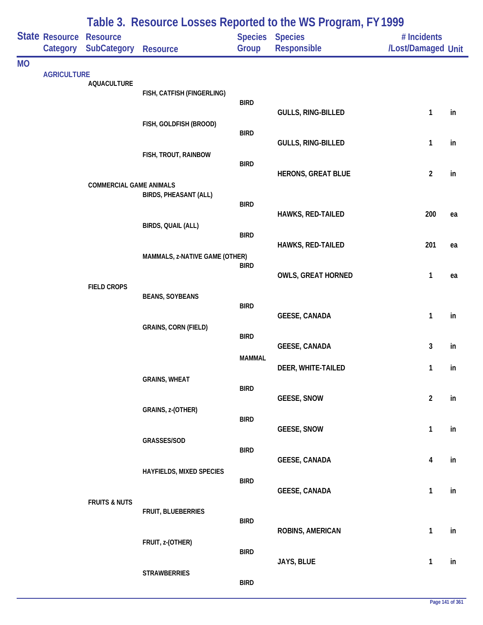|           | Table 3. Resource Losses Reported to the WS Program, FY 1999 |                                |                                 |               |                                       |                                   |    |
|-----------|--------------------------------------------------------------|--------------------------------|---------------------------------|---------------|---------------------------------------|-----------------------------------|----|
|           | <b>State Resource</b><br>Category                            | <b>Resource</b><br>SubCategory | <b>Resource</b>                 | Group         | Species Species<br><b>Responsible</b> | # Incidents<br>/Lost/Damaged Unit |    |
| <b>MO</b> |                                                              |                                |                                 |               |                                       |                                   |    |
|           | <b>AGRICULTURE</b>                                           | <b>AQUACULTURE</b>             |                                 |               |                                       |                                   |    |
|           |                                                              |                                | FISH, CATFISH (FINGERLING)      | <b>BIRD</b>   |                                       |                                   |    |
|           |                                                              |                                |                                 |               | <b>GULLS, RING-BILLED</b>             | $\mathbf{1}$                      | in |
|           |                                                              |                                | FISH, GOLDFISH (BROOD)          | <b>BIRD</b>   |                                       |                                   |    |
|           |                                                              |                                |                                 |               | GULLS, RING-BILLED                    | 1                                 | in |
|           |                                                              |                                | FISH, TROUT, RAINBOW            | <b>BIRD</b>   |                                       |                                   |    |
|           |                                                              | <b>COMMERCIAL GAME ANIMALS</b> |                                 |               | <b>HERONS, GREAT BLUE</b>             | $\overline{2}$                    | in |
|           |                                                              |                                | BIRDS, PHEASANT (ALL)           |               |                                       |                                   |    |
|           |                                                              |                                |                                 | <b>BIRD</b>   | <b>HAWKS, RED-TAILED</b>              | 200                               | ea |
|           |                                                              |                                | BIRDS, QUAIL (ALL)              | <b>BIRD</b>   |                                       |                                   |    |
|           |                                                              |                                |                                 |               | <b>HAWKS, RED-TAILED</b>              | 201                               | ea |
|           |                                                              |                                | MAMMALS, z-NATIVE GAME (OTHER)  | <b>BIRD</b>   |                                       |                                   |    |
|           |                                                              | <b>FIELD CROPS</b>             |                                 |               | <b>OWLS, GREAT HORNED</b>             | $\mathbf{1}$                      | ea |
|           |                                                              |                                | <b>BEANS, SOYBEANS</b>          |               |                                       |                                   |    |
|           |                                                              |                                |                                 | <b>BIRD</b>   | <b>GEESE, CANADA</b>                  | $\mathbf{1}$                      | in |
|           |                                                              |                                | <b>GRAINS, CORN (FIELD)</b>     | <b>BIRD</b>   |                                       |                                   |    |
|           |                                                              |                                |                                 |               | <b>GEESE, CANADA</b>                  | 3                                 | in |
|           |                                                              |                                |                                 | <b>MAMMAL</b> | DEER, WHITE-TAILED                    | 1                                 | in |
|           |                                                              |                                | <b>GRAINS, WHEAT</b>            | <b>BIRD</b>   |                                       |                                   |    |
|           |                                                              |                                |                                 |               | <b>GEESE, SNOW</b>                    | $\overline{2}$                    | in |
|           |                                                              |                                | GRAINS, z-(OTHER)               | <b>BIRD</b>   |                                       |                                   |    |
|           |                                                              |                                | GRASSES/SOD                     |               | <b>GEESE, SNOW</b>                    | $\mathbf{1}$                      | in |
|           |                                                              |                                |                                 | <b>BIRD</b>   |                                       |                                   |    |
|           |                                                              |                                | <b>HAYFIELDS, MIXED SPECIES</b> |               | <b>GEESE, CANADA</b>                  | 4                                 | in |
|           |                                                              |                                |                                 | <b>BIRD</b>   | <b>GEESE, CANADA</b>                  | $\mathbf{1}$                      | in |
|           |                                                              | <b>FRUITS &amp; NUTS</b>       |                                 |               |                                       |                                   |    |
|           |                                                              |                                | FRUIT, BLUEBERRIES              | <b>BIRD</b>   |                                       |                                   |    |
|           |                                                              |                                | FRUIT, z-(OTHER)                |               | ROBINS, AMERICAN                      | $\mathbf{1}$                      | in |
|           |                                                              |                                |                                 | <b>BIRD</b>   |                                       |                                   |    |
|           |                                                              |                                | <b>STRAWBERRIES</b>             |               | JAYS, BLUE                            | $\mathbf{1}$                      | in |
|           |                                                              |                                |                                 | <b>BIRD</b>   |                                       |                                   |    |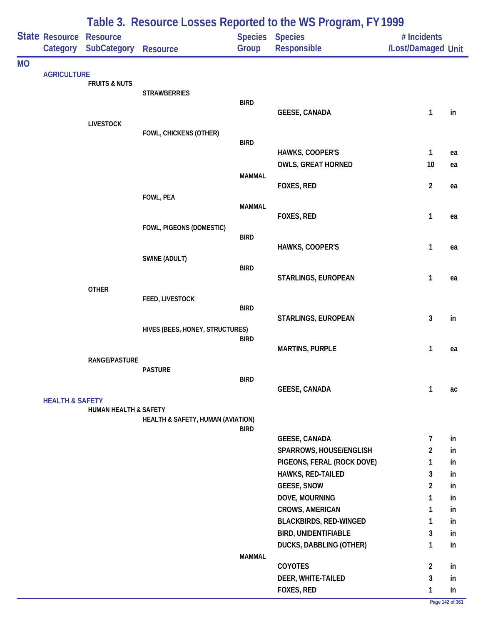|           |                                     | Table 3. Resource Losses Reported to the WS Program, FY 1999 |                                   |               |                                                 |                                   |          |  |  |
|-----------|-------------------------------------|--------------------------------------------------------------|-----------------------------------|---------------|-------------------------------------------------|-----------------------------------|----------|--|--|
|           | State Resource Resource<br>Category | <b>SubCategory</b>                                           | <b>Resource</b>                   | Group         | Species Species<br>Responsible                  | # Incidents<br>/Lost/Damaged Unit |          |  |  |
| <b>MO</b> |                                     |                                                              |                                   |               |                                                 |                                   |          |  |  |
|           | <b>AGRICULTURE</b>                  | <b>FRUITS &amp; NUTS</b>                                     |                                   |               |                                                 |                                   |          |  |  |
|           |                                     |                                                              | <b>STRAWBERRIES</b>               |               |                                                 |                                   |          |  |  |
|           |                                     |                                                              |                                   | <b>BIRD</b>   |                                                 |                                   |          |  |  |
|           |                                     | <b>LIVESTOCK</b>                                             |                                   |               | <b>GEESE, CANADA</b>                            | $\mathbf{1}$                      | in       |  |  |
|           |                                     |                                                              | FOWL, CHICKENS (OTHER)            |               |                                                 |                                   |          |  |  |
|           |                                     |                                                              |                                   | <b>BIRD</b>   |                                                 |                                   |          |  |  |
|           |                                     |                                                              |                                   |               | HAWKS, COOPER'S                                 | 1                                 | ea       |  |  |
|           |                                     |                                                              |                                   | <b>MAMMAL</b> | <b>OWLS, GREAT HORNED</b>                       | 10                                | ea       |  |  |
|           |                                     |                                                              |                                   |               | FOXES, RED                                      | $\overline{2}$                    | ea       |  |  |
|           |                                     |                                                              | FOWL, PEA                         |               |                                                 |                                   |          |  |  |
|           |                                     |                                                              |                                   | <b>MAMMAL</b> |                                                 |                                   |          |  |  |
|           |                                     |                                                              |                                   |               | FOXES, RED                                      | $\mathbf{1}$                      | ea       |  |  |
|           |                                     |                                                              | FOWL, PIGEONS (DOMESTIC)          | <b>BIRD</b>   |                                                 |                                   |          |  |  |
|           |                                     |                                                              |                                   |               | HAWKS, COOPER'S                                 | 1                                 | ea       |  |  |
|           |                                     |                                                              | SWINE (ADULT)                     |               |                                                 |                                   |          |  |  |
|           |                                     |                                                              |                                   | <b>BIRD</b>   | STARLINGS, EUROPEAN                             | $\mathbf{1}$                      | ea       |  |  |
|           |                                     | <b>OTHER</b>                                                 |                                   |               |                                                 |                                   |          |  |  |
|           |                                     |                                                              | FEED, LIVESTOCK                   |               |                                                 |                                   |          |  |  |
|           |                                     |                                                              |                                   | <b>BIRD</b>   | STARLINGS, EUROPEAN                             | 3                                 | in       |  |  |
|           |                                     |                                                              | HIVES (BEES, HONEY, STRUCTURES)   |               |                                                 |                                   |          |  |  |
|           |                                     |                                                              |                                   | <b>BIRD</b>   |                                                 |                                   |          |  |  |
|           |                                     |                                                              |                                   |               | <b>MARTINS, PURPLE</b>                          | $\mathbf{1}$                      | ea       |  |  |
|           |                                     | <b>RANGE/PASTURE</b>                                         | <b>PASTURE</b>                    |               |                                                 |                                   |          |  |  |
|           |                                     |                                                              |                                   | <b>BIRD</b>   |                                                 |                                   |          |  |  |
|           |                                     |                                                              |                                   |               | <b>GEESE, CANADA</b>                            | 1                                 | ac       |  |  |
|           | <b>HEALTH &amp; SAFETY</b>          |                                                              |                                   |               |                                                 |                                   |          |  |  |
|           |                                     | <b>HUMAN HEALTH &amp; SAFETY</b>                             | HEALTH & SAFETY, HUMAN (AVIATION) |               |                                                 |                                   |          |  |  |
|           |                                     |                                                              |                                   | <b>BIRD</b>   |                                                 |                                   |          |  |  |
|           |                                     |                                                              |                                   |               | <b>GEESE, CANADA</b>                            | $\overline{7}$                    | in       |  |  |
|           |                                     |                                                              |                                   |               | SPARROWS, HOUSE/ENGLISH                         | $\overline{2}$                    | in       |  |  |
|           |                                     |                                                              |                                   |               | PIGEONS, FERAL (ROCK DOVE)<br>HAWKS, RED-TAILED | 1<br>3                            | in<br>in |  |  |
|           |                                     |                                                              |                                   |               | <b>GEESE, SNOW</b>                              | $\overline{2}$                    | in       |  |  |
|           |                                     |                                                              |                                   |               | DOVE, MOURNING                                  | 1                                 | in       |  |  |
|           |                                     |                                                              |                                   |               | <b>CROWS, AMERICAN</b>                          | 1                                 | in       |  |  |
|           |                                     |                                                              |                                   |               | <b>BLACKBIRDS, RED-WINGED</b>                   | $\mathbf{1}$                      | in       |  |  |
|           |                                     |                                                              |                                   |               | <b>BIRD, UNIDENTIFIABLE</b>                     | 3                                 | in       |  |  |
|           |                                     |                                                              |                                   |               | <b>DUCKS, DABBLING (OTHER)</b>                  | $\mathbf{1}$                      | in       |  |  |
|           |                                     |                                                              |                                   | <b>MAMMAL</b> |                                                 |                                   |          |  |  |
|           |                                     |                                                              |                                   |               | <b>COYOTES</b>                                  | $\overline{2}$                    | in       |  |  |
|           |                                     |                                                              |                                   |               | DEER, WHITE-TAILED                              | 3                                 | in       |  |  |
|           |                                     |                                                              |                                   |               | FOXES, RED                                      | 1                                 | in       |  |  |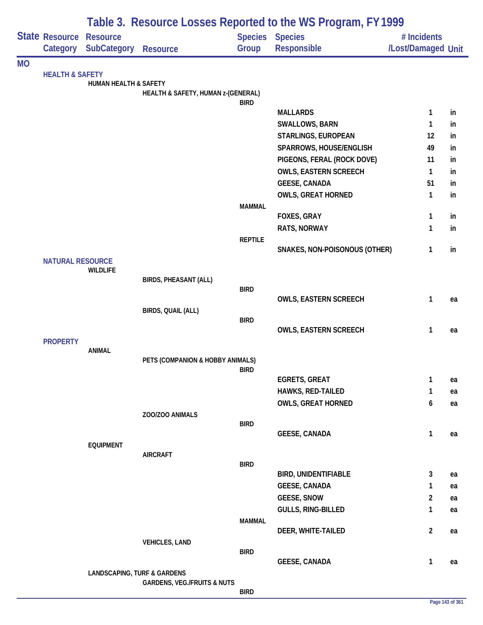|           |                            | Table 3. Resource Losses Reported to the WS Program, FY 1999 |                                        |                |                               |                         |    |  |
|-----------|----------------------------|--------------------------------------------------------------|----------------------------------------|----------------|-------------------------------|-------------------------|----|--|
|           | <b>State Resource</b>      | <b>Resource</b>                                              |                                        |                | <b>Species Species</b>        | # Incidents             |    |  |
|           | Category                   | <b>SubCategory</b>                                           | <b>Resource</b>                        | Group          | Responsible                   | /Lost/Damaged Unit      |    |  |
| <b>MO</b> |                            |                                                              |                                        |                |                               |                         |    |  |
|           | <b>HEALTH &amp; SAFETY</b> | <b>HUMAN HEALTH &amp; SAFETY</b>                             |                                        |                |                               |                         |    |  |
|           |                            |                                                              | HEALTH & SAFETY, HUMAN z-(GENERAL)     |                |                               |                         |    |  |
|           |                            |                                                              |                                        | <b>BIRD</b>    | <b>MALLARDS</b>               | 1                       | in |  |
|           |                            |                                                              |                                        |                | <b>SWALLOWS, BARN</b>         | 1                       | in |  |
|           |                            |                                                              |                                        |                | STARLINGS, EUROPEAN           | 12                      | in |  |
|           |                            |                                                              |                                        |                | SPARROWS, HOUSE/ENGLISH       | 49                      | in |  |
|           |                            |                                                              |                                        |                | PIGEONS, FERAL (ROCK DOVE)    | 11                      | in |  |
|           |                            |                                                              |                                        |                | <b>OWLS, EASTERN SCREECH</b>  | 1                       | in |  |
|           |                            |                                                              |                                        |                | <b>GEESE, CANADA</b>          | 51                      | in |  |
|           |                            |                                                              |                                        |                | <b>OWLS, GREAT HORNED</b>     | 1                       | in |  |
|           |                            |                                                              |                                        | <b>MAMMAL</b>  |                               |                         |    |  |
|           |                            |                                                              |                                        |                | FOXES, GRAY                   | 1                       | in |  |
|           |                            |                                                              |                                        |                | RATS, NORWAY                  | 1                       | in |  |
|           |                            |                                                              |                                        | <b>REPTILE</b> |                               |                         |    |  |
|           |                            |                                                              |                                        |                | SNAKES, NON-POISONOUS (OTHER) | 1                       | in |  |
|           | <b>NATURAL RESOURCE</b>    | <b>WILDLIFE</b>                                              |                                        |                |                               |                         |    |  |
|           |                            |                                                              | <b>BIRDS, PHEASANT (ALL)</b>           |                |                               |                         |    |  |
|           |                            |                                                              |                                        | <b>BIRD</b>    |                               |                         |    |  |
|           |                            |                                                              |                                        |                | OWLS, EASTERN SCREECH         | 1                       | ea |  |
|           |                            |                                                              | BIRDS, QUAIL (ALL)                     |                |                               |                         |    |  |
|           |                            |                                                              |                                        | <b>BIRD</b>    | <b>OWLS, EASTERN SCREECH</b>  | 1                       | ea |  |
|           | <b>PROPERTY</b>            |                                                              |                                        |                |                               |                         |    |  |
|           |                            | <b>ANIMAL</b>                                                |                                        |                |                               |                         |    |  |
|           |                            |                                                              | PETS (COMPANION & HOBBY ANIMALS)       |                |                               |                         |    |  |
|           |                            |                                                              |                                        | BIRD           | <b>EGRETS, GREAT</b>          | 1                       | ea |  |
|           |                            |                                                              |                                        |                | <b>HAWKS, RED-TAILED</b>      | 1                       | ea |  |
|           |                            |                                                              |                                        |                | <b>OWLS, GREAT HORNED</b>     | 6                       | ea |  |
|           |                            |                                                              | ZOO/ZOO ANIMALS                        |                |                               |                         |    |  |
|           |                            |                                                              |                                        | <b>BIRD</b>    |                               |                         |    |  |
|           |                            |                                                              |                                        |                | <b>GEESE, CANADA</b>          | 1                       | ea |  |
|           |                            | <b>EQUIPMENT</b>                                             |                                        |                |                               |                         |    |  |
|           |                            |                                                              | <b>AIRCRAFT</b>                        | <b>BIRD</b>    |                               |                         |    |  |
|           |                            |                                                              |                                        |                | <b>BIRD, UNIDENTIFIABLE</b>   | 3                       | ea |  |
|           |                            |                                                              |                                        |                | <b>GEESE, CANADA</b>          | 1                       | ea |  |
|           |                            |                                                              |                                        |                | <b>GEESE, SNOW</b>            | $\overline{\mathbf{c}}$ | ea |  |
|           |                            |                                                              |                                        |                | <b>GULLS, RING-BILLED</b>     | 1                       | ea |  |
|           |                            |                                                              |                                        | <b>MAMMAL</b>  |                               |                         |    |  |
|           |                            |                                                              |                                        |                | DEER, WHITE-TAILED            | $\overline{\mathbf{c}}$ | ea |  |
|           |                            |                                                              | <b>VEHICLES, LAND</b>                  |                |                               |                         |    |  |
|           |                            |                                                              |                                        | <b>BIRD</b>    | <b>GEESE, CANADA</b>          | 1                       | ea |  |
|           |                            | <b>LANDSCAPING, TURF &amp; GARDENS</b>                       |                                        |                |                               |                         |    |  |
|           |                            |                                                              | <b>GARDENS, VEG./FRUITS &amp; NUTS</b> |                |                               |                         |    |  |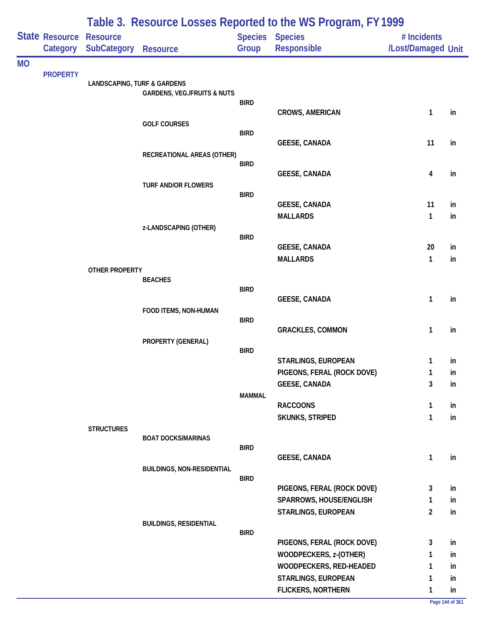|           | State Resource<br>Category | <b>Resource</b><br><b>SubCategory</b>  | <b>Resource</b>                        | Group         | Table 5. Resource Losses Reported to the WS Frogram, FT 1777<br><b>Species Species</b><br><b>Responsible</b> | # Incidents<br>/Lost/Damaged Unit |    |
|-----------|----------------------------|----------------------------------------|----------------------------------------|---------------|--------------------------------------------------------------------------------------------------------------|-----------------------------------|----|
| <b>MO</b> |                            |                                        |                                        |               |                                                                                                              |                                   |    |
|           | <b>PROPERTY</b>            |                                        |                                        |               |                                                                                                              |                                   |    |
|           |                            | <b>LANDSCAPING, TURF &amp; GARDENS</b> | <b>GARDENS, VEG./FRUITS &amp; NUTS</b> |               |                                                                                                              |                                   |    |
|           |                            |                                        |                                        | <b>BIRD</b>   |                                                                                                              |                                   |    |
|           |                            |                                        |                                        |               | CROWS, AMERICAN                                                                                              | 1                                 | in |
|           |                            |                                        | <b>GOLF COURSES</b>                    | <b>BIRD</b>   |                                                                                                              |                                   |    |
|           |                            |                                        |                                        |               | <b>GEESE, CANADA</b>                                                                                         | 11                                | in |
|           |                            |                                        | RECREATIONAL AREAS (OTHER)             |               |                                                                                                              |                                   |    |
|           |                            |                                        |                                        | <b>BIRD</b>   |                                                                                                              |                                   |    |
|           |                            |                                        | <b>TURF AND/OR FLOWERS</b>             |               | <b>GEESE, CANADA</b>                                                                                         | 4                                 | in |
|           |                            |                                        |                                        | <b>BIRD</b>   |                                                                                                              |                                   |    |
|           |                            |                                        |                                        |               | <b>GEESE, CANADA</b>                                                                                         | 11                                | in |
|           |                            |                                        |                                        |               | <b>MALLARDS</b>                                                                                              | 1                                 | in |
|           |                            |                                        | z-LANDSCAPING (OTHER)                  | <b>BIRD</b>   |                                                                                                              |                                   |    |
|           |                            |                                        |                                        |               | <b>GEESE, CANADA</b>                                                                                         | 20                                | in |
|           |                            |                                        |                                        |               | <b>MALLARDS</b>                                                                                              | 1                                 | in |
|           |                            | OTHER PROPERTY                         |                                        |               |                                                                                                              |                                   |    |
|           |                            |                                        | <b>BEACHES</b>                         | <b>BIRD</b>   |                                                                                                              |                                   |    |
|           |                            |                                        |                                        |               | <b>GEESE, CANADA</b>                                                                                         | 1                                 | in |
|           |                            |                                        | FOOD ITEMS, NON-HUMAN                  |               |                                                                                                              |                                   |    |
|           |                            |                                        |                                        | <b>BIRD</b>   |                                                                                                              |                                   |    |
|           |                            |                                        |                                        |               | <b>GRACKLES, COMMON</b>                                                                                      | 1                                 | in |
|           |                            |                                        | PROPERTY (GENERAL)                     | <b>BIRD</b>   |                                                                                                              |                                   |    |
|           |                            |                                        |                                        |               | STARLINGS, EUROPEAN                                                                                          | 1                                 | in |
|           |                            |                                        |                                        |               | PIGEONS, FERAL (ROCK DOVE)                                                                                   | 1                                 | in |
|           |                            |                                        |                                        |               | <b>GEESE, CANADA</b>                                                                                         | 3                                 | in |
|           |                            |                                        |                                        | <b>MAMMAL</b> | <b>RACCOONS</b>                                                                                              | 1                                 | in |
|           |                            |                                        |                                        |               | <b>SKUNKS, STRIPED</b>                                                                                       | 1                                 | in |
|           |                            | <b>STRUCTURES</b>                      |                                        |               |                                                                                                              |                                   |    |
|           |                            |                                        | <b>BOAT DOCKS/MARINAS</b>              |               |                                                                                                              |                                   |    |
|           |                            |                                        |                                        | <b>BIRD</b>   | <b>GEESE, CANADA</b>                                                                                         | 1                                 | in |
|           |                            |                                        | <b>BUILDINGS, NON-RESIDENTIAL</b>      |               |                                                                                                              |                                   |    |
|           |                            |                                        |                                        | <b>BIRD</b>   |                                                                                                              |                                   |    |
|           |                            |                                        |                                        |               | PIGEONS, FERAL (ROCK DOVE)                                                                                   | 3                                 | in |
|           |                            |                                        |                                        |               | SPARROWS, HOUSE/ENGLISH                                                                                      | 1                                 | in |
|           |                            |                                        |                                        |               | STARLINGS, EUROPEAN                                                                                          | $\overline{2}$                    | in |
|           |                            |                                        | <b>BUILDINGS, RESIDENTIAL</b>          | <b>BIRD</b>   |                                                                                                              |                                   |    |
|           |                            |                                        |                                        |               | PIGEONS, FERAL (ROCK DOVE)                                                                                   | 3                                 | in |
|           |                            |                                        |                                        |               | WOODPECKERS, z-(OTHER)                                                                                       | 1                                 | in |
|           |                            |                                        |                                        |               | WOODPECKERS, RED-HEADED                                                                                      | 1                                 | in |
|           |                            |                                        |                                        |               | STARLINGS, EUROPEAN                                                                                          | 1                                 | in |
|           |                            |                                        |                                        |               | <b>FLICKERS, NORTHERN</b>                                                                                    | 1                                 | in |

## **Table 3. Resource Losses Reported to the WS Program, FY 1999**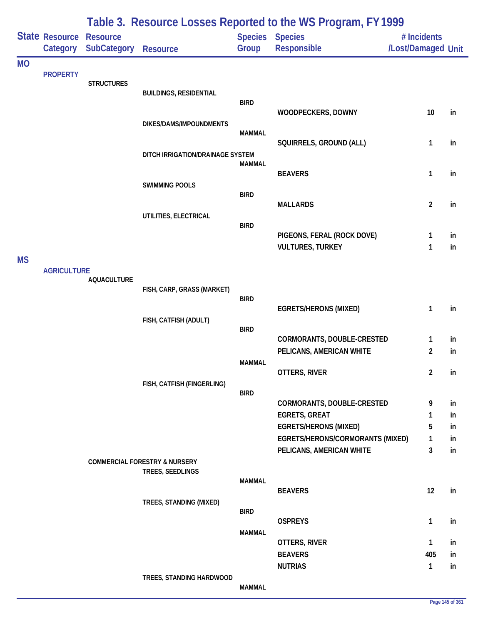|           |                            |                                       |                                          |               | Table 3. Resource Losses Reported to the WS Program, FY 1999 |                                   |          |
|-----------|----------------------------|---------------------------------------|------------------------------------------|---------------|--------------------------------------------------------------|-----------------------------------|----------|
|           | State Resource<br>Category | <b>Resource</b><br><b>SubCategory</b> | <b>Resource</b>                          | Group         | <b>Species Species</b><br>Responsible                        | # Incidents<br>/Lost/Damaged Unit |          |
| <b>MO</b> |                            |                                       |                                          |               |                                                              |                                   |          |
|           | <b>PROPERTY</b>            | <b>STRUCTURES</b>                     |                                          |               |                                                              |                                   |          |
|           |                            |                                       | <b>BUILDINGS, RESIDENTIAL</b>            | <b>BIRD</b>   |                                                              |                                   |          |
|           |                            |                                       |                                          |               | WOODPECKERS, DOWNY                                           | 10                                | in       |
|           |                            |                                       | DIKES/DAMS/IMPOUNDMENTS                  | <b>MAMMAL</b> |                                                              |                                   |          |
|           |                            |                                       |                                          |               | SQUIRRELS, GROUND (ALL)                                      | 1                                 | in       |
|           |                            |                                       | DITCH IRRIGATION/DRAINAGE SYSTEM         |               |                                                              |                                   |          |
|           |                            |                                       |                                          | MAMMAL        | <b>BEAVERS</b>                                               | 1                                 | in       |
|           |                            |                                       | <b>SWIMMING POOLS</b>                    |               |                                                              |                                   |          |
|           |                            |                                       |                                          | <b>BIRD</b>   | <b>MALLARDS</b>                                              | $\overline{2}$                    | in       |
|           |                            |                                       | UTILITIES, ELECTRICAL                    |               |                                                              |                                   |          |
|           |                            |                                       |                                          | <b>BIRD</b>   | PIGEONS, FERAL (ROCK DOVE)                                   | 1                                 | in       |
|           |                            |                                       |                                          |               | <b>VULTURES, TURKEY</b>                                      | 1                                 | in       |
| <b>MS</b> |                            |                                       |                                          |               |                                                              |                                   |          |
|           | <b>AGRICULTURE</b>         | <b>AQUACULTURE</b>                    |                                          |               |                                                              |                                   |          |
|           |                            |                                       | FISH, CARP, GRASS (MARKET)               | <b>BIRD</b>   |                                                              |                                   |          |
|           |                            |                                       |                                          |               | <b>EGRETS/HERONS (MIXED)</b>                                 | 1                                 | in       |
|           |                            |                                       | FISH, CATFISH (ADULT)                    | <b>BIRD</b>   |                                                              |                                   |          |
|           |                            |                                       |                                          |               | CORMORANTS, DOUBLE-CRESTED                                   | 1                                 | in       |
|           |                            |                                       |                                          |               | PELICANS, AMERICAN WHITE                                     | 2                                 | in       |
|           |                            |                                       |                                          | <b>MAMMAL</b> | OTTERS, RIVER                                                | $\overline{2}$                    | in       |
|           |                            |                                       | FISH, CATFISH (FINGERLING)               |               |                                                              |                                   |          |
|           |                            |                                       |                                          | <b>BIRD</b>   | CORMORANTS, DOUBLE-CRESTED                                   | 9                                 | in       |
|           |                            |                                       |                                          |               | <b>EGRETS, GREAT</b>                                         | 1                                 | in       |
|           |                            |                                       |                                          |               | <b>EGRETS/HERONS (MIXED)</b>                                 | 5                                 | in       |
|           |                            |                                       |                                          |               | EGRETS/HERONS/CORMORANTS (MIXED)<br>PELICANS, AMERICAN WHITE | 1<br>3                            | in<br>in |
|           |                            |                                       | <b>COMMERCIAL FORESTRY &amp; NURSERY</b> |               |                                                              |                                   |          |
|           |                            |                                       | TREES, SEEDLINGS                         | <b>MAMMAL</b> |                                                              |                                   |          |
|           |                            |                                       |                                          |               | <b>BEAVERS</b>                                               | 12                                | in       |
|           |                            |                                       | TREES, STANDING (MIXED)                  | <b>BIRD</b>   |                                                              |                                   |          |
|           |                            |                                       |                                          |               | <b>OSPREYS</b>                                               | 1                                 | in       |
|           |                            |                                       |                                          | <b>MAMMAL</b> | OTTERS, RIVER                                                | 1                                 | in       |
|           |                            |                                       |                                          |               | <b>BEAVERS</b>                                               | 405                               | in       |
|           |                            |                                       |                                          |               | <b>NUTRIAS</b>                                               | 1                                 | in       |
|           |                            |                                       | TREES, STANDING HARDWOOD                 | <b>MAMMAL</b> |                                                              |                                   |          |
|           |                            |                                       |                                          |               |                                                              |                                   |          |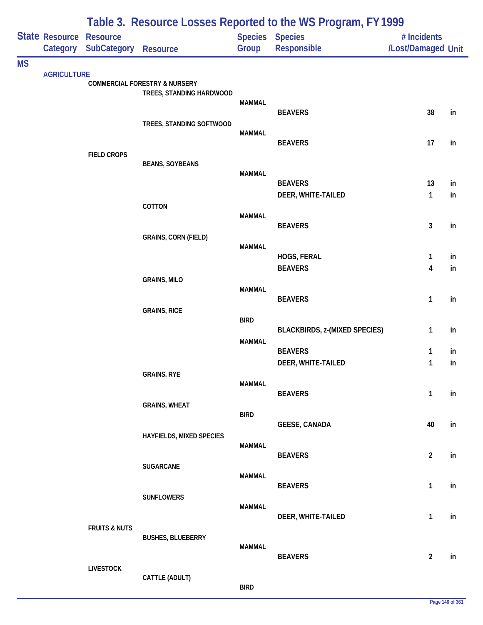|           |                            | Table 3. Resource Losses Reported to the WS Program, FY 1999 |                                          |               |                                      |                                   |               |  |  |
|-----------|----------------------------|--------------------------------------------------------------|------------------------------------------|---------------|--------------------------------------|-----------------------------------|---------------|--|--|
|           | State Resource<br>Category | <b>Resource</b><br><b>SubCategory</b>                        | Resource                                 | Group         | Species Species<br>Responsible       | # Incidents<br>/Lost/Damaged Unit |               |  |  |
| <b>MS</b> |                            |                                                              |                                          |               |                                      |                                   |               |  |  |
|           | <b>AGRICULTURE</b>         |                                                              | <b>COMMERCIAL FORESTRY &amp; NURSERY</b> |               |                                      |                                   |               |  |  |
|           |                            |                                                              | TREES, STANDING HARDWOOD                 | <b>MAMMAL</b> |                                      |                                   |               |  |  |
|           |                            |                                                              |                                          |               | <b>BEAVERS</b>                       | 38                                | in            |  |  |
|           |                            |                                                              | TREES, STANDING SOFTWOOD                 | <b>MAMMAL</b> |                                      |                                   |               |  |  |
|           |                            |                                                              |                                          |               | <b>BEAVERS</b>                       | 17                                | in            |  |  |
|           |                            | <b>FIELD CROPS</b>                                           | <b>BEANS, SOYBEANS</b>                   |               |                                      |                                   |               |  |  |
|           |                            |                                                              |                                          | <b>MAMMAL</b> |                                      |                                   |               |  |  |
|           |                            |                                                              |                                          |               | <b>BEAVERS</b><br>DEER, WHITE-TAILED | 13<br>$\mathbf{1}$                | in<br>in      |  |  |
|           |                            |                                                              | COTTON                                   |               |                                      |                                   |               |  |  |
|           |                            |                                                              |                                          | <b>MAMMAL</b> | <b>BEAVERS</b>                       | $\mathbf{3}$                      | in            |  |  |
|           |                            |                                                              | <b>GRAINS, CORN (FIELD)</b>              |               |                                      |                                   |               |  |  |
|           |                            |                                                              |                                          | <b>MAMMAL</b> | HOGS, FERAL                          | 1                                 | in            |  |  |
|           |                            |                                                              |                                          |               | <b>BEAVERS</b>                       | $\overline{\mathbf{4}}$           | in            |  |  |
|           |                            |                                                              | <b>GRAINS, MILO</b>                      |               |                                      |                                   |               |  |  |
|           |                            |                                                              |                                          | <b>MAMMAL</b> | <b>BEAVERS</b>                       | 1                                 | in            |  |  |
|           |                            |                                                              | <b>GRAINS, RICE</b>                      |               |                                      |                                   |               |  |  |
|           |                            |                                                              |                                          | <b>BIRD</b>   | <b>BLACKBIRDS, z-(MIXED SPECIES)</b> | $\mathbf{1}$                      | in            |  |  |
|           |                            |                                                              |                                          | <b>MAMMAL</b> |                                      |                                   |               |  |  |
|           |                            |                                                              |                                          |               | <b>BEAVERS</b><br>DEER, WHITE-TAILED | 1<br>1                            | in<br>in      |  |  |
|           |                            |                                                              | <b>GRAINS, RYE</b>                       |               |                                      |                                   |               |  |  |
|           |                            |                                                              |                                          | <b>MAMMAL</b> | <b>BEAVERS</b>                       | $\mathbf{1}$                      | $\mathsf{in}$ |  |  |
|           |                            |                                                              | <b>GRAINS, WHEAT</b>                     |               |                                      |                                   |               |  |  |
|           |                            |                                                              |                                          | <b>BIRD</b>   | <b>GEESE, CANADA</b>                 | 40                                | in            |  |  |
|           |                            |                                                              | HAYFIELDS, MIXED SPECIES                 |               |                                      |                                   |               |  |  |
|           |                            |                                                              |                                          | <b>MAMMAL</b> | <b>BEAVERS</b>                       | $\overline{2}$                    | in            |  |  |
|           |                            |                                                              | <b>SUGARCANE</b>                         |               |                                      |                                   |               |  |  |
|           |                            |                                                              |                                          | <b>MAMMAL</b> | <b>BEAVERS</b>                       | $\mathbf{1}$                      | in            |  |  |
|           |                            |                                                              | <b>SUNFLOWERS</b>                        |               |                                      |                                   |               |  |  |
|           |                            |                                                              |                                          | <b>MAMMAL</b> | DEER, WHITE-TAILED                   | $\mathbf{1}$                      | in            |  |  |
|           |                            | <b>FRUITS &amp; NUTS</b>                                     |                                          |               |                                      |                                   |               |  |  |
|           |                            |                                                              | <b>BUSHES, BLUEBERRY</b>                 | <b>MAMMAL</b> |                                      |                                   |               |  |  |
|           |                            | <b>LIVESTOCK</b>                                             |                                          |               | <b>BEAVERS</b>                       | $\overline{2}$                    | $\mathsf{in}$ |  |  |
|           |                            |                                                              | CATTLE (ADULT)                           |               |                                      |                                   |               |  |  |
|           |                            |                                                              |                                          | <b>BIRD</b>   |                                      |                                   |               |  |  |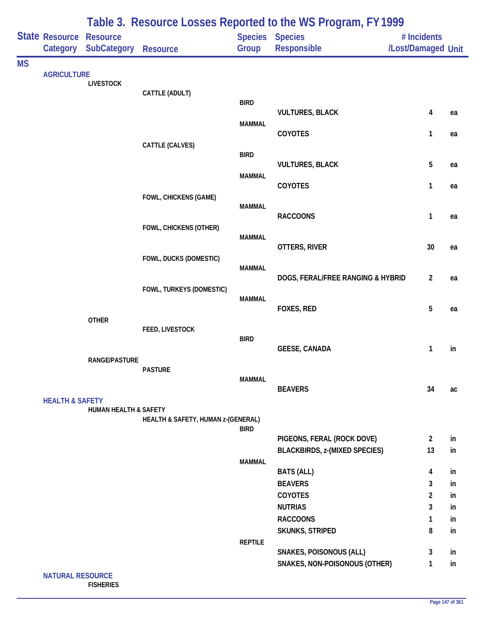|           |                            | Table 3. Resource Losses Reported to the WS Program, FY 1999 |                                    |                |                                      |                                   |    |  |  |
|-----------|----------------------------|--------------------------------------------------------------|------------------------------------|----------------|--------------------------------------|-----------------------------------|----|--|--|
|           | State Resource<br>Category | <b>Resource</b><br><b>SubCategory</b>                        | <b>Resource</b>                    | Group          | Species Species<br>Responsible       | # Incidents<br>/Lost/Damaged Unit |    |  |  |
| <b>MS</b> |                            |                                                              |                                    |                |                                      |                                   |    |  |  |
|           | <b>AGRICULTURE</b>         | <b>LIVESTOCK</b>                                             |                                    |                |                                      |                                   |    |  |  |
|           |                            |                                                              | CATTLE (ADULT)                     |                |                                      |                                   |    |  |  |
|           |                            |                                                              |                                    | <b>BIRD</b>    | <b>VULTURES, BLACK</b>               | 4                                 | ea |  |  |
|           |                            |                                                              |                                    | <b>MAMMAL</b>  |                                      |                                   |    |  |  |
|           |                            |                                                              |                                    |                | COYOTES                              | 1                                 | ea |  |  |
|           |                            |                                                              | CATTLE (CALVES)                    | <b>BIRD</b>    |                                      |                                   |    |  |  |
|           |                            |                                                              |                                    |                | <b>VULTURES, BLACK</b>               | 5                                 | ea |  |  |
|           |                            |                                                              |                                    | <b>MAMMAL</b>  |                                      |                                   |    |  |  |
|           |                            |                                                              |                                    |                | COYOTES                              | 1                                 | ea |  |  |
|           |                            |                                                              | <b>FOWL, CHICKENS (GAME)</b>       | <b>MAMMAL</b>  |                                      |                                   |    |  |  |
|           |                            |                                                              |                                    |                | <b>RACCOONS</b>                      | $\mathbf{1}$                      | ea |  |  |
|           |                            |                                                              | FOWL, CHICKENS (OTHER)             | <b>MAMMAL</b>  |                                      |                                   |    |  |  |
|           |                            |                                                              |                                    |                | OTTERS, RIVER                        | 30                                | ea |  |  |
|           |                            |                                                              | FOWL, DUCKS (DOMESTIC)             |                |                                      |                                   |    |  |  |
|           |                            |                                                              |                                    | <b>MAMMAL</b>  | DOGS, FERAL/FREE RANGING & HYBRID    | $\overline{2}$                    | ea |  |  |
|           |                            |                                                              | FOWL, TURKEYS (DOMESTIC)           |                |                                      |                                   |    |  |  |
|           |                            |                                                              |                                    | <b>MAMMAL</b>  |                                      |                                   |    |  |  |
|           |                            | <b>OTHER</b>                                                 |                                    |                | FOXES, RED                           | 5                                 | ea |  |  |
|           |                            |                                                              | FEED, LIVESTOCK                    |                |                                      |                                   |    |  |  |
|           |                            |                                                              |                                    | <b>BIRD</b>    |                                      |                                   |    |  |  |
|           |                            | <b>RANGE/PASTURE</b>                                         |                                    |                | <b>GEESE, CANADA</b>                 | 1                                 | in |  |  |
|           |                            |                                                              | <b>PASTURE</b>                     |                |                                      |                                   |    |  |  |
|           |                            |                                                              |                                    | <b>MAMMAL</b>  | <b>BEAVERS</b>                       | 34                                | ac |  |  |
|           | <b>HEALTH &amp; SAFETY</b> |                                                              |                                    |                |                                      |                                   |    |  |  |
|           |                            | <b>HUMAN HEALTH &amp; SAFETY</b>                             |                                    |                |                                      |                                   |    |  |  |
|           |                            |                                                              | HEALTH & SAFETY, HUMAN z-(GENERAL) | <b>BIRD</b>    |                                      |                                   |    |  |  |
|           |                            |                                                              |                                    |                | PIGEONS, FERAL (ROCK DOVE)           | $\overline{2}$                    | in |  |  |
|           |                            |                                                              |                                    |                | <b>BLACKBIRDS, z-(MIXED SPECIES)</b> | 13                                | in |  |  |
|           |                            |                                                              |                                    | <b>MAMMAL</b>  | <b>BATS (ALL)</b>                    | 4                                 | in |  |  |
|           |                            |                                                              |                                    |                | <b>BEAVERS</b>                       | 3                                 | in |  |  |
|           |                            |                                                              |                                    |                | COYOTES                              | $\overline{2}$                    | in |  |  |
|           |                            |                                                              |                                    |                | <b>NUTRIAS</b>                       | 3                                 | in |  |  |
|           |                            |                                                              |                                    |                | <b>RACCOONS</b>                      | 1                                 | in |  |  |
|           |                            |                                                              |                                    | <b>REPTILE</b> | <b>SKUNKS, STRIPED</b>               | 8                                 | in |  |  |
|           |                            |                                                              |                                    |                | <b>SNAKES, POISONOUS (ALL)</b>       | 3                                 | in |  |  |
|           |                            |                                                              |                                    |                | SNAKES, NON-POISONOUS (OTHER)        | $\mathbf{1}$                      | in |  |  |
|           |                            |                                                              |                                    |                |                                      |                                   |    |  |  |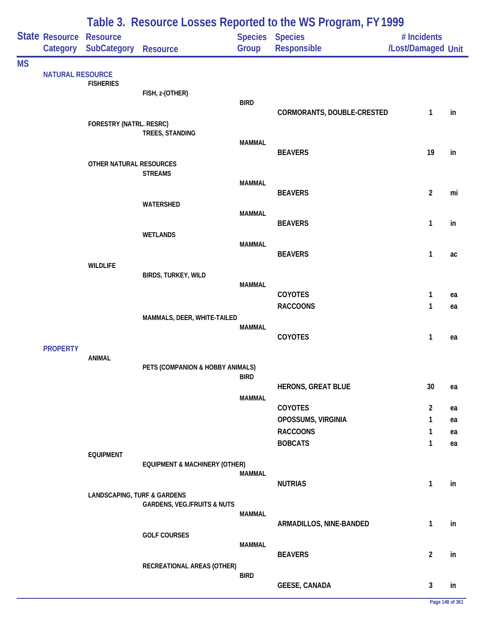|           |                                            |                                        |                                          |               | Table 3. Resource Losses Reported to the WS Program, FY 1999 |                                   |    |
|-----------|--------------------------------------------|----------------------------------------|------------------------------------------|---------------|--------------------------------------------------------------|-----------------------------------|----|
|           | <b>State Resource Resource</b><br>Category | <b>SubCategory</b>                     | <b>Resource</b>                          | Group         | <b>Species Species</b><br>Responsible                        | # Incidents<br>/Lost/Damaged Unit |    |
| <b>MS</b> |                                            |                                        |                                          |               |                                                              |                                   |    |
|           | <b>NATURAL RESOURCE</b>                    | <b>FISHERIES</b>                       |                                          |               |                                                              |                                   |    |
|           |                                            |                                        | FISH, z-(OTHER)                          |               |                                                              |                                   |    |
|           |                                            |                                        |                                          | <b>BIRD</b>   | CORMORANTS, DOUBLE-CRESTED                                   | 1                                 | in |
|           |                                            | FORESTRY (NATRL. RESRC)                |                                          |               |                                                              |                                   |    |
|           |                                            |                                        | TREES, STANDING                          | <b>MAMMAL</b> |                                                              |                                   |    |
|           |                                            |                                        |                                          |               | <b>BEAVERS</b>                                               | 19                                | in |
|           |                                            | OTHER NATURAL RESOURCES                |                                          |               |                                                              |                                   |    |
|           |                                            |                                        | <b>STREAMS</b>                           | <b>MAMMAL</b> |                                                              |                                   |    |
|           |                                            |                                        |                                          |               | <b>BEAVERS</b>                                               | $\overline{\mathbf{c}}$           | mi |
|           |                                            |                                        | WATERSHED                                | <b>MAMMAL</b> |                                                              |                                   |    |
|           |                                            |                                        |                                          |               | <b>BEAVERS</b>                                               | 1                                 | in |
|           |                                            |                                        | <b>WETLANDS</b>                          |               |                                                              |                                   |    |
|           |                                            |                                        |                                          | <b>MAMMAL</b> | <b>BEAVERS</b>                                               | 1                                 | ac |
|           |                                            | <b>WILDLIFE</b>                        |                                          |               |                                                              |                                   |    |
|           |                                            |                                        | BIRDS, TURKEY, WILD                      | <b>MAMMAL</b> |                                                              |                                   |    |
|           |                                            |                                        |                                          |               | COYOTES                                                      | 1                                 | ea |
|           |                                            |                                        |                                          |               | <b>RACCOONS</b>                                              | 1                                 | ea |
|           |                                            |                                        | MAMMALS, DEER, WHITE-TAILED              | <b>MAMMAL</b> |                                                              |                                   |    |
|           |                                            |                                        |                                          |               | COYOTES                                                      | 1                                 | ea |
|           | <b>PROPERTY</b>                            |                                        |                                          |               |                                                              |                                   |    |
|           |                                            | <b>ANIMAL</b>                          | PETS (COMPANION & HOBBY ANIMALS)         |               |                                                              |                                   |    |
|           |                                            |                                        |                                          | <b>BIRD</b>   |                                                              |                                   |    |
|           |                                            |                                        |                                          | <b>MAMMAL</b> | <b>HERONS, GREAT BLUE</b>                                    | 30                                | ea |
|           |                                            |                                        |                                          |               | COYOTES                                                      | $\overline{c}$                    | ea |
|           |                                            |                                        |                                          |               | OPOSSUMS, VIRGINIA                                           | 1                                 | ea |
|           |                                            |                                        |                                          |               | <b>RACCOONS</b>                                              | 1                                 | ea |
|           |                                            | <b>EQUIPMENT</b>                       |                                          |               | <b>BOBCATS</b>                                               | 1                                 | ea |
|           |                                            |                                        | <b>EQUIPMENT &amp; MACHINERY (OTHER)</b> |               |                                                              |                                   |    |
|           |                                            |                                        |                                          | <b>MAMMAL</b> | <b>NUTRIAS</b>                                               | $\mathbf{1}$                      | in |
|           |                                            | <b>LANDSCAPING, TURF &amp; GARDENS</b> |                                          |               |                                                              |                                   |    |
|           |                                            |                                        | <b>GARDENS, VEG./FRUITS &amp; NUTS</b>   |               |                                                              |                                   |    |
|           |                                            |                                        |                                          | <b>MAMMAL</b> | ARMADILLOS, NINE-BANDED                                      | $\mathbf{1}$                      | in |
|           |                                            |                                        | <b>GOLF COURSES</b>                      |               |                                                              |                                   |    |
|           |                                            |                                        |                                          | <b>MAMMAL</b> | <b>BEAVERS</b>                                               | $\overline{\mathbf{c}}$           | in |
|           |                                            |                                        | RECREATIONAL AREAS (OTHER)               |               |                                                              |                                   |    |
|           |                                            |                                        |                                          | <b>BIRD</b>   |                                                              |                                   |    |
|           |                                            |                                        |                                          |               | <b>GEESE, CANADA</b>                                         | 3                                 | in |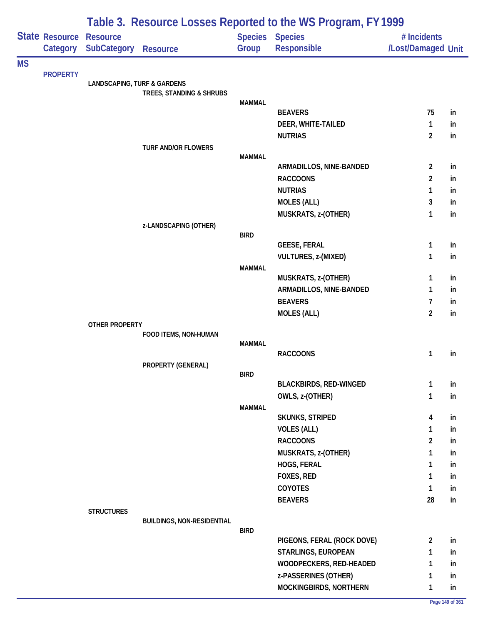|           |                                            | Table 3. Resource Losses Reported to the WS Program, FY 1999 |                                   |               |                                       |                                   |    |  |  |
|-----------|--------------------------------------------|--------------------------------------------------------------|-----------------------------------|---------------|---------------------------------------|-----------------------------------|----|--|--|
|           | <b>State Resource Resource</b><br>Category | <b>SubCategory</b>                                           | <b>Resource</b>                   | Group         | <b>Species Species</b><br>Responsible | # Incidents<br>/Lost/Damaged Unit |    |  |  |
| <b>MS</b> |                                            |                                                              |                                   |               |                                       |                                   |    |  |  |
|           | <b>PROPERTY</b>                            | <b>LANDSCAPING, TURF &amp; GARDENS</b>                       | TREES, STANDING & SHRUBS          |               |                                       |                                   |    |  |  |
|           |                                            |                                                              |                                   | <b>MAMMAL</b> |                                       |                                   |    |  |  |
|           |                                            |                                                              |                                   |               | <b>BEAVERS</b>                        | 75                                | in |  |  |
|           |                                            |                                                              |                                   |               | DEER, WHITE-TAILED                    | 1                                 | in |  |  |
|           |                                            |                                                              |                                   |               | <b>NUTRIAS</b>                        | $\overline{2}$                    | in |  |  |
|           |                                            |                                                              | TURF AND/OR FLOWERS               | <b>MAMMAL</b> |                                       |                                   |    |  |  |
|           |                                            |                                                              |                                   |               | ARMADILLOS, NINE-BANDED               | 2                                 | in |  |  |
|           |                                            |                                                              |                                   |               | <b>RACCOONS</b>                       | 2                                 | in |  |  |
|           |                                            |                                                              |                                   |               | <b>NUTRIAS</b>                        | 1                                 | in |  |  |
|           |                                            |                                                              |                                   |               | <b>MOLES (ALL)</b>                    | 3                                 | in |  |  |
|           |                                            |                                                              |                                   |               | MUSKRATS, z-(OTHER)                   | 1                                 | in |  |  |
|           |                                            |                                                              | z-LANDSCAPING (OTHER)             |               |                                       |                                   |    |  |  |
|           |                                            |                                                              |                                   | <b>BIRD</b>   |                                       |                                   |    |  |  |
|           |                                            |                                                              |                                   |               | <b>GEESE, FERAL</b>                   | 1                                 | in |  |  |
|           |                                            |                                                              |                                   |               | VULTURES, z-(MIXED)                   | 1                                 | in |  |  |
|           |                                            |                                                              |                                   | <b>MAMMAL</b> | MUSKRATS, z-(OTHER)                   | 1                                 | in |  |  |
|           |                                            |                                                              |                                   |               | ARMADILLOS, NINE-BANDED               | 1                                 | in |  |  |
|           |                                            |                                                              |                                   |               | <b>BEAVERS</b>                        | 7                                 | in |  |  |
|           |                                            |                                                              |                                   |               | <b>MOLES (ALL)</b>                    | $\overline{2}$                    | in |  |  |
|           |                                            | <b>OTHER PROPERTY</b>                                        |                                   |               |                                       |                                   |    |  |  |
|           |                                            |                                                              | FOOD ITEMS, NON-HUMAN             |               |                                       |                                   |    |  |  |
|           |                                            |                                                              |                                   | MAMMAL        |                                       |                                   |    |  |  |
|           |                                            |                                                              |                                   |               | <b>RACCOONS</b>                       | 1                                 | in |  |  |
|           |                                            |                                                              | PROPERTY (GENERAL)                | <b>BIRD</b>   |                                       |                                   |    |  |  |
|           |                                            |                                                              |                                   |               | <b>BLACKBIRDS, RED-WINGED</b>         | 1                                 | in |  |  |
|           |                                            |                                                              |                                   |               | OWLS, z-(OTHER)                       | 1                                 | in |  |  |
|           |                                            |                                                              |                                   | <b>MAMMAL</b> |                                       |                                   |    |  |  |
|           |                                            |                                                              |                                   |               | <b>SKUNKS, STRIPED</b>                | 4                                 | in |  |  |
|           |                                            |                                                              |                                   |               | <b>VOLES (ALL)</b>                    | 1                                 | in |  |  |
|           |                                            |                                                              |                                   |               | <b>RACCOONS</b>                       | $\overline{2}$                    | in |  |  |
|           |                                            |                                                              |                                   |               | MUSKRATS, z-(OTHER)                   | 1                                 | in |  |  |
|           |                                            |                                                              |                                   |               | HOGS, FERAL                           | 1                                 | in |  |  |
|           |                                            |                                                              |                                   |               | FOXES, RED                            | 1                                 | in |  |  |
|           |                                            |                                                              |                                   |               | <b>COYOTES</b>                        | 1                                 | in |  |  |
|           |                                            |                                                              |                                   |               | <b>BEAVERS</b>                        | 28                                | in |  |  |
|           |                                            | <b>STRUCTURES</b>                                            |                                   |               |                                       |                                   |    |  |  |
|           |                                            |                                                              | <b>BUILDINGS, NON-RESIDENTIAL</b> | <b>BIRD</b>   |                                       |                                   |    |  |  |
|           |                                            |                                                              |                                   |               | PIGEONS, FERAL (ROCK DOVE)            | $\overline{2}$                    | in |  |  |
|           |                                            |                                                              |                                   |               | STARLINGS, EUROPEAN                   | 1                                 | in |  |  |
|           |                                            |                                                              |                                   |               | WOODPECKERS, RED-HEADED               | 1                                 | in |  |  |
|           |                                            |                                                              |                                   |               | z-PASSERINES (OTHER)                  | 1                                 | in |  |  |
|           |                                            |                                                              |                                   |               | MOCKINGBIRDS, NORTHERN                | 1                                 | in |  |  |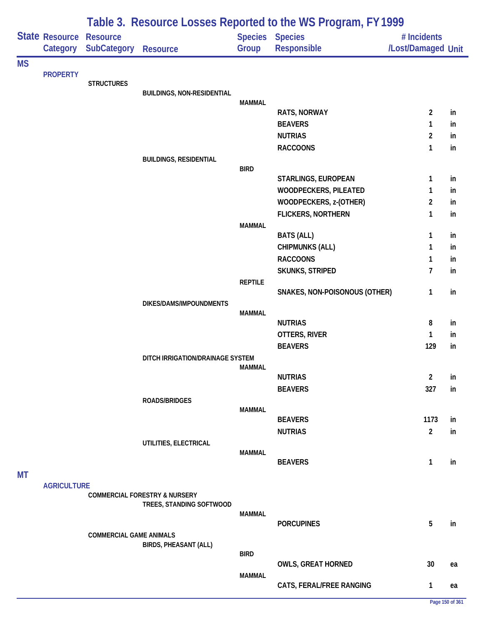|           |                            |                                |                                          |                         | Table 3. Resource Losses Reported to the WS Program, FY 1999 |                                   |    |
|-----------|----------------------------|--------------------------------|------------------------------------------|-------------------------|--------------------------------------------------------------|-----------------------------------|----|
|           | State Resource<br>Category | <b>Resource</b><br>SubCategory | <b>Resource</b>                          | <b>Species</b><br>Group | <b>Species</b><br>Responsible                                | # Incidents<br>/Lost/Damaged Unit |    |
| <b>MS</b> |                            |                                |                                          |                         |                                                              |                                   |    |
|           | <b>PROPERTY</b>            |                                |                                          |                         |                                                              |                                   |    |
|           |                            | <b>STRUCTURES</b>              |                                          |                         |                                                              |                                   |    |
|           |                            |                                | <b>BUILDINGS, NON-RESIDENTIAL</b>        | <b>MAMMAL</b>           |                                                              |                                   |    |
|           |                            |                                |                                          |                         | RATS, NORWAY                                                 | $\overline{2}$                    | in |
|           |                            |                                |                                          |                         | <b>BEAVERS</b>                                               | 1                                 | in |
|           |                            |                                |                                          |                         | <b>NUTRIAS</b>                                               | $\overline{2}$                    | in |
|           |                            |                                |                                          |                         | <b>RACCOONS</b>                                              | $\mathbf{1}$                      | in |
|           |                            |                                | <b>BUILDINGS, RESIDENTIAL</b>            |                         |                                                              |                                   |    |
|           |                            |                                |                                          | <b>BIRD</b>             |                                                              |                                   |    |
|           |                            |                                |                                          |                         | STARLINGS, EUROPEAN                                          | 1                                 | in |
|           |                            |                                |                                          |                         | WOODPECKERS, PILEATED                                        | 1                                 | in |
|           |                            |                                |                                          |                         | WOODPECKERS, z-(OTHER)                                       | $\overline{2}$                    | in |
|           |                            |                                |                                          |                         | <b>FLICKERS, NORTHERN</b>                                    | 1                                 | in |
|           |                            |                                |                                          | <b>MAMMAL</b>           | <b>BATS (ALL)</b>                                            | 1                                 | in |
|           |                            |                                |                                          |                         | <b>CHIPMUNKS (ALL)</b>                                       | 1                                 | in |
|           |                            |                                |                                          |                         | <b>RACCOONS</b>                                              | 1                                 | in |
|           |                            |                                |                                          |                         | SKUNKS, STRIPED                                              | $\overline{7}$                    | in |
|           |                            |                                |                                          | <b>REPTILE</b>          |                                                              |                                   |    |
|           |                            |                                |                                          |                         | SNAKES, NON-POISONOUS (OTHER)                                | 1                                 | in |
|           |                            |                                | DIKES/DAMS/IMPOUNDMENTS                  |                         |                                                              |                                   |    |
|           |                            |                                |                                          | <b>MAMMAL</b>           |                                                              |                                   |    |
|           |                            |                                |                                          |                         | <b>NUTRIAS</b>                                               | 8                                 | in |
|           |                            |                                |                                          |                         | OTTERS, RIVER                                                | 1                                 | in |
|           |                            |                                |                                          |                         | <b>BEAVERS</b>                                               | 129                               | in |
|           |                            |                                | DITCH IRRIGATION/DRAINAGE SYSTEM         | MAMMAL                  |                                                              |                                   |    |
|           |                            |                                |                                          |                         | <b>NUTRIAS</b>                                               | $\overline{2}$                    | in |
|           |                            |                                |                                          |                         | <b>BEAVERS</b>                                               | 327                               | in |
|           |                            |                                | <b>ROADS/BRIDGES</b>                     |                         |                                                              |                                   |    |
|           |                            |                                |                                          | <b>MAMMAL</b>           |                                                              |                                   |    |
|           |                            |                                |                                          |                         | <b>BEAVERS</b>                                               | 1173                              | in |
|           |                            |                                |                                          |                         | <b>NUTRIAS</b>                                               | $\overline{2}$                    | in |
|           |                            |                                | UTILITIES, ELECTRICAL                    |                         |                                                              |                                   |    |
|           |                            |                                |                                          | <b>MAMMAL</b>           | <b>BEAVERS</b>                                               | 1                                 | in |
| <b>MT</b> |                            |                                |                                          |                         |                                                              |                                   |    |
|           | <b>AGRICULTURE</b>         |                                |                                          |                         |                                                              |                                   |    |
|           |                            |                                | <b>COMMERCIAL FORESTRY &amp; NURSERY</b> |                         |                                                              |                                   |    |
|           |                            |                                | TREES, STANDING SOFTWOOD                 |                         |                                                              |                                   |    |
|           |                            |                                |                                          | MAMMAL                  | <b>PORCUPINES</b>                                            | $5\phantom{.0}$                   |    |
|           |                            | <b>COMMERCIAL GAME ANIMALS</b> |                                          |                         |                                                              |                                   | in |
|           |                            |                                | BIRDS, PHEASANT (ALL)                    |                         |                                                              |                                   |    |
|           |                            |                                |                                          | <b>BIRD</b>             |                                                              |                                   |    |
|           |                            |                                |                                          |                         | <b>OWLS, GREAT HORNED</b>                                    | 30                                | ea |
|           |                            |                                |                                          | <b>MAMMAL</b>           |                                                              |                                   |    |
|           |                            |                                |                                          |                         | CATS, FERAL/FREE RANGING                                     | 1                                 | ea |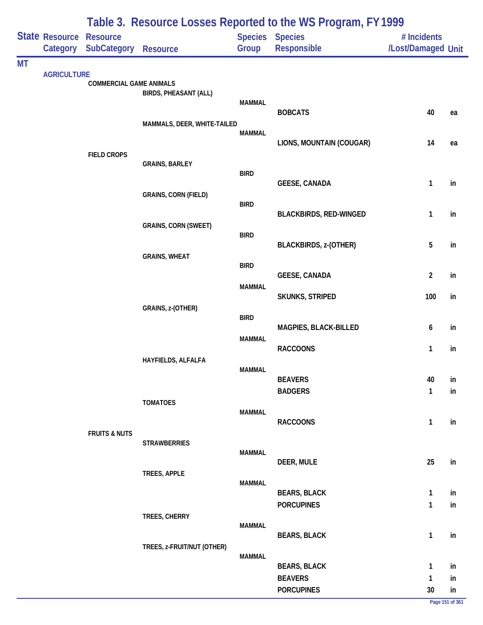|           |                            |                                       |                              |               | Table 3. Resource Losses Reported to the WS Program, FY 1999 |                                   |          |
|-----------|----------------------------|---------------------------------------|------------------------------|---------------|--------------------------------------------------------------|-----------------------------------|----------|
|           | State Resource<br>Category | <b>Resource</b><br><b>SubCategory</b> | <b>Resource</b>              | Group         | Species Species<br>Responsible                               | # Incidents<br>/Lost/Damaged Unit |          |
| <b>MT</b> |                            |                                       |                              |               |                                                              |                                   |          |
|           | <b>AGRICULTURE</b>         | <b>COMMERCIAL GAME ANIMALS</b>        |                              |               |                                                              |                                   |          |
|           |                            |                                       | <b>BIRDS, PHEASANT (ALL)</b> | <b>MAMMAL</b> |                                                              |                                   |          |
|           |                            |                                       |                              |               | <b>BOBCATS</b>                                               | 40                                | ea       |
|           |                            |                                       | MAMMALS, DEER, WHITE-TAILED  | <b>MAMMAL</b> |                                                              |                                   |          |
|           |                            | <b>FIELD CROPS</b>                    |                              |               | LIONS, MOUNTAIN (COUGAR)                                     | 14                                | ea       |
|           |                            |                                       | <b>GRAINS, BARLEY</b>        |               |                                                              |                                   |          |
|           |                            |                                       |                              | <b>BIRD</b>   | <b>GEESE, CANADA</b>                                         | $\mathbf{1}$                      | in       |
|           |                            |                                       | <b>GRAINS, CORN (FIELD)</b>  | <b>BIRD</b>   |                                                              |                                   |          |
|           |                            |                                       |                              |               | <b>BLACKBIRDS, RED-WINGED</b>                                | 1                                 | in       |
|           |                            |                                       | <b>GRAINS, CORN (SWEET)</b>  | <b>BIRD</b>   |                                                              |                                   |          |
|           |                            |                                       |                              |               | <b>BLACKBIRDS, z-(OTHER)</b>                                 | 5                                 | in       |
|           |                            |                                       | <b>GRAINS, WHEAT</b>         | <b>BIRD</b>   |                                                              |                                   |          |
|           |                            |                                       |                              | <b>MAMMAL</b> | <b>GEESE, CANADA</b>                                         | $\overline{2}$                    | in       |
|           |                            |                                       |                              |               | <b>SKUNKS, STRIPED</b>                                       | 100                               | in       |
|           |                            |                                       | GRAINS, z-(OTHER)            | <b>BIRD</b>   |                                                              |                                   |          |
|           |                            |                                       |                              | <b>MAMMAL</b> | MAGPIES, BLACK-BILLED                                        | 6                                 | in       |
|           |                            |                                       |                              |               | <b>RACCOONS</b>                                              | $\mathbf{1}$                      | in       |
|           |                            |                                       | HAYFIELDS, ALFALFA           | <b>MAMMAL</b> |                                                              |                                   |          |
|           |                            |                                       |                              |               | <b>BEAVERS</b>                                               | 40                                | in       |
|           |                            |                                       | <b>TOMATOES</b>              |               | <b>BADGERS</b>                                               | $\mathbf{1}$                      | in       |
|           |                            |                                       |                              | <b>MAMMAL</b> | <b>RACCOONS</b>                                              | $\mathbf{1}$                      | in       |
|           |                            | <b>FRUITS &amp; NUTS</b>              |                              |               |                                                              |                                   |          |
|           |                            |                                       | <b>STRAWBERRIES</b>          | <b>MAMMAL</b> |                                                              |                                   |          |
|           |                            |                                       |                              |               | DEER, MULE                                                   | 25                                | in       |
|           |                            |                                       | TREES, APPLE                 | MAMMAL        |                                                              |                                   |          |
|           |                            |                                       |                              |               | <b>BEARS, BLACK</b><br><b>PORCUPINES</b>                     | $\mathbf{1}$<br>$\mathbf{1}$      | in<br>in |
|           |                            |                                       | TREES, CHERRY                |               |                                                              |                                   |          |
|           |                            |                                       |                              | <b>MAMMAL</b> | <b>BEARS, BLACK</b>                                          | $\mathbf{1}$                      | in       |
|           |                            |                                       | TREES, z-FRUIT/NUT (OTHER)   | <b>MAMMAL</b> |                                                              |                                   |          |
|           |                            |                                       |                              |               | <b>BEARS, BLACK</b>                                          | $\mathbf{1}$                      | in       |
|           |                            |                                       |                              |               | <b>BEAVERS</b>                                               | $\mathbf{1}$                      | in       |
|           |                            |                                       |                              |               | <b>PORCUPINES</b>                                            | $30\,$                            | in       |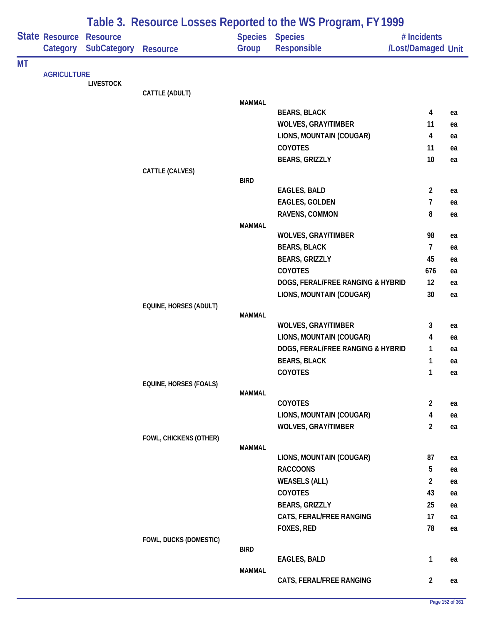|    |                            |                                       |                        |               | Table 3. Resource Losses Reported to the WS Program, FY 1999 |                                   |          |
|----|----------------------------|---------------------------------------|------------------------|---------------|--------------------------------------------------------------|-----------------------------------|----------|
|    | State Resource<br>Category | <b>Resource</b><br><b>SubCategory</b> | <b>Resource</b>        | Group         | Species Species<br>Responsible                               | # Incidents<br>/Lost/Damaged Unit |          |
| МT |                            |                                       |                        |               |                                                              |                                   |          |
|    | <b>AGRICULTURE</b>         | <b>LIVESTOCK</b>                      |                        |               |                                                              |                                   |          |
|    |                            |                                       | CATTLE (ADULT)         |               |                                                              |                                   |          |
|    |                            |                                       |                        | <b>MAMMAL</b> |                                                              |                                   |          |
|    |                            |                                       |                        |               | <b>BEARS, BLACK</b>                                          | 4<br>11                           | ea       |
|    |                            |                                       |                        |               | <b>WOLVES, GRAY/TIMBER</b><br>LIONS, MOUNTAIN (COUGAR)       | 4                                 | ea<br>ea |
|    |                            |                                       |                        |               | <b>COYOTES</b>                                               | 11                                | ea       |
|    |                            |                                       |                        |               | <b>BEARS, GRIZZLY</b>                                        | 10                                | ea       |
|    |                            |                                       | CATTLE (CALVES)        |               |                                                              |                                   |          |
|    |                            |                                       |                        | <b>BIRD</b>   |                                                              |                                   |          |
|    |                            |                                       |                        |               | EAGLES, BALD                                                 | $\overline{2}$                    | ea       |
|    |                            |                                       |                        |               | <b>EAGLES, GOLDEN</b>                                        | 7                                 | ea       |
|    |                            |                                       |                        |               | RAVENS, COMMON                                               | 8                                 | ea       |
|    |                            |                                       |                        | <b>MAMMAL</b> |                                                              |                                   |          |
|    |                            |                                       |                        |               | <b>WOLVES, GRAY/TIMBER</b>                                   | 98                                | ea       |
|    |                            |                                       |                        |               | <b>BEARS, BLACK</b>                                          | $\overline{7}$                    | ea       |
|    |                            |                                       |                        |               | <b>BEARS, GRIZZLY</b>                                        | 45                                | ea       |
|    |                            |                                       |                        |               | <b>COYOTES</b>                                               | 676                               | ea       |
|    |                            |                                       |                        |               | DOGS, FERAL/FREE RANGING & HYBRID                            | 12                                | ea       |
|    |                            |                                       |                        |               | LIONS, MOUNTAIN (COUGAR)                                     | 30                                | ea       |
|    |                            |                                       | EQUINE, HORSES (ADULT) | <b>MAMMAL</b> |                                                              |                                   |          |
|    |                            |                                       |                        |               | <b>WOLVES, GRAY/TIMBER</b>                                   | 3                                 | ea       |
|    |                            |                                       |                        |               | LIONS, MOUNTAIN (COUGAR)                                     | 4                                 | ea       |
|    |                            |                                       |                        |               | DOGS, FERAL/FREE RANGING & HYBRID                            | 1                                 | ea       |
|    |                            |                                       |                        |               | <b>BEARS, BLACK</b>                                          | 1                                 | ea       |
|    |                            |                                       |                        |               | COYOTES                                                      | $\mathbf{1}$                      | ea       |
|    |                            |                                       | EQUINE, HORSES (FOALS) |               |                                                              |                                   |          |
|    |                            |                                       |                        | <b>MAMMAL</b> |                                                              |                                   |          |
|    |                            |                                       |                        |               | COYOTES                                                      | $\overline{2}$                    | ea       |
|    |                            |                                       |                        |               | LIONS, MOUNTAIN (COUGAR)                                     | 4                                 | ea       |
|    |                            |                                       |                        |               | <b>WOLVES, GRAY/TIMBER</b>                                   | $\overline{2}$                    | ea       |
|    |                            |                                       | FOWL, CHICKENS (OTHER) | <b>MAMMAL</b> |                                                              |                                   |          |
|    |                            |                                       |                        |               | LIONS, MOUNTAIN (COUGAR)                                     | 87                                | ea       |
|    |                            |                                       |                        |               | <b>RACCOONS</b>                                              | 5                                 | ea       |
|    |                            |                                       |                        |               | <b>WEASELS (ALL)</b>                                         | $\overline{2}$                    | ea       |
|    |                            |                                       |                        |               | COYOTES                                                      | 43                                | ea       |
|    |                            |                                       |                        |               | <b>BEARS, GRIZZLY</b>                                        | 25                                | ea       |
|    |                            |                                       |                        |               | CATS, FERAL/FREE RANGING                                     | 17                                | ea       |
|    |                            |                                       |                        |               | FOXES, RED                                                   | 78                                | ea       |
|    |                            |                                       | FOWL, DUCKS (DOMESTIC) |               |                                                              |                                   |          |
|    |                            |                                       |                        | <b>BIRD</b>   |                                                              |                                   |          |
|    |                            |                                       |                        |               | EAGLES, BALD                                                 | $\mathbf{1}$                      | ea       |
|    |                            |                                       |                        | <b>MAMMAL</b> | CATS, FERAL/FREE RANGING                                     | $\overline{2}$                    | ea       |
|    |                            |                                       |                        |               |                                                              |                                   |          |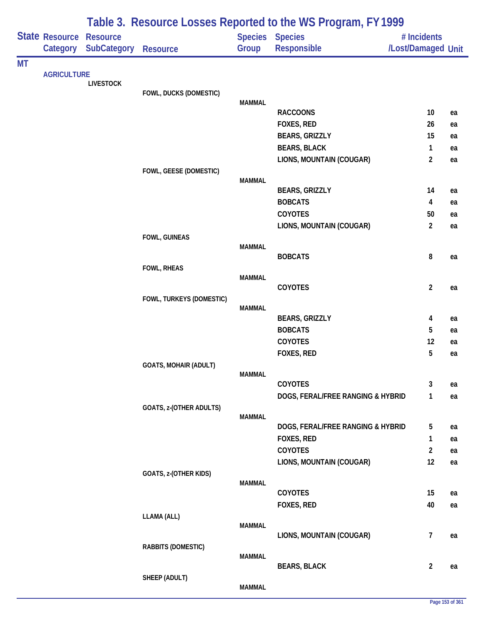|           |                            |                                       |                              |               | Table 3. Resource Losses Reported to the WS Program, FY 1999 |                                   |    |
|-----------|----------------------------|---------------------------------------|------------------------------|---------------|--------------------------------------------------------------|-----------------------------------|----|
|           | State Resource<br>Category | <b>Resource</b><br><b>SubCategory</b> | <b>Resource</b>              | Group         | Species Species<br><b>Responsible</b>                        | # Incidents<br>/Lost/Damaged Unit |    |
| <b>MT</b> |                            |                                       |                              |               |                                                              |                                   |    |
|           | <b>AGRICULTURE</b>         | <b>LIVESTOCK</b>                      |                              |               |                                                              |                                   |    |
|           |                            |                                       | FOWL, DUCKS (DOMESTIC)       |               |                                                              |                                   |    |
|           |                            |                                       |                              | <b>MAMMAL</b> | <b>RACCOONS</b>                                              | 10                                | ea |
|           |                            |                                       |                              |               | FOXES, RED                                                   | 26                                | ea |
|           |                            |                                       |                              |               | <b>BEARS, GRIZZLY</b>                                        | 15                                | ea |
|           |                            |                                       |                              |               | <b>BEARS, BLACK</b>                                          | $\mathbf{1}$                      | ea |
|           |                            |                                       |                              |               | LIONS, MOUNTAIN (COUGAR)                                     | $\overline{2}$                    | ea |
|           |                            |                                       | FOWL, GEESE (DOMESTIC)       |               |                                                              |                                   |    |
|           |                            |                                       |                              | <b>MAMMAL</b> |                                                              |                                   |    |
|           |                            |                                       |                              |               | <b>BEARS, GRIZZLY</b>                                        | 14                                | ea |
|           |                            |                                       |                              |               | <b>BOBCATS</b>                                               | 4                                 | ea |
|           |                            |                                       |                              |               | COYOTES                                                      | 50                                | ea |
|           |                            |                                       |                              |               | LIONS, MOUNTAIN (COUGAR)                                     | $\overline{2}$                    | ea |
|           |                            |                                       | FOWL, GUINEAS                | <b>MAMMAL</b> |                                                              |                                   |    |
|           |                            |                                       |                              |               | <b>BOBCATS</b>                                               | 8                                 | ea |
|           |                            |                                       | <b>FOWL, RHEAS</b>           |               |                                                              |                                   |    |
|           |                            |                                       |                              | <b>MAMMAL</b> |                                                              |                                   |    |
|           |                            |                                       |                              |               | COYOTES                                                      | $\overline{2}$                    | ea |
|           |                            |                                       | FOWL, TURKEYS (DOMESTIC)     | <b>MAMMAL</b> |                                                              |                                   |    |
|           |                            |                                       |                              |               | <b>BEARS, GRIZZLY</b>                                        | 4                                 | ea |
|           |                            |                                       |                              |               | <b>BOBCATS</b>                                               | 5                                 | ea |
|           |                            |                                       |                              |               | COYOTES                                                      | 12                                | ea |
|           |                            |                                       |                              |               | FOXES, RED                                                   | 5                                 | ea |
|           |                            |                                       | <b>GOATS, MOHAIR (ADULT)</b> |               |                                                              |                                   |    |
|           |                            |                                       |                              | <b>MAMMAL</b> |                                                              |                                   |    |
|           |                            |                                       |                              |               | <b>COYOTES</b>                                               | 3                                 | ea |
|           |                            |                                       |                              |               | DOGS, FERAL/FREE RANGING & HYBRID                            | 1                                 | ea |
|           |                            |                                       | GOATS, z-(OTHER ADULTS)      | <b>MAMMAL</b> |                                                              |                                   |    |
|           |                            |                                       |                              |               | DOGS, FERAL/FREE RANGING & HYBRID                            | 5                                 | ea |
|           |                            |                                       |                              |               | FOXES, RED                                                   | 1                                 | ea |
|           |                            |                                       |                              |               | COYOTES                                                      | $\overline{2}$                    | ea |
|           |                            |                                       |                              |               | LIONS, MOUNTAIN (COUGAR)                                     | 12                                | ea |
|           |                            |                                       | GOATS, z-(OTHER KIDS)        |               |                                                              |                                   |    |
|           |                            |                                       |                              | <b>MAMMAL</b> |                                                              |                                   |    |
|           |                            |                                       |                              |               | COYOTES                                                      | 15<br>40                          | ea |
|           |                            |                                       | LLAMA (ALL)                  |               | FOXES, RED                                                   |                                   | ea |
|           |                            |                                       |                              | <b>MAMMAL</b> |                                                              |                                   |    |
|           |                            |                                       |                              |               | LIONS, MOUNTAIN (COUGAR)                                     | $\overline{7}$                    | ea |
|           |                            |                                       | RABBITS (DOMESTIC)           |               |                                                              |                                   |    |
|           |                            |                                       |                              | <b>MAMMAL</b> |                                                              |                                   |    |
|           |                            |                                       | SHEEP (ADULT)                |               | <b>BEARS, BLACK</b>                                          | $\overline{2}$                    | ea |
|           |                            |                                       |                              | <b>MAMMAL</b> |                                                              |                                   |    |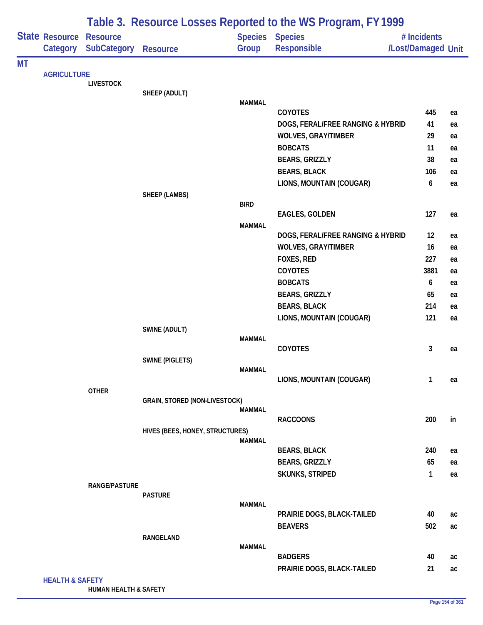| Species Species<br>State Resource<br><b>Resource</b><br># Incidents<br>Responsible<br><b>SubCategory</b><br>Group<br>/Lost/Damaged Unit<br>Category<br><b>Resource</b><br><b>AGRICULTURE</b><br><b>LIVESTOCK</b><br>SHEEP (ADULT)<br><b>MAMMAL</b><br><b>COYOTES</b><br>445<br>ea<br>DOGS, FERAL/FREE RANGING & HYBRID<br>41<br>ea<br><b>WOLVES, GRAY/TIMBER</b><br>29<br>ea<br><b>BOBCATS</b><br>11<br>ea<br><b>BEARS, GRIZZLY</b><br>38<br>ea<br><b>BEARS, BLACK</b><br>106<br>ea<br>LIONS, MOUNTAIN (COUGAR)<br>6<br>ea<br><b>SHEEP (LAMBS)</b><br><b>BIRD</b><br><b>EAGLES, GOLDEN</b><br>127<br>ea<br><b>MAMMAL</b><br>DOGS, FERAL/FREE RANGING & HYBRID<br>12<br>ea<br><b>WOLVES, GRAY/TIMBER</b><br>16<br>ea<br>FOXES, RED<br>227<br>ea<br>COYOTES<br>3881<br>ea<br><b>BOBCATS</b><br>6<br>ea<br><b>BEARS, GRIZZLY</b><br>65<br>ea<br><b>BEARS, BLACK</b><br>214<br>ea<br>121<br>LIONS, MOUNTAIN (COUGAR)<br>ea<br><b>SWINE (ADULT)</b><br><b>MAMMAL</b><br>COYOTES<br>3<br>ea<br><b>SWINE (PIGLETS)</b><br><b>MAMMAL</b><br>LIONS, MOUNTAIN (COUGAR)<br>1<br>ea<br><b>OTHER</b><br><b>GRAIN, STORED (NON-LIVESTOCK)</b><br><b>MAMMAL</b><br><b>RACCOONS</b><br>200<br>in<br>HIVES (BEES, HONEY, STRUCTURES)<br><b>MAMMAL</b><br><b>BEARS, BLACK</b><br>240<br>ea<br><b>BEARS, GRIZZLY</b><br>65<br>ea<br><b>SKUNKS, STRIPED</b><br>$\mathbf{1}$<br>ea<br><b>RANGE/PASTURE</b><br><b>PASTURE</b><br><b>MAMMAL</b><br>PRAIRIE DOGS, BLACK-TAILED<br>40<br>ac<br><b>BEAVERS</b><br>502<br>ac<br>RANGELAND<br><b>MAMMAL</b><br><b>BADGERS</b><br>40<br>ac<br>21<br>PRAIRIE DOGS, BLACK-TAILED<br>ac<br><b>HEALTH &amp; SAFETY</b> |           |  |  | Table 3. Resource Losses Reported to the WS Program, FY 1999 |  |
|---------------------------------------------------------------------------------------------------------------------------------------------------------------------------------------------------------------------------------------------------------------------------------------------------------------------------------------------------------------------------------------------------------------------------------------------------------------------------------------------------------------------------------------------------------------------------------------------------------------------------------------------------------------------------------------------------------------------------------------------------------------------------------------------------------------------------------------------------------------------------------------------------------------------------------------------------------------------------------------------------------------------------------------------------------------------------------------------------------------------------------------------------------------------------------------------------------------------------------------------------------------------------------------------------------------------------------------------------------------------------------------------------------------------------------------------------------------------------------------------------------------------------------------------------------------------------------------------------------------------------------------|-----------|--|--|--------------------------------------------------------------|--|
|                                                                                                                                                                                                                                                                                                                                                                                                                                                                                                                                                                                                                                                                                                                                                                                                                                                                                                                                                                                                                                                                                                                                                                                                                                                                                                                                                                                                                                                                                                                                                                                                                                       |           |  |  |                                                              |  |
|                                                                                                                                                                                                                                                                                                                                                                                                                                                                                                                                                                                                                                                                                                                                                                                                                                                                                                                                                                                                                                                                                                                                                                                                                                                                                                                                                                                                                                                                                                                                                                                                                                       | <b>MT</b> |  |  |                                                              |  |
|                                                                                                                                                                                                                                                                                                                                                                                                                                                                                                                                                                                                                                                                                                                                                                                                                                                                                                                                                                                                                                                                                                                                                                                                                                                                                                                                                                                                                                                                                                                                                                                                                                       |           |  |  |                                                              |  |
|                                                                                                                                                                                                                                                                                                                                                                                                                                                                                                                                                                                                                                                                                                                                                                                                                                                                                                                                                                                                                                                                                                                                                                                                                                                                                                                                                                                                                                                                                                                                                                                                                                       |           |  |  |                                                              |  |
|                                                                                                                                                                                                                                                                                                                                                                                                                                                                                                                                                                                                                                                                                                                                                                                                                                                                                                                                                                                                                                                                                                                                                                                                                                                                                                                                                                                                                                                                                                                                                                                                                                       |           |  |  |                                                              |  |
|                                                                                                                                                                                                                                                                                                                                                                                                                                                                                                                                                                                                                                                                                                                                                                                                                                                                                                                                                                                                                                                                                                                                                                                                                                                                                                                                                                                                                                                                                                                                                                                                                                       |           |  |  |                                                              |  |
|                                                                                                                                                                                                                                                                                                                                                                                                                                                                                                                                                                                                                                                                                                                                                                                                                                                                                                                                                                                                                                                                                                                                                                                                                                                                                                                                                                                                                                                                                                                                                                                                                                       |           |  |  |                                                              |  |
|                                                                                                                                                                                                                                                                                                                                                                                                                                                                                                                                                                                                                                                                                                                                                                                                                                                                                                                                                                                                                                                                                                                                                                                                                                                                                                                                                                                                                                                                                                                                                                                                                                       |           |  |  |                                                              |  |
|                                                                                                                                                                                                                                                                                                                                                                                                                                                                                                                                                                                                                                                                                                                                                                                                                                                                                                                                                                                                                                                                                                                                                                                                                                                                                                                                                                                                                                                                                                                                                                                                                                       |           |  |  |                                                              |  |
|                                                                                                                                                                                                                                                                                                                                                                                                                                                                                                                                                                                                                                                                                                                                                                                                                                                                                                                                                                                                                                                                                                                                                                                                                                                                                                                                                                                                                                                                                                                                                                                                                                       |           |  |  |                                                              |  |
|                                                                                                                                                                                                                                                                                                                                                                                                                                                                                                                                                                                                                                                                                                                                                                                                                                                                                                                                                                                                                                                                                                                                                                                                                                                                                                                                                                                                                                                                                                                                                                                                                                       |           |  |  |                                                              |  |
|                                                                                                                                                                                                                                                                                                                                                                                                                                                                                                                                                                                                                                                                                                                                                                                                                                                                                                                                                                                                                                                                                                                                                                                                                                                                                                                                                                                                                                                                                                                                                                                                                                       |           |  |  |                                                              |  |
|                                                                                                                                                                                                                                                                                                                                                                                                                                                                                                                                                                                                                                                                                                                                                                                                                                                                                                                                                                                                                                                                                                                                                                                                                                                                                                                                                                                                                                                                                                                                                                                                                                       |           |  |  |                                                              |  |
|                                                                                                                                                                                                                                                                                                                                                                                                                                                                                                                                                                                                                                                                                                                                                                                                                                                                                                                                                                                                                                                                                                                                                                                                                                                                                                                                                                                                                                                                                                                                                                                                                                       |           |  |  |                                                              |  |
|                                                                                                                                                                                                                                                                                                                                                                                                                                                                                                                                                                                                                                                                                                                                                                                                                                                                                                                                                                                                                                                                                                                                                                                                                                                                                                                                                                                                                                                                                                                                                                                                                                       |           |  |  |                                                              |  |
|                                                                                                                                                                                                                                                                                                                                                                                                                                                                                                                                                                                                                                                                                                                                                                                                                                                                                                                                                                                                                                                                                                                                                                                                                                                                                                                                                                                                                                                                                                                                                                                                                                       |           |  |  |                                                              |  |
|                                                                                                                                                                                                                                                                                                                                                                                                                                                                                                                                                                                                                                                                                                                                                                                                                                                                                                                                                                                                                                                                                                                                                                                                                                                                                                                                                                                                                                                                                                                                                                                                                                       |           |  |  |                                                              |  |
|                                                                                                                                                                                                                                                                                                                                                                                                                                                                                                                                                                                                                                                                                                                                                                                                                                                                                                                                                                                                                                                                                                                                                                                                                                                                                                                                                                                                                                                                                                                                                                                                                                       |           |  |  |                                                              |  |
|                                                                                                                                                                                                                                                                                                                                                                                                                                                                                                                                                                                                                                                                                                                                                                                                                                                                                                                                                                                                                                                                                                                                                                                                                                                                                                                                                                                                                                                                                                                                                                                                                                       |           |  |  |                                                              |  |
|                                                                                                                                                                                                                                                                                                                                                                                                                                                                                                                                                                                                                                                                                                                                                                                                                                                                                                                                                                                                                                                                                                                                                                                                                                                                                                                                                                                                                                                                                                                                                                                                                                       |           |  |  |                                                              |  |
|                                                                                                                                                                                                                                                                                                                                                                                                                                                                                                                                                                                                                                                                                                                                                                                                                                                                                                                                                                                                                                                                                                                                                                                                                                                                                                                                                                                                                                                                                                                                                                                                                                       |           |  |  |                                                              |  |
|                                                                                                                                                                                                                                                                                                                                                                                                                                                                                                                                                                                                                                                                                                                                                                                                                                                                                                                                                                                                                                                                                                                                                                                                                                                                                                                                                                                                                                                                                                                                                                                                                                       |           |  |  |                                                              |  |
|                                                                                                                                                                                                                                                                                                                                                                                                                                                                                                                                                                                                                                                                                                                                                                                                                                                                                                                                                                                                                                                                                                                                                                                                                                                                                                                                                                                                                                                                                                                                                                                                                                       |           |  |  |                                                              |  |
|                                                                                                                                                                                                                                                                                                                                                                                                                                                                                                                                                                                                                                                                                                                                                                                                                                                                                                                                                                                                                                                                                                                                                                                                                                                                                                                                                                                                                                                                                                                                                                                                                                       |           |  |  |                                                              |  |
|                                                                                                                                                                                                                                                                                                                                                                                                                                                                                                                                                                                                                                                                                                                                                                                                                                                                                                                                                                                                                                                                                                                                                                                                                                                                                                                                                                                                                                                                                                                                                                                                                                       |           |  |  |                                                              |  |
|                                                                                                                                                                                                                                                                                                                                                                                                                                                                                                                                                                                                                                                                                                                                                                                                                                                                                                                                                                                                                                                                                                                                                                                                                                                                                                                                                                                                                                                                                                                                                                                                                                       |           |  |  |                                                              |  |
|                                                                                                                                                                                                                                                                                                                                                                                                                                                                                                                                                                                                                                                                                                                                                                                                                                                                                                                                                                                                                                                                                                                                                                                                                                                                                                                                                                                                                                                                                                                                                                                                                                       |           |  |  |                                                              |  |
|                                                                                                                                                                                                                                                                                                                                                                                                                                                                                                                                                                                                                                                                                                                                                                                                                                                                                                                                                                                                                                                                                                                                                                                                                                                                                                                                                                                                                                                                                                                                                                                                                                       |           |  |  |                                                              |  |
|                                                                                                                                                                                                                                                                                                                                                                                                                                                                                                                                                                                                                                                                                                                                                                                                                                                                                                                                                                                                                                                                                                                                                                                                                                                                                                                                                                                                                                                                                                                                                                                                                                       |           |  |  |                                                              |  |
|                                                                                                                                                                                                                                                                                                                                                                                                                                                                                                                                                                                                                                                                                                                                                                                                                                                                                                                                                                                                                                                                                                                                                                                                                                                                                                                                                                                                                                                                                                                                                                                                                                       |           |  |  |                                                              |  |
|                                                                                                                                                                                                                                                                                                                                                                                                                                                                                                                                                                                                                                                                                                                                                                                                                                                                                                                                                                                                                                                                                                                                                                                                                                                                                                                                                                                                                                                                                                                                                                                                                                       |           |  |  |                                                              |  |
|                                                                                                                                                                                                                                                                                                                                                                                                                                                                                                                                                                                                                                                                                                                                                                                                                                                                                                                                                                                                                                                                                                                                                                                                                                                                                                                                                                                                                                                                                                                                                                                                                                       |           |  |  |                                                              |  |
|                                                                                                                                                                                                                                                                                                                                                                                                                                                                                                                                                                                                                                                                                                                                                                                                                                                                                                                                                                                                                                                                                                                                                                                                                                                                                                                                                                                                                                                                                                                                                                                                                                       |           |  |  |                                                              |  |
|                                                                                                                                                                                                                                                                                                                                                                                                                                                                                                                                                                                                                                                                                                                                                                                                                                                                                                                                                                                                                                                                                                                                                                                                                                                                                                                                                                                                                                                                                                                                                                                                                                       |           |  |  |                                                              |  |
|                                                                                                                                                                                                                                                                                                                                                                                                                                                                                                                                                                                                                                                                                                                                                                                                                                                                                                                                                                                                                                                                                                                                                                                                                                                                                                                                                                                                                                                                                                                                                                                                                                       |           |  |  |                                                              |  |
|                                                                                                                                                                                                                                                                                                                                                                                                                                                                                                                                                                                                                                                                                                                                                                                                                                                                                                                                                                                                                                                                                                                                                                                                                                                                                                                                                                                                                                                                                                                                                                                                                                       |           |  |  |                                                              |  |
|                                                                                                                                                                                                                                                                                                                                                                                                                                                                                                                                                                                                                                                                                                                                                                                                                                                                                                                                                                                                                                                                                                                                                                                                                                                                                                                                                                                                                                                                                                                                                                                                                                       |           |  |  |                                                              |  |
|                                                                                                                                                                                                                                                                                                                                                                                                                                                                                                                                                                                                                                                                                                                                                                                                                                                                                                                                                                                                                                                                                                                                                                                                                                                                                                                                                                                                                                                                                                                                                                                                                                       |           |  |  |                                                              |  |
|                                                                                                                                                                                                                                                                                                                                                                                                                                                                                                                                                                                                                                                                                                                                                                                                                                                                                                                                                                                                                                                                                                                                                                                                                                                                                                                                                                                                                                                                                                                                                                                                                                       |           |  |  |                                                              |  |
|                                                                                                                                                                                                                                                                                                                                                                                                                                                                                                                                                                                                                                                                                                                                                                                                                                                                                                                                                                                                                                                                                                                                                                                                                                                                                                                                                                                                                                                                                                                                                                                                                                       |           |  |  |                                                              |  |
|                                                                                                                                                                                                                                                                                                                                                                                                                                                                                                                                                                                                                                                                                                                                                                                                                                                                                                                                                                                                                                                                                                                                                                                                                                                                                                                                                                                                                                                                                                                                                                                                                                       |           |  |  |                                                              |  |
|                                                                                                                                                                                                                                                                                                                                                                                                                                                                                                                                                                                                                                                                                                                                                                                                                                                                                                                                                                                                                                                                                                                                                                                                                                                                                                                                                                                                                                                                                                                                                                                                                                       |           |  |  |                                                              |  |
|                                                                                                                                                                                                                                                                                                                                                                                                                                                                                                                                                                                                                                                                                                                                                                                                                                                                                                                                                                                                                                                                                                                                                                                                                                                                                                                                                                                                                                                                                                                                                                                                                                       |           |  |  |                                                              |  |

**HUMAN HEALTH & SAFETY**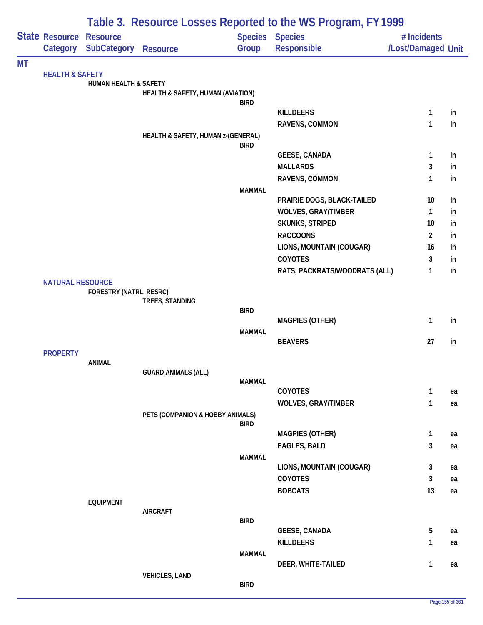|           |                            |                                       |                                              |               | Table 3. Resource Losses Reported to the WS Program, FY 1999 |                                   |          |
|-----------|----------------------------|---------------------------------------|----------------------------------------------|---------------|--------------------------------------------------------------|-----------------------------------|----------|
|           | State Resource<br>Category | <b>Resource</b><br><b>SubCategory</b> | <b>Resource</b>                              | Group         | <b>Species Species</b><br>Responsible                        | # Incidents<br>/Lost/Damaged Unit |          |
| <b>MT</b> |                            |                                       |                                              |               |                                                              |                                   |          |
|           | <b>HEALTH &amp; SAFETY</b> | <b>HUMAN HEALTH &amp; SAFETY</b>      |                                              |               |                                                              |                                   |          |
|           |                            |                                       | <b>HEALTH &amp; SAFETY, HUMAN (AVIATION)</b> |               |                                                              |                                   |          |
|           |                            |                                       |                                              | <b>BIRD</b>   |                                                              |                                   |          |
|           |                            |                                       |                                              |               | <b>KILLDEERS</b>                                             | 1                                 | in       |
|           |                            |                                       |                                              |               | RAVENS, COMMON                                               | 1                                 | in       |
|           |                            |                                       | HEALTH & SAFETY, HUMAN z-(GENERAL)           | <b>BIRD</b>   |                                                              |                                   |          |
|           |                            |                                       |                                              |               | <b>GEESE, CANADA</b>                                         | 1                                 | in       |
|           |                            |                                       |                                              |               | <b>MALLARDS</b>                                              | 3                                 | in       |
|           |                            |                                       |                                              |               | RAVENS, COMMON                                               | 1                                 | in       |
|           |                            |                                       |                                              | <b>MAMMAL</b> |                                                              |                                   |          |
|           |                            |                                       |                                              |               | PRAIRIE DOGS, BLACK-TAILED<br><b>WOLVES, GRAY/TIMBER</b>     | 10<br>$\mathbf{1}$                | in<br>in |
|           |                            |                                       |                                              |               | <b>SKUNKS, STRIPED</b>                                       | 10                                | in       |
|           |                            |                                       |                                              |               | <b>RACCOONS</b>                                              | $\overline{2}$                    | in       |
|           |                            |                                       |                                              |               | LIONS, MOUNTAIN (COUGAR)                                     | 16                                | in       |
|           |                            |                                       |                                              |               | COYOTES                                                      | 3                                 | in       |
|           |                            |                                       |                                              |               | RATS, PACKRATS/WOODRATS (ALL)                                | 1                                 | in       |
|           | <b>NATURAL RESOURCE</b>    |                                       |                                              |               |                                                              |                                   |          |
|           |                            | FORESTRY (NATRL. RESRC)               |                                              |               |                                                              |                                   |          |
|           |                            |                                       | TREES, STANDING                              | <b>BIRD</b>   |                                                              |                                   |          |
|           |                            |                                       |                                              |               | <b>MAGPIES (OTHER)</b>                                       | 1                                 | in       |
|           |                            |                                       |                                              | <b>MAMMAL</b> |                                                              |                                   |          |
|           |                            |                                       |                                              |               | <b>BEAVERS</b>                                               | 27                                | in       |
|           | <b>PROPERTY</b>            | <b>ANIMAL</b>                         |                                              |               |                                                              |                                   |          |
|           |                            |                                       | <b>GUARD ANIMALS (ALL)</b>                   |               |                                                              |                                   |          |
|           |                            |                                       |                                              | <b>MAMMAL</b> |                                                              |                                   |          |
|           |                            |                                       |                                              |               | COYOTES<br><b>WOLVES, GRAY/TIMBER</b>                        | 1<br>1                            | ea       |
|           |                            |                                       | PETS (COMPANION & HOBBY ANIMALS)             |               |                                                              |                                   | ea       |
|           |                            |                                       |                                              | <b>BIRD</b>   |                                                              |                                   |          |
|           |                            |                                       |                                              |               | <b>MAGPIES (OTHER)</b>                                       | 1                                 | ea       |
|           |                            |                                       |                                              |               | <b>EAGLES, BALD</b>                                          | 3                                 | ea       |
|           |                            |                                       |                                              | <b>MAMMAL</b> | LIONS, MOUNTAIN (COUGAR)                                     |                                   |          |
|           |                            |                                       |                                              |               | COYOTES                                                      | 3<br>3                            | ea<br>ea |
|           |                            |                                       |                                              |               | <b>BOBCATS</b>                                               | 13                                | ea       |
|           |                            | <b>EQUIPMENT</b>                      |                                              |               |                                                              |                                   |          |
|           |                            |                                       | <b>AIRCRAFT</b>                              |               |                                                              |                                   |          |
|           |                            |                                       |                                              | <b>BIRD</b>   |                                                              | 5                                 |          |
|           |                            |                                       |                                              |               | <b>GEESE, CANADA</b><br><b>KILLDEERS</b>                     | 1                                 | ea       |
|           |                            |                                       |                                              | <b>MAMMAL</b> |                                                              |                                   | ea       |
|           |                            |                                       |                                              |               | DEER, WHITE-TAILED                                           | 1                                 | ea       |
|           |                            |                                       | <b>VEHICLES, LAND</b>                        |               |                                                              |                                   |          |
|           |                            |                                       |                                              | <b>BIRD</b>   |                                                              |                                   |          |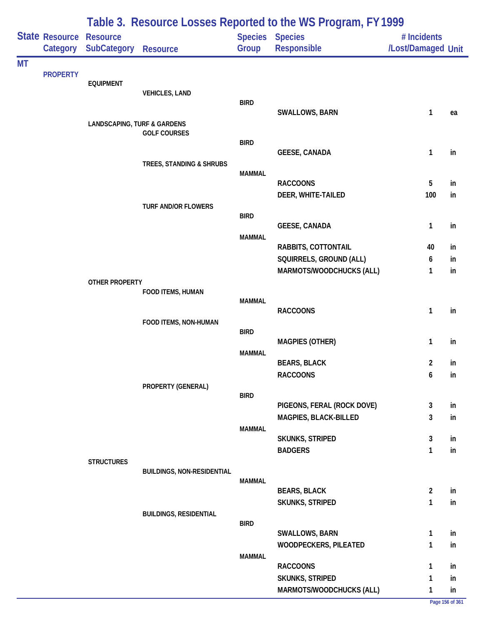|           |                                     | Table 3. Resource Losses Reported to the WS Program, FY 1999 |                                   |               |                                           |                                   |          |  |  |
|-----------|-------------------------------------|--------------------------------------------------------------|-----------------------------------|---------------|-------------------------------------------|-----------------------------------|----------|--|--|
|           | State Resource Resource<br>Category | <b>SubCategory</b>                                           | Resource                          | Group         | Species Species<br>Responsible            | # Incidents<br>/Lost/Damaged Unit |          |  |  |
| <b>MT</b> |                                     |                                                              |                                   |               |                                           |                                   |          |  |  |
|           | <b>PROPERTY</b>                     | <b>EQUIPMENT</b>                                             |                                   |               |                                           |                                   |          |  |  |
|           |                                     |                                                              | <b>VEHICLES, LAND</b>             |               |                                           |                                   |          |  |  |
|           |                                     |                                                              |                                   | <b>BIRD</b>   | SWALLOWS, BARN                            | 1                                 | ea       |  |  |
|           |                                     | <b>LANDSCAPING, TURF &amp; GARDENS</b>                       |                                   |               |                                           |                                   |          |  |  |
|           |                                     |                                                              | <b>GOLF COURSES</b>               | <b>BIRD</b>   |                                           |                                   |          |  |  |
|           |                                     |                                                              |                                   |               | <b>GEESE, CANADA</b>                      | 1                                 | in       |  |  |
|           |                                     |                                                              | TREES, STANDING & SHRUBS          |               |                                           |                                   |          |  |  |
|           |                                     |                                                              |                                   | <b>MAMMAL</b> | <b>RACCOONS</b>                           | 5                                 | in       |  |  |
|           |                                     |                                                              |                                   |               | DEER, WHITE-TAILED                        | 100                               | in       |  |  |
|           |                                     |                                                              | <b>TURF AND/OR FLOWERS</b>        |               |                                           |                                   |          |  |  |
|           |                                     |                                                              |                                   | <b>BIRD</b>   | <b>GEESE, CANADA</b>                      | 1                                 | in       |  |  |
|           |                                     |                                                              |                                   | <b>MAMMAL</b> |                                           |                                   |          |  |  |
|           |                                     |                                                              |                                   |               | RABBITS, COTTONTAIL                       | 40                                | in       |  |  |
|           |                                     |                                                              |                                   |               | SQUIRRELS, GROUND (ALL)                   | 6                                 | in       |  |  |
|           |                                     | <b>OTHER PROPERTY</b>                                        |                                   |               | MARMOTS/WOODCHUCKS (ALL)                  | 1                                 | in       |  |  |
|           |                                     |                                                              | FOOD ITEMS, HUMAN                 |               |                                           |                                   |          |  |  |
|           |                                     |                                                              |                                   | <b>MAMMAL</b> | <b>RACCOONS</b>                           | 1                                 | in       |  |  |
|           |                                     |                                                              | FOOD ITEMS, NON-HUMAN             |               |                                           |                                   |          |  |  |
|           |                                     |                                                              |                                   | <b>BIRD</b>   |                                           |                                   |          |  |  |
|           |                                     |                                                              |                                   | <b>MAMMAL</b> | <b>MAGPIES (OTHER)</b>                    | 1                                 | in       |  |  |
|           |                                     |                                                              |                                   |               | <b>BEARS, BLACK</b>                       | $\overline{2}$                    | in       |  |  |
|           |                                     |                                                              |                                   |               | <b>RACCOONS</b>                           | 6                                 | in       |  |  |
|           |                                     |                                                              | PROPERTY (GENERAL)                | <b>BIRD</b>   |                                           |                                   |          |  |  |
|           |                                     |                                                              |                                   |               | PIGEONS, FERAL (ROCK DOVE)                | 3                                 | in       |  |  |
|           |                                     |                                                              |                                   |               | MAGPIES, BLACK-BILLED                     | 3                                 | in       |  |  |
|           |                                     |                                                              |                                   | <b>MAMMAL</b> | <b>SKUNKS, STRIPED</b>                    | 3                                 | in       |  |  |
|           |                                     |                                                              |                                   |               | <b>BADGERS</b>                            | 1                                 | in       |  |  |
|           |                                     | <b>STRUCTURES</b>                                            |                                   |               |                                           |                                   |          |  |  |
|           |                                     |                                                              | <b>BUILDINGS, NON-RESIDENTIAL</b> | <b>MAMMAL</b> |                                           |                                   |          |  |  |
|           |                                     |                                                              |                                   |               | <b>BEARS, BLACK</b>                       | $\overline{2}$                    | in       |  |  |
|           |                                     |                                                              |                                   |               | <b>SKUNKS, STRIPED</b>                    | $\mathbf{1}$                      | in       |  |  |
|           |                                     |                                                              | <b>BUILDINGS, RESIDENTIAL</b>     | <b>BIRD</b>   |                                           |                                   |          |  |  |
|           |                                     |                                                              |                                   |               | <b>SWALLOWS, BARN</b>                     | $\mathbf{1}$                      | in       |  |  |
|           |                                     |                                                              |                                   |               | WOODPECKERS, PILEATED                     | 1                                 | in       |  |  |
|           |                                     |                                                              |                                   | <b>MAMMAL</b> |                                           |                                   |          |  |  |
|           |                                     |                                                              |                                   |               | <b>RACCOONS</b><br><b>SKUNKS, STRIPED</b> | 1<br>1                            | in<br>in |  |  |
|           |                                     |                                                              |                                   |               | MARMOTS/WOODCHUCKS (ALL)                  | 1                                 | in       |  |  |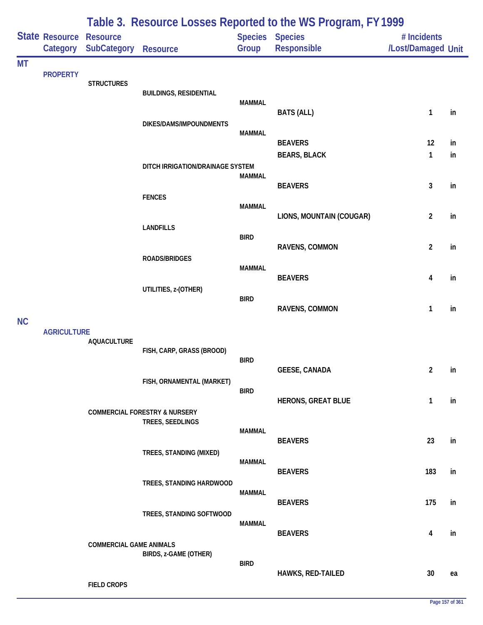|           |                                   | Table 3. Resource Losses Reported to the WS Program, FY 1999 |                                                              |               |                                              |                                   |    |  |  |
|-----------|-----------------------------------|--------------------------------------------------------------|--------------------------------------------------------------|---------------|----------------------------------------------|-----------------------------------|----|--|--|
|           | <b>State Resource</b><br>Category | <b>Resource</b><br><b>SubCategory</b>                        | Resource                                                     | Group         | <b>Species Species</b><br><b>Responsible</b> | # Incidents<br>/Lost/Damaged Unit |    |  |  |
| <b>MT</b> |                                   |                                                              |                                                              |               |                                              |                                   |    |  |  |
|           | <b>PROPERTY</b>                   | <b>STRUCTURES</b>                                            |                                                              |               |                                              |                                   |    |  |  |
|           |                                   |                                                              | <b>BUILDINGS, RESIDENTIAL</b>                                | <b>MAMMAL</b> |                                              |                                   |    |  |  |
|           |                                   |                                                              |                                                              |               | <b>BATS (ALL)</b>                            | 1                                 | in |  |  |
|           |                                   |                                                              | DIKES/DAMS/IMPOUNDMENTS                                      | <b>MAMMAL</b> |                                              |                                   |    |  |  |
|           |                                   |                                                              |                                                              |               | <b>BEAVERS</b>                               | 12                                | in |  |  |
|           |                                   |                                                              |                                                              |               | <b>BEARS, BLACK</b>                          | $\mathbf{1}$                      | in |  |  |
|           |                                   |                                                              | DITCH IRRIGATION/DRAINAGE SYSTEM                             | <b>MAMMAL</b> |                                              |                                   |    |  |  |
|           |                                   |                                                              |                                                              |               | <b>BEAVERS</b>                               | 3                                 | in |  |  |
|           |                                   |                                                              | <b>FENCES</b>                                                | <b>MAMMAL</b> |                                              |                                   |    |  |  |
|           |                                   |                                                              |                                                              |               | LIONS, MOUNTAIN (COUGAR)                     | $\overline{2}$                    | in |  |  |
|           |                                   |                                                              | <b>LANDFILLS</b>                                             | <b>BIRD</b>   |                                              |                                   |    |  |  |
|           |                                   |                                                              |                                                              |               | RAVENS, COMMON                               | $\overline{2}$                    | in |  |  |
|           |                                   |                                                              | <b>ROADS/BRIDGES</b>                                         | <b>MAMMAL</b> |                                              |                                   |    |  |  |
|           |                                   |                                                              |                                                              |               | <b>BEAVERS</b>                               | 4                                 | in |  |  |
|           |                                   |                                                              | UTILITIES, z-(OTHER)                                         | <b>BIRD</b>   |                                              |                                   |    |  |  |
|           |                                   |                                                              |                                                              |               | RAVENS, COMMON                               | 1                                 | in |  |  |
| <b>NC</b> | <b>AGRICULTURE</b>                |                                                              |                                                              |               |                                              |                                   |    |  |  |
|           |                                   | <b>AQUACULTURE</b>                                           |                                                              |               |                                              |                                   |    |  |  |
|           |                                   |                                                              | FISH, CARP, GRASS (BROOD)                                    | <b>BIRD</b>   |                                              |                                   |    |  |  |
|           |                                   |                                                              |                                                              |               | <b>GEESE, CANADA</b>                         | $\overline{2}$                    | in |  |  |
|           |                                   |                                                              | FISH, ORNAMENTAL (MARKET)                                    | <b>BIRD</b>   |                                              |                                   |    |  |  |
|           |                                   |                                                              |                                                              |               | <b>HERONS, GREAT BLUE</b>                    | $\mathbf{1}$                      | in |  |  |
|           |                                   |                                                              | <b>COMMERCIAL FORESTRY &amp; NURSERY</b><br>TREES, SEEDLINGS |               |                                              |                                   |    |  |  |
|           |                                   |                                                              |                                                              | <b>MAMMAL</b> |                                              |                                   |    |  |  |
|           |                                   |                                                              | TREES, STANDING (MIXED)                                      |               | <b>BEAVERS</b>                               | 23                                | in |  |  |
|           |                                   |                                                              |                                                              | <b>MAMMAL</b> |                                              |                                   |    |  |  |
|           |                                   |                                                              | TREES, STANDING HARDWOOD                                     |               | <b>BEAVERS</b>                               | 183                               | in |  |  |
|           |                                   |                                                              |                                                              | <b>MAMMAL</b> |                                              |                                   |    |  |  |
|           |                                   |                                                              | TREES, STANDING SOFTWOOD                                     |               | <b>BEAVERS</b>                               | 175                               | in |  |  |
|           |                                   |                                                              |                                                              | <b>MAMMAL</b> |                                              |                                   |    |  |  |
|           |                                   |                                                              |                                                              |               | <b>BEAVERS</b>                               | 4                                 | in |  |  |
|           |                                   | <b>COMMERCIAL GAME ANIMALS</b>                               | BIRDS, z-GAME (OTHER)                                        |               |                                              |                                   |    |  |  |
|           |                                   |                                                              |                                                              | <b>BIRD</b>   | HAWKS, RED-TAILED                            | 30                                | ea |  |  |
|           |                                   | <b>FIELD CROPS</b>                                           |                                                              |               |                                              |                                   |    |  |  |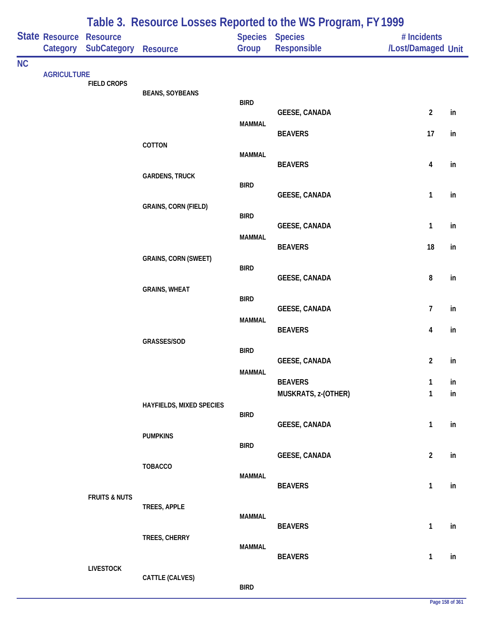|           |                            |                                | Table 3. Resource Losses Reported to the WS Program, FY 1999 |                              |                                        |                                   |          |  |  |  |
|-----------|----------------------------|--------------------------------|--------------------------------------------------------------|------------------------------|----------------------------------------|-----------------------------------|----------|--|--|--|
|           | State Resource<br>Category | <b>Resource</b><br>SubCategory | <b>Resource</b>                                              | Species Species<br>Group     | Responsible                            | # Incidents<br>/Lost/Damaged Unit |          |  |  |  |
| <b>NC</b> | <b>AGRICULTURE</b>         | <b>FIELD CROPS</b>             | <b>BEANS, SOYBEANS</b>                                       | <b>BIRD</b>                  |                                        |                                   |          |  |  |  |
|           |                            |                                |                                                              | <b>MAMMAL</b>                | <b>GEESE, CANADA</b>                   | $\overline{2}$                    | in       |  |  |  |
|           |                            |                                | COTTON                                                       |                              | <b>BEAVERS</b>                         | 17                                | in       |  |  |  |
|           |                            |                                |                                                              | <b>MAMMAL</b>                | <b>BEAVERS</b>                         | 4                                 | in       |  |  |  |
|           |                            |                                | <b>GARDENS, TRUCK</b>                                        | <b>BIRD</b>                  | <b>GEESE, CANADA</b>                   | $\mathbf{1}$                      | in       |  |  |  |
|           |                            |                                | <b>GRAINS, CORN (FIELD)</b>                                  | <b>BIRD</b>                  |                                        |                                   |          |  |  |  |
|           |                            |                                |                                                              | <b>MAMMAL</b>                | <b>GEESE, CANADA</b><br><b>BEAVERS</b> | $\mathbf{1}$<br>18                | in<br>in |  |  |  |
|           |                            |                                | <b>GRAINS, CORN (SWEET)</b>                                  | <b>BIRD</b>                  |                                        |                                   |          |  |  |  |
|           |                            |                                | <b>GRAINS, WHEAT</b>                                         |                              | <b>GEESE, CANADA</b>                   | 8                                 | in       |  |  |  |
|           |                            |                                |                                                              | <b>BIRD</b><br><b>MAMMAL</b> | <b>GEESE, CANADA</b>                   | $\overline{7}$                    | in       |  |  |  |
|           |                            |                                | GRASSES/SOD                                                  |                              | <b>BEAVERS</b>                         | 4                                 | in       |  |  |  |
|           |                            |                                |                                                              | <b>BIRD</b>                  | <b>GEESE, CANADA</b>                   | $\overline{2}$                    | in       |  |  |  |
|           |                            |                                |                                                              | <b>MAMMAL</b>                | <b>BEAVERS</b><br>MUSKRATS, z-(OTHER)  | 1<br>$\mathbf{1}$                 | in<br>in |  |  |  |
|           |                            |                                | HAYFIELDS, MIXED SPECIES                                     | <b>BIRD</b>                  | <b>GEESE, CANADA</b>                   | $\mathbf{1}$                      | in       |  |  |  |
|           |                            |                                | <b>PUMPKINS</b>                                              | <b>BIRD</b>                  | <b>GEESE, CANADA</b>                   | $\overline{2}$                    | in       |  |  |  |
|           |                            |                                | <b>TOBACCO</b>                                               | <b>MAMMAL</b>                |                                        |                                   |          |  |  |  |
|           |                            | <b>FRUITS &amp; NUTS</b>       | TREES, APPLE                                                 |                              | <b>BEAVERS</b>                         | $\mathbf{1}$                      | in       |  |  |  |
|           |                            |                                |                                                              | <b>MAMMAL</b>                | <b>BEAVERS</b>                         | $\mathbf{1}$                      | in       |  |  |  |
|           |                            |                                | TREES, CHERRY                                                | <b>MAMMAL</b>                | <b>BEAVERS</b>                         | 1                                 | in       |  |  |  |
|           |                            | <b>LIVESTOCK</b>               | CATTLE (CALVES)                                              | <b>BIRD</b>                  |                                        |                                   |          |  |  |  |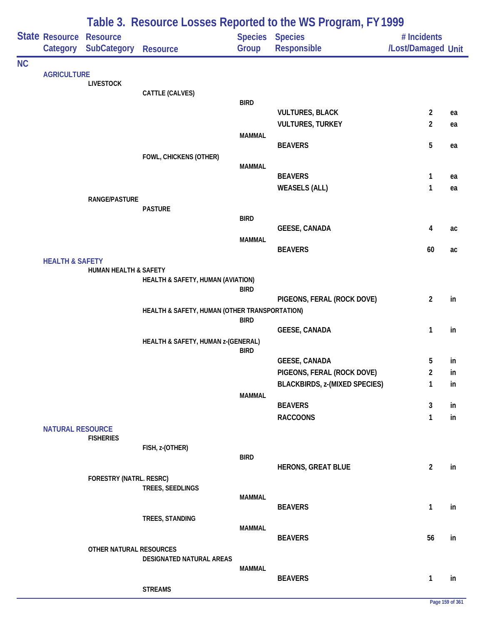|           |                            | Table 3. Resource Losses Reported to the WS Program, FY 1999 |                                               |               |                                                   |                                           |          |  |  |
|-----------|----------------------------|--------------------------------------------------------------|-----------------------------------------------|---------------|---------------------------------------------------|-------------------------------------------|----------|--|--|
|           | State Resource Resource    | Category SubCategory                                         | <b>Resource</b>                               | Group         | Species Species<br>Responsible                    | # Incidents<br>/Lost/Damaged Unit         |          |  |  |
| <b>NC</b> |                            |                                                              |                                               |               |                                                   |                                           |          |  |  |
|           | <b>AGRICULTURE</b>         | <b>LIVESTOCK</b>                                             |                                               |               |                                                   |                                           |          |  |  |
|           |                            |                                                              | CATTLE (CALVES)                               |               |                                                   |                                           |          |  |  |
|           |                            |                                                              |                                               | <b>BIRD</b>   |                                                   |                                           |          |  |  |
|           |                            |                                                              |                                               |               | <b>VULTURES, BLACK</b><br><b>VULTURES, TURKEY</b> | $\overline{\mathbf{c}}$<br>$\overline{2}$ | ea<br>ea |  |  |
|           |                            |                                                              |                                               | <b>MAMMAL</b> |                                                   |                                           |          |  |  |
|           |                            |                                                              |                                               |               | <b>BEAVERS</b>                                    | 5                                         | ea       |  |  |
|           |                            |                                                              | FOWL, CHICKENS (OTHER)                        |               |                                                   |                                           |          |  |  |
|           |                            |                                                              |                                               | <b>MAMMAL</b> | <b>BEAVERS</b>                                    | 1                                         | ea       |  |  |
|           |                            |                                                              |                                               |               | <b>WEASELS (ALL)</b>                              | 1                                         | ea       |  |  |
|           |                            | <b>RANGE/PASTURE</b>                                         |                                               |               |                                                   |                                           |          |  |  |
|           |                            |                                                              | <b>PASTURE</b>                                |               |                                                   |                                           |          |  |  |
|           |                            |                                                              |                                               | <b>BIRD</b>   | <b>GEESE, CANADA</b>                              | 4                                         | ac       |  |  |
|           |                            |                                                              |                                               | <b>MAMMAL</b> |                                                   |                                           |          |  |  |
|           |                            |                                                              |                                               |               | <b>BEAVERS</b>                                    | 60                                        | ac       |  |  |
|           |                            |                                                              |                                               |               |                                                   |                                           |          |  |  |
|           |                            | HUMAN HEALTH & SAFETY                                        | HEALTH & SAFETY, HUMAN (AVIATION)             |               |                                                   |                                           |          |  |  |
|           | <b>HEALTH &amp; SAFETY</b> |                                                              |                                               | <b>BIRD</b>   |                                                   |                                           |          |  |  |
|           |                            |                                                              |                                               |               | PIGEONS, FERAL (ROCK DOVE)                        | $\overline{2}$                            | in       |  |  |
|           |                            |                                                              | HEALTH & SAFETY, HUMAN (OTHER TRANSPORTATION) | <b>BIRD</b>   |                                                   |                                           |          |  |  |
|           |                            |                                                              |                                               |               | <b>GEESE, CANADA</b>                              | 1                                         | in       |  |  |
|           |                            |                                                              | HEALTH & SAFETY, HUMAN z-(GENERAL)            |               |                                                   |                                           |          |  |  |
|           |                            |                                                              |                                               | <b>BIRD</b>   | <b>GEESE, CANADA</b>                              | 5                                         | in       |  |  |
|           |                            |                                                              |                                               |               | PIGEONS, FERAL (ROCK DOVE)                        | 2                                         | ın       |  |  |
|           |                            |                                                              |                                               |               | <b>BLACKBIRDS, z-(MIXED SPECIES)</b>              | 1                                         | in       |  |  |
|           |                            |                                                              |                                               | <b>MAMMAL</b> |                                                   |                                           |          |  |  |
|           |                            |                                                              |                                               |               | <b>BEAVERS</b>                                    | 3                                         | in       |  |  |
|           |                            |                                                              |                                               |               | <b>RACCOONS</b>                                   | 1                                         | in       |  |  |
|           | <b>NATURAL RESOURCE</b>    | <b>FISHERIES</b>                                             |                                               |               |                                                   |                                           |          |  |  |
|           |                            |                                                              | FISH, z-(OTHER)                               |               |                                                   |                                           |          |  |  |
|           |                            |                                                              |                                               | <b>BIRD</b>   | <b>HERONS, GREAT BLUE</b>                         | $\overline{2}$                            | in       |  |  |
|           |                            | FORESTRY (NATRL. RESRC)                                      |                                               |               |                                                   |                                           |          |  |  |
|           |                            |                                                              | TREES, SEEDLINGS                              |               |                                                   |                                           |          |  |  |
|           |                            |                                                              |                                               | <b>MAMMAL</b> | <b>BEAVERS</b>                                    | 1                                         | in       |  |  |
|           |                            |                                                              | TREES, STANDING                               |               |                                                   |                                           |          |  |  |
|           |                            |                                                              |                                               | <b>MAMMAL</b> |                                                   |                                           |          |  |  |
|           |                            |                                                              |                                               |               | <b>BEAVERS</b>                                    | 56                                        | in       |  |  |
|           |                            | OTHER NATURAL RESOURCES                                      | DESIGNATED NATURAL AREAS                      |               |                                                   |                                           |          |  |  |
|           |                            |                                                              |                                               | <b>MAMMAL</b> |                                                   |                                           |          |  |  |
|           |                            |                                                              |                                               |               | <b>BEAVERS</b>                                    | 1                                         | in       |  |  |
|           |                            |                                                              | <b>STREAMS</b>                                |               |                                                   |                                           |          |  |  |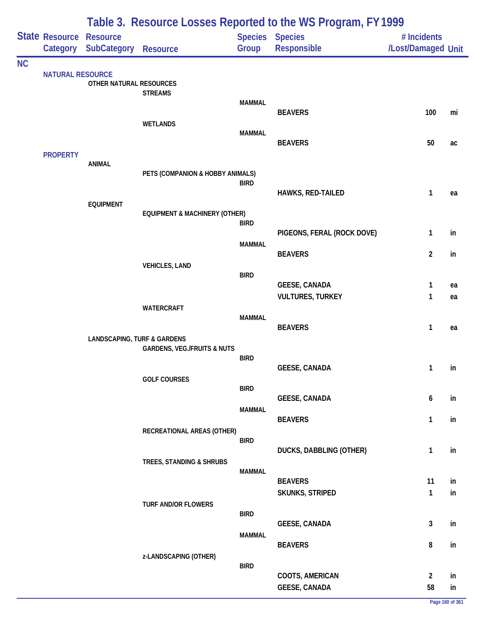|           |                                            | Table 3. Resource Losses Reported to the WS Program, FY 1999 |                                          |               |                                                 |                                   |          |  |  |
|-----------|--------------------------------------------|--------------------------------------------------------------|------------------------------------------|---------------|-------------------------------------------------|-----------------------------------|----------|--|--|
|           | <b>State Resource Resource</b><br>Category | <b>SubCategory</b>                                           | Resource                                 | Group         | <b>Species Species</b><br>Responsible           | # Incidents<br>/Lost/Damaged Unit |          |  |  |
| <b>NC</b> |                                            |                                                              |                                          |               |                                                 |                                   |          |  |  |
|           | <b>NATURAL RESOURCE</b>                    | OTHER NATURAL RESOURCES                                      |                                          |               |                                                 |                                   |          |  |  |
|           |                                            |                                                              | <b>STREAMS</b>                           | <b>MAMMAL</b> |                                                 |                                   |          |  |  |
|           |                                            |                                                              | <b>WETLANDS</b>                          |               | <b>BEAVERS</b>                                  | 100                               | mi       |  |  |
|           |                                            |                                                              |                                          | <b>MAMMAL</b> | <b>BEAVERS</b>                                  | 50                                |          |  |  |
|           | <b>PROPERTY</b>                            |                                                              |                                          |               |                                                 |                                   | ac       |  |  |
|           |                                            | <b>ANIMAL</b>                                                | PETS (COMPANION & HOBBY ANIMALS)         |               |                                                 |                                   |          |  |  |
|           |                                            |                                                              |                                          | <b>BIRD</b>   | HAWKS, RED-TAILED                               | 1                                 | ea       |  |  |
|           |                                            | <b>EQUIPMENT</b>                                             |                                          |               |                                                 |                                   |          |  |  |
|           |                                            |                                                              | <b>EQUIPMENT &amp; MACHINERY (OTHER)</b> | <b>BIRD</b>   |                                                 |                                   |          |  |  |
|           |                                            |                                                              |                                          | <b>MAMMAL</b> | PIGEONS, FERAL (ROCK DOVE)                      | 1                                 | in       |  |  |
|           |                                            |                                                              |                                          |               | <b>BEAVERS</b>                                  | $\overline{2}$                    | in       |  |  |
|           |                                            |                                                              | <b>VEHICLES, LAND</b>                    | <b>BIRD</b>   |                                                 |                                   |          |  |  |
|           |                                            |                                                              |                                          |               | <b>GEESE, CANADA</b><br><b>VULTURES, TURKEY</b> | 1<br>1                            | ea<br>ea |  |  |
|           |                                            |                                                              | <b>WATERCRAFT</b>                        |               |                                                 |                                   |          |  |  |
|           |                                            |                                                              |                                          | <b>MAMMAL</b> | <b>BEAVERS</b>                                  | $\mathbf{1}$                      | ea       |  |  |
|           |                                            | <b>LANDSCAPING, TURF &amp; GARDENS</b>                       | <b>GARDENS, VEG./FRUITS &amp; NUTS</b>   |               |                                                 |                                   |          |  |  |
|           |                                            |                                                              |                                          | <b>BIRD</b>   | <b>GEESE, CANADA</b>                            | $1 \quad$                         | in       |  |  |
|           |                                            |                                                              | <b>GOLF COURSES</b>                      |               |                                                 |                                   |          |  |  |
|           |                                            |                                                              |                                          | <b>BIRD</b>   | <b>GEESE, CANADA</b>                            | 6                                 | in       |  |  |
|           |                                            |                                                              |                                          | <b>MAMMAL</b> | <b>BEAVERS</b>                                  | $\mathbf{1}$                      | in       |  |  |
|           |                                            |                                                              | RECREATIONAL AREAS (OTHER)               |               |                                                 |                                   |          |  |  |
|           |                                            |                                                              |                                          | <b>BIRD</b>   | <b>DUCKS, DABBLING (OTHER)</b>                  | 1                                 | in       |  |  |
|           |                                            |                                                              | TREES, STANDING & SHRUBS                 | <b>MAMMAL</b> |                                                 |                                   |          |  |  |
|           |                                            |                                                              |                                          |               | <b>BEAVERS</b>                                  | 11                                | in       |  |  |
|           |                                            |                                                              | TURF AND/OR FLOWERS                      |               | SKUNKS, STRIPED                                 | $\mathbf{1}$                      | in       |  |  |
|           |                                            |                                                              |                                          | <b>BIRD</b>   | <b>GEESE, CANADA</b>                            | $\mathbf{3}$                      | in       |  |  |
|           |                                            |                                                              |                                          | <b>MAMMAL</b> |                                                 |                                   |          |  |  |
|           |                                            |                                                              | z-LANDSCAPING (OTHER)                    |               | <b>BEAVERS</b>                                  | 8                                 | in       |  |  |
|           |                                            |                                                              |                                          | <b>BIRD</b>   | COOTS, AMERICAN                                 | $\overline{2}$                    | in       |  |  |
|           |                                            |                                                              |                                          |               | <b>GEESE, CANADA</b>                            | 58                                | in       |  |  |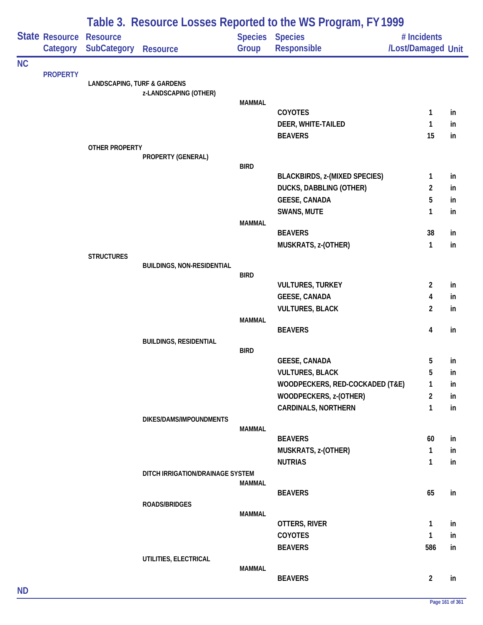|           |                       |                                        |                                   |               | Table 3. Resource Losses Reported to the WS Program, FY 1999 |                         |          |
|-----------|-----------------------|----------------------------------------|-----------------------------------|---------------|--------------------------------------------------------------|-------------------------|----------|
|           | <b>State Resource</b> | <b>Resource</b>                        |                                   |               | Species Species                                              | # Incidents             |          |
|           | Category              | <b>SubCategory</b>                     | <b>Resource</b>                   | Group         | Responsible                                                  | /Lost/Damaged Unit      |          |
| <b>NC</b> |                       |                                        |                                   |               |                                                              |                         |          |
|           | <b>PROPERTY</b>       | <b>LANDSCAPING, TURF &amp; GARDENS</b> |                                   |               |                                                              |                         |          |
|           |                       |                                        | z-LANDSCAPING (OTHER)             |               |                                                              |                         |          |
|           |                       |                                        |                                   | <b>MAMMAL</b> |                                                              |                         |          |
|           |                       |                                        |                                   |               | <b>COYOTES</b>                                               | $\mathbf{1}$            | in       |
|           |                       |                                        |                                   |               | DEER, WHITE-TAILED<br><b>BEAVERS</b>                         | $\mathbf{1}$<br>15      | in<br>in |
|           |                       | <b>OTHER PROPERTY</b>                  |                                   |               |                                                              |                         |          |
|           |                       |                                        | PROPERTY (GENERAL)                |               |                                                              |                         |          |
|           |                       |                                        |                                   | <b>BIRD</b>   |                                                              |                         |          |
|           |                       |                                        |                                   |               | <b>BLACKBIRDS, z-(MIXED SPECIES)</b>                         | $\mathbf{1}$            | in       |
|           |                       |                                        |                                   |               | <b>DUCKS, DABBLING (OTHER)</b>                               | $\overline{2}$          | in       |
|           |                       |                                        |                                   |               | <b>GEESE, CANADA</b>                                         | 5                       | in       |
|           |                       |                                        |                                   |               | <b>SWANS, MUTE</b>                                           | 1                       | in       |
|           |                       |                                        |                                   | <b>MAMMAL</b> | <b>BEAVERS</b>                                               | 38                      | in       |
|           |                       |                                        |                                   |               | MUSKRATS, z-(OTHER)                                          | $\mathbf{1}$            | in       |
|           |                       | <b>STRUCTURES</b>                      |                                   |               |                                                              |                         |          |
|           |                       |                                        | <b>BUILDINGS, NON-RESIDENTIAL</b> |               |                                                              |                         |          |
|           |                       |                                        |                                   | <b>BIRD</b>   |                                                              |                         |          |
|           |                       |                                        |                                   |               | <b>VULTURES, TURKEY</b>                                      | $\overline{2}$          | in       |
|           |                       |                                        |                                   |               | <b>GEESE, CANADA</b>                                         | $\overline{4}$          | in       |
|           |                       |                                        |                                   |               | <b>VULTURES, BLACK</b>                                       | $\overline{2}$          | in       |
|           |                       |                                        |                                   | <b>MAMMAL</b> | <b>BEAVERS</b>                                               | $\overline{\mathbf{4}}$ | in       |
|           |                       |                                        | <b>BUILDINGS, RESIDENTIAL</b>     |               |                                                              |                         |          |
|           |                       |                                        |                                   | <b>BIRD</b>   |                                                              |                         |          |
|           |                       |                                        |                                   |               | <b>GEESE, CANADA</b>                                         | 5                       | in       |
|           |                       |                                        |                                   |               | <b>VULTURES, BLACK</b>                                       | 5                       | in       |
|           |                       |                                        |                                   |               | WOODPECKERS, RED-COCKADED (T&E)                              | 1                       | in       |
|           |                       |                                        |                                   |               | WOODPECKERS, z-(OTHER)                                       | $\overline{2}$          | in       |
|           |                       |                                        |                                   |               | <b>CARDINALS, NORTHERN</b>                                   | 1                       | in       |
|           |                       |                                        | DIKES/DAMS/IMPOUNDMENTS           |               |                                                              |                         |          |
|           |                       |                                        |                                   | <b>MAMMAL</b> | <b>BEAVERS</b>                                               | 60                      | in       |
|           |                       |                                        |                                   |               | MUSKRATS, z-(OTHER)                                          | $\mathbf{1}$            | in       |
|           |                       |                                        |                                   |               | <b>NUTRIAS</b>                                               | $\mathbf{1}$            | in       |
|           |                       |                                        | DITCH IRRIGATION/DRAINAGE SYSTEM  |               |                                                              |                         |          |
|           |                       |                                        |                                   | MAMMAL        |                                                              |                         |          |
|           |                       |                                        |                                   |               | <b>BEAVERS</b>                                               | 65                      | in       |
|           |                       |                                        | ROADS/BRIDGES                     |               |                                                              |                         |          |
|           |                       |                                        |                                   | <b>MAMMAL</b> | OTTERS, RIVER                                                | $\mathbf{1}$            | in       |
|           |                       |                                        |                                   |               | <b>COYOTES</b>                                               | $\mathbf{1}$            | in       |
|           |                       |                                        |                                   |               | <b>BEAVERS</b>                                               | 586                     | in       |
|           |                       |                                        | UTILITIES, ELECTRICAL             |               |                                                              |                         |          |
|           |                       |                                        |                                   | <b>MAMMAL</b> |                                                              |                         |          |
|           |                       |                                        |                                   |               | <b>BEAVERS</b>                                               | $\overline{2}$          | in       |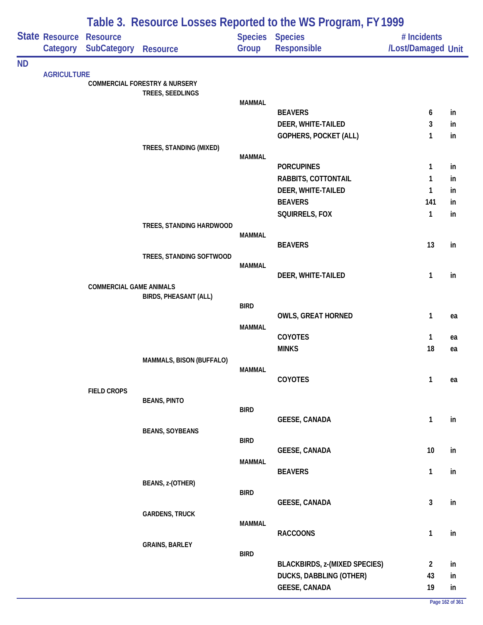|           |                                     |                                |                                          |               | Table 3. Resource Losses Reported to the WS Program, FY 1999 |                                   |          |
|-----------|-------------------------------------|--------------------------------|------------------------------------------|---------------|--------------------------------------------------------------|-----------------------------------|----------|
|           | State Resource Resource<br>Category | <b>SubCategory</b>             | <b>Resource</b>                          | Group         | Species Species<br>Responsible                               | # Incidents<br>/Lost/Damaged Unit |          |
| <b>ND</b> |                                     |                                |                                          |               |                                                              |                                   |          |
|           | <b>AGRICULTURE</b>                  |                                | <b>COMMERCIAL FORESTRY &amp; NURSERY</b> |               |                                                              |                                   |          |
|           |                                     |                                | TREES, SEEDLINGS                         |               |                                                              |                                   |          |
|           |                                     |                                |                                          | <b>MAMMAL</b> |                                                              |                                   |          |
|           |                                     |                                |                                          |               | <b>BEAVERS</b><br>DEER, WHITE-TAILED                         | 6<br>3                            | in<br>in |
|           |                                     |                                |                                          |               | GOPHERS, POCKET (ALL)                                        | 1                                 | in       |
|           |                                     |                                | TREES, STANDING (MIXED)                  |               |                                                              |                                   |          |
|           |                                     |                                |                                          | <b>MAMMAL</b> |                                                              |                                   |          |
|           |                                     |                                |                                          |               | <b>PORCUPINES</b>                                            | 1                                 | in       |
|           |                                     |                                |                                          |               | RABBITS, COTTONTAIL                                          | 1                                 | in       |
|           |                                     |                                |                                          |               | DEER, WHITE-TAILED                                           | 1                                 | in       |
|           |                                     |                                |                                          |               | <b>BEAVERS</b>                                               | 141                               | in.      |
|           |                                     |                                | TREES, STANDING HARDWOOD                 |               | SQUIRRELS, FOX                                               | 1                                 | in       |
|           |                                     |                                |                                          | <b>MAMMAL</b> |                                                              |                                   |          |
|           |                                     |                                |                                          |               | <b>BEAVERS</b>                                               | 13                                | in       |
|           |                                     |                                | TREES, STANDING SOFTWOOD                 |               |                                                              |                                   |          |
|           |                                     |                                |                                          | <b>MAMMAL</b> | DEER, WHITE-TAILED                                           | 1                                 | in       |
|           |                                     | <b>COMMERCIAL GAME ANIMALS</b> |                                          |               |                                                              |                                   |          |
|           |                                     |                                | <b>BIRDS, PHEASANT (ALL)</b>             |               |                                                              |                                   |          |
|           |                                     |                                |                                          | <b>BIRD</b>   | <b>OWLS, GREAT HORNED</b>                                    | $\mathbf{1}$                      |          |
|           |                                     |                                |                                          | <b>MAMMAL</b> |                                                              |                                   | ea       |
|           |                                     |                                |                                          |               | COYOTES                                                      | 1                                 | ea       |
|           |                                     |                                |                                          |               | <b>MINKS</b>                                                 | 18                                | ea       |
|           |                                     |                                | MAMMALS, BISON (BUFFALO)                 |               |                                                              |                                   |          |
|           |                                     |                                |                                          | MAMMAL        | COYOTES                                                      | 1                                 |          |
|           |                                     | <b>FIELD CROPS</b>             |                                          |               |                                                              |                                   | ea       |
|           |                                     |                                | <b>BEANS, PINTO</b>                      |               |                                                              |                                   |          |
|           |                                     |                                |                                          | <b>BIRD</b>   |                                                              |                                   |          |
|           |                                     |                                |                                          |               | <b>GEESE, CANADA</b>                                         | $\mathbf{1}$                      | in       |
|           |                                     |                                | <b>BEANS, SOYBEANS</b>                   | <b>BIRD</b>   |                                                              |                                   |          |
|           |                                     |                                |                                          |               | <b>GEESE, CANADA</b>                                         | 10                                | in       |
|           |                                     |                                |                                          | <b>MAMMAL</b> |                                                              |                                   |          |
|           |                                     |                                |                                          |               | <b>BEAVERS</b>                                               | 1                                 | in       |
|           |                                     |                                | BEANS, z-(OTHER)                         | <b>BIRD</b>   |                                                              |                                   |          |
|           |                                     |                                |                                          |               | <b>GEESE, CANADA</b>                                         | 3                                 | in       |
|           |                                     |                                | <b>GARDENS, TRUCK</b>                    |               |                                                              |                                   |          |
|           |                                     |                                |                                          | <b>MAMMAL</b> |                                                              |                                   |          |
|           |                                     |                                | <b>GRAINS, BARLEY</b>                    |               | <b>RACCOONS</b>                                              | 1                                 | in       |
|           |                                     |                                |                                          | <b>BIRD</b>   |                                                              |                                   |          |
|           |                                     |                                |                                          |               | <b>BLACKBIRDS, z-(MIXED SPECIES)</b>                         | 2                                 | in       |
|           |                                     |                                |                                          |               | DUCKS, DABBLING (OTHER)                                      | 43                                | in       |
|           |                                     |                                |                                          |               | <b>GEESE, CANADA</b>                                         | 19                                | in       |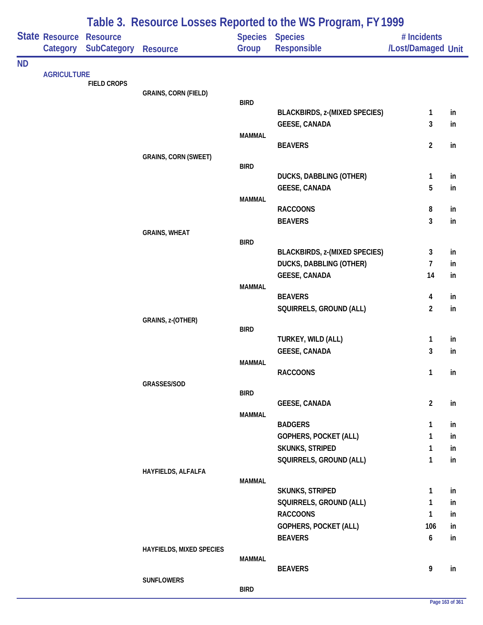|           |                                   |                                       |                             |               | Table 3. Resource Losses Reported to the WS Program, FY 1999 |                                   |          |
|-----------|-----------------------------------|---------------------------------------|-----------------------------|---------------|--------------------------------------------------------------|-----------------------------------|----------|
|           | <b>State Resource</b><br>Category | <b>Resource</b><br><b>SubCategory</b> | <b>Resource</b>             | Group         | Species Species<br>Responsible                               | # Incidents<br>/Lost/Damaged Unit |          |
| <b>ND</b> |                                   |                                       |                             |               |                                                              |                                   |          |
|           | <b>AGRICULTURE</b>                | <b>FIELD CROPS</b>                    |                             |               |                                                              |                                   |          |
|           |                                   |                                       | <b>GRAINS, CORN (FIELD)</b> |               |                                                              |                                   |          |
|           |                                   |                                       |                             | <b>BIRD</b>   | <b>BLACKBIRDS, z-(MIXED SPECIES)</b>                         | $\mathbf{1}$                      | in       |
|           |                                   |                                       |                             |               | <b>GEESE, CANADA</b>                                         | 3                                 | in       |
|           |                                   |                                       |                             | <b>MAMMAL</b> |                                                              |                                   |          |
|           |                                   |                                       |                             |               | <b>BEAVERS</b>                                               | $\overline{2}$                    | in       |
|           |                                   |                                       | <b>GRAINS, CORN (SWEET)</b> | <b>BIRD</b>   |                                                              |                                   |          |
|           |                                   |                                       |                             |               | <b>DUCKS, DABBLING (OTHER)</b>                               | $\mathbf{1}$                      | in       |
|           |                                   |                                       |                             |               | <b>GEESE, CANADA</b>                                         | 5                                 | in       |
|           |                                   |                                       |                             | <b>MAMMAL</b> |                                                              |                                   |          |
|           |                                   |                                       |                             |               | <b>RACCOONS</b>                                              | 8                                 | in       |
|           |                                   |                                       |                             |               | <b>BEAVERS</b>                                               | 3                                 | in       |
|           |                                   |                                       | <b>GRAINS, WHEAT</b>        | <b>BIRD</b>   |                                                              |                                   |          |
|           |                                   |                                       |                             |               | <b>BLACKBIRDS, z-(MIXED SPECIES)</b>                         | 3                                 | in       |
|           |                                   |                                       |                             |               | <b>DUCKS, DABBLING (OTHER)</b>                               | $\overline{1}$                    | in       |
|           |                                   |                                       |                             |               | <b>GEESE, CANADA</b>                                         | 14                                | in       |
|           |                                   |                                       |                             | <b>MAMMAL</b> | <b>BEAVERS</b>                                               | 4                                 | in       |
|           |                                   |                                       |                             |               | SQUIRRELS, GROUND (ALL)                                      | $\overline{2}$                    | in       |
|           |                                   |                                       | GRAINS, z-(OTHER)           |               |                                                              |                                   |          |
|           |                                   |                                       |                             | <b>BIRD</b>   |                                                              |                                   |          |
|           |                                   |                                       |                             |               | TURKEY, WILD (ALL)<br><b>GEESE, CANADA</b>                   | $\mathbf{1}$<br>3                 | in<br>in |
|           |                                   |                                       |                             | <b>MAMMAL</b> |                                                              |                                   |          |
|           |                                   |                                       |                             |               | <b>RACCOONS</b>                                              | 1                                 | in       |
|           |                                   |                                       | GRASSES/SOD                 |               |                                                              |                                   |          |
|           |                                   |                                       |                             | <b>BIRD</b>   | <b>GEESE, CANADA</b>                                         | $\overline{2}$                    | in       |
|           |                                   |                                       |                             | <b>MAMMAL</b> |                                                              |                                   |          |
|           |                                   |                                       |                             |               | <b>BADGERS</b>                                               | $\mathbf{1}$                      | in       |
|           |                                   |                                       |                             |               | <b>GOPHERS, POCKET (ALL)</b>                                 | 1                                 | in       |
|           |                                   |                                       |                             |               | <b>SKUNKS, STRIPED</b>                                       | 1                                 | in       |
|           |                                   |                                       |                             |               | SQUIRRELS, GROUND (ALL)                                      | 1                                 | in       |
|           |                                   |                                       | HAYFIELDS, ALFALFA          | <b>MAMMAL</b> |                                                              |                                   |          |
|           |                                   |                                       |                             |               | <b>SKUNKS, STRIPED</b>                                       | 1                                 | in       |
|           |                                   |                                       |                             |               | SQUIRRELS, GROUND (ALL)                                      | 1                                 | in       |
|           |                                   |                                       |                             |               | <b>RACCOONS</b>                                              | 1                                 | in       |
|           |                                   |                                       |                             |               | <b>GOPHERS, POCKET (ALL)</b>                                 | 106                               | in       |
|           |                                   |                                       |                             |               | <b>BEAVERS</b>                                               | $\boldsymbol{6}$                  | in       |
|           |                                   |                                       | HAYFIELDS, MIXED SPECIES    | MAMMAL        |                                                              |                                   |          |
|           |                                   |                                       |                             |               | <b>BEAVERS</b>                                               | 9                                 | in       |
|           |                                   |                                       | <b>SUNFLOWERS</b>           |               |                                                              |                                   |          |
|           |                                   |                                       |                             | <b>BIRD</b>   |                                                              |                                   |          |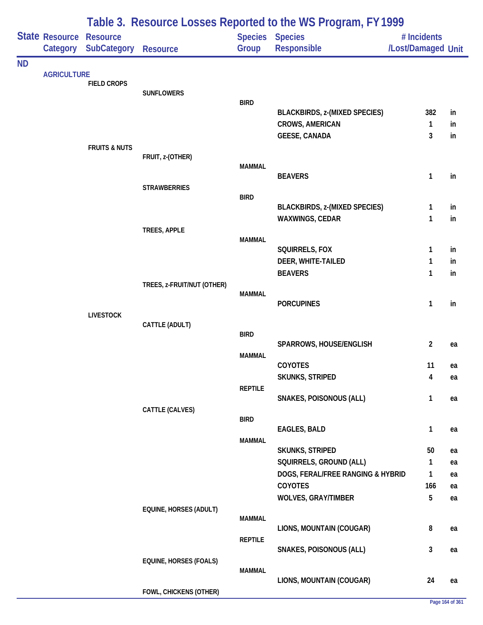|           |                                     | Table 3. Resource Losses Reported to the WS Program, FY 1999 |                               |                |                                                         |                                   |          |  |  |
|-----------|-------------------------------------|--------------------------------------------------------------|-------------------------------|----------------|---------------------------------------------------------|-----------------------------------|----------|--|--|
|           | State Resource Resource<br>Category | <b>SubCategory</b>                                           | <b>Resource</b>               | Group          | Species Species<br>Responsible                          | # Incidents<br>/Lost/Damaged Unit |          |  |  |
| <b>ND</b> |                                     |                                                              |                               |                |                                                         |                                   |          |  |  |
|           | <b>AGRICULTURE</b>                  | <b>FIELD CROPS</b>                                           |                               |                |                                                         |                                   |          |  |  |
|           |                                     |                                                              | <b>SUNFLOWERS</b>             |                |                                                         |                                   |          |  |  |
|           |                                     |                                                              |                               | <b>BIRD</b>    | <b>BLACKBIRDS, z-(MIXED SPECIES)</b>                    | 382                               | in       |  |  |
|           |                                     |                                                              |                               |                | <b>CROWS, AMERICAN</b>                                  | 1                                 | in       |  |  |
|           |                                     |                                                              |                               |                | <b>GEESE, CANADA</b>                                    | 3                                 | in       |  |  |
|           |                                     | <b>FRUITS &amp; NUTS</b>                                     |                               |                |                                                         |                                   |          |  |  |
|           |                                     |                                                              | FRUIT, z-(OTHER)              | <b>MAMMAL</b>  |                                                         |                                   |          |  |  |
|           |                                     |                                                              |                               |                | <b>BEAVERS</b>                                          | 1                                 | in       |  |  |
|           |                                     |                                                              | <b>STRAWBERRIES</b>           |                |                                                         |                                   |          |  |  |
|           |                                     |                                                              |                               | <b>BIRD</b>    |                                                         |                                   |          |  |  |
|           |                                     |                                                              |                               |                | <b>BLACKBIRDS, z-(MIXED SPECIES)</b><br>WAXWINGS, CEDAR | 1<br>1                            | in<br>in |  |  |
|           |                                     |                                                              | TREES, APPLE                  |                |                                                         |                                   |          |  |  |
|           |                                     |                                                              |                               | <b>MAMMAL</b>  |                                                         |                                   |          |  |  |
|           |                                     |                                                              |                               |                | SQUIRRELS, FOX                                          | 1                                 | in       |  |  |
|           |                                     |                                                              |                               |                | DEER, WHITE-TAILED                                      | 1                                 | in       |  |  |
|           |                                     |                                                              | TREES, z-FRUIT/NUT (OTHER)    |                | <b>BEAVERS</b>                                          | 1                                 | in       |  |  |
|           |                                     |                                                              |                               | <b>MAMMAL</b>  |                                                         |                                   |          |  |  |
|           |                                     |                                                              |                               |                | <b>PORCUPINES</b>                                       | 1                                 | in       |  |  |
|           |                                     | <b>LIVESTOCK</b>                                             |                               |                |                                                         |                                   |          |  |  |
|           |                                     |                                                              | CATTLE (ADULT)                | <b>BIRD</b>    |                                                         |                                   |          |  |  |
|           |                                     |                                                              |                               |                | SPARROWS, HOUSE/ENGLISH                                 | 2                                 | ea       |  |  |
|           |                                     |                                                              |                               | <b>MAMMAL</b>  |                                                         |                                   |          |  |  |
|           |                                     |                                                              |                               |                | COYOTES                                                 | 11                                | ea       |  |  |
|           |                                     |                                                              |                               | <b>REPTILE</b> | <b>SKUNKS, STRIPED</b>                                  | 4                                 | ea       |  |  |
|           |                                     |                                                              |                               |                | SNAKES, POISONOUS (ALL)                                 | 1                                 | ea       |  |  |
|           |                                     |                                                              | CATTLE (CALVES)               |                |                                                         |                                   |          |  |  |
|           |                                     |                                                              |                               | <b>BIRD</b>    | <b>EAGLES, BALD</b>                                     |                                   |          |  |  |
|           |                                     |                                                              |                               | <b>MAMMAL</b>  |                                                         | $\mathbf{1}$                      | ea       |  |  |
|           |                                     |                                                              |                               |                | <b>SKUNKS, STRIPED</b>                                  | 50                                | ea       |  |  |
|           |                                     |                                                              |                               |                | SQUIRRELS, GROUND (ALL)                                 | 1                                 | ea       |  |  |
|           |                                     |                                                              |                               |                | DOGS, FERAL/FREE RANGING & HYBRID                       | 1                                 | ea       |  |  |
|           |                                     |                                                              |                               |                | <b>COYOTES</b>                                          | 166                               | ea       |  |  |
|           |                                     |                                                              |                               |                | <b>WOLVES, GRAY/TIMBER</b>                              | 5                                 | ea       |  |  |
|           |                                     |                                                              | EQUINE, HORSES (ADULT)        | <b>MAMMAL</b>  |                                                         |                                   |          |  |  |
|           |                                     |                                                              |                               |                | LIONS, MOUNTAIN (COUGAR)                                | 8                                 | ea       |  |  |
|           |                                     |                                                              |                               | <b>REPTILE</b> |                                                         |                                   |          |  |  |
|           |                                     |                                                              |                               |                | SNAKES, POISONOUS (ALL)                                 | 3                                 | ea       |  |  |
|           |                                     |                                                              | <b>EQUINE, HORSES (FOALS)</b> | <b>MAMMAL</b>  |                                                         |                                   |          |  |  |
|           |                                     |                                                              |                               |                | LIONS, MOUNTAIN (COUGAR)                                | 24                                | ea       |  |  |
|           |                                     |                                                              | FOWL, CHICKENS (OTHER)        |                |                                                         |                                   |          |  |  |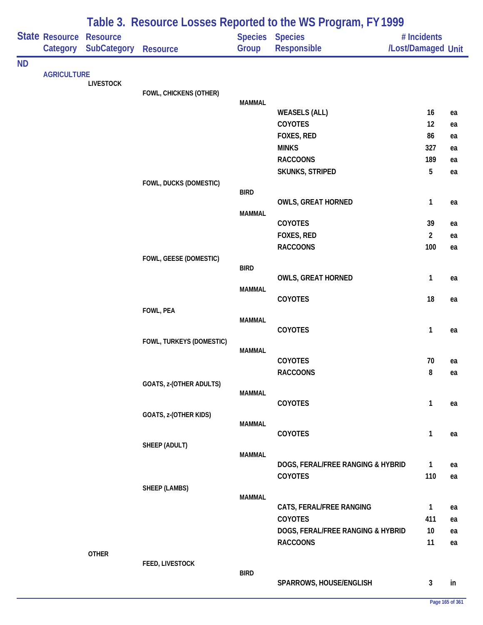|           |                    |                                                      |                          |               | Table 3. Resource Losses Reported to the WS Program, FY 1999 |                                   |          |
|-----------|--------------------|------------------------------------------------------|--------------------------|---------------|--------------------------------------------------------------|-----------------------------------|----------|
|           | Category           | <b>State Resource Resource</b><br><b>SubCategory</b> | Resource                 | Group         | <b>Species Species</b><br>Responsible                        | # Incidents<br>/Lost/Damaged Unit |          |
| <b>ND</b> |                    |                                                      |                          |               |                                                              |                                   |          |
|           | <b>AGRICULTURE</b> | <b>LIVESTOCK</b>                                     |                          |               |                                                              |                                   |          |
|           |                    |                                                      | FOWL, CHICKENS (OTHER)   |               |                                                              |                                   |          |
|           |                    |                                                      |                          | <b>MAMMAL</b> | <b>WEASELS (ALL)</b>                                         | 16                                | ea       |
|           |                    |                                                      |                          |               | COYOTES                                                      | 12                                | ea       |
|           |                    |                                                      |                          |               | FOXES, RED                                                   | 86                                | ea       |
|           |                    |                                                      |                          |               | <b>MINKS</b>                                                 | 327                               | ea       |
|           |                    |                                                      |                          |               | <b>RACCOONS</b>                                              | 189                               | ea       |
|           |                    |                                                      |                          |               | SKUNKS, STRIPED                                              | 5                                 | ea       |
|           |                    |                                                      | FOWL, DUCKS (DOMESTIC)   | <b>BIRD</b>   |                                                              |                                   |          |
|           |                    |                                                      |                          |               | <b>OWLS, GREAT HORNED</b>                                    | 1                                 | ea       |
|           |                    |                                                      |                          | <b>MAMMAL</b> |                                                              |                                   |          |
|           |                    |                                                      |                          |               | COYOTES                                                      | 39                                | ea       |
|           |                    |                                                      |                          |               | FOXES, RED                                                   | $\overline{2}$                    | ea       |
|           |                    |                                                      |                          |               | <b>RACCOONS</b>                                              | 100                               | ea       |
|           |                    |                                                      | FOWL, GEESE (DOMESTIC)   | <b>BIRD</b>   |                                                              |                                   |          |
|           |                    |                                                      |                          |               | <b>OWLS, GREAT HORNED</b>                                    | 1                                 | ea       |
|           |                    |                                                      |                          | <b>MAMMAL</b> |                                                              |                                   |          |
|           |                    |                                                      |                          |               | COYOTES                                                      | 18                                | ea       |
|           |                    |                                                      | FOWL, PEA                | <b>MAMMAL</b> |                                                              |                                   |          |
|           |                    |                                                      |                          |               | COYOTES                                                      | 1                                 | ea       |
|           |                    |                                                      | FOWL, TURKEYS (DOMESTIC) |               |                                                              |                                   |          |
|           |                    |                                                      |                          | <b>MAMMAL</b> | COYOTES                                                      | 70                                | ea       |
|           |                    |                                                      |                          |               | <b>RACCOONS</b>                                              | 8                                 | ea       |
|           |                    |                                                      | GOATS, z-(OTHER ADULTS)  |               |                                                              |                                   |          |
|           |                    |                                                      |                          | MAMMAL        |                                                              |                                   |          |
|           |                    |                                                      |                          |               | COYOTES                                                      | 1                                 | ea       |
|           |                    |                                                      | GOATS, z-(OTHER KIDS)    | <b>MAMMAL</b> |                                                              |                                   |          |
|           |                    |                                                      |                          |               | COYOTES                                                      | 1                                 | ea       |
|           |                    |                                                      | SHEEP (ADULT)            |               |                                                              |                                   |          |
|           |                    |                                                      |                          | MAMMAL        | DOGS, FERAL/FREE RANGING & HYBRID                            | $\mathbf{1}$                      | ea       |
|           |                    |                                                      |                          |               | COYOTES                                                      | 110                               | ea       |
|           |                    |                                                      | <b>SHEEP (LAMBS)</b>     |               |                                                              |                                   |          |
|           |                    |                                                      |                          | <b>MAMMAL</b> |                                                              |                                   |          |
|           |                    |                                                      |                          |               | CATS, FERAL/FREE RANGING                                     | 1                                 | ea       |
|           |                    |                                                      |                          |               | COYOTES                                                      | 411                               | ea       |
|           |                    |                                                      |                          |               | DOGS, FERAL/FREE RANGING & HYBRID<br><b>RACCOONS</b>         | 10 <sup>°</sup><br>11             | ea<br>ea |
|           |                    | <b>OTHER</b>                                         |                          |               |                                                              |                                   |          |
|           |                    |                                                      | FEED, LIVESTOCK          |               |                                                              |                                   |          |
|           |                    |                                                      |                          | <b>BIRD</b>   | SPARROWS, HOUSE/ENGLISH                                      | 3                                 | in       |
|           |                    |                                                      |                          |               |                                                              |                                   |          |

**Page 165 of 361**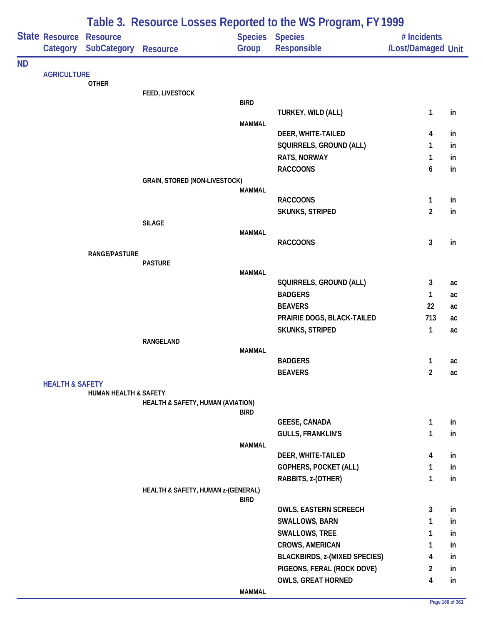|           |                            | Table 3. Resource Losses Reported to the WS Program, FY 1999 |                                      |               |                                      |                                   |    |  |  |
|-----------|----------------------------|--------------------------------------------------------------|--------------------------------------|---------------|--------------------------------------|-----------------------------------|----|--|--|
|           | State Resource<br>Category | <b>Resource</b><br><b>SubCategory Resource</b>               |                                      | Group         | Species Species<br>Responsible       | # Incidents<br>/Lost/Damaged Unit |    |  |  |
| <b>ND</b> |                            |                                                              |                                      |               |                                      |                                   |    |  |  |
|           | <b>AGRICULTURE</b>         | <b>OTHER</b>                                                 |                                      |               |                                      |                                   |    |  |  |
|           |                            |                                                              | FEED, LIVESTOCK                      |               |                                      |                                   |    |  |  |
|           |                            |                                                              |                                      | <b>BIRD</b>   |                                      |                                   |    |  |  |
|           |                            |                                                              |                                      |               | TURKEY, WILD (ALL)                   | 1                                 | in |  |  |
|           |                            |                                                              |                                      | <b>MAMMAL</b> | DEER, WHITE-TAILED                   | 4                                 | in |  |  |
|           |                            |                                                              |                                      |               | SQUIRRELS, GROUND (ALL)              | 1                                 | in |  |  |
|           |                            |                                                              |                                      |               | RATS, NORWAY                         | 1                                 | in |  |  |
|           |                            |                                                              |                                      |               | <b>RACCOONS</b>                      | 6                                 | in |  |  |
|           |                            |                                                              | <b>GRAIN, STORED (NON-LIVESTOCK)</b> |               |                                      |                                   |    |  |  |
|           |                            |                                                              |                                      | <b>MAMMAL</b> |                                      |                                   |    |  |  |
|           |                            |                                                              |                                      |               | <b>RACCOONS</b>                      | 1                                 | in |  |  |
|           |                            |                                                              |                                      |               | <b>SKUNKS, STRIPED</b>               | $\overline{c}$                    | in |  |  |
|           |                            |                                                              | <b>SILAGE</b>                        |               |                                      |                                   |    |  |  |
|           |                            |                                                              |                                      | <b>MAMMAL</b> | <b>RACCOONS</b>                      | 3                                 | in |  |  |
|           |                            | RANGE/PASTURE                                                |                                      |               |                                      |                                   |    |  |  |
|           |                            |                                                              | <b>PASTURE</b>                       |               |                                      |                                   |    |  |  |
|           |                            |                                                              |                                      | <b>MAMMAL</b> |                                      |                                   |    |  |  |
|           |                            |                                                              |                                      |               | SQUIRRELS, GROUND (ALL)              | 3                                 | ac |  |  |
|           |                            |                                                              |                                      |               | <b>BADGERS</b>                       | 1                                 | ac |  |  |
|           |                            |                                                              |                                      |               | <b>BEAVERS</b>                       | 22                                | ac |  |  |
|           |                            |                                                              |                                      |               | PRAIRIE DOGS, BLACK-TAILED           | 713                               | ac |  |  |
|           |                            |                                                              |                                      |               | <b>SKUNKS, STRIPED</b>               | 1                                 | ac |  |  |
|           |                            |                                                              | RANGELAND                            | <b>MAMMAL</b> |                                      |                                   |    |  |  |
|           |                            |                                                              |                                      |               | <b>BADGERS</b>                       | 1                                 | ac |  |  |
|           |                            |                                                              |                                      |               | <b>BEAVERS</b>                       | 2                                 | ac |  |  |
|           | <b>HEALTH &amp; SAFETY</b> |                                                              |                                      |               |                                      |                                   |    |  |  |
|           |                            | <b>HUMAN HEALTH &amp; SAFETY</b>                             |                                      |               |                                      |                                   |    |  |  |
|           |                            |                                                              | HEALTH & SAFETY, HUMAN (AVIATION)    | <b>BIRD</b>   |                                      |                                   |    |  |  |
|           |                            |                                                              |                                      |               | <b>GEESE, CANADA</b>                 | 1                                 | in |  |  |
|           |                            |                                                              |                                      |               | <b>GULLS, FRANKLIN'S</b>             | 1                                 | in |  |  |
|           |                            |                                                              |                                      | <b>MAMMAL</b> |                                      |                                   |    |  |  |
|           |                            |                                                              |                                      |               | DEER, WHITE-TAILED                   | 4                                 | in |  |  |
|           |                            |                                                              |                                      |               | GOPHERS, POCKET (ALL)                | 1                                 | in |  |  |
|           |                            |                                                              |                                      |               | RABBITS, z-(OTHER)                   | 1                                 | in |  |  |
|           |                            |                                                              | HEALTH & SAFETY, HUMAN z-(GENERAL)   |               |                                      |                                   |    |  |  |
|           |                            |                                                              |                                      | <b>BIRD</b>   | <b>OWLS, EASTERN SCREECH</b>         | 3                                 | in |  |  |
|           |                            |                                                              |                                      |               | <b>SWALLOWS, BARN</b>                | 1                                 | in |  |  |
|           |                            |                                                              |                                      |               | SWALLOWS, TREE                       | 1                                 | in |  |  |
|           |                            |                                                              |                                      |               | CROWS, AMERICAN                      | 1                                 | in |  |  |
|           |                            |                                                              |                                      |               | <b>BLACKBIRDS, z-(MIXED SPECIES)</b> | 4                                 | in |  |  |
|           |                            |                                                              |                                      |               | PIGEONS, FERAL (ROCK DOVE)           | 2                                 | in |  |  |
|           |                            |                                                              |                                      |               | <b>OWLS, GREAT HORNED</b>            | 4                                 | in |  |  |
|           |                            |                                                              |                                      | <b>MAMMAL</b> |                                      |                                   |    |  |  |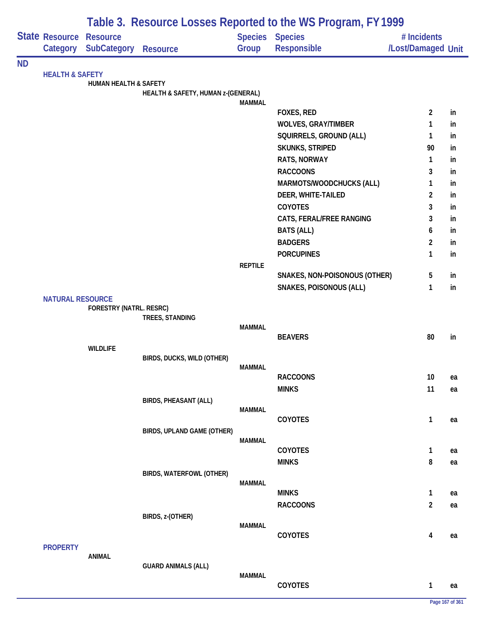|           |                            | Table 3. Resource Losses Reported to the WS Program, FY 1999 |                                    |                |                                       |                                   |    |  |  |
|-----------|----------------------------|--------------------------------------------------------------|------------------------------------|----------------|---------------------------------------|-----------------------------------|----|--|--|
|           | State Resource<br>Category | <b>Resource</b><br><b>SubCategory</b>                        | <b>Resource</b>                    | Group          | <b>Species Species</b><br>Responsible | # Incidents<br>/Lost/Damaged Unit |    |  |  |
| <b>ND</b> |                            |                                                              |                                    |                |                                       |                                   |    |  |  |
|           | <b>HEALTH &amp; SAFETY</b> |                                                              |                                    |                |                                       |                                   |    |  |  |
|           |                            | <b>HUMAN HEALTH &amp; SAFETY</b>                             | HEALTH & SAFETY, HUMAN z-(GENERAL) |                |                                       |                                   |    |  |  |
|           |                            |                                                              |                                    | <b>MAMMAL</b>  |                                       |                                   |    |  |  |
|           |                            |                                                              |                                    |                | FOXES, RED                            | $\overline{2}$                    | in |  |  |
|           |                            |                                                              |                                    |                | <b>WOLVES, GRAY/TIMBER</b>            | 1                                 | in |  |  |
|           |                            |                                                              |                                    |                | SQUIRRELS, GROUND (ALL)               | 1                                 | in |  |  |
|           |                            |                                                              |                                    |                | <b>SKUNKS, STRIPED</b>                | 90                                | in |  |  |
|           |                            |                                                              |                                    |                | RATS, NORWAY                          | 1                                 | in |  |  |
|           |                            |                                                              |                                    |                | <b>RACCOONS</b>                       | 3                                 | in |  |  |
|           |                            |                                                              |                                    |                | MARMOTS/WOODCHUCKS (ALL)              | 1                                 | in |  |  |
|           |                            |                                                              |                                    |                | DEER, WHITE-TAILED                    | 2                                 | in |  |  |
|           |                            |                                                              |                                    |                | <b>COYOTES</b>                        | 3                                 | in |  |  |
|           |                            |                                                              |                                    |                | CATS, FERAL/FREE RANGING              | 3                                 | in |  |  |
|           |                            |                                                              |                                    |                | <b>BATS (ALL)</b>                     | 6                                 | in |  |  |
|           |                            |                                                              |                                    |                | <b>BADGERS</b>                        | $\overline{c}$                    | in |  |  |
|           |                            |                                                              |                                    |                | <b>PORCUPINES</b>                     | $\mathbf{1}$                      | in |  |  |
|           |                            |                                                              |                                    | <b>REPTILE</b> |                                       |                                   |    |  |  |
|           |                            |                                                              |                                    |                | SNAKES, NON-POISONOUS (OTHER)         | 5                                 | in |  |  |
|           |                            |                                                              |                                    |                | SNAKES, POISONOUS (ALL)               | 1                                 | in |  |  |
|           | <b>NATURAL RESOURCE</b>    | FORESTRY (NATRL. RESRC)                                      |                                    |                |                                       |                                   |    |  |  |
|           |                            |                                                              | TREES, STANDING                    |                |                                       |                                   |    |  |  |
|           |                            |                                                              |                                    | <b>MAMMAL</b>  |                                       |                                   |    |  |  |
|           |                            |                                                              |                                    |                | <b>BEAVERS</b>                        | 80                                | in |  |  |
|           |                            | <b>WILDLIFE</b>                                              |                                    |                |                                       |                                   |    |  |  |
|           |                            |                                                              | BIRDS, DUCKS, WILD (OTHER)         | MAMMAL         |                                       |                                   |    |  |  |
|           |                            |                                                              |                                    |                | <b>RACCOONS</b>                       | 10                                | ea |  |  |
|           |                            |                                                              |                                    |                | <b>MINKS</b>                          | 11                                | ea |  |  |
|           |                            |                                                              | <b>BIRDS, PHEASANT (ALL)</b>       |                |                                       |                                   |    |  |  |
|           |                            |                                                              |                                    | <b>MAMMAL</b>  |                                       |                                   |    |  |  |
|           |                            |                                                              |                                    |                | COYOTES                               | $\mathbf{1}$                      | ea |  |  |
|           |                            |                                                              | BIRDS, UPLAND GAME (OTHER)         |                |                                       |                                   |    |  |  |
|           |                            |                                                              |                                    | <b>MAMMAL</b>  | COYOTES                               | 1                                 | ea |  |  |
|           |                            |                                                              |                                    |                | <b>MINKS</b>                          | 8                                 | ea |  |  |
|           |                            |                                                              | BIRDS, WATERFOWL (OTHER)           |                |                                       |                                   |    |  |  |
|           |                            |                                                              |                                    | <b>MAMMAL</b>  |                                       |                                   |    |  |  |
|           |                            |                                                              |                                    |                | <b>MINKS</b>                          | 1                                 | ea |  |  |
|           |                            |                                                              |                                    |                | <b>RACCOONS</b>                       | $\boldsymbol{2}$                  | ea |  |  |
|           |                            |                                                              | BIRDS, z-(OTHER)                   |                |                                       |                                   |    |  |  |
|           |                            |                                                              |                                    | <b>MAMMAL</b>  |                                       |                                   |    |  |  |
|           |                            |                                                              |                                    |                | COYOTES                               | $\overline{\mathbf{4}}$           | ea |  |  |
|           | <b>PROPERTY</b>            | <b>ANIMAL</b>                                                |                                    |                |                                       |                                   |    |  |  |
|           |                            |                                                              | <b>GUARD ANIMALS (ALL)</b>         |                |                                       |                                   |    |  |  |
|           |                            |                                                              |                                    | <b>MAMMAL</b>  |                                       |                                   |    |  |  |
|           |                            |                                                              |                                    |                | COYOTES                               | $\mathbf{1}$                      | ea |  |  |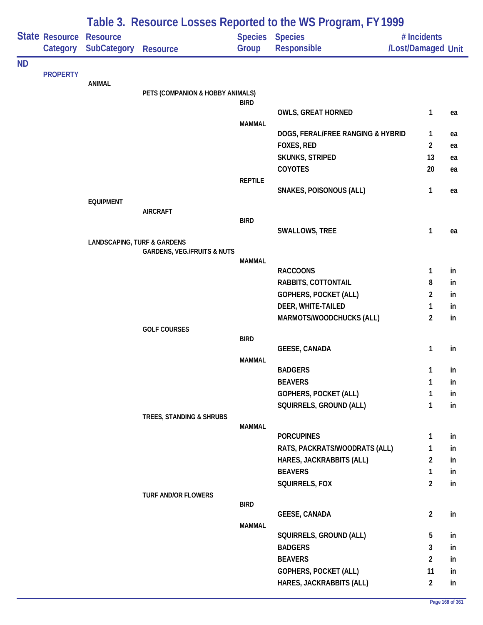|           |                 | Table 3. Resource Losses Reported to the WS Program, FY1999 |                                        |                |                                   |                    |    |  |  |
|-----------|-----------------|-------------------------------------------------------------|----------------------------------------|----------------|-----------------------------------|--------------------|----|--|--|
|           | State Resource  | <b>Resource</b>                                             |                                        | <b>Species</b> | <b>Species</b>                    | # Incidents        |    |  |  |
|           | Category        | <b>SubCategory</b>                                          | <b>Resource</b>                        | Group          | Responsible                       | /Lost/Damaged Unit |    |  |  |
| <b>ND</b> |                 |                                                             |                                        |                |                                   |                    |    |  |  |
|           | <b>PROPERTY</b> | <b>ANIMAL</b>                                               |                                        |                |                                   |                    |    |  |  |
|           |                 |                                                             | PETS (COMPANION & HOBBY ANIMALS)       |                |                                   |                    |    |  |  |
|           |                 |                                                             |                                        | <b>BIRD</b>    |                                   |                    |    |  |  |
|           |                 |                                                             |                                        |                | <b>OWLS, GREAT HORNED</b>         | 1                  | ea |  |  |
|           |                 |                                                             |                                        | <b>MAMMAL</b>  | DOGS, FERAL/FREE RANGING & HYBRID | 1                  | ea |  |  |
|           |                 |                                                             |                                        |                | FOXES, RED                        | $\overline{2}$     | ea |  |  |
|           |                 |                                                             |                                        |                | <b>SKUNKS, STRIPED</b>            | 13                 | ea |  |  |
|           |                 |                                                             |                                        |                | COYOTES                           | 20                 | ea |  |  |
|           |                 |                                                             |                                        | <b>REPTILE</b> |                                   |                    |    |  |  |
|           |                 |                                                             |                                        |                | <b>SNAKES, POISONOUS (ALL)</b>    | 1                  | ea |  |  |
|           |                 | <b>EQUIPMENT</b>                                            |                                        |                |                                   |                    |    |  |  |
|           |                 |                                                             | <b>AIRCRAFT</b>                        | <b>BIRD</b>    |                                   |                    |    |  |  |
|           |                 |                                                             |                                        |                | SWALLOWS, TREE                    | 1                  | ea |  |  |
|           |                 | <b>LANDSCAPING, TURF &amp; GARDENS</b>                      |                                        |                |                                   |                    |    |  |  |
|           |                 |                                                             | <b>GARDENS, VEG./FRUITS &amp; NUTS</b> | <b>MAMMAL</b>  |                                   |                    |    |  |  |
|           |                 |                                                             |                                        |                | <b>RACCOONS</b>                   | 1                  | in |  |  |
|           |                 |                                                             |                                        |                | RABBITS, COTTONTAIL               | 8                  | in |  |  |
|           |                 |                                                             |                                        |                | GOPHERS, POCKET (ALL)             | 2                  | in |  |  |
|           |                 |                                                             |                                        |                | DEER, WHITE-TAILED                | 1                  | in |  |  |
|           |                 |                                                             |                                        |                | MARMOTS/WOODCHUCKS (ALL)          | $\overline{2}$     | in |  |  |
|           |                 |                                                             | <b>GOLF COURSES</b>                    |                |                                   |                    |    |  |  |
|           |                 |                                                             |                                        | <b>BIRD</b>    | <b>GEESE, CANADA</b>              | 1                  | in |  |  |
|           |                 |                                                             |                                        | <b>MAMMAL</b>  |                                   |                    |    |  |  |
|           |                 |                                                             |                                        |                | <b>BADGERS</b>                    | $\mathbf{1}$       | in |  |  |
|           |                 |                                                             |                                        |                | <b>BEAVERS</b>                    | 1                  | in |  |  |
|           |                 |                                                             |                                        |                | GOPHERS, POCKET (ALL)             | 1                  | in |  |  |
|           |                 |                                                             |                                        |                | SQUIRRELS, GROUND (ALL)           | 1                  | in |  |  |
|           |                 |                                                             | TREES, STANDING & SHRUBS               |                |                                   |                    |    |  |  |
|           |                 |                                                             |                                        | <b>MAMMAL</b>  | <b>PORCUPINES</b>                 | 1                  | in |  |  |
|           |                 |                                                             |                                        |                | RATS, PACKRATS/WOODRATS (ALL)     | 1                  | in |  |  |
|           |                 |                                                             |                                        |                | HARES, JACKRABBITS (ALL)          | $\overline{a}$     | in |  |  |
|           |                 |                                                             |                                        |                | <b>BEAVERS</b>                    | 1                  | in |  |  |
|           |                 |                                                             |                                        |                | SQUIRRELS, FOX                    | $\overline{2}$     | in |  |  |
|           |                 |                                                             | <b>TURF AND/OR FLOWERS</b>             |                |                                   |                    |    |  |  |
|           |                 |                                                             |                                        | <b>BIRD</b>    |                                   |                    |    |  |  |
|           |                 |                                                             |                                        | <b>MAMMAL</b>  | <b>GEESE, CANADA</b>              | $\overline{2}$     | in |  |  |
|           |                 |                                                             |                                        |                | SQUIRRELS, GROUND (ALL)           | 5                  | in |  |  |
|           |                 |                                                             |                                        |                | <b>BADGERS</b>                    | 3                  | in |  |  |
|           |                 |                                                             |                                        |                | <b>BEAVERS</b>                    | $\overline{a}$     | in |  |  |
|           |                 |                                                             |                                        |                | <b>GOPHERS, POCKET (ALL)</b>      | 11                 | in |  |  |
|           |                 |                                                             |                                        |                | HARES, JACKRABBITS (ALL)          | $\overline{2}$     | in |  |  |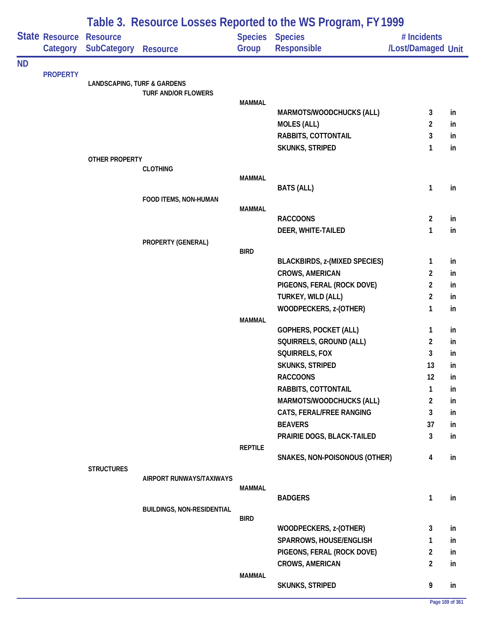|           |                            | Table 3. Resource Losses Reported to the WS Program, FY 1999 |                                   |                |                                              |                                   |           |  |  |
|-----------|----------------------------|--------------------------------------------------------------|-----------------------------------|----------------|----------------------------------------------|-----------------------------------|-----------|--|--|
|           | State Resource<br>Category | <b>Resource</b><br><b>SubCategory</b>                        | <b>Resource</b>                   | Group          | <b>Species Species</b><br><b>Responsible</b> | # Incidents<br>/Lost/Damaged Unit |           |  |  |
| <b>ND</b> |                            |                                                              |                                   |                |                                              |                                   |           |  |  |
|           | <b>PROPERTY</b>            | <b>LANDSCAPING, TURF &amp; GARDENS</b>                       |                                   |                |                                              |                                   |           |  |  |
|           |                            |                                                              | <b>TURF AND/OR FLOWERS</b>        |                |                                              |                                   |           |  |  |
|           |                            |                                                              |                                   | <b>MAMMAL</b>  |                                              |                                   |           |  |  |
|           |                            |                                                              |                                   |                | MARMOTS/WOODCHUCKS (ALL)                     | 3                                 | in        |  |  |
|           |                            |                                                              |                                   |                | <b>MOLES (ALL)</b><br>RABBITS, COTTONTAIL    | $\overline{2}$<br>3               | in.<br>in |  |  |
|           |                            |                                                              |                                   |                | <b>SKUNKS, STRIPED</b>                       | 1                                 | in        |  |  |
|           |                            | OTHER PROPERTY                                               |                                   |                |                                              |                                   |           |  |  |
|           |                            |                                                              | <b>CLOTHING</b>                   |                |                                              |                                   |           |  |  |
|           |                            |                                                              |                                   | <b>MAMMAL</b>  |                                              |                                   |           |  |  |
|           |                            |                                                              | FOOD ITEMS, NON-HUMAN             |                | <b>BATS (ALL)</b>                            | $\mathbf{1}$                      | in        |  |  |
|           |                            |                                                              |                                   | <b>MAMMAL</b>  |                                              |                                   |           |  |  |
|           |                            |                                                              |                                   |                | <b>RACCOONS</b>                              | $\overline{2}$                    | in        |  |  |
|           |                            |                                                              |                                   |                | DEER, WHITE-TAILED                           | 1                                 | in        |  |  |
|           |                            |                                                              | PROPERTY (GENERAL)                |                |                                              |                                   |           |  |  |
|           |                            |                                                              |                                   | <b>BIRD</b>    | <b>BLACKBIRDS, z-(MIXED SPECIES)</b>         | 1                                 | in        |  |  |
|           |                            |                                                              |                                   |                | CROWS, AMERICAN                              | $\overline{2}$                    | in        |  |  |
|           |                            |                                                              |                                   |                | PIGEONS, FERAL (ROCK DOVE)                   | $\overline{2}$                    | in        |  |  |
|           |                            |                                                              |                                   |                | TURKEY, WILD (ALL)                           | $\overline{2}$                    | in        |  |  |
|           |                            |                                                              |                                   |                | WOODPECKERS, z-(OTHER)                       | 1                                 | in        |  |  |
|           |                            |                                                              |                                   | <b>MAMMAL</b>  |                                              |                                   |           |  |  |
|           |                            |                                                              |                                   |                | <b>GOPHERS, POCKET (ALL)</b>                 | 1                                 | in        |  |  |
|           |                            |                                                              |                                   |                | SQUIRRELS, GROUND (ALL)                      | $\overline{2}$                    | in        |  |  |
|           |                            |                                                              |                                   |                | SQUIRRELS, FOX                               | 3                                 | in        |  |  |
|           |                            |                                                              |                                   |                | SKUNKS, STRIPED<br><b>RACCOONS</b>           | 13<br>12                          | in        |  |  |
|           |                            |                                                              |                                   |                | RABBITS, COTTONTAIL                          | 1                                 | in<br>in  |  |  |
|           |                            |                                                              |                                   |                | MARMOTS/WOODCHUCKS (ALL)                     | $\overline{2}$                    | in        |  |  |
|           |                            |                                                              |                                   |                | CATS, FERAL/FREE RANGING                     | 3                                 | in        |  |  |
|           |                            |                                                              |                                   |                | <b>BEAVERS</b>                               | 37                                | in        |  |  |
|           |                            |                                                              |                                   |                | PRAIRIE DOGS, BLACK-TAILED                   | 3                                 | in        |  |  |
|           |                            |                                                              |                                   | <b>REPTILE</b> |                                              |                                   |           |  |  |
|           |                            |                                                              |                                   |                | SNAKES, NON-POISONOUS (OTHER)                | $\overline{4}$                    | in        |  |  |
|           |                            | <b>STRUCTURES</b>                                            | AIRPORT RUNWAYS/TAXIWAYS          |                |                                              |                                   |           |  |  |
|           |                            |                                                              |                                   | <b>MAMMAL</b>  |                                              |                                   |           |  |  |
|           |                            |                                                              |                                   |                | <b>BADGERS</b>                               | $\mathbf{1}$                      | in        |  |  |
|           |                            |                                                              | <b>BUILDINGS, NON-RESIDENTIAL</b> |                |                                              |                                   |           |  |  |
|           |                            |                                                              |                                   | <b>BIRD</b>    | WOODPECKERS, z-(OTHER)                       | 3                                 | in        |  |  |
|           |                            |                                                              |                                   |                | SPARROWS, HOUSE/ENGLISH                      | $\mathbf{1}$                      | in        |  |  |
|           |                            |                                                              |                                   |                | PIGEONS, FERAL (ROCK DOVE)                   | $\overline{2}$                    | in        |  |  |
|           |                            |                                                              |                                   |                | <b>CROWS, AMERICAN</b>                       | $\overline{2}$                    | in        |  |  |
|           |                            |                                                              |                                   | <b>MAMMAL</b>  |                                              |                                   |           |  |  |
|           |                            |                                                              |                                   |                | <b>SKUNKS, STRIPED</b>                       | 9                                 | in        |  |  |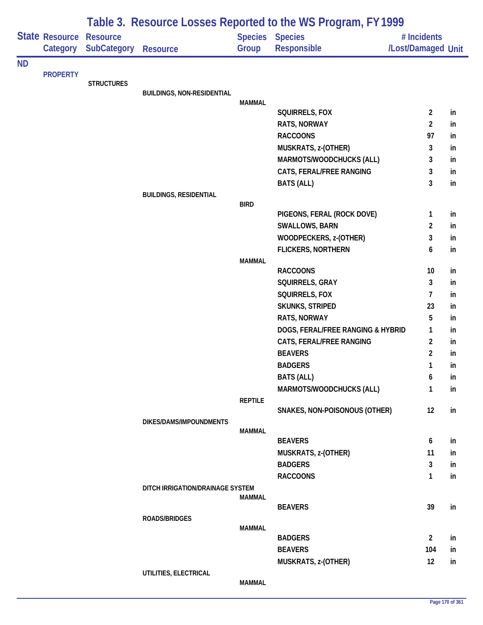|           |                            | Table 3. Resource Losses Reported to the WS Program, FY 1999 |                                   |                |                                              |                                   |    |  |  |
|-----------|----------------------------|--------------------------------------------------------------|-----------------------------------|----------------|----------------------------------------------|-----------------------------------|----|--|--|
|           | State Resource<br>Category | <b>Resource</b><br><b>SubCategory</b>                        | <b>Resource</b>                   | Group          | <b>Species Species</b><br><b>Responsible</b> | # Incidents<br>/Lost/Damaged Unit |    |  |  |
| <b>ND</b> |                            |                                                              |                                   |                |                                              |                                   |    |  |  |
|           | <b>PROPERTY</b>            | <b>STRUCTURES</b>                                            |                                   |                |                                              |                                   |    |  |  |
|           |                            |                                                              | <b>BUILDINGS, NON-RESIDENTIAL</b> |                |                                              |                                   |    |  |  |
|           |                            |                                                              |                                   | <b>MAMMAL</b>  |                                              |                                   |    |  |  |
|           |                            |                                                              |                                   |                | SQUIRRELS, FOX                               | $\overline{a}$                    | in |  |  |
|           |                            |                                                              |                                   |                | <b>RATS, NORWAY</b>                          | $\overline{2}$                    | in |  |  |
|           |                            |                                                              |                                   |                | <b>RACCOONS</b>                              | 97                                | in |  |  |
|           |                            |                                                              |                                   |                | MUSKRATS, z-(OTHER)                          | 3                                 | in |  |  |
|           |                            |                                                              |                                   |                | MARMOTS/WOODCHUCKS (ALL)                     | 3                                 | in |  |  |
|           |                            |                                                              |                                   |                | CATS, FERAL/FREE RANGING                     | 3                                 | in |  |  |
|           |                            |                                                              |                                   |                | <b>BATS (ALL)</b>                            | 3                                 | in |  |  |
|           |                            |                                                              | <b>BUILDINGS, RESIDENTIAL</b>     | <b>BIRD</b>    |                                              |                                   |    |  |  |
|           |                            |                                                              |                                   |                | PIGEONS, FERAL (ROCK DOVE)                   | 1                                 | in |  |  |
|           |                            |                                                              |                                   |                | SWALLOWS, BARN                               | 2                                 | in |  |  |
|           |                            |                                                              |                                   |                | WOODPECKERS, z-(OTHER)                       | 3                                 | in |  |  |
|           |                            |                                                              |                                   |                | <b>FLICKERS, NORTHERN</b>                    | 6                                 | in |  |  |
|           |                            |                                                              |                                   | <b>MAMMAL</b>  |                                              |                                   |    |  |  |
|           |                            |                                                              |                                   |                | <b>RACCOONS</b>                              | 10                                | in |  |  |
|           |                            |                                                              |                                   |                | SQUIRRELS, GRAY                              | 3                                 | in |  |  |
|           |                            |                                                              |                                   |                | SQUIRRELS, FOX                               | 7                                 | in |  |  |
|           |                            |                                                              |                                   |                | SKUNKS, STRIPED                              | 23                                | in |  |  |
|           |                            |                                                              |                                   |                | <b>RATS, NORWAY</b>                          | 5                                 | in |  |  |
|           |                            |                                                              |                                   |                | DOGS, FERAL/FREE RANGING & HYBRID            | 1                                 | in |  |  |
|           |                            |                                                              |                                   |                | CATS, FERAL/FREE RANGING                     | $\overline{2}$                    | in |  |  |
|           |                            |                                                              |                                   |                | <b>BEAVERS</b>                               | 2                                 | in |  |  |
|           |                            |                                                              |                                   |                | <b>BADGERS</b>                               | 1                                 | in |  |  |
|           |                            |                                                              |                                   |                | <b>BATS (ALL)</b>                            | 6                                 | in |  |  |
|           |                            |                                                              |                                   |                | MARMOTS/WOODCHUCKS (ALL)                     | 1                                 | in |  |  |
|           |                            |                                                              |                                   | <b>REPTILE</b> |                                              |                                   |    |  |  |
|           |                            |                                                              |                                   |                | SNAKES, NON-POISONOUS (OTHER)                | 12                                | in |  |  |
|           |                            |                                                              | DIKES/DAMS/IMPOUNDMENTS           |                |                                              |                                   |    |  |  |
|           |                            |                                                              |                                   | <b>MAMMAL</b>  |                                              |                                   |    |  |  |
|           |                            |                                                              |                                   |                | <b>BEAVERS</b>                               | 6                                 | in |  |  |
|           |                            |                                                              |                                   |                | MUSKRATS, z-(OTHER)                          | 11                                | in |  |  |
|           |                            |                                                              |                                   |                | <b>BADGERS</b>                               | 3                                 | in |  |  |
|           |                            |                                                              |                                   |                | <b>RACCOONS</b>                              | 1                                 | in |  |  |
|           |                            |                                                              | DITCH IRRIGATION/DRAINAGE SYSTEM  | MAMMAL         |                                              |                                   |    |  |  |
|           |                            |                                                              |                                   |                | <b>BEAVERS</b>                               | 39                                | in |  |  |
|           |                            |                                                              | ROADS/BRIDGES                     |                |                                              |                                   |    |  |  |
|           |                            |                                                              |                                   | <b>MAMMAL</b>  |                                              |                                   |    |  |  |
|           |                            |                                                              |                                   |                | <b>BADGERS</b>                               | $\overline{a}$                    | in |  |  |
|           |                            |                                                              |                                   |                | <b>BEAVERS</b>                               | 104                               | in |  |  |
|           |                            |                                                              |                                   |                | MUSKRATS, z-(OTHER)                          | 12                                | in |  |  |
|           |                            |                                                              | UTILITIES, ELECTRICAL             |                |                                              |                                   |    |  |  |

**MAMMAL**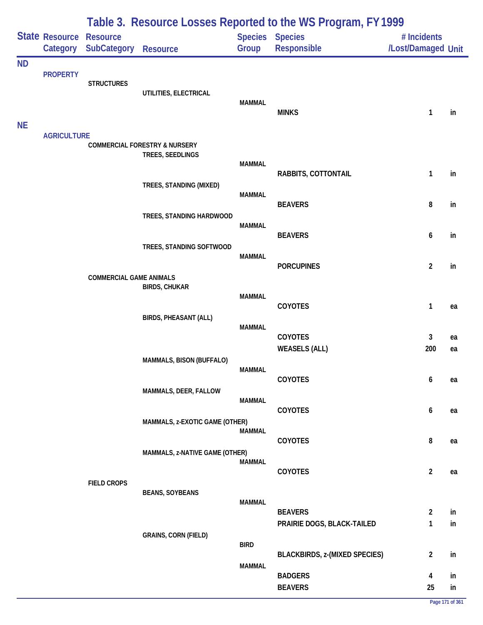|                        |                            | Table 3. Resource Losses Reported to the WS Program, FY 1999 |                                                              |                                |                                              |                                   |          |  |  |  |
|------------------------|----------------------------|--------------------------------------------------------------|--------------------------------------------------------------|--------------------------------|----------------------------------------------|-----------------------------------|----------|--|--|--|
|                        | State Resource<br>Category | <b>Resource</b><br><b>SubCategory</b>                        | <b>Resource</b>                                              | Group                          | Species Species<br>Responsible               | # Incidents<br>/Lost/Damaged Unit |          |  |  |  |
| <b>ND</b><br><b>NE</b> | <b>PROPERTY</b>            | <b>STRUCTURES</b>                                            | UTILITIES, ELECTRICAL                                        | <b>MAMMAL</b>                  | <b>MINKS</b>                                 | 1                                 | in       |  |  |  |
|                        | <b>AGRICULTURE</b>         |                                                              | <b>COMMERCIAL FORESTRY &amp; NURSERY</b><br>TREES, SEEDLINGS | <b>MAMMAL</b>                  |                                              |                                   |          |  |  |  |
|                        |                            |                                                              | TREES, STANDING (MIXED)                                      | <b>MAMMAL</b>                  | RABBITS, COTTONTAIL                          | 1                                 | in       |  |  |  |
|                        |                            |                                                              | TREES, STANDING HARDWOOD                                     | <b>MAMMAL</b>                  | <b>BEAVERS</b>                               | 8                                 | in       |  |  |  |
|                        |                            |                                                              | TREES, STANDING SOFTWOOD                                     | <b>MAMMAL</b>                  | <b>BEAVERS</b>                               | 6                                 | in       |  |  |  |
|                        |                            | <b>COMMERCIAL GAME ANIMALS</b>                               | <b>BIRDS, CHUKAR</b>                                         |                                | <b>PORCUPINES</b>                            | $\overline{\mathbf{c}}$           | in       |  |  |  |
|                        |                            |                                                              | <b>BIRDS, PHEASANT (ALL)</b>                                 | <b>MAMMAL</b>                  | COYOTES                                      | 1                                 | ea       |  |  |  |
|                        |                            |                                                              | MAMMALS, BISON (BUFFALO)                                     | <b>MAMMAL</b>                  | COYOTES<br><b>WEASELS (ALL)</b>              | 3<br>200                          | ea<br>ea |  |  |  |
|                        |                            |                                                              | MAMMALS, DEER, FALLOW                                        | <b>MAMMAL</b>                  | <b>COYOTES</b>                               | 6                                 | ea       |  |  |  |
|                        |                            |                                                              | MAMMALS, z-EXOTIC GAME (OTHER)                               | <b>MAMMAL</b><br><b>MAMMAL</b> | <b>COYOTES</b>                               | 6                                 | ea       |  |  |  |
|                        |                            |                                                              | MAMMALS, z-NATIVE GAME (OTHER)                               | <b>MAMMAL</b>                  | <b>COYOTES</b>                               | 8                                 | ea       |  |  |  |
|                        |                            | <b>FIELD CROPS</b>                                           | <b>BEANS, SOYBEANS</b>                                       | <b>MAMMAL</b>                  | COYOTES                                      | $\overline{2}$                    | ea       |  |  |  |
|                        |                            |                                                              | <b>GRAINS, CORN (FIELD)</b>                                  |                                | <b>BEAVERS</b><br>PRAIRIE DOGS, BLACK-TAILED | $\overline{\mathbf{c}}$<br>1      | in<br>in |  |  |  |
|                        |                            |                                                              |                                                              | <b>BIRD</b><br><b>MAMMAL</b>   | <b>BLACKBIRDS, z-(MIXED SPECIES)</b>         | $\overline{c}$                    | in       |  |  |  |
|                        |                            |                                                              |                                                              |                                | <b>BADGERS</b><br><b>BEAVERS</b>             | 4<br>25                           | in<br>in |  |  |  |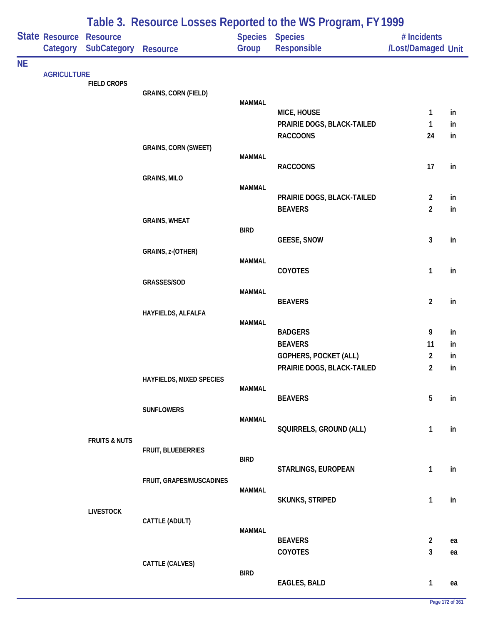|           |                            | Table 3. Resource Losses Reported to the WS Program, FY 1999 |                             |               |                                  |                                   |          |  |  |
|-----------|----------------------------|--------------------------------------------------------------|-----------------------------|---------------|----------------------------------|-----------------------------------|----------|--|--|
|           | State Resource<br>Category | <b>Resource</b><br><b>SubCategory</b>                        | Resource                    | Group         | Species Species<br>Responsible   | # Incidents<br>/Lost/Damaged Unit |          |  |  |
| <b>NE</b> | <b>AGRICULTURE</b>         |                                                              |                             |               |                                  |                                   |          |  |  |
|           |                            | <b>FIELD CROPS</b>                                           |                             |               |                                  |                                   |          |  |  |
|           |                            |                                                              | <b>GRAINS, CORN (FIELD)</b> | <b>MAMMAL</b> |                                  |                                   |          |  |  |
|           |                            |                                                              |                             |               | MICE, HOUSE                      | 1                                 | in       |  |  |
|           |                            |                                                              |                             |               | PRAIRIE DOGS, BLACK-TAILED       | 1                                 | in       |  |  |
|           |                            |                                                              |                             |               | <b>RACCOONS</b>                  | 24                                | in       |  |  |
|           |                            |                                                              | <b>GRAINS, CORN (SWEET)</b> | <b>MAMMAL</b> |                                  |                                   |          |  |  |
|           |                            |                                                              |                             |               | <b>RACCOONS</b>                  | 17                                | in       |  |  |
|           |                            |                                                              | <b>GRAINS, MILO</b>         |               |                                  |                                   |          |  |  |
|           |                            |                                                              |                             | <b>MAMMAL</b> | PRAIRIE DOGS, BLACK-TAILED       | $\overline{a}$                    | in       |  |  |
|           |                            |                                                              |                             |               | <b>BEAVERS</b>                   | $\overline{2}$                    | in       |  |  |
|           |                            |                                                              | <b>GRAINS, WHEAT</b>        |               |                                  |                                   |          |  |  |
|           |                            |                                                              |                             | <b>BIRD</b>   |                                  |                                   |          |  |  |
|           |                            |                                                              |                             |               | <b>GEESE, SNOW</b>               | 3                                 | in       |  |  |
|           |                            |                                                              | GRAINS, z-(OTHER)           | <b>MAMMAL</b> |                                  |                                   |          |  |  |
|           |                            |                                                              |                             |               | COYOTES                          | 1                                 | in       |  |  |
|           |                            |                                                              | GRASSES/SOD                 | <b>MAMMAL</b> |                                  |                                   |          |  |  |
|           |                            |                                                              |                             |               | <b>BEAVERS</b>                   | $\overline{2}$                    | in       |  |  |
|           |                            |                                                              | HAYFIELDS, ALFALFA          |               |                                  |                                   |          |  |  |
|           |                            |                                                              |                             | <b>MAMMAL</b> |                                  |                                   |          |  |  |
|           |                            |                                                              |                             |               | <b>BADGERS</b><br><b>BEAVERS</b> | 9<br>11                           | in<br>in |  |  |
|           |                            |                                                              |                             |               | <b>GOPHERS, POCKET (ALL)</b>     | 2                                 | in       |  |  |
|           |                            |                                                              |                             |               | PRAIRIE DOGS, BLACK-TAILED       | 2                                 | in       |  |  |
|           |                            |                                                              | HAYFIELDS, MIXED SPECIES    |               |                                  |                                   |          |  |  |
|           |                            |                                                              |                             | <b>MAMMAL</b> |                                  | 5                                 |          |  |  |
|           |                            |                                                              | <b>SUNFLOWERS</b>           |               | <b>BEAVERS</b>                   |                                   | in       |  |  |
|           |                            |                                                              |                             | <b>MAMMAL</b> |                                  |                                   |          |  |  |
|           |                            |                                                              |                             |               | SQUIRRELS, GROUND (ALL)          | 1                                 | in       |  |  |
|           |                            | <b>FRUITS &amp; NUTS</b>                                     | FRUIT, BLUEBERRIES          |               |                                  |                                   |          |  |  |
|           |                            |                                                              |                             | <b>BIRD</b>   |                                  |                                   |          |  |  |
|           |                            |                                                              |                             |               | STARLINGS, EUROPEAN              | $\mathbf{1}$                      | in       |  |  |
|           |                            |                                                              | FRUIT, GRAPES/MUSCADINES    | <b>MAMMAL</b> |                                  |                                   |          |  |  |
|           |                            |                                                              |                             |               | SKUNKS, STRIPED                  | 1                                 | in       |  |  |
|           |                            | <b>LIVESTOCK</b>                                             |                             |               |                                  |                                   |          |  |  |
|           |                            |                                                              | CATTLE (ADULT)              | MAMMAL        |                                  |                                   |          |  |  |
|           |                            |                                                              |                             |               | <b>BEAVERS</b>                   | $\overline{2}$                    | ea       |  |  |
|           |                            |                                                              |                             |               | COYOTES                          | 3                                 | ea       |  |  |
|           |                            |                                                              | CATTLE (CALVES)             |               |                                  |                                   |          |  |  |
|           |                            |                                                              |                             | <b>BIRD</b>   | <b>EAGLES, BALD</b>              | $\mathbf{1}$                      | ea       |  |  |
|           |                            |                                                              |                             |               |                                  |                                   |          |  |  |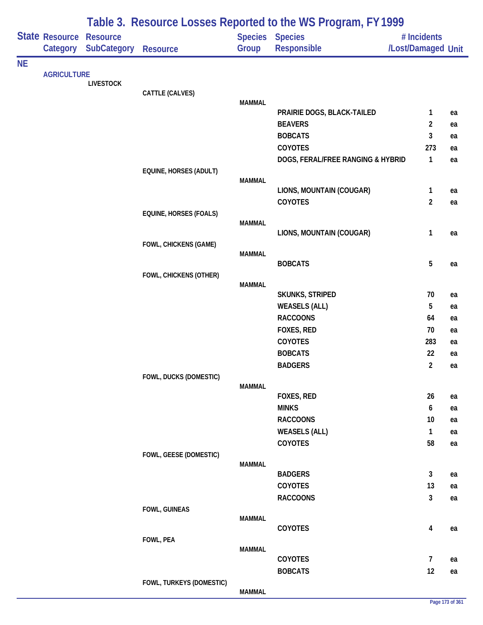|           |                            |                                       |                               |               | Table 3. Resource Losses Reported to the WS Program, FY 1999 |                                   |    |
|-----------|----------------------------|---------------------------------------|-------------------------------|---------------|--------------------------------------------------------------|-----------------------------------|----|
|           | State Resource<br>Category | <b>Resource</b><br><b>SubCategory</b> | Resource                      | Group         | Species Species<br>Responsible                               | # Incidents<br>/Lost/Damaged Unit |    |
| <b>NE</b> |                            |                                       |                               |               |                                                              |                                   |    |
|           | <b>AGRICULTURE</b>         | <b>LIVESTOCK</b>                      |                               |               |                                                              |                                   |    |
|           |                            |                                       | CATTLE (CALVES)               |               |                                                              |                                   |    |
|           |                            |                                       |                               | <b>MAMMAL</b> |                                                              |                                   |    |
|           |                            |                                       |                               |               | PRAIRIE DOGS, BLACK-TAILED<br><b>BEAVERS</b>                 | 1                                 | ea |
|           |                            |                                       |                               |               | <b>BOBCATS</b>                                               | 2<br>3                            | ea |
|           |                            |                                       |                               |               | <b>COYOTES</b>                                               | 273                               | ea |
|           |                            |                                       |                               |               | DOGS, FERAL/FREE RANGING & HYBRID                            | $\mathbf{1}$                      | ea |
|           |                            |                                       | EQUINE, HORSES (ADULT)        |               |                                                              |                                   | ea |
|           |                            |                                       |                               | <b>MAMMAL</b> |                                                              |                                   |    |
|           |                            |                                       |                               |               | LIONS, MOUNTAIN (COUGAR)                                     | $\mathbf{1}$                      | ea |
|           |                            |                                       |                               |               | COYOTES                                                      | $\overline{2}$                    | ea |
|           |                            |                                       | <b>EQUINE, HORSES (FOALS)</b> |               |                                                              |                                   |    |
|           |                            |                                       |                               | <b>MAMMAL</b> |                                                              |                                   |    |
|           |                            |                                       |                               |               | LIONS, MOUNTAIN (COUGAR)                                     | 1                                 | ea |
|           |                            |                                       | FOWL, CHICKENS (GAME)         | <b>MAMMAL</b> |                                                              |                                   |    |
|           |                            |                                       |                               |               | <b>BOBCATS</b>                                               | 5                                 | ea |
|           |                            |                                       | FOWL, CHICKENS (OTHER)        |               |                                                              |                                   |    |
|           |                            |                                       |                               | <b>MAMMAL</b> |                                                              |                                   |    |
|           |                            |                                       |                               |               | SKUNKS, STRIPED                                              | 70                                | ea |
|           |                            |                                       |                               |               | <b>WEASELS (ALL)</b>                                         | 5                                 | ea |
|           |                            |                                       |                               |               | <b>RACCOONS</b>                                              | 64                                | ea |
|           |                            |                                       |                               |               | FOXES, RED                                                   | 70                                | ea |
|           |                            |                                       |                               |               | COYOTES                                                      | 283                               | ea |
|           |                            |                                       |                               |               | <b>BOBCATS</b>                                               | 22                                | ea |
|           |                            |                                       |                               |               | <b>BADGERS</b>                                               | $\overline{2}$                    | ea |
|           |                            |                                       | FOWL, DUCKS (DOMESTIC)        |               |                                                              |                                   |    |
|           |                            |                                       |                               | <b>MAMMAL</b> | FOXES, RED                                                   | 26                                | ea |
|           |                            |                                       |                               |               | <b>MINKS</b>                                                 | 6                                 | ea |
|           |                            |                                       |                               |               | <b>RACCOONS</b>                                              | 10                                | ea |
|           |                            |                                       |                               |               | <b>WEASELS (ALL)</b>                                         | $\mathbf{1}$                      | ea |
|           |                            |                                       |                               |               | <b>COYOTES</b>                                               | 58                                | ea |
|           |                            |                                       | FOWL, GEESE (DOMESTIC)        |               |                                                              |                                   |    |
|           |                            |                                       |                               | <b>MAMMAL</b> |                                                              |                                   |    |
|           |                            |                                       |                               |               | <b>BADGERS</b>                                               | $\mathbf{3}$                      | ea |
|           |                            |                                       |                               |               | COYOTES                                                      | 13                                | ea |
|           |                            |                                       |                               |               | <b>RACCOONS</b>                                              | $\mathbf{3}$                      | ea |
|           |                            |                                       | FOWL, GUINEAS                 |               |                                                              |                                   |    |
|           |                            |                                       |                               | <b>MAMMAL</b> |                                                              |                                   |    |
|           |                            |                                       |                               |               | COYOTES                                                      | 4                                 | ea |
|           |                            |                                       | FOWL, PEA                     | <b>MAMMAL</b> |                                                              |                                   |    |
|           |                            |                                       |                               |               | COYOTES                                                      | $\overline{7}$                    | ea |
|           |                            |                                       |                               |               | <b>BOBCATS</b>                                               | 12                                | ea |
|           |                            |                                       | FOWL, TURKEYS (DOMESTIC)      |               |                                                              |                                   |    |
|           |                            |                                       |                               | <b>MAMMAL</b> |                                                              |                                   |    |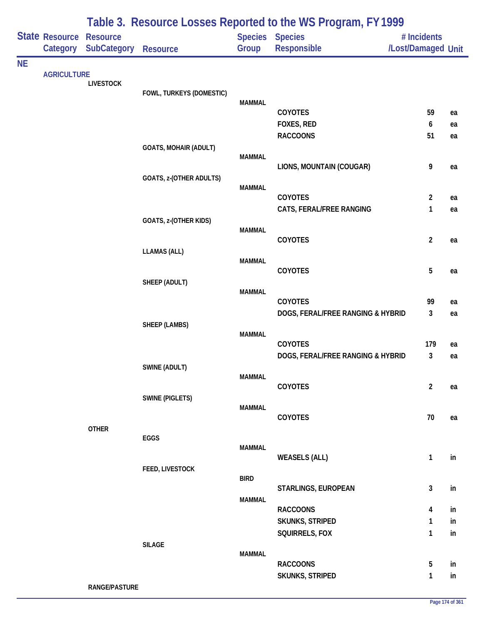|           |                            |                                |                              |                                | Table 3. Resource Losses Reported to the WS Program, FY 1999 |                                   |          |
|-----------|----------------------------|--------------------------------|------------------------------|--------------------------------|--------------------------------------------------------------|-----------------------------------|----------|
|           | State Resource<br>Category | <b>Resource</b><br>SubCategory | Resource                     | Group                          | <b>Species Species</b><br><b>Responsible</b>                 | # Incidents<br>/Lost/Damaged Unit |          |
| <b>NE</b> | <b>AGRICULTURE</b>         | <b>LIVESTOCK</b>               | FOWL, TURKEYS (DOMESTIC)     |                                |                                                              |                                   |          |
|           |                            |                                |                              | <b>MAMMAL</b>                  | COYOTES<br>FOXES, RED                                        | 59<br>6                           | ea<br>ea |
|           |                            |                                | <b>GOATS, MOHAIR (ADULT)</b> | <b>MAMMAL</b>                  | <b>RACCOONS</b>                                              | 51                                | ea       |
|           |                            |                                | GOATS, z-(OTHER ADULTS)      | <b>MAMMAL</b>                  | LIONS, MOUNTAIN (COUGAR)                                     | 9                                 | ea       |
|           |                            |                                | GOATS, z-(OTHER KIDS)        |                                | <b>COYOTES</b><br>CATS, FERAL/FREE RANGING                   | $\overline{2}$<br>1               | ea<br>ea |
|           |                            |                                | <b>LLAMAS (ALL)</b>          | <b>MAMMAL</b>                  | COYOTES                                                      | $\overline{2}$                    | ea       |
|           |                            |                                | SHEEP (ADULT)                | <b>MAMMAL</b><br><b>MAMMAL</b> | COYOTES                                                      | $\overline{5}$                    | ea       |
|           |                            |                                | SHEEP (LAMBS)                |                                | <b>COYOTES</b><br>DOGS, FERAL/FREE RANGING & HYBRID          | 99<br>3                           | ea<br>ea |
|           |                            |                                |                              | <b>MAMMAL</b>                  | <b>COYOTES</b><br>DOGS, FERAL/FREE RANGING & HYBRID          | 179<br>3                          | ea<br>ea |
|           |                            |                                | SWINE (ADULT)                | <b>MAMMAL</b>                  | COYOTES                                                      | $\overline{2}$                    | ea       |
|           |                            |                                | <b>SWINE (PIGLETS)</b>       | <b>MAMMAL</b>                  | COYOTES                                                      | 70                                | ea       |
|           |                            | <b>OTHER</b>                   | EGGS                         | <b>MAMMAL</b>                  |                                                              |                                   |          |
|           |                            |                                | FEED, LIVESTOCK              | <b>BIRD</b>                    | <b>WEASELS (ALL)</b>                                         | $\mathbf{1}$                      | in       |
|           |                            |                                |                              | <b>MAMMAL</b>                  | STARLINGS, EUROPEAN<br><b>RACCOONS</b>                       | $\mathbf{3}$<br>4                 | in<br>in |
|           |                            |                                | <b>SILAGE</b>                |                                | SKUNKS, STRIPED<br>SQUIRRELS, FOX                            | $\mathbf{1}$<br>$\mathbf{1}$      | in<br>in |
|           |                            |                                |                              | <b>MAMMAL</b>                  | <b>RACCOONS</b><br><b>SKUNKS, STRIPED</b>                    | 5<br>1                            | in<br>in |
|           |                            | <b>RANGE/PASTURE</b>           |                              |                                |                                                              |                                   |          |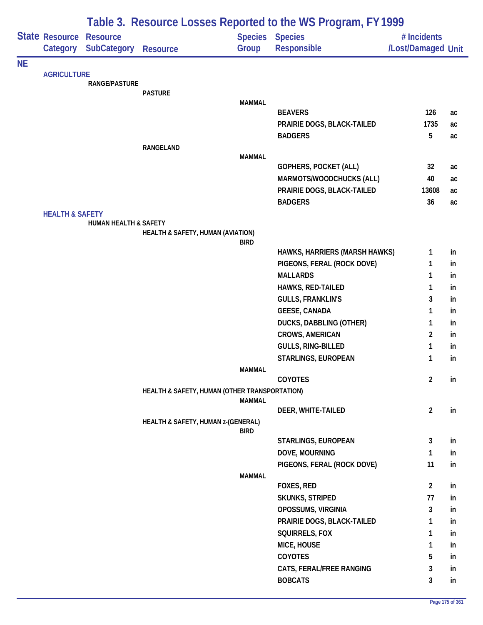|           |                            |                                  |                                               |               | Table 3. Resource Losses Reported to the WS Program, FY1999 |                    |    |
|-----------|----------------------------|----------------------------------|-----------------------------------------------|---------------|-------------------------------------------------------------|--------------------|----|
|           | State Resource             | <b>Resource</b>                  |                                               |               | <b>Species Species</b>                                      | # Incidents        |    |
|           | Category                   | SubCategory                      | <b>Resource</b>                               | Group         | Responsible                                                 | /Lost/Damaged Unit |    |
| <b>NE</b> |                            |                                  |                                               |               |                                                             |                    |    |
|           | <b>AGRICULTURE</b>         | <b>RANGE/PASTURE</b>             |                                               |               |                                                             |                    |    |
|           |                            |                                  | <b>PASTURE</b>                                |               |                                                             |                    |    |
|           |                            |                                  |                                               | <b>MAMMAL</b> |                                                             |                    |    |
|           |                            |                                  |                                               |               | <b>BEAVERS</b>                                              | 126                | ac |
|           |                            |                                  |                                               |               | PRAIRIE DOGS, BLACK-TAILED                                  | 1735               | ac |
|           |                            |                                  |                                               |               | <b>BADGERS</b>                                              | 5                  | ac |
|           |                            |                                  | <b>RANGELAND</b>                              | <b>MAMMAL</b> |                                                             |                    |    |
|           |                            |                                  |                                               |               | GOPHERS, POCKET (ALL)                                       | 32                 | ac |
|           |                            |                                  |                                               |               | MARMOTS/WOODCHUCKS (ALL)                                    | 40                 | ac |
|           |                            |                                  |                                               |               | PRAIRIE DOGS, BLACK-TAILED                                  | 13608              | ac |
|           |                            |                                  |                                               |               | <b>BADGERS</b>                                              | 36                 | ac |
|           | <b>HEALTH &amp; SAFETY</b> |                                  |                                               |               |                                                             |                    |    |
|           |                            | <b>HUMAN HEALTH &amp; SAFETY</b> |                                               |               |                                                             |                    |    |
|           |                            |                                  | HEALTH & SAFETY, HUMAN (AVIATION)             | <b>BIRD</b>   |                                                             |                    |    |
|           |                            |                                  |                                               |               | HAWKS, HARRIERS (MARSH HAWKS)                               | 1                  | in |
|           |                            |                                  |                                               |               | PIGEONS, FERAL (ROCK DOVE)                                  | 1                  | in |
|           |                            |                                  |                                               |               | <b>MALLARDS</b>                                             | 1                  | in |
|           |                            |                                  |                                               |               | HAWKS, RED-TAILED                                           | 1                  | in |
|           |                            |                                  |                                               |               | <b>GULLS, FRANKLIN'S</b>                                    | 3                  | in |
|           |                            |                                  |                                               |               | <b>GEESE, CANADA</b>                                        | 1                  | in |
|           |                            |                                  |                                               |               | <b>DUCKS, DABBLING (OTHER)</b>                              | 1                  | in |
|           |                            |                                  |                                               |               | CROWS, AMERICAN                                             | $\overline{2}$     | in |
|           |                            |                                  |                                               |               | GULLS, RING-BILLED                                          | 1                  | in |
|           |                            |                                  |                                               |               | STARLINGS, EUROPEAN                                         | $\mathbf{1}$       | in |
|           |                            |                                  |                                               | <b>MAMMAL</b> |                                                             |                    |    |
|           |                            |                                  |                                               |               | COYOTES                                                     | $\overline{2}$     | in |
|           |                            |                                  | HEALTH & SAFETY, HUMAN (OTHER TRANSPORTATION) | <b>MAMMAL</b> |                                                             |                    |    |
|           |                            |                                  |                                               |               | DEER, WHITE-TAILED                                          | $\overline{2}$     | in |
|           |                            |                                  | HEALTH & SAFETY, HUMAN z-(GENERAL)            |               |                                                             |                    |    |
|           |                            |                                  |                                               | <b>BIRD</b>   |                                                             |                    |    |
|           |                            |                                  |                                               |               | STARLINGS, EUROPEAN                                         | 3                  | in |
|           |                            |                                  |                                               |               | DOVE, MOURNING                                              | $\mathbf{1}$       | in |
|           |                            |                                  |                                               |               | PIGEONS, FERAL (ROCK DOVE)                                  | 11                 | in |
|           |                            |                                  |                                               | MAMMAL        | <b>FOXES, RED</b>                                           | $\overline{2}$     | in |
|           |                            |                                  |                                               |               | <b>SKUNKS, STRIPED</b>                                      | 77                 | in |
|           |                            |                                  |                                               |               | OPOSSUMS, VIRGINIA                                          | 3                  | in |
|           |                            |                                  |                                               |               | PRAIRIE DOGS, BLACK-TAILED                                  | 1                  | in |
|           |                            |                                  |                                               |               | SQUIRRELS, FOX                                              | 1                  | in |
|           |                            |                                  |                                               |               | MICE, HOUSE                                                 | 1                  | in |
|           |                            |                                  |                                               |               | COYOTES                                                     | 5                  | in |
|           |                            |                                  |                                               |               | CATS, FERAL/FREE RANGING                                    | 3                  | in |
|           |                            |                                  |                                               |               | <b>BOBCATS</b>                                              | 3                  | in |
|           |                            |                                  |                                               |               |                                                             |                    |    |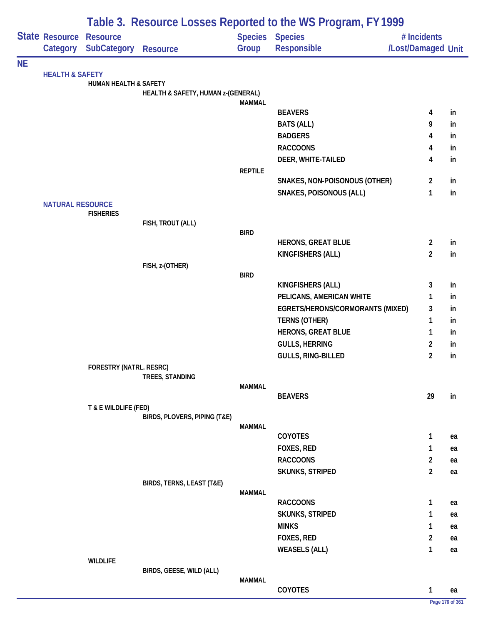|           |                            |                                       |                                    |                | Table 3. Resource Losses Reported to the WS Program, FY 1999 |                                   |                 |
|-----------|----------------------------|---------------------------------------|------------------------------------|----------------|--------------------------------------------------------------|-----------------------------------|-----------------|
|           | State Resource<br>Category | <b>Resource</b><br><b>SubCategory</b> | <b>Resource</b>                    | Group          | Species Species<br>Responsible                               | # Incidents<br>/Lost/Damaged Unit |                 |
| <b>NE</b> |                            |                                       |                                    |                |                                                              |                                   |                 |
|           | <b>HEALTH &amp; SAFETY</b> | <b>HUMAN HEALTH &amp; SAFETY</b>      |                                    |                |                                                              |                                   |                 |
|           |                            |                                       | HEALTH & SAFETY, HUMAN z-(GENERAL) |                |                                                              |                                   |                 |
|           |                            |                                       |                                    | <b>MAMMAL</b>  |                                                              |                                   |                 |
|           |                            |                                       |                                    |                | <b>BEAVERS</b>                                               | 4                                 | in              |
|           |                            |                                       |                                    |                | <b>BATS (ALL)</b>                                            | 9                                 | in              |
|           |                            |                                       |                                    |                | <b>BADGERS</b>                                               | 4                                 | in              |
|           |                            |                                       |                                    |                | <b>RACCOONS</b>                                              | 4                                 | in              |
|           |                            |                                       |                                    |                | DEER, WHITE-TAILED                                           | 4                                 | in              |
|           |                            |                                       |                                    | <b>REPTILE</b> |                                                              |                                   |                 |
|           |                            |                                       |                                    |                | SNAKES, NON-POISONOUS (OTHER)                                | $\overline{2}$                    | in              |
|           |                            |                                       |                                    |                | <b>SNAKES, POISONOUS (ALL)</b>                               | $\mathbf{1}$                      | in              |
|           | <b>NATURAL RESOURCE</b>    | <b>FISHERIES</b>                      |                                    |                |                                                              |                                   |                 |
|           |                            |                                       | FISH, TROUT (ALL)                  |                |                                                              |                                   |                 |
|           |                            |                                       |                                    | <b>BIRD</b>    |                                                              |                                   |                 |
|           |                            |                                       |                                    |                | <b>HERONS, GREAT BLUE</b>                                    | $\overline{2}$                    | in              |
|           |                            |                                       |                                    |                | KINGFISHERS (ALL)                                            | $\overline{2}$                    | in              |
|           |                            |                                       | FISH, z-(OTHER)                    |                |                                                              |                                   |                 |
|           |                            |                                       |                                    | <b>BIRD</b>    | <b>KINGFISHERS (ALL)</b>                                     | 3                                 | in              |
|           |                            |                                       |                                    |                | PELICANS, AMERICAN WHITE                                     | 1                                 | in              |
|           |                            |                                       |                                    |                | EGRETS/HERONS/CORMORANTS (MIXED)                             | 3                                 | in              |
|           |                            |                                       |                                    |                | <b>TERNS (OTHER)</b>                                         | $\mathbf{1}$                      | in              |
|           |                            |                                       |                                    |                | <b>HERONS, GREAT BLUE</b>                                    | 1                                 | in              |
|           |                            |                                       |                                    |                | <b>GULLS, HERRING</b>                                        | $\overline{2}$                    | in              |
|           |                            |                                       |                                    |                | GULLS, RING-BILLED                                           | $\overline{2}$                    | in              |
|           |                            | FORESTRY (NATRL. RESRC)               |                                    |                |                                                              |                                   |                 |
|           |                            |                                       | TREES, STANDING                    |                |                                                              |                                   |                 |
|           |                            |                                       |                                    | <b>MAMMAL</b>  |                                                              |                                   |                 |
|           |                            |                                       |                                    |                | <b>BEAVERS</b>                                               | 29                                | in              |
|           |                            | T & E WILDLIFE (FED)                  |                                    |                |                                                              |                                   |                 |
|           |                            |                                       | BIRDS, PLOVERS, PIPING (T&E)       | <b>MAMMAL</b>  |                                                              |                                   |                 |
|           |                            |                                       |                                    |                | <b>COYOTES</b>                                               | $\mathbf{1}$                      | ea              |
|           |                            |                                       |                                    |                | FOXES, RED                                                   | 1                                 | ea              |
|           |                            |                                       |                                    |                | <b>RACCOONS</b>                                              | $\overline{2}$                    | ea              |
|           |                            |                                       |                                    |                | <b>SKUNKS, STRIPED</b>                                       | $\overline{2}$                    | ea              |
|           |                            |                                       | BIRDS, TERNS, LEAST (T&E)          |                |                                                              |                                   |                 |
|           |                            |                                       |                                    | <b>MAMMAL</b>  |                                                              |                                   |                 |
|           |                            |                                       |                                    |                | <b>RACCOONS</b>                                              | 1                                 | ea              |
|           |                            |                                       |                                    |                | <b>SKUNKS, STRIPED</b>                                       | 1                                 | ea              |
|           |                            |                                       |                                    |                | <b>MINKS</b>                                                 | 1                                 | ea              |
|           |                            |                                       |                                    |                | FOXES, RED                                                   | $\overline{2}$                    | ea              |
|           |                            |                                       |                                    |                | <b>WEASELS (ALL)</b>                                         | $\mathbf{1}$                      | ea              |
|           |                            | <b>WILDLIFE</b>                       | BIRDS, GEESE, WILD (ALL)           |                |                                                              |                                   |                 |
|           |                            |                                       |                                    | <b>MAMMAL</b>  |                                                              |                                   |                 |
|           |                            |                                       |                                    |                | COYOTES                                                      | $\mathbf{1}$                      | ea              |
|           |                            |                                       |                                    |                |                                                              |                                   | Page 176 of 361 |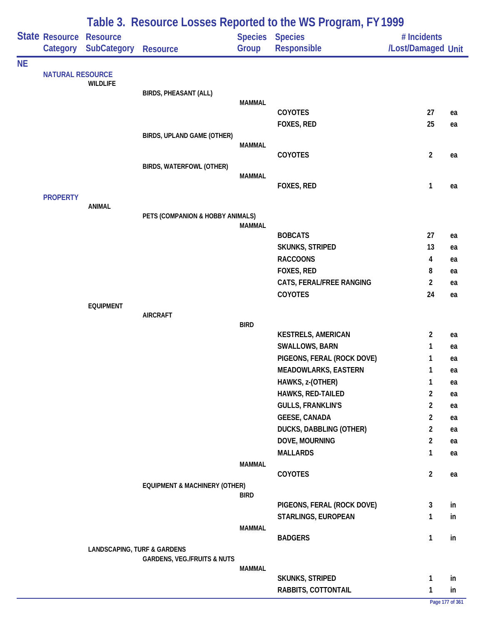|           |                         | Table 3. Resource Losses Reported to the WS Program, FY 1999 |                                          |               |                                |                    |                 |  |  |  |
|-----------|-------------------------|--------------------------------------------------------------|------------------------------------------|---------------|--------------------------------|--------------------|-----------------|--|--|--|
|           | State Resource          | <b>Resource</b>                                              |                                          |               | <b>Species Species</b>         | # Incidents        |                 |  |  |  |
|           | Category                | <b>SubCategory</b>                                           | <b>Resource</b>                          | Group         | Responsible                    | /Lost/Damaged Unit |                 |  |  |  |
| <b>NE</b> |                         |                                                              |                                          |               |                                |                    |                 |  |  |  |
|           | <b>NATURAL RESOURCE</b> | <b>WILDLIFE</b>                                              |                                          |               |                                |                    |                 |  |  |  |
|           |                         |                                                              | <b>BIRDS, PHEASANT (ALL)</b>             |               |                                |                    |                 |  |  |  |
|           |                         |                                                              |                                          | <b>MAMMAL</b> | COYOTES                        | 27                 |                 |  |  |  |
|           |                         |                                                              |                                          |               | FOXES, RED                     | 25                 | ea              |  |  |  |
|           |                         |                                                              | BIRDS, UPLAND GAME (OTHER)               |               |                                |                    | ea              |  |  |  |
|           |                         |                                                              |                                          | <b>MAMMAL</b> |                                |                    |                 |  |  |  |
|           |                         |                                                              |                                          |               | COYOTES                        | $\overline{c}$     | ea              |  |  |  |
|           |                         |                                                              | BIRDS, WATERFOWL (OTHER)                 |               |                                |                    |                 |  |  |  |
|           |                         |                                                              |                                          | <b>MAMMAL</b> | FOXES, RED                     | $\mathbf{1}$       | ea              |  |  |  |
|           | <b>PROPERTY</b>         |                                                              |                                          |               |                                |                    |                 |  |  |  |
|           |                         | <b>ANIMAL</b>                                                |                                          |               |                                |                    |                 |  |  |  |
|           |                         |                                                              | PETS (COMPANION & HOBBY ANIMALS)         |               |                                |                    |                 |  |  |  |
|           |                         |                                                              |                                          | <b>MAMMAL</b> | <b>BOBCATS</b>                 | 27                 | ea              |  |  |  |
|           |                         |                                                              |                                          |               | SKUNKS, STRIPED                | 13                 | ea              |  |  |  |
|           |                         |                                                              |                                          |               | <b>RACCOONS</b>                | 4                  | ea              |  |  |  |
|           |                         |                                                              |                                          |               | FOXES, RED                     | 8                  | ea              |  |  |  |
|           |                         |                                                              |                                          |               | CATS, FERAL/FREE RANGING       | $\overline{2}$     | ea              |  |  |  |
|           |                         |                                                              |                                          |               | COYOTES                        | 24                 | ea              |  |  |  |
|           |                         | <b>EQUIPMENT</b>                                             |                                          |               |                                |                    |                 |  |  |  |
|           |                         |                                                              | <b>AIRCRAFT</b>                          |               |                                |                    |                 |  |  |  |
|           |                         |                                                              |                                          | <b>BIRD</b>   | <b>KESTRELS, AMERICAN</b>      | 2                  | ea              |  |  |  |
|           |                         |                                                              |                                          |               | <b>SWALLOWS, BARN</b>          | 1                  | ea              |  |  |  |
|           |                         |                                                              |                                          |               | PIGEONS, FERAL (ROCK DOVE)     | 1                  | ea              |  |  |  |
|           |                         |                                                              |                                          |               | <b>MEADOWLARKS, EASTERN</b>    | 1                  | ea              |  |  |  |
|           |                         |                                                              |                                          |               | HAWKS, z-(OTHER)               | 1                  | ea              |  |  |  |
|           |                         |                                                              |                                          |               | HAWKS, RED-TAILED              | $\overline{2}$     | ea              |  |  |  |
|           |                         |                                                              |                                          |               | <b>GULLS, FRANKLIN'S</b>       | $\overline{2}$     | ea              |  |  |  |
|           |                         |                                                              |                                          |               | <b>GEESE, CANADA</b>           | $\overline{2}$     | ea              |  |  |  |
|           |                         |                                                              |                                          |               | <b>DUCKS, DABBLING (OTHER)</b> | $\overline{2}$     | ea              |  |  |  |
|           |                         |                                                              |                                          |               | DOVE, MOURNING                 | $\overline{2}$     | ea              |  |  |  |
|           |                         |                                                              |                                          |               | <b>MALLARDS</b>                | $\mathbf{1}$       | ea              |  |  |  |
|           |                         |                                                              |                                          | <b>MAMMAL</b> |                                |                    |                 |  |  |  |
|           |                         |                                                              |                                          |               | <b>COYOTES</b>                 | $\overline{2}$     | ea              |  |  |  |
|           |                         |                                                              | <b>EQUIPMENT &amp; MACHINERY (OTHER)</b> | <b>BIRD</b>   |                                |                    |                 |  |  |  |
|           |                         |                                                              |                                          |               | PIGEONS, FERAL (ROCK DOVE)     | 3                  | in              |  |  |  |
|           |                         |                                                              |                                          |               | STARLINGS, EUROPEAN            | 1                  | in              |  |  |  |
|           |                         |                                                              |                                          | <b>MAMMAL</b> |                                |                    |                 |  |  |  |
|           |                         |                                                              |                                          |               | <b>BADGERS</b>                 | $\mathbf{1}$       | in              |  |  |  |
|           |                         | <b>LANDSCAPING, TURF &amp; GARDENS</b>                       | <b>GARDENS, VEG./FRUITS &amp; NUTS</b>   |               |                                |                    |                 |  |  |  |
|           |                         |                                                              |                                          | <b>MAMMAL</b> |                                |                    |                 |  |  |  |
|           |                         |                                                              |                                          |               | SKUNKS, STRIPED                | $\mathbf{1}$       | in              |  |  |  |
|           |                         |                                                              |                                          |               | RABBITS, COTTONTAIL            | $\mathbf{1}$       | in              |  |  |  |
|           |                         |                                                              |                                          |               |                                |                    | Page 177 of 361 |  |  |  |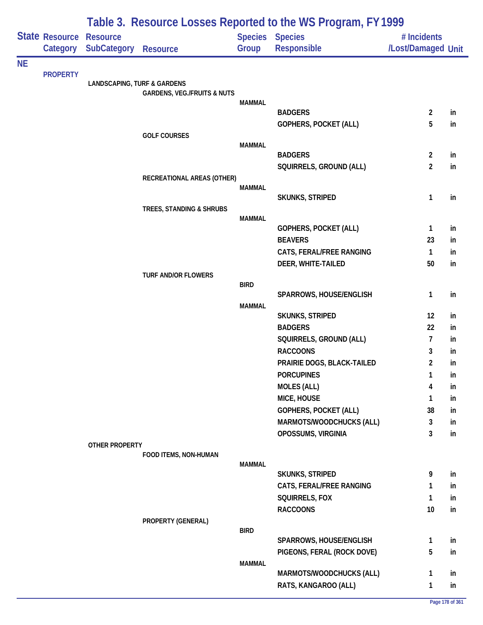|           |                                   | Table 3. Resource Losses Reported to the WS Program, FY 1999 |                                        |               |                                              |                                   |          |  |  |  |
|-----------|-----------------------------------|--------------------------------------------------------------|----------------------------------------|---------------|----------------------------------------------|-----------------------------------|----------|--|--|--|
|           | <b>State Resource</b><br>Category | <b>Resource</b><br><b>SubCategory</b>                        | <b>Resource</b>                        | Group         | <b>Species Species</b><br><b>Responsible</b> | # Incidents<br>/Lost/Damaged Unit |          |  |  |  |
| <b>NE</b> |                                   |                                                              |                                        |               |                                              |                                   |          |  |  |  |
|           | <b>PROPERTY</b>                   | <b>LANDSCAPING, TURF &amp; GARDENS</b>                       |                                        |               |                                              |                                   |          |  |  |  |
|           |                                   |                                                              | <b>GARDENS, VEG./FRUITS &amp; NUTS</b> |               |                                              |                                   |          |  |  |  |
|           |                                   |                                                              |                                        | <b>MAMMAL</b> |                                              |                                   |          |  |  |  |
|           |                                   |                                                              |                                        |               | <b>BADGERS</b>                               | $\overline{2}$                    | in       |  |  |  |
|           |                                   |                                                              | <b>GOLF COURSES</b>                    |               | <b>GOPHERS, POCKET (ALL)</b>                 | 5                                 | in       |  |  |  |
|           |                                   |                                                              |                                        | <b>MAMMAL</b> |                                              |                                   |          |  |  |  |
|           |                                   |                                                              |                                        |               | <b>BADGERS</b>                               | $\overline{2}$                    | in       |  |  |  |
|           |                                   |                                                              |                                        |               | SQUIRRELS, GROUND (ALL)                      | $\overline{2}$                    | in       |  |  |  |
|           |                                   |                                                              | RECREATIONAL AREAS (OTHER)             |               |                                              |                                   |          |  |  |  |
|           |                                   |                                                              |                                        | <b>MAMMAL</b> | <b>SKUNKS, STRIPED</b>                       | $\mathbf{1}$                      | in       |  |  |  |
|           |                                   |                                                              | TREES, STANDING & SHRUBS               |               |                                              |                                   |          |  |  |  |
|           |                                   |                                                              |                                        | <b>MAMMAL</b> |                                              |                                   |          |  |  |  |
|           |                                   |                                                              |                                        |               | GOPHERS, POCKET (ALL)                        | $\mathbf{1}$                      | in       |  |  |  |
|           |                                   |                                                              |                                        |               | <b>BEAVERS</b>                               | 23                                | in       |  |  |  |
|           |                                   |                                                              |                                        |               | CATS, FERAL/FREE RANGING                     | $\mathbf{1}$                      | in       |  |  |  |
|           |                                   |                                                              | <b>TURF AND/OR FLOWERS</b>             |               | DEER, WHITE-TAILED                           | 50                                | in       |  |  |  |
|           |                                   |                                                              |                                        | <b>BIRD</b>   |                                              |                                   |          |  |  |  |
|           |                                   |                                                              |                                        |               | SPARROWS, HOUSE/ENGLISH                      | $\mathbf{1}$                      | in       |  |  |  |
|           |                                   |                                                              |                                        | <b>MAMMAL</b> |                                              |                                   |          |  |  |  |
|           |                                   |                                                              |                                        |               | <b>SKUNKS, STRIPED</b>                       | 12                                | in       |  |  |  |
|           |                                   |                                                              |                                        |               | <b>BADGERS</b>                               | 22                                | in       |  |  |  |
|           |                                   |                                                              |                                        |               | SQUIRRELS, GROUND (ALL)<br><b>RACCOONS</b>   | 7                                 | in       |  |  |  |
|           |                                   |                                                              |                                        |               | PRAIRIE DOGS, BLACK-TAILED                   | 3<br>$\overline{2}$               | in<br>in |  |  |  |
|           |                                   |                                                              |                                        |               | <b>PORCUPINES</b>                            | $\mathbf{1}$                      | in       |  |  |  |
|           |                                   |                                                              |                                        |               | <b>MOLES (ALL)</b>                           | 4                                 | in       |  |  |  |
|           |                                   |                                                              |                                        |               | MICE, HOUSE                                  | 1                                 | in       |  |  |  |
|           |                                   |                                                              |                                        |               | <b>GOPHERS, POCKET (ALL)</b>                 | 38                                | in       |  |  |  |
|           |                                   |                                                              |                                        |               | MARMOTS/WOODCHUCKS (ALL)                     | 3                                 | in       |  |  |  |
|           |                                   |                                                              |                                        |               | OPOSSUMS, VIRGINIA                           | 3                                 | in       |  |  |  |
|           |                                   | OTHER PROPERTY                                               |                                        |               |                                              |                                   |          |  |  |  |
|           |                                   |                                                              | FOOD ITEMS, NON-HUMAN                  | <b>MAMMAL</b> |                                              |                                   |          |  |  |  |
|           |                                   |                                                              |                                        |               | <b>SKUNKS, STRIPED</b>                       | 9                                 | in       |  |  |  |
|           |                                   |                                                              |                                        |               | CATS, FERAL/FREE RANGING                     | 1                                 | in       |  |  |  |
|           |                                   |                                                              |                                        |               | SQUIRRELS, FOX                               | $\mathbf{1}$                      | in       |  |  |  |
|           |                                   |                                                              |                                        |               | <b>RACCOONS</b>                              | 10                                | in       |  |  |  |
|           |                                   |                                                              | PROPERTY (GENERAL)                     |               |                                              |                                   |          |  |  |  |
|           |                                   |                                                              |                                        | <b>BIRD</b>   | SPARROWS, HOUSE/ENGLISH                      | $\mathbf{1}$                      | in       |  |  |  |
|           |                                   |                                                              |                                        |               | PIGEONS, FERAL (ROCK DOVE)                   | 5                                 | in       |  |  |  |
|           |                                   |                                                              |                                        | <b>MAMMAL</b> |                                              |                                   |          |  |  |  |
|           |                                   |                                                              |                                        |               | MARMOTS/WOODCHUCKS (ALL)                     | 1                                 | in       |  |  |  |
|           |                                   |                                                              |                                        |               | RATS, KANGAROO (ALL)                         | $\mathbf{1}$                      | in       |  |  |  |
|           |                                   |                                                              |                                        |               |                                              |                                   |          |  |  |  |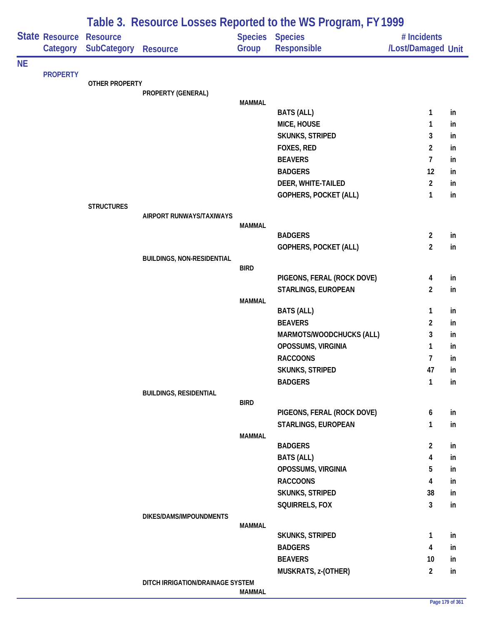|           |                                   |                                       |                                   | Table 3. Resource Losses Reported to the WS Program, FY 1999 |                                              |                                   |     |  |
|-----------|-----------------------------------|---------------------------------------|-----------------------------------|--------------------------------------------------------------|----------------------------------------------|-----------------------------------|-----|--|
|           | <b>State Resource</b><br>Category | <b>Resource</b><br><b>SubCategory</b> | <b>Resource</b>                   | Group                                                        | <b>Species Species</b><br><b>Responsible</b> | # Incidents<br>/Lost/Damaged Unit |     |  |
| <b>NE</b> |                                   |                                       |                                   |                                                              |                                              |                                   |     |  |
|           | <b>PROPERTY</b>                   | OTHER PROPERTY                        |                                   |                                                              |                                              |                                   |     |  |
|           |                                   |                                       | PROPERTY (GENERAL)                |                                                              |                                              |                                   |     |  |
|           |                                   |                                       |                                   | <b>MAMMAL</b>                                                |                                              |                                   |     |  |
|           |                                   |                                       |                                   |                                                              | <b>BATS (ALL)</b>                            | 1                                 | in  |  |
|           |                                   |                                       |                                   |                                                              | MICE, HOUSE                                  | 1                                 | in  |  |
|           |                                   |                                       |                                   |                                                              | SKUNKS, STRIPED                              | 3                                 | in  |  |
|           |                                   |                                       |                                   |                                                              | FOXES, RED                                   | $\overline{2}$                    | in  |  |
|           |                                   |                                       |                                   |                                                              | <b>BEAVERS</b>                               | 7                                 | in  |  |
|           |                                   |                                       |                                   |                                                              | <b>BADGERS</b>                               | 12                                | in  |  |
|           |                                   |                                       |                                   |                                                              | DEER, WHITE-TAILED                           | $\overline{2}$                    | in  |  |
|           |                                   |                                       |                                   |                                                              | <b>GOPHERS, POCKET (ALL)</b>                 | 1                                 | in  |  |
|           |                                   | <b>STRUCTURES</b>                     | AIRPORT RUNWAYS/TAXIWAYS          |                                                              |                                              |                                   |     |  |
|           |                                   |                                       |                                   | MAMMAL                                                       |                                              |                                   |     |  |
|           |                                   |                                       |                                   |                                                              | <b>BADGERS</b>                               | $\overline{2}$                    | in  |  |
|           |                                   |                                       |                                   |                                                              | <b>GOPHERS, POCKET (ALL)</b>                 | $\overline{2}$                    | in. |  |
|           |                                   |                                       | <b>BUILDINGS, NON-RESIDENTIAL</b> |                                                              |                                              |                                   |     |  |
|           |                                   |                                       |                                   | <b>BIRD</b>                                                  |                                              |                                   |     |  |
|           |                                   |                                       |                                   |                                                              | PIGEONS, FERAL (ROCK DOVE)                   | 4<br>$\overline{2}$               | in  |  |
|           |                                   |                                       |                                   | <b>MAMMAL</b>                                                | STARLINGS, EUROPEAN                          |                                   | in  |  |
|           |                                   |                                       |                                   |                                                              | <b>BATS (ALL)</b>                            | 1                                 | in  |  |
|           |                                   |                                       |                                   |                                                              | <b>BEAVERS</b>                               | 2                                 | in  |  |
|           |                                   |                                       |                                   |                                                              | MARMOTS/WOODCHUCKS (ALL)                     | 3                                 | in  |  |
|           |                                   |                                       |                                   |                                                              | OPOSSUMS, VIRGINIA                           | 1                                 | in  |  |
|           |                                   |                                       |                                   |                                                              | <b>RACCOONS</b>                              | 7                                 | in  |  |
|           |                                   |                                       |                                   |                                                              | <b>SKUNKS, STRIPED</b>                       | 47                                | in  |  |
|           |                                   |                                       |                                   |                                                              | <b>BADGERS</b>                               | $\mathbf{1}$                      | in  |  |
|           |                                   |                                       | <b>BUILDINGS, RESIDENTIAL</b>     |                                                              |                                              |                                   |     |  |
|           |                                   |                                       |                                   | <b>BIRD</b>                                                  |                                              |                                   |     |  |
|           |                                   |                                       |                                   |                                                              | PIGEONS, FERAL (ROCK DOVE)                   | 6                                 | in  |  |
|           |                                   |                                       |                                   |                                                              | STARLINGS, EUROPEAN                          | 1                                 | in  |  |
|           |                                   |                                       |                                   | <b>MAMMAL</b>                                                |                                              |                                   |     |  |
|           |                                   |                                       |                                   |                                                              | <b>BADGERS</b>                               | $\overline{2}$                    | in  |  |
|           |                                   |                                       |                                   |                                                              | <b>BATS (ALL)</b>                            | 4                                 | in  |  |
|           |                                   |                                       |                                   |                                                              | OPOSSUMS, VIRGINIA                           | 5                                 | in  |  |
|           |                                   |                                       |                                   |                                                              | <b>RACCOONS</b>                              | 4                                 | in  |  |
|           |                                   |                                       |                                   |                                                              | SKUNKS, STRIPED                              | 38                                | in  |  |
|           |                                   |                                       |                                   |                                                              | SQUIRRELS, FOX                               | $\mathbf{3}$                      | in  |  |
|           |                                   |                                       | DIKES/DAMS/IMPOUNDMENTS           | <b>MAMMAL</b>                                                |                                              |                                   |     |  |
|           |                                   |                                       |                                   |                                                              | <b>SKUNKS, STRIPED</b>                       | $\mathbf{1}$                      | in  |  |
|           |                                   |                                       |                                   |                                                              | <b>BADGERS</b>                               | 4                                 | in  |  |
|           |                                   |                                       |                                   |                                                              | <b>BEAVERS</b>                               | 10                                | in  |  |
|           |                                   |                                       |                                   |                                                              | MUSKRATS, z-(OTHER)                          | $\overline{2}$                    | in  |  |
|           |                                   |                                       | DITCH IRRIGATION/DRAINAGE SYSTEM  |                                                              |                                              |                                   |     |  |
|           |                                   |                                       |                                   | <b>MAMMAL</b>                                                |                                              |                                   |     |  |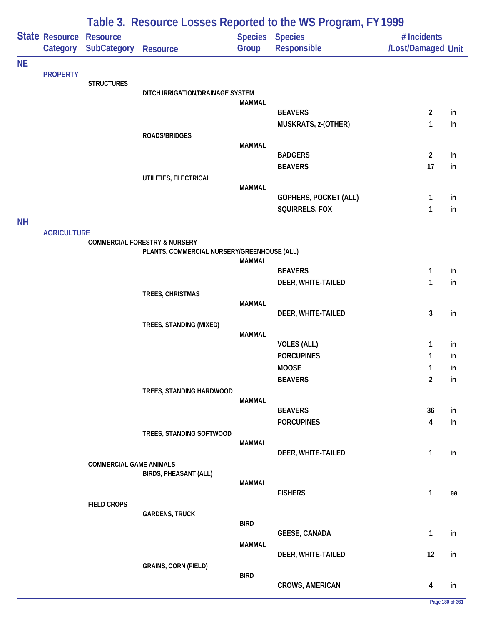|           | Table 3. Resource Losses Reported to the WS Program, FY 1999 |                                |                                             |                         |                               |                                   |    |
|-----------|--------------------------------------------------------------|--------------------------------|---------------------------------------------|-------------------------|-------------------------------|-----------------------------------|----|
|           | State Resource<br>Category                                   | <b>Resource</b><br>SubCategory | <b>Resource</b>                             | <b>Species</b><br>Group | <b>Species</b><br>Responsible | # Incidents<br>/Lost/Damaged Unit |    |
| <b>NE</b> |                                                              |                                |                                             |                         |                               |                                   |    |
|           | <b>PROPERTY</b>                                              | <b>STRUCTURES</b>              |                                             |                         |                               |                                   |    |
|           |                                                              |                                | DITCH IRRIGATION/DRAINAGE SYSTEM            |                         |                               |                                   |    |
|           |                                                              |                                |                                             | <b>MAMMAL</b>           | <b>BEAVERS</b>                | $\overline{2}$                    | in |
|           |                                                              |                                |                                             |                         | MUSKRATS, z-(OTHER)           | 1                                 | in |
|           |                                                              |                                | ROADS/BRIDGES                               |                         |                               |                                   |    |
|           |                                                              |                                |                                             | <b>MAMMAL</b>           |                               |                                   |    |
|           |                                                              |                                |                                             |                         | <b>BADGERS</b>                | $\overline{2}$<br>17              | in |
|           |                                                              |                                | UTILITIES, ELECTRICAL                       |                         | <b>BEAVERS</b>                |                                   | in |
|           |                                                              |                                |                                             | <b>MAMMAL</b>           |                               |                                   |    |
|           |                                                              |                                |                                             |                         | GOPHERS, POCKET (ALL)         | 1                                 | in |
|           |                                                              |                                |                                             |                         | SQUIRRELS, FOX                | 1                                 | in |
| <b>NH</b> |                                                              |                                |                                             |                         |                               |                                   |    |
|           | <b>AGRICULTURE</b>                                           |                                | <b>COMMERCIAL FORESTRY &amp; NURSERY</b>    |                         |                               |                                   |    |
|           |                                                              |                                | PLANTS, COMMERCIAL NURSERY/GREENHOUSE (ALL) |                         |                               |                                   |    |
|           |                                                              |                                |                                             | <b>MAMMAL</b>           | <b>BEAVERS</b>                | 1                                 | in |
|           |                                                              |                                |                                             |                         | DEER, WHITE-TAILED            | 1                                 | in |
|           |                                                              |                                | TREES, CHRISTMAS                            |                         |                               |                                   |    |
|           |                                                              |                                |                                             | <b>MAMMAL</b>           |                               |                                   |    |
|           |                                                              |                                |                                             |                         | DEER, WHITE-TAILED            | $\mathbf{3}$                      | in |
|           |                                                              |                                | TREES, STANDING (MIXED)                     | <b>MAMMAL</b>           |                               |                                   |    |
|           |                                                              |                                |                                             |                         | <b>VOLES (ALL)</b>            | 1                                 | in |
|           |                                                              |                                |                                             |                         | <b>PORCUPINES</b>             | 1                                 | in |
|           |                                                              |                                |                                             |                         | <b>MOOSE</b>                  | 1                                 | in |
|           |                                                              |                                |                                             |                         | <b>BEAVERS</b>                | $\overline{2}$                    | in |
|           |                                                              |                                | TREES, STANDING HARDWOOD                    | <b>MAMMAL</b>           |                               |                                   |    |
|           |                                                              |                                |                                             |                         | <b>BEAVERS</b>                | 36                                | in |
|           |                                                              |                                |                                             |                         | <b>PORCUPINES</b>             | 4                                 | in |
|           |                                                              |                                | TREES, STANDING SOFTWOOD                    |                         |                               |                                   |    |
|           |                                                              |                                |                                             | <b>MAMMAL</b>           | DEER, WHITE-TAILED            | 1                                 | in |
|           |                                                              | <b>COMMERCIAL GAME ANIMALS</b> |                                             |                         |                               |                                   |    |
|           |                                                              |                                | <b>BIRDS, PHEASANT (ALL)</b>                |                         |                               |                                   |    |
|           |                                                              |                                |                                             | <b>MAMMAL</b>           | <b>FISHERS</b>                | $\mathbf{1}$                      | ea |
|           |                                                              | <b>FIELD CROPS</b>             |                                             |                         |                               |                                   |    |
|           |                                                              |                                | <b>GARDENS, TRUCK</b>                       |                         |                               |                                   |    |
|           |                                                              |                                |                                             | <b>BIRD</b>             | <b>GEESE, CANADA</b>          | $\mathbf{1}$                      | in |
|           |                                                              |                                |                                             | <b>MAMMAL</b>           |                               |                                   |    |
|           |                                                              |                                |                                             |                         | DEER, WHITE-TAILED            | 12                                | in |
|           |                                                              |                                | <b>GRAINS, CORN (FIELD)</b>                 |                         |                               |                                   |    |
|           |                                                              |                                |                                             | <b>BIRD</b>             | <b>CROWS, AMERICAN</b>        |                                   |    |
|           |                                                              |                                |                                             |                         |                               | 4                                 | in |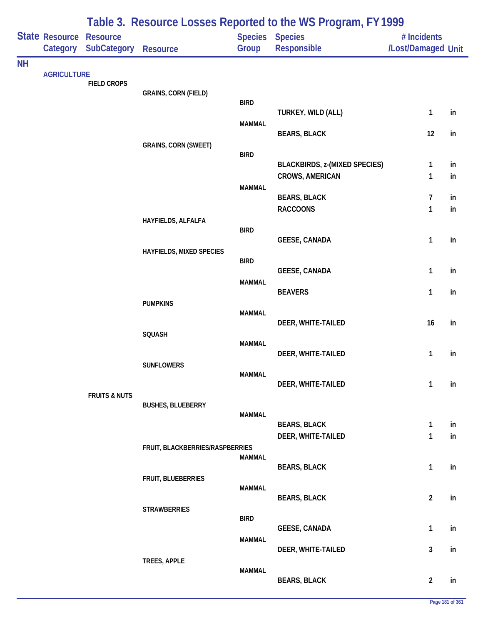|           | State Resource     | <b>Resource</b>          |                                 |               | Table 5. Resource LOSSES Reported to the WS FTOGRAM, FT 1777<br>Species Species | # Incidents        |    |
|-----------|--------------------|--------------------------|---------------------------------|---------------|---------------------------------------------------------------------------------|--------------------|----|
|           | Category           | <b>SubCategory</b>       | <b>Resource</b>                 | Group         | Responsible                                                                     | /Lost/Damaged Unit |    |
| <b>NH</b> |                    |                          |                                 |               |                                                                                 |                    |    |
|           | <b>AGRICULTURE</b> | <b>FIELD CROPS</b>       |                                 |               |                                                                                 |                    |    |
|           |                    |                          | <b>GRAINS, CORN (FIELD)</b>     |               |                                                                                 |                    |    |
|           |                    |                          |                                 | <b>BIRD</b>   | TURKEY, WILD (ALL)                                                              | $\mathbf{1}$       | in |
|           |                    |                          |                                 | <b>MAMMAL</b> |                                                                                 |                    |    |
|           |                    |                          |                                 |               | <b>BEARS, BLACK</b>                                                             | 12                 | in |
|           |                    |                          | <b>GRAINS, CORN (SWEET)</b>     | <b>BIRD</b>   |                                                                                 |                    |    |
|           |                    |                          |                                 |               | <b>BLACKBIRDS, z-(MIXED SPECIES)</b>                                            | $\mathbf{1}$       | in |
|           |                    |                          |                                 |               | <b>CROWS, AMERICAN</b>                                                          | $\mathbf{1}$       | in |
|           |                    |                          |                                 | <b>MAMMAL</b> | <b>BEARS, BLACK</b>                                                             | $\overline{7}$     | in |
|           |                    |                          |                                 |               | <b>RACCOONS</b>                                                                 | $\mathbf{1}$       | in |
|           |                    |                          | HAYFIELDS, ALFALFA              |               |                                                                                 |                    |    |
|           |                    |                          |                                 | <b>BIRD</b>   |                                                                                 |                    |    |
|           |                    |                          | HAYFIELDS, MIXED SPECIES        |               | <b>GEESE, CANADA</b>                                                            | $\mathbf{1}$       | in |
|           |                    |                          |                                 | <b>BIRD</b>   |                                                                                 |                    |    |
|           |                    |                          |                                 |               | <b>GEESE, CANADA</b>                                                            | $\mathbf{1}$       | in |
|           |                    |                          |                                 | <b>MAMMAL</b> | <b>BEAVERS</b>                                                                  | $\mathbf{1}$       | in |
|           |                    |                          | <b>PUMPKINS</b>                 |               |                                                                                 |                    |    |
|           |                    |                          |                                 | <b>MAMMAL</b> |                                                                                 |                    |    |
|           |                    |                          | SQUASH                          |               | DEER, WHITE-TAILED                                                              | 16                 | in |
|           |                    |                          |                                 | <b>MAMMAL</b> |                                                                                 |                    |    |
|           |                    |                          |                                 |               | DEER, WHITE-TAILED                                                              | $\mathbf{1}$       | in |
|           |                    |                          | <b>SUNFLOWERS</b>               | <b>MAMMAL</b> |                                                                                 |                    |    |
|           |                    |                          |                                 |               | DEER, WHITE-TAILED                                                              | $\mathbf{1}$       | in |
|           |                    | <b>FRUITS &amp; NUTS</b> |                                 |               |                                                                                 |                    |    |
|           |                    |                          | <b>BUSHES, BLUEBERRY</b>        | <b>MAMMAL</b> |                                                                                 |                    |    |
|           |                    |                          |                                 |               | <b>BEARS, BLACK</b>                                                             | $\mathbf{1}$       | in |
|           |                    |                          |                                 |               | DEER, WHITE-TAILED                                                              | 1                  | in |
|           |                    |                          | FRUIT, BLACKBERRIES/RASPBERRIES | <b>MAMMAL</b> |                                                                                 |                    |    |
|           |                    |                          |                                 |               | <b>BEARS, BLACK</b>                                                             | $\mathbf{1}$       | in |
|           |                    |                          | FRUIT, BLUEBERRIES              |               |                                                                                 |                    |    |
|           |                    |                          |                                 | <b>MAMMAL</b> | <b>BEARS, BLACK</b>                                                             | $\overline{2}$     | in |
|           |                    |                          | <b>STRAWBERRIES</b>             |               |                                                                                 |                    |    |
|           |                    |                          |                                 | <b>BIRD</b>   |                                                                                 |                    |    |
|           |                    |                          |                                 | <b>MAMMAL</b> | <b>GEESE, CANADA</b>                                                            | $\mathbf{1}$       | in |
|           |                    |                          |                                 |               | DEER, WHITE-TAILED                                                              | $\mathbf{3}$       | in |
|           |                    |                          | TREES, APPLE                    |               |                                                                                 |                    |    |
|           |                    |                          |                                 | <b>MAMMAL</b> | <b>BEARS, BLACK</b>                                                             | $\overline{2}$     | in |
|           |                    |                          |                                 |               |                                                                                 |                    |    |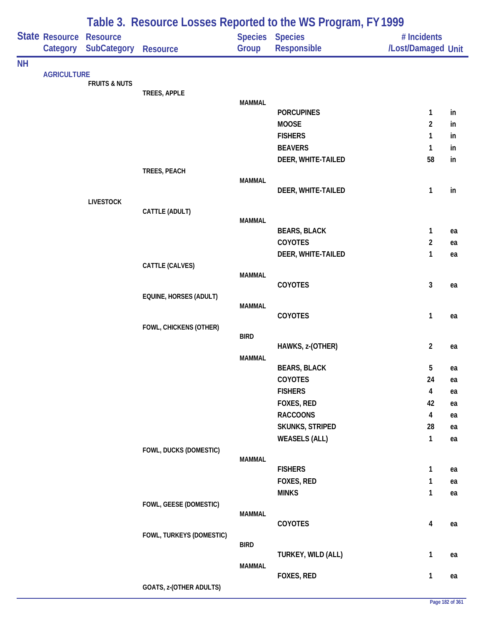|           |                            | Table 3. Resource Losses Reported to the WS Program, FY 1999 |                          |               |                                   |                                   |          |  |  |
|-----------|----------------------------|--------------------------------------------------------------|--------------------------|---------------|-----------------------------------|-----------------------------------|----------|--|--|
|           | State Resource<br>Category | <b>Resource</b><br><b>SubCategory</b>                        | Resource                 | Group         | Species Species<br>Responsible    | # Incidents<br>/Lost/Damaged Unit |          |  |  |
| <b>NH</b> |                            |                                                              |                          |               |                                   |                                   |          |  |  |
|           | <b>AGRICULTURE</b>         | <b>FRUITS &amp; NUTS</b>                                     |                          |               |                                   |                                   |          |  |  |
|           |                            |                                                              | TREES, APPLE             |               |                                   |                                   |          |  |  |
|           |                            |                                                              |                          | <b>MAMMAL</b> |                                   |                                   |          |  |  |
|           |                            |                                                              |                          |               | <b>PORCUPINES</b><br><b>MOOSE</b> | 1<br>2                            | in       |  |  |
|           |                            |                                                              |                          |               | <b>FISHERS</b>                    | 1                                 | in<br>in |  |  |
|           |                            |                                                              |                          |               | <b>BEAVERS</b>                    | 1                                 | in       |  |  |
|           |                            |                                                              |                          |               | DEER, WHITE-TAILED                | 58                                | in       |  |  |
|           |                            |                                                              | TREES, PEACH             |               |                                   |                                   |          |  |  |
|           |                            |                                                              |                          | <b>MAMMAL</b> |                                   |                                   |          |  |  |
|           |                            |                                                              |                          |               | DEER, WHITE-TAILED                | 1                                 | in       |  |  |
|           |                            | <b>LIVESTOCK</b>                                             |                          |               |                                   |                                   |          |  |  |
|           |                            |                                                              | CATTLE (ADULT)           | <b>MAMMAL</b> |                                   |                                   |          |  |  |
|           |                            |                                                              |                          |               | <b>BEARS, BLACK</b>               | 1                                 | ea       |  |  |
|           |                            |                                                              |                          |               | <b>COYOTES</b>                    | $\overline{c}$                    | ea       |  |  |
|           |                            |                                                              |                          |               | DEER, WHITE-TAILED                | 1                                 | ea       |  |  |
|           |                            |                                                              | CATTLE (CALVES)          |               |                                   |                                   |          |  |  |
|           |                            |                                                              |                          | <b>MAMMAL</b> |                                   |                                   |          |  |  |
|           |                            |                                                              |                          |               | COYOTES                           | 3                                 | ea       |  |  |
|           |                            |                                                              | EQUINE, HORSES (ADULT)   | <b>MAMMAL</b> |                                   |                                   |          |  |  |
|           |                            |                                                              |                          |               | COYOTES                           | 1                                 | ea       |  |  |
|           |                            |                                                              | FOWL, CHICKENS (OTHER)   |               |                                   |                                   |          |  |  |
|           |                            |                                                              |                          | <b>BIRD</b>   |                                   |                                   |          |  |  |
|           |                            |                                                              |                          |               | HAWKS, z-(OTHER)                  | $\overline{2}$                    | ea       |  |  |
|           |                            |                                                              |                          | <b>MAMMAL</b> | <b>BEARS, BLACK</b>               | 5                                 | ea       |  |  |
|           |                            |                                                              |                          |               | COYOTES                           | 24                                | ea       |  |  |
|           |                            |                                                              |                          |               | <b>FISHERS</b>                    | 4                                 | ea       |  |  |
|           |                            |                                                              |                          |               | FOXES, RED                        | 42                                | ea       |  |  |
|           |                            |                                                              |                          |               | <b>RACCOONS</b>                   | 4                                 | ea       |  |  |
|           |                            |                                                              |                          |               | <b>SKUNKS, STRIPED</b>            | 28                                | ea       |  |  |
|           |                            |                                                              |                          |               | <b>WEASELS (ALL)</b>              | 1                                 | ea       |  |  |
|           |                            |                                                              | FOWL, DUCKS (DOMESTIC)   |               |                                   |                                   |          |  |  |
|           |                            |                                                              |                          | <b>MAMMAL</b> |                                   |                                   |          |  |  |
|           |                            |                                                              |                          |               | <b>FISHERS</b>                    | 1                                 | ea       |  |  |
|           |                            |                                                              |                          |               | FOXES, RED                        | 1                                 | ea       |  |  |
|           |                            |                                                              |                          |               | <b>MINKS</b>                      | 1                                 | ea       |  |  |
|           |                            |                                                              | FOWL, GEESE (DOMESTIC)   | <b>MAMMAL</b> |                                   |                                   |          |  |  |
|           |                            |                                                              |                          |               | COYOTES                           | 4                                 | ea       |  |  |
|           |                            |                                                              | FOWL, TURKEYS (DOMESTIC) |               |                                   |                                   |          |  |  |
|           |                            |                                                              |                          | <b>BIRD</b>   |                                   |                                   |          |  |  |
|           |                            |                                                              |                          |               | TURKEY, WILD (ALL)                | 1                                 | ea       |  |  |
|           |                            |                                                              |                          | <b>MAMMAL</b> | FOXES, RED                        | 1                                 | ea       |  |  |
|           |                            |                                                              | GOATS, z-(OTHER ADULTS)  |               |                                   |                                   |          |  |  |
|           |                            |                                                              |                          |               |                                   |                                   |          |  |  |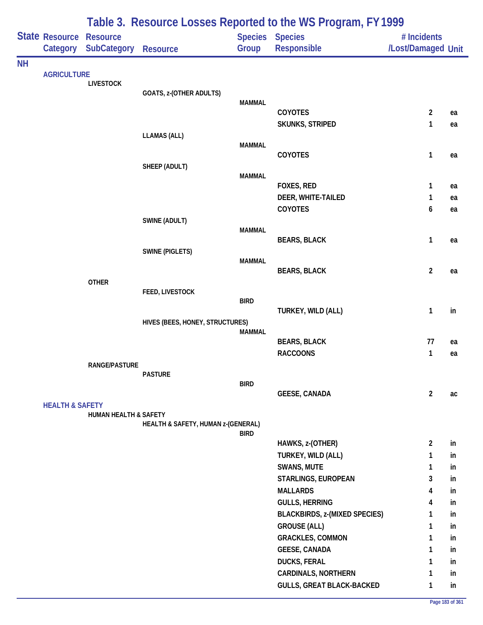|           |                                   |                                |                                    |               | Table 3. Resource Losses Reported to the WS Program, FY 1999 |                                   |    |
|-----------|-----------------------------------|--------------------------------|------------------------------------|---------------|--------------------------------------------------------------|-----------------------------------|----|
|           | <b>State Resource</b><br>Category | <b>Resource</b><br>SubCategory | <b>Resource</b>                    | Group         | Species Species<br>Responsible                               | # Incidents<br>/Lost/Damaged Unit |    |
| <b>NH</b> |                                   |                                |                                    |               |                                                              |                                   |    |
|           | <b>AGRICULTURE</b>                |                                |                                    |               |                                                              |                                   |    |
|           |                                   | <b>LIVESTOCK</b>               | GOATS, z-(OTHER ADULTS)            |               |                                                              |                                   |    |
|           |                                   |                                |                                    | <b>MAMMAL</b> |                                                              |                                   |    |
|           |                                   |                                |                                    |               | <b>COYOTES</b>                                               | $\overline{a}$                    | ea |
|           |                                   |                                |                                    |               | <b>SKUNKS, STRIPED</b>                                       | 1                                 | ea |
|           |                                   |                                | <b>LLAMAS (ALL)</b>                | <b>MAMMAL</b> |                                                              |                                   |    |
|           |                                   |                                |                                    |               | COYOTES                                                      | 1                                 | ea |
|           |                                   |                                | SHEEP (ADULT)                      |               |                                                              |                                   |    |
|           |                                   |                                |                                    | <b>MAMMAL</b> |                                                              |                                   |    |
|           |                                   |                                |                                    |               | FOXES, RED                                                   | 1                                 | ea |
|           |                                   |                                |                                    |               | DEER, WHITE-TAILED                                           | 1                                 | ea |
|           |                                   |                                |                                    |               | COYOTES                                                      | 6                                 | ea |
|           |                                   |                                | SWINE (ADULT)                      |               |                                                              |                                   |    |
|           |                                   |                                |                                    | <b>MAMMAL</b> | <b>BEARS, BLACK</b>                                          | 1                                 | ea |
|           |                                   |                                | <b>SWINE (PIGLETS)</b>             |               |                                                              |                                   |    |
|           |                                   |                                |                                    | <b>MAMMAL</b> |                                                              |                                   |    |
|           |                                   |                                |                                    |               | <b>BEARS, BLACK</b>                                          | $\overline{a}$                    | ea |
|           |                                   | <b>OTHER</b>                   |                                    |               |                                                              |                                   |    |
|           |                                   |                                | FEED, LIVESTOCK                    | <b>BIRD</b>   |                                                              |                                   |    |
|           |                                   |                                |                                    |               | TURKEY, WILD (ALL)                                           | 1                                 | in |
|           |                                   |                                | HIVES (BEES, HONEY, STRUCTURES)    |               |                                                              |                                   |    |
|           |                                   |                                |                                    | <b>MAMMAL</b> |                                                              |                                   |    |
|           |                                   |                                |                                    |               | <b>BEARS, BLACK</b>                                          | 77                                | ea |
|           |                                   |                                |                                    |               | <b>RACCOONS</b>                                              | $\mathbf{1}$                      | ea |
|           |                                   | <b>RANGE/PASTURE</b>           | <b>PASTURE</b>                     |               |                                                              |                                   |    |
|           |                                   |                                |                                    | <b>BIRD</b>   |                                                              |                                   |    |
|           |                                   |                                |                                    |               | <b>GEESE, CANADA</b>                                         | $\overline{2}$                    | ac |
|           | <b>HEALTH &amp; SAFETY</b>        |                                |                                    |               |                                                              |                                   |    |
|           |                                   | HUMAN HEALTH & SAFETY          |                                    |               |                                                              |                                   |    |
|           |                                   |                                | HEALTH & SAFETY, HUMAN z-(GENERAL) | <b>BIRD</b>   |                                                              |                                   |    |
|           |                                   |                                |                                    |               | HAWKS, z-(OTHER)                                             | $\overline{2}$                    | in |
|           |                                   |                                |                                    |               | TURKEY, WILD (ALL)                                           | 1                                 | in |
|           |                                   |                                |                                    |               | <b>SWANS, MUTE</b>                                           | $\mathbf{1}$                      | in |
|           |                                   |                                |                                    |               | STARLINGS, EUROPEAN                                          | 3                                 | in |
|           |                                   |                                |                                    |               | <b>MALLARDS</b>                                              | 4                                 | in |
|           |                                   |                                |                                    |               | <b>GULLS, HERRING</b>                                        | 4                                 | in |
|           |                                   |                                |                                    |               | <b>BLACKBIRDS, z-(MIXED SPECIES)</b>                         | 1                                 | in |
|           |                                   |                                |                                    |               | <b>GROUSE (ALL)</b>                                          | 1                                 | in |
|           |                                   |                                |                                    |               | <b>GRACKLES, COMMON</b>                                      | 1                                 | in |
|           |                                   |                                |                                    |               | <b>GEESE, CANADA</b>                                         | 1                                 | in |
|           |                                   |                                |                                    |               | <b>DUCKS, FERAL</b>                                          | 1                                 | in |
|           |                                   |                                |                                    |               | <b>CARDINALS, NORTHERN</b>                                   | 1                                 | in |
|           |                                   |                                |                                    |               | <b>GULLS, GREAT BLACK-BACKED</b>                             | 1                                 | in |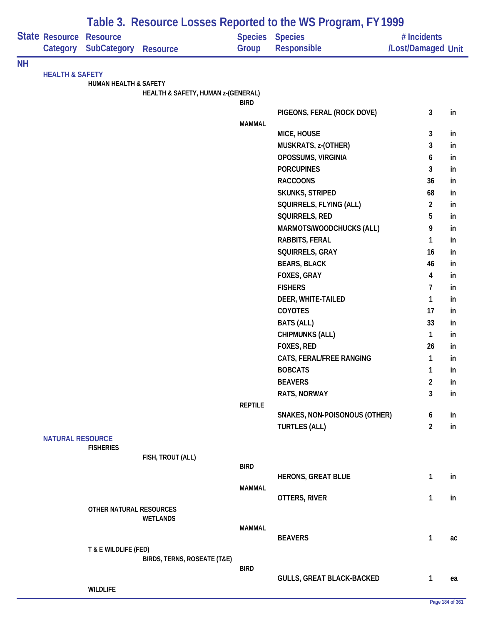|    |                            |                                       |                                    |                | Table 3. Resource Losses Reported to the WS Program, FY 1999 |                                   |          |
|----|----------------------------|---------------------------------------|------------------------------------|----------------|--------------------------------------------------------------|-----------------------------------|----------|
|    | State Resource<br>Category | <b>Resource</b><br><b>SubCategory</b> | <b>Resource</b>                    | Group          | Species Species<br><b>Responsible</b>                        | # Incidents<br>/Lost/Damaged Unit |          |
| NΗ |                            |                                       |                                    |                |                                                              |                                   |          |
|    | <b>HEALTH &amp; SAFETY</b> | <b>HUMAN HEALTH &amp; SAFETY</b>      |                                    |                |                                                              |                                   |          |
|    |                            |                                       | HEALTH & SAFETY, HUMAN z-(GENERAL) |                |                                                              |                                   |          |
|    |                            |                                       |                                    | <b>BIRD</b>    |                                                              |                                   |          |
|    |                            |                                       |                                    |                | PIGEONS, FERAL (ROCK DOVE)                                   | $\mathbf{3}$                      | in       |
|    |                            |                                       |                                    | <b>MAMMAL</b>  |                                                              |                                   |          |
|    |                            |                                       |                                    |                | MICE, HOUSE                                                  | 3                                 | in       |
|    |                            |                                       |                                    |                | MUSKRATS, z-(OTHER)<br>OPOSSUMS, VIRGINIA                    | 3                                 | in<br>in |
|    |                            |                                       |                                    |                | <b>PORCUPINES</b>                                            | 6<br>3                            | in       |
|    |                            |                                       |                                    |                | <b>RACCOONS</b>                                              | 36                                | in       |
|    |                            |                                       |                                    |                | <b>SKUNKS, STRIPED</b>                                       | 68                                | in       |
|    |                            |                                       |                                    |                | SQUIRRELS, FLYING (ALL)                                      | $\overline{2}$                    | in       |
|    |                            |                                       |                                    |                | SQUIRRELS, RED                                               | 5                                 | in       |
|    |                            |                                       |                                    |                | MARMOTS/WOODCHUCKS (ALL)                                     | 9                                 | in       |
|    |                            |                                       |                                    |                | <b>RABBITS, FERAL</b>                                        | 1                                 | in       |
|    |                            |                                       |                                    |                | SQUIRRELS, GRAY                                              | 16                                | in       |
|    |                            |                                       |                                    |                | <b>BEARS, BLACK</b>                                          | 46                                | in       |
|    |                            |                                       |                                    |                | FOXES, GRAY                                                  | 4                                 | in       |
|    |                            |                                       |                                    |                | <b>FISHERS</b>                                               | 7                                 | in       |
|    |                            |                                       |                                    |                | DEER, WHITE-TAILED                                           | $\mathbf{1}$                      | in       |
|    |                            |                                       |                                    |                | COYOTES                                                      | 17                                | in       |
|    |                            |                                       |                                    |                | <b>BATS (ALL)</b>                                            | 33                                | in       |
|    |                            |                                       |                                    |                | <b>CHIPMUNKS (ALL)</b>                                       | $\mathbf{1}$                      | in       |
|    |                            |                                       |                                    |                | FOXES, RED                                                   | 26                                | in       |
|    |                            |                                       |                                    |                | CATS, FERAL/FREE RANGING                                     | 1                                 | in       |
|    |                            |                                       |                                    |                | <b>BOBCATS</b>                                               | $\mathbf{1}$                      | in       |
|    |                            |                                       |                                    |                | <b>BEAVERS</b>                                               | $\overline{2}$                    |          |
|    |                            |                                       |                                    |                |                                                              | 3                                 | in       |
|    |                            |                                       |                                    | <b>REPTILE</b> | RATS, NORWAY                                                 |                                   | in       |
|    |                            |                                       |                                    |                | SNAKES, NON-POISONOUS (OTHER)                                | 6                                 | in       |
|    |                            |                                       |                                    |                | <b>TURTLES (ALL)</b>                                         | $\overline{2}$                    | in       |
|    | <b>NATURAL RESOURCE</b>    |                                       |                                    |                |                                                              |                                   |          |
|    |                            | <b>FISHERIES</b>                      |                                    |                |                                                              |                                   |          |
|    |                            |                                       | FISH, TROUT (ALL)                  |                |                                                              |                                   |          |
|    |                            |                                       |                                    | <b>BIRD</b>    | <b>HERONS, GREAT BLUE</b>                                    | $\mathbf{1}$                      | in       |
|    |                            |                                       |                                    | <b>MAMMAL</b>  |                                                              |                                   |          |
|    |                            |                                       |                                    |                | OTTERS, RIVER                                                | $\mathbf{1}$                      | in       |
|    |                            | OTHER NATURAL RESOURCES               |                                    |                |                                                              |                                   |          |
|    |                            |                                       | <b>WETLANDS</b>                    |                |                                                              |                                   |          |
|    |                            |                                       |                                    | <b>MAMMAL</b>  |                                                              |                                   |          |
|    |                            |                                       |                                    |                | <b>BEAVERS</b>                                               | $\mathbf{1}$                      | ac       |
|    |                            | T & E WILDLIFE (FED)                  |                                    |                |                                                              |                                   |          |
|    |                            |                                       | BIRDS, TERNS, ROSEATE (T&E)        | <b>BIRD</b>    |                                                              |                                   |          |
|    |                            |                                       |                                    |                | <b>GULLS, GREAT BLACK-BACKED</b>                             | $\mathbf{1}$                      | ea       |
|    |                            | <b>WILDLIFE</b>                       |                                    |                |                                                              |                                   |          |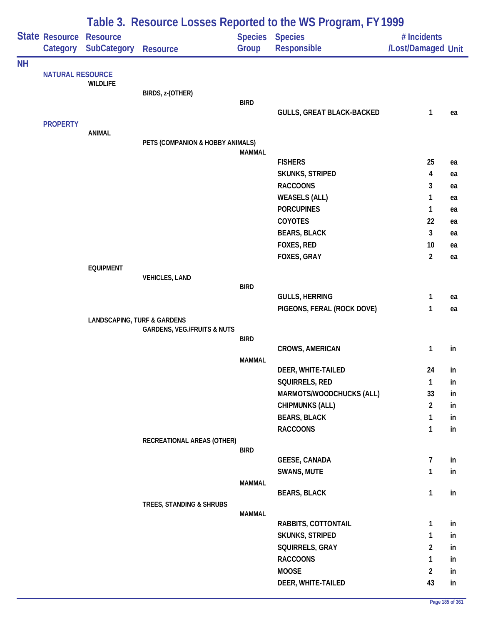|           |                         | Table 3. Resource Losses Reported to the WS Program, FY 1999 |                                        |                |                                               |                     |          |  |  |  |
|-----------|-------------------------|--------------------------------------------------------------|----------------------------------------|----------------|-----------------------------------------------|---------------------|----------|--|--|--|
|           | State Resource          | <b>Resource</b>                                              |                                        | <b>Species</b> | <b>Species</b>                                | # Incidents         |          |  |  |  |
|           | Category                | <b>SubCategory</b>                                           | <b>Resource</b>                        | Group          | Responsible                                   | /Lost/Damaged Unit  |          |  |  |  |
| <b>NH</b> |                         |                                                              |                                        |                |                                               |                     |          |  |  |  |
|           | <b>NATURAL RESOURCE</b> | <b>WILDLIFE</b>                                              |                                        |                |                                               |                     |          |  |  |  |
|           |                         |                                                              | BIRDS, z-(OTHER)                       |                |                                               |                     |          |  |  |  |
|           |                         |                                                              |                                        | <b>BIRD</b>    |                                               |                     |          |  |  |  |
|           |                         |                                                              |                                        |                | <b>GULLS, GREAT BLACK-BACKED</b>              | 1                   | ea       |  |  |  |
|           | <b>PROPERTY</b>         | <b>ANIMAL</b>                                                |                                        |                |                                               |                     |          |  |  |  |
|           |                         |                                                              | PETS (COMPANION & HOBBY ANIMALS)       |                |                                               |                     |          |  |  |  |
|           |                         |                                                              |                                        | <b>MAMMAL</b>  |                                               |                     |          |  |  |  |
|           |                         |                                                              |                                        |                | <b>FISHERS</b>                                | 25                  | ea       |  |  |  |
|           |                         |                                                              |                                        |                | <b>SKUNKS, STRIPED</b>                        | 4                   | ea       |  |  |  |
|           |                         |                                                              |                                        |                | <b>RACCOONS</b><br><b>WEASELS (ALL)</b>       | 3<br>1              | ea       |  |  |  |
|           |                         |                                                              |                                        |                | <b>PORCUPINES</b>                             | 1                   | ea<br>ea |  |  |  |
|           |                         |                                                              |                                        |                | COYOTES                                       | 22                  | ea       |  |  |  |
|           |                         |                                                              |                                        |                | <b>BEARS, BLACK</b>                           | 3                   | ea       |  |  |  |
|           |                         |                                                              |                                        |                | FOXES, RED                                    | 10                  | ea       |  |  |  |
|           |                         |                                                              |                                        |                | <b>FOXES, GRAY</b>                            | $\overline{2}$      | ea       |  |  |  |
|           |                         | <b>EQUIPMENT</b>                                             |                                        |                |                                               |                     |          |  |  |  |
|           |                         |                                                              | <b>VEHICLES, LAND</b>                  |                |                                               |                     |          |  |  |  |
|           |                         |                                                              |                                        | <b>BIRD</b>    | <b>GULLS, HERRING</b>                         | 1                   | ea       |  |  |  |
|           |                         |                                                              |                                        |                | PIGEONS, FERAL (ROCK DOVE)                    | 1                   | ea       |  |  |  |
|           |                         | <b>LANDSCAPING, TURF &amp; GARDENS</b>                       |                                        |                |                                               |                     |          |  |  |  |
|           |                         |                                                              | <b>GARDENS, VEG./FRUITS &amp; NUTS</b> |                |                                               |                     |          |  |  |  |
|           |                         |                                                              |                                        | <b>BIRD</b>    |                                               |                     |          |  |  |  |
|           |                         |                                                              |                                        | <b>MAMMAL</b>  | <b>CROWS, AMERICAN</b>                        | 1                   | in       |  |  |  |
|           |                         |                                                              |                                        |                | DEER, WHITE-TAILED                            | 24                  | in       |  |  |  |
|           |                         |                                                              |                                        |                | SQUIRRELS, RED                                | 1                   | in       |  |  |  |
|           |                         |                                                              |                                        |                | MARMOTS/WOODCHUCKS (ALL)                      | 33                  | in       |  |  |  |
|           |                         |                                                              |                                        |                | <b>CHIPMUNKS (ALL)</b>                        | $\overline{a}$      | in       |  |  |  |
|           |                         |                                                              |                                        |                | <b>BEARS, BLACK</b>                           | 1                   | in       |  |  |  |
|           |                         |                                                              |                                        |                | <b>RACCOONS</b>                               | 1                   | in       |  |  |  |
|           |                         |                                                              | RECREATIONAL AREAS (OTHER)             |                |                                               |                     |          |  |  |  |
|           |                         |                                                              |                                        | <b>BIRD</b>    | <b>GEESE, CANADA</b>                          | $\overline{7}$      | in       |  |  |  |
|           |                         |                                                              |                                        |                | SWANS, MUTE                                   | 1                   | in       |  |  |  |
|           |                         |                                                              |                                        | <b>MAMMAL</b>  |                                               |                     |          |  |  |  |
|           |                         |                                                              |                                        |                | <b>BEARS, BLACK</b>                           | 1                   | in       |  |  |  |
|           |                         |                                                              | TREES, STANDING & SHRUBS               |                |                                               |                     |          |  |  |  |
|           |                         |                                                              |                                        | <b>MAMMAL</b>  |                                               |                     |          |  |  |  |
|           |                         |                                                              |                                        |                | RABBITS, COTTONTAIL<br><b>SKUNKS, STRIPED</b> | 1                   | in       |  |  |  |
|           |                         |                                                              |                                        |                | SQUIRRELS, GRAY                               | 1<br>$\overline{c}$ | in<br>in |  |  |  |
|           |                         |                                                              |                                        |                | <b>RACCOONS</b>                               | 1                   | in       |  |  |  |
|           |                         |                                                              |                                        |                | <b>MOOSE</b>                                  | $\overline{2}$      | in       |  |  |  |
|           |                         |                                                              |                                        |                | DEER, WHITE-TAILED                            | 43                  | in       |  |  |  |
|           |                         |                                                              |                                        |                |                                               |                     |          |  |  |  |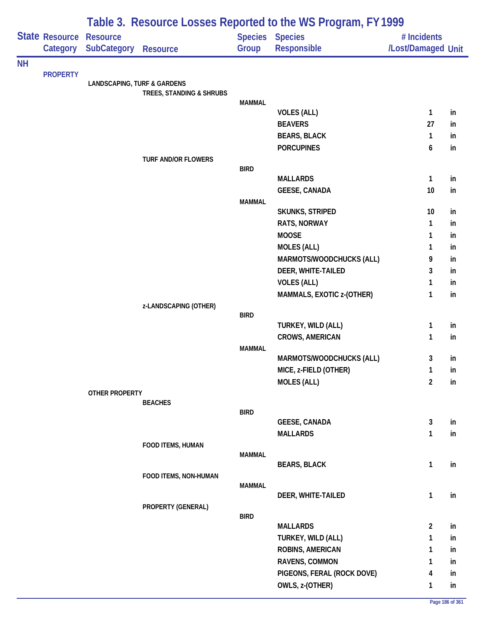|           |                            | Table 3. Resource Losses Reported to the WS Program, FY 1999 |                            |               |                                |                                   |    |  |  |
|-----------|----------------------------|--------------------------------------------------------------|----------------------------|---------------|--------------------------------|-----------------------------------|----|--|--|
|           | State Resource<br>Category | <b>Resource</b><br>SubCategory                               | <b>Resource</b>            | Group         | Species Species<br>Responsible | # Incidents<br>/Lost/Damaged Unit |    |  |  |
| <b>NH</b> |                            |                                                              |                            |               |                                |                                   |    |  |  |
|           | <b>PROPERTY</b>            | <b>LANDSCAPING, TURF &amp; GARDENS</b>                       |                            |               |                                |                                   |    |  |  |
|           |                            |                                                              | TREES, STANDING & SHRUBS   |               |                                |                                   |    |  |  |
|           |                            |                                                              |                            | <b>MAMMAL</b> |                                |                                   |    |  |  |
|           |                            |                                                              |                            |               | <b>VOLES (ALL)</b>             | $\mathbf{1}$                      | in |  |  |
|           |                            |                                                              |                            |               | <b>BEAVERS</b>                 | 27                                | in |  |  |
|           |                            |                                                              |                            |               | <b>BEARS, BLACK</b>            | $\mathbf{1}$                      | in |  |  |
|           |                            |                                                              | <b>TURF AND/OR FLOWERS</b> |               | <b>PORCUPINES</b>              | 6                                 | in |  |  |
|           |                            |                                                              |                            | <b>BIRD</b>   |                                |                                   |    |  |  |
|           |                            |                                                              |                            |               | <b>MALLARDS</b>                | $\mathbf{1}$                      | in |  |  |
|           |                            |                                                              |                            |               | <b>GEESE, CANADA</b>           | 10                                | in |  |  |
|           |                            |                                                              |                            | <b>MAMMAL</b> |                                |                                   |    |  |  |
|           |                            |                                                              |                            |               | <b>SKUNKS, STRIPED</b>         | 10                                | in |  |  |
|           |                            |                                                              |                            |               | <b>RATS, NORWAY</b>            | $\mathbf{1}$                      | in |  |  |
|           |                            |                                                              |                            |               | <b>MOOSE</b>                   | 1                                 | in |  |  |
|           |                            |                                                              |                            |               | <b>MOLES (ALL)</b>             | 1                                 | in |  |  |
|           |                            |                                                              |                            |               | MARMOTS/WOODCHUCKS (ALL)       | 9                                 | in |  |  |
|           |                            |                                                              |                            |               | DEER, WHITE-TAILED             | 3                                 | in |  |  |
|           |                            |                                                              |                            |               | <b>VOLES (ALL)</b>             | 1                                 | in |  |  |
|           |                            |                                                              | z-LANDSCAPING (OTHER)      |               | MAMMALS, EXOTIC z-(OTHER)      | $\mathbf{1}$                      | in |  |  |
|           |                            |                                                              |                            | <b>BIRD</b>   |                                |                                   |    |  |  |
|           |                            |                                                              |                            |               | TURKEY, WILD (ALL)             | 1                                 | in |  |  |
|           |                            |                                                              |                            |               | <b>CROWS, AMERICAN</b>         | $\mathbf{1}$                      | in |  |  |
|           |                            |                                                              |                            | <b>MAMMAL</b> |                                |                                   |    |  |  |
|           |                            |                                                              |                            |               | MARMOTS/WOODCHUCKS (ALL)       | 3                                 | in |  |  |
|           |                            |                                                              |                            |               | MICE, z-FIELD (OTHER)          | 1                                 | in |  |  |
|           |                            |                                                              |                            |               | <b>MOLES (ALL)</b>             | $\overline{2}$                    | in |  |  |
|           |                            | OTHER PROPERTY                                               | <b>BEACHES</b>             |               |                                |                                   |    |  |  |
|           |                            |                                                              |                            | <b>BIRD</b>   |                                |                                   |    |  |  |
|           |                            |                                                              |                            |               | <b>GEESE, CANADA</b>           | 3                                 | in |  |  |
|           |                            |                                                              |                            |               | <b>MALLARDS</b>                | $\mathbf{1}$                      | in |  |  |
|           |                            |                                                              | FOOD ITEMS, HUMAN          |               |                                |                                   |    |  |  |
|           |                            |                                                              |                            | <b>MAMMAL</b> | <b>BEARS, BLACK</b>            | $\mathbf{1}$                      | in |  |  |
|           |                            |                                                              | FOOD ITEMS, NON-HUMAN      |               |                                |                                   |    |  |  |
|           |                            |                                                              |                            | <b>MAMMAL</b> |                                |                                   |    |  |  |
|           |                            |                                                              |                            |               | DEER, WHITE-TAILED             | $\mathbf{1}$                      | in |  |  |
|           |                            |                                                              | PROPERTY (GENERAL)         |               |                                |                                   |    |  |  |
|           |                            |                                                              |                            | <b>BIRD</b>   | <b>MALLARDS</b>                | $\overline{2}$                    | in |  |  |
|           |                            |                                                              |                            |               | TURKEY, WILD (ALL)             | $\mathbf{1}$                      | in |  |  |
|           |                            |                                                              |                            |               | ROBINS, AMERICAN               | 1                                 | in |  |  |
|           |                            |                                                              |                            |               | RAVENS, COMMON                 | 1                                 | in |  |  |
|           |                            |                                                              |                            |               | PIGEONS, FERAL (ROCK DOVE)     | 4                                 | in |  |  |
|           |                            |                                                              |                            |               | OWLS, z-(OTHER)                | $\mathbf{1}$                      | in |  |  |
|           |                            |                                                              |                            |               |                                |                                   |    |  |  |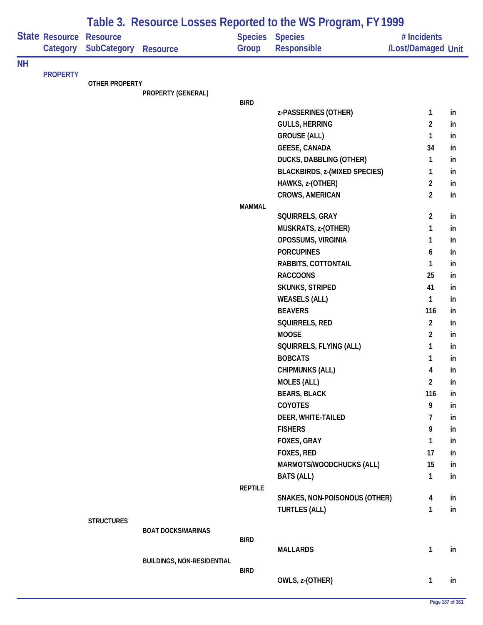|           |                                   | Table 3. Resource Losses Reported to the WS Program, FY 1999 |                                   |                |                                           |                                   |          |  |  |
|-----------|-----------------------------------|--------------------------------------------------------------|-----------------------------------|----------------|-------------------------------------------|-----------------------------------|----------|--|--|
|           | <b>State Resource</b><br>Category | <b>Resource</b><br>SubCategory                               | <b>Resource</b>                   | Group          | Species Species<br>Responsible            | # Incidents<br>/Lost/Damaged Unit |          |  |  |
| <b>NH</b> |                                   |                                                              |                                   |                |                                           |                                   |          |  |  |
|           | <b>PROPERTY</b>                   | <b>OTHER PROPERTY</b>                                        |                                   |                |                                           |                                   |          |  |  |
|           |                                   |                                                              | PROPERTY (GENERAL)                |                |                                           |                                   |          |  |  |
|           |                                   |                                                              |                                   | <b>BIRD</b>    |                                           |                                   |          |  |  |
|           |                                   |                                                              |                                   |                | z-PASSERINES (OTHER)                      | $\mathbf{1}$                      | in       |  |  |
|           |                                   |                                                              |                                   |                | <b>GULLS, HERRING</b>                     | $\overline{2}$                    | in       |  |  |
|           |                                   |                                                              |                                   |                | <b>GROUSE (ALL)</b>                       | $\mathbf{1}$                      | in       |  |  |
|           |                                   |                                                              |                                   |                | <b>GEESE, CANADA</b>                      | 34                                | in       |  |  |
|           |                                   |                                                              |                                   |                | <b>DUCKS, DABBLING (OTHER)</b>            | $\mathbf{1}$                      | in       |  |  |
|           |                                   |                                                              |                                   |                | <b>BLACKBIRDS, z-(MIXED SPECIES)</b>      | $\mathbf{1}$                      | in       |  |  |
|           |                                   |                                                              |                                   |                | HAWKS, z-(OTHER)                          | $\overline{2}$                    | in       |  |  |
|           |                                   |                                                              |                                   |                | <b>CROWS, AMERICAN</b>                    | $\overline{2}$                    | in       |  |  |
|           |                                   |                                                              |                                   | <b>MAMMAL</b>  |                                           |                                   |          |  |  |
|           |                                   |                                                              |                                   |                | SQUIRRELS, GRAY                           | $\overline{2}$                    | in       |  |  |
|           |                                   |                                                              |                                   |                | MUSKRATS, z-(OTHER)<br>OPOSSUMS, VIRGINIA | $\mathbf{1}$                      | in       |  |  |
|           |                                   |                                                              |                                   |                | <b>PORCUPINES</b>                         | 1                                 | in       |  |  |
|           |                                   |                                                              |                                   |                |                                           | 6                                 | in       |  |  |
|           |                                   |                                                              |                                   |                | RABBITS, COTTONTAIL<br><b>RACCOONS</b>    | $\mathbf{1}$<br>25                | in       |  |  |
|           |                                   |                                                              |                                   |                |                                           | 41                                | in       |  |  |
|           |                                   |                                                              |                                   |                | SKUNKS, STRIPED                           | $\mathbf{1}$                      | in<br>in |  |  |
|           |                                   |                                                              |                                   |                | <b>WEASELS (ALL)</b><br><b>BEAVERS</b>    | 116                               | in       |  |  |
|           |                                   |                                                              |                                   |                | SQUIRRELS, RED                            | $\overline{2}$                    | in       |  |  |
|           |                                   |                                                              |                                   |                | <b>MOOSE</b>                              | $\overline{2}$                    |          |  |  |
|           |                                   |                                                              |                                   |                | SQUIRRELS, FLYING (ALL)                   | $\mathbf{1}$                      | in<br>in |  |  |
|           |                                   |                                                              |                                   |                | <b>BOBCATS</b>                            |                                   |          |  |  |
|           |                                   |                                                              |                                   |                |                                           | 1                                 | in       |  |  |
|           |                                   |                                                              |                                   |                | <b>CHIPMUNKS (ALL)</b>                    | 4<br>$\overline{2}$               | In.      |  |  |
|           |                                   |                                                              |                                   |                | <b>MOLES (ALL)</b><br><b>BEARS, BLACK</b> | 116                               | in<br>in |  |  |
|           |                                   |                                                              |                                   |                | COYOTES                                   | 9                                 | in       |  |  |
|           |                                   |                                                              |                                   |                | DEER, WHITE-TAILED                        | $\overline{7}$                    | in       |  |  |
|           |                                   |                                                              |                                   |                | <b>FISHERS</b>                            | 9                                 | in       |  |  |
|           |                                   |                                                              |                                   |                | FOXES, GRAY                               | $\mathbf{1}$                      | in       |  |  |
|           |                                   |                                                              |                                   |                | FOXES, RED                                | 17                                | in       |  |  |
|           |                                   |                                                              |                                   |                | MARMOTS/WOODCHUCKS (ALL)                  | 15                                | in       |  |  |
|           |                                   |                                                              |                                   |                | <b>BATS (ALL)</b>                         | $\mathbf{1}$                      | in       |  |  |
|           |                                   |                                                              |                                   | <b>REPTILE</b> |                                           |                                   |          |  |  |
|           |                                   |                                                              |                                   |                | SNAKES, NON-POISONOUS (OTHER)             | $\overline{\mathbf{4}}$           | in       |  |  |
|           |                                   |                                                              |                                   |                | <b>TURTLES (ALL)</b>                      | $\mathbf{1}$                      | in       |  |  |
|           |                                   | <b>STRUCTURES</b>                                            |                                   |                |                                           |                                   |          |  |  |
|           |                                   |                                                              | <b>BOAT DOCKS/MARINAS</b>         |                |                                           |                                   |          |  |  |
|           |                                   |                                                              |                                   | <b>BIRD</b>    |                                           |                                   |          |  |  |
|           |                                   |                                                              |                                   |                | <b>MALLARDS</b>                           | $\mathbf{1}$                      | in       |  |  |
|           |                                   |                                                              | <b>BUILDINGS, NON-RESIDENTIAL</b> | <b>BIRD</b>    |                                           |                                   |          |  |  |
|           |                                   |                                                              |                                   |                | OWLS, z-(OTHER)                           | $\mathbf{1}$                      | in       |  |  |
|           |                                   |                                                              |                                   |                |                                           |                                   |          |  |  |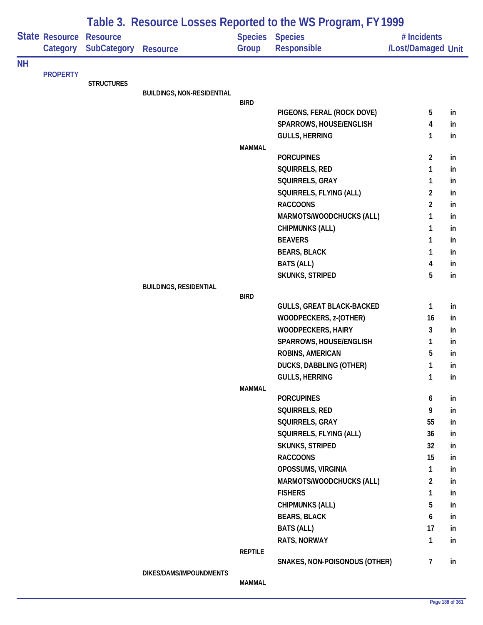|           |                                   |                                       | Table 3. Resource Losses Reported to the WS Program, FY 1999 |                |                                              |                                   |    |  |  |
|-----------|-----------------------------------|---------------------------------------|--------------------------------------------------------------|----------------|----------------------------------------------|-----------------------------------|----|--|--|
|           | <b>State Resource</b><br>Category | <b>Resource</b><br><b>SubCategory</b> | <b>Resource</b>                                              | Group          | <b>Species Species</b><br><b>Responsible</b> | # Incidents<br>/Lost/Damaged Unit |    |  |  |
| <b>NH</b> |                                   |                                       |                                                              |                |                                              |                                   |    |  |  |
|           | <b>PROPERTY</b>                   | <b>STRUCTURES</b>                     |                                                              |                |                                              |                                   |    |  |  |
|           |                                   |                                       | <b>BUILDINGS, NON-RESIDENTIAL</b>                            |                |                                              |                                   |    |  |  |
|           |                                   |                                       |                                                              | <b>BIRD</b>    |                                              |                                   |    |  |  |
|           |                                   |                                       |                                                              |                | PIGEONS, FERAL (ROCK DOVE)                   | 5                                 | in |  |  |
|           |                                   |                                       |                                                              |                | SPARROWS, HOUSE/ENGLISH                      | 4                                 | in |  |  |
|           |                                   |                                       |                                                              | <b>MAMMAL</b>  | <b>GULLS, HERRING</b>                        | 1                                 | in |  |  |
|           |                                   |                                       |                                                              |                | <b>PORCUPINES</b>                            | $\overline{2}$                    | in |  |  |
|           |                                   |                                       |                                                              |                | SQUIRRELS, RED                               | 1                                 | in |  |  |
|           |                                   |                                       |                                                              |                | SQUIRRELS, GRAY                              | 1                                 | in |  |  |
|           |                                   |                                       |                                                              |                | SQUIRRELS, FLYING (ALL)                      | $\overline{c}$                    | in |  |  |
|           |                                   |                                       |                                                              |                | <b>RACCOONS</b>                              | $\overline{2}$                    | in |  |  |
|           |                                   |                                       |                                                              |                | MARMOTS/WOODCHUCKS (ALL)                     | 1                                 | in |  |  |
|           |                                   |                                       |                                                              |                | <b>CHIPMUNKS (ALL)</b>                       | 1                                 | in |  |  |
|           |                                   |                                       |                                                              |                | <b>BEAVERS</b>                               | 1                                 | in |  |  |
|           |                                   |                                       |                                                              |                | <b>BEARS, BLACK</b>                          | 1                                 | in |  |  |
|           |                                   |                                       |                                                              |                | <b>BATS (ALL)</b>                            | 4                                 | in |  |  |
|           |                                   |                                       |                                                              |                | SKUNKS, STRIPED                              | 5                                 | in |  |  |
|           |                                   |                                       | <b>BUILDINGS, RESIDENTIAL</b>                                |                |                                              |                                   |    |  |  |
|           |                                   |                                       |                                                              | <b>BIRD</b>    |                                              |                                   |    |  |  |
|           |                                   |                                       |                                                              |                | <b>GULLS, GREAT BLACK-BACKED</b>             | 1                                 | in |  |  |
|           |                                   |                                       |                                                              |                | WOODPECKERS, z-(OTHER)                       | 16                                | in |  |  |
|           |                                   |                                       |                                                              |                | <b>WOODPECKERS, HAIRY</b>                    | 3                                 | in |  |  |
|           |                                   |                                       |                                                              |                | SPARROWS, HOUSE/ENGLISH                      | 1                                 | in |  |  |
|           |                                   |                                       |                                                              |                | ROBINS, AMERICAN                             | 5                                 | in |  |  |
|           |                                   |                                       |                                                              |                | DUCKS, DABBLING (OTHER)                      | 1                                 | in |  |  |
|           |                                   |                                       |                                                              | <b>MAMMAL</b>  | <b>GULLS, HERRING</b>                        | $\mathbf{1}$                      | in |  |  |
|           |                                   |                                       |                                                              |                | <b>PORCUPINES</b>                            | 6                                 | in |  |  |
|           |                                   |                                       |                                                              |                | SQUIRRELS, RED                               | 9                                 | in |  |  |
|           |                                   |                                       |                                                              |                | SQUIRRELS, GRAY                              | 55                                | in |  |  |
|           |                                   |                                       |                                                              |                | SQUIRRELS, FLYING (ALL)                      | 36                                | in |  |  |
|           |                                   |                                       |                                                              |                | <b>SKUNKS, STRIPED</b>                       | 32                                | in |  |  |
|           |                                   |                                       |                                                              |                | <b>RACCOONS</b>                              | 15                                | in |  |  |
|           |                                   |                                       |                                                              |                | OPOSSUMS, VIRGINIA                           | 1                                 | in |  |  |
|           |                                   |                                       |                                                              |                | MARMOTS/WOODCHUCKS (ALL)                     | $\overline{a}$                    | in |  |  |
|           |                                   |                                       |                                                              |                | <b>FISHERS</b>                               | 1                                 | in |  |  |
|           |                                   |                                       |                                                              |                | <b>CHIPMUNKS (ALL)</b>                       | 5                                 | in |  |  |
|           |                                   |                                       |                                                              |                | <b>BEARS, BLACK</b>                          | 6                                 | in |  |  |
|           |                                   |                                       |                                                              |                | <b>BATS (ALL)</b>                            | 17                                | in |  |  |
|           |                                   |                                       |                                                              |                | RATS, NORWAY                                 | $\mathbf{1}$                      | in |  |  |
|           |                                   |                                       |                                                              | <b>REPTILE</b> |                                              |                                   |    |  |  |
|           |                                   |                                       |                                                              |                | SNAKES, NON-POISONOUS (OTHER)                | $\overline{7}$                    | in |  |  |
|           |                                   |                                       | DIKES/DAMS/IMPOUNDMENTS                                      | <b>MAMMAL</b>  |                                              |                                   |    |  |  |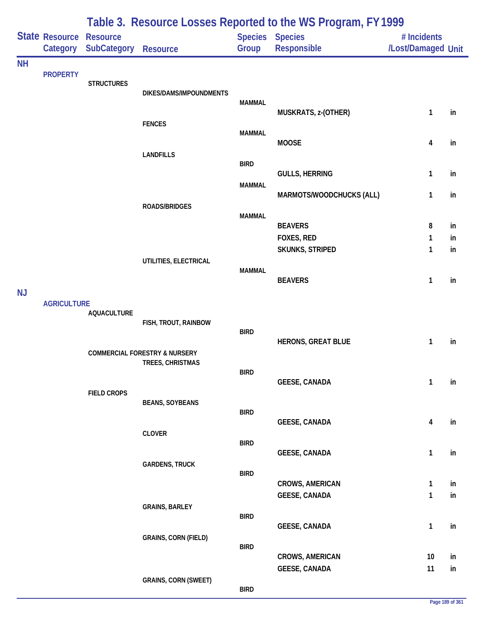|           |                            | Table 3. Resource Losses Reported to the WS Program, FY 1999 |                                                              |               |                                         |                                   |          |  |  |
|-----------|----------------------------|--------------------------------------------------------------|--------------------------------------------------------------|---------------|-----------------------------------------|-----------------------------------|----------|--|--|
|           | State Resource<br>Category | <b>Resource</b><br><b>SubCategory</b>                        | <b>Resource</b>                                              | Group         | Species Species<br>Responsible          | # Incidents<br>/Lost/Damaged Unit |          |  |  |
| <b>NH</b> |                            |                                                              |                                                              |               |                                         |                                   |          |  |  |
|           | <b>PROPERTY</b>            | <b>STRUCTURES</b>                                            | DIKES/DAMS/IMPOUNDMENTS                                      | <b>MAMMAL</b> |                                         |                                   |          |  |  |
|           |                            |                                                              | <b>FENCES</b>                                                |               | MUSKRATS, z-(OTHER)                     | 1                                 | in       |  |  |
|           |                            |                                                              | <b>LANDFILLS</b>                                             | <b>MAMMAL</b> | <b>MOOSE</b>                            | $\overline{\mathbf{4}}$           | in       |  |  |
|           |                            |                                                              |                                                              | <b>BIRD</b>   | <b>GULLS, HERRING</b>                   | $\mathbf{1}$                      | in       |  |  |
|           |                            |                                                              |                                                              | <b>MAMMAL</b> | MARMOTS/WOODCHUCKS (ALL)                | $\mathbf{1}$                      | in       |  |  |
|           |                            |                                                              | <b>ROADS/BRIDGES</b>                                         | <b>MAMMAL</b> | <b>BEAVERS</b>                          | 8                                 | in       |  |  |
|           |                            |                                                              |                                                              |               | FOXES, RED                              | 1                                 | in       |  |  |
|           |                            |                                                              | UTILITIES, ELECTRICAL                                        |               | SKUNKS, STRIPED                         | 1                                 | in       |  |  |
|           |                            |                                                              |                                                              | <b>MAMMAL</b> | <b>BEAVERS</b>                          | 1                                 | in       |  |  |
| <b>NJ</b> | <b>AGRICULTURE</b>         |                                                              |                                                              |               |                                         |                                   |          |  |  |
|           |                            | <b>AQUACULTURE</b>                                           | FISH, TROUT, RAINBOW                                         | <b>BIRD</b>   |                                         |                                   |          |  |  |
|           |                            |                                                              | <b>COMMERCIAL FORESTRY &amp; NURSERY</b><br>TREES, CHRISTMAS |               | <b>HERONS, GREAT BLUE</b>               | 1                                 | in       |  |  |
|           |                            |                                                              |                                                              | <b>BIRD</b>   | <b>GEESE, CANADA</b>                    | $\mathbf{1}$                      | in       |  |  |
|           |                            | <b>FIELD CROPS</b>                                           | <b>BEANS, SOYBEANS</b>                                       |               |                                         |                                   |          |  |  |
|           |                            |                                                              |                                                              | <b>BIRD</b>   | <b>GEESE, CANADA</b>                    | $\overline{\mathbf{4}}$           | in       |  |  |
|           |                            |                                                              | <b>CLOVER</b>                                                | <b>BIRD</b>   | <b>GEESE, CANADA</b>                    | $\mathbf{1}$                      | in       |  |  |
|           |                            |                                                              | <b>GARDENS, TRUCK</b>                                        | <b>BIRD</b>   |                                         |                                   |          |  |  |
|           |                            |                                                              |                                                              |               | CROWS, AMERICAN<br><b>GEESE, CANADA</b> | $\mathbf{1}$<br>$\mathbf{1}$      | in<br>in |  |  |
|           |                            |                                                              | <b>GRAINS, BARLEY</b>                                        | <b>BIRD</b>   |                                         |                                   |          |  |  |
|           |                            |                                                              | <b>GRAINS, CORN (FIELD)</b>                                  |               | <b>GEESE, CANADA</b>                    | $\mathbf{1}$                      | in       |  |  |
|           |                            |                                                              |                                                              | <b>BIRD</b>   | <b>CROWS, AMERICAN</b>                  | 10                                | in       |  |  |
|           |                            |                                                              | <b>GRAINS, CORN (SWEET)</b>                                  | <b>BIRD</b>   | <b>GEESE, CANADA</b>                    | 11                                | in       |  |  |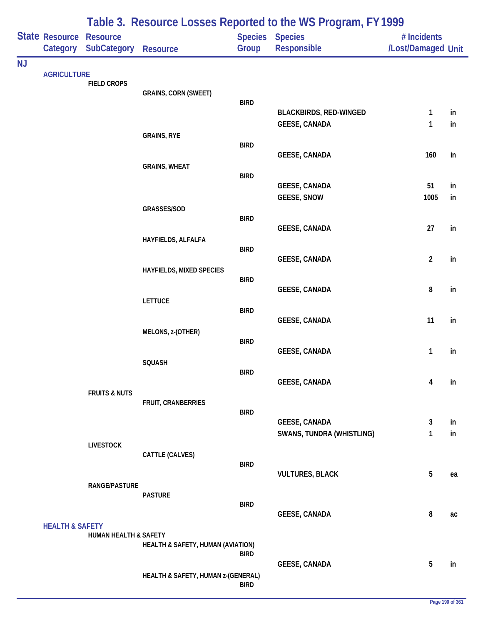|           |                                     |                                  |                                    |             | Table 3. Resource Losses Reported to the WS Program, FY 1999 |                                   |    |
|-----------|-------------------------------------|----------------------------------|------------------------------------|-------------|--------------------------------------------------------------|-----------------------------------|----|
|           | State Resource Resource<br>Category | <b>SubCategory</b>               | <b>Resource</b>                    | Group       | Species Species<br><b>Responsible</b>                        | # Incidents<br>/Lost/Damaged Unit |    |
| <b>NJ</b> |                                     |                                  |                                    |             |                                                              |                                   |    |
|           | <b>AGRICULTURE</b>                  | <b>FIELD CROPS</b>               |                                    |             |                                                              |                                   |    |
|           |                                     |                                  | <b>GRAINS, CORN (SWEET)</b>        | <b>BIRD</b> |                                                              |                                   |    |
|           |                                     |                                  |                                    |             | <b>BLACKBIRDS, RED-WINGED</b>                                | $\mathbf{1}$                      | in |
|           |                                     |                                  |                                    |             | <b>GEESE, CANADA</b>                                         | 1                                 | in |
|           |                                     |                                  | <b>GRAINS, RYE</b>                 | <b>BIRD</b> |                                                              |                                   |    |
|           |                                     |                                  |                                    |             | <b>GEESE, CANADA</b>                                         | 160                               | in |
|           |                                     |                                  | <b>GRAINS, WHEAT</b>               |             |                                                              |                                   |    |
|           |                                     |                                  |                                    | <b>BIRD</b> | <b>GEESE, CANADA</b>                                         | 51                                | in |
|           |                                     |                                  |                                    |             | <b>GEESE, SNOW</b>                                           | 1005                              | in |
|           |                                     |                                  | GRASSES/SOD                        |             |                                                              |                                   |    |
|           |                                     |                                  |                                    | <b>BIRD</b> | <b>GEESE, CANADA</b>                                         | 27                                | in |
|           |                                     |                                  | HAYFIELDS, ALFALFA                 |             |                                                              |                                   |    |
|           |                                     |                                  |                                    | <b>BIRD</b> | <b>GEESE, CANADA</b>                                         | $\overline{2}$                    | in |
|           |                                     |                                  | <b>HAYFIELDS, MIXED SPECIES</b>    |             |                                                              |                                   |    |
|           |                                     |                                  |                                    | <b>BIRD</b> |                                                              |                                   | in |
|           |                                     |                                  | <b>LETTUCE</b>                     |             | <b>GEESE, CANADA</b>                                         | 8                                 |    |
|           |                                     |                                  |                                    | <b>BIRD</b> |                                                              |                                   |    |
|           |                                     |                                  | MELONS, z-(OTHER)                  |             | <b>GEESE, CANADA</b>                                         | 11                                | in |
|           |                                     |                                  |                                    | <b>BIRD</b> |                                                              |                                   |    |
|           |                                     |                                  |                                    |             | <b>GEESE, CANADA</b>                                         | 1                                 | in |
|           |                                     |                                  | SQUASH                             | <b>BIRD</b> |                                                              |                                   |    |
|           |                                     |                                  |                                    |             | <b>GEESE, CANADA</b>                                         | 4                                 | in |
|           |                                     | <b>FRUITS &amp; NUTS</b>         | FRUIT, CRANBERRIES                 |             |                                                              |                                   |    |
|           |                                     |                                  |                                    | <b>BIRD</b> |                                                              |                                   |    |
|           |                                     |                                  |                                    |             | <b>GEESE, CANADA</b>                                         | 3                                 | in |
|           |                                     | <b>LIVESTOCK</b>                 |                                    |             | <b>SWANS, TUNDRA (WHISTLING)</b>                             | 1                                 | in |
|           |                                     |                                  | CATTLE (CALVES)                    |             |                                                              |                                   |    |
|           |                                     |                                  |                                    | <b>BIRD</b> | <b>VULTURES, BLACK</b>                                       | $5\phantom{.0}$                   | ea |
|           |                                     | <b>RANGE/PASTURE</b>             |                                    |             |                                                              |                                   |    |
|           |                                     |                                  | <b>PASTURE</b>                     | <b>BIRD</b> |                                                              |                                   |    |
|           |                                     |                                  |                                    |             | <b>GEESE, CANADA</b>                                         | 8                                 | ac |
|           | <b>HEALTH &amp; SAFETY</b>          |                                  |                                    |             |                                                              |                                   |    |
|           |                                     | <b>HUMAN HEALTH &amp; SAFETY</b> | HEALTH & SAFETY, HUMAN (AVIATION)  |             |                                                              |                                   |    |
|           |                                     |                                  |                                    | <b>BIRD</b> |                                                              |                                   |    |
|           |                                     |                                  | HEALTH & SAFETY, HUMAN z-(GENERAL) |             | <b>GEESE, CANADA</b>                                         | 5                                 | in |
|           |                                     |                                  |                                    | <b>BIRD</b> |                                                              |                                   |    |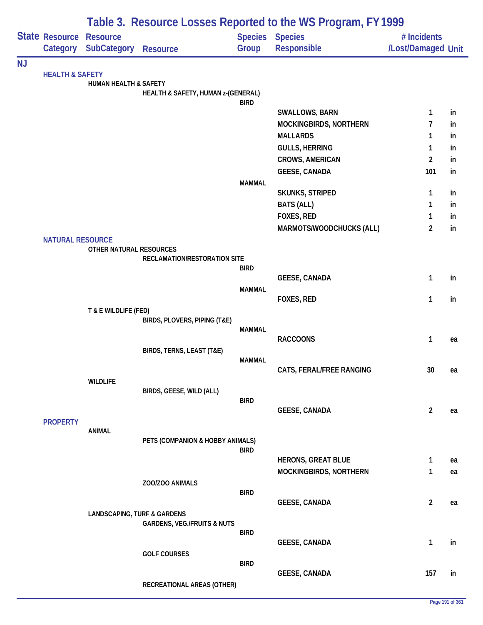|           |                            |                                        |                                        |               | Table 3. Resource Losses Reported to the WS Program, FY 1999 |                    |    |
|-----------|----------------------------|----------------------------------------|----------------------------------------|---------------|--------------------------------------------------------------|--------------------|----|
|           | <b>State Resource</b>      | <b>Resource</b>                        |                                        |               | Species Species                                              | # Incidents        |    |
|           | Category                   | <b>SubCategory Resource</b>            |                                        | Group         | Responsible                                                  | /Lost/Damaged Unit |    |
| <b>NJ</b> |                            |                                        |                                        |               |                                                              |                    |    |
|           | <b>HEALTH &amp; SAFETY</b> | <b>HUMAN HEALTH &amp; SAFETY</b>       |                                        |               |                                                              |                    |    |
|           |                            |                                        | HEALTH & SAFETY, HUMAN z-(GENERAL)     |               |                                                              |                    |    |
|           |                            |                                        |                                        | <b>BIRD</b>   |                                                              |                    |    |
|           |                            |                                        |                                        |               | SWALLOWS, BARN                                               | $\mathbf{1}$       | in |
|           |                            |                                        |                                        |               | MOCKINGBIRDS, NORTHERN                                       | 7                  | in |
|           |                            |                                        |                                        |               | <b>MALLARDS</b>                                              | $\mathbf{1}$       | in |
|           |                            |                                        |                                        |               | <b>GULLS, HERRING</b>                                        | $\mathbf{1}$       | in |
|           |                            |                                        |                                        |               | <b>CROWS, AMERICAN</b>                                       | $\overline{2}$     | in |
|           |                            |                                        |                                        |               | <b>GEESE, CANADA</b>                                         | 101                | in |
|           |                            |                                        |                                        | <b>MAMMAL</b> | <b>SKUNKS, STRIPED</b>                                       | $\mathbf{1}$       | in |
|           |                            |                                        |                                        |               | <b>BATS (ALL)</b>                                            | 1                  | in |
|           |                            |                                        |                                        |               | FOXES, RED                                                   | $\mathbf{1}$       | in |
|           |                            |                                        |                                        |               | MARMOTS/WOODCHUCKS (ALL)                                     | $\overline{2}$     | in |
|           | <b>NATURAL RESOURCE</b>    |                                        |                                        |               |                                                              |                    |    |
|           |                            | OTHER NATURAL RESOURCES                |                                        |               |                                                              |                    |    |
|           |                            |                                        | RECLAMATION/RESTORATION SITE           |               |                                                              |                    |    |
|           |                            |                                        |                                        | <b>BIRD</b>   |                                                              |                    |    |
|           |                            |                                        |                                        | <b>MAMMAL</b> | <b>GEESE, CANADA</b>                                         | $\mathbf{1}$       | in |
|           |                            |                                        |                                        |               | FOXES, RED                                                   | 1                  | in |
|           |                            | T & E WILDLIFE (FED)                   |                                        |               |                                                              |                    |    |
|           |                            |                                        | BIRDS, PLOVERS, PIPING (T&E)           |               |                                                              |                    |    |
|           |                            |                                        |                                        | <b>MAMMAL</b> |                                                              |                    |    |
|           |                            |                                        |                                        |               | <b>RACCOONS</b>                                              | $\mathbf{1}$       | ea |
|           |                            |                                        | BIRDS, TERNS, LEAST (T&E)              | <b>MAMMAL</b> |                                                              |                    |    |
|           |                            |                                        |                                        |               | CATS, FERAL/FREE RANGING                                     | 30                 | ea |
|           |                            | <b>WILDLIFE</b>                        |                                        |               |                                                              |                    |    |
|           |                            |                                        | BIRDS, GEESE, WILD (ALL)               |               |                                                              |                    |    |
|           |                            |                                        |                                        | <b>BIRD</b>   |                                                              |                    |    |
|           |                            |                                        |                                        |               | <b>GEESE, CANADA</b>                                         | $\overline{2}$     | ea |
|           | <b>PROPERTY</b>            | <b>ANIMAL</b>                          |                                        |               |                                                              |                    |    |
|           |                            |                                        | PETS (COMPANION & HOBBY ANIMALS)       |               |                                                              |                    |    |
|           |                            |                                        |                                        | <b>BIRD</b>   |                                                              |                    |    |
|           |                            |                                        |                                        |               | <b>HERONS, GREAT BLUE</b>                                    | $\mathbf{1}$       | ea |
|           |                            |                                        |                                        |               | MOCKINGBIRDS, NORTHERN                                       | $\mathbf{1}$       | ea |
|           |                            |                                        | ZOO/ZOO ANIMALS                        | <b>BIRD</b>   |                                                              |                    |    |
|           |                            |                                        |                                        |               | <b>GEESE, CANADA</b>                                         | $\overline{2}$     | ea |
|           |                            | <b>LANDSCAPING, TURF &amp; GARDENS</b> |                                        |               |                                                              |                    |    |
|           |                            |                                        | <b>GARDENS, VEG./FRUITS &amp; NUTS</b> |               |                                                              |                    |    |
|           |                            |                                        |                                        | <b>BIRD</b>   |                                                              |                    |    |
|           |                            |                                        | <b>GOLF COURSES</b>                    |               | <b>GEESE, CANADA</b>                                         | $\mathbf{1}$       | in |
|           |                            |                                        |                                        | <b>BIRD</b>   |                                                              |                    |    |
|           |                            |                                        |                                        |               | <b>GEESE, CANADA</b>                                         | 157                | in |
|           |                            |                                        | RECREATIONAL AREAS (OTHER)             |               |                                                              |                    |    |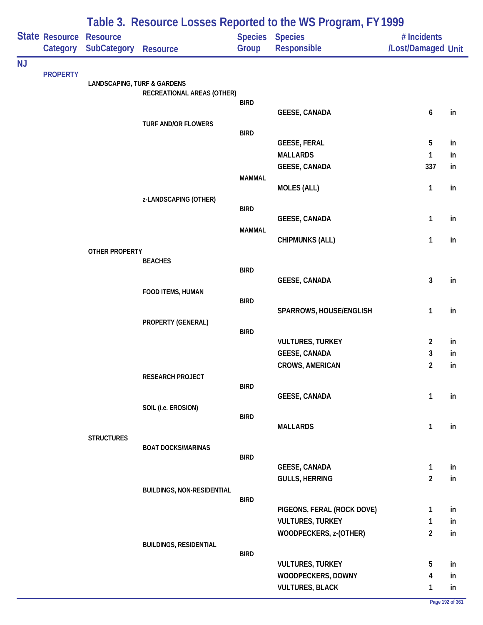|           | State Resource<br>Category | <b>Resource</b><br><b>SubCategory</b>  | <b>Resource</b>                   | Group         | Table 5. Nesource Losses Reported to the WS FTOGRAM, FT 1777<br><b>Species Species</b><br>Responsible | # Incidents<br>/Lost/Damaged Unit |          |
|-----------|----------------------------|----------------------------------------|-----------------------------------|---------------|-------------------------------------------------------------------------------------------------------|-----------------------------------|----------|
| <b>NJ</b> |                            |                                        |                                   |               |                                                                                                       |                                   |          |
|           | <b>PROPERTY</b>            | <b>LANDSCAPING, TURF &amp; GARDENS</b> |                                   |               |                                                                                                       |                                   |          |
|           |                            |                                        | RECREATIONAL AREAS (OTHER)        |               |                                                                                                       |                                   |          |
|           |                            |                                        |                                   | <b>BIRD</b>   | <b>GEESE, CANADA</b>                                                                                  | 6                                 | in       |
|           |                            |                                        | <b>TURF AND/OR FLOWERS</b>        |               |                                                                                                       |                                   |          |
|           |                            |                                        |                                   | <b>BIRD</b>   |                                                                                                       |                                   |          |
|           |                            |                                        |                                   |               | <b>GEESE, FERAL</b>                                                                                   | 5                                 | in       |
|           |                            |                                        |                                   |               | <b>MALLARDS</b><br><b>GEESE, CANADA</b>                                                               | $\mathbf{1}$<br>337               | in<br>in |
|           |                            |                                        |                                   | <b>MAMMAL</b> |                                                                                                       |                                   |          |
|           |                            |                                        |                                   |               | <b>MOLES (ALL)</b>                                                                                    | $\mathbf{1}$                      | in       |
|           |                            |                                        | z-LANDSCAPING (OTHER)             |               |                                                                                                       |                                   |          |
|           |                            |                                        |                                   | <b>BIRD</b>   |                                                                                                       |                                   |          |
|           |                            |                                        |                                   | <b>MAMMAL</b> | <b>GEESE, CANADA</b>                                                                                  | 1                                 | in       |
|           |                            |                                        |                                   |               | <b>CHIPMUNKS (ALL)</b>                                                                                | $\mathbf{1}$                      | in       |
|           |                            | <b>OTHER PROPERTY</b>                  |                                   |               |                                                                                                       |                                   |          |
|           |                            |                                        | <b>BEACHES</b>                    | <b>BIRD</b>   |                                                                                                       |                                   |          |
|           |                            |                                        |                                   |               | <b>GEESE, CANADA</b>                                                                                  | $\mathbf{3}$                      | in       |
|           |                            |                                        | FOOD ITEMS, HUMAN                 |               |                                                                                                       |                                   |          |
|           |                            |                                        |                                   | <b>BIRD</b>   |                                                                                                       |                                   |          |
|           |                            |                                        | PROPERTY (GENERAL)                |               | SPARROWS, HOUSE/ENGLISH                                                                               | $\mathbf{1}$                      | in       |
|           |                            |                                        |                                   | <b>BIRD</b>   |                                                                                                       |                                   |          |
|           |                            |                                        |                                   |               | <b>VULTURES, TURKEY</b>                                                                               | $\overline{2}$                    | in       |
|           |                            |                                        |                                   |               | <b>GEESE, CANADA</b>                                                                                  | 3                                 | in       |
|           |                            |                                        |                                   |               | <b>CROWS, AMERICAN</b>                                                                                | $\overline{2}$                    | in       |
|           |                            |                                        | RESEARCH PROJECT                  | <b>BIRD</b>   |                                                                                                       |                                   |          |
|           |                            |                                        |                                   |               | <b>GEESE, CANADA</b>                                                                                  | $\mathbf{1}$                      | in       |
|           |                            |                                        | SOIL (i.e. EROSION)               |               |                                                                                                       |                                   |          |
|           |                            |                                        |                                   | <b>BIRD</b>   | <b>MALLARDS</b>                                                                                       | $\mathbf{1}$                      | in       |
|           |                            | <b>STRUCTURES</b>                      |                                   |               |                                                                                                       |                                   |          |
|           |                            |                                        | <b>BOAT DOCKS/MARINAS</b>         |               |                                                                                                       |                                   |          |
|           |                            |                                        |                                   | <b>BIRD</b>   |                                                                                                       |                                   |          |
|           |                            |                                        |                                   |               | <b>GEESE, CANADA</b><br><b>GULLS, HERRING</b>                                                         | $\mathbf{1}$<br>$\overline{2}$    | in<br>in |
|           |                            |                                        | <b>BUILDINGS, NON-RESIDENTIAL</b> |               |                                                                                                       |                                   |          |
|           |                            |                                        |                                   | <b>BIRD</b>   |                                                                                                       |                                   |          |
|           |                            |                                        |                                   |               | PIGEONS, FERAL (ROCK DOVE)                                                                            | $\mathbf{1}$                      | in       |
|           |                            |                                        |                                   |               | <b>VULTURES, TURKEY</b>                                                                               | $\mathbf{1}$                      | in       |
|           |                            |                                        |                                   |               | WOODPECKERS, z-(OTHER)                                                                                | $\overline{2}$                    | in       |
|           |                            |                                        | <b>BUILDINGS, RESIDENTIAL</b>     | <b>BIRD</b>   |                                                                                                       |                                   |          |
|           |                            |                                        |                                   |               | <b>VULTURES, TURKEY</b>                                                                               | 5                                 | in       |
|           |                            |                                        |                                   |               | WOODPECKERS, DOWNY                                                                                    | 4                                 | in       |
|           |                            |                                        |                                   |               | <b>VULTURES, BLACK</b>                                                                                | 1                                 | in       |

# **Table 3. Resource Losses Reported to the WS Program, FY 1999**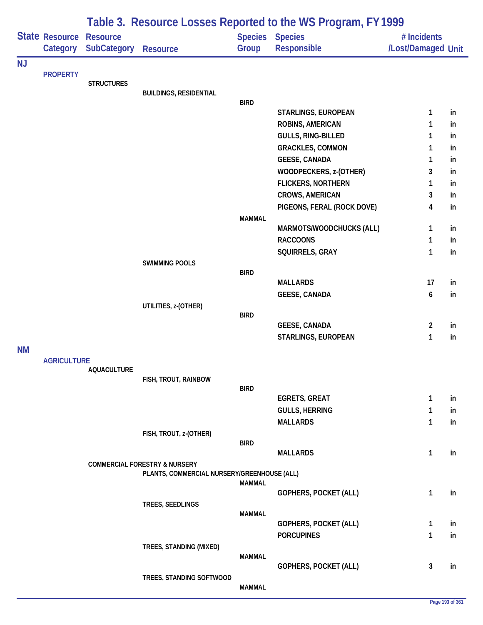| Table 3. Resource Losses Reported to the WS Program, FY 1999 |                                   |                                       |                                                                                         |               |                                         |                                   |          |
|--------------------------------------------------------------|-----------------------------------|---------------------------------------|-----------------------------------------------------------------------------------------|---------------|-----------------------------------------|-----------------------------------|----------|
|                                                              | <b>State Resource</b><br>Category | <b>Resource</b><br><b>SubCategory</b> | <b>Resource</b>                                                                         | Group         | Species Species<br>Responsible          | # Incidents<br>/Lost/Damaged Unit |          |
| <b>NJ</b>                                                    |                                   |                                       |                                                                                         |               |                                         |                                   |          |
|                                                              | <b>PROPERTY</b>                   | <b>STRUCTURES</b>                     |                                                                                         |               |                                         |                                   |          |
|                                                              |                                   |                                       | <b>BUILDINGS, RESIDENTIAL</b>                                                           |               |                                         |                                   |          |
|                                                              |                                   |                                       |                                                                                         | <b>BIRD</b>   |                                         |                                   |          |
|                                                              |                                   |                                       |                                                                                         |               | STARLINGS, EUROPEAN<br>ROBINS, AMERICAN | 1<br>1                            | in<br>in |
|                                                              |                                   |                                       |                                                                                         |               | GULLS, RING-BILLED                      | 1                                 | in       |
|                                                              |                                   |                                       |                                                                                         |               | <b>GRACKLES, COMMON</b>                 | 1                                 | in       |
|                                                              |                                   |                                       |                                                                                         |               | <b>GEESE, CANADA</b>                    | 1                                 | in       |
|                                                              |                                   |                                       |                                                                                         |               | WOODPECKERS, z-(OTHER)                  | 3                                 | in       |
|                                                              |                                   |                                       |                                                                                         |               | <b>FLICKERS, NORTHERN</b>               | 1                                 | in       |
|                                                              |                                   |                                       |                                                                                         |               | <b>CROWS, AMERICAN</b>                  | 3                                 | in       |
|                                                              |                                   |                                       |                                                                                         |               | PIGEONS, FERAL (ROCK DOVE)              | 4                                 | in       |
|                                                              |                                   |                                       |                                                                                         | <b>MAMMAL</b> |                                         |                                   |          |
|                                                              |                                   |                                       |                                                                                         |               | MARMOTS/WOODCHUCKS (ALL)                | 1                                 | in       |
|                                                              |                                   |                                       |                                                                                         |               | <b>RACCOONS</b>                         | 1                                 | in       |
|                                                              |                                   |                                       |                                                                                         |               | SQUIRRELS, GRAY                         | 1                                 | in       |
|                                                              |                                   |                                       | <b>SWIMMING POOLS</b>                                                                   | <b>BIRD</b>   |                                         |                                   |          |
|                                                              |                                   |                                       |                                                                                         |               | <b>MALLARDS</b>                         | 17                                | in       |
|                                                              |                                   |                                       |                                                                                         |               | <b>GEESE, CANADA</b>                    | 6                                 | in       |
|                                                              |                                   |                                       | UTILITIES, z-(OTHER)                                                                    |               |                                         |                                   |          |
|                                                              |                                   |                                       |                                                                                         | <b>BIRD</b>   |                                         |                                   |          |
|                                                              |                                   |                                       |                                                                                         |               | <b>GEESE, CANADA</b>                    | $\overline{2}$                    | in       |
|                                                              |                                   |                                       |                                                                                         |               | STARLINGS, EUROPEAN                     | 1                                 | in       |
| <b>NM</b>                                                    | <b>AGRICULTURE</b>                |                                       |                                                                                         |               |                                         |                                   |          |
|                                                              |                                   | <b>AQUACULTURE</b>                    |                                                                                         |               |                                         |                                   |          |
|                                                              |                                   |                                       | FISH, TROUT, RAINBOW                                                                    |               |                                         |                                   |          |
|                                                              |                                   |                                       |                                                                                         | <b>BIRD</b>   | <b>EGRETS, GREAT</b>                    | 1                                 | in       |
|                                                              |                                   |                                       |                                                                                         |               | <b>GULLS, HERRING</b>                   | 1                                 | in       |
|                                                              |                                   |                                       |                                                                                         |               | <b>MALLARDS</b>                         | 1                                 | in       |
|                                                              |                                   |                                       | FISH, TROUT, z-(OTHER)                                                                  |               |                                         |                                   |          |
|                                                              |                                   |                                       |                                                                                         | <b>BIRD</b>   |                                         |                                   |          |
|                                                              |                                   |                                       |                                                                                         |               | <b>MALLARDS</b>                         | 1                                 | in       |
|                                                              |                                   |                                       | <b>COMMERCIAL FORESTRY &amp; NURSERY</b><br>PLANTS, COMMERCIAL NURSERY/GREENHOUSE (ALL) |               |                                         |                                   |          |
|                                                              |                                   |                                       |                                                                                         | <b>MAMMAL</b> |                                         |                                   |          |
|                                                              |                                   |                                       |                                                                                         |               | <b>GOPHERS, POCKET (ALL)</b>            | $\mathbf{1}$                      | in       |
|                                                              |                                   |                                       | TREES, SEEDLINGS                                                                        |               |                                         |                                   |          |
|                                                              |                                   |                                       |                                                                                         | <b>MAMMAL</b> | <b>GOPHERS, POCKET (ALL)</b>            | $\mathbf{1}$                      | in       |
|                                                              |                                   |                                       |                                                                                         |               | <b>PORCUPINES</b>                       | 1                                 | in       |
|                                                              |                                   |                                       | TREES, STANDING (MIXED)                                                                 |               |                                         |                                   |          |
|                                                              |                                   |                                       |                                                                                         | MAMMAL        |                                         |                                   |          |
|                                                              |                                   |                                       |                                                                                         |               | <b>GOPHERS, POCKET (ALL)</b>            | $\mathbf{3}$                      | in       |
|                                                              |                                   |                                       | TREES, STANDING SOFTWOOD                                                                |               |                                         |                                   |          |
|                                                              |                                   |                                       |                                                                                         | <b>MAMMAL</b> |                                         |                                   |          |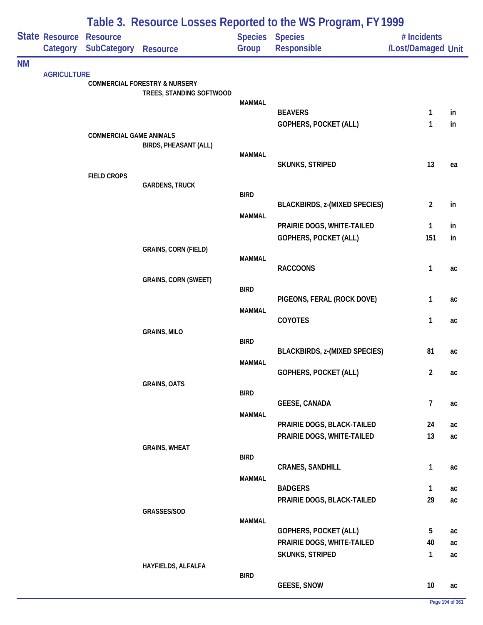|           |                            |                                                |                                                                      | Table 3. Resource Losses Reported to the WS Program, FY 1999 |                                                     |                                   |          |
|-----------|----------------------------|------------------------------------------------|----------------------------------------------------------------------|--------------------------------------------------------------|-----------------------------------------------------|-----------------------------------|----------|
|           | State Resource<br>Category | <b>Resource</b><br><b>SubCategory Resource</b> |                                                                      | Group                                                        | <b>Species Species</b><br><b>Responsible</b>        | # Incidents<br>/Lost/Damaged Unit |          |
| <b>NM</b> |                            |                                                |                                                                      |                                                              |                                                     |                                   |          |
|           | <b>AGRICULTURE</b>         |                                                | <b>COMMERCIAL FORESTRY &amp; NURSERY</b><br>TREES, STANDING SOFTWOOD |                                                              |                                                     |                                   |          |
|           |                            |                                                |                                                                      | <b>MAMMAL</b>                                                |                                                     |                                   |          |
|           |                            |                                                |                                                                      |                                                              | <b>BEAVERS</b><br>GOPHERS, POCKET (ALL)             | $\mathbf{1}$<br>1                 | in<br>in |
|           |                            | <b>COMMERCIAL GAME ANIMALS</b>                 | <b>BIRDS, PHEASANT (ALL)</b>                                         |                                                              |                                                     |                                   |          |
|           |                            |                                                |                                                                      | <b>MAMMAL</b>                                                | SKUNKS, STRIPED                                     | 13                                | ea       |
|           |                            | <b>FIELD CROPS</b>                             | <b>GARDENS, TRUCK</b>                                                |                                                              |                                                     |                                   |          |
|           |                            |                                                |                                                                      | <b>BIRD</b>                                                  | <b>BLACKBIRDS, z-(MIXED SPECIES)</b>                | $\overline{2}$                    | in       |
|           |                            |                                                |                                                                      | <b>MAMMAL</b>                                                |                                                     |                                   |          |
|           |                            |                                                |                                                                      |                                                              | PRAIRIE DOGS, WHITE-TAILED<br>GOPHERS, POCKET (ALL) | $\mathbf{1}$<br>151               | in<br>in |
|           |                            |                                                | <b>GRAINS, CORN (FIELD)</b>                                          |                                                              |                                                     |                                   |          |
|           |                            |                                                | <b>GRAINS, CORN (SWEET)</b>                                          | <b>MAMMAL</b>                                                | <b>RACCOONS</b>                                     | $\mathbf{1}$                      | ac       |
|           |                            |                                                |                                                                      | <b>BIRD</b>                                                  |                                                     |                                   |          |
|           |                            |                                                |                                                                      | <b>MAMMAL</b>                                                | PIGEONS, FERAL (ROCK DOVE)                          | $\mathbf{1}$                      | ac       |
|           |                            |                                                | <b>GRAINS, MILO</b>                                                  |                                                              | COYOTES                                             | $\mathbf{1}$                      | ac       |
|           |                            |                                                |                                                                      | <b>BIRD</b>                                                  |                                                     |                                   |          |
|           |                            |                                                |                                                                      | MAMMAL                                                       | <b>BLACKBIRDS, z-(MIXED SPECIES)</b>                | 81                                | ac       |
|           |                            |                                                |                                                                      |                                                              | <b>GOPHERS, POCKET (ALL)</b>                        | $\overline{2}$                    | ac       |
|           |                            |                                                | <b>GRAINS, OATS</b>                                                  |                                                              |                                                     |                                   |          |
|           |                            |                                                |                                                                      | <b>BIRD</b>                                                  | <b>GEESE, CANADA</b>                                | $\overline{7}$                    | ac       |
|           |                            |                                                |                                                                      | <b>MAMMAL</b>                                                |                                                     |                                   |          |
|           |                            |                                                |                                                                      |                                                              | PRAIRIE DOGS, BLACK-TAILED                          | 24                                | ac       |
|           |                            |                                                | <b>GRAINS, WHEAT</b>                                                 |                                                              | PRAIRIE DOGS, WHITE-TAILED                          | 13                                | ac       |
|           |                            |                                                |                                                                      | <b>BIRD</b>                                                  |                                                     |                                   |          |
|           |                            |                                                |                                                                      |                                                              | <b>CRANES, SANDHILL</b>                             | $\mathbf{1}$                      | ac       |
|           |                            |                                                |                                                                      | <b>MAMMAL</b>                                                | <b>BADGERS</b>                                      | $\mathbf{1}$                      | ac       |
|           |                            |                                                |                                                                      |                                                              | PRAIRIE DOGS, BLACK-TAILED                          | 29                                | ac       |
|           |                            |                                                | GRASSES/SOD                                                          |                                                              |                                                     |                                   |          |
|           |                            |                                                |                                                                      | <b>MAMMAL</b>                                                | GOPHERS, POCKET (ALL)                               | $5\phantom{.0}$                   | ac       |
|           |                            |                                                |                                                                      |                                                              | PRAIRIE DOGS, WHITE-TAILED                          | 40                                | ac       |
|           |                            |                                                |                                                                      |                                                              | SKUNKS, STRIPED                                     | $\mathbf{1}$                      | ac       |
|           |                            |                                                | HAYFIELDS, ALFALFA                                                   | <b>BIRD</b>                                                  |                                                     |                                   |          |
|           |                            |                                                |                                                                      |                                                              | <b>GEESE, SNOW</b>                                  | 10                                | ac       |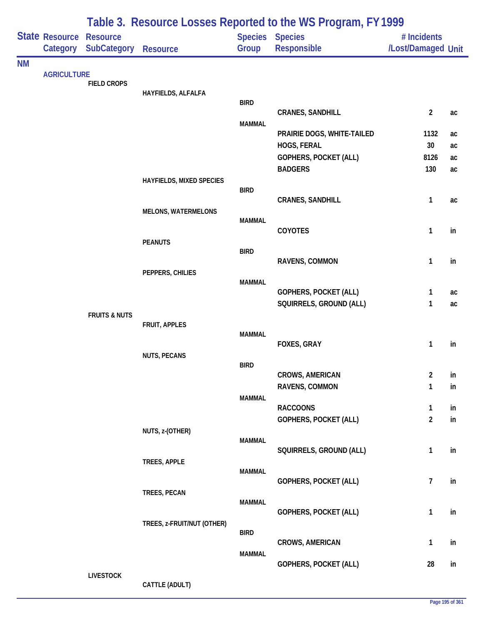|           |                                   |                                       | Table 3. Resource Losses Reported to the WS Program, FY 1999 |               |                                |                                   |    |  |  |
|-----------|-----------------------------------|---------------------------------------|--------------------------------------------------------------|---------------|--------------------------------|-----------------------------------|----|--|--|
|           | <b>State Resource</b><br>Category | <b>Resource</b><br><b>SubCategory</b> | <b>Resource</b>                                              | Group         | Species Species<br>Responsible | # Incidents<br>/Lost/Damaged Unit |    |  |  |
| <b>NM</b> |                                   |                                       |                                                              |               |                                |                                   |    |  |  |
|           | <b>AGRICULTURE</b>                | <b>FIELD CROPS</b>                    |                                                              |               |                                |                                   |    |  |  |
|           |                                   |                                       | HAYFIELDS, ALFALFA                                           |               |                                |                                   |    |  |  |
|           |                                   |                                       |                                                              | <b>BIRD</b>   | <b>CRANES, SANDHILL</b>        | $\overline{2}$                    | ac |  |  |
|           |                                   |                                       |                                                              | <b>MAMMAL</b> |                                |                                   |    |  |  |
|           |                                   |                                       |                                                              |               | PRAIRIE DOGS, WHITE-TAILED     | 1132                              | ac |  |  |
|           |                                   |                                       |                                                              |               | HOGS, FERAL                    | 30 <sup>°</sup>                   | ac |  |  |
|           |                                   |                                       |                                                              |               | <b>GOPHERS, POCKET (ALL)</b>   | 8126                              | ac |  |  |
|           |                                   |                                       |                                                              |               | <b>BADGERS</b>                 | 130                               | ac |  |  |
|           |                                   |                                       | HAYFIELDS, MIXED SPECIES                                     | <b>BIRD</b>   |                                |                                   |    |  |  |
|           |                                   |                                       |                                                              |               | <b>CRANES, SANDHILL</b>        | 1                                 | ac |  |  |
|           |                                   |                                       | <b>MELONS, WATERMELONS</b>                                   |               |                                |                                   |    |  |  |
|           |                                   |                                       |                                                              | <b>MAMMAL</b> | COYOTES                        | $\mathbf{1}$                      | in |  |  |
|           |                                   |                                       | <b>PEANUTS</b>                                               |               |                                |                                   |    |  |  |
|           |                                   |                                       |                                                              | <b>BIRD</b>   |                                |                                   |    |  |  |
|           |                                   |                                       | PEPPERS, CHILIES                                             |               | RAVENS, COMMON                 | 1                                 | in |  |  |
|           |                                   |                                       |                                                              | <b>MAMMAL</b> |                                |                                   |    |  |  |
|           |                                   |                                       |                                                              |               | GOPHERS, POCKET (ALL)          | 1                                 | ac |  |  |
|           |                                   |                                       |                                                              |               | SQUIRRELS, GROUND (ALL)        | 1                                 | ac |  |  |
|           |                                   | <b>FRUITS &amp; NUTS</b>              | FRUIT, APPLES                                                |               |                                |                                   |    |  |  |
|           |                                   |                                       |                                                              | <b>MAMMAL</b> |                                |                                   |    |  |  |
|           |                                   |                                       |                                                              |               | FOXES, GRAY                    | $\mathbf{1}$                      | in |  |  |
|           |                                   |                                       | <b>NUTS, PECANS</b>                                          | <b>BIRD</b>   |                                |                                   |    |  |  |
|           |                                   |                                       |                                                              |               | <b>CROWS, AMERICAN</b>         | $\overline{2}$                    | in |  |  |
|           |                                   |                                       |                                                              |               | RAVENS, COMMON                 | 1                                 | in |  |  |
|           |                                   |                                       |                                                              | <b>MAMMAL</b> | <b>RACCOONS</b>                | $\mathbf{1}$                      | in |  |  |
|           |                                   |                                       |                                                              |               | <b>GOPHERS, POCKET (ALL)</b>   | $\overline{2}$                    | in |  |  |
|           |                                   |                                       | NUTS, z-(OTHER)                                              |               |                                |                                   |    |  |  |
|           |                                   |                                       |                                                              | <b>MAMMAL</b> |                                |                                   |    |  |  |
|           |                                   |                                       |                                                              |               | SQUIRRELS, GROUND (ALL)        | $\mathbf{1}$                      | in |  |  |
|           |                                   |                                       | TREES, APPLE                                                 | <b>MAMMAL</b> |                                |                                   |    |  |  |
|           |                                   |                                       |                                                              |               | <b>GOPHERS, POCKET (ALL)</b>   | $\overline{7}$                    | in |  |  |
|           |                                   |                                       | TREES, PECAN                                                 |               |                                |                                   |    |  |  |
|           |                                   |                                       |                                                              | <b>MAMMAL</b> | GOPHERS, POCKET (ALL)          | $\mathbf{1}$                      | in |  |  |
|           |                                   |                                       | TREES, z-FRUIT/NUT (OTHER)                                   |               |                                |                                   |    |  |  |
|           |                                   |                                       |                                                              | <b>BIRD</b>   |                                |                                   |    |  |  |
|           |                                   |                                       |                                                              | <b>MAMMAL</b> | <b>CROWS, AMERICAN</b>         | $\mathbf{1}$                      | in |  |  |
|           |                                   |                                       |                                                              |               | <b>GOPHERS, POCKET (ALL)</b>   | 28                                | in |  |  |
|           |                                   | <b>LIVESTOCK</b>                      |                                                              |               |                                |                                   |    |  |  |

**CATTLE (ADULT)**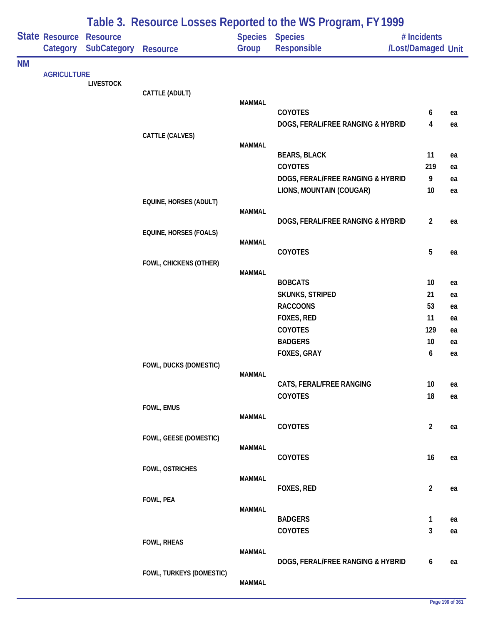|           |                            |                                       |                               |                         | Table 3. Resource Losses Reported to the WS Program, FY 1999 |                                   |          |
|-----------|----------------------------|---------------------------------------|-------------------------------|-------------------------|--------------------------------------------------------------|-----------------------------------|----------|
|           | State Resource<br>Category | <b>Resource</b><br><b>SubCategory</b> | <b>Resource</b>               | <b>Species</b><br>Group | <b>Species</b><br>Responsible                                | # Incidents<br>/Lost/Damaged Unit |          |
|           |                            |                                       |                               |                         |                                                              |                                   |          |
| <b>NM</b> | <b>AGRICULTURE</b>         |                                       |                               |                         |                                                              |                                   |          |
|           |                            | <b>LIVESTOCK</b>                      |                               |                         |                                                              |                                   |          |
|           |                            |                                       | CATTLE (ADULT)                | <b>MAMMAL</b>           |                                                              |                                   |          |
|           |                            |                                       |                               |                         | <b>COYOTES</b>                                               | 6                                 | ea       |
|           |                            |                                       |                               |                         | DOGS, FERAL/FREE RANGING & HYBRID                            | 4                                 | ea       |
|           |                            |                                       | CATTLE (CALVES)               |                         |                                                              |                                   |          |
|           |                            |                                       |                               | <b>MAMMAL</b>           |                                                              |                                   |          |
|           |                            |                                       |                               |                         | <b>BEARS, BLACK</b>                                          | 11                                | ea       |
|           |                            |                                       |                               |                         | <b>COYOTES</b><br>DOGS, FERAL/FREE RANGING & HYBRID          | 219<br>9                          | ea       |
|           |                            |                                       |                               |                         | LIONS, MOUNTAIN (COUGAR)                                     | 10                                | ea<br>ea |
|           |                            |                                       | EQUINE, HORSES (ADULT)        |                         |                                                              |                                   |          |
|           |                            |                                       |                               | <b>MAMMAL</b>           |                                                              |                                   |          |
|           |                            |                                       |                               |                         | DOGS, FERAL/FREE RANGING & HYBRID                            | $\overline{2}$                    | ea       |
|           |                            |                                       | <b>EQUINE, HORSES (FOALS)</b> |                         |                                                              |                                   |          |
|           |                            |                                       |                               | <b>MAMMAL</b>           | COYOTES                                                      | $\overline{5}$                    | ea       |
|           |                            |                                       | FOWL, CHICKENS (OTHER)        |                         |                                                              |                                   |          |
|           |                            |                                       |                               | <b>MAMMAL</b>           |                                                              |                                   |          |
|           |                            |                                       |                               |                         | <b>BOBCATS</b>                                               | 10                                | ea       |
|           |                            |                                       |                               |                         | SKUNKS, STRIPED                                              | 21                                | ea       |
|           |                            |                                       |                               |                         | <b>RACCOONS</b>                                              | 53                                | ea       |
|           |                            |                                       |                               |                         | FOXES, RED<br>COYOTES                                        | 11<br>129                         | ea       |
|           |                            |                                       |                               |                         | <b>BADGERS</b>                                               | 10                                | ea<br>ea |
|           |                            |                                       |                               |                         | FOXES, GRAY                                                  | 6                                 | ea       |
|           |                            |                                       | FOWL, DUCKS (DOMESTIC)        |                         |                                                              |                                   |          |
|           |                            |                                       |                               | <b>MAMMAL</b>           |                                                              |                                   |          |
|           |                            |                                       |                               |                         | CATS, FERAL/FREE RANGING                                     | 10                                | ea       |
|           |                            |                                       |                               |                         | COYOTES                                                      | $18\,$                            | ea       |
|           |                            |                                       | FOWL, EMUS                    | <b>MAMMAL</b>           |                                                              |                                   |          |
|           |                            |                                       |                               |                         | COYOTES                                                      | $\overline{2}$                    | ea       |
|           |                            |                                       | FOWL, GEESE (DOMESTIC)        |                         |                                                              |                                   |          |
|           |                            |                                       |                               | <b>MAMMAL</b>           |                                                              |                                   |          |
|           |                            |                                       |                               |                         | COYOTES                                                      | 16                                | ea       |
|           |                            |                                       | FOWL, OSTRICHES               | <b>MAMMAL</b>           |                                                              |                                   |          |
|           |                            |                                       |                               |                         | <b>FOXES, RED</b>                                            | $\overline{2}$                    | ea       |
|           |                            |                                       | FOWL, PEA                     |                         |                                                              |                                   |          |
|           |                            |                                       |                               | <b>MAMMAL</b>           | <b>BADGERS</b>                                               |                                   |          |
|           |                            |                                       |                               |                         | COYOTES                                                      | 1<br>3                            | ea<br>ea |
|           |                            |                                       | FOWL, RHEAS                   |                         |                                                              |                                   |          |
|           |                            |                                       |                               | <b>MAMMAL</b>           |                                                              |                                   |          |
|           |                            |                                       |                               |                         | DOGS, FERAL/FREE RANGING & HYBRID                            | 6                                 | ea       |
|           |                            |                                       | FOWL, TURKEYS (DOMESTIC)      |                         |                                                              |                                   |          |
|           |                            |                                       |                               | <b>MAMMAL</b>           |                                                              |                                   |          |

### **Page 196 of 361**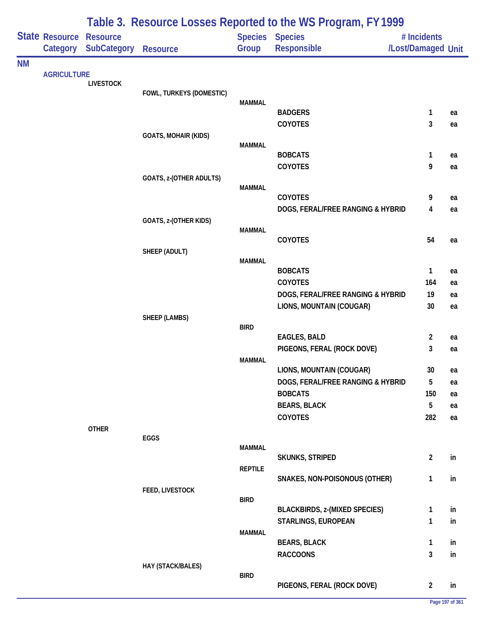|           |                            |                                       | Table 3. Resource Losses Reported to the WS Program, FY 1999 |                |                                       |                                   |          |  |  |
|-----------|----------------------------|---------------------------------------|--------------------------------------------------------------|----------------|---------------------------------------|-----------------------------------|----------|--|--|
|           | State Resource<br>Category | <b>Resource</b><br><b>SubCategory</b> | <b>Resource</b>                                              | Group          | <b>Species Species</b><br>Responsible | # Incidents<br>/Lost/Damaged Unit |          |  |  |
| <b>NM</b> |                            |                                       |                                                              |                |                                       |                                   |          |  |  |
|           | <b>AGRICULTURE</b>         | <b>LIVESTOCK</b>                      |                                                              |                |                                       |                                   |          |  |  |
|           |                            |                                       | FOWL, TURKEYS (DOMESTIC)                                     |                |                                       |                                   |          |  |  |
|           |                            |                                       |                                                              | MAMMAL         | <b>BADGERS</b>                        | 1                                 | ea       |  |  |
|           |                            |                                       |                                                              |                | COYOTES                               | 3                                 | ea       |  |  |
|           |                            |                                       | <b>GOATS, MOHAIR (KIDS)</b>                                  |                |                                       |                                   |          |  |  |
|           |                            |                                       |                                                              | <b>MAMMAL</b>  |                                       |                                   |          |  |  |
|           |                            |                                       |                                                              |                | <b>BOBCATS</b><br>COYOTES             | 1<br>9                            | ea       |  |  |
|           |                            |                                       | GOATS, z-(OTHER ADULTS)                                      |                |                                       |                                   | ea       |  |  |
|           |                            |                                       |                                                              | <b>MAMMAL</b>  |                                       |                                   |          |  |  |
|           |                            |                                       |                                                              |                | <b>COYOTES</b>                        | 9                                 | ea       |  |  |
|           |                            |                                       |                                                              |                | DOGS, FERAL/FREE RANGING & HYBRID     | 4                                 | ea       |  |  |
|           |                            |                                       | GOATS, z-(OTHER KIDS)                                        | <b>MAMMAL</b>  |                                       |                                   |          |  |  |
|           |                            |                                       |                                                              |                | COYOTES                               | 54                                | ea       |  |  |
|           |                            |                                       | SHEEP (ADULT)                                                |                |                                       |                                   |          |  |  |
|           |                            |                                       |                                                              | <b>MAMMAL</b>  | <b>BOBCATS</b>                        | 1                                 | ea       |  |  |
|           |                            |                                       |                                                              |                | <b>COYOTES</b>                        | 164                               | ea       |  |  |
|           |                            |                                       |                                                              |                | DOGS, FERAL/FREE RANGING & HYBRID     | 19                                | ea       |  |  |
|           |                            |                                       |                                                              |                | LIONS, MOUNTAIN (COUGAR)              | 30                                | ea       |  |  |
|           |                            |                                       | SHEEP (LAMBS)                                                |                |                                       |                                   |          |  |  |
|           |                            |                                       |                                                              | <b>BIRD</b>    | <b>EAGLES, BALD</b>                   | $\overline{a}$                    | ea       |  |  |
|           |                            |                                       |                                                              |                | PIGEONS, FERAL (ROCK DOVE)            | 3                                 | ea       |  |  |
|           |                            |                                       |                                                              | <b>MAMMAL</b>  |                                       |                                   |          |  |  |
|           |                            |                                       |                                                              |                | LIONS, MOUNTAIN (COUGAR)              | 30                                | ea       |  |  |
|           |                            |                                       |                                                              |                | DOGS, FERAL/FREE RANGING & HYBRID     | 5                                 | ea       |  |  |
|           |                            |                                       |                                                              |                | <b>BOBCATS</b>                        | 150<br>5                          | ea       |  |  |
|           |                            |                                       |                                                              |                | <b>BEARS, BLACK</b><br>COYOTES        | 282                               | ea<br>ea |  |  |
|           |                            | <b>OTHER</b>                          |                                                              |                |                                       |                                   |          |  |  |
|           |                            |                                       | EGGS                                                         |                |                                       |                                   |          |  |  |
|           |                            |                                       |                                                              | <b>MAMMAL</b>  | <b>SKUNKS, STRIPED</b>                | $\overline{2}$                    | in       |  |  |
|           |                            |                                       |                                                              | <b>REPTILE</b> |                                       |                                   |          |  |  |
|           |                            |                                       |                                                              |                | SNAKES, NON-POISONOUS (OTHER)         | 1                                 | in       |  |  |
|           |                            |                                       | FEED, LIVESTOCK                                              |                |                                       |                                   |          |  |  |
|           |                            |                                       |                                                              | <b>BIRD</b>    | <b>BLACKBIRDS, z-(MIXED SPECIES)</b>  | 1                                 | in       |  |  |
|           |                            |                                       |                                                              |                | STARLINGS, EUROPEAN                   | 1                                 | in       |  |  |
|           |                            |                                       |                                                              | <b>MAMMAL</b>  |                                       |                                   |          |  |  |
|           |                            |                                       |                                                              |                | <b>BEARS, BLACK</b>                   | 1                                 | in       |  |  |
|           |                            |                                       |                                                              |                | <b>RACCOONS</b>                       | 3                                 | in       |  |  |
|           |                            |                                       | HAY (STACK/BALES)                                            | <b>BIRD</b>    |                                       |                                   |          |  |  |
|           |                            |                                       |                                                              |                | PIGEONS, FERAL (ROCK DOVE)            | $\overline{2}$                    | in       |  |  |

### **Page 197 of 361**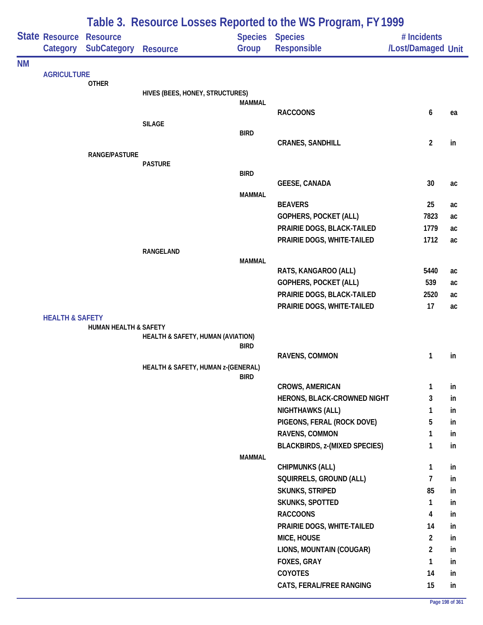|           | Table 3. Resource Losses Reported to the WS Program, FY 1999 |                                       |                                    |               |                                                       |                                   |          |
|-----------|--------------------------------------------------------------|---------------------------------------|------------------------------------|---------------|-------------------------------------------------------|-----------------------------------|----------|
|           | State Resource<br>Category                                   | <b>Resource</b><br><b>SubCategory</b> | <b>Resource</b>                    | Group         | <b>Species Species</b><br>Responsible                 | # Incidents<br>/Lost/Damaged Unit |          |
| <b>NM</b> |                                                              |                                       |                                    |               |                                                       |                                   |          |
|           | <b>AGRICULTURE</b>                                           | <b>OTHER</b>                          |                                    |               |                                                       |                                   |          |
|           |                                                              |                                       | HIVES (BEES, HONEY, STRUCTURES)    |               |                                                       |                                   |          |
|           |                                                              |                                       |                                    | <b>MAMMAL</b> |                                                       |                                   |          |
|           |                                                              |                                       |                                    |               | <b>RACCOONS</b>                                       | 6                                 | ea       |
|           |                                                              |                                       | <b>SILAGE</b>                      | <b>BIRD</b>   |                                                       |                                   |          |
|           |                                                              |                                       |                                    |               | <b>CRANES, SANDHILL</b>                               | $\overline{2}$                    | in       |
|           |                                                              | RANGE/PASTURE                         |                                    |               |                                                       |                                   |          |
|           |                                                              |                                       | <b>PASTURE</b>                     |               |                                                       |                                   |          |
|           |                                                              |                                       |                                    | <b>BIRD</b>   | <b>GEESE, CANADA</b>                                  | 30                                | ac       |
|           |                                                              |                                       |                                    | <b>MAMMAL</b> |                                                       |                                   |          |
|           |                                                              |                                       |                                    |               | <b>BEAVERS</b>                                        | 25                                | ac       |
|           |                                                              |                                       |                                    |               | <b>GOPHERS, POCKET (ALL)</b>                          | 7823                              | ac       |
|           |                                                              |                                       |                                    |               | PRAIRIE DOGS, BLACK-TAILED                            | 1779                              | ac       |
|           |                                                              |                                       |                                    |               | PRAIRIE DOGS, WHITE-TAILED                            | 1712                              | ac       |
|           |                                                              |                                       | RANGELAND                          |               |                                                       |                                   |          |
|           |                                                              |                                       |                                    | <b>MAMMAL</b> | RATS, KANGAROO (ALL)                                  | 5440                              | ac       |
|           |                                                              |                                       |                                    |               | <b>GOPHERS, POCKET (ALL)</b>                          | 539                               | ac       |
|           |                                                              |                                       |                                    |               | PRAIRIE DOGS, BLACK-TAILED                            | 2520                              | ac       |
|           |                                                              |                                       |                                    |               | PRAIRIE DOGS, WHITE-TAILED                            | 17                                | ac       |
|           | <b>HEALTH &amp; SAFETY</b>                                   |                                       |                                    |               |                                                       |                                   |          |
|           |                                                              | HUMAN HEALTH & SAFETY                 |                                    |               |                                                       |                                   |          |
|           |                                                              |                                       | HEALTH & SAFETY, HUMAN (AVIATION)  | <b>BIRD</b>   |                                                       |                                   |          |
|           |                                                              |                                       |                                    |               | RAVENS, COMMON                                        | 1                                 | in       |
|           |                                                              |                                       | HEALTH & SAFETY, HUMAN z-(GENERAL) |               |                                                       |                                   |          |
|           |                                                              |                                       |                                    | <b>BIRD</b>   |                                                       |                                   |          |
|           |                                                              |                                       |                                    |               | <b>CROWS, AMERICAN</b>                                | 1                                 | in       |
|           |                                                              |                                       |                                    |               | HERONS, BLACK-CROWNED NIGHT                           | 3                                 | in       |
|           |                                                              |                                       |                                    |               | <b>NIGHTHAWKS (ALL)</b><br>PIGEONS, FERAL (ROCK DOVE) | 1<br>5                            | in       |
|           |                                                              |                                       |                                    |               | RAVENS, COMMON                                        | 1                                 | in<br>in |
|           |                                                              |                                       |                                    |               | <b>BLACKBIRDS, z-(MIXED SPECIES)</b>                  | 1                                 | in       |
|           |                                                              |                                       |                                    | <b>MAMMAL</b> |                                                       |                                   |          |
|           |                                                              |                                       |                                    |               | <b>CHIPMUNKS (ALL)</b>                                | 1                                 | in       |
|           |                                                              |                                       |                                    |               | SQUIRRELS, GROUND (ALL)                               | 7                                 | in       |
|           |                                                              |                                       |                                    |               | <b>SKUNKS, STRIPED</b>                                | 85                                | in       |
|           |                                                              |                                       |                                    |               | SKUNKS, SPOTTED                                       | 1                                 | in       |
|           |                                                              |                                       |                                    |               | <b>RACCOONS</b>                                       | 4                                 | in       |
|           |                                                              |                                       |                                    |               | PRAIRIE DOGS, WHITE-TAILED                            | 14                                | in       |
|           |                                                              |                                       |                                    |               | MICE, HOUSE                                           | $\overline{\mathbf{c}}$           | in       |
|           |                                                              |                                       |                                    |               | LIONS, MOUNTAIN (COUGAR)                              | $\overline{a}$                    | in       |
|           |                                                              |                                       |                                    |               | FOXES, GRAY                                           | 1                                 | in       |
|           |                                                              |                                       |                                    |               | COYOTES                                               | 14                                | in       |
|           |                                                              |                                       |                                    |               | CATS, FERAL/FREE RANGING                              | 15                                | in       |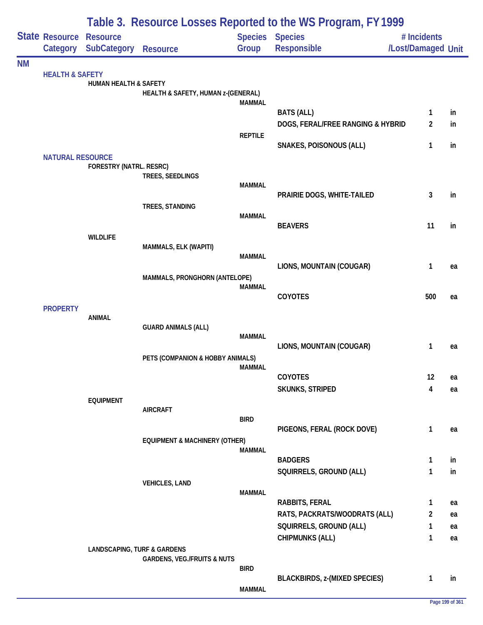|           |                                     | Table 3. Resource Losses Reported to the WS Program, FY 1999 |                                          |                |                                                          |                                   |          |  |  |
|-----------|-------------------------------------|--------------------------------------------------------------|------------------------------------------|----------------|----------------------------------------------------------|-----------------------------------|----------|--|--|
|           | State Resource Resource<br>Category | <b>SubCategory</b>                                           | <b>Resource</b>                          | Group          | <b>Species Species</b><br>Responsible                    | # Incidents<br>/Lost/Damaged Unit |          |  |  |
| <b>NM</b> |                                     |                                                              |                                          |                |                                                          |                                   |          |  |  |
|           | <b>HEALTH &amp; SAFETY</b>          | <b>HUMAN HEALTH &amp; SAFETY</b>                             |                                          |                |                                                          |                                   |          |  |  |
|           |                                     |                                                              | HEALTH & SAFETY, HUMAN z-(GENERAL)       |                |                                                          |                                   |          |  |  |
|           |                                     |                                                              |                                          | <b>MAMMAL</b>  | <b>BATS (ALL)</b>                                        | 1                                 | in       |  |  |
|           |                                     |                                                              |                                          |                | DOGS, FERAL/FREE RANGING & HYBRID                        | $\overline{2}$                    | in       |  |  |
|           |                                     |                                                              |                                          | <b>REPTILE</b> |                                                          |                                   |          |  |  |
|           | <b>NATURAL RESOURCE</b>             |                                                              |                                          |                | <b>SNAKES, POISONOUS (ALL)</b>                           | 1                                 | in       |  |  |
|           |                                     | FORESTRY (NATRL. RESRC)                                      |                                          |                |                                                          |                                   |          |  |  |
|           |                                     |                                                              | TREES, SEEDLINGS                         | <b>MAMMAL</b>  |                                                          |                                   |          |  |  |
|           |                                     |                                                              |                                          |                | PRAIRIE DOGS, WHITE-TAILED                               | 3                                 | in       |  |  |
|           |                                     |                                                              | TREES, STANDING                          |                |                                                          |                                   |          |  |  |
|           |                                     |                                                              |                                          | <b>MAMMAL</b>  | <b>BEAVERS</b>                                           | 11                                | in       |  |  |
|           |                                     | <b>WILDLIFE</b>                                              |                                          |                |                                                          |                                   |          |  |  |
|           |                                     |                                                              | MAMMALS, ELK (WAPITI)                    | <b>MAMMAL</b>  |                                                          |                                   |          |  |  |
|           |                                     |                                                              |                                          |                | LIONS, MOUNTAIN (COUGAR)                                 | 1                                 | ea       |  |  |
|           |                                     |                                                              | MAMMALS, PRONGHORN (ANTELOPE)            |                |                                                          |                                   |          |  |  |
|           |                                     |                                                              |                                          | <b>MAMMAL</b>  | COYOTES                                                  | 500                               | ea       |  |  |
|           | <b>PROPERTY</b>                     |                                                              |                                          |                |                                                          |                                   |          |  |  |
|           |                                     | <b>ANIMAL</b>                                                | <b>GUARD ANIMALS (ALL)</b>               |                |                                                          |                                   |          |  |  |
|           |                                     |                                                              |                                          | <b>MAMMAL</b>  |                                                          |                                   |          |  |  |
|           |                                     |                                                              |                                          |                | LIONS, MOUNTAIN (COUGAR)                                 | 1                                 | ea       |  |  |
|           |                                     |                                                              | PETS (COMPANION & HOBBY ANIMALS)         | MAMMAL         |                                                          |                                   |          |  |  |
|           |                                     |                                                              |                                          |                | <b>COYOTES</b>                                           | 12                                | ea       |  |  |
|           |                                     |                                                              |                                          |                | <b>SKUNKS, STRIPED</b>                                   | 4                                 | ea       |  |  |
|           |                                     | <b>EQUIPMENT</b>                                             | <b>AIRCRAFT</b>                          |                |                                                          |                                   |          |  |  |
|           |                                     |                                                              |                                          | <b>BIRD</b>    |                                                          |                                   |          |  |  |
|           |                                     |                                                              | <b>EQUIPMENT &amp; MACHINERY (OTHER)</b> |                | PIGEONS, FERAL (ROCK DOVE)                               | $\mathbf{1}$                      | ea       |  |  |
|           |                                     |                                                              |                                          | <b>MAMMAL</b>  |                                                          |                                   |          |  |  |
|           |                                     |                                                              |                                          |                | <b>BADGERS</b>                                           | 1                                 | in       |  |  |
|           |                                     |                                                              | <b>VEHICLES, LAND</b>                    |                | SQUIRRELS, GROUND (ALL)                                  | 1                                 | in       |  |  |
|           |                                     |                                                              |                                          | <b>MAMMAL</b>  |                                                          |                                   |          |  |  |
|           |                                     |                                                              |                                          |                | <b>RABBITS, FERAL</b>                                    | 1                                 | ea       |  |  |
|           |                                     |                                                              |                                          |                | RATS, PACKRATS/WOODRATS (ALL)<br>SQUIRRELS, GROUND (ALL) | 2<br>1                            | ea<br>ea |  |  |
|           |                                     |                                                              |                                          |                | <b>CHIPMUNKS (ALL)</b>                                   | 1                                 | ea       |  |  |
|           |                                     | <b>LANDSCAPING, TURF &amp; GARDENS</b>                       |                                          |                |                                                          |                                   |          |  |  |
|           |                                     |                                                              | <b>GARDENS, VEG./FRUITS &amp; NUTS</b>   | <b>BIRD</b>    |                                                          |                                   |          |  |  |
|           |                                     |                                                              |                                          |                | <b>BLACKBIRDS, z-(MIXED SPECIES)</b>                     | 1                                 | in       |  |  |
|           |                                     |                                                              |                                          | <b>MAMMAL</b>  |                                                          |                                   |          |  |  |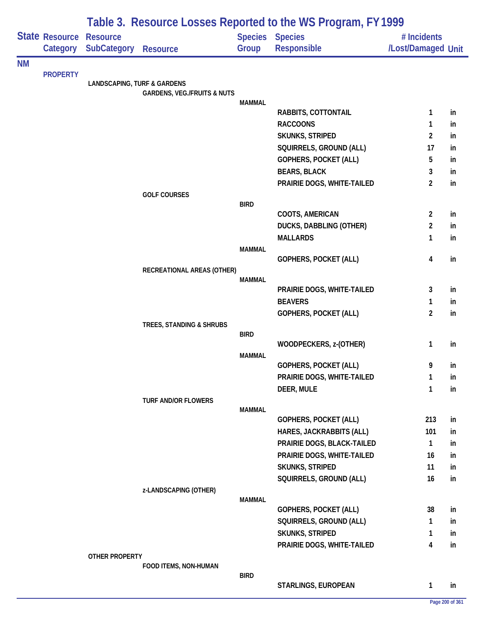|           |                                   | Table 3. Resource Losses Reported to the WS Program, FY 1999 |                                        |               |                                              |                                   |     |  |  |
|-----------|-----------------------------------|--------------------------------------------------------------|----------------------------------------|---------------|----------------------------------------------|-----------------------------------|-----|--|--|
|           | <b>State Resource</b><br>Category | <b>Resource</b><br><b>SubCategory</b>                        | <b>Resource</b>                        | Group         | <b>Species Species</b><br><b>Responsible</b> | # Incidents<br>/Lost/Damaged Unit |     |  |  |
| <b>NM</b> |                                   |                                                              |                                        |               |                                              |                                   |     |  |  |
|           | <b>PROPERTY</b>                   | <b>LANDSCAPING, TURF &amp; GARDENS</b>                       |                                        |               |                                              |                                   |     |  |  |
|           |                                   |                                                              | <b>GARDENS, VEG./FRUITS &amp; NUTS</b> |               |                                              |                                   |     |  |  |
|           |                                   |                                                              |                                        | <b>MAMMAL</b> | RABBITS, COTTONTAIL                          | 1                                 | in  |  |  |
|           |                                   |                                                              |                                        |               | <b>RACCOONS</b>                              | 1                                 | in  |  |  |
|           |                                   |                                                              |                                        |               | <b>SKUNKS, STRIPED</b>                       | $\overline{2}$                    | in  |  |  |
|           |                                   |                                                              |                                        |               | SQUIRRELS, GROUND (ALL)                      | 17                                | in  |  |  |
|           |                                   |                                                              |                                        |               | GOPHERS, POCKET (ALL)                        | 5                                 | in  |  |  |
|           |                                   |                                                              |                                        |               | <b>BEARS, BLACK</b>                          | 3                                 | in  |  |  |
|           |                                   |                                                              |                                        |               | PRAIRIE DOGS, WHITE-TAILED                   | 2                                 | in  |  |  |
|           |                                   |                                                              | <b>GOLF COURSES</b>                    |               |                                              |                                   |     |  |  |
|           |                                   |                                                              |                                        | <b>BIRD</b>   | COOTS, AMERICAN                              | $\overline{c}$                    | in  |  |  |
|           |                                   |                                                              |                                        |               | <b>DUCKS, DABBLING (OTHER)</b>               | $\overline{c}$                    | in  |  |  |
|           |                                   |                                                              |                                        |               | <b>MALLARDS</b>                              | 1                                 | in. |  |  |
|           |                                   |                                                              |                                        | <b>MAMMAL</b> |                                              |                                   |     |  |  |
|           |                                   |                                                              |                                        |               | GOPHERS, POCKET (ALL)                        | 4                                 | in  |  |  |
|           |                                   |                                                              | RECREATIONAL AREAS (OTHER)             | <b>MAMMAL</b> |                                              |                                   |     |  |  |
|           |                                   |                                                              |                                        |               | PRAIRIE DOGS, WHITE-TAILED                   | 3                                 | in  |  |  |
|           |                                   |                                                              |                                        |               | <b>BEAVERS</b>                               | 1                                 | in  |  |  |
|           |                                   |                                                              |                                        |               | GOPHERS, POCKET (ALL)                        | $\overline{2}$                    | in  |  |  |
|           |                                   |                                                              | TREES, STANDING & SHRUBS               |               |                                              |                                   |     |  |  |
|           |                                   |                                                              |                                        | <b>BIRD</b>   | WOODPECKERS, z-(OTHER)                       | 1                                 | in  |  |  |
|           |                                   |                                                              |                                        | <b>MAMMAL</b> |                                              |                                   |     |  |  |
|           |                                   |                                                              |                                        |               | GOPHERS, POCKET (ALL)                        | 9                                 | in  |  |  |
|           |                                   |                                                              |                                        |               | PRAIRIE DOGS, WHITE-TAILED                   | 1                                 | in  |  |  |
|           |                                   |                                                              |                                        |               | DEER, MULE                                   | 1                                 | in  |  |  |
|           |                                   |                                                              | <b>TURF AND/OR FLOWERS</b>             |               |                                              |                                   |     |  |  |
|           |                                   |                                                              |                                        | <b>MAMMAL</b> | <b>GOPHERS, POCKET (ALL)</b>                 | 213                               | in  |  |  |
|           |                                   |                                                              |                                        |               | HARES, JACKRABBITS (ALL)                     | 101                               | in  |  |  |
|           |                                   |                                                              |                                        |               | PRAIRIE DOGS, BLACK-TAILED                   | $\mathbf{1}$                      | in  |  |  |
|           |                                   |                                                              |                                        |               | PRAIRIE DOGS, WHITE-TAILED                   | 16                                | in  |  |  |
|           |                                   |                                                              |                                        |               | <b>SKUNKS, STRIPED</b>                       | 11                                | in  |  |  |
|           |                                   |                                                              |                                        |               | SQUIRRELS, GROUND (ALL)                      | 16                                | in  |  |  |
|           |                                   |                                                              | z-LANDSCAPING (OTHER)                  |               |                                              |                                   |     |  |  |
|           |                                   |                                                              |                                        | <b>MAMMAL</b> | GOPHERS, POCKET (ALL)                        | 38                                | in  |  |  |
|           |                                   |                                                              |                                        |               | SQUIRRELS, GROUND (ALL)                      | 1                                 | in  |  |  |
|           |                                   |                                                              |                                        |               | <b>SKUNKS, STRIPED</b>                       | 1                                 | in  |  |  |
|           |                                   |                                                              |                                        |               | PRAIRIE DOGS, WHITE-TAILED                   | 4                                 | in  |  |  |
|           |                                   | OTHER PROPERTY                                               |                                        |               |                                              |                                   |     |  |  |
|           |                                   |                                                              | FOOD ITEMS, NON-HUMAN                  |               |                                              |                                   |     |  |  |
|           |                                   |                                                              |                                        | <b>BIRD</b>   | STARLINGS, EUROPEAN                          | 1                                 | in  |  |  |
|           |                                   |                                                              |                                        |               |                                              |                                   |     |  |  |

٠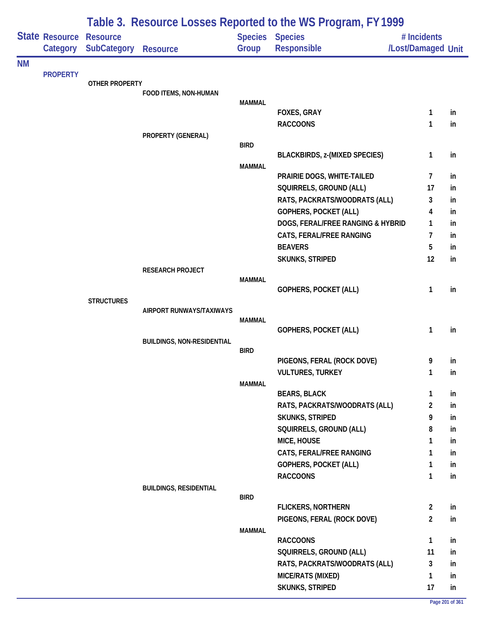|           |                            |                                       | Table 3. Resource Losses Reported to the WS Program, FY 1999 |               |                                                       |                                   |          |  |  |
|-----------|----------------------------|---------------------------------------|--------------------------------------------------------------|---------------|-------------------------------------------------------|-----------------------------------|----------|--|--|
|           | State Resource<br>Category | <b>Resource</b><br><b>SubCategory</b> | <b>Resource</b>                                              | Group         | <b>Species Species</b><br>Responsible                 | # Incidents<br>/Lost/Damaged Unit |          |  |  |
| <b>NM</b> |                            |                                       |                                                              |               |                                                       |                                   |          |  |  |
|           | <b>PROPERTY</b>            | <b>OTHER PROPERTY</b>                 |                                                              |               |                                                       |                                   |          |  |  |
|           |                            |                                       | FOOD ITEMS, NON-HUMAN                                        |               |                                                       |                                   |          |  |  |
|           |                            |                                       |                                                              | <b>MAMMAL</b> |                                                       |                                   |          |  |  |
|           |                            |                                       |                                                              |               | <b>FOXES, GRAY</b><br><b>RACCOONS</b>                 | 1<br>1                            | in<br>in |  |  |
|           |                            |                                       | PROPERTY (GENERAL)                                           |               |                                                       |                                   |          |  |  |
|           |                            |                                       |                                                              | <b>BIRD</b>   |                                                       |                                   |          |  |  |
|           |                            |                                       |                                                              |               | <b>BLACKBIRDS, z-(MIXED SPECIES)</b>                  | 1                                 | in       |  |  |
|           |                            |                                       |                                                              | <b>MAMMAL</b> |                                                       |                                   |          |  |  |
|           |                            |                                       |                                                              |               | PRAIRIE DOGS, WHITE-TAILED<br>SQUIRRELS, GROUND (ALL) | 7<br>17                           | in       |  |  |
|           |                            |                                       |                                                              |               | RATS, PACKRATS/WOODRATS (ALL)                         | 3                                 | in<br>in |  |  |
|           |                            |                                       |                                                              |               | <b>GOPHERS, POCKET (ALL)</b>                          | 4                                 | in       |  |  |
|           |                            |                                       |                                                              |               | DOGS, FERAL/FREE RANGING & HYBRID                     | 1                                 | in       |  |  |
|           |                            |                                       |                                                              |               | CATS, FERAL/FREE RANGING                              | 7                                 | in       |  |  |
|           |                            |                                       |                                                              |               | <b>BEAVERS</b>                                        | 5                                 | in       |  |  |
|           |                            |                                       |                                                              |               | SKUNKS, STRIPED                                       | 12                                | in       |  |  |
|           |                            |                                       | <b>RESEARCH PROJECT</b>                                      |               |                                                       |                                   |          |  |  |
|           |                            |                                       |                                                              | <b>MAMMAL</b> |                                                       |                                   |          |  |  |
|           |                            | <b>STRUCTURES</b>                     |                                                              |               | <b>GOPHERS, POCKET (ALL)</b>                          | 1                                 | in       |  |  |
|           |                            |                                       | AIRPORT RUNWAYS/TAXIWAYS                                     |               |                                                       |                                   |          |  |  |
|           |                            |                                       |                                                              | <b>MAMMAL</b> |                                                       |                                   |          |  |  |
|           |                            |                                       |                                                              |               | <b>GOPHERS, POCKET (ALL)</b>                          | 1                                 | in       |  |  |
|           |                            |                                       | <b>BUILDINGS, NON-RESIDENTIAL</b>                            | <b>BIRD</b>   |                                                       |                                   |          |  |  |
|           |                            |                                       |                                                              |               | PIGEONS, FERAL (ROCK DOVE)                            | 9                                 | in       |  |  |
|           |                            |                                       |                                                              |               | <b>VULTURES, TURKEY</b>                               | 1                                 | in       |  |  |
|           |                            |                                       |                                                              | <b>MAMMAL</b> |                                                       |                                   |          |  |  |
|           |                            |                                       |                                                              |               | <b>BEARS, BLACK</b>                                   | 1                                 | in       |  |  |
|           |                            |                                       |                                                              |               | RATS, PACKRATS/WOODRATS (ALL)                         | $\overline{2}$                    | in       |  |  |
|           |                            |                                       |                                                              |               | <b>SKUNKS, STRIPED</b>                                | 9                                 | in       |  |  |
|           |                            |                                       |                                                              |               | SQUIRRELS, GROUND (ALL)                               | 8                                 | in       |  |  |
|           |                            |                                       |                                                              |               | MICE, HOUSE                                           | 1                                 | in       |  |  |
|           |                            |                                       |                                                              |               | CATS, FERAL/FREE RANGING                              | 1                                 | in       |  |  |
|           |                            |                                       |                                                              |               | GOPHERS, POCKET (ALL)                                 | 1                                 | in       |  |  |
|           |                            |                                       | <b>BUILDINGS, RESIDENTIAL</b>                                |               | <b>RACCOONS</b>                                       | $\mathbf{1}$                      | in       |  |  |
|           |                            |                                       |                                                              | <b>BIRD</b>   |                                                       |                                   |          |  |  |
|           |                            |                                       |                                                              |               | <b>FLICKERS, NORTHERN</b>                             | $\overline{2}$                    | in       |  |  |
|           |                            |                                       |                                                              |               | PIGEONS, FERAL (ROCK DOVE)                            | $\overline{2}$                    | in       |  |  |
|           |                            |                                       |                                                              | <b>MAMMAL</b> |                                                       |                                   |          |  |  |
|           |                            |                                       |                                                              |               | <b>RACCOONS</b>                                       | $\mathbf{1}$                      | in       |  |  |
|           |                            |                                       |                                                              |               | SQUIRRELS, GROUND (ALL)                               | 11                                | in       |  |  |
|           |                            |                                       |                                                              |               | RATS, PACKRATS/WOODRATS (ALL)                         | 3                                 | in       |  |  |
|           |                            |                                       |                                                              |               | MICE/RATS (MIXED)                                     | 1<br>17                           | in       |  |  |
|           |                            |                                       |                                                              |               | <b>SKUNKS, STRIPED</b>                                |                                   | in       |  |  |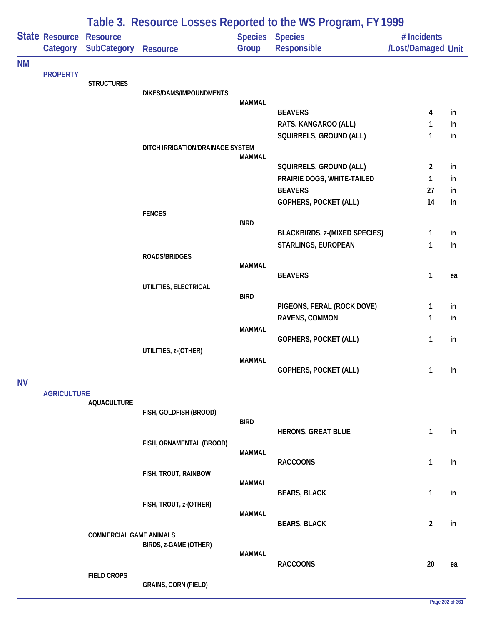|           |                            |                                       | Table 3. Resource Losses Reported to the WS Program, FY 1999 |               |                                                       |                                   |          |  |  |
|-----------|----------------------------|---------------------------------------|--------------------------------------------------------------|---------------|-------------------------------------------------------|-----------------------------------|----------|--|--|
|           | State Resource<br>Category | <b>Resource</b><br><b>SubCategory</b> | <b>Resource</b>                                              | Group         | <b>Species Species</b><br>Responsible                 | # Incidents<br>/Lost/Damaged Unit |          |  |  |
| ΝM        |                            |                                       |                                                              |               |                                                       |                                   |          |  |  |
|           | <b>PROPERTY</b>            | <b>STRUCTURES</b>                     |                                                              |               |                                                       |                                   |          |  |  |
|           |                            |                                       | DIKES/DAMS/IMPOUNDMENTS                                      |               |                                                       |                                   |          |  |  |
|           |                            |                                       |                                                              | <b>MAMMAL</b> | <b>BEAVERS</b>                                        | 4                                 | in       |  |  |
|           |                            |                                       |                                                              |               | RATS, KANGAROO (ALL)                                  | 1                                 | in       |  |  |
|           |                            |                                       |                                                              |               | SQUIRRELS, GROUND (ALL)                               | 1                                 | in       |  |  |
|           |                            |                                       | DITCH IRRIGATION/DRAINAGE SYSTEM                             |               |                                                       |                                   |          |  |  |
|           |                            |                                       |                                                              | <b>MAMMAL</b> |                                                       | $\overline{2}$                    |          |  |  |
|           |                            |                                       |                                                              |               | SQUIRRELS, GROUND (ALL)<br>PRAIRIE DOGS, WHITE-TAILED | $\mathbf{1}$                      | in<br>in |  |  |
|           |                            |                                       |                                                              |               | <b>BEAVERS</b>                                        | 27                                | in.      |  |  |
|           |                            |                                       |                                                              |               | <b>GOPHERS, POCKET (ALL)</b>                          | 14                                | in       |  |  |
|           |                            |                                       | <b>FENCES</b>                                                |               |                                                       |                                   |          |  |  |
|           |                            |                                       |                                                              | <b>BIRD</b>   |                                                       |                                   |          |  |  |
|           |                            |                                       |                                                              |               | <b>BLACKBIRDS, z-(MIXED SPECIES)</b>                  | 1                                 | in       |  |  |
|           |                            |                                       | ROADS/BRIDGES                                                |               | STARLINGS, EUROPEAN                                   | 1                                 | in       |  |  |
|           |                            |                                       |                                                              | <b>MAMMAL</b> |                                                       |                                   |          |  |  |
|           |                            |                                       |                                                              |               | <b>BEAVERS</b>                                        | 1                                 | ea       |  |  |
|           |                            |                                       | UTILITIES, ELECTRICAL                                        |               |                                                       |                                   |          |  |  |
|           |                            |                                       |                                                              | <b>BIRD</b>   | PIGEONS, FERAL (ROCK DOVE)                            | $\mathbf{1}$                      | in       |  |  |
|           |                            |                                       |                                                              |               | RAVENS, COMMON                                        | 1                                 | in       |  |  |
|           |                            |                                       |                                                              | <b>MAMMAL</b> |                                                       |                                   |          |  |  |
|           |                            |                                       |                                                              |               | <b>GOPHERS, POCKET (ALL)</b>                          | 1                                 | in       |  |  |
|           |                            |                                       | UTILITIES, z-(OTHER)                                         | <b>MAMMAL</b> |                                                       |                                   |          |  |  |
|           |                            |                                       |                                                              |               | <b>GOPHERS, POCKET (ALL)</b>                          | 1                                 | in       |  |  |
| <b>NV</b> |                            |                                       |                                                              |               |                                                       |                                   |          |  |  |
|           | <b>AGRICULTURE</b>         |                                       |                                                              |               |                                                       |                                   |          |  |  |
|           |                            | <b>AQUACULTURE</b>                    | FISH, GOLDFISH (BROOD)                                       |               |                                                       |                                   |          |  |  |
|           |                            |                                       |                                                              | <b>BIRD</b>   |                                                       |                                   |          |  |  |
|           |                            |                                       |                                                              |               | <b>HERONS, GREAT BLUE</b>                             | 1                                 | in       |  |  |
|           |                            |                                       | FISH, ORNAMENTAL (BROOD)                                     | <b>MAMMAL</b> |                                                       |                                   |          |  |  |
|           |                            |                                       |                                                              |               | <b>RACCOONS</b>                                       | 1                                 | in       |  |  |
|           |                            |                                       | FISH, TROUT, RAINBOW                                         |               |                                                       |                                   |          |  |  |
|           |                            |                                       |                                                              | <b>MAMMAL</b> | <b>BEARS, BLACK</b>                                   | 1                                 | in       |  |  |
|           |                            |                                       | FISH, TROUT, z-(OTHER)                                       |               |                                                       |                                   |          |  |  |
|           |                            |                                       |                                                              | <b>MAMMAL</b> |                                                       |                                   |          |  |  |
|           |                            |                                       |                                                              |               | <b>BEARS, BLACK</b>                                   | $\overline{2}$                    | in       |  |  |
|           |                            | <b>COMMERCIAL GAME ANIMALS</b>        | BIRDS, z-GAME (OTHER)                                        |               |                                                       |                                   |          |  |  |
|           |                            |                                       |                                                              | <b>MAMMAL</b> |                                                       |                                   |          |  |  |
|           |                            |                                       |                                                              |               | <b>RACCOONS</b>                                       | 20                                | ea       |  |  |
|           |                            | <b>FIELD CROPS</b>                    |                                                              |               |                                                       |                                   |          |  |  |
|           |                            |                                       | <b>GRAINS, CORN (FIELD)</b>                                  |               |                                                       |                                   |          |  |  |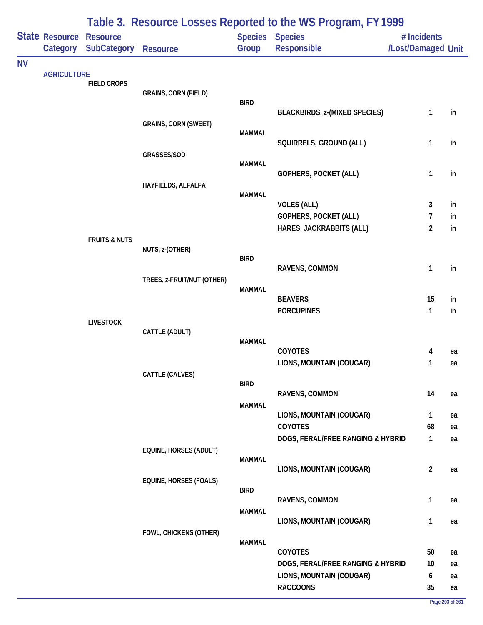|           | State Resource<br>Category | <b>Resource</b><br><b>SubCategory</b> | <b>Resource</b>               | Group         | <b>Table 3. Resource Losses Reported to the WST Togram, LTT777</b><br><b>Species Species</b><br>Responsible | # Incidents<br>/Lost/Damaged Unit |          |
|-----------|----------------------------|---------------------------------------|-------------------------------|---------------|-------------------------------------------------------------------------------------------------------------|-----------------------------------|----------|
| <b>NV</b> |                            |                                       |                               |               |                                                                                                             |                                   |          |
|           | <b>AGRICULTURE</b>         | <b>FIELD CROPS</b>                    |                               |               |                                                                                                             |                                   |          |
|           |                            |                                       | <b>GRAINS, CORN (FIELD)</b>   |               |                                                                                                             |                                   |          |
|           |                            |                                       |                               | <b>BIRD</b>   | <b>BLACKBIRDS, z-(MIXED SPECIES)</b>                                                                        | 1                                 | in       |
|           |                            |                                       | <b>GRAINS, CORN (SWEET)</b>   |               |                                                                                                             |                                   |          |
|           |                            |                                       |                               | <b>MAMMAL</b> |                                                                                                             |                                   |          |
|           |                            |                                       |                               |               | SQUIRRELS, GROUND (ALL)                                                                                     | 1                                 | in       |
|           |                            |                                       | GRASSES/SOD                   | <b>MAMMAL</b> |                                                                                                             |                                   |          |
|           |                            |                                       |                               |               | GOPHERS, POCKET (ALL)                                                                                       | $\mathbf{1}$                      | in       |
|           |                            |                                       | HAYFIELDS, ALFALFA            |               |                                                                                                             |                                   |          |
|           |                            |                                       |                               | <b>MAMMAL</b> | <b>VOLES (ALL)</b>                                                                                          | $\mathbf{3}$                      | in       |
|           |                            |                                       |                               |               | GOPHERS, POCKET (ALL)                                                                                       | $\overline{7}$                    | in       |
|           |                            |                                       |                               |               | HARES, JACKRABBITS (ALL)                                                                                    | $\overline{2}$                    | in       |
|           |                            | <b>FRUITS &amp; NUTS</b>              |                               |               |                                                                                                             |                                   |          |
|           |                            |                                       | NUTS, z-(OTHER)               |               |                                                                                                             |                                   |          |
|           |                            |                                       |                               | <b>BIRD</b>   | RAVENS, COMMON                                                                                              | $\mathbf{1}$                      | in       |
|           |                            |                                       | TREES, z-FRUIT/NUT (OTHER)    |               |                                                                                                             |                                   |          |
|           |                            |                                       |                               | <b>MAMMAL</b> |                                                                                                             |                                   |          |
|           |                            |                                       |                               |               | <b>BEAVERS</b>                                                                                              | 15                                | in       |
|           |                            | <b>LIVESTOCK</b>                      |                               |               | <b>PORCUPINES</b>                                                                                           | $\mathbf{1}$                      | in       |
|           |                            |                                       | CATTLE (ADULT)                |               |                                                                                                             |                                   |          |
|           |                            |                                       |                               | <b>MAMMAL</b> |                                                                                                             |                                   |          |
|           |                            |                                       |                               |               | COYOTES                                                                                                     | 4                                 | ea       |
|           |                            |                                       | CATTLE (CALVES)               |               | LIONS, MOUNTAIN (COUGAR)                                                                                    | 1                                 | ea       |
|           |                            |                                       |                               | <b>BIRD</b>   |                                                                                                             |                                   |          |
|           |                            |                                       |                               |               | RAVENS, COMMON                                                                                              | 14                                | ea       |
|           |                            |                                       |                               | <b>MAMMAL</b> |                                                                                                             |                                   |          |
|           |                            |                                       |                               |               | LIONS, MOUNTAIN (COUGAR)<br>COYOTES                                                                         | $\mathbf{1}$<br>68                | ea<br>ea |
|           |                            |                                       |                               |               | DOGS, FERAL/FREE RANGING & HYBRID                                                                           | $\mathbf{1}$                      | ea       |
|           |                            |                                       | EQUINE, HORSES (ADULT)        |               |                                                                                                             |                                   |          |
|           |                            |                                       |                               | <b>MAMMAL</b> |                                                                                                             |                                   |          |
|           |                            |                                       |                               |               | LIONS, MOUNTAIN (COUGAR)                                                                                    | $\overline{2}$                    | ea       |
|           |                            |                                       | <b>EQUINE, HORSES (FOALS)</b> | <b>BIRD</b>   |                                                                                                             |                                   |          |
|           |                            |                                       |                               |               | RAVENS, COMMON                                                                                              | $\mathbf{1}$                      | ea       |
|           |                            |                                       |                               | <b>MAMMAL</b> |                                                                                                             |                                   |          |
|           |                            |                                       |                               |               | LIONS, MOUNTAIN (COUGAR)                                                                                    | $\mathbf{1}$                      | ea       |
|           |                            |                                       | FOWL, CHICKENS (OTHER)        | <b>MAMMAL</b> |                                                                                                             |                                   |          |
|           |                            |                                       |                               |               | COYOTES                                                                                                     | 50                                | ea       |
|           |                            |                                       |                               |               | DOGS, FERAL/FREE RANGING & HYBRID                                                                           | 10                                | ea       |
|           |                            |                                       |                               |               | LIONS, MOUNTAIN (COUGAR)                                                                                    | 6                                 | ea       |
|           |                            |                                       |                               |               | <b>RACCOONS</b>                                                                                             | 35                                | ea       |

### **Table 3. Resource Losses Reported to the WS Program, FY 1999**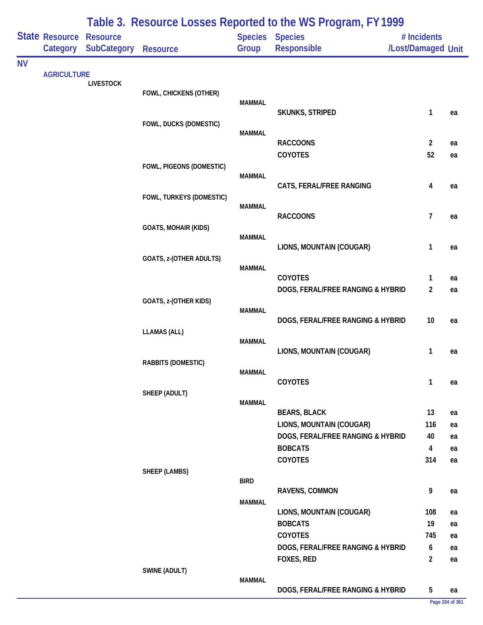|           |                            |                                       |                             |               | Table 3. Resource Losses Reported to the WS Program, FY 1999 |                                    |          |
|-----------|----------------------------|---------------------------------------|-----------------------------|---------------|--------------------------------------------------------------|------------------------------------|----------|
|           | State Resource<br>Category | <b>Resource</b><br><b>SubCategory</b> | <b>Resource</b>             | Group         | <b>Species Species</b><br>Responsible                        | # Incidents<br>/Lost/Damaged Unit  |          |
| <b>NV</b> |                            |                                       |                             |               |                                                              |                                    |          |
|           | <b>AGRICULTURE</b>         | <b>LIVESTOCK</b>                      |                             |               |                                                              |                                    |          |
|           |                            |                                       | FOWL, CHICKENS (OTHER)      | <b>MAMMAL</b> |                                                              |                                    |          |
|           |                            |                                       |                             |               | <b>SKUNKS, STRIPED</b>                                       | 1                                  | ea       |
|           |                            |                                       | FOWL, DUCKS (DOMESTIC)      | <b>MAMMAL</b> |                                                              |                                    |          |
|           |                            |                                       |                             |               | <b>RACCOONS</b>                                              | $\overline{2}$                     | ea       |
|           |                            |                                       |                             |               | COYOTES                                                      | 52                                 | ea       |
|           |                            |                                       | FOWL, PIGEONS (DOMESTIC)    |               |                                                              |                                    |          |
|           |                            |                                       |                             | <b>MAMMAL</b> | CATS, FERAL/FREE RANGING                                     | 4                                  | ea       |
|           |                            |                                       | FOWL, TURKEYS (DOMESTIC)    |               |                                                              |                                    |          |
|           |                            |                                       |                             | <b>MAMMAL</b> |                                                              |                                    |          |
|           |                            |                                       |                             |               | <b>RACCOONS</b>                                              | $\overline{7}$                     | ea       |
|           |                            |                                       | <b>GOATS, MOHAIR (KIDS)</b> | <b>MAMMAL</b> |                                                              |                                    |          |
|           |                            |                                       |                             |               | LIONS, MOUNTAIN (COUGAR)                                     | 1                                  | ea       |
|           |                            |                                       | GOATS, z-(OTHER ADULTS)     |               |                                                              |                                    |          |
|           |                            |                                       |                             | <b>MAMMAL</b> | <b>COYOTES</b>                                               | $\mathbf{1}$                       | ea       |
|           |                            |                                       |                             |               | DOGS, FERAL/FREE RANGING & HYBRID                            | $\overline{2}$                     | ea       |
|           |                            |                                       | GOATS, z-(OTHER KIDS)       |               |                                                              |                                    |          |
|           |                            |                                       |                             | <b>MAMMAL</b> |                                                              | 10                                 |          |
|           |                            |                                       | <b>LLAMAS (ALL)</b>         |               | DOGS, FERAL/FREE RANGING & HYBRID                            |                                    | ea       |
|           |                            |                                       |                             | <b>MAMMAL</b> |                                                              |                                    |          |
|           |                            |                                       |                             |               | LIONS, MOUNTAIN (COUGAR)                                     | $\mathbf{1}$                       | ea       |
|           |                            |                                       | RABBITS (DOMESTIC)          | <b>MAMMAL</b> |                                                              |                                    |          |
|           |                            |                                       |                             |               | <b>COYOTES</b>                                               | $\mathbf{1}$                       | ea       |
|           |                            |                                       | SHEEP (ADULT)               |               |                                                              |                                    |          |
|           |                            |                                       |                             | <b>MAMMAL</b> | <b>BEARS, BLACK</b>                                          | 13                                 | ea       |
|           |                            |                                       |                             |               | LIONS, MOUNTAIN (COUGAR)                                     | 116                                | ea       |
|           |                            |                                       |                             |               | DOGS, FERAL/FREE RANGING & HYBRID                            | 40                                 | ea       |
|           |                            |                                       |                             |               | <b>BOBCATS</b>                                               | $\overline{4}$                     | ea       |
|           |                            |                                       |                             |               | COYOTES                                                      | 314                                | ea       |
|           |                            |                                       | SHEEP (LAMBS)               | <b>BIRD</b>   |                                                              |                                    |          |
|           |                            |                                       |                             |               | RAVENS, COMMON                                               | 9                                  | ea       |
|           |                            |                                       |                             | <b>MAMMAL</b> |                                                              |                                    |          |
|           |                            |                                       |                             |               | LIONS, MOUNTAIN (COUGAR)                                     | 108                                | ea       |
|           |                            |                                       |                             |               | <b>BOBCATS</b>                                               | 19                                 | ea       |
|           |                            |                                       |                             |               | <b>COYOTES</b>                                               | 745                                | ea       |
|           |                            |                                       |                             |               | DOGS, FERAL/FREE RANGING & HYBRID<br>FOXES, RED              | $\boldsymbol{6}$<br>$\overline{2}$ | ea<br>ea |
|           |                            |                                       | SWINE (ADULT)               |               |                                                              |                                    |          |
|           |                            |                                       |                             | <b>MAMMAL</b> |                                                              |                                    |          |
|           |                            |                                       |                             |               | DOGS, FERAL/FREE RANGING & HYBRID                            | 5                                  | ea       |

### **Page 204 of 361**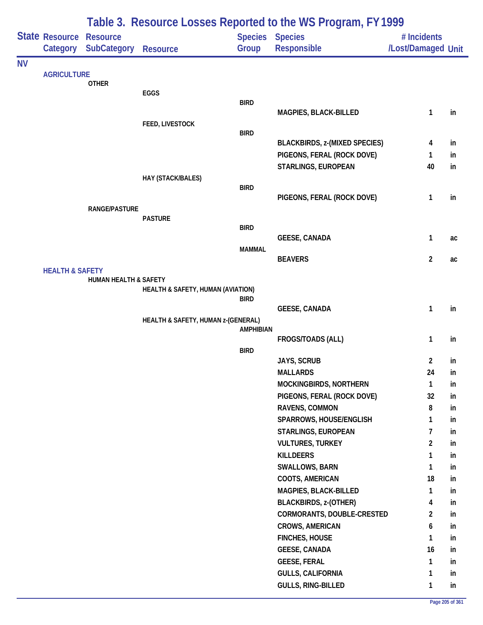| Table 3. Resource Losses Reported to the WS Program, FY 1999 |                                            |                                  |                                    |                          |                                           |                                   |          |
|--------------------------------------------------------------|--------------------------------------------|----------------------------------|------------------------------------|--------------------------|-------------------------------------------|-----------------------------------|----------|
|                                                              | <b>State Resource Resource</b><br>Category | <b>SubCategory</b>               | <b>Resource</b>                    | Species Species<br>Group | Responsible                               | # Incidents<br>/Lost/Damaged Unit |          |
| <b>NV</b>                                                    |                                            |                                  |                                    |                          |                                           |                                   |          |
|                                                              | <b>AGRICULTURE</b>                         | <b>OTHER</b>                     |                                    |                          |                                           |                                   |          |
|                                                              |                                            |                                  | EGGS                               |                          |                                           |                                   |          |
|                                                              |                                            |                                  |                                    | <b>BIRD</b>              |                                           |                                   |          |
|                                                              |                                            |                                  |                                    |                          | MAGPIES, BLACK-BILLED                     | 1                                 | in       |
|                                                              |                                            |                                  | FEED, LIVESTOCK                    | <b>BIRD</b>              |                                           |                                   |          |
|                                                              |                                            |                                  |                                    |                          | <b>BLACKBIRDS, z-(MIXED SPECIES)</b>      | 4                                 | in       |
|                                                              |                                            |                                  |                                    |                          | PIGEONS, FERAL (ROCK DOVE)                | $\mathbf{1}$                      | in       |
|                                                              |                                            |                                  |                                    |                          | STARLINGS, EUROPEAN                       | 40                                | in       |
|                                                              |                                            |                                  | HAY (STACK/BALES)                  |                          |                                           |                                   |          |
|                                                              |                                            |                                  |                                    | <b>BIRD</b>              | PIGEONS, FERAL (ROCK DOVE)                | $\mathbf{1}$                      | in       |
|                                                              |                                            | <b>RANGE/PASTURE</b>             |                                    |                          |                                           |                                   |          |
|                                                              |                                            |                                  | <b>PASTURE</b>                     |                          |                                           |                                   |          |
|                                                              |                                            |                                  |                                    | <b>BIRD</b>              |                                           |                                   |          |
|                                                              |                                            |                                  |                                    |                          | <b>GEESE, CANADA</b>                      | $\mathbf{1}$                      | ac       |
|                                                              |                                            |                                  |                                    | <b>MAMMAL</b>            | <b>BEAVERS</b>                            | $\overline{2}$                    | ac       |
|                                                              | <b>HEALTH &amp; SAFETY</b>                 |                                  |                                    |                          |                                           |                                   |          |
|                                                              |                                            | <b>HUMAN HEALTH &amp; SAFETY</b> |                                    |                          |                                           |                                   |          |
|                                                              |                                            |                                  | HEALTH & SAFETY, HUMAN (AVIATION)  |                          |                                           |                                   |          |
|                                                              |                                            |                                  |                                    | <b>BIRD</b>              |                                           | 1                                 | in       |
|                                                              |                                            |                                  | HEALTH & SAFETY, HUMAN z-(GENERAL) |                          | <b>GEESE, CANADA</b>                      |                                   |          |
|                                                              |                                            |                                  |                                    | <b>AMPHIBIAN</b>         |                                           |                                   |          |
|                                                              |                                            |                                  |                                    |                          | FROGS/TOADS (ALL)                         | $\mathbf{1}$                      | in       |
|                                                              |                                            |                                  |                                    | <b>BIRD</b>              |                                           |                                   |          |
|                                                              |                                            |                                  |                                    |                          | <b>JAYS, SCRUB</b>                        | $\overline{2}$                    | in       |
|                                                              |                                            |                                  |                                    |                          | <b>MALLARDS</b>                           | 24                                | in       |
|                                                              |                                            |                                  |                                    |                          | MOCKINGBIRDS, NORTHERN                    | $\mathbf{1}$                      | in       |
|                                                              |                                            |                                  |                                    |                          | PIGEONS, FERAL (ROCK DOVE)                | 32                                | in       |
|                                                              |                                            |                                  |                                    |                          | RAVENS, COMMON<br>SPARROWS, HOUSE/ENGLISH | 8                                 | in       |
|                                                              |                                            |                                  |                                    |                          | STARLINGS, EUROPEAN                       | 1<br>$\overline{7}$               | in<br>in |
|                                                              |                                            |                                  |                                    |                          | <b>VULTURES, TURKEY</b>                   | $\overline{2}$                    | in       |
|                                                              |                                            |                                  |                                    |                          | <b>KILLDEERS</b>                          | 1                                 | in       |
|                                                              |                                            |                                  |                                    |                          | <b>SWALLOWS, BARN</b>                     | $\mathbf{1}$                      | in       |
|                                                              |                                            |                                  |                                    |                          | COOTS, AMERICAN                           | 18                                | in       |
|                                                              |                                            |                                  |                                    |                          | MAGPIES, BLACK-BILLED                     | 1                                 | in       |
|                                                              |                                            |                                  |                                    |                          | <b>BLACKBIRDS, z-(OTHER)</b>              | 4                                 | in       |
|                                                              |                                            |                                  |                                    |                          | CORMORANTS, DOUBLE-CRESTED                | $\overline{2}$                    | in       |
|                                                              |                                            |                                  |                                    |                          | CROWS, AMERICAN                           | 6                                 | in       |
|                                                              |                                            |                                  |                                    |                          | FINCHES, HOUSE                            | 1                                 | in       |
|                                                              |                                            |                                  |                                    |                          | <b>GEESE, CANADA</b>                      | 16                                | in       |
|                                                              |                                            |                                  |                                    |                          | <b>GEESE, FERAL</b>                       | 1                                 | in       |
|                                                              |                                            |                                  |                                    |                          | <b>GULLS, CALIFORNIA</b>                  | $\mathbf{1}$                      | in       |
|                                                              |                                            |                                  |                                    |                          | GULLS, RING-BILLED                        | $\mathbf{1}$                      | in       |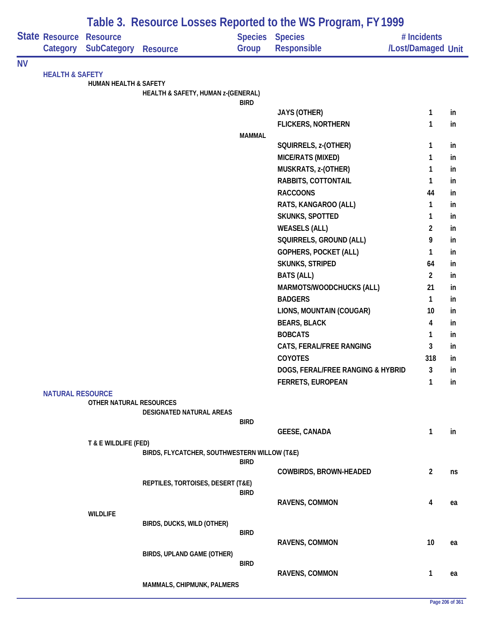|           |                            |                                       |                                              |                         | Table 3. Resource Losses Reported to the WS Program, FY 1999 |                                   |     |
|-----------|----------------------------|---------------------------------------|----------------------------------------------|-------------------------|--------------------------------------------------------------|-----------------------------------|-----|
|           | State Resource<br>Category | <b>Resource</b><br><b>SubCategory</b> | <b>Resource</b>                              | <b>Species</b><br>Group | <b>Species</b><br>Responsible                                | # Incidents<br>/Lost/Damaged Unit |     |
| <b>NV</b> |                            |                                       |                                              |                         |                                                              |                                   |     |
|           | <b>HEALTH &amp; SAFETY</b> | <b>HUMAN HEALTH &amp; SAFETY</b>      |                                              |                         |                                                              |                                   |     |
|           |                            |                                       | HEALTH & SAFETY, HUMAN z-(GENERAL)           |                         |                                                              |                                   |     |
|           |                            |                                       |                                              | <b>BIRD</b>             |                                                              |                                   |     |
|           |                            |                                       |                                              |                         | <b>JAYS (OTHER)</b>                                          | 1                                 | in  |
|           |                            |                                       |                                              | <b>MAMMAL</b>           | <b>FLICKERS, NORTHERN</b>                                    | 1                                 | in  |
|           |                            |                                       |                                              |                         | SQUIRRELS, z-(OTHER)                                         | 1                                 | in  |
|           |                            |                                       |                                              |                         | MICE/RATS (MIXED)                                            | 1                                 | in  |
|           |                            |                                       |                                              |                         | MUSKRATS, z-(OTHER)                                          | 1                                 | in  |
|           |                            |                                       |                                              |                         | RABBITS, COTTONTAIL                                          | 1                                 | in  |
|           |                            |                                       |                                              |                         | <b>RACCOONS</b>                                              | 44                                | in  |
|           |                            |                                       |                                              |                         | RATS, KANGAROO (ALL)                                         | 1                                 | in  |
|           |                            |                                       |                                              |                         | <b>SKUNKS, SPOTTED</b>                                       | 1                                 | in  |
|           |                            |                                       |                                              |                         | <b>WEASELS (ALL)</b>                                         | $\overline{c}$                    | in  |
|           |                            |                                       |                                              |                         | SQUIRRELS, GROUND (ALL)                                      | 9                                 | in  |
|           |                            |                                       |                                              |                         | GOPHERS, POCKET (ALL)                                        | 1                                 | in  |
|           |                            |                                       |                                              |                         | <b>SKUNKS, STRIPED</b>                                       | 64                                | in  |
|           |                            |                                       |                                              |                         | <b>BATS (ALL)</b>                                            | $\overline{2}$                    | in  |
|           |                            |                                       |                                              |                         | MARMOTS/WOODCHUCKS (ALL)                                     | 21                                | in  |
|           |                            |                                       |                                              |                         | <b>BADGERS</b>                                               | 1                                 | in  |
|           |                            |                                       |                                              |                         | LIONS, MOUNTAIN (COUGAR)                                     | 10                                | in  |
|           |                            |                                       |                                              |                         | <b>BEARS, BLACK</b>                                          | 4                                 | in  |
|           |                            |                                       |                                              |                         | <b>BOBCATS</b>                                               | 1                                 | in  |
|           |                            |                                       |                                              |                         | CATS, FERAL/FREE RANGING                                     | 3                                 | in  |
|           |                            |                                       |                                              |                         | <b>COYOTES</b>                                               | 318                               | in  |
|           |                            |                                       |                                              |                         | DOGS, FERAL/FREE RANGING & HYBRID                            | 3                                 | In. |
|           |                            |                                       |                                              |                         | <b>FERRETS, EUROPEAN</b>                                     | 1                                 | in  |
|           | <b>NATURAL RESOURCE</b>    | OTHER NATURAL RESOURCES               |                                              |                         |                                                              |                                   |     |
|           |                            |                                       | DESIGNATED NATURAL AREAS                     |                         |                                                              |                                   |     |
|           |                            |                                       |                                              | <b>BIRD</b>             |                                                              |                                   |     |
|           |                            |                                       |                                              |                         | <b>GEESE, CANADA</b>                                         | 1                                 | in  |
|           |                            | T & E WILDLIFE (FED)                  | BIRDS, FLYCATCHER, SOUTHWESTERN WILLOW (T&E) |                         |                                                              |                                   |     |
|           |                            |                                       |                                              | <b>BIRD</b>             |                                                              |                                   |     |
|           |                            |                                       |                                              |                         | <b>COWBIRDS, BROWN-HEADED</b>                                | $\overline{2}$                    | ns  |
|           |                            |                                       | REPTILES, TORTOISES, DESERT (T&E)            |                         |                                                              |                                   |     |
|           |                            |                                       |                                              | <b>BIRD</b>             | <b>RAVENS, COMMON</b>                                        | 4                                 | ea  |
|           |                            | <b>WILDLIFE</b>                       |                                              |                         |                                                              |                                   |     |
|           |                            |                                       | BIRDS, DUCKS, WILD (OTHER)                   |                         |                                                              |                                   |     |
|           |                            |                                       |                                              | <b>BIRD</b>             |                                                              |                                   |     |
|           |                            |                                       |                                              |                         | <b>RAVENS, COMMON</b>                                        | 10                                | ea  |
|           |                            |                                       | BIRDS, UPLAND GAME (OTHER)                   |                         |                                                              |                                   |     |
|           |                            |                                       |                                              | <b>BIRD</b>             | <b>RAVENS, COMMON</b>                                        | 1                                 | ea  |
|           |                            |                                       | MAMMALS, CHIPMUNK, PALMERS                   |                         |                                                              |                                   |     |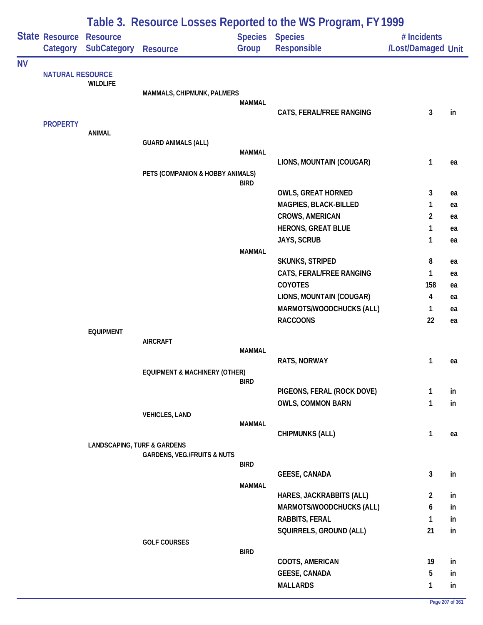|           |                            |                                        | Table 3. Resource Losses Reported to the WS Program, FY 1999 |                         |                                                        |                                   |          |  |
|-----------|----------------------------|----------------------------------------|--------------------------------------------------------------|-------------------------|--------------------------------------------------------|-----------------------------------|----------|--|
|           | State Resource<br>Category | <b>Resource</b><br><b>SubCategory</b>  | <b>Resource</b>                                              | <b>Species</b><br>Group | <b>Species</b><br>Responsible                          | # Incidents<br>/Lost/Damaged Unit |          |  |
| <b>NV</b> |                            |                                        |                                                              |                         |                                                        |                                   |          |  |
|           | <b>NATURAL RESOURCE</b>    | <b>WILDLIFE</b>                        | MAMMALS, CHIPMUNK, PALMERS                                   |                         |                                                        |                                   |          |  |
|           |                            |                                        |                                                              | <b>MAMMAL</b>           | CATS, FERAL/FREE RANGING                               | 3                                 | in       |  |
|           | <b>PROPERTY</b>            | <b>ANIMAL</b>                          |                                                              |                         |                                                        |                                   |          |  |
|           |                            |                                        | <b>GUARD ANIMALS (ALL)</b>                                   |                         |                                                        |                                   |          |  |
|           |                            |                                        |                                                              | <b>MAMMAL</b>           |                                                        |                                   |          |  |
|           |                            |                                        | PETS (COMPANION & HOBBY ANIMALS)                             |                         | LIONS, MOUNTAIN (COUGAR)                               | 1                                 | ea       |  |
|           |                            |                                        |                                                              | <b>BIRD</b>             |                                                        |                                   |          |  |
|           |                            |                                        |                                                              |                         | <b>OWLS, GREAT HORNED</b>                              | 3                                 | ea       |  |
|           |                            |                                        |                                                              |                         | MAGPIES, BLACK-BILLED                                  | 1                                 | ea       |  |
|           |                            |                                        |                                                              |                         | <b>CROWS, AMERICAN</b>                                 | $\overline{\mathbf{c}}$           | ea       |  |
|           |                            |                                        |                                                              |                         | <b>HERONS, GREAT BLUE</b>                              | 1                                 | ea       |  |
|           |                            |                                        |                                                              |                         | JAYS, SCRUB                                            | 1                                 | ea       |  |
|           |                            |                                        |                                                              | <b>MAMMAL</b>           | SKUNKS, STRIPED                                        | 8                                 | ea       |  |
|           |                            |                                        |                                                              |                         | CATS, FERAL/FREE RANGING                               | 1                                 | ea       |  |
|           |                            |                                        |                                                              |                         | COYOTES                                                | 158                               | ea       |  |
|           |                            |                                        |                                                              |                         | LIONS, MOUNTAIN (COUGAR)                               | 4                                 | ea       |  |
|           |                            |                                        |                                                              |                         | MARMOTS/WOODCHUCKS (ALL)                               | 1                                 | ea       |  |
|           |                            |                                        |                                                              |                         | <b>RACCOONS</b>                                        | 22                                | ea       |  |
|           |                            | <b>EQUIPMENT</b>                       |                                                              |                         |                                                        |                                   |          |  |
|           |                            |                                        | <b>AIRCRAFT</b>                                              | <b>MAMMAL</b>           |                                                        |                                   |          |  |
|           |                            |                                        |                                                              |                         | RATS, NORWAY                                           | 1                                 | ea       |  |
|           |                            |                                        | <b>EQUIPMENT &amp; MACHINERY (OTHER)</b>                     |                         |                                                        |                                   |          |  |
|           |                            |                                        |                                                              | <b>BIRD</b>             |                                                        |                                   |          |  |
|           |                            |                                        |                                                              |                         | PIGEONS, FERAL (ROCK DOVE)<br><b>OWLS, COMMON BARN</b> | 1<br>1                            | in<br>in |  |
|           |                            |                                        | <b>VEHICLES, LAND</b>                                        |                         |                                                        |                                   |          |  |
|           |                            |                                        |                                                              | <b>MAMMAL</b>           |                                                        |                                   |          |  |
|           |                            |                                        |                                                              |                         | <b>CHIPMUNKS (ALL)</b>                                 | $\mathbf{1}$                      | ea       |  |
|           |                            | <b>LANDSCAPING, TURF &amp; GARDENS</b> |                                                              |                         |                                                        |                                   |          |  |
|           |                            |                                        | <b>GARDENS, VEG./FRUITS &amp; NUTS</b>                       | <b>BIRD</b>             |                                                        |                                   |          |  |
|           |                            |                                        |                                                              |                         | <b>GEESE, CANADA</b>                                   | 3                                 | in       |  |
|           |                            |                                        |                                                              | <b>MAMMAL</b>           |                                                        |                                   |          |  |
|           |                            |                                        |                                                              |                         | HARES, JACKRABBITS (ALL)                               | $\overline{2}$                    | in       |  |
|           |                            |                                        |                                                              |                         | MARMOTS/WOODCHUCKS (ALL)                               | 6                                 | in       |  |
|           |                            |                                        |                                                              |                         | RABBITS, FERAL                                         | 1                                 | in       |  |
|           |                            |                                        | <b>GOLF COURSES</b>                                          |                         | SQUIRRELS, GROUND (ALL)                                | 21                                | in       |  |
|           |                            |                                        |                                                              | <b>BIRD</b>             |                                                        |                                   |          |  |
|           |                            |                                        |                                                              |                         | COOTS, AMERICAN                                        | 19                                | in       |  |
|           |                            |                                        |                                                              |                         | <b>GEESE, CANADA</b>                                   | 5                                 | in       |  |
|           |                            |                                        |                                                              |                         | <b>MALLARDS</b>                                        | 1                                 | in       |  |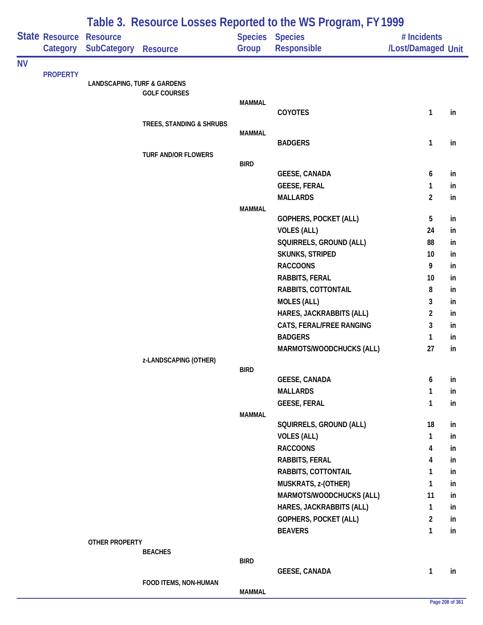|           |                            |                                        |                            |               | Table 3. Resource Losses Reported to the WS Program, FY 1999 |                                   |          |
|-----------|----------------------------|----------------------------------------|----------------------------|---------------|--------------------------------------------------------------|-----------------------------------|----------|
|           | State Resource<br>Category | <b>Resource</b><br>SubCategory         | <b>Resource</b>            | Group         | Species Species<br>Responsible                               | # Incidents<br>/Lost/Damaged Unit |          |
| <b>NV</b> |                            |                                        |                            |               |                                                              |                                   |          |
|           | <b>PROPERTY</b>            | <b>LANDSCAPING, TURF &amp; GARDENS</b> |                            |               |                                                              |                                   |          |
|           |                            |                                        | <b>GOLF COURSES</b>        |               |                                                              |                                   |          |
|           |                            |                                        |                            | <b>MAMMAL</b> |                                                              |                                   |          |
|           |                            |                                        |                            |               | COYOTES                                                      | $\mathbf{1}$                      | in       |
|           |                            |                                        | TREES, STANDING & SHRUBS   |               |                                                              |                                   |          |
|           |                            |                                        |                            | <b>MAMMAL</b> | <b>BADGERS</b>                                               | $\mathbf{1}$                      | in       |
|           |                            |                                        | <b>TURF AND/OR FLOWERS</b> |               |                                                              |                                   |          |
|           |                            |                                        |                            | <b>BIRD</b>   |                                                              |                                   |          |
|           |                            |                                        |                            |               | <b>GEESE, CANADA</b>                                         | 6                                 | in       |
|           |                            |                                        |                            |               | <b>GEESE, FERAL</b>                                          | $\mathbf{1}$                      | in       |
|           |                            |                                        |                            |               | <b>MALLARDS</b>                                              | $\overline{2}$                    | in       |
|           |                            |                                        |                            | <b>MAMMAL</b> |                                                              |                                   |          |
|           |                            |                                        |                            |               | <b>GOPHERS, POCKET (ALL)</b>                                 | 5                                 | in       |
|           |                            |                                        |                            |               | <b>VOLES (ALL)</b>                                           | 24                                | in       |
|           |                            |                                        |                            |               | SQUIRRELS, GROUND (ALL)                                      | 88<br>10                          | in       |
|           |                            |                                        |                            |               | <b>SKUNKS, STRIPED</b><br><b>RACCOONS</b>                    | 9                                 | in<br>in |
|           |                            |                                        |                            |               | RABBITS, FERAL                                               | 10                                | in       |
|           |                            |                                        |                            |               | RABBITS, COTTONTAIL                                          | 8                                 | in       |
|           |                            |                                        |                            |               | <b>MOLES (ALL)</b>                                           | 3                                 | in       |
|           |                            |                                        |                            |               | HARES, JACKRABBITS (ALL)                                     | $\overline{2}$                    | in       |
|           |                            |                                        |                            |               | CATS, FERAL/FREE RANGING                                     | 3                                 | in       |
|           |                            |                                        |                            |               | <b>BADGERS</b>                                               | $\mathbf{1}$                      | in       |
|           |                            |                                        |                            |               | MARMOTS/WOODCHUCKS (ALL)                                     | 27                                | in       |
|           |                            |                                        | z-LANDSCAPING (OTHER)      |               |                                                              |                                   |          |
|           |                            |                                        |                            | <b>BIRD</b>   |                                                              |                                   |          |
|           |                            |                                        |                            |               | <b>GEESE, CANADA</b>                                         | 6                                 | in       |
|           |                            |                                        |                            |               | <b>MALLARDS</b>                                              | $\mathbf{1}$                      | in       |
|           |                            |                                        |                            |               | <b>GEESE, FERAL</b>                                          | $\mathbf{1}$                      | in       |
|           |                            |                                        |                            | <b>MAMMAL</b> |                                                              |                                   |          |
|           |                            |                                        |                            |               | SQUIRRELS, GROUND (ALL)                                      | 18                                | in       |
|           |                            |                                        |                            |               | <b>VOLES (ALL)</b>                                           | $\mathbf{1}$                      | in       |
|           |                            |                                        |                            |               | <b>RACCOONS</b>                                              | 4                                 | in       |
|           |                            |                                        |                            |               | <b>RABBITS, FERAL</b><br>RABBITS, COTTONTAIL                 | 4<br>1                            | in       |
|           |                            |                                        |                            |               | MUSKRATS, z-(OTHER)                                          | $\mathbf{1}$                      | in<br>in |
|           |                            |                                        |                            |               | MARMOTS/WOODCHUCKS (ALL)                                     | 11                                | in       |
|           |                            |                                        |                            |               | HARES, JACKRABBITS (ALL)                                     | $\mathbf{1}$                      | in       |
|           |                            |                                        |                            |               | GOPHERS, POCKET (ALL)                                        | $\overline{2}$                    | in       |
|           |                            |                                        |                            |               | <b>BEAVERS</b>                                               | $\mathbf{1}$                      | in       |
|           |                            | <b>OTHER PROPERTY</b>                  |                            |               |                                                              |                                   |          |
|           |                            |                                        | <b>BEACHES</b>             |               |                                                              |                                   |          |
|           |                            |                                        |                            | <b>BIRD</b>   |                                                              |                                   |          |
|           |                            |                                        |                            |               | <b>GEESE, CANADA</b>                                         | $\mathbf{1}$                      | in       |
|           |                            |                                        | FOOD ITEMS, NON-HUMAN      | <b>MAMMAL</b> |                                                              |                                   |          |
|           |                            |                                        |                            |               |                                                              |                                   |          |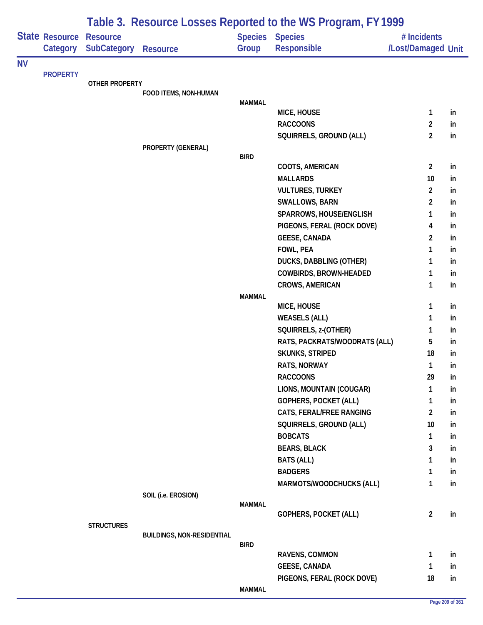|           |                            | Table 3. Resource Losses Reported to the WS Program, FY 1999 |                                   |               |                                |                                   |    |  |  |
|-----------|----------------------------|--------------------------------------------------------------|-----------------------------------|---------------|--------------------------------|-----------------------------------|----|--|--|
|           | State Resource<br>Category | <b>Resource</b><br>SubCategory                               | <b>Resource</b>                   | Group         | Species Species<br>Responsible | # Incidents<br>/Lost/Damaged Unit |    |  |  |
| <b>NV</b> |                            |                                                              |                                   |               |                                |                                   |    |  |  |
|           | <b>PROPERTY</b>            |                                                              |                                   |               |                                |                                   |    |  |  |
|           |                            | <b>OTHER PROPERTY</b>                                        | FOOD ITEMS, NON-HUMAN             |               |                                |                                   |    |  |  |
|           |                            |                                                              |                                   | <b>MAMMAL</b> |                                |                                   |    |  |  |
|           |                            |                                                              |                                   |               | MICE, HOUSE                    | 1                                 | in |  |  |
|           |                            |                                                              |                                   |               | <b>RACCOONS</b>                | 2                                 | in |  |  |
|           |                            |                                                              |                                   |               | SQUIRRELS, GROUND (ALL)        | $\overline{2}$                    | in |  |  |
|           |                            |                                                              | PROPERTY (GENERAL)                |               |                                |                                   |    |  |  |
|           |                            |                                                              |                                   | <b>BIRD</b>   | COOTS, AMERICAN                | $\overline{2}$                    | in |  |  |
|           |                            |                                                              |                                   |               | <b>MALLARDS</b>                | 10                                | in |  |  |
|           |                            |                                                              |                                   |               | <b>VULTURES, TURKEY</b>        | $\overline{2}$                    | in |  |  |
|           |                            |                                                              |                                   |               | SWALLOWS, BARN                 | $\overline{2}$                    | in |  |  |
|           |                            |                                                              |                                   |               | SPARROWS, HOUSE/ENGLISH        | 1                                 | in |  |  |
|           |                            |                                                              |                                   |               | PIGEONS, FERAL (ROCK DOVE)     | 4                                 | in |  |  |
|           |                            |                                                              |                                   |               | <b>GEESE, CANADA</b>           | 2                                 | in |  |  |
|           |                            |                                                              |                                   |               | FOWL, PEA                      | 1                                 | in |  |  |
|           |                            |                                                              |                                   |               | DUCKS, DABBLING (OTHER)        | 1                                 | in |  |  |
|           |                            |                                                              |                                   |               | COWBIRDS, BROWN-HEADED         | 1                                 | in |  |  |
|           |                            |                                                              |                                   |               | <b>CROWS, AMERICAN</b>         | 1                                 | in |  |  |
|           |                            |                                                              |                                   | <b>MAMMAL</b> |                                |                                   |    |  |  |
|           |                            |                                                              |                                   |               | MICE, HOUSE                    | 1                                 | in |  |  |
|           |                            |                                                              |                                   |               | <b>WEASELS (ALL)</b>           | 1                                 | in |  |  |
|           |                            |                                                              |                                   |               | SQUIRRELS, z-(OTHER)           | 1                                 | in |  |  |
|           |                            |                                                              |                                   |               | RATS, PACKRATS/WOODRATS (ALL)  | 5                                 | in |  |  |
|           |                            |                                                              |                                   |               | <b>SKUNKS, STRIPED</b>         | 18                                | in |  |  |
|           |                            |                                                              |                                   |               | <b>RATS, NORWAY</b>            | 1                                 | in |  |  |
|           |                            |                                                              |                                   |               | <b>RACCOONS</b>                | 29                                | in |  |  |
|           |                            |                                                              |                                   |               | LIONS, MOUNTAIN (COUGAR)       | 1                                 | in |  |  |
|           |                            |                                                              |                                   |               | GOPHERS, POCKET (ALL)          | 1                                 | in |  |  |
|           |                            |                                                              |                                   |               | CATS, FERAL/FREE RANGING       | $\overline{2}$                    | in |  |  |
|           |                            |                                                              |                                   |               | SQUIRRELS, GROUND (ALL)        | 10                                | in |  |  |
|           |                            |                                                              |                                   |               | <b>BOBCATS</b>                 | 1                                 | in |  |  |
|           |                            |                                                              |                                   |               | <b>BEARS, BLACK</b>            | 3                                 | in |  |  |
|           |                            |                                                              |                                   |               | <b>BATS (ALL)</b>              | 1                                 | in |  |  |
|           |                            |                                                              |                                   |               | <b>BADGERS</b>                 | 1                                 | in |  |  |
|           |                            |                                                              |                                   |               | MARMOTS/WOODCHUCKS (ALL)       | 1                                 | in |  |  |
|           |                            |                                                              | SOIL (i.e. EROSION)               | <b>MAMMAL</b> |                                |                                   |    |  |  |
|           |                            |                                                              |                                   |               | GOPHERS, POCKET (ALL)          | $\overline{2}$                    | in |  |  |
|           |                            | <b>STRUCTURES</b>                                            |                                   |               |                                |                                   |    |  |  |
|           |                            |                                                              | <b>BUILDINGS, NON-RESIDENTIAL</b> |               |                                |                                   |    |  |  |
|           |                            |                                                              |                                   | <b>BIRD</b>   |                                |                                   |    |  |  |
|           |                            |                                                              |                                   |               | RAVENS, COMMON                 | 1                                 | in |  |  |
|           |                            |                                                              |                                   |               | <b>GEESE, CANADA</b>           | 1                                 | in |  |  |
|           |                            |                                                              |                                   |               | PIGEONS, FERAL (ROCK DOVE)     | 18                                | in |  |  |
|           |                            |                                                              |                                   | <b>MAMMAL</b> |                                |                                   |    |  |  |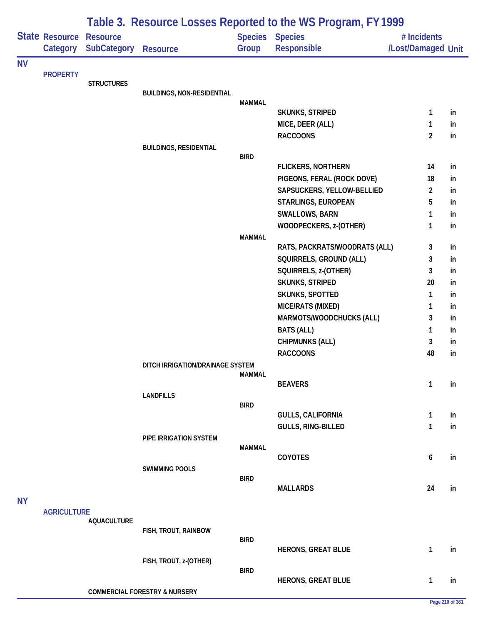|           |                                   |                                       |                                          |               | Table 3. Resource Losses Reported to the WS Program, FY 1999 |                                   |    |
|-----------|-----------------------------------|---------------------------------------|------------------------------------------|---------------|--------------------------------------------------------------|-----------------------------------|----|
|           | <b>State Resource</b><br>Category | <b>Resource</b><br><b>SubCategory</b> | <b>Resource</b>                          | Group         | <b>Species Species</b><br><b>Responsible</b>                 | # Incidents<br>/Lost/Damaged Unit |    |
| <b>NV</b> |                                   |                                       |                                          |               |                                                              |                                   |    |
|           | <b>PROPERTY</b>                   |                                       |                                          |               |                                                              |                                   |    |
|           |                                   | <b>STRUCTURES</b>                     | <b>BUILDINGS, NON-RESIDENTIAL</b>        |               |                                                              |                                   |    |
|           |                                   |                                       |                                          | <b>MAMMAL</b> |                                                              |                                   |    |
|           |                                   |                                       |                                          |               | SKUNKS, STRIPED                                              | 1                                 | in |
|           |                                   |                                       |                                          |               | MICE, DEER (ALL)                                             | 1                                 | in |
|           |                                   |                                       |                                          |               | <b>RACCOONS</b>                                              | $\overline{2}$                    | in |
|           |                                   |                                       | <b>BUILDINGS, RESIDENTIAL</b>            |               |                                                              |                                   |    |
|           |                                   |                                       |                                          | <b>BIRD</b>   | <b>FLICKERS, NORTHERN</b>                                    | 14                                | in |
|           |                                   |                                       |                                          |               | PIGEONS, FERAL (ROCK DOVE)                                   | 18                                | in |
|           |                                   |                                       |                                          |               | SAPSUCKERS, YELLOW-BELLIED                                   | $\overline{2}$                    | in |
|           |                                   |                                       |                                          |               | STARLINGS, EUROPEAN                                          | 5                                 | in |
|           |                                   |                                       |                                          |               | <b>SWALLOWS, BARN</b>                                        | 1                                 | in |
|           |                                   |                                       |                                          |               | WOODPECKERS, z-(OTHER)                                       | 1                                 | in |
|           |                                   |                                       |                                          | <b>MAMMAL</b> |                                                              |                                   |    |
|           |                                   |                                       |                                          |               | RATS, PACKRATS/WOODRATS (ALL)                                | 3                                 | in |
|           |                                   |                                       |                                          |               | SQUIRRELS, GROUND (ALL)                                      | 3                                 | in |
|           |                                   |                                       |                                          |               | SQUIRRELS, z-(OTHER)                                         | 3                                 | in |
|           |                                   |                                       |                                          |               | SKUNKS, STRIPED                                              | 20                                | in |
|           |                                   |                                       |                                          |               | SKUNKS, SPOTTED                                              | 1                                 | in |
|           |                                   |                                       |                                          |               | MICE/RATS (MIXED)                                            | 1                                 | in |
|           |                                   |                                       |                                          |               | MARMOTS/WOODCHUCKS (ALL)                                     | 3                                 | in |
|           |                                   |                                       |                                          |               | <b>BATS (ALL)</b>                                            | 1                                 | in |
|           |                                   |                                       |                                          |               | <b>CHIPMUNKS (ALL)</b>                                       | 3                                 | in |
|           |                                   |                                       |                                          |               | <b>RACCOONS</b>                                              | 48                                | in |
|           |                                   |                                       | DITCH IRRIGATION/DRAINAGE SYSTEM         |               |                                                              |                                   |    |
|           |                                   |                                       |                                          | <b>MAMMAL</b> |                                                              |                                   |    |
|           |                                   |                                       |                                          |               | <b>BEAVERS</b>                                               | 1                                 | in |
|           |                                   |                                       | <b>LANDFILLS</b>                         | <b>BIRD</b>   |                                                              |                                   |    |
|           |                                   |                                       |                                          |               | <b>GULLS, CALIFORNIA</b>                                     | 1                                 | in |
|           |                                   |                                       |                                          |               | GULLS, RING-BILLED                                           | 1                                 | in |
|           |                                   |                                       | PIPE IRRIGATION SYSTEM                   |               |                                                              |                                   |    |
|           |                                   |                                       |                                          | <b>MAMMAL</b> |                                                              |                                   |    |
|           |                                   |                                       |                                          |               | COYOTES                                                      | 6                                 | in |
|           |                                   |                                       | <b>SWIMMING POOLS</b>                    | <b>BIRD</b>   |                                                              |                                   |    |
|           |                                   |                                       |                                          |               | <b>MALLARDS</b>                                              | 24                                | in |
| <b>NY</b> |                                   |                                       |                                          |               |                                                              |                                   |    |
|           | <b>AGRICULTURE</b>                |                                       |                                          |               |                                                              |                                   |    |
|           |                                   | <b>AQUACULTURE</b>                    |                                          |               |                                                              |                                   |    |
|           |                                   |                                       | FISH, TROUT, RAINBOW                     |               |                                                              |                                   |    |
|           |                                   |                                       |                                          | <b>BIRD</b>   | <b>HERONS, GREAT BLUE</b>                                    | 1                                 | in |
|           |                                   |                                       | FISH, TROUT, z-(OTHER)                   |               |                                                              |                                   |    |
|           |                                   |                                       |                                          | <b>BIRD</b>   |                                                              |                                   |    |
|           |                                   |                                       |                                          |               | <b>HERONS, GREAT BLUE</b>                                    | 1                                 | in |
|           |                                   |                                       | <b>COMMERCIAL FORESTRY &amp; NURSERY</b> |               |                                                              |                                   |    |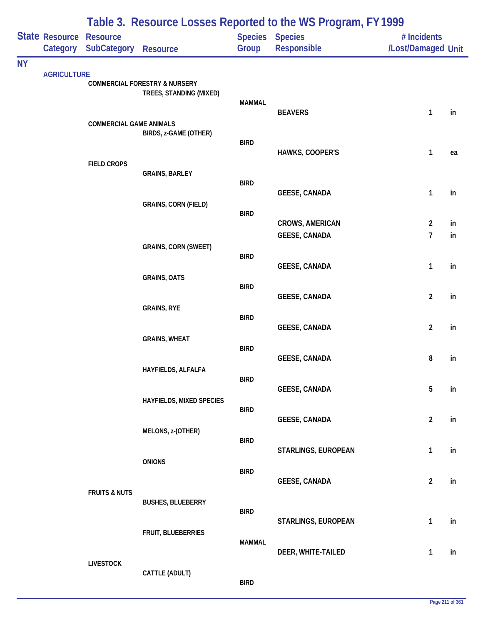|           |                            |                                       |                                                                     |               | Table 3. Resource Losses Reported to the WS Program, FY 1999 |                                   |    |
|-----------|----------------------------|---------------------------------------|---------------------------------------------------------------------|---------------|--------------------------------------------------------------|-----------------------------------|----|
|           | State Resource<br>Category | <b>Resource</b><br><b>SubCategory</b> | <b>Resource</b>                                                     | Group         | Species Species<br><b>Responsible</b>                        | # Incidents<br>/Lost/Damaged Unit |    |
| <b>NY</b> |                            |                                       |                                                                     |               |                                                              |                                   |    |
|           | <b>AGRICULTURE</b>         |                                       | <b>COMMERCIAL FORESTRY &amp; NURSERY</b><br>TREES, STANDING (MIXED) | <b>MAMMAL</b> |                                                              |                                   |    |
|           |                            |                                       |                                                                     |               | <b>BEAVERS</b>                                               | $\mathbf{1}$                      | in |
|           |                            | <b>COMMERCIAL GAME ANIMALS</b>        | BIRDS, z-GAME (OTHER)                                               |               |                                                              |                                   |    |
|           |                            |                                       |                                                                     | <b>BIRD</b>   | HAWKS, COOPER'S                                              | $\mathbf{1}$                      | ea |
|           |                            | <b>FIELD CROPS</b>                    |                                                                     |               |                                                              |                                   |    |
|           |                            |                                       | <b>GRAINS, BARLEY</b>                                               | <b>BIRD</b>   |                                                              |                                   |    |
|           |                            |                                       |                                                                     |               | <b>GEESE, CANADA</b>                                         | 1                                 | in |
|           |                            |                                       | <b>GRAINS, CORN (FIELD)</b>                                         | <b>BIRD</b>   |                                                              |                                   |    |
|           |                            |                                       |                                                                     |               | <b>CROWS, AMERICAN</b>                                       | $\overline{2}$                    | in |
|           |                            |                                       |                                                                     |               | <b>GEESE, CANADA</b>                                         | 7                                 | in |
|           |                            |                                       | <b>GRAINS, CORN (SWEET)</b>                                         | <b>BIRD</b>   |                                                              |                                   |    |
|           |                            |                                       |                                                                     |               | <b>GEESE, CANADA</b>                                         | $\mathbf{1}$                      | in |
|           |                            |                                       | <b>GRAINS, OATS</b>                                                 | <b>BIRD</b>   |                                                              |                                   |    |
|           |                            |                                       | <b>GRAINS, RYE</b>                                                  |               | <b>GEESE, CANADA</b>                                         | $\overline{\mathbf{c}}$           | in |
|           |                            |                                       |                                                                     | <b>BIRD</b>   |                                                              |                                   |    |
|           |                            |                                       | <b>GRAINS, WHEAT</b>                                                |               | <b>GEESE, CANADA</b>                                         | $\overline{\mathbf{c}}$           | in |
|           |                            |                                       |                                                                     | <b>BIRD</b>   |                                                              |                                   |    |
|           |                            |                                       | HAYFIELDS, ALFALFA                                                  |               | <b>GEESE, CANADA</b>                                         | 8                                 | in |
|           |                            |                                       |                                                                     | <b>BIRD</b>   |                                                              |                                   |    |
|           |                            |                                       | HAYFIELDS, MIXED SPECIES                                            |               | <b>GEESE, CANADA</b>                                         | 5                                 | in |
|           |                            |                                       |                                                                     | <b>BIRD</b>   |                                                              |                                   |    |
|           |                            |                                       | MELONS, z-(OTHER)                                                   |               | <b>GEESE, CANADA</b>                                         | $\overline{2}$                    | in |
|           |                            |                                       |                                                                     | <b>BIRD</b>   | STARLINGS, EUROPEAN                                          | $\mathbf{1}$                      | in |
|           |                            |                                       | <b>ONIONS</b>                                                       |               |                                                              |                                   |    |
|           |                            |                                       |                                                                     | <b>BIRD</b>   | <b>GEESE, CANADA</b>                                         | $\overline{2}$                    | in |
|           |                            | <b>FRUITS &amp; NUTS</b>              |                                                                     |               |                                                              |                                   |    |
|           |                            |                                       | <b>BUSHES, BLUEBERRY</b>                                            | <b>BIRD</b>   |                                                              |                                   |    |
|           |                            |                                       |                                                                     |               | STARLINGS, EUROPEAN                                          | $\mathbf{1}$                      | in |
|           |                            |                                       | FRUIT, BLUEBERRIES                                                  | <b>MAMMAL</b> |                                                              |                                   |    |
|           |                            |                                       |                                                                     |               | DEER, WHITE-TAILED                                           | $\mathbf{1}$                      | in |
|           |                            | <b>LIVESTOCK</b>                      | CATTLE (ADULT)                                                      |               |                                                              |                                   |    |
|           |                            |                                       |                                                                     | <b>BIRD</b>   |                                                              |                                   |    |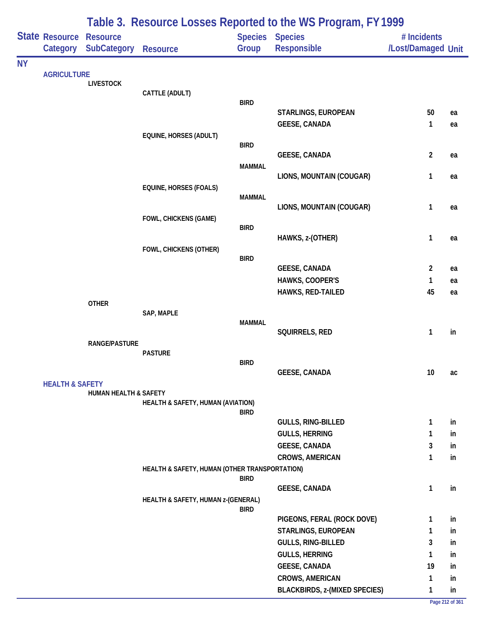|           |                            |                                       |                                               |               | Table 3. Resource Losses Reported to the WS Program, FY 1999 |                                   |          |
|-----------|----------------------------|---------------------------------------|-----------------------------------------------|---------------|--------------------------------------------------------------|-----------------------------------|----------|
|           | State Resource<br>Category | <b>Resource</b><br><b>SubCategory</b> | <b>Resource</b>                               | Group         | Species Species<br>Responsible                               | # Incidents<br>/Lost/Damaged Unit |          |
| <b>NY</b> |                            |                                       |                                               |               |                                                              |                                   |          |
|           | <b>AGRICULTURE</b>         | <b>LIVESTOCK</b>                      |                                               |               |                                                              |                                   |          |
|           |                            |                                       | CATTLE (ADULT)                                |               |                                                              |                                   |          |
|           |                            |                                       |                                               | <b>BIRD</b>   | STARLINGS, EUROPEAN                                          | 50                                |          |
|           |                            |                                       |                                               |               | <b>GEESE, CANADA</b>                                         | 1                                 | ea<br>ea |
|           |                            |                                       | EQUINE, HORSES (ADULT)                        |               |                                                              |                                   |          |
|           |                            |                                       |                                               | <b>BIRD</b>   |                                                              |                                   |          |
|           |                            |                                       |                                               |               | <b>GEESE, CANADA</b>                                         | $\overline{2}$                    | ea       |
|           |                            |                                       |                                               | <b>MAMMAL</b> | LIONS, MOUNTAIN (COUGAR)                                     | 1                                 | ea       |
|           |                            |                                       | <b>EQUINE, HORSES (FOALS)</b>                 |               |                                                              |                                   |          |
|           |                            |                                       |                                               | <b>MAMMAL</b> |                                                              |                                   |          |
|           |                            |                                       |                                               |               | LIONS, MOUNTAIN (COUGAR)                                     | 1                                 | ea       |
|           |                            |                                       | FOWL, CHICKENS (GAME)                         |               |                                                              |                                   |          |
|           |                            |                                       |                                               | <b>BIRD</b>   | HAWKS, z-(OTHER)                                             | 1                                 | ea       |
|           |                            |                                       | FOWL, CHICKENS (OTHER)                        |               |                                                              |                                   |          |
|           |                            |                                       |                                               | <b>BIRD</b>   |                                                              |                                   |          |
|           |                            |                                       |                                               |               | <b>GEESE, CANADA</b>                                         | 2                                 | ea       |
|           |                            |                                       |                                               |               | HAWKS, COOPER'S<br>HAWKS, RED-TAILED                         | 1<br>45                           | ea       |
|           |                            | <b>OTHER</b>                          |                                               |               |                                                              |                                   | ea       |
|           |                            |                                       | SAP, MAPLE                                    |               |                                                              |                                   |          |
|           |                            |                                       |                                               | <b>MAMMAL</b> |                                                              |                                   |          |
|           |                            | <b>RANGE/PASTURE</b>                  |                                               |               | SQUIRRELS, RED                                               | 1                                 | in       |
|           |                            |                                       | <b>PASTURE</b>                                |               |                                                              |                                   |          |
|           |                            |                                       |                                               | <b>BIRD</b>   |                                                              |                                   |          |
|           |                            |                                       |                                               |               | <b>GEESE, CANADA</b>                                         | $10\,$                            | ac       |
|           | <b>HEALTH &amp; SAFETY</b> | <b>HUMAN HEALTH &amp; SAFETY</b>      |                                               |               |                                                              |                                   |          |
|           |                            |                                       | HEALTH & SAFETY, HUMAN (AVIATION)             |               |                                                              |                                   |          |
|           |                            |                                       |                                               | <b>BIRD</b>   |                                                              |                                   |          |
|           |                            |                                       |                                               |               | <b>GULLS, RING-BILLED</b><br><b>GULLS, HERRING</b>           | 1<br>$\mathbf{1}$                 | in       |
|           |                            |                                       |                                               |               | <b>GEESE, CANADA</b>                                         | 3                                 | in<br>in |
|           |                            |                                       |                                               |               | CROWS, AMERICAN                                              | $\mathbf{1}$                      | in       |
|           |                            |                                       | HEALTH & SAFETY, HUMAN (OTHER TRANSPORTATION) |               |                                                              |                                   |          |
|           |                            |                                       |                                               | <b>BIRD</b>   |                                                              |                                   |          |
|           |                            |                                       |                                               |               | <b>GEESE, CANADA</b>                                         | $\mathbf{1}$                      | in       |
|           |                            |                                       | HEALTH & SAFETY, HUMAN z-(GENERAL)            | <b>BIRD</b>   |                                                              |                                   |          |
|           |                            |                                       |                                               |               | PIGEONS, FERAL (ROCK DOVE)                                   | 1                                 | in       |
|           |                            |                                       |                                               |               | STARLINGS, EUROPEAN                                          | 1                                 | in       |
|           |                            |                                       |                                               |               | GULLS, RING-BILLED                                           | 3                                 | in       |
|           |                            |                                       |                                               |               | <b>GULLS, HERRING</b>                                        | 1                                 | in       |
|           |                            |                                       |                                               |               | <b>GEESE, CANADA</b>                                         | 19                                | in       |
|           |                            |                                       |                                               |               | CROWS, AMERICAN                                              | 1                                 | in       |
|           |                            |                                       |                                               |               | <b>BLACKBIRDS, z-(MIXED SPECIES)</b>                         | 1                                 | in       |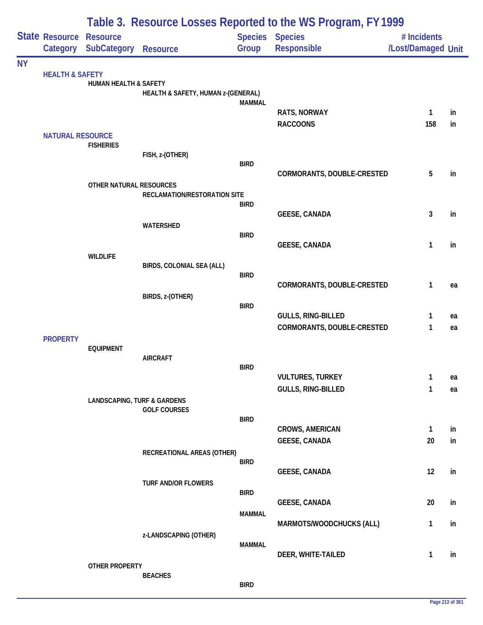|           |                            | Table 3. Resource Losses Reported to the WS Program, FY 1999 |                                    |               |                                                |                                   |          |  |  |
|-----------|----------------------------|--------------------------------------------------------------|------------------------------------|---------------|------------------------------------------------|-----------------------------------|----------|--|--|
|           | State Resource             | <b>Resource</b><br>Category SubCategory                      | <b>Resource</b>                    | Group         | <b>Species Species</b><br>Responsible          | # Incidents<br>/Lost/Damaged Unit |          |  |  |
| <b>NY</b> |                            |                                                              |                                    |               |                                                |                                   |          |  |  |
|           | <b>HEALTH &amp; SAFETY</b> | HUMAN HEALTH & SAFETY                                        | HEALTH & SAFETY, HUMAN z-(GENERAL) |               |                                                |                                   |          |  |  |
|           |                            |                                                              |                                    | <b>MAMMAL</b> | <b>RATS, NORWAY</b>                            | 1                                 | in       |  |  |
|           |                            |                                                              |                                    |               | <b>RACCOONS</b>                                | 158                               | in       |  |  |
|           | <b>NATURAL RESOURCE</b>    | <b>FISHERIES</b>                                             |                                    |               |                                                |                                   |          |  |  |
|           |                            |                                                              | FISH, z-(OTHER)                    |               |                                                |                                   |          |  |  |
|           |                            |                                                              |                                    | <b>BIRD</b>   | CORMORANTS, DOUBLE-CRESTED                     | 5                                 | in       |  |  |
|           |                            | OTHER NATURAL RESOURCES                                      |                                    |               |                                                |                                   |          |  |  |
|           |                            |                                                              | RECLAMATION/RESTORATION SITE       |               |                                                |                                   |          |  |  |
|           |                            |                                                              |                                    | <b>BIRD</b>   | <b>GEESE, CANADA</b>                           | 3                                 | in       |  |  |
|           |                            |                                                              | WATERSHED                          |               |                                                |                                   |          |  |  |
|           |                            |                                                              |                                    | <b>BIRD</b>   |                                                |                                   |          |  |  |
|           |                            | <b>WILDLIFE</b>                                              |                                    |               | <b>GEESE, CANADA</b>                           | 1                                 | in       |  |  |
|           |                            |                                                              | BIRDS, COLONIAL SEA (ALL)          |               |                                                |                                   |          |  |  |
|           |                            |                                                              |                                    | <b>BIRD</b>   |                                                |                                   |          |  |  |
|           |                            |                                                              | BIRDS, z-(OTHER)                   |               | CORMORANTS, DOUBLE-CRESTED                     | 1                                 | ea       |  |  |
|           |                            |                                                              |                                    | <b>BIRD</b>   |                                                |                                   |          |  |  |
|           |                            |                                                              |                                    |               | GULLS, RING-BILLED                             | 1                                 | ea       |  |  |
|           |                            |                                                              |                                    |               | CORMORANTS, DOUBLE-CRESTED                     | 1                                 | ea       |  |  |
|           | <b>PROPERTY</b>            | <b>EQUIPMENT</b>                                             |                                    |               |                                                |                                   |          |  |  |
|           |                            |                                                              | <b>AIRCRAFT</b>                    |               |                                                |                                   |          |  |  |
|           |                            |                                                              |                                    | <b>BIRD</b>   |                                                |                                   |          |  |  |
|           |                            |                                                              |                                    |               | <b>VULTURES, TURKEY</b><br>GULLS, RING-BILLED  | 1<br>1                            | ea<br>ea |  |  |
|           |                            | <b>LANDSCAPING, TURF &amp; GARDENS</b>                       | <b>GOLF COURSES</b>                |               |                                                |                                   |          |  |  |
|           |                            |                                                              |                                    | <b>BIRD</b>   |                                                |                                   |          |  |  |
|           |                            |                                                              |                                    |               | <b>CROWS, AMERICAN</b><br><b>GEESE, CANADA</b> | $\mathbf{1}$<br>20                | in<br>in |  |  |
|           |                            |                                                              | RECREATIONAL AREAS (OTHER)         |               |                                                |                                   |          |  |  |
|           |                            |                                                              |                                    | <b>BIRD</b>   |                                                |                                   |          |  |  |
|           |                            |                                                              |                                    |               | <b>GEESE, CANADA</b>                           | 12                                | in       |  |  |
|           |                            |                                                              | <b>TURF AND/OR FLOWERS</b>         | <b>BIRD</b>   |                                                |                                   |          |  |  |
|           |                            |                                                              |                                    |               | <b>GEESE, CANADA</b>                           | 20                                | in       |  |  |
|           |                            |                                                              |                                    | <b>MAMMAL</b> |                                                |                                   |          |  |  |
|           |                            |                                                              |                                    |               | MARMOTS/WOODCHUCKS (ALL)                       | $\mathbf{1}$                      | in       |  |  |
|           |                            |                                                              | z-LANDSCAPING (OTHER)              | <b>MAMMAL</b> |                                                |                                   |          |  |  |
|           |                            |                                                              |                                    |               | DEER, WHITE-TAILED                             | 1                                 | in       |  |  |
|           |                            | OTHER PROPERTY                                               |                                    |               |                                                |                                   |          |  |  |
|           |                            |                                                              | <b>BEACHES</b>                     | <b>BIRD</b>   |                                                |                                   |          |  |  |
|           |                            |                                                              |                                    |               |                                                |                                   |          |  |  |

÷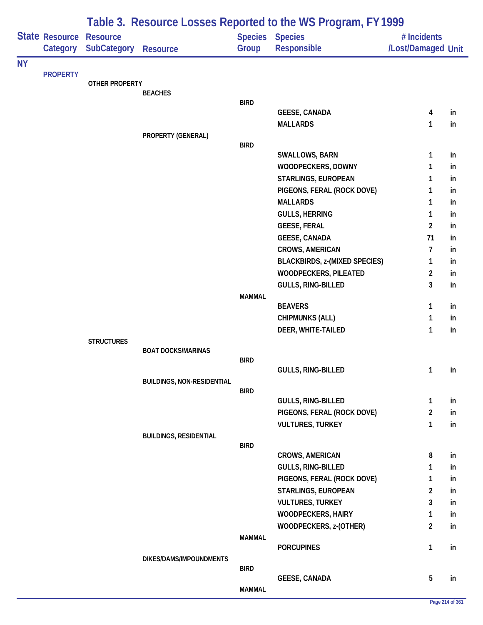|           |                            | Table 3. Resource Losses Reported to the WS Program, FY 1999 |                                   |               |                                      |                                   |    |  |  |
|-----------|----------------------------|--------------------------------------------------------------|-----------------------------------|---------------|--------------------------------------|-----------------------------------|----|--|--|
|           | State Resource<br>Category | <b>Resource</b><br><b>SubCategory</b>                        | <b>Resource</b>                   | Group         | Species Species<br>Responsible       | # Incidents<br>/Lost/Damaged Unit |    |  |  |
| <b>NY</b> |                            |                                                              |                                   |               |                                      |                                   |    |  |  |
|           | <b>PROPERTY</b>            | <b>OTHER PROPERTY</b>                                        |                                   |               |                                      |                                   |    |  |  |
|           |                            |                                                              | <b>BEACHES</b>                    |               |                                      |                                   |    |  |  |
|           |                            |                                                              |                                   | <b>BIRD</b>   |                                      |                                   |    |  |  |
|           |                            |                                                              |                                   |               | <b>GEESE, CANADA</b>                 | 4                                 | in |  |  |
|           |                            |                                                              |                                   |               | <b>MALLARDS</b>                      | 1                                 | in |  |  |
|           |                            |                                                              | PROPERTY (GENERAL)                | <b>BIRD</b>   |                                      |                                   |    |  |  |
|           |                            |                                                              |                                   |               | SWALLOWS, BARN                       | 1                                 | in |  |  |
|           |                            |                                                              |                                   |               | WOODPECKERS, DOWNY                   | 1                                 | in |  |  |
|           |                            |                                                              |                                   |               | STARLINGS, EUROPEAN                  | 1                                 | in |  |  |
|           |                            |                                                              |                                   |               | PIGEONS, FERAL (ROCK DOVE)           | 1                                 | in |  |  |
|           |                            |                                                              |                                   |               | <b>MALLARDS</b>                      | 1                                 | in |  |  |
|           |                            |                                                              |                                   |               | <b>GULLS, HERRING</b>                | $\mathbf{1}$                      | in |  |  |
|           |                            |                                                              |                                   |               | <b>GEESE, FERAL</b>                  | $\overline{2}$                    | in |  |  |
|           |                            |                                                              |                                   |               | <b>GEESE, CANADA</b>                 | 71                                | in |  |  |
|           |                            |                                                              |                                   |               | CROWS, AMERICAN                      | $\overline{7}$                    | in |  |  |
|           |                            |                                                              |                                   |               | <b>BLACKBIRDS, z-(MIXED SPECIES)</b> | 1                                 | in |  |  |
|           |                            |                                                              |                                   |               | <b>WOODPECKERS, PILEATED</b>         | $\overline{2}$                    | in |  |  |
|           |                            |                                                              |                                   |               | GULLS, RING-BILLED                   | 3                                 | in |  |  |
|           |                            |                                                              |                                   | <b>MAMMAL</b> |                                      |                                   |    |  |  |
|           |                            |                                                              |                                   |               | <b>BEAVERS</b>                       | 1                                 | in |  |  |
|           |                            |                                                              |                                   |               | <b>CHIPMUNKS (ALL)</b>               | 1                                 | in |  |  |
|           |                            |                                                              |                                   |               | DEER, WHITE-TAILED                   | $\mathbf{1}$                      | in |  |  |
|           |                            | <b>STRUCTURES</b>                                            |                                   |               |                                      |                                   |    |  |  |
|           |                            |                                                              | <b>BOAT DOCKS/MARINAS</b>         | <b>BIRD</b>   |                                      |                                   |    |  |  |
|           |                            |                                                              |                                   |               | GULLS, RING-BILLED                   | $\mathbf{1}$                      | in |  |  |
|           |                            |                                                              | <b>BUILDINGS, NON-RESIDENTIAL</b> |               |                                      |                                   |    |  |  |
|           |                            |                                                              |                                   | <b>BIRD</b>   |                                      |                                   |    |  |  |
|           |                            |                                                              |                                   |               | <b>GULLS, RING-BILLED</b>            | $\mathbf{1}$                      | in |  |  |
|           |                            |                                                              |                                   |               | PIGEONS, FERAL (ROCK DOVE)           | $\overline{2}$                    | in |  |  |
|           |                            |                                                              |                                   |               | <b>VULTURES, TURKEY</b>              | $\mathbf{1}$                      | in |  |  |
|           |                            |                                                              | <b>BUILDINGS, RESIDENTIAL</b>     |               |                                      |                                   |    |  |  |
|           |                            |                                                              |                                   | <b>BIRD</b>   | <b>CROWS, AMERICAN</b>               | 8                                 | in |  |  |
|           |                            |                                                              |                                   |               | <b>GULLS, RING-BILLED</b>            | 1                                 | in |  |  |
|           |                            |                                                              |                                   |               | PIGEONS, FERAL (ROCK DOVE)           | 1                                 | in |  |  |
|           |                            |                                                              |                                   |               | STARLINGS, EUROPEAN                  | $\overline{2}$                    | in |  |  |
|           |                            |                                                              |                                   |               | <b>VULTURES, TURKEY</b>              | 3                                 | in |  |  |
|           |                            |                                                              |                                   |               | <b>WOODPECKERS, HAIRY</b>            | 1                                 | in |  |  |
|           |                            |                                                              |                                   |               | WOODPECKERS, z-(OTHER)               | $\overline{2}$                    | in |  |  |
|           |                            |                                                              |                                   | MAMMAL        |                                      |                                   |    |  |  |
|           |                            |                                                              |                                   |               | <b>PORCUPINES</b>                    | $\mathbf{1}$                      | in |  |  |
|           |                            |                                                              | DIKES/DAMS/IMPOUNDMENTS           |               |                                      |                                   |    |  |  |
|           |                            |                                                              |                                   | <b>BIRD</b>   |                                      |                                   |    |  |  |
|           |                            |                                                              |                                   |               | <b>GEESE, CANADA</b>                 | 5                                 | in |  |  |
|           |                            |                                                              |                                   | <b>MAMMAL</b> |                                      |                                   |    |  |  |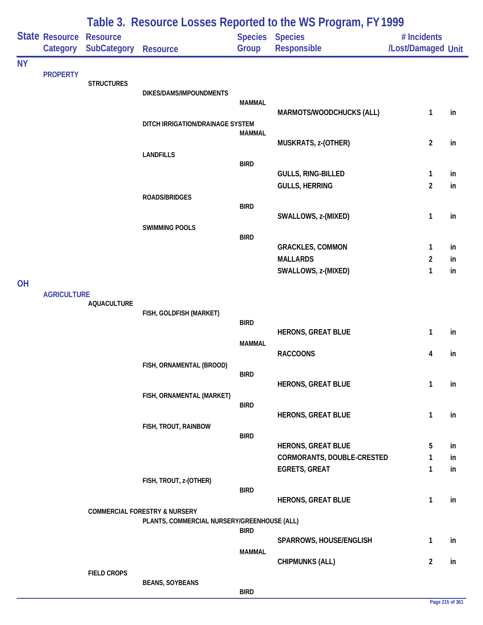|           |                                   | Table 3. Resource Losses Reported to the WS Program, FY 1999 |                                                                                         |               |                                |                                   |    |  |  |
|-----------|-----------------------------------|--------------------------------------------------------------|-----------------------------------------------------------------------------------------|---------------|--------------------------------|-----------------------------------|----|--|--|
|           | <b>State Resource</b><br>Category | <b>Resource</b><br><b>SubCategory</b>                        | <b>Resource</b>                                                                         | Group         | Species Species<br>Responsible | # Incidents<br>/Lost/Damaged Unit |    |  |  |
| <b>NY</b> |                                   |                                                              |                                                                                         |               |                                |                                   |    |  |  |
|           | <b>PROPERTY</b>                   | <b>STRUCTURES</b>                                            |                                                                                         |               |                                |                                   |    |  |  |
|           |                                   |                                                              | DIKES/DAMS/IMPOUNDMENTS                                                                 |               |                                |                                   |    |  |  |
|           |                                   |                                                              |                                                                                         | <b>MAMMAL</b> | MARMOTS/WOODCHUCKS (ALL)       | 1                                 | in |  |  |
|           |                                   |                                                              | DITCH IRRIGATION/DRAINAGE SYSTEM                                                        |               |                                |                                   |    |  |  |
|           |                                   |                                                              |                                                                                         | <b>MAMMAL</b> | MUSKRATS, z-(OTHER)            | $\overline{c}$                    | in |  |  |
|           |                                   |                                                              | <b>LANDFILLS</b>                                                                        |               |                                |                                   |    |  |  |
|           |                                   |                                                              |                                                                                         | <b>BIRD</b>   |                                |                                   |    |  |  |
|           |                                   |                                                              |                                                                                         |               | GULLS, RING-BILLED             | 1                                 | in |  |  |
|           |                                   |                                                              | <b>ROADS/BRIDGES</b>                                                                    |               | <b>GULLS, HERRING</b>          | $\overline{c}$                    | in |  |  |
|           |                                   |                                                              |                                                                                         | <b>BIRD</b>   |                                |                                   |    |  |  |
|           |                                   |                                                              |                                                                                         |               | SWALLOWS, z-(MIXED)            | 1                                 | in |  |  |
|           |                                   |                                                              | <b>SWIMMING POOLS</b>                                                                   | <b>BIRD</b>   |                                |                                   |    |  |  |
|           |                                   |                                                              |                                                                                         |               | <b>GRACKLES, COMMON</b>        | 1                                 | in |  |  |
|           |                                   |                                                              |                                                                                         |               | <b>MALLARDS</b>                | 2                                 | in |  |  |
| <b>OH</b> |                                   |                                                              |                                                                                         |               | SWALLOWS, z-(MIXED)            | 1                                 | in |  |  |
|           | <b>AGRICULTURE</b>                |                                                              |                                                                                         |               |                                |                                   |    |  |  |
|           |                                   | <b>AQUACULTURE</b>                                           |                                                                                         |               |                                |                                   |    |  |  |
|           |                                   |                                                              | FISH, GOLDFISH (MARKET)                                                                 | <b>BIRD</b>   |                                |                                   |    |  |  |
|           |                                   |                                                              |                                                                                         |               | <b>HERONS, GREAT BLUE</b>      | 1                                 | in |  |  |
|           |                                   |                                                              |                                                                                         | <b>MAMMAL</b> | <b>RACCOONS</b>                | 4                                 | in |  |  |
|           |                                   |                                                              | FISH, ORNAMENTAL (BROOD)                                                                |               |                                |                                   |    |  |  |
|           |                                   |                                                              |                                                                                         | <b>BIRD</b>   |                                |                                   |    |  |  |
|           |                                   |                                                              | FISH, ORNAMENTAL (MARKET)                                                               |               | <b>HERONS, GREAT BLUE</b>      | 1                                 | in |  |  |
|           |                                   |                                                              |                                                                                         | <b>BIRD</b>   |                                |                                   |    |  |  |
|           |                                   |                                                              |                                                                                         |               | <b>HERONS, GREAT BLUE</b>      | 1                                 | in |  |  |
|           |                                   |                                                              | FISH, TROUT, RAINBOW                                                                    | <b>BIRD</b>   |                                |                                   |    |  |  |
|           |                                   |                                                              |                                                                                         |               | <b>HERONS, GREAT BLUE</b>      | 5                                 | in |  |  |
|           |                                   |                                                              |                                                                                         |               | CORMORANTS, DOUBLE-CRESTED     | 1                                 | in |  |  |
|           |                                   |                                                              | FISH, TROUT, z-(OTHER)                                                                  |               | <b>EGRETS, GREAT</b>           | 1                                 | in |  |  |
|           |                                   |                                                              |                                                                                         | <b>BIRD</b>   |                                |                                   |    |  |  |
|           |                                   |                                                              |                                                                                         |               | <b>HERONS, GREAT BLUE</b>      | 1                                 | in |  |  |
|           |                                   |                                                              | <b>COMMERCIAL FORESTRY &amp; NURSERY</b><br>PLANTS, COMMERCIAL NURSERY/GREENHOUSE (ALL) |               |                                |                                   |    |  |  |
|           |                                   |                                                              |                                                                                         | <b>BIRD</b>   |                                |                                   |    |  |  |
|           |                                   |                                                              |                                                                                         | <b>MAMMAL</b> | SPARROWS, HOUSE/ENGLISH        | 1                                 | in |  |  |
|           |                                   |                                                              |                                                                                         |               | <b>CHIPMUNKS (ALL)</b>         | $\overline{2}$                    | in |  |  |
|           |                                   | <b>FIELD CROPS</b>                                           |                                                                                         |               |                                |                                   |    |  |  |
|           |                                   |                                                              | <b>BEANS, SOYBEANS</b>                                                                  | <b>BIRD</b>   |                                |                                   |    |  |  |

### **Page 215 of 361**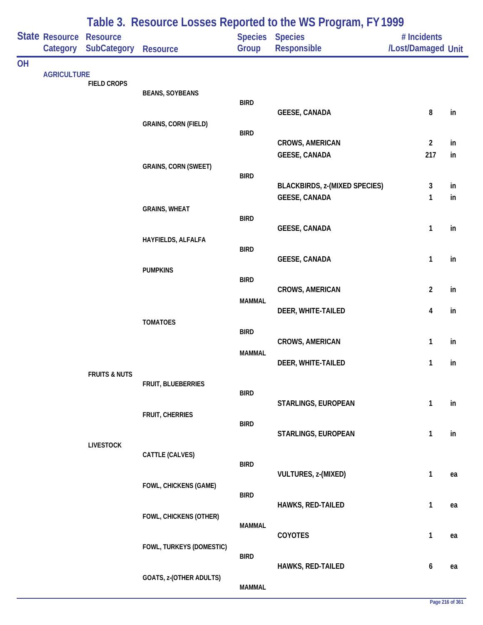|           | Category           | State Resource Resource<br><b>SubCategory</b> | Resource                     | Group         | Table J. Resource Losses Reported to the WST rogram, ITT777<br>Species Species<br>Responsible | # Incidents<br>/Lost/Damaged Unit |    |
|-----------|--------------------|-----------------------------------------------|------------------------------|---------------|-----------------------------------------------------------------------------------------------|-----------------------------------|----|
| <b>OH</b> |                    |                                               |                              |               |                                                                                               |                                   |    |
|           | <b>AGRICULTURE</b> | <b>FIELD CROPS</b>                            |                              |               |                                                                                               |                                   |    |
|           |                    |                                               | <b>BEANS, SOYBEANS</b>       | <b>BIRD</b>   |                                                                                               |                                   |    |
|           |                    |                                               |                              |               | <b>GEESE, CANADA</b>                                                                          | 8                                 | in |
|           |                    |                                               | <b>GRAINS, CORN (FIELD)</b>  | <b>BIRD</b>   |                                                                                               |                                   |    |
|           |                    |                                               |                              |               | <b>CROWS, AMERICAN</b>                                                                        | $\overline{2}$                    | in |
|           |                    |                                               |                              |               | <b>GEESE, CANADA</b>                                                                          | 217                               | in |
|           |                    |                                               | <b>GRAINS, CORN (SWEET)</b>  | <b>BIRD</b>   |                                                                                               |                                   |    |
|           |                    |                                               |                              |               | <b>BLACKBIRDS, z-(MIXED SPECIES)</b>                                                          | 3                                 | in |
|           |                    |                                               | <b>GRAINS, WHEAT</b>         |               | <b>GEESE, CANADA</b>                                                                          | 1                                 | in |
|           |                    |                                               |                              | <b>BIRD</b>   |                                                                                               |                                   |    |
|           |                    |                                               |                              |               | <b>GEESE, CANADA</b>                                                                          | $\mathbf{1}$                      | in |
|           |                    |                                               | HAYFIELDS, ALFALFA           | <b>BIRD</b>   |                                                                                               |                                   |    |
|           |                    |                                               |                              |               | <b>GEESE, CANADA</b>                                                                          | $\mathbf{1}$                      | in |
|           |                    |                                               | <b>PUMPKINS</b>              | <b>BIRD</b>   |                                                                                               |                                   |    |
|           |                    |                                               |                              |               | CROWS, AMERICAN                                                                               | $\overline{2}$                    | in |
|           |                    |                                               |                              | <b>MAMMAL</b> | DEER, WHITE-TAILED                                                                            | 4                                 | in |
|           |                    |                                               | <b>TOMATOES</b>              |               |                                                                                               |                                   |    |
|           |                    |                                               |                              | <b>BIRD</b>   | <b>CROWS, AMERICAN</b>                                                                        | $\mathbf{1}$                      | in |
|           |                    |                                               |                              | <b>MAMMAL</b> |                                                                                               |                                   |    |
|           |                    | <b>FRUITS &amp; NUTS</b>                      |                              |               | DEER, WHITE-TAILED                                                                            | 1                                 | in |
|           |                    |                                               | FRUIT, BLUEBERRIES           |               |                                                                                               |                                   |    |
|           |                    |                                               |                              | <b>BIRD</b>   | STARLINGS, EUROPEAN                                                                           | 1                                 | in |
|           |                    |                                               | FRUIT, CHERRIES              |               |                                                                                               |                                   |    |
|           |                    |                                               |                              | <b>BIRD</b>   | STARLINGS, EUROPEAN                                                                           | 1                                 | in |
|           |                    | <b>LIVESTOCK</b>                              |                              |               |                                                                                               |                                   |    |
|           |                    |                                               | CATTLE (CALVES)              | <b>BIRD</b>   |                                                                                               |                                   |    |
|           |                    |                                               |                              |               | VULTURES, z-(MIXED)                                                                           | $\mathbf{1}$                      | ea |
|           |                    |                                               | <b>FOWL, CHICKENS (GAME)</b> | <b>BIRD</b>   |                                                                                               |                                   |    |
|           |                    |                                               |                              |               | HAWKS, RED-TAILED                                                                             | $\mathbf{1}$                      | ea |
|           |                    |                                               | FOWL, CHICKENS (OTHER)       | <b>MAMMAL</b> |                                                                                               |                                   |    |
|           |                    |                                               |                              |               | COYOTES                                                                                       | $\mathbf{1}$                      | ea |
|           |                    |                                               | FOWL, TURKEYS (DOMESTIC)     | <b>BIRD</b>   |                                                                                               |                                   |    |
|           |                    |                                               |                              |               | HAWKS, RED-TAILED                                                                             | 6                                 | ea |
|           |                    |                                               | GOATS, z-(OTHER ADULTS)      | <b>MAMMAL</b> |                                                                                               |                                   |    |
|           |                    |                                               |                              |               |                                                                                               |                                   |    |

## **Table 3. Resource Losses Reported to the WS Program, FY 1999**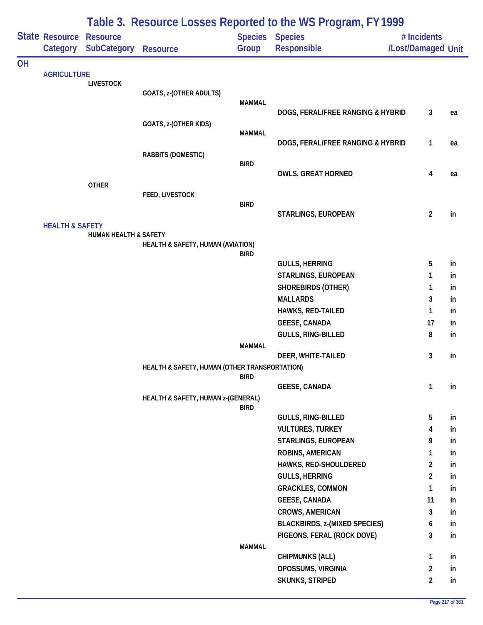| State Resource<br><b>Species Species</b><br><b>Resource</b><br># Incidents<br><b>SubCategory</b><br><b>Responsible</b><br>/Lost/Damaged Unit<br>Category<br>Group<br><b>Resource</b><br><b>OH</b><br><b>AGRICULTURE</b><br><b>LIVESTOCK</b><br>GOATS, z-(OTHER ADULTS)<br><b>MAMMAL</b><br>DOGS, FERAL/FREE RANGING & HYBRID<br>3<br>ea<br>GOATS, z-(OTHER KIDS)<br><b>MAMMAL</b><br>DOGS, FERAL/FREE RANGING & HYBRID<br>1<br>ea<br>RABBITS (DOMESTIC)<br><b>BIRD</b><br><b>OWLS, GREAT HORNED</b><br>4<br>ea<br><b>OTHER</b><br><b>FEED, LIVESTOCK</b><br><b>BIRD</b><br>$\overline{2}$<br>STARLINGS, EUROPEAN<br>in<br><b>HEALTH &amp; SAFETY</b><br><b>HUMAN HEALTH &amp; SAFETY</b><br>HEALTH & SAFETY, HUMAN (AVIATION)<br><b>BIRD</b><br><b>GULLS, HERRING</b><br>5<br>in<br>STARLINGS, EUROPEAN<br>1<br>in<br><b>SHOREBIRDS (OTHER)</b><br>1<br>in<br><b>MALLARDS</b><br>3<br>in<br>HAWKS, RED-TAILED<br>1<br>in<br><b>GEESE, CANADA</b><br>17<br>in<br>GULLS, RING-BILLED<br>8<br>in<br><b>MAMMAL</b><br>3<br>DEER, WHITE-TAILED<br>in<br>HEALTH & SAFETY, HUMAN (OTHER TRANSPORTATION)<br><b>BIRD</b><br>1<br><b>GEESE, CANADA</b><br>in<br>HEALTH & SAFETY, HUMAN z-(GENERAL)<br><b>BIRD</b><br>5<br>GULLS, RING-BILLED<br>in<br><b>VULTURES, TURKEY</b><br>4<br>in<br>STARLINGS, EUROPEAN<br>9<br>in<br>ROBINS, AMERICAN<br>1<br>in<br>HAWKS, RED-SHOULDERED<br>2<br>in<br><b>GULLS, HERRING</b><br>2<br>in<br><b>GRACKLES, COMMON</b><br>$\mathbf{1}$<br>in<br><b>GEESE, CANADA</b><br>11<br>in<br><b>CROWS, AMERICAN</b><br>3<br>in<br><b>BLACKBIRDS, z-(MIXED SPECIES)</b><br>6<br>in<br>3<br>PIGEONS, FERAL (ROCK DOVE)<br>in<br><b>MAMMAL</b><br><b>CHIPMUNKS (ALL)</b><br>1<br>in<br>$\overline{2}$<br>OPOSSUMS, VIRGINIA<br>in<br>SKUNKS, STRIPED<br>2<br>in |  |  |  | Table 3. Resource Losses Reported to the WS Program, FY 1999 |  |
|---------------------------------------------------------------------------------------------------------------------------------------------------------------------------------------------------------------------------------------------------------------------------------------------------------------------------------------------------------------------------------------------------------------------------------------------------------------------------------------------------------------------------------------------------------------------------------------------------------------------------------------------------------------------------------------------------------------------------------------------------------------------------------------------------------------------------------------------------------------------------------------------------------------------------------------------------------------------------------------------------------------------------------------------------------------------------------------------------------------------------------------------------------------------------------------------------------------------------------------------------------------------------------------------------------------------------------------------------------------------------------------------------------------------------------------------------------------------------------------------------------------------------------------------------------------------------------------------------------------------------------------------------------------------------------------------------------------------------------------------------------------------------------|--|--|--|--------------------------------------------------------------|--|
|                                                                                                                                                                                                                                                                                                                                                                                                                                                                                                                                                                                                                                                                                                                                                                                                                                                                                                                                                                                                                                                                                                                                                                                                                                                                                                                                                                                                                                                                                                                                                                                                                                                                                                                                                                                 |  |  |  |                                                              |  |
|                                                                                                                                                                                                                                                                                                                                                                                                                                                                                                                                                                                                                                                                                                                                                                                                                                                                                                                                                                                                                                                                                                                                                                                                                                                                                                                                                                                                                                                                                                                                                                                                                                                                                                                                                                                 |  |  |  |                                                              |  |
|                                                                                                                                                                                                                                                                                                                                                                                                                                                                                                                                                                                                                                                                                                                                                                                                                                                                                                                                                                                                                                                                                                                                                                                                                                                                                                                                                                                                                                                                                                                                                                                                                                                                                                                                                                                 |  |  |  |                                                              |  |
|                                                                                                                                                                                                                                                                                                                                                                                                                                                                                                                                                                                                                                                                                                                                                                                                                                                                                                                                                                                                                                                                                                                                                                                                                                                                                                                                                                                                                                                                                                                                                                                                                                                                                                                                                                                 |  |  |  |                                                              |  |
|                                                                                                                                                                                                                                                                                                                                                                                                                                                                                                                                                                                                                                                                                                                                                                                                                                                                                                                                                                                                                                                                                                                                                                                                                                                                                                                                                                                                                                                                                                                                                                                                                                                                                                                                                                                 |  |  |  |                                                              |  |
|                                                                                                                                                                                                                                                                                                                                                                                                                                                                                                                                                                                                                                                                                                                                                                                                                                                                                                                                                                                                                                                                                                                                                                                                                                                                                                                                                                                                                                                                                                                                                                                                                                                                                                                                                                                 |  |  |  |                                                              |  |
|                                                                                                                                                                                                                                                                                                                                                                                                                                                                                                                                                                                                                                                                                                                                                                                                                                                                                                                                                                                                                                                                                                                                                                                                                                                                                                                                                                                                                                                                                                                                                                                                                                                                                                                                                                                 |  |  |  |                                                              |  |
|                                                                                                                                                                                                                                                                                                                                                                                                                                                                                                                                                                                                                                                                                                                                                                                                                                                                                                                                                                                                                                                                                                                                                                                                                                                                                                                                                                                                                                                                                                                                                                                                                                                                                                                                                                                 |  |  |  |                                                              |  |
|                                                                                                                                                                                                                                                                                                                                                                                                                                                                                                                                                                                                                                                                                                                                                                                                                                                                                                                                                                                                                                                                                                                                                                                                                                                                                                                                                                                                                                                                                                                                                                                                                                                                                                                                                                                 |  |  |  |                                                              |  |
|                                                                                                                                                                                                                                                                                                                                                                                                                                                                                                                                                                                                                                                                                                                                                                                                                                                                                                                                                                                                                                                                                                                                                                                                                                                                                                                                                                                                                                                                                                                                                                                                                                                                                                                                                                                 |  |  |  |                                                              |  |
|                                                                                                                                                                                                                                                                                                                                                                                                                                                                                                                                                                                                                                                                                                                                                                                                                                                                                                                                                                                                                                                                                                                                                                                                                                                                                                                                                                                                                                                                                                                                                                                                                                                                                                                                                                                 |  |  |  |                                                              |  |
|                                                                                                                                                                                                                                                                                                                                                                                                                                                                                                                                                                                                                                                                                                                                                                                                                                                                                                                                                                                                                                                                                                                                                                                                                                                                                                                                                                                                                                                                                                                                                                                                                                                                                                                                                                                 |  |  |  |                                                              |  |
|                                                                                                                                                                                                                                                                                                                                                                                                                                                                                                                                                                                                                                                                                                                                                                                                                                                                                                                                                                                                                                                                                                                                                                                                                                                                                                                                                                                                                                                                                                                                                                                                                                                                                                                                                                                 |  |  |  |                                                              |  |
|                                                                                                                                                                                                                                                                                                                                                                                                                                                                                                                                                                                                                                                                                                                                                                                                                                                                                                                                                                                                                                                                                                                                                                                                                                                                                                                                                                                                                                                                                                                                                                                                                                                                                                                                                                                 |  |  |  |                                                              |  |
|                                                                                                                                                                                                                                                                                                                                                                                                                                                                                                                                                                                                                                                                                                                                                                                                                                                                                                                                                                                                                                                                                                                                                                                                                                                                                                                                                                                                                                                                                                                                                                                                                                                                                                                                                                                 |  |  |  |                                                              |  |
|                                                                                                                                                                                                                                                                                                                                                                                                                                                                                                                                                                                                                                                                                                                                                                                                                                                                                                                                                                                                                                                                                                                                                                                                                                                                                                                                                                                                                                                                                                                                                                                                                                                                                                                                                                                 |  |  |  |                                                              |  |
|                                                                                                                                                                                                                                                                                                                                                                                                                                                                                                                                                                                                                                                                                                                                                                                                                                                                                                                                                                                                                                                                                                                                                                                                                                                                                                                                                                                                                                                                                                                                                                                                                                                                                                                                                                                 |  |  |  |                                                              |  |
|                                                                                                                                                                                                                                                                                                                                                                                                                                                                                                                                                                                                                                                                                                                                                                                                                                                                                                                                                                                                                                                                                                                                                                                                                                                                                                                                                                                                                                                                                                                                                                                                                                                                                                                                                                                 |  |  |  |                                                              |  |
|                                                                                                                                                                                                                                                                                                                                                                                                                                                                                                                                                                                                                                                                                                                                                                                                                                                                                                                                                                                                                                                                                                                                                                                                                                                                                                                                                                                                                                                                                                                                                                                                                                                                                                                                                                                 |  |  |  |                                                              |  |
|                                                                                                                                                                                                                                                                                                                                                                                                                                                                                                                                                                                                                                                                                                                                                                                                                                                                                                                                                                                                                                                                                                                                                                                                                                                                                                                                                                                                                                                                                                                                                                                                                                                                                                                                                                                 |  |  |  |                                                              |  |
|                                                                                                                                                                                                                                                                                                                                                                                                                                                                                                                                                                                                                                                                                                                                                                                                                                                                                                                                                                                                                                                                                                                                                                                                                                                                                                                                                                                                                                                                                                                                                                                                                                                                                                                                                                                 |  |  |  |                                                              |  |
|                                                                                                                                                                                                                                                                                                                                                                                                                                                                                                                                                                                                                                                                                                                                                                                                                                                                                                                                                                                                                                                                                                                                                                                                                                                                                                                                                                                                                                                                                                                                                                                                                                                                                                                                                                                 |  |  |  |                                                              |  |
|                                                                                                                                                                                                                                                                                                                                                                                                                                                                                                                                                                                                                                                                                                                                                                                                                                                                                                                                                                                                                                                                                                                                                                                                                                                                                                                                                                                                                                                                                                                                                                                                                                                                                                                                                                                 |  |  |  |                                                              |  |
|                                                                                                                                                                                                                                                                                                                                                                                                                                                                                                                                                                                                                                                                                                                                                                                                                                                                                                                                                                                                                                                                                                                                                                                                                                                                                                                                                                                                                                                                                                                                                                                                                                                                                                                                                                                 |  |  |  |                                                              |  |
|                                                                                                                                                                                                                                                                                                                                                                                                                                                                                                                                                                                                                                                                                                                                                                                                                                                                                                                                                                                                                                                                                                                                                                                                                                                                                                                                                                                                                                                                                                                                                                                                                                                                                                                                                                                 |  |  |  |                                                              |  |
|                                                                                                                                                                                                                                                                                                                                                                                                                                                                                                                                                                                                                                                                                                                                                                                                                                                                                                                                                                                                                                                                                                                                                                                                                                                                                                                                                                                                                                                                                                                                                                                                                                                                                                                                                                                 |  |  |  |                                                              |  |
|                                                                                                                                                                                                                                                                                                                                                                                                                                                                                                                                                                                                                                                                                                                                                                                                                                                                                                                                                                                                                                                                                                                                                                                                                                                                                                                                                                                                                                                                                                                                                                                                                                                                                                                                                                                 |  |  |  |                                                              |  |
|                                                                                                                                                                                                                                                                                                                                                                                                                                                                                                                                                                                                                                                                                                                                                                                                                                                                                                                                                                                                                                                                                                                                                                                                                                                                                                                                                                                                                                                                                                                                                                                                                                                                                                                                                                                 |  |  |  |                                                              |  |
|                                                                                                                                                                                                                                                                                                                                                                                                                                                                                                                                                                                                                                                                                                                                                                                                                                                                                                                                                                                                                                                                                                                                                                                                                                                                                                                                                                                                                                                                                                                                                                                                                                                                                                                                                                                 |  |  |  |                                                              |  |
|                                                                                                                                                                                                                                                                                                                                                                                                                                                                                                                                                                                                                                                                                                                                                                                                                                                                                                                                                                                                                                                                                                                                                                                                                                                                                                                                                                                                                                                                                                                                                                                                                                                                                                                                                                                 |  |  |  |                                                              |  |
|                                                                                                                                                                                                                                                                                                                                                                                                                                                                                                                                                                                                                                                                                                                                                                                                                                                                                                                                                                                                                                                                                                                                                                                                                                                                                                                                                                                                                                                                                                                                                                                                                                                                                                                                                                                 |  |  |  |                                                              |  |
|                                                                                                                                                                                                                                                                                                                                                                                                                                                                                                                                                                                                                                                                                                                                                                                                                                                                                                                                                                                                                                                                                                                                                                                                                                                                                                                                                                                                                                                                                                                                                                                                                                                                                                                                                                                 |  |  |  |                                                              |  |
|                                                                                                                                                                                                                                                                                                                                                                                                                                                                                                                                                                                                                                                                                                                                                                                                                                                                                                                                                                                                                                                                                                                                                                                                                                                                                                                                                                                                                                                                                                                                                                                                                                                                                                                                                                                 |  |  |  |                                                              |  |
|                                                                                                                                                                                                                                                                                                                                                                                                                                                                                                                                                                                                                                                                                                                                                                                                                                                                                                                                                                                                                                                                                                                                                                                                                                                                                                                                                                                                                                                                                                                                                                                                                                                                                                                                                                                 |  |  |  |                                                              |  |
|                                                                                                                                                                                                                                                                                                                                                                                                                                                                                                                                                                                                                                                                                                                                                                                                                                                                                                                                                                                                                                                                                                                                                                                                                                                                                                                                                                                                                                                                                                                                                                                                                                                                                                                                                                                 |  |  |  |                                                              |  |
|                                                                                                                                                                                                                                                                                                                                                                                                                                                                                                                                                                                                                                                                                                                                                                                                                                                                                                                                                                                                                                                                                                                                                                                                                                                                                                                                                                                                                                                                                                                                                                                                                                                                                                                                                                                 |  |  |  |                                                              |  |
|                                                                                                                                                                                                                                                                                                                                                                                                                                                                                                                                                                                                                                                                                                                                                                                                                                                                                                                                                                                                                                                                                                                                                                                                                                                                                                                                                                                                                                                                                                                                                                                                                                                                                                                                                                                 |  |  |  |                                                              |  |
|                                                                                                                                                                                                                                                                                                                                                                                                                                                                                                                                                                                                                                                                                                                                                                                                                                                                                                                                                                                                                                                                                                                                                                                                                                                                                                                                                                                                                                                                                                                                                                                                                                                                                                                                                                                 |  |  |  |                                                              |  |
|                                                                                                                                                                                                                                                                                                                                                                                                                                                                                                                                                                                                                                                                                                                                                                                                                                                                                                                                                                                                                                                                                                                                                                                                                                                                                                                                                                                                                                                                                                                                                                                                                                                                                                                                                                                 |  |  |  |                                                              |  |
|                                                                                                                                                                                                                                                                                                                                                                                                                                                                                                                                                                                                                                                                                                                                                                                                                                                                                                                                                                                                                                                                                                                                                                                                                                                                                                                                                                                                                                                                                                                                                                                                                                                                                                                                                                                 |  |  |  |                                                              |  |
|                                                                                                                                                                                                                                                                                                                                                                                                                                                                                                                                                                                                                                                                                                                                                                                                                                                                                                                                                                                                                                                                                                                                                                                                                                                                                                                                                                                                                                                                                                                                                                                                                                                                                                                                                                                 |  |  |  |                                                              |  |
|                                                                                                                                                                                                                                                                                                                                                                                                                                                                                                                                                                                                                                                                                                                                                                                                                                                                                                                                                                                                                                                                                                                                                                                                                                                                                                                                                                                                                                                                                                                                                                                                                                                                                                                                                                                 |  |  |  |                                                              |  |
|                                                                                                                                                                                                                                                                                                                                                                                                                                                                                                                                                                                                                                                                                                                                                                                                                                                                                                                                                                                                                                                                                                                                                                                                                                                                                                                                                                                                                                                                                                                                                                                                                                                                                                                                                                                 |  |  |  |                                                              |  |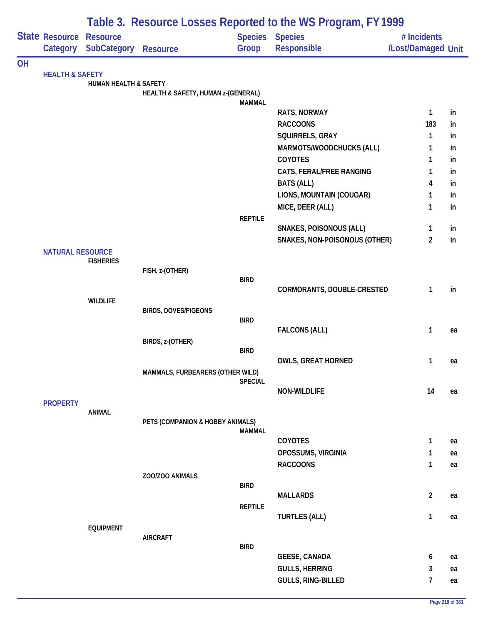|           |                            | Table 3. Resource Losses Reported to the WS Program, FY 1999 |                                    |                |                                       |                                   |    |  |  |  |
|-----------|----------------------------|--------------------------------------------------------------|------------------------------------|----------------|---------------------------------------|-----------------------------------|----|--|--|--|
|           | State Resource<br>Category | <b>Resource</b><br><b>SubCategory Resource</b>               |                                    | Group          | <b>Species Species</b><br>Responsible | # Incidents<br>/Lost/Damaged Unit |    |  |  |  |
|           |                            |                                                              |                                    |                |                                       |                                   |    |  |  |  |
| <b>OH</b> | <b>HEALTH &amp; SAFETY</b> |                                                              |                                    |                |                                       |                                   |    |  |  |  |
|           |                            | <b>HUMAN HEALTH &amp; SAFETY</b>                             |                                    |                |                                       |                                   |    |  |  |  |
|           |                            |                                                              | HEALTH & SAFETY, HUMAN z-(GENERAL) |                |                                       |                                   |    |  |  |  |
|           |                            |                                                              |                                    | <b>MAMMAL</b>  | <b>RATS, NORWAY</b>                   | 1                                 | in |  |  |  |
|           |                            |                                                              |                                    |                | <b>RACCOONS</b>                       | 183                               | in |  |  |  |
|           |                            |                                                              |                                    |                | SQUIRRELS, GRAY                       | $\mathbf{1}$                      | in |  |  |  |
|           |                            |                                                              |                                    |                | MARMOTS/WOODCHUCKS (ALL)              | 1                                 | in |  |  |  |
|           |                            |                                                              |                                    |                | <b>COYOTES</b>                        | 1                                 | in |  |  |  |
|           |                            |                                                              |                                    |                | CATS, FERAL/FREE RANGING              | 1                                 | in |  |  |  |
|           |                            |                                                              |                                    |                | <b>BATS (ALL)</b>                     | 4                                 | in |  |  |  |
|           |                            |                                                              |                                    |                | LIONS, MOUNTAIN (COUGAR)              | 1                                 | in |  |  |  |
|           |                            |                                                              |                                    |                | MICE, DEER (ALL)                      | 1                                 | in |  |  |  |
|           |                            |                                                              |                                    | <b>REPTILE</b> |                                       |                                   |    |  |  |  |
|           |                            |                                                              |                                    |                | <b>SNAKES, POISONOUS (ALL)</b>        | 1                                 | in |  |  |  |
|           |                            |                                                              |                                    |                | SNAKES, NON-POISONOUS (OTHER)         | $\overline{2}$                    | in |  |  |  |
|           | <b>NATURAL RESOURCE</b>    |                                                              |                                    |                |                                       |                                   |    |  |  |  |
|           |                            | <b>FISHERIES</b>                                             |                                    |                |                                       |                                   |    |  |  |  |
|           |                            |                                                              | FISH, z-(OTHER)                    |                |                                       |                                   |    |  |  |  |
|           |                            |                                                              |                                    | <b>BIRD</b>    | CORMORANTS, DOUBLE-CRESTED            | $\mathbf{1}$                      | in |  |  |  |
|           |                            | <b>WILDLIFE</b>                                              |                                    |                |                                       |                                   |    |  |  |  |
|           |                            |                                                              | <b>BIRDS, DOVES/PIGEONS</b>        |                |                                       |                                   |    |  |  |  |
|           |                            |                                                              |                                    | <b>BIRD</b>    |                                       |                                   |    |  |  |  |
|           |                            |                                                              |                                    |                | <b>FALCONS (ALL)</b>                  | $\mathbf{1}$                      | ea |  |  |  |
|           |                            |                                                              | BIRDS, z-(OTHER)                   |                |                                       |                                   |    |  |  |  |
|           |                            |                                                              |                                    | <b>BIRD</b>    | <b>OWLS, GREAT HORNED</b>             | 1                                 | ea |  |  |  |
|           |                            |                                                              | MAMMALS, FURBEARERS (OTHER WILD)   |                |                                       |                                   |    |  |  |  |
|           |                            |                                                              |                                    | <b>SPECIAL</b> |                                       |                                   |    |  |  |  |
|           |                            |                                                              |                                    |                | NON-WILDLIFE                          | 14                                | ea |  |  |  |
|           | <b>PROPERTY</b>            |                                                              |                                    |                |                                       |                                   |    |  |  |  |
|           |                            | <b>ANIMAL</b>                                                |                                    |                |                                       |                                   |    |  |  |  |
|           |                            |                                                              | PETS (COMPANION & HOBBY ANIMALS)   | <b>MAMMAL</b>  |                                       |                                   |    |  |  |  |
|           |                            |                                                              |                                    |                | <b>COYOTES</b>                        | $\mathbf{1}$                      | ea |  |  |  |
|           |                            |                                                              |                                    |                | OPOSSUMS, VIRGINIA                    | $\mathbf{1}$                      | ea |  |  |  |
|           |                            |                                                              |                                    |                | <b>RACCOONS</b>                       | $\mathbf{1}$                      | ea |  |  |  |
|           |                            |                                                              | ZOO/ZOO ANIMALS                    |                |                                       |                                   |    |  |  |  |
|           |                            |                                                              |                                    | <b>BIRD</b>    |                                       |                                   |    |  |  |  |
|           |                            |                                                              |                                    |                | <b>MALLARDS</b>                       | $\overline{2}$                    | ea |  |  |  |
|           |                            |                                                              |                                    | <b>REPTILE</b> |                                       | $\mathbf{1}$                      |    |  |  |  |
|           |                            | <b>EQUIPMENT</b>                                             |                                    |                | <b>TURTLES (ALL)</b>                  |                                   | ea |  |  |  |
|           |                            |                                                              | <b>AIRCRAFT</b>                    |                |                                       |                                   |    |  |  |  |
|           |                            |                                                              |                                    | <b>BIRD</b>    |                                       |                                   |    |  |  |  |
|           |                            |                                                              |                                    |                | <b>GEESE, CANADA</b>                  | 6                                 | ea |  |  |  |
|           |                            |                                                              |                                    |                | <b>GULLS, HERRING</b>                 | 3                                 | ea |  |  |  |
|           |                            |                                                              |                                    |                | <b>GULLS, RING-BILLED</b>             | $\overline{7}$                    | ea |  |  |  |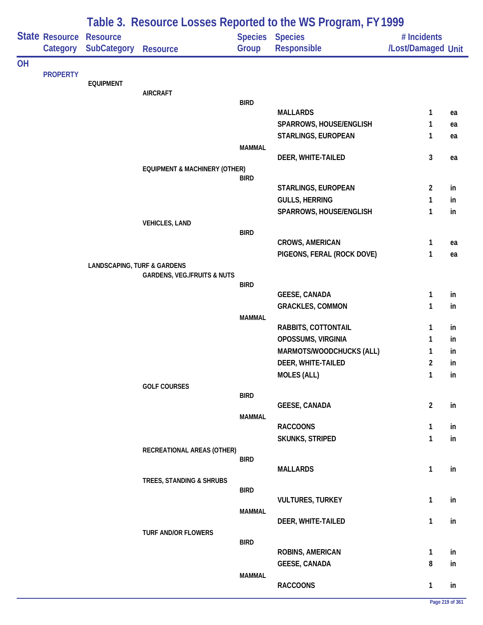|           |                            |                                        |                                          |               | Table 3. Resource Losses Reported to the WS Program, FY 1999 |                                   |           |
|-----------|----------------------------|----------------------------------------|------------------------------------------|---------------|--------------------------------------------------------------|-----------------------------------|-----------|
|           | State Resource<br>Category | <b>Resource</b><br><b>SubCategory</b>  | <b>Resource</b>                          | Group         | <b>Species Species</b><br><b>Responsible</b>                 | # Incidents<br>/Lost/Damaged Unit |           |
| <b>OH</b> |                            |                                        |                                          |               |                                                              |                                   |           |
|           | <b>PROPERTY</b>            | <b>EQUIPMENT</b>                       |                                          |               |                                                              |                                   |           |
|           |                            |                                        | <b>AIRCRAFT</b>                          |               |                                                              |                                   |           |
|           |                            |                                        |                                          | <b>BIRD</b>   | <b>MALLARDS</b>                                              |                                   |           |
|           |                            |                                        |                                          |               | SPARROWS, HOUSE/ENGLISH                                      | 1<br>1                            | ea<br>ea  |
|           |                            |                                        |                                          |               | STARLINGS, EUROPEAN                                          | 1                                 | ea        |
|           |                            |                                        |                                          | <b>MAMMAL</b> |                                                              |                                   |           |
|           |                            |                                        |                                          |               | DEER, WHITE-TAILED                                           | 3                                 | ea        |
|           |                            |                                        | <b>EQUIPMENT &amp; MACHINERY (OTHER)</b> |               |                                                              |                                   |           |
|           |                            |                                        |                                          | <b>BIRD</b>   |                                                              |                                   |           |
|           |                            |                                        |                                          |               | STARLINGS, EUROPEAN<br><b>GULLS, HERRING</b>                 | $\overline{2}$<br>1               | in<br>in. |
|           |                            |                                        |                                          |               | SPARROWS, HOUSE/ENGLISH                                      | 1                                 | in        |
|           |                            |                                        | <b>VEHICLES, LAND</b>                    |               |                                                              |                                   |           |
|           |                            |                                        |                                          | <b>BIRD</b>   |                                                              |                                   |           |
|           |                            |                                        |                                          |               | <b>CROWS, AMERICAN</b>                                       | 1                                 | ea        |
|           |                            |                                        |                                          |               | PIGEONS, FERAL (ROCK DOVE)                                   | 1                                 | ea        |
|           |                            | <b>LANDSCAPING, TURF &amp; GARDENS</b> |                                          |               |                                                              |                                   |           |
|           |                            |                                        | <b>GARDENS, VEG./FRUITS &amp; NUTS</b>   | <b>BIRD</b>   |                                                              |                                   |           |
|           |                            |                                        |                                          |               | <b>GEESE, CANADA</b>                                         | 1                                 | in        |
|           |                            |                                        |                                          |               | <b>GRACKLES, COMMON</b>                                      | 1                                 | in        |
|           |                            |                                        |                                          | <b>MAMMAL</b> |                                                              |                                   |           |
|           |                            |                                        |                                          |               | RABBITS, COTTONTAIL                                          | 1                                 | in        |
|           |                            |                                        |                                          |               | OPOSSUMS, VIRGINIA                                           | 1                                 | in        |
|           |                            |                                        |                                          |               | <b>MARMOTS/WOODCHUCKS (ALL)</b>                              | 1                                 | in        |
|           |                            |                                        |                                          |               | DEER, WHITE-TAILED                                           | 2<br>1                            | in<br>in  |
|           |                            |                                        | <b>GOLF COURSES</b>                      |               | <b>MOLES (ALL)</b>                                           |                                   |           |
|           |                            |                                        |                                          | <b>BIRD</b>   |                                                              |                                   |           |
|           |                            |                                        |                                          |               | <b>GEESE, CANADA</b>                                         | $\overline{2}$                    | in        |
|           |                            |                                        |                                          | <b>MAMMAL</b> |                                                              |                                   |           |
|           |                            |                                        |                                          |               | <b>RACCOONS</b>                                              | 1                                 | in        |
|           |                            |                                        |                                          |               | <b>SKUNKS, STRIPED</b>                                       | 1                                 | in        |
|           |                            |                                        | RECREATIONAL AREAS (OTHER)               | <b>BIRD</b>   |                                                              |                                   |           |
|           |                            |                                        |                                          |               | <b>MALLARDS</b>                                              | $\mathbf{1}$                      | in        |
|           |                            |                                        | TREES, STANDING & SHRUBS                 |               |                                                              |                                   |           |
|           |                            |                                        |                                          | <b>BIRD</b>   |                                                              |                                   |           |
|           |                            |                                        |                                          | <b>MAMMAL</b> | <b>VULTURES, TURKEY</b>                                      | 1                                 | in        |
|           |                            |                                        |                                          |               | DEER, WHITE-TAILED                                           | 1                                 | in        |
|           |                            |                                        | <b>TURF AND/OR FLOWERS</b>               |               |                                                              |                                   |           |
|           |                            |                                        |                                          | <b>BIRD</b>   |                                                              |                                   |           |
|           |                            |                                        |                                          |               | ROBINS, AMERICAN                                             | 1                                 | in        |
|           |                            |                                        |                                          |               | <b>GEESE, CANADA</b>                                         | 8                                 | in        |
|           |                            |                                        |                                          | <b>MAMMAL</b> | <b>RACCOONS</b>                                              | 1                                 | in        |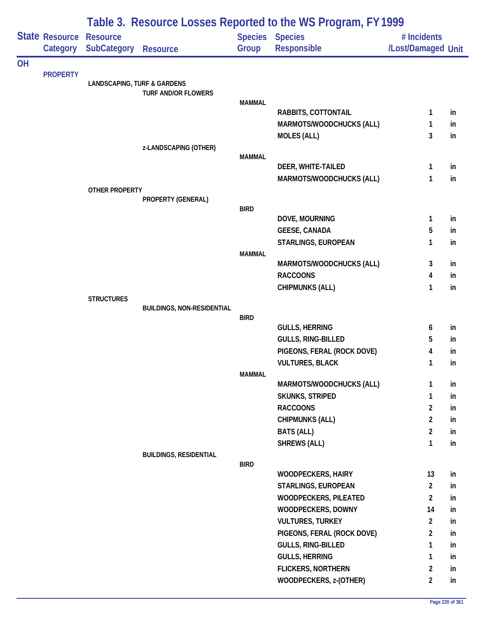|           |                            |                                        |                                   |               | Table 3. Resource Losses Reported to the WS Program, FY 1999 |                                   |          |
|-----------|----------------------------|----------------------------------------|-----------------------------------|---------------|--------------------------------------------------------------|-----------------------------------|----------|
|           | State Resource<br>Category | <b>Resource</b><br><b>SubCategory</b>  | <b>Resource</b>                   | Group         | <b>Species Species</b><br><b>Responsible</b>                 | # Incidents<br>/Lost/Damaged Unit |          |
| <b>OH</b> |                            |                                        |                                   |               |                                                              |                                   |          |
|           | <b>PROPERTY</b>            | <b>LANDSCAPING, TURF &amp; GARDENS</b> |                                   |               |                                                              |                                   |          |
|           |                            |                                        | <b>TURF AND/OR FLOWERS</b>        |               |                                                              |                                   |          |
|           |                            |                                        |                                   | <b>MAMMAL</b> | RABBITS, COTTONTAIL                                          | 1                                 |          |
|           |                            |                                        |                                   |               | MARMOTS/WOODCHUCKS (ALL)                                     | 1                                 | in<br>in |
|           |                            |                                        |                                   |               | <b>MOLES (ALL)</b>                                           | 3                                 | in       |
|           |                            |                                        | z-LANDSCAPING (OTHER)             |               |                                                              |                                   |          |
|           |                            |                                        |                                   | <b>MAMMAL</b> |                                                              |                                   |          |
|           |                            |                                        |                                   |               | DEER, WHITE-TAILED                                           | 1                                 | in       |
|           |                            |                                        |                                   |               | MARMOTS/WOODCHUCKS (ALL)                                     | 1                                 | in       |
|           |                            | <b>OTHER PROPERTY</b>                  | PROPERTY (GENERAL)                |               |                                                              |                                   |          |
|           |                            |                                        |                                   | <b>BIRD</b>   |                                                              |                                   |          |
|           |                            |                                        |                                   |               | DOVE, MOURNING                                               | 1                                 | in       |
|           |                            |                                        |                                   |               | <b>GEESE, CANADA</b>                                         | 5                                 | in       |
|           |                            |                                        |                                   |               | STARLINGS, EUROPEAN                                          | 1                                 | in       |
|           |                            |                                        |                                   | <b>MAMMAL</b> |                                                              |                                   |          |
|           |                            |                                        |                                   |               | <b>MARMOTS/WOODCHUCKS (ALL)</b>                              | 3                                 | in       |
|           |                            |                                        |                                   |               | <b>RACCOONS</b>                                              | 4                                 | in       |
|           |                            | <b>STRUCTURES</b>                      |                                   |               | <b>CHIPMUNKS (ALL)</b>                                       | 1                                 | in       |
|           |                            |                                        | <b>BUILDINGS, NON-RESIDENTIAL</b> |               |                                                              |                                   |          |
|           |                            |                                        |                                   | <b>BIRD</b>   |                                                              |                                   |          |
|           |                            |                                        |                                   |               | <b>GULLS, HERRING</b>                                        | 6                                 | in       |
|           |                            |                                        |                                   |               | GULLS, RING-BILLED                                           | 5                                 | in       |
|           |                            |                                        |                                   |               | PIGEONS, FERAL (ROCK DOVE)                                   | 4                                 | in       |
|           |                            |                                        |                                   |               | <b>VULTURES, BLACK</b>                                       | 1                                 | in       |
|           |                            |                                        |                                   | <b>MAMMAL</b> | MARMOTS/WOODCHUCKS (ALL)                                     | 1                                 | in       |
|           |                            |                                        |                                   |               | SKUNKS, STRIPED                                              | 1                                 | in       |
|           |                            |                                        |                                   |               | <b>RACCOONS</b>                                              | $\overline{2}$                    | in       |
|           |                            |                                        |                                   |               | <b>CHIPMUNKS (ALL)</b>                                       | $\overline{2}$                    | in       |
|           |                            |                                        |                                   |               | <b>BATS (ALL)</b>                                            | $\overline{2}$                    | in       |
|           |                            |                                        |                                   |               | <b>SHREWS (ALL)</b>                                          | $\mathbf{1}$                      | in       |
|           |                            |                                        | <b>BUILDINGS, RESIDENTIAL</b>     |               |                                                              |                                   |          |
|           |                            |                                        |                                   | <b>BIRD</b>   |                                                              |                                   |          |
|           |                            |                                        |                                   |               | <b>WOODPECKERS, HAIRY</b>                                    | 13<br>$\overline{2}$              | in       |
|           |                            |                                        |                                   |               | STARLINGS, EUROPEAN<br><b>WOODPECKERS, PILEATED</b>          | $\overline{2}$                    | in       |
|           |                            |                                        |                                   |               | WOODPECKERS, DOWNY                                           | 14                                | in<br>in |
|           |                            |                                        |                                   |               | <b>VULTURES, TURKEY</b>                                      | $\overline{2}$                    | in       |
|           |                            |                                        |                                   |               | PIGEONS, FERAL (ROCK DOVE)                                   | $\overline{a}$                    | in       |
|           |                            |                                        |                                   |               | GULLS, RING-BILLED                                           | $\mathbf{1}$                      | in       |
|           |                            |                                        |                                   |               | <b>GULLS, HERRING</b>                                        | 1                                 | in       |
|           |                            |                                        |                                   |               | <b>FLICKERS, NORTHERN</b>                                    | $\overline{2}$                    | in       |
|           |                            |                                        |                                   |               | WOODPECKERS, z-(OTHER)                                       | $\overline{2}$                    | in       |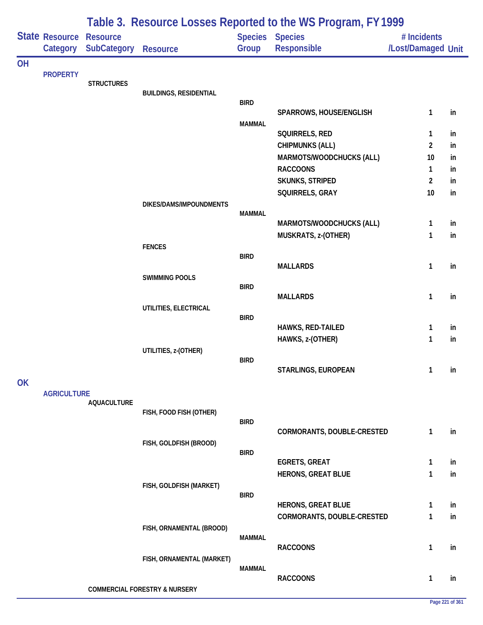|           |                            |                                       |                                          |                         | Table 3. Resource Losses Reported to the WS Program, FY 1999 |                                   |    |
|-----------|----------------------------|---------------------------------------|------------------------------------------|-------------------------|--------------------------------------------------------------|-----------------------------------|----|
|           | State Resource<br>Category | <b>Resource</b><br><b>SubCategory</b> | <b>Resource</b>                          | <b>Species</b><br>Group | <b>Species</b><br><b>Responsible</b>                         | # Incidents<br>/Lost/Damaged Unit |    |
| <b>OH</b> |                            |                                       |                                          |                         |                                                              |                                   |    |
|           | <b>PROPERTY</b>            | <b>STRUCTURES</b>                     |                                          |                         |                                                              |                                   |    |
|           |                            |                                       | <b>BUILDINGS, RESIDENTIAL</b>            |                         |                                                              |                                   |    |
|           |                            |                                       |                                          | <b>BIRD</b>             | SPARROWS, HOUSE/ENGLISH                                      | $\mathbf{1}$                      | in |
|           |                            |                                       |                                          | <b>MAMMAL</b>           |                                                              |                                   |    |
|           |                            |                                       |                                          |                         | SQUIRRELS, RED                                               | 1                                 | in |
|           |                            |                                       |                                          |                         | <b>CHIPMUNKS (ALL)</b>                                       | $\overline{2}$                    | in |
|           |                            |                                       |                                          |                         | MARMOTS/WOODCHUCKS (ALL)                                     | 10                                | in |
|           |                            |                                       |                                          |                         | <b>RACCOONS</b>                                              | 1                                 | in |
|           |                            |                                       |                                          |                         | SKUNKS, STRIPED                                              | $\overline{2}$                    | in |
|           |                            |                                       |                                          |                         | SQUIRRELS, GRAY                                              | 10                                | in |
|           |                            |                                       | DIKES/DAMS/IMPOUNDMENTS                  | <b>MAMMAL</b>           |                                                              |                                   |    |
|           |                            |                                       |                                          |                         | MARMOTS/WOODCHUCKS (ALL)                                     | 1                                 | in |
|           |                            |                                       |                                          |                         | MUSKRATS, z-(OTHER)                                          | 1                                 | in |
|           |                            |                                       | <b>FENCES</b>                            |                         |                                                              |                                   |    |
|           |                            |                                       |                                          | <b>BIRD</b>             | <b>MALLARDS</b>                                              | 1                                 | in |
|           |                            |                                       | <b>SWIMMING POOLS</b>                    |                         |                                                              |                                   |    |
|           |                            |                                       |                                          | <b>BIRD</b>             |                                                              |                                   |    |
|           |                            |                                       |                                          |                         | <b>MALLARDS</b>                                              | 1                                 | in |
|           |                            |                                       | UTILITIES, ELECTRICAL                    | <b>BIRD</b>             |                                                              |                                   |    |
|           |                            |                                       |                                          |                         | HAWKS, RED-TAILED                                            | 1                                 | in |
|           |                            |                                       |                                          |                         | HAWKS, z-(OTHER)                                             | 1                                 | in |
|           |                            |                                       | UTILITIES, z-(OTHER)                     |                         |                                                              |                                   |    |
|           |                            |                                       |                                          | <b>BIRD</b>             |                                                              |                                   |    |
|           |                            |                                       |                                          |                         | STARLINGS, EUROPEAN                                          | $\mathbf{1}$                      | in |
| <b>OK</b> | <b>AGRICULTURE</b>         |                                       |                                          |                         |                                                              |                                   |    |
|           |                            | <b>AQUACULTURE</b>                    |                                          |                         |                                                              |                                   |    |
|           |                            |                                       | FISH, FOOD FISH (OTHER)                  |                         |                                                              |                                   |    |
|           |                            |                                       |                                          | <b>BIRD</b>             | CORMORANTS, DOUBLE-CRESTED                                   | $\mathbf{1}$                      | in |
|           |                            |                                       | FISH, GOLDFISH (BROOD)                   |                         |                                                              |                                   |    |
|           |                            |                                       |                                          | <b>BIRD</b>             |                                                              |                                   |    |
|           |                            |                                       |                                          |                         | <b>EGRETS, GREAT</b>                                         | 1                                 | in |
|           |                            |                                       |                                          |                         | HERONS, GREAT BLUE                                           | $\mathbf{1}$                      | in |
|           |                            |                                       | FISH, GOLDFISH (MARKET)                  | <b>BIRD</b>             |                                                              |                                   |    |
|           |                            |                                       |                                          |                         | <b>HERONS, GREAT BLUE</b>                                    | 1                                 | in |
|           |                            |                                       |                                          |                         | CORMORANTS, DOUBLE-CRESTED                                   | 1                                 | in |
|           |                            |                                       | FISH, ORNAMENTAL (BROOD)                 |                         |                                                              |                                   |    |
|           |                            |                                       |                                          | <b>MAMMAL</b>           |                                                              |                                   |    |
|           |                            |                                       |                                          |                         | <b>RACCOONS</b>                                              | 1                                 | in |
|           |                            |                                       | FISH, ORNAMENTAL (MARKET)                | <b>MAMMAL</b>           |                                                              |                                   |    |
|           |                            |                                       |                                          |                         | <b>RACCOONS</b>                                              | $\mathbf{1}$                      | in |
|           |                            |                                       | <b>COMMERCIAL FORESTRY &amp; NURSERY</b> |                         |                                                              |                                   |    |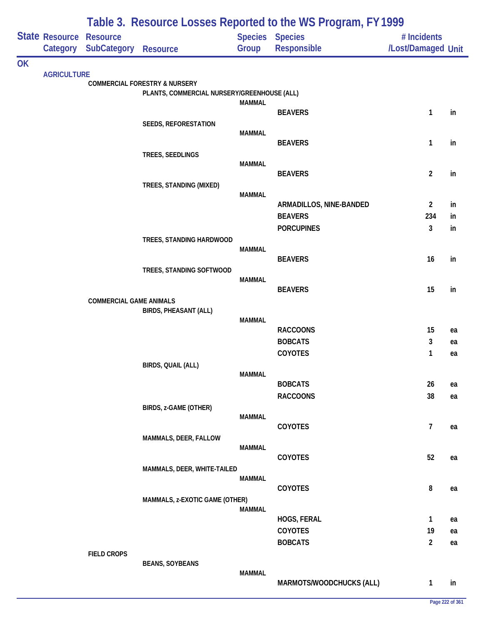| <b>State Resource Resource</b><br>Species Species<br># Incidents<br>Group<br>Responsible<br>/Lost/Damaged Unit<br><b>SubCategory</b><br>Category<br><b>Resource</b><br><b>OK</b><br><b>AGRICULTURE</b><br><b>COMMERCIAL FORESTRY &amp; NURSERY</b><br>PLANTS, COMMERCIAL NURSERY/GREENHOUSE (ALL)<br><b>MAMMAL</b><br>$\mathbf{1}$<br><b>BEAVERS</b><br>in<br><b>SEEDS, REFORESTATION</b><br><b>MAMMAL</b><br><b>BEAVERS</b><br>$\mathbf{1}$<br>in<br>TREES, SEEDLINGS<br><b>MAMMAL</b><br>$\overline{2}$<br><b>BEAVERS</b><br>in<br>TREES, STANDING (MIXED)<br><b>MAMMAL</b><br>ARMADILLOS, NINE-BANDED<br>$\overline{2}$<br>in<br><b>BEAVERS</b><br>234<br>in<br>$\mathbf{3}$<br><b>PORCUPINES</b><br>in<br>TREES, STANDING HARDWOOD<br><b>MAMMAL</b><br><b>BEAVERS</b><br>16<br>in<br>TREES, STANDING SOFTWOOD<br><b>MAMMAL</b><br>15<br><b>BEAVERS</b><br>in<br><b>COMMERCIAL GAME ANIMALS</b><br><b>BIRDS, PHEASANT (ALL)</b><br><b>MAMMAL</b><br><b>RACCOONS</b><br>15<br>ea<br>3<br><b>BOBCATS</b><br>ea<br>COYOTES<br>1<br>ea<br>BIRDS, QUAIL (ALL)<br><b>MAMMAL</b><br><b>BOBCATS</b><br>26<br>ea<br><b>RACCOONS</b><br>38<br>ea<br>BIRDS, z-GAME (OTHER)<br><b>MAMMAL</b><br>$\overline{7}$<br>COYOTES<br>ea<br>MAMMALS, DEER, FALLOW<br><b>MAMMAL</b><br>COYOTES<br>52<br>ea<br>MAMMALS, DEER, WHITE-TAILED<br><b>MAMMAL</b><br>8<br><b>COYOTES</b><br>ea<br>MAMMALS, z-EXOTIC GAME (OTHER)<br><b>MAMMAL</b><br>HOGS, FERAL<br>$\mathbf{1}$<br>ea<br>COYOTES<br>19<br>ea<br>$\overline{2}$<br><b>BOBCATS</b><br>ea<br><b>FIELD CROPS</b><br><b>BEANS, SOYBEANS</b><br><b>MAMMAL</b><br>MARMOTS/WOODCHUCKS (ALL)<br>1<br>in |  |  | Table 3. Resource Losses Reported to the WS Program, FY 1999 |  |
|---------------------------------------------------------------------------------------------------------------------------------------------------------------------------------------------------------------------------------------------------------------------------------------------------------------------------------------------------------------------------------------------------------------------------------------------------------------------------------------------------------------------------------------------------------------------------------------------------------------------------------------------------------------------------------------------------------------------------------------------------------------------------------------------------------------------------------------------------------------------------------------------------------------------------------------------------------------------------------------------------------------------------------------------------------------------------------------------------------------------------------------------------------------------------------------------------------------------------------------------------------------------------------------------------------------------------------------------------------------------------------------------------------------------------------------------------------------------------------------------------------------------------------------------------------------------------------------------------------------------------------------|--|--|--------------------------------------------------------------|--|
|                                                                                                                                                                                                                                                                                                                                                                                                                                                                                                                                                                                                                                                                                                                                                                                                                                                                                                                                                                                                                                                                                                                                                                                                                                                                                                                                                                                                                                                                                                                                                                                                                                       |  |  |                                                              |  |
|                                                                                                                                                                                                                                                                                                                                                                                                                                                                                                                                                                                                                                                                                                                                                                                                                                                                                                                                                                                                                                                                                                                                                                                                                                                                                                                                                                                                                                                                                                                                                                                                                                       |  |  |                                                              |  |
|                                                                                                                                                                                                                                                                                                                                                                                                                                                                                                                                                                                                                                                                                                                                                                                                                                                                                                                                                                                                                                                                                                                                                                                                                                                                                                                                                                                                                                                                                                                                                                                                                                       |  |  |                                                              |  |
|                                                                                                                                                                                                                                                                                                                                                                                                                                                                                                                                                                                                                                                                                                                                                                                                                                                                                                                                                                                                                                                                                                                                                                                                                                                                                                                                                                                                                                                                                                                                                                                                                                       |  |  |                                                              |  |
|                                                                                                                                                                                                                                                                                                                                                                                                                                                                                                                                                                                                                                                                                                                                                                                                                                                                                                                                                                                                                                                                                                                                                                                                                                                                                                                                                                                                                                                                                                                                                                                                                                       |  |  |                                                              |  |
|                                                                                                                                                                                                                                                                                                                                                                                                                                                                                                                                                                                                                                                                                                                                                                                                                                                                                                                                                                                                                                                                                                                                                                                                                                                                                                                                                                                                                                                                                                                                                                                                                                       |  |  |                                                              |  |
|                                                                                                                                                                                                                                                                                                                                                                                                                                                                                                                                                                                                                                                                                                                                                                                                                                                                                                                                                                                                                                                                                                                                                                                                                                                                                                                                                                                                                                                                                                                                                                                                                                       |  |  |                                                              |  |
|                                                                                                                                                                                                                                                                                                                                                                                                                                                                                                                                                                                                                                                                                                                                                                                                                                                                                                                                                                                                                                                                                                                                                                                                                                                                                                                                                                                                                                                                                                                                                                                                                                       |  |  |                                                              |  |
|                                                                                                                                                                                                                                                                                                                                                                                                                                                                                                                                                                                                                                                                                                                                                                                                                                                                                                                                                                                                                                                                                                                                                                                                                                                                                                                                                                                                                                                                                                                                                                                                                                       |  |  |                                                              |  |
|                                                                                                                                                                                                                                                                                                                                                                                                                                                                                                                                                                                                                                                                                                                                                                                                                                                                                                                                                                                                                                                                                                                                                                                                                                                                                                                                                                                                                                                                                                                                                                                                                                       |  |  |                                                              |  |
|                                                                                                                                                                                                                                                                                                                                                                                                                                                                                                                                                                                                                                                                                                                                                                                                                                                                                                                                                                                                                                                                                                                                                                                                                                                                                                                                                                                                                                                                                                                                                                                                                                       |  |  |                                                              |  |
|                                                                                                                                                                                                                                                                                                                                                                                                                                                                                                                                                                                                                                                                                                                                                                                                                                                                                                                                                                                                                                                                                                                                                                                                                                                                                                                                                                                                                                                                                                                                                                                                                                       |  |  |                                                              |  |
|                                                                                                                                                                                                                                                                                                                                                                                                                                                                                                                                                                                                                                                                                                                                                                                                                                                                                                                                                                                                                                                                                                                                                                                                                                                                                                                                                                                                                                                                                                                                                                                                                                       |  |  |                                                              |  |
|                                                                                                                                                                                                                                                                                                                                                                                                                                                                                                                                                                                                                                                                                                                                                                                                                                                                                                                                                                                                                                                                                                                                                                                                                                                                                                                                                                                                                                                                                                                                                                                                                                       |  |  |                                                              |  |
|                                                                                                                                                                                                                                                                                                                                                                                                                                                                                                                                                                                                                                                                                                                                                                                                                                                                                                                                                                                                                                                                                                                                                                                                                                                                                                                                                                                                                                                                                                                                                                                                                                       |  |  |                                                              |  |
|                                                                                                                                                                                                                                                                                                                                                                                                                                                                                                                                                                                                                                                                                                                                                                                                                                                                                                                                                                                                                                                                                                                                                                                                                                                                                                                                                                                                                                                                                                                                                                                                                                       |  |  |                                                              |  |
|                                                                                                                                                                                                                                                                                                                                                                                                                                                                                                                                                                                                                                                                                                                                                                                                                                                                                                                                                                                                                                                                                                                                                                                                                                                                                                                                                                                                                                                                                                                                                                                                                                       |  |  |                                                              |  |
|                                                                                                                                                                                                                                                                                                                                                                                                                                                                                                                                                                                                                                                                                                                                                                                                                                                                                                                                                                                                                                                                                                                                                                                                                                                                                                                                                                                                                                                                                                                                                                                                                                       |  |  |                                                              |  |
|                                                                                                                                                                                                                                                                                                                                                                                                                                                                                                                                                                                                                                                                                                                                                                                                                                                                                                                                                                                                                                                                                                                                                                                                                                                                                                                                                                                                                                                                                                                                                                                                                                       |  |  |                                                              |  |
|                                                                                                                                                                                                                                                                                                                                                                                                                                                                                                                                                                                                                                                                                                                                                                                                                                                                                                                                                                                                                                                                                                                                                                                                                                                                                                                                                                                                                                                                                                                                                                                                                                       |  |  |                                                              |  |
|                                                                                                                                                                                                                                                                                                                                                                                                                                                                                                                                                                                                                                                                                                                                                                                                                                                                                                                                                                                                                                                                                                                                                                                                                                                                                                                                                                                                                                                                                                                                                                                                                                       |  |  |                                                              |  |
|                                                                                                                                                                                                                                                                                                                                                                                                                                                                                                                                                                                                                                                                                                                                                                                                                                                                                                                                                                                                                                                                                                                                                                                                                                                                                                                                                                                                                                                                                                                                                                                                                                       |  |  |                                                              |  |
|                                                                                                                                                                                                                                                                                                                                                                                                                                                                                                                                                                                                                                                                                                                                                                                                                                                                                                                                                                                                                                                                                                                                                                                                                                                                                                                                                                                                                                                                                                                                                                                                                                       |  |  |                                                              |  |
|                                                                                                                                                                                                                                                                                                                                                                                                                                                                                                                                                                                                                                                                                                                                                                                                                                                                                                                                                                                                                                                                                                                                                                                                                                                                                                                                                                                                                                                                                                                                                                                                                                       |  |  |                                                              |  |
|                                                                                                                                                                                                                                                                                                                                                                                                                                                                                                                                                                                                                                                                                                                                                                                                                                                                                                                                                                                                                                                                                                                                                                                                                                                                                                                                                                                                                                                                                                                                                                                                                                       |  |  |                                                              |  |
|                                                                                                                                                                                                                                                                                                                                                                                                                                                                                                                                                                                                                                                                                                                                                                                                                                                                                                                                                                                                                                                                                                                                                                                                                                                                                                                                                                                                                                                                                                                                                                                                                                       |  |  |                                                              |  |
|                                                                                                                                                                                                                                                                                                                                                                                                                                                                                                                                                                                                                                                                                                                                                                                                                                                                                                                                                                                                                                                                                                                                                                                                                                                                                                                                                                                                                                                                                                                                                                                                                                       |  |  |                                                              |  |
|                                                                                                                                                                                                                                                                                                                                                                                                                                                                                                                                                                                                                                                                                                                                                                                                                                                                                                                                                                                                                                                                                                                                                                                                                                                                                                                                                                                                                                                                                                                                                                                                                                       |  |  |                                                              |  |
|                                                                                                                                                                                                                                                                                                                                                                                                                                                                                                                                                                                                                                                                                                                                                                                                                                                                                                                                                                                                                                                                                                                                                                                                                                                                                                                                                                                                                                                                                                                                                                                                                                       |  |  |                                                              |  |
|                                                                                                                                                                                                                                                                                                                                                                                                                                                                                                                                                                                                                                                                                                                                                                                                                                                                                                                                                                                                                                                                                                                                                                                                                                                                                                                                                                                                                                                                                                                                                                                                                                       |  |  |                                                              |  |
|                                                                                                                                                                                                                                                                                                                                                                                                                                                                                                                                                                                                                                                                                                                                                                                                                                                                                                                                                                                                                                                                                                                                                                                                                                                                                                                                                                                                                                                                                                                                                                                                                                       |  |  |                                                              |  |
|                                                                                                                                                                                                                                                                                                                                                                                                                                                                                                                                                                                                                                                                                                                                                                                                                                                                                                                                                                                                                                                                                                                                                                                                                                                                                                                                                                                                                                                                                                                                                                                                                                       |  |  |                                                              |  |
|                                                                                                                                                                                                                                                                                                                                                                                                                                                                                                                                                                                                                                                                                                                                                                                                                                                                                                                                                                                                                                                                                                                                                                                                                                                                                                                                                                                                                                                                                                                                                                                                                                       |  |  |                                                              |  |
|                                                                                                                                                                                                                                                                                                                                                                                                                                                                                                                                                                                                                                                                                                                                                                                                                                                                                                                                                                                                                                                                                                                                                                                                                                                                                                                                                                                                                                                                                                                                                                                                                                       |  |  |                                                              |  |
|                                                                                                                                                                                                                                                                                                                                                                                                                                                                                                                                                                                                                                                                                                                                                                                                                                                                                                                                                                                                                                                                                                                                                                                                                                                                                                                                                                                                                                                                                                                                                                                                                                       |  |  |                                                              |  |
|                                                                                                                                                                                                                                                                                                                                                                                                                                                                                                                                                                                                                                                                                                                                                                                                                                                                                                                                                                                                                                                                                                                                                                                                                                                                                                                                                                                                                                                                                                                                                                                                                                       |  |  |                                                              |  |
|                                                                                                                                                                                                                                                                                                                                                                                                                                                                                                                                                                                                                                                                                                                                                                                                                                                                                                                                                                                                                                                                                                                                                                                                                                                                                                                                                                                                                                                                                                                                                                                                                                       |  |  |                                                              |  |
|                                                                                                                                                                                                                                                                                                                                                                                                                                                                                                                                                                                                                                                                                                                                                                                                                                                                                                                                                                                                                                                                                                                                                                                                                                                                                                                                                                                                                                                                                                                                                                                                                                       |  |  |                                                              |  |
|                                                                                                                                                                                                                                                                                                                                                                                                                                                                                                                                                                                                                                                                                                                                                                                                                                                                                                                                                                                                                                                                                                                                                                                                                                                                                                                                                                                                                                                                                                                                                                                                                                       |  |  |                                                              |  |
|                                                                                                                                                                                                                                                                                                                                                                                                                                                                                                                                                                                                                                                                                                                                                                                                                                                                                                                                                                                                                                                                                                                                                                                                                                                                                                                                                                                                                                                                                                                                                                                                                                       |  |  |                                                              |  |
|                                                                                                                                                                                                                                                                                                                                                                                                                                                                                                                                                                                                                                                                                                                                                                                                                                                                                                                                                                                                                                                                                                                                                                                                                                                                                                                                                                                                                                                                                                                                                                                                                                       |  |  |                                                              |  |
|                                                                                                                                                                                                                                                                                                                                                                                                                                                                                                                                                                                                                                                                                                                                                                                                                                                                                                                                                                                                                                                                                                                                                                                                                                                                                                                                                                                                                                                                                                                                                                                                                                       |  |  |                                                              |  |
|                                                                                                                                                                                                                                                                                                                                                                                                                                                                                                                                                                                                                                                                                                                                                                                                                                                                                                                                                                                                                                                                                                                                                                                                                                                                                                                                                                                                                                                                                                                                                                                                                                       |  |  |                                                              |  |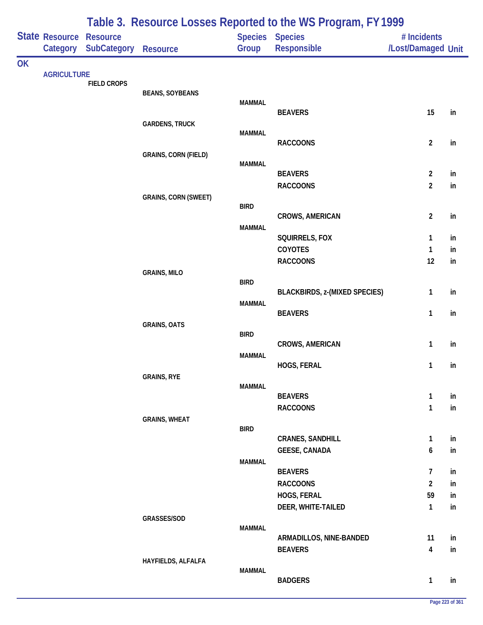|           |                       |                    |                             |               | Table 3. Resource Losses Reported to the WS Program, FY 1999 |                         |          |
|-----------|-----------------------|--------------------|-----------------------------|---------------|--------------------------------------------------------------|-------------------------|----------|
|           | <b>State Resource</b> | <b>Resource</b>    |                             |               | Species Species                                              | # Incidents             |          |
|           | Category              | <b>SubCategory</b> | <b>Resource</b>             | Group         | Responsible                                                  | /Lost/Damaged Unit      |          |
| <b>OK</b> |                       |                    |                             |               |                                                              |                         |          |
|           | <b>AGRICULTURE</b>    | <b>FIELD CROPS</b> |                             |               |                                                              |                         |          |
|           |                       |                    | <b>BEANS, SOYBEANS</b>      |               |                                                              |                         |          |
|           |                       |                    |                             | <b>MAMMAL</b> | <b>BEAVERS</b>                                               | 15                      | in       |
|           |                       |                    | <b>GARDENS, TRUCK</b>       |               |                                                              |                         |          |
|           |                       |                    |                             | <b>MAMMAL</b> |                                                              |                         |          |
|           |                       |                    |                             |               | <b>RACCOONS</b>                                              | $\overline{2}$          | in       |
|           |                       |                    | <b>GRAINS, CORN (FIELD)</b> | <b>MAMMAL</b> |                                                              |                         |          |
|           |                       |                    |                             |               | <b>BEAVERS</b>                                               | $\overline{2}$          | in       |
|           |                       |                    |                             |               | <b>RACCOONS</b>                                              | $\overline{2}$          | in       |
|           |                       |                    | <b>GRAINS, CORN (SWEET)</b> |               |                                                              |                         |          |
|           |                       |                    |                             | <b>BIRD</b>   | <b>CROWS, AMERICAN</b>                                       | $\overline{2}$          | in       |
|           |                       |                    |                             | <b>MAMMAL</b> |                                                              |                         |          |
|           |                       |                    |                             |               | SQUIRRELS, FOX                                               | 1                       | in       |
|           |                       |                    |                             |               | COYOTES                                                      | 1                       | in       |
|           |                       |                    |                             |               | <b>RACCOONS</b>                                              | 12                      | in       |
|           |                       |                    | <b>GRAINS, MILO</b>         | <b>BIRD</b>   |                                                              |                         |          |
|           |                       |                    |                             |               | <b>BLACKBIRDS, z-(MIXED SPECIES)</b>                         | $\mathbf{1}$            | in       |
|           |                       |                    |                             | <b>MAMMAL</b> |                                                              |                         |          |
|           |                       |                    |                             |               | <b>BEAVERS</b>                                               | $\mathbf{1}$            | in       |
|           |                       |                    | <b>GRAINS, OATS</b>         | <b>BIRD</b>   |                                                              |                         |          |
|           |                       |                    |                             |               | <b>CROWS, AMERICAN</b>                                       | $\mathbf{1}$            | in       |
|           |                       |                    |                             | <b>MAMMAL</b> |                                                              |                         |          |
|           |                       |                    |                             |               | HOGS, FERAL                                                  | 1                       | in       |
|           |                       |                    | <b>GRAINS, RYE</b>          | <b>MAMMAL</b> |                                                              |                         |          |
|           |                       |                    |                             |               | <b>BEAVERS</b>                                               | $\mathbf{1}$            | in       |
|           |                       |                    |                             |               | <b>RACCOONS</b>                                              | $\mathbf{1}$            | in       |
|           |                       |                    | <b>GRAINS, WHEAT</b>        | <b>BIRD</b>   |                                                              |                         |          |
|           |                       |                    |                             |               | <b>CRANES, SANDHILL</b>                                      | $\mathbf{1}$            | in       |
|           |                       |                    |                             |               | <b>GEESE, CANADA</b>                                         | 6                       | in       |
|           |                       |                    |                             | <b>MAMMAL</b> |                                                              |                         |          |
|           |                       |                    |                             |               | <b>BEAVERS</b>                                               | 7                       | in       |
|           |                       |                    |                             |               | <b>RACCOONS</b>                                              | $\overline{2}$          | in       |
|           |                       |                    |                             |               | HOGS, FERAL<br>DEER, WHITE-TAILED                            | 59<br>$\mathbf{1}$      | in<br>in |
|           |                       |                    | GRASSES/SOD                 |               |                                                              |                         |          |
|           |                       |                    |                             | <b>MAMMAL</b> |                                                              |                         |          |
|           |                       |                    |                             |               | ARMADILLOS, NINE-BANDED                                      | 11                      | in       |
|           |                       |                    |                             |               | <b>BEAVERS</b>                                               | $\overline{\mathbf{4}}$ | in       |
|           |                       |                    | HAYFIELDS, ALFALFA          | <b>MAMMAL</b> |                                                              |                         |          |
|           |                       |                    |                             |               | <b>BADGERS</b>                                               | $\mathbf{1}$            | in       |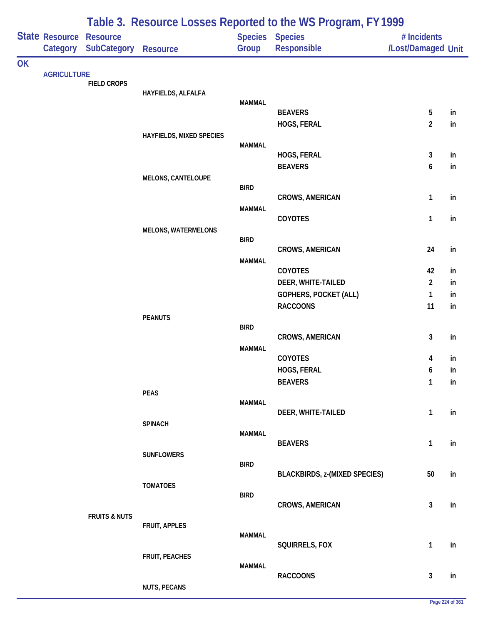|           |                            |                                       |                                 |               | Table 3. Resource Losses Reported to the WS Program, FY 1999 |                                   |          |
|-----------|----------------------------|---------------------------------------|---------------------------------|---------------|--------------------------------------------------------------|-----------------------------------|----------|
|           | State Resource<br>Category | <b>Resource</b><br><b>SubCategory</b> | <b>Resource</b>                 | Group         | Species Species<br>Responsible                               | # Incidents<br>/Lost/Damaged Unit |          |
| <b>OK</b> |                            |                                       |                                 |               |                                                              |                                   |          |
|           | <b>AGRICULTURE</b>         | <b>FIELD CROPS</b>                    |                                 |               |                                                              |                                   |          |
|           |                            |                                       | HAYFIELDS, ALFALFA              |               |                                                              |                                   |          |
|           |                            |                                       |                                 | <b>MAMMAL</b> | <b>BEAVERS</b>                                               | 5                                 | in       |
|           |                            |                                       |                                 |               | HOGS, FERAL                                                  | $\overline{2}$                    | in       |
|           |                            |                                       | <b>HAYFIELDS, MIXED SPECIES</b> |               |                                                              |                                   |          |
|           |                            |                                       |                                 | <b>MAMMAL</b> |                                                              |                                   |          |
|           |                            |                                       |                                 |               | HOGS, FERAL<br><b>BEAVERS</b>                                | 3<br>6                            | in<br>in |
|           |                            |                                       | <b>MELONS, CANTELOUPE</b>       |               |                                                              |                                   |          |
|           |                            |                                       |                                 | <b>BIRD</b>   |                                                              |                                   |          |
|           |                            |                                       |                                 |               | <b>CROWS, AMERICAN</b>                                       | 1                                 | in       |
|           |                            |                                       |                                 | <b>MAMMAL</b> | COYOTES                                                      | 1                                 | in       |
|           |                            |                                       | <b>MELONS, WATERMELONS</b>      |               |                                                              |                                   |          |
|           |                            |                                       |                                 | <b>BIRD</b>   |                                                              |                                   |          |
|           |                            |                                       |                                 |               | <b>CROWS, AMERICAN</b>                                       | 24                                | in       |
|           |                            |                                       |                                 | <b>MAMMAL</b> | COYOTES                                                      | 42                                | in       |
|           |                            |                                       |                                 |               | DEER, WHITE-TAILED                                           | $\overline{2}$                    | in       |
|           |                            |                                       |                                 |               | GOPHERS, POCKET (ALL)                                        | 1                                 | in       |
|           |                            |                                       |                                 |               | <b>RACCOONS</b>                                              | 11                                | in       |
|           |                            |                                       | <b>PEANUTS</b>                  |               |                                                              |                                   |          |
|           |                            |                                       |                                 | <b>BIRD</b>   | <b>CROWS, AMERICAN</b>                                       | 3                                 | in       |
|           |                            |                                       |                                 | <b>MAMMAL</b> |                                                              |                                   |          |
|           |                            |                                       |                                 |               | <b>COYOTES</b>                                               | 4                                 | in       |
|           |                            |                                       |                                 |               | HOGS, FERAL                                                  | 6                                 | in       |
|           |                            |                                       | <b>PEAS</b>                     |               | <b>BEAVERS</b>                                               | 1                                 | in       |
|           |                            |                                       |                                 | <b>MAMMAL</b> |                                                              |                                   |          |
|           |                            |                                       |                                 |               | DEER, WHITE-TAILED                                           | $\mathbf{1}$                      | in       |
|           |                            |                                       | <b>SPINACH</b>                  |               |                                                              |                                   |          |
|           |                            |                                       |                                 | <b>MAMMAL</b> | <b>BEAVERS</b>                                               | 1                                 | in       |
|           |                            |                                       | <b>SUNFLOWERS</b>               |               |                                                              |                                   |          |
|           |                            |                                       |                                 | <b>BIRD</b>   |                                                              |                                   |          |
|           |                            |                                       | <b>TOMATOES</b>                 |               | <b>BLACKBIRDS, z-(MIXED SPECIES)</b>                         | 50                                | in       |
|           |                            |                                       |                                 | <b>BIRD</b>   |                                                              |                                   |          |
|           |                            |                                       |                                 |               | <b>CROWS, AMERICAN</b>                                       | 3                                 | in       |
|           |                            | <b>FRUITS &amp; NUTS</b>              | FRUIT, APPLES                   |               |                                                              |                                   |          |
|           |                            |                                       |                                 | <b>MAMMAL</b> |                                                              |                                   |          |
|           |                            |                                       |                                 |               | SQUIRRELS, FOX                                               | $\mathbf{1}$                      | in       |
|           |                            |                                       | FRUIT, PEACHES                  | <b>MAMMAL</b> |                                                              |                                   |          |
|           |                            |                                       |                                 |               | <b>RACCOONS</b>                                              | 3                                 | in       |
|           |                            |                                       | <b>NUTS, PECANS</b>             |               |                                                              |                                   |          |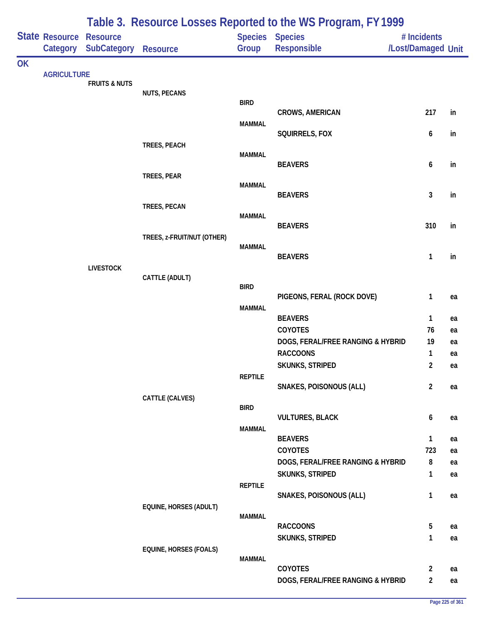|    |                            |                                       |                               |                | Table 3. Resource Losses Reported to the WS Program, FY 1999 |                                   |          |
|----|----------------------------|---------------------------------------|-------------------------------|----------------|--------------------------------------------------------------|-----------------------------------|----------|
|    | State Resource<br>Category | <b>Resource</b><br><b>SubCategory</b> | Resource                      | Group          | <b>Species</b> Species<br>Responsible                        | # Incidents<br>/Lost/Damaged Unit |          |
| OK |                            |                                       |                               |                |                                                              |                                   |          |
|    | <b>AGRICULTURE</b>         | <b>FRUITS &amp; NUTS</b>              |                               |                |                                                              |                                   |          |
|    |                            |                                       | <b>NUTS, PECANS</b>           | <b>BIRD</b>    |                                                              |                                   |          |
|    |                            |                                       |                               |                | <b>CROWS, AMERICAN</b>                                       | 217                               | in       |
|    |                            |                                       |                               | <b>MAMMAL</b>  |                                                              |                                   |          |
|    |                            |                                       | TREES, PEACH                  |                | SQUIRRELS, FOX                                               | 6                                 | in       |
|    |                            |                                       |                               | <b>MAMMAL</b>  |                                                              |                                   |          |
|    |                            |                                       | TREES, PEAR                   |                | <b>BEAVERS</b>                                               | 6                                 | in       |
|    |                            |                                       |                               | <b>MAMMAL</b>  |                                                              |                                   |          |
|    |                            |                                       |                               |                | <b>BEAVERS</b>                                               | $\mathbf{3}$                      | in       |
|    |                            |                                       | TREES, PECAN                  | <b>MAMMAL</b>  |                                                              |                                   |          |
|    |                            |                                       |                               |                | <b>BEAVERS</b>                                               | 310                               | in       |
|    |                            |                                       | TREES, z-FRUIT/NUT (OTHER)    | <b>MAMMAL</b>  |                                                              |                                   |          |
|    |                            |                                       |                               |                | <b>BEAVERS</b>                                               | 1                                 | in       |
|    |                            | <b>LIVESTOCK</b>                      | CATTLE (ADULT)                |                |                                                              |                                   |          |
|    |                            |                                       |                               | <b>BIRD</b>    |                                                              |                                   |          |
|    |                            |                                       |                               | <b>MAMMAL</b>  | PIGEONS, FERAL (ROCK DOVE)                                   | 1                                 | ea       |
|    |                            |                                       |                               |                | <b>BEAVERS</b>                                               | 1                                 | ea       |
|    |                            |                                       |                               |                | <b>COYOTES</b>                                               | 76                                | ea       |
|    |                            |                                       |                               |                | DOGS, FERAL/FREE RANGING & HYBRID<br><b>RACCOONS</b>         | 19                                | ea       |
|    |                            |                                       |                               |                | <b>SKUNKS, STRIPED</b>                                       | 1<br>$\overline{2}$               | ea<br>ea |
|    |                            |                                       |                               | <b>REPTILE</b> |                                                              |                                   |          |
|    |                            |                                       |                               |                | <b>SNAKES, POISONOUS (ALL)</b>                               | $\overline{2}$                    | ea       |
|    |                            |                                       | CATTLE (CALVES)               | <b>BIRD</b>    |                                                              |                                   |          |
|    |                            |                                       |                               |                | <b>VULTURES, BLACK</b>                                       | 6                                 | ea       |
|    |                            |                                       |                               | <b>MAMMAL</b>  | <b>BEAVERS</b>                                               | 1                                 | ea       |
|    |                            |                                       |                               |                | <b>COYOTES</b>                                               | 723                               | ea       |
|    |                            |                                       |                               |                | DOGS, FERAL/FREE RANGING & HYBRID                            | 8                                 | ea       |
|    |                            |                                       |                               |                | <b>SKUNKS, STRIPED</b>                                       | $\mathbf{1}$                      | ea       |
|    |                            |                                       |                               | <b>REPTILE</b> | SNAKES, POISONOUS (ALL)                                      | 1                                 | ea       |
|    |                            |                                       | EQUINE, HORSES (ADULT)        |                |                                                              |                                   |          |
|    |                            |                                       |                               | <b>MAMMAL</b>  | <b>RACCOONS</b>                                              | 5                                 | ea       |
|    |                            |                                       |                               |                | SKUNKS, STRIPED                                              | 1                                 | ea       |
|    |                            |                                       | <b>EQUINE, HORSES (FOALS)</b> |                |                                                              |                                   |          |
|    |                            |                                       |                               | <b>MAMMAL</b>  | <b>COYOTES</b>                                               | $\overline{2}$                    | ea       |
|    |                            |                                       |                               |                | DOGS, FERAL/FREE RANGING & HYBRID                            | $\overline{2}$                    | ea       |
|    |                            |                                       |                               |                |                                                              |                                   |          |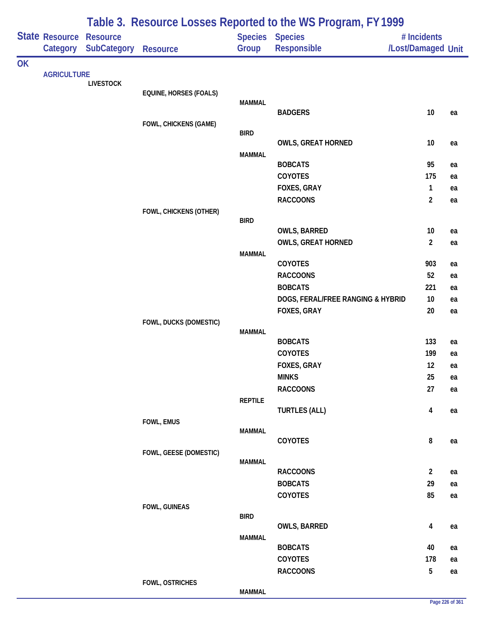|           |                       |                    |                        |                | Table 3. Resource Losses Reported to the WS Program, FY 1999 |                                |    |
|-----------|-----------------------|--------------------|------------------------|----------------|--------------------------------------------------------------|--------------------------------|----|
|           | <b>State Resource</b> | <b>Resource</b>    |                        |                | <b>Species Species</b>                                       | # Incidents                    |    |
|           | Category              | <b>SubCategory</b> | <b>Resource</b>        | Group          | <b>Responsible</b>                                           | /Lost/Damaged Unit             |    |
| <b>OK</b> | <b>AGRICULTURE</b>    |                    |                        |                |                                                              |                                |    |
|           |                       | <b>LIVESTOCK</b>   |                        |                |                                                              |                                |    |
|           |                       |                    | EQUINE, HORSES (FOALS) |                |                                                              |                                |    |
|           |                       |                    |                        | <b>MAMMAL</b>  | <b>BADGERS</b>                                               | $10$                           | ea |
|           |                       |                    | FOWL, CHICKENS (GAME)  |                |                                                              |                                |    |
|           |                       |                    |                        | <b>BIRD</b>    |                                                              |                                |    |
|           |                       |                    |                        |                | <b>OWLS, GREAT HORNED</b>                                    | 10                             | ea |
|           |                       |                    |                        | <b>MAMMAL</b>  |                                                              |                                |    |
|           |                       |                    |                        |                | <b>BOBCATS</b>                                               | 95                             | ea |
|           |                       |                    |                        |                | COYOTES                                                      | 175                            | ea |
|           |                       |                    |                        |                | FOXES, GRAY<br><b>RACCOONS</b>                               | $\mathbf{1}$<br>$\overline{2}$ | ea |
|           |                       |                    | FOWL, CHICKENS (OTHER) |                |                                                              |                                | ea |
|           |                       |                    |                        | <b>BIRD</b>    |                                                              |                                |    |
|           |                       |                    |                        |                | <b>OWLS, BARRED</b>                                          | 10                             | ea |
|           |                       |                    |                        |                | <b>OWLS, GREAT HORNED</b>                                    | $\overline{2}$                 | ea |
|           |                       |                    |                        | <b>MAMMAL</b>  |                                                              |                                |    |
|           |                       |                    |                        |                | COYOTES                                                      | 903                            | ea |
|           |                       |                    |                        |                | <b>RACCOONS</b>                                              | 52                             | ea |
|           |                       |                    |                        |                | <b>BOBCATS</b>                                               | 221                            | ea |
|           |                       |                    |                        |                | DOGS, FERAL/FREE RANGING & HYBRID                            | 10                             | ea |
|           |                       |                    | FOWL, DUCKS (DOMESTIC) |                | FOXES, GRAY                                                  | 20                             | ea |
|           |                       |                    |                        | <b>MAMMAL</b>  |                                                              |                                |    |
|           |                       |                    |                        |                | <b>BOBCATS</b>                                               | 133                            | ea |
|           |                       |                    |                        |                | COYOTES                                                      | 199                            | ea |
|           |                       |                    |                        |                | FOXES, GRAY                                                  | 12                             | ea |
|           |                       |                    |                        |                | <b>MINKS</b>                                                 | 25                             | ea |
|           |                       |                    |                        |                | <b>RACCOONS</b>                                              | 27                             | ea |
|           |                       |                    |                        | <b>REPTILE</b> |                                                              |                                |    |
|           |                       |                    |                        |                | <b>TURTLES (ALL)</b>                                         | $\overline{4}$                 | ea |
|           |                       |                    | FOWL, EMUS             | <b>MAMMAL</b>  |                                                              |                                |    |
|           |                       |                    |                        |                | COYOTES                                                      | 8                              | ea |
|           |                       |                    | FOWL, GEESE (DOMESTIC) |                |                                                              |                                |    |
|           |                       |                    |                        | <b>MAMMAL</b>  |                                                              |                                |    |
|           |                       |                    |                        |                | <b>RACCOONS</b><br><b>BOBCATS</b>                            | $\overline{2}$<br>29           | ea |
|           |                       |                    |                        |                | COYOTES                                                      | 85                             | ea |
|           |                       |                    | FOWL, GUINEAS          |                |                                                              |                                | ea |
|           |                       |                    |                        | <b>BIRD</b>    |                                                              |                                |    |
|           |                       |                    |                        |                | OWLS, BARRED                                                 | 4                              | ea |
|           |                       |                    |                        | <b>MAMMAL</b>  |                                                              |                                |    |
|           |                       |                    |                        |                | <b>BOBCATS</b>                                               | 40                             | ea |
|           |                       |                    |                        |                | COYOTES                                                      | 178                            | ea |
|           |                       |                    |                        |                | <b>RACCOONS</b>                                              | $\overline{5}$                 | ea |
|           |                       |                    | FOWL, OSTRICHES        |                |                                                              |                                |    |

#### **MAMMAL**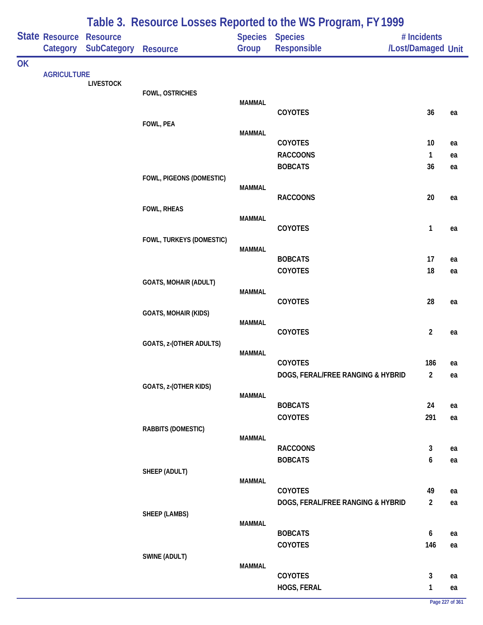|    | State Resource     | <b>Resource</b>    |                              |               | Species Species                   | # Incidents        |    |
|----|--------------------|--------------------|------------------------------|---------------|-----------------------------------|--------------------|----|
|    | Category           | <b>SubCategory</b> | <b>Resource</b>              | Group         | Responsible                       | /Lost/Damaged Unit |    |
| OK | <b>AGRICULTURE</b> |                    |                              |               |                                   |                    |    |
|    |                    | <b>LIVESTOCK</b>   |                              |               |                                   |                    |    |
|    |                    |                    | FOWL, OSTRICHES              |               |                                   |                    |    |
|    |                    |                    |                              | <b>MAMMAL</b> | COYOTES                           | 36                 | ea |
|    |                    |                    | FOWL, PEA                    |               |                                   |                    |    |
|    |                    |                    |                              | <b>MAMMAL</b> |                                   |                    |    |
|    |                    |                    |                              |               | COYOTES                           | 10                 | ea |
|    |                    |                    |                              |               | <b>RACCOONS</b>                   | $\mathbf{1}$       | ea |
|    |                    |                    |                              |               | <b>BOBCATS</b>                    | 36                 | ea |
|    |                    |                    | FOWL, PIGEONS (DOMESTIC)     | <b>MAMMAL</b> |                                   |                    |    |
|    |                    |                    |                              |               | <b>RACCOONS</b>                   | $20\,$             | ea |
|    |                    |                    | <b>FOWL, RHEAS</b>           |               |                                   |                    |    |
|    |                    |                    |                              | <b>MAMMAL</b> | COYOTES                           | 1                  |    |
|    |                    |                    | FOWL, TURKEYS (DOMESTIC)     |               |                                   |                    | ea |
|    |                    |                    |                              | <b>MAMMAL</b> |                                   |                    |    |
|    |                    |                    |                              |               | <b>BOBCATS</b>                    | 17                 | ea |
|    |                    |                    |                              |               | COYOTES                           | $18\,$             | ea |
|    |                    |                    | <b>GOATS, MOHAIR (ADULT)</b> | <b>MAMMAL</b> |                                   |                    |    |
|    |                    |                    |                              |               | COYOTES                           | 28                 | ea |
|    |                    |                    | <b>GOATS, MOHAIR (KIDS)</b>  |               |                                   |                    |    |
|    |                    |                    |                              | <b>MAMMAL</b> |                                   |                    |    |
|    |                    |                    |                              |               | COYOTES                           | $\overline{2}$     | ea |
|    |                    |                    | GOATS, z-(OTHER ADULTS)      | <b>MAMMAL</b> |                                   |                    |    |
|    |                    |                    |                              |               | COYOTES                           | 186                | ea |
|    |                    |                    |                              |               | DOGS, FERAL/FREE RANGING & HYBRID | 2                  | ea |
|    |                    |                    | GOATS, z-(OTHER KIDS)        |               |                                   |                    |    |
|    |                    |                    |                              | <b>MAMMAL</b> | <b>BOBCATS</b>                    | 24                 | ea |
|    |                    |                    |                              |               | COYOTES                           | 291                | ea |
|    |                    |                    | <b>RABBITS (DOMESTIC)</b>    |               |                                   |                    |    |
|    |                    |                    |                              | <b>MAMMAL</b> |                                   |                    |    |
|    |                    |                    |                              |               | <b>RACCOONS</b>                   | $\mathbf{3}$       | ea |
|    |                    |                    |                              |               | <b>BOBCATS</b>                    | 6                  | ea |
|    |                    |                    | SHEEP (ADULT)                | <b>MAMMAL</b> |                                   |                    |    |
|    |                    |                    |                              |               | COYOTES                           | 49                 | ea |
|    |                    |                    |                              |               | DOGS, FERAL/FREE RANGING & HYBRID | $\overline{2}$     | ea |
|    |                    |                    | <b>SHEEP (LAMBS)</b>         |               |                                   |                    |    |
|    |                    |                    |                              | <b>MAMMAL</b> | <b>BOBCATS</b>                    | $\boldsymbol{6}$   | ea |
|    |                    |                    |                              |               | COYOTES                           | 146                | ea |
|    |                    |                    | SWINE (ADULT)                |               |                                   |                    |    |
|    |                    |                    |                              | <b>MAMMAL</b> |                                   |                    |    |
|    |                    |                    |                              |               | COYOTES                           | $\mathbf{3}$       | ea |
|    |                    |                    |                              |               | HOGS, FERAL                       | 1                  | ea |

## **Table 3. Resource Losses Reported to the WS Program, FY 1999**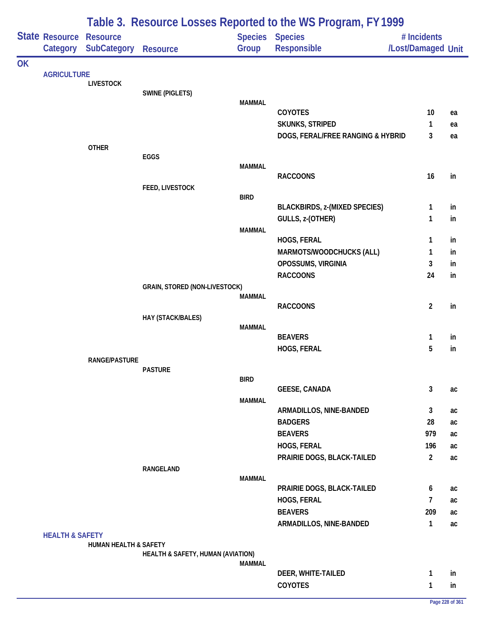|           |                            |                                       |                                   |               | Table 3. Resource Losses Reported to the WS Program, FY 1999 |                                   |          |
|-----------|----------------------------|---------------------------------------|-----------------------------------|---------------|--------------------------------------------------------------|-----------------------------------|----------|
|           | State Resource<br>Category | <b>Resource</b><br><b>SubCategory</b> | <b>Resource</b>                   | Group         | Species Species<br>Responsible                               | # Incidents<br>/Lost/Damaged Unit |          |
| <b>OK</b> |                            |                                       |                                   |               |                                                              |                                   |          |
|           | <b>AGRICULTURE</b>         | <b>LIVESTOCK</b>                      |                                   |               |                                                              |                                   |          |
|           |                            |                                       | <b>SWINE (PIGLETS)</b>            |               |                                                              |                                   |          |
|           |                            |                                       |                                   | <b>MAMMAL</b> |                                                              |                                   |          |
|           |                            |                                       |                                   |               | COYOTES                                                      | 10                                | ea       |
|           |                            |                                       |                                   |               | <b>SKUNKS, STRIPED</b><br>DOGS, FERAL/FREE RANGING & HYBRID  | 1<br>3                            | ea       |
|           |                            | <b>OTHER</b>                          |                                   |               |                                                              |                                   | ea       |
|           |                            |                                       | EGGS                              |               |                                                              |                                   |          |
|           |                            |                                       |                                   | <b>MAMMAL</b> |                                                              |                                   |          |
|           |                            |                                       |                                   |               | <b>RACCOONS</b>                                              | 16                                | in       |
|           |                            |                                       | FEED, LIVESTOCK                   |               |                                                              |                                   |          |
|           |                            |                                       |                                   | <b>BIRD</b>   | <b>BLACKBIRDS, z-(MIXED SPECIES)</b>                         | 1                                 | in       |
|           |                            |                                       |                                   |               | GULLS, z-(OTHER)                                             | 1                                 | in       |
|           |                            |                                       |                                   | <b>MAMMAL</b> |                                                              |                                   |          |
|           |                            |                                       |                                   |               | HOGS, FERAL                                                  | 1                                 | in       |
|           |                            |                                       |                                   |               | MARMOTS/WOODCHUCKS (ALL)                                     | 1                                 | in       |
|           |                            |                                       |                                   |               | OPOSSUMS, VIRGINIA                                           | 3                                 | in       |
|           |                            |                                       |                                   |               | <b>RACCOONS</b>                                              | 24                                | in       |
|           |                            |                                       | GRAIN, STORED (NON-LIVESTOCK)     |               |                                                              |                                   |          |
|           |                            |                                       |                                   | <b>MAMMAL</b> |                                                              |                                   |          |
|           |                            |                                       | HAY (STACK/BALES)                 |               | <b>RACCOONS</b>                                              | $\overline{2}$                    | in       |
|           |                            |                                       |                                   | <b>MAMMAL</b> |                                                              |                                   |          |
|           |                            |                                       |                                   |               | <b>BEAVERS</b>                                               | 1                                 | in       |
|           |                            |                                       |                                   |               | HOGS, FERAL                                                  | 5                                 | in       |
|           |                            | <b>RANGE/PASTURE</b>                  |                                   |               |                                                              |                                   |          |
|           |                            |                                       | <b>PASTURE</b>                    |               |                                                              |                                   |          |
|           |                            |                                       |                                   | <b>BIRD</b>   | <b>GEESE, CANADA</b>                                         | 3                                 | ac       |
|           |                            |                                       |                                   | <b>MAMMAL</b> |                                                              |                                   |          |
|           |                            |                                       |                                   |               | ARMADILLOS, NINE-BANDED                                      | 3                                 | ac       |
|           |                            |                                       |                                   |               | <b>BADGERS</b>                                               | 28                                | ac       |
|           |                            |                                       |                                   |               | <b>BEAVERS</b>                                               | 979                               | ac       |
|           |                            |                                       |                                   |               | HOGS, FERAL                                                  | 196                               | ac       |
|           |                            |                                       |                                   |               | PRAIRIE DOGS, BLACK-TAILED                                   | $\overline{2}$                    | ac       |
|           |                            |                                       | RANGELAND                         |               |                                                              |                                   |          |
|           |                            |                                       |                                   | <b>MAMMAL</b> | PRAIRIE DOGS, BLACK-TAILED                                   | 6                                 |          |
|           |                            |                                       |                                   |               | HOGS, FERAL                                                  | $\overline{7}$                    | ac       |
|           | <b>HEALTH &amp; SAFETY</b> |                                       |                                   |               | <b>BEAVERS</b>                                               | 209                               | ac       |
|           |                            |                                       |                                   |               | ARMADILLOS, NINE-BANDED                                      | $\mathbf{1}$                      | ac<br>ac |
|           |                            |                                       |                                   |               |                                                              |                                   |          |
|           |                            | HUMAN HEALTH & SAFETY                 |                                   |               |                                                              |                                   |          |
|           |                            |                                       | HEALTH & SAFETY, HUMAN (AVIATION) |               |                                                              |                                   |          |
|           |                            |                                       |                                   | <b>MAMMAL</b> |                                                              |                                   |          |
|           |                            |                                       |                                   |               | DEER, WHITE-TAILED<br><b>COYOTES</b>                         | 1                                 | in       |
|           |                            |                                       |                                   |               |                                                              | $\mathbf{1}$                      | in       |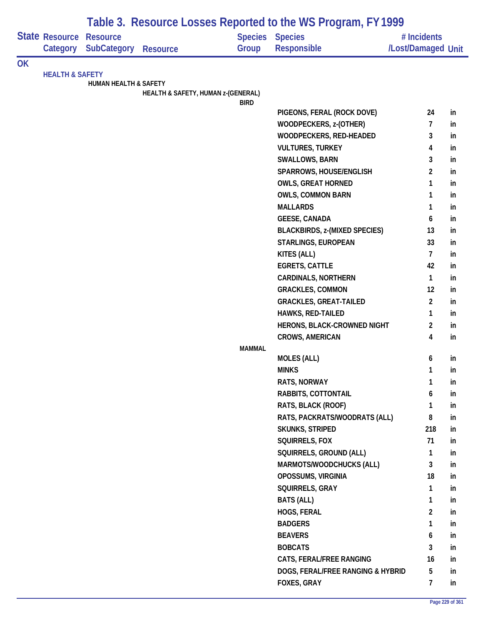| Responsible<br>/Lost/Damaged Unit<br>Category SubCategory<br>Group<br><b>Resource</b><br><b>OK</b><br><b>HEALTH &amp; SAFETY</b><br><b>HUMAN HEALTH &amp; SAFETY</b><br>HEALTH & SAFETY, HUMAN z-(GENERAL)<br><b>BIRD</b><br>24<br>PIGEONS, FERAL (ROCK DOVE)<br>in<br>WOODPECKERS, z-(OTHER)<br>7<br>in<br>3<br>WOODPECKERS, RED-HEADED<br>in<br><b>VULTURES, TURKEY</b><br>4<br>in<br>3<br><b>SWALLOWS, BARN</b><br>in<br>$\overline{2}$<br>SPARROWS, HOUSE/ENGLISH<br>in<br><b>OWLS, GREAT HORNED</b><br>$\mathbf{1}$<br>in<br><b>OWLS, COMMON BARN</b><br>1<br>in<br><b>MALLARDS</b><br>1<br>in<br><b>GEESE, CANADA</b><br>6<br>in<br><b>BLACKBIRDS, z-(MIXED SPECIES)</b><br>13<br>in<br>STARLINGS, EUROPEAN<br>33<br>in<br>KITES (ALL)<br>$\overline{7}$<br>in<br><b>EGRETS, CATTLE</b><br>42<br>in<br><b>CARDINALS, NORTHERN</b><br>$\mathbf{1}$<br>in<br><b>GRACKLES, COMMON</b><br>12<br>in<br><b>GRACKLES, GREAT-TAILED</b><br>$\overline{2}$<br>in<br><b>HAWKS, RED-TAILED</b><br>$\mathbf{1}$<br>in<br>HERONS, BLACK-CROWNED NIGHT<br>$\overline{2}$<br>in<br><b>CROWS, AMERICAN</b><br>4<br>in<br><b>MAMMAL</b><br><b>MOLES (ALL)</b><br>6<br>in<br><b>MINKS</b><br>1<br>in<br>RATS, NORWAY<br>1<br>in<br>RABBITS, COTTONTAIL<br>6<br>in<br>RATS, BLACK (ROOF)<br>1<br>in<br>RATS, PACKRATS/WOODRATS (ALL)<br>8<br>in<br>SKUNKS, STRIPED<br>218<br>in<br>SQUIRRELS, FOX<br>71<br>in<br>SQUIRRELS, GROUND (ALL)<br>1<br>in<br>MARMOTS/WOODCHUCKS (ALL)<br>3<br>in<br>OPOSSUMS, VIRGINIA<br>18<br>in<br>SQUIRRELS, GRAY<br>1<br>in<br><b>BATS (ALL)</b><br>1<br>in<br>HOGS, FERAL<br>$\overline{2}$<br>in<br><b>BADGERS</b><br>1<br>in<br><b>BEAVERS</b><br>6<br>in<br>3<br><b>BOBCATS</b><br>in<br>CATS, FERAL/FREE RANGING<br>16<br>in<br>5<br>DOGS, FERAL/FREE RANGING & HYBRID<br>in | <b>State Resource</b> | <b>Resource</b> |  | Table 5. Resource Losses Reported to the WS Program, FT 1999<br><b>Species Species</b> | # Incidents    |    |
|-----------------------------------------------------------------------------------------------------------------------------------------------------------------------------------------------------------------------------------------------------------------------------------------------------------------------------------------------------------------------------------------------------------------------------------------------------------------------------------------------------------------------------------------------------------------------------------------------------------------------------------------------------------------------------------------------------------------------------------------------------------------------------------------------------------------------------------------------------------------------------------------------------------------------------------------------------------------------------------------------------------------------------------------------------------------------------------------------------------------------------------------------------------------------------------------------------------------------------------------------------------------------------------------------------------------------------------------------------------------------------------------------------------------------------------------------------------------------------------------------------------------------------------------------------------------------------------------------------------------------------------------------------------------------------------------------------------------------------------------------------------------------------------------------------|-----------------------|-----------------|--|----------------------------------------------------------------------------------------|----------------|----|
|                                                                                                                                                                                                                                                                                                                                                                                                                                                                                                                                                                                                                                                                                                                                                                                                                                                                                                                                                                                                                                                                                                                                                                                                                                                                                                                                                                                                                                                                                                                                                                                                                                                                                                                                                                                                     |                       |                 |  |                                                                                        |                |    |
|                                                                                                                                                                                                                                                                                                                                                                                                                                                                                                                                                                                                                                                                                                                                                                                                                                                                                                                                                                                                                                                                                                                                                                                                                                                                                                                                                                                                                                                                                                                                                                                                                                                                                                                                                                                                     |                       |                 |  |                                                                                        |                |    |
|                                                                                                                                                                                                                                                                                                                                                                                                                                                                                                                                                                                                                                                                                                                                                                                                                                                                                                                                                                                                                                                                                                                                                                                                                                                                                                                                                                                                                                                                                                                                                                                                                                                                                                                                                                                                     |                       |                 |  |                                                                                        |                |    |
|                                                                                                                                                                                                                                                                                                                                                                                                                                                                                                                                                                                                                                                                                                                                                                                                                                                                                                                                                                                                                                                                                                                                                                                                                                                                                                                                                                                                                                                                                                                                                                                                                                                                                                                                                                                                     |                       |                 |  |                                                                                        |                |    |
|                                                                                                                                                                                                                                                                                                                                                                                                                                                                                                                                                                                                                                                                                                                                                                                                                                                                                                                                                                                                                                                                                                                                                                                                                                                                                                                                                                                                                                                                                                                                                                                                                                                                                                                                                                                                     |                       |                 |  |                                                                                        |                |    |
|                                                                                                                                                                                                                                                                                                                                                                                                                                                                                                                                                                                                                                                                                                                                                                                                                                                                                                                                                                                                                                                                                                                                                                                                                                                                                                                                                                                                                                                                                                                                                                                                                                                                                                                                                                                                     |                       |                 |  |                                                                                        |                |    |
|                                                                                                                                                                                                                                                                                                                                                                                                                                                                                                                                                                                                                                                                                                                                                                                                                                                                                                                                                                                                                                                                                                                                                                                                                                                                                                                                                                                                                                                                                                                                                                                                                                                                                                                                                                                                     |                       |                 |  |                                                                                        |                |    |
|                                                                                                                                                                                                                                                                                                                                                                                                                                                                                                                                                                                                                                                                                                                                                                                                                                                                                                                                                                                                                                                                                                                                                                                                                                                                                                                                                                                                                                                                                                                                                                                                                                                                                                                                                                                                     |                       |                 |  |                                                                                        |                |    |
|                                                                                                                                                                                                                                                                                                                                                                                                                                                                                                                                                                                                                                                                                                                                                                                                                                                                                                                                                                                                                                                                                                                                                                                                                                                                                                                                                                                                                                                                                                                                                                                                                                                                                                                                                                                                     |                       |                 |  |                                                                                        |                |    |
|                                                                                                                                                                                                                                                                                                                                                                                                                                                                                                                                                                                                                                                                                                                                                                                                                                                                                                                                                                                                                                                                                                                                                                                                                                                                                                                                                                                                                                                                                                                                                                                                                                                                                                                                                                                                     |                       |                 |  |                                                                                        |                |    |
|                                                                                                                                                                                                                                                                                                                                                                                                                                                                                                                                                                                                                                                                                                                                                                                                                                                                                                                                                                                                                                                                                                                                                                                                                                                                                                                                                                                                                                                                                                                                                                                                                                                                                                                                                                                                     |                       |                 |  |                                                                                        |                |    |
|                                                                                                                                                                                                                                                                                                                                                                                                                                                                                                                                                                                                                                                                                                                                                                                                                                                                                                                                                                                                                                                                                                                                                                                                                                                                                                                                                                                                                                                                                                                                                                                                                                                                                                                                                                                                     |                       |                 |  |                                                                                        |                |    |
|                                                                                                                                                                                                                                                                                                                                                                                                                                                                                                                                                                                                                                                                                                                                                                                                                                                                                                                                                                                                                                                                                                                                                                                                                                                                                                                                                                                                                                                                                                                                                                                                                                                                                                                                                                                                     |                       |                 |  |                                                                                        |                |    |
|                                                                                                                                                                                                                                                                                                                                                                                                                                                                                                                                                                                                                                                                                                                                                                                                                                                                                                                                                                                                                                                                                                                                                                                                                                                                                                                                                                                                                                                                                                                                                                                                                                                                                                                                                                                                     |                       |                 |  |                                                                                        |                |    |
|                                                                                                                                                                                                                                                                                                                                                                                                                                                                                                                                                                                                                                                                                                                                                                                                                                                                                                                                                                                                                                                                                                                                                                                                                                                                                                                                                                                                                                                                                                                                                                                                                                                                                                                                                                                                     |                       |                 |  |                                                                                        |                |    |
|                                                                                                                                                                                                                                                                                                                                                                                                                                                                                                                                                                                                                                                                                                                                                                                                                                                                                                                                                                                                                                                                                                                                                                                                                                                                                                                                                                                                                                                                                                                                                                                                                                                                                                                                                                                                     |                       |                 |  |                                                                                        |                |    |
|                                                                                                                                                                                                                                                                                                                                                                                                                                                                                                                                                                                                                                                                                                                                                                                                                                                                                                                                                                                                                                                                                                                                                                                                                                                                                                                                                                                                                                                                                                                                                                                                                                                                                                                                                                                                     |                       |                 |  |                                                                                        |                |    |
|                                                                                                                                                                                                                                                                                                                                                                                                                                                                                                                                                                                                                                                                                                                                                                                                                                                                                                                                                                                                                                                                                                                                                                                                                                                                                                                                                                                                                                                                                                                                                                                                                                                                                                                                                                                                     |                       |                 |  |                                                                                        |                |    |
|                                                                                                                                                                                                                                                                                                                                                                                                                                                                                                                                                                                                                                                                                                                                                                                                                                                                                                                                                                                                                                                                                                                                                                                                                                                                                                                                                                                                                                                                                                                                                                                                                                                                                                                                                                                                     |                       |                 |  |                                                                                        |                |    |
|                                                                                                                                                                                                                                                                                                                                                                                                                                                                                                                                                                                                                                                                                                                                                                                                                                                                                                                                                                                                                                                                                                                                                                                                                                                                                                                                                                                                                                                                                                                                                                                                                                                                                                                                                                                                     |                       |                 |  |                                                                                        |                |    |
|                                                                                                                                                                                                                                                                                                                                                                                                                                                                                                                                                                                                                                                                                                                                                                                                                                                                                                                                                                                                                                                                                                                                                                                                                                                                                                                                                                                                                                                                                                                                                                                                                                                                                                                                                                                                     |                       |                 |  |                                                                                        |                |    |
|                                                                                                                                                                                                                                                                                                                                                                                                                                                                                                                                                                                                                                                                                                                                                                                                                                                                                                                                                                                                                                                                                                                                                                                                                                                                                                                                                                                                                                                                                                                                                                                                                                                                                                                                                                                                     |                       |                 |  |                                                                                        |                |    |
|                                                                                                                                                                                                                                                                                                                                                                                                                                                                                                                                                                                                                                                                                                                                                                                                                                                                                                                                                                                                                                                                                                                                                                                                                                                                                                                                                                                                                                                                                                                                                                                                                                                                                                                                                                                                     |                       |                 |  |                                                                                        |                |    |
|                                                                                                                                                                                                                                                                                                                                                                                                                                                                                                                                                                                                                                                                                                                                                                                                                                                                                                                                                                                                                                                                                                                                                                                                                                                                                                                                                                                                                                                                                                                                                                                                                                                                                                                                                                                                     |                       |                 |  |                                                                                        |                |    |
|                                                                                                                                                                                                                                                                                                                                                                                                                                                                                                                                                                                                                                                                                                                                                                                                                                                                                                                                                                                                                                                                                                                                                                                                                                                                                                                                                                                                                                                                                                                                                                                                                                                                                                                                                                                                     |                       |                 |  |                                                                                        |                |    |
|                                                                                                                                                                                                                                                                                                                                                                                                                                                                                                                                                                                                                                                                                                                                                                                                                                                                                                                                                                                                                                                                                                                                                                                                                                                                                                                                                                                                                                                                                                                                                                                                                                                                                                                                                                                                     |                       |                 |  |                                                                                        |                |    |
|                                                                                                                                                                                                                                                                                                                                                                                                                                                                                                                                                                                                                                                                                                                                                                                                                                                                                                                                                                                                                                                                                                                                                                                                                                                                                                                                                                                                                                                                                                                                                                                                                                                                                                                                                                                                     |                       |                 |  |                                                                                        |                |    |
|                                                                                                                                                                                                                                                                                                                                                                                                                                                                                                                                                                                                                                                                                                                                                                                                                                                                                                                                                                                                                                                                                                                                                                                                                                                                                                                                                                                                                                                                                                                                                                                                                                                                                                                                                                                                     |                       |                 |  |                                                                                        |                |    |
|                                                                                                                                                                                                                                                                                                                                                                                                                                                                                                                                                                                                                                                                                                                                                                                                                                                                                                                                                                                                                                                                                                                                                                                                                                                                                                                                                                                                                                                                                                                                                                                                                                                                                                                                                                                                     |                       |                 |  |                                                                                        |                |    |
|                                                                                                                                                                                                                                                                                                                                                                                                                                                                                                                                                                                                                                                                                                                                                                                                                                                                                                                                                                                                                                                                                                                                                                                                                                                                                                                                                                                                                                                                                                                                                                                                                                                                                                                                                                                                     |                       |                 |  |                                                                                        |                |    |
|                                                                                                                                                                                                                                                                                                                                                                                                                                                                                                                                                                                                                                                                                                                                                                                                                                                                                                                                                                                                                                                                                                                                                                                                                                                                                                                                                                                                                                                                                                                                                                                                                                                                                                                                                                                                     |                       |                 |  |                                                                                        |                |    |
|                                                                                                                                                                                                                                                                                                                                                                                                                                                                                                                                                                                                                                                                                                                                                                                                                                                                                                                                                                                                                                                                                                                                                                                                                                                                                                                                                                                                                                                                                                                                                                                                                                                                                                                                                                                                     |                       |                 |  |                                                                                        |                |    |
|                                                                                                                                                                                                                                                                                                                                                                                                                                                                                                                                                                                                                                                                                                                                                                                                                                                                                                                                                                                                                                                                                                                                                                                                                                                                                                                                                                                                                                                                                                                                                                                                                                                                                                                                                                                                     |                       |                 |  |                                                                                        |                |    |
|                                                                                                                                                                                                                                                                                                                                                                                                                                                                                                                                                                                                                                                                                                                                                                                                                                                                                                                                                                                                                                                                                                                                                                                                                                                                                                                                                                                                                                                                                                                                                                                                                                                                                                                                                                                                     |                       |                 |  |                                                                                        |                |    |
|                                                                                                                                                                                                                                                                                                                                                                                                                                                                                                                                                                                                                                                                                                                                                                                                                                                                                                                                                                                                                                                                                                                                                                                                                                                                                                                                                                                                                                                                                                                                                                                                                                                                                                                                                                                                     |                       |                 |  |                                                                                        |                |    |
|                                                                                                                                                                                                                                                                                                                                                                                                                                                                                                                                                                                                                                                                                                                                                                                                                                                                                                                                                                                                                                                                                                                                                                                                                                                                                                                                                                                                                                                                                                                                                                                                                                                                                                                                                                                                     |                       |                 |  |                                                                                        |                |    |
|                                                                                                                                                                                                                                                                                                                                                                                                                                                                                                                                                                                                                                                                                                                                                                                                                                                                                                                                                                                                                                                                                                                                                                                                                                                                                                                                                                                                                                                                                                                                                                                                                                                                                                                                                                                                     |                       |                 |  |                                                                                        |                |    |
|                                                                                                                                                                                                                                                                                                                                                                                                                                                                                                                                                                                                                                                                                                                                                                                                                                                                                                                                                                                                                                                                                                                                                                                                                                                                                                                                                                                                                                                                                                                                                                                                                                                                                                                                                                                                     |                       |                 |  |                                                                                        |                |    |
|                                                                                                                                                                                                                                                                                                                                                                                                                                                                                                                                                                                                                                                                                                                                                                                                                                                                                                                                                                                                                                                                                                                                                                                                                                                                                                                                                                                                                                                                                                                                                                                                                                                                                                                                                                                                     |                       |                 |  |                                                                                        |                |    |
|                                                                                                                                                                                                                                                                                                                                                                                                                                                                                                                                                                                                                                                                                                                                                                                                                                                                                                                                                                                                                                                                                                                                                                                                                                                                                                                                                                                                                                                                                                                                                                                                                                                                                                                                                                                                     |                       |                 |  |                                                                                        |                |    |
|                                                                                                                                                                                                                                                                                                                                                                                                                                                                                                                                                                                                                                                                                                                                                                                                                                                                                                                                                                                                                                                                                                                                                                                                                                                                                                                                                                                                                                                                                                                                                                                                                                                                                                                                                                                                     |                       |                 |  |                                                                                        |                |    |
|                                                                                                                                                                                                                                                                                                                                                                                                                                                                                                                                                                                                                                                                                                                                                                                                                                                                                                                                                                                                                                                                                                                                                                                                                                                                                                                                                                                                                                                                                                                                                                                                                                                                                                                                                                                                     |                       |                 |  |                                                                                        |                |    |
|                                                                                                                                                                                                                                                                                                                                                                                                                                                                                                                                                                                                                                                                                                                                                                                                                                                                                                                                                                                                                                                                                                                                                                                                                                                                                                                                                                                                                                                                                                                                                                                                                                                                                                                                                                                                     |                       |                 |  |                                                                                        |                |    |
|                                                                                                                                                                                                                                                                                                                                                                                                                                                                                                                                                                                                                                                                                                                                                                                                                                                                                                                                                                                                                                                                                                                                                                                                                                                                                                                                                                                                                                                                                                                                                                                                                                                                                                                                                                                                     |                       |                 |  |                                                                                        |                |    |
|                                                                                                                                                                                                                                                                                                                                                                                                                                                                                                                                                                                                                                                                                                                                                                                                                                                                                                                                                                                                                                                                                                                                                                                                                                                                                                                                                                                                                                                                                                                                                                                                                                                                                                                                                                                                     |                       |                 |  | FOXES, GRAY                                                                            | $\overline{7}$ | in |

# **Table 3. Resource Losses Reported to the WS Program, FY 1999**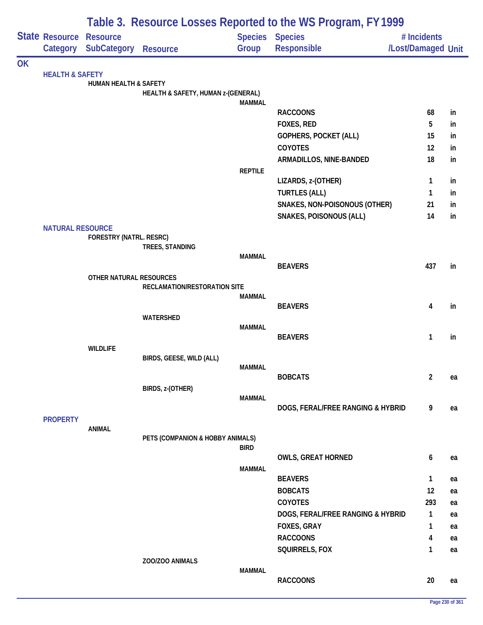|           |                            |                                  | Table 3. Resource Losses Reported to the WS Program, FY 1999 |                |                                   |                         |    |  |  |  |
|-----------|----------------------------|----------------------------------|--------------------------------------------------------------|----------------|-----------------------------------|-------------------------|----|--|--|--|
|           | <b>State Resource</b>      | <b>Resource</b>                  |                                                              |                | <b>Species Species</b>            | # Incidents             |    |  |  |  |
|           |                            | Category SubCategory             | <b>Resource</b>                                              | Group          | Responsible                       | /Lost/Damaged Unit      |    |  |  |  |
| <b>OK</b> |                            |                                  |                                                              |                |                                   |                         |    |  |  |  |
|           | <b>HEALTH &amp; SAFETY</b> | <b>HUMAN HEALTH &amp; SAFETY</b> |                                                              |                |                                   |                         |    |  |  |  |
|           |                            |                                  | HEALTH & SAFETY, HUMAN z-(GENERAL)                           |                |                                   |                         |    |  |  |  |
|           |                            |                                  |                                                              | <b>MAMMAL</b>  | <b>RACCOONS</b>                   | 68                      | in |  |  |  |
|           |                            |                                  |                                                              |                | FOXES, RED                        | 5                       | in |  |  |  |
|           |                            |                                  |                                                              |                | <b>GOPHERS, POCKET (ALL)</b>      | 15                      | in |  |  |  |
|           |                            |                                  |                                                              |                | COYOTES                           | 12                      | in |  |  |  |
|           |                            |                                  |                                                              |                | ARMADILLOS, NINE-BANDED           | 18                      | in |  |  |  |
|           |                            |                                  |                                                              | <b>REPTILE</b> |                                   |                         |    |  |  |  |
|           |                            |                                  |                                                              |                | LIZARDS, z-(OTHER)                | 1                       | in |  |  |  |
|           |                            |                                  |                                                              |                | <b>TURTLES (ALL)</b>              | 1                       | in |  |  |  |
|           |                            |                                  |                                                              |                | SNAKES, NON-POISONOUS (OTHER)     | 21                      | in |  |  |  |
|           |                            |                                  |                                                              |                | <b>SNAKES, POISONOUS (ALL)</b>    | 14                      | in |  |  |  |
|           | <b>NATURAL RESOURCE</b>    |                                  |                                                              |                |                                   |                         |    |  |  |  |
|           |                            | FORESTRY (NATRL. RESRC)          |                                                              |                |                                   |                         |    |  |  |  |
|           |                            |                                  | TREES, STANDING                                              |                |                                   |                         |    |  |  |  |
|           |                            |                                  |                                                              | <b>MAMMAL</b>  | <b>BEAVERS</b>                    | 437                     | in |  |  |  |
|           |                            | OTHER NATURAL RESOURCES          |                                                              |                |                                   |                         |    |  |  |  |
|           |                            |                                  | RECLAMATION/RESTORATION SITE                                 |                |                                   |                         |    |  |  |  |
|           |                            |                                  |                                                              | <b>MAMMAL</b>  |                                   |                         |    |  |  |  |
|           |                            |                                  |                                                              |                | <b>BEAVERS</b>                    | 4                       | in |  |  |  |
|           |                            |                                  | WATERSHED                                                    |                |                                   |                         |    |  |  |  |
|           |                            |                                  |                                                              | <b>MAMMAL</b>  | <b>BEAVERS</b>                    | 1                       | in |  |  |  |
|           |                            | <b>WILDLIFE</b>                  |                                                              |                |                                   |                         |    |  |  |  |
|           |                            |                                  | BIRDS, GEESE, WILD (ALL)                                     |                |                                   |                         |    |  |  |  |
|           |                            |                                  |                                                              | MAMMAL         |                                   |                         |    |  |  |  |
|           |                            |                                  |                                                              |                | <b>BOBCATS</b>                    | $\overline{\mathbf{c}}$ | ea |  |  |  |
|           |                            |                                  | BIRDS, z-(OTHER)                                             |                |                                   |                         |    |  |  |  |
|           |                            |                                  |                                                              | <b>MAMMAL</b>  | DOGS, FERAL/FREE RANGING & HYBRID | 9                       | ea |  |  |  |
|           | <b>PROPERTY</b>            |                                  |                                                              |                |                                   |                         |    |  |  |  |
|           |                            | <b>ANIMAL</b>                    |                                                              |                |                                   |                         |    |  |  |  |
|           |                            |                                  | PETS (COMPANION & HOBBY ANIMALS)                             |                |                                   |                         |    |  |  |  |
|           |                            |                                  |                                                              | <b>BIRD</b>    |                                   |                         |    |  |  |  |
|           |                            |                                  |                                                              |                | <b>OWLS, GREAT HORNED</b>         | 6                       | ea |  |  |  |
|           |                            |                                  |                                                              | <b>MAMMAL</b>  | <b>BEAVERS</b>                    | 1                       | ea |  |  |  |
|           |                            |                                  |                                                              |                | <b>BOBCATS</b>                    | 12                      | ea |  |  |  |
|           |                            |                                  |                                                              |                | COYOTES                           | 293                     | ea |  |  |  |
|           |                            |                                  |                                                              |                | DOGS, FERAL/FREE RANGING & HYBRID | 1                       | ea |  |  |  |
|           |                            |                                  |                                                              |                | FOXES, GRAY                       | 1                       | ea |  |  |  |
|           |                            |                                  |                                                              |                | <b>RACCOONS</b>                   | 4                       | ea |  |  |  |
|           |                            |                                  |                                                              |                | SQUIRRELS, FOX                    | 1                       | ea |  |  |  |
|           |                            |                                  | ZOO/ZOO ANIMALS                                              |                |                                   |                         |    |  |  |  |
|           |                            |                                  |                                                              | <b>MAMMAL</b>  |                                   |                         |    |  |  |  |
|           |                            |                                  |                                                              |                | <b>RACCOONS</b>                   | 20                      | ea |  |  |  |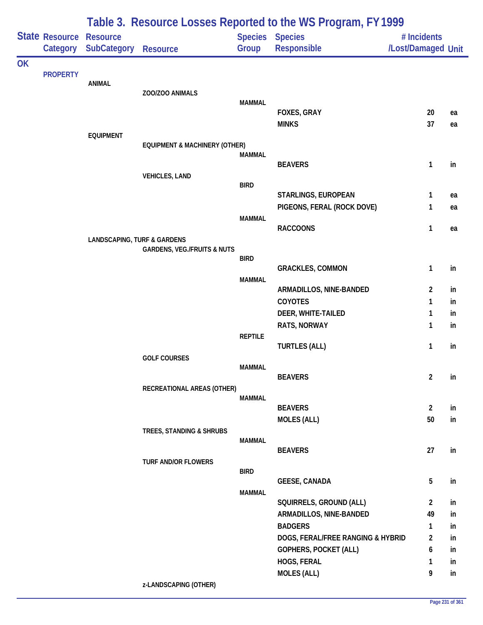|           |                                     | Table 3. Resource Losses Reported to the WS Program, FY 1999 |                                          |                |                                                                   |                                   |               |  |  |
|-----------|-------------------------------------|--------------------------------------------------------------|------------------------------------------|----------------|-------------------------------------------------------------------|-----------------------------------|---------------|--|--|
|           | State Resource Resource<br>Category | <b>SubCategory</b>                                           | <b>Resource</b>                          | Group          | Species Species<br><b>Responsible</b>                             | # Incidents<br>/Lost/Damaged Unit |               |  |  |
| <b>OK</b> |                                     |                                                              |                                          |                |                                                                   |                                   |               |  |  |
|           | <b>PROPERTY</b>                     | <b>ANIMAL</b>                                                |                                          |                |                                                                   |                                   |               |  |  |
|           |                                     |                                                              | ZOO/ZOO ANIMALS                          |                |                                                                   |                                   |               |  |  |
|           |                                     |                                                              |                                          | <b>MAMMAL</b>  | FOXES, GRAY                                                       | 20                                | ea            |  |  |
|           |                                     |                                                              |                                          |                | <b>MINKS</b>                                                      | 37                                | ea            |  |  |
|           |                                     | <b>EQUIPMENT</b>                                             |                                          |                |                                                                   |                                   |               |  |  |
|           |                                     |                                                              | <b>EQUIPMENT &amp; MACHINERY (OTHER)</b> | <b>MAMMAL</b>  |                                                                   |                                   |               |  |  |
|           |                                     |                                                              |                                          |                | <b>BEAVERS</b>                                                    | 1                                 | in            |  |  |
|           |                                     |                                                              | <b>VEHICLES, LAND</b>                    | <b>BIRD</b>    |                                                                   |                                   |               |  |  |
|           |                                     |                                                              |                                          |                | STARLINGS, EUROPEAN                                               | 1                                 | ea            |  |  |
|           |                                     |                                                              |                                          |                | PIGEONS, FERAL (ROCK DOVE)                                        | 1                                 | ea            |  |  |
|           |                                     |                                                              |                                          | <b>MAMMAL</b>  |                                                                   |                                   |               |  |  |
|           |                                     | <b>LANDSCAPING, TURF &amp; GARDENS</b>                       |                                          |                | <b>RACCOONS</b>                                                   | 1                                 | ea            |  |  |
|           |                                     |                                                              | <b>GARDENS, VEG./FRUITS &amp; NUTS</b>   |                |                                                                   |                                   |               |  |  |
|           |                                     |                                                              |                                          | <b>BIRD</b>    | <b>GRACKLES, COMMON</b>                                           | 1                                 | in            |  |  |
|           |                                     |                                                              |                                          | <b>MAMMAL</b>  |                                                                   |                                   |               |  |  |
|           |                                     |                                                              |                                          |                | ARMADILLOS, NINE-BANDED                                           | 2                                 | in            |  |  |
|           |                                     |                                                              |                                          |                | <b>COYOTES</b>                                                    | 1                                 | in            |  |  |
|           |                                     |                                                              |                                          |                | DEER, WHITE-TAILED<br>RATS, NORWAY                                | 1<br>1                            | in.<br>in     |  |  |
|           |                                     |                                                              |                                          | <b>REPTILE</b> |                                                                   |                                   |               |  |  |
|           |                                     |                                                              |                                          |                | <b>TURTLES (ALL)</b>                                              | 1                                 | in            |  |  |
|           |                                     |                                                              | <b>GOLF COURSES</b>                      | <b>MAMMAL</b>  |                                                                   |                                   |               |  |  |
|           |                                     |                                                              |                                          |                | <b>BEAVERS</b>                                                    | $\overline{2}$                    | in            |  |  |
|           |                                     |                                                              | RECREATIONAL AREAS (OTHER)               |                |                                                                   |                                   |               |  |  |
|           |                                     |                                                              |                                          | <b>MAMMAL</b>  | <b>BEAVERS</b>                                                    | $\overline{2}$                    | in            |  |  |
|           |                                     |                                                              |                                          |                | <b>MOLES (ALL)</b>                                                | 50                                | in            |  |  |
|           |                                     |                                                              | TREES, STANDING & SHRUBS                 |                |                                                                   |                                   |               |  |  |
|           |                                     |                                                              |                                          | <b>MAMMAL</b>  | <b>BEAVERS</b>                                                    | 27                                | $\mathsf{in}$ |  |  |
|           |                                     |                                                              | <b>TURF AND/OR FLOWERS</b>               |                |                                                                   |                                   |               |  |  |
|           |                                     |                                                              |                                          | <b>BIRD</b>    |                                                                   |                                   |               |  |  |
|           |                                     |                                                              |                                          | <b>MAMMAL</b>  | <b>GEESE, CANADA</b>                                              | 5                                 | in            |  |  |
|           |                                     |                                                              |                                          |                | SQUIRRELS, GROUND (ALL)                                           | $\overline{2}$                    | in            |  |  |
|           |                                     |                                                              |                                          |                | ARMADILLOS, NINE-BANDED                                           | 49                                | in            |  |  |
|           |                                     |                                                              |                                          |                | <b>BADGERS</b>                                                    | 1                                 | in            |  |  |
|           |                                     |                                                              |                                          |                | DOGS, FERAL/FREE RANGING & HYBRID<br><b>GOPHERS, POCKET (ALL)</b> | $\overline{2}$<br>6               | in<br>in      |  |  |
|           |                                     |                                                              |                                          |                | HOGS, FERAL                                                       | 1                                 | in            |  |  |
|           |                                     |                                                              |                                          |                | <b>MOLES (ALL)</b>                                                | 9                                 | in            |  |  |
|           |                                     |                                                              |                                          |                |                                                                   |                                   |               |  |  |

### **z-LANDSCAPING (OTHER)**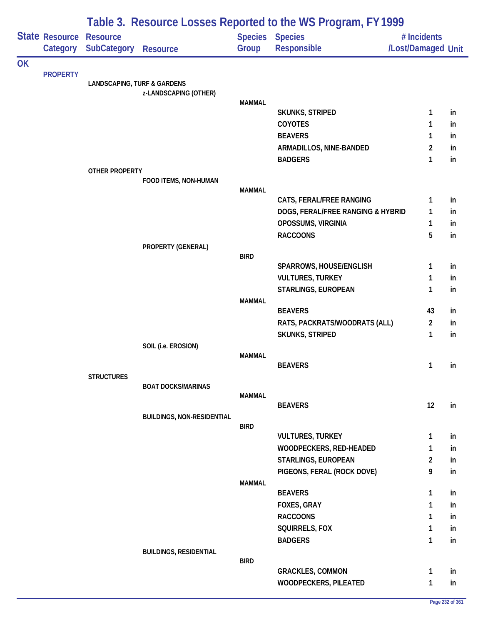|           |                                   | Table 3. Resource Losses Reported to the WS Program, FY 1999 |                                   |               |                                                               |                                   |     |  |  |
|-----------|-----------------------------------|--------------------------------------------------------------|-----------------------------------|---------------|---------------------------------------------------------------|-----------------------------------|-----|--|--|
|           | <b>State Resource</b><br>Category | <b>Resource</b><br><b>SubCategory</b>                        | <b>Resource</b>                   | Group         | <b>Species Species</b><br><b>Responsible</b>                  | # Incidents<br>/Lost/Damaged Unit |     |  |  |
| <b>OK</b> |                                   |                                                              |                                   |               |                                                               |                                   |     |  |  |
|           |                                   | <b>LANDSCAPING, TURF &amp; GARDENS</b>                       |                                   |               |                                                               |                                   |     |  |  |
|           |                                   |                                                              | z-LANDSCAPING (OTHER)             |               |                                                               |                                   |     |  |  |
|           |                                   |                                                              |                                   | <b>MAMMAL</b> | SKUNKS, STRIPED                                               | 1                                 | in  |  |  |
|           |                                   |                                                              |                                   |               | COYOTES                                                       | 1                                 | in  |  |  |
|           |                                   |                                                              |                                   |               | <b>BEAVERS</b>                                                | 1                                 | in  |  |  |
|           |                                   |                                                              |                                   |               | ARMADILLOS, NINE-BANDED                                       | 2                                 | in  |  |  |
|           |                                   |                                                              |                                   |               | <b>BADGERS</b>                                                | 1                                 | in  |  |  |
|           |                                   | OTHER PROPERTY                                               |                                   |               |                                                               |                                   |     |  |  |
|           |                                   |                                                              | FOOD ITEMS, NON-HUMAN             |               |                                                               |                                   |     |  |  |
|           |                                   |                                                              |                                   | <b>MAMMAL</b> |                                                               | 1                                 | in  |  |  |
|           |                                   |                                                              |                                   |               | CATS, FERAL/FREE RANGING<br>DOGS, FERAL/FREE RANGING & HYBRID | 1                                 | in  |  |  |
|           |                                   |                                                              |                                   |               | OPOSSUMS, VIRGINIA                                            | 1                                 | in  |  |  |
|           |                                   |                                                              |                                   |               | <b>RACCOONS</b>                                               | 5                                 | in  |  |  |
|           |                                   |                                                              | PROPERTY (GENERAL)                |               |                                                               |                                   |     |  |  |
|           |                                   |                                                              |                                   | <b>BIRD</b>   |                                                               |                                   |     |  |  |
|           |                                   |                                                              |                                   |               | SPARROWS, HOUSE/ENGLISH                                       | 1                                 | in  |  |  |
|           |                                   |                                                              |                                   |               | <b>VULTURES, TURKEY</b>                                       | 1                                 | in  |  |  |
|           |                                   |                                                              |                                   |               | STARLINGS, EUROPEAN                                           | 1                                 | in  |  |  |
|           |                                   |                                                              |                                   | <b>MAMMAL</b> | <b>BEAVERS</b>                                                | 43                                | in  |  |  |
|           |                                   |                                                              |                                   |               | RATS, PACKRATS/WOODRATS (ALL)                                 | $\overline{2}$                    | in  |  |  |
|           |                                   |                                                              |                                   |               | SKUNKS, STRIPED                                               | 1                                 | in  |  |  |
|           |                                   |                                                              | SOIL (i.e. EROSION)               |               |                                                               |                                   |     |  |  |
|           |                                   |                                                              |                                   | <b>MAMMAL</b> |                                                               |                                   |     |  |  |
|           |                                   |                                                              |                                   |               | <b>BEAVERS</b>                                                | 1                                 | in  |  |  |
|           |                                   | <b>STRUCTURES</b>                                            | <b>BOAT DOCKS/MARINAS</b>         |               |                                                               |                                   |     |  |  |
|           |                                   |                                                              |                                   | <b>MAMMAL</b> |                                                               |                                   |     |  |  |
|           |                                   |                                                              |                                   |               | <b>BEAVERS</b>                                                | 12                                | in  |  |  |
|           |                                   |                                                              | <b>BUILDINGS, NON-RESIDENTIAL</b> |               |                                                               |                                   |     |  |  |
|           |                                   |                                                              |                                   | <b>BIRD</b>   | <b>VULTURES, TURKEY</b>                                       | 1                                 | in  |  |  |
|           |                                   |                                                              |                                   |               | WOODPECKERS, RED-HEADED                                       | 1                                 | in  |  |  |
|           |                                   |                                                              |                                   |               | STARLINGS, EUROPEAN                                           | $\overline{2}$                    | in. |  |  |
|           |                                   |                                                              |                                   |               | PIGEONS, FERAL (ROCK DOVE)                                    | 9                                 | in  |  |  |
|           |                                   |                                                              |                                   | <b>MAMMAL</b> |                                                               |                                   |     |  |  |
|           |                                   |                                                              |                                   |               | <b>BEAVERS</b>                                                | 1                                 | in  |  |  |
|           |                                   |                                                              |                                   |               | FOXES, GRAY                                                   | 1                                 | in  |  |  |
|           |                                   |                                                              |                                   |               | <b>RACCOONS</b>                                               | 1                                 | in  |  |  |
|           |                                   |                                                              |                                   |               | SQUIRRELS, FOX                                                | 1                                 | in  |  |  |
|           |                                   |                                                              |                                   |               | <b>BADGERS</b>                                                | 1                                 | in  |  |  |
|           |                                   |                                                              | <b>BUILDINGS, RESIDENTIAL</b>     | <b>BIRD</b>   |                                                               |                                   |     |  |  |
|           | <b>PROPERTY</b>                   |                                                              |                                   |               | <b>GRACKLES, COMMON</b>                                       | 1                                 | in  |  |  |
|           |                                   |                                                              |                                   |               | WOODPECKERS, PILEATED                                         | 1                                 | in  |  |  |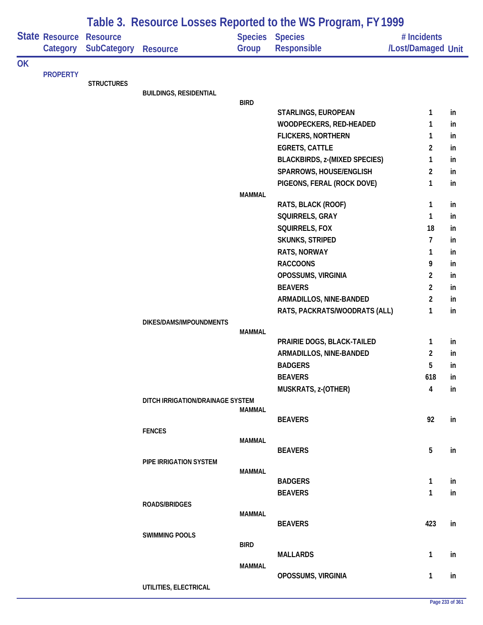|           |                            | Table 3. Resource Losses Reported to the WS Program, FY 1999 |                                  |               |                                      |                                   |    |  |  |
|-----------|----------------------------|--------------------------------------------------------------|----------------------------------|---------------|--------------------------------------|-----------------------------------|----|--|--|
|           | State Resource<br>Category | <b>Resource</b><br><b>SubCategory</b>                        | <b>Resource</b>                  | Group         | Species Species<br>Responsible       | # Incidents<br>/Lost/Damaged Unit |    |  |  |
| <b>OK</b> |                            |                                                              |                                  |               |                                      |                                   |    |  |  |
|           | <b>PROPERTY</b>            | <b>STRUCTURES</b>                                            |                                  |               |                                      |                                   |    |  |  |
|           |                            |                                                              | <b>BUILDINGS, RESIDENTIAL</b>    |               |                                      |                                   |    |  |  |
|           |                            |                                                              |                                  | <b>BIRD</b>   |                                      |                                   |    |  |  |
|           |                            |                                                              |                                  |               | STARLINGS, EUROPEAN                  | 1                                 | in |  |  |
|           |                            |                                                              |                                  |               | WOODPECKERS, RED-HEADED              | 1                                 | in |  |  |
|           |                            |                                                              |                                  |               | <b>FLICKERS, NORTHERN</b>            | 1                                 | in |  |  |
|           |                            |                                                              |                                  |               | <b>EGRETS, CATTLE</b>                | $\overline{2}$                    | in |  |  |
|           |                            |                                                              |                                  |               | <b>BLACKBIRDS, z-(MIXED SPECIES)</b> | 1                                 | in |  |  |
|           |                            |                                                              |                                  |               | SPARROWS, HOUSE/ENGLISH              | 2                                 | in |  |  |
|           |                            |                                                              |                                  |               | PIGEONS, FERAL (ROCK DOVE)           | 1                                 | in |  |  |
|           |                            |                                                              |                                  | <b>MAMMAL</b> | RATS, BLACK (ROOF)                   | 1                                 | in |  |  |
|           |                            |                                                              |                                  |               | SQUIRRELS, GRAY                      | 1                                 | in |  |  |
|           |                            |                                                              |                                  |               | SQUIRRELS, FOX                       | 18                                | in |  |  |
|           |                            |                                                              |                                  |               | SKUNKS, STRIPED                      | 7                                 | in |  |  |
|           |                            |                                                              |                                  |               | RATS, NORWAY                         | 1                                 | in |  |  |
|           |                            |                                                              |                                  |               | <b>RACCOONS</b>                      | 9                                 | in |  |  |
|           |                            |                                                              |                                  |               | OPOSSUMS, VIRGINIA                   | $\overline{2}$                    | in |  |  |
|           |                            |                                                              |                                  |               | <b>BEAVERS</b>                       | 2                                 | in |  |  |
|           |                            |                                                              |                                  |               | ARMADILLOS, NINE-BANDED              | $\overline{c}$                    | in |  |  |
|           |                            |                                                              |                                  |               | RATS, PACKRATS/WOODRATS (ALL)        | 1                                 | in |  |  |
|           |                            |                                                              | DIKES/DAMS/IMPOUNDMENTS          |               |                                      |                                   |    |  |  |
|           |                            |                                                              |                                  | <b>MAMMAL</b> |                                      |                                   |    |  |  |
|           |                            |                                                              |                                  |               | PRAIRIE DOGS, BLACK-TAILED           | 1                                 | in |  |  |
|           |                            |                                                              |                                  |               | ARMADILLOS, NINE-BANDED              | $\overline{2}$                    | in |  |  |
|           |                            |                                                              |                                  |               | <b>BADGERS</b>                       | 5                                 | in |  |  |
|           |                            |                                                              |                                  |               | <b>BEAVERS</b>                       | 618                               | in |  |  |
|           |                            |                                                              |                                  |               | MUSKRATS, z-(OTHER)                  | 4                                 | in |  |  |
|           |                            |                                                              | DITCH IRRIGATION/DRAINAGE SYSTEM | MAMMAL        |                                      |                                   |    |  |  |
|           |                            |                                                              |                                  |               | <b>BEAVERS</b>                       | 92                                | in |  |  |
|           |                            |                                                              | <b>FENCES</b>                    |               |                                      |                                   |    |  |  |
|           |                            |                                                              |                                  | <b>MAMMAL</b> |                                      |                                   |    |  |  |
|           |                            |                                                              |                                  |               | <b>BEAVERS</b>                       | 5                                 | in |  |  |
|           |                            |                                                              | PIPE IRRIGATION SYSTEM           |               |                                      |                                   |    |  |  |
|           |                            |                                                              |                                  | <b>MAMMAL</b> | <b>BADGERS</b>                       | 1                                 | in |  |  |
|           |                            |                                                              |                                  |               | <b>BEAVERS</b>                       | 1                                 | in |  |  |
|           |                            |                                                              | <b>ROADS/BRIDGES</b>             |               |                                      |                                   |    |  |  |
|           |                            |                                                              |                                  | <b>MAMMAL</b> |                                      |                                   |    |  |  |
|           |                            |                                                              |                                  |               | <b>BEAVERS</b>                       | 423                               | in |  |  |
|           |                            |                                                              | <b>SWIMMING POOLS</b>            |               |                                      |                                   |    |  |  |
|           |                            |                                                              |                                  | <b>BIRD</b>   |                                      |                                   |    |  |  |
|           |                            |                                                              |                                  |               | <b>MALLARDS</b>                      | 1                                 | in |  |  |
|           |                            |                                                              |                                  | <b>MAMMAL</b> | OPOSSUMS, VIRGINIA                   | 1                                 | in |  |  |
|           |                            |                                                              | UTILITIES, ELECTRICAL            |               |                                      |                                   |    |  |  |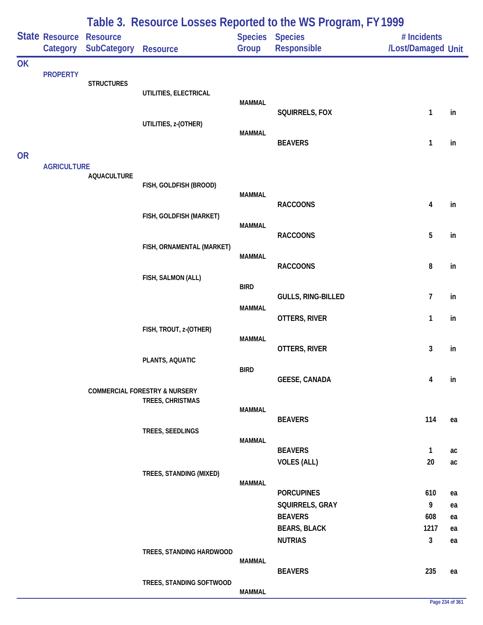|           |                    |                    |                                          |                | Table 3. Resource Losses Reported to the WS Program, FY 1999 |                         |          |
|-----------|--------------------|--------------------|------------------------------------------|----------------|--------------------------------------------------------------|-------------------------|----------|
|           | State Resource     | <b>Resource</b>    |                                          | <b>Species</b> | <b>Species</b>                                               | # Incidents             |          |
|           | Category           | <b>SubCategory</b> | <b>Resource</b>                          | Group          | Responsible                                                  | /Lost/Damaged Unit      |          |
| OK        |                    |                    |                                          |                |                                                              |                         |          |
|           | <b>PROPERTY</b>    | <b>STRUCTURES</b>  |                                          |                |                                                              |                         |          |
|           |                    |                    | UTILITIES, ELECTRICAL                    |                |                                                              |                         |          |
|           |                    |                    |                                          | <b>MAMMAL</b>  | SQUIRRELS, FOX                                               | $\mathbf{1}$            | in       |
|           |                    |                    | UTILITIES, z-(OTHER)                     |                |                                                              |                         |          |
|           |                    |                    |                                          | <b>MAMMAL</b>  | <b>BEAVERS</b>                                               | $\mathbf{1}$            | in       |
| <b>OR</b> |                    |                    |                                          |                |                                                              |                         |          |
|           | <b>AGRICULTURE</b> |                    |                                          |                |                                                              |                         |          |
|           |                    | <b>AQUACULTURE</b> | FISH, GOLDFISH (BROOD)                   |                |                                                              |                         |          |
|           |                    |                    |                                          | <b>MAMMAL</b>  |                                                              |                         |          |
|           |                    |                    |                                          |                | <b>RACCOONS</b>                                              | $\overline{\mathbf{4}}$ | in       |
|           |                    |                    | FISH, GOLDFISH (MARKET)                  | <b>MAMMAL</b>  |                                                              |                         |          |
|           |                    |                    |                                          |                | <b>RACCOONS</b>                                              | 5                       | in       |
|           |                    |                    | FISH, ORNAMENTAL (MARKET)                | <b>MAMMAL</b>  |                                                              |                         |          |
|           |                    |                    |                                          |                | <b>RACCOONS</b>                                              | 8                       | in       |
|           |                    |                    | FISH, SALMON (ALL)                       |                |                                                              |                         |          |
|           |                    |                    |                                          | <b>BIRD</b>    | GULLS, RING-BILLED                                           | 7                       | in       |
|           |                    |                    |                                          | <b>MAMMAL</b>  |                                                              |                         |          |
|           |                    |                    |                                          |                | OTTERS, RIVER                                                | $\mathbf{1}$            | in       |
|           |                    |                    | FISH, TROUT, z-(OTHER)                   | <b>MAMMAL</b>  |                                                              |                         |          |
|           |                    |                    |                                          |                | OTTERS, RIVER                                                | 3                       | in       |
|           |                    |                    | PLANTS, AQUATIC                          | <b>BIRD</b>    |                                                              |                         |          |
|           |                    |                    |                                          |                | <b>GEESE, CANADA</b>                                         | 4                       | in       |
|           |                    |                    | <b>COMMERCIAL FORESTRY &amp; NURSERY</b> |                |                                                              |                         |          |
|           |                    |                    | TREES, CHRISTMAS                         | <b>MAMMAL</b>  |                                                              |                         |          |
|           |                    |                    |                                          |                | <b>BEAVERS</b>                                               | 114                     | ea       |
|           |                    |                    | TREES, SEEDLINGS                         | <b>MAMMAL</b>  |                                                              |                         |          |
|           |                    |                    |                                          |                | <b>BEAVERS</b>                                               | $\mathbf{1}$            | ac       |
|           |                    |                    |                                          |                | <b>VOLES (ALL)</b>                                           | 20                      | ac       |
|           |                    |                    | TREES, STANDING (MIXED)                  | <b>MAMMAL</b>  |                                                              |                         |          |
|           |                    |                    |                                          |                | <b>PORCUPINES</b>                                            | 610                     | ea       |
|           |                    |                    |                                          |                | SQUIRRELS, GRAY                                              | 9                       | ea       |
|           |                    |                    |                                          |                | <b>BEAVERS</b>                                               | 608                     | ea       |
|           |                    |                    |                                          |                | <b>BEARS, BLACK</b><br><b>NUTRIAS</b>                        | 1217<br>$\mathbf{3}$    | ea<br>ea |
|           |                    |                    | TREES, STANDING HARDWOOD                 |                |                                                              |                         |          |
|           |                    |                    |                                          | <b>MAMMAL</b>  |                                                              |                         |          |
|           |                    |                    | TREES, STANDING SOFTWOOD                 |                | <b>BEAVERS</b>                                               | 235                     | ea       |
|           |                    |                    |                                          | <b>MAMMAL</b>  |                                                              |                         |          |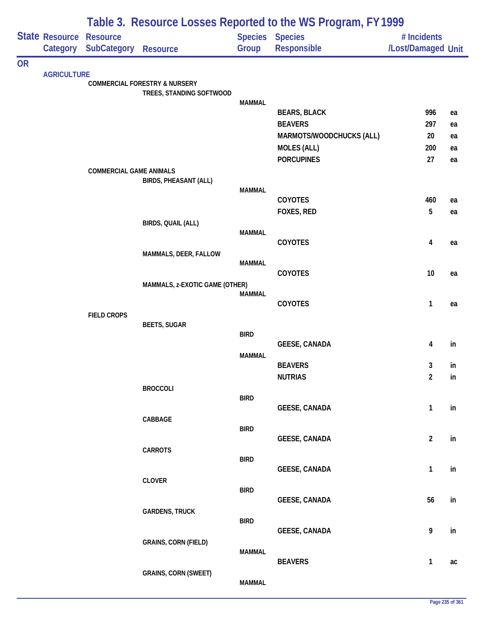|           |                                   |                                |                                          |               | Table 3. Resource Losses Reported to the WS Program, FY 1999 |                                   |    |
|-----------|-----------------------------------|--------------------------------|------------------------------------------|---------------|--------------------------------------------------------------|-----------------------------------|----|
|           | <b>State Resource</b><br>Category | <b>Resource</b><br>SubCategory | <b>Resource</b>                          | Group         | <b>Species Species</b><br>Responsible                        | # Incidents<br>/Lost/Damaged Unit |    |
| <b>OR</b> |                                   |                                |                                          |               |                                                              |                                   |    |
|           | <b>AGRICULTURE</b>                |                                | <b>COMMERCIAL FORESTRY &amp; NURSERY</b> |               |                                                              |                                   |    |
|           |                                   |                                | TREES, STANDING SOFTWOOD                 |               |                                                              |                                   |    |
|           |                                   |                                |                                          | <b>MAMMAL</b> | <b>BEARS, BLACK</b>                                          | 996                               | ea |
|           |                                   |                                |                                          |               | <b>BEAVERS</b>                                               | 297                               | ea |
|           |                                   |                                |                                          |               | MARMOTS/WOODCHUCKS (ALL)                                     | 20                                | ea |
|           |                                   |                                |                                          |               | <b>MOLES (ALL)</b>                                           | 200                               | ea |
|           |                                   |                                |                                          |               | <b>PORCUPINES</b>                                            | 27                                | ea |
|           |                                   | <b>COMMERCIAL GAME ANIMALS</b> |                                          |               |                                                              |                                   |    |
|           |                                   |                                | <b>BIRDS, PHEASANT (ALL)</b>             | <b>MAMMAL</b> |                                                              |                                   |    |
|           |                                   |                                |                                          |               | <b>COYOTES</b>                                               | 460                               | ea |
|           |                                   |                                |                                          |               | FOXES, RED                                                   | 5                                 | ea |
|           |                                   |                                | BIRDS, QUAIL (ALL)                       |               |                                                              |                                   |    |
|           |                                   |                                |                                          | <b>MAMMAL</b> | COYOTES                                                      | 4                                 | ea |
|           |                                   |                                | MAMMALS, DEER, FALLOW                    |               |                                                              |                                   |    |
|           |                                   |                                |                                          | <b>MAMMAL</b> |                                                              |                                   |    |
|           |                                   |                                |                                          |               | COYOTES                                                      | 10                                | ea |
|           |                                   |                                | MAMMALS, z-EXOTIC GAME (OTHER)           | <b>MAMMAL</b> |                                                              |                                   |    |
|           |                                   |                                |                                          |               | <b>COYOTES</b>                                               | $\mathbf{1}$                      | ea |
|           |                                   | <b>FIELD CROPS</b>             |                                          |               |                                                              |                                   |    |
|           |                                   |                                | <b>BEETS, SUGAR</b>                      | <b>BIRD</b>   |                                                              |                                   |    |
|           |                                   |                                |                                          |               | <b>GEESE, CANADA</b>                                         | 4                                 | in |
|           |                                   |                                |                                          | <b>MAMMAL</b> |                                                              |                                   |    |
|           |                                   |                                |                                          |               | <b>BEAVERS</b>                                               | 3                                 | in |
|           |                                   |                                |                                          |               | <b>NUTRIAS</b>                                               | $\overline{2}$                    | in |
|           |                                   |                                | <b>BROCCOLI</b>                          | <b>BIRD</b>   |                                                              |                                   |    |
|           |                                   |                                |                                          |               | <b>GEESE, CANADA</b>                                         | $\mathbf{1}$                      | in |
|           |                                   |                                | CABBAGE                                  |               |                                                              |                                   |    |
|           |                                   |                                |                                          | <b>BIRD</b>   | <b>GEESE, CANADA</b>                                         | $\overline{2}$                    | in |
|           |                                   |                                | <b>CARROTS</b>                           |               |                                                              |                                   |    |
|           |                                   |                                |                                          | <b>BIRD</b>   |                                                              |                                   |    |
|           |                                   |                                |                                          |               | <b>GEESE, CANADA</b>                                         | 1                                 | in |
|           |                                   |                                | CLOVER                                   | <b>BIRD</b>   |                                                              |                                   |    |
|           |                                   |                                |                                          |               | <b>GEESE, CANADA</b>                                         | 56                                | in |
|           |                                   |                                | <b>GARDENS, TRUCK</b>                    |               |                                                              |                                   |    |
|           |                                   |                                |                                          | <b>BIRD</b>   |                                                              | 9                                 | in |
|           |                                   |                                | <b>GRAINS, CORN (FIELD)</b>              |               | <b>GEESE, CANADA</b>                                         |                                   |    |
|           |                                   |                                |                                          | <b>MAMMAL</b> |                                                              |                                   |    |
|           |                                   |                                |                                          |               | <b>BEAVERS</b>                                               | $\mathbf{1}$                      | ac |
|           |                                   |                                | <b>GRAINS, CORN (SWEET)</b>              | <b>MAMMAL</b> |                                                              |                                   |    |
|           |                                   |                                |                                          |               |                                                              |                                   |    |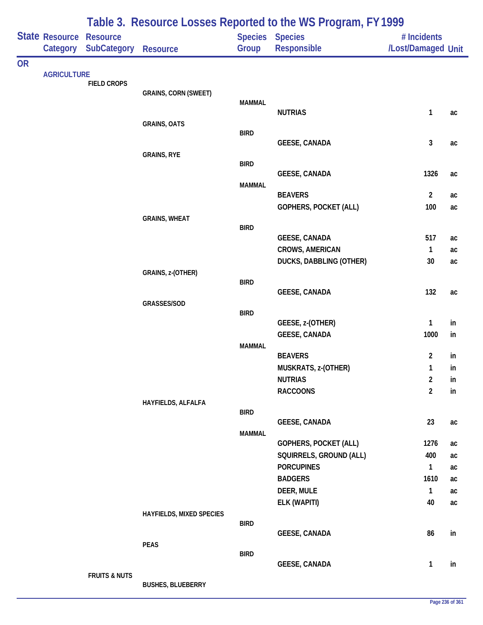|           |                       |                          |                             |               | Table 3. Resource Losses Reported to the WS Program, FY 1999 |                    |          |
|-----------|-----------------------|--------------------------|-----------------------------|---------------|--------------------------------------------------------------|--------------------|----------|
|           | <b>State Resource</b> | <b>Resource</b>          |                             |               | Species Species                                              | # Incidents        |          |
|           | Category              | <b>SubCategory</b>       | <b>Resource</b>             | Group         | Responsible                                                  | /Lost/Damaged Unit |          |
| <b>OR</b> |                       |                          |                             |               |                                                              |                    |          |
|           | <b>AGRICULTURE</b>    | <b>FIELD CROPS</b>       |                             |               |                                                              |                    |          |
|           |                       |                          | <b>GRAINS, CORN (SWEET)</b> |               |                                                              |                    |          |
|           |                       |                          |                             | <b>MAMMAL</b> |                                                              |                    |          |
|           |                       |                          |                             |               | <b>NUTRIAS</b>                                               | $\mathbf{1}$       | ac       |
|           |                       |                          | <b>GRAINS, OATS</b>         | <b>BIRD</b>   |                                                              |                    |          |
|           |                       |                          |                             |               | <b>GEESE, CANADA</b>                                         | $\mathbf{3}$       | ac       |
|           |                       |                          | <b>GRAINS, RYE</b>          |               |                                                              |                    |          |
|           |                       |                          |                             | <b>BIRD</b>   |                                                              |                    |          |
|           |                       |                          |                             |               | <b>GEESE, CANADA</b>                                         | 1326               | ac       |
|           |                       |                          |                             | <b>MAMMAL</b> | <b>BEAVERS</b>                                               | $\overline{2}$     | ac       |
|           |                       |                          |                             |               | <b>GOPHERS, POCKET (ALL)</b>                                 | 100                | ac       |
|           |                       |                          | <b>GRAINS, WHEAT</b>        |               |                                                              |                    |          |
|           |                       |                          |                             | <b>BIRD</b>   |                                                              |                    |          |
|           |                       |                          |                             |               | <b>GEESE, CANADA</b>                                         | 517                | ac       |
|           |                       |                          |                             |               | <b>CROWS, AMERICAN</b>                                       | $\mathbf{1}$       | ac       |
|           |                       |                          |                             |               | DUCKS, DABBLING (OTHER)                                      | 30                 | ac       |
|           |                       |                          | GRAINS, z-(OTHER)           | <b>BIRD</b>   |                                                              |                    |          |
|           |                       |                          |                             |               | <b>GEESE, CANADA</b>                                         | 132                | ac       |
|           |                       |                          | GRASSES/SOD                 |               |                                                              |                    |          |
|           |                       |                          |                             | <b>BIRD</b>   |                                                              |                    |          |
|           |                       |                          |                             |               | GEESE, z-(OTHER)                                             | $\mathbf{1}$       | in       |
|           |                       |                          |                             |               | <b>GEESE, CANADA</b>                                         | 1000               | in       |
|           |                       |                          |                             | <b>MAMMAL</b> | <b>BEAVERS</b>                                               | $\overline{2}$     | in       |
|           |                       |                          |                             |               | MUSKRATS, z-(OTHER)                                          | 1                  | in       |
|           |                       |                          |                             |               | <b>NUTRIAS</b>                                               | $\overline{2}$     | in       |
|           |                       |                          |                             |               | <b>RACCOONS</b>                                              | $\overline{2}$     | in       |
|           |                       |                          | HAYFIELDS, ALFALFA          |               |                                                              |                    |          |
|           |                       |                          |                             | <b>BIRD</b>   |                                                              |                    |          |
|           |                       |                          |                             |               | <b>GEESE, CANADA</b>                                         | 23                 | ac       |
|           |                       |                          |                             | <b>MAMMAL</b> | <b>GOPHERS, POCKET (ALL)</b>                                 | 1276               |          |
|           |                       |                          |                             |               | SQUIRRELS, GROUND (ALL)                                      | 400                | ac<br>ac |
|           |                       |                          |                             |               | <b>PORCUPINES</b>                                            | $\mathbf{1}$       | ac       |
|           |                       |                          |                             |               | <b>BADGERS</b>                                               | 1610               | ac       |
|           |                       |                          |                             |               | DEER, MULE                                                   | $\mathbf{1}$       | ac       |
|           |                       |                          |                             |               | ELK (WAPITI)                                                 | 40                 | ac       |
|           |                       |                          | HAYFIELDS, MIXED SPECIES    |               |                                                              |                    |          |
|           |                       |                          |                             | <b>BIRD</b>   |                                                              |                    |          |
|           |                       |                          |                             |               | <b>GEESE, CANADA</b>                                         | 86                 | in       |
|           |                       |                          | <b>PEAS</b>                 | <b>BIRD</b>   |                                                              |                    |          |
|           |                       |                          |                             |               | <b>GEESE, CANADA</b>                                         | $\mathbf{1}$       | in       |
|           |                       | <b>FRUITS &amp; NUTS</b> |                             |               |                                                              |                    |          |
|           |                       |                          | <b>BUSHES, BLUEBERRY</b>    |               |                                                              |                    |          |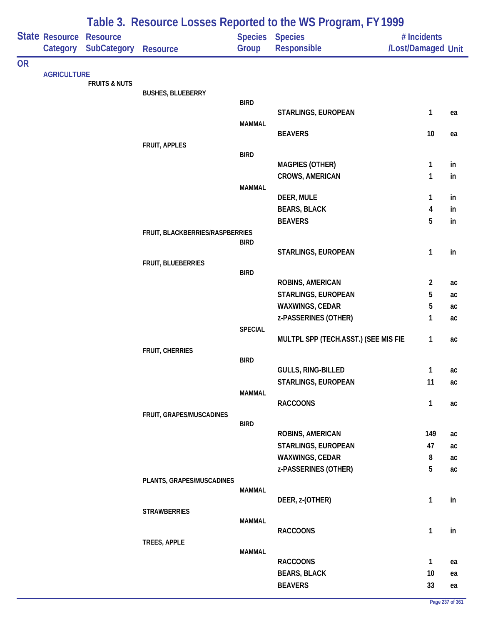|           |                    |                          |                                 |                | Table 3. Resource Losses Reported to the WS Program, FY 1999 |                    |          |
|-----------|--------------------|--------------------------|---------------------------------|----------------|--------------------------------------------------------------|--------------------|----------|
|           | State Resource     | <b>Resource</b>          |                                 |                | Species Species                                              | # Incidents        |          |
|           | Category           | <b>SubCategory</b>       | <b>Resource</b>                 | Group          | <b>Responsible</b>                                           | /Lost/Damaged Unit |          |
| <b>OR</b> |                    |                          |                                 |                |                                                              |                    |          |
|           | <b>AGRICULTURE</b> | <b>FRUITS &amp; NUTS</b> |                                 |                |                                                              |                    |          |
|           |                    |                          | <b>BUSHES, BLUEBERRY</b>        |                |                                                              |                    |          |
|           |                    |                          |                                 | <b>BIRD</b>    | STARLINGS, EUROPEAN                                          |                    |          |
|           |                    |                          |                                 | <b>MAMMAL</b>  |                                                              | 1                  | ea       |
|           |                    |                          |                                 |                | <b>BEAVERS</b>                                               | 10                 | ea       |
|           |                    |                          | FRUIT, APPLES                   |                |                                                              |                    |          |
|           |                    |                          |                                 | <b>BIRD</b>    |                                                              |                    |          |
|           |                    |                          |                                 |                | <b>MAGPIES (OTHER)</b>                                       | $\mathbf{1}$       | in       |
|           |                    |                          |                                 | <b>MAMMAL</b>  | CROWS, AMERICAN                                              | 1                  | in       |
|           |                    |                          |                                 |                | DEER, MULE                                                   | 1                  | in       |
|           |                    |                          |                                 |                | <b>BEARS, BLACK</b>                                          | 4                  | in       |
|           |                    |                          |                                 |                | <b>BEAVERS</b>                                               | 5                  | in       |
|           |                    |                          | FRUIT, BLACKBERRIES/RASPBERRIES |                |                                                              |                    |          |
|           |                    |                          |                                 | <b>BIRD</b>    | STARLINGS, EUROPEAN                                          | 1                  | in       |
|           |                    |                          | FRUIT, BLUEBERRIES              |                |                                                              |                    |          |
|           |                    |                          |                                 | <b>BIRD</b>    |                                                              |                    |          |
|           |                    |                          |                                 |                | ROBINS, AMERICAN                                             | $\overline{2}$     | ac       |
|           |                    |                          |                                 |                | STARLINGS, EUROPEAN                                          | 5                  | ac       |
|           |                    |                          |                                 |                | WAXWINGS, CEDAR                                              | 5                  | ac       |
|           |                    |                          |                                 | <b>SPECIAL</b> | z-PASSERINES (OTHER)                                         | $\mathbf{1}$       | ac       |
|           |                    |                          |                                 |                | MULTPL SPP (TECH.ASST.) (SEE MIS FIE                         | $\mathbf{1}$       | ac       |
|           |                    |                          | <b>FRUIT, CHERRIES</b>          |                |                                                              |                    |          |
|           |                    |                          |                                 | <b>BIRD</b>    |                                                              |                    |          |
|           |                    |                          |                                 |                | GULLS, RING-BILLED                                           | $\mathbf{1}$       | ac       |
|           |                    |                          |                                 | <b>MAMMAL</b>  | STARLINGS, EUROPEAN                                          | 11                 | ac       |
|           |                    |                          |                                 |                | <b>RACCOONS</b>                                              | $\mathbf{1}$       | ac       |
|           |                    |                          | FRUIT, GRAPES/MUSCADINES        |                |                                                              |                    |          |
|           |                    |                          |                                 | <b>BIRD</b>    |                                                              |                    |          |
|           |                    |                          |                                 |                | ROBINS, AMERICAN                                             | 149                | ac       |
|           |                    |                          |                                 |                | STARLINGS, EUROPEAN<br>WAXWINGS, CEDAR                       | 47<br>8            | ac       |
|           |                    |                          |                                 |                | z-PASSERINES (OTHER)                                         | 5                  | ac<br>ac |
|           |                    |                          | PLANTS, GRAPES/MUSCADINES       |                |                                                              |                    |          |
|           |                    |                          |                                 | <b>MAMMAL</b>  |                                                              |                    |          |
|           |                    |                          |                                 |                | DEER, z-(OTHER)                                              | 1                  | in       |
|           |                    |                          | <b>STRAWBERRIES</b>             | <b>MAMMAL</b>  |                                                              |                    |          |
|           |                    |                          |                                 |                | <b>RACCOONS</b>                                              | $\mathbf{1}$       | in       |
|           |                    |                          | TREES, APPLE                    |                |                                                              |                    |          |
|           |                    |                          |                                 | <b>MAMMAL</b>  |                                                              |                    |          |
|           |                    |                          |                                 |                | <b>RACCOONS</b>                                              | $\mathbf{1}$       | ea       |
|           |                    |                          |                                 |                | <b>BEARS, BLACK</b>                                          | 10                 | ea       |
|           |                    |                          |                                 |                | <b>BEAVERS</b>                                               | 33                 | ea       |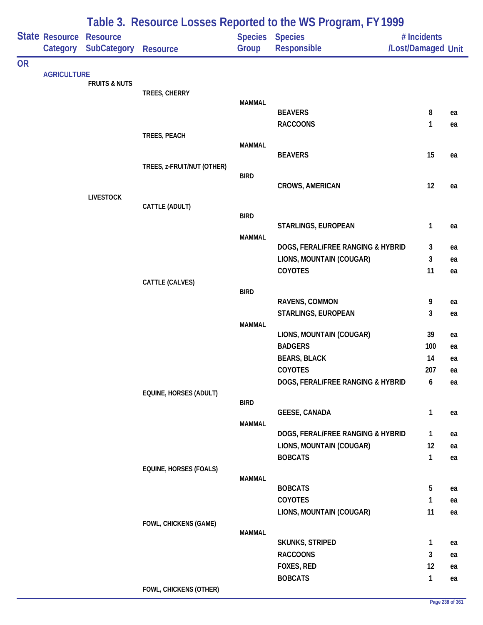|           |                            |                                       |                               |                         | Table 3. Resource Losses Reported to the WS Program, FY1999 |                                   |    |
|-----------|----------------------------|---------------------------------------|-------------------------------|-------------------------|-------------------------------------------------------------|-----------------------------------|----|
|           | State Resource<br>Category | <b>Resource</b><br><b>SubCategory</b> | <b>Resource</b>               | <b>Species</b><br>Group | <b>Species</b><br>Responsible                               | # Incidents<br>/Lost/Damaged Unit |    |
| <b>OR</b> |                            |                                       |                               |                         |                                                             |                                   |    |
|           | <b>AGRICULTURE</b>         | <b>FRUITS &amp; NUTS</b>              |                               |                         |                                                             |                                   |    |
|           |                            |                                       | TREES, CHERRY                 |                         |                                                             |                                   |    |
|           |                            |                                       |                               | <b>MAMMAL</b>           | <b>BEAVERS</b>                                              | 8                                 | ea |
|           |                            |                                       |                               |                         | <b>RACCOONS</b>                                             | 1                                 | ea |
|           |                            |                                       | TREES, PEACH                  |                         |                                                             |                                   |    |
|           |                            |                                       |                               | <b>MAMMAL</b>           |                                                             |                                   |    |
|           |                            |                                       |                               |                         | <b>BEAVERS</b>                                              | 15                                | ea |
|           |                            |                                       | TREES, z-FRUIT/NUT (OTHER)    | <b>BIRD</b>             |                                                             |                                   |    |
|           |                            |                                       |                               |                         | <b>CROWS, AMERICAN</b>                                      | 12                                | ea |
|           |                            | <b>LIVESTOCK</b>                      |                               |                         |                                                             |                                   |    |
|           |                            |                                       | CATTLE (ADULT)                |                         |                                                             |                                   |    |
|           |                            |                                       |                               | <b>BIRD</b>             | STARLINGS, EUROPEAN                                         | 1                                 | ea |
|           |                            |                                       |                               | <b>MAMMAL</b>           |                                                             |                                   |    |
|           |                            |                                       |                               |                         | DOGS, FERAL/FREE RANGING & HYBRID                           | 3                                 | ea |
|           |                            |                                       |                               |                         | LIONS, MOUNTAIN (COUGAR)                                    | 3                                 | ea |
|           |                            |                                       |                               |                         | COYOTES                                                     | 11                                | ea |
|           |                            |                                       | CATTLE (CALVES)               |                         |                                                             |                                   |    |
|           |                            |                                       |                               | <b>BIRD</b>             | RAVENS, COMMON                                              | 9                                 | ea |
|           |                            |                                       |                               |                         | STARLINGS, EUROPEAN                                         | 3                                 | ea |
|           |                            |                                       |                               | <b>MAMMAL</b>           |                                                             |                                   |    |
|           |                            |                                       |                               |                         | LIONS, MOUNTAIN (COUGAR)                                    | 39                                | ea |
|           |                            |                                       |                               |                         | <b>BADGERS</b>                                              | 100                               | ea |
|           |                            |                                       |                               |                         | <b>BEARS, BLACK</b>                                         | 14                                | ea |
|           |                            |                                       |                               |                         | COYOTES                                                     | 207                               | ea |
|           |                            |                                       |                               |                         | DOGS, FERAL/FREE RANGING & HYBRID                           | 6                                 | ea |
|           |                            |                                       | EQUINE, HORSES (ADULT)        |                         |                                                             |                                   |    |
|           |                            |                                       |                               | <b>BIRD</b>             | <b>GEESE, CANADA</b>                                        | 1                                 | ea |
|           |                            |                                       |                               | <b>MAMMAL</b>           |                                                             |                                   |    |
|           |                            |                                       |                               |                         | DOGS, FERAL/FREE RANGING & HYBRID                           | 1                                 | ea |
|           |                            |                                       |                               |                         | LIONS, MOUNTAIN (COUGAR)                                    | 12                                | ea |
|           |                            |                                       |                               |                         | <b>BOBCATS</b>                                              | $\mathbf{1}$                      | ea |
|           |                            |                                       | <b>EQUINE, HORSES (FOALS)</b> |                         |                                                             |                                   |    |
|           |                            |                                       |                               | <b>MAMMAL</b>           | <b>BOBCATS</b>                                              | 5                                 | ea |
|           |                            |                                       |                               |                         | COYOTES                                                     | 1                                 | ea |
|           |                            |                                       |                               |                         | LIONS, MOUNTAIN (COUGAR)                                    | 11                                | ea |
|           |                            |                                       | FOWL, CHICKENS (GAME)         |                         |                                                             |                                   |    |
|           |                            |                                       |                               | <b>MAMMAL</b>           |                                                             |                                   |    |
|           |                            |                                       |                               |                         | <b>SKUNKS, STRIPED</b>                                      | $\mathbf{1}$                      | ea |
|           |                            |                                       |                               |                         | <b>RACCOONS</b>                                             | 3                                 | ea |
|           |                            |                                       |                               |                         | FOXES, RED<br><b>BOBCATS</b>                                | 12<br>$\mathbf{1}$                | ea |
|           |                            |                                       | FOWL, CHICKENS (OTHER)        |                         |                                                             |                                   | ea |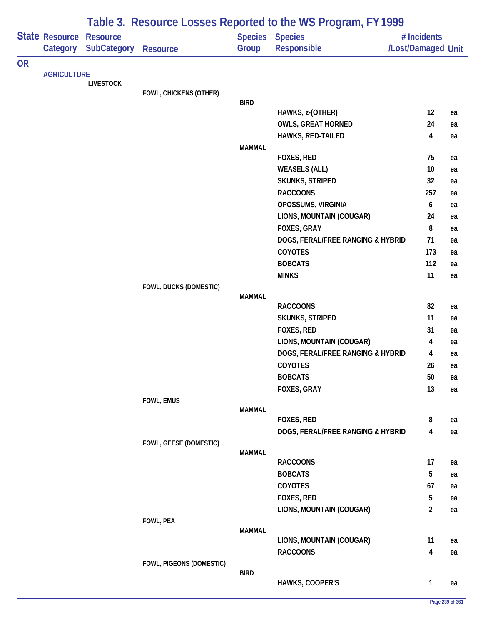|           |                            |                                       |                          |               | Table 3. Resource Losses Reported to the WS Program, FY 1999 |                                   |    |
|-----------|----------------------------|---------------------------------------|--------------------------|---------------|--------------------------------------------------------------|-----------------------------------|----|
|           | State Resource<br>Category | <b>Resource</b><br><b>SubCategory</b> | <b>Resource</b>          | Group         | Species Species<br>Responsible                               | # Incidents<br>/Lost/Damaged Unit |    |
| <b>OR</b> |                            |                                       |                          |               |                                                              |                                   |    |
|           | <b>AGRICULTURE</b>         | <b>LIVESTOCK</b>                      |                          |               |                                                              |                                   |    |
|           |                            |                                       | FOWL, CHICKENS (OTHER)   |               |                                                              |                                   |    |
|           |                            |                                       |                          | <b>BIRD</b>   |                                                              |                                   |    |
|           |                            |                                       |                          |               | HAWKS, z-(OTHER)                                             | 12                                | ea |
|           |                            |                                       |                          |               | <b>OWLS, GREAT HORNED</b><br>HAWKS, RED-TAILED               | 24<br>4                           | ea |
|           |                            |                                       |                          | <b>MAMMAL</b> |                                                              |                                   | ea |
|           |                            |                                       |                          |               | FOXES, RED                                                   | 75                                | ea |
|           |                            |                                       |                          |               | <b>WEASELS (ALL)</b>                                         | 10                                | ea |
|           |                            |                                       |                          |               | SKUNKS, STRIPED                                              | 32                                | ea |
|           |                            |                                       |                          |               | <b>RACCOONS</b>                                              | 257                               | ea |
|           |                            |                                       |                          |               | OPOSSUMS, VIRGINIA                                           | 6                                 | ea |
|           |                            |                                       |                          |               | LIONS, MOUNTAIN (COUGAR)                                     | 24                                | ea |
|           |                            |                                       |                          |               | FOXES, GRAY                                                  | 8                                 | ea |
|           |                            |                                       |                          |               | DOGS, FERAL/FREE RANGING & HYBRID                            | 71                                | ea |
|           |                            |                                       |                          |               | COYOTES                                                      | 173                               | ea |
|           |                            |                                       |                          |               | <b>BOBCATS</b>                                               | 112                               | ea |
|           |                            |                                       |                          |               | <b>MINKS</b>                                                 | 11                                | ea |
|           |                            |                                       | FOWL, DUCKS (DOMESTIC)   | <b>MAMMAL</b> |                                                              |                                   |    |
|           |                            |                                       |                          |               | <b>RACCOONS</b>                                              | 82                                | ea |
|           |                            |                                       |                          |               | SKUNKS, STRIPED                                              | 11                                | ea |
|           |                            |                                       |                          |               | FOXES, RED                                                   | 31                                | ea |
|           |                            |                                       |                          |               | LIONS, MOUNTAIN (COUGAR)                                     | 4                                 | ea |
|           |                            |                                       |                          |               | DOGS, FERAL/FREE RANGING & HYBRID                            | 4                                 | ea |
|           |                            |                                       |                          |               | COYOTES                                                      | 26                                | ea |
|           |                            |                                       |                          |               | <b>BOBCATS</b>                                               | 50                                | ea |
|           |                            |                                       |                          |               | FOXES, GRAY                                                  | 13                                | ea |
|           |                            |                                       | FOWL, EMUS               |               |                                                              |                                   |    |
|           |                            |                                       |                          | <b>MAMMAL</b> | FOXES, RED                                                   | 8                                 | ea |
|           |                            |                                       |                          |               | DOGS, FERAL/FREE RANGING & HYBRID                            | 4                                 | ea |
|           |                            |                                       | FOWL, GEESE (DOMESTIC)   |               |                                                              |                                   |    |
|           |                            |                                       |                          | <b>MAMMAL</b> |                                                              |                                   |    |
|           |                            |                                       |                          |               | <b>RACCOONS</b>                                              | 17                                | ea |
|           |                            |                                       |                          |               | <b>BOBCATS</b>                                               | 5                                 | ea |
|           |                            |                                       |                          |               | COYOTES                                                      | 67                                | ea |
|           |                            |                                       |                          |               | FOXES, RED                                                   | 5                                 | ea |
|           |                            |                                       |                          |               | LIONS, MOUNTAIN (COUGAR)                                     | $\overline{2}$                    | ea |
|           |                            |                                       | FOWL, PEA                | <b>MAMMAL</b> |                                                              |                                   |    |
|           |                            |                                       |                          |               | LIONS, MOUNTAIN (COUGAR)                                     | 11                                | ea |
|           |                            |                                       |                          |               | <b>RACCOONS</b>                                              | $\overline{\mathbf{4}}$           | ea |
|           |                            |                                       | FOWL, PIGEONS (DOMESTIC) |               |                                                              |                                   |    |
|           |                            |                                       |                          | <b>BIRD</b>   |                                                              |                                   |    |
|           |                            |                                       |                          |               | HAWKS, COOPER'S                                              | $\mathbf{1}$                      | ea |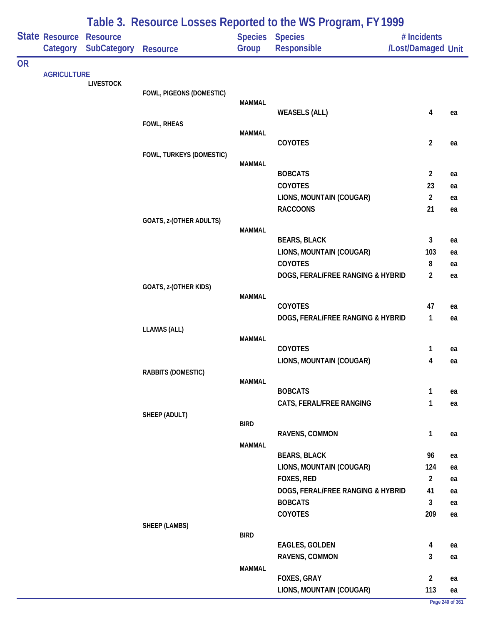|           | State Resource<br>Category | <b>Resource</b><br>SubCategory | <b>Resource</b>           | Group         | <b>Species Species</b><br>Responsible | # Incidents<br>/Lost/Damaged Unit |          |
|-----------|----------------------------|--------------------------------|---------------------------|---------------|---------------------------------------|-----------------------------------|----------|
| <b>OR</b> |                            |                                |                           |               |                                       |                                   |          |
|           | <b>AGRICULTURE</b>         |                                |                           |               |                                       |                                   |          |
|           |                            | <b>LIVESTOCK</b>               | FOWL, PIGEONS (DOMESTIC)  |               |                                       |                                   |          |
|           |                            |                                |                           | <b>MAMMAL</b> |                                       |                                   |          |
|           |                            |                                |                           |               | <b>WEASELS (ALL)</b>                  | $\overline{\mathbf{4}}$           | ea       |
|           |                            |                                | <b>FOWL, RHEAS</b>        | <b>MAMMAL</b> |                                       |                                   |          |
|           |                            |                                |                           |               | COYOTES                               | $\overline{2}$                    | ea       |
|           |                            |                                | FOWL, TURKEYS (DOMESTIC)  |               |                                       |                                   |          |
|           |                            |                                |                           | <b>MAMMAL</b> | <b>BOBCATS</b>                        | $\overline{2}$                    |          |
|           |                            |                                |                           |               | COYOTES                               | 23                                | ea<br>ea |
|           |                            |                                |                           |               | LIONS, MOUNTAIN (COUGAR)              | $\overline{2}$                    | ea       |
|           |                            |                                |                           |               | <b>RACCOONS</b>                       | 21                                | ea       |
|           |                            |                                | GOATS, z-(OTHER ADULTS)   |               |                                       |                                   |          |
|           |                            |                                |                           | <b>MAMMAL</b> |                                       |                                   |          |
|           |                            |                                |                           |               | <b>BEARS, BLACK</b>                   | 3                                 | ea       |
|           |                            |                                |                           |               | LIONS, MOUNTAIN (COUGAR)<br>COYOTES   | 103<br>8                          | ea<br>ea |
|           |                            |                                |                           |               | DOGS, FERAL/FREE RANGING & HYBRID     | $\overline{2}$                    | ea       |
|           |                            |                                | GOATS, z-(OTHER KIDS)     |               |                                       |                                   |          |
|           |                            |                                |                           | <b>MAMMAL</b> |                                       |                                   |          |
|           |                            |                                |                           |               | COYOTES                               | 47                                | ea       |
|           |                            |                                |                           |               | DOGS, FERAL/FREE RANGING & HYBRID     | $\mathbf{1}$                      | ea       |
|           |                            |                                | <b>LLAMAS (ALL)</b>       | <b>MAMMAL</b> |                                       |                                   |          |
|           |                            |                                |                           |               | COYOTES                               | $\mathbf{1}$                      | ea       |
|           |                            |                                |                           |               | LIONS, MOUNTAIN (COUGAR)              | 4                                 | ea       |
|           |                            |                                | <b>RABBITS (DOMESTIC)</b> |               |                                       |                                   |          |
|           |                            |                                |                           | <b>MAMMAL</b> | <b>BOBCATS</b>                        | $\mathbf{1}$                      | ea       |
|           |                            |                                |                           |               | CATS, FERAL/FREE RANGING              | 1                                 | ea       |
|           |                            |                                | SHEEP (ADULT)             |               |                                       |                                   |          |
|           |                            |                                |                           | <b>BIRD</b>   |                                       |                                   |          |
|           |                            |                                |                           |               | RAVENS, COMMON                        | $\mathbf{1}$                      | ea       |
|           |                            |                                |                           | MAMMAL        | <b>BEARS, BLACK</b>                   | 96                                | ea       |
|           |                            |                                |                           |               | LIONS, MOUNTAIN (COUGAR)              | 124                               | ea       |
|           |                            |                                |                           |               | FOXES, RED                            | $\overline{2}$                    | ea       |
|           |                            |                                |                           |               | DOGS, FERAL/FREE RANGING & HYBRID     | 41                                | ea       |
|           |                            |                                |                           |               | <b>BOBCATS</b>                        | $\mathbf{3}$                      | ea       |
|           |                            |                                |                           |               | COYOTES                               | 209                               | ea       |
|           |                            |                                | <b>SHEEP (LAMBS)</b>      | <b>BIRD</b>   |                                       |                                   |          |
|           |                            |                                |                           |               | <b>EAGLES, GOLDEN</b>                 | $\overline{\mathbf{4}}$           | ea       |
|           |                            |                                |                           |               | RAVENS, COMMON                        | 3                                 | ea       |
|           |                            |                                |                           | <b>MAMMAL</b> |                                       |                                   |          |
|           |                            |                                |                           |               | FOXES, GRAY                           | $\overline{2}$                    | ea       |
|           |                            |                                |                           |               | LIONS, MOUNTAIN (COUGAR)              | 113                               | ea       |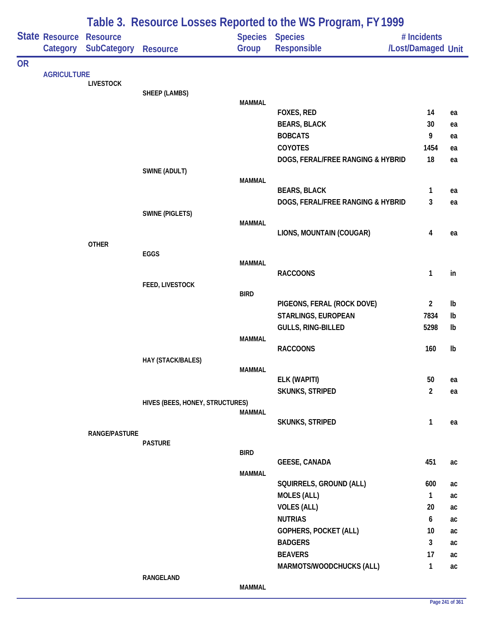|           |                            |                                       |                                 |               | Table 3. Resource Losses Reported to the WS Program, FY 1999 |                                   |          |
|-----------|----------------------------|---------------------------------------|---------------------------------|---------------|--------------------------------------------------------------|-----------------------------------|----------|
|           | State Resource<br>Category | <b>Resource</b><br><b>SubCategory</b> | <b>Resource</b>                 | Group         | <b>Species Species</b><br>Responsible                        | # Incidents<br>/Lost/Damaged Unit |          |
| <b>OR</b> |                            |                                       |                                 |               |                                                              |                                   |          |
|           |                            | <b>LIVESTOCK</b>                      |                                 |               |                                                              |                                   |          |
|           |                            |                                       | SHEEP (LAMBS)                   |               |                                                              |                                   |          |
|           |                            |                                       |                                 | <b>MAMMAL</b> |                                                              |                                   |          |
|           | <b>AGRICULTURE</b>         |                                       |                                 |               | <b>FOXES, RED</b>                                            | 14<br>30                          | ea       |
|           |                            |                                       |                                 |               | <b>BEARS, BLACK</b><br><b>BOBCATS</b>                        | 9                                 | ea       |
|           |                            |                                       |                                 |               | <b>COYOTES</b>                                               | 1454                              | ea       |
|           |                            |                                       |                                 |               | DOGS, FERAL/FREE RANGING & HYBRID                            | 18                                | ea<br>ea |
|           |                            |                                       | SWINE (ADULT)                   |               |                                                              |                                   |          |
|           |                            |                                       |                                 | <b>MAMMAL</b> |                                                              |                                   |          |
|           |                            |                                       |                                 |               | <b>BEARS, BLACK</b>                                          | 1                                 | ea       |
|           |                            |                                       |                                 |               | DOGS, FERAL/FREE RANGING & HYBRID                            | 3                                 | ea       |
|           |                            |                                       | <b>SWINE (PIGLETS)</b>          |               |                                                              |                                   |          |
|           |                            |                                       |                                 | <b>MAMMAL</b> |                                                              |                                   |          |
|           |                            |                                       |                                 |               | LIONS, MOUNTAIN (COUGAR)                                     | 4                                 | ea       |
|           |                            | <b>OTHER</b>                          | EGGS                            |               |                                                              |                                   |          |
|           |                            |                                       |                                 | <b>MAMMAL</b> |                                                              |                                   |          |
|           |                            |                                       |                                 |               | <b>RACCOONS</b>                                              | 1                                 | in       |
|           |                            |                                       | FEED, LIVESTOCK                 |               |                                                              |                                   |          |
|           |                            |                                       |                                 | <b>BIRD</b>   |                                                              |                                   |          |
|           |                            |                                       |                                 |               | PIGEONS, FERAL (ROCK DOVE)                                   | $\overline{a}$                    | Ib       |
|           |                            |                                       |                                 |               | STARLINGS, EUROPEAN                                          | 7834                              | Ib       |
|           |                            |                                       |                                 |               | GULLS, RING-BILLED                                           | 5298                              | Ib       |
|           |                            |                                       |                                 | <b>MAMMAL</b> | <b>RACCOONS</b>                                              | 160                               | Ib       |
|           |                            |                                       | HAY (STACK/BALES)               |               |                                                              |                                   |          |
|           |                            |                                       |                                 | <b>MAMMAL</b> |                                                              |                                   |          |
|           |                            |                                       |                                 |               | ELK (WAPITI)                                                 | 50                                | ea       |
|           |                            |                                       |                                 |               | <b>SKUNKS, STRIPED</b>                                       | $\overline{2}$                    | ea       |
|           |                            |                                       | HIVES (BEES, HONEY, STRUCTURES) |               |                                                              |                                   |          |
|           |                            |                                       |                                 | <b>MAMMAL</b> |                                                              |                                   |          |
|           |                            | <b>RANGE/PASTURE</b>                  |                                 |               | <b>SKUNKS, STRIPED</b>                                       | 1                                 | ea       |
|           |                            |                                       | <b>PASTURE</b>                  |               |                                                              |                                   |          |
|           |                            |                                       |                                 | <b>BIRD</b>   |                                                              |                                   |          |
|           |                            |                                       |                                 |               | <b>GEESE, CANADA</b>                                         | 451                               | ac       |
|           |                            |                                       |                                 | <b>MAMMAL</b> |                                                              |                                   |          |
|           |                            |                                       |                                 |               | SQUIRRELS, GROUND (ALL)                                      | 600                               | ac       |
|           |                            |                                       |                                 |               | <b>MOLES (ALL)</b>                                           | $\mathbf{1}$                      | ac       |
|           |                            |                                       |                                 |               | <b>VOLES (ALL)</b>                                           | 20                                | ac       |
|           |                            |                                       |                                 |               | <b>NUTRIAS</b>                                               | 6                                 | ac       |
|           |                            |                                       |                                 |               | GOPHERS, POCKET (ALL)                                        | 10                                | ac       |
|           |                            |                                       |                                 |               | <b>BADGERS</b>                                               | 3                                 | ac       |
|           |                            |                                       |                                 |               | <b>BEAVERS</b>                                               | 17                                | ac       |
|           |                            |                                       |                                 |               | MARMOTS/WOODCHUCKS (ALL)                                     | 1                                 | ac       |
|           |                            |                                       | RANGELAND                       | <b>MAMMAL</b> |                                                              |                                   |          |
|           |                            |                                       |                                 |               |                                                              |                                   |          |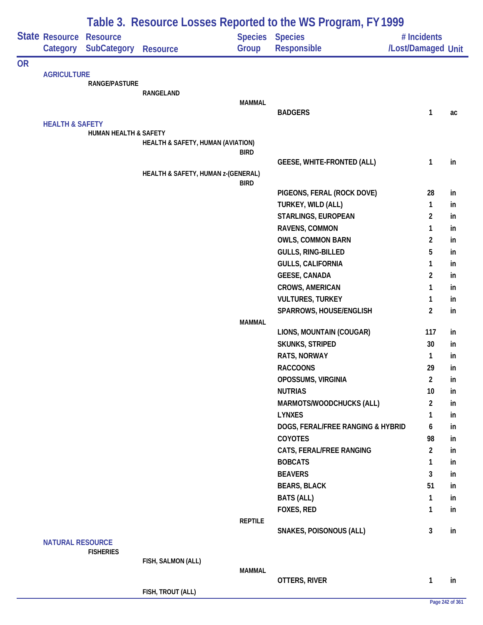|           |                                   |                                                | Table 3. Resource Losses Reported to the WS Program, FY 1999 |                |                                                  |                                   |          |
|-----------|-----------------------------------|------------------------------------------------|--------------------------------------------------------------|----------------|--------------------------------------------------|-----------------------------------|----------|
|           | <b>State Resource</b><br>Category | <b>Resource</b><br><b>SubCategory Resource</b> |                                                              | Group          | <b>Species Species</b><br>Responsible            | # Incidents<br>/Lost/Damaged Unit |          |
| <b>OR</b> |                                   |                                                |                                                              |                |                                                  |                                   |          |
|           | <b>AGRICULTURE</b>                |                                                |                                                              |                |                                                  |                                   |          |
|           |                                   | RANGE/PASTURE                                  | RANGELAND                                                    |                |                                                  |                                   |          |
|           |                                   |                                                |                                                              | <b>MAMMAL</b>  |                                                  |                                   |          |
|           |                                   |                                                |                                                              |                | <b>BADGERS</b>                                   | 1                                 | ac       |
|           | <b>HEALTH &amp; SAFETY</b>        |                                                |                                                              |                |                                                  |                                   |          |
|           |                                   | HUMAN HEALTH & SAFETY                          | HEALTH & SAFETY, HUMAN (AVIATION)                            |                |                                                  |                                   |          |
|           |                                   |                                                |                                                              | <b>BIRD</b>    |                                                  |                                   |          |
|           |                                   |                                                |                                                              |                | <b>GEESE, WHITE-FRONTED (ALL)</b>                | 1                                 | in       |
|           |                                   |                                                | HEALTH & SAFETY, HUMAN z-(GENERAL)                           |                |                                                  |                                   |          |
|           |                                   |                                                |                                                              | <b>BIRD</b>    |                                                  | 28                                | in       |
|           |                                   |                                                |                                                              |                | PIGEONS, FERAL (ROCK DOVE)<br>TURKEY, WILD (ALL) | 1                                 | in       |
|           |                                   |                                                |                                                              |                | STARLINGS, EUROPEAN                              | $\overline{2}$                    | in       |
|           |                                   |                                                |                                                              |                | RAVENS, COMMON                                   | 1                                 | in       |
|           |                                   |                                                |                                                              |                | <b>OWLS, COMMON BARN</b>                         | 2                                 | in       |
|           |                                   |                                                |                                                              |                | GULLS, RING-BILLED                               | 5                                 | in       |
|           |                                   |                                                |                                                              |                | <b>GULLS, CALIFORNIA</b>                         | 1                                 | in       |
|           |                                   |                                                |                                                              |                | <b>GEESE, CANADA</b>                             | $\overline{c}$                    | in       |
|           |                                   |                                                |                                                              |                | CROWS, AMERICAN                                  | 1                                 | in       |
|           |                                   |                                                |                                                              |                | <b>VULTURES, TURKEY</b>                          | 1                                 | in       |
|           |                                   |                                                |                                                              |                | SPARROWS, HOUSE/ENGLISH                          | $\boldsymbol{2}$                  | in       |
|           |                                   |                                                |                                                              | <b>MAMMAL</b>  |                                                  |                                   |          |
|           |                                   |                                                |                                                              |                | LIONS, MOUNTAIN (COUGAR)                         | 117                               | in       |
|           |                                   |                                                |                                                              |                | SKUNKS, STRIPED                                  | 30                                | in       |
|           |                                   |                                                |                                                              |                | RATS, NORWAY                                     | 1                                 | in       |
|           |                                   |                                                |                                                              |                | <b>RACCOONS</b>                                  | 29                                | in       |
|           |                                   |                                                |                                                              |                | OPOSSUMS, VIRGINIA                               | $\overline{a}$                    | in       |
|           |                                   |                                                |                                                              |                | <b>NUTRIAS</b>                                   | 10                                | in       |
|           |                                   |                                                |                                                              |                | MARMOTS/WOODCHUCKS (ALL)                         | $\overline{a}$                    | in       |
|           |                                   |                                                |                                                              |                | <b>LYNXES</b>                                    | 1                                 | in       |
|           |                                   |                                                |                                                              |                | DOGS, FERAL/FREE RANGING & HYBRID                | 6                                 | in       |
|           |                                   |                                                |                                                              |                | COYOTES                                          | 98                                | in       |
|           |                                   |                                                |                                                              |                | CATS, FERAL/FREE RANGING<br><b>BOBCATS</b>       | $\overline{a}$                    | in       |
|           |                                   |                                                |                                                              |                | <b>BEAVERS</b>                                   | 1<br>3                            | in<br>in |
|           |                                   |                                                |                                                              |                | <b>BEARS, BLACK</b>                              | 51                                | in       |
|           |                                   |                                                |                                                              |                | <b>BATS (ALL)</b>                                | 1                                 | in       |
|           |                                   |                                                |                                                              |                | FOXES, RED                                       | 1                                 | in       |
|           |                                   |                                                |                                                              | <b>REPTILE</b> |                                                  |                                   |          |
|           |                                   |                                                |                                                              |                | SNAKES, POISONOUS (ALL)                          | 3                                 | in       |
|           | <b>NATURAL RESOURCE</b>           |                                                |                                                              |                |                                                  |                                   |          |
|           |                                   | <b>FISHERIES</b>                               |                                                              |                |                                                  |                                   |          |
|           |                                   |                                                | FISH, SALMON (ALL)                                           | <b>MAMMAL</b>  |                                                  |                                   |          |
|           |                                   |                                                |                                                              |                | OTTERS, RIVER                                    | 1                                 | in       |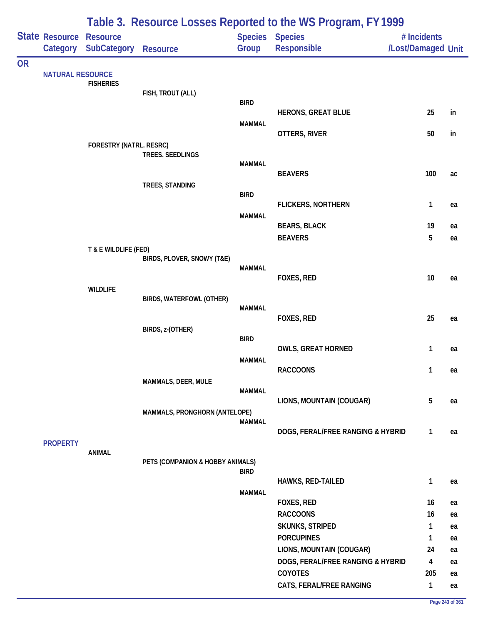|           |                            | Table 3. Resource Losses Reported to the WS Program, FY 1999 |                                  |               |                                       |                                   |    |  |  |  |
|-----------|----------------------------|--------------------------------------------------------------|----------------------------------|---------------|---------------------------------------|-----------------------------------|----|--|--|--|
|           | State Resource<br>Category | <b>Resource</b><br><b>SubCategory</b>                        | <b>Resource</b>                  | Group         | Species Species<br><b>Responsible</b> | # Incidents<br>/Lost/Damaged Unit |    |  |  |  |
| <b>OR</b> |                            |                                                              |                                  |               |                                       |                                   |    |  |  |  |
|           | <b>NATURAL RESOURCE</b>    | <b>FISHERIES</b>                                             |                                  |               |                                       |                                   |    |  |  |  |
|           |                            |                                                              | FISH, TROUT (ALL)                |               |                                       |                                   |    |  |  |  |
|           |                            |                                                              |                                  | <b>BIRD</b>   |                                       |                                   |    |  |  |  |
|           |                            |                                                              |                                  | <b>MAMMAL</b> | <b>HERONS, GREAT BLUE</b>             | 25                                | in |  |  |  |
|           |                            |                                                              |                                  |               | OTTERS, RIVER                         | 50                                | in |  |  |  |
|           |                            | FORESTRY (NATRL. RESRC)                                      |                                  |               |                                       |                                   |    |  |  |  |
|           |                            |                                                              | TREES, SEEDLINGS                 |               |                                       |                                   |    |  |  |  |
|           |                            |                                                              |                                  | <b>MAMMAL</b> | <b>BEAVERS</b>                        | 100                               | ac |  |  |  |
|           |                            |                                                              | TREES, STANDING                  |               |                                       |                                   |    |  |  |  |
|           |                            |                                                              |                                  | <b>BIRD</b>   |                                       |                                   |    |  |  |  |
|           |                            |                                                              |                                  |               | <b>FLICKERS, NORTHERN</b>             | 1                                 | ea |  |  |  |
|           |                            |                                                              |                                  | <b>MAMMAL</b> | <b>BEARS, BLACK</b>                   | 19                                | ea |  |  |  |
|           |                            |                                                              |                                  |               | <b>BEAVERS</b>                        | 5                                 | ea |  |  |  |
|           |                            | T & E WILDLIFE (FED)                                         |                                  |               |                                       |                                   |    |  |  |  |
|           |                            |                                                              | BIRDS, PLOVER, SNOWY (T&E)       |               |                                       |                                   |    |  |  |  |
|           |                            |                                                              |                                  | <b>MAMMAL</b> | FOXES, RED                            | 10                                | ea |  |  |  |
|           |                            | <b>WILDLIFE</b>                                              |                                  |               |                                       |                                   |    |  |  |  |
|           |                            |                                                              | BIRDS, WATERFOWL (OTHER)         |               |                                       |                                   |    |  |  |  |
|           |                            |                                                              |                                  | <b>MAMMAL</b> |                                       |                                   |    |  |  |  |
|           |                            |                                                              |                                  |               | FOXES, RED                            | 25                                | ea |  |  |  |
|           |                            |                                                              | BIRDS, z-(OTHER)                 | <b>BIRD</b>   |                                       |                                   |    |  |  |  |
|           |                            |                                                              |                                  |               | <b>OWLS, GREAT HORNED</b>             | 1                                 | ea |  |  |  |
|           |                            |                                                              |                                  | <b>MAMMAL</b> |                                       |                                   |    |  |  |  |
|           |                            |                                                              |                                  |               | <b>RACCOONS</b>                       | 1                                 | ea |  |  |  |
|           |                            |                                                              | MAMMALS, DEER, MULE              | <b>MAMMAL</b> |                                       |                                   |    |  |  |  |
|           |                            |                                                              |                                  |               | LIONS, MOUNTAIN (COUGAR)              | 5                                 | ea |  |  |  |
|           |                            |                                                              | MAMMALS, PRONGHORN (ANTELOPE)    |               |                                       |                                   |    |  |  |  |
|           |                            |                                                              |                                  | <b>MAMMAL</b> |                                       |                                   |    |  |  |  |
|           | <b>PROPERTY</b>            |                                                              |                                  |               | DOGS, FERAL/FREE RANGING & HYBRID     | 1                                 | ea |  |  |  |
|           |                            | ANIMAL                                                       |                                  |               |                                       |                                   |    |  |  |  |
|           |                            |                                                              | PETS (COMPANION & HOBBY ANIMALS) |               |                                       |                                   |    |  |  |  |
|           |                            |                                                              |                                  | <b>BIRD</b>   | HAWKS, RED-TAILED                     | 1                                 | ea |  |  |  |
|           |                            |                                                              |                                  | <b>MAMMAL</b> |                                       |                                   |    |  |  |  |
|           |                            |                                                              |                                  |               | FOXES, RED                            | 16                                | ea |  |  |  |
|           |                            |                                                              |                                  |               | <b>RACCOONS</b>                       | 16                                | ea |  |  |  |
|           |                            |                                                              |                                  |               | SKUNKS, STRIPED                       | 1                                 | ea |  |  |  |
|           |                            |                                                              |                                  |               | <b>PORCUPINES</b>                     | 1                                 | ea |  |  |  |
|           |                            |                                                              |                                  |               | LIONS, MOUNTAIN (COUGAR)              | 24                                | ea |  |  |  |
|           |                            |                                                              |                                  |               | DOGS, FERAL/FREE RANGING & HYBRID     | 4                                 | ea |  |  |  |
|           |                            |                                                              |                                  |               | <b>COYOTES</b>                        | 205                               | ea |  |  |  |
|           |                            |                                                              |                                  |               | CATS, FERAL/FREE RANGING              | $\mathbf{1}$                      | ea |  |  |  |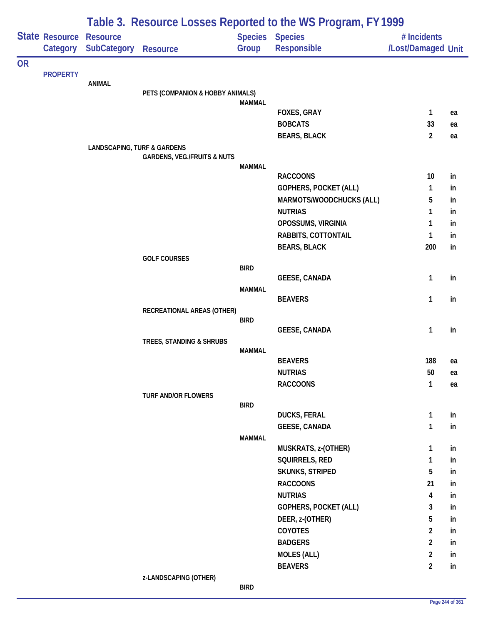|           |                            | Table 3. Resource Losses Reported to the WS Program, FY 1999 |                                        |                         |                                      |                                   |    |  |
|-----------|----------------------------|--------------------------------------------------------------|----------------------------------------|-------------------------|--------------------------------------|-----------------------------------|----|--|
|           | State Resource<br>Category | <b>Resource</b><br>SubCategory                               | <b>Resource</b>                        | <b>Species</b><br>Group | <b>Species</b><br><b>Responsible</b> | # Incidents<br>/Lost/Damaged Unit |    |  |
| <b>OR</b> |                            |                                                              |                                        |                         |                                      |                                   |    |  |
|           | <b>PROPERTY</b>            | <b>ANIMAL</b>                                                |                                        |                         |                                      |                                   |    |  |
|           |                            |                                                              | PETS (COMPANION & HOBBY ANIMALS)       |                         |                                      |                                   |    |  |
|           |                            |                                                              |                                        | <b>MAMMAL</b>           |                                      |                                   |    |  |
|           |                            |                                                              |                                        |                         | <b>FOXES, GRAY</b>                   | $\mathbf{1}$                      | ea |  |
|           |                            |                                                              |                                        |                         | <b>BOBCATS</b>                       | 33                                | ea |  |
|           |                            |                                                              |                                        |                         | <b>BEARS, BLACK</b>                  | $\overline{2}$                    | ea |  |
|           |                            | <b>LANDSCAPING, TURF &amp; GARDENS</b>                       | <b>GARDENS, VEG./FRUITS &amp; NUTS</b> |                         |                                      |                                   |    |  |
|           |                            |                                                              |                                        | <b>MAMMAL</b>           |                                      |                                   |    |  |
|           |                            |                                                              |                                        |                         | <b>RACCOONS</b>                      | 10                                | in |  |
|           |                            |                                                              |                                        |                         | GOPHERS, POCKET (ALL)                | $\mathbf{1}$                      | in |  |
|           |                            |                                                              |                                        |                         | MARMOTS/WOODCHUCKS (ALL)             | 5                                 | in |  |
|           |                            |                                                              |                                        |                         | <b>NUTRIAS</b>                       | 1                                 | in |  |
|           |                            |                                                              |                                        |                         | OPOSSUMS, VIRGINIA                   | 1                                 | in |  |
|           |                            |                                                              |                                        |                         | RABBITS, COTTONTAIL                  | 1                                 | in |  |
|           |                            |                                                              |                                        |                         | <b>BEARS, BLACK</b>                  | 200                               | in |  |
|           |                            |                                                              | <b>GOLF COURSES</b>                    |                         |                                      |                                   |    |  |
|           |                            |                                                              |                                        | <b>BIRD</b>             |                                      |                                   |    |  |
|           |                            |                                                              |                                        |                         | <b>GEESE, CANADA</b>                 | 1                                 | in |  |
|           |                            |                                                              |                                        | MAMMAL                  | <b>BEAVERS</b>                       | 1                                 | in |  |
|           |                            |                                                              | RECREATIONAL AREAS (OTHER)             |                         |                                      |                                   |    |  |
|           |                            |                                                              |                                        | <b>BIRD</b>             |                                      |                                   |    |  |
|           |                            |                                                              |                                        |                         | <b>GEESE, CANADA</b>                 | $\mathbf{1}$                      | in |  |
|           |                            |                                                              | TREES, STANDING & SHRUBS               |                         |                                      |                                   |    |  |
|           |                            |                                                              |                                        | <b>MAMMAL</b>           |                                      |                                   |    |  |
|           |                            |                                                              |                                        |                         | <b>BEAVERS</b>                       | 188                               | ea |  |
|           |                            |                                                              |                                        |                         | <b>NUTRIAS</b>                       | 50                                | ea |  |
|           |                            |                                                              |                                        |                         | <b>RACCOONS</b>                      | $\mathbf{1}$                      | ea |  |
|           |                            |                                                              | <b>TURF AND/OR FLOWERS</b>             | <b>BIRD</b>             |                                      |                                   |    |  |
|           |                            |                                                              |                                        |                         | <b>DUCKS, FERAL</b>                  | 1                                 | in |  |
|           |                            |                                                              |                                        |                         | <b>GEESE, CANADA</b>                 | 1                                 | in |  |
|           |                            |                                                              |                                        | <b>MAMMAL</b>           |                                      |                                   |    |  |
|           |                            |                                                              |                                        |                         | MUSKRATS, z-(OTHER)                  | $\mathbf{1}$                      | in |  |
|           |                            |                                                              |                                        |                         | SQUIRRELS, RED                       | $\mathbf{1}$                      | in |  |
|           |                            |                                                              |                                        |                         | SKUNKS, STRIPED                      | 5                                 | in |  |
|           |                            |                                                              |                                        |                         | <b>RACCOONS</b>                      | 21                                | in |  |
|           |                            |                                                              |                                        |                         | <b>NUTRIAS</b>                       | 4                                 | in |  |
|           |                            |                                                              |                                        |                         | GOPHERS, POCKET (ALL)                | 3                                 | in |  |
|           |                            |                                                              |                                        |                         | DEER, z-(OTHER)                      | 5                                 | in |  |
|           |                            |                                                              |                                        |                         | COYOTES                              | $\overline{2}$                    | in |  |
|           |                            |                                                              |                                        |                         | <b>BADGERS</b>                       | $\overline{2}$                    | in |  |
|           |                            |                                                              |                                        |                         | <b>MOLES (ALL)</b>                   | $\overline{2}$                    | in |  |
|           |                            |                                                              |                                        |                         | <b>BEAVERS</b>                       | $\overline{2}$                    | in |  |
|           |                            |                                                              | z-LANDSCAPING (OTHER)                  |                         |                                      |                                   |    |  |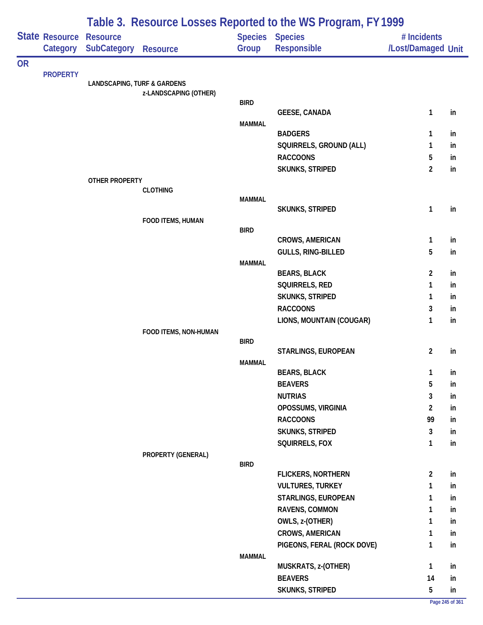|           |                            | Table 3. Resource Losses Reported to the WS Program, FY 1999 |                       |               |                                       |                                   |          |  |  |  |
|-----------|----------------------------|--------------------------------------------------------------|-----------------------|---------------|---------------------------------------|-----------------------------------|----------|--|--|--|
|           | State Resource<br>Category | <b>Resource</b><br>SubCategory                               | <b>Resource</b>       | Group         | Species Species<br><b>Responsible</b> | # Incidents<br>/Lost/Damaged Unit |          |  |  |  |
| <b>OR</b> |                            |                                                              |                       |               |                                       |                                   |          |  |  |  |
|           | <b>PROPERTY</b>            | <b>LANDSCAPING, TURF &amp; GARDENS</b>                       |                       |               |                                       |                                   |          |  |  |  |
|           |                            |                                                              | z-LANDSCAPING (OTHER) |               |                                       |                                   |          |  |  |  |
|           |                            |                                                              |                       | <b>BIRD</b>   |                                       |                                   |          |  |  |  |
|           |                            |                                                              |                       |               | <b>GEESE, CANADA</b>                  | 1                                 | in       |  |  |  |
|           |                            |                                                              |                       | <b>MAMMAL</b> | <b>BADGERS</b>                        | 1                                 | in       |  |  |  |
|           |                            |                                                              |                       |               | SQUIRRELS, GROUND (ALL)               | 1                                 | in       |  |  |  |
|           |                            |                                                              |                       |               | <b>RACCOONS</b>                       | 5                                 | in       |  |  |  |
|           |                            |                                                              |                       |               | <b>SKUNKS, STRIPED</b>                | $\overline{2}$                    | in       |  |  |  |
|           |                            | <b>OTHER PROPERTY</b>                                        |                       |               |                                       |                                   |          |  |  |  |
|           |                            |                                                              | <b>CLOTHING</b>       |               |                                       |                                   |          |  |  |  |
|           |                            |                                                              |                       | <b>MAMMAL</b> |                                       |                                   |          |  |  |  |
|           |                            |                                                              |                       |               | <b>SKUNKS, STRIPED</b>                | $\mathbf{1}$                      | in       |  |  |  |
|           |                            |                                                              | FOOD ITEMS, HUMAN     | <b>BIRD</b>   |                                       |                                   |          |  |  |  |
|           |                            |                                                              |                       |               | <b>CROWS, AMERICAN</b>                | $\mathbf{1}$                      | in       |  |  |  |
|           |                            |                                                              |                       |               | GULLS, RING-BILLED                    | 5                                 | in       |  |  |  |
|           |                            |                                                              |                       | <b>MAMMAL</b> |                                       |                                   |          |  |  |  |
|           |                            |                                                              |                       |               | <b>BEARS, BLACK</b>                   | $\overline{2}$                    | in       |  |  |  |
|           |                            |                                                              |                       |               | SQUIRRELS, RED                        | $\mathbf{1}$                      | in       |  |  |  |
|           |                            |                                                              |                       |               | <b>SKUNKS, STRIPED</b>                | 1                                 | in       |  |  |  |
|           |                            |                                                              |                       |               | <b>RACCOONS</b>                       | 3                                 | in       |  |  |  |
|           |                            |                                                              |                       |               | LIONS, MOUNTAIN (COUGAR)              | $\mathbf{1}$                      | in       |  |  |  |
|           |                            |                                                              | FOOD ITEMS, NON-HUMAN |               |                                       |                                   |          |  |  |  |
|           |                            |                                                              |                       | <b>BIRD</b>   | STARLINGS, EUROPEAN                   | $\overline{2}$                    | in       |  |  |  |
|           |                            |                                                              |                       | <b>MAMMAL</b> |                                       |                                   |          |  |  |  |
|           |                            |                                                              |                       |               | <b>BEARS, BLACK</b>                   | $\mathbf{1}$                      | in       |  |  |  |
|           |                            |                                                              |                       |               | <b>BEAVERS</b>                        | 5                                 | in       |  |  |  |
|           |                            |                                                              |                       |               | <b>NUTRIAS</b>                        | 3                                 | in       |  |  |  |
|           |                            |                                                              |                       |               | OPOSSUMS, VIRGINIA                    | $\overline{2}$                    | in       |  |  |  |
|           |                            |                                                              |                       |               | <b>RACCOONS</b>                       | 99                                | in       |  |  |  |
|           |                            |                                                              |                       |               | SKUNKS, STRIPED                       | 3                                 | in       |  |  |  |
|           |                            |                                                              |                       |               | SQUIRRELS, FOX                        | $\mathbf{1}$                      | in       |  |  |  |
|           |                            |                                                              | PROPERTY (GENERAL)    |               |                                       |                                   |          |  |  |  |
|           |                            |                                                              |                       | <b>BIRD</b>   |                                       |                                   |          |  |  |  |
|           |                            |                                                              |                       |               | <b>FLICKERS, NORTHERN</b>             | $\overline{2}$                    | in       |  |  |  |
|           |                            |                                                              |                       |               | <b>VULTURES, TURKEY</b>               | $\mathbf{1}$                      | in       |  |  |  |
|           |                            |                                                              |                       |               | STARLINGS, EUROPEAN<br>RAVENS, COMMON | 1                                 | in       |  |  |  |
|           |                            |                                                              |                       |               | OWLS, z-(OTHER)                       | $\mathbf{1}$<br>$\mathbf{1}$      | in<br>in |  |  |  |
|           |                            |                                                              |                       |               | <b>CROWS, AMERICAN</b>                | $\mathbf{1}$                      | in       |  |  |  |
|           |                            |                                                              |                       |               | PIGEONS, FERAL (ROCK DOVE)            | $\mathbf{1}$                      | in       |  |  |  |
|           |                            |                                                              |                       | <b>MAMMAL</b> |                                       |                                   |          |  |  |  |
|           |                            |                                                              |                       |               | MUSKRATS, z-(OTHER)                   | $\mathbf{1}$                      | in       |  |  |  |
|           |                            |                                                              |                       |               | <b>BEAVERS</b>                        | 14                                | in       |  |  |  |
|           |                            |                                                              |                       |               | <b>SKUNKS, STRIPED</b>                | $5\phantom{.0}$                   | in       |  |  |  |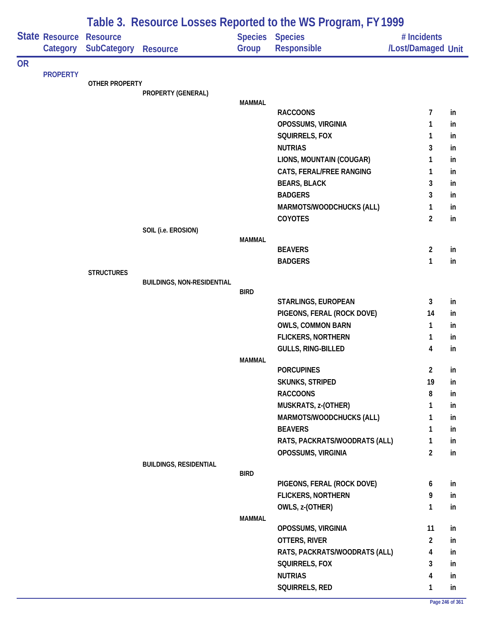|           |                                   | Table 3. Resource Losses Reported to the WS Program, FY 1999 |                                   |               |                                                        |                                   |                 |  |  |
|-----------|-----------------------------------|--------------------------------------------------------------|-----------------------------------|---------------|--------------------------------------------------------|-----------------------------------|-----------------|--|--|
|           | <b>State Resource</b><br>Category | <b>Resource</b><br><b>SubCategory</b>                        | <b>Resource</b>                   | Group         | <b>Species Species</b><br><b>Responsible</b>           | # Incidents<br>/Lost/Damaged Unit |                 |  |  |
| <b>OR</b> |                                   |                                                              |                                   |               |                                                        |                                   |                 |  |  |
|           | <b>PROPERTY</b>                   |                                                              |                                   |               |                                                        |                                   |                 |  |  |
|           |                                   | <b>OTHER PROPERTY</b>                                        | PROPERTY (GENERAL)                |               |                                                        |                                   |                 |  |  |
|           |                                   |                                                              |                                   | <b>MAMMAL</b> |                                                        |                                   |                 |  |  |
|           |                                   |                                                              |                                   |               | <b>RACCOONS</b>                                        | 7                                 | in              |  |  |
|           |                                   |                                                              |                                   |               | OPOSSUMS, VIRGINIA                                     | 1                                 | in              |  |  |
|           |                                   |                                                              |                                   |               | SQUIRRELS, FOX                                         | 1                                 | in              |  |  |
|           |                                   |                                                              |                                   |               | <b>NUTRIAS</b>                                         | 3                                 | in              |  |  |
|           |                                   |                                                              |                                   |               | LIONS, MOUNTAIN (COUGAR)                               | 1                                 | in              |  |  |
|           |                                   |                                                              |                                   |               | CATS, FERAL/FREE RANGING                               | 1                                 | in              |  |  |
|           |                                   |                                                              |                                   |               | <b>BEARS, BLACK</b>                                    | 3                                 | in              |  |  |
|           |                                   |                                                              |                                   |               | <b>BADGERS</b>                                         | 3                                 | in              |  |  |
|           |                                   |                                                              |                                   |               | MARMOTS/WOODCHUCKS (ALL)                               | 1                                 | <sub>in</sub>   |  |  |
|           |                                   |                                                              |                                   |               | COYOTES                                                | $\overline{2}$                    | in              |  |  |
|           |                                   |                                                              | SOIL (i.e. EROSION)               |               |                                                        |                                   |                 |  |  |
|           |                                   |                                                              |                                   | <b>MAMMAL</b> | <b>BEAVERS</b>                                         | $\overline{2}$                    | in              |  |  |
|           |                                   |                                                              |                                   |               | <b>BADGERS</b>                                         | 1                                 | in              |  |  |
|           |                                   | <b>STRUCTURES</b>                                            |                                   |               |                                                        |                                   |                 |  |  |
|           |                                   |                                                              | <b>BUILDINGS, NON-RESIDENTIAL</b> |               |                                                        |                                   |                 |  |  |
|           |                                   |                                                              |                                   | <b>BIRD</b>   |                                                        |                                   |                 |  |  |
|           |                                   |                                                              |                                   |               | STARLINGS, EUROPEAN                                    | 3<br>14                           | in              |  |  |
|           |                                   |                                                              |                                   |               | PIGEONS, FERAL (ROCK DOVE)<br><b>OWLS, COMMON BARN</b> | 1                                 | <sub>in</sub>   |  |  |
|           |                                   |                                                              |                                   |               | <b>FLICKERS, NORTHERN</b>                              | 1                                 | in<br><i>in</i> |  |  |
|           |                                   |                                                              |                                   |               | GULLS, RING-BILLED                                     | 4                                 | in              |  |  |
|           |                                   |                                                              |                                   | <b>MAMMAL</b> |                                                        |                                   |                 |  |  |
|           |                                   |                                                              |                                   |               | <b>PORCUPINES</b>                                      | $\overline{2}$                    | in              |  |  |
|           |                                   |                                                              |                                   |               | <b>SKUNKS, STRIPED</b>                                 | 19                                | in              |  |  |
|           |                                   |                                                              |                                   |               | <b>RACCOONS</b>                                        | 8                                 | in              |  |  |
|           |                                   |                                                              |                                   |               | MUSKRATS, z-(OTHER)                                    | 1                                 | in.             |  |  |
|           |                                   |                                                              |                                   |               | MARMOTS/WOODCHUCKS (ALL)                               | 1                                 | in              |  |  |
|           |                                   |                                                              |                                   |               | <b>BEAVERS</b>                                         | 1                                 | in              |  |  |
|           |                                   |                                                              |                                   |               | RATS, PACKRATS/WOODRATS (ALL)                          | 1                                 | in              |  |  |
|           |                                   |                                                              |                                   |               | OPOSSUMS, VIRGINIA                                     | $\overline{2}$                    | in              |  |  |
|           |                                   |                                                              | <b>BUILDINGS, RESIDENTIAL</b>     |               |                                                        |                                   |                 |  |  |
|           |                                   |                                                              |                                   | <b>BIRD</b>   | PIGEONS, FERAL (ROCK DOVE)                             | 6                                 |                 |  |  |
|           |                                   |                                                              |                                   |               | <b>FLICKERS, NORTHERN</b>                              | 9                                 | in<br>in        |  |  |
|           |                                   |                                                              |                                   |               | OWLS, z-(OTHER)                                        | 1                                 | in              |  |  |
|           |                                   |                                                              |                                   | <b>MAMMAL</b> |                                                        |                                   |                 |  |  |
|           |                                   |                                                              |                                   |               | OPOSSUMS, VIRGINIA                                     | 11                                | in              |  |  |
|           |                                   |                                                              |                                   |               | OTTERS, RIVER                                          | $\overline{2}$                    | in              |  |  |
|           |                                   |                                                              |                                   |               | RATS, PACKRATS/WOODRATS (ALL)                          | 4                                 | in              |  |  |
|           |                                   |                                                              |                                   |               | SQUIRRELS, FOX                                         | 3                                 | in              |  |  |
|           |                                   |                                                              |                                   |               | <b>NUTRIAS</b>                                         | 4                                 | in              |  |  |
|           |                                   |                                                              |                                   |               | SQUIRRELS, RED                                         | 1                                 | in              |  |  |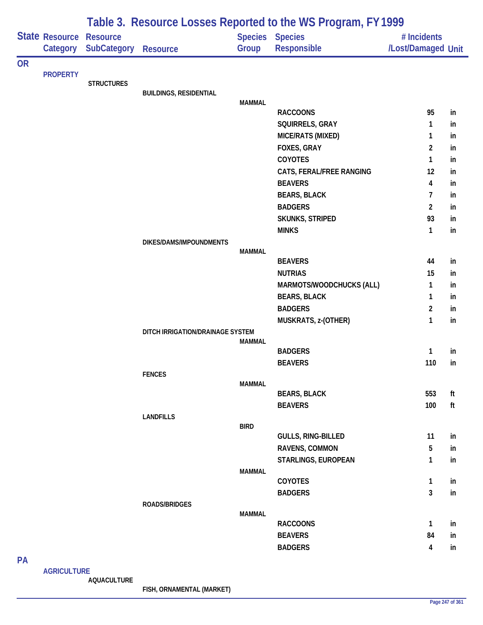|           |                            |                                |                                  |                         | Table 3. Resource Losses Reported to the WS Program, FY 1999 |                                   |    |
|-----------|----------------------------|--------------------------------|----------------------------------|-------------------------|--------------------------------------------------------------|-----------------------------------|----|
|           | State Resource<br>Category | <b>Resource</b><br>SubCategory | <b>Resource</b>                  | <b>Species</b><br>Group | <b>Species</b><br>Responsible                                | # Incidents<br>/Lost/Damaged Unit |    |
| <b>OR</b> |                            |                                |                                  |                         |                                                              |                                   |    |
|           | <b>PROPERTY</b>            | <b>STRUCTURES</b>              |                                  |                         |                                                              |                                   |    |
|           |                            |                                | <b>BUILDINGS, RESIDENTIAL</b>    |                         |                                                              |                                   |    |
|           |                            |                                |                                  | <b>MAMMAL</b>           |                                                              |                                   |    |
|           |                            |                                |                                  |                         | <b>RACCOONS</b>                                              | 95                                | in |
|           |                            |                                |                                  |                         | SQUIRRELS, GRAY                                              | 1                                 | in |
|           |                            |                                |                                  |                         | MICE/RATS (MIXED)                                            | 1                                 | in |
|           |                            |                                |                                  |                         | FOXES, GRAY                                                  | $\overline{2}$                    | in |
|           |                            |                                |                                  |                         | COYOTES                                                      | 1                                 | in |
|           |                            |                                |                                  |                         | CATS, FERAL/FREE RANGING                                     | 12                                | in |
|           |                            |                                |                                  |                         | <b>BEAVERS</b>                                               | 4                                 | in |
|           |                            |                                |                                  |                         | <b>BEARS, BLACK</b>                                          | 7                                 | in |
|           |                            |                                |                                  |                         | <b>BADGERS</b>                                               | 2                                 | in |
|           |                            |                                |                                  |                         | SKUNKS, STRIPED                                              | 93                                | in |
|           |                            |                                |                                  |                         | <b>MINKS</b>                                                 | 1                                 | in |
|           |                            |                                | DIKES/DAMS/IMPOUNDMENTS          | <b>MAMMAL</b>           |                                                              |                                   |    |
|           |                            |                                |                                  |                         | <b>BEAVERS</b>                                               | 44                                | in |
|           |                            |                                |                                  |                         | <b>NUTRIAS</b>                                               | 15                                | in |
|           |                            |                                |                                  |                         | MARMOTS/WOODCHUCKS (ALL)                                     | 1                                 | in |
|           |                            |                                |                                  |                         | <b>BEARS, BLACK</b>                                          | 1                                 | in |
|           |                            |                                |                                  |                         | <b>BADGERS</b>                                               | $\overline{2}$                    | in |
|           |                            |                                |                                  |                         | MUSKRATS, z-(OTHER)                                          | 1                                 | in |
|           |                            |                                | DITCH IRRIGATION/DRAINAGE SYSTEM |                         |                                                              |                                   |    |
|           |                            |                                |                                  | <b>MAMMAL</b>           |                                                              |                                   |    |
|           |                            |                                |                                  |                         | <b>BADGERS</b>                                               | 1                                 | in |
|           |                            |                                |                                  |                         | <b>BEAVERS</b>                                               | 110                               | in |
|           |                            |                                | <b>FENCES</b>                    |                         |                                                              |                                   |    |
|           |                            |                                |                                  | <b>MAMMAL</b>           | <b>BEARS, BLACK</b>                                          | 553                               | ft |
|           |                            |                                |                                  |                         | <b>BEAVERS</b>                                               | 100                               | ft |
|           |                            |                                | <b>LANDFILLS</b>                 |                         |                                                              |                                   |    |
|           |                            |                                |                                  | <b>BIRD</b>             |                                                              |                                   |    |
|           |                            |                                |                                  |                         | <b>GULLS, RING-BILLED</b>                                    | 11                                | in |
|           |                            |                                |                                  |                         | RAVENS, COMMON                                               | 5                                 | in |
|           |                            |                                |                                  |                         | STARLINGS, EUROPEAN                                          | 1                                 | in |
|           |                            |                                |                                  | <b>MAMMAL</b>           |                                                              |                                   |    |
|           |                            |                                |                                  |                         | COYOTES                                                      | 1                                 | in |
|           |                            |                                |                                  |                         | <b>BADGERS</b>                                               | $\mathbf{3}$                      | in |
|           |                            |                                | <b>ROADS/BRIDGES</b>             |                         |                                                              |                                   |    |
|           |                            |                                |                                  | <b>MAMMAL</b>           |                                                              |                                   |    |
|           |                            |                                |                                  |                         | <b>RACCOONS</b>                                              | 1                                 | in |
|           |                            |                                |                                  |                         | <b>BEAVERS</b>                                               | 84                                | in |
|           |                            |                                |                                  |                         | <b>BADGERS</b>                                               | 4                                 | in |
| PA        |                            |                                |                                  |                         |                                                              |                                   |    |

**AGRICULTURE**

**AQUACULTURE**

**FISH, ORNAMENTAL (MARKET)**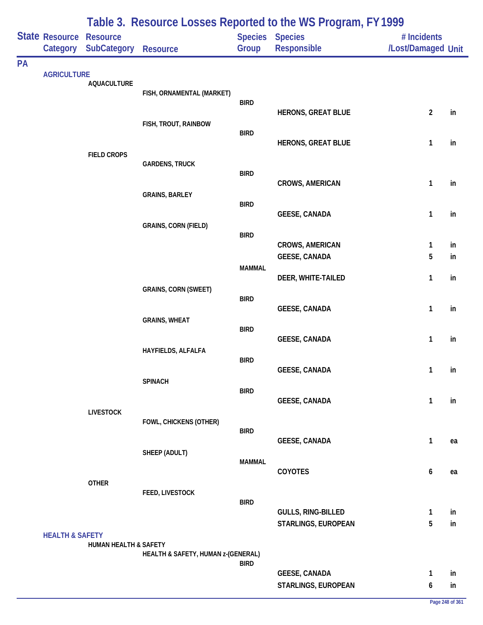|    | State Resource             | <b>Resource</b>       |                                    |               | Table 5. INESURING LUSSES INEPUTIER TO THE WO FTUYIAM, IT T777<br>Species Species | # Incidents        |          |
|----|----------------------------|-----------------------|------------------------------------|---------------|-----------------------------------------------------------------------------------|--------------------|----------|
|    | Category                   | <b>SubCategory</b>    | <b>Resource</b>                    | Group         | Responsible                                                                       | /Lost/Damaged Unit |          |
| PA |                            |                       |                                    |               |                                                                                   |                    |          |
|    | <b>AGRICULTURE</b>         | <b>AQUACULTURE</b>    |                                    |               |                                                                                   |                    |          |
|    |                            |                       | FISH, ORNAMENTAL (MARKET)          |               |                                                                                   |                    |          |
|    |                            |                       |                                    | <b>BIRD</b>   | <b>HERONS, GREAT BLUE</b>                                                         | $\overline{2}$     | in       |
|    |                            |                       | FISH, TROUT, RAINBOW               |               |                                                                                   |                    |          |
|    |                            |                       |                                    | <b>BIRD</b>   | <b>HERONS, GREAT BLUE</b>                                                         | $\mathbf{1}$       | in       |
|    |                            | <b>FIELD CROPS</b>    |                                    |               |                                                                                   |                    |          |
|    |                            |                       | <b>GARDENS, TRUCK</b>              |               |                                                                                   |                    |          |
|    |                            |                       |                                    | <b>BIRD</b>   | <b>CROWS, AMERICAN</b>                                                            | $\mathbf{1}$       | in       |
|    |                            |                       | <b>GRAINS, BARLEY</b>              |               |                                                                                   |                    |          |
|    |                            |                       |                                    | <b>BIRD</b>   | <b>GEESE, CANADA</b>                                                              | $\mathbf{1}$       | in       |
|    |                            |                       | <b>GRAINS, CORN (FIELD)</b>        |               |                                                                                   |                    |          |
|    |                            |                       |                                    | <b>BIRD</b>   |                                                                                   |                    |          |
|    |                            |                       |                                    |               | <b>CROWS, AMERICAN</b><br><b>GEESE, CANADA</b>                                    | $\mathbf{1}$<br>5  | in<br>in |
|    |                            |                       |                                    | <b>MAMMAL</b> |                                                                                   |                    |          |
|    |                            |                       |                                    |               | DEER, WHITE-TAILED                                                                | $\mathbf{1}$       | in       |
|    |                            |                       | <b>GRAINS, CORN (SWEET)</b>        | <b>BIRD</b>   |                                                                                   |                    |          |
|    |                            |                       |                                    |               | <b>GEESE, CANADA</b>                                                              | $\mathbf{1}$       | in       |
|    |                            |                       | <b>GRAINS, WHEAT</b>               | <b>BIRD</b>   |                                                                                   |                    |          |
|    |                            |                       |                                    |               | GEESE, CANADA                                                                     | $\mathbf{1}$       | in       |
|    |                            |                       | HAYFIELDS, ALFALFA                 |               |                                                                                   |                    |          |
|    |                            |                       |                                    | <b>BIRD</b>   | <b>GEESE, CANADA</b>                                                              | 1                  | in       |
|    |                            |                       | <b>SPINACH</b>                     |               |                                                                                   |                    |          |
|    |                            |                       |                                    | <b>BIRD</b>   | <b>GEESE, CANADA</b>                                                              | 1                  | in       |
|    |                            | <b>LIVESTOCK</b>      |                                    |               |                                                                                   |                    |          |
|    |                            |                       | FOWL, CHICKENS (OTHER)             | <b>BIRD</b>   |                                                                                   |                    |          |
|    |                            |                       |                                    |               | <b>GEESE, CANADA</b>                                                              | $\mathbf{1}$       | ea       |
|    |                            |                       | SHEEP (ADULT)                      |               |                                                                                   |                    |          |
|    |                            |                       |                                    | <b>MAMMAL</b> | <b>COYOTES</b>                                                                    | 6                  | ea       |
|    |                            | <b>OTHER</b>          |                                    |               |                                                                                   |                    |          |
|    |                            |                       | FEED, LIVESTOCK                    | <b>BIRD</b>   |                                                                                   |                    |          |
|    |                            |                       |                                    |               | GULLS, RING-BILLED                                                                | $\mathbf{1}$       | in       |
|    |                            |                       |                                    |               | STARLINGS, EUROPEAN                                                               | 5                  | in       |
|    | <b>HEALTH &amp; SAFETY</b> | HUMAN HEALTH & SAFETY |                                    |               |                                                                                   |                    |          |
|    |                            |                       | HEALTH & SAFETY, HUMAN z-(GENERAL) |               |                                                                                   |                    |          |
|    |                            |                       |                                    | <b>BIRD</b>   | <b>GEESE, CANADA</b>                                                              | 1                  | in       |
|    |                            |                       |                                    |               | STARLINGS, EUROPEAN                                                               | 6                  | in       |
|    |                            |                       |                                    |               |                                                                                   |                    |          |

## **Table 3. Resource Losses Reported to the WS Program, FY 1999**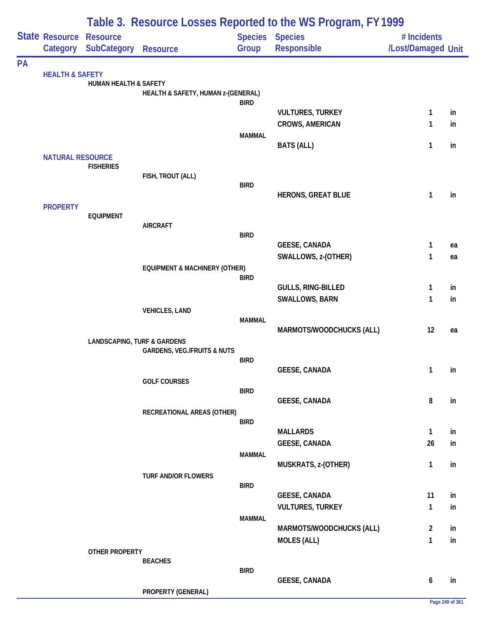|    |                            | Table 3. Resource Losses Reported to the WS Program, FY 1999 |                                          |               |                                                   |                    |          |  |  |
|----|----------------------------|--------------------------------------------------------------|------------------------------------------|---------------|---------------------------------------------------|--------------------|----------|--|--|
|    | State Resource             | <b>Resource</b>                                              |                                          |               | <b>Species Species</b>                            | # Incidents        |          |  |  |
|    |                            | Category SubCategory                                         | <b>Resource</b>                          | Group         | Responsible                                       | /Lost/Damaged Unit |          |  |  |
| PA |                            |                                                              |                                          |               |                                                   |                    |          |  |  |
|    | <b>HEALTH &amp; SAFETY</b> | <b>HUMAN HEALTH &amp; SAFETY</b>                             |                                          |               |                                                   |                    |          |  |  |
|    |                            |                                                              | HEALTH & SAFETY, HUMAN z-(GENERAL)       |               |                                                   |                    |          |  |  |
|    |                            |                                                              |                                          | <b>BIRD</b>   |                                                   |                    |          |  |  |
|    |                            |                                                              |                                          |               | <b>VULTURES, TURKEY</b><br><b>CROWS, AMERICAN</b> | 1<br>1             | in<br>in |  |  |
|    |                            |                                                              |                                          | <b>MAMMAL</b> |                                                   |                    |          |  |  |
|    |                            |                                                              |                                          |               | <b>BATS (ALL)</b>                                 | 1                  | in       |  |  |
|    | <b>NATURAL RESOURCE</b>    |                                                              |                                          |               |                                                   |                    |          |  |  |
|    |                            | <b>FISHERIES</b>                                             | FISH, TROUT (ALL)                        |               |                                                   |                    |          |  |  |
|    |                            |                                                              |                                          | <b>BIRD</b>   |                                                   |                    |          |  |  |
|    |                            |                                                              |                                          |               | <b>HERONS, GREAT BLUE</b>                         | 1                  | in       |  |  |
|    | <b>PROPERTY</b>            | <b>EQUIPMENT</b>                                             |                                          |               |                                                   |                    |          |  |  |
|    |                            |                                                              | <b>AIRCRAFT</b>                          |               |                                                   |                    |          |  |  |
|    |                            |                                                              |                                          | <b>BIRD</b>   |                                                   |                    |          |  |  |
|    |                            |                                                              |                                          |               | GEESE, CANADA                                     | 1                  | ea       |  |  |
|    |                            |                                                              | <b>EQUIPMENT &amp; MACHINERY (OTHER)</b> |               | SWALLOWS, z-(OTHER)                               | 1                  | ea       |  |  |
|    |                            |                                                              |                                          | <b>BIRD</b>   |                                                   |                    |          |  |  |
|    |                            |                                                              |                                          |               | GULLS, RING-BILLED                                | 1                  | in       |  |  |
|    |                            |                                                              |                                          |               | <b>SWALLOWS, BARN</b>                             | 1                  | in       |  |  |
|    |                            |                                                              | <b>VEHICLES, LAND</b>                    | <b>MAMMAL</b> |                                                   |                    |          |  |  |
|    |                            |                                                              |                                          |               | MARMOTS/WOODCHUCKS (ALL)                          | 12                 | ea       |  |  |
|    |                            | <b>LANDSCAPING, TURF &amp; GARDENS</b>                       |                                          |               |                                                   |                    |          |  |  |
|    |                            |                                                              | <b>GARDENS, VEG./FRUITS &amp; NUTS</b>   | <b>BIRD</b>   |                                                   |                    |          |  |  |
|    |                            |                                                              |                                          |               | <b>GEESE, CANADA</b>                              | $\overline{1}$     | in       |  |  |
|    |                            |                                                              | <b>GOLF COURSES</b>                      |               |                                                   |                    |          |  |  |
|    |                            |                                                              |                                          | <b>BIRD</b>   |                                                   |                    |          |  |  |
|    |                            |                                                              | RECREATIONAL AREAS (OTHER)               |               | <b>GEESE, CANADA</b>                              | 8                  | in       |  |  |
|    |                            |                                                              |                                          | <b>BIRD</b>   |                                                   |                    |          |  |  |
|    |                            |                                                              |                                          |               | <b>MALLARDS</b>                                   | 1                  | in       |  |  |
|    |                            |                                                              |                                          |               | <b>GEESE, CANADA</b>                              | 26                 | in       |  |  |
|    |                            |                                                              |                                          | <b>MAMMAL</b> | MUSKRATS, z-(OTHER)                               | $\mathbf{1}$       | in       |  |  |
|    |                            |                                                              | <b>TURF AND/OR FLOWERS</b>               |               |                                                   |                    |          |  |  |
|    |                            |                                                              |                                          | <b>BIRD</b>   |                                                   |                    |          |  |  |
|    |                            |                                                              |                                          |               | <b>GEESE, CANADA</b>                              | 11                 | in       |  |  |
|    |                            |                                                              |                                          |               | <b>VULTURES, TURKEY</b>                           | 1                  | in       |  |  |
|    |                            |                                                              |                                          | <b>MAMMAL</b> | MARMOTS/WOODCHUCKS (ALL)                          | $\overline{2}$     | in       |  |  |
|    |                            |                                                              |                                          |               | <b>MOLES (ALL)</b>                                | $\mathbf{1}$       | in       |  |  |
|    |                            | OTHER PROPERTY                                               |                                          |               |                                                   |                    |          |  |  |
|    |                            |                                                              | <b>BEACHES</b>                           |               |                                                   |                    |          |  |  |
|    |                            |                                                              |                                          | <b>BIRD</b>   | <b>GEESE, CANADA</b>                              | 6                  | in       |  |  |
|    |                            |                                                              | PROPERTY (GENERAL)                       |               |                                                   |                    |          |  |  |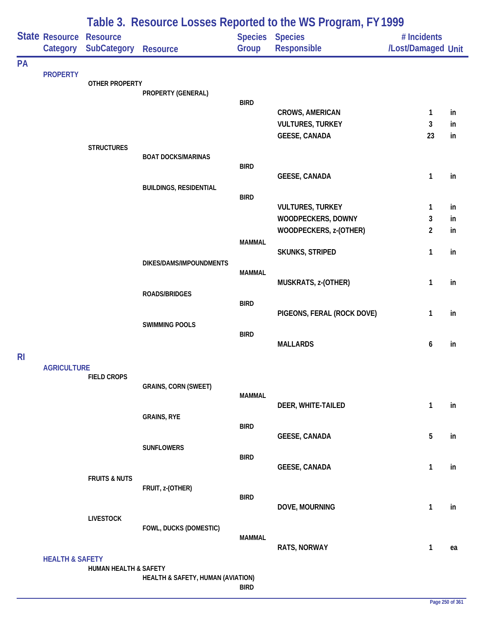|                | Table 3. Resource Losses Reported to the WS Program, FY 1999 |                                       |                                   |               |                                |                                   |    |  |
|----------------|--------------------------------------------------------------|---------------------------------------|-----------------------------------|---------------|--------------------------------|-----------------------------------|----|--|
|                | State Resource<br>Category                                   | <b>Resource</b><br><b>SubCategory</b> | Resource                          | Group         | Species Species<br>Responsible | # Incidents<br>/Lost/Damaged Unit |    |  |
| PA             |                                                              |                                       |                                   |               |                                |                                   |    |  |
|                | <b>PROPERTY</b>                                              | <b>OTHER PROPERTY</b>                 |                                   |               |                                |                                   |    |  |
|                |                                                              |                                       | PROPERTY (GENERAL)                | <b>BIRD</b>   |                                |                                   |    |  |
|                |                                                              |                                       |                                   |               | <b>CROWS, AMERICAN</b>         | $\mathbf{1}$                      | in |  |
|                |                                                              |                                       |                                   |               | <b>VULTURES, TURKEY</b>        | 3                                 | in |  |
|                |                                                              |                                       |                                   |               | <b>GEESE, CANADA</b>           | 23                                | in |  |
|                |                                                              | <b>STRUCTURES</b>                     | <b>BOAT DOCKS/MARINAS</b>         |               |                                |                                   |    |  |
|                |                                                              |                                       |                                   | <b>BIRD</b>   |                                |                                   |    |  |
|                |                                                              |                                       |                                   |               | <b>GEESE, CANADA</b>           | 1                                 | in |  |
|                |                                                              |                                       | <b>BUILDINGS, RESIDENTIAL</b>     | <b>BIRD</b>   |                                |                                   |    |  |
|                |                                                              |                                       |                                   |               | <b>VULTURES, TURKEY</b>        | 1                                 | in |  |
|                |                                                              |                                       |                                   |               | WOODPECKERS, DOWNY             | 3                                 | in |  |
|                |                                                              |                                       |                                   |               | WOODPECKERS, z-(OTHER)         | $\overline{2}$                    | in |  |
|                |                                                              |                                       |                                   | <b>MAMMAL</b> | SKUNKS, STRIPED                | 1                                 | in |  |
|                |                                                              |                                       | DIKES/DAMS/IMPOUNDMENTS           |               |                                |                                   |    |  |
|                |                                                              |                                       |                                   | <b>MAMMAL</b> |                                |                                   |    |  |
|                |                                                              |                                       | ROADS/BRIDGES                     |               | MUSKRATS, z-(OTHER)            | $\mathbf{1}$                      | in |  |
|                |                                                              |                                       |                                   | <b>BIRD</b>   |                                |                                   |    |  |
|                |                                                              |                                       |                                   |               | PIGEONS, FERAL (ROCK DOVE)     | 1                                 | in |  |
|                |                                                              |                                       | <b>SWIMMING POOLS</b>             | <b>BIRD</b>   |                                |                                   |    |  |
|                |                                                              |                                       |                                   |               | <b>MALLARDS</b>                | 6                                 | in |  |
| R <sub>l</sub> |                                                              |                                       |                                   |               |                                |                                   |    |  |
|                | <b>AGRICULTURE</b>                                           | <b>FIELD CROPS</b>                    |                                   |               |                                |                                   |    |  |
|                |                                                              |                                       | <b>GRAINS, CORN (SWEET)</b>       |               |                                |                                   |    |  |
|                |                                                              |                                       |                                   | <b>MAMMAL</b> |                                | $\mathbf{1}$                      |    |  |
|                |                                                              |                                       | <b>GRAINS, RYE</b>                |               | DEER, WHITE-TAILED             |                                   | in |  |
|                |                                                              |                                       |                                   | <b>BIRD</b>   |                                |                                   |    |  |
|                |                                                              |                                       |                                   |               | <b>GEESE, CANADA</b>           | 5                                 | in |  |
|                |                                                              |                                       | <b>SUNFLOWERS</b>                 | <b>BIRD</b>   |                                |                                   |    |  |
|                |                                                              |                                       |                                   |               | <b>GEESE, CANADA</b>           | $\mathbf{1}$                      | in |  |
|                |                                                              | <b>FRUITS &amp; NUTS</b>              | FRUIT, z-(OTHER)                  |               |                                |                                   |    |  |
|                |                                                              |                                       |                                   | <b>BIRD</b>   |                                |                                   |    |  |
|                |                                                              |                                       |                                   |               | DOVE, MOURNING                 | $\mathbf{1}$                      | in |  |
|                |                                                              | <b>LIVESTOCK</b>                      | FOWL, DUCKS (DOMESTIC)            |               |                                |                                   |    |  |
|                |                                                              |                                       |                                   | <b>MAMMAL</b> |                                |                                   |    |  |
|                |                                                              |                                       |                                   |               | <b>RATS, NORWAY</b>            | $\mathbf{1}$                      | ea |  |
|                | <b>HEALTH &amp; SAFETY</b>                                   | HUMAN HEALTH & SAFETY                 |                                   |               |                                |                                   |    |  |
|                |                                                              |                                       | HEALTH & SAFETY, HUMAN (AVIATION) |               |                                |                                   |    |  |
|                |                                                              |                                       |                                   | <b>BIRD</b>   |                                |                                   |    |  |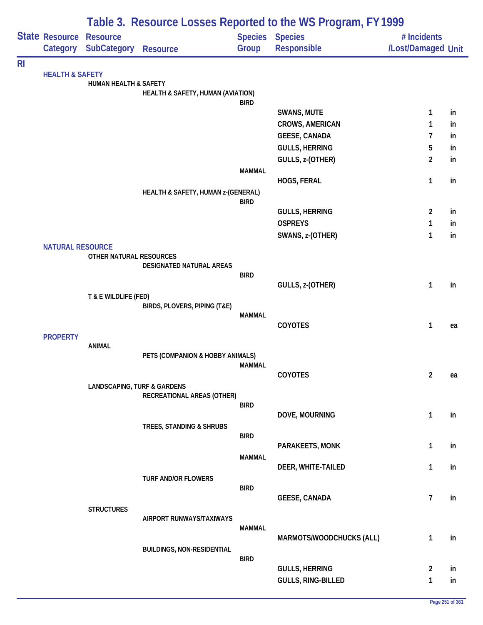|                |                            | Table 3. Resource Losses Reported to the WS Program, FY 1999 |                                    |                |                          |                    |    |  |  |
|----------------|----------------------------|--------------------------------------------------------------|------------------------------------|----------------|--------------------------|--------------------|----|--|--|
|                | State Resource             | <b>Resource</b>                                              |                                    | <b>Species</b> | <b>Species</b>           | # Incidents        |    |  |  |
|                | Category                   | <b>SubCategory</b>                                           | <b>Resource</b>                    | Group          | Responsible              | /Lost/Damaged Unit |    |  |  |
| R <sub>l</sub> |                            |                                                              |                                    |                |                          |                    |    |  |  |
|                | <b>HEALTH &amp; SAFETY</b> | <b>HUMAN HEALTH &amp; SAFETY</b>                             |                                    |                |                          |                    |    |  |  |
|                |                            |                                                              | HEALTH & SAFETY, HUMAN (AVIATION)  |                |                          |                    |    |  |  |
|                |                            |                                                              |                                    | <b>BIRD</b>    |                          |                    |    |  |  |
|                |                            |                                                              |                                    |                | <b>SWANS, MUTE</b>       | 1                  | in |  |  |
|                |                            |                                                              |                                    |                | <b>CROWS, AMERICAN</b>   | 1                  | in |  |  |
|                |                            |                                                              |                                    |                | <b>GEESE, CANADA</b>     | 7                  | in |  |  |
|                |                            |                                                              |                                    |                | <b>GULLS, HERRING</b>    | 5                  | in |  |  |
|                |                            |                                                              |                                    | <b>MAMMAL</b>  | GULLS, z-(OTHER)         | 2                  | in |  |  |
|                |                            |                                                              |                                    |                | HOGS, FERAL              | 1                  | in |  |  |
|                |                            |                                                              | HEALTH & SAFETY, HUMAN z-(GENERAL) |                |                          |                    |    |  |  |
|                |                            |                                                              |                                    | <b>BIRD</b>    |                          |                    |    |  |  |
|                |                            |                                                              |                                    |                | <b>GULLS, HERRING</b>    | $\overline{2}$     | in |  |  |
|                |                            |                                                              |                                    |                | <b>OSPREYS</b>           | 1                  | in |  |  |
|                | <b>NATURAL RESOURCE</b>    |                                                              |                                    |                | SWANS, z-(OTHER)         | 1                  | in |  |  |
|                |                            | OTHER NATURAL RESOURCES                                      |                                    |                |                          |                    |    |  |  |
|                |                            |                                                              | DESIGNATED NATURAL AREAS           |                |                          |                    |    |  |  |
|                |                            |                                                              |                                    | <b>BIRD</b>    | GULLS, z-(OTHER)         | 1                  | in |  |  |
|                |                            | T & E WILDLIFE (FED)                                         |                                    |                |                          |                    |    |  |  |
|                |                            |                                                              | BIRDS, PLOVERS, PIPING (T&E)       |                |                          |                    |    |  |  |
|                |                            |                                                              |                                    | <b>MAMMAL</b>  |                          |                    |    |  |  |
|                |                            |                                                              |                                    |                | <b>COYOTES</b>           | 1                  | ea |  |  |
|                | <b>PROPERTY</b>            | <b>ANIMAL</b>                                                |                                    |                |                          |                    |    |  |  |
|                |                            |                                                              | PETS (COMPANION & HOBBY ANIMALS)   |                |                          |                    |    |  |  |
|                |                            |                                                              |                                    | <b>MAMMAL</b>  |                          |                    |    |  |  |
|                |                            |                                                              |                                    |                | COYOTES                  | $\overline{2}$     | ea |  |  |
|                |                            | <b>LANDSCAPING, TURF &amp; GARDENS</b>                       | RECREATIONAL AREAS (OTHER)         |                |                          |                    |    |  |  |
|                |                            |                                                              |                                    | <b>BIRD</b>    |                          |                    |    |  |  |
|                |                            |                                                              |                                    |                | DOVE, MOURNING           | 1                  | in |  |  |
|                |                            |                                                              | TREES, STANDING & SHRUBS           | <b>BIRD</b>    |                          |                    |    |  |  |
|                |                            |                                                              |                                    |                | PARAKEETS, MONK          | 1                  | in |  |  |
|                |                            |                                                              |                                    | <b>MAMMAL</b>  |                          |                    |    |  |  |
|                |                            |                                                              |                                    |                | DEER, WHITE-TAILED       | 1                  | in |  |  |
|                |                            |                                                              | <b>TURF AND/OR FLOWERS</b>         |                |                          |                    |    |  |  |
|                |                            |                                                              |                                    | <b>BIRD</b>    | <b>GEESE, CANADA</b>     | $\overline{7}$     | in |  |  |
|                |                            | <b>STRUCTURES</b>                                            |                                    |                |                          |                    |    |  |  |
|                |                            |                                                              | AIRPORT RUNWAYS/TAXIWAYS           |                |                          |                    |    |  |  |
|                |                            |                                                              |                                    | <b>MAMMAL</b>  |                          |                    |    |  |  |
|                |                            |                                                              | <b>BUILDINGS, NON-RESIDENTIAL</b>  |                | MARMOTS/WOODCHUCKS (ALL) | 1                  | in |  |  |
|                |                            |                                                              |                                    | <b>BIRD</b>    |                          |                    |    |  |  |
|                |                            |                                                              |                                    |                | <b>GULLS, HERRING</b>    | $\overline{2}$     | in |  |  |
|                |                            |                                                              |                                    |                | GULLS, RING-BILLED       | 1                  | in |  |  |
|                |                            |                                                              |                                    |                |                          |                    |    |  |  |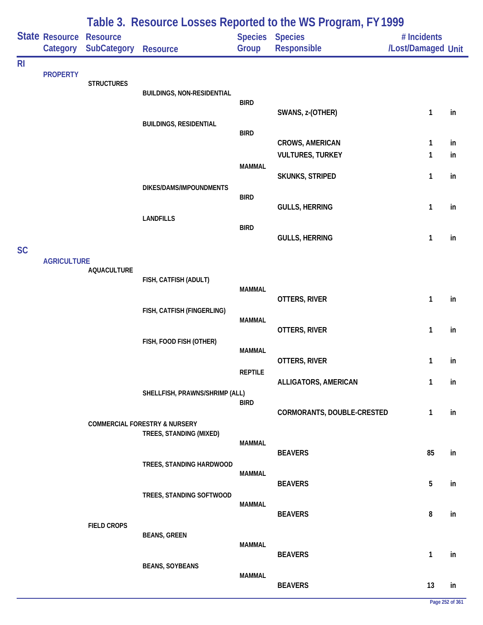|                |                                   |                                       |                                                                     |                                 | Table 3. Resource Losses Reported to the WS Program, FY 1999 |                                   |    |
|----------------|-----------------------------------|---------------------------------------|---------------------------------------------------------------------|---------------------------------|--------------------------------------------------------------|-----------------------------------|----|
|                | <b>State Resource</b><br>Category | <b>Resource</b><br><b>SubCategory</b> | <b>Resource</b>                                                     | <b>Species Species</b><br>Group | <b>Responsible</b>                                           | # Incidents<br>/Lost/Damaged Unit |    |
| R <sub>l</sub> | <b>PROPERTY</b>                   | <b>STRUCTURES</b>                     | <b>BUILDINGS, NON-RESIDENTIAL</b>                                   |                                 |                                                              |                                   |    |
|                |                                   |                                       |                                                                     | <b>BIRD</b>                     | SWANS, z-(OTHER)                                             | $\mathbf{1}$                      | in |
|                |                                   |                                       | <b>BUILDINGS, RESIDENTIAL</b>                                       | <b>BIRD</b>                     | <b>CROWS, AMERICAN</b>                                       | 1                                 | in |
|                |                                   |                                       |                                                                     | <b>MAMMAL</b>                   | <b>VULTURES, TURKEY</b>                                      | 1                                 | in |
|                |                                   |                                       | DIKES/DAMS/IMPOUNDMENTS                                             | <b>BIRD</b>                     | <b>SKUNKS, STRIPED</b>                                       | 1                                 | in |
|                |                                   |                                       | <b>LANDFILLS</b>                                                    | <b>BIRD</b>                     | <b>GULLS, HERRING</b>                                        | $\mathbf{1}$                      | in |
| <b>SC</b>      |                                   |                                       |                                                                     |                                 | <b>GULLS, HERRING</b>                                        | 1                                 | in |
|                | <b>AGRICULTURE</b>                | <b>AQUACULTURE</b>                    | FISH, CATFISH (ADULT)                                               |                                 |                                                              |                                   |    |
|                |                                   |                                       | FISH, CATFISH (FINGERLING)                                          | <b>MAMMAL</b>                   | OTTERS, RIVER                                                | $\mathbf{1}$                      | in |
|                |                                   |                                       |                                                                     | <b>MAMMAL</b>                   | OTTERS, RIVER                                                | $\mathbf{1}$                      | in |
|                |                                   |                                       | FISH, FOOD FISH (OTHER)                                             | <b>MAMMAL</b>                   | OTTERS, RIVER                                                | 1                                 | in |
|                |                                   |                                       | SHELLFISH, PRAWNS/SHRIMP (ALL)                                      | <b>REPTILE</b>                  | ALLIGATORS, AMERICAN                                         | 1                                 | in |
|                |                                   |                                       |                                                                     | <b>BIRD</b>                     | CORMORANTS, DOUBLE-CRESTED                                   | $\mathbf{1}$                      | in |
|                |                                   |                                       | <b>COMMERCIAL FORESTRY &amp; NURSERY</b><br>TREES, STANDING (MIXED) | <b>MAMMAL</b>                   | <b>BEAVERS</b>                                               | 85                                | in |
|                |                                   |                                       | TREES, STANDING HARDWOOD                                            | <b>MAMMAL</b>                   | <b>BEAVERS</b>                                               | 5                                 | in |
|                |                                   |                                       | TREES, STANDING SOFTWOOD                                            | <b>MAMMAL</b>                   | <b>BEAVERS</b>                                               | 8                                 | in |
|                |                                   | <b>FIELD CROPS</b>                    | <b>BEANS, GREEN</b>                                                 | <b>MAMMAL</b>                   |                                                              |                                   |    |
|                |                                   |                                       | <b>BEANS, SOYBEANS</b>                                              |                                 | <b>BEAVERS</b>                                               | $\mathbf{1}$                      | in |
|                |                                   |                                       |                                                                     | <b>MAMMAL</b>                   | <b>BEAVERS</b>                                               | 13                                | in |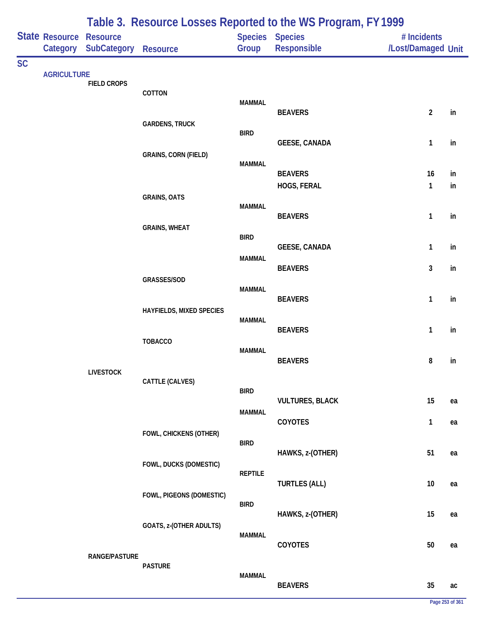|           |                            |                                |                             |                          | Table 3. Resource Losses Reported to the WS Program, FY1999 |                                   |          |
|-----------|----------------------------|--------------------------------|-----------------------------|--------------------------|-------------------------------------------------------------|-----------------------------------|----------|
|           | State Resource<br>Category | <b>Resource</b><br>SubCategory | <b>Resource</b>             | Species Species<br>Group | Responsible                                                 | # Incidents<br>/Lost/Damaged Unit |          |
| <b>SC</b> | <b>AGRICULTURE</b>         |                                |                             |                          |                                                             |                                   |          |
|           |                            | <b>FIELD CROPS</b>             | COTTON                      | <b>MAMMAL</b>            |                                                             |                                   |          |
|           |                            |                                | <b>GARDENS, TRUCK</b>       | <b>BIRD</b>              | <b>BEAVERS</b>                                              | $\overline{2}$                    | in       |
|           |                            |                                | <b>GRAINS, CORN (FIELD)</b> | <b>MAMMAL</b>            | <b>GEESE, CANADA</b>                                        | $\mathbf{1}$                      | in       |
|           |                            |                                |                             |                          | <b>BEAVERS</b><br>HOGS, FERAL                               | 16<br>$\mathbf{1}$                | in<br>in |
|           |                            |                                | <b>GRAINS, OATS</b>         | <b>MAMMAL</b>            | <b>BEAVERS</b>                                              | $\mathbf{1}$                      | in       |
|           |                            |                                | <b>GRAINS, WHEAT</b>        | <b>BIRD</b>              | <b>GEESE, CANADA</b>                                        | $\mathbf{1}$                      | in       |
|           |                            |                                |                             | <b>MAMMAL</b>            | <b>BEAVERS</b>                                              | 3                                 | in       |
|           |                            |                                | GRASSES/SOD                 | <b>MAMMAL</b>            | <b>BEAVERS</b>                                              | 1                                 | in       |
|           |                            |                                | HAYFIELDS, MIXED SPECIES    | <b>MAMMAL</b>            | <b>BEAVERS</b>                                              | $\mathbf{1}$                      | in       |
|           |                            |                                | <b>TOBACCO</b>              | <b>MAMMAL</b>            | <b>BEAVERS</b>                                              | 8                                 | in       |
|           |                            | <b>LIVESTOCK</b>               | CATTLE (CALVES)             | <b>BIRD</b>              |                                                             |                                   |          |
|           |                            |                                |                             | <b>MAMMAL</b>            | <b>VULTURES, BLACK</b>                                      | 15                                | ea       |
|           |                            |                                | FOWL, CHICKENS (OTHER)      |                          | COYOTES                                                     | $\mathbf{1}$                      | ea       |
|           |                            |                                | FOWL, DUCKS (DOMESTIC)      | <b>BIRD</b>              | HAWKS, z-(OTHER)                                            | 51                                | ea       |
|           |                            |                                | FOWL, PIGEONS (DOMESTIC)    | <b>REPTILE</b>           | <b>TURTLES (ALL)</b>                                        | $10$                              | ea       |
|           |                            |                                | GOATS, z-(OTHER ADULTS)     | <b>BIRD</b>              | HAWKS, z-(OTHER)                                            | 15                                | ea       |
|           |                            |                                |                             | <b>MAMMAL</b>            | COYOTES                                                     | $50\,$                            | ea       |
|           |                            | <b>RANGE/PASTURE</b>           | <b>PASTURE</b>              | <b>MAMMAL</b>            | <b>BEAVERS</b>                                              | 35                                | ac       |

## **Page 253 of 361**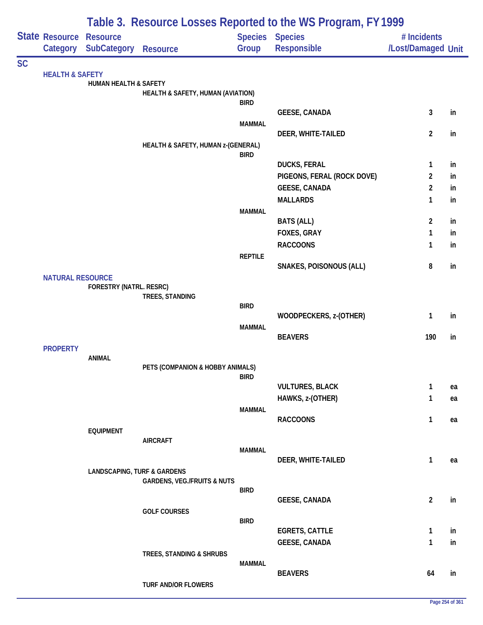|           |                                |                                        |                                        |                | Table 3. Resource Losses Reported to the WS Program, FY1999 |                                   |          |
|-----------|--------------------------------|----------------------------------------|----------------------------------------|----------------|-------------------------------------------------------------|-----------------------------------|----------|
|           | <b>State Resource Resource</b> | Category SubCategory                   | <b>Resource</b>                        | Group          | Species Species<br>Responsible                              | # Incidents<br>/Lost/Damaged Unit |          |
| <b>SC</b> |                                |                                        |                                        |                |                                                             |                                   |          |
|           | <b>HEALTH &amp; SAFETY</b>     | <b>HUMAN HEALTH &amp; SAFETY</b>       |                                        |                |                                                             |                                   |          |
|           |                                |                                        | HEALTH & SAFETY, HUMAN (AVIATION)      |                |                                                             |                                   |          |
|           |                                |                                        |                                        | <b>BIRD</b>    |                                                             |                                   |          |
|           |                                |                                        |                                        |                | <b>GEESE, CANADA</b>                                        | 3                                 | in       |
|           |                                |                                        |                                        | <b>MAMMAL</b>  | DEER, WHITE-TAILED                                          | $\overline{2}$                    | in       |
|           |                                |                                        | HEALTH & SAFETY, HUMAN z-(GENERAL)     |                |                                                             |                                   |          |
|           |                                |                                        |                                        | <b>BIRD</b>    |                                                             |                                   |          |
|           |                                |                                        |                                        |                | <b>DUCKS, FERAL</b>                                         | $\mathbf{1}$                      | in       |
|           |                                |                                        |                                        |                | PIGEONS, FERAL (ROCK DOVE)                                  | $\overline{2}$                    | in       |
|           |                                |                                        |                                        |                | GEESE, CANADA                                               | $\overline{2}$                    | in       |
|           |                                |                                        |                                        |                | <b>MALLARDS</b>                                             | $\mathbf{1}$                      | in       |
|           |                                |                                        |                                        | <b>MAMMAL</b>  | <b>BATS (ALL)</b>                                           | $\overline{2}$                    | in       |
|           |                                |                                        |                                        |                | FOXES, GRAY                                                 | $\mathbf{1}$                      | in       |
|           |                                |                                        |                                        |                | <b>RACCOONS</b>                                             | 1                                 | in       |
|           |                                |                                        |                                        | <b>REPTILE</b> |                                                             |                                   |          |
|           |                                |                                        |                                        |                | <b>SNAKES, POISONOUS (ALL)</b>                              | 8                                 | in       |
|           | <b>NATURAL RESOURCE</b>        |                                        |                                        |                |                                                             |                                   |          |
|           |                                | <b>FORESTRY (NATRL. RESRC)</b>         |                                        |                |                                                             |                                   |          |
|           |                                |                                        | TREES, STANDING                        | <b>BIRD</b>    |                                                             |                                   |          |
|           |                                |                                        |                                        |                | WOODPECKERS, z-(OTHER)                                      | 1                                 | in       |
|           |                                |                                        |                                        | <b>MAMMAL</b>  |                                                             |                                   |          |
|           |                                |                                        |                                        |                | <b>BEAVERS</b>                                              | 190                               | in       |
|           | <b>PROPERTY</b>                |                                        |                                        |                |                                                             |                                   |          |
|           |                                | <b>ANIMAL</b>                          | PETS (COMPANION & HOBBY ANIMALS)       |                |                                                             |                                   |          |
|           |                                |                                        |                                        | <b>BIRD</b>    |                                                             |                                   |          |
|           |                                |                                        |                                        |                | <b>VULTURES, BLACK</b>                                      | $\mathbf{1}$                      | ea       |
|           |                                |                                        |                                        |                | HAWKS, z-(OTHER)                                            | $\mathbf{1}$                      | ea       |
|           |                                |                                        |                                        | MAMMAL         |                                                             |                                   |          |
|           |                                | <b>EQUIPMENT</b>                       |                                        |                | <b>RACCOONS</b>                                             | $\mathbf{1}$                      | ea       |
|           |                                |                                        | <b>AIRCRAFT</b>                        |                |                                                             |                                   |          |
|           |                                |                                        |                                        | <b>MAMMAL</b>  |                                                             |                                   |          |
|           |                                |                                        |                                        |                | DEER, WHITE-TAILED                                          | $\mathbf{1}$                      | ea       |
|           |                                | <b>LANDSCAPING, TURF &amp; GARDENS</b> | <b>GARDENS, VEG./FRUITS &amp; NUTS</b> |                |                                                             |                                   |          |
|           |                                |                                        |                                        | <b>BIRD</b>    |                                                             |                                   |          |
|           |                                |                                        |                                        |                | <b>GEESE, CANADA</b>                                        | $\overline{2}$                    | in       |
|           |                                |                                        | <b>GOLF COURSES</b>                    |                |                                                             |                                   |          |
|           |                                |                                        |                                        | <b>BIRD</b>    |                                                             |                                   |          |
|           |                                |                                        |                                        |                | <b>EGRETS, CATTLE</b><br><b>GEESE, CANADA</b>               | $\mathbf{1}$<br>1                 | in<br>in |
|           |                                |                                        | TREES, STANDING & SHRUBS               |                |                                                             |                                   |          |
|           |                                |                                        |                                        | <b>MAMMAL</b>  |                                                             |                                   |          |
|           |                                |                                        |                                        |                | <b>BEAVERS</b>                                              | 64                                | in       |
|           |                                |                                        | TURF AND/OR FLOWERS                    |                |                                                             |                                   |          |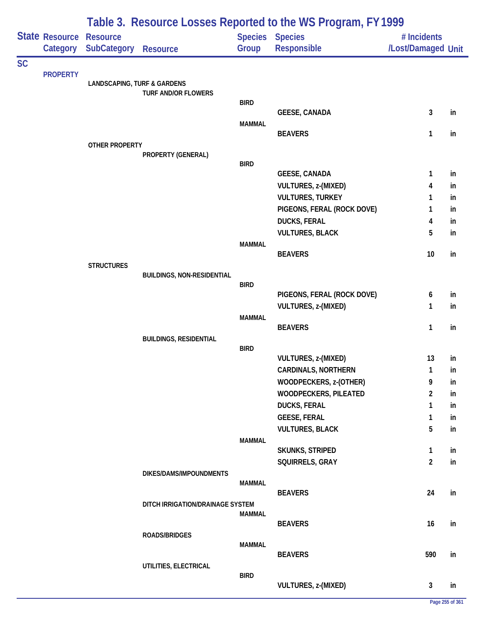|           |                            | Table 3. Resource Losses Reported to the WS Program, FY 1999 |                                   |               |                                |                                   |    |  |
|-----------|----------------------------|--------------------------------------------------------------|-----------------------------------|---------------|--------------------------------|-----------------------------------|----|--|
|           | State Resource<br>Category | <b>Resource</b><br><b>SubCategory</b>                        | <b>Resource</b>                   | Group         | Species Species<br>Responsible | # Incidents<br>/Lost/Damaged Unit |    |  |
| <b>SC</b> |                            |                                                              |                                   |               |                                |                                   |    |  |
|           | <b>PROPERTY</b>            | <b>LANDSCAPING, TURF &amp; GARDENS</b>                       |                                   |               |                                |                                   |    |  |
|           |                            |                                                              | <b>TURF AND/OR FLOWERS</b>        |               |                                |                                   |    |  |
|           |                            |                                                              |                                   | <b>BIRD</b>   |                                |                                   |    |  |
|           |                            |                                                              |                                   | <b>MAMMAL</b> | <b>GEESE, CANADA</b>           | 3                                 | in |  |
|           |                            |                                                              |                                   |               | <b>BEAVERS</b>                 | 1                                 | in |  |
|           |                            | OTHER PROPERTY                                               |                                   |               |                                |                                   |    |  |
|           |                            |                                                              | PROPERTY (GENERAL)                |               |                                |                                   |    |  |
|           |                            |                                                              |                                   | <b>BIRD</b>   | <b>GEESE, CANADA</b>           | 1                                 | in |  |
|           |                            |                                                              |                                   |               | <b>VULTURES, z-(MIXED)</b>     | 4                                 | in |  |
|           |                            |                                                              |                                   |               | <b>VULTURES, TURKEY</b>        | 1                                 | in |  |
|           |                            |                                                              |                                   |               | PIGEONS, FERAL (ROCK DOVE)     | 1                                 | in |  |
|           |                            |                                                              |                                   |               | <b>DUCKS, FERAL</b>            | 4                                 | in |  |
|           |                            |                                                              |                                   |               | <b>VULTURES, BLACK</b>         | 5                                 | in |  |
|           |                            |                                                              |                                   | <b>MAMMAL</b> |                                |                                   |    |  |
|           |                            |                                                              |                                   |               | <b>BEAVERS</b>                 | 10                                | in |  |
|           |                            | <b>STRUCTURES</b>                                            | <b>BUILDINGS, NON-RESIDENTIAL</b> |               |                                |                                   |    |  |
|           |                            |                                                              |                                   | <b>BIRD</b>   |                                |                                   |    |  |
|           |                            |                                                              |                                   |               | PIGEONS, FERAL (ROCK DOVE)     | 6                                 | in |  |
|           |                            |                                                              |                                   |               | <b>VULTURES, z-(MIXED)</b>     | 1                                 | in |  |
|           |                            |                                                              |                                   | <b>MAMMAL</b> | <b>BEAVERS</b>                 | 1                                 | in |  |
|           |                            |                                                              | <b>BUILDINGS, RESIDENTIAL</b>     |               |                                |                                   |    |  |
|           |                            |                                                              |                                   | <b>BIRD</b>   |                                |                                   |    |  |
|           |                            |                                                              |                                   |               | <b>VULTURES, z-(MIXED)</b>     | 13                                | in |  |
|           |                            |                                                              |                                   |               | <b>CARDINALS, NORTHERN</b>     | $\mathbf{1}$                      | in |  |
|           |                            |                                                              |                                   |               | WOODPECKERS, z-(OTHER)         | 9                                 | in |  |
|           |                            |                                                              |                                   |               | WOODPECKERS, PILEATED          | $\overline{2}$                    | in |  |
|           |                            |                                                              |                                   |               | <b>DUCKS, FERAL</b>            | 1                                 | in |  |
|           |                            |                                                              |                                   |               | <b>GEESE, FERAL</b>            | 1                                 | in |  |
|           |                            |                                                              |                                   | <b>MAMMAL</b> | <b>VULTURES, BLACK</b>         | 5                                 | in |  |
|           |                            |                                                              |                                   |               | <b>SKUNKS, STRIPED</b>         | 1                                 | in |  |
|           |                            |                                                              |                                   |               | SQUIRRELS, GRAY                | $\overline{2}$                    | in |  |
|           |                            |                                                              | DIKES/DAMS/IMPOUNDMENTS           |               |                                |                                   |    |  |
|           |                            |                                                              |                                   | <b>MAMMAL</b> |                                |                                   |    |  |
|           |                            |                                                              |                                   |               | <b>BEAVERS</b>                 | 24                                | in |  |
|           |                            |                                                              | DITCH IRRIGATION/DRAINAGE SYSTEM  | <b>MAMMAL</b> |                                |                                   |    |  |
|           |                            |                                                              |                                   |               | <b>BEAVERS</b>                 | 16                                | in |  |
|           |                            |                                                              | ROADS/BRIDGES                     |               |                                |                                   |    |  |
|           |                            |                                                              |                                   | <b>MAMMAL</b> | <b>BEAVERS</b>                 | 590                               | in |  |
|           |                            |                                                              | UTILITIES, ELECTRICAL             |               |                                |                                   |    |  |
|           |                            |                                                              |                                   | <b>BIRD</b>   |                                |                                   |    |  |
|           |                            |                                                              |                                   |               | VULTURES, z-(MIXED)            | 3                                 | in |  |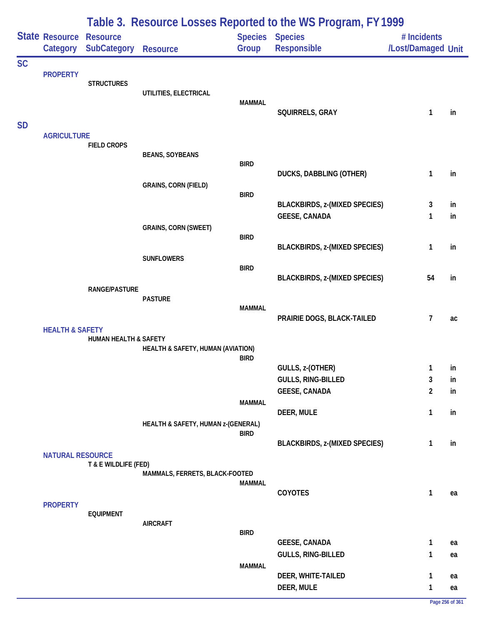|           |                            |                                       |                                              |                         | Table 3. Resource Losses Reported to the WS Program, FY 1999 |                                   |          |
|-----------|----------------------------|---------------------------------------|----------------------------------------------|-------------------------|--------------------------------------------------------------|-----------------------------------|----------|
|           | State Resource<br>Category | <b>Resource</b><br><b>SubCategory</b> | <b>Resource</b>                              | <b>Species</b><br>Group | <b>Species</b><br>Responsible                                | # Incidents<br>/Lost/Damaged Unit |          |
| <b>SC</b> | <b>PROPERTY</b>            | <b>STRUCTURES</b>                     | UTILITIES, ELECTRICAL                        | <b>MAMMAL</b>           | SQUIRRELS, GRAY                                              | 1                                 | in       |
| <b>SD</b> | <b>AGRICULTURE</b>         | <b>FIELD CROPS</b>                    |                                              |                         |                                                              |                                   |          |
|           |                            |                                       | <b>BEANS, SOYBEANS</b>                       | <b>BIRD</b>             | <b>DUCKS, DABBLING (OTHER)</b>                               | 1                                 | in       |
|           |                            |                                       | <b>GRAINS, CORN (FIELD)</b>                  | <b>BIRD</b>             | <b>BLACKBIRDS, z-(MIXED SPECIES)</b>                         | 3                                 | in       |
|           |                            |                                       | <b>GRAINS, CORN (SWEET)</b>                  |                         | <b>GEESE, CANADA</b>                                         | 1                                 | in       |
|           |                            |                                       | <b>SUNFLOWERS</b>                            | <b>BIRD</b>             | <b>BLACKBIRDS, z-(MIXED SPECIES)</b>                         | $\mathbf{1}$                      | in       |
|           |                            | <b>RANGE/PASTURE</b>                  |                                              | <b>BIRD</b>             | <b>BLACKBIRDS, z-(MIXED SPECIES)</b>                         | 54                                | in       |
|           | <b>HEALTH &amp; SAFETY</b> |                                       | <b>PASTURE</b>                               | <b>MAMMAL</b>           | PRAIRIE DOGS, BLACK-TAILED                                   | $\overline{7}$                    | ac       |
|           |                            | HUMAN HEALTH & SAFETY                 | <b>HEALTH &amp; SAFETY, HUMAN (AVIATION)</b> | <b>BIRD</b>             |                                                              |                                   |          |
|           |                            |                                       |                                              |                         | GULLS, z-(OTHER)                                             | 1                                 | in       |
|           |                            |                                       |                                              |                         | GULLS, RING-BILLED                                           | 3                                 | in       |
|           |                            |                                       |                                              |                         | <b>GEESE, CANADA</b>                                         | $\overline{2}$                    | in       |
|           |                            |                                       | HEALTH & SAFETY, HUMAN z-(GENERAL)           | <b>MAMMAL</b>           | DEER, MULE                                                   | $\mathbf{1}$                      | in       |
|           |                            |                                       |                                              | <b>BIRD</b>             | <b>BLACKBIRDS, z-(MIXED SPECIES)</b>                         | 1                                 | in       |
|           | <b>NATURAL RESOURCE</b>    | T & E WILDLIFE (FED)                  |                                              |                         |                                                              |                                   |          |
|           |                            |                                       | MAMMALS, FERRETS, BLACK-FOOTED               | <b>MAMMAL</b>           | COYOTES                                                      | 1                                 |          |
|           | <b>PROPERTY</b>            | <b>EQUIPMENT</b>                      | <b>AIRCRAFT</b>                              |                         |                                                              |                                   | ea       |
|           |                            |                                       |                                              | <b>BIRD</b>             |                                                              |                                   |          |
|           |                            |                                       |                                              |                         | <b>GEESE, CANADA</b><br>GULLS, RING-BILLED                   | $\mathbf{1}$<br>1                 | ea<br>ea |
|           |                            |                                       |                                              | <b>MAMMAL</b>           | DEER, WHITE-TAILED                                           | 1                                 | ea       |
|           |                            |                                       |                                              |                         | DEER, MULE                                                   | 1                                 | ea       |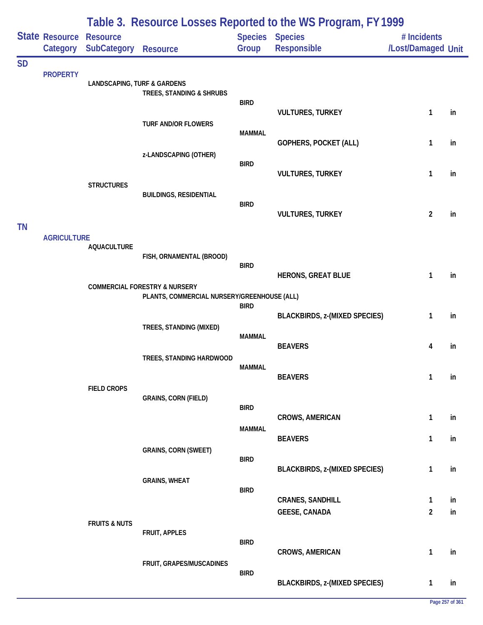|           |                            |                                        |                                                                                         |                              | Table 3. Resource Losses Reported to the WS Program, FY 1999 |                                   |          |
|-----------|----------------------------|----------------------------------------|-----------------------------------------------------------------------------------------|------------------------------|--------------------------------------------------------------|-----------------------------------|----------|
|           | State Resource<br>Category | <b>Resource</b><br><b>SubCategory</b>  | Resource                                                                                | Group                        | <b>Species Species</b><br>Responsible                        | # Incidents<br>/Lost/Damaged Unit |          |
| <b>SD</b> | <b>PROPERTY</b>            | <b>LANDSCAPING, TURF &amp; GARDENS</b> | TREES, STANDING & SHRUBS                                                                | <b>BIRD</b>                  |                                                              |                                   |          |
|           |                            |                                        | <b>TURF AND/OR FLOWERS</b>                                                              | <b>MAMMAL</b>                | <b>VULTURES, TURKEY</b>                                      | 1                                 | in       |
|           |                            |                                        | z-LANDSCAPING (OTHER)                                                                   | <b>BIRD</b>                  | GOPHERS, POCKET (ALL)                                        | 1                                 | in       |
|           |                            | <b>STRUCTURES</b>                      | <b>BUILDINGS, RESIDENTIAL</b>                                                           |                              | <b>VULTURES, TURKEY</b>                                      | 1                                 | in       |
| <b>TN</b> |                            |                                        |                                                                                         | <b>BIRD</b>                  | <b>VULTURES, TURKEY</b>                                      | $\overline{2}$                    | in       |
|           | <b>AGRICULTURE</b>         | <b>AQUACULTURE</b>                     | FISH, ORNAMENTAL (BROOD)                                                                | <b>BIRD</b>                  |                                                              |                                   |          |
|           |                            |                                        | <b>COMMERCIAL FORESTRY &amp; NURSERY</b><br>PLANTS, COMMERCIAL NURSERY/GREENHOUSE (ALL) |                              | <b>HERONS, GREAT BLUE</b>                                    | 1                                 | in       |
|           |                            |                                        | TREES, STANDING (MIXED)                                                                 | <b>BIRD</b><br><b>MAMMAL</b> | <b>BLACKBIRDS, z-(MIXED SPECIES)</b>                         | 1                                 | in       |
|           |                            |                                        | TREES, STANDING HARDWOOD                                                                | <b>MAMMAL</b>                | <b>BEAVERS</b>                                               | 4                                 | in       |
|           |                            | <b>FIELD CROPS</b>                     | <b>GRAINS, CORN (FIELD)</b>                                                             |                              | <b>BEAVERS</b>                                               | 1                                 | in       |
|           |                            |                                        |                                                                                         | <b>BIRD</b><br><b>MAMMAL</b> | <b>CROWS, AMERICAN</b>                                       | 1                                 | in       |
|           |                            |                                        | <b>GRAINS, CORN (SWEET)</b>                                                             | <b>BIRD</b>                  | <b>BEAVERS</b>                                               | 1                                 | in       |
|           |                            |                                        | <b>GRAINS, WHEAT</b>                                                                    | <b>BIRD</b>                  | <b>BLACKBIRDS, z-(MIXED SPECIES)</b>                         | 1                                 | in       |
|           |                            | <b>FRUITS &amp; NUTS</b>               |                                                                                         |                              | <b>CRANES, SANDHILL</b><br><b>GEESE, CANADA</b>              | 1<br>$\overline{a}$               | in<br>in |
|           |                            |                                        | FRUIT, APPLES                                                                           | <b>BIRD</b>                  | CROWS, AMERICAN                                              | 1                                 | in       |
|           |                            |                                        | FRUIT, GRAPES/MUSCADINES                                                                | <b>BIRD</b>                  | <b>BLACKBIRDS, z-(MIXED SPECIES)</b>                         | 1                                 | in       |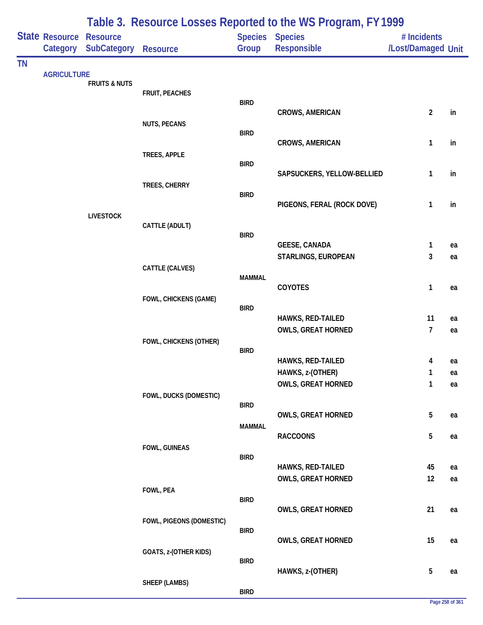|           |                            |                                       |                          |               | Table 3. Resource Losses Reported to the WS Program, FY 1999 |                                   |    |
|-----------|----------------------------|---------------------------------------|--------------------------|---------------|--------------------------------------------------------------|-----------------------------------|----|
|           | State Resource<br>Category | <b>Resource</b><br><b>SubCategory</b> | <b>Resource</b>          | Group         | Species Species<br>Responsible                               | # Incidents<br>/Lost/Damaged Unit |    |
| <b>TN</b> |                            |                                       |                          |               |                                                              |                                   |    |
|           | <b>AGRICULTURE</b>         | <b>FRUITS &amp; NUTS</b>              |                          |               |                                                              |                                   |    |
|           |                            |                                       | <b>FRUIT, PEACHES</b>    |               |                                                              |                                   |    |
|           |                            |                                       |                          | <b>BIRD</b>   | CROWS, AMERICAN                                              | $\overline{2}$                    | in |
|           |                            |                                       | <b>NUTS, PECANS</b>      |               |                                                              |                                   |    |
|           |                            |                                       |                          | <b>BIRD</b>   | CROWS, AMERICAN                                              | 1                                 | in |
|           |                            |                                       | TREES, APPLE             |               |                                                              |                                   |    |
|           |                            |                                       |                          | <b>BIRD</b>   |                                                              |                                   |    |
|           |                            |                                       | TREES, CHERRY            |               | SAPSUCKERS, YELLOW-BELLIED                                   | 1                                 | in |
|           |                            |                                       |                          | <b>BIRD</b>   |                                                              |                                   |    |
|           |                            |                                       |                          |               | PIGEONS, FERAL (ROCK DOVE)                                   | 1                                 | in |
|           |                            | <b>LIVESTOCK</b>                      | CATTLE (ADULT)           |               |                                                              |                                   |    |
|           |                            |                                       |                          | <b>BIRD</b>   |                                                              |                                   |    |
|           |                            |                                       |                          |               | <b>GEESE, CANADA</b>                                         | 1                                 | ea |
|           |                            |                                       | CATTLE (CALVES)          |               | STARLINGS, EUROPEAN                                          | 3                                 | ea |
|           |                            |                                       |                          | <b>MAMMAL</b> |                                                              |                                   |    |
|           |                            |                                       |                          |               | COYOTES                                                      | 1                                 | ea |
|           |                            |                                       | FOWL, CHICKENS (GAME)    | <b>BIRD</b>   |                                                              |                                   |    |
|           |                            |                                       |                          |               | HAWKS, RED-TAILED                                            | 11                                | ea |
|           |                            |                                       |                          |               | <b>OWLS, GREAT HORNED</b>                                    | 7                                 | ea |
|           |                            |                                       | FOWL, CHICKENS (OTHER)   | <b>BIRD</b>   |                                                              |                                   |    |
|           |                            |                                       |                          |               | HAWKS, RED-TAILED                                            | 4                                 | ea |
|           |                            |                                       |                          |               | HAWKS, z-(OTHER)                                             | 1                                 | ea |
|           |                            |                                       |                          |               | <b>OWLS, GREAT HORNED</b>                                    | $\mathbf{1}$                      | ea |
|           |                            |                                       | FOWL, DUCKS (DOMESTIC)   | <b>BIRD</b>   |                                                              |                                   |    |
|           |                            |                                       |                          |               | <b>OWLS, GREAT HORNED</b>                                    | 5                                 | ea |
|           |                            |                                       |                          | <b>MAMMAL</b> | <b>RACCOONS</b>                                              | 5                                 |    |
|           |                            |                                       | FOWL, GUINEAS            |               |                                                              |                                   | ea |
|           |                            |                                       |                          | <b>BIRD</b>   |                                                              |                                   |    |
|           |                            |                                       |                          |               | HAWKS, RED-TAILED                                            | 45                                | ea |
|           |                            |                                       | FOWL, PEA                |               | <b>OWLS, GREAT HORNED</b>                                    | 12                                | ea |
|           |                            |                                       |                          | <b>BIRD</b>   |                                                              |                                   |    |
|           |                            |                                       |                          |               | <b>OWLS, GREAT HORNED</b>                                    | 21                                | ea |
|           |                            |                                       | FOWL, PIGEONS (DOMESTIC) | <b>BIRD</b>   |                                                              |                                   |    |
|           |                            |                                       |                          |               | <b>OWLS, GREAT HORNED</b>                                    | 15                                | ea |
|           |                            |                                       | GOATS, z-(OTHER KIDS)    | <b>BIRD</b>   |                                                              |                                   |    |
|           |                            |                                       |                          |               | HAWKS, z-(OTHER)                                             | 5                                 | ea |
|           |                            |                                       | <b>SHEEP (LAMBS)</b>     |               |                                                              |                                   |    |
|           |                            |                                       |                          | <b>BIRD</b>   |                                                              |                                   |    |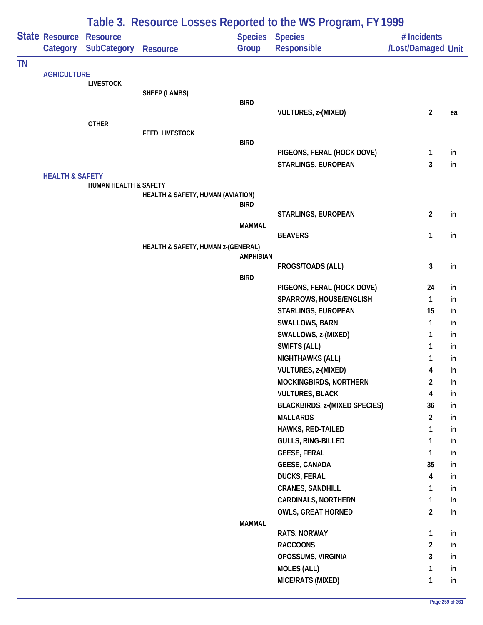|           |                                     |                                  |                                    |                         | Table 3. Resource Losses Reported to the WS Program, FY1999 |                                   |          |
|-----------|-------------------------------------|----------------------------------|------------------------------------|-------------------------|-------------------------------------------------------------|-----------------------------------|----------|
|           | State Resource Resource<br>Category | <b>SubCategory</b>               | <b>Resource</b>                    | <b>Species</b><br>Group | <b>Species</b><br>Responsible                               | # Incidents<br>/Lost/Damaged Unit |          |
| <b>TN</b> |                                     |                                  |                                    |                         |                                                             |                                   |          |
|           | <b>AGRICULTURE</b>                  | <b>LIVESTOCK</b>                 |                                    |                         |                                                             |                                   |          |
|           |                                     |                                  | SHEEP (LAMBS)                      |                         |                                                             |                                   |          |
|           |                                     |                                  |                                    | <b>BIRD</b>             |                                                             |                                   |          |
|           |                                     |                                  |                                    |                         | <b>VULTURES, z-(MIXED)</b>                                  | $\overline{2}$                    | ea       |
|           |                                     | <b>OTHER</b>                     |                                    |                         |                                                             |                                   |          |
|           |                                     |                                  | FEED, LIVESTOCK                    | <b>BIRD</b>             |                                                             |                                   |          |
|           |                                     |                                  |                                    |                         | PIGEONS, FERAL (ROCK DOVE)                                  | 1                                 | in       |
|           |                                     |                                  |                                    |                         | STARLINGS, EUROPEAN                                         | 3                                 | in       |
|           | <b>HEALTH &amp; SAFETY</b>          |                                  |                                    |                         |                                                             |                                   |          |
|           |                                     | <b>HUMAN HEALTH &amp; SAFETY</b> |                                    |                         |                                                             |                                   |          |
|           |                                     |                                  | HEALTH & SAFETY, HUMAN (AVIATION)  | <b>BIRD</b>             |                                                             |                                   |          |
|           |                                     |                                  |                                    |                         | STARLINGS, EUROPEAN                                         | $\overline{2}$                    | in       |
|           |                                     |                                  |                                    | <b>MAMMAL</b>           |                                                             |                                   |          |
|           |                                     |                                  |                                    |                         | <b>BEAVERS</b>                                              | 1                                 | in       |
|           |                                     |                                  | HEALTH & SAFETY, HUMAN z-(GENERAL) |                         |                                                             |                                   |          |
|           |                                     |                                  |                                    | <b>AMPHIBIAN</b>        |                                                             |                                   |          |
|           |                                     |                                  |                                    |                         | FROGS/TOADS (ALL)                                           | $\mathbf{3}$                      | in       |
|           |                                     |                                  |                                    | <b>BIRD</b>             |                                                             |                                   |          |
|           |                                     |                                  |                                    |                         | PIGEONS, FERAL (ROCK DOVE)                                  | 24                                | in       |
|           |                                     |                                  |                                    |                         | SPARROWS, HOUSE/ENGLISH<br>STARLINGS, EUROPEAN              | 1<br>15                           | in       |
|           |                                     |                                  |                                    |                         |                                                             |                                   | in       |
|           |                                     |                                  |                                    |                         | SWALLOWS, BARN<br>SWALLOWS, z-(MIXED)                       | 1<br>1                            | in<br>in |
|           |                                     |                                  |                                    |                         | <b>SWIFTS (ALL)</b>                                         |                                   |          |
|           |                                     |                                  |                                    |                         | <b>NIGHTHAWKS (ALL)</b>                                     | 1                                 | in       |
|           |                                     |                                  |                                    |                         | <b>VULTURES, z-(MIXED)</b>                                  | 1                                 | in<br>in |
|           |                                     |                                  |                                    |                         | MOCKINGBIRDS, NORTHERN                                      | 4<br>$\overline{2}$               | in       |
|           |                                     |                                  |                                    |                         | <b>VULTURES, BLACK</b>                                      | 4                                 | in       |
|           |                                     |                                  |                                    |                         | <b>BLACKBIRDS, z-(MIXED SPECIES)</b>                        | 36                                | in       |
|           |                                     |                                  |                                    |                         | <b>MALLARDS</b>                                             | $\overline{2}$                    | in       |
|           |                                     |                                  |                                    |                         | HAWKS, RED-TAILED                                           | 1                                 | in       |
|           |                                     |                                  |                                    |                         | GULLS, RING-BILLED                                          | 1                                 | in       |
|           |                                     |                                  |                                    |                         | <b>GEESE, FERAL</b>                                         | 1                                 | in       |
|           |                                     |                                  |                                    |                         | <b>GEESE, CANADA</b>                                        | 35                                | in       |
|           |                                     |                                  |                                    |                         | <b>DUCKS, FERAL</b>                                         | 4                                 | in       |
|           |                                     |                                  |                                    |                         | <b>CRANES, SANDHILL</b>                                     | 1                                 | in       |
|           |                                     |                                  |                                    |                         | <b>CARDINALS, NORTHERN</b>                                  | 1                                 | in       |
|           |                                     |                                  |                                    |                         | <b>OWLS, GREAT HORNED</b>                                   | $\overline{a}$                    | in       |
|           |                                     |                                  |                                    | <b>MAMMAL</b>           |                                                             |                                   |          |
|           |                                     |                                  |                                    |                         | RATS, NORWAY                                                | $\mathbf{1}$                      | in       |
|           |                                     |                                  |                                    |                         | <b>RACCOONS</b>                                             | $\overline{2}$                    | in       |
|           |                                     |                                  |                                    |                         | OPOSSUMS, VIRGINIA                                          | 3                                 | in       |
|           |                                     |                                  |                                    |                         | <b>MOLES (ALL)</b>                                          | 1                                 | in       |
|           |                                     |                                  |                                    |                         | MICE/RATS (MIXED)                                           | 1                                 | in       |
|           |                                     |                                  |                                    |                         |                                                             |                                   |          |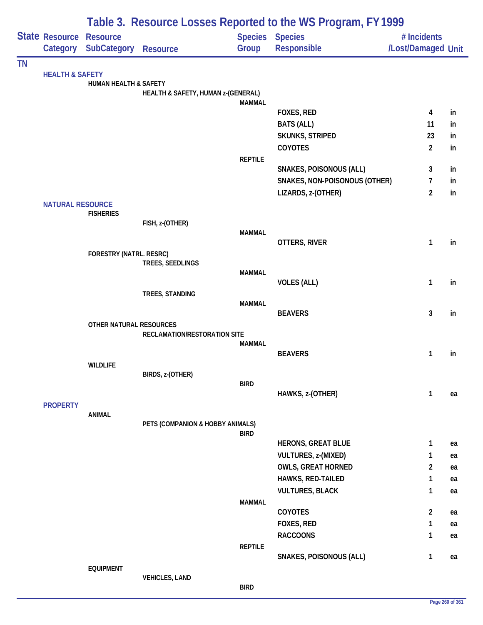|           |                                |                                  |                                    |                | Table 3. Resource Losses Reported to the WS Program, FY 1999 |                    |    |
|-----------|--------------------------------|----------------------------------|------------------------------------|----------------|--------------------------------------------------------------|--------------------|----|
|           | <b>State Resource Resource</b> |                                  |                                    |                | <b>Species Species</b>                                       | # Incidents        |    |
|           |                                | Category SubCategory             | <b>Resource</b>                    | Group          | Responsible                                                  | /Lost/Damaged Unit |    |
| <b>TN</b> |                                |                                  |                                    |                |                                                              |                    |    |
|           | <b>HEALTH &amp; SAFETY</b>     | <b>HUMAN HEALTH &amp; SAFETY</b> |                                    |                |                                                              |                    |    |
|           |                                |                                  | HEALTH & SAFETY, HUMAN z-(GENERAL) |                |                                                              |                    |    |
|           |                                |                                  |                                    | <b>MAMMAL</b>  |                                                              |                    |    |
|           |                                |                                  |                                    |                | FOXES, RED                                                   | 4                  | in |
|           |                                |                                  |                                    |                | <b>BATS (ALL)</b>                                            | 11                 | in |
|           |                                |                                  |                                    |                | <b>SKUNKS, STRIPED</b>                                       | 23                 | in |
|           |                                |                                  |                                    | <b>REPTILE</b> | COYOTES                                                      | $\overline{2}$     | in |
|           |                                |                                  |                                    |                | <b>SNAKES, POISONOUS (ALL)</b>                               | 3                  | in |
|           |                                |                                  |                                    |                | <b>SNAKES, NON-POISONOUS (OTHER)</b>                         | $\overline{7}$     | in |
|           |                                |                                  |                                    |                | LIZARDS, z-(OTHER)                                           | $\overline{2}$     | in |
|           | <b>NATURAL RESOURCE</b>        |                                  |                                    |                |                                                              |                    |    |
|           |                                | <b>FISHERIES</b>                 |                                    |                |                                                              |                    |    |
|           |                                |                                  | FISH, z-(OTHER)                    | <b>MAMMAL</b>  |                                                              |                    |    |
|           |                                |                                  |                                    |                | OTTERS, RIVER                                                | $\mathbf{1}$       | in |
|           |                                | FORESTRY (NATRL. RESRC)          |                                    |                |                                                              |                    |    |
|           |                                |                                  | TREES, SEEDLINGS                   |                |                                                              |                    |    |
|           |                                |                                  |                                    | <b>MAMMAL</b>  | <b>VOLES (ALL)</b>                                           | $\mathbf{1}$       | in |
|           |                                |                                  | TREES, STANDING                    |                |                                                              |                    |    |
|           |                                |                                  |                                    | <b>MAMMAL</b>  |                                                              |                    |    |
|           |                                |                                  |                                    |                | <b>BEAVERS</b>                                               | 3                  | in |
|           |                                | OTHER NATURAL RESOURCES          |                                    |                |                                                              |                    |    |
|           |                                |                                  | RECLAMATION/RESTORATION SITE       | <b>MAMMAL</b>  |                                                              |                    |    |
|           |                                |                                  |                                    |                | <b>BEAVERS</b>                                               | $\mathbf{1}$       | in |
|           |                                | <b>WILDLIFE</b>                  |                                    |                |                                                              |                    |    |
|           |                                |                                  | BIRDS, z-(OTHER)                   |                |                                                              |                    |    |
|           |                                |                                  |                                    | <b>BIRD</b>    | HAWKS, z-(OTHER)                                             | 1                  | ea |
|           | <b>PROPERTY</b>                |                                  |                                    |                |                                                              |                    |    |
|           |                                | <b>ANIMAL</b>                    |                                    |                |                                                              |                    |    |
|           |                                |                                  | PETS (COMPANION & HOBBY ANIMALS)   |                |                                                              |                    |    |
|           |                                |                                  |                                    | <b>BIRD</b>    | <b>HERONS, GREAT BLUE</b>                                    | $\mathbf{1}$       | ea |
|           |                                |                                  |                                    |                | <b>VULTURES, z-(MIXED)</b>                                   | 1                  | ea |
|           |                                |                                  |                                    |                | <b>OWLS, GREAT HORNED</b>                                    | $\overline{a}$     | ea |
|           |                                |                                  |                                    |                | HAWKS, RED-TAILED                                            | $\mathbf{1}$       | ea |
|           |                                |                                  |                                    |                | <b>VULTURES, BLACK</b>                                       | 1                  | ea |
|           |                                |                                  |                                    | <b>MAMMAL</b>  |                                                              |                    |    |
|           |                                |                                  |                                    |                | COYOTES                                                      | $\overline{2}$     | ea |
|           |                                |                                  |                                    |                | FOXES, RED                                                   | $\mathbf{1}$       | ea |
|           |                                |                                  |                                    |                | <b>RACCOONS</b>                                              | $\mathbf{1}$       | ea |
|           |                                |                                  |                                    | <b>REPTILE</b> |                                                              |                    |    |
|           |                                | <b>EQUIPMENT</b>                 |                                    |                | SNAKES, POISONOUS (ALL)                                      | $\mathbf{1}$       | ea |
|           |                                |                                  | <b>VEHICLES, LAND</b>              |                |                                                              |                    |    |
|           |                                |                                  |                                    | <b>BIRD</b>    |                                                              |                    |    |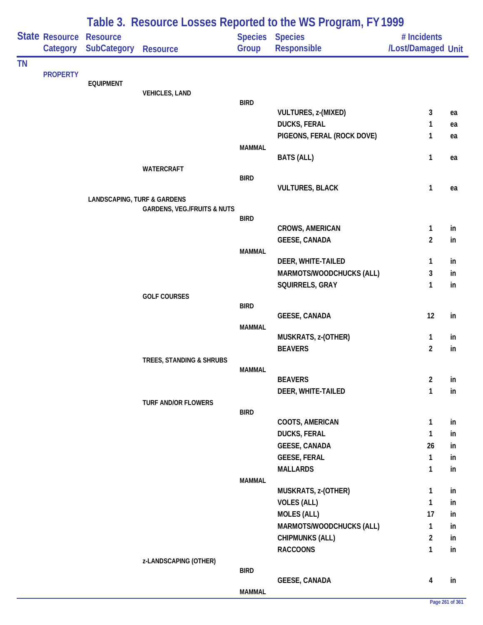|           |                            |                                        |                                        |               | Table 3. Resource Losses Reported to the WS Program, FY 1999 |                                   |    |
|-----------|----------------------------|----------------------------------------|----------------------------------------|---------------|--------------------------------------------------------------|-----------------------------------|----|
|           | State Resource<br>Category | <b>Resource</b><br><b>SubCategory</b>  | Resource                               | Group         | Species Species<br>Responsible                               | # Incidents<br>/Lost/Damaged Unit |    |
| <b>TN</b> | <b>PROPERTY</b>            |                                        |                                        |               |                                                              |                                   |    |
|           |                            | <b>EQUIPMENT</b>                       |                                        |               |                                                              |                                   |    |
|           |                            |                                        | <b>VEHICLES, LAND</b>                  | <b>BIRD</b>   |                                                              |                                   |    |
|           |                            |                                        |                                        |               | <b>VULTURES, z-(MIXED)</b>                                   | 3                                 | ea |
|           |                            |                                        |                                        |               | <b>DUCKS, FERAL</b>                                          | 1                                 | ea |
|           |                            |                                        |                                        |               | PIGEONS, FERAL (ROCK DOVE)                                   | 1                                 | ea |
|           |                            |                                        |                                        | <b>MAMMAL</b> |                                                              |                                   |    |
|           |                            |                                        |                                        |               | <b>BATS (ALL)</b>                                            | 1                                 | ea |
|           |                            |                                        | <b>WATERCRAFT</b>                      | <b>BIRD</b>   |                                                              |                                   |    |
|           |                            |                                        |                                        |               | <b>VULTURES, BLACK</b>                                       | 1                                 | ea |
|           |                            | <b>LANDSCAPING, TURF &amp; GARDENS</b> |                                        |               |                                                              |                                   |    |
|           |                            |                                        | <b>GARDENS, VEG./FRUITS &amp; NUTS</b> |               |                                                              |                                   |    |
|           |                            |                                        |                                        | <b>BIRD</b>   | <b>CROWS, AMERICAN</b>                                       | 1                                 | in |
|           |                            |                                        |                                        |               | <b>GEESE, CANADA</b>                                         | $\overline{2}$                    | in |
|           |                            |                                        |                                        | <b>MAMMAL</b> |                                                              |                                   |    |
|           |                            |                                        |                                        |               | DEER, WHITE-TAILED                                           | 1                                 | in |
|           |                            |                                        |                                        |               | MARMOTS/WOODCHUCKS (ALL)                                     | 3                                 | in |
|           |                            |                                        |                                        |               | SQUIRRELS, GRAY                                              | 1                                 | in |
|           |                            |                                        | <b>GOLF COURSES</b>                    |               |                                                              |                                   |    |
|           |                            |                                        |                                        | <b>BIRD</b>   | <b>GEESE, CANADA</b>                                         | 12                                | in |
|           |                            |                                        |                                        | <b>MAMMAL</b> |                                                              |                                   |    |
|           |                            |                                        |                                        |               | MUSKRATS, z-(OTHER)                                          | 1                                 | in |
|           |                            |                                        |                                        |               | <b>BEAVERS</b>                                               | $\overline{2}$                    | in |
|           |                            |                                        | TREES, STANDING & SHRUBS               |               |                                                              |                                   |    |
|           |                            |                                        |                                        | <b>MAMMAL</b> | <b>BEAVERS</b>                                               | 2                                 | in |
|           |                            |                                        |                                        |               | DEER, WHITE-TAILED                                           | $\mathbf{1}$                      | in |
|           |                            |                                        | <b>TURF AND/OR FLOWERS</b>             |               |                                                              |                                   |    |
|           |                            |                                        |                                        | <b>BIRD</b>   |                                                              |                                   |    |
|           |                            |                                        |                                        |               | COOTS, AMERICAN                                              | 1                                 | in |
|           |                            |                                        |                                        |               | <b>DUCKS, FERAL</b>                                          | $\mathbf{1}$                      | in |
|           |                            |                                        |                                        |               | <b>GEESE, CANADA</b>                                         | 26                                | in |
|           |                            |                                        |                                        |               | <b>GEESE, FERAL</b>                                          | $\mathbf{1}$                      | in |
|           |                            |                                        |                                        |               | <b>MALLARDS</b>                                              | 1                                 | in |
|           |                            |                                        |                                        | <b>MAMMAL</b> | MUSKRATS, z-(OTHER)                                          | 1                                 | in |
|           |                            |                                        |                                        |               | <b>VOLES (ALL)</b>                                           | 1                                 | in |
|           |                            |                                        |                                        |               | <b>MOLES (ALL)</b>                                           | 17                                | in |
|           |                            |                                        |                                        |               | MARMOTS/WOODCHUCKS (ALL)                                     | 1                                 | in |
|           |                            |                                        |                                        |               | <b>CHIPMUNKS (ALL)</b>                                       | $\overline{2}$                    | in |
|           |                            |                                        |                                        |               | <b>RACCOONS</b>                                              | 1                                 | in |
|           |                            |                                        | z-LANDSCAPING (OTHER)                  |               |                                                              |                                   |    |
|           |                            |                                        |                                        | <b>BIRD</b>   | <b>GEESE, CANADA</b>                                         | 4                                 | in |
|           |                            |                                        |                                        | <b>MAMMAL</b> |                                                              |                                   |    |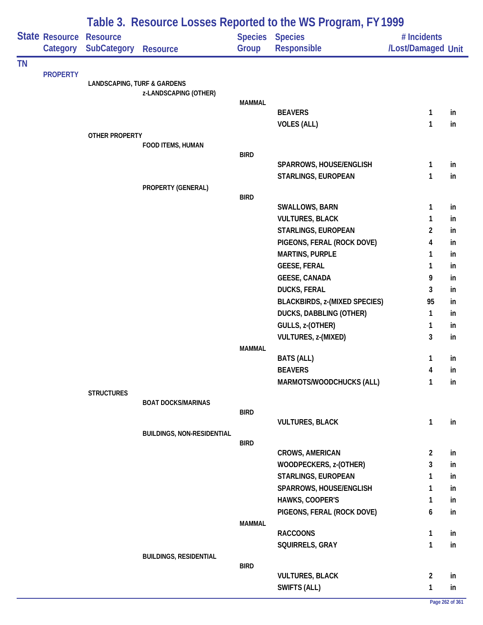|           |                 | Table 3. Resource Losses Reported to the WS Program, FY 1999 |                                   |               |                                      |                    |    |  |  |  |
|-----------|-----------------|--------------------------------------------------------------|-----------------------------------|---------------|--------------------------------------|--------------------|----|--|--|--|
|           | State Resource  | <b>Resource</b>                                              |                                   |               | Species Species                      | # Incidents        |    |  |  |  |
|           | Category        | <b>SubCategory</b>                                           | <b>Resource</b>                   | Group         | Responsible                          | /Lost/Damaged Unit |    |  |  |  |
| <b>TN</b> |                 |                                                              |                                   |               |                                      |                    |    |  |  |  |
|           | <b>PROPERTY</b> | <b>LANDSCAPING, TURF &amp; GARDENS</b>                       |                                   |               |                                      |                    |    |  |  |  |
|           |                 |                                                              | z-LANDSCAPING (OTHER)             |               |                                      |                    |    |  |  |  |
|           |                 |                                                              |                                   | <b>MAMMAL</b> |                                      |                    |    |  |  |  |
|           |                 |                                                              |                                   |               | <b>BEAVERS</b>                       | 1                  | in |  |  |  |
|           |                 |                                                              |                                   |               | <b>VOLES (ALL)</b>                   | 1                  | in |  |  |  |
|           |                 | OTHER PROPERTY                                               | FOOD ITEMS, HUMAN                 |               |                                      |                    |    |  |  |  |
|           |                 |                                                              |                                   | <b>BIRD</b>   |                                      |                    |    |  |  |  |
|           |                 |                                                              |                                   |               | SPARROWS, HOUSE/ENGLISH              | 1                  | in |  |  |  |
|           |                 |                                                              |                                   |               | STARLINGS, EUROPEAN                  | 1                  | in |  |  |  |
|           |                 |                                                              | PROPERTY (GENERAL)                |               |                                      |                    |    |  |  |  |
|           |                 |                                                              |                                   | <b>BIRD</b>   |                                      |                    |    |  |  |  |
|           |                 |                                                              |                                   |               | SWALLOWS, BARN                       | 1                  | in |  |  |  |
|           |                 |                                                              |                                   |               | <b>VULTURES, BLACK</b>               | 1                  | in |  |  |  |
|           |                 |                                                              |                                   |               | STARLINGS, EUROPEAN                  | $\overline{c}$     | in |  |  |  |
|           |                 |                                                              |                                   |               | PIGEONS, FERAL (ROCK DOVE)           | 4                  | in |  |  |  |
|           |                 |                                                              |                                   |               | <b>MARTINS, PURPLE</b>               | 1                  | in |  |  |  |
|           |                 |                                                              |                                   |               | <b>GEESE, FERAL</b>                  | 1                  | in |  |  |  |
|           |                 |                                                              |                                   |               | <b>GEESE, CANADA</b>                 | 9                  | in |  |  |  |
|           |                 |                                                              |                                   |               | <b>DUCKS, FERAL</b>                  | 3                  | in |  |  |  |
|           |                 |                                                              |                                   |               | <b>BLACKBIRDS, z-(MIXED SPECIES)</b> | 95                 | in |  |  |  |
|           |                 |                                                              |                                   |               | <b>DUCKS, DABBLING (OTHER)</b>       | 1                  | in |  |  |  |
|           |                 |                                                              |                                   |               | GULLS, z-(OTHER)                     | 1<br>3             | in |  |  |  |
|           |                 |                                                              |                                   | <b>MAMMAL</b> | <b>VULTURES, z-(MIXED)</b>           |                    | in |  |  |  |
|           |                 |                                                              |                                   |               | <b>BATS (ALL)</b>                    | 1                  | in |  |  |  |
|           |                 |                                                              |                                   |               | <b>BEAVERS</b>                       | 4                  | in |  |  |  |
|           |                 |                                                              |                                   |               | MARMOTS/WOODCHUCKS (ALL)             | 1                  | in |  |  |  |
|           |                 | <b>STRUCTURES</b>                                            |                                   |               |                                      |                    |    |  |  |  |
|           |                 |                                                              | <b>BOAT DOCKS/MARINAS</b>         |               |                                      |                    |    |  |  |  |
|           |                 |                                                              |                                   | <b>BIRD</b>   |                                      |                    |    |  |  |  |
|           |                 |                                                              |                                   |               | <b>VULTURES, BLACK</b>               | $\mathbf{1}$       | in |  |  |  |
|           |                 |                                                              | <b>BUILDINGS, NON-RESIDENTIAL</b> | <b>BIRD</b>   |                                      |                    |    |  |  |  |
|           |                 |                                                              |                                   |               | <b>CROWS, AMERICAN</b>               | $\overline{2}$     | in |  |  |  |
|           |                 |                                                              |                                   |               | WOODPECKERS, z-(OTHER)               | 3                  | in |  |  |  |
|           |                 |                                                              |                                   |               | STARLINGS, EUROPEAN                  | 1                  | in |  |  |  |
|           |                 |                                                              |                                   |               | SPARROWS, HOUSE/ENGLISH              | 1                  | in |  |  |  |
|           |                 |                                                              |                                   |               | HAWKS, COOPER'S                      | 1                  | in |  |  |  |
|           |                 |                                                              |                                   |               | PIGEONS, FERAL (ROCK DOVE)           | 6                  | in |  |  |  |
|           |                 |                                                              |                                   | <b>MAMMAL</b> |                                      |                    |    |  |  |  |
|           |                 |                                                              |                                   |               | <b>RACCOONS</b>                      | $\mathbf{1}$       | in |  |  |  |
|           |                 |                                                              |                                   |               | SQUIRRELS, GRAY                      | $\mathbf{1}$       | in |  |  |  |
|           |                 |                                                              | <b>BUILDINGS, RESIDENTIAL</b>     |               |                                      |                    |    |  |  |  |
|           |                 |                                                              |                                   | <b>BIRD</b>   | <b>VULTURES, BLACK</b>               | $\overline{2}$     | in |  |  |  |
|           |                 |                                                              |                                   |               | SWIFTS (ALL)                         | $\mathbf{1}$       | in |  |  |  |
|           |                 |                                                              |                                   |               |                                      |                    |    |  |  |  |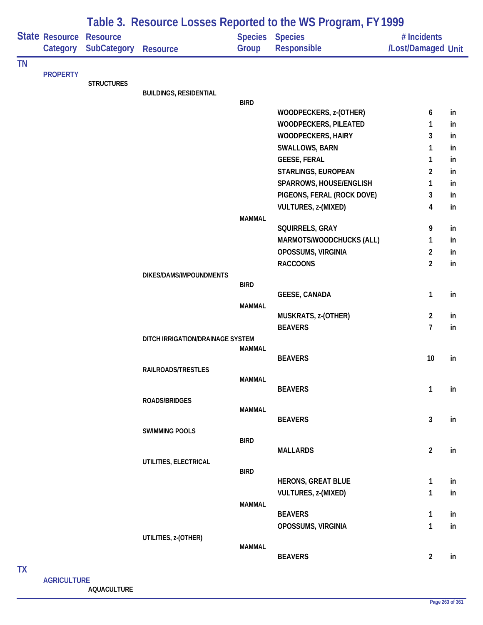|           |                            |                                       |                                  |               | Table 3. Resource Losses Reported to the WS Program, FY 1999 |                                   |          |
|-----------|----------------------------|---------------------------------------|----------------------------------|---------------|--------------------------------------------------------------|-----------------------------------|----------|
|           | State Resource<br>Category | <b>Resource</b><br><b>SubCategory</b> | <b>Resource</b>                  | Group         | <b>Species Species</b><br>Responsible                        | # Incidents<br>/Lost/Damaged Unit |          |
| <b>TN</b> |                            |                                       |                                  |               |                                                              |                                   |          |
|           | <b>PROPERTY</b>            | <b>STRUCTURES</b>                     |                                  |               |                                                              |                                   |          |
|           |                            |                                       | <b>BUILDINGS, RESIDENTIAL</b>    |               |                                                              |                                   |          |
|           |                            |                                       |                                  | <b>BIRD</b>   |                                                              |                                   |          |
|           |                            |                                       |                                  |               | WOODPECKERS, z-(OTHER)                                       | 6                                 | in       |
|           |                            |                                       |                                  |               | <b>WOODPECKERS, PILEATED</b>                                 | 1                                 | in       |
|           |                            |                                       |                                  |               | <b>WOODPECKERS, HAIRY</b>                                    | 3                                 | in       |
|           |                            |                                       |                                  |               | <b>SWALLOWS, BARN</b>                                        | 1                                 | in       |
|           |                            |                                       |                                  |               | <b>GEESE, FERAL</b>                                          | 1                                 | in       |
|           |                            |                                       |                                  |               | STARLINGS, EUROPEAN                                          | 2                                 | in       |
|           |                            |                                       |                                  |               | SPARROWS, HOUSE/ENGLISH                                      | 1                                 | in<br>in |
|           |                            |                                       |                                  |               | PIGEONS, FERAL (ROCK DOVE)<br>VULTURES, z-(MIXED)            | 3<br>4                            | in       |
|           |                            |                                       |                                  | <b>MAMMAL</b> |                                                              |                                   |          |
|           |                            |                                       |                                  |               | SQUIRRELS, GRAY                                              | 9                                 | in       |
|           |                            |                                       |                                  |               | MARMOTS/WOODCHUCKS (ALL)                                     | 1                                 | in       |
|           |                            |                                       |                                  |               | OPOSSUMS, VIRGINIA                                           | $\overline{2}$                    | in       |
|           |                            |                                       |                                  |               | <b>RACCOONS</b>                                              | $\overline{2}$                    | in       |
|           |                            |                                       | DIKES/DAMS/IMPOUNDMENTS          |               |                                                              |                                   |          |
|           |                            |                                       |                                  | <b>BIRD</b>   |                                                              |                                   |          |
|           |                            |                                       |                                  |               | <b>GEESE, CANADA</b>                                         | 1                                 | in       |
|           |                            |                                       |                                  | <b>MAMMAL</b> | MUSKRATS, z-(OTHER)                                          | $\overline{2}$                    | in       |
|           |                            |                                       |                                  |               | <b>BEAVERS</b>                                               | $\overline{1}$                    | in       |
|           |                            |                                       | DITCH IRRIGATION/DRAINAGE SYSTEM |               |                                                              |                                   |          |
|           |                            |                                       |                                  | MAMMAL        |                                                              |                                   |          |
|           |                            |                                       |                                  |               | <b>BEAVERS</b>                                               | 10                                | in       |
|           |                            |                                       | RAILROADS/TRESTLES               |               |                                                              |                                   |          |
|           |                            |                                       |                                  | <b>MAMMAL</b> |                                                              |                                   |          |
|           |                            |                                       |                                  |               | <b>BEAVERS</b>                                               | $\mathbf{1}$                      | in       |
|           |                            |                                       | ROADS/BRIDGES                    | <b>MAMMAL</b> |                                                              |                                   |          |
|           |                            |                                       |                                  |               | <b>BEAVERS</b>                                               | $\mathbf{3}$                      | in       |
|           |                            |                                       | <b>SWIMMING POOLS</b>            |               |                                                              |                                   |          |
|           |                            |                                       |                                  | <b>BIRD</b>   |                                                              |                                   |          |
|           |                            |                                       |                                  |               | <b>MALLARDS</b>                                              | $\overline{2}$                    | in       |
|           |                            |                                       | UTILITIES, ELECTRICAL            | <b>BIRD</b>   |                                                              |                                   |          |
|           |                            |                                       |                                  |               | <b>HERONS, GREAT BLUE</b>                                    | $\mathbf{1}$                      | in       |
|           |                            |                                       |                                  |               | VULTURES, z-(MIXED)                                          | 1                                 | in       |
|           |                            |                                       |                                  | <b>MAMMAL</b> |                                                              |                                   |          |
|           |                            |                                       |                                  |               | <b>BEAVERS</b>                                               | 1                                 | in       |
|           |                            |                                       |                                  |               | OPOSSUMS, VIRGINIA                                           | 1                                 | in       |
|           |                            |                                       | UTILITIES, z-(OTHER)             |               |                                                              |                                   |          |
|           |                            |                                       |                                  | <b>MAMMAL</b> |                                                              |                                   |          |
|           |                            |                                       |                                  |               | <b>BEAVERS</b>                                               | $\overline{2}$                    | in       |
| <b>TX</b> |                            |                                       |                                  |               |                                                              |                                   |          |

## **AGRICULTURE AQUACULTURE**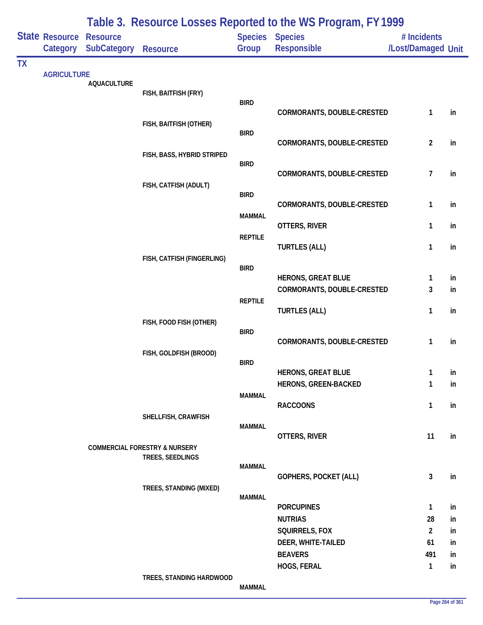|           |                            |                                       |                                          | Table 3. Resource Losses Reported to the WS Program, FY 1999 |                                       |                                   |          |
|-----------|----------------------------|---------------------------------------|------------------------------------------|--------------------------------------------------------------|---------------------------------------|-----------------------------------|----------|
|           | State Resource<br>Category | <b>Resource</b><br><b>SubCategory</b> | <b>Resource</b>                          | Group                                                        | <b>Species Species</b><br>Responsible | # Incidents<br>/Lost/Damaged Unit |          |
| <b>TX</b> |                            |                                       |                                          |                                                              |                                       |                                   |          |
|           | <b>AGRICULTURE</b>         | <b>AQUACULTURE</b>                    |                                          |                                                              |                                       |                                   |          |
|           |                            |                                       | FISH, BAITFISH (FRY)                     |                                                              |                                       |                                   |          |
|           |                            |                                       |                                          | <b>BIRD</b>                                                  | CORMORANTS, DOUBLE-CRESTED            | 1                                 | in       |
|           |                            |                                       | FISH, BAITFISH (OTHER)                   |                                                              |                                       |                                   |          |
|           |                            |                                       |                                          | <b>BIRD</b>                                                  |                                       |                                   |          |
|           |                            |                                       |                                          |                                                              | CORMORANTS, DOUBLE-CRESTED            | $\overline{2}$                    | in       |
|           |                            |                                       | FISH, BASS, HYBRID STRIPED               | <b>BIRD</b>                                                  |                                       |                                   |          |
|           |                            |                                       |                                          |                                                              | CORMORANTS, DOUBLE-CRESTED            | 7                                 | in       |
|           |                            |                                       | FISH, CATFISH (ADULT)                    |                                                              |                                       |                                   |          |
|           |                            |                                       |                                          | <b>BIRD</b>                                                  | CORMORANTS, DOUBLE-CRESTED            | 1                                 | in       |
|           |                            |                                       |                                          | <b>MAMMAL</b>                                                |                                       |                                   |          |
|           |                            |                                       |                                          |                                                              | OTTERS, RIVER                         | 1                                 | in       |
|           |                            |                                       |                                          | <b>REPTILE</b>                                               | <b>TURTLES (ALL)</b>                  | 1                                 | in       |
|           |                            |                                       | FISH, CATFISH (FINGERLING)               |                                                              |                                       |                                   |          |
|           |                            |                                       |                                          | <b>BIRD</b>                                                  |                                       |                                   |          |
|           |                            |                                       |                                          |                                                              | <b>HERONS, GREAT BLUE</b>             | 1                                 | in       |
|           |                            |                                       |                                          | <b>REPTILE</b>                                               | CORMORANTS, DOUBLE-CRESTED            | 3                                 | in       |
|           |                            |                                       |                                          |                                                              | <b>TURTLES (ALL)</b>                  | 1                                 | in       |
|           |                            |                                       | FISH, FOOD FISH (OTHER)                  |                                                              |                                       |                                   |          |
|           |                            |                                       |                                          | <b>BIRD</b>                                                  | CORMORANTS, DOUBLE-CRESTED            | 1                                 | in       |
|           |                            |                                       | FISH, GOLDFISH (BROOD)                   |                                                              |                                       |                                   |          |
|           |                            |                                       |                                          | <b>BIRD</b>                                                  |                                       |                                   |          |
|           |                            |                                       |                                          |                                                              | <b>HERONS, GREAT BLUE</b>             | 1                                 | ın       |
|           |                            |                                       |                                          | <b>MAMMAL</b>                                                | HERONS, GREEN-BACKED                  | 1                                 | in       |
|           |                            |                                       |                                          |                                                              | <b>RACCOONS</b>                       | 1                                 | in       |
|           |                            |                                       | SHELLFISH, CRAWFISH                      |                                                              |                                       |                                   |          |
|           |                            |                                       |                                          | <b>MAMMAL</b>                                                | OTTERS, RIVER                         | 11                                | in       |
|           |                            |                                       | <b>COMMERCIAL FORESTRY &amp; NURSERY</b> |                                                              |                                       |                                   |          |
|           |                            |                                       | TREES, SEEDLINGS                         |                                                              |                                       |                                   |          |
|           |                            |                                       |                                          | <b>MAMMAL</b>                                                | GOPHERS, POCKET (ALL)                 | $\mathbf{3}$                      | in       |
|           |                            |                                       | TREES, STANDING (MIXED)                  |                                                              |                                       |                                   |          |
|           |                            |                                       |                                          | <b>MAMMAL</b>                                                |                                       |                                   |          |
|           |                            |                                       |                                          |                                                              | <b>PORCUPINES</b>                     | 1                                 | in       |
|           |                            |                                       |                                          |                                                              | <b>NUTRIAS</b><br>SQUIRRELS, FOX      | 28<br>$\overline{2}$              | in<br>in |
|           |                            |                                       |                                          |                                                              | DEER, WHITE-TAILED                    | 61                                | in       |
|           |                            |                                       |                                          |                                                              | <b>BEAVERS</b>                        | 491                               | in       |
|           |                            |                                       |                                          |                                                              | HOGS, FERAL                           | 1                                 | in       |
|           |                            |                                       | TREES, STANDING HARDWOOD                 |                                                              |                                       |                                   |          |
|           |                            |                                       |                                          | <b>MAMMAL</b>                                                |                                       |                                   |          |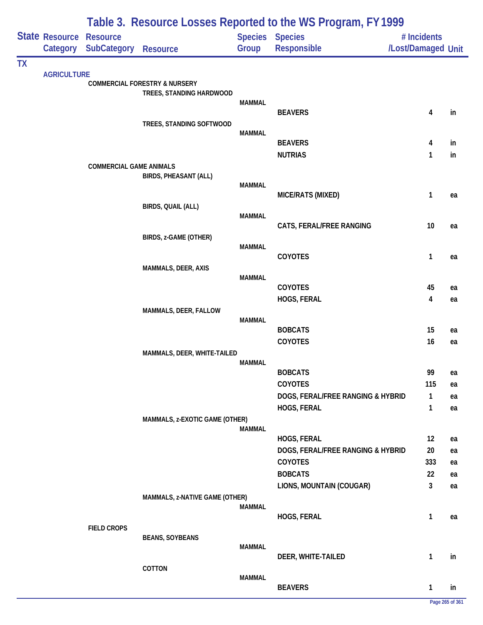|           |                                            | Table 3. Resource Losses Reported to the WS Program, FY 1999 |                                          |               |                                       |                                   |          |  |  |  |
|-----------|--------------------------------------------|--------------------------------------------------------------|------------------------------------------|---------------|---------------------------------------|-----------------------------------|----------|--|--|--|
|           | <b>State Resource Resource</b><br>Category | <b>SubCategory</b>                                           | <b>Resource</b>                          | Group         | <b>Species Species</b><br>Responsible | # Incidents<br>/Lost/Damaged Unit |          |  |  |  |
| <b>TX</b> |                                            |                                                              |                                          |               |                                       |                                   |          |  |  |  |
|           | <b>AGRICULTURE</b>                         |                                                              | <b>COMMERCIAL FORESTRY &amp; NURSERY</b> |               |                                       |                                   |          |  |  |  |
|           |                                            |                                                              | TREES, STANDING HARDWOOD                 |               |                                       |                                   |          |  |  |  |
|           |                                            |                                                              |                                          | <b>MAMMAL</b> | <b>BEAVERS</b>                        | 4                                 | in       |  |  |  |
|           |                                            |                                                              | TREES, STANDING SOFTWOOD                 |               |                                       |                                   |          |  |  |  |
|           |                                            |                                                              |                                          | <b>MAMMAL</b> |                                       |                                   |          |  |  |  |
|           |                                            |                                                              |                                          |               | <b>BEAVERS</b><br><b>NUTRIAS</b>      | 4<br>1                            | in<br>in |  |  |  |
|           |                                            | <b>COMMERCIAL GAME ANIMALS</b>                               |                                          |               |                                       |                                   |          |  |  |  |
|           |                                            |                                                              | <b>BIRDS, PHEASANT (ALL)</b>             |               |                                       |                                   |          |  |  |  |
|           |                                            |                                                              |                                          | <b>MAMMAL</b> | MICE/RATS (MIXED)                     | 1                                 | ea       |  |  |  |
|           |                                            |                                                              | BIRDS, QUAIL (ALL)                       |               |                                       |                                   |          |  |  |  |
|           |                                            |                                                              |                                          | <b>MAMMAL</b> |                                       |                                   |          |  |  |  |
|           |                                            |                                                              | BIRDS, z-GAME (OTHER)                    |               | CATS, FERAL/FREE RANGING              | 10                                | ea       |  |  |  |
|           |                                            |                                                              |                                          | <b>MAMMAL</b> |                                       |                                   |          |  |  |  |
|           |                                            |                                                              |                                          |               | COYOTES                               | 1                                 | ea       |  |  |  |
|           |                                            |                                                              | MAMMALS, DEER, AXIS                      | <b>MAMMAL</b> |                                       |                                   |          |  |  |  |
|           |                                            |                                                              |                                          |               | <b>COYOTES</b>                        | 45                                | ea       |  |  |  |
|           |                                            |                                                              |                                          |               | HOGS, FERAL                           | 4                                 | ea       |  |  |  |
|           |                                            |                                                              | MAMMALS, DEER, FALLOW                    | <b>MAMMAL</b> |                                       |                                   |          |  |  |  |
|           |                                            |                                                              |                                          |               | <b>BOBCATS</b>                        | 15                                | ea       |  |  |  |
|           |                                            |                                                              |                                          |               | COYOTES                               | 16                                | ea       |  |  |  |
|           |                                            |                                                              | MAMMALS, DEER, WHITE-TAILED              |               |                                       |                                   |          |  |  |  |
|           |                                            |                                                              |                                          | MAMMAL        | <b>BOBCATS</b>                        | 99                                | ea       |  |  |  |
|           |                                            |                                                              |                                          |               | COYOTES                               | 115                               | ea       |  |  |  |
|           |                                            |                                                              |                                          |               | DOGS, FERAL/FREE RANGING & HYBRID     | $\mathbf{1}$                      | ea       |  |  |  |
|           |                                            |                                                              |                                          |               | HOGS, FERAL                           | 1                                 | ea       |  |  |  |
|           |                                            |                                                              | MAMMALS, z-EXOTIC GAME (OTHER)           | <b>MAMMAL</b> |                                       |                                   |          |  |  |  |
|           |                                            |                                                              |                                          |               | HOGS, FERAL                           | 12                                | ea       |  |  |  |
|           |                                            |                                                              |                                          |               | DOGS, FERAL/FREE RANGING & HYBRID     | 20                                | ea       |  |  |  |
|           |                                            |                                                              |                                          |               | <b>COYOTES</b>                        | 333                               | ea       |  |  |  |
|           |                                            |                                                              |                                          |               | <b>BOBCATS</b>                        | 22<br>3                           | ea       |  |  |  |
|           |                                            |                                                              | MAMMALS, z-NATIVE GAME (OTHER)           |               | LIONS, MOUNTAIN (COUGAR)              |                                   | ea       |  |  |  |
|           |                                            |                                                              |                                          | <b>MAMMAL</b> |                                       |                                   |          |  |  |  |
|           |                                            |                                                              |                                          |               | HOGS, FERAL                           | 1                                 | ea       |  |  |  |
|           |                                            | <b>FIELD CROPS</b>                                           | <b>BEANS, SOYBEANS</b>                   |               |                                       |                                   |          |  |  |  |
|           |                                            |                                                              |                                          | <b>MAMMAL</b> |                                       |                                   |          |  |  |  |
|           |                                            |                                                              | COTTON                                   |               | DEER, WHITE-TAILED                    | 1                                 | in       |  |  |  |
|           |                                            |                                                              |                                          | <b>MAMMAL</b> |                                       |                                   |          |  |  |  |
|           |                                            |                                                              |                                          |               | <b>BEAVERS</b>                        | 1                                 | in       |  |  |  |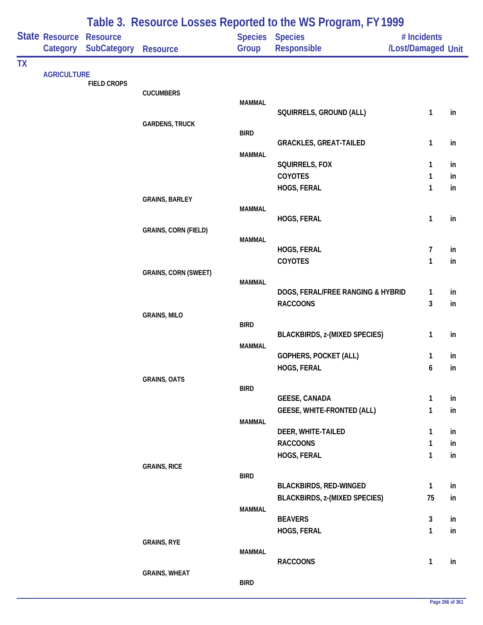|           |                                   |                                |                             |               | Table 3. Resource Losses Reported to the WS Program, FY 1999 |                                   |          |
|-----------|-----------------------------------|--------------------------------|-----------------------------|---------------|--------------------------------------------------------------|-----------------------------------|----------|
|           | <b>State Resource</b><br>Category | <b>Resource</b><br>SubCategory | <b>Resource</b>             | Group         | Species Species<br>Responsible                               | # Incidents<br>/Lost/Damaged Unit |          |
| <b>TX</b> |                                   |                                |                             |               |                                                              |                                   |          |
|           | <b>AGRICULTURE</b>                | <b>FIELD CROPS</b>             |                             |               |                                                              |                                   |          |
|           |                                   |                                | <b>CUCUMBERS</b>            |               |                                                              |                                   |          |
|           |                                   |                                |                             | <b>MAMMAL</b> | SQUIRRELS, GROUND (ALL)                                      | 1                                 | in       |
|           |                                   |                                | <b>GARDENS, TRUCK</b>       |               |                                                              |                                   |          |
|           |                                   |                                |                             | <b>BIRD</b>   | <b>GRACKLES, GREAT-TAILED</b>                                | 1                                 | in       |
|           |                                   |                                |                             | <b>MAMMAL</b> |                                                              |                                   |          |
|           |                                   |                                |                             |               | SQUIRRELS, FOX                                               | 1                                 | in       |
|           |                                   |                                |                             |               | <b>COYOTES</b>                                               | $\mathbf{1}$                      | in       |
|           |                                   |                                | <b>GRAINS, BARLEY</b>       |               | HOGS, FERAL                                                  | $\mathbf{1}$                      | in       |
|           |                                   |                                |                             | <b>MAMMAL</b> |                                                              |                                   |          |
|           |                                   |                                |                             |               | HOGS, FERAL                                                  | 1                                 | in       |
|           |                                   |                                | <b>GRAINS, CORN (FIELD)</b> | <b>MAMMAL</b> |                                                              |                                   |          |
|           |                                   |                                |                             |               | HOGS, FERAL                                                  | 7                                 | in       |
|           |                                   |                                |                             |               | COYOTES                                                      | 1                                 | in       |
|           |                                   |                                | <b>GRAINS, CORN (SWEET)</b> | <b>MAMMAL</b> |                                                              |                                   |          |
|           |                                   |                                |                             |               | DOGS, FERAL/FREE RANGING & HYBRID                            | 1                                 | in       |
|           |                                   |                                |                             |               | <b>RACCOONS</b>                                              | 3                                 | in       |
|           |                                   |                                | <b>GRAINS, MILO</b>         | <b>BIRD</b>   |                                                              |                                   |          |
|           |                                   |                                |                             |               | <b>BLACKBIRDS, z-(MIXED SPECIES)</b>                         | $\mathbf{1}$                      | in       |
|           |                                   |                                |                             | <b>MAMMAL</b> |                                                              |                                   |          |
|           |                                   |                                |                             |               | GOPHERS, POCKET (ALL)<br>HOGS, FERAL                         | 1<br>6                            | in<br>in |
|           |                                   |                                | <b>GRAINS, OATS</b>         |               |                                                              |                                   |          |
|           |                                   |                                |                             | <b>BIRD</b>   |                                                              |                                   |          |
|           |                                   |                                |                             |               | <b>GEESE, CANADA</b><br><b>GEESE, WHITE-FRONTED (ALL)</b>    | $\mathbf{1}$<br>1                 | in<br>in |
|           |                                   |                                |                             | <b>MAMMAL</b> |                                                              |                                   |          |
|           |                                   |                                |                             |               | DEER, WHITE-TAILED                                           | 1                                 | in       |
|           |                                   |                                |                             |               | <b>RACCOONS</b>                                              | 1                                 | in       |
|           |                                   |                                | <b>GRAINS, RICE</b>         |               | HOGS, FERAL                                                  | $\mathbf{1}$                      | in       |
|           |                                   |                                |                             | <b>BIRD</b>   |                                                              |                                   |          |
|           |                                   |                                |                             |               | <b>BLACKBIRDS, RED-WINGED</b>                                | $\mathbf{1}$                      | in       |
|           |                                   |                                |                             | <b>MAMMAL</b> | <b>BLACKBIRDS, z-(MIXED SPECIES)</b>                         | 75                                | in       |
|           |                                   |                                |                             |               | <b>BEAVERS</b>                                               | 3                                 | in       |
|           |                                   |                                |                             |               | HOGS, FERAL                                                  | $\mathbf{1}$                      | in       |
|           |                                   |                                | <b>GRAINS, RYE</b>          | <b>MAMMAL</b> |                                                              |                                   |          |
|           |                                   |                                |                             |               | <b>RACCOONS</b>                                              | 1                                 | in       |
|           |                                   |                                | <b>GRAINS, WHEAT</b>        |               |                                                              |                                   |          |
|           |                                   |                                |                             | <b>BIRD</b>   |                                                              |                                   |          |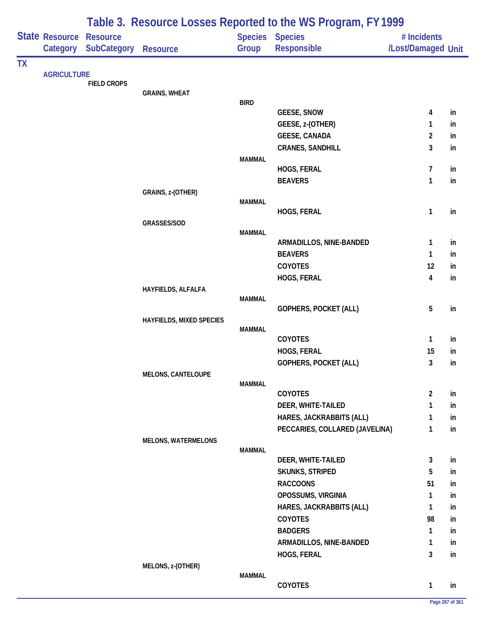|           |                            |                                       | Table 3. Resource Losses Reported to the WS Program, FY 1999 |               |                                |                                   |    |  |  |
|-----------|----------------------------|---------------------------------------|--------------------------------------------------------------|---------------|--------------------------------|-----------------------------------|----|--|--|
|           | State Resource<br>Category | <b>Resource</b><br><b>SubCategory</b> | <b>Resource</b>                                              | Group         | Species Species<br>Responsible | # Incidents<br>/Lost/Damaged Unit |    |  |  |
| <b>TX</b> |                            |                                       |                                                              |               |                                |                                   |    |  |  |
|           | <b>AGRICULTURE</b>         |                                       |                                                              |               |                                |                                   |    |  |  |
|           |                            | <b>FIELD CROPS</b>                    | <b>GRAINS, WHEAT</b>                                         |               |                                |                                   |    |  |  |
|           |                            |                                       |                                                              | <b>BIRD</b>   |                                |                                   |    |  |  |
|           |                            |                                       |                                                              |               | <b>GEESE, SNOW</b>             | 4                                 | in |  |  |
|           |                            |                                       |                                                              |               | GEESE, z-(OTHER)               | 1                                 | in |  |  |
|           |                            |                                       |                                                              |               | <b>GEESE, CANADA</b>           | 2                                 | in |  |  |
|           |                            |                                       |                                                              |               | <b>CRANES, SANDHILL</b>        | 3                                 | in |  |  |
|           |                            |                                       |                                                              | <b>MAMMAL</b> | HOGS, FERAL                    | 7                                 | in |  |  |
|           |                            |                                       |                                                              |               | <b>BEAVERS</b>                 | 1                                 | in |  |  |
|           |                            |                                       | GRAINS, z-(OTHER)                                            |               |                                |                                   |    |  |  |
|           |                            |                                       |                                                              | <b>MAMMAL</b> |                                |                                   |    |  |  |
|           |                            |                                       |                                                              |               | HOGS, FERAL                    | 1                                 | in |  |  |
|           |                            |                                       | GRASSES/SOD                                                  |               |                                |                                   |    |  |  |
|           |                            |                                       |                                                              | <b>MAMMAL</b> | ARMADILLOS, NINE-BANDED        | 1                                 | in |  |  |
|           |                            |                                       |                                                              |               | <b>BEAVERS</b>                 | 1                                 | in |  |  |
|           |                            |                                       |                                                              |               | COYOTES                        | 12                                | in |  |  |
|           |                            |                                       |                                                              |               | HOGS, FERAL                    | 4                                 | in |  |  |
|           |                            |                                       | HAYFIELDS, ALFALFA                                           |               |                                |                                   |    |  |  |
|           |                            |                                       |                                                              | <b>MAMMAL</b> |                                |                                   |    |  |  |
|           |                            |                                       |                                                              |               | GOPHERS, POCKET (ALL)          | 5                                 | in |  |  |
|           |                            |                                       | HAYFIELDS, MIXED SPECIES                                     |               |                                |                                   |    |  |  |
|           |                            |                                       |                                                              | <b>MAMMAL</b> | COYOTES                        | 1                                 | in |  |  |
|           |                            |                                       |                                                              |               | HOGS, FERAL                    | 15                                | in |  |  |
|           |                            |                                       |                                                              |               | GOPHERS, POCKET (ALL)          | 3                                 | in |  |  |
|           |                            |                                       | <b>MELONS, CANTELOUPE</b>                                    |               |                                |                                   |    |  |  |
|           |                            |                                       |                                                              | <b>MAMMAL</b> |                                |                                   |    |  |  |
|           |                            |                                       |                                                              |               | COYOTES                        | $\overline{2}$                    | in |  |  |
|           |                            |                                       |                                                              |               | DEER, WHITE-TAILED             | 1                                 | in |  |  |
|           |                            |                                       |                                                              |               | HARES, JACKRABBITS (ALL)       | 1                                 | in |  |  |
|           |                            |                                       |                                                              |               | PECCARIES, COLLARED (JAVELINA) | 1                                 | in |  |  |
|           |                            |                                       | <b>MELONS, WATERMELONS</b>                                   | <b>MAMMAL</b> |                                |                                   |    |  |  |
|           |                            |                                       |                                                              |               | DEER, WHITE-TAILED             | 3                                 | in |  |  |
|           |                            |                                       |                                                              |               | <b>SKUNKS, STRIPED</b>         | 5                                 | in |  |  |
|           |                            |                                       |                                                              |               | <b>RACCOONS</b>                | 51                                | in |  |  |
|           |                            |                                       |                                                              |               | OPOSSUMS, VIRGINIA             | 1                                 | in |  |  |
|           |                            |                                       |                                                              |               | HARES, JACKRABBITS (ALL)       | 1                                 | in |  |  |
|           |                            |                                       |                                                              |               | <b>COYOTES</b>                 | 98                                | in |  |  |
|           |                            |                                       |                                                              |               | <b>BADGERS</b>                 | 1                                 | in |  |  |
|           |                            |                                       |                                                              |               | ARMADILLOS, NINE-BANDED        | 1                                 | in |  |  |
|           |                            |                                       |                                                              |               | HOGS, FERAL                    | 3                                 | in |  |  |
|           |                            |                                       | MELONS, z-(OTHER)                                            |               |                                |                                   |    |  |  |
|           |                            |                                       |                                                              | <b>MAMMAL</b> | COYOTES                        |                                   |    |  |  |
|           |                            |                                       |                                                              |               |                                | 1                                 | in |  |  |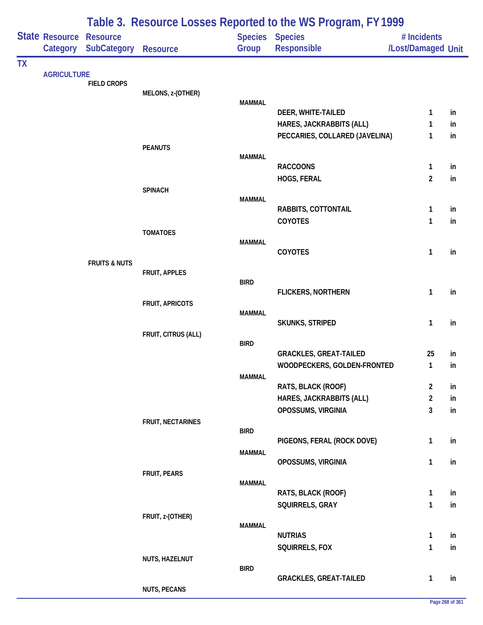|           |                            |                                       |                          |               | Table 3. Resource Losses Reported to the WS Program, FY 1999 |                                   |          |
|-----------|----------------------------|---------------------------------------|--------------------------|---------------|--------------------------------------------------------------|-----------------------------------|----------|
|           | State Resource<br>Category | <b>Resource</b><br><b>SubCategory</b> | Resource                 | Group         | Species Species<br>Responsible                               | # Incidents<br>/Lost/Damaged Unit |          |
| <b>TX</b> |                            |                                       |                          |               |                                                              |                                   |          |
|           | <b>AGRICULTURE</b>         | <b>FIELD CROPS</b>                    |                          |               |                                                              |                                   |          |
|           |                            |                                       | MELONS, z-(OTHER)        | <b>MAMMAL</b> |                                                              |                                   |          |
|           |                            |                                       |                          |               | DEER, WHITE-TAILED                                           | 1                                 | in       |
|           |                            |                                       |                          |               | HARES, JACKRABBITS (ALL)                                     | 1                                 | in       |
|           |                            |                                       |                          |               | PECCARIES, COLLARED (JAVELINA)                               | 1                                 | in       |
|           |                            |                                       | <b>PEANUTS</b>           | <b>MAMMAL</b> |                                                              |                                   |          |
|           |                            |                                       |                          |               | <b>RACCOONS</b>                                              | 1                                 | in       |
|           |                            |                                       |                          |               | HOGS, FERAL                                                  | $\overline{2}$                    | in       |
|           |                            |                                       | <b>SPINACH</b>           | <b>MAMMAL</b> |                                                              |                                   |          |
|           |                            |                                       |                          |               | RABBITS, COTTONTAIL                                          | 1                                 | in       |
|           |                            |                                       |                          |               | COYOTES                                                      | 1                                 | in       |
|           |                            |                                       | <b>TOMATOES</b>          |               |                                                              |                                   |          |
|           |                            |                                       |                          | <b>MAMMAL</b> | COYOTES                                                      | 1                                 | in       |
|           |                            | <b>FRUITS &amp; NUTS</b>              |                          |               |                                                              |                                   |          |
|           |                            |                                       | FRUIT, APPLES            | <b>BIRD</b>   |                                                              |                                   |          |
|           |                            |                                       |                          |               | <b>FLICKERS, NORTHERN</b>                                    | 1                                 | in       |
|           |                            |                                       | <b>FRUIT, APRICOTS</b>   |               |                                                              |                                   |          |
|           |                            |                                       |                          | <b>MAMMAL</b> | <b>SKUNKS, STRIPED</b>                                       | 1                                 | in       |
|           |                            |                                       | FRUIT, CITRUS (ALL)      |               |                                                              |                                   |          |
|           |                            |                                       |                          | <b>BIRD</b>   |                                                              |                                   |          |
|           |                            |                                       |                          |               | <b>GRACKLES, GREAT-TAILED</b><br>WOODPECKERS, GOLDEN-FRONTED | 25<br>$\mathbf{1}$                | in<br>in |
|           |                            |                                       |                          | <b>MAMMAL</b> |                                                              |                                   |          |
|           |                            |                                       |                          |               | RATS, BLACK (ROOF)                                           | $\overline{2}$                    | in       |
|           |                            |                                       |                          |               | HARES, JACKRABBITS (ALL)                                     | $\overline{2}$                    | in       |
|           |                            |                                       |                          |               | OPOSSUMS, VIRGINIA                                           | 3                                 | in       |
|           |                            |                                       | <b>FRUIT, NECTARINES</b> | <b>BIRD</b>   |                                                              |                                   |          |
|           |                            |                                       |                          |               | PIGEONS, FERAL (ROCK DOVE)                                   | 1                                 | in       |
|           |                            |                                       |                          | <b>MAMMAL</b> | OPOSSUMS, VIRGINIA                                           | 1                                 | in       |
|           |                            |                                       | FRUIT, PEARS             |               |                                                              |                                   |          |
|           |                            |                                       |                          | <b>MAMMAL</b> |                                                              |                                   |          |
|           |                            |                                       |                          |               | RATS, BLACK (ROOF)                                           | 1                                 | in       |
|           |                            |                                       | FRUIT, z-(OTHER)         |               | SQUIRRELS, GRAY                                              | $\mathbf{1}$                      | in       |
|           |                            |                                       |                          | <b>MAMMAL</b> |                                                              |                                   |          |
|           |                            |                                       |                          |               | <b>NUTRIAS</b>                                               | 1                                 | in       |
|           |                            |                                       | NUTS, HAZELNUT           |               | SQUIRRELS, FOX                                               | 1                                 | in       |
|           |                            |                                       |                          | <b>BIRD</b>   |                                                              |                                   |          |
|           |                            |                                       |                          |               | <b>GRACKLES, GREAT-TAILED</b>                                | 1                                 | in       |
|           |                            |                                       | <b>NUTS, PECANS</b>      |               |                                                              |                                   |          |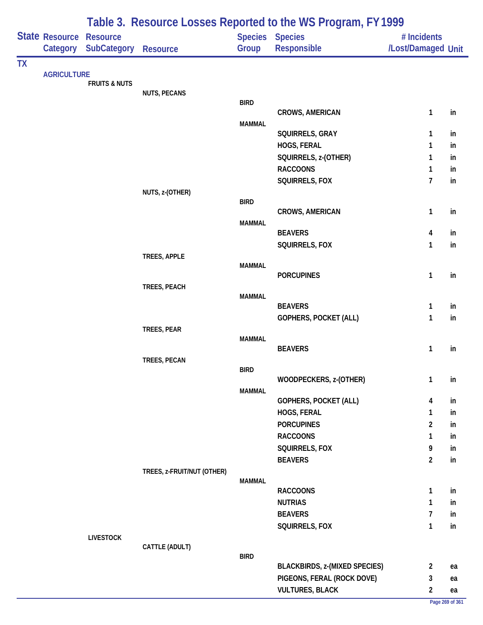|           | Table 3. Resource Losses Reported to the WS Program, FY1999 |                                |                            |               |                                             |                                |          |
|-----------|-------------------------------------------------------------|--------------------------------|----------------------------|---------------|---------------------------------------------|--------------------------------|----------|
|           |                                                             | <b>State Resource Resource</b> |                            |               | Species Species                             | # Incidents                    |          |
|           | Category                                                    | SubCategory                    | <b>Resource</b>            | Group         | Responsible                                 | /Lost/Damaged Unit             |          |
| <b>TX</b> |                                                             |                                |                            |               |                                             |                                |          |
|           | <b>AGRICULTURE</b>                                          | <b>FRUITS &amp; NUTS</b>       |                            |               |                                             |                                |          |
|           |                                                             |                                | <b>NUTS, PECANS</b>        |               |                                             |                                |          |
|           |                                                             |                                |                            | <b>BIRD</b>   |                                             |                                |          |
|           |                                                             |                                |                            |               | <b>CROWS, AMERICAN</b>                      | $\mathbf{1}$                   | in       |
|           |                                                             |                                |                            | <b>MAMMAL</b> | SQUIRRELS, GRAY                             | 1                              | in       |
|           |                                                             |                                |                            |               | HOGS, FERAL                                 | 1                              | in       |
|           |                                                             |                                |                            |               | SQUIRRELS, z-(OTHER)                        | 1                              | in       |
|           |                                                             |                                |                            |               | <b>RACCOONS</b>                             | 1                              | in       |
|           |                                                             |                                |                            |               | SQUIRRELS, FOX                              | $\overline{7}$                 | in       |
|           |                                                             |                                | NUTS, z-(OTHER)            |               |                                             |                                |          |
|           |                                                             |                                |                            | <b>BIRD</b>   |                                             |                                |          |
|           |                                                             |                                |                            |               | <b>CROWS, AMERICAN</b>                      | $\mathbf{1}$                   | in       |
|           |                                                             |                                |                            | <b>MAMMAL</b> | <b>BEAVERS</b>                              | 4                              | in       |
|           |                                                             |                                |                            |               | SQUIRRELS, FOX                              | 1                              | in       |
|           |                                                             |                                | TREES, APPLE               |               |                                             |                                |          |
|           |                                                             |                                |                            | <b>MAMMAL</b> |                                             |                                |          |
|           |                                                             |                                |                            |               | <b>PORCUPINES</b>                           | $\mathbf{1}$                   | in       |
|           |                                                             |                                | TREES, PEACH               | <b>MAMMAL</b> |                                             |                                |          |
|           |                                                             |                                |                            |               | <b>BEAVERS</b>                              | 1                              | in       |
|           |                                                             |                                |                            |               | GOPHERS, POCKET (ALL)                       | $\mathbf{1}$                   | in       |
|           |                                                             |                                | TREES, PEAR                |               |                                             |                                |          |
|           |                                                             |                                |                            | <b>MAMMAL</b> | <b>BEAVERS</b>                              | $\mathbf{1}$                   | in       |
|           |                                                             |                                | TREES, PECAN               |               |                                             |                                |          |
|           |                                                             |                                |                            | <b>BIRD</b>   |                                             |                                |          |
|           |                                                             |                                |                            |               | WOODPECKERS, z-(OTHER)                      | $\mathbf{1}$                   | in       |
|           |                                                             |                                |                            | <b>MAMMAL</b> |                                             |                                |          |
|           |                                                             |                                |                            |               | <b>GOPHERS, POCKET (ALL)</b><br>HOGS, FERAL | 4<br>1                         | in<br>in |
|           |                                                             |                                |                            |               | <b>PORCUPINES</b>                           | $\overline{\mathbf{c}}$        | in       |
|           |                                                             |                                |                            |               | <b>RACCOONS</b>                             | 1                              | in       |
|           |                                                             |                                |                            |               | SQUIRRELS, FOX                              | 9                              | in       |
|           |                                                             |                                |                            |               | <b>BEAVERS</b>                              | $\overline{2}$                 | in       |
|           |                                                             |                                | TREES, z-FRUIT/NUT (OTHER) |               |                                             |                                |          |
|           |                                                             |                                |                            | <b>MAMMAL</b> |                                             |                                |          |
|           |                                                             |                                |                            |               | <b>RACCOONS</b>                             | $\mathbf{1}$                   | in       |
|           |                                                             |                                |                            |               | <b>NUTRIAS</b>                              | 1                              | in       |
|           |                                                             |                                |                            |               | <b>BEAVERS</b><br>SQUIRRELS, FOX            | $\overline{7}$<br>$\mathbf{1}$ | in<br>in |
|           |                                                             | <b>LIVESTOCK</b>               |                            |               |                                             |                                |          |
|           |                                                             |                                | CATTLE (ADULT)             |               |                                             |                                |          |
|           |                                                             |                                |                            | <b>BIRD</b>   |                                             |                                |          |
|           |                                                             |                                |                            |               | <b>BLACKBIRDS, z-(MIXED SPECIES)</b>        | $\overline{2}$                 | ea       |
|           |                                                             |                                |                            |               | PIGEONS, FERAL (ROCK DOVE)                  | 3                              | ea       |
|           |                                                             |                                |                            |               | <b>VULTURES, BLACK</b>                      | $\overline{2}$                 | ea       |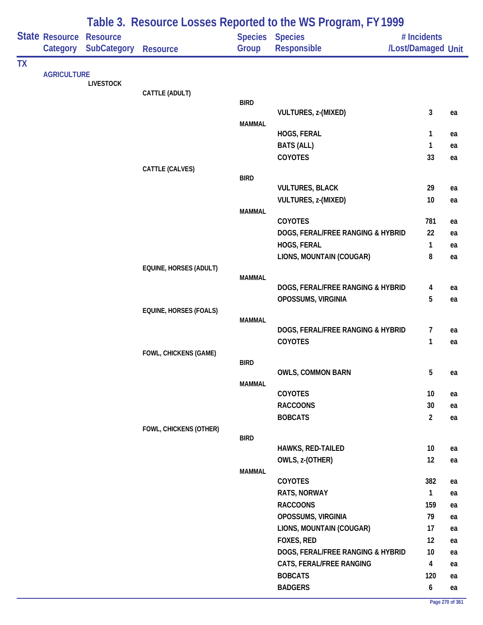|           |                            |                                       | Table 3. Resource Losses Reported to the WS Program, FY1999 |               |                                               |                                   |    |  |  |
|-----------|----------------------------|---------------------------------------|-------------------------------------------------------------|---------------|-----------------------------------------------|-----------------------------------|----|--|--|
|           | State Resource<br>Category | <b>Resource</b><br><b>SubCategory</b> | <b>Resource</b>                                             | Group         | Species Species<br><b>Responsible</b>         | # Incidents<br>/Lost/Damaged Unit |    |  |  |
| <b>TX</b> |                            |                                       |                                                             |               |                                               |                                   |    |  |  |
|           | <b>AGRICULTURE</b>         | <b>LIVESTOCK</b>                      |                                                             |               |                                               |                                   |    |  |  |
|           |                            |                                       | CATTLE (ADULT)                                              |               |                                               |                                   |    |  |  |
|           |                            |                                       |                                                             | <b>BIRD</b>   |                                               |                                   |    |  |  |
|           |                            |                                       |                                                             | <b>MAMMAL</b> | <b>VULTURES, z-(MIXED)</b>                    | 3                                 | ea |  |  |
|           |                            |                                       |                                                             |               | HOGS, FERAL                                   | 1                                 | ea |  |  |
|           |                            |                                       |                                                             |               | <b>BATS (ALL)</b>                             | 1                                 | ea |  |  |
|           |                            |                                       |                                                             |               | COYOTES                                       | 33                                | ea |  |  |
|           |                            |                                       | CATTLE (CALVES)                                             |               |                                               |                                   |    |  |  |
|           |                            |                                       |                                                             | <b>BIRD</b>   |                                               |                                   |    |  |  |
|           |                            |                                       |                                                             |               | <b>VULTURES, BLACK</b><br>VULTURES, z-(MIXED) | 29<br>10                          | ea |  |  |
|           |                            |                                       |                                                             | <b>MAMMAL</b> |                                               |                                   | ea |  |  |
|           |                            |                                       |                                                             |               | COYOTES                                       | 781                               | ea |  |  |
|           |                            |                                       |                                                             |               | DOGS, FERAL/FREE RANGING & HYBRID             | 22                                | ea |  |  |
|           |                            |                                       |                                                             |               | HOGS, FERAL                                   | $\mathbf{1}$                      | ea |  |  |
|           |                            |                                       |                                                             |               | LIONS, MOUNTAIN (COUGAR)                      | 8                                 | ea |  |  |
|           |                            |                                       | EQUINE, HORSES (ADULT)                                      |               |                                               |                                   |    |  |  |
|           |                            |                                       |                                                             | <b>MAMMAL</b> | DOGS, FERAL/FREE RANGING & HYBRID             | 4                                 | ea |  |  |
|           |                            |                                       |                                                             |               | OPOSSUMS, VIRGINIA                            | 5                                 | ea |  |  |
|           |                            |                                       | EQUINE, HORSES (FOALS)                                      |               |                                               |                                   |    |  |  |
|           |                            |                                       |                                                             | <b>MAMMAL</b> |                                               |                                   |    |  |  |
|           |                            |                                       |                                                             |               | DOGS, FERAL/FREE RANGING & HYBRID             | 7                                 | ea |  |  |
|           |                            |                                       |                                                             |               | COYOTES                                       | 1                                 | ea |  |  |
|           |                            |                                       | FOWL, CHICKENS (GAME)                                       | <b>BIRD</b>   |                                               |                                   |    |  |  |
|           |                            |                                       |                                                             |               | <b>OWLS, COMMON BARN</b>                      | 5                                 | ea |  |  |
|           |                            |                                       |                                                             | <b>MAMMAL</b> |                                               |                                   |    |  |  |
|           |                            |                                       |                                                             |               | COYOTES                                       | 10                                | ea |  |  |
|           |                            |                                       |                                                             |               | <b>RACCOONS</b>                               | 30                                | ea |  |  |
|           |                            |                                       |                                                             |               | <b>BOBCATS</b>                                | $\overline{2}$                    | ea |  |  |
|           |                            |                                       | FOWL, CHICKENS (OTHER)                                      | <b>BIRD</b>   |                                               |                                   |    |  |  |
|           |                            |                                       |                                                             |               | HAWKS, RED-TAILED                             | 10                                | ea |  |  |
|           |                            |                                       |                                                             |               | OWLS, z-(OTHER)                               | 12                                | ea |  |  |
|           |                            |                                       |                                                             | <b>MAMMAL</b> |                                               |                                   |    |  |  |
|           |                            |                                       |                                                             |               | COYOTES                                       | 382                               | ea |  |  |
|           |                            |                                       |                                                             |               | RATS, NORWAY                                  | $\mathbf{1}$                      | ea |  |  |
|           |                            |                                       |                                                             |               | <b>RACCOONS</b>                               | 159                               | ea |  |  |
|           |                            |                                       |                                                             |               | OPOSSUMS, VIRGINIA                            | 79                                | ea |  |  |
|           |                            |                                       |                                                             |               | LIONS, MOUNTAIN (COUGAR)                      | 17                                | ea |  |  |
|           |                            |                                       |                                                             |               | <b>FOXES, RED</b>                             | 12                                | ea |  |  |
|           |                            |                                       |                                                             |               | DOGS, FERAL/FREE RANGING & HYBRID             | 10                                | ea |  |  |
|           |                            |                                       |                                                             |               | CATS, FERAL/FREE RANGING<br><b>BOBCATS</b>    | 4                                 | ea |  |  |
|           |                            |                                       |                                                             |               | <b>BADGERS</b>                                | 120<br>$\boldsymbol{6}$           | ea |  |  |
|           |                            |                                       |                                                             |               |                                               |                                   | ea |  |  |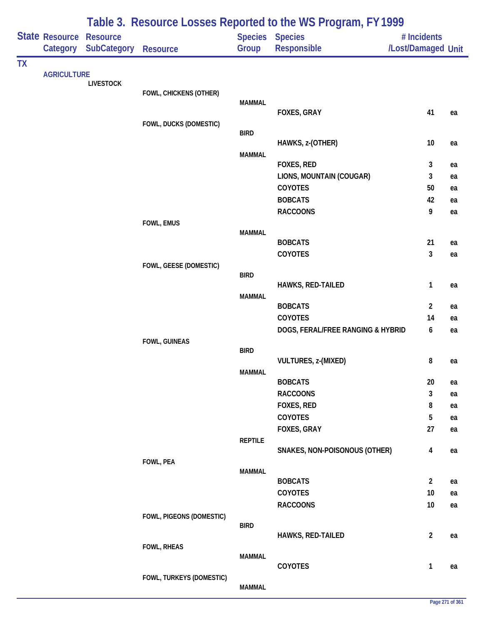|           |                            |                                       | Table 3. Resource Losses Reported to the WS Program, FY 1999 |                |                                   |                                   |    |  |  |  |
|-----------|----------------------------|---------------------------------------|--------------------------------------------------------------|----------------|-----------------------------------|-----------------------------------|----|--|--|--|
|           | State Resource<br>Category | <b>Resource</b><br><b>SubCategory</b> | <b>Resource</b>                                              | Group          | Species Species<br>Responsible    | # Incidents<br>/Lost/Damaged Unit |    |  |  |  |
| <b>TX</b> |                            |                                       |                                                              |                |                                   |                                   |    |  |  |  |
|           | <b>AGRICULTURE</b>         | <b>LIVESTOCK</b>                      |                                                              |                |                                   |                                   |    |  |  |  |
|           |                            |                                       | FOWL, CHICKENS (OTHER)                                       |                |                                   |                                   |    |  |  |  |
|           |                            |                                       |                                                              | <b>MAMMAL</b>  |                                   |                                   |    |  |  |  |
|           |                            |                                       |                                                              |                | FOXES, GRAY                       | 41                                | ea |  |  |  |
|           |                            |                                       | FOWL, DUCKS (DOMESTIC)                                       | <b>BIRD</b>    |                                   |                                   |    |  |  |  |
|           |                            |                                       |                                                              |                | HAWKS, z-(OTHER)                  | 10                                | ea |  |  |  |
|           |                            |                                       |                                                              | <b>MAMMAL</b>  |                                   |                                   |    |  |  |  |
|           |                            |                                       |                                                              |                | FOXES, RED                        | 3                                 | ea |  |  |  |
|           |                            |                                       |                                                              |                | LIONS, MOUNTAIN (COUGAR)          | 3                                 | ea |  |  |  |
|           |                            |                                       |                                                              |                | <b>COYOTES</b>                    | 50                                | ea |  |  |  |
|           |                            |                                       |                                                              |                | <b>BOBCATS</b>                    | 42                                | ea |  |  |  |
|           |                            |                                       | FOWL, EMUS                                                   |                | <b>RACCOONS</b>                   | 9                                 | ea |  |  |  |
|           |                            |                                       |                                                              | <b>MAMMAL</b>  |                                   |                                   |    |  |  |  |
|           |                            |                                       |                                                              |                | <b>BOBCATS</b>                    | 21                                | ea |  |  |  |
|           |                            |                                       |                                                              |                | COYOTES                           | 3                                 | ea |  |  |  |
|           |                            |                                       | FOWL, GEESE (DOMESTIC)                                       |                |                                   |                                   |    |  |  |  |
|           |                            |                                       |                                                              | <b>BIRD</b>    | HAWKS, RED-TAILED                 | 1                                 | ea |  |  |  |
|           |                            |                                       |                                                              | <b>MAMMAL</b>  |                                   |                                   |    |  |  |  |
|           |                            |                                       |                                                              |                | <b>BOBCATS</b>                    | $\overline{2}$                    | ea |  |  |  |
|           |                            |                                       |                                                              |                | COYOTES                           | 14                                | ea |  |  |  |
|           |                            |                                       |                                                              |                | DOGS, FERAL/FREE RANGING & HYBRID | 6                                 | ea |  |  |  |
|           |                            |                                       | FOWL, GUINEAS                                                |                |                                   |                                   |    |  |  |  |
|           |                            |                                       |                                                              | <b>BIRD</b>    | VULTURES, z-(MIXED)               | 8                                 | ea |  |  |  |
|           |                            |                                       |                                                              | <b>MAMMAL</b>  |                                   |                                   |    |  |  |  |
|           |                            |                                       |                                                              |                | <b>BOBCATS</b>                    | 20                                | ea |  |  |  |
|           |                            |                                       |                                                              |                | <b>RACCOONS</b>                   | 3                                 | ea |  |  |  |
|           |                            |                                       |                                                              |                | FOXES, RED                        | 8                                 | ea |  |  |  |
|           |                            |                                       |                                                              |                | <b>COYOTES</b>                    | 5                                 | ea |  |  |  |
|           |                            |                                       |                                                              |                | FOXES, GRAY                       | 27                                | ea |  |  |  |
|           |                            |                                       |                                                              | <b>REPTILE</b> |                                   |                                   |    |  |  |  |
|           |                            |                                       |                                                              |                | SNAKES, NON-POISONOUS (OTHER)     | $\overline{\mathbf{4}}$           | ea |  |  |  |
|           |                            |                                       | FOWL, PEA                                                    | <b>MAMMAL</b>  |                                   |                                   |    |  |  |  |
|           |                            |                                       |                                                              |                | <b>BOBCATS</b>                    | $\overline{2}$                    | ea |  |  |  |
|           |                            |                                       |                                                              |                | COYOTES                           | 10                                | ea |  |  |  |
|           |                            |                                       |                                                              |                | <b>RACCOONS</b>                   | $10$                              | ea |  |  |  |
|           |                            |                                       | FOWL, PIGEONS (DOMESTIC)                                     |                |                                   |                                   |    |  |  |  |
|           |                            |                                       |                                                              | <b>BIRD</b>    | HAWKS, RED-TAILED                 | $\overline{2}$                    | ea |  |  |  |
|           |                            |                                       | <b>FOWL, RHEAS</b>                                           |                |                                   |                                   |    |  |  |  |
|           |                            |                                       |                                                              | <b>MAMMAL</b>  |                                   |                                   |    |  |  |  |
|           |                            |                                       |                                                              |                | COYOTES                           | $\mathbf{1}$                      | ea |  |  |  |
|           |                            |                                       | FOWL, TURKEYS (DOMESTIC)                                     |                |                                   |                                   |    |  |  |  |
|           |                            |                                       |                                                              | <b>MAMMAL</b>  |                                   |                                   |    |  |  |  |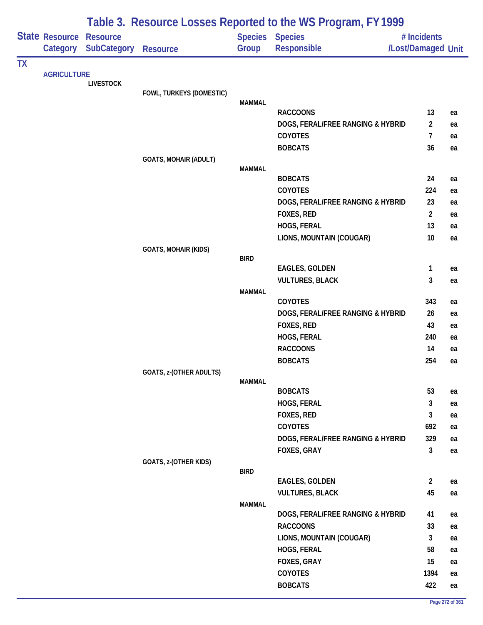|           |                            |                                       | Table 3. Resource Losses Reported to the WS Program, FY1999 |               |                                       |                                   |          |  |  |
|-----------|----------------------------|---------------------------------------|-------------------------------------------------------------|---------------|---------------------------------------|-----------------------------------|----------|--|--|
|           | State Resource<br>Category | <b>Resource</b><br><b>SubCategory</b> | <b>Resource</b>                                             | Group         | <b>Species Species</b><br>Responsible | # Incidents<br>/Lost/Damaged Unit |          |  |  |
| <b>TX</b> |                            |                                       |                                                             |               |                                       |                                   |          |  |  |
|           | <b>AGRICULTURE</b>         | <b>LIVESTOCK</b>                      |                                                             |               |                                       |                                   |          |  |  |
|           |                            |                                       | FOWL, TURKEYS (DOMESTIC)                                    |               |                                       |                                   |          |  |  |
|           |                            |                                       |                                                             | <b>MAMMAL</b> | <b>RACCOONS</b>                       | 13                                |          |  |  |
|           |                            |                                       |                                                             |               | DOGS, FERAL/FREE RANGING & HYBRID     | $\overline{a}$                    | ea<br>ea |  |  |
|           |                            |                                       |                                                             |               | <b>COYOTES</b>                        | $\overline{7}$                    | ea       |  |  |
|           |                            |                                       |                                                             |               | <b>BOBCATS</b>                        | 36                                | ea       |  |  |
|           |                            |                                       | <b>GOATS, MOHAIR (ADULT)</b>                                |               |                                       |                                   |          |  |  |
|           |                            |                                       |                                                             | <b>MAMMAL</b> |                                       |                                   |          |  |  |
|           |                            |                                       |                                                             |               | <b>BOBCATS</b>                        | 24                                | ea       |  |  |
|           |                            |                                       |                                                             |               | <b>COYOTES</b>                        | 224                               | ea       |  |  |
|           |                            |                                       |                                                             |               | DOGS, FERAL/FREE RANGING & HYBRID     | 23                                | ea       |  |  |
|           |                            |                                       |                                                             |               | FOXES, RED                            | $\overline{2}$                    | ea       |  |  |
|           |                            |                                       |                                                             |               | HOGS, FERAL                           | 13                                | ea       |  |  |
|           |                            |                                       |                                                             |               | LIONS, MOUNTAIN (COUGAR)              | 10                                | ea       |  |  |
|           |                            |                                       | <b>GOATS, MOHAIR (KIDS)</b>                                 | <b>BIRD</b>   |                                       |                                   |          |  |  |
|           |                            |                                       |                                                             |               | <b>EAGLES, GOLDEN</b>                 | 1                                 | ea       |  |  |
|           |                            |                                       |                                                             |               | <b>VULTURES, BLACK</b>                | 3                                 | ea       |  |  |
|           |                            |                                       |                                                             | <b>MAMMAL</b> |                                       |                                   |          |  |  |
|           |                            |                                       |                                                             |               | <b>COYOTES</b>                        | 343                               | ea       |  |  |
|           |                            |                                       |                                                             |               | DOGS, FERAL/FREE RANGING & HYBRID     | 26                                | ea       |  |  |
|           |                            |                                       |                                                             |               | FOXES, RED                            | 43                                | ea       |  |  |
|           |                            |                                       |                                                             |               | HOGS, FERAL                           | 240                               | ea       |  |  |
|           |                            |                                       |                                                             |               | <b>RACCOONS</b>                       | 14                                | ea       |  |  |
|           |                            |                                       |                                                             |               | <b>BOBCATS</b>                        | 254                               | ea       |  |  |
|           |                            |                                       | <b>GOATS, z-(OTHER ADULTS)</b>                              | <b>MAMMAL</b> |                                       |                                   |          |  |  |
|           |                            |                                       |                                                             |               | <b>BOBCATS</b>                        | 53                                | ea       |  |  |
|           |                            |                                       |                                                             |               | HOGS, FERAL                           | 3                                 | ea       |  |  |
|           |                            |                                       |                                                             |               | <b>FOXES, RED</b>                     | 3                                 | ea       |  |  |
|           |                            |                                       |                                                             |               | COYOTES                               | 692                               | ea       |  |  |
|           |                            |                                       |                                                             |               | DOGS, FERAL/FREE RANGING & HYBRID     | 329                               | ea       |  |  |
|           |                            |                                       |                                                             |               | FOXES, GRAY                           | $\mathbf{3}$                      | ea       |  |  |
|           |                            |                                       | GOATS, z-(OTHER KIDS)                                       |               |                                       |                                   |          |  |  |
|           |                            |                                       |                                                             | <b>BIRD</b>   |                                       |                                   |          |  |  |
|           |                            |                                       |                                                             |               | EAGLES, GOLDEN                        | $\overline{2}$                    | ea       |  |  |
|           |                            |                                       |                                                             |               | <b>VULTURES, BLACK</b>                | 45                                | ea       |  |  |
|           |                            |                                       |                                                             | <b>MAMMAL</b> | DOGS, FERAL/FREE RANGING & HYBRID     | 41                                | ea       |  |  |
|           |                            |                                       |                                                             |               | <b>RACCOONS</b>                       | 33                                | ea       |  |  |
|           |                            |                                       |                                                             |               | LIONS, MOUNTAIN (COUGAR)              | 3                                 | ea       |  |  |
|           |                            |                                       |                                                             |               | HOGS, FERAL                           | 58                                | ea       |  |  |
|           |                            |                                       |                                                             |               | FOXES, GRAY                           | 15                                | ea       |  |  |
|           |                            |                                       |                                                             |               | COYOTES                               | 1394                              | ea       |  |  |
|           |                            |                                       |                                                             |               | <b>BOBCATS</b>                        | 422                               | ea       |  |  |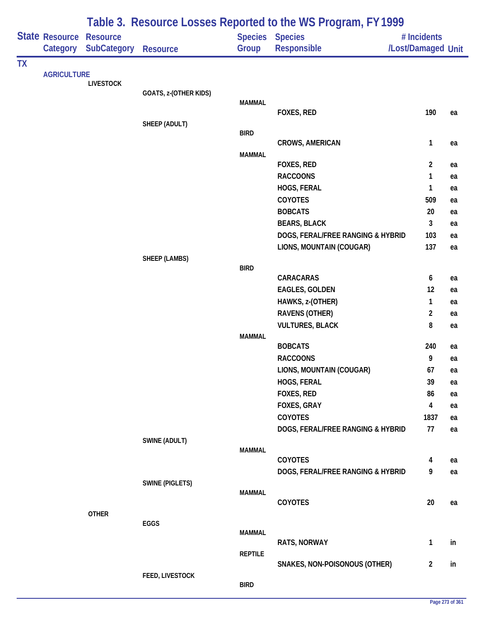|           |                                   |                                       | Table 3. Resource Losses Reported to the WS Program, FY 1999 |                |                                   |                                   |    |
|-----------|-----------------------------------|---------------------------------------|--------------------------------------------------------------|----------------|-----------------------------------|-----------------------------------|----|
|           | <b>State Resource</b><br>Category | <b>Resource</b><br><b>SubCategory</b> | <b>Resource</b>                                              | Group          | Species Species<br>Responsible    | # Incidents<br>/Lost/Damaged Unit |    |
| <b>TX</b> |                                   |                                       |                                                              |                |                                   |                                   |    |
|           | <b>AGRICULTURE</b>                |                                       |                                                              |                |                                   |                                   |    |
|           |                                   | <b>LIVESTOCK</b>                      | GOATS, z-(OTHER KIDS)                                        |                |                                   |                                   |    |
|           |                                   |                                       |                                                              | <b>MAMMAL</b>  |                                   |                                   |    |
|           |                                   |                                       |                                                              |                | FOXES, RED                        | 190                               | ea |
|           |                                   |                                       | SHEEP (ADULT)                                                |                |                                   |                                   |    |
|           |                                   |                                       |                                                              | <b>BIRD</b>    | <b>CROWS, AMERICAN</b>            | $\mathbf{1}$                      |    |
|           |                                   |                                       |                                                              | <b>MAMMAL</b>  |                                   |                                   | ea |
|           |                                   |                                       |                                                              |                | FOXES, RED                        | $\overline{2}$                    | ea |
|           |                                   |                                       |                                                              |                | <b>RACCOONS</b>                   | $\mathbf{1}$                      | ea |
|           |                                   |                                       |                                                              |                | HOGS, FERAL                       | $\mathbf{1}$                      | ea |
|           |                                   |                                       |                                                              |                | COYOTES                           | 509                               | ea |
|           |                                   |                                       |                                                              |                | <b>BOBCATS</b>                    | 20                                | ea |
|           |                                   |                                       |                                                              |                | <b>BEARS, BLACK</b>               | 3                                 | ea |
|           |                                   |                                       |                                                              |                | DOGS, FERAL/FREE RANGING & HYBRID | 103                               | ea |
|           |                                   |                                       |                                                              |                | LIONS, MOUNTAIN (COUGAR)          | 137                               | ea |
|           |                                   |                                       | <b>SHEEP (LAMBS)</b>                                         |                |                                   |                                   |    |
|           |                                   |                                       |                                                              | <b>BIRD</b>    |                                   |                                   |    |
|           |                                   |                                       |                                                              |                | CARACARAS                         | 6                                 | ea |
|           |                                   |                                       |                                                              |                | <b>EAGLES, GOLDEN</b>             | 12                                | ea |
|           |                                   |                                       |                                                              |                | HAWKS, z-(OTHER)                  | 1                                 | ea |
|           |                                   |                                       |                                                              |                | <b>RAVENS (OTHER)</b>             | $\overline{2}$                    | ea |
|           |                                   |                                       |                                                              |                | <b>VULTURES, BLACK</b>            | 8                                 | ea |
|           |                                   |                                       |                                                              | <b>MAMMAL</b>  |                                   |                                   |    |
|           |                                   |                                       |                                                              |                | <b>BOBCATS</b>                    | 240                               | ea |
|           |                                   |                                       |                                                              |                | <b>RACCOONS</b>                   | 9                                 | ea |
|           |                                   |                                       |                                                              |                | LIONS, MOUNTAIN (COUGAR)          | 67                                | ea |
|           |                                   |                                       |                                                              |                | HOGS, FERAL                       | 39                                | ea |
|           |                                   |                                       |                                                              |                | FOXES, RED                        | 86                                | ea |
|           |                                   |                                       |                                                              |                | FOXES, GRAY                       | 4                                 | ea |
|           |                                   |                                       |                                                              |                | <b>COYOTES</b>                    | 1837                              | ea |
|           |                                   |                                       |                                                              |                | DOGS, FERAL/FREE RANGING & HYBRID | 77                                | ea |
|           |                                   |                                       | SWINE (ADULT)                                                | <b>MAMMAL</b>  |                                   |                                   |    |
|           |                                   |                                       |                                                              |                | COYOTES                           | 4                                 | ea |
|           |                                   |                                       |                                                              |                | DOGS, FERAL/FREE RANGING & HYBRID | 9                                 | ea |
|           |                                   |                                       | <b>SWINE (PIGLETS)</b>                                       |                |                                   |                                   |    |
|           |                                   |                                       |                                                              | <b>MAMMAL</b>  |                                   |                                   |    |
|           |                                   |                                       |                                                              |                | COYOTES                           | $20\,$                            | ea |
|           |                                   | <b>OTHER</b>                          |                                                              |                |                                   |                                   |    |
|           |                                   |                                       | EGGS                                                         | <b>MAMMAL</b>  |                                   |                                   |    |
|           |                                   |                                       |                                                              |                | <b>RATS, NORWAY</b>               | $\mathbf{1}$                      | in |
|           |                                   |                                       |                                                              | <b>REPTILE</b> |                                   |                                   |    |
|           |                                   |                                       |                                                              |                | SNAKES, NON-POISONOUS (OTHER)     | $\overline{2}$                    | in |
|           |                                   |                                       | FEED, LIVESTOCK                                              |                |                                   |                                   |    |
|           |                                   |                                       |                                                              | <b>BIRD</b>    |                                   |                                   |    |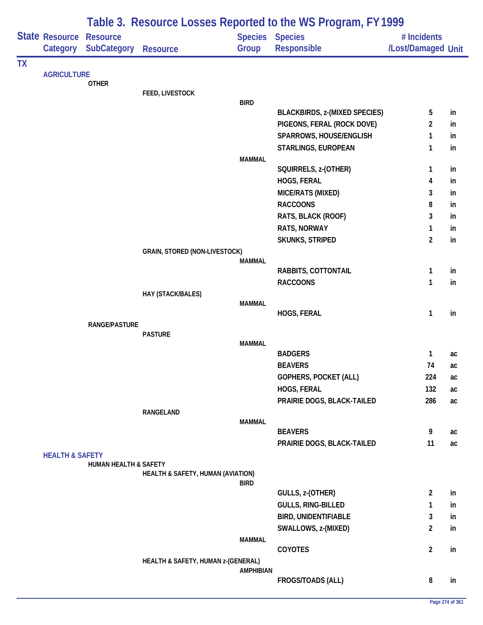|           |                            | Table 3. Resource Losses Reported to the WS Program, FY 1999 |                                      |                        |                                      |                    |    |  |  |
|-----------|----------------------------|--------------------------------------------------------------|--------------------------------------|------------------------|--------------------------------------|--------------------|----|--|--|
|           | State Resource             | <b>Resource</b>                                              |                                      | <b>Species Species</b> |                                      | # Incidents        |    |  |  |
|           | Category                   | <b>SubCategory Resource</b>                                  |                                      | Group                  | Responsible                          | /Lost/Damaged Unit |    |  |  |
| <b>TX</b> |                            |                                                              |                                      |                        |                                      |                    |    |  |  |
|           | <b>AGRICULTURE</b>         | <b>OTHER</b>                                                 |                                      |                        |                                      |                    |    |  |  |
|           |                            |                                                              | FEED, LIVESTOCK                      |                        |                                      |                    |    |  |  |
|           |                            |                                                              |                                      | <b>BIRD</b>            |                                      |                    |    |  |  |
|           |                            |                                                              |                                      |                        | <b>BLACKBIRDS, z-(MIXED SPECIES)</b> | 5                  | in |  |  |
|           |                            |                                                              |                                      |                        | PIGEONS, FERAL (ROCK DOVE)           | $\overline{2}$     | in |  |  |
|           |                            |                                                              |                                      |                        | SPARROWS, HOUSE/ENGLISH              | $\mathbf{1}$       | in |  |  |
|           |                            |                                                              |                                      |                        | STARLINGS, EUROPEAN                  | $\mathbf{1}$       | in |  |  |
|           |                            |                                                              |                                      | <b>MAMMAL</b>          | SQUIRRELS, z-(OTHER)                 | $\mathbf{1}$       | in |  |  |
|           |                            |                                                              |                                      |                        | HOGS, FERAL                          | 4                  | in |  |  |
|           |                            |                                                              |                                      |                        | MICE/RATS (MIXED)                    | 3                  | in |  |  |
|           |                            |                                                              |                                      |                        | <b>RACCOONS</b>                      | 8                  | in |  |  |
|           |                            |                                                              |                                      |                        | RATS, BLACK (ROOF)                   | 3                  | in |  |  |
|           |                            |                                                              |                                      |                        | RATS, NORWAY                         | $\mathbf{1}$       | in |  |  |
|           |                            |                                                              |                                      |                        | <b>SKUNKS, STRIPED</b>               | $\overline{2}$     | in |  |  |
|           |                            |                                                              | <b>GRAIN, STORED (NON-LIVESTOCK)</b> |                        |                                      |                    |    |  |  |
|           |                            |                                                              |                                      | <b>MAMMAL</b>          |                                      |                    |    |  |  |
|           |                            |                                                              |                                      |                        | RABBITS, COTTONTAIL                  | 1                  | in |  |  |
|           |                            |                                                              |                                      |                        | <b>RACCOONS</b>                      | $\mathbf{1}$       | in |  |  |
|           |                            |                                                              | HAY (STACK/BALES)                    |                        |                                      |                    |    |  |  |
|           |                            |                                                              |                                      | <b>MAMMAL</b>          | HOGS, FERAL                          | $\mathbf{1}$       | in |  |  |
|           |                            | RANGE/PASTURE                                                |                                      |                        |                                      |                    |    |  |  |
|           |                            |                                                              | <b>PASTURE</b>                       |                        |                                      |                    |    |  |  |
|           |                            |                                                              |                                      | <b>MAMMAL</b>          |                                      |                    |    |  |  |
|           |                            |                                                              |                                      |                        | <b>BADGERS</b>                       | $\mathbf{1}$       | ac |  |  |
|           |                            |                                                              |                                      |                        | <b>BEAVERS</b>                       | 74                 | ac |  |  |
|           |                            |                                                              |                                      |                        | <b>GOPHERS, POCKET (ALL)</b>         | 224                | ac |  |  |
|           |                            |                                                              |                                      |                        | HOGS, FERAL                          | 132                | ac |  |  |
|           |                            |                                                              |                                      |                        | PRAIRIE DOGS, BLACK-TAILED           | 286                | ac |  |  |
|           |                            |                                                              | RANGELAND                            | <b>MAMMAL</b>          |                                      |                    |    |  |  |
|           |                            |                                                              |                                      |                        | <b>BEAVERS</b>                       | 9                  | ac |  |  |
|           |                            |                                                              |                                      |                        | PRAIRIE DOGS, BLACK-TAILED           | 11                 | ac |  |  |
|           | <b>HEALTH &amp; SAFETY</b> |                                                              |                                      |                        |                                      |                    |    |  |  |
|           |                            | <b>HUMAN HEALTH &amp; SAFETY</b>                             |                                      |                        |                                      |                    |    |  |  |
|           |                            |                                                              | HEALTH & SAFETY, HUMAN (AVIATION)    | <b>BIRD</b>            |                                      |                    |    |  |  |
|           |                            |                                                              |                                      |                        | GULLS, z-(OTHER)                     | $\overline{2}$     | in |  |  |
|           |                            |                                                              |                                      |                        | <b>GULLS, RING-BILLED</b>            | $\mathbf{1}$       | in |  |  |
|           |                            |                                                              |                                      |                        | <b>BIRD, UNIDENTIFIABLE</b>          | 3                  | in |  |  |
|           |                            |                                                              |                                      |                        | SWALLOWS, z-(MIXED)                  | $\overline{2}$     | in |  |  |
|           |                            |                                                              |                                      | <b>MAMMAL</b>          |                                      |                    |    |  |  |
|           |                            |                                                              |                                      |                        | COYOTES                              | $\overline{2}$     | in |  |  |
|           |                            |                                                              | HEALTH & SAFETY, HUMAN z-(GENERAL)   |                        |                                      |                    |    |  |  |
|           |                            |                                                              |                                      | <b>AMPHIBIAN</b>       |                                      |                    |    |  |  |
|           |                            |                                                              |                                      |                        | FROGS/TOADS (ALL)                    | 8                  | in |  |  |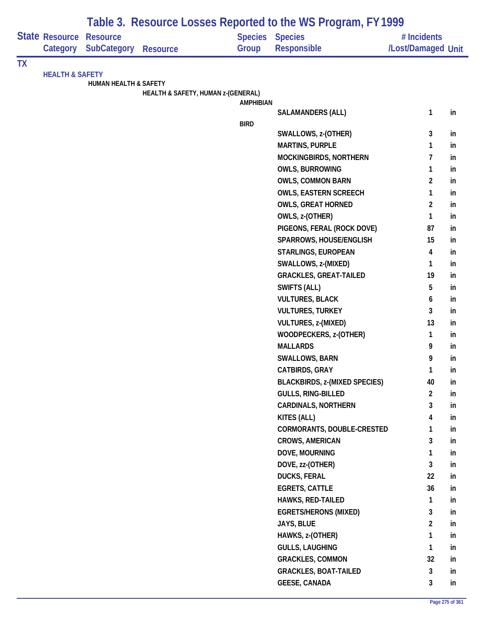|           | State Resource             | <b>Resource</b>       |                                    |                  | Table 5. Resource LOSSES Reported to the WS Program, FT 1999<br><b>Species Species</b> | # Incidents        |    |
|-----------|----------------------------|-----------------------|------------------------------------|------------------|----------------------------------------------------------------------------------------|--------------------|----|
|           | Category                   | <b>SubCategory</b>    | <b>Resource</b>                    | Group            | <b>Responsible</b>                                                                     | /Lost/Damaged Unit |    |
| <b>TX</b> |                            |                       |                                    |                  |                                                                                        |                    |    |
|           | <b>HEALTH &amp; SAFETY</b> | HUMAN HEALTH & SAFETY |                                    |                  |                                                                                        |                    |    |
|           |                            |                       | HEALTH & SAFETY, HUMAN z-(GENERAL) |                  |                                                                                        |                    |    |
|           |                            |                       |                                    | <b>AMPHIBIAN</b> |                                                                                        |                    |    |
|           |                            |                       |                                    |                  | <b>SALAMANDERS (ALL)</b>                                                               | 1                  | in |
|           |                            |                       |                                    | <b>BIRD</b>      | SWALLOWS, z-(OTHER)                                                                    | 3                  | in |
|           |                            |                       |                                    |                  | <b>MARTINS, PURPLE</b>                                                                 | 1                  | in |
|           |                            |                       |                                    |                  | MOCKINGBIRDS, NORTHERN                                                                 | 7                  | in |
|           |                            |                       |                                    |                  | <b>OWLS, BURROWING</b>                                                                 | 1                  | in |
|           |                            |                       |                                    |                  | <b>OWLS, COMMON BARN</b>                                                               | $\overline{2}$     | in |
|           |                            |                       |                                    |                  | <b>OWLS, EASTERN SCREECH</b>                                                           | $\mathbf{1}$       | in |
|           |                            |                       |                                    |                  | <b>OWLS, GREAT HORNED</b>                                                              | $\overline{2}$     | in |
|           |                            |                       |                                    |                  | OWLS, z-(OTHER)                                                                        | 1                  | in |
|           |                            |                       |                                    |                  | PIGEONS, FERAL (ROCK DOVE)                                                             | 87                 | in |
|           |                            |                       |                                    |                  | SPARROWS, HOUSE/ENGLISH                                                                | 15                 | in |
|           |                            |                       |                                    |                  | STARLINGS, EUROPEAN                                                                    | 4                  | in |
|           |                            |                       |                                    |                  | SWALLOWS, z-(MIXED)                                                                    | 1                  | in |
|           |                            |                       |                                    |                  | <b>GRACKLES, GREAT-TAILED</b>                                                          | 19                 | in |
|           |                            |                       |                                    |                  | SWIFTS (ALL)                                                                           | 5                  | in |
|           |                            |                       |                                    |                  | <b>VULTURES, BLACK</b>                                                                 | 6                  | in |
|           |                            |                       |                                    |                  | <b>VULTURES, TURKEY</b>                                                                | 3                  | in |
|           |                            |                       |                                    |                  | VULTURES, z-(MIXED)                                                                    | 13                 | in |
|           |                            |                       |                                    |                  | WOODPECKERS, z-(OTHER)                                                                 | 1                  | in |
|           |                            |                       |                                    |                  | <b>MALLARDS</b>                                                                        | 9                  | in |
|           |                            |                       |                                    |                  | <b>SWALLOWS, BARN</b>                                                                  | 9                  | in |
|           |                            |                       |                                    |                  | CATBIRDS, GRAY                                                                         | 1                  | in |
|           |                            |                       |                                    |                  | <b>BLACKBIRDS, z-(MIXED SPECIES)</b>                                                   | 40                 | in |
|           |                            |                       |                                    |                  | GULLS, RING-BILLED                                                                     | $\overline{2}$     | in |
|           |                            |                       |                                    |                  | <b>CARDINALS, NORTHERN</b>                                                             | 3                  | in |
|           |                            |                       |                                    |                  | KITES (ALL)                                                                            | 4                  | in |
|           |                            |                       |                                    |                  | CORMORANTS, DOUBLE-CRESTED                                                             | 1                  | in |
|           |                            |                       |                                    |                  | <b>CROWS, AMERICAN</b>                                                                 | 3                  | in |
|           |                            |                       |                                    |                  | DOVE, MOURNING                                                                         | 1                  | in |
|           |                            |                       |                                    |                  | DOVE, zz-(OTHER)                                                                       | $\mathbf{3}$       | in |
|           |                            |                       |                                    |                  | <b>DUCKS, FERAL</b>                                                                    | 22                 | in |
|           |                            |                       |                                    |                  | <b>EGRETS, CATTLE</b>                                                                  | 36                 | in |
|           |                            |                       |                                    |                  | <b>HAWKS, RED-TAILED</b>                                                               | $\mathbf{1}$       | in |
|           |                            |                       |                                    |                  | <b>EGRETS/HERONS (MIXED)</b>                                                           | 3                  | in |
|           |                            |                       |                                    |                  | JAYS, BLUE                                                                             | $\overline{2}$     | in |
|           |                            |                       |                                    |                  | HAWKS, z-(OTHER)                                                                       | 1                  | in |
|           |                            |                       |                                    |                  | <b>GULLS, LAUGHING</b>                                                                 | $\mathbf{1}$       | in |
|           |                            |                       |                                    |                  | <b>GRACKLES, COMMON</b>                                                                | 32                 | in |
|           |                            |                       |                                    |                  | <b>GRACKLES, BOAT-TAILED</b><br><b>GEESE, CANADA</b>                                   | 3<br>3             | in |
|           |                            |                       |                                    |                  |                                                                                        |                    | in |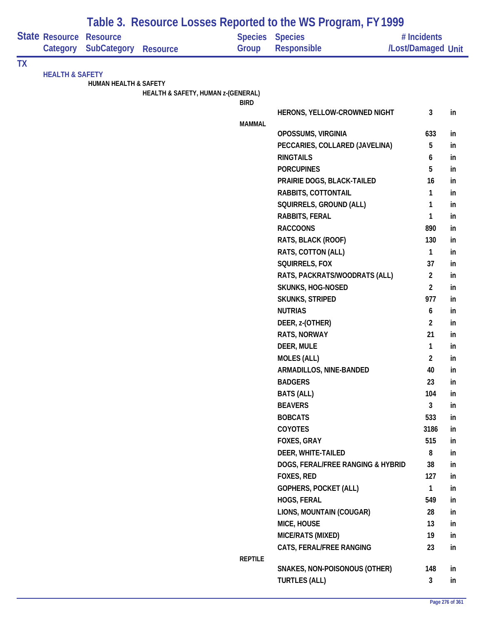|           |                            |                                       | Table 3. Resource Losses Reported to the WS Program, FY 1999 |                                 |                                   |                                   |     |
|-----------|----------------------------|---------------------------------------|--------------------------------------------------------------|---------------------------------|-----------------------------------|-----------------------------------|-----|
|           | State Resource<br>Category | <b>Resource</b><br><b>SubCategory</b> | <b>Resource</b>                                              | <b>Species Species</b><br>Group | <b>Responsible</b>                | # Incidents<br>/Lost/Damaged Unit |     |
| <b>TX</b> |                            |                                       |                                                              |                                 |                                   |                                   |     |
|           | <b>HEALTH &amp; SAFETY</b> |                                       |                                                              |                                 |                                   |                                   |     |
|           |                            | <b>HUMAN HEALTH &amp; SAFETY</b>      | HEALTH & SAFETY, HUMAN z-(GENERAL)                           |                                 |                                   |                                   |     |
|           |                            |                                       |                                                              | <b>BIRD</b>                     |                                   |                                   |     |
|           |                            |                                       |                                                              |                                 | HERONS, YELLOW-CROWNED NIGHT      | 3                                 | in  |
|           |                            |                                       |                                                              | <b>MAMMAL</b>                   |                                   |                                   |     |
|           |                            |                                       |                                                              |                                 | OPOSSUMS, VIRGINIA                | 633                               | in  |
|           |                            |                                       |                                                              |                                 | PECCARIES, COLLARED (JAVELINA)    | 5                                 | in  |
|           |                            |                                       |                                                              |                                 | <b>RINGTAILS</b>                  | 6                                 | in  |
|           |                            |                                       |                                                              |                                 | <b>PORCUPINES</b>                 | 5                                 | in  |
|           |                            |                                       |                                                              |                                 | PRAIRIE DOGS, BLACK-TAILED        | 16                                | in  |
|           |                            |                                       |                                                              |                                 | RABBITS, COTTONTAIL               | 1                                 | in  |
|           |                            |                                       |                                                              |                                 | SQUIRRELS, GROUND (ALL)           | 1                                 | in  |
|           |                            |                                       |                                                              |                                 | RABBITS, FERAL                    | 1                                 | in  |
|           |                            |                                       |                                                              |                                 | <b>RACCOONS</b>                   | 890                               | in  |
|           |                            |                                       |                                                              |                                 | RATS, BLACK (ROOF)                | 130                               | in  |
|           |                            |                                       |                                                              |                                 | RATS, COTTON (ALL)                | $\mathbf{1}$                      | in  |
|           |                            |                                       |                                                              |                                 | SQUIRRELS, FOX                    | 37                                | in  |
|           |                            |                                       |                                                              |                                 | RATS, PACKRATS/WOODRATS (ALL)     | $\overline{2}$                    | in  |
|           |                            |                                       |                                                              |                                 | <b>SKUNKS, HOG-NOSED</b>          | $\overline{2}$                    | in  |
|           |                            |                                       |                                                              |                                 | <b>SKUNKS, STRIPED</b>            | 977                               | in  |
|           |                            |                                       |                                                              |                                 | <b>NUTRIAS</b>                    | 6                                 | in  |
|           |                            |                                       |                                                              |                                 | DEER, z-(OTHER)                   | $\overline{2}$                    | in  |
|           |                            |                                       |                                                              |                                 | RATS, NORWAY                      | 21                                | in  |
|           |                            |                                       |                                                              |                                 | DEER, MULE                        | $\mathbf{1}$                      | in  |
|           |                            |                                       |                                                              |                                 | <b>MOLES (ALL)</b>                | $\overline{2}$                    | in  |
|           |                            |                                       |                                                              |                                 | ARMADILLOS, NINE-BANDED           | 40                                | In. |
|           |                            |                                       |                                                              |                                 | <b>BADGERS</b>                    | 23                                | in  |
|           |                            |                                       |                                                              |                                 | <b>BATS (ALL)</b>                 | 104                               | in  |
|           |                            |                                       |                                                              |                                 | <b>BEAVERS</b>                    | 3                                 | in  |
|           |                            |                                       |                                                              |                                 | <b>BOBCATS</b>                    | 533                               | in  |
|           |                            |                                       |                                                              |                                 | COYOTES                           | 3186                              | in  |
|           |                            |                                       |                                                              |                                 | FOXES, GRAY                       | 515                               | in  |
|           |                            |                                       |                                                              |                                 | DEER, WHITE-TAILED                | 8                                 | in  |
|           |                            |                                       |                                                              |                                 | DOGS, FERAL/FREE RANGING & HYBRID | 38                                | in  |
|           |                            |                                       |                                                              |                                 | FOXES, RED                        | 127                               | in  |
|           |                            |                                       |                                                              |                                 | GOPHERS, POCKET (ALL)             | $\mathbf{1}$                      | in  |
|           |                            |                                       |                                                              |                                 | HOGS, FERAL                       | 549                               | in  |
|           |                            |                                       |                                                              |                                 | LIONS, MOUNTAIN (COUGAR)          | 28                                | in  |
|           |                            |                                       |                                                              |                                 | MICE, HOUSE                       | 13                                | in  |
|           |                            |                                       |                                                              |                                 | MICE/RATS (MIXED)                 | 19                                | in  |
|           |                            |                                       |                                                              |                                 | CATS, FERAL/FREE RANGING          | 23                                | in  |
|           |                            |                                       |                                                              | <b>REPTILE</b>                  |                                   |                                   |     |
|           |                            |                                       |                                                              |                                 | SNAKES, NON-POISONOUS (OTHER)     | 148                               | in  |
|           |                            |                                       |                                                              |                                 | <b>TURTLES (ALL)</b>              | $\mathbf{3}$                      | in  |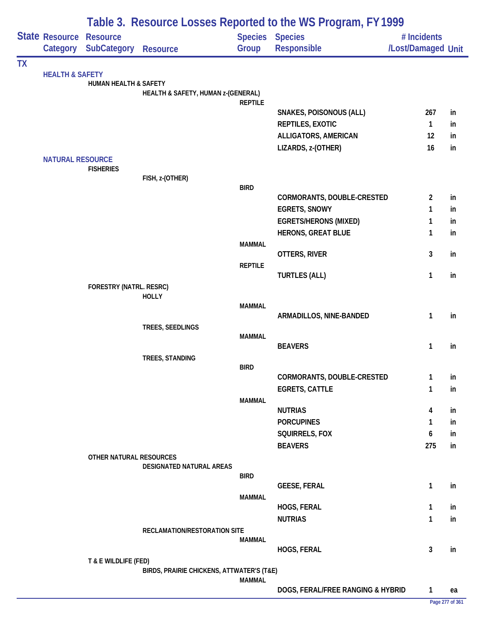|           |                                                                                |                                  |                                           |                |                                   |                    | Table 3. Resource Losses Reported to the WS Program, FY 1999 |  |  |  |  |  |  |  |
|-----------|--------------------------------------------------------------------------------|----------------------------------|-------------------------------------------|----------------|-----------------------------------|--------------------|--------------------------------------------------------------|--|--|--|--|--|--|--|
|           |                                                                                | <b>Resource</b>                  |                                           |                | <b>Species Species</b>            | # Incidents        |                                                              |  |  |  |  |  |  |  |
|           | Category                                                                       | SubCategory                      | <b>Resource</b>                           | Group          | Responsible                       | /Lost/Damaged Unit |                                                              |  |  |  |  |  |  |  |
| <b>TX</b> |                                                                                |                                  |                                           |                |                                   |                    |                                                              |  |  |  |  |  |  |  |
|           |                                                                                | <b>HUMAN HEALTH &amp; SAFETY</b> |                                           |                |                                   |                    |                                                              |  |  |  |  |  |  |  |
|           |                                                                                |                                  | HEALTH & SAFETY, HUMAN z-(GENERAL)        |                |                                   |                    |                                                              |  |  |  |  |  |  |  |
|           |                                                                                |                                  |                                           | <b>REPTILE</b> |                                   |                    |                                                              |  |  |  |  |  |  |  |
|           | <b>State Resource</b><br><b>HEALTH &amp; SAFETY</b><br><b>NATURAL RESOURCE</b> |                                  |                                           |                | <b>SNAKES, POISONOUS (ALL)</b>    | 267                | in                                                           |  |  |  |  |  |  |  |
|           |                                                                                |                                  |                                           |                | REPTILES, EXOTIC                  | $\mathbf{1}$       | in                                                           |  |  |  |  |  |  |  |
|           |                                                                                |                                  |                                           |                | ALLIGATORS, AMERICAN              | 12                 | in                                                           |  |  |  |  |  |  |  |
|           |                                                                                |                                  |                                           |                | LIZARDS, z-(OTHER)                | 16                 | in                                                           |  |  |  |  |  |  |  |
|           |                                                                                | <b>FISHERIES</b>                 |                                           |                |                                   |                    |                                                              |  |  |  |  |  |  |  |
|           |                                                                                |                                  | FISH, z-(OTHER)                           |                |                                   |                    |                                                              |  |  |  |  |  |  |  |
|           |                                                                                |                                  |                                           | <b>BIRD</b>    |                                   |                    |                                                              |  |  |  |  |  |  |  |
|           |                                                                                |                                  |                                           |                | CORMORANTS, DOUBLE-CRESTED        | $\overline{2}$     | in                                                           |  |  |  |  |  |  |  |
|           |                                                                                |                                  |                                           |                | <b>EGRETS, SNOWY</b>              | $\mathbf{1}$       | in                                                           |  |  |  |  |  |  |  |
|           |                                                                                |                                  |                                           |                | <b>EGRETS/HERONS (MIXED)</b>      | $\mathbf{1}$       | in                                                           |  |  |  |  |  |  |  |
|           |                                                                                |                                  |                                           | <b>MAMMAL</b>  | <b>HERONS, GREAT BLUE</b>         | $\mathbf{1}$       | in                                                           |  |  |  |  |  |  |  |
|           |                                                                                |                                  |                                           |                | OTTERS, RIVER                     | $\mathbf{3}$       | in                                                           |  |  |  |  |  |  |  |
|           |                                                                                |                                  |                                           | <b>REPTILE</b> |                                   |                    |                                                              |  |  |  |  |  |  |  |
|           |                                                                                |                                  |                                           |                | <b>TURTLES (ALL)</b>              | $\mathbf{1}$       | in                                                           |  |  |  |  |  |  |  |
|           |                                                                                | FORESTRY (NATRL. RESRC)          |                                           |                |                                   |                    |                                                              |  |  |  |  |  |  |  |
|           |                                                                                |                                  | <b>HOLLY</b>                              | <b>MAMMAL</b>  |                                   |                    |                                                              |  |  |  |  |  |  |  |
|           |                                                                                |                                  |                                           |                | ARMADILLOS, NINE-BANDED           | $\mathbf{1}$       | in                                                           |  |  |  |  |  |  |  |
|           |                                                                                |                                  | TREES, SEEDLINGS                          |                |                                   |                    |                                                              |  |  |  |  |  |  |  |
|           |                                                                                |                                  |                                           | <b>MAMMAL</b>  |                                   |                    |                                                              |  |  |  |  |  |  |  |
|           |                                                                                |                                  |                                           |                | <b>BEAVERS</b>                    | $\mathbf{1}$       | in                                                           |  |  |  |  |  |  |  |
|           |                                                                                |                                  | TREES, STANDING                           | <b>BIRD</b>    |                                   |                    |                                                              |  |  |  |  |  |  |  |
|           |                                                                                |                                  |                                           |                | CORMORANTS, DOUBLE-CRESTED        | 1                  | in                                                           |  |  |  |  |  |  |  |
|           |                                                                                |                                  |                                           |                | <b>EGRETS, CATTLE</b>             | $\mathbf{1}$       | in                                                           |  |  |  |  |  |  |  |
|           |                                                                                |                                  |                                           | <b>MAMMAL</b>  |                                   |                    |                                                              |  |  |  |  |  |  |  |
|           |                                                                                |                                  |                                           |                | <b>NUTRIAS</b>                    | 4                  | in                                                           |  |  |  |  |  |  |  |
|           |                                                                                |                                  |                                           |                | <b>PORCUPINES</b>                 | 1                  | in                                                           |  |  |  |  |  |  |  |
|           |                                                                                |                                  |                                           |                | SQUIRRELS, FOX                    | 6                  | in                                                           |  |  |  |  |  |  |  |
|           |                                                                                |                                  |                                           |                | <b>BEAVERS</b>                    | 275                | in                                                           |  |  |  |  |  |  |  |
|           |                                                                                | OTHER NATURAL RESOURCES          | DESIGNATED NATURAL AREAS                  |                |                                   |                    |                                                              |  |  |  |  |  |  |  |
|           |                                                                                |                                  |                                           | <b>BIRD</b>    |                                   |                    |                                                              |  |  |  |  |  |  |  |
|           |                                                                                |                                  |                                           |                | <b>GEESE, FERAL</b>               | 1                  | in                                                           |  |  |  |  |  |  |  |
|           |                                                                                |                                  |                                           | <b>MAMMAL</b>  |                                   |                    |                                                              |  |  |  |  |  |  |  |
|           |                                                                                |                                  |                                           |                | HOGS, FERAL                       | $\mathbf{1}$       | in                                                           |  |  |  |  |  |  |  |
|           |                                                                                |                                  | RECLAMATION/RESTORATION SITE              |                | <b>NUTRIAS</b>                    | $\mathbf{1}$       | in                                                           |  |  |  |  |  |  |  |
|           |                                                                                |                                  |                                           | MAMMAL         |                                   |                    |                                                              |  |  |  |  |  |  |  |
|           |                                                                                |                                  |                                           |                | HOGS, FERAL                       | 3                  | in                                                           |  |  |  |  |  |  |  |
|           |                                                                                | T & E WILDLIFE (FED)             |                                           |                |                                   |                    |                                                              |  |  |  |  |  |  |  |
|           |                                                                                |                                  | BIRDS, PRAIRIE CHICKENS, ATTWATER'S (T&E) | <b>MAMMAL</b>  |                                   |                    |                                                              |  |  |  |  |  |  |  |
|           |                                                                                |                                  |                                           |                | DOGS, FERAL/FREE RANGING & HYBRID | $\mathbf{1}$       | ea                                                           |  |  |  |  |  |  |  |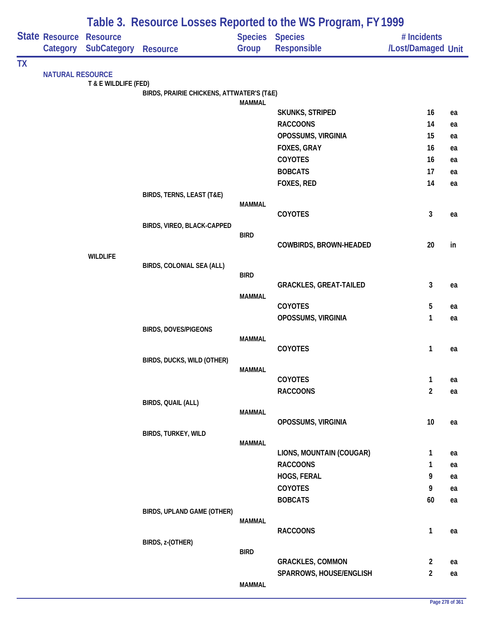|           |                         | Table 3. Resource Losses Reported to the WS Program, FY 1999 |                                           |                |                                             |                    |          |  |  |
|-----------|-------------------------|--------------------------------------------------------------|-------------------------------------------|----------------|---------------------------------------------|--------------------|----------|--|--|
|           | State Resource          | <b>Resource</b>                                              |                                           | <b>Species</b> | <b>Species</b>                              | # Incidents        |          |  |  |
|           | Category                | <b>SubCategory</b>                                           | <b>Resource</b>                           | Group          | Responsible                                 | /Lost/Damaged Unit |          |  |  |
| <b>TX</b> |                         |                                                              |                                           |                |                                             |                    |          |  |  |
|           | <b>NATURAL RESOURCE</b> |                                                              |                                           |                |                                             |                    |          |  |  |
|           |                         | T & E WILDLIFE (FED)                                         | BIRDS, PRAIRIE CHICKENS, ATTWATER'S (T&E) |                |                                             |                    |          |  |  |
|           |                         |                                                              |                                           | <b>MAMMAL</b>  |                                             |                    |          |  |  |
|           |                         |                                                              |                                           |                | <b>SKUNKS, STRIPED</b>                      | 16                 | ea       |  |  |
|           |                         |                                                              |                                           |                | <b>RACCOONS</b>                             | 14                 | ea       |  |  |
|           |                         |                                                              |                                           |                | OPOSSUMS, VIRGINIA                          | 15                 | ea       |  |  |
|           |                         |                                                              |                                           |                | FOXES, GRAY                                 | 16                 | ea       |  |  |
|           |                         |                                                              |                                           |                | COYOTES                                     | 16                 | ea       |  |  |
|           |                         |                                                              |                                           |                | <b>BOBCATS</b>                              | 17                 | ea       |  |  |
|           |                         |                                                              |                                           |                | FOXES, RED                                  | 14                 | ea       |  |  |
|           |                         |                                                              | BIRDS, TERNS, LEAST (T&E)                 | <b>MAMMAL</b>  |                                             |                    |          |  |  |
|           |                         |                                                              |                                           |                | COYOTES                                     | 3                  | ea       |  |  |
|           |                         |                                                              | BIRDS, VIREO, BLACK-CAPPED                |                |                                             |                    |          |  |  |
|           |                         |                                                              |                                           | <b>BIRD</b>    |                                             |                    |          |  |  |
|           |                         |                                                              |                                           |                | <b>COWBIRDS, BROWN-HEADED</b>               | 20                 | in       |  |  |
|           |                         | <b>WILDLIFE</b>                                              | BIRDS, COLONIAL SEA (ALL)                 |                |                                             |                    |          |  |  |
|           |                         |                                                              |                                           | <b>BIRD</b>    |                                             |                    |          |  |  |
|           |                         |                                                              |                                           |                | <b>GRACKLES, GREAT-TAILED</b>               | 3                  | ea       |  |  |
|           |                         |                                                              |                                           | <b>MAMMAL</b>  |                                             |                    |          |  |  |
|           |                         |                                                              |                                           |                | COYOTES                                     | 5                  | ea       |  |  |
|           |                         |                                                              |                                           |                | OPOSSUMS, VIRGINIA                          | 1                  | ea       |  |  |
|           |                         |                                                              | <b>BIRDS, DOVES/PIGEONS</b>               | <b>MAMMAL</b>  |                                             |                    |          |  |  |
|           |                         |                                                              |                                           |                | <b>COYOTES</b>                              | 1                  | ea       |  |  |
|           |                         |                                                              | BIRDS, DUCKS, WILD (OTHER)                |                |                                             |                    |          |  |  |
|           |                         |                                                              |                                           | <b>MAMMAL</b>  |                                             |                    |          |  |  |
|           |                         |                                                              |                                           |                | COYOTES                                     | $\mathbf{1}$       | ea       |  |  |
|           |                         |                                                              |                                           |                | <b>RACCOONS</b>                             | $\overline{2}$     | ea       |  |  |
|           |                         |                                                              | BIRDS, QUAIL (ALL)                        | <b>MAMMAL</b>  |                                             |                    |          |  |  |
|           |                         |                                                              |                                           |                | OPOSSUMS, VIRGINIA                          | 10                 | ea       |  |  |
|           |                         |                                                              | BIRDS, TURKEY, WILD                       |                |                                             |                    |          |  |  |
|           |                         |                                                              |                                           | <b>MAMMAL</b>  |                                             |                    |          |  |  |
|           |                         |                                                              |                                           |                | LIONS, MOUNTAIN (COUGAR)<br><b>RACCOONS</b> | 1                  | ea       |  |  |
|           |                         |                                                              |                                           |                | HOGS, FERAL                                 | 1<br>9             | ea       |  |  |
|           |                         |                                                              |                                           |                | COYOTES                                     | 9                  | ea       |  |  |
|           |                         |                                                              |                                           |                | <b>BOBCATS</b>                              | 60                 | ea<br>ea |  |  |
|           |                         |                                                              | BIRDS, UPLAND GAME (OTHER)                |                |                                             |                    |          |  |  |
|           |                         |                                                              |                                           | <b>MAMMAL</b>  |                                             |                    |          |  |  |
|           |                         |                                                              |                                           |                | <b>RACCOONS</b>                             | 1                  | ea       |  |  |
|           |                         |                                                              | BIRDS, z-(OTHER)                          |                |                                             |                    |          |  |  |
|           |                         |                                                              |                                           | <b>BIRD</b>    | <b>GRACKLES, COMMON</b>                     | $\overline{2}$     | ea       |  |  |
|           |                         |                                                              |                                           |                | SPARROWS, HOUSE/ENGLISH                     | $\overline{2}$     | ea       |  |  |
|           |                         |                                                              |                                           | <b>MAMMAL</b>  |                                             |                    |          |  |  |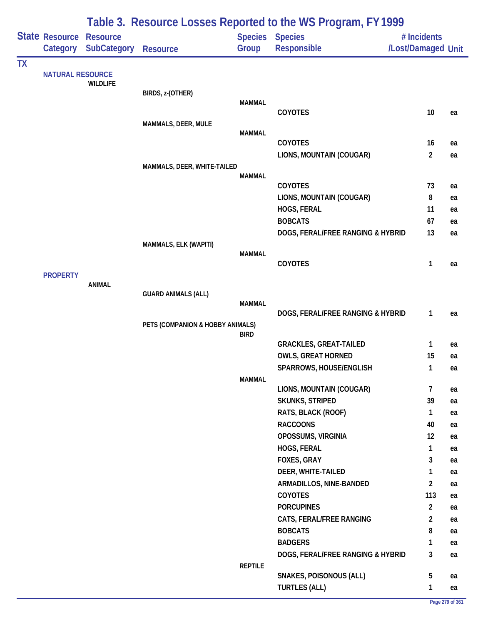|           |                         |                    |                                  |                | Table 3. Resource Losses Reported to the WS Program, FY 1999 |                    |          |
|-----------|-------------------------|--------------------|----------------------------------|----------------|--------------------------------------------------------------|--------------------|----------|
|           | State Resource          | <b>Resource</b>    |                                  |                | <b>Species Species</b>                                       | # Incidents        |          |
|           | Category                | <b>SubCategory</b> | <b>Resource</b>                  | Group          | Responsible                                                  | /Lost/Damaged Unit |          |
| <b>TX</b> | <b>NATURAL RESOURCE</b> |                    |                                  |                |                                                              |                    |          |
|           |                         | <b>WILDLIFE</b>    |                                  |                |                                                              |                    |          |
|           |                         |                    | BIRDS, z-(OTHER)                 |                |                                                              |                    |          |
|           |                         |                    |                                  | <b>MAMMAL</b>  | <b>COYOTES</b>                                               | 10                 | ea       |
|           |                         |                    | MAMMALS, DEER, MULE              |                |                                                              |                    |          |
|           |                         |                    |                                  | <b>MAMMAL</b>  |                                                              |                    |          |
|           |                         |                    |                                  |                | <b>COYOTES</b>                                               | 16                 | ea       |
|           |                         |                    |                                  |                | LIONS, MOUNTAIN (COUGAR)                                     | $\overline{2}$     | ea       |
|           |                         |                    | MAMMALS, DEER, WHITE-TAILED      |                |                                                              |                    |          |
|           |                         |                    |                                  | <b>MAMMAL</b>  | <b>COYOTES</b>                                               | 73                 |          |
|           |                         |                    |                                  |                | LIONS, MOUNTAIN (COUGAR)                                     | 8                  | ea<br>ea |
|           |                         |                    |                                  |                | HOGS, FERAL                                                  | 11                 | ea       |
|           |                         |                    |                                  |                | <b>BOBCATS</b>                                               | 67                 | ea       |
|           |                         |                    |                                  |                | DOGS, FERAL/FREE RANGING & HYBRID                            | 13                 | ea       |
|           |                         |                    | MAMMALS, ELK (WAPITI)            |                |                                                              |                    |          |
|           |                         |                    |                                  | <b>MAMMAL</b>  |                                                              |                    |          |
|           |                         |                    |                                  |                | <b>COYOTES</b>                                               | $\mathbf{1}$       | ea       |
|           | <b>PROPERTY</b>         |                    |                                  |                |                                                              |                    |          |
|           |                         | <b>ANIMAL</b>      | <b>GUARD ANIMALS (ALL)</b>       |                |                                                              |                    |          |
|           |                         |                    |                                  | <b>MAMMAL</b>  |                                                              |                    |          |
|           |                         |                    |                                  |                | DOGS, FERAL/FREE RANGING & HYBRID                            | 1                  | ea       |
|           |                         |                    | PETS (COMPANION & HOBBY ANIMALS) |                |                                                              |                    |          |
|           |                         |                    |                                  | <b>BIRD</b>    | <b>GRACKLES, GREAT-TAILED</b>                                | 1                  |          |
|           |                         |                    |                                  |                | <b>OWLS, GREAT HORNED</b>                                    | 15                 | ea<br>ea |
|           |                         |                    |                                  |                | SPARROWS, HOUSE/ENGLISH                                      | 1                  | ea       |
|           |                         |                    |                                  | <b>MAMMAL</b>  |                                                              |                    |          |
|           |                         |                    |                                  |                | LIONS, MOUNTAIN (COUGAR)                                     | $\overline{7}$     | ea       |
|           |                         |                    |                                  |                | <b>SKUNKS, STRIPED</b>                                       | 39                 | ea       |
|           |                         |                    |                                  |                | RATS, BLACK (ROOF)                                           | $\mathbf{1}$       | ea       |
|           |                         |                    |                                  |                | <b>RACCOONS</b>                                              | 40                 | ea       |
|           |                         |                    |                                  |                | OPOSSUMS, VIRGINIA                                           | 12                 | ea       |
|           |                         |                    |                                  |                | HOGS, FERAL                                                  | $\mathbf{1}$       | ea       |
|           |                         |                    |                                  |                | FOXES, GRAY                                                  | 3                  | ea       |
|           |                         |                    |                                  |                | DEER, WHITE-TAILED                                           | 1                  | ea       |
|           |                         |                    |                                  |                | ARMADILLOS, NINE-BANDED                                      | $\overline{2}$     | ea       |
|           |                         |                    |                                  |                | <b>COYOTES</b>                                               | 113                | ea       |
|           |                         |                    |                                  |                | <b>PORCUPINES</b>                                            | $\overline{2}$     | ea       |
|           |                         |                    |                                  |                | CATS, FERAL/FREE RANGING                                     | $\overline{2}$     | ea       |
|           |                         |                    |                                  |                | <b>BOBCATS</b>                                               | 8                  | ea       |
|           |                         |                    |                                  |                | <b>BADGERS</b>                                               | 1                  | ea       |
|           |                         |                    |                                  |                | DOGS, FERAL/FREE RANGING & HYBRID                            | 3                  | ea       |
|           |                         |                    |                                  | <b>REPTILE</b> |                                                              |                    |          |
|           |                         |                    |                                  |                | <b>SNAKES, POISONOUS (ALL)</b>                               | 5                  | ea       |
|           |                         |                    |                                  |                | <b>TURTLES (ALL)</b>                                         | $\mathbf{1}$       | ea       |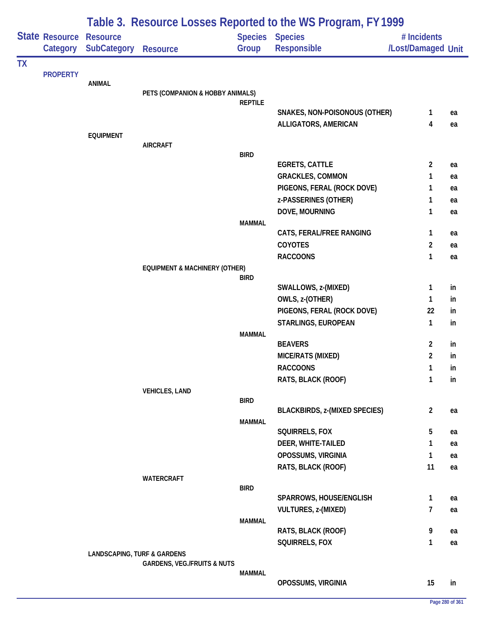|           |                            | Table 3. Resource Losses Reported to the WS Program, FY 1999 |                                          |                |                                              |                                   |          |  |  |
|-----------|----------------------------|--------------------------------------------------------------|------------------------------------------|----------------|----------------------------------------------|-----------------------------------|----------|--|--|
|           | State Resource<br>Category | <b>Resource</b><br><b>SubCategory</b>                        | <b>Resource</b>                          | Group          | <b>Species Species</b><br><b>Responsible</b> | # Incidents<br>/Lost/Damaged Unit |          |  |  |
| <b>TX</b> |                            |                                                              |                                          |                |                                              |                                   |          |  |  |
|           | <b>PROPERTY</b>            | <b>ANIMAL</b>                                                |                                          |                |                                              |                                   |          |  |  |
|           |                            |                                                              | PETS (COMPANION & HOBBY ANIMALS)         |                |                                              |                                   |          |  |  |
|           |                            |                                                              |                                          | <b>REPTILE</b> |                                              |                                   |          |  |  |
|           |                            |                                                              |                                          |                | SNAKES, NON-POISONOUS (OTHER)                | 1                                 | ea       |  |  |
|           |                            |                                                              |                                          |                | ALLIGATORS, AMERICAN                         | 4                                 | ea       |  |  |
|           |                            | <b>EQUIPMENT</b>                                             | <b>AIRCRAFT</b>                          |                |                                              |                                   |          |  |  |
|           |                            |                                                              |                                          | <b>BIRD</b>    |                                              |                                   |          |  |  |
|           |                            |                                                              |                                          |                | <b>EGRETS, CATTLE</b>                        | 2                                 | ea       |  |  |
|           |                            |                                                              |                                          |                | <b>GRACKLES, COMMON</b>                      | 1                                 | ea       |  |  |
|           |                            |                                                              |                                          |                | PIGEONS, FERAL (ROCK DOVE)                   | 1                                 | ea       |  |  |
|           |                            |                                                              |                                          |                | z-PASSERINES (OTHER)                         | 1                                 | ea       |  |  |
|           |                            |                                                              |                                          |                | DOVE, MOURNING                               | 1                                 | ea       |  |  |
|           |                            |                                                              |                                          | <b>MAMMAL</b>  | CATS, FERAL/FREE RANGING                     | 1                                 |          |  |  |
|           |                            |                                                              |                                          |                | COYOTES                                      | 2                                 | ea<br>ea |  |  |
|           |                            |                                                              |                                          |                | <b>RACCOONS</b>                              | 1                                 | ea       |  |  |
|           |                            |                                                              | <b>EQUIPMENT &amp; MACHINERY (OTHER)</b> |                |                                              |                                   |          |  |  |
|           |                            |                                                              |                                          | BIRD           |                                              |                                   |          |  |  |
|           |                            |                                                              |                                          |                | SWALLOWS, z-(MIXED)                          | 1                                 | in       |  |  |
|           |                            |                                                              |                                          |                | OWLS, z-(OTHER)                              | 1                                 | in       |  |  |
|           |                            |                                                              |                                          |                | PIGEONS, FERAL (ROCK DOVE)                   | 22                                | in       |  |  |
|           |                            |                                                              |                                          |                | STARLINGS, EUROPEAN                          | 1                                 | in       |  |  |
|           |                            |                                                              |                                          | <b>MAMMAL</b>  |                                              |                                   |          |  |  |
|           |                            |                                                              |                                          |                | <b>BEAVERS</b>                               | 2<br>$\overline{c}$               | in       |  |  |
|           |                            |                                                              |                                          |                | MICE/RATS (MIXED)<br><b>RACCOONS</b>         | 1                                 | in       |  |  |
|           |                            |                                                              |                                          |                | RATS, BLACK (ROOF)                           | 1                                 | in<br>in |  |  |
|           |                            |                                                              | <b>VEHICLES, LAND</b>                    |                |                                              |                                   |          |  |  |
|           |                            |                                                              |                                          | <b>BIRD</b>    |                                              |                                   |          |  |  |
|           |                            |                                                              |                                          |                | <b>BLACKBIRDS, z-(MIXED SPECIES)</b>         | $\overline{c}$                    | ea       |  |  |
|           |                            |                                                              |                                          | <b>MAMMAL</b>  |                                              |                                   |          |  |  |
|           |                            |                                                              |                                          |                | SQUIRRELS, FOX                               | 5                                 | ea       |  |  |
|           |                            |                                                              |                                          |                | DEER, WHITE-TAILED                           | 1                                 | ea       |  |  |
|           |                            |                                                              |                                          |                | OPOSSUMS, VIRGINIA                           | 1                                 | ea       |  |  |
|           |                            |                                                              | <b>WATERCRAFT</b>                        |                | RATS, BLACK (ROOF)                           | 11                                | ea       |  |  |
|           |                            |                                                              |                                          | <b>BIRD</b>    |                                              |                                   |          |  |  |
|           |                            |                                                              |                                          |                | SPARROWS, HOUSE/ENGLISH                      | 1                                 | ea       |  |  |
|           |                            |                                                              |                                          |                | <b>VULTURES, z-(MIXED)</b>                   | 7                                 | ea       |  |  |
|           |                            |                                                              |                                          | <b>MAMMAL</b>  |                                              |                                   |          |  |  |
|           |                            |                                                              |                                          |                | RATS, BLACK (ROOF)                           | 9                                 | ea       |  |  |
|           |                            |                                                              |                                          |                | SQUIRRELS, FOX                               | 1                                 | ea       |  |  |
|           |                            | <b>LANDSCAPING, TURF &amp; GARDENS</b>                       | <b>GARDENS, VEG./FRUITS &amp; NUTS</b>   |                |                                              |                                   |          |  |  |
|           |                            |                                                              |                                          | <b>MAMMAL</b>  |                                              |                                   |          |  |  |
|           |                            |                                                              |                                          |                | OPOSSUMS, VIRGINIA                           | 15                                | in       |  |  |
|           |                            |                                                              |                                          |                |                                              |                                   |          |  |  |

÷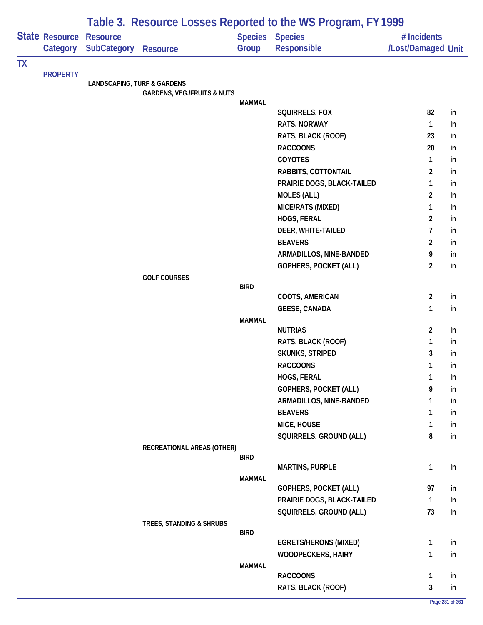|           |                            |                                        |                                        |               | Table 3. Resource Losses Reported to the WS Program, FY 1999 |                                   |          |
|-----------|----------------------------|----------------------------------------|----------------------------------------|---------------|--------------------------------------------------------------|-----------------------------------|----------|
|           | State Resource<br>Category | <b>Resource</b><br><b>SubCategory</b>  | <b>Resource</b>                        | Group         | Species Species<br>Responsible                               | # Incidents<br>/Lost/Damaged Unit |          |
| <b>TX</b> |                            |                                        |                                        |               |                                                              |                                   |          |
|           | <b>PROPERTY</b>            | <b>LANDSCAPING, TURF &amp; GARDENS</b> |                                        |               |                                                              |                                   |          |
|           |                            |                                        | <b>GARDENS, VEG./FRUITS &amp; NUTS</b> |               |                                                              |                                   |          |
|           |                            |                                        |                                        | <b>MAMMAL</b> |                                                              |                                   |          |
|           |                            |                                        |                                        |               | SQUIRRELS, FOX                                               | 82                                | in       |
|           |                            |                                        |                                        |               | RATS, NORWAY                                                 | 1                                 | in       |
|           |                            |                                        |                                        |               | RATS, BLACK (ROOF)                                           | 23                                | in       |
|           |                            |                                        |                                        |               | <b>RACCOONS</b>                                              | 20                                | in       |
|           |                            |                                        |                                        |               | COYOTES                                                      | 1                                 | in       |
|           |                            |                                        |                                        |               | RABBITS, COTTONTAIL                                          | $\overline{c}$                    | in       |
|           |                            |                                        |                                        |               | PRAIRIE DOGS, BLACK-TAILED<br><b>MOLES (ALL)</b>             | 1<br>$\overline{c}$               | in<br>in |
|           |                            |                                        |                                        |               | MICE/RATS (MIXED)                                            | 1                                 | in       |
|           |                            |                                        |                                        |               | HOGS, FERAL                                                  | $\overline{2}$                    | in       |
|           |                            |                                        |                                        |               | DEER, WHITE-TAILED                                           | 7                                 | in       |
|           |                            |                                        |                                        |               | <b>BEAVERS</b>                                               | $\overline{2}$                    | in       |
|           |                            |                                        |                                        |               | ARMADILLOS, NINE-BANDED                                      | 9                                 | in       |
|           |                            |                                        |                                        |               | GOPHERS, POCKET (ALL)                                        | $\overline{c}$                    | in       |
|           |                            |                                        | <b>GOLF COURSES</b>                    |               |                                                              |                                   |          |
|           |                            |                                        |                                        | <b>BIRD</b>   |                                                              |                                   |          |
|           |                            |                                        |                                        |               | COOTS, AMERICAN                                              | $\overline{2}$                    | in       |
|           |                            |                                        |                                        |               | <b>GEESE, CANADA</b>                                         | $\mathbf{1}$                      | in       |
|           |                            |                                        |                                        | <b>MAMMAL</b> | <b>NUTRIAS</b>                                               | $\overline{2}$                    | in       |
|           |                            |                                        |                                        |               | RATS, BLACK (ROOF)                                           | 1                                 | in       |
|           |                            |                                        |                                        |               | <b>SKUNKS, STRIPED</b>                                       | 3                                 | in       |
|           |                            |                                        |                                        |               | <b>RACCOONS</b>                                              | 1                                 | in       |
|           |                            |                                        |                                        |               | HOGS, FERAL                                                  | 1                                 | in       |
|           |                            |                                        |                                        |               | GOPHERS, POCKET (ALL)                                        | 9                                 | in       |
|           |                            |                                        |                                        |               | ARMADILLOS, NINE-BANDED                                      | 1                                 | in       |
|           |                            |                                        |                                        |               | <b>BEAVERS</b>                                               | 1                                 | in       |
|           |                            |                                        |                                        |               | MICE, HOUSE                                                  | 1                                 | in       |
|           |                            |                                        |                                        |               | SQUIRRELS, GROUND (ALL)                                      | 8                                 | in       |
|           |                            |                                        | RECREATIONAL AREAS (OTHER)             |               |                                                              |                                   |          |
|           |                            |                                        |                                        | <b>BIRD</b>   |                                                              |                                   |          |
|           |                            |                                        |                                        |               | <b>MARTINS, PURPLE</b>                                       | $\mathbf{1}$                      | in       |
|           |                            |                                        |                                        | <b>MAMMAL</b> | <b>GOPHERS, POCKET (ALL)</b>                                 | 97                                | in       |
|           |                            |                                        |                                        |               | PRAIRIE DOGS, BLACK-TAILED                                   | $\mathbf{1}$                      | in       |
|           |                            |                                        |                                        |               | SQUIRRELS, GROUND (ALL)                                      | 73                                | in       |
|           |                            |                                        | TREES, STANDING & SHRUBS               |               |                                                              |                                   |          |
|           |                            |                                        |                                        | <b>BIRD</b>   |                                                              |                                   |          |
|           |                            |                                        |                                        |               | <b>EGRETS/HERONS (MIXED)</b>                                 | 1                                 | in       |
|           |                            |                                        |                                        |               | <b>WOODPECKERS, HAIRY</b>                                    | 1                                 | in       |
|           |                            |                                        |                                        | <b>MAMMAL</b> | <b>RACCOONS</b>                                              |                                   |          |
|           |                            |                                        |                                        |               |                                                              | 1                                 | in       |
|           |                            |                                        |                                        |               | RATS, BLACK (ROOF)                                           | 3                                 | in       |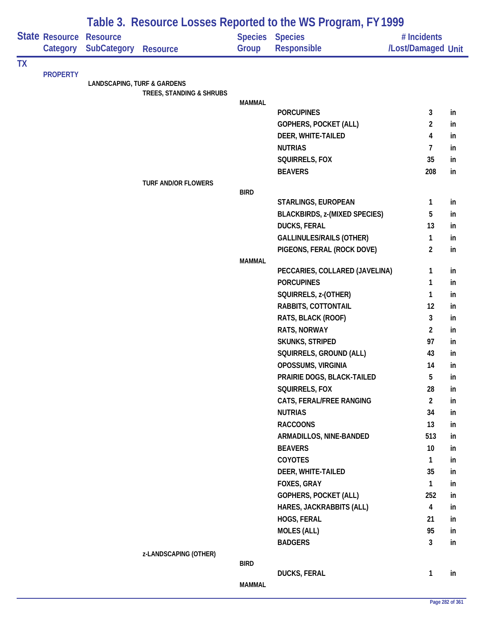|           |                            | Table 3. Resource Losses Reported to the WS Program, FY 1999 |                            |               |                                       |                                   |                 |  |  |
|-----------|----------------------------|--------------------------------------------------------------|----------------------------|---------------|---------------------------------------|-----------------------------------|-----------------|--|--|
|           | State Resource<br>Category | <b>Resource</b><br><b>SubCategory</b>                        | <b>Resource</b>            | Group         | Species Species<br><b>Responsible</b> | # Incidents<br>/Lost/Damaged Unit |                 |  |  |
| <b>TX</b> |                            |                                                              |                            |               |                                       |                                   |                 |  |  |
|           | <b>PROPERTY</b>            | <b>LANDSCAPING, TURF &amp; GARDENS</b>                       |                            |               |                                       |                                   |                 |  |  |
|           |                            |                                                              | TREES, STANDING & SHRUBS   |               |                                       |                                   |                 |  |  |
|           |                            |                                                              |                            | <b>MAMMAL</b> |                                       |                                   |                 |  |  |
|           |                            |                                                              |                            |               | <b>PORCUPINES</b>                     | 3                                 | in              |  |  |
|           |                            |                                                              |                            |               | GOPHERS, POCKET (ALL)                 | 2                                 | in              |  |  |
|           |                            |                                                              |                            |               | DEER, WHITE-TAILED                    | 4                                 | in              |  |  |
|           |                            |                                                              |                            |               | <b>NUTRIAS</b>                        | 7                                 | in              |  |  |
|           |                            |                                                              |                            |               | SQUIRRELS, FOX                        | 35                                | in              |  |  |
|           |                            |                                                              |                            |               | <b>BEAVERS</b>                        | 208                               | in              |  |  |
|           |                            |                                                              | <b>TURF AND/OR FLOWERS</b> | <b>BIRD</b>   |                                       |                                   |                 |  |  |
|           |                            |                                                              |                            |               | STARLINGS, EUROPEAN                   | 1                                 | in              |  |  |
|           |                            |                                                              |                            |               | <b>BLACKBIRDS, z-(MIXED SPECIES)</b>  | 5                                 | in              |  |  |
|           |                            |                                                              |                            |               | <b>DUCKS, FERAL</b>                   | 13                                | in              |  |  |
|           |                            |                                                              |                            |               | <b>GALLINULES/RAILS (OTHER)</b>       | 1                                 | in              |  |  |
|           |                            |                                                              |                            |               | PIGEONS, FERAL (ROCK DOVE)            | $\overline{2}$                    | in              |  |  |
|           |                            |                                                              |                            | <b>MAMMAL</b> |                                       |                                   |                 |  |  |
|           |                            |                                                              |                            |               | PECCARIES, COLLARED (JAVELINA)        | 1                                 | in              |  |  |
|           |                            |                                                              |                            |               | <b>PORCUPINES</b>                     | 1                                 | in              |  |  |
|           |                            |                                                              |                            |               | SQUIRRELS, z-(OTHER)                  | 1                                 | in              |  |  |
|           |                            |                                                              |                            |               | RABBITS, COTTONTAIL                   | 12                                | in              |  |  |
|           |                            |                                                              |                            |               | RATS, BLACK (ROOF)                    | 3                                 | in              |  |  |
|           |                            |                                                              |                            |               | RATS, NORWAY                          | $\overline{2}$                    | in              |  |  |
|           |                            |                                                              |                            |               | SKUNKS, STRIPED                       | 97                                | in              |  |  |
|           |                            |                                                              |                            |               | SQUIRRELS, GROUND (ALL)               | 43                                | in              |  |  |
|           |                            |                                                              |                            |               | OPOSSUMS, VIRGINIA                    | 14                                | in              |  |  |
|           |                            |                                                              |                            |               | PRAIRIE DOGS, BLACK-TAILED            | 5                                 | in              |  |  |
|           |                            |                                                              |                            |               | SQUIRRELS, FOX                        | 28                                | in              |  |  |
|           |                            |                                                              |                            |               | CATS, FERAL/FREE RANGING              | $\overline{2}$                    | in              |  |  |
|           |                            |                                                              |                            |               | <b>NUTRIAS</b>                        | 34                                | in              |  |  |
|           |                            |                                                              |                            |               | <b>RACCOONS</b>                       | 13                                | in              |  |  |
|           |                            |                                                              |                            |               | ARMADILLOS, NINE-BANDED               | 513                               | in              |  |  |
|           |                            |                                                              |                            |               | <b>BEAVERS</b>                        | 10                                | in              |  |  |
|           |                            |                                                              |                            |               | <b>COYOTES</b>                        | $\mathbf{1}$                      | in              |  |  |
|           |                            |                                                              |                            |               | DEER, WHITE-TAILED                    | 35                                | in              |  |  |
|           |                            |                                                              |                            |               | FOXES, GRAY                           | 1                                 | in              |  |  |
|           |                            |                                                              |                            |               | <b>GOPHERS, POCKET (ALL)</b>          | 252                               | in              |  |  |
|           |                            |                                                              |                            |               | HARES, JACKRABBITS (ALL)              | $\overline{\mathbf{4}}$           | in              |  |  |
|           |                            |                                                              |                            |               | HOGS, FERAL                           | 21                                | in              |  |  |
|           |                            |                                                              |                            |               | <b>MOLES (ALL)</b>                    | 95                                | in              |  |  |
|           |                            |                                                              |                            |               | <b>BADGERS</b>                        | $\overline{3}$                    | in              |  |  |
|           |                            |                                                              | z-LANDSCAPING (OTHER)      |               |                                       |                                   |                 |  |  |
|           |                            |                                                              |                            | <b>BIRD</b>   |                                       |                                   |                 |  |  |
|           |                            |                                                              |                            | <b>MAMMAL</b> | <b>DUCKS, FERAL</b>                   | $\mathbf{1}$                      | in              |  |  |
|           |                            |                                                              |                            |               |                                       |                                   |                 |  |  |
|           |                            |                                                              |                            |               |                                       |                                   | Page 282 of 361 |  |  |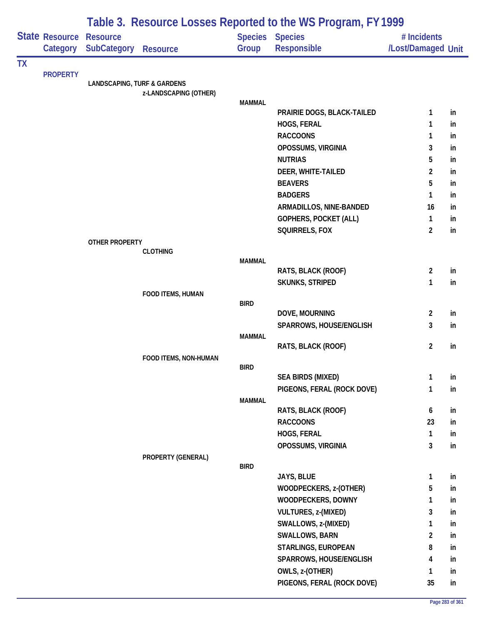|           |                            | Table 3. Resource Losses Reported to the WS Program, FY1999 |                       |                         |                               |                                   |    |  |  |
|-----------|----------------------------|-------------------------------------------------------------|-----------------------|-------------------------|-------------------------------|-----------------------------------|----|--|--|
|           | State Resource<br>Category | <b>Resource</b><br><b>SubCategory</b>                       | <b>Resource</b>       | <b>Species</b><br>Group | <b>Species</b><br>Responsible | # Incidents<br>/Lost/Damaged Unit |    |  |  |
| <b>TX</b> |                            |                                                             |                       |                         |                               |                                   |    |  |  |
|           | <b>PROPERTY</b>            | <b>LANDSCAPING, TURF &amp; GARDENS</b>                      |                       |                         |                               |                                   |    |  |  |
|           |                            |                                                             | z-LANDSCAPING (OTHER) |                         |                               |                                   |    |  |  |
|           |                            |                                                             |                       | <b>MAMMAL</b>           |                               |                                   |    |  |  |
|           |                            |                                                             |                       |                         | PRAIRIE DOGS, BLACK-TAILED    | 1                                 | in |  |  |
|           |                            |                                                             |                       |                         | HOGS, FERAL                   | 1                                 | in |  |  |
|           |                            |                                                             |                       |                         | <b>RACCOONS</b>               | 1                                 | in |  |  |
|           |                            |                                                             |                       |                         | OPOSSUMS, VIRGINIA            | 3                                 | in |  |  |
|           |                            |                                                             |                       |                         | <b>NUTRIAS</b>                | 5                                 | in |  |  |
|           |                            |                                                             |                       |                         | DEER, WHITE-TAILED            | $\overline{c}$                    | in |  |  |
|           |                            |                                                             |                       |                         | <b>BEAVERS</b>                | 5                                 | in |  |  |
|           |                            |                                                             |                       |                         | <b>BADGERS</b>                | 1                                 | in |  |  |
|           |                            |                                                             |                       |                         | ARMADILLOS, NINE-BANDED       | 16                                | in |  |  |
|           |                            |                                                             |                       |                         | <b>GOPHERS, POCKET (ALL)</b>  | 1                                 | in |  |  |
|           |                            |                                                             |                       |                         | SQUIRRELS, FOX                | $\overline{2}$                    | in |  |  |
|           |                            | <b>OTHER PROPERTY</b>                                       | <b>CLOTHING</b>       |                         |                               |                                   |    |  |  |
|           |                            |                                                             |                       | <b>MAMMAL</b>           |                               |                                   |    |  |  |
|           |                            |                                                             |                       |                         | RATS, BLACK (ROOF)            | $\overline{2}$                    | in |  |  |
|           |                            |                                                             |                       |                         | <b>SKUNKS, STRIPED</b>        | 1                                 | in |  |  |
|           |                            |                                                             | FOOD ITEMS, HUMAN     |                         |                               |                                   |    |  |  |
|           |                            |                                                             |                       | <b>BIRD</b>             |                               |                                   |    |  |  |
|           |                            |                                                             |                       |                         | DOVE, MOURNING                | $\overline{2}$<br>3               | in |  |  |
|           |                            |                                                             |                       | <b>MAMMAL</b>           | SPARROWS, HOUSE/ENGLISH       |                                   | in |  |  |
|           |                            |                                                             |                       |                         | RATS, BLACK (ROOF)            | $\overline{2}$                    | in |  |  |
|           |                            |                                                             | FOOD ITEMS, NON-HUMAN |                         |                               |                                   |    |  |  |
|           |                            |                                                             |                       | BIRD                    |                               |                                   |    |  |  |
|           |                            |                                                             |                       |                         | <b>SEA BIRDS (MIXED)</b>      | 1                                 | in |  |  |
|           |                            |                                                             |                       |                         | PIGEONS, FERAL (ROCK DOVE)    | 1                                 | in |  |  |
|           |                            |                                                             |                       | <b>MAMMAL</b>           |                               |                                   |    |  |  |
|           |                            |                                                             |                       |                         | RATS, BLACK (ROOF)            | 6                                 | in |  |  |
|           |                            |                                                             |                       |                         | <b>RACCOONS</b>               | 23                                | in |  |  |
|           |                            |                                                             |                       |                         | HOGS, FERAL                   | $\mathbf{1}$                      | in |  |  |
|           |                            |                                                             |                       |                         | OPOSSUMS, VIRGINIA            | $\mathbf{3}$                      | in |  |  |
|           |                            |                                                             | PROPERTY (GENERAL)    | <b>BIRD</b>             |                               |                                   |    |  |  |
|           |                            |                                                             |                       |                         | JAYS, BLUE                    | 1                                 | in |  |  |
|           |                            |                                                             |                       |                         | WOODPECKERS, z-(OTHER)        | 5                                 | in |  |  |
|           |                            |                                                             |                       |                         | WOODPECKERS, DOWNY            | 1                                 | in |  |  |
|           |                            |                                                             |                       |                         | VULTURES, z-(MIXED)           | 3                                 | in |  |  |
|           |                            |                                                             |                       |                         | SWALLOWS, z-(MIXED)           | 1                                 | in |  |  |
|           |                            |                                                             |                       |                         | <b>SWALLOWS, BARN</b>         | $\overline{2}$                    | in |  |  |
|           |                            |                                                             |                       |                         | STARLINGS, EUROPEAN           | 8                                 | in |  |  |
|           |                            |                                                             |                       |                         | SPARROWS, HOUSE/ENGLISH       | 4                                 | in |  |  |
|           |                            |                                                             |                       |                         | OWLS, z-(OTHER)               | 1                                 | in |  |  |
|           |                            |                                                             |                       |                         | PIGEONS, FERAL (ROCK DOVE)    | 35                                | in |  |  |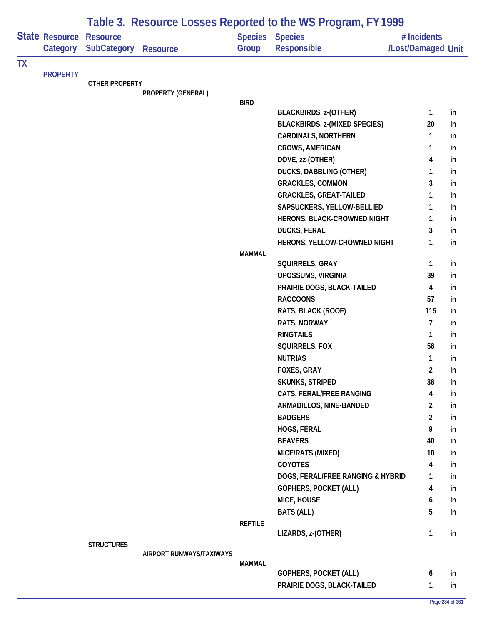|           |                            | Table 3. Resource Losses Reported to the WS Program, FY 1999 |                          |                |                                                    |                                   |          |  |  |
|-----------|----------------------------|--------------------------------------------------------------|--------------------------|----------------|----------------------------------------------------|-----------------------------------|----------|--|--|
|           | State Resource<br>Category | <b>Resource</b><br><b>SubCategory</b>                        | <b>Resource</b>          | Group          | <b>Species Species</b><br><b>Responsible</b>       | # Incidents<br>/Lost/Damaged Unit |          |  |  |
| <b>TX</b> |                            |                                                              |                          |                |                                                    |                                   |          |  |  |
|           | <b>PROPERTY</b>            | <b>OTHER PROPERTY</b>                                        |                          |                |                                                    |                                   |          |  |  |
|           |                            |                                                              | PROPERTY (GENERAL)       |                |                                                    |                                   |          |  |  |
|           |                            |                                                              |                          | <b>BIRD</b>    |                                                    |                                   |          |  |  |
|           |                            |                                                              |                          |                | <b>BLACKBIRDS, z-(OTHER)</b>                       | 1                                 | in       |  |  |
|           |                            |                                                              |                          |                | <b>BLACKBIRDS, z-(MIXED SPECIES)</b>               | 20                                | in       |  |  |
|           |                            |                                                              |                          |                | <b>CARDINALS, NORTHERN</b>                         | 1                                 | in       |  |  |
|           |                            |                                                              |                          |                | CROWS, AMERICAN                                    | 1                                 | in       |  |  |
|           |                            |                                                              |                          |                | DOVE, zz-(OTHER)                                   | 4                                 | in       |  |  |
|           |                            |                                                              |                          |                | <b>DUCKS, DABBLING (OTHER)</b>                     | 1                                 | in       |  |  |
|           |                            |                                                              |                          |                | <b>GRACKLES, COMMON</b>                            | 3                                 | in       |  |  |
|           |                            |                                                              |                          |                | <b>GRACKLES, GREAT-TAILED</b>                      | 1                                 | in       |  |  |
|           |                            |                                                              |                          |                | SAPSUCKERS, YELLOW-BELLIED                         | 1                                 | in       |  |  |
|           |                            |                                                              |                          |                | HERONS, BLACK-CROWNED NIGHT                        | 1                                 | in       |  |  |
|           |                            |                                                              |                          |                | <b>DUCKS, FERAL</b>                                | 3                                 | in       |  |  |
|           |                            |                                                              |                          |                | HERONS, YELLOW-CROWNED NIGHT                       | 1                                 | in       |  |  |
|           |                            |                                                              |                          | <b>MAMMAL</b>  |                                                    |                                   |          |  |  |
|           |                            |                                                              |                          |                | SQUIRRELS, GRAY                                    | $\mathbf{1}$                      | in       |  |  |
|           |                            |                                                              |                          |                | OPOSSUMS, VIRGINIA                                 | 39                                | in       |  |  |
|           |                            |                                                              |                          |                | PRAIRIE DOGS, BLACK-TAILED                         | $\overline{\mathbf{4}}$<br>57     | in       |  |  |
|           |                            |                                                              |                          |                | <b>RACCOONS</b>                                    | 115                               | in       |  |  |
|           |                            |                                                              |                          |                | RATS, BLACK (ROOF)                                 | $\overline{7}$                    | in       |  |  |
|           |                            |                                                              |                          |                | RATS, NORWAY<br><b>RINGTAILS</b>                   |                                   | in       |  |  |
|           |                            |                                                              |                          |                |                                                    | $\mathbf{1}$<br>58                | in       |  |  |
|           |                            |                                                              |                          |                | SQUIRRELS, FOX<br><b>NUTRIAS</b>                   |                                   | in       |  |  |
|           |                            |                                                              |                          |                | FOXES, GRAY                                        | $\mathbf{1}$                      | in       |  |  |
|           |                            |                                                              |                          |                |                                                    | 2<br>38                           | In.      |  |  |
|           |                            |                                                              |                          |                | <b>SKUNKS, STRIPED</b><br>CATS, FERAL/FREE RANGING | 4                                 | in       |  |  |
|           |                            |                                                              |                          |                | ARMADILLOS, NINE-BANDED                            | $\overline{2}$                    | in       |  |  |
|           |                            |                                                              |                          |                | <b>BADGERS</b>                                     | $\overline{2}$                    | in<br>in |  |  |
|           |                            |                                                              |                          |                | HOGS, FERAL                                        | 9                                 | in       |  |  |
|           |                            |                                                              |                          |                | <b>BEAVERS</b>                                     | 40                                | in       |  |  |
|           |                            |                                                              |                          |                | MICE/RATS (MIXED)                                  | 10                                | in       |  |  |
|           |                            |                                                              |                          |                | <b>COYOTES</b>                                     | $\overline{\mathbf{4}}$           | in       |  |  |
|           |                            |                                                              |                          |                | DOGS, FERAL/FREE RANGING & HYBRID                  | 1                                 | in       |  |  |
|           |                            |                                                              |                          |                | <b>GOPHERS, POCKET (ALL)</b>                       | 4                                 | in       |  |  |
|           |                            |                                                              |                          |                | MICE, HOUSE                                        | 6                                 | in       |  |  |
|           |                            |                                                              |                          |                | <b>BATS (ALL)</b>                                  | 5                                 | in       |  |  |
|           |                            |                                                              |                          | <b>REPTILE</b> |                                                    |                                   |          |  |  |
|           |                            |                                                              |                          |                | LIZARDS, z-(OTHER)                                 | $\mathbf{1}$                      | in       |  |  |
|           |                            | <b>STRUCTURES</b>                                            | AIRPORT RUNWAYS/TAXIWAYS |                |                                                    |                                   |          |  |  |
|           |                            |                                                              |                          | <b>MAMMAL</b>  |                                                    |                                   |          |  |  |
|           |                            |                                                              |                          |                | <b>GOPHERS, POCKET (ALL)</b>                       | 6                                 | in       |  |  |
|           |                            |                                                              |                          |                | PRAIRIE DOGS, BLACK-TAILED                         | $\mathbf{1}$                      | in       |  |  |
|           |                            |                                                              |                          |                |                                                    |                                   |          |  |  |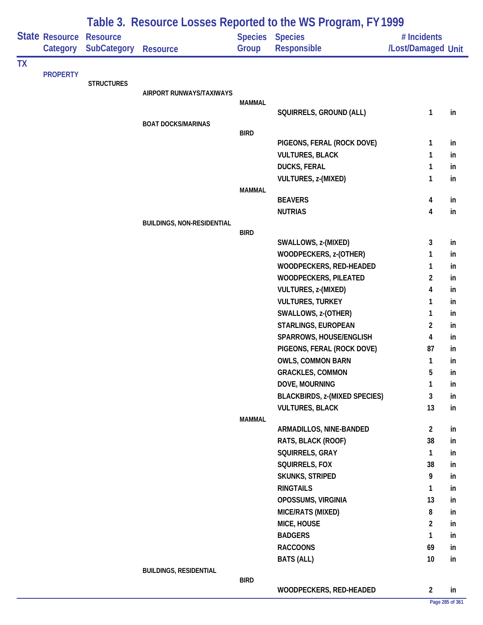|           |                                   |                                       | Table 3. Resource Losses Reported to the WS Program, FY 1999 |               |                                              |                                   |    |  |  |  |
|-----------|-----------------------------------|---------------------------------------|--------------------------------------------------------------|---------------|----------------------------------------------|-----------------------------------|----|--|--|--|
|           | <b>State Resource</b><br>Category | <b>Resource</b><br><b>SubCategory</b> | <b>Resource</b>                                              | Group         | <b>Species Species</b><br><b>Responsible</b> | # Incidents<br>/Lost/Damaged Unit |    |  |  |  |
| <b>TX</b> |                                   |                                       |                                                              |               |                                              |                                   |    |  |  |  |
|           | <b>PROPERTY</b>                   | <b>STRUCTURES</b>                     |                                                              |               |                                              |                                   |    |  |  |  |
|           |                                   |                                       | AIRPORT RUNWAYS/TAXIWAYS                                     |               |                                              |                                   |    |  |  |  |
|           |                                   |                                       |                                                              | <b>MAMMAL</b> |                                              |                                   |    |  |  |  |
|           |                                   |                                       |                                                              |               | SQUIRRELS, GROUND (ALL)                      | 1                                 | in |  |  |  |
|           |                                   |                                       | <b>BOAT DOCKS/MARINAS</b>                                    | <b>BIRD</b>   |                                              |                                   |    |  |  |  |
|           |                                   |                                       |                                                              |               | PIGEONS, FERAL (ROCK DOVE)                   | 1                                 | in |  |  |  |
|           |                                   |                                       |                                                              |               | <b>VULTURES, BLACK</b>                       | 1                                 | in |  |  |  |
|           |                                   |                                       |                                                              |               | <b>DUCKS, FERAL</b>                          | 1                                 | in |  |  |  |
|           |                                   |                                       |                                                              |               | VULTURES, z-(MIXED)                          | 1                                 | in |  |  |  |
|           |                                   |                                       |                                                              | <b>MAMMAL</b> |                                              |                                   |    |  |  |  |
|           |                                   |                                       |                                                              |               | <b>BEAVERS</b>                               | 4                                 | in |  |  |  |
|           |                                   |                                       |                                                              |               | <b>NUTRIAS</b>                               | 4                                 | in |  |  |  |
|           |                                   |                                       | <b>BUILDINGS, NON-RESIDENTIAL</b>                            |               |                                              |                                   |    |  |  |  |
|           |                                   |                                       |                                                              | <b>BIRD</b>   | SWALLOWS, z-(MIXED)                          | 3                                 | in |  |  |  |
|           |                                   |                                       |                                                              |               | WOODPECKERS, z-(OTHER)                       | 1                                 | in |  |  |  |
|           |                                   |                                       |                                                              |               | WOODPECKERS, RED-HEADED                      | 1                                 | in |  |  |  |
|           |                                   |                                       |                                                              |               | WOODPECKERS, PILEATED                        | 2                                 | in |  |  |  |
|           |                                   |                                       |                                                              |               | <b>VULTURES, z-(MIXED)</b>                   | 4                                 | in |  |  |  |
|           |                                   |                                       |                                                              |               | <b>VULTURES, TURKEY</b>                      | 1                                 | in |  |  |  |
|           |                                   |                                       |                                                              |               | SWALLOWS, z-(OTHER)                          | 1                                 | in |  |  |  |
|           |                                   |                                       |                                                              |               | STARLINGS, EUROPEAN                          | $\overline{c}$                    | in |  |  |  |
|           |                                   |                                       |                                                              |               | SPARROWS, HOUSE/ENGLISH                      | 4                                 | in |  |  |  |
|           |                                   |                                       |                                                              |               | PIGEONS, FERAL (ROCK DOVE)                   | 87                                | in |  |  |  |
|           |                                   |                                       |                                                              |               | <b>OWLS, COMMON BARN</b>                     | 1                                 | in |  |  |  |
|           |                                   |                                       |                                                              |               | <b>GRACKLES, COMMON</b>                      | 5                                 | in |  |  |  |
|           |                                   |                                       |                                                              |               | DOVE, MOURNING                               | $\mathbf{1}$                      | in |  |  |  |
|           |                                   |                                       |                                                              |               | <b>BLACKBIRDS, z-(MIXED SPECIES)</b>         | 3                                 | in |  |  |  |
|           |                                   |                                       |                                                              |               | <b>VULTURES, BLACK</b>                       | 13                                | in |  |  |  |
|           |                                   |                                       |                                                              | <b>MAMMAL</b> |                                              |                                   |    |  |  |  |
|           |                                   |                                       |                                                              |               | ARMADILLOS, NINE-BANDED                      | $\overline{2}$                    | in |  |  |  |
|           |                                   |                                       |                                                              |               | RATS, BLACK (ROOF)                           | 38                                | in |  |  |  |
|           |                                   |                                       |                                                              |               | SQUIRRELS, GRAY                              | 1                                 | in |  |  |  |
|           |                                   |                                       |                                                              |               | SQUIRRELS, FOX                               | 38                                | in |  |  |  |
|           |                                   |                                       |                                                              |               | SKUNKS, STRIPED                              | 9                                 | in |  |  |  |
|           |                                   |                                       |                                                              |               | <b>RINGTAILS</b>                             | 1                                 | in |  |  |  |
|           |                                   |                                       |                                                              |               | OPOSSUMS, VIRGINIA                           | 13                                | in |  |  |  |
|           |                                   |                                       |                                                              |               | MICE/RATS (MIXED)                            | 8                                 | in |  |  |  |
|           |                                   |                                       |                                                              |               | MICE, HOUSE                                  | $\overline{2}$                    | in |  |  |  |
|           |                                   |                                       |                                                              |               | <b>BADGERS</b>                               | 1                                 | in |  |  |  |
|           |                                   |                                       |                                                              |               | <b>RACCOONS</b>                              | 69                                | in |  |  |  |
|           |                                   |                                       |                                                              |               | <b>BATS (ALL)</b>                            | 10                                | in |  |  |  |
|           |                                   |                                       | <b>BUILDINGS, RESIDENTIAL</b>                                | <b>BIRD</b>   |                                              |                                   |    |  |  |  |
|           |                                   |                                       |                                                              |               | WOODPECKERS, RED-HEADED                      | $\overline{2}$                    | in |  |  |  |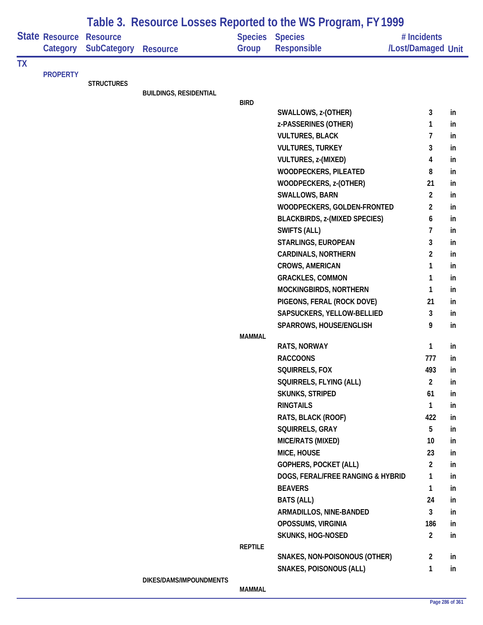|           |                                   | Table 3. Resource Losses Reported to the WS Program, FY 1999 |                               |                |                                       |                                   |     |  |  |  |
|-----------|-----------------------------------|--------------------------------------------------------------|-------------------------------|----------------|---------------------------------------|-----------------------------------|-----|--|--|--|
|           | <b>State Resource</b><br>Category | <b>Resource</b><br><b>SubCategory</b>                        | <b>Resource</b>               | Group          | Species Species<br><b>Responsible</b> | # Incidents<br>/Lost/Damaged Unit |     |  |  |  |
| <b>TX</b> |                                   |                                                              |                               |                |                                       |                                   |     |  |  |  |
|           | <b>PROPERTY</b>                   | <b>STRUCTURES</b>                                            |                               |                |                                       |                                   |     |  |  |  |
|           |                                   |                                                              | <b>BUILDINGS, RESIDENTIAL</b> |                |                                       |                                   |     |  |  |  |
|           |                                   |                                                              |                               | <b>BIRD</b>    |                                       |                                   |     |  |  |  |
|           |                                   |                                                              |                               |                | SWALLOWS, z-(OTHER)                   | 3                                 | in  |  |  |  |
|           |                                   |                                                              |                               |                | z-PASSERINES (OTHER)                  | 1                                 | in  |  |  |  |
|           |                                   |                                                              |                               |                | <b>VULTURES, BLACK</b>                | 7                                 | in  |  |  |  |
|           |                                   |                                                              |                               |                | <b>VULTURES, TURKEY</b>               | 3                                 | in  |  |  |  |
|           |                                   |                                                              |                               |                | VULTURES, z-(MIXED)                   | 4                                 | in  |  |  |  |
|           |                                   |                                                              |                               |                | WOODPECKERS, PILEATED                 | 8                                 | in  |  |  |  |
|           |                                   |                                                              |                               |                | WOODPECKERS, z-(OTHER)                | 21                                | in  |  |  |  |
|           |                                   |                                                              |                               |                | SWALLOWS, BARN                        | $\overline{2}$                    | in  |  |  |  |
|           |                                   |                                                              |                               |                | WOODPECKERS, GOLDEN-FRONTED           | $\overline{2}$                    | in  |  |  |  |
|           |                                   |                                                              |                               |                | <b>BLACKBIRDS, z-(MIXED SPECIES)</b>  | 6                                 | in  |  |  |  |
|           |                                   |                                                              |                               |                | <b>SWIFTS (ALL)</b>                   | 7                                 | in  |  |  |  |
|           |                                   |                                                              |                               |                | STARLINGS, EUROPEAN                   | 3                                 | in  |  |  |  |
|           |                                   |                                                              |                               |                | <b>CARDINALS, NORTHERN</b>            | 2                                 | in  |  |  |  |
|           |                                   |                                                              |                               |                | <b>CROWS, AMERICAN</b>                | 1                                 | in  |  |  |  |
|           |                                   |                                                              |                               |                | <b>GRACKLES, COMMON</b>               | 1                                 | in  |  |  |  |
|           |                                   |                                                              |                               |                | MOCKINGBIRDS, NORTHERN                | 1                                 | in  |  |  |  |
|           |                                   |                                                              |                               |                | PIGEONS, FERAL (ROCK DOVE)            | 21                                | in  |  |  |  |
|           |                                   |                                                              |                               |                | SAPSUCKERS, YELLOW-BELLIED            | 3                                 | in  |  |  |  |
|           |                                   |                                                              |                               |                | SPARROWS, HOUSE/ENGLISH               | 9                                 | in  |  |  |  |
|           |                                   |                                                              |                               | <b>MAMMAL</b>  | <b>RATS, NORWAY</b>                   | 1                                 | in  |  |  |  |
|           |                                   |                                                              |                               |                | <b>RACCOONS</b>                       | 777                               | in  |  |  |  |
|           |                                   |                                                              |                               |                | SQUIRRELS, FOX                        | 493                               | In. |  |  |  |
|           |                                   |                                                              |                               |                | SQUIRRELS, FLYING (ALL)               | $\overline{2}$                    | in  |  |  |  |
|           |                                   |                                                              |                               |                | <b>SKUNKS, STRIPED</b>                | 61                                | in  |  |  |  |
|           |                                   |                                                              |                               |                | <b>RINGTAILS</b>                      | 1                                 | in  |  |  |  |
|           |                                   |                                                              |                               |                | RATS, BLACK (ROOF)                    | 422                               | in  |  |  |  |
|           |                                   |                                                              |                               |                | SQUIRRELS, GRAY                       | 5                                 | in  |  |  |  |
|           |                                   |                                                              |                               |                | MICE/RATS (MIXED)                     | 10                                | in  |  |  |  |
|           |                                   |                                                              |                               |                | MICE, HOUSE                           | 23                                | in  |  |  |  |
|           |                                   |                                                              |                               |                | <b>GOPHERS, POCKET (ALL)</b>          | $\overline{2}$                    | in  |  |  |  |
|           |                                   |                                                              |                               |                | DOGS, FERAL/FREE RANGING & HYBRID     | $\mathbf{1}$                      | in  |  |  |  |
|           |                                   |                                                              |                               |                | <b>BEAVERS</b>                        | 1                                 | in  |  |  |  |
|           |                                   |                                                              |                               |                | <b>BATS (ALL)</b>                     | 24                                | in  |  |  |  |
|           |                                   |                                                              |                               |                | ARMADILLOS, NINE-BANDED               | 3                                 | in  |  |  |  |
|           |                                   |                                                              |                               |                | OPOSSUMS, VIRGINIA                    | 186                               | in  |  |  |  |
|           |                                   |                                                              |                               |                | <b>SKUNKS, HOG-NOSED</b>              | $\overline{2}$                    | in  |  |  |  |
|           |                                   |                                                              |                               | <b>REPTILE</b> |                                       |                                   |     |  |  |  |
|           |                                   |                                                              |                               |                | SNAKES, NON-POISONOUS (OTHER)         | $\overline{2}$                    | in  |  |  |  |
|           |                                   |                                                              |                               |                | <b>SNAKES, POISONOUS (ALL)</b>        | 1                                 | in  |  |  |  |
|           |                                   |                                                              | DIKES/DAMS/IMPOUNDMENTS       |                |                                       |                                   |     |  |  |  |
|           |                                   |                                                              |                               | <b>MAMMAL</b>  |                                       |                                   |     |  |  |  |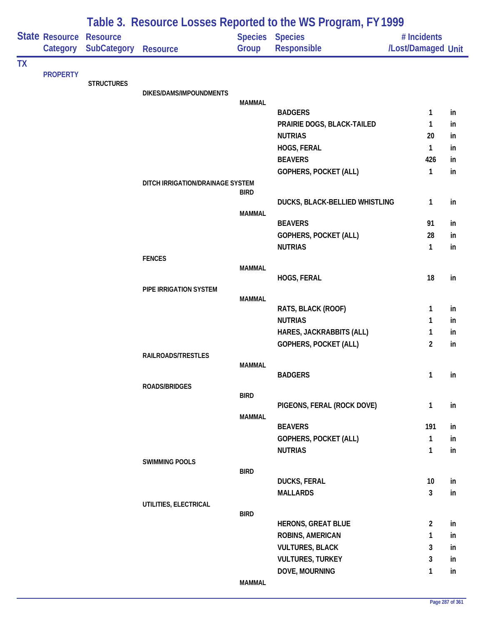|           |                                     |                    | Table 3. Resource Losses Reported to the WS Program, FY 1999 |               |                                |                                   |          |  |  |
|-----------|-------------------------------------|--------------------|--------------------------------------------------------------|---------------|--------------------------------|-----------------------------------|----------|--|--|
|           | State Resource Resource<br>Category | <b>SubCategory</b> | <b>Resource</b>                                              | Group         | Species Species<br>Responsible | # Incidents<br>/Lost/Damaged Unit |          |  |  |
| <b>TX</b> |                                     |                    |                                                              |               |                                |                                   |          |  |  |
|           | <b>PROPERTY</b>                     | <b>STRUCTURES</b>  |                                                              |               |                                |                                   |          |  |  |
|           |                                     |                    | DIKES/DAMS/IMPOUNDMENTS                                      |               |                                |                                   |          |  |  |
|           |                                     |                    |                                                              | <b>MAMMAL</b> | <b>BADGERS</b>                 | 1                                 |          |  |  |
|           |                                     |                    |                                                              |               | PRAIRIE DOGS, BLACK-TAILED     | 1                                 | in<br>in |  |  |
|           |                                     |                    |                                                              |               | <b>NUTRIAS</b>                 | 20                                | in       |  |  |
|           |                                     |                    |                                                              |               | HOGS, FERAL                    | 1                                 | in       |  |  |
|           |                                     |                    |                                                              |               | <b>BEAVERS</b>                 | 426                               | in       |  |  |
|           |                                     |                    |                                                              |               | GOPHERS, POCKET (ALL)          | 1                                 | in       |  |  |
|           |                                     |                    | DITCH IRRIGATION/DRAINAGE SYSTEM                             |               |                                |                                   |          |  |  |
|           |                                     |                    |                                                              | <b>BIRD</b>   |                                |                                   |          |  |  |
|           |                                     |                    |                                                              |               | DUCKS, BLACK-BELLIED WHISTLING | 1                                 | in       |  |  |
|           |                                     |                    |                                                              | <b>MAMMAL</b> |                                |                                   |          |  |  |
|           |                                     |                    |                                                              |               | <b>BEAVERS</b>                 | 91                                | in       |  |  |
|           |                                     |                    |                                                              |               | <b>GOPHERS, POCKET (ALL)</b>   | 28                                | in       |  |  |
|           |                                     |                    |                                                              |               | <b>NUTRIAS</b>                 | 1                                 | in       |  |  |
|           |                                     |                    | <b>FENCES</b>                                                | <b>MAMMAL</b> |                                |                                   |          |  |  |
|           |                                     |                    |                                                              |               | HOGS, FERAL                    | 18                                | in       |  |  |
|           |                                     |                    | PIPE IRRIGATION SYSTEM                                       |               |                                |                                   |          |  |  |
|           |                                     |                    |                                                              | <b>MAMMAL</b> |                                |                                   |          |  |  |
|           |                                     |                    |                                                              |               | RATS, BLACK (ROOF)             | 1                                 | in       |  |  |
|           |                                     |                    |                                                              |               | <b>NUTRIAS</b>                 | 1                                 | in       |  |  |
|           |                                     |                    |                                                              |               | HARES, JACKRABBITS (ALL)       | 1                                 | in.      |  |  |
|           |                                     |                    |                                                              |               | GOPHERS, POCKET (ALL)          | 2                                 | in       |  |  |
|           |                                     |                    | RAILROADS/TRESTLES                                           | <b>MAMMAL</b> |                                |                                   |          |  |  |
|           |                                     |                    |                                                              |               | <b>BADGERS</b>                 | $\mathbf{1}$                      | in       |  |  |
|           |                                     |                    | <b>ROADS/BRIDGES</b>                                         |               |                                |                                   |          |  |  |
|           |                                     |                    |                                                              | <b>BIRD</b>   |                                |                                   |          |  |  |
|           |                                     |                    |                                                              |               | PIGEONS, FERAL (ROCK DOVE)     | 1                                 | in       |  |  |
|           |                                     |                    |                                                              | <b>MAMMAL</b> |                                |                                   |          |  |  |
|           |                                     |                    |                                                              |               | <b>BEAVERS</b>                 | 191                               | in       |  |  |
|           |                                     |                    |                                                              |               | GOPHERS, POCKET (ALL)          | 1                                 | in       |  |  |
|           |                                     |                    | <b>SWIMMING POOLS</b>                                        |               | <b>NUTRIAS</b>                 | 1                                 | in       |  |  |
|           |                                     |                    |                                                              | <b>BIRD</b>   |                                |                                   |          |  |  |
|           |                                     |                    |                                                              |               | <b>DUCKS, FERAL</b>            | 10 <sup>°</sup>                   | in       |  |  |
|           |                                     |                    |                                                              |               | <b>MALLARDS</b>                | 3                                 | in       |  |  |
|           |                                     |                    | UTILITIES, ELECTRICAL                                        |               |                                |                                   |          |  |  |
|           |                                     |                    |                                                              | <b>BIRD</b>   |                                |                                   |          |  |  |
|           |                                     |                    |                                                              |               | <b>HERONS, GREAT BLUE</b>      | $\overline{2}$                    | in       |  |  |
|           |                                     |                    |                                                              |               | ROBINS, AMERICAN               | 1                                 | in       |  |  |
|           |                                     |                    |                                                              |               | <b>VULTURES, BLACK</b>         | 3                                 | in       |  |  |
|           |                                     |                    |                                                              |               | <b>VULTURES, TURKEY</b>        | 3                                 | in       |  |  |
|           |                                     |                    |                                                              | <b>MAMMAL</b> | DOVE, MOURNING                 | 1                                 | in       |  |  |
|           |                                     |                    |                                                              |               |                                |                                   |          |  |  |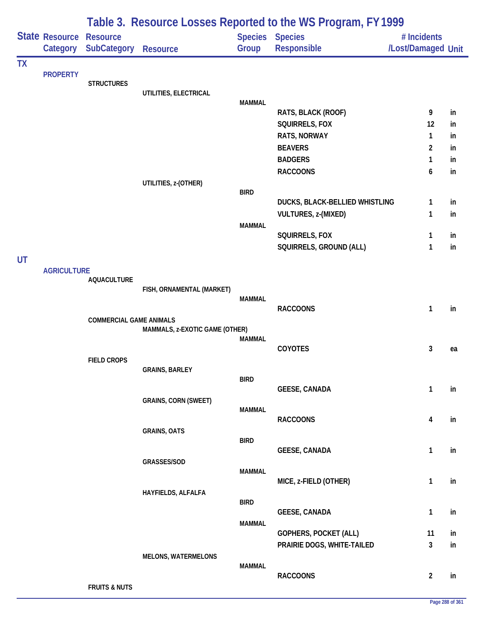|           |                    |                                |                                |                | Table 3. Resource Losses Reported to the WS Program, FY 1999 |                    |    |
|-----------|--------------------|--------------------------------|--------------------------------|----------------|--------------------------------------------------------------|--------------------|----|
|           | State Resource     | <b>Resource</b>                |                                | <b>Species</b> | <b>Species</b>                                               | # Incidents        |    |
|           | Category           | <b>SubCategory</b>             | <b>Resource</b>                | Group          | Responsible                                                  | /Lost/Damaged Unit |    |
| <b>TX</b> |                    |                                |                                |                |                                                              |                    |    |
|           | <b>PROPERTY</b>    | <b>STRUCTURES</b>              |                                |                |                                                              |                    |    |
|           |                    |                                | UTILITIES, ELECTRICAL          |                |                                                              |                    |    |
|           |                    |                                |                                | <b>MAMMAL</b>  | RATS, BLACK (ROOF)                                           | 9                  | in |
|           |                    |                                |                                |                | SQUIRRELS, FOX                                               | 12                 | in |
|           |                    |                                |                                |                | RATS, NORWAY                                                 | 1                  | in |
|           |                    |                                |                                |                | <b>BEAVERS</b>                                               | $\overline{c}$     | in |
|           |                    |                                |                                |                | <b>BADGERS</b>                                               | 1                  | in |
|           |                    |                                |                                |                | <b>RACCOONS</b>                                              | 6                  | in |
|           |                    |                                | UTILITIES, z-(OTHER)           | <b>BIRD</b>    |                                                              |                    |    |
|           |                    |                                |                                |                | DUCKS, BLACK-BELLIED WHISTLING                               | 1                  | in |
|           |                    |                                |                                |                | <b>VULTURES, z-(MIXED)</b>                                   | 1                  | in |
|           |                    |                                |                                | <b>MAMMAL</b>  |                                                              |                    |    |
|           |                    |                                |                                |                | SQUIRRELS, FOX                                               | 1                  | in |
|           |                    |                                |                                |                | SQUIRRELS, GROUND (ALL)                                      | 1                  | in |
| UT        | <b>AGRICULTURE</b> |                                |                                |                |                                                              |                    |    |
|           |                    | <b>AQUACULTURE</b>             |                                |                |                                                              |                    |    |
|           |                    |                                | FISH, ORNAMENTAL (MARKET)      |                |                                                              |                    |    |
|           |                    |                                |                                | MAMMAL         | <b>RACCOONS</b>                                              | 1                  | in |
|           |                    | <b>COMMERCIAL GAME ANIMALS</b> |                                |                |                                                              |                    |    |
|           |                    |                                | MAMMALS, z-EXOTIC GAME (OTHER) |                |                                                              |                    |    |
|           |                    |                                |                                | <b>MAMMAL</b>  | COYOTES                                                      | 3                  | ea |
|           |                    | <b>FIELD CROPS</b>             |                                |                |                                                              |                    |    |
|           |                    |                                | <b>GRAINS, BARLEY</b>          |                |                                                              |                    |    |
|           |                    |                                |                                | <b>BIRD</b>    |                                                              |                    |    |
|           |                    |                                | <b>GRAINS, CORN (SWEET)</b>    |                | <b>GEESE, CANADA</b>                                         | 1                  | in |
|           |                    |                                |                                | <b>MAMMAL</b>  |                                                              |                    |    |
|           |                    |                                |                                |                | <b>RACCOONS</b>                                              | 4                  | in |
|           |                    |                                | <b>GRAINS, OATS</b>            |                |                                                              |                    |    |
|           |                    |                                |                                | <b>BIRD</b>    | <b>GEESE, CANADA</b>                                         | $\mathbf{1}$       | in |
|           |                    |                                | GRASSES/SOD                    |                |                                                              |                    |    |
|           |                    |                                |                                | <b>MAMMAL</b>  |                                                              |                    |    |
|           |                    |                                | HAYFIELDS, ALFALFA             |                | MICE, z-FIELD (OTHER)                                        | 1                  | in |
|           |                    |                                |                                | <b>BIRD</b>    |                                                              |                    |    |
|           |                    |                                |                                |                | <b>GEESE, CANADA</b>                                         | 1                  | in |
|           |                    |                                |                                | <b>MAMMAL</b>  |                                                              |                    |    |
|           |                    |                                |                                |                | <b>GOPHERS, POCKET (ALL)</b>                                 | 11<br>3            | in |
|           |                    |                                | <b>MELONS, WATERMELONS</b>     |                | PRAIRIE DOGS, WHITE-TAILED                                   |                    | in |
|           |                    |                                |                                | <b>MAMMAL</b>  |                                                              |                    |    |
|           |                    |                                |                                |                | <b>RACCOONS</b>                                              | $\overline{2}$     | in |
|           |                    | <b>FRUITS &amp; NUTS</b>       |                                |                |                                                              |                    |    |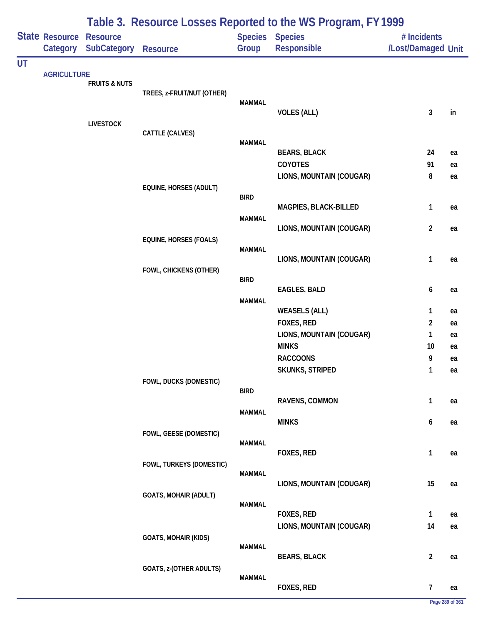|           |                            |                                       |                               |                         | Table 3. Resource Losses Reported to the WS Program, FY 1999 |                                   |          |
|-----------|----------------------------|---------------------------------------|-------------------------------|-------------------------|--------------------------------------------------------------|-----------------------------------|----------|
|           | State Resource<br>Category | <b>Resource</b><br><b>SubCategory</b> | <b>Resource</b>               | <b>Species</b><br>Group | <b>Species</b><br>Responsible                                | # Incidents<br>/Lost/Damaged Unit |          |
| <b>UT</b> |                            |                                       |                               |                         |                                                              |                                   |          |
|           | <b>AGRICULTURE</b>         | <b>FRUITS &amp; NUTS</b>              |                               |                         |                                                              |                                   |          |
|           |                            |                                       | TREES, z-FRUIT/NUT (OTHER)    |                         |                                                              |                                   |          |
|           |                            |                                       |                               | <b>MAMMAL</b>           | <b>VOLES (ALL)</b>                                           | 3                                 | in       |
|           |                            | <b>LIVESTOCK</b>                      |                               |                         |                                                              |                                   |          |
|           |                            |                                       | CATTLE (CALVES)               | <b>MAMMAL</b>           |                                                              |                                   |          |
|           |                            |                                       |                               |                         | <b>BEARS, BLACK</b>                                          | 24                                | ea       |
|           |                            |                                       |                               |                         | COYOTES                                                      | 91                                | ea       |
|           |                            |                                       |                               |                         | LIONS, MOUNTAIN (COUGAR)                                     | 8                                 | ea       |
|           |                            |                                       | <b>EQUINE, HORSES (ADULT)</b> | <b>BIRD</b>             |                                                              |                                   |          |
|           |                            |                                       |                               |                         | MAGPIES, BLACK-BILLED                                        | 1                                 | ea       |
|           |                            |                                       |                               | <b>MAMMAL</b>           |                                                              |                                   |          |
|           |                            |                                       |                               |                         | LIONS, MOUNTAIN (COUGAR)                                     | $\overline{2}$                    | ea       |
|           |                            |                                       | <b>EQUINE, HORSES (FOALS)</b> | <b>MAMMAL</b>           |                                                              |                                   |          |
|           |                            |                                       |                               |                         | LIONS, MOUNTAIN (COUGAR)                                     | $\mathbf{1}$                      | ea       |
|           |                            |                                       | FOWL, CHICKENS (OTHER)        | <b>BIRD</b>             |                                                              |                                   |          |
|           |                            |                                       |                               |                         | <b>EAGLES, BALD</b>                                          | 6                                 | ea       |
|           |                            |                                       |                               | <b>MAMMAL</b>           |                                                              |                                   |          |
|           |                            |                                       |                               |                         | <b>WEASELS (ALL)</b>                                         | $\mathbf{1}$                      | ea       |
|           |                            |                                       |                               |                         | FOXES, RED<br>LIONS, MOUNTAIN (COUGAR)                       | $\overline{2}$<br>1               | ea       |
|           |                            |                                       |                               |                         | <b>MINKS</b>                                                 | 10                                | ea<br>ea |
|           |                            |                                       |                               |                         | <b>RACCOONS</b>                                              | 9                                 | ea       |
|           |                            |                                       |                               |                         | <b>SKUNKS, STRIPED</b>                                       | $\mathbf{1}$                      | ea       |
|           |                            |                                       | FOWL, DUCKS (DOMESTIC)        |                         |                                                              |                                   |          |
|           |                            |                                       |                               | <b>BIRD</b>             | RAVENS, COMMON                                               | 1                                 | ea       |
|           |                            |                                       |                               | <b>MAMMAL</b>           |                                                              |                                   |          |
|           |                            |                                       |                               |                         | <b>MINKS</b>                                                 | 6                                 | ea       |
|           |                            |                                       | FOWL, GEESE (DOMESTIC)        | <b>MAMMAL</b>           |                                                              |                                   |          |
|           |                            |                                       |                               |                         | FOXES, RED                                                   | 1                                 | ea       |
|           |                            |                                       | FOWL, TURKEYS (DOMESTIC)      |                         |                                                              |                                   |          |
|           |                            |                                       |                               | <b>MAMMAL</b>           | LIONS, MOUNTAIN (COUGAR)                                     | 15                                | ea       |
|           |                            |                                       | <b>GOATS, MOHAIR (ADULT)</b>  |                         |                                                              |                                   |          |
|           |                            |                                       |                               | <b>MAMMAL</b>           |                                                              |                                   |          |
|           |                            |                                       |                               |                         | <b>FOXES, RED</b><br>LIONS, MOUNTAIN (COUGAR)                | 1<br>14                           | ea       |
|           |                            |                                       | <b>GOATS, MOHAIR (KIDS)</b>   |                         |                                                              |                                   | ea       |
|           |                            |                                       |                               | <b>MAMMAL</b>           |                                                              |                                   |          |
|           |                            |                                       |                               |                         | <b>BEARS, BLACK</b>                                          | $\overline{2}$                    | ea       |
|           |                            |                                       | GOATS, z-(OTHER ADULTS)       | <b>MAMMAL</b>           |                                                              |                                   |          |
|           |                            |                                       |                               |                         | FOXES, RED                                                   | $\overline{7}$                    | ea       |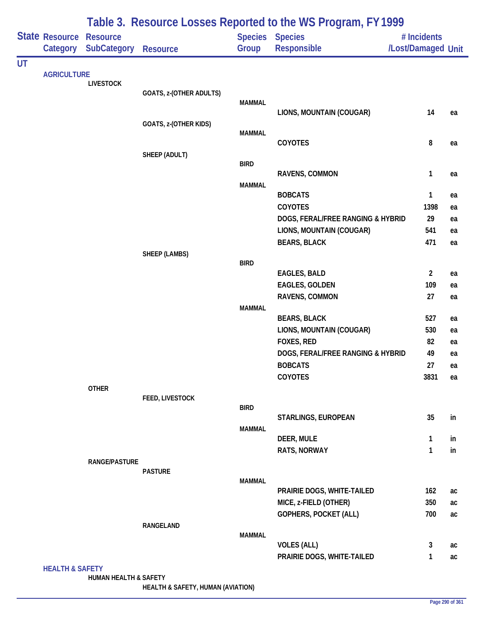|    |                                             |                                       |                                                  |               | Table 3. Resource Losses Reported to the WS Program, FY 1999 |                                   |          |
|----|---------------------------------------------|---------------------------------------|--------------------------------------------------|---------------|--------------------------------------------------------------|-----------------------------------|----------|
|    | Category                                    | <b>Resource</b><br><b>SubCategory</b> | <b>Resource</b>                                  | Group         | <b>Species Species</b><br><b>Responsible</b>                 | # Incidents<br>/Lost/Damaged Unit |          |
| UT |                                             |                                       |                                                  |               |                                                              |                                   |          |
|    |                                             | <b>LIVESTOCK</b>                      |                                                  |               |                                                              |                                   |          |
|    |                                             |                                       | GOATS, z-(OTHER ADULTS)                          |               |                                                              |                                   |          |
|    |                                             |                                       |                                                  | <b>MAMMAL</b> | LIONS, MOUNTAIN (COUGAR)                                     | 14                                | ea       |
|    |                                             |                                       | GOATS, z-(OTHER KIDS)                            |               |                                                              |                                   |          |
|    |                                             |                                       |                                                  | <b>MAMMAL</b> |                                                              |                                   |          |
|    |                                             |                                       |                                                  |               | COYOTES                                                      | 8                                 | ea       |
|    |                                             |                                       |                                                  | <b>BIRD</b>   |                                                              |                                   |          |
|    |                                             |                                       |                                                  |               | RAVENS, COMMON                                               | $\mathbf{1}$                      | ea       |
|    |                                             |                                       |                                                  | <b>MAMMAL</b> |                                                              |                                   |          |
|    |                                             |                                       |                                                  |               | <b>BOBCATS</b>                                               | $\mathbf{1}$                      | ea       |
|    |                                             |                                       |                                                  |               | <b>COYOTES</b>                                               | 1398                              | ea       |
|    |                                             |                                       |                                                  |               | DOGS, FERAL/FREE RANGING & HYBRID                            | 29                                | ea       |
|    |                                             |                                       |                                                  |               | LIONS, MOUNTAIN (COUGAR)                                     | 541                               | ea       |
|    |                                             |                                       |                                                  |               | <b>BEARS, BLACK</b>                                          | 471                               | ea       |
|    |                                             |                                       |                                                  | <b>BIRD</b>   |                                                              |                                   |          |
|    | <b>State Resource</b><br><b>AGRICULTURE</b> |                                       |                                                  |               | <b>EAGLES, BALD</b>                                          | $\overline{2}$                    | ea       |
|    |                                             |                                       |                                                  |               | <b>EAGLES, GOLDEN</b>                                        | 109                               | ea       |
|    |                                             |                                       |                                                  |               | RAVENS, COMMON                                               | 27                                | ea       |
|    |                                             |                                       |                                                  | <b>MAMMAL</b> |                                                              |                                   |          |
|    |                                             |                                       |                                                  |               | <b>BEARS, BLACK</b>                                          | 527<br>530                        | ea       |
|    |                                             |                                       |                                                  |               | LIONS, MOUNTAIN (COUGAR)<br>FOXES, RED                       | 82                                | ea<br>ea |
|    |                                             |                                       |                                                  |               | DOGS, FERAL/FREE RANGING & HYBRID                            | 49                                | ea       |
|    |                                             |                                       |                                                  |               | <b>BOBCATS</b>                                               | 27                                | ea       |
|    |                                             |                                       | SHEEP (ADULT)<br>SHEEP (LAMBS)<br><b>PASTURE</b> |               | <b>COYOTES</b>                                               | 3831                              | ea       |
|    |                                             | <b>OTHER</b>                          |                                                  |               |                                                              |                                   |          |
|    | <b>HEALTH &amp; SAFETY</b>                  |                                       | FEED, LIVESTOCK                                  |               |                                                              |                                   |          |
|    |                                             |                                       |                                                  | <b>BIRD</b>   | STARLINGS, EUROPEAN                                          | 35                                | in       |
|    |                                             |                                       |                                                  | <b>MAMMAL</b> |                                                              |                                   |          |
|    |                                             |                                       |                                                  |               | DEER, MULE                                                   | $\mathbf{1}$                      | in       |
|    |                                             |                                       |                                                  |               | RATS, NORWAY                                                 | $\mathbf{1}$                      | in       |
|    |                                             | RANGE/PASTURE                         |                                                  |               |                                                              |                                   |          |
|    |                                             |                                       |                                                  | <b>MAMMAL</b> |                                                              |                                   |          |
|    |                                             |                                       |                                                  |               | PRAIRIE DOGS, WHITE-TAILED                                   | 162                               | ac       |
|    |                                             |                                       |                                                  |               | MICE, z-FIELD (OTHER)                                        | 350                               | ac       |
|    |                                             |                                       |                                                  |               | <b>GOPHERS, POCKET (ALL)</b>                                 | 700                               | ac       |
|    |                                             |                                       | <b>RANGELAND</b>                                 |               |                                                              |                                   |          |
|    |                                             |                                       |                                                  | <b>MAMMAL</b> |                                                              |                                   |          |
|    |                                             |                                       |                                                  |               | <b>VOLES (ALL)</b>                                           | $\mathbf{3}$                      | ac       |
|    |                                             |                                       |                                                  |               | PRAIRIE DOGS, WHITE-TAILED                                   | $\mathbf{1}$                      | ac       |
|    |                                             | HUMAN HEALTH & SAFETY                 |                                                  |               |                                                              |                                   |          |

**HEALTH & SAFETY, HUMAN (AVIATION)**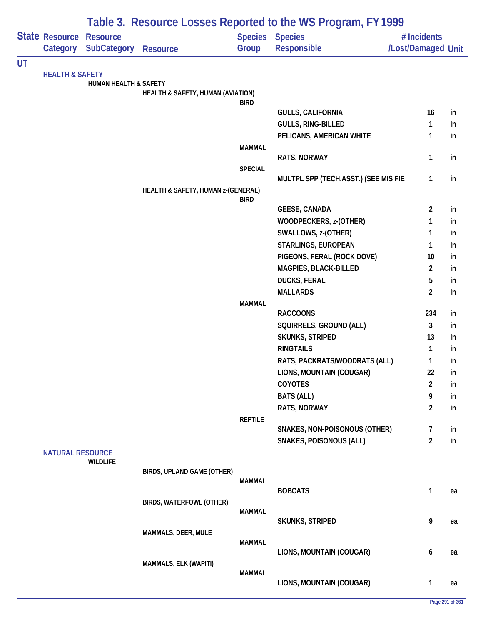|    |                                                                                     |                                  |                                    |                | Table 3. Resource Losses Reported to the WS Program, FY 1999 |                         |    |
|----|-------------------------------------------------------------------------------------|----------------------------------|------------------------------------|----------------|--------------------------------------------------------------|-------------------------|----|
|    |                                                                                     | <b>Resource</b>                  |                                    | <b>Species</b> | <b>Species</b>                                               | # Incidents             |    |
|    |                                                                                     | <b>SubCategory</b>               | <b>Resource</b>                    | Group          | Responsible                                                  | /Lost/Damaged Unit      |    |
| UT |                                                                                     |                                  |                                    |                |                                                              |                         |    |
|    |                                                                                     | <b>HUMAN HEALTH &amp; SAFETY</b> |                                    |                |                                                              |                         |    |
|    |                                                                                     |                                  | HEALTH & SAFETY, HUMAN (AVIATION)  |                |                                                              |                         |    |
|    |                                                                                     |                                  |                                    | <b>BIRD</b>    |                                                              |                         |    |
|    |                                                                                     |                                  |                                    |                | <b>GULLS, CALIFORNIA</b>                                     | 16                      | in |
|    |                                                                                     |                                  |                                    |                | GULLS, RING-BILLED                                           | 1                       | in |
|    |                                                                                     |                                  |                                    |                | PELICANS, AMERICAN WHITE                                     | 1                       | in |
|    |                                                                                     |                                  |                                    | <b>MAMMAL</b>  | RATS, NORWAY                                                 | 1                       | in |
|    |                                                                                     |                                  |                                    | <b>SPECIAL</b> |                                                              |                         |    |
|    |                                                                                     |                                  |                                    |                | MULTPL SPP (TECH.ASST.) (SEE MIS FIE                         | 1                       | in |
|    |                                                                                     |                                  | HEALTH & SAFETY, HUMAN z-(GENERAL) |                |                                                              |                         |    |
|    |                                                                                     |                                  |                                    | <b>BIRD</b>    |                                                              |                         |    |
|    |                                                                                     |                                  |                                    |                | <b>GEESE, CANADA</b>                                         | 2                       | in |
|    |                                                                                     |                                  |                                    |                | WOODPECKERS, z-(OTHER)                                       | 1                       | in |
|    |                                                                                     |                                  |                                    |                | SWALLOWS, z-(OTHER)                                          | 1                       | in |
|    |                                                                                     |                                  |                                    |                | STARLINGS, EUROPEAN                                          | 1                       | in |
|    | State Resource<br>Category<br><b>HEALTH &amp; SAFETY</b><br><b>NATURAL RESOURCE</b> |                                  |                                    |                | PIGEONS, FERAL (ROCK DOVE)                                   | 10                      | in |
|    |                                                                                     |                                  |                                    |                | MAGPIES, BLACK-BILLED                                        | 2                       | in |
|    |                                                                                     |                                  |                                    |                | <b>DUCKS, FERAL</b>                                          | 5                       | in |
|    |                                                                                     |                                  |                                    |                | <b>MALLARDS</b>                                              | $\overline{\mathbf{c}}$ | in |
|    |                                                                                     |                                  |                                    | <b>MAMMAL</b>  | <b>RACCOONS</b>                                              | 234                     | in |
|    |                                                                                     |                                  |                                    |                | SQUIRRELS, GROUND (ALL)                                      | 3                       | in |
|    |                                                                                     |                                  |                                    |                | <b>SKUNKS, STRIPED</b>                                       | 13                      | in |
|    |                                                                                     |                                  |                                    |                | <b>RINGTAILS</b>                                             | 1                       | in |
|    |                                                                                     |                                  |                                    |                | RATS, PACKRATS/WOODRATS (ALL)                                | 1                       | in |
|    |                                                                                     |                                  |                                    |                | LIONS, MOUNTAIN (COUGAR)                                     | 22                      | in |
|    |                                                                                     |                                  |                                    |                | <b>COYOTES</b>                                               | $\overline{c}$          | in |
|    |                                                                                     |                                  |                                    |                | <b>BATS (ALL)</b>                                            | 9                       | in |
|    |                                                                                     |                                  |                                    |                | <b>RATS, NORWAY</b>                                          | $\overline{c}$          | in |
|    |                                                                                     |                                  |                                    | <b>REPTILE</b> |                                                              |                         |    |
|    |                                                                                     |                                  |                                    |                | SNAKES, NON-POISONOUS (OTHER)                                | 7                       | in |
|    |                                                                                     |                                  |                                    |                | SNAKES, POISONOUS (ALL)                                      | $\overline{2}$          | in |
|    |                                                                                     |                                  |                                    |                |                                                              |                         |    |
|    |                                                                                     | <b>WILDLIFE</b>                  |                                    |                |                                                              |                         |    |
|    |                                                                                     |                                  | BIRDS, UPLAND GAME (OTHER)         | <b>MAMMAL</b>  |                                                              |                         |    |
|    |                                                                                     |                                  |                                    |                | <b>BOBCATS</b>                                               | $\mathbf{1}$            | ea |
|    |                                                                                     |                                  | BIRDS, WATERFOWL (OTHER)           |                |                                                              |                         |    |
|    |                                                                                     |                                  |                                    | <b>MAMMAL</b>  |                                                              |                         |    |
|    |                                                                                     |                                  |                                    |                | <b>SKUNKS, STRIPED</b>                                       | 9                       | ea |
|    |                                                                                     |                                  | MAMMALS, DEER, MULE                |                |                                                              |                         |    |
|    |                                                                                     |                                  |                                    | <b>MAMMAL</b>  | LIONS, MOUNTAIN (COUGAR)                                     | 6                       | ea |
|    |                                                                                     |                                  | MAMMALS, ELK (WAPITI)              |                |                                                              |                         |    |
|    |                                                                                     |                                  |                                    | <b>MAMMAL</b>  |                                                              |                         |    |
|    |                                                                                     |                                  |                                    |                | LIONS, MOUNTAIN (COUGAR)                                     | 1                       | ea |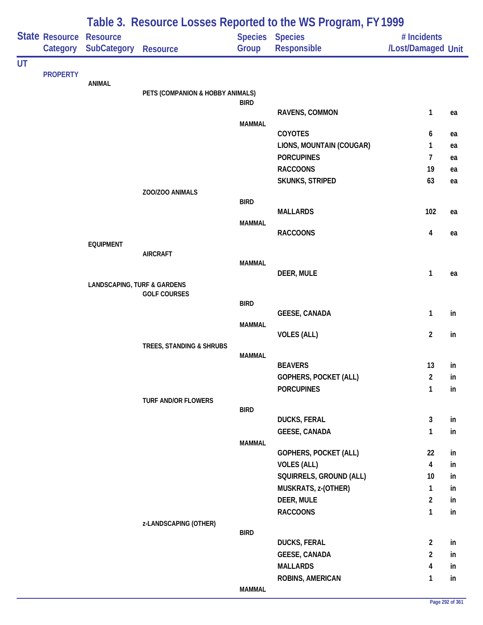|           |                       |                                        |                                  |               | Table 3. Resource Losses Reported to the WS Program, FY 1999 |                         |    |
|-----------|-----------------------|----------------------------------------|----------------------------------|---------------|--------------------------------------------------------------|-------------------------|----|
|           | <b>State Resource</b> | <b>Resource</b>                        |                                  |               | Species Species                                              | # Incidents             |    |
|           | Category              | <b>SubCategory</b>                     | <b>Resource</b>                  | Group         | Responsible                                                  | /Lost/Damaged Unit      |    |
| <b>UT</b> | <b>PROPERTY</b>       |                                        |                                  |               |                                                              |                         |    |
|           |                       | <b>ANIMAL</b>                          |                                  |               |                                                              |                         |    |
|           |                       |                                        | PETS (COMPANION & HOBBY ANIMALS) |               |                                                              |                         |    |
|           |                       |                                        |                                  | <b>BIRD</b>   | RAVENS, COMMON                                               | $\mathbf{1}$            | ea |
|           |                       |                                        |                                  | <b>MAMMAL</b> |                                                              |                         |    |
|           |                       |                                        |                                  |               | <b>COYOTES</b>                                               | 6                       | ea |
|           |                       |                                        |                                  |               | LIONS, MOUNTAIN (COUGAR)                                     | 1                       | ea |
|           |                       |                                        |                                  |               | <b>PORCUPINES</b>                                            | 7                       | ea |
|           |                       |                                        |                                  |               | <b>RACCOONS</b>                                              | 19                      | ea |
|           |                       |                                        |                                  |               | SKUNKS, STRIPED                                              | 63                      | ea |
|           |                       |                                        | ZOO/ZOO ANIMALS                  | <b>BIRD</b>   |                                                              |                         |    |
|           |                       |                                        |                                  |               | <b>MALLARDS</b>                                              | 102                     | ea |
|           |                       |                                        |                                  | <b>MAMMAL</b> |                                                              |                         |    |
|           |                       |                                        |                                  |               | <b>RACCOONS</b>                                              | $\overline{\mathbf{4}}$ | ea |
|           |                       | <b>EQUIPMENT</b>                       |                                  |               |                                                              |                         |    |
|           |                       | <b>AIRCRAFT</b>                        | <b>MAMMAL</b>                    |               |                                                              |                         |    |
|           |                       |                                        |                                  |               | DEER, MULE                                                   | $\mathbf{1}$            | ea |
|           |                       | <b>LANDSCAPING, TURF &amp; GARDENS</b> |                                  |               |                                                              |                         |    |
|           |                       |                                        | <b>GOLF COURSES</b>              | <b>BIRD</b>   |                                                              |                         |    |
|           |                       |                                        |                                  |               | <b>GEESE, CANADA</b>                                         | $\mathbf{1}$            | in |
|           |                       |                                        |                                  | <b>MAMMAL</b> |                                                              |                         |    |
|           |                       |                                        |                                  |               | <b>VOLES (ALL)</b>                                           | $\overline{2}$          | in |
|           |                       |                                        | TREES, STANDING & SHRUBS         |               |                                                              |                         |    |
|           |                       |                                        |                                  | <b>MAMMAL</b> | <b>BEAVERS</b>                                               | 13                      | in |
|           |                       |                                        |                                  |               | GOPHERS, POCKET (ALL)                                        | $\overline{2}$          | in |
|           |                       |                                        |                                  |               | <b>PORCUPINES</b>                                            | $\mathbf{1}$            | in |
|           |                       |                                        | TURF AND/OR FLOWERS              |               |                                                              |                         |    |
|           |                       |                                        |                                  | <b>BIRD</b>   |                                                              |                         |    |
|           |                       |                                        |                                  |               | <b>DUCKS, FERAL</b>                                          | $\mathbf{3}$            | in |
|           |                       |                                        |                                  | <b>MAMMAL</b> | <b>GEESE, CANADA</b>                                         | $\mathbf{1}$            | in |
|           |                       |                                        |                                  |               | GOPHERS, POCKET (ALL)                                        | 22                      | in |
|           |                       |                                        |                                  |               | <b>VOLES (ALL)</b>                                           | $\overline{\mathbf{4}}$ | in |
|           |                       |                                        |                                  |               | SQUIRRELS, GROUND (ALL)                                      | 10                      | in |
|           |                       |                                        |                                  |               | MUSKRATS, z-(OTHER)                                          | $\mathbf{1}$            | in |
|           |                       |                                        |                                  |               | DEER, MULE                                                   | $\overline{2}$          | in |
|           |                       |                                        |                                  |               | <b>RACCOONS</b>                                              | $\mathbf{1}$            | in |
|           |                       |                                        | z-LANDSCAPING (OTHER)            |               |                                                              |                         |    |
|           |                       |                                        |                                  | <b>BIRD</b>   | <b>DUCKS, FERAL</b>                                          | $\overline{2}$          | in |
|           |                       |                                        |                                  |               | <b>GEESE, CANADA</b>                                         | $\overline{a}$          | in |
|           |                       |                                        |                                  |               | <b>MALLARDS</b>                                              | 4                       | in |
|           |                       |                                        |                                  |               | ROBINS, AMERICAN                                             | $\mathbf{1}$            | in |
|           |                       |                                        |                                  | <b>MAMMAL</b> |                                                              |                         |    |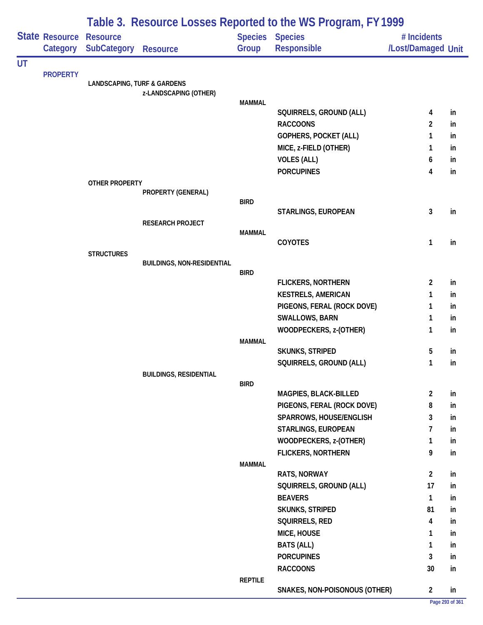|    |                                     |                                        |                                   |                | Table 3. Resource Losses Reported to the WS Program, FY 1999 |                                   |    |
|----|-------------------------------------|----------------------------------------|-----------------------------------|----------------|--------------------------------------------------------------|-----------------------------------|----|
|    | State Resource Resource<br>Category | <b>SubCategory</b>                     | <b>Resource</b>                   | Group          | Species Species<br><b>Responsible</b>                        | # Incidents<br>/Lost/Damaged Unit |    |
| UT |                                     |                                        |                                   |                |                                                              |                                   |    |
|    | <b>PROPERTY</b>                     | <b>LANDSCAPING, TURF &amp; GARDENS</b> |                                   |                |                                                              |                                   |    |
|    |                                     |                                        | z-LANDSCAPING (OTHER)             |                |                                                              |                                   |    |
|    |                                     |                                        |                                   | <b>MAMMAL</b>  |                                                              |                                   |    |
|    |                                     |                                        |                                   |                | SQUIRRELS, GROUND (ALL)                                      | 4                                 | in |
|    |                                     |                                        |                                   |                | <b>RACCOONS</b>                                              | $\overline{2}$                    | in |
|    |                                     |                                        |                                   |                | GOPHERS, POCKET (ALL)                                        | 1                                 | in |
|    |                                     |                                        |                                   |                | MICE, z-FIELD (OTHER)                                        | 1                                 | in |
|    |                                     |                                        |                                   |                | <b>VOLES (ALL)</b>                                           | 6                                 | in |
|    |                                     |                                        |                                   |                | <b>PORCUPINES</b>                                            | 4                                 | in |
|    |                                     | <b>OTHER PROPERTY</b>                  | PROPERTY (GENERAL)                |                |                                                              |                                   |    |
|    |                                     |                                        |                                   | <b>BIRD</b>    |                                                              |                                   |    |
|    |                                     |                                        |                                   |                | STARLINGS, EUROPEAN                                          | 3                                 | in |
|    |                                     |                                        | <b>RESEARCH PROJECT</b>           |                |                                                              |                                   |    |
|    |                                     |                                        |                                   | <b>MAMMAL</b>  | <b>COYOTES</b>                                               | $\mathbf{1}$                      | in |
|    |                                     | <b>STRUCTURES</b>                      |                                   |                |                                                              |                                   |    |
|    |                                     |                                        | <b>BUILDINGS, NON-RESIDENTIAL</b> |                |                                                              |                                   |    |
|    |                                     |                                        |                                   | <b>BIRD</b>    |                                                              |                                   |    |
|    |                                     |                                        |                                   |                | FLICKERS, NORTHERN                                           | $\overline{2}$                    | in |
|    |                                     |                                        |                                   |                | <b>KESTRELS, AMERICAN</b>                                    | 1                                 | in |
|    |                                     |                                        |                                   |                | PIGEONS, FERAL (ROCK DOVE)                                   | 1                                 | in |
|    |                                     |                                        |                                   |                | SWALLOWS, BARN                                               | $\mathbf{1}$                      | in |
|    |                                     |                                        |                                   |                | WOODPECKERS, z-(OTHER)                                       | $\mathbf{1}$                      | in |
|    |                                     |                                        |                                   | <b>MAMMAL</b>  |                                                              |                                   |    |
|    |                                     |                                        |                                   |                | <b>SKUNKS, STRIPED</b>                                       | 5                                 | in |
|    |                                     |                                        |                                   |                | SQUIRRELS, GROUND (ALL)                                      | 1                                 | in |
|    |                                     |                                        | <b>BUILDINGS, RESIDENTIAL</b>     | <b>BIRD</b>    |                                                              |                                   |    |
|    |                                     |                                        |                                   |                | MAGPIES, BLACK-BILLED                                        | $\overline{2}$                    | in |
|    |                                     |                                        |                                   |                | PIGEONS, FERAL (ROCK DOVE)                                   | 8                                 | in |
|    |                                     |                                        |                                   |                | SPARROWS, HOUSE/ENGLISH                                      | 3                                 | in |
|    |                                     |                                        |                                   |                | STARLINGS, EUROPEAN                                          | 7                                 | in |
|    |                                     |                                        |                                   |                | WOODPECKERS, z-(OTHER)                                       | 1                                 | in |
|    |                                     |                                        |                                   |                | <b>FLICKERS, NORTHERN</b>                                    | 9                                 | in |
|    |                                     |                                        |                                   | <b>MAMMAL</b>  |                                                              |                                   |    |
|    |                                     |                                        |                                   |                | RATS, NORWAY                                                 | $\overline{2}$                    | in |
|    |                                     |                                        |                                   |                | SQUIRRELS, GROUND (ALL)                                      | 17                                | in |
|    |                                     |                                        |                                   |                | <b>BEAVERS</b>                                               | $\mathbf{1}$                      | in |
|    |                                     |                                        |                                   |                | <b>SKUNKS, STRIPED</b>                                       | 81                                | in |
|    |                                     |                                        |                                   |                | SQUIRRELS, RED                                               | 4                                 | in |
|    |                                     |                                        |                                   |                | MICE, HOUSE                                                  | 1                                 | in |
|    |                                     |                                        |                                   |                | <b>BATS (ALL)</b>                                            | $\mathbf{1}$                      | in |
|    |                                     |                                        |                                   |                | <b>PORCUPINES</b>                                            | 3                                 | in |
|    |                                     |                                        |                                   |                | <b>RACCOONS</b>                                              | 30                                | in |
|    |                                     |                                        |                                   | <b>REPTILE</b> |                                                              |                                   |    |
|    |                                     |                                        |                                   |                | SNAKES, NON-POISONOUS (OTHER)                                | $\overline{2}$                    | in |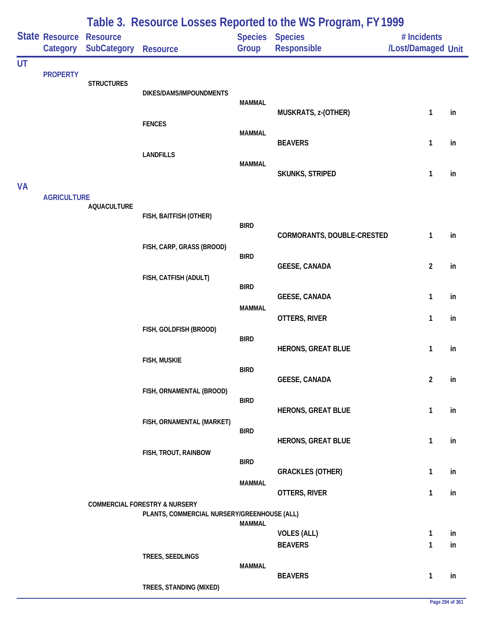|           |                            |                                |                                                                                         |                         | Table 3. Resource Losses Reported to the WS Program, FY 1999 |                                   |          |
|-----------|----------------------------|--------------------------------|-----------------------------------------------------------------------------------------|-------------------------|--------------------------------------------------------------|-----------------------------------|----------|
|           | State Resource<br>Category | <b>Resource</b><br>SubCategory | <b>Resource</b>                                                                         | <b>Species</b><br>Group | <b>Species</b><br>Responsible                                | # Incidents<br>/Lost/Damaged Unit |          |
| <b>UT</b> |                            |                                |                                                                                         |                         |                                                              |                                   |          |
|           | <b>PROPERTY</b>            | <b>STRUCTURES</b>              | DIKES/DAMS/IMPOUNDMENTS                                                                 | <b>MAMMAL</b>           |                                                              |                                   |          |
|           |                            |                                | <b>FENCES</b>                                                                           |                         | MUSKRATS, z-(OTHER)                                          | 1                                 | in       |
|           |                            |                                | <b>LANDFILLS</b>                                                                        | <b>MAMMAL</b>           | <b>BEAVERS</b>                                               | 1                                 | in       |
|           |                            |                                |                                                                                         | <b>MAMMAL</b>           | SKUNKS, STRIPED                                              | 1                                 | in       |
| <b>VA</b> | <b>AGRICULTURE</b>         | <b>AQUACULTURE</b>             |                                                                                         |                         |                                                              |                                   |          |
|           |                            |                                | FISH, BAITFISH (OTHER)                                                                  | <b>BIRD</b>             | CORMORANTS, DOUBLE-CRESTED                                   | 1                                 | in       |
|           |                            |                                | FISH, CARP, GRASS (BROOD)                                                               | <b>BIRD</b>             | <b>GEESE, CANADA</b>                                         | $\overline{2}$                    | in       |
|           |                            |                                | FISH, CATFISH (ADULT)                                                                   | <b>BIRD</b>             |                                                              |                                   |          |
|           |                            |                                |                                                                                         | <b>MAMMAL</b>           | <b>GEESE, CANADA</b><br>OTTERS, RIVER                        | 1<br>1                            | in<br>in |
|           |                            |                                | FISH, GOLDFISH (BROOD)                                                                  | <b>BIRD</b>             |                                                              |                                   |          |
|           |                            |                                | <b>FISH, MUSKIE</b>                                                                     | <b>BIRD</b>             | <b>HERONS, GREAT BLUE</b>                                    | $\mathbf{1}$                      | in       |
|           |                            |                                | FISH, ORNAMENTAL (BROOD)                                                                |                         | <b>GEESE, CANADA</b>                                         | $\overline{2}$                    | in       |
|           |                            |                                | FISH, ORNAMENTAL (MARKET)                                                               | <b>BIRD</b>             | <b>HERONS, GREAT BLUE</b>                                    | $\mathbf{1}$                      | in       |
|           |                            |                                | FISH, TROUT, RAINBOW                                                                    | <b>BIRD</b>             | <b>HERONS, GREAT BLUE</b>                                    | $\mathbf{1}$                      | in       |
|           |                            |                                |                                                                                         | <b>BIRD</b>             | <b>GRACKLES (OTHER)</b>                                      | 1                                 | in       |
|           |                            |                                |                                                                                         | <b>MAMMAL</b>           | OTTERS, RIVER                                                | $\mathbf{1}$                      | in       |
|           |                            |                                | <b>COMMERCIAL FORESTRY &amp; NURSERY</b><br>PLANTS, COMMERCIAL NURSERY/GREENHOUSE (ALL) | <b>MAMMAL</b>           |                                                              |                                   |          |
|           |                            |                                |                                                                                         |                         | <b>VOLES (ALL)</b><br><b>BEAVERS</b>                         | $\mathbf{1}$<br>$\mathbf{1}$      | in<br>in |
|           |                            |                                | TREES, SEEDLINGS                                                                        | <b>MAMMAL</b>           | <b>BEAVERS</b>                                               | $\mathbf{1}$                      | in       |
|           |                            |                                | TREES, STANDING (MIXED)                                                                 |                         |                                                              |                                   |          |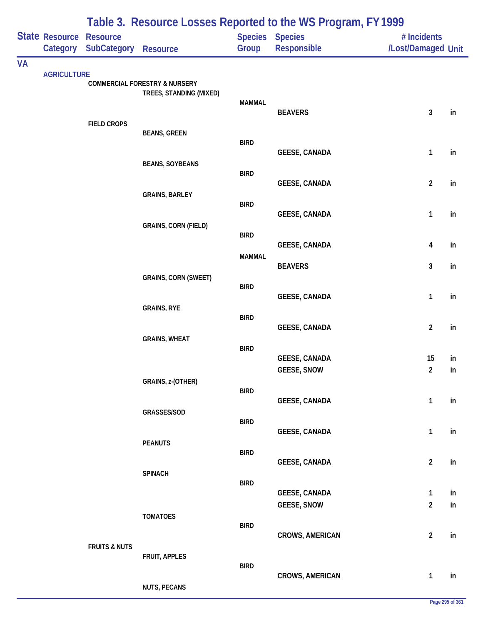|           |                            | Table 3. Resource Losses Reported to the WS Program, FY 1999 |                                                                     |               |                                            |                                   |          |  |  |
|-----------|----------------------------|--------------------------------------------------------------|---------------------------------------------------------------------|---------------|--------------------------------------------|-----------------------------------|----------|--|--|
|           | State Resource<br>Category | Resource<br><b>SubCategory</b>                               | <b>Resource</b>                                                     | Group         | Species Species<br>Responsible             | # Incidents<br>/Lost/Damaged Unit |          |  |  |
| <b>VA</b> |                            |                                                              |                                                                     |               |                                            |                                   |          |  |  |
|           | <b>AGRICULTURE</b>         |                                                              | <b>COMMERCIAL FORESTRY &amp; NURSERY</b><br>TREES, STANDING (MIXED) | <b>MAMMAL</b> |                                            |                                   |          |  |  |
|           |                            | <b>FIELD CROPS</b>                                           |                                                                     |               | <b>BEAVERS</b>                             | 3                                 | in       |  |  |
|           |                            |                                                              | <b>BEANS, GREEN</b>                                                 | <b>BIRD</b>   | <b>GEESE, CANADA</b>                       | $\mathbf{1}$                      | in       |  |  |
|           |                            |                                                              | <b>BEANS, SOYBEANS</b>                                              | <b>BIRD</b>   | <b>GEESE, CANADA</b>                       | $\overline{2}$                    | in       |  |  |
|           |                            |                                                              | <b>GRAINS, BARLEY</b>                                               | <b>BIRD</b>   |                                            |                                   |          |  |  |
|           |                            |                                                              | <b>GRAINS, CORN (FIELD)</b>                                         | <b>BIRD</b>   | <b>GEESE, CANADA</b>                       | $\mathbf{1}$                      | in       |  |  |
|           |                            |                                                              |                                                                     | <b>MAMMAL</b> | <b>GEESE, CANADA</b>                       | 4                                 | in       |  |  |
|           |                            |                                                              | <b>GRAINS, CORN (SWEET)</b>                                         |               | <b>BEAVERS</b>                             | 3                                 | in       |  |  |
|           |                            |                                                              | <b>GRAINS, RYE</b>                                                  | <b>BIRD</b>   | <b>GEESE, CANADA</b>                       | $\mathbf{1}$                      | in       |  |  |
|           |                            |                                                              |                                                                     | <b>BIRD</b>   | <b>GEESE, CANADA</b>                       | $\overline{2}$                    | in       |  |  |
|           |                            |                                                              | <b>GRAINS, WHEAT</b>                                                | <b>BIRD</b>   | <b>GEESE, CANADA</b>                       | 15                                | in       |  |  |
|           |                            |                                                              | GRAINS, z-(OTHER)                                                   |               | <b>GEESE, SNOW</b>                         | $\overline{2}$                    | in       |  |  |
|           |                            |                                                              |                                                                     | <b>BIRD</b>   | <b>GEESE, CANADA</b>                       | $\mathbf{1}$                      | in       |  |  |
|           |                            |                                                              | GRASSES/SOD                                                         | <b>BIRD</b>   | <b>GEESE, CANADA</b>                       | $\mathbf{1}$                      | in       |  |  |
|           |                            |                                                              | <b>PEANUTS</b>                                                      | <b>BIRD</b>   | <b>GEESE, CANADA</b>                       | $\overline{2}$                    | in       |  |  |
|           |                            |                                                              | <b>SPINACH</b>                                                      | <b>BIRD</b>   |                                            |                                   |          |  |  |
|           |                            |                                                              |                                                                     |               | <b>GEESE, CANADA</b><br><b>GEESE, SNOW</b> | $\mathbf{1}$<br>$\overline{2}$    | in<br>in |  |  |
|           |                            |                                                              | <b>TOMATOES</b>                                                     | <b>BIRD</b>   | <b>CROWS, AMERICAN</b>                     | $\overline{2}$                    | in       |  |  |
|           |                            | <b>FRUITS &amp; NUTS</b>                                     | FRUIT, APPLES                                                       |               |                                            |                                   |          |  |  |
|           |                            |                                                              | <b>NUTS, PECANS</b>                                                 | <b>BIRD</b>   | <b>CROWS, AMERICAN</b>                     | $\mathbf{1}$                      | in       |  |  |
|           |                            |                                                              |                                                                     |               |                                            |                                   |          |  |  |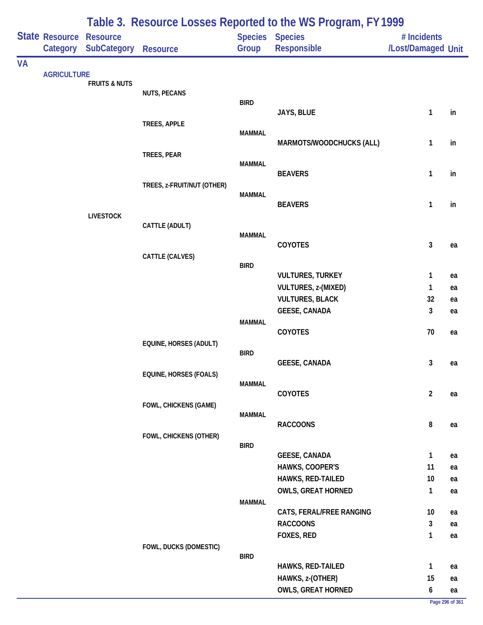|           |                            |                                       | Table 3. Resource Losses Reported to the WS Program, FY 1999 |               |                                         |                                   |          |  |  |
|-----------|----------------------------|---------------------------------------|--------------------------------------------------------------|---------------|-----------------------------------------|-----------------------------------|----------|--|--|
|           | State Resource<br>Category | <b>Resource</b><br><b>SubCategory</b> | <b>Resource</b>                                              | Group         | <b>Species Species</b><br>Responsible   | # Incidents<br>/Lost/Damaged Unit |          |  |  |
| <b>VA</b> |                            |                                       |                                                              |               |                                         |                                   |          |  |  |
|           | <b>AGRICULTURE</b>         | <b>FRUITS &amp; NUTS</b>              |                                                              |               |                                         |                                   |          |  |  |
|           |                            |                                       | <b>NUTS, PECANS</b>                                          |               |                                         |                                   |          |  |  |
|           |                            |                                       |                                                              | <b>BIRD</b>   |                                         |                                   |          |  |  |
|           |                            |                                       | TREES, APPLE                                                 |               | JAYS, BLUE                              | 1                                 | in       |  |  |
|           |                            |                                       |                                                              | <b>MAMMAL</b> |                                         |                                   |          |  |  |
|           |                            |                                       |                                                              |               | MARMOTS/WOODCHUCKS (ALL)                | 1                                 | in       |  |  |
|           |                            |                                       | TREES, PEAR                                                  |               |                                         |                                   |          |  |  |
|           |                            |                                       |                                                              | <b>MAMMAL</b> | <b>BEAVERS</b>                          | 1                                 | in       |  |  |
|           |                            |                                       | TREES, z-FRUIT/NUT (OTHER)                                   |               |                                         |                                   |          |  |  |
|           |                            |                                       |                                                              | <b>MAMMAL</b> |                                         |                                   |          |  |  |
|           |                            |                                       |                                                              |               | <b>BEAVERS</b>                          | 1                                 | in       |  |  |
|           |                            | <b>LIVESTOCK</b>                      |                                                              |               |                                         |                                   |          |  |  |
|           |                            |                                       | CATTLE (ADULT)                                               | <b>MAMMAL</b> |                                         |                                   |          |  |  |
|           |                            |                                       |                                                              |               | COYOTES                                 | 3                                 | ea       |  |  |
|           |                            |                                       | CATTLE (CALVES)                                              |               |                                         |                                   |          |  |  |
|           |                            |                                       |                                                              | <b>BIRD</b>   | <b>VULTURES, TURKEY</b>                 | 1                                 | ea       |  |  |
|           |                            |                                       |                                                              |               | <b>VULTURES, z-(MIXED)</b>              | 1                                 | ea       |  |  |
|           |                            |                                       |                                                              |               | <b>VULTURES, BLACK</b>                  | 32                                | ea       |  |  |
|           |                            |                                       |                                                              |               | <b>GEESE, CANADA</b>                    | 3                                 | ea       |  |  |
|           |                            |                                       |                                                              | <b>MAMMAL</b> |                                         |                                   |          |  |  |
|           |                            |                                       |                                                              |               | COYOTES                                 | 70                                | ea       |  |  |
|           |                            |                                       | EQUINE, HORSES (ADULT)                                       |               |                                         |                                   |          |  |  |
|           |                            |                                       |                                                              | <b>BIRD</b>   | <b>GEESE, CANADA</b>                    | 3                                 | ea       |  |  |
|           |                            |                                       | EQUINE, HORSES (FOALS)                                       |               |                                         |                                   |          |  |  |
|           |                            |                                       |                                                              | <b>MAMMAL</b> |                                         |                                   |          |  |  |
|           |                            |                                       |                                                              |               | COYOTES                                 | $\overline{2}$                    | ea       |  |  |
|           |                            |                                       | FOWL, CHICKENS (GAME)                                        | <b>MAMMAL</b> |                                         |                                   |          |  |  |
|           |                            |                                       |                                                              |               | <b>RACCOONS</b>                         | 8                                 | ea       |  |  |
|           |                            |                                       | FOWL, CHICKENS (OTHER)                                       |               |                                         |                                   |          |  |  |
|           |                            |                                       |                                                              | <b>BIRD</b>   |                                         |                                   |          |  |  |
|           |                            |                                       |                                                              |               | <b>GEESE, CANADA</b><br>HAWKS, COOPER'S | $\mathbf{1}$<br>11                | ea<br>ea |  |  |
|           |                            |                                       |                                                              |               | HAWKS, RED-TAILED                       | 10                                | ea       |  |  |
|           |                            |                                       |                                                              |               | <b>OWLS, GREAT HORNED</b>               | 1                                 | ea       |  |  |
|           |                            |                                       |                                                              | <b>MAMMAL</b> |                                         |                                   |          |  |  |
|           |                            |                                       |                                                              |               | CATS, FERAL/FREE RANGING                | 10 <sup>°</sup>                   | ea       |  |  |
|           |                            |                                       |                                                              |               | <b>RACCOONS</b>                         | 3                                 | ea       |  |  |
|           |                            |                                       |                                                              |               | FOXES, RED                              | 1                                 | ea       |  |  |
|           |                            |                                       | FOWL, DUCKS (DOMESTIC)                                       | <b>BIRD</b>   |                                         |                                   |          |  |  |
|           |                            |                                       |                                                              |               | HAWKS, RED-TAILED                       | 1                                 | ea       |  |  |
|           |                            |                                       |                                                              |               | HAWKS, z-(OTHER)                        | 15                                | ea       |  |  |
|           |                            |                                       |                                                              |               | <b>OWLS, GREAT HORNED</b>               | 6                                 | ea       |  |  |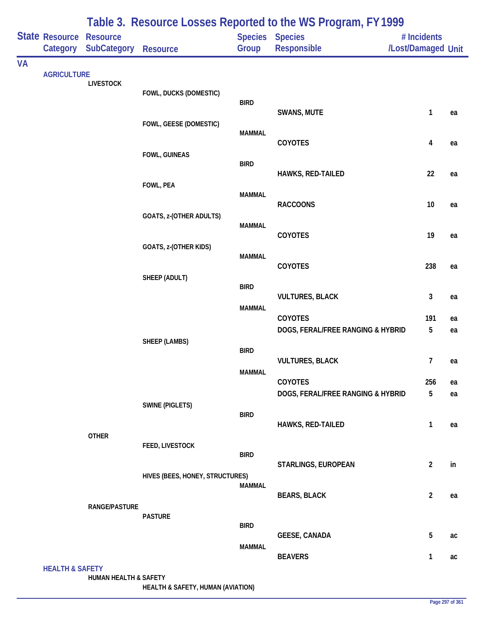|           |                            |                                |                                 |               | Table 3. Resource Losses Reported to the WS Program, FY 1999 |                                   |    |
|-----------|----------------------------|--------------------------------|---------------------------------|---------------|--------------------------------------------------------------|-----------------------------------|----|
|           | State Resource<br>Category | <b>Resource</b><br>SubCategory | <b>Resource</b>                 | Group         | <b>Species Species</b><br>Responsible                        | # Incidents<br>/Lost/Damaged Unit |    |
| <b>VA</b> |                            |                                |                                 |               |                                                              |                                   |    |
|           | <b>AGRICULTURE</b>         | <b>LIVESTOCK</b>               |                                 |               |                                                              |                                   |    |
|           |                            |                                | FOWL, DUCKS (DOMESTIC)          | <b>BIRD</b>   |                                                              |                                   |    |
|           |                            |                                |                                 |               | SWANS, MUTE                                                  | 1                                 | ea |
|           |                            |                                | FOWL, GEESE (DOMESTIC)          | <b>MAMMAL</b> |                                                              |                                   |    |
|           |                            |                                |                                 |               | COYOTES                                                      | 4                                 | ea |
|           |                            |                                | FOWL, GUINEAS                   | <b>BIRD</b>   |                                                              |                                   |    |
|           |                            |                                |                                 |               | HAWKS, RED-TAILED                                            | 22                                | ea |
|           |                            |                                | FOWL, PEA                       | <b>MAMMAL</b> |                                                              |                                   |    |
|           |                            |                                |                                 |               | <b>RACCOONS</b>                                              | $10$                              | ea |
|           |                            |                                | <b>GOATS, z-(OTHER ADULTS)</b>  | <b>MAMMAL</b> |                                                              |                                   |    |
|           |                            |                                |                                 |               | COYOTES                                                      | 19                                | ea |
|           |                            |                                | GOATS, z-(OTHER KIDS)           | <b>MAMMAL</b> |                                                              |                                   |    |
|           |                            |                                |                                 |               | COYOTES                                                      | 238                               | ea |
|           |                            |                                | SHEEP (ADULT)                   | <b>BIRD</b>   |                                                              |                                   |    |
|           |                            |                                |                                 |               | <b>VULTURES, BLACK</b>                                       | 3                                 | ea |
|           |                            |                                |                                 | <b>MAMMAL</b> | COYOTES                                                      | 191                               | ea |
|           |                            |                                |                                 |               | DOGS, FERAL/FREE RANGING & HYBRID                            | 5                                 | ea |
|           |                            |                                | <b>SHEEP (LAMBS)</b>            | <b>BIRD</b>   |                                                              |                                   |    |
|           |                            |                                |                                 |               | <b>VULTURES, BLACK</b>                                       | 7                                 | ea |
|           |                            |                                |                                 | <b>MAMMAL</b> | <b>COYOTES</b>                                               | 256                               | ea |
|           |                            |                                |                                 |               | DOGS, FERAL/FREE RANGING & HYBRID                            | 5                                 | ea |
|           |                            |                                | <b>SWINE (PIGLETS)</b>          | <b>BIRD</b>   |                                                              |                                   |    |
|           |                            |                                |                                 |               | HAWKS, RED-TAILED                                            | 1                                 | ea |
|           |                            | <b>OTHER</b>                   | FEED, LIVESTOCK                 |               |                                                              |                                   |    |
|           |                            |                                |                                 | <b>BIRD</b>   |                                                              |                                   | in |
|           |                            |                                | HIVES (BEES, HONEY, STRUCTURES) |               | STARLINGS, EUROPEAN                                          | $\overline{2}$                    |    |
|           |                            |                                |                                 | <b>MAMMAL</b> | <b>BEARS, BLACK</b>                                          | $\overline{2}$                    | ea |
|           |                            | RANGE/PASTURE                  |                                 |               |                                                              |                                   |    |
|           |                            |                                | <b>PASTURE</b>                  | <b>BIRD</b>   |                                                              |                                   |    |
|           |                            |                                |                                 |               | <b>GEESE, CANADA</b>                                         | 5                                 | ac |
|           |                            |                                |                                 | <b>MAMMAL</b> | <b>BEAVERS</b>                                               | 1                                 | ac |
|           | <b>HEALTH &amp; SAFETY</b> | HUMAN HEALTH & SAFETY          |                                 |               |                                                              |                                   |    |

**HEALTH & SAFETY, HUMAN (AVIATION)**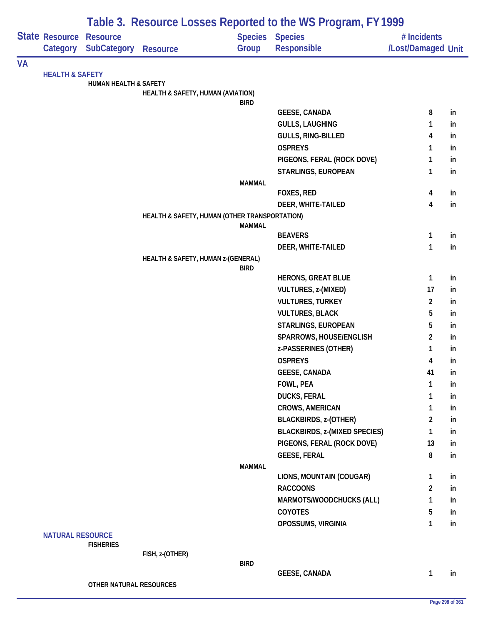|    |                                   |                                                |                                               |               | Table 3. Resource Losses Reported to the WS Program, FY1999 |                                   |          |
|----|-----------------------------------|------------------------------------------------|-----------------------------------------------|---------------|-------------------------------------------------------------|-----------------------------------|----------|
|    | <b>State Resource</b><br>Category | <b>Resource</b><br><b>SubCategory Resource</b> |                                               | Group         | Species Species<br>Responsible                              | # Incidents<br>/Lost/Damaged Unit |          |
| VA |                                   |                                                |                                               |               |                                                             |                                   |          |
|    | <b>HEALTH &amp; SAFETY</b>        |                                                |                                               |               |                                                             |                                   |          |
|    |                                   | HUMAN HEALTH & SAFETY                          |                                               |               |                                                             |                                   |          |
|    |                                   |                                                | HEALTH & SAFETY, HUMAN (AVIATION)             |               |                                                             |                                   |          |
|    |                                   |                                                |                                               | <b>BIRD</b>   | <b>GEESE, CANADA</b>                                        | 8                                 | in       |
|    |                                   |                                                |                                               |               | <b>GULLS, LAUGHING</b>                                      | $\mathbf{1}$                      | in       |
|    |                                   |                                                |                                               |               | GULLS, RING-BILLED                                          | 4                                 | in       |
|    |                                   |                                                |                                               |               | <b>OSPREYS</b>                                              | $\mathbf{1}$                      | in       |
|    |                                   |                                                |                                               |               | PIGEONS, FERAL (ROCK DOVE)                                  | 1                                 | in       |
|    |                                   |                                                |                                               |               | STARLINGS, EUROPEAN                                         | $\mathbf{1}$                      | in       |
|    |                                   |                                                |                                               | <b>MAMMAL</b> |                                                             |                                   |          |
|    |                                   |                                                |                                               |               | FOXES, RED                                                  | 4                                 | in       |
|    |                                   |                                                |                                               |               | DEER, WHITE-TAILED                                          | 4                                 | in       |
|    |                                   |                                                | HEALTH & SAFETY, HUMAN (OTHER TRANSPORTATION) |               |                                                             |                                   |          |
|    |                                   |                                                |                                               | <b>MAMMAL</b> | <b>BEAVERS</b>                                              | 1                                 | in       |
|    |                                   |                                                |                                               |               | DEER, WHITE-TAILED                                          | $\mathbf{1}$                      | in       |
|    |                                   |                                                | HEALTH & SAFETY, HUMAN z-(GENERAL)            |               |                                                             |                                   |          |
|    |                                   |                                                |                                               | <b>BIRD</b>   |                                                             |                                   |          |
|    |                                   |                                                |                                               |               | <b>HERONS, GREAT BLUE</b>                                   | $\mathbf{1}$                      | in       |
|    |                                   |                                                |                                               |               | <b>VULTURES, z-(MIXED)</b>                                  | 17                                | in       |
|    |                                   |                                                |                                               |               | <b>VULTURES, TURKEY</b><br><b>VULTURES, BLACK</b>           | $\overline{2}$<br>5               | in<br>in |
|    |                                   |                                                |                                               |               | STARLINGS, EUROPEAN                                         | 5                                 |          |
|    |                                   |                                                |                                               |               | SPARROWS, HOUSE/ENGLISH                                     | $\overline{2}$                    | in<br>in |
|    |                                   |                                                |                                               |               | z-PASSERINES (OTHER)                                        | 1                                 | in       |
|    |                                   |                                                |                                               |               | <b>OSPREYS</b>                                              | 4                                 | in       |
|    |                                   |                                                |                                               |               | <b>GEESE, CANADA</b>                                        | 41                                | in       |
|    |                                   |                                                |                                               |               | FOWL, PEA                                                   | $\mathbf{1}$                      | in       |
|    |                                   |                                                |                                               |               | <b>DUCKS, FERAL</b>                                         | 1                                 | in       |
|    |                                   |                                                |                                               |               | <b>CROWS, AMERICAN</b>                                      | $\mathbf{1}$                      | in       |
|    |                                   |                                                |                                               |               | <b>BLACKBIRDS, z-(OTHER)</b>                                | $\overline{c}$                    | in       |
|    |                                   |                                                |                                               |               | <b>BLACKBIRDS, z-(MIXED SPECIES)</b>                        | $\mathbf{1}$                      | in       |
|    |                                   |                                                |                                               |               | PIGEONS, FERAL (ROCK DOVE)                                  | 13                                | in       |
|    |                                   |                                                |                                               |               | <b>GEESE, FERAL</b>                                         | 8                                 | in       |
|    |                                   |                                                |                                               | <b>MAMMAL</b> |                                                             |                                   |          |
|    |                                   |                                                |                                               |               | LIONS, MOUNTAIN (COUGAR)                                    | $\mathbf{1}$                      | in       |
|    |                                   |                                                |                                               |               | <b>RACCOONS</b>                                             | $\overline{2}$                    | in       |
|    |                                   |                                                |                                               |               | MARMOTS/WOODCHUCKS (ALL)                                    | 1                                 | in       |
|    |                                   |                                                |                                               |               | COYOTES                                                     | 5                                 | in       |
|    |                                   |                                                |                                               |               | OPOSSUMS, VIRGINIA                                          | $\mathbf{1}$                      | in       |
|    | <b>NATURAL RESOURCE</b>           |                                                |                                               |               |                                                             |                                   |          |
|    |                                   | <b>FISHERIES</b>                               | FISH, z-(OTHER)                               |               |                                                             |                                   |          |
|    |                                   |                                                |                                               | <b>BIRD</b>   |                                                             |                                   |          |
|    |                                   |                                                |                                               |               | <b>GEESE, CANADA</b>                                        | 1                                 | in       |

**OTHER NATURAL RESOURCES**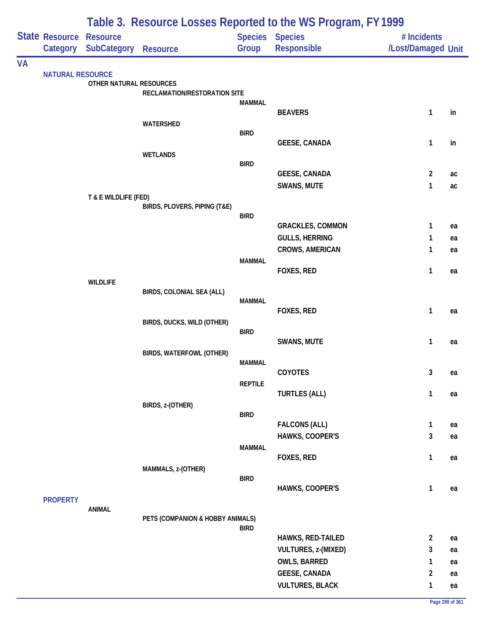|           | Table 3. Resource Losses Reported to the WS Program, FY 1999 |                                         |                                  |                |                                                  |                                   |          |
|-----------|--------------------------------------------------------------|-----------------------------------------|----------------------------------|----------------|--------------------------------------------------|-----------------------------------|----------|
|           | <b>State Resource</b>                                        | <b>Resource</b><br>Category SubCategory | <b>Resource</b>                  | Group          | Species Species<br><b>Responsible</b>            | # Incidents<br>/Lost/Damaged Unit |          |
|           |                                                              |                                         |                                  |                |                                                  |                                   |          |
| <b>VA</b> | <b>NATURAL RESOURCE</b>                                      |                                         |                                  |                |                                                  |                                   |          |
|           |                                                              | OTHER NATURAL RESOURCES                 |                                  |                |                                                  |                                   |          |
|           |                                                              |                                         | RECLAMATION/RESTORATION SITE     | <b>MAMMAL</b>  |                                                  |                                   |          |
|           |                                                              |                                         |                                  |                | <b>BEAVERS</b>                                   | 1                                 | in       |
|           |                                                              |                                         | WATERSHED                        |                |                                                  |                                   |          |
|           |                                                              |                                         |                                  | <b>BIRD</b>    | <b>GEESE, CANADA</b>                             | $\mathbf{1}$                      | in       |
|           |                                                              |                                         | <b>WETLANDS</b>                  |                |                                                  |                                   |          |
|           |                                                              |                                         |                                  | <b>BIRD</b>    |                                                  |                                   |          |
|           |                                                              |                                         |                                  |                | <b>GEESE, CANADA</b>                             | $\overline{2}$                    | ac       |
|           |                                                              | T & E WILDLIFE (FED)                    |                                  |                | SWANS, MUTE                                      | $\mathbf{1}$                      | ac       |
|           |                                                              |                                         | BIRDS, PLOVERS, PIPING (T&E)     |                |                                                  |                                   |          |
|           |                                                              |                                         |                                  | <b>BIRD</b>    |                                                  |                                   |          |
|           |                                                              |                                         |                                  |                | <b>GRACKLES, COMMON</b><br><b>GULLS, HERRING</b> | 1<br>1                            | ea<br>ea |
|           |                                                              |                                         |                                  |                | CROWS, AMERICAN                                  | 1                                 | ea       |
|           |                                                              |                                         |                                  | <b>MAMMAL</b>  |                                                  |                                   |          |
|           |                                                              |                                         |                                  |                | FOXES, RED                                       | 1                                 | ea       |
|           |                                                              | <b>WILDLIFE</b>                         | BIRDS, COLONIAL SEA (ALL)        |                |                                                  |                                   |          |
|           |                                                              |                                         |                                  | <b>MAMMAL</b>  |                                                  |                                   |          |
|           |                                                              |                                         |                                  |                | FOXES, RED                                       | 1                                 | ea       |
|           |                                                              |                                         | BIRDS, DUCKS, WILD (OTHER)       | <b>BIRD</b>    |                                                  |                                   |          |
|           |                                                              |                                         |                                  |                | SWANS, MUTE                                      | 1                                 | ea       |
|           |                                                              |                                         | <b>BIRDS, WATERFOWL (OTHER)</b>  |                |                                                  |                                   |          |
|           |                                                              |                                         |                                  | <b>MAMMAL</b>  | COYOTES                                          | 3                                 | ea       |
|           |                                                              |                                         |                                  | <b>REPTILE</b> |                                                  |                                   |          |
|           |                                                              |                                         |                                  |                | <b>TURTLES (ALL)</b>                             | $\mathbf{1}$                      | ea       |
|           |                                                              |                                         | BIRDS, z-(OTHER)                 | <b>BIRD</b>    |                                                  |                                   |          |
|           |                                                              |                                         |                                  |                | <b>FALCONS (ALL)</b>                             | $\mathbf{1}$                      | ea       |
|           |                                                              |                                         |                                  |                | HAWKS, COOPER'S                                  | $\mathbf{3}$                      | ea       |
|           |                                                              |                                         |                                  | <b>MAMMAL</b>  |                                                  |                                   |          |
|           |                                                              |                                         | MAMMALS, z-(OTHER)               |                | FOXES, RED                                       | $\mathbf{1}$                      | ea       |
|           |                                                              |                                         |                                  | <b>BIRD</b>    |                                                  |                                   |          |
|           |                                                              |                                         |                                  |                | HAWKS, COOPER'S                                  | $\mathbf{1}$                      | ea       |
|           | <b>PROPERTY</b>                                              | ANIMAL                                  |                                  |                |                                                  |                                   |          |
|           |                                                              |                                         | PETS (COMPANION & HOBBY ANIMALS) |                |                                                  |                                   |          |
|           |                                                              |                                         |                                  | <b>BIRD</b>    |                                                  |                                   |          |
|           |                                                              |                                         |                                  |                | HAWKS, RED-TAILED<br>VULTURES, z-(MIXED)         | $\overline{2}$<br>3               | ea<br>ea |
|           |                                                              |                                         |                                  |                | OWLS, BARRED                                     | 1                                 | ea       |
|           |                                                              |                                         |                                  |                | <b>GEESE, CANADA</b>                             | $\overline{2}$                    | ea       |
|           |                                                              |                                         |                                  |                | <b>VULTURES, BLACK</b>                           | $\mathbf{1}$                      | ea       |
|           |                                                              |                                         |                                  |                |                                                  |                                   |          |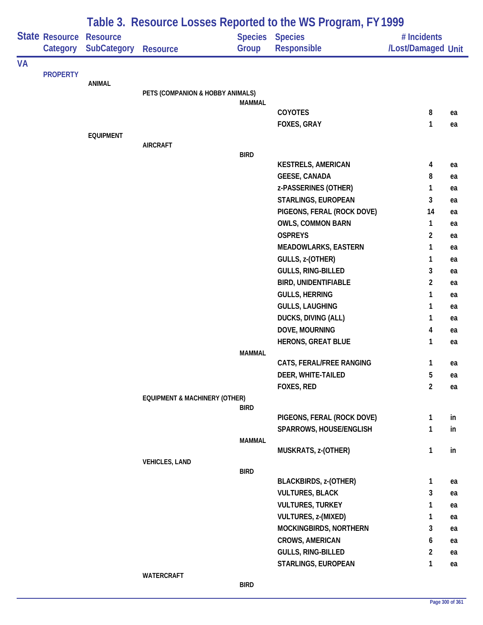|    |                 | Table 3. Resource Losses Reported to the WS Program, FY 1999 |                                          |               |                                             |                    |          |  |  |
|----|-----------------|--------------------------------------------------------------|------------------------------------------|---------------|---------------------------------------------|--------------------|----------|--|--|
|    | State Resource  | <b>Resource</b>                                              |                                          |               | <b>Species Species</b>                      | # Incidents        |          |  |  |
|    | Category        | <b>SubCategory</b>                                           | <b>Resource</b>                          | Group         | <b>Responsible</b>                          | /Lost/Damaged Unit |          |  |  |
| VA | <b>PROPERTY</b> |                                                              |                                          |               |                                             |                    |          |  |  |
|    |                 | <b>ANIMAL</b>                                                |                                          |               |                                             |                    |          |  |  |
|    |                 |                                                              | PETS (COMPANION & HOBBY ANIMALS)         |               |                                             |                    |          |  |  |
|    |                 |                                                              |                                          | <b>MAMMAL</b> | <b>COYOTES</b>                              |                    |          |  |  |
|    |                 |                                                              |                                          |               | FOXES, GRAY                                 | 8<br>1             | ea<br>ea |  |  |
|    |                 | <b>EQUIPMENT</b>                                             |                                          |               |                                             |                    |          |  |  |
|    |                 |                                                              | <b>AIRCRAFT</b>                          |               |                                             |                    |          |  |  |
|    |                 |                                                              |                                          | <b>BIRD</b>   |                                             |                    |          |  |  |
|    |                 |                                                              |                                          |               | <b>KESTRELS, AMERICAN</b>                   | 4                  | ea       |  |  |
|    |                 |                                                              |                                          |               | <b>GEESE, CANADA</b>                        | 8                  | ea       |  |  |
|    |                 |                                                              |                                          |               | z-PASSERINES (OTHER)<br>STARLINGS, EUROPEAN | $\mathbf{1}$<br>3  | ea       |  |  |
|    |                 |                                                              |                                          |               | PIGEONS, FERAL (ROCK DOVE)                  | 14                 | ea       |  |  |
|    |                 |                                                              |                                          |               | <b>OWLS, COMMON BARN</b>                    | $\mathbf{1}$       | ea<br>ea |  |  |
|    |                 |                                                              |                                          |               | <b>OSPREYS</b>                              | 2                  | ea       |  |  |
|    |                 |                                                              |                                          |               | <b>MEADOWLARKS, EASTERN</b>                 | 1                  | ea       |  |  |
|    |                 |                                                              |                                          |               | GULLS, z-(OTHER)                            | 1                  | ea       |  |  |
|    |                 |                                                              |                                          |               | GULLS, RING-BILLED                          | 3                  | ea       |  |  |
|    |                 |                                                              |                                          |               | <b>BIRD, UNIDENTIFIABLE</b>                 | $\overline{c}$     | ea       |  |  |
|    |                 |                                                              |                                          |               | <b>GULLS, HERRING</b>                       | 1                  | ea       |  |  |
|    |                 |                                                              |                                          |               | <b>GULLS, LAUGHING</b>                      | 1                  | ea       |  |  |
|    |                 |                                                              |                                          |               | DUCKS, DIVING (ALL)                         | 1                  | ea       |  |  |
|    |                 |                                                              |                                          |               | DOVE, MOURNING                              | 4                  | ea       |  |  |
|    |                 |                                                              |                                          |               | <b>HERONS, GREAT BLUE</b>                   | 1                  | ea       |  |  |
|    |                 |                                                              |                                          | <b>MAMMAL</b> |                                             |                    |          |  |  |
|    |                 |                                                              |                                          |               | CATS, FERAL/FREE RANGING                    | 1                  | ea       |  |  |
|    |                 |                                                              |                                          |               | DEER, WHITE-TAILED                          | $5\phantom{.0}$    | ea       |  |  |
|    |                 |                                                              |                                          |               | FOXES, RED                                  | $\overline{2}$     | ea       |  |  |
|    |                 |                                                              | <b>EQUIPMENT &amp; MACHINERY (OTHER)</b> | <b>BIRD</b>   |                                             |                    |          |  |  |
|    |                 |                                                              |                                          |               | PIGEONS, FERAL (ROCK DOVE)                  | 1                  | in       |  |  |
|    |                 |                                                              |                                          |               | SPARROWS, HOUSE/ENGLISH                     | 1                  | in       |  |  |
|    |                 |                                                              |                                          | <b>MAMMAL</b> |                                             |                    |          |  |  |
|    |                 |                                                              |                                          |               | MUSKRATS, z-(OTHER)                         | 1                  | in       |  |  |
|    |                 |                                                              | <b>VEHICLES, LAND</b>                    | <b>BIRD</b>   |                                             |                    |          |  |  |
|    |                 |                                                              |                                          |               | <b>BLACKBIRDS, z-(OTHER)</b>                | 1                  | ea       |  |  |
|    |                 |                                                              |                                          |               | <b>VULTURES, BLACK</b>                      | 3                  | ea       |  |  |
|    |                 |                                                              |                                          |               | <b>VULTURES, TURKEY</b>                     | 1                  | ea       |  |  |
|    |                 |                                                              |                                          |               | VULTURES, z-(MIXED)                         | 1                  | ea       |  |  |
|    |                 |                                                              |                                          |               | MOCKINGBIRDS, NORTHERN                      | 3                  | ea       |  |  |
|    |                 |                                                              |                                          |               | <b>CROWS, AMERICAN</b>                      | 6                  | ea       |  |  |
|    |                 |                                                              |                                          |               | GULLS, RING-BILLED                          | $\overline{2}$     | ea       |  |  |
|    |                 |                                                              |                                          |               | STARLINGS, EUROPEAN                         | 1                  | ea       |  |  |
|    |                 |                                                              | WATERCRAFT                               |               |                                             |                    |          |  |  |
|    |                 |                                                              |                                          | <b>BIRD</b>   |                                             |                    |          |  |  |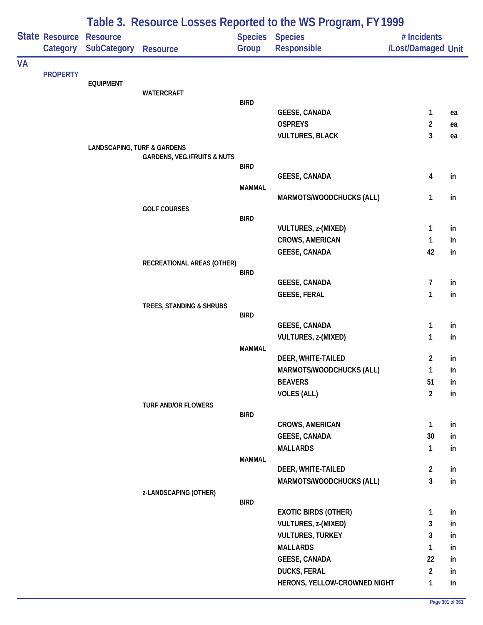| Table 3. Resource Losses Reported to the WS Program, FY 1999 |                            |                                        |                                        |               |                                             |                                   |          |
|--------------------------------------------------------------|----------------------------|----------------------------------------|----------------------------------------|---------------|---------------------------------------------|-----------------------------------|----------|
|                                                              | State Resource<br>Category | <b>Resource</b><br><b>SubCategory</b>  | <b>Resource</b>                        | Group         | <b>Species Species</b><br>Responsible       | # Incidents<br>/Lost/Damaged Unit |          |
| <b>VA</b>                                                    |                            |                                        |                                        |               |                                             |                                   |          |
|                                                              | <b>PROPERTY</b>            | <b>EQUIPMENT</b>                       |                                        |               |                                             |                                   |          |
|                                                              |                            |                                        | <b>WATERCRAFT</b>                      |               |                                             |                                   |          |
|                                                              |                            |                                        |                                        | <b>BIRD</b>   |                                             |                                   |          |
|                                                              |                            |                                        |                                        |               | <b>GEESE, CANADA</b>                        | 1                                 | ea       |
|                                                              |                            |                                        |                                        |               | <b>OSPREYS</b>                              | 2<br>3                            | ea       |
|                                                              |                            | <b>LANDSCAPING, TURF &amp; GARDENS</b> |                                        |               | <b>VULTURES, BLACK</b>                      |                                   | ea       |
|                                                              |                            |                                        | <b>GARDENS, VEG./FRUITS &amp; NUTS</b> |               |                                             |                                   |          |
|                                                              |                            |                                        |                                        | <b>BIRD</b>   |                                             |                                   |          |
|                                                              |                            |                                        |                                        |               | <b>GEESE, CANADA</b>                        | 4                                 | in       |
|                                                              |                            |                                        |                                        | <b>MAMMAL</b> | MARMOTS/WOODCHUCKS (ALL)                    | 1                                 | in       |
|                                                              |                            |                                        | <b>GOLF COURSES</b>                    |               |                                             |                                   |          |
|                                                              |                            |                                        |                                        | <b>BIRD</b>   |                                             |                                   |          |
|                                                              |                            |                                        |                                        |               | <b>VULTURES, z-(MIXED)</b>                  | 1                                 | in       |
|                                                              |                            |                                        |                                        |               | <b>CROWS, AMERICAN</b>                      | 1                                 | in       |
|                                                              |                            |                                        |                                        |               | <b>GEESE, CANADA</b>                        | 42                                | in       |
|                                                              |                            |                                        | RECREATIONAL AREAS (OTHER)             | <b>BIRD</b>   |                                             |                                   |          |
|                                                              |                            |                                        |                                        |               | <b>GEESE, CANADA</b>                        | 7                                 | in       |
|                                                              |                            |                                        |                                        |               | <b>GEESE, FERAL</b>                         | 1                                 | in       |
|                                                              |                            |                                        | TREES, STANDING & SHRUBS               |               |                                             |                                   |          |
|                                                              |                            |                                        |                                        | <b>BIRD</b>   |                                             |                                   |          |
|                                                              |                            |                                        |                                        |               | <b>GEESE, CANADA</b>                        | 1                                 | in       |
|                                                              |                            |                                        |                                        | <b>MAMMAL</b> | <b>VULTURES, z-(MIXED)</b>                  | 1                                 | in       |
|                                                              |                            |                                        |                                        |               | DEER, WHITE-TAILED                          | 2                                 | in       |
|                                                              |                            |                                        |                                        |               | MARMOTS/WOODCHUCKS (ALL)                    | 1                                 | in       |
|                                                              |                            |                                        |                                        |               | <b>BEAVERS</b>                              | 51                                | in       |
|                                                              |                            |                                        |                                        |               | <b>VOLES (ALL)</b>                          | $\overline{2}$                    | in       |
|                                                              |                            |                                        | <b>TURF AND/OR FLOWERS</b>             |               |                                             |                                   |          |
|                                                              |                            |                                        |                                        | <b>BIRD</b>   |                                             |                                   |          |
|                                                              |                            |                                        |                                        |               | CROWS, AMERICAN                             | $\mathbf{1}$                      | in       |
|                                                              |                            |                                        |                                        |               | <b>GEESE, CANADA</b>                        | 30                                | in       |
|                                                              |                            |                                        |                                        | <b>MAMMAL</b> | <b>MALLARDS</b>                             | $\mathbf{1}$                      | in       |
|                                                              |                            |                                        |                                        |               | DEER, WHITE-TAILED                          | $\overline{2}$                    | in       |
|                                                              |                            |                                        |                                        |               | MARMOTS/WOODCHUCKS (ALL)                    | 3                                 | in       |
|                                                              |                            |                                        | z-LANDSCAPING (OTHER)                  |               |                                             |                                   |          |
|                                                              |                            |                                        |                                        | <b>BIRD</b>   |                                             |                                   |          |
|                                                              |                            |                                        |                                        |               | <b>EXOTIC BIRDS (OTHER)</b>                 | 1                                 | in       |
|                                                              |                            |                                        |                                        |               | VULTURES, z-(MIXED)                         | 3                                 | in       |
|                                                              |                            |                                        |                                        |               | <b>VULTURES, TURKEY</b>                     | 3                                 | in       |
|                                                              |                            |                                        |                                        |               | <b>MALLARDS</b>                             | 1                                 | in       |
|                                                              |                            |                                        |                                        |               | <b>GEESE, CANADA</b><br><b>DUCKS, FERAL</b> | 22<br>2                           | in<br>in |
|                                                              |                            |                                        |                                        |               | HERONS, YELLOW-CROWNED NIGHT                | 1                                 | in       |
|                                                              |                            |                                        |                                        |               |                                             |                                   |          |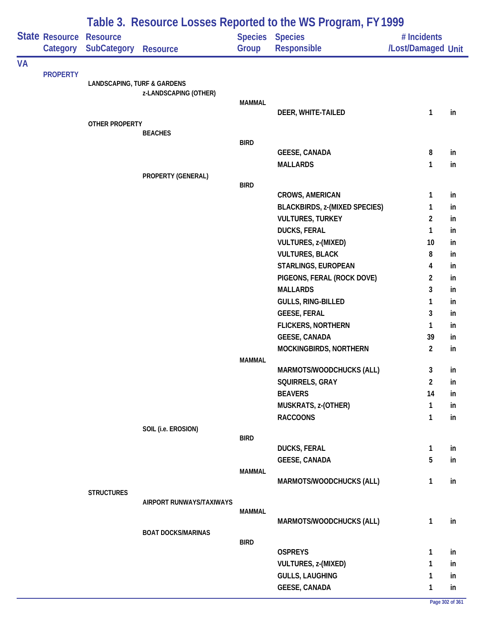|           |                                   | Table 3. Resource Losses Reported to the WS Program, FY 1999 |                           |               |                                      |                                   |    |  |  |  |
|-----------|-----------------------------------|--------------------------------------------------------------|---------------------------|---------------|--------------------------------------|-----------------------------------|----|--|--|--|
|           | <b>State Resource</b><br>Category | <b>Resource</b><br><b>SubCategory</b>                        | <b>Resource</b>           | Group         | Species Species<br>Responsible       | # Incidents<br>/Lost/Damaged Unit |    |  |  |  |
| <b>VA</b> |                                   |                                                              |                           |               |                                      |                                   |    |  |  |  |
|           | <b>PROPERTY</b>                   | <b>LANDSCAPING, TURF &amp; GARDENS</b>                       |                           |               |                                      |                                   |    |  |  |  |
|           |                                   |                                                              | z-LANDSCAPING (OTHER)     |               |                                      |                                   |    |  |  |  |
|           |                                   |                                                              |                           | <b>MAMMAL</b> |                                      |                                   |    |  |  |  |
|           |                                   |                                                              |                           |               | DEER, WHITE-TAILED                   | $\mathbf{1}$                      | in |  |  |  |
|           |                                   | OTHER PROPERTY                                               | <b>BEACHES</b>            |               |                                      |                                   |    |  |  |  |
|           |                                   |                                                              |                           | <b>BIRD</b>   |                                      |                                   |    |  |  |  |
|           |                                   |                                                              |                           |               | <b>GEESE, CANADA</b>                 | 8                                 | in |  |  |  |
|           |                                   |                                                              |                           |               | <b>MALLARDS</b>                      | 1                                 | in |  |  |  |
|           |                                   |                                                              | PROPERTY (GENERAL)        |               |                                      |                                   |    |  |  |  |
|           |                                   |                                                              |                           | <b>BIRD</b>   | <b>CROWS, AMERICAN</b>               | 1                                 | in |  |  |  |
|           |                                   |                                                              |                           |               | <b>BLACKBIRDS, z-(MIXED SPECIES)</b> | 1                                 | in |  |  |  |
|           |                                   |                                                              |                           |               | <b>VULTURES, TURKEY</b>              | 2                                 | in |  |  |  |
|           |                                   |                                                              |                           |               | <b>DUCKS, FERAL</b>                  | 1                                 | in |  |  |  |
|           |                                   |                                                              |                           |               | VULTURES, z-(MIXED)                  | 10                                | in |  |  |  |
|           |                                   |                                                              |                           |               | <b>VULTURES, BLACK</b>               | 8                                 | in |  |  |  |
|           |                                   |                                                              |                           |               | STARLINGS, EUROPEAN                  | 4                                 | in |  |  |  |
|           |                                   |                                                              |                           |               | PIGEONS, FERAL (ROCK DOVE)           | $\overline{2}$                    | in |  |  |  |
|           |                                   |                                                              |                           |               | <b>MALLARDS</b>                      | 3                                 | in |  |  |  |
|           |                                   |                                                              |                           |               | GULLS, RING-BILLED                   | 1                                 | in |  |  |  |
|           |                                   |                                                              |                           |               | <b>GEESE, FERAL</b>                  | 3                                 | in |  |  |  |
|           |                                   |                                                              |                           |               | <b>FLICKERS, NORTHERN</b>            | 1                                 | in |  |  |  |
|           |                                   |                                                              |                           |               | GEESE, CANADA                        | 39                                | in |  |  |  |
|           |                                   |                                                              |                           |               | MOCKINGBIRDS, NORTHERN               | $\overline{2}$                    | in |  |  |  |
|           |                                   |                                                              |                           | <b>MAMMAL</b> |                                      |                                   |    |  |  |  |
|           |                                   |                                                              |                           |               | MARMOTS/WOODCHUCKS (ALL)             | $\mathbf{3}$                      | in |  |  |  |
|           |                                   |                                                              |                           |               | SQUIRRELS, GRAY                      | $\overline{2}$                    | in |  |  |  |
|           |                                   |                                                              |                           |               | <b>BEAVERS</b>                       | 14                                | in |  |  |  |
|           |                                   |                                                              |                           |               | MUSKRATS, z-(OTHER)                  | 1                                 | in |  |  |  |
|           |                                   |                                                              |                           |               | <b>RACCOONS</b>                      | $\mathbf{1}$                      | in |  |  |  |
|           |                                   |                                                              | SOIL (i.e. EROSION)       | <b>BIRD</b>   |                                      |                                   |    |  |  |  |
|           |                                   |                                                              |                           |               | <b>DUCKS, FERAL</b>                  | $\mathbf{1}$                      | in |  |  |  |
|           |                                   |                                                              |                           |               | <b>GEESE, CANADA</b>                 | 5                                 | in |  |  |  |
|           |                                   |                                                              |                           | <b>MAMMAL</b> |                                      |                                   |    |  |  |  |
|           |                                   |                                                              |                           |               | MARMOTS/WOODCHUCKS (ALL)             | 1                                 | in |  |  |  |
|           |                                   | <b>STRUCTURES</b>                                            |                           |               |                                      |                                   |    |  |  |  |
|           |                                   |                                                              | AIRPORT RUNWAYS/TAXIWAYS  | <b>MAMMAL</b> |                                      |                                   |    |  |  |  |
|           |                                   |                                                              |                           |               | MARMOTS/WOODCHUCKS (ALL)             | $\mathbf{1}$                      | in |  |  |  |
|           |                                   |                                                              | <b>BOAT DOCKS/MARINAS</b> |               |                                      |                                   |    |  |  |  |
|           |                                   |                                                              |                           | <b>BIRD</b>   |                                      |                                   |    |  |  |  |
|           |                                   |                                                              |                           |               | <b>OSPREYS</b>                       | $\mathbf{1}$                      | in |  |  |  |
|           |                                   |                                                              |                           |               | <b>VULTURES, z-(MIXED)</b>           | 1                                 | in |  |  |  |
|           |                                   |                                                              |                           |               | <b>GULLS, LAUGHING</b>               | $\mathbf{1}$                      | in |  |  |  |
|           |                                   |                                                              |                           |               | <b>GEESE, CANADA</b>                 | $\mathbf{1}$                      | in |  |  |  |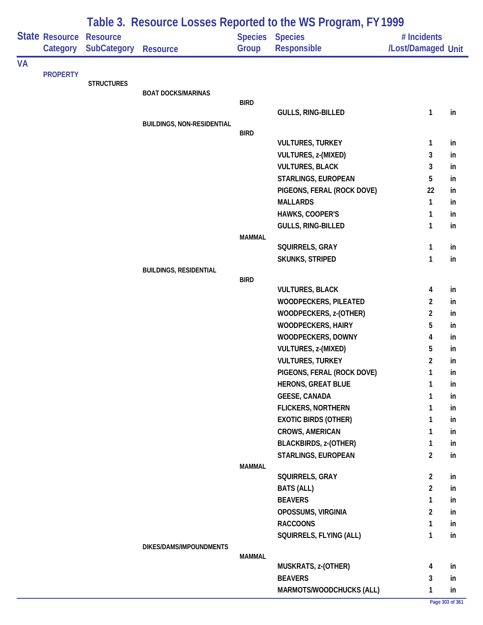|           |                       |                    | Table 3. Resource Losses Reported to the WS Program, FY 1999 |               |                              |                         |    |  |  |
|-----------|-----------------------|--------------------|--------------------------------------------------------------|---------------|------------------------------|-------------------------|----|--|--|
|           | <b>State Resource</b> | <b>Resource</b>    |                                                              |               | Species Species              | # Incidents             |    |  |  |
|           | Category              | <b>SubCategory</b> | <b>Resource</b>                                              | Group         | <b>Responsible</b>           | /Lost/Damaged Unit      |    |  |  |
| <b>VA</b> | <b>PROPERTY</b>       |                    |                                                              |               |                              |                         |    |  |  |
|           |                       | <b>STRUCTURES</b>  |                                                              |               |                              |                         |    |  |  |
|           |                       |                    | <b>BOAT DOCKS/MARINAS</b>                                    |               |                              |                         |    |  |  |
|           |                       |                    |                                                              | <b>BIRD</b>   | GULLS, RING-BILLED           | $\mathbf{1}$            | in |  |  |
|           |                       |                    | <b>BUILDINGS, NON-RESIDENTIAL</b>                            |               |                              |                         |    |  |  |
|           |                       |                    |                                                              | <b>BIRD</b>   |                              |                         |    |  |  |
|           |                       |                    |                                                              |               | <b>VULTURES, TURKEY</b>      | 1                       | in |  |  |
|           |                       |                    |                                                              |               | VULTURES, z-(MIXED)          | 3                       | in |  |  |
|           |                       |                    |                                                              |               | <b>VULTURES, BLACK</b>       | 3                       | in |  |  |
|           |                       |                    |                                                              |               | STARLINGS, EUROPEAN          | 5                       | in |  |  |
|           |                       |                    |                                                              |               | PIGEONS, FERAL (ROCK DOVE)   | 22                      | in |  |  |
|           |                       |                    |                                                              |               | <b>MALLARDS</b>              | $\mathbf{1}$            | in |  |  |
|           |                       |                    |                                                              |               | HAWKS, COOPER'S              | 1                       | in |  |  |
|           |                       |                    |                                                              |               | GULLS, RING-BILLED           | $\mathbf{1}$            | in |  |  |
|           |                       |                    |                                                              | <b>MAMMAL</b> |                              |                         |    |  |  |
|           |                       |                    |                                                              |               | SQUIRRELS, GRAY              | 1                       | in |  |  |
|           |                       |                    |                                                              |               | SKUNKS, STRIPED              | $\mathbf{1}$            | in |  |  |
|           |                       |                    | <b>BUILDINGS, RESIDENTIAL</b>                                | <b>BIRD</b>   |                              |                         |    |  |  |
|           |                       |                    |                                                              |               | <b>VULTURES, BLACK</b>       | 4                       | in |  |  |
|           |                       |                    |                                                              |               | WOODPECKERS, PILEATED        | $\overline{2}$          | in |  |  |
|           |                       |                    |                                                              |               | WOODPECKERS, z-(OTHER)       | $\overline{2}$          | in |  |  |
|           |                       |                    |                                                              |               | <b>WOODPECKERS, HAIRY</b>    | 5                       | in |  |  |
|           |                       |                    |                                                              |               | WOODPECKERS, DOWNY           | $\overline{\mathbf{4}}$ | in |  |  |
|           |                       |                    |                                                              |               | VULTURES, z-(MIXED)          | 5                       | in |  |  |
|           |                       |                    |                                                              |               | <b>VULTURES, TURKEY</b>      | $\overline{2}$          | in |  |  |
|           |                       |                    |                                                              |               | PIGEONS, FERAL (ROCK DOVE)   | 1                       | in |  |  |
|           |                       |                    |                                                              |               | <b>HERONS, GREAT BLUE</b>    | 1                       | in |  |  |
|           |                       |                    |                                                              |               | <b>GEESE, CANADA</b>         | 1                       | in |  |  |
|           |                       |                    |                                                              |               | <b>FLICKERS, NORTHERN</b>    | 1                       | in |  |  |
|           |                       |                    |                                                              |               | <b>EXOTIC BIRDS (OTHER)</b>  | 1                       | in |  |  |
|           |                       |                    |                                                              |               | <b>CROWS, AMERICAN</b>       | 1                       | in |  |  |
|           |                       |                    |                                                              |               | <b>BLACKBIRDS, z-(OTHER)</b> | 1                       | in |  |  |
|           |                       |                    |                                                              |               | STARLINGS, EUROPEAN          | $\overline{2}$          | in |  |  |
|           |                       |                    |                                                              | <b>MAMMAL</b> |                              |                         |    |  |  |
|           |                       |                    |                                                              |               | SQUIRRELS, GRAY              | $\overline{2}$          | in |  |  |
|           |                       |                    |                                                              |               | <b>BATS (ALL)</b>            | $\overline{a}$          | in |  |  |
|           |                       |                    |                                                              |               | <b>BEAVERS</b>               | $\mathbf{1}$            | in |  |  |
|           |                       |                    |                                                              |               | OPOSSUMS, VIRGINIA           | $\overline{2}$          | in |  |  |
|           |                       |                    |                                                              |               | <b>RACCOONS</b>              | 1                       | in |  |  |
|           |                       |                    |                                                              |               | SQUIRRELS, FLYING (ALL)      | $\mathbf{1}$            | in |  |  |
|           |                       |                    | DIKES/DAMS/IMPOUNDMENTS                                      | <b>MAMMAL</b> |                              |                         |    |  |  |
|           |                       |                    |                                                              |               | MUSKRATS, z-(OTHER)          | 4                       | in |  |  |
|           |                       |                    |                                                              |               | <b>BEAVERS</b>               | 3                       | in |  |  |
|           |                       |                    |                                                              |               | MARMOTS/WOODCHUCKS (ALL)     | 1                       | in |  |  |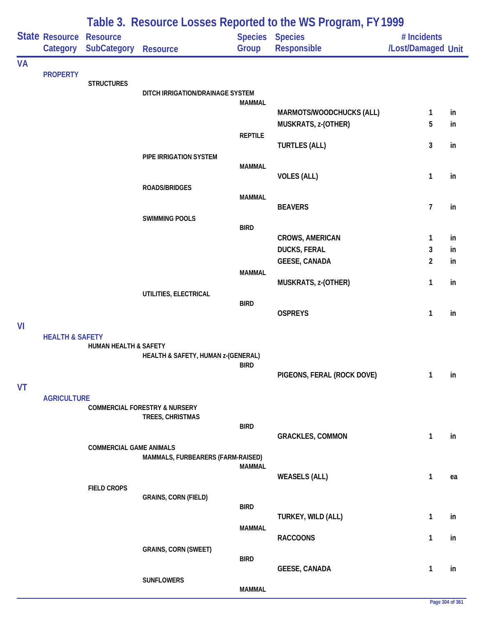| Table 3. Resource Losses Reported to the WS Program, FY 1999 |                                   |                                       |                                                              |                |                                |                                   |    |
|--------------------------------------------------------------|-----------------------------------|---------------------------------------|--------------------------------------------------------------|----------------|--------------------------------|-----------------------------------|----|
|                                                              | <b>State Resource</b><br>Category | <b>Resource</b><br><b>SubCategory</b> | <b>Resource</b>                                              | Group          | Species Species<br>Responsible | # Incidents<br>/Lost/Damaged Unit |    |
| <b>VA</b>                                                    |                                   |                                       |                                                              |                |                                |                                   |    |
|                                                              | <b>PROPERTY</b>                   | <b>STRUCTURES</b>                     |                                                              |                |                                |                                   |    |
|                                                              |                                   |                                       | DITCH IRRIGATION/DRAINAGE SYSTEM                             |                |                                |                                   |    |
|                                                              |                                   |                                       |                                                              | <b>MAMMAL</b>  | MARMOTS/WOODCHUCKS (ALL)       | 1                                 | in |
|                                                              |                                   |                                       |                                                              |                | MUSKRATS, z-(OTHER)            | 5                                 | in |
|                                                              |                                   |                                       |                                                              | <b>REPTILE</b> |                                |                                   |    |
|                                                              |                                   |                                       |                                                              |                | <b>TURTLES (ALL)</b>           | 3                                 | in |
|                                                              |                                   |                                       | PIPE IRRIGATION SYSTEM                                       |                |                                |                                   |    |
|                                                              |                                   |                                       |                                                              | <b>MAMMAL</b>  | <b>VOLES (ALL)</b>             | 1                                 | in |
|                                                              |                                   |                                       | <b>ROADS/BRIDGES</b>                                         |                |                                |                                   |    |
|                                                              |                                   |                                       |                                                              | <b>MAMMAL</b>  |                                |                                   |    |
|                                                              |                                   |                                       | <b>SWIMMING POOLS</b>                                        |                | <b>BEAVERS</b>                 | 7                                 | in |
|                                                              |                                   |                                       |                                                              | <b>BIRD</b>    |                                |                                   |    |
|                                                              |                                   |                                       |                                                              |                | <b>CROWS, AMERICAN</b>         | 1                                 | in |
|                                                              |                                   |                                       |                                                              |                | <b>DUCKS, FERAL</b>            | 3                                 | in |
|                                                              |                                   |                                       |                                                              | <b>MAMMAL</b>  | <b>GEESE, CANADA</b>           | $\overline{c}$                    | in |
|                                                              |                                   |                                       |                                                              |                | MUSKRATS, z-(OTHER)            | 1                                 | in |
|                                                              |                                   |                                       | UTILITIES, ELECTRICAL                                        |                |                                |                                   |    |
|                                                              |                                   |                                       |                                                              | <b>BIRD</b>    | <b>OSPREYS</b>                 | 1                                 | in |
| VI                                                           |                                   |                                       |                                                              |                |                                |                                   |    |
|                                                              | <b>HEALTH &amp; SAFETY</b>        |                                       |                                                              |                |                                |                                   |    |
|                                                              |                                   | HUMAN HEALTH & SAFETY                 |                                                              |                |                                |                                   |    |
|                                                              |                                   |                                       | HEALTH & SAFETY, HUMAN z-(GENERAL)                           | <b>BIRD</b>    |                                |                                   |    |
|                                                              |                                   |                                       |                                                              |                | PIGEONS, FERAL (ROCK DOVE)     | 1                                 | in |
| VT                                                           |                                   |                                       |                                                              |                |                                |                                   |    |
|                                                              | <b>AGRICULTURE</b>                |                                       |                                                              |                |                                |                                   |    |
|                                                              |                                   |                                       | <b>COMMERCIAL FORESTRY &amp; NURSERY</b><br>TREES, CHRISTMAS |                |                                |                                   |    |
|                                                              |                                   |                                       |                                                              | <b>BIRD</b>    |                                |                                   |    |
|                                                              |                                   |                                       |                                                              |                | <b>GRACKLES, COMMON</b>        | $\mathbf{1}$                      | in |
|                                                              |                                   | <b>COMMERCIAL GAME ANIMALS</b>        | MAMMALS, FURBEARERS (FARM-RAISED)                            |                |                                |                                   |    |
|                                                              |                                   |                                       |                                                              | <b>MAMMAL</b>  |                                |                                   |    |
|                                                              |                                   |                                       |                                                              |                | <b>WEASELS (ALL)</b>           | 1                                 | ea |
|                                                              |                                   | <b>FIELD CROPS</b>                    | <b>GRAINS, CORN (FIELD)</b>                                  |                |                                |                                   |    |
|                                                              |                                   |                                       |                                                              | <b>BIRD</b>    |                                |                                   |    |
|                                                              |                                   |                                       |                                                              |                | TURKEY, WILD (ALL)             | 1                                 | in |
|                                                              |                                   |                                       |                                                              | <b>MAMMAL</b>  | <b>RACCOONS</b>                | 1                                 | in |
|                                                              |                                   |                                       | <b>GRAINS, CORN (SWEET)</b>                                  |                |                                |                                   |    |
|                                                              |                                   |                                       |                                                              | <b>BIRD</b>    |                                |                                   |    |
|                                                              |                                   |                                       | <b>SUNFLOWERS</b>                                            |                | <b>GEESE, CANADA</b>           | $\mathbf{1}$                      | in |
|                                                              |                                   |                                       |                                                              | <b>MAMMAL</b>  |                                |                                   |    |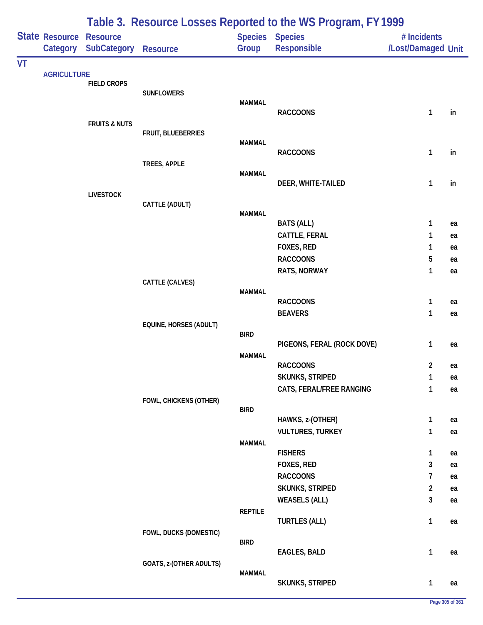| Table 3. Resource Losses Reported to the WS Program, FY 1999 |                            |                                       |                         |                |                                             |                                   |    |
|--------------------------------------------------------------|----------------------------|---------------------------------------|-------------------------|----------------|---------------------------------------------|-----------------------------------|----|
|                                                              | State Resource<br>Category | <b>Resource</b><br><b>SubCategory</b> | Resource                | Group          | Species Species<br>Responsible              | # Incidents<br>/Lost/Damaged Unit |    |
| <b>VT</b>                                                    |                            |                                       |                         |                |                                             |                                   |    |
|                                                              | <b>AGRICULTURE</b>         | <b>FIELD CROPS</b>                    |                         |                |                                             |                                   |    |
|                                                              |                            |                                       | <b>SUNFLOWERS</b>       |                |                                             |                                   |    |
|                                                              |                            |                                       |                         | <b>MAMMAL</b>  | <b>RACCOONS</b>                             | 1                                 | in |
|                                                              |                            | <b>FRUITS &amp; NUTS</b>              |                         |                |                                             |                                   |    |
|                                                              |                            |                                       | FRUIT, BLUEBERRIES      |                |                                             |                                   |    |
|                                                              |                            |                                       |                         | <b>MAMMAL</b>  |                                             |                                   |    |
|                                                              |                            |                                       | TREES, APPLE            |                | <b>RACCOONS</b>                             | $\mathbf{1}$                      | in |
|                                                              |                            |                                       |                         | <b>MAMMAL</b>  |                                             |                                   |    |
|                                                              |                            |                                       |                         |                | DEER, WHITE-TAILED                          | $\mathbf{1}$                      | in |
|                                                              |                            | <b>LIVESTOCK</b>                      |                         |                |                                             |                                   |    |
|                                                              |                            |                                       | CATTLE (ADULT)          | <b>MAMMAL</b>  |                                             |                                   |    |
|                                                              |                            |                                       |                         |                | <b>BATS (ALL)</b>                           | 1                                 | ea |
|                                                              |                            |                                       |                         |                | CATTLE, FERAL                               | 1                                 | ea |
|                                                              |                            |                                       |                         |                | FOXES, RED                                  | 1                                 | ea |
|                                                              |                            |                                       |                         |                | <b>RACCOONS</b>                             | 5                                 | ea |
|                                                              |                            |                                       |                         |                | <b>RATS, NORWAY</b>                         | 1                                 | ea |
|                                                              |                            |                                       | CATTLE (CALVES)         |                |                                             |                                   |    |
|                                                              |                            |                                       |                         | <b>MAMMAL</b>  | <b>RACCOONS</b>                             | $\mathbf{1}$                      | ea |
|                                                              |                            |                                       |                         |                | <b>BEAVERS</b>                              | 1                                 | ea |
|                                                              |                            |                                       | EQUINE, HORSES (ADULT)  |                |                                             |                                   |    |
|                                                              |                            |                                       |                         | <b>BIRD</b>    |                                             |                                   |    |
|                                                              |                            |                                       |                         |                | PIGEONS, FERAL (ROCK DOVE)                  | 1                                 | ea |
|                                                              |                            |                                       |                         | <b>MAMMAL</b>  | <b>RACCOONS</b>                             | $\overline{2}$                    | ea |
|                                                              |                            |                                       |                         |                | <b>SKUNKS, STRIPED</b>                      | $\mathbf{1}$                      | ea |
|                                                              |                            |                                       |                         |                | CATS, FERAL/FREE RANGING                    | 1                                 | ea |
|                                                              |                            |                                       | FOWL, CHICKENS (OTHER)  |                |                                             |                                   |    |
|                                                              |                            |                                       |                         | <b>BIRD</b>    |                                             |                                   |    |
|                                                              |                            |                                       |                         |                | HAWKS, z-(OTHER)<br><b>VULTURES, TURKEY</b> | $\mathbf{1}$<br>1                 | ea |
|                                                              |                            |                                       |                         | <b>MAMMAL</b>  |                                             |                                   | ea |
|                                                              |                            |                                       |                         |                | <b>FISHERS</b>                              | 1                                 | ea |
|                                                              |                            |                                       |                         |                | FOXES, RED                                  | 3                                 | ea |
|                                                              |                            |                                       |                         |                | <b>RACCOONS</b>                             | 7                                 | ea |
|                                                              |                            |                                       |                         |                | SKUNKS, STRIPED                             | $\overline{a}$                    | ea |
|                                                              |                            |                                       |                         |                | <b>WEASELS (ALL)</b>                        | 3                                 | ea |
|                                                              |                            |                                       |                         | <b>REPTILE</b> |                                             |                                   |    |
|                                                              |                            |                                       | FOWL, DUCKS (DOMESTIC)  |                | <b>TURTLES (ALL)</b>                        | $\mathbf{1}$                      | ea |
|                                                              |                            |                                       |                         | <b>BIRD</b>    |                                             |                                   |    |
|                                                              |                            |                                       |                         |                | <b>EAGLES, BALD</b>                         | $\mathbf{1}$                      | ea |
|                                                              |                            |                                       | GOATS, z-(OTHER ADULTS) |                |                                             |                                   |    |
|                                                              |                            |                                       |                         | <b>MAMMAL</b>  | SKUNKS, STRIPED                             | $\mathbf{1}$                      | ea |
|                                                              |                            |                                       |                         |                |                                             |                                   |    |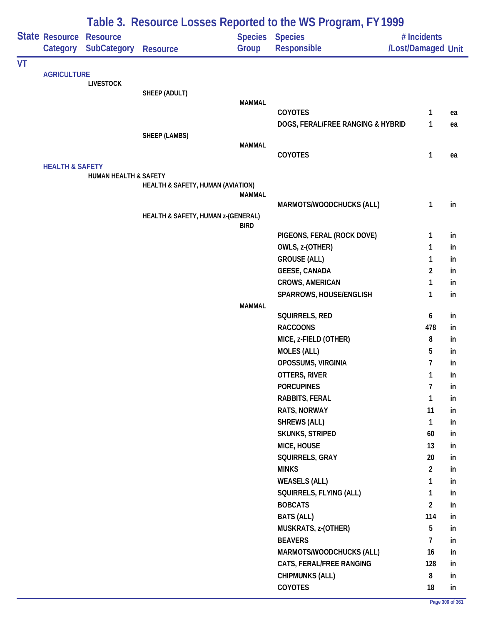| Table 3. Resource Losses Reported to the WS Program, FY 1999 |                            |                                  |                                    |               |                                   |                    |    |
|--------------------------------------------------------------|----------------------------|----------------------------------|------------------------------------|---------------|-----------------------------------|--------------------|----|
|                                                              | State Resource             | <b>Resource</b>                  |                                    |               | <b>Species Species</b>            | # Incidents        |    |
|                                                              | Category                   | <b>SubCategory</b>               | <b>Resource</b>                    | Group         | Responsible                       | /Lost/Damaged Unit |    |
| VT                                                           |                            |                                  |                                    |               |                                   |                    |    |
|                                                              | <b>AGRICULTURE</b>         |                                  |                                    |               |                                   |                    |    |
|                                                              |                            | <b>LIVESTOCK</b>                 | SHEEP (ADULT)                      |               |                                   |                    |    |
|                                                              |                            |                                  |                                    | <b>MAMMAL</b> |                                   |                    |    |
|                                                              |                            |                                  |                                    |               | <b>COYOTES</b>                    | 1                  | ea |
|                                                              |                            |                                  |                                    |               | DOGS, FERAL/FREE RANGING & HYBRID | 1                  | ea |
|                                                              |                            |                                  | SHEEP (LAMBS)                      |               |                                   |                    |    |
|                                                              |                            |                                  |                                    | <b>MAMMAL</b> |                                   |                    |    |
|                                                              |                            |                                  |                                    |               | COYOTES                           | $\mathbf{1}$       | ea |
|                                                              | <b>HEALTH &amp; SAFETY</b> | <b>HUMAN HEALTH &amp; SAFETY</b> |                                    |               |                                   |                    |    |
|                                                              |                            |                                  | HEALTH & SAFETY, HUMAN (AVIATION)  |               |                                   |                    |    |
|                                                              |                            |                                  |                                    | <b>MAMMAL</b> |                                   |                    |    |
|                                                              |                            |                                  |                                    |               | MARMOTS/WOODCHUCKS (ALL)          | $\mathbf{1}$       | in |
|                                                              |                            |                                  | HEALTH & SAFETY, HUMAN z-(GENERAL) | <b>BIRD</b>   |                                   |                    |    |
|                                                              |                            |                                  |                                    |               | PIGEONS, FERAL (ROCK DOVE)        | $\mathbf{1}$       | in |
|                                                              |                            |                                  |                                    |               | OWLS, z-(OTHER)                   | 1                  | in |
|                                                              |                            |                                  |                                    |               | <b>GROUSE (ALL)</b>               | 1                  | in |
|                                                              |                            |                                  |                                    |               | <b>GEESE, CANADA</b>              | $\overline{2}$     | in |
|                                                              |                            |                                  |                                    |               | <b>CROWS, AMERICAN</b>            | 1                  | in |
|                                                              |                            |                                  |                                    |               | SPARROWS, HOUSE/ENGLISH           | 1                  | in |
|                                                              |                            |                                  |                                    | <b>MAMMAL</b> |                                   |                    |    |
|                                                              |                            |                                  |                                    |               | SQUIRRELS, RED                    | 6                  | in |
|                                                              |                            |                                  |                                    |               | <b>RACCOONS</b>                   | 478                | in |
|                                                              |                            |                                  |                                    |               | MICE, z-FIELD (OTHER)             | 8                  | in |
|                                                              |                            |                                  |                                    |               | <b>MOLES (ALL)</b>                | 5                  | in |
|                                                              |                            |                                  |                                    |               | OPOSSUMS, VIRGINIA                | $\overline{7}$     | in |
|                                                              |                            |                                  |                                    |               | OTTERS, RIVER                     | $\mathbf{1}$       | in |
|                                                              |                            |                                  |                                    |               | <b>PORCUPINES</b>                 | $\overline{7}$     | in |
|                                                              |                            |                                  |                                    |               | RABBITS, FERAL                    | $\mathbf{1}$       | in |
|                                                              |                            |                                  |                                    |               | RATS, NORWAY                      | 11                 | in |
|                                                              |                            |                                  |                                    |               | <b>SHREWS (ALL)</b>               | $\mathbf{1}$       | in |
|                                                              |                            |                                  |                                    |               | SKUNKS, STRIPED                   | 60                 | in |
|                                                              |                            |                                  |                                    |               | MICE, HOUSE                       | 13                 | in |
|                                                              |                            |                                  |                                    |               | SQUIRRELS, GRAY                   | 20                 | in |
|                                                              |                            |                                  |                                    |               | <b>MINKS</b>                      | $\overline{2}$     | in |
|                                                              |                            |                                  |                                    |               | <b>WEASELS (ALL)</b>              | $\mathbf{1}$       | in |
|                                                              |                            |                                  |                                    |               | SQUIRRELS, FLYING (ALL)           | $\mathbf{1}$       | in |
|                                                              |                            |                                  |                                    |               | <b>BOBCATS</b>                    | $\overline{2}$     | in |
|                                                              |                            |                                  |                                    |               | <b>BATS (ALL)</b>                 | 114                | in |
|                                                              |                            |                                  |                                    |               | MUSKRATS, z-(OTHER)               | 5                  | in |
|                                                              |                            |                                  |                                    |               | <b>BEAVERS</b>                    | $\overline{7}$     | in |
|                                                              |                            |                                  |                                    |               | MARMOTS/WOODCHUCKS (ALL)          | 16                 | in |
|                                                              |                            |                                  |                                    |               | CATS, FERAL/FREE RANGING          | 128                | in |
|                                                              |                            |                                  |                                    |               | <b>CHIPMUNKS (ALL)</b>            | 8                  | in |
|                                                              |                            |                                  |                                    |               | COYOTES                           | 18                 | in |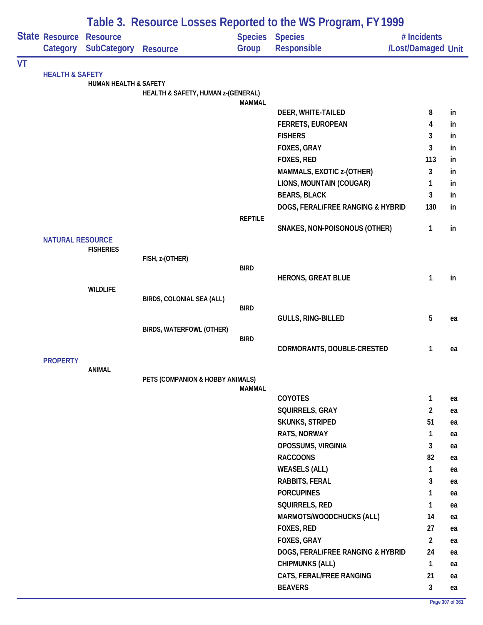|    |                            |                                       |                                    | Table 3. Resource Losses Reported to the WS Program, FY 1999 |                                              |                                   |     |
|----|----------------------------|---------------------------------------|------------------------------------|--------------------------------------------------------------|----------------------------------------------|-----------------------------------|-----|
|    | State Resource<br>Category | <b>Resource</b><br><b>SubCategory</b> | <b>Resource</b>                    | Group                                                        | <b>Species Species</b><br><b>Responsible</b> | # Incidents<br>/Lost/Damaged Unit |     |
| VT |                            |                                       |                                    |                                                              |                                              |                                   |     |
|    | <b>HEALTH &amp; SAFETY</b> | <b>HUMAN HEALTH &amp; SAFETY</b>      |                                    |                                                              |                                              |                                   |     |
|    |                            |                                       | HEALTH & SAFETY, HUMAN z-(GENERAL) |                                                              |                                              |                                   |     |
|    |                            |                                       |                                    | <b>MAMMAL</b>                                                | DEER, WHITE-TAILED                           | 8                                 | in  |
|    |                            |                                       |                                    |                                                              | <b>FERRETS, EUROPEAN</b>                     | 4                                 | in  |
|    |                            |                                       |                                    |                                                              | <b>FISHERS</b>                               | 3                                 | in  |
|    |                            |                                       |                                    |                                                              | FOXES, GRAY                                  | 3                                 | in  |
|    |                            |                                       |                                    |                                                              | FOXES, RED                                   | 113                               | in. |
|    |                            |                                       |                                    |                                                              | MAMMALS, EXOTIC z-(OTHER)                    | 3                                 | in  |
|    |                            |                                       |                                    |                                                              | LIONS, MOUNTAIN (COUGAR)                     | 1                                 | in  |
|    |                            |                                       |                                    |                                                              | <b>BEARS, BLACK</b>                          | 3                                 | in  |
|    |                            |                                       |                                    |                                                              | DOGS, FERAL/FREE RANGING & HYBRID            | 130                               | in  |
|    |                            |                                       |                                    | <b>REPTILE</b>                                               |                                              |                                   |     |
|    |                            |                                       |                                    |                                                              | SNAKES, NON-POISONOUS (OTHER)                | 1                                 | in  |
|    | <b>NATURAL RESOURCE</b>    |                                       |                                    |                                                              |                                              |                                   |     |
|    |                            | <b>FISHERIES</b>                      |                                    |                                                              |                                              |                                   |     |
|    |                            |                                       | FISH, z-(OTHER)                    | <b>BIRD</b>                                                  |                                              |                                   |     |
|    |                            |                                       |                                    |                                                              | <b>HERONS, GREAT BLUE</b>                    | 1                                 | in  |
|    |                            | <b>WILDLIFE</b>                       |                                    |                                                              |                                              |                                   |     |
|    |                            |                                       | BIRDS, COLONIAL SEA (ALL)          |                                                              |                                              |                                   |     |
|    |                            |                                       |                                    | <b>BIRD</b>                                                  | GULLS, RING-BILLED                           | 5                                 | ea  |
|    |                            |                                       | BIRDS, WATERFOWL (OTHER)           |                                                              |                                              |                                   |     |
|    |                            |                                       |                                    | <b>BIRD</b>                                                  |                                              |                                   |     |
|    |                            |                                       |                                    |                                                              | CORMORANTS, DOUBLE-CRESTED                   | 1                                 | ea  |
|    | <b>PROPERTY</b>            |                                       |                                    |                                                              |                                              |                                   |     |
|    |                            | ANIMAL                                | PETS (COMPANION & HOBBY ANIMALS)   |                                                              |                                              |                                   |     |
|    |                            |                                       |                                    | <b>MAMMAL</b>                                                |                                              |                                   |     |
|    |                            |                                       |                                    |                                                              | <b>COYOTES</b>                               | $\mathbf{1}$                      | ea  |
|    |                            |                                       |                                    |                                                              | SQUIRRELS, GRAY                              | $\overline{2}$                    | ea  |
|    |                            |                                       |                                    |                                                              | <b>SKUNKS, STRIPED</b>                       | 51                                | ea  |
|    |                            |                                       |                                    |                                                              | RATS, NORWAY                                 | $\mathbf{1}$                      | ea  |
|    |                            |                                       |                                    |                                                              | OPOSSUMS, VIRGINIA                           | 3                                 | ea  |
|    |                            |                                       |                                    |                                                              | <b>RACCOONS</b>                              | 82                                | ea  |
|    |                            |                                       |                                    |                                                              | <b>WEASELS (ALL)</b>                         | 1                                 | ea  |
|    |                            |                                       |                                    |                                                              | RABBITS, FERAL                               | 3                                 | ea  |
|    |                            |                                       |                                    |                                                              | <b>PORCUPINES</b>                            | 1                                 | ea  |
|    |                            |                                       |                                    |                                                              | SQUIRRELS, RED                               | 1                                 | ea  |
|    |                            |                                       |                                    |                                                              | MARMOTS/WOODCHUCKS (ALL)                     | 14                                | ea  |
|    |                            |                                       |                                    |                                                              | FOXES, RED                                   | 27                                | ea  |
|    |                            |                                       |                                    |                                                              | FOXES, GRAY                                  | $\overline{2}$                    | ea  |
|    |                            |                                       |                                    |                                                              | DOGS, FERAL/FREE RANGING & HYBRID            | 24                                | ea  |
|    |                            |                                       |                                    |                                                              | <b>CHIPMUNKS (ALL)</b>                       | $\mathbf{1}$                      | ea  |
|    |                            |                                       |                                    |                                                              | CATS, FERAL/FREE RANGING                     | 21                                | ea  |
|    |                            |                                       |                                    |                                                              | <b>BEAVERS</b>                               | 3                                 | ea  |

÷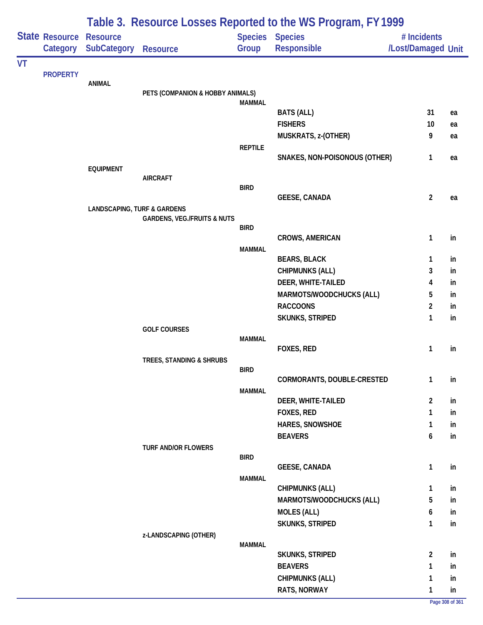|           | <b>State Resource Resource</b> |                    |                                        |                | Table 5. Resource Losses Reported to the WS FTOGRAM, LT 1777<br><b>Species Species</b> | # Incidents        |    |
|-----------|--------------------------------|--------------------|----------------------------------------|----------------|----------------------------------------------------------------------------------------|--------------------|----|
|           | Category                       | <b>SubCategory</b> | <b>Resource</b>                        | Group          | Responsible                                                                            | /Lost/Damaged Unit |    |
| <b>VT</b> |                                |                    |                                        |                |                                                                                        |                    |    |
|           | <b>PROPERTY</b>                |                    |                                        |                |                                                                                        |                    |    |
|           |                                | <b>ANIMAL</b>      | PETS (COMPANION & HOBBY ANIMALS)       |                |                                                                                        |                    |    |
|           |                                |                    |                                        | <b>MAMMAL</b>  |                                                                                        |                    |    |
|           |                                |                    |                                        |                | <b>BATS (ALL)</b>                                                                      | 31                 | ea |
|           |                                |                    |                                        |                | <b>FISHERS</b>                                                                         | 10                 | ea |
|           |                                |                    |                                        |                | MUSKRATS, z-(OTHER)                                                                    | 9                  | ea |
|           |                                |                    |                                        | <b>REPTILE</b> |                                                                                        |                    |    |
|           |                                |                    |                                        |                | SNAKES, NON-POISONOUS (OTHER)                                                          | $\mathbf{1}$       | ea |
|           |                                | <b>EQUIPMENT</b>   | <b>AIRCRAFT</b>                        |                |                                                                                        |                    |    |
|           |                                |                    |                                        | <b>BIRD</b>    |                                                                                        |                    |    |
|           |                                |                    |                                        |                | <b>GEESE, CANADA</b>                                                                   | $\overline{2}$     | ea |
|           |                                |                    | <b>LANDSCAPING, TURF &amp; GARDENS</b> |                |                                                                                        |                    |    |
|           |                                |                    | <b>GARDENS, VEG./FRUITS &amp; NUTS</b> |                |                                                                                        |                    |    |
|           |                                |                    |                                        | <b>BIRD</b>    | <b>CROWS, AMERICAN</b>                                                                 | $\mathbf{1}$       | in |
|           |                                |                    |                                        | <b>MAMMAL</b>  |                                                                                        |                    |    |
|           |                                |                    |                                        |                | <b>BEARS, BLACK</b>                                                                    | $\mathbf{1}$       | in |
|           |                                |                    |                                        |                | <b>CHIPMUNKS (ALL)</b>                                                                 | 3                  | in |
|           |                                |                    |                                        |                | DEER, WHITE-TAILED                                                                     | 4                  | in |
|           |                                |                    |                                        |                | MARMOTS/WOODCHUCKS (ALL)                                                               | 5                  | in |
|           |                                |                    |                                        |                | <b>RACCOONS</b>                                                                        | $\overline{c}$     | in |
|           |                                |                    |                                        |                | SKUNKS, STRIPED                                                                        | 1                  | in |
|           |                                |                    | <b>GOLF COURSES</b>                    |                |                                                                                        |                    |    |
|           |                                |                    |                                        | <b>MAMMAL</b>  |                                                                                        |                    |    |
|           |                                |                    |                                        |                | FOXES, RED                                                                             | $\mathbf{1}$       | in |
|           |                                |                    | TREES, STANDING & SHRUBS               | <b>BIRD</b>    |                                                                                        |                    |    |
|           |                                |                    |                                        |                | CORMORANTS, DOUBLE-CRESTED                                                             | 1                  | in |
|           |                                |                    |                                        | <b>MAMMAL</b>  |                                                                                        |                    |    |
|           |                                |                    |                                        |                | DEER, WHITE-TAILED                                                                     | $\overline{2}$     | in |
|           |                                |                    |                                        |                | FOXES, RED                                                                             | 1                  | in |
|           |                                |                    |                                        |                | HARES, SNOWSHOE                                                                        | 1                  | in |
|           |                                |                    |                                        |                | <b>BEAVERS</b>                                                                         | 6                  | in |
|           |                                |                    | <b>TURF AND/OR FLOWERS</b>             | <b>BIRD</b>    |                                                                                        |                    |    |
|           |                                |                    |                                        |                | <b>GEESE, CANADA</b>                                                                   | $\mathbf{1}$       | in |
|           |                                |                    |                                        | <b>MAMMAL</b>  |                                                                                        |                    |    |
|           |                                |                    |                                        |                | <b>CHIPMUNKS (ALL)</b>                                                                 | 1                  | in |
|           |                                |                    |                                        |                | MARMOTS/WOODCHUCKS (ALL)                                                               | 5                  | in |
|           |                                |                    |                                        |                | <b>MOLES (ALL)</b>                                                                     | 6                  | in |
|           |                                |                    |                                        |                | SKUNKS, STRIPED                                                                        | 1                  | in |
|           |                                |                    | z-LANDSCAPING (OTHER)                  |                |                                                                                        |                    |    |
|           |                                |                    |                                        | <b>MAMMAL</b>  |                                                                                        |                    |    |
|           |                                |                    |                                        |                | SKUNKS, STRIPED                                                                        | $\overline{2}$     | in |
|           |                                |                    |                                        |                | <b>BEAVERS</b>                                                                         | 1                  | in |
|           |                                |                    |                                        |                | <b>CHIPMUNKS (ALL)</b>                                                                 | 1                  | in |
|           |                                |                    |                                        |                | RATS, NORWAY                                                                           | 1                  | in |

## **Table 3. Resource Losses Reported to the WS Program, FY 1999**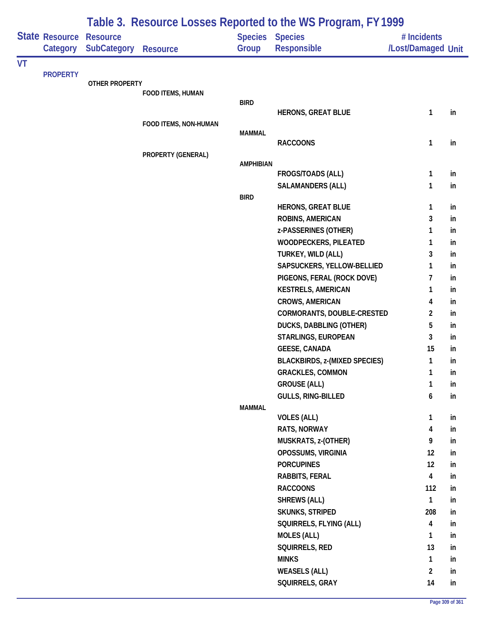|    |                                   | Table 3. Resource Losses Reported to the WS Program, FY 1999 |                       |                          |                                                  |                                   |          |  |  |  |
|----|-----------------------------------|--------------------------------------------------------------|-----------------------|--------------------------|--------------------------------------------------|-----------------------------------|----------|--|--|--|
|    | <b>State Resource</b><br>Category | <b>Resource</b><br><b>SubCategory</b>                        | <b>Resource</b>       | Species Species<br>Group | Responsible                                      | # Incidents<br>/Lost/Damaged Unit |          |  |  |  |
| VT |                                   |                                                              |                       |                          |                                                  |                                   |          |  |  |  |
|    | <b>PROPERTY</b>                   |                                                              |                       |                          |                                                  |                                   |          |  |  |  |
|    |                                   | <b>OTHER PROPERTY</b>                                        | FOOD ITEMS, HUMAN     |                          |                                                  |                                   |          |  |  |  |
|    |                                   |                                                              |                       | <b>BIRD</b>              |                                                  |                                   |          |  |  |  |
|    |                                   |                                                              |                       |                          | <b>HERONS, GREAT BLUE</b>                        | 1                                 | in       |  |  |  |
|    |                                   |                                                              | FOOD ITEMS, NON-HUMAN |                          |                                                  |                                   |          |  |  |  |
|    |                                   |                                                              |                       | <b>MAMMAL</b>            | <b>RACCOONS</b>                                  | 1                                 | in       |  |  |  |
|    |                                   |                                                              | PROPERTY (GENERAL)    |                          |                                                  |                                   |          |  |  |  |
|    |                                   |                                                              |                       | <b>AMPHIBIAN</b>         |                                                  |                                   |          |  |  |  |
|    |                                   |                                                              |                       |                          | <b>FROGS/TOADS (ALL)</b>                         | 1                                 | in       |  |  |  |
|    |                                   |                                                              |                       |                          | <b>SALAMANDERS (ALL)</b>                         | 1                                 | in       |  |  |  |
|    |                                   |                                                              |                       | <b>BIRD</b>              |                                                  |                                   |          |  |  |  |
|    |                                   |                                                              |                       |                          | <b>HERONS, GREAT BLUE</b>                        | 1                                 | in       |  |  |  |
|    |                                   |                                                              |                       |                          | ROBINS, AMERICAN                                 | 3                                 | in       |  |  |  |
|    |                                   |                                                              |                       |                          | z-PASSERINES (OTHER)                             | 1                                 | in       |  |  |  |
|    |                                   |                                                              |                       |                          | WOODPECKERS, PILEATED                            | 1<br>3                            | in       |  |  |  |
|    |                                   |                                                              |                       |                          | TURKEY, WILD (ALL)<br>SAPSUCKERS, YELLOW-BELLIED | 1                                 | in       |  |  |  |
|    |                                   |                                                              |                       |                          | PIGEONS, FERAL (ROCK DOVE)                       | 7                                 | in<br>in |  |  |  |
|    |                                   |                                                              |                       |                          | <b>KESTRELS, AMERICAN</b>                        | 1                                 | in       |  |  |  |
|    |                                   |                                                              |                       |                          | <b>CROWS, AMERICAN</b>                           | 4                                 | in       |  |  |  |
|    |                                   |                                                              |                       |                          | CORMORANTS, DOUBLE-CRESTED                       | $\overline{2}$                    | in       |  |  |  |
|    |                                   |                                                              |                       |                          | DUCKS, DABBLING (OTHER)                          | 5                                 | in       |  |  |  |
|    |                                   |                                                              |                       |                          | STARLINGS, EUROPEAN                              | 3                                 | in       |  |  |  |
|    |                                   |                                                              |                       |                          | <b>GEESE, CANADA</b>                             | 15                                | in       |  |  |  |
|    |                                   |                                                              |                       |                          | <b>BLACKBIRDS, z-(MIXED SPECIES)</b>             | 1                                 | in       |  |  |  |
|    |                                   |                                                              |                       |                          | <b>GRACKLES, COMMON</b>                          | 1                                 | in       |  |  |  |
|    |                                   |                                                              |                       |                          | <b>GROUSE (ALL)</b>                              | $\mathbf{1}$                      | in       |  |  |  |
|    |                                   |                                                              |                       |                          | GULLS, RING-BILLED                               | 6                                 | in       |  |  |  |
|    |                                   |                                                              |                       | <b>MAMMAL</b>            |                                                  |                                   |          |  |  |  |
|    |                                   |                                                              |                       |                          | <b>VOLES (ALL)</b>                               | $\mathbf{1}$                      | in       |  |  |  |
|    |                                   |                                                              |                       |                          | RATS, NORWAY                                     | 4                                 | in       |  |  |  |
|    |                                   |                                                              |                       |                          | MUSKRATS, z-(OTHER)                              | 9                                 | in       |  |  |  |
|    |                                   |                                                              |                       |                          | OPOSSUMS, VIRGINIA                               | 12                                | in       |  |  |  |
|    |                                   |                                                              |                       |                          | <b>PORCUPINES</b>                                | 12                                | in       |  |  |  |
|    |                                   |                                                              |                       |                          | RABBITS, FERAL                                   | $\overline{\mathbf{4}}$           | in       |  |  |  |
|    |                                   |                                                              |                       |                          | <b>RACCOONS</b>                                  | 112                               | in       |  |  |  |
|    |                                   |                                                              |                       |                          | <b>SHREWS (ALL)</b>                              | 1                                 | in       |  |  |  |
|    |                                   |                                                              |                       |                          | SKUNKS, STRIPED                                  | 208                               | in       |  |  |  |
|    |                                   |                                                              |                       |                          | SQUIRRELS, FLYING (ALL)                          | 4                                 | in       |  |  |  |
|    |                                   |                                                              |                       |                          | <b>MOLES (ALL)</b>                               | 1                                 | in       |  |  |  |
|    |                                   |                                                              |                       |                          | SQUIRRELS, RED                                   | 13                                | in       |  |  |  |
|    |                                   |                                                              |                       |                          | <b>MINKS</b>                                     | $\mathbf{1}$                      | in       |  |  |  |
|    |                                   |                                                              |                       |                          | <b>WEASELS (ALL)</b>                             | $\overline{2}$                    | in       |  |  |  |
|    |                                   |                                                              |                       |                          | SQUIRRELS, GRAY                                  | 14                                | in       |  |  |  |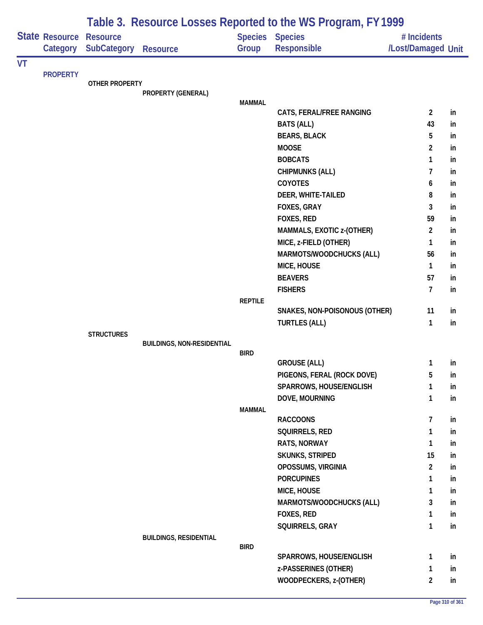|    |                            | Table 3. Resource Losses Reported to the WS Program, FY 1999 |                                   |                |                                          |                                   |          |  |  |  |
|----|----------------------------|--------------------------------------------------------------|-----------------------------------|----------------|------------------------------------------|-----------------------------------|----------|--|--|--|
|    | State Resource<br>Category | <b>Resource</b><br>SubCategory                               | <b>Resource</b>                   | Group          | Species Species<br>Responsible           | # Incidents<br>/Lost/Damaged Unit |          |  |  |  |
| VT |                            |                                                              |                                   |                |                                          |                                   |          |  |  |  |
|    | <b>PROPERTY</b>            | <b>OTHER PROPERTY</b>                                        |                                   |                |                                          |                                   |          |  |  |  |
|    |                            |                                                              | PROPERTY (GENERAL)                |                |                                          |                                   |          |  |  |  |
|    |                            |                                                              |                                   | <b>MAMMAL</b>  |                                          |                                   |          |  |  |  |
|    |                            |                                                              |                                   |                | CATS, FERAL/FREE RANGING                 | $\overline{2}$                    | in       |  |  |  |
|    |                            |                                                              |                                   |                | <b>BATS (ALL)</b>                        | 43                                | in       |  |  |  |
|    |                            |                                                              |                                   |                | <b>BEARS, BLACK</b>                      | 5                                 | in       |  |  |  |
|    |                            |                                                              |                                   |                | <b>MOOSE</b>                             | $\overline{2}$                    | in       |  |  |  |
|    |                            |                                                              |                                   |                | <b>BOBCATS</b>                           | $\mathbf{1}$                      | in       |  |  |  |
|    |                            |                                                              |                                   |                | <b>CHIPMUNKS (ALL)</b>                   | 7                                 | in       |  |  |  |
|    |                            |                                                              |                                   |                | <b>COYOTES</b>                           | 6                                 | in       |  |  |  |
|    |                            |                                                              |                                   |                | DEER, WHITE-TAILED<br><b>FOXES, GRAY</b> | 8<br>3                            | in       |  |  |  |
|    |                            |                                                              |                                   |                | FOXES, RED                               | 59                                | in       |  |  |  |
|    |                            |                                                              |                                   |                | MAMMALS, EXOTIC z-(OTHER)                | $\overline{2}$                    | in<br>in |  |  |  |
|    |                            |                                                              |                                   |                | MICE, z-FIELD (OTHER)                    | 1                                 | in       |  |  |  |
|    |                            |                                                              |                                   |                | MARMOTS/WOODCHUCKS (ALL)                 | 56                                | in       |  |  |  |
|    |                            |                                                              |                                   |                | MICE, HOUSE                              | $\mathbf{1}$                      | in       |  |  |  |
|    |                            |                                                              |                                   |                | <b>BEAVERS</b>                           | 57                                | in       |  |  |  |
|    |                            |                                                              |                                   |                | <b>FISHERS</b>                           | $\overline{7}$                    | in       |  |  |  |
|    |                            |                                                              |                                   | <b>REPTILE</b> |                                          |                                   |          |  |  |  |
|    |                            |                                                              |                                   |                | SNAKES, NON-POISONOUS (OTHER)            | 11                                | in       |  |  |  |
|    |                            |                                                              |                                   |                | <b>TURTLES (ALL)</b>                     | 1                                 | in       |  |  |  |
|    |                            | <b>STRUCTURES</b>                                            | <b>BUILDINGS, NON-RESIDENTIAL</b> |                |                                          |                                   |          |  |  |  |
|    |                            |                                                              |                                   | <b>BIRD</b>    |                                          |                                   |          |  |  |  |
|    |                            |                                                              |                                   |                | <b>GROUSE (ALL)</b>                      | 1                                 | in       |  |  |  |
|    |                            |                                                              |                                   |                | PIGEONS, FERAL (ROCK DOVE)               | 5                                 | in       |  |  |  |
|    |                            |                                                              |                                   |                | SPARROWS, HOUSE/ENGLISH                  | $\mathbf{1}$                      | in       |  |  |  |
|    |                            |                                                              |                                   |                | DOVE, MOURNING                           | $\mathbf{1}$                      | in       |  |  |  |
|    |                            |                                                              |                                   | <b>MAMMAL</b>  |                                          |                                   |          |  |  |  |
|    |                            |                                                              |                                   |                | <b>RACCOONS</b>                          | $\overline{7}$                    | in       |  |  |  |
|    |                            |                                                              |                                   |                | SQUIRRELS, RED                           | $\mathbf{1}$                      | in       |  |  |  |
|    |                            |                                                              |                                   |                | RATS, NORWAY                             | $\mathbf{1}$                      | in       |  |  |  |
|    |                            |                                                              |                                   |                | SKUNKS, STRIPED                          | 15<br>$\overline{2}$              | in       |  |  |  |
|    |                            |                                                              |                                   |                | OPOSSUMS, VIRGINIA<br><b>PORCUPINES</b>  | 1                                 | in       |  |  |  |
|    |                            |                                                              |                                   |                | MICE, HOUSE                              |                                   | in       |  |  |  |
|    |                            |                                                              |                                   |                | MARMOTS/WOODCHUCKS (ALL)                 | 1<br>3                            | in<br>in |  |  |  |
|    |                            |                                                              |                                   |                | FOXES, RED                               | 1                                 | in       |  |  |  |
|    |                            |                                                              |                                   |                | SQUIRRELS, GRAY                          | $\mathbf{1}$                      | in       |  |  |  |
|    |                            |                                                              | <b>BUILDINGS, RESIDENTIAL</b>     |                |                                          |                                   |          |  |  |  |
|    |                            |                                                              |                                   | <b>BIRD</b>    |                                          |                                   |          |  |  |  |
|    |                            |                                                              |                                   |                | SPARROWS, HOUSE/ENGLISH                  | $\mathbf{1}$                      | in       |  |  |  |
|    |                            |                                                              |                                   |                | z-PASSERINES (OTHER)                     | $\mathbf{1}$                      | in       |  |  |  |
|    |                            |                                                              |                                   |                | WOODPECKERS, z-(OTHER)                   | $\overline{2}$                    | in       |  |  |  |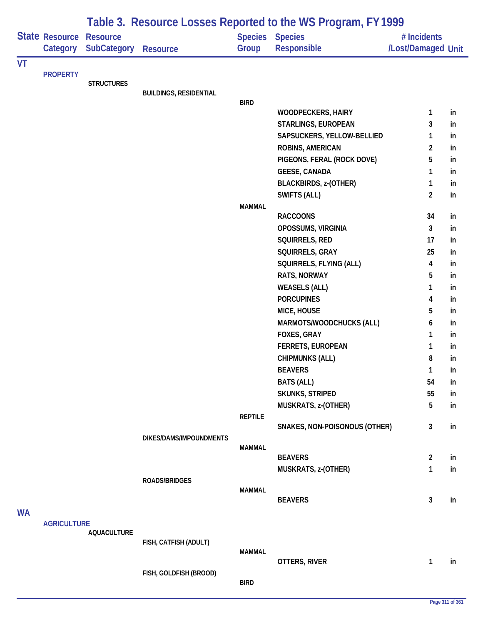|    |                            |                                |                               |                | Table 3. Resource Losses Reported to the WS Program, FY 1999 |                                   |          |
|----|----------------------------|--------------------------------|-------------------------------|----------------|--------------------------------------------------------------|-----------------------------------|----------|
|    | State Resource<br>Category | <b>Resource</b><br>SubCategory | <b>Resource</b>               | Group          | Species Species<br>Responsible                               | # Incidents<br>/Lost/Damaged Unit |          |
| VT |                            |                                |                               |                |                                                              |                                   |          |
|    | <b>PROPERTY</b>            | <b>STRUCTURES</b>              |                               |                |                                                              |                                   |          |
|    |                            |                                | <b>BUILDINGS, RESIDENTIAL</b> |                |                                                              |                                   |          |
|    |                            |                                |                               | <b>BIRD</b>    |                                                              |                                   |          |
|    |                            |                                |                               |                | <b>WOODPECKERS, HAIRY</b>                                    | 1                                 | in       |
|    |                            |                                |                               |                | STARLINGS, EUROPEAN                                          | 3                                 | in       |
|    |                            |                                |                               |                | SAPSUCKERS, YELLOW-BELLIED                                   | 1                                 | in       |
|    |                            |                                |                               |                | ROBINS, AMERICAN                                             | $\overline{2}$                    | in       |
|    |                            |                                |                               |                | PIGEONS, FERAL (ROCK DOVE)                                   | 5                                 | in       |
|    |                            |                                |                               |                | <b>GEESE, CANADA</b>                                         | 1                                 | in       |
|    |                            |                                |                               |                | <b>BLACKBIRDS, z-(OTHER)</b>                                 | 1                                 | in       |
|    |                            |                                |                               |                | <b>SWIFTS (ALL)</b>                                          | $\overline{2}$                    | in       |
|    |                            |                                |                               | <b>MAMMAL</b>  | <b>RACCOONS</b>                                              | 34                                | in       |
|    |                            |                                |                               |                | OPOSSUMS, VIRGINIA                                           | 3                                 | in       |
|    |                            |                                |                               |                | SQUIRRELS, RED                                               | 17                                | in       |
|    |                            |                                |                               |                | SQUIRRELS, GRAY                                              | 25                                | in       |
|    |                            |                                |                               |                | SQUIRRELS, FLYING (ALL)                                      | 4                                 | in       |
|    |                            |                                |                               |                | RATS, NORWAY                                                 | 5                                 | in       |
|    |                            |                                |                               |                | <b>WEASELS (ALL)</b>                                         | 1                                 | in       |
|    |                            |                                |                               |                | <b>PORCUPINES</b>                                            | 4                                 | in       |
|    |                            |                                |                               |                | MICE, HOUSE                                                  | 5                                 | in       |
|    |                            |                                |                               |                | MARMOTS/WOODCHUCKS (ALL)                                     | 6                                 | in       |
|    |                            |                                |                               |                | FOXES, GRAY                                                  | 1                                 | in       |
|    |                            |                                |                               |                | <b>FERRETS, EUROPEAN</b>                                     | 1                                 | in       |
|    |                            |                                |                               |                | <b>CHIPMUNKS (ALL)</b>                                       | 8                                 | in       |
|    |                            |                                |                               |                | <b>BEAVERS</b>                                               | 1                                 | m        |
|    |                            |                                |                               |                | <b>BATS (ALL)</b>                                            | 54                                | in       |
|    |                            |                                |                               |                | SKUNKS, STRIPED                                              | 55                                | in       |
|    |                            |                                |                               |                | MUSKRATS, z-(OTHER)                                          | 5                                 | in       |
|    |                            |                                |                               | <b>REPTILE</b> |                                                              |                                   |          |
|    |                            |                                |                               |                | SNAKES, NON-POISONOUS (OTHER)                                | 3                                 | in       |
|    |                            |                                | DIKES/DAMS/IMPOUNDMENTS       |                |                                                              |                                   |          |
|    |                            |                                |                               | <b>MAMMAL</b>  | <b>BEAVERS</b>                                               | $\overline{a}$                    |          |
|    |                            |                                |                               |                | MUSKRATS, z-(OTHER)                                          | $\mathbf{1}$                      | in<br>in |
|    |                            |                                | ROADS/BRIDGES                 |                |                                                              |                                   |          |
|    |                            |                                |                               | <b>MAMMAL</b>  |                                                              |                                   |          |
|    |                            |                                |                               |                | <b>BEAVERS</b>                                               | 3                                 | in       |
| WA |                            |                                |                               |                |                                                              |                                   |          |
|    | <b>AGRICULTURE</b>         |                                |                               |                |                                                              |                                   |          |
|    |                            | <b>AQUACULTURE</b>             |                               |                |                                                              |                                   |          |
|    |                            |                                | FISH, CATFISH (ADULT)         | <b>MAMMAL</b>  |                                                              |                                   |          |
|    |                            |                                |                               |                | OTTERS, RIVER                                                | 1                                 | in       |
|    |                            |                                | FISH, GOLDFISH (BROOD)        |                |                                                              |                                   |          |
|    |                            |                                |                               | <b>BIRD</b>    |                                                              |                                   |          |
|    |                            |                                |                               |                |                                                              |                                   |          |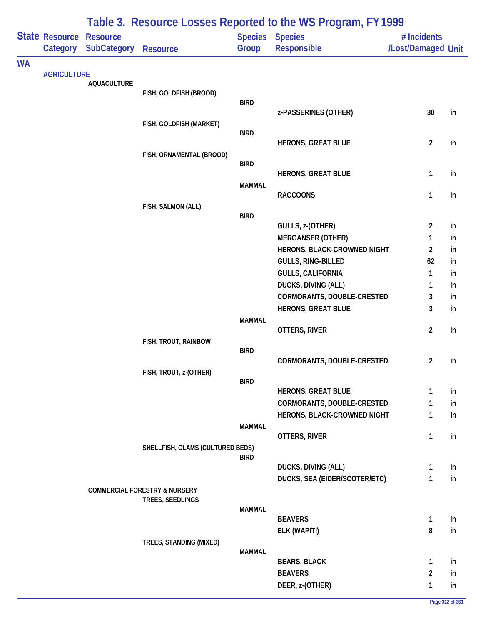|           | State Resource<br>Category | <b>Resource</b><br><b>SubCategory</b> | <b>Resource</b>                          | <b>Species</b><br>Group | <b>Table 3. Resource E03363 Reported to the WST regioni<sub>t</sub> LTT777</b><br><b>Species</b><br><b>Responsible</b> | # Incidents<br>/Lost/Damaged Unit |          |
|-----------|----------------------------|---------------------------------------|------------------------------------------|-------------------------|------------------------------------------------------------------------------------------------------------------------|-----------------------------------|----------|
| <b>WA</b> |                            |                                       |                                          |                         |                                                                                                                        |                                   |          |
|           | <b>AGRICULTURE</b>         | <b>AQUACULTURE</b>                    |                                          |                         |                                                                                                                        |                                   |          |
|           |                            |                                       | FISH, GOLDFISH (BROOD)                   |                         |                                                                                                                        |                                   |          |
|           |                            |                                       |                                          | <b>BIRD</b>             |                                                                                                                        |                                   |          |
|           |                            |                                       | FISH, GOLDFISH (MARKET)                  |                         | z-PASSERINES (OTHER)                                                                                                   | 30                                | in       |
|           |                            |                                       |                                          | <b>BIRD</b>             |                                                                                                                        |                                   |          |
|           |                            |                                       |                                          |                         | <b>HERONS, GREAT BLUE</b>                                                                                              | $\overline{2}$                    | in       |
|           |                            |                                       | FISH, ORNAMENTAL (BROOD)                 |                         |                                                                                                                        |                                   |          |
|           |                            |                                       |                                          | <b>BIRD</b>             | <b>HERONS, GREAT BLUE</b>                                                                                              | $\mathbf{1}$                      | in       |
|           |                            |                                       |                                          | <b>MAMMAL</b>           |                                                                                                                        |                                   |          |
|           |                            |                                       |                                          |                         | <b>RACCOONS</b>                                                                                                        | $\mathbf{1}$                      | in       |
|           |                            |                                       | FISH, SALMON (ALL)                       |                         |                                                                                                                        |                                   |          |
|           |                            |                                       |                                          | <b>BIRD</b>             |                                                                                                                        |                                   |          |
|           |                            |                                       |                                          |                         | GULLS, z-(OTHER)                                                                                                       | $\overline{2}$                    | in       |
|           |                            |                                       |                                          |                         | <b>MERGANSER (OTHER)</b>                                                                                               | 1                                 | in       |
|           |                            |                                       |                                          |                         | HERONS, BLACK-CROWNED NIGHT                                                                                            | $\overline{2}$<br>62              | in       |
|           |                            |                                       |                                          |                         | GULLS, RING-BILLED<br><b>GULLS, CALIFORNIA</b>                                                                         | 1                                 | in<br>in |
|           |                            |                                       |                                          |                         | DUCKS, DIVING (ALL)                                                                                                    | 1                                 | in       |
|           |                            |                                       |                                          |                         | CORMORANTS, DOUBLE-CRESTED                                                                                             | 3                                 | in       |
|           |                            |                                       |                                          |                         | <b>HERONS, GREAT BLUE</b>                                                                                              | 3                                 | in       |
|           |                            |                                       |                                          | <b>MAMMAL</b>           |                                                                                                                        |                                   |          |
|           |                            |                                       |                                          |                         | OTTERS, RIVER                                                                                                          | $\overline{2}$                    | in       |
|           |                            |                                       | FISH, TROUT, RAINBOW                     |                         |                                                                                                                        |                                   |          |
|           |                            |                                       |                                          | <b>BIRD</b>             | CORMORANTS, DOUBLE-CRESTED                                                                                             | $\overline{2}$                    | in       |
|           |                            |                                       | FISH, TROUT, z-(OTHER)                   |                         |                                                                                                                        |                                   |          |
|           |                            |                                       |                                          | <b>BIRD</b>             |                                                                                                                        |                                   |          |
|           |                            |                                       |                                          |                         | <b>HERONS, GREAT BLUE</b>                                                                                              | 1                                 | in       |
|           |                            |                                       |                                          |                         | CORMORANTS, DOUBLE-CRESTED                                                                                             | 1                                 | in       |
|           |                            |                                       |                                          |                         | HERONS, BLACK-CROWNED NIGHT                                                                                            | 1                                 | in       |
|           |                            |                                       |                                          | <b>MAMMAL</b>           |                                                                                                                        |                                   |          |
|           |                            |                                       | SHELLFISH, CLAMS (CULTURED BEDS)         |                         | OTTERS, RIVER                                                                                                          | $\mathbf{1}$                      | in       |
|           |                            |                                       |                                          | <b>BIRD</b>             |                                                                                                                        |                                   |          |
|           |                            |                                       |                                          |                         | DUCKS, DIVING (ALL)                                                                                                    | $\mathbf{1}$                      | in       |
|           |                            |                                       |                                          |                         | DUCKS, SEA (EIDER/SCOTER/ETC)                                                                                          | 1                                 | in       |
|           |                            |                                       | <b>COMMERCIAL FORESTRY &amp; NURSERY</b> |                         |                                                                                                                        |                                   |          |
|           |                            |                                       | TREES, SEEDLINGS                         | <b>MAMMAL</b>           |                                                                                                                        |                                   |          |
|           |                            |                                       |                                          |                         | <b>BEAVERS</b>                                                                                                         | $\mathbf{1}$                      | in       |
|           |                            |                                       |                                          |                         | ELK (WAPITI)                                                                                                           | 8                                 | in       |
|           |                            |                                       | TREES, STANDING (MIXED)                  |                         |                                                                                                                        |                                   |          |
|           |                            |                                       |                                          | <b>MAMMAL</b>           |                                                                                                                        |                                   |          |
|           |                            |                                       |                                          |                         | <b>BEARS, BLACK</b>                                                                                                    | $\mathbf{1}$                      | in       |
|           |                            |                                       |                                          |                         | <b>BEAVERS</b>                                                                                                         | $\overline{2}$                    | in       |
|           |                            |                                       |                                          |                         | DEER, z-(OTHER)                                                                                                        | 1                                 | in       |

## **Table 3. Resource Losses Reported to the WS Program, FY 1999**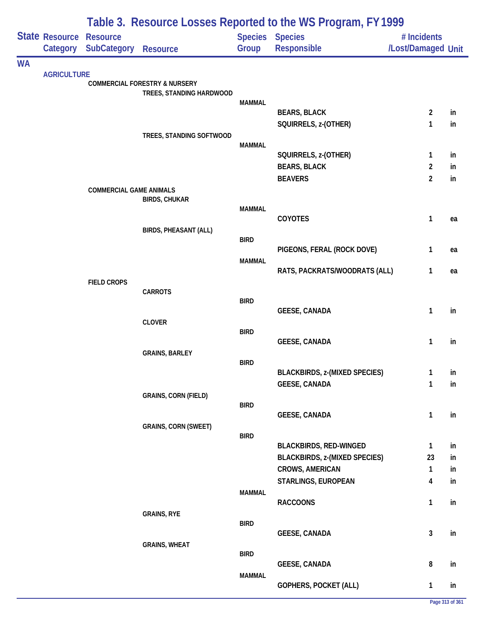|           |                                   |                                                |                                                                      |               | Table 3. Resource Losses Reported to the WS Program, FY 1999 |                                   |    |
|-----------|-----------------------------------|------------------------------------------------|----------------------------------------------------------------------|---------------|--------------------------------------------------------------|-----------------------------------|----|
|           | <b>State Resource</b><br>Category | <b>Resource</b><br><b>SubCategory Resource</b> |                                                                      | Group         | <b>Species Species</b><br>Responsible                        | # Incidents<br>/Lost/Damaged Unit |    |
| <b>WA</b> |                                   |                                                |                                                                      |               |                                                              |                                   |    |
|           | <b>AGRICULTURE</b>                |                                                | <b>COMMERCIAL FORESTRY &amp; NURSERY</b><br>TREES, STANDING HARDWOOD |               |                                                              |                                   |    |
|           |                                   |                                                |                                                                      | <b>MAMMAL</b> | <b>BEARS, BLACK</b>                                          | $\overline{2}$                    | in |
|           |                                   |                                                |                                                                      |               | SQUIRRELS, z-(OTHER)                                         | 1                                 | in |
|           |                                   |                                                | TREES, STANDING SOFTWOOD                                             |               |                                                              |                                   |    |
|           |                                   |                                                |                                                                      | <b>MAMMAL</b> |                                                              |                                   |    |
|           |                                   |                                                |                                                                      |               | SQUIRRELS, z-(OTHER)                                         | $\mathbf{1}$                      | in |
|           |                                   |                                                |                                                                      |               | <b>BEARS, BLACK</b>                                          | $\overline{2}$                    | in |
|           |                                   | <b>COMMERCIAL GAME ANIMALS</b>                 |                                                                      |               | <b>BEAVERS</b>                                               | $\overline{2}$                    | in |
|           |                                   |                                                | <b>BIRDS, CHUKAR</b>                                                 |               |                                                              |                                   |    |
|           |                                   |                                                |                                                                      | <b>MAMMAL</b> |                                                              |                                   |    |
|           |                                   |                                                |                                                                      |               | COYOTES                                                      | $\mathbf{1}$                      | ea |
|           |                                   |                                                | <b>BIRDS, PHEASANT (ALL)</b>                                         | <b>BIRD</b>   |                                                              |                                   |    |
|           |                                   |                                                |                                                                      |               | PIGEONS, FERAL (ROCK DOVE)                                   | $\mathbf{1}$                      | ea |
|           |                                   |                                                |                                                                      | <b>MAMMAL</b> |                                                              |                                   |    |
|           |                                   | <b>FIELD CROPS</b>                             |                                                                      |               | RATS, PACKRATS/WOODRATS (ALL)                                | $\mathbf{1}$                      | ea |
|           |                                   |                                                | <b>CARROTS</b>                                                       |               |                                                              |                                   |    |
|           |                                   |                                                |                                                                      | <b>BIRD</b>   |                                                              |                                   |    |
|           |                                   |                                                |                                                                      |               | <b>GEESE, CANADA</b>                                         | $\mathbf{1}$                      | in |
|           |                                   |                                                | <b>CLOVER</b>                                                        | <b>BIRD</b>   |                                                              |                                   |    |
|           |                                   |                                                |                                                                      |               | <b>GEESE, CANADA</b>                                         | 1                                 | in |
|           |                                   |                                                | <b>GRAINS, BARLEY</b>                                                |               |                                                              |                                   |    |
|           |                                   |                                                |                                                                      | <b>BIRD</b>   | <b>BLACKBIRDS, z-(MIXED SPECIES)</b>                         | 1                                 | in |
|           |                                   |                                                |                                                                      |               | <b>GEESE, CANADA</b>                                         | 1                                 | in |
|           |                                   |                                                | <b>GRAINS, CORN (FIELD)</b>                                          |               |                                                              |                                   |    |
|           |                                   |                                                |                                                                      | <b>BIRD</b>   |                                                              |                                   |    |
|           |                                   |                                                | <b>GRAINS, CORN (SWEET)</b>                                          |               | <b>GEESE, CANADA</b>                                         | 1                                 | in |
|           |                                   |                                                |                                                                      | <b>BIRD</b>   |                                                              |                                   |    |
|           |                                   |                                                |                                                                      |               | <b>BLACKBIRDS, RED-WINGED</b>                                | $\mathbf{1}$                      | in |
|           |                                   |                                                |                                                                      |               | <b>BLACKBIRDS, z-(MIXED SPECIES)</b>                         | 23                                | in |
|           |                                   |                                                |                                                                      |               | <b>CROWS, AMERICAN</b>                                       | $\mathbf{1}$                      | in |
|           |                                   |                                                |                                                                      |               | STARLINGS, EUROPEAN                                          | 4                                 | in |
|           |                                   |                                                |                                                                      | <b>MAMMAL</b> | <b>RACCOONS</b>                                              | $\mathbf{1}$                      | in |
|           |                                   |                                                | <b>GRAINS, RYE</b>                                                   |               |                                                              |                                   |    |
|           |                                   |                                                |                                                                      | <b>BIRD</b>   |                                                              |                                   |    |
|           |                                   |                                                |                                                                      |               | <b>GEESE, CANADA</b>                                         | 3                                 | in |
|           |                                   |                                                | <b>GRAINS, WHEAT</b>                                                 | <b>BIRD</b>   |                                                              |                                   |    |
|           |                                   |                                                |                                                                      |               | <b>GEESE, CANADA</b>                                         | $\bf 8$                           | in |
|           |                                   |                                                |                                                                      | <b>MAMMAL</b> |                                                              |                                   |    |
|           |                                   |                                                |                                                                      |               | GOPHERS, POCKET (ALL)                                        | $\mathbf{1}$                      | in |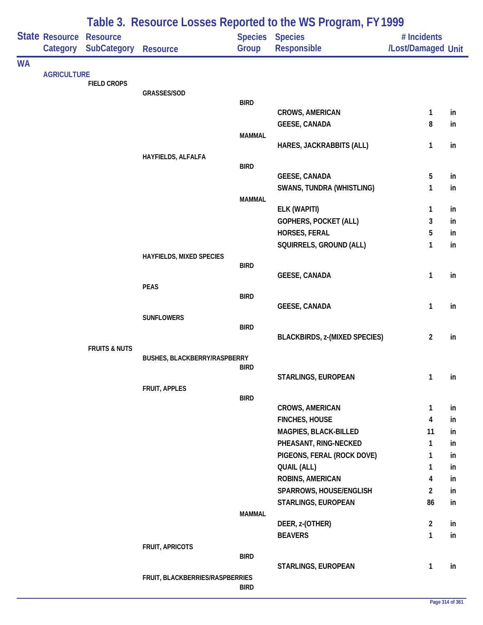| Table 3. Resource Losses Reported to the WS Program, FY 1999 |                                     |                          |                                 |               |                                        |                                   |          |
|--------------------------------------------------------------|-------------------------------------|--------------------------|---------------------------------|---------------|----------------------------------------|-----------------------------------|----------|
|                                                              | State Resource Resource<br>Category | SubCategory              | <b>Resource</b>                 | Group         | <b>Species Species</b><br>Responsible  | # Incidents<br>/Lost/Damaged Unit |          |
| <b>WA</b>                                                    |                                     |                          |                                 |               |                                        |                                   |          |
|                                                              | <b>AGRICULTURE</b>                  |                          |                                 |               |                                        |                                   |          |
|                                                              |                                     | <b>FIELD CROPS</b>       | GRASSES/SOD                     |               |                                        |                                   |          |
|                                                              |                                     |                          |                                 | <b>BIRD</b>   |                                        |                                   |          |
|                                                              |                                     |                          |                                 |               | <b>CROWS, AMERICAN</b>                 | $\mathbf{1}$                      | in       |
|                                                              |                                     |                          |                                 |               | <b>GEESE, CANADA</b>                   | 8                                 | in       |
|                                                              |                                     |                          |                                 | <b>MAMMAL</b> |                                        |                                   |          |
|                                                              |                                     |                          | HAYFIELDS, ALFALFA              |               | HARES, JACKRABBITS (ALL)               | 1                                 | in       |
|                                                              |                                     |                          |                                 | <b>BIRD</b>   |                                        |                                   |          |
|                                                              |                                     |                          |                                 |               | <b>GEESE, CANADA</b>                   | 5                                 | in       |
|                                                              |                                     |                          |                                 |               | <b>SWANS, TUNDRA (WHISTLING)</b>       | 1                                 | in       |
|                                                              |                                     |                          |                                 | <b>MAMMAL</b> |                                        |                                   |          |
|                                                              |                                     |                          |                                 |               | ELK (WAPITI)                           | 1                                 | in       |
|                                                              |                                     |                          |                                 |               | GOPHERS, POCKET (ALL)<br>HORSES, FERAL | 3<br>5                            | in<br>in |
|                                                              |                                     |                          |                                 |               | SQUIRRELS, GROUND (ALL)                | 1                                 | in       |
|                                                              |                                     |                          | HAYFIELDS, MIXED SPECIES        |               |                                        |                                   |          |
|                                                              |                                     |                          |                                 | <b>BIRD</b>   |                                        |                                   |          |
|                                                              |                                     |                          |                                 |               | <b>GEESE, CANADA</b>                   | 1                                 | in       |
|                                                              |                                     |                          | <b>PEAS</b>                     | <b>BIRD</b>   |                                        |                                   |          |
|                                                              |                                     |                          |                                 |               | <b>GEESE, CANADA</b>                   | 1                                 | in       |
|                                                              |                                     |                          | <b>SUNFLOWERS</b>               |               |                                        |                                   |          |
|                                                              |                                     |                          |                                 | <b>BIRD</b>   |                                        |                                   |          |
|                                                              |                                     |                          |                                 |               | <b>BLACKBIRDS, z-(MIXED SPECIES)</b>   | $\overline{2}$                    | in       |
|                                                              |                                     | <b>FRUITS &amp; NUTS</b> | BUSHES, BLACKBERRY/RASPBERRY    |               |                                        |                                   |          |
|                                                              |                                     |                          |                                 | <b>BIRD</b>   |                                        |                                   |          |
|                                                              |                                     |                          |                                 |               | STARLINGS, EUROPEAN                    | $\mathbf{1}$                      | in       |
|                                                              |                                     |                          | FRUIT, APPLES                   | <b>BIRD</b>   |                                        |                                   |          |
|                                                              |                                     |                          |                                 |               | <b>CROWS, AMERICAN</b>                 | $\mathbf{1}$                      | in       |
|                                                              |                                     |                          |                                 |               | <b>FINCHES, HOUSE</b>                  | 4                                 | in       |
|                                                              |                                     |                          |                                 |               | MAGPIES, BLACK-BILLED                  | 11                                | in       |
|                                                              |                                     |                          |                                 |               | PHEASANT, RING-NECKED                  | 1                                 | in       |
|                                                              |                                     |                          |                                 |               | PIGEONS, FERAL (ROCK DOVE)             | 1                                 | in       |
|                                                              |                                     |                          |                                 |               | <b>QUAIL (ALL)</b>                     | 1                                 | in       |
|                                                              |                                     |                          |                                 |               | ROBINS, AMERICAN                       | 4                                 | in       |
|                                                              |                                     |                          |                                 |               | SPARROWS, HOUSE/ENGLISH                | $\overline{2}$                    | in       |
|                                                              |                                     |                          |                                 |               | STARLINGS, EUROPEAN                    | 86                                | in       |
|                                                              |                                     |                          |                                 | <b>MAMMAL</b> | DEER, z-(OTHER)                        | $\overline{2}$                    | in       |
|                                                              |                                     |                          |                                 |               | <b>BEAVERS</b>                         | $\mathbf{1}$                      | in       |
|                                                              |                                     |                          | FRUIT, APRICOTS                 |               |                                        |                                   |          |
|                                                              |                                     |                          |                                 | <b>BIRD</b>   |                                        |                                   |          |
|                                                              |                                     |                          |                                 |               | STARLINGS, EUROPEAN                    | 1                                 | in       |
|                                                              |                                     |                          | FRUIT, BLACKBERRIES/RASPBERRIES | <b>BIRD</b>   |                                        |                                   |          |
|                                                              |                                     |                          |                                 |               |                                        |                                   |          |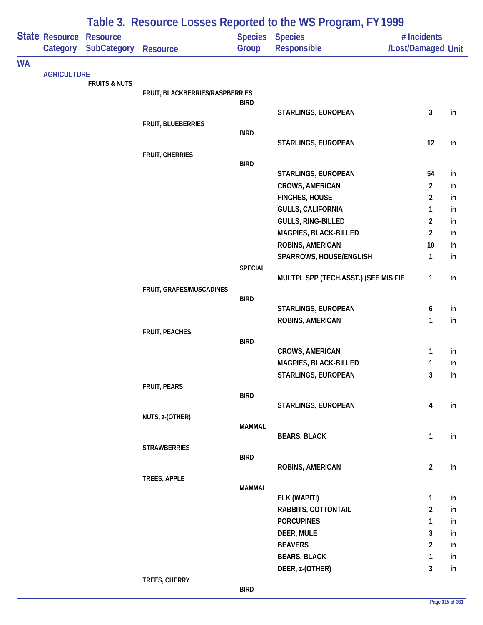|           |                                   |                                       |                                 |                | Table 3. Resource Losses Reported to the WS Program, FY 1999 |                                   |          |
|-----------|-----------------------------------|---------------------------------------|---------------------------------|----------------|--------------------------------------------------------------|-----------------------------------|----------|
|           | <b>State Resource</b><br>Category | <b>Resource</b><br><b>SubCategory</b> |                                 | Group          | Species Species<br>Responsible                               | # Incidents<br>/Lost/Damaged Unit |          |
|           |                                   |                                       | <b>Resource</b>                 |                |                                                              |                                   |          |
| <b>WA</b> | <b>AGRICULTURE</b>                |                                       |                                 |                |                                                              |                                   |          |
|           |                                   | <b>FRUITS &amp; NUTS</b>              |                                 |                |                                                              |                                   |          |
|           |                                   |                                       | FRUIT, BLACKBERRIES/RASPBERRIES |                |                                                              |                                   |          |
|           |                                   |                                       |                                 | <b>BIRD</b>    | STARLINGS, EUROPEAN                                          | $\mathbf{3}$                      | in       |
|           |                                   |                                       | FRUIT, BLUEBERRIES              |                |                                                              |                                   |          |
|           |                                   |                                       |                                 | <b>BIRD</b>    |                                                              |                                   |          |
|           |                                   |                                       |                                 |                | STARLINGS, EUROPEAN                                          | 12                                | in       |
|           |                                   |                                       | FRUIT, CHERRIES                 |                |                                                              |                                   |          |
|           |                                   |                                       |                                 | <b>BIRD</b>    |                                                              |                                   |          |
|           |                                   |                                       |                                 |                | STARLINGS, EUROPEAN                                          | 54                                | in       |
|           |                                   |                                       |                                 |                | CROWS, AMERICAN                                              | $\overline{2}$                    | in       |
|           |                                   |                                       |                                 |                | <b>FINCHES, HOUSE</b>                                        | $\overline{2}$                    | in       |
|           |                                   |                                       |                                 |                | <b>GULLS, CALIFORNIA</b>                                     | 1                                 | in       |
|           |                                   |                                       |                                 |                | GULLS, RING-BILLED                                           | $\overline{2}$                    | in       |
|           |                                   |                                       |                                 |                | MAGPIES, BLACK-BILLED                                        | $\overline{2}$                    | in       |
|           |                                   |                                       |                                 |                | ROBINS, AMERICAN                                             | 10                                | in       |
|           |                                   |                                       |                                 | <b>SPECIAL</b> | SPARROWS, HOUSE/ENGLISH                                      | $\mathbf{1}$                      | in       |
|           |                                   |                                       |                                 |                | MULTPL SPP (TECH.ASST.) (SEE MIS FIE                         | $\mathbf{1}$                      | in       |
|           |                                   |                                       | FRUIT, GRAPES/MUSCADINES        |                |                                                              |                                   |          |
|           |                                   |                                       |                                 | <b>BIRD</b>    |                                                              |                                   |          |
|           |                                   |                                       |                                 |                | STARLINGS, EUROPEAN                                          | 6                                 | in       |
|           |                                   |                                       |                                 |                | ROBINS, AMERICAN                                             | $\mathbf{1}$                      | in       |
|           |                                   |                                       | FRUIT, PEACHES                  |                |                                                              |                                   |          |
|           |                                   |                                       |                                 | <b>BIRD</b>    |                                                              |                                   |          |
|           |                                   |                                       |                                 |                | <b>CROWS, AMERICAN</b><br>MAGPIES, BLACK-BILLED              | 1<br>1                            | in       |
|           |                                   |                                       |                                 |                | STARLINGS, EUROPEAN                                          | $\mathbf{3}$                      | in<br>in |
|           |                                   |                                       | FRUIT, PEARS                    |                |                                                              |                                   |          |
|           |                                   |                                       |                                 | <b>BIRD</b>    |                                                              |                                   |          |
|           |                                   |                                       |                                 |                | STARLINGS, EUROPEAN                                          | $\overline{\mathbf{4}}$           | in       |
|           |                                   |                                       | NUTS, z-(OTHER)                 |                |                                                              |                                   |          |
|           |                                   |                                       |                                 | <b>MAMMAL</b>  |                                                              |                                   |          |
|           |                                   |                                       |                                 |                | <b>BEARS, BLACK</b>                                          | $\mathbf{1}$                      | in       |
|           |                                   |                                       | <b>STRAWBERRIES</b>             | <b>BIRD</b>    |                                                              |                                   |          |
|           |                                   |                                       |                                 |                | ROBINS, AMERICAN                                             | $\overline{2}$                    | in       |
|           |                                   |                                       | TREES, APPLE                    |                |                                                              |                                   |          |
|           |                                   |                                       |                                 | <b>MAMMAL</b>  |                                                              |                                   |          |
|           |                                   |                                       |                                 |                | ELK (WAPITI)                                                 | $\mathbf{1}$                      | in       |
|           |                                   |                                       |                                 |                | RABBITS, COTTONTAIL                                          | $\overline{2}$                    | in       |
|           |                                   |                                       |                                 |                | <b>PORCUPINES</b>                                            | 1                                 | in       |
|           |                                   |                                       |                                 |                | DEER, MULE                                                   | 3                                 | in       |
|           |                                   |                                       |                                 |                | <b>BEAVERS</b>                                               | $\overline{2}$                    | in       |
|           |                                   |                                       |                                 |                | <b>BEARS, BLACK</b>                                          | $\mathbf{1}$                      | in       |
|           |                                   |                                       |                                 |                | DEER, z-(OTHER)                                              | $\mathbf{3}$                      | in       |
|           |                                   |                                       | TREES, CHERRY                   |                |                                                              |                                   |          |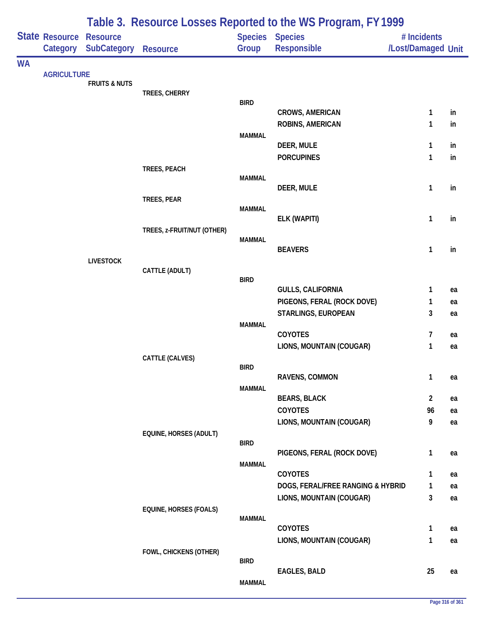|           |                            |                                       |                            |               | Table 3. Resource Losses Reported to the WS Program, FY 1999 |                                   |          |
|-----------|----------------------------|---------------------------------------|----------------------------|---------------|--------------------------------------------------------------|-----------------------------------|----------|
|           | State Resource<br>Category | <b>Resource</b><br><b>SubCategory</b> | Resource                   | Group         | Species Species<br>Responsible                               | # Incidents<br>/Lost/Damaged Unit |          |
| <b>WA</b> |                            |                                       |                            |               |                                                              |                                   |          |
|           | <b>AGRICULTURE</b>         | <b>FRUITS &amp; NUTS</b>              |                            |               |                                                              |                                   |          |
|           |                            |                                       | TREES, CHERRY              |               |                                                              |                                   |          |
|           |                            |                                       |                            | <b>BIRD</b>   |                                                              |                                   |          |
|           |                            |                                       |                            |               | <b>CROWS, AMERICAN</b><br><b>ROBINS, AMERICAN</b>            | 1<br>1                            | in<br>in |
|           |                            |                                       |                            | <b>MAMMAL</b> |                                                              |                                   |          |
|           |                            |                                       |                            |               | DEER, MULE                                                   | 1                                 | in       |
|           |                            |                                       |                            |               | <b>PORCUPINES</b>                                            | $\mathbf{1}$                      | in       |
|           |                            |                                       | TREES, PEACH               |               |                                                              |                                   |          |
|           |                            |                                       |                            | <b>MAMMAL</b> |                                                              |                                   |          |
|           |                            |                                       | TREES, PEAR                |               | DEER, MULE                                                   | 1                                 | in       |
|           |                            |                                       |                            | <b>MAMMAL</b> |                                                              |                                   |          |
|           |                            |                                       |                            |               | ELK (WAPITI)                                                 | 1                                 | in       |
|           |                            |                                       | TREES, z-FRUIT/NUT (OTHER) |               |                                                              |                                   |          |
|           |                            |                                       |                            | <b>MAMMAL</b> | <b>BEAVERS</b>                                               | 1                                 | in       |
|           |                            | <b>LIVESTOCK</b>                      |                            |               |                                                              |                                   |          |
|           |                            |                                       | CATTLE (ADULT)             |               |                                                              |                                   |          |
|           |                            |                                       |                            | <b>BIRD</b>   | <b>GULLS, CALIFORNIA</b>                                     | 1                                 |          |
|           |                            |                                       |                            |               | PIGEONS, FERAL (ROCK DOVE)                                   | 1                                 | ea<br>ea |
|           |                            |                                       |                            |               | STARLINGS, EUROPEAN                                          | 3                                 | ea       |
|           |                            |                                       |                            | <b>MAMMAL</b> |                                                              |                                   |          |
|           |                            |                                       |                            |               | COYOTES                                                      | 7                                 | ea       |
|           |                            |                                       |                            |               | LIONS, MOUNTAIN (COUGAR)                                     | 1                                 | ea       |
|           |                            |                                       | CATTLE (CALVES)            |               |                                                              |                                   |          |
|           |                            |                                       |                            | <b>BIRD</b>   | RAVENS, COMMON                                               | $\mathbf{1}$                      | ea       |
|           |                            |                                       |                            | <b>MAMMAL</b> |                                                              |                                   |          |
|           |                            |                                       |                            |               | <b>BEARS, BLACK</b>                                          | $\overline{\mathbf{c}}$           | ea       |
|           |                            |                                       |                            |               | <b>COYOTES</b>                                               | 96                                | ea       |
|           |                            |                                       |                            |               | LIONS, MOUNTAIN (COUGAR)                                     | 9                                 | ea       |
|           |                            |                                       | EQUINE, HORSES (ADULT)     | <b>BIRD</b>   |                                                              |                                   |          |
|           |                            |                                       |                            |               | PIGEONS, FERAL (ROCK DOVE)                                   | 1                                 | ea       |
|           |                            |                                       |                            | <b>MAMMAL</b> |                                                              |                                   |          |
|           |                            |                                       |                            |               | COYOTES                                                      | 1                                 | ea       |
|           |                            |                                       |                            |               | DOGS, FERAL/FREE RANGING & HYBRID                            | 1                                 | ea       |
|           |                            |                                       |                            |               | LIONS, MOUNTAIN (COUGAR)                                     | 3                                 | ea       |
|           |                            |                                       | EQUINE, HORSES (FOALS)     | <b>MAMMAL</b> |                                                              |                                   |          |
|           |                            |                                       |                            |               | COYOTES                                                      | 1                                 | ea       |
|           |                            |                                       |                            |               | LIONS, MOUNTAIN (COUGAR)                                     | $\mathbf{1}$                      | ea       |
|           |                            |                                       | FOWL, CHICKENS (OTHER)     |               |                                                              |                                   |          |
|           |                            |                                       |                            | <b>BIRD</b>   | <b>EAGLES, BALD</b>                                          | 25                                |          |
|           |                            |                                       |                            | <b>MAMMAL</b> |                                                              |                                   | ea       |
|           |                            |                                       |                            |               |                                                              |                                   |          |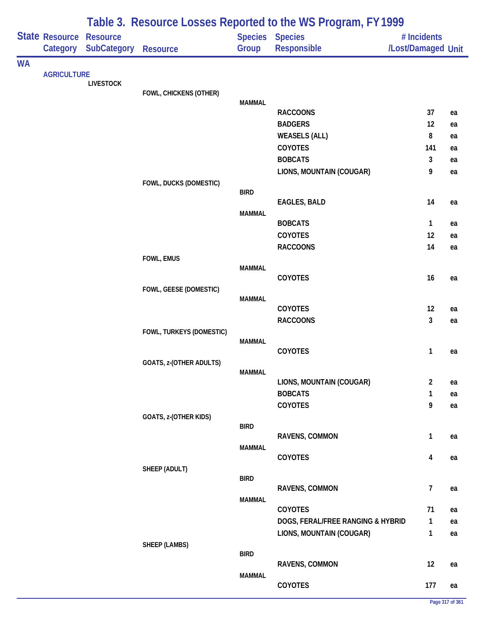|           |                            |                                       | Table 3. Resource Losses Reported to the WS Program, FY 1999 |               |                                   |                                   |          |  |  |
|-----------|----------------------------|---------------------------------------|--------------------------------------------------------------|---------------|-----------------------------------|-----------------------------------|----------|--|--|
|           | State Resource<br>Category | <b>Resource</b><br><b>SubCategory</b> | Resource                                                     | Group         | Species Species<br>Responsible    | # Incidents<br>/Lost/Damaged Unit |          |  |  |
| <b>WA</b> |                            |                                       |                                                              |               |                                   |                                   |          |  |  |
|           | <b>AGRICULTURE</b>         | <b>LIVESTOCK</b>                      |                                                              |               |                                   |                                   |          |  |  |
|           |                            |                                       | FOWL, CHICKENS (OTHER)                                       |               |                                   |                                   |          |  |  |
|           |                            |                                       |                                                              | <b>MAMMAL</b> |                                   |                                   |          |  |  |
|           |                            |                                       |                                                              |               | <b>RACCOONS</b><br><b>BADGERS</b> | 37<br>12                          | ea<br>ea |  |  |
|           |                            |                                       |                                                              |               | <b>WEASELS (ALL)</b>              | 8                                 | ea       |  |  |
|           |                            |                                       |                                                              |               | <b>COYOTES</b>                    | 141                               | ea       |  |  |
|           |                            |                                       |                                                              |               | <b>BOBCATS</b>                    | 3                                 | ea       |  |  |
|           |                            |                                       |                                                              |               | LIONS, MOUNTAIN (COUGAR)          | 9                                 | ea       |  |  |
|           |                            |                                       | FOWL, DUCKS (DOMESTIC)                                       |               |                                   |                                   |          |  |  |
|           |                            |                                       |                                                              | <b>BIRD</b>   |                                   |                                   |          |  |  |
|           |                            |                                       |                                                              |               | <b>EAGLES, BALD</b>               | 14                                | ea       |  |  |
|           |                            |                                       |                                                              | <b>MAMMAL</b> | <b>BOBCATS</b>                    | 1                                 | ea       |  |  |
|           |                            |                                       |                                                              |               | COYOTES                           | 12                                | ea       |  |  |
|           |                            |                                       |                                                              |               | <b>RACCOONS</b>                   | 14                                | ea       |  |  |
|           |                            |                                       | FOWL, EMUS                                                   |               |                                   |                                   |          |  |  |
|           |                            |                                       |                                                              | <b>MAMMAL</b> |                                   |                                   |          |  |  |
|           |                            |                                       |                                                              |               | COYOTES                           | 16                                | ea       |  |  |
|           |                            |                                       | FOWL, GEESE (DOMESTIC)                                       | <b>MAMMAL</b> |                                   |                                   |          |  |  |
|           |                            |                                       |                                                              |               | COYOTES                           | 12                                | ea       |  |  |
|           |                            |                                       |                                                              |               | <b>RACCOONS</b>                   | 3                                 | ea       |  |  |
|           |                            |                                       | FOWL, TURKEYS (DOMESTIC)                                     |               |                                   |                                   |          |  |  |
|           |                            |                                       |                                                              | <b>MAMMAL</b> |                                   |                                   |          |  |  |
|           |                            |                                       | GOATS, z-(OTHER ADULTS)                                      |               | COYOTES                           | 1                                 | ea       |  |  |
|           |                            |                                       |                                                              | <b>MAMMAL</b> |                                   |                                   |          |  |  |
|           |                            |                                       |                                                              |               | LIONS, MOUNTAIN (COUGAR)          | $\overline{2}$                    | ea       |  |  |
|           |                            |                                       |                                                              |               | <b>BOBCATS</b>                    | 1                                 | ea       |  |  |
|           |                            |                                       |                                                              |               | COYOTES                           | 9                                 | ea       |  |  |
|           |                            |                                       | GOATS, z-(OTHER KIDS)                                        |               |                                   |                                   |          |  |  |
|           |                            |                                       |                                                              | <b>BIRD</b>   | RAVENS, COMMON                    | $\mathbf{1}$                      | ea       |  |  |
|           |                            |                                       |                                                              | <b>MAMMAL</b> |                                   |                                   |          |  |  |
|           |                            |                                       |                                                              |               | <b>COYOTES</b>                    | 4                                 | ea       |  |  |
|           |                            |                                       | SHEEP (ADULT)                                                |               |                                   |                                   |          |  |  |
|           |                            |                                       |                                                              | <b>BIRD</b>   | RAVENS, COMMON                    | $\overline{7}$                    | ea       |  |  |
|           |                            |                                       |                                                              | <b>MAMMAL</b> |                                   |                                   |          |  |  |
|           |                            |                                       |                                                              |               | COYOTES                           | 71                                | ea       |  |  |
|           |                            |                                       |                                                              |               | DOGS, FERAL/FREE RANGING & HYBRID | 1                                 | ea       |  |  |
|           |                            |                                       |                                                              |               | LIONS, MOUNTAIN (COUGAR)          | 1                                 | ea       |  |  |
|           |                            |                                       | <b>SHEEP (LAMBS)</b>                                         |               |                                   |                                   |          |  |  |
|           |                            |                                       |                                                              | <b>BIRD</b>   |                                   | 12                                |          |  |  |
|           |                            |                                       |                                                              | <b>MAMMAL</b> | RAVENS, COMMON                    |                                   | ea       |  |  |
|           |                            |                                       |                                                              |               | COYOTES                           | 177                               | ea       |  |  |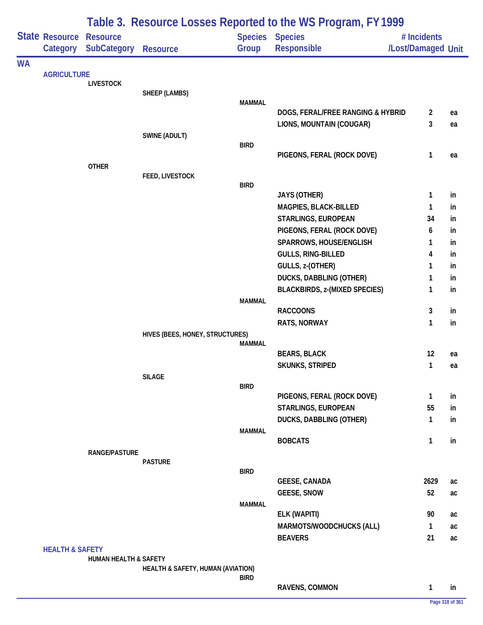|           |                            |                                       |                                   |               | Table 3. Resource Losses Reported to the WS Program, FY 1999 |                                   |     |
|-----------|----------------------------|---------------------------------------|-----------------------------------|---------------|--------------------------------------------------------------|-----------------------------------|-----|
|           | State Resource<br>Category | <b>Resource</b><br><b>SubCategory</b> | <b>Resource</b>                   | Group         | Species Species<br>Responsible                               | # Incidents<br>/Lost/Damaged Unit |     |
| <b>WA</b> |                            |                                       |                                   |               |                                                              |                                   |     |
|           | <b>AGRICULTURE</b>         | <b>LIVESTOCK</b>                      |                                   |               |                                                              |                                   |     |
|           |                            |                                       | <b>SHEEP (LAMBS)</b>              |               |                                                              |                                   |     |
|           |                            |                                       |                                   | <b>MAMMAL</b> |                                                              |                                   |     |
|           |                            |                                       |                                   |               | DOGS, FERAL/FREE RANGING & HYBRID                            | $\overline{2}$                    | ea  |
|           |                            |                                       | SWINE (ADULT)                     |               | LIONS, MOUNTAIN (COUGAR)                                     | 3                                 | ea  |
|           |                            |                                       |                                   | <b>BIRD</b>   |                                                              |                                   |     |
|           |                            |                                       |                                   |               | PIGEONS, FERAL (ROCK DOVE)                                   | $\mathbf{1}$                      | ea  |
|           |                            | <b>OTHER</b>                          |                                   |               |                                                              |                                   |     |
|           |                            |                                       | FEED, LIVESTOCK                   | <b>BIRD</b>   |                                                              |                                   |     |
|           |                            |                                       |                                   |               | <b>JAYS (OTHER)</b>                                          | $\mathbf{1}$                      | in  |
|           |                            |                                       |                                   |               | MAGPIES, BLACK-BILLED                                        | 1                                 | in  |
|           |                            |                                       |                                   |               | STARLINGS, EUROPEAN                                          | 34                                | in  |
|           |                            |                                       |                                   |               | PIGEONS, FERAL (ROCK DOVE)                                   | 6                                 | in  |
|           |                            |                                       |                                   |               | SPARROWS, HOUSE/ENGLISH                                      | 1                                 | in  |
|           |                            |                                       |                                   |               | GULLS, RING-BILLED                                           | 4                                 | in  |
|           |                            |                                       |                                   |               | GULLS, z-(OTHER)                                             | 1                                 | in  |
|           |                            |                                       |                                   |               | DUCKS, DABBLING (OTHER)                                      | 1                                 | in  |
|           |                            |                                       |                                   |               | <b>BLACKBIRDS, z-(MIXED SPECIES)</b>                         | $\mathbf{1}$                      | in  |
|           |                            |                                       |                                   | <b>MAMMAL</b> |                                                              |                                   |     |
|           |                            |                                       |                                   |               | <b>RACCOONS</b>                                              | 3                                 | in  |
|           |                            |                                       |                                   |               | RATS, NORWAY                                                 | $\mathbf{1}$                      | in  |
|           |                            |                                       | HIVES (BEES, HONEY, STRUCTURES)   | MAMMAL        |                                                              |                                   |     |
|           |                            |                                       |                                   |               | <b>BEARS, BLACK</b>                                          | 12                                | ea  |
|           |                            |                                       |                                   |               | <b>SKUNKS, STRIPED</b>                                       | $\mathbf{1}$                      | ea  |
|           |                            |                                       | <b>SILAGE</b>                     |               |                                                              |                                   |     |
|           |                            |                                       |                                   | <b>BIRD</b>   |                                                              |                                   |     |
|           |                            |                                       |                                   |               | PIGEONS, FERAL (ROCK DOVE)                                   | $\mathbf{1}$                      | in  |
|           |                            |                                       |                                   |               | STARLINGS, EUROPEAN                                          | 55                                | in. |
|           |                            |                                       |                                   | <b>MAMMAL</b> | DUCKS, DABBLING (OTHER)                                      | $\mathbf{1}$                      | in  |
|           |                            |                                       |                                   |               | <b>BOBCATS</b>                                               | 1                                 | in  |
|           |                            | <b>RANGE/PASTURE</b>                  |                                   |               |                                                              |                                   |     |
|           |                            |                                       | <b>PASTURE</b>                    |               |                                                              |                                   |     |
|           |                            |                                       |                                   | <b>BIRD</b>   | <b>GEESE, CANADA</b>                                         | 2629                              | ac  |
|           |                            |                                       |                                   |               | <b>GEESE, SNOW</b>                                           | 52                                | ac  |
|           |                            |                                       |                                   | <b>MAMMAL</b> |                                                              |                                   |     |
|           |                            |                                       |                                   |               | ELK (WAPITI)                                                 | 90                                | ac  |
|           |                            |                                       |                                   |               | MARMOTS/WOODCHUCKS (ALL)                                     | $\mathbf{1}$                      | ac  |
|           |                            |                                       |                                   |               | <b>BEAVERS</b>                                               | 21                                | ac  |
|           | <b>HEALTH &amp; SAFETY</b> |                                       |                                   |               |                                                              |                                   |     |
|           |                            | <b>HUMAN HEALTH &amp; SAFETY</b>      |                                   |               |                                                              |                                   |     |
|           |                            |                                       | HEALTH & SAFETY, HUMAN (AVIATION) | <b>BIRD</b>   |                                                              |                                   |     |
|           |                            |                                       |                                   |               | RAVENS, COMMON                                               | $\mathbf{1}$                      | in  |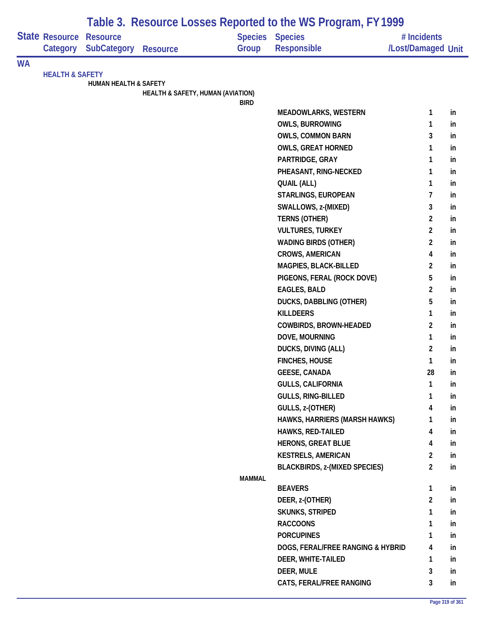|           |                                   |                                       |                                   |               | Table 3. Resource Losses Reported to the WS Program, FY 1999 |                                   |    |
|-----------|-----------------------------------|---------------------------------------|-----------------------------------|---------------|--------------------------------------------------------------|-----------------------------------|----|
|           | <b>State Resource</b><br>Category | <b>Resource</b><br><b>SubCategory</b> | <b>Resource</b>                   | Group         | Species Species<br><b>Responsible</b>                        | # Incidents<br>/Lost/Damaged Unit |    |
| <b>WA</b> |                                   |                                       |                                   |               |                                                              |                                   |    |
|           | <b>HEALTH &amp; SAFETY</b>        |                                       |                                   |               |                                                              |                                   |    |
|           |                                   | <b>HUMAN HEALTH &amp; SAFETY</b>      | HEALTH & SAFETY, HUMAN (AVIATION) |               |                                                              |                                   |    |
|           |                                   |                                       |                                   | <b>BIRD</b>   |                                                              |                                   |    |
|           |                                   |                                       |                                   |               | <b>MEADOWLARKS, WESTERN</b>                                  | 1                                 | in |
|           |                                   |                                       |                                   |               | <b>OWLS, BURROWING</b>                                       | 1                                 | in |
|           |                                   |                                       |                                   |               | <b>OWLS, COMMON BARN</b>                                     | 3                                 | in |
|           |                                   |                                       |                                   |               | <b>OWLS, GREAT HORNED</b>                                    | 1                                 | in |
|           |                                   |                                       |                                   |               | PARTRIDGE, GRAY                                              | 1                                 | in |
|           |                                   |                                       |                                   |               | PHEASANT, RING-NECKED                                        | 1                                 | in |
|           |                                   |                                       |                                   |               | <b>QUAIL (ALL)</b>                                           | 1                                 | in |
|           |                                   |                                       |                                   |               | STARLINGS, EUROPEAN                                          | 7                                 | in |
|           |                                   |                                       |                                   |               | SWALLOWS, z-(MIXED)                                          | 3                                 | in |
|           |                                   |                                       |                                   |               | <b>TERNS (OTHER)</b>                                         | 2                                 | in |
|           |                                   |                                       |                                   |               | <b>VULTURES, TURKEY</b>                                      | $\overline{c}$                    | in |
|           |                                   |                                       |                                   |               | <b>WADING BIRDS (OTHER)</b>                                  | $\overline{2}$                    | in |
|           |                                   |                                       |                                   |               | <b>CROWS, AMERICAN</b>                                       | 4                                 | in |
|           |                                   |                                       |                                   |               | MAGPIES, BLACK-BILLED                                        | $\overline{2}$                    | in |
|           |                                   |                                       |                                   |               | PIGEONS, FERAL (ROCK DOVE)                                   | 5                                 | in |
|           |                                   |                                       |                                   |               | <b>EAGLES, BALD</b>                                          | $\overline{2}$                    | in |
|           |                                   |                                       |                                   |               | DUCKS, DABBLING (OTHER)                                      | 5                                 | in |
|           |                                   |                                       |                                   |               | <b>KILLDEERS</b>                                             | 1                                 | in |
|           |                                   |                                       |                                   |               | COWBIRDS, BROWN-HEADED                                       | $\overline{2}$                    | in |
|           |                                   |                                       |                                   |               | DOVE, MOURNING                                               | 1                                 | in |
|           |                                   |                                       |                                   |               | DUCKS, DIVING (ALL)                                          | $\overline{c}$                    | in |
|           |                                   |                                       |                                   |               | <b>FINCHES, HOUSE</b>                                        | 1                                 | in |
|           |                                   |                                       |                                   |               | <b>GEESE, CANADA</b>                                         | 28                                | in |
|           |                                   |                                       |                                   |               | <b>GULLS, CALIFORNIA</b>                                     | $\mathbf{1}$                      | in |
|           |                                   |                                       |                                   |               | <b>GULLS, RING-BILLED</b>                                    | 1                                 | in |
|           |                                   |                                       |                                   |               | GULLS, z-(OTHER)                                             | 4                                 | in |
|           |                                   |                                       |                                   |               | HAWKS, HARRIERS (MARSH HAWKS)                                | 1                                 | in |
|           |                                   |                                       |                                   |               | <b>HAWKS, RED-TAILED</b>                                     | 4                                 | in |
|           |                                   |                                       |                                   |               | <b>HERONS, GREAT BLUE</b>                                    | 4                                 | in |
|           |                                   |                                       |                                   |               | <b>KESTRELS, AMERICAN</b>                                    | $\overline{2}$                    | in |
|           |                                   |                                       |                                   |               | <b>BLACKBIRDS, z-(MIXED SPECIES)</b>                         | $\overline{2}$                    | in |
|           |                                   |                                       |                                   | <b>MAMMAL</b> | <b>BEAVERS</b>                                               | 1                                 | in |
|           |                                   |                                       |                                   |               | DEER, z-(OTHER)                                              | $\overline{c}$                    | in |
|           |                                   |                                       |                                   |               | <b>SKUNKS, STRIPED</b>                                       | 1                                 | in |
|           |                                   |                                       |                                   |               | <b>RACCOONS</b>                                              | 1                                 | in |
|           |                                   |                                       |                                   |               | <b>PORCUPINES</b>                                            | 1                                 | in |
|           |                                   |                                       |                                   |               | DOGS, FERAL/FREE RANGING & HYBRID                            | 4                                 | in |
|           |                                   |                                       |                                   |               | DEER, WHITE-TAILED                                           | 1                                 | in |
|           |                                   |                                       |                                   |               | DEER, MULE                                                   | 3                                 | in |
|           |                                   |                                       |                                   |               | CATS, FERAL/FREE RANGING                                     | 3                                 | in |
|           |                                   |                                       |                                   |               |                                                              |                                   |    |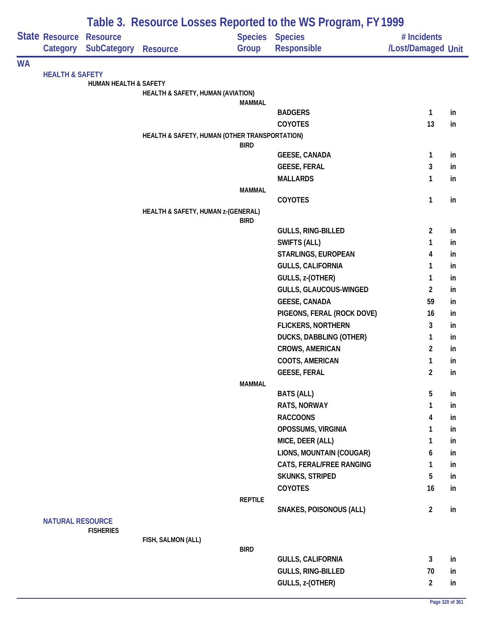|           |                                            |                                  |                                               |                | Table 3. Resource Losses Reported to the WS Program, FY 1999 |                                   |    |
|-----------|--------------------------------------------|----------------------------------|-----------------------------------------------|----------------|--------------------------------------------------------------|-----------------------------------|----|
|           | <b>State Resource Resource</b><br>Category | <b>SubCategory</b>               | <b>Resource</b>                               | Group          | Species Species<br>Responsible                               | # Incidents<br>/Lost/Damaged Unit |    |
| <b>WA</b> |                                            |                                  |                                               |                |                                                              |                                   |    |
|           | <b>HEALTH &amp; SAFETY</b>                 | <b>HUMAN HEALTH &amp; SAFETY</b> |                                               |                |                                                              |                                   |    |
|           |                                            |                                  | HEALTH & SAFETY, HUMAN (AVIATION)             |                |                                                              |                                   |    |
|           |                                            |                                  |                                               | <b>MAMMAL</b>  |                                                              |                                   |    |
|           |                                            |                                  |                                               |                | <b>BADGERS</b>                                               | $\mathbf{1}$                      | in |
|           |                                            |                                  |                                               |                | <b>COYOTES</b>                                               | 13                                | in |
|           |                                            |                                  | HEALTH & SAFETY, HUMAN (OTHER TRANSPORTATION) | <b>BIRD</b>    |                                                              |                                   |    |
|           |                                            |                                  |                                               |                | <b>GEESE, CANADA</b>                                         | $\mathbf{1}$                      | in |
|           |                                            |                                  |                                               |                | <b>GEESE, FERAL</b>                                          | 3                                 | in |
|           |                                            |                                  |                                               |                | <b>MALLARDS</b>                                              | 1                                 | in |
|           |                                            |                                  |                                               | <b>MAMMAL</b>  |                                                              |                                   |    |
|           |                                            |                                  |                                               |                | COYOTES                                                      | 1                                 | in |
|           |                                            |                                  | HEALTH & SAFETY, HUMAN z-(GENERAL)            |                |                                                              |                                   |    |
|           |                                            |                                  |                                               | <b>BIRD</b>    | <b>GULLS, RING-BILLED</b>                                    | $\overline{2}$                    | in |
|           |                                            |                                  |                                               |                | <b>SWIFTS (ALL)</b>                                          | 1                                 | in |
|           |                                            |                                  |                                               |                | STARLINGS, EUROPEAN                                          | 4                                 | in |
|           |                                            |                                  |                                               |                | <b>GULLS, CALIFORNIA</b>                                     | 1                                 | in |
|           |                                            |                                  |                                               |                | GULLS, z-(OTHER)                                             | $\mathbf{1}$                      | in |
|           |                                            |                                  |                                               |                | GULLS, GLAUCOUS-WINGED                                       | $\overline{2}$                    | in |
|           |                                            |                                  |                                               |                | <b>GEESE, CANADA</b>                                         | 59                                | in |
|           |                                            |                                  |                                               |                | PIGEONS, FERAL (ROCK DOVE)                                   | 16                                | in |
|           |                                            |                                  |                                               |                | <b>FLICKERS, NORTHERN</b>                                    | 3                                 | in |
|           |                                            |                                  |                                               |                | DUCKS, DABBLING (OTHER)                                      | 1                                 | in |
|           |                                            |                                  |                                               |                | <b>CROWS, AMERICAN</b>                                       | $\overline{2}$                    | in |
|           |                                            |                                  |                                               |                | COOTS, AMERICAN                                              | 1                                 | in |
|           |                                            |                                  |                                               |                | <b>GEESE, FERAL</b>                                          | $\overline{2}$                    | in |
|           |                                            |                                  |                                               | <b>MAMMAL</b>  |                                                              |                                   |    |
|           |                                            |                                  |                                               |                | <b>BATS (ALL)</b>                                            | 5                                 | in |
|           |                                            |                                  |                                               |                | RATS, NORWAY                                                 | 1                                 | in |
|           |                                            |                                  |                                               |                | <b>RACCOONS</b>                                              | 4                                 | in |
|           |                                            |                                  |                                               |                | OPOSSUMS, VIRGINIA                                           | 1                                 | in |
|           |                                            |                                  |                                               |                | MICE, DEER (ALL)                                             | 1                                 | in |
|           |                                            |                                  |                                               |                | LIONS, MOUNTAIN (COUGAR)                                     | 6                                 | in |
|           |                                            |                                  |                                               |                | CATS, FERAL/FREE RANGING                                     | 1                                 | in |
|           |                                            |                                  |                                               |                | SKUNKS, STRIPED                                              | 5                                 | in |
|           |                                            |                                  |                                               |                | COYOTES                                                      | 16                                | in |
|           |                                            |                                  |                                               | <b>REPTILE</b> |                                                              |                                   |    |
|           | <b>NATURAL RESOURCE</b>                    | <b>FISHERIES</b>                 |                                               |                | SNAKES, POISONOUS (ALL)                                      | $\overline{2}$                    | in |
|           |                                            |                                  | FISH, SALMON (ALL)                            |                |                                                              |                                   |    |
|           |                                            |                                  |                                               | <b>BIRD</b>    |                                                              |                                   |    |
|           |                                            |                                  |                                               |                | <b>GULLS, CALIFORNIA</b>                                     | 3                                 | in |
|           |                                            |                                  |                                               |                | GULLS, RING-BILLED                                           | 70                                | in |
|           |                                            |                                  |                                               |                | GULLS, z-(OTHER)                                             | $\overline{2}$                    | in |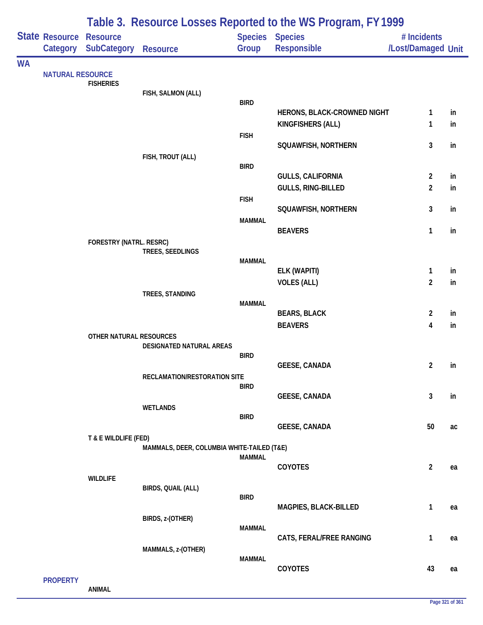|           | Table 3. Resource Losses Reported to the WS Program, FY 1999 |                                       |                                            |               |                                       |                                   |    |  |
|-----------|--------------------------------------------------------------|---------------------------------------|--------------------------------------------|---------------|---------------------------------------|-----------------------------------|----|--|
|           | State Resource<br>Category                                   | <b>Resource</b><br><b>SubCategory</b> | <b>Resource</b>                            | Group         | Species Species<br><b>Responsible</b> | # Incidents<br>/Lost/Damaged Unit |    |  |
| <b>WA</b> |                                                              |                                       |                                            |               |                                       |                                   |    |  |
|           | <b>NATURAL RESOURCE</b>                                      | <b>FISHERIES</b>                      |                                            |               |                                       |                                   |    |  |
|           |                                                              |                                       | FISH, SALMON (ALL)                         | <b>BIRD</b>   |                                       |                                   |    |  |
|           |                                                              |                                       |                                            |               | HERONS, BLACK-CROWNED NIGHT           | 1                                 | in |  |
|           |                                                              |                                       |                                            |               | KINGFISHERS (ALL)                     | 1                                 | in |  |
|           |                                                              |                                       |                                            | <b>FISH</b>   |                                       |                                   |    |  |
|           |                                                              |                                       |                                            |               | SQUAWFISH, NORTHERN                   | 3                                 | in |  |
|           |                                                              |                                       | FISH, TROUT (ALL)                          | <b>BIRD</b>   |                                       |                                   |    |  |
|           |                                                              |                                       |                                            |               | <b>GULLS, CALIFORNIA</b>              | $\overline{2}$                    | in |  |
|           |                                                              |                                       |                                            |               | <b>GULLS, RING-BILLED</b>             | $\overline{2}$                    | in |  |
|           |                                                              |                                       |                                            | <b>FISH</b>   | SQUAWFISH, NORTHERN                   | 3                                 | in |  |
|           |                                                              |                                       |                                            | <b>MAMMAL</b> |                                       |                                   |    |  |
|           |                                                              |                                       |                                            |               | <b>BEAVERS</b>                        | $\mathbf{1}$                      | in |  |
|           |                                                              | FORESTRY (NATRL. RESRC)               | TREES, SEEDLINGS                           |               |                                       |                                   |    |  |
|           |                                                              |                                       |                                            | <b>MAMMAL</b> |                                       |                                   |    |  |
|           |                                                              |                                       |                                            |               | ELK (WAPITI)                          | $\mathbf{1}$                      | in |  |
|           |                                                              |                                       | TREES, STANDING                            |               | <b>VOLES (ALL)</b>                    | $\overline{2}$                    | in |  |
|           |                                                              |                                       |                                            | <b>MAMMAL</b> |                                       |                                   |    |  |
|           |                                                              |                                       |                                            |               | <b>BEARS, BLACK</b>                   | $\overline{2}$                    | in |  |
|           |                                                              |                                       |                                            |               | <b>BEAVERS</b>                        | $\overline{\mathbf{4}}$           | in |  |
|           |                                                              | OTHER NATURAL RESOURCES               | DESIGNATED NATURAL AREAS                   |               |                                       |                                   |    |  |
|           |                                                              |                                       |                                            | <b>BIRD</b>   |                                       |                                   |    |  |
|           |                                                              |                                       | RECLAMATION/RESTORATION SITE               |               | <b>GEESE, CANADA</b>                  | $\overline{2}$                    | in |  |
|           |                                                              |                                       |                                            | <b>BIRD</b>   |                                       |                                   |    |  |
|           |                                                              |                                       |                                            |               | <b>GEESE, CANADA</b>                  | 3                                 | in |  |
|           |                                                              |                                       | <b>WETLANDS</b>                            | <b>BIRD</b>   |                                       |                                   |    |  |
|           |                                                              |                                       |                                            |               | <b>GEESE, CANADA</b>                  | 50                                | ac |  |
|           |                                                              | T & E WILDLIFE (FED)                  |                                            |               |                                       |                                   |    |  |
|           |                                                              |                                       | MAMMALS, DEER, COLUMBIA WHITE-TAILED (T&E) | <b>MAMMAL</b> |                                       |                                   |    |  |
|           |                                                              |                                       |                                            |               | COYOTES                               | $\overline{2}$                    | ea |  |
|           |                                                              | <b>WILDLIFE</b>                       | BIRDS, QUAIL (ALL)                         |               |                                       |                                   |    |  |
|           |                                                              |                                       |                                            | <b>BIRD</b>   |                                       |                                   |    |  |
|           |                                                              |                                       |                                            |               | MAGPIES, BLACK-BILLED                 | $\mathbf{1}$                      | ea |  |
|           |                                                              |                                       | BIRDS, z-(OTHER)                           | <b>MAMMAL</b> |                                       |                                   |    |  |
|           |                                                              |                                       |                                            |               | CATS, FERAL/FREE RANGING              | 1                                 | ea |  |
|           |                                                              |                                       | MAMMALS, z-(OTHER)                         |               |                                       |                                   |    |  |
|           |                                                              |                                       |                                            | <b>MAMMAL</b> | COYOTES                               | 43                                | ea |  |
|           | <b>PROPERTY</b>                                              |                                       |                                            |               |                                       |                                   |    |  |

**ANIMAL**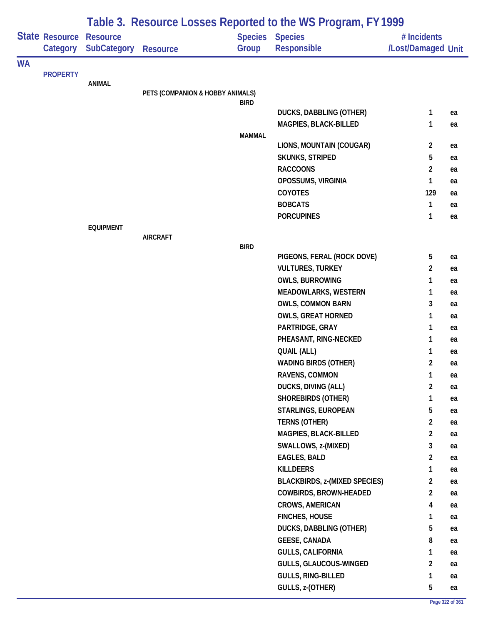|           |                            |                                       |                                  |               | Table 3. Resource Losses Reported to the WS Program, FY 1999 |                                   |    |
|-----------|----------------------------|---------------------------------------|----------------------------------|---------------|--------------------------------------------------------------|-----------------------------------|----|
|           | State Resource<br>Category | <b>Resource</b><br><b>SubCategory</b> | <b>Resource</b>                  | Group         | <b>Species Species</b><br><b>Responsible</b>                 | # Incidents<br>/Lost/Damaged Unit |    |
| <b>WA</b> |                            |                                       |                                  |               |                                                              |                                   |    |
|           | <b>PROPERTY</b>            | <b>ANIMAL</b>                         |                                  |               |                                                              |                                   |    |
|           |                            |                                       | PETS (COMPANION & HOBBY ANIMALS) |               |                                                              |                                   |    |
|           |                            |                                       |                                  | <b>BIRD</b>   |                                                              |                                   |    |
|           |                            |                                       |                                  |               | DUCKS, DABBLING (OTHER)                                      | 1                                 | ea |
|           |                            |                                       |                                  | <b>MAMMAL</b> | MAGPIES, BLACK-BILLED                                        | 1                                 | ea |
|           |                            |                                       |                                  |               | LIONS, MOUNTAIN (COUGAR)                                     | $\overline{2}$                    | ea |
|           |                            |                                       |                                  |               | <b>SKUNKS, STRIPED</b>                                       | 5                                 | ea |
|           |                            |                                       |                                  |               | <b>RACCOONS</b>                                              | $\overline{c}$                    | ea |
|           |                            |                                       |                                  |               | OPOSSUMS, VIRGINIA                                           | 1                                 | ea |
|           |                            |                                       |                                  |               | <b>COYOTES</b>                                               | 129                               | ea |
|           |                            |                                       |                                  |               | <b>BOBCATS</b>                                               | 1                                 | ea |
|           |                            |                                       |                                  |               | <b>PORCUPINES</b>                                            | 1                                 | ea |
|           |                            | <b>EQUIPMENT</b>                      |                                  |               |                                                              |                                   |    |
|           |                            |                                       | <b>AIRCRAFT</b>                  | <b>BIRD</b>   |                                                              |                                   |    |
|           |                            |                                       |                                  |               | PIGEONS, FERAL (ROCK DOVE)                                   | 5                                 | ea |
|           |                            |                                       |                                  |               | <b>VULTURES, TURKEY</b>                                      | $\overline{2}$                    | ea |
|           |                            |                                       |                                  |               | <b>OWLS, BURROWING</b>                                       | 1                                 | ea |
|           |                            |                                       |                                  |               | <b>MEADOWLARKS, WESTERN</b>                                  | 1                                 | ea |
|           |                            |                                       |                                  |               | OWLS, COMMON BARN                                            | 3                                 | ea |
|           |                            |                                       |                                  |               | <b>OWLS, GREAT HORNED</b>                                    | 1                                 | ea |
|           |                            |                                       |                                  |               | PARTRIDGE, GRAY                                              | 1                                 | ea |
|           |                            |                                       |                                  |               | PHEASANT, RING-NECKED                                        | 1                                 | ea |
|           |                            |                                       |                                  |               | <b>QUAIL (ALL)</b>                                           | 1                                 | ea |
|           |                            |                                       |                                  |               | <b>WADING BIRDS (OTHER)</b>                                  | 2                                 | ea |
|           |                            |                                       |                                  |               | RAVENS, COMMON                                               | 1                                 | ea |
|           |                            |                                       |                                  |               | DUCKS, DIVING (ALL)                                          | $\overline{2}$                    | ea |
|           |                            |                                       |                                  |               | <b>SHOREBIRDS (OTHER)</b>                                    | 1                                 | ea |
|           |                            |                                       |                                  |               | STARLINGS, EUROPEAN                                          | 5                                 | ea |
|           |                            |                                       |                                  |               | TERNS (OTHER)                                                | $\overline{2}$                    | ea |
|           |                            |                                       |                                  |               | MAGPIES, BLACK-BILLED                                        | $\overline{2}$                    | ea |
|           |                            |                                       |                                  |               | SWALLOWS, z-(MIXED)                                          | 3                                 | ea |
|           |                            |                                       |                                  |               | <b>EAGLES, BALD</b>                                          | $\overline{2}$                    | ea |
|           |                            |                                       |                                  |               | <b>KILLDEERS</b>                                             | 1                                 | ea |
|           |                            |                                       |                                  |               | <b>BLACKBIRDS, z-(MIXED SPECIES)</b>                         | $\overline{2}$                    | ea |
|           |                            |                                       |                                  |               | <b>COWBIRDS, BROWN-HEADED</b>                                | $\overline{2}$                    | ea |
|           |                            |                                       |                                  |               | CROWS, AMERICAN                                              | 4                                 | ea |
|           |                            |                                       |                                  |               | <b>FINCHES, HOUSE</b>                                        | 1                                 | ea |
|           |                            |                                       |                                  |               | DUCKS, DABBLING (OTHER)                                      | 5                                 | ea |
|           |                            |                                       |                                  |               | <b>GEESE, CANADA</b>                                         | 8                                 | ea |
|           |                            |                                       |                                  |               | <b>GULLS, CALIFORNIA</b>                                     | 1                                 | ea |
|           |                            |                                       |                                  |               | <b>GULLS, GLAUCOUS-WINGED</b>                                | $\overline{2}$                    | ea |
|           |                            |                                       |                                  |               | <b>GULLS, RING-BILLED</b>                                    | 1                                 | ea |
|           |                            |                                       |                                  |               | GULLS, z-(OTHER)                                             | 5                                 | ea |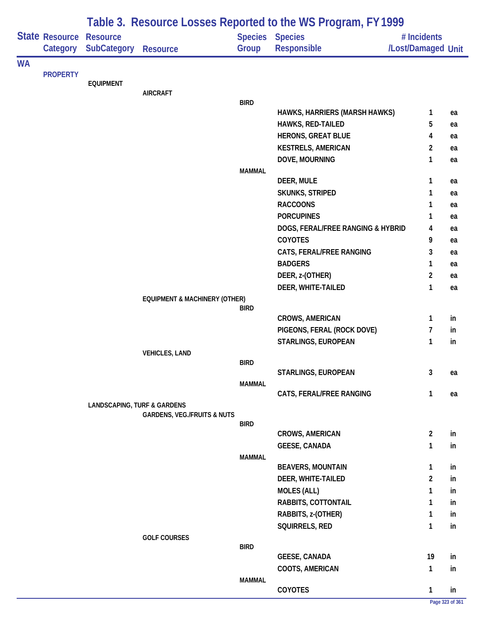|           |                 | Table 3. Resource Losses Reported to the WS Program, FY 1999 |                                          |               |                                    |                    |          |  |  |
|-----------|-----------------|--------------------------------------------------------------|------------------------------------------|---------------|------------------------------------|--------------------|----------|--|--|
|           | State Resource  | <b>Resource</b>                                              |                                          |               | <b>Species Species</b>             | # Incidents        |          |  |  |
|           | Category        | <b>SubCategory</b>                                           | <b>Resource</b>                          | Group         | <b>Responsible</b>                 | /Lost/Damaged Unit |          |  |  |
| <b>WA</b> |                 |                                                              |                                          |               |                                    |                    |          |  |  |
|           | <b>PROPERTY</b> |                                                              |                                          |               |                                    |                    |          |  |  |
|           |                 | <b>EQUIPMENT</b>                                             | <b>AIRCRAFT</b>                          |               |                                    |                    |          |  |  |
|           |                 |                                                              |                                          | <b>BIRD</b>   |                                    |                    |          |  |  |
|           |                 |                                                              |                                          |               | HAWKS, HARRIERS (MARSH HAWKS)      | 1                  | ea       |  |  |
|           |                 |                                                              |                                          |               | HAWKS, RED-TAILED                  | 5                  | ea       |  |  |
|           |                 |                                                              |                                          |               | <b>HERONS, GREAT BLUE</b>          | 4                  | ea       |  |  |
|           |                 |                                                              |                                          |               | <b>KESTRELS, AMERICAN</b>          | $\overline{2}$     | ea       |  |  |
|           |                 |                                                              |                                          |               | DOVE, MOURNING                     | 1                  | ea       |  |  |
|           |                 |                                                              |                                          | <b>MAMMAL</b> |                                    |                    |          |  |  |
|           |                 |                                                              |                                          |               | DEER, MULE                         | 1                  | ea       |  |  |
|           |                 |                                                              |                                          |               | SKUNKS, STRIPED<br><b>RACCOONS</b> | 1                  | ea       |  |  |
|           |                 |                                                              |                                          |               | <b>PORCUPINES</b>                  | 1                  | ea       |  |  |
|           |                 |                                                              |                                          |               | DOGS, FERAL/FREE RANGING & HYBRID  | 1<br>4             | ea       |  |  |
|           |                 |                                                              |                                          |               | <b>COYOTES</b>                     | 9                  | ea       |  |  |
|           |                 |                                                              |                                          |               | CATS, FERAL/FREE RANGING           | 3                  | ea<br>ea |  |  |
|           |                 |                                                              |                                          |               | <b>BADGERS</b>                     | 1                  | ea       |  |  |
|           |                 |                                                              |                                          |               | DEER, z-(OTHER)                    | $\overline{2}$     | ea       |  |  |
|           |                 |                                                              |                                          |               | DEER, WHITE-TAILED                 | 1                  | ea       |  |  |
|           |                 |                                                              | <b>EQUIPMENT &amp; MACHINERY (OTHER)</b> |               |                                    |                    |          |  |  |
|           |                 |                                                              |                                          | <b>BIRD</b>   |                                    |                    |          |  |  |
|           |                 |                                                              |                                          |               | <b>CROWS, AMERICAN</b>             | $\mathbf{1}$       | in       |  |  |
|           |                 |                                                              |                                          |               | PIGEONS, FERAL (ROCK DOVE)         | 7                  | in       |  |  |
|           |                 |                                                              |                                          |               | STARLINGS, EUROPEAN                | 1                  | in       |  |  |
|           |                 |                                                              | <b>VEHICLES, LAND</b>                    |               |                                    |                    |          |  |  |
|           |                 |                                                              |                                          | <b>BIRD</b>   |                                    |                    |          |  |  |
|           |                 |                                                              |                                          |               | STARLINGS, EUROPEAN                | 3                  | ea       |  |  |
|           |                 |                                                              |                                          | <b>MAMMAL</b> | CATS, FERAL/FREE RANGING           | 1                  | ea       |  |  |
|           |                 | <b>LANDSCAPING, TURF &amp; GARDENS</b>                       |                                          |               |                                    |                    |          |  |  |
|           |                 |                                                              | <b>GARDENS, VEG./FRUITS &amp; NUTS</b>   |               |                                    |                    |          |  |  |
|           |                 |                                                              |                                          | <b>BIRD</b>   |                                    |                    |          |  |  |
|           |                 |                                                              |                                          |               | CROWS, AMERICAN                    | $\overline{2}$     | in       |  |  |
|           |                 |                                                              |                                          |               | <b>GEESE, CANADA</b>               | 1                  | in       |  |  |
|           |                 |                                                              |                                          | <b>MAMMAL</b> | <b>BEAVERS, MOUNTAIN</b>           | $\mathbf{1}$       | in       |  |  |
|           |                 |                                                              |                                          |               | DEER, WHITE-TAILED                 | $\overline{2}$     | in       |  |  |
|           |                 |                                                              |                                          |               | <b>MOLES (ALL)</b>                 | 1                  | in       |  |  |
|           |                 |                                                              |                                          |               | RABBITS, COTTONTAIL                | 1                  | in       |  |  |
|           |                 |                                                              |                                          |               | RABBITS, z-(OTHER)                 | $\mathbf{1}$       | in       |  |  |
|           |                 |                                                              |                                          |               | SQUIRRELS, RED                     | $\mathbf{1}$       | in       |  |  |
|           |                 |                                                              | <b>GOLF COURSES</b>                      |               |                                    |                    |          |  |  |
|           |                 |                                                              |                                          | <b>BIRD</b>   |                                    |                    |          |  |  |
|           |                 |                                                              |                                          |               | <b>GEESE, CANADA</b>               | 19                 | in       |  |  |
|           |                 |                                                              |                                          |               | COOTS, AMERICAN                    | $\mathbf{1}$       | in       |  |  |
|           |                 |                                                              |                                          | <b>MAMMAL</b> |                                    |                    |          |  |  |
|           |                 |                                                              |                                          |               | COYOTES                            | $\mathbf{1}$       | in       |  |  |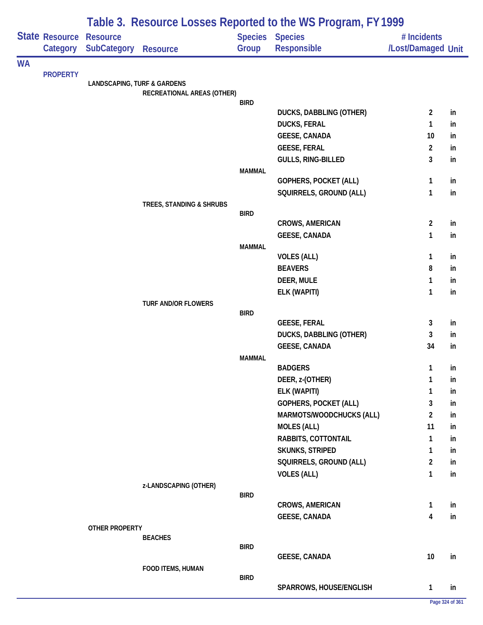|           |                            | Table 3. Resource Losses Reported to the WS Program, FY 1999 |                            |               |                                              |                                   |          |  |  |  |
|-----------|----------------------------|--------------------------------------------------------------|----------------------------|---------------|----------------------------------------------|-----------------------------------|----------|--|--|--|
|           | State Resource<br>Category | <b>Resource</b><br><b>SubCategory</b>                        | <b>Resource</b>            | Group         | <b>Species Species</b><br><b>Responsible</b> | # Incidents<br>/Lost/Damaged Unit |          |  |  |  |
| <b>WA</b> |                            |                                                              |                            |               |                                              |                                   |          |  |  |  |
|           | <b>PROPERTY</b>            | <b>LANDSCAPING, TURF &amp; GARDENS</b>                       |                            |               |                                              |                                   |          |  |  |  |
|           |                            |                                                              | RECREATIONAL AREAS (OTHER) |               |                                              |                                   |          |  |  |  |
|           |                            |                                                              |                            | <b>BIRD</b>   |                                              |                                   |          |  |  |  |
|           |                            |                                                              |                            |               | DUCKS, DABBLING (OTHER)                      | $\overline{2}$                    | in       |  |  |  |
|           |                            |                                                              |                            |               | <b>DUCKS, FERAL</b>                          | 1                                 | in       |  |  |  |
|           |                            |                                                              |                            |               | <b>GEESE, CANADA</b>                         | 10                                | in       |  |  |  |
|           |                            |                                                              |                            |               | <b>GEESE, FERAL</b><br>GULLS, RING-BILLED    | 2<br>3                            | in<br>in |  |  |  |
|           |                            |                                                              |                            | <b>MAMMAL</b> |                                              |                                   |          |  |  |  |
|           |                            |                                                              |                            |               | GOPHERS, POCKET (ALL)                        | 1                                 | in       |  |  |  |
|           |                            |                                                              |                            |               | SQUIRRELS, GROUND (ALL)                      | 1                                 | in       |  |  |  |
|           |                            |                                                              | TREES, STANDING & SHRUBS   |               |                                              |                                   |          |  |  |  |
|           |                            |                                                              |                            | <b>BIRD</b>   |                                              |                                   |          |  |  |  |
|           |                            |                                                              |                            |               | <b>CROWS, AMERICAN</b>                       | $\overline{c}$                    | in       |  |  |  |
|           |                            |                                                              |                            |               | <b>GEESE, CANADA</b>                         | 1                                 | in       |  |  |  |
|           |                            |                                                              |                            | <b>MAMMAL</b> | <b>VOLES (ALL)</b>                           | 1                                 | in       |  |  |  |
|           |                            |                                                              |                            |               | <b>BEAVERS</b>                               | 8                                 | in       |  |  |  |
|           |                            |                                                              |                            |               | DEER, MULE                                   | 1                                 | in       |  |  |  |
|           |                            |                                                              |                            |               | ELK (WAPITI)                                 | 1                                 | in       |  |  |  |
|           |                            |                                                              | <b>TURF AND/OR FLOWERS</b> |               |                                              |                                   |          |  |  |  |
|           |                            |                                                              |                            | <b>BIRD</b>   |                                              |                                   |          |  |  |  |
|           |                            |                                                              |                            |               | <b>GEESE, FERAL</b>                          | 3                                 | in       |  |  |  |
|           |                            |                                                              |                            |               | DUCKS, DABBLING (OTHER)                      | 3                                 | in       |  |  |  |
|           |                            |                                                              |                            |               | <b>GEESE, CANADA</b>                         | 34                                | in       |  |  |  |
|           |                            |                                                              |                            | <b>MAMMAL</b> | <b>BADGERS</b>                               | $\mathbf{1}$                      | in       |  |  |  |
|           |                            |                                                              |                            |               | DEER, z-(OTHER)                              | 1                                 | in       |  |  |  |
|           |                            |                                                              |                            |               | ELK (WAPITI)                                 | 1                                 | in       |  |  |  |
|           |                            |                                                              |                            |               | GOPHERS, POCKET (ALL)                        | 3                                 | in       |  |  |  |
|           |                            |                                                              |                            |               | MARMOTS/WOODCHUCKS (ALL)                     | 2                                 | in       |  |  |  |
|           |                            |                                                              |                            |               | <b>MOLES (ALL)</b>                           | 11                                | in       |  |  |  |
|           |                            |                                                              |                            |               | RABBITS, COTTONTAIL                          | 1                                 | in       |  |  |  |
|           |                            |                                                              |                            |               | SKUNKS, STRIPED                              | 1                                 | in       |  |  |  |
|           |                            |                                                              |                            |               | SQUIRRELS, GROUND (ALL)                      | 2                                 | in       |  |  |  |
|           |                            |                                                              |                            |               | <b>VOLES (ALL)</b>                           | 1                                 | in       |  |  |  |
|           |                            |                                                              | z-LANDSCAPING (OTHER)      |               |                                              |                                   |          |  |  |  |
|           |                            |                                                              |                            | <b>BIRD</b>   |                                              |                                   |          |  |  |  |
|           |                            |                                                              |                            |               | <b>CROWS, AMERICAN</b>                       | 1                                 | in       |  |  |  |
|           |                            |                                                              |                            |               | <b>GEESE, CANADA</b>                         | 4                                 | in       |  |  |  |
|           |                            | OTHER PROPERTY                                               | <b>BEACHES</b>             |               |                                              |                                   |          |  |  |  |
|           |                            |                                                              |                            | <b>BIRD</b>   |                                              |                                   |          |  |  |  |
|           |                            |                                                              |                            |               | <b>GEESE, CANADA</b>                         | 10                                | in       |  |  |  |
|           |                            |                                                              | FOOD ITEMS, HUMAN          |               |                                              |                                   |          |  |  |  |
|           |                            |                                                              |                            | <b>BIRD</b>   |                                              |                                   |          |  |  |  |
|           |                            |                                                              |                            |               | SPARROWS, HOUSE/ENGLISH                      | 1                                 | in       |  |  |  |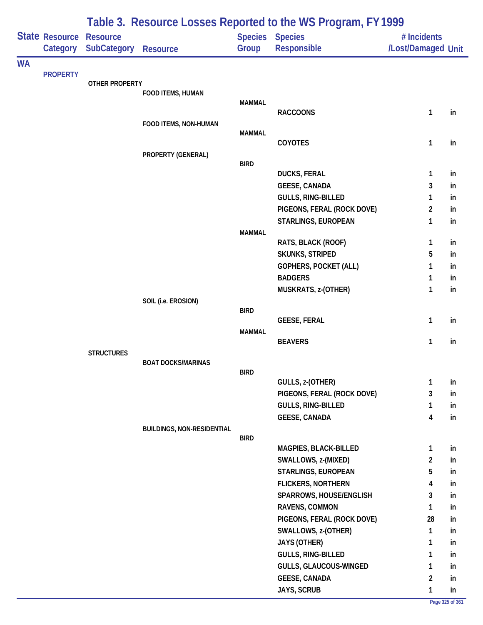|           |                            | Table 3. Resource Losses Reported to the WS Program, FY 1999 |                                   |               |                                                      |                                   |          |  |  |
|-----------|----------------------------|--------------------------------------------------------------|-----------------------------------|---------------|------------------------------------------------------|-----------------------------------|----------|--|--|
|           | State Resource<br>Category | <b>Resource</b><br><b>SubCategory</b>                        | <b>Resource</b>                   | Group         | Species Species<br>Responsible                       | # Incidents<br>/Lost/Damaged Unit |          |  |  |
| <b>WA</b> |                            |                                                              |                                   |               |                                                      |                                   |          |  |  |
|           | <b>PROPERTY</b>            | <b>OTHER PROPERTY</b>                                        |                                   |               |                                                      |                                   |          |  |  |
|           |                            |                                                              | FOOD ITEMS, HUMAN                 |               |                                                      |                                   |          |  |  |
|           |                            |                                                              |                                   | <b>MAMMAL</b> |                                                      |                                   |          |  |  |
|           |                            |                                                              |                                   |               | <b>RACCOONS</b>                                      | 1                                 | in       |  |  |
|           |                            |                                                              | FOOD ITEMS, NON-HUMAN             | <b>MAMMAL</b> |                                                      |                                   |          |  |  |
|           |                            |                                                              |                                   |               | COYOTES                                              | $\mathbf{1}$                      | in       |  |  |
|           |                            |                                                              | PROPERTY (GENERAL)                |               |                                                      |                                   |          |  |  |
|           |                            |                                                              |                                   | <b>BIRD</b>   |                                                      |                                   |          |  |  |
|           |                            |                                                              |                                   |               | <b>DUCKS, FERAL</b>                                  | 1                                 | in       |  |  |
|           |                            |                                                              |                                   |               | <b>GEESE, CANADA</b><br>GULLS, RING-BILLED           | 3<br>1                            | in<br>in |  |  |
|           |                            |                                                              |                                   |               | PIGEONS, FERAL (ROCK DOVE)                           | $\overline{2}$                    | in       |  |  |
|           |                            |                                                              |                                   |               | STARLINGS, EUROPEAN                                  | 1                                 | in       |  |  |
|           |                            |                                                              |                                   | <b>MAMMAL</b> |                                                      |                                   |          |  |  |
|           |                            |                                                              |                                   |               | RATS, BLACK (ROOF)                                   | 1                                 | in       |  |  |
|           |                            |                                                              |                                   |               | <b>SKUNKS, STRIPED</b>                               | 5                                 | in       |  |  |
|           |                            |                                                              |                                   |               | GOPHERS, POCKET (ALL)                                | 1                                 | in       |  |  |
|           |                            |                                                              |                                   |               | <b>BADGERS</b>                                       | 1                                 | in       |  |  |
|           |                            |                                                              |                                   |               | MUSKRATS, z-(OTHER)                                  | 1                                 | in       |  |  |
|           |                            |                                                              | SOIL (i.e. EROSION)               |               |                                                      |                                   |          |  |  |
|           |                            |                                                              |                                   | <b>BIRD</b>   | <b>GEESE, FERAL</b>                                  | 1                                 | in       |  |  |
|           |                            |                                                              |                                   | <b>MAMMAL</b> |                                                      |                                   |          |  |  |
|           |                            |                                                              |                                   |               | <b>BEAVERS</b>                                       | 1                                 | in       |  |  |
|           |                            | <b>STRUCTURES</b>                                            |                                   |               |                                                      |                                   |          |  |  |
|           |                            |                                                              | <b>BOAT DOCKS/MARINAS</b>         |               |                                                      |                                   |          |  |  |
|           |                            |                                                              |                                   | <b>BIRD</b>   | GULLS, z-(OTHER)                                     | 1                                 | in       |  |  |
|           |                            |                                                              |                                   |               | PIGEONS, FERAL (ROCK DOVE)                           | 3                                 | in       |  |  |
|           |                            |                                                              |                                   |               | <b>GULLS, RING-BILLED</b>                            | $\mathbf{1}$                      | in       |  |  |
|           |                            |                                                              |                                   |               | <b>GEESE, CANADA</b>                                 | 4                                 | in       |  |  |
|           |                            |                                                              | <b>BUILDINGS, NON-RESIDENTIAL</b> |               |                                                      |                                   |          |  |  |
|           |                            |                                                              |                                   | BIRD          |                                                      |                                   |          |  |  |
|           |                            |                                                              |                                   |               | MAGPIES, BLACK-BILLED                                | 1                                 | in       |  |  |
|           |                            |                                                              |                                   |               | SWALLOWS, z-(MIXED)                                  | $\overline{2}$                    | in       |  |  |
|           |                            |                                                              |                                   |               | STARLINGS, EUROPEAN                                  | 5                                 | in       |  |  |
|           |                            |                                                              |                                   |               | <b>FLICKERS, NORTHERN</b><br>SPARROWS, HOUSE/ENGLISH | 4<br>3                            | in<br>in |  |  |
|           |                            |                                                              |                                   |               | RAVENS, COMMON                                       | 1                                 | in       |  |  |
|           |                            |                                                              |                                   |               | PIGEONS, FERAL (ROCK DOVE)                           | 28                                | in       |  |  |
|           |                            |                                                              |                                   |               | SWALLOWS, z-(OTHER)                                  | 1                                 | in       |  |  |
|           |                            |                                                              |                                   |               | JAYS (OTHER)                                         | $\mathbf{1}$                      | in       |  |  |
|           |                            |                                                              |                                   |               | GULLS, RING-BILLED                                   | 1                                 | in       |  |  |
|           |                            |                                                              |                                   |               | GULLS, GLAUCOUS-WINGED                               | 1                                 | in       |  |  |
|           |                            |                                                              |                                   |               | <b>GEESE, CANADA</b>                                 | $\overline{2}$                    | in       |  |  |
|           |                            |                                                              |                                   |               | JAYS, SCRUB                                          | 1                                 | in       |  |  |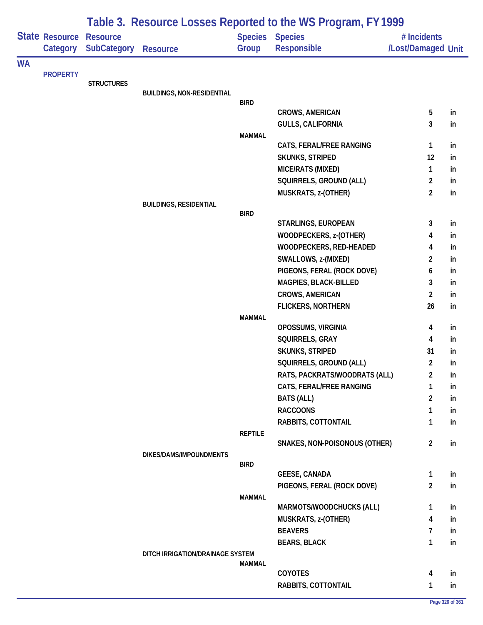| Table 3. Resource Losses Reported to the WS Program, FY 1999 |                       |                    |                                   |                |                                                |                                  |          |
|--------------------------------------------------------------|-----------------------|--------------------|-----------------------------------|----------------|------------------------------------------------|----------------------------------|----------|
|                                                              | <b>State Resource</b> | <b>Resource</b>    |                                   | <b>Species</b> | <b>Species</b>                                 | # Incidents                      |          |
|                                                              | Category              | <b>SubCategory</b> | <b>Resource</b>                   | Group          | <b>Responsible</b>                             | /Lost/Damaged Unit               |          |
| <b>WA</b>                                                    |                       |                    |                                   |                |                                                |                                  |          |
|                                                              |                       | <b>STRUCTURES</b>  |                                   |                |                                                |                                  |          |
|                                                              |                       |                    | <b>BUILDINGS, NON-RESIDENTIAL</b> |                |                                                |                                  |          |
|                                                              |                       |                    |                                   | <b>BIRD</b>    |                                                |                                  |          |
|                                                              |                       |                    |                                   |                | <b>CROWS, AMERICAN</b>                         | 5                                | in       |
|                                                              |                       |                    |                                   |                | <b>GULLS, CALIFORNIA</b>                       | 3                                | in       |
|                                                              |                       |                    |                                   | <b>MAMMAL</b>  |                                                |                                  |          |
|                                                              |                       |                    |                                   |                | CATS, FERAL/FREE RANGING                       | 1                                | in       |
|                                                              |                       |                    |                                   |                | SKUNKS, STRIPED                                | 12                               | in       |
|                                                              |                       |                    |                                   |                | MICE/RATS (MIXED)                              | 1                                | in       |
|                                                              |                       |                    |                                   |                | SQUIRRELS, GROUND (ALL)<br>MUSKRATS, z-(OTHER) | $\overline{2}$<br>$\overline{2}$ | in<br>in |
|                                                              |                       |                    | <b>BUILDINGS, RESIDENTIAL</b>     |                |                                                |                                  |          |
|                                                              |                       |                    |                                   | <b>BIRD</b>    |                                                |                                  |          |
|                                                              |                       |                    |                                   |                | STARLINGS, EUROPEAN                            | 3                                | in       |
|                                                              |                       |                    |                                   |                | WOODPECKERS, z-(OTHER)                         | 4                                | in       |
|                                                              |                       |                    |                                   |                | WOODPECKERS, RED-HEADED                        | 4                                | in       |
|                                                              |                       |                    |                                   |                | SWALLOWS, z-(MIXED)                            | 2                                | in       |
|                                                              |                       |                    |                                   |                | PIGEONS, FERAL (ROCK DOVE)                     | 6                                | in       |
|                                                              | <b>PROPERTY</b>       |                    |                                   |                | MAGPIES, BLACK-BILLED                          | 3                                | in       |
|                                                              |                       |                    |                                   |                | CROWS, AMERICAN                                | $\overline{2}$                   | in       |
|                                                              |                       |                    |                                   |                | <b>FLICKERS, NORTHERN</b>                      | 26                               | in       |
|                                                              |                       |                    |                                   | <b>MAMMAL</b>  |                                                |                                  |          |
|                                                              |                       |                    |                                   |                | OPOSSUMS, VIRGINIA                             | 4                                | in       |
|                                                              |                       |                    |                                   |                | SQUIRRELS, GRAY                                | 4                                | in       |
|                                                              |                       |                    |                                   |                | SKUNKS, STRIPED                                | 31                               | in       |
|                                                              |                       |                    |                                   |                | SQUIRRELS, GROUND (ALL)                        | $\overline{2}$                   | in       |
|                                                              |                       |                    |                                   |                | RATS, PACKRATS/WOODRATS (ALL)                  | $\overline{2}$                   | in       |
|                                                              |                       |                    |                                   |                | CATS, FERAL/FREE RANGING                       | 1                                | in       |
|                                                              |                       |                    |                                   |                | <b>BATS (ALL)</b>                              | 2                                | in       |
|                                                              |                       |                    |                                   |                | <b>RACCOONS</b>                                | 1                                | in       |
|                                                              |                       |                    |                                   |                | RABBITS, COTTONTAIL                            | 1                                | in       |
|                                                              |                       |                    |                                   | <b>REPTILE</b> | SNAKES, NON-POISONOUS (OTHER)                  | $\overline{2}$                   | in       |
|                                                              |                       |                    | DIKES/DAMS/IMPOUNDMENTS           |                |                                                |                                  |          |
|                                                              |                       |                    |                                   | <b>BIRD</b>    |                                                |                                  |          |
|                                                              |                       |                    |                                   |                | <b>GEESE, CANADA</b>                           | 1                                | in       |
|                                                              |                       |                    |                                   |                | PIGEONS, FERAL (ROCK DOVE)                     | $\overline{2}$                   | in       |
|                                                              |                       |                    |                                   | <b>MAMMAL</b>  |                                                |                                  |          |
|                                                              |                       |                    |                                   |                | MARMOTS/WOODCHUCKS (ALL)                       | 1                                | in       |
|                                                              |                       |                    |                                   |                | MUSKRATS, z-(OTHER)                            | 4                                | in       |
|                                                              |                       |                    |                                   |                | <b>BEAVERS</b>                                 | 7                                | in       |
|                                                              |                       |                    |                                   |                | <b>BEARS, BLACK</b>                            | $\mathbf{1}$                     | in       |
|                                                              |                       |                    | DITCH IRRIGATION/DRAINAGE SYSTEM  | <b>MAMMAL</b>  |                                                |                                  |          |
|                                                              |                       |                    |                                   |                | COYOTES                                        | 4                                | in       |
|                                                              |                       |                    |                                   |                | RABBITS, COTTONTAIL                            | $\mathbf{1}$                     | in       |
|                                                              |                       |                    |                                   |                |                                                |                                  |          |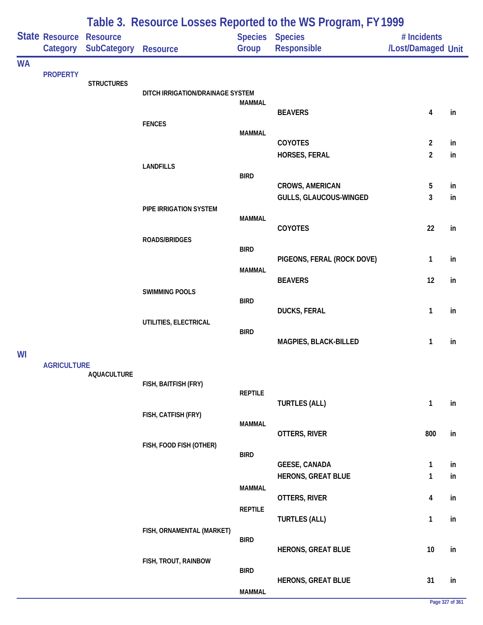| Table 3. Resource Losses Reported to the WS Program, FY 1999 |                            |                                       |                                  |                |                                                   |                                   |          |
|--------------------------------------------------------------|----------------------------|---------------------------------------|----------------------------------|----------------|---------------------------------------------------|-----------------------------------|----------|
|                                                              | State Resource<br>Category | <b>Resource</b><br><b>SubCategory</b> | <b>Resource</b>                  | Group          | Species Species<br>Responsible                    | # Incidents<br>/Lost/Damaged Unit |          |
| <b>WA</b>                                                    |                            |                                       |                                  |                |                                                   |                                   |          |
|                                                              | <b>PROPERTY</b>            | <b>STRUCTURES</b>                     |                                  |                |                                                   |                                   |          |
|                                                              |                            |                                       | DITCH IRRIGATION/DRAINAGE SYSTEM |                |                                                   |                                   |          |
|                                                              |                            |                                       |                                  | <b>MAMMAL</b>  | <b>BEAVERS</b>                                    | 4                                 | in       |
|                                                              |                            |                                       | <b>FENCES</b>                    |                |                                                   |                                   |          |
|                                                              |                            |                                       |                                  | <b>MAMMAL</b>  | COYOTES                                           | $\overline{2}$                    | in       |
|                                                              |                            |                                       |                                  |                | HORSES, FERAL                                     | $\overline{2}$                    | in       |
|                                                              |                            |                                       | <b>LANDFILLS</b>                 | <b>BIRD</b>    |                                                   |                                   |          |
|                                                              |                            |                                       |                                  |                | <b>CROWS, AMERICAN</b>                            | 5                                 | in       |
|                                                              |                            |                                       |                                  |                | GULLS, GLAUCOUS-WINGED                            | 3                                 | in       |
|                                                              |                            |                                       | PIPE IRRIGATION SYSTEM           | <b>MAMMAL</b>  |                                                   |                                   |          |
|                                                              |                            |                                       |                                  |                | COYOTES                                           | 22                                | in       |
|                                                              |                            |                                       | ROADS/BRIDGES                    | <b>BIRD</b>    |                                                   |                                   |          |
|                                                              |                            |                                       |                                  |                | PIGEONS, FERAL (ROCK DOVE)                        | 1                                 | in       |
|                                                              |                            |                                       |                                  | <b>MAMMAL</b>  | <b>BEAVERS</b>                                    | 12                                | in       |
|                                                              |                            |                                       | <b>SWIMMING POOLS</b>            |                |                                                   |                                   |          |
|                                                              |                            |                                       |                                  | <b>BIRD</b>    | <b>DUCKS, FERAL</b>                               | 1                                 | in       |
|                                                              |                            |                                       | UTILITIES, ELECTRICAL            |                |                                                   |                                   |          |
|                                                              |                            |                                       |                                  | <b>BIRD</b>    | MAGPIES, BLACK-BILLED                             | 1                                 | in       |
| WI                                                           |                            |                                       |                                  |                |                                                   |                                   |          |
|                                                              | <b>AGRICULTURE</b>         |                                       |                                  |                |                                                   |                                   |          |
|                                                              |                            | <b>AQUACULTURE</b>                    | FISH, BAITFISH (FRY)             |                |                                                   |                                   |          |
|                                                              |                            |                                       |                                  | <b>REPTILE</b> |                                                   |                                   |          |
|                                                              |                            |                                       | FISH, CATFISH (FRY)              |                | <b>TURTLES (ALL)</b>                              | $\mathbf{1}$                      | in       |
|                                                              |                            |                                       |                                  | <b>MAMMAL</b>  |                                                   |                                   |          |
|                                                              |                            |                                       | FISH, FOOD FISH (OTHER)          |                | OTTERS, RIVER                                     | 800                               | in       |
|                                                              |                            |                                       |                                  | <b>BIRD</b>    |                                                   |                                   |          |
|                                                              |                            |                                       |                                  |                | <b>GEESE, CANADA</b><br><b>HERONS, GREAT BLUE</b> | 1<br>1                            | in<br>in |
|                                                              |                            |                                       |                                  | <b>MAMMAL</b>  |                                                   |                                   |          |
|                                                              |                            |                                       |                                  |                | OTTERS, RIVER                                     | 4                                 | in       |
|                                                              |                            |                                       |                                  | <b>REPTILE</b> | <b>TURTLES (ALL)</b>                              | 1                                 | in       |
|                                                              |                            |                                       | FISH, ORNAMENTAL (MARKET)        |                |                                                   |                                   |          |
|                                                              |                            |                                       |                                  | <b>BIRD</b>    | <b>HERONS, GREAT BLUE</b>                         | 10                                | in       |
|                                                              |                            |                                       | FISH, TROUT, RAINBOW             |                |                                                   |                                   |          |
|                                                              |                            |                                       |                                  | <b>BIRD</b>    | <b>HERONS, GREAT BLUE</b>                         | 31                                | in       |
|                                                              |                            |                                       |                                  | <b>MAMMAL</b>  |                                                   |                                   |          |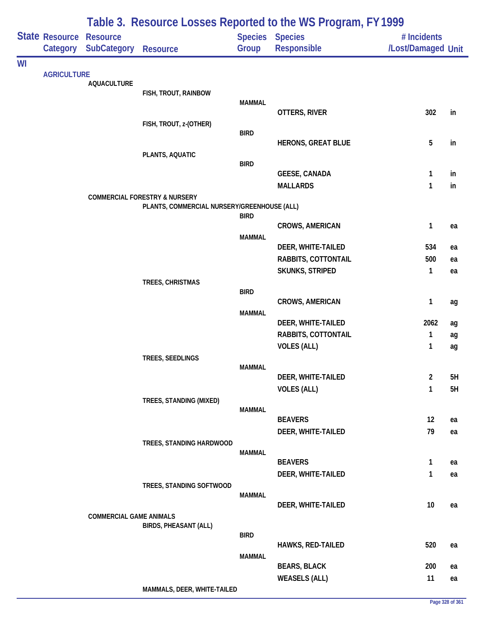|    |                            |                                       |                                             |               | Table 3. Resource Losses Reported to the WS Program, FY 1999 |                                   |    |
|----|----------------------------|---------------------------------------|---------------------------------------------|---------------|--------------------------------------------------------------|-----------------------------------|----|
|    | State Resource<br>Category | <b>Resource</b><br><b>SubCategory</b> | <b>Resource</b>                             | Group         | Species Species<br>Responsible                               | # Incidents<br>/Lost/Damaged Unit |    |
| WI |                            |                                       |                                             |               |                                                              |                                   |    |
|    | <b>AGRICULTURE</b>         | <b>AQUACULTURE</b>                    |                                             |               |                                                              |                                   |    |
|    |                            |                                       | FISH, TROUT, RAINBOW                        |               |                                                              |                                   |    |
|    |                            |                                       |                                             | <b>MAMMAL</b> |                                                              |                                   |    |
|    |                            |                                       | FISH, TROUT, z-(OTHER)                      |               | OTTERS, RIVER                                                | 302                               | in |
|    |                            |                                       |                                             | <b>BIRD</b>   |                                                              |                                   |    |
|    |                            |                                       |                                             |               | <b>HERONS, GREAT BLUE</b>                                    | 5                                 | in |
|    |                            |                                       | PLANTS, AQUATIC                             |               |                                                              |                                   |    |
|    |                            |                                       |                                             | <b>BIRD</b>   | <b>GEESE, CANADA</b>                                         | 1                                 | in |
|    |                            |                                       |                                             |               | <b>MALLARDS</b>                                              | $\mathbf{1}$                      | in |
|    |                            |                                       | <b>COMMERCIAL FORESTRY &amp; NURSERY</b>    |               |                                                              |                                   |    |
|    |                            |                                       | PLANTS, COMMERCIAL NURSERY/GREENHOUSE (ALL) |               |                                                              |                                   |    |
|    |                            |                                       |                                             | <b>BIRD</b>   | <b>CROWS, AMERICAN</b>                                       | 1                                 | ea |
|    |                            |                                       |                                             | <b>MAMMAL</b> |                                                              |                                   |    |
|    |                            |                                       |                                             |               | DEER, WHITE-TAILED                                           | 534                               | ea |
|    |                            |                                       |                                             |               | RABBITS, COTTONTAIL                                          | 500                               | ea |
|    |                            |                                       |                                             |               | SKUNKS, STRIPED                                              | $\mathbf{1}$                      | ea |
|    |                            |                                       | TREES, CHRISTMAS                            |               |                                                              |                                   |    |
|    |                            |                                       |                                             | <b>BIRD</b>   | <b>CROWS, AMERICAN</b>                                       | $\mathbf{1}$                      | ag |
|    |                            |                                       |                                             | <b>MAMMAL</b> |                                                              |                                   |    |
|    |                            |                                       |                                             |               | DEER, WHITE-TAILED                                           | 2062                              | ag |
|    |                            |                                       |                                             |               | RABBITS, COTTONTAIL                                          | $\mathbf{1}$                      | ag |
|    |                            |                                       |                                             |               | <b>VOLES (ALL)</b>                                           | $\mathbf{1}$                      | ag |
|    |                            |                                       | TREES, SEEDLINGS                            |               |                                                              |                                   |    |
|    |                            |                                       |                                             | <b>MAMMAL</b> | DEER, WHITE-TAILED                                           | $\overline{2}$                    | 5H |
|    |                            |                                       |                                             |               | <b>VOLES (ALL)</b>                                           | 1                                 | 5H |
|    |                            |                                       | TREES, STANDING (MIXED)                     |               |                                                              |                                   |    |
|    |                            |                                       |                                             | <b>MAMMAL</b> |                                                              |                                   |    |
|    |                            |                                       |                                             |               | <b>BEAVERS</b>                                               | 12                                | ea |
|    |                            |                                       | TREES, STANDING HARDWOOD                    |               | DEER, WHITE-TAILED                                           | 79                                | ea |
|    |                            |                                       |                                             | <b>MAMMAL</b> |                                                              |                                   |    |
|    |                            |                                       |                                             |               | <b>BEAVERS</b>                                               | 1                                 | ea |
|    |                            |                                       |                                             |               | DEER, WHITE-TAILED                                           | $\mathbf{1}$                      | ea |
|    |                            |                                       | TREES, STANDING SOFTWOOD                    |               |                                                              |                                   |    |
|    |                            |                                       |                                             | <b>MAMMAL</b> | DEER, WHITE-TAILED                                           | $10$                              | ea |
|    |                            | <b>COMMERCIAL GAME ANIMALS</b>        |                                             |               |                                                              |                                   |    |
|    |                            |                                       | <b>BIRDS, PHEASANT (ALL)</b>                |               |                                                              |                                   |    |
|    |                            |                                       |                                             | <b>BIRD</b>   |                                                              |                                   |    |
|    |                            |                                       |                                             | <b>MAMMAL</b> | HAWKS, RED-TAILED                                            | 520                               | ea |
|    |                            |                                       |                                             |               | <b>BEARS, BLACK</b>                                          | 200                               | ea |
|    |                            |                                       |                                             |               | <b>WEASELS (ALL)</b>                                         | 11                                | ea |
|    |                            |                                       | MAMMALS, DEER, WHITE-TAILED                 |               |                                                              |                                   |    |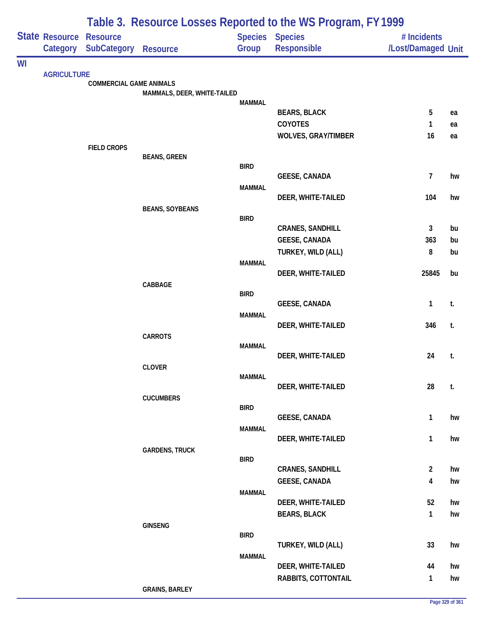|    |                            | Table 3. Resource Losses Reported to the WS Program, FY 1999 |                             |               |                                     |                                   |    |  |  |
|----|----------------------------|--------------------------------------------------------------|-----------------------------|---------------|-------------------------------------|-----------------------------------|----|--|--|
|    | State Resource<br>Category | <b>Resource</b><br><b>SubCategory</b>                        | <b>Resource</b>             | Group         | Species Species<br>Responsible      | # Incidents<br>/Lost/Damaged Unit |    |  |  |
| WI |                            |                                                              |                             |               |                                     |                                   |    |  |  |
|    | <b>AGRICULTURE</b>         | <b>COMMERCIAL GAME ANIMALS</b>                               |                             |               |                                     |                                   |    |  |  |
|    |                            |                                                              | MAMMALS, DEER, WHITE-TAILED |               |                                     |                                   |    |  |  |
|    |                            |                                                              |                             | <b>MAMMAL</b> | <b>BEARS, BLACK</b>                 | 5                                 | ea |  |  |
|    |                            |                                                              |                             |               | COYOTES                             | 1                                 | ea |  |  |
|    |                            |                                                              |                             |               | <b>WOLVES, GRAY/TIMBER</b>          | 16                                | ea |  |  |
|    |                            | <b>FIELD CROPS</b>                                           |                             |               |                                     |                                   |    |  |  |
|    |                            |                                                              | <b>BEANS, GREEN</b>         | <b>BIRD</b>   |                                     |                                   |    |  |  |
|    |                            |                                                              |                             |               | <b>GEESE, CANADA</b>                | $\overline{7}$                    | hw |  |  |
|    |                            |                                                              |                             | <b>MAMMAL</b> | DEER, WHITE-TAILED                  | 104                               | hw |  |  |
|    |                            |                                                              | <b>BEANS, SOYBEANS</b>      |               |                                     |                                   |    |  |  |
|    |                            |                                                              |                             | <b>BIRD</b>   |                                     |                                   |    |  |  |
|    |                            |                                                              |                             |               | <b>CRANES, SANDHILL</b>             | 3                                 | bu |  |  |
|    |                            |                                                              |                             |               | GEESE, CANADA<br>TURKEY, WILD (ALL) | 363<br>8                          | bu |  |  |
|    |                            |                                                              |                             | <b>MAMMAL</b> |                                     |                                   | bu |  |  |
|    |                            |                                                              |                             |               | DEER, WHITE-TAILED                  | 25845                             | bu |  |  |
|    |                            |                                                              | CABBAGE                     |               |                                     |                                   |    |  |  |
|    |                            |                                                              |                             | <b>BIRD</b>   | <b>GEESE, CANADA</b>                | 1                                 | t. |  |  |
|    |                            |                                                              |                             | <b>MAMMAL</b> |                                     |                                   |    |  |  |
|    |                            |                                                              |                             |               | DEER, WHITE-TAILED                  | 346                               | t. |  |  |
|    |                            |                                                              | <b>CARROTS</b>              | <b>MAMMAL</b> |                                     |                                   |    |  |  |
|    |                            |                                                              |                             |               | DEER, WHITE-TAILED                  | 24                                | t. |  |  |
|    |                            |                                                              | <b>CLOVER</b>               |               |                                     |                                   |    |  |  |
|    |                            |                                                              |                             | <b>MAMMAL</b> | DEER, WHITE-TAILED                  | 28                                | t. |  |  |
|    |                            |                                                              | <b>CUCUMBERS</b>            |               |                                     |                                   |    |  |  |
|    |                            |                                                              |                             | <b>BIRD</b>   |                                     |                                   |    |  |  |
|    |                            |                                                              |                             | <b>MAMMAL</b> | <b>GEESE, CANADA</b>                | $\mathbf{1}$                      | hw |  |  |
|    |                            |                                                              |                             |               | DEER, WHITE-TAILED                  | $\mathbf{1}$                      | hw |  |  |
|    |                            |                                                              | <b>GARDENS, TRUCK</b>       |               |                                     |                                   |    |  |  |
|    |                            |                                                              |                             | <b>BIRD</b>   | <b>CRANES, SANDHILL</b>             | $\overline{2}$                    | hw |  |  |
|    |                            |                                                              |                             |               | <b>GEESE, CANADA</b>                | 4                                 | hw |  |  |
|    |                            |                                                              |                             | <b>MAMMAL</b> |                                     |                                   |    |  |  |
|    |                            |                                                              |                             |               | DEER, WHITE-TAILED                  | 52                                | hw |  |  |
|    |                            |                                                              | <b>GINSENG</b>              |               | <b>BEARS, BLACK</b>                 | $\mathbf{1}$                      | hw |  |  |
|    |                            |                                                              |                             | <b>BIRD</b>   |                                     |                                   |    |  |  |
|    |                            |                                                              |                             |               | TURKEY, WILD (ALL)                  | 33                                | hw |  |  |
|    |                            |                                                              |                             | <b>MAMMAL</b> | DEER, WHITE-TAILED                  | 44                                | hw |  |  |
|    |                            |                                                              |                             |               | RABBITS, COTTONTAIL                 | $\mathbf{1}$                      | hw |  |  |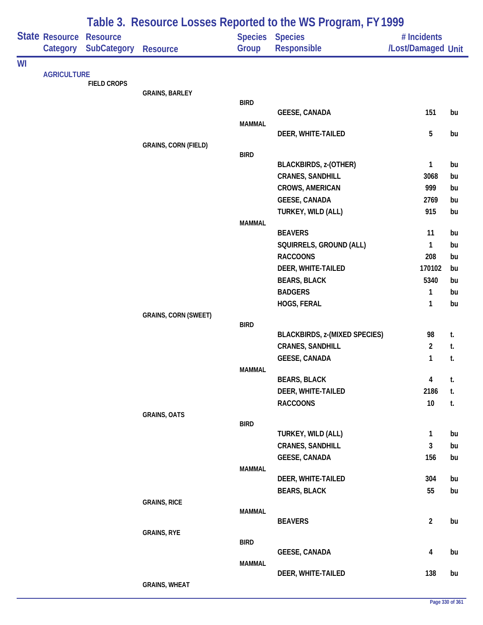|    |                            |                                       |                             |               | Table 3. Resource Losses Reported to the WS Program, FY 1999 |                                   |          |
|----|----------------------------|---------------------------------------|-----------------------------|---------------|--------------------------------------------------------------|-----------------------------------|----------|
|    | State Resource<br>Category | <b>Resource</b><br><b>SubCategory</b> | <b>Resource</b>             | Group         | <b>Species Species</b><br>Responsible                        | # Incidents<br>/Lost/Damaged Unit |          |
| WI |                            |                                       |                             |               |                                                              |                                   |          |
|    | <b>AGRICULTURE</b>         |                                       |                             |               |                                                              |                                   |          |
|    |                            | <b>FIELD CROPS</b>                    |                             |               |                                                              |                                   |          |
|    |                            |                                       | <b>GRAINS, BARLEY</b>       | <b>BIRD</b>   |                                                              |                                   |          |
|    |                            |                                       |                             |               | <b>GEESE, CANADA</b>                                         | 151                               | bu       |
|    |                            |                                       |                             | <b>MAMMAL</b> |                                                              |                                   |          |
|    |                            |                                       |                             |               | DEER, WHITE-TAILED                                           | 5                                 | bu       |
|    |                            |                                       | <b>GRAINS, CORN (FIELD)</b> |               |                                                              |                                   |          |
|    |                            |                                       |                             | <b>BIRD</b>   | <b>BLACKBIRDS, z-(OTHER)</b>                                 | 1                                 | bu       |
|    |                            |                                       |                             |               | <b>CRANES, SANDHILL</b>                                      | 3068                              | bu       |
|    |                            |                                       |                             |               | <b>CROWS, AMERICAN</b>                                       | 999                               | bu       |
|    |                            |                                       |                             |               | <b>GEESE, CANADA</b>                                         | 2769                              | bu       |
|    |                            |                                       |                             |               | TURKEY, WILD (ALL)                                           | 915                               | bu       |
|    |                            |                                       |                             | <b>MAMMAL</b> |                                                              |                                   |          |
|    |                            |                                       |                             |               | <b>BEAVERS</b>                                               | 11                                | bu       |
|    |                            |                                       |                             |               | SQUIRRELS, GROUND (ALL)                                      | 1                                 | bu       |
|    |                            |                                       |                             |               | <b>RACCOONS</b>                                              | 208                               | bu       |
|    |                            |                                       |                             |               | DEER, WHITE-TAILED                                           | 170102                            | bu       |
|    |                            |                                       |                             |               | <b>BEARS, BLACK</b>                                          | 5340                              | bu       |
|    |                            |                                       |                             |               | <b>BADGERS</b>                                               | 1<br>1                            | bu       |
|    |                            |                                       | <b>GRAINS, CORN (SWEET)</b> |               | HOGS, FERAL                                                  |                                   | bu       |
|    |                            |                                       |                             | <b>BIRD</b>   |                                                              |                                   |          |
|    |                            |                                       |                             |               | <b>BLACKBIRDS, z-(MIXED SPECIES)</b>                         | 98                                | t.       |
|    |                            |                                       |                             |               | <b>CRANES, SANDHILL</b>                                      | $\overline{2}$                    | t.       |
|    |                            |                                       |                             |               | <b>GEESE, CANADA</b>                                         | 1                                 | t.       |
|    |                            |                                       |                             | <b>MAMMAL</b> |                                                              |                                   |          |
|    |                            |                                       |                             |               | <b>BEARS, BLACK</b><br>DEER, WHITE-TAILED                    | 4<br>2186                         | t.<br>t. |
|    |                            |                                       |                             |               | <b>RACCOONS</b>                                              | 10 <sup>°</sup>                   | t.       |
|    |                            |                                       | <b>GRAINS, OATS</b>         |               |                                                              |                                   |          |
|    |                            |                                       |                             | <b>BIRD</b>   |                                                              |                                   |          |
|    |                            |                                       |                             |               | TURKEY, WILD (ALL)                                           | 1                                 | bu       |
|    |                            |                                       |                             |               | <b>CRANES, SANDHILL</b>                                      | 3                                 | bu       |
|    |                            |                                       |                             |               | <b>GEESE, CANADA</b>                                         | 156                               | bu       |
|    |                            |                                       |                             | <b>MAMMAL</b> | DEER, WHITE-TAILED                                           | 304                               | bu       |
|    |                            |                                       |                             |               | <b>BEARS, BLACK</b>                                          | 55                                | bu       |
|    |                            |                                       | <b>GRAINS, RICE</b>         |               |                                                              |                                   |          |
|    |                            |                                       |                             | <b>MAMMAL</b> |                                                              |                                   |          |
|    |                            |                                       |                             |               | <b>BEAVERS</b>                                               | $\overline{2}$                    | bu       |
|    |                            |                                       | <b>GRAINS, RYE</b>          | <b>BIRD</b>   |                                                              |                                   |          |
|    |                            |                                       |                             |               | <b>GEESE, CANADA</b>                                         | 4                                 | bu       |
|    |                            |                                       |                             | <b>MAMMAL</b> |                                                              |                                   |          |
|    |                            |                                       |                             |               | DEER, WHITE-TAILED                                           | 138                               | bu       |
|    |                            |                                       | <b>GRAINS, WHEAT</b>        |               |                                                              |                                   |          |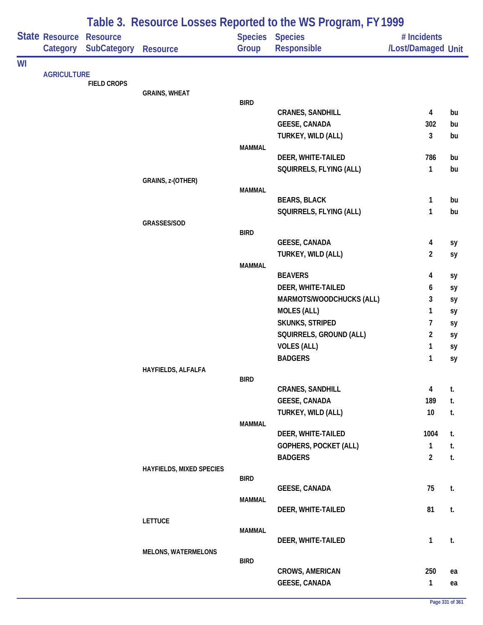|    |                                   |                                       |                                 |               | Table 3. Resource Losses Reported to the WS Program, FY 1999 |                                   |    |
|----|-----------------------------------|---------------------------------------|---------------------------------|---------------|--------------------------------------------------------------|-----------------------------------|----|
|    | <b>State Resource</b><br>Category | <b>Resource</b><br><b>SubCategory</b> | <b>Resource</b>                 | Group         | <b>Species Species</b><br><b>Responsible</b>                 | # Incidents<br>/Lost/Damaged Unit |    |
| WI |                                   |                                       |                                 |               |                                                              |                                   |    |
|    | <b>AGRICULTURE</b>                | <b>FIELD CROPS</b>                    |                                 |               |                                                              |                                   |    |
|    |                                   |                                       | <b>GRAINS, WHEAT</b>            |               |                                                              |                                   |    |
|    |                                   |                                       |                                 | <b>BIRD</b>   |                                                              |                                   |    |
|    |                                   |                                       |                                 |               | <b>CRANES, SANDHILL</b>                                      | 4                                 | bu |
|    |                                   |                                       |                                 |               | GEESE, CANADA                                                | 302                               | bu |
|    |                                   |                                       |                                 |               | TURKEY, WILD (ALL)                                           | 3                                 | bu |
|    |                                   |                                       |                                 | <b>MAMMAL</b> |                                                              |                                   |    |
|    |                                   |                                       |                                 |               | DEER, WHITE-TAILED                                           | 786                               | bu |
|    |                                   |                                       |                                 |               | SQUIRRELS, FLYING (ALL)                                      | 1                                 | bu |
|    |                                   |                                       | GRAINS, z-(OTHER)               | <b>MAMMAL</b> |                                                              |                                   |    |
|    |                                   |                                       |                                 |               | <b>BEARS, BLACK</b>                                          | 1                                 | bu |
|    |                                   |                                       |                                 |               | SQUIRRELS, FLYING (ALL)                                      | 1                                 | bu |
|    |                                   |                                       | GRASSES/SOD                     |               |                                                              |                                   |    |
|    |                                   |                                       |                                 | <b>BIRD</b>   |                                                              |                                   |    |
|    |                                   |                                       |                                 |               | <b>GEESE, CANADA</b>                                         | 4                                 | sy |
|    |                                   |                                       |                                 |               | TURKEY, WILD (ALL)                                           | 2                                 | sy |
|    |                                   |                                       |                                 | <b>MAMMAL</b> |                                                              |                                   |    |
|    |                                   |                                       |                                 |               | <b>BEAVERS</b>                                               | 4                                 | sy |
|    |                                   |                                       |                                 |               | DEER, WHITE-TAILED                                           | 6                                 | sy |
|    |                                   |                                       |                                 |               | MARMOTS/WOODCHUCKS (ALL)                                     | 3                                 | sy |
|    |                                   |                                       |                                 |               | <b>MOLES (ALL)</b>                                           | 1                                 | sy |
|    |                                   |                                       |                                 |               | SKUNKS, STRIPED                                              | 7                                 | sy |
|    |                                   |                                       |                                 |               | SQUIRRELS, GROUND (ALL)                                      | $\overline{2}$                    | sy |
|    |                                   |                                       |                                 |               | <b>VOLES (ALL)</b>                                           | 1                                 | sy |
|    |                                   |                                       |                                 |               | <b>BADGERS</b>                                               | 1                                 | sy |
|    |                                   |                                       | HAYFIELDS, ALFALFA              |               |                                                              |                                   |    |
|    |                                   |                                       |                                 | <b>BIRD</b>   | <b>CRANES, SANDHILL</b>                                      | 4                                 | t. |
|    |                                   |                                       |                                 |               | GEESE, CANADA                                                | 189                               | t. |
|    |                                   |                                       |                                 |               | TURKEY, WILD (ALL)                                           | 10 <sup>°</sup>                   | t. |
|    |                                   |                                       |                                 | <b>MAMMAL</b> |                                                              |                                   |    |
|    |                                   |                                       |                                 |               | DEER, WHITE-TAILED                                           | 1004                              | t. |
|    |                                   |                                       |                                 |               | GOPHERS, POCKET (ALL)                                        | 1                                 | t. |
|    |                                   |                                       |                                 |               | <b>BADGERS</b>                                               | $\overline{2}$                    | t. |
|    |                                   |                                       | <b>HAYFIELDS, MIXED SPECIES</b> |               |                                                              |                                   |    |
|    |                                   |                                       |                                 | <b>BIRD</b>   |                                                              |                                   |    |
|    |                                   |                                       |                                 |               | <b>GEESE, CANADA</b>                                         | 75                                | t. |
|    |                                   |                                       |                                 | <b>MAMMAL</b> |                                                              |                                   |    |
|    |                                   |                                       |                                 |               | DEER, WHITE-TAILED                                           | 81                                | t. |
|    |                                   |                                       | <b>LETTUCE</b>                  | <b>MAMMAL</b> |                                                              |                                   |    |
|    |                                   |                                       |                                 |               | DEER, WHITE-TAILED                                           | 1                                 | t. |
|    |                                   |                                       | <b>MELONS, WATERMELONS</b>      |               |                                                              |                                   |    |
|    |                                   |                                       |                                 | <b>BIRD</b>   |                                                              |                                   |    |
|    |                                   |                                       |                                 |               | <b>CROWS, AMERICAN</b>                                       | 250                               | ea |
|    |                                   |                                       |                                 |               | <b>GEESE, CANADA</b>                                         | $\mathbf{1}$                      | ea |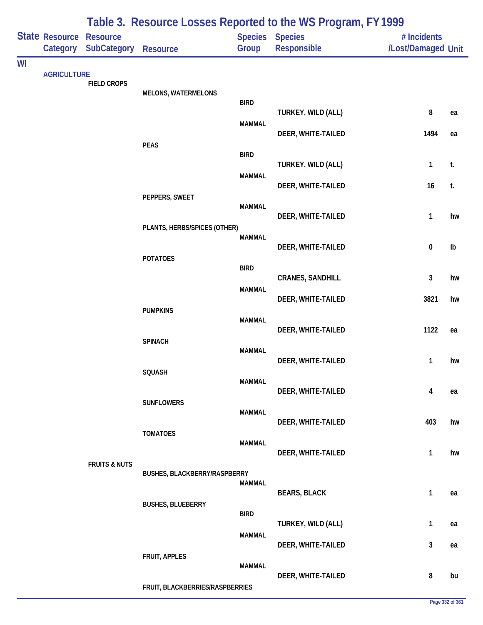|    |                                   |                                |                                 |                         | Table 3. Resource Losses Reported to the WS Program, FY 1999 |                                   |    |
|----|-----------------------------------|--------------------------------|---------------------------------|-------------------------|--------------------------------------------------------------|-----------------------------------|----|
|    | <b>State Resource</b><br>Category | <b>Resource</b><br>SubCategory | <b>Resource</b>                 | Group                   | Species Species<br>Responsible                               | # Incidents<br>/Lost/Damaged Unit |    |
| WI |                                   |                                |                                 |                         |                                                              |                                   |    |
|    | <b>AGRICULTURE</b>                | <b>FIELD CROPS</b>             |                                 |                         |                                                              |                                   |    |
|    |                                   |                                | <b>MELONS, WATERMELONS</b>      | <b>BIRD</b>             | TURKEY, WILD (ALL)                                           | 8                                 | ea |
|    |                                   |                                |                                 | <b>MAMMAL</b>           | DEER, WHITE-TAILED                                           | 1494                              | ea |
|    |                                   |                                | <b>PEAS</b>                     | <b>BIRD</b>             | TURKEY, WILD (ALL)                                           | $\mathbf{1}$                      | t. |
|    |                                   |                                |                                 | <b>MAMMAL</b>           | DEER, WHITE-TAILED                                           | 16                                | t. |
|    |                                   |                                | PEPPERS, SWEET                  | <b>MAMMAL</b>           |                                                              |                                   |    |
|    |                                   |                                | PLANTS, HERBS/SPICES (OTHER)    |                         | DEER, WHITE-TAILED                                           | 1                                 | hw |
|    |                                   |                                | <b>POTATOES</b>                 | <b>MAMMAL</b>           | DEER, WHITE-TAILED                                           | $\pmb{0}$                         | Ib |
|    |                                   |                                | <b>BIRD</b>                     | <b>CRANES, SANDHILL</b> | 3                                                            | hw                                |    |
|    |                                   |                                |                                 | <b>MAMMAL</b>           | DEER, WHITE-TAILED                                           | 3821                              | hw |
|    |                                   |                                | <b>PUMPKINS</b>                 | <b>MAMMAL</b>           | DEER, WHITE-TAILED                                           | 1122                              | ea |
|    |                                   |                                | <b>SPINACH</b>                  | <b>MAMMAL</b>           |                                                              |                                   |    |
|    |                                   |                                | SQUASH                          | <b>MAMMAL</b>           | DEER, WHITE-TAILED                                           | 1                                 | hw |
|    |                                   |                                | <b>SUNFLOWERS</b>               |                         | DEER, WHITE-TAILED                                           | 4                                 | ea |
|    |                                   |                                |                                 | MAMMAL                  | DEER, WHITE-TAILED                                           | 403                               | hw |
|    |                                   | <b>FRUITS &amp; NUTS</b>       | <b>TOMATOES</b>                 | <b>MAMMAL</b>           | DEER, WHITE-TAILED                                           | $\mathbf{1}$                      | hw |
|    |                                   |                                | BUSHES, BLACKBERRY/RASPBERRY    | <b>MAMMAL</b>           | <b>BEARS, BLACK</b>                                          | $\mathbf{1}$                      | ea |
|    |                                   |                                | <b>BUSHES, BLUEBERRY</b>        | <b>BIRD</b>             |                                                              |                                   |    |
|    |                                   |                                |                                 | <b>MAMMAL</b>           | TURKEY, WILD (ALL)                                           | $\mathbf{1}$                      | ea |
|    |                                   |                                | FRUIT, APPLES                   | <b>MAMMAL</b>           | DEER, WHITE-TAILED                                           | $\mathbf{3}$                      | ea |
|    |                                   |                                | FRUIT, BLACKBERRIES/RASPBERRIES |                         | DEER, WHITE-TAILED                                           | 8                                 | bu |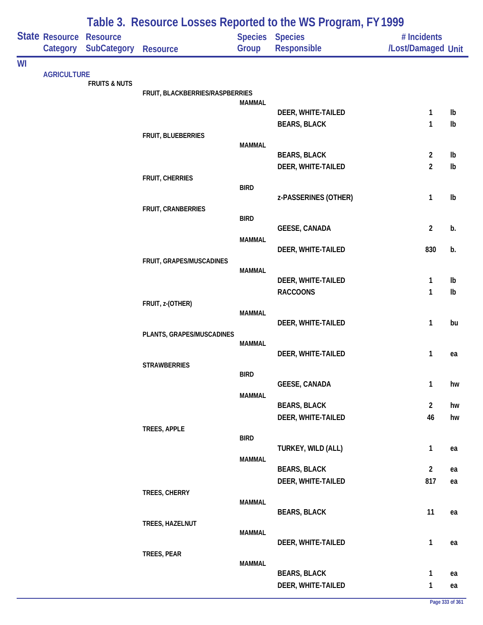|    |                            |                                       |                                 |               | Table 3. Resource Losses Reported to the WS Program, FY 1999 |                                   |    |
|----|----------------------------|---------------------------------------|---------------------------------|---------------|--------------------------------------------------------------|-----------------------------------|----|
|    | State Resource<br>Category | <b>Resource</b><br><b>SubCategory</b> | Resource                        | Group         | Species Species<br>Responsible                               | # Incidents<br>/Lost/Damaged Unit |    |
| WI |                            |                                       |                                 |               |                                                              |                                   |    |
|    | <b>AGRICULTURE</b>         | <b>FRUITS &amp; NUTS</b>              |                                 |               |                                                              |                                   |    |
|    |                            |                                       | FRUIT, BLACKBERRIES/RASPBERRIES | <b>MAMMAL</b> |                                                              |                                   |    |
|    |                            |                                       |                                 |               | DEER, WHITE-TAILED                                           | 1                                 | Ib |
|    |                            |                                       |                                 |               | <b>BEARS, BLACK</b>                                          | 1                                 | Ib |
|    |                            |                                       | FRUIT, BLUEBERRIES              | <b>MAMMAL</b> |                                                              |                                   |    |
|    |                            |                                       |                                 |               | <b>BEARS, BLACK</b>                                          | $\overline{2}$                    | Ib |
|    |                            |                                       |                                 |               | DEER, WHITE-TAILED                                           | $\overline{2}$                    | Ib |
|    |                            |                                       | FRUIT, CHERRIES                 | <b>BIRD</b>   |                                                              |                                   |    |
|    |                            |                                       |                                 |               | z-PASSERINES (OTHER)                                         | 1                                 | Ib |
|    |                            |                                       | FRUIT, CRANBERRIES              | <b>BIRD</b>   |                                                              |                                   |    |
|    |                            |                                       |                                 |               | <b>GEESE, CANADA</b>                                         | $\overline{2}$                    | b. |
|    |                            |                                       |                                 | <b>MAMMAL</b> |                                                              |                                   |    |
|    |                            |                                       | FRUIT, GRAPES/MUSCADINES        |               | DEER, WHITE-TAILED                                           | 830                               | b. |
|    |                            |                                       |                                 | <b>MAMMAL</b> |                                                              |                                   |    |
|    |                            |                                       |                                 |               | DEER, WHITE-TAILED                                           | 1                                 | Ib |
|    |                            |                                       | FRUIT, z-(OTHER)                |               | <b>RACCOONS</b>                                              | 1                                 | Ib |
|    |                            |                                       |                                 | <b>MAMMAL</b> |                                                              |                                   |    |
|    |                            |                                       |                                 |               | DEER, WHITE-TAILED                                           | 1                                 | bu |
|    |                            |                                       | PLANTS, GRAPES/MUSCADINES       | <b>MAMMAL</b> |                                                              |                                   |    |
|    |                            |                                       |                                 |               | DEER, WHITE-TAILED                                           | 1                                 | ea |
|    |                            |                                       | <b>STRAWBERRIES</b>             | <b>BIRD</b>   |                                                              |                                   |    |
|    |                            |                                       |                                 |               | <b>GEESE, CANADA</b>                                         | 1                                 | hw |
|    |                            |                                       |                                 | <b>MAMMAL</b> | <b>BEARS, BLACK</b>                                          | $\overline{2}$                    | hw |
|    |                            |                                       |                                 |               | DEER, WHITE-TAILED                                           | 46                                | hw |
|    |                            |                                       | TREES, APPLE                    |               |                                                              |                                   |    |
|    |                            |                                       |                                 | <b>BIRD</b>   | TURKEY, WILD (ALL)                                           | $\mathbf{1}$                      | ea |
|    |                            |                                       |                                 | <b>MAMMAL</b> |                                                              |                                   |    |
|    |                            |                                       |                                 |               | <b>BEARS, BLACK</b>                                          | $\overline{2}$                    | ea |
|    |                            |                                       |                                 |               | DEER, WHITE-TAILED                                           | 817                               | ea |
|    |                            |                                       | TREES, CHERRY                   | <b>MAMMAL</b> |                                                              |                                   |    |
|    |                            |                                       |                                 |               | <b>BEARS, BLACK</b>                                          | 11                                | ea |
|    |                            |                                       | TREES, HAZELNUT                 | <b>MAMMAL</b> |                                                              |                                   |    |
|    |                            |                                       |                                 |               | DEER, WHITE-TAILED                                           | $\mathbf{1}$                      | ea |
|    |                            |                                       | TREES, PEAR                     | <b>MAMMAL</b> |                                                              |                                   |    |
|    |                            |                                       |                                 |               | <b>BEARS, BLACK</b>                                          | $\mathbf{1}$                      | ea |
|    |                            |                                       |                                 |               | DEER, WHITE-TAILED                                           | $\mathbf{1}$                      | ea |

## **Page 333 of 361**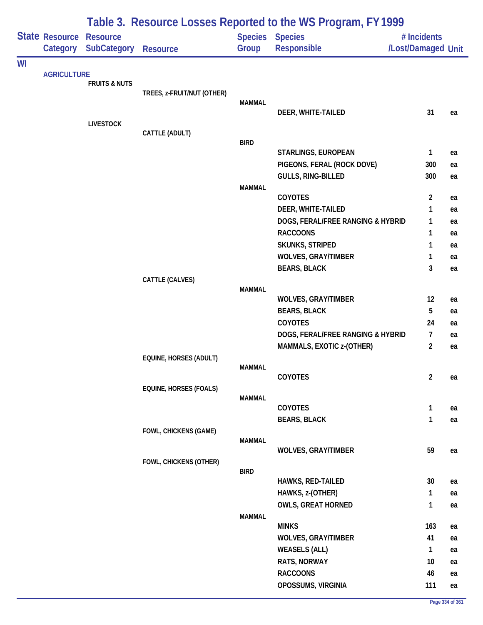| Table 3. Resource Losses Reported to the WS Program, FY 1999 |                                      |                                       |                               |               |                                              |                                   |          |
|--------------------------------------------------------------|--------------------------------------|---------------------------------------|-------------------------------|---------------|----------------------------------------------|-----------------------------------|----------|
|                                                              | Category                             | <b>Resource</b><br><b>SubCategory</b> | <b>Resource</b>               | Group         | <b>Species Species</b><br><b>Responsible</b> | # Incidents<br>/Lost/Damaged Unit |          |
| WI                                                           |                                      |                                       |                               |               |                                              |                                   |          |
|                                                              | State Resource<br><b>AGRICULTURE</b> | <b>FRUITS &amp; NUTS</b>              |                               |               |                                              |                                   |          |
|                                                              |                                      |                                       | TREES, z-FRUIT/NUT (OTHER)    |               |                                              |                                   |          |
|                                                              |                                      |                                       |                               | <b>MAMMAL</b> |                                              |                                   |          |
|                                                              |                                      |                                       |                               |               | DEER, WHITE-TAILED                           | 31                                | ea       |
|                                                              |                                      | <b>LIVESTOCK</b>                      | CATTLE (ADULT)                |               |                                              |                                   |          |
|                                                              |                                      |                                       |                               | <b>BIRD</b>   |                                              |                                   |          |
|                                                              |                                      |                                       |                               |               | STARLINGS, EUROPEAN                          | $\mathbf{1}$                      | ea       |
|                                                              |                                      |                                       |                               |               | PIGEONS, FERAL (ROCK DOVE)                   | 300                               | ea       |
|                                                              |                                      |                                       |                               |               | <b>GULLS, RING-BILLED</b>                    | 300                               | ea       |
|                                                              |                                      |                                       |                               | <b>MAMMAL</b> |                                              |                                   |          |
|                                                              |                                      |                                       |                               |               | COYOTES                                      | $\overline{2}$                    | ea       |
|                                                              |                                      |                                       |                               |               | DEER, WHITE-TAILED                           | 1                                 | ea       |
|                                                              |                                      |                                       |                               |               | DOGS, FERAL/FREE RANGING & HYBRID            | 1                                 | ea       |
|                                                              |                                      |                                       |                               |               | <b>RACCOONS</b><br><b>SKUNKS, STRIPED</b>    | 1<br>1                            | ea       |
|                                                              |                                      |                                       |                               |               | <b>WOLVES, GRAY/TIMBER</b>                   | 1                                 | ea<br>ea |
|                                                              |                                      |                                       |                               |               | <b>BEARS, BLACK</b>                          | 3                                 | ea       |
|                                                              |                                      |                                       | CATTLE (CALVES)               |               |                                              |                                   |          |
|                                                              |                                      |                                       |                               | <b>MAMMAL</b> |                                              |                                   |          |
|                                                              |                                      |                                       |                               |               | <b>WOLVES, GRAY/TIMBER</b>                   | 12                                | ea       |
|                                                              |                                      |                                       |                               |               | <b>BEARS, BLACK</b>                          | 5                                 | ea       |
|                                                              |                                      |                                       |                               |               | COYOTES                                      | 24                                | ea       |
|                                                              |                                      |                                       |                               |               | DOGS, FERAL/FREE RANGING & HYBRID            | $\overline{7}$                    | ea       |
|                                                              |                                      |                                       |                               |               | MAMMALS, EXOTIC z-(OTHER)                    | $\overline{2}$                    | ea       |
|                                                              |                                      |                                       | EQUINE, HORSES (ADULT)        | <b>MAMMAL</b> |                                              |                                   |          |
|                                                              |                                      |                                       |                               |               | COYOTES                                      | $\overline{2}$                    | ea       |
|                                                              |                                      |                                       | <b>EQUINE, HORSES (FOALS)</b> |               |                                              |                                   |          |
|                                                              |                                      |                                       |                               | <b>MAMMAL</b> |                                              |                                   |          |
|                                                              |                                      |                                       |                               |               | COYOTES                                      | $\mathbf{1}$                      | ea       |
|                                                              |                                      |                                       |                               |               | <b>BEARS, BLACK</b>                          | $\mathbf{1}$                      | ea       |
|                                                              |                                      |                                       | FOWL, CHICKENS (GAME)         | <b>MAMMAL</b> |                                              |                                   |          |
|                                                              |                                      |                                       |                               |               | <b>WOLVES, GRAY/TIMBER</b>                   | 59                                | ea       |
|                                                              |                                      |                                       | FOWL, CHICKENS (OTHER)        |               |                                              |                                   |          |
|                                                              |                                      |                                       |                               | <b>BIRD</b>   |                                              |                                   |          |
|                                                              |                                      |                                       |                               |               | <b>HAWKS, RED-TAILED</b>                     | 30                                | ea       |
|                                                              |                                      |                                       |                               |               | HAWKS, z-(OTHER)                             | $\mathbf{1}$                      | ea       |
|                                                              |                                      |                                       |                               |               | <b>OWLS, GREAT HORNED</b>                    | $\mathbf{1}$                      | ea       |
|                                                              |                                      |                                       |                               | <b>MAMMAL</b> | <b>MINKS</b>                                 | 163                               | ea       |
|                                                              |                                      |                                       |                               |               | <b>WOLVES, GRAY/TIMBER</b>                   | 41                                | ea       |
|                                                              |                                      |                                       |                               |               | <b>WEASELS (ALL)</b>                         | $\mathbf{1}$                      | ea       |
|                                                              |                                      |                                       |                               |               | RATS, NORWAY                                 | 10                                | ea       |
|                                                              |                                      |                                       |                               |               | <b>RACCOONS</b>                              | 46                                | ea       |
|                                                              |                                      |                                       |                               |               | OPOSSUMS, VIRGINIA                           | 111                               | ea       |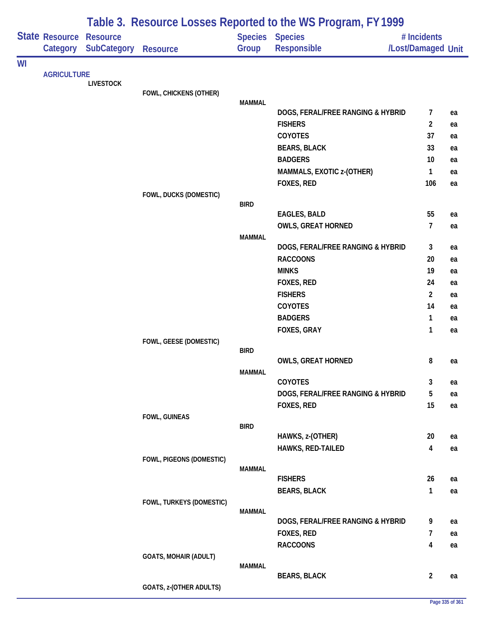|    |                       |                    |                              |               | Table 3. Resource Losses Reported to the WS Program, FY 1999 |                          |          |
|----|-----------------------|--------------------|------------------------------|---------------|--------------------------------------------------------------|--------------------------|----------|
|    | <b>State Resource</b> | <b>Resource</b>    |                              |               | Species Species                                              | # Incidents              |          |
|    | Category              | <b>SubCategory</b> | <b>Resource</b>              | Group         | Responsible                                                  | /Lost/Damaged Unit       |          |
| WI |                       |                    |                              |               |                                                              |                          |          |
|    | <b>AGRICULTURE</b>    | <b>LIVESTOCK</b>   |                              |               |                                                              |                          |          |
|    |                       |                    | FOWL, CHICKENS (OTHER)       |               |                                                              |                          |          |
|    |                       |                    |                              | <b>MAMMAL</b> |                                                              |                          |          |
|    |                       |                    |                              |               | DOGS, FERAL/FREE RANGING & HYBRID                            | $\overline{7}$           | ea       |
|    |                       |                    |                              |               | <b>FISHERS</b>                                               | $\overline{2}$           | ea       |
|    |                       |                    |                              |               | COYOTES                                                      | 37                       | ea       |
|    |                       |                    |                              |               | <b>BEARS, BLACK</b><br><b>BADGERS</b>                        | 33<br>10                 | ea       |
|    |                       |                    |                              |               | MAMMALS, EXOTIC z-(OTHER)                                    | $\mathbf{1}$             | ea       |
|    |                       |                    |                              |               | FOXES, RED                                                   | 106                      | ea<br>ea |
|    |                       |                    | FOWL, DUCKS (DOMESTIC)       |               |                                                              |                          |          |
|    |                       |                    |                              | <b>BIRD</b>   |                                                              |                          |          |
|    |                       |                    |                              |               | <b>EAGLES, BALD</b>                                          | 55                       | ea       |
|    |                       |                    |                              |               | <b>OWLS, GREAT HORNED</b>                                    | $\overline{7}$           | ea       |
|    |                       |                    |                              | <b>MAMMAL</b> |                                                              |                          |          |
|    |                       |                    |                              |               | DOGS, FERAL/FREE RANGING & HYBRID                            | 3                        | ea       |
|    |                       |                    |                              |               | <b>RACCOONS</b><br><b>MINKS</b>                              | 20<br>19                 | ea       |
|    |                       |                    |                              |               | FOXES, RED                                                   | 24                       | ea<br>ea |
|    |                       |                    |                              |               | <b>FISHERS</b>                                               | $\overline{2}$           | ea       |
|    |                       |                    |                              |               | <b>COYOTES</b>                                               | 14                       | ea       |
|    |                       |                    |                              |               | <b>BADGERS</b>                                               | $\mathbf{1}$             | ea       |
|    |                       |                    |                              |               | <b>FOXES, GRAY</b>                                           | 1                        | ea       |
|    |                       |                    | FOWL, GEESE (DOMESTIC)       |               |                                                              |                          |          |
|    |                       |                    |                              | <b>BIRD</b>   |                                                              |                          |          |
|    |                       |                    |                              |               | <b>OWLS, GREAT HORNED</b>                                    | 8                        | ea       |
|    |                       |                    |                              | <b>MAMMAL</b> | <b>COYOTES</b>                                               | 3                        | ea       |
|    |                       |                    |                              |               | DOGS, FERAL/FREE RANGING & HYBRID                            | 5                        | ea       |
|    |                       |                    |                              |               | FOXES, RED                                                   | 15                       | ea       |
|    |                       |                    | FOWL, GUINEAS                |               |                                                              |                          |          |
|    |                       |                    |                              | <b>BIRD</b>   |                                                              |                          |          |
|    |                       |                    |                              |               | HAWKS, z-(OTHER)                                             | 20                       | ea       |
|    |                       |                    |                              |               | HAWKS, RED-TAILED                                            | $\overline{4}$           | ea       |
|    |                       |                    | FOWL, PIGEONS (DOMESTIC)     | <b>MAMMAL</b> |                                                              |                          |          |
|    |                       |                    |                              |               | <b>FISHERS</b>                                               | 26                       | ea       |
|    |                       |                    |                              |               | <b>BEARS, BLACK</b>                                          | $\mathbf{1}$             | ea       |
|    |                       |                    | FOWL, TURKEYS (DOMESTIC)     |               |                                                              |                          |          |
|    |                       |                    |                              | <b>MAMMAL</b> |                                                              |                          |          |
|    |                       |                    |                              |               | DOGS, FERAL/FREE RANGING & HYBRID                            | 9                        | ea       |
|    |                       |                    |                              |               | FOXES, RED                                                   | $\overline{\phantom{a}}$ | ea       |
|    |                       |                    | <b>GOATS, MOHAIR (ADULT)</b> |               | <b>RACCOONS</b>                                              | 4                        | ea       |
|    |                       |                    |                              | <b>MAMMAL</b> |                                                              |                          |          |
|    |                       |                    |                              |               | <b>BEARS, BLACK</b>                                          | $\overline{2}$           | ea       |
|    |                       |                    | GOATS, z-(OTHER ADULTS)      |               |                                                              |                          |          |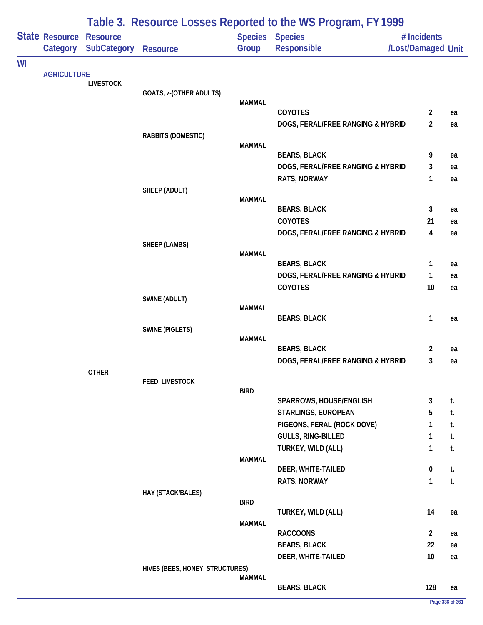|    |                    |                    | Table 3. Resource Losses Reported to the WS Program, FY 1999 |               |                                                          |                    |          |  |  |
|----|--------------------|--------------------|--------------------------------------------------------------|---------------|----------------------------------------------------------|--------------------|----------|--|--|
|    | State Resource     | <b>Resource</b>    |                                                              |               | <b>Species Species</b>                                   | # Incidents        |          |  |  |
|    | Category           | <b>SubCategory</b> | <b>Resource</b>                                              | Group         | Responsible                                              | /Lost/Damaged Unit |          |  |  |
| WI | <b>AGRICULTURE</b> |                    |                                                              |               |                                                          |                    |          |  |  |
|    |                    | <b>LIVESTOCK</b>   |                                                              |               |                                                          |                    |          |  |  |
|    |                    |                    | GOATS, z-(OTHER ADULTS)                                      | <b>MAMMAL</b> |                                                          |                    |          |  |  |
|    |                    |                    |                                                              |               | COYOTES                                                  | $\mathbf{2}$       | ea       |  |  |
|    |                    |                    |                                                              |               | DOGS, FERAL/FREE RANGING & HYBRID                        | $\overline{2}$     | ea       |  |  |
|    |                    |                    | RABBITS (DOMESTIC)                                           |               |                                                          |                    |          |  |  |
|    |                    |                    |                                                              | <b>MAMMAL</b> |                                                          |                    |          |  |  |
|    |                    |                    |                                                              |               | <b>BEARS, BLACK</b><br>DOGS, FERAL/FREE RANGING & HYBRID | 9<br>3             | ea<br>ea |  |  |
|    |                    |                    |                                                              |               | RATS, NORWAY                                             | 1                  | ea       |  |  |
|    |                    |                    | SHEEP (ADULT)                                                |               |                                                          |                    |          |  |  |
|    |                    |                    |                                                              | <b>MAMMAL</b> |                                                          |                    |          |  |  |
|    |                    |                    |                                                              |               | <b>BEARS, BLACK</b>                                      | 3                  | ea       |  |  |
|    |                    |                    |                                                              |               | COYOTES                                                  | 21                 | ea       |  |  |
|    |                    |                    | SHEEP (LAMBS)                                                |               | DOGS, FERAL/FREE RANGING & HYBRID                        | 4                  | ea       |  |  |
|    |                    |                    |                                                              | <b>MAMMAL</b> |                                                          |                    |          |  |  |
|    |                    |                    |                                                              |               | <b>BEARS, BLACK</b>                                      | 1                  | ea       |  |  |
|    |                    |                    |                                                              |               | DOGS, FERAL/FREE RANGING & HYBRID                        | $\mathbf{1}$       | ea       |  |  |
|    |                    |                    |                                                              |               | COYOTES                                                  | 10 <sup>°</sup>    | ea       |  |  |
|    |                    |                    | SWINE (ADULT)                                                | <b>MAMMAL</b> |                                                          |                    |          |  |  |
|    |                    |                    |                                                              |               | <b>BEARS, BLACK</b>                                      | 1                  | ea       |  |  |
|    |                    |                    | <b>SWINE (PIGLETS)</b>                                       |               |                                                          |                    |          |  |  |
|    |                    |                    |                                                              | <b>MAMMAL</b> |                                                          |                    |          |  |  |
|    |                    |                    |                                                              |               | <b>BEARS, BLACK</b><br>DOGS, FERAL/FREE RANGING & HYBRID | 2<br>3             | ea<br>ea |  |  |
|    |                    | <b>OTHER</b>       |                                                              |               |                                                          |                    |          |  |  |
|    |                    |                    | FEED, LIVESTOCK                                              |               |                                                          |                    |          |  |  |
|    |                    |                    |                                                              | <b>BIRD</b>   |                                                          |                    |          |  |  |
|    |                    |                    |                                                              |               | SPARROWS, HOUSE/ENGLISH<br>STARLINGS, EUROPEAN           | 3<br>5             | t.<br>t. |  |  |
|    |                    |                    |                                                              |               | PIGEONS, FERAL (ROCK DOVE)                               | 1                  | t.       |  |  |
|    |                    |                    |                                                              |               | GULLS, RING-BILLED                                       | 1                  | t.       |  |  |
|    |                    |                    |                                                              |               | TURKEY, WILD (ALL)                                       | 1                  | t.       |  |  |
|    |                    |                    |                                                              | MAMMAL        |                                                          |                    |          |  |  |
|    |                    |                    |                                                              |               | DEER, WHITE-TAILED                                       | $\pmb{0}$          | t.       |  |  |
|    |                    |                    |                                                              |               | RATS, NORWAY                                             | $\mathbf{1}$       | t.       |  |  |
|    |                    |                    | HAY (STACK/BALES)                                            | <b>BIRD</b>   |                                                          |                    |          |  |  |
|    |                    |                    |                                                              |               | TURKEY, WILD (ALL)                                       | 14                 | ea       |  |  |
|    |                    |                    |                                                              | <b>MAMMAL</b> |                                                          |                    |          |  |  |
|    |                    |                    |                                                              |               | <b>RACCOONS</b>                                          | $\overline{2}$     | ea       |  |  |
|    |                    |                    |                                                              |               | <b>BEARS, BLACK</b>                                      | 22                 | ea       |  |  |
|    |                    |                    | HIVES (BEES, HONEY, STRUCTURES)                              |               | DEER, WHITE-TAILED                                       | 10 <sup>°</sup>    | ea       |  |  |
|    |                    |                    |                                                              | MAMMAL        |                                                          |                    |          |  |  |
|    |                    |                    |                                                              |               | <b>BEARS, BLACK</b>                                      | 128                | ea       |  |  |
|    |                    |                    |                                                              |               |                                                          |                    |          |  |  |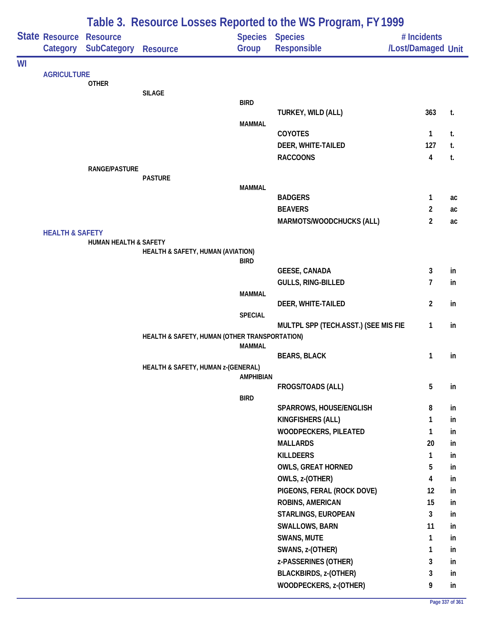|                            |                                            |                                  |                                               |                          | Table 3. Resource Losses Reported to the WS Program, FY 1999 |                                   |          |
|----------------------------|--------------------------------------------|----------------------------------|-----------------------------------------------|--------------------------|--------------------------------------------------------------|-----------------------------------|----------|
|                            | <b>State Resource Resource</b><br>Category | <b>SubCategory</b>               | <b>Resource</b>                               | Species Species<br>Group | Responsible                                                  | # Incidents<br>/Lost/Damaged Unit |          |
| WI                         |                                            |                                  |                                               |                          |                                                              |                                   |          |
|                            | <b>AGRICULTURE</b>                         | <b>OTHER</b>                     |                                               |                          |                                                              |                                   |          |
|                            |                                            |                                  | <b>SILAGE</b>                                 |                          |                                                              |                                   |          |
|                            |                                            |                                  |                                               | <b>BIRD</b>              |                                                              |                                   |          |
|                            |                                            |                                  |                                               |                          | TURKEY, WILD (ALL)                                           | 363                               | t.       |
|                            |                                            |                                  |                                               | <b>MAMMAL</b>            | <b>COYOTES</b>                                               | $\mathbf{1}$                      | t.       |
|                            |                                            |                                  |                                               |                          | DEER, WHITE-TAILED                                           | 127                               | t.       |
|                            |                                            |                                  |                                               |                          | <b>RACCOONS</b>                                              | $\overline{\mathbf{4}}$           | t.       |
|                            |                                            | <b>RANGE/PASTURE</b>             |                                               |                          |                                                              |                                   |          |
|                            |                                            |                                  | <b>PASTURE</b>                                |                          |                                                              |                                   |          |
|                            |                                            |                                  |                                               | <b>MAMMAL</b>            | <b>BADGERS</b>                                               | $\mathbf{1}$                      | ac       |
|                            |                                            |                                  |                                               |                          | <b>BEAVERS</b>                                               | $\overline{2}$                    | ac       |
|                            |                                            |                                  |                                               |                          | MARMOTS/WOODCHUCKS (ALL)                                     | $\overline{2}$                    | ac       |
|                            |                                            |                                  |                                               |                          |                                                              |                                   |          |
|                            |                                            | <b>HUMAN HEALTH &amp; SAFETY</b> |                                               |                          |                                                              |                                   |          |
|                            |                                            |                                  | HEALTH & SAFETY, HUMAN (AVIATION)             | <b>BIRD</b>              |                                                              |                                   |          |
|                            |                                            |                                  |                                               |                          | <b>GEESE, CANADA</b>                                         | 3                                 | in       |
|                            |                                            |                                  |                                               |                          | GULLS, RING-BILLED                                           | $\overline{7}$                    | in       |
|                            |                                            |                                  |                                               | <b>MAMMAL</b>            |                                                              |                                   |          |
|                            |                                            |                                  |                                               |                          | DEER, WHITE-TAILED                                           | $\overline{2}$                    | in       |
|                            |                                            |                                  |                                               | <b>SPECIAL</b>           | MULTPL SPP (TECH.ASST.) (SEE MIS FIE                         | $\mathbf{1}$                      | in       |
|                            |                                            |                                  | HEALTH & SAFETY, HUMAN (OTHER TRANSPORTATION) |                          |                                                              |                                   |          |
|                            |                                            |                                  |                                               | <b>MAMMAL</b>            |                                                              |                                   |          |
|                            |                                            |                                  |                                               |                          | <b>BEARS, BLACK</b>                                          | $\mathbf{1}$                      | in       |
|                            |                                            |                                  | HEALTH & SAFETY, HUMAN z-(GENERAL)            | <b>AMPHIBIAN</b>         |                                                              |                                   |          |
|                            |                                            |                                  |                                               |                          | FROGS/TOADS (ALL)                                            | 5                                 | in       |
|                            |                                            |                                  |                                               | <b>BIRD</b>              |                                                              |                                   |          |
|                            |                                            |                                  |                                               |                          | SPARROWS, HOUSE/ENGLISH                                      | 8                                 | in       |
|                            |                                            |                                  |                                               |                          | KINGFISHERS (ALL)                                            | 1                                 | in       |
|                            |                                            |                                  |                                               |                          | WOODPECKERS, PILEATED                                        | $\mathbf{1}$                      | in       |
|                            |                                            |                                  |                                               |                          | <b>MALLARDS</b>                                              | 20                                | in       |
|                            |                                            |                                  |                                               |                          | <b>KILLDEERS</b><br><b>OWLS, GREAT HORNED</b>                | $\mathbf{1}$<br>5                 | in<br>in |
|                            |                                            |                                  |                                               |                          | OWLS, z-(OTHER)                                              | 4                                 | in       |
|                            |                                            |                                  |                                               |                          | PIGEONS, FERAL (ROCK DOVE)                                   | 12                                | in       |
|                            |                                            |                                  |                                               |                          | ROBINS, AMERICAN                                             | 15                                | in       |
| <b>HEALTH &amp; SAFETY</b> |                                            |                                  |                                               | STARLINGS, EUROPEAN      | 3                                                            | in                                |          |
|                            |                                            |                                  |                                               |                          | <b>SWALLOWS, BARN</b>                                        | 11                                | in       |
|                            |                                            |                                  |                                               |                          | <b>SWANS, MUTE</b>                                           | 1                                 | in       |
|                            |                                            |                                  |                                               |                          | SWANS, z-(OTHER)                                             | $\mathbf{1}$                      | in       |
|                            |                                            |                                  |                                               |                          | z-PASSERINES (OTHER)                                         | 3                                 | in       |
|                            |                                            |                                  |                                               |                          | <b>BLACKBIRDS, z-(OTHER)</b>                                 | 3                                 | in       |
|                            |                                            |                                  |                                               |                          | WOODPECKERS, z-(OTHER)                                       | 9                                 | in       |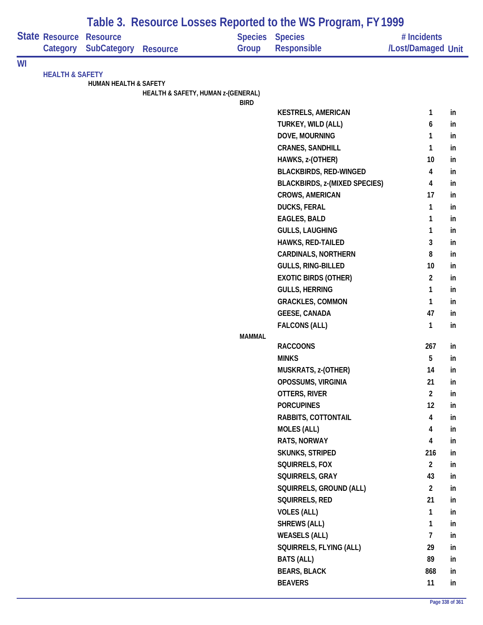|    |                            |                                       |                                    |               | Table 3. Resource Losses Reported to the WS Program, FY 1999 |                                   |          |
|----|----------------------------|---------------------------------------|------------------------------------|---------------|--------------------------------------------------------------|-----------------------------------|----------|
|    | State Resource<br>Category | <b>Resource</b><br><b>SubCategory</b> | <b>Resource</b>                    | Group         | Species Species<br>Responsible                               | # Incidents<br>/Lost/Damaged Unit |          |
| WI |                            |                                       |                                    |               |                                                              |                                   |          |
|    | <b>HEALTH &amp; SAFETY</b> |                                       |                                    |               |                                                              |                                   |          |
|    |                            | <b>HUMAN HEALTH &amp; SAFETY</b>      | HEALTH & SAFETY, HUMAN z-(GENERAL) |               |                                                              |                                   |          |
|    |                            |                                       |                                    | <b>BIRD</b>   |                                                              |                                   |          |
|    |                            |                                       |                                    |               | <b>KESTRELS, AMERICAN</b>                                    | 1                                 | in       |
|    |                            |                                       |                                    |               | TURKEY, WILD (ALL)                                           | 6                                 | in       |
|    |                            |                                       |                                    |               | DOVE, MOURNING                                               | 1                                 | in       |
|    |                            |                                       |                                    |               | <b>CRANES, SANDHILL</b>                                      | 1                                 | in       |
|    |                            |                                       |                                    |               | HAWKS, z-(OTHER)                                             | 10                                | in       |
|    |                            |                                       |                                    |               | <b>BLACKBIRDS, RED-WINGED</b>                                | 4                                 | in       |
|    |                            |                                       |                                    |               | <b>BLACKBIRDS, z-(MIXED SPECIES)</b>                         | 4                                 | in       |
|    |                            |                                       |                                    |               | <b>CROWS, AMERICAN</b>                                       | 17                                | in       |
|    |                            |                                       |                                    |               | <b>DUCKS, FERAL</b>                                          | 1                                 | in       |
|    |                            |                                       |                                    |               | <b>EAGLES, BALD</b>                                          | 1                                 | in       |
|    |                            |                                       |                                    |               | <b>GULLS, LAUGHING</b>                                       | 1                                 | in       |
|    |                            |                                       |                                    |               | HAWKS, RED-TAILED                                            | 3                                 | in       |
|    |                            |                                       |                                    |               | <b>CARDINALS, NORTHERN</b>                                   | 8                                 | in       |
|    |                            |                                       |                                    |               | GULLS, RING-BILLED                                           | 10                                | in       |
|    |                            |                                       |                                    |               | <b>EXOTIC BIRDS (OTHER)</b>                                  | $\overline{c}$<br>1               | in<br>in |
|    |                            |                                       |                                    |               | <b>GULLS, HERRING</b><br><b>GRACKLES, COMMON</b>             | 1                                 | in       |
|    |                            |                                       |                                    |               | <b>GEESE, CANADA</b>                                         | 47                                | in       |
|    |                            |                                       |                                    |               | <b>FALCONS (ALL)</b>                                         | 1                                 | in       |
|    |                            |                                       |                                    | <b>MAMMAL</b> |                                                              |                                   |          |
|    |                            |                                       |                                    |               | <b>RACCOONS</b>                                              | 267                               | in       |
|    |                            |                                       |                                    |               | <b>MINKS</b>                                                 | 5                                 | in       |
|    |                            |                                       |                                    |               | MUSKRATS, z-(OTHER)                                          | 14                                | In.      |
|    |                            |                                       |                                    |               | OPOSSUMS, VIRGINIA                                           | 21                                | in       |
|    |                            |                                       |                                    |               | OTTERS, RIVER                                                | $\overline{2}$                    | in       |
|    |                            |                                       |                                    |               | <b>PORCUPINES</b>                                            | 12                                | in       |
|    |                            |                                       |                                    |               | RABBITS, COTTONTAIL                                          | $\overline{\mathbf{4}}$           | in       |
|    |                            |                                       |                                    |               | <b>MOLES (ALL)</b>                                           | 4                                 | in       |
|    |                            |                                       |                                    |               | RATS, NORWAY                                                 | 4                                 | in       |
|    |                            |                                       |                                    |               | <b>SKUNKS, STRIPED</b>                                       | 216                               | in       |
|    |                            |                                       |                                    |               | SQUIRRELS, FOX                                               | $\overline{2}$                    | in       |
|    |                            |                                       |                                    |               | SQUIRRELS, GRAY                                              | 43                                | in       |
|    |                            |                                       |                                    |               | SQUIRRELS, GROUND (ALL)                                      | $\overline{2}$                    | in       |
|    |                            |                                       |                                    |               | SQUIRRELS, RED                                               | 21                                | in       |
|    |                            |                                       |                                    |               | <b>VOLES (ALL)</b>                                           | $\mathbf{1}$                      | in       |
|    |                            |                                       |                                    |               | <b>SHREWS (ALL)</b>                                          | $\mathbf{1}$                      | in       |
|    |                            |                                       |                                    |               | <b>WEASELS (ALL)</b>                                         | $\overline{7}$                    | in       |
|    |                            |                                       |                                    |               | SQUIRRELS, FLYING (ALL)                                      | 29                                | in       |
|    |                            |                                       |                                    |               | <b>BATS (ALL)</b>                                            | 89                                | in       |
|    |                            |                                       |                                    |               | <b>BEARS, BLACK</b>                                          | 868                               | in       |
|    |                            |                                       |                                    |               | <b>BEAVERS</b>                                               | 11                                | in       |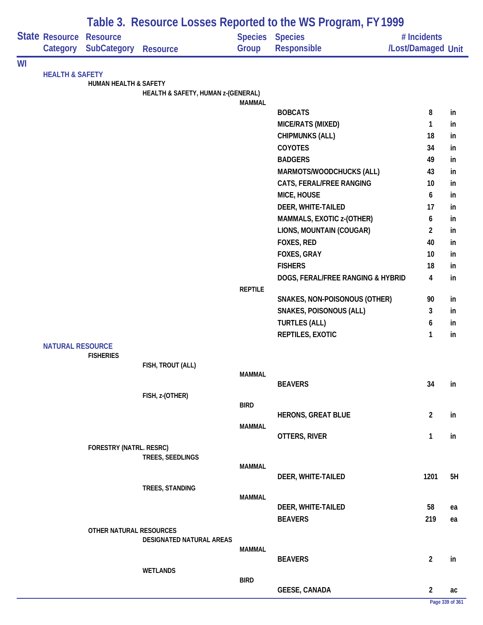|    |                            |                                |                                    |                | Table 3. Resource Losses Reported to the WS Program, FY 1999 |                    |                 |
|----|----------------------------|--------------------------------|------------------------------------|----------------|--------------------------------------------------------------|--------------------|-----------------|
|    | State Resource             | <b>Resource</b>                |                                    |                | <b>Species Species</b>                                       | # Incidents        |                 |
|    | Category                   | <b>SubCategory</b>             | <b>Resource</b>                    | Group          | Responsible                                                  | /Lost/Damaged Unit |                 |
| WI | <b>HEALTH &amp; SAFETY</b> |                                |                                    |                |                                                              |                    |                 |
|    |                            | HUMAN HEALTH & SAFETY          |                                    |                |                                                              |                    |                 |
|    |                            |                                | HEALTH & SAFETY, HUMAN z-(GENERAL) | <b>MAMMAL</b>  |                                                              |                    |                 |
|    |                            |                                |                                    |                | <b>BOBCATS</b>                                               | 8                  | in              |
|    |                            |                                |                                    |                | MICE/RATS (MIXED)                                            | $\mathbf{1}$       | in              |
|    |                            |                                |                                    |                | <b>CHIPMUNKS (ALL)</b>                                       | 18                 | in              |
|    |                            |                                |                                    |                | COYOTES                                                      | 34                 | in              |
|    |                            |                                |                                    |                | <b>BADGERS</b>                                               | 49                 | in              |
|    |                            |                                |                                    |                | MARMOTS/WOODCHUCKS (ALL)                                     | 43                 | in              |
|    |                            |                                |                                    |                | CATS, FERAL/FREE RANGING                                     | 10                 | in              |
|    |                            |                                |                                    |                | MICE, HOUSE                                                  | 6                  | in              |
|    |                            |                                |                                    |                | DEER, WHITE-TAILED                                           | 17                 | in              |
|    |                            |                                |                                    |                | MAMMALS, EXOTIC z-(OTHER)                                    | 6                  | in              |
|    |                            |                                |                                    |                | LIONS, MOUNTAIN (COUGAR)                                     | $\overline{2}$     | in              |
|    |                            |                                |                                    |                | FOXES, RED                                                   | 40                 | in              |
|    |                            |                                |                                    |                | FOXES, GRAY                                                  | 10                 | in              |
|    |                            |                                |                                    |                | <b>FISHERS</b>                                               | 18                 | in              |
|    |                            |                                |                                    |                |                                                              |                    |                 |
|    |                            |                                |                                    | <b>REPTILE</b> | DOGS, FERAL/FREE RANGING & HYBRID                            | 4                  | in              |
|    |                            |                                |                                    |                | SNAKES, NON-POISONOUS (OTHER)                                | 90                 | in              |
|    |                            |                                |                                    |                | <b>SNAKES, POISONOUS (ALL)</b>                               | 3                  | in              |
|    |                            |                                |                                    |                | <b>TURTLES (ALL)</b>                                         | 6                  | in              |
|    |                            |                                |                                    |                | REPTILES, EXOTIC                                             | 1                  | in              |
|    | <b>NATURAL RESOURCE</b>    |                                |                                    |                |                                                              |                    |                 |
|    |                            | <b>FISHERIES</b>               |                                    |                |                                                              |                    |                 |
|    |                            |                                | FISH, TROUT (ALL)                  |                |                                                              |                    |                 |
|    |                            |                                |                                    | <b>MAMMAL</b>  |                                                              |                    |                 |
|    |                            |                                |                                    |                | <b>BEAVERS</b>                                               | 34                 | in              |
|    |                            |                                | FISH, z-(OTHER)                    | <b>BIRD</b>    |                                                              |                    |                 |
|    |                            |                                |                                    |                | <b>HERONS, GREAT BLUE</b>                                    | $\overline{2}$     | in              |
|    |                            |                                |                                    | <b>MAMMAL</b>  |                                                              |                    |                 |
|    |                            |                                |                                    |                | OTTERS, RIVER                                                | $\mathbf{1}$       | in              |
|    |                            | <b>FORESTRY (NATRL. RESRC)</b> |                                    |                |                                                              |                    |                 |
|    |                            |                                | TREES, SEEDLINGS                   |                |                                                              |                    |                 |
|    |                            |                                |                                    | <b>MAMMAL</b>  |                                                              |                    |                 |
|    |                            |                                |                                    |                | DEER, WHITE-TAILED                                           | 1201               | 5H              |
|    |                            |                                | TREES, STANDING                    | <b>MAMMAL</b>  |                                                              |                    |                 |
|    |                            |                                |                                    |                | DEER, WHITE-TAILED                                           | 58                 | ea              |
|    |                            |                                |                                    |                | <b>BEAVERS</b>                                               | 219                | ea              |
|    |                            | OTHER NATURAL RESOURCES        |                                    |                |                                                              |                    |                 |
|    |                            |                                | DESIGNATED NATURAL AREAS           |                |                                                              |                    |                 |
|    |                            |                                |                                    | MAMMAL         |                                                              |                    |                 |
|    |                            |                                |                                    |                | <b>BEAVERS</b>                                               | $\overline{2}$     | in              |
|    |                            |                                | <b>WETLANDS</b>                    | <b>BIRD</b>    |                                                              |                    |                 |
|    |                            |                                |                                    |                | <b>GEESE, CANADA</b>                                         | 2                  | ac              |
|    |                            |                                |                                    |                |                                                              |                    | Page 339 of 361 |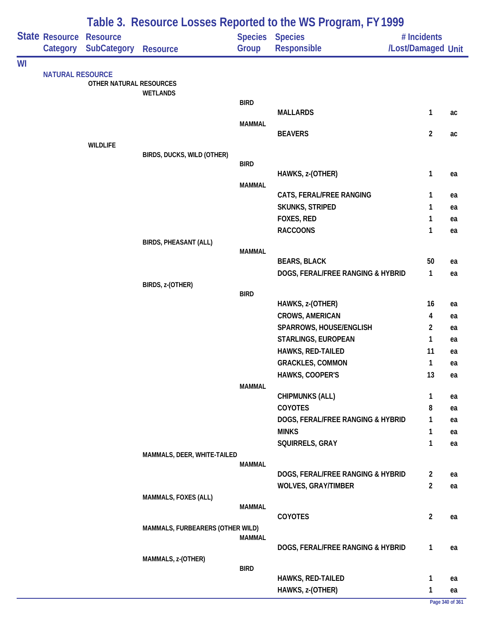|    |                         |                         |                                  |               | Table 3. Resource Losses Reported to the WS Program, FY 1999 |                    |          |
|----|-------------------------|-------------------------|----------------------------------|---------------|--------------------------------------------------------------|--------------------|----------|
|    | State Resource          | <b>Resource</b>         |                                  |               | <b>Species Species</b>                                       | # Incidents        |          |
|    | Category                | <b>SubCategory</b>      | <b>Resource</b>                  | Group         | Responsible                                                  | /Lost/Damaged Unit |          |
| WI |                         |                         |                                  |               |                                                              |                    |          |
|    | <b>NATURAL RESOURCE</b> | OTHER NATURAL RESOURCES |                                  |               |                                                              |                    |          |
|    |                         |                         | <b>WETLANDS</b>                  |               |                                                              |                    |          |
|    |                         |                         |                                  | <b>BIRD</b>   |                                                              |                    |          |
|    |                         |                         |                                  |               | <b>MALLARDS</b>                                              | 1                  | ac       |
|    |                         |                         |                                  | <b>MAMMAL</b> | <b>BEAVERS</b>                                               | $\overline{2}$     | ac       |
|    |                         | <b>WILDLIFE</b>         |                                  |               |                                                              |                    |          |
|    |                         |                         | BIRDS, DUCKS, WILD (OTHER)       |               |                                                              |                    |          |
|    |                         |                         |                                  | <b>BIRD</b>   |                                                              |                    |          |
|    |                         |                         |                                  | <b>MAMMAL</b> | HAWKS, z-(OTHER)                                             | 1                  | ea       |
|    |                         |                         |                                  |               | CATS, FERAL/FREE RANGING                                     | 1                  | ea       |
|    |                         |                         |                                  |               | <b>SKUNKS, STRIPED</b>                                       | 1                  | ea       |
|    |                         |                         |                                  |               | FOXES, RED                                                   | 1                  | ea       |
|    |                         |                         |                                  |               | <b>RACCOONS</b>                                              | 1                  | ea       |
|    |                         |                         | <b>BIRDS, PHEASANT (ALL)</b>     |               |                                                              |                    |          |
|    |                         |                         |                                  | <b>MAMMAL</b> | <b>BEARS, BLACK</b>                                          | 50                 |          |
|    |                         |                         |                                  |               | DOGS, FERAL/FREE RANGING & HYBRID                            | 1                  | ea<br>ea |
|    |                         |                         | BIRDS, z-(OTHER)                 |               |                                                              |                    |          |
|    |                         |                         |                                  | <b>BIRD</b>   |                                                              |                    |          |
|    |                         |                         |                                  |               | HAWKS, z-(OTHER)                                             | 16                 | ea       |
|    |                         |                         |                                  |               | <b>CROWS, AMERICAN</b>                                       | 4                  | ea       |
|    |                         |                         |                                  |               | SPARROWS, HOUSE/ENGLISH                                      | $\overline{2}$     | ea       |
|    |                         |                         |                                  |               | STARLINGS, EUROPEAN                                          | 1                  | ea       |
|    |                         |                         |                                  |               | HAWKS, RED-TAILED                                            | 11                 | ea       |
|    |                         |                         |                                  |               | <b>GRACKLES, COMMON</b>                                      | 1                  | ea       |
|    |                         |                         |                                  |               | HAWKS, COOPER'S                                              | 13                 | ea       |
|    |                         |                         |                                  | <b>MAMMAL</b> | <b>CHIPMUNKS (ALL)</b>                                       | 1                  | ea       |
|    |                         |                         |                                  |               | COYOTES                                                      | 8                  | ea       |
|    |                         |                         |                                  |               | DOGS, FERAL/FREE RANGING & HYBRID                            | 1                  | ea       |
|    |                         |                         |                                  |               | <b>MINKS</b>                                                 | 1                  | ea       |
|    |                         |                         |                                  |               | SQUIRRELS, GRAY                                              | 1                  | ea       |
|    |                         |                         | MAMMALS, DEER, WHITE-TAILED      |               |                                                              |                    |          |
|    |                         |                         |                                  | <b>MAMMAL</b> |                                                              |                    |          |
|    |                         |                         |                                  |               | DOGS, FERAL/FREE RANGING & HYBRID                            | $\overline{2}$     | ea       |
|    |                         |                         |                                  |               | <b>WOLVES, GRAY/TIMBER</b>                                   | $\overline{2}$     | ea       |
|    |                         |                         | MAMMALS, FOXES (ALL)             | <b>MAMMAL</b> |                                                              |                    |          |
|    |                         |                         |                                  |               | <b>COYOTES</b>                                               | $\overline{2}$     | ea       |
|    |                         |                         | MAMMALS, FURBEARERS (OTHER WILD) |               |                                                              |                    |          |
|    |                         |                         |                                  | <b>MAMMAL</b> | DOGS, FERAL/FREE RANGING & HYBRID                            | 1                  |          |
|    |                         |                         | MAMMALS, z-(OTHER)               |               |                                                              |                    | ea       |
|    |                         |                         |                                  | <b>BIRD</b>   |                                                              |                    |          |
|    |                         |                         |                                  |               | <b>HAWKS, RED-TAILED</b>                                     | 1                  | ea       |
|    |                         |                         |                                  |               | HAWKS, z-(OTHER)                                             | 1                  | ea       |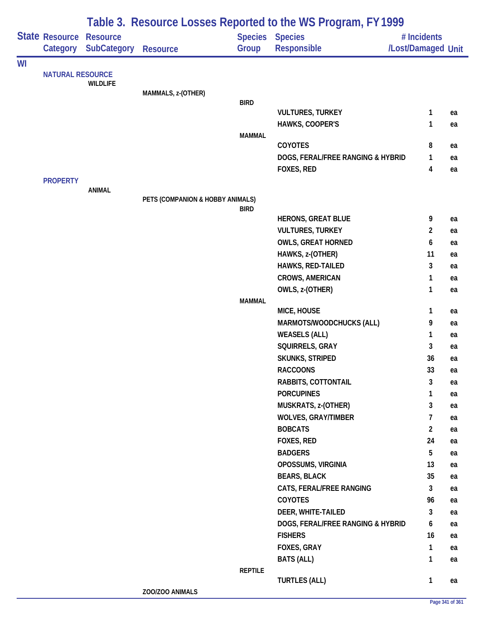|    |                            |                                       |                                  |                | Table 3. Resource Losses Reported to the WS Program, FY 1999 |                                   |          |
|----|----------------------------|---------------------------------------|----------------------------------|----------------|--------------------------------------------------------------|-----------------------------------|----------|
|    | State Resource<br>Category | <b>Resource</b><br><b>SubCategory</b> | <b>Resource</b>                  | Group          | Species Species<br><b>Responsible</b>                        | # Incidents<br>/Lost/Damaged Unit |          |
| WI |                            |                                       |                                  |                |                                                              |                                   |          |
|    | <b>NATURAL RESOURCE</b>    |                                       |                                  |                |                                                              |                                   |          |
|    |                            | <b>WILDLIFE</b>                       | MAMMALS, z-(OTHER)               |                |                                                              |                                   |          |
|    |                            |                                       |                                  | <b>BIRD</b>    |                                                              |                                   |          |
|    |                            |                                       |                                  |                | <b>VULTURES, TURKEY</b>                                      | 1                                 | ea       |
|    |                            |                                       |                                  |                | HAWKS, COOPER'S                                              | 1                                 | ea       |
|    |                            |                                       |                                  | <b>MAMMAL</b>  |                                                              |                                   |          |
|    |                            |                                       |                                  |                | COYOTES                                                      | 8                                 | ea       |
|    |                            |                                       |                                  |                | DOGS, FERAL/FREE RANGING & HYBRID<br>FOXES, RED              | 1<br>4                            | ea       |
|    | <b>PROPERTY</b>            |                                       |                                  |                |                                                              |                                   | ea       |
|    |                            | <b>ANIMAL</b>                         |                                  |                |                                                              |                                   |          |
|    |                            |                                       | PETS (COMPANION & HOBBY ANIMALS) |                |                                                              |                                   |          |
|    |                            |                                       |                                  | <b>BIRD</b>    |                                                              |                                   |          |
|    |                            |                                       |                                  |                | <b>HERONS, GREAT BLUE</b><br><b>VULTURES, TURKEY</b>         | 9<br>$\overline{2}$               | ea       |
|    |                            |                                       |                                  |                | <b>OWLS, GREAT HORNED</b>                                    | 6                                 | ea<br>ea |
|    |                            |                                       |                                  |                | HAWKS, z-(OTHER)                                             | 11                                | ea       |
|    |                            |                                       |                                  |                | HAWKS, RED-TAILED                                            | 3                                 | ea       |
|    |                            |                                       |                                  |                | <b>CROWS, AMERICAN</b>                                       | 1                                 | ea       |
|    |                            |                                       |                                  |                | OWLS, z-(OTHER)                                              | 1                                 | ea       |
|    |                            |                                       |                                  | <b>MAMMAL</b>  |                                                              |                                   |          |
|    |                            |                                       |                                  |                | MICE, HOUSE                                                  | 1                                 | ea       |
|    |                            |                                       |                                  |                | MARMOTS/WOODCHUCKS (ALL)                                     | 9                                 | ea       |
|    |                            |                                       |                                  |                | <b>WEASELS (ALL)</b>                                         | 1                                 | ea       |
|    |                            |                                       |                                  |                | SQUIRRELS, GRAY                                              | 3                                 | ea       |
|    |                            |                                       |                                  |                | <b>SKUNKS, STRIPED</b>                                       | 36                                | ea       |
|    |                            |                                       |                                  |                | <b>RACCOONS</b>                                              | 33                                | ea       |
|    |                            |                                       |                                  |                | RABBITS, COTTONTAIL                                          | 3                                 | ea       |
|    |                            |                                       |                                  |                | <b>PORCUPINES</b>                                            | 1                                 | ea       |
|    |                            |                                       |                                  |                | MUSKRATS, z-(OTHER)                                          | 3                                 | ea       |
|    |                            |                                       |                                  |                | <b>WOLVES, GRAY/TIMBER</b>                                   | 7                                 | ea       |
|    |                            |                                       |                                  |                | <b>BOBCATS</b>                                               | $\overline{2}$                    | ea       |
|    |                            |                                       |                                  |                | FOXES, RED                                                   | 24                                | ea       |
|    |                            |                                       |                                  |                | <b>BADGERS</b>                                               | 5                                 | ea       |
|    |                            |                                       |                                  |                | OPOSSUMS, VIRGINIA                                           | 13                                | ea       |
|    |                            |                                       |                                  |                | <b>BEARS, BLACK</b>                                          | 35                                | ea       |
|    |                            |                                       |                                  |                | CATS, FERAL/FREE RANGING                                     | 3                                 | ea       |
|    |                            |                                       |                                  |                | <b>COYOTES</b>                                               | 96                                | ea       |
|    |                            |                                       |                                  |                | DEER, WHITE-TAILED                                           | 3                                 | ea       |
|    |                            |                                       |                                  |                | DOGS, FERAL/FREE RANGING & HYBRID<br><b>FISHERS</b>          | 6<br>16                           | ea       |
|    |                            |                                       |                                  |                | FOXES, GRAY                                                  | 1                                 | ea<br>ea |
|    |                            |                                       |                                  |                | <b>BATS (ALL)</b>                                            | $\mathbf{1}$                      | ea       |
|    |                            |                                       |                                  | <b>REPTILE</b> |                                                              |                                   |          |
|    |                            |                                       |                                  |                | <b>TURTLES (ALL)</b>                                         | 1                                 | ea       |
|    |                            |                                       | ZOO/ZOO ANIMALS                  |                |                                                              |                                   |          |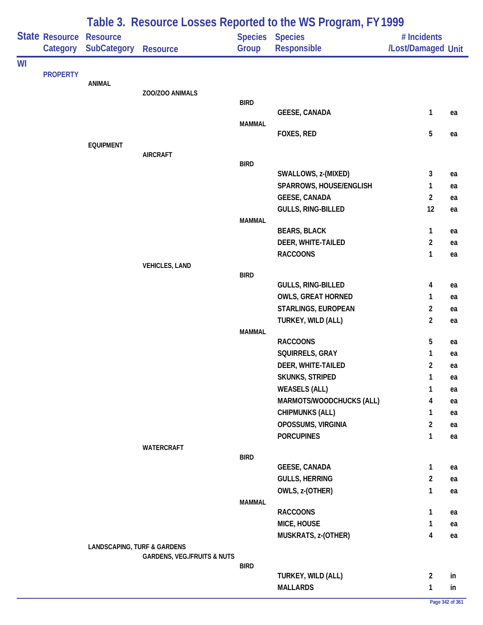| <b>State Resource</b><br><b>Species Species</b><br><b>Resource</b><br># Incidents<br><b>SubCategory</b><br>Group<br>Responsible<br>Category<br><b>Resource</b><br><b>PROPERTY</b><br>ANIMAL<br>ZOO/ZOO ANIMALS<br><b>BIRD</b><br><b>GEESE, CANADA</b><br>1<br>ea<br><b>MAMMAL</b><br>5<br>FOXES, RED<br>ea<br><b>EQUIPMENT</b><br><b>AIRCRAFT</b><br><b>BIRD</b><br>SWALLOWS, z-(MIXED)<br>3<br>ea<br>SPARROWS, HOUSE/ENGLISH<br>1<br>ea<br><b>GEESE, CANADA</b><br>$\overline{2}$<br>ea<br>GULLS, RING-BILLED<br>12<br>ea<br><b>MAMMAL</b><br><b>BEARS, BLACK</b><br>1<br>ea<br>$\overline{2}$<br>DEER, WHITE-TAILED<br>ea<br><b>RACCOONS</b><br>1<br>ea<br><b>VEHICLES, LAND</b><br><b>BIRD</b><br>GULLS, RING-BILLED<br>4<br>ea<br><b>OWLS, GREAT HORNED</b><br>1<br>ea<br>STARLINGS, EUROPEAN<br>2<br>ea<br>TURKEY, WILD (ALL)<br>$\overline{a}$<br>ea<br><b>MAMMAL</b><br><b>RACCOONS</b><br>5<br>ea<br>SQUIRRELS, GRAY<br>1<br>ea<br>2<br>DEER, WHITE-TAILED<br>ea<br><b>SKUNKS, STRIPED</b><br>1<br>ea<br><b>WEASELS (ALL)</b><br>1<br>ea<br>MARMOTS/WOODCHUCKS (ALL)<br>4<br>ea<br><b>CHIPMUNKS (ALL)</b><br>1<br>ea<br>OPOSSUMS, VIRGINIA<br>$\overline{2}$<br>ea<br><b>PORCUPINES</b><br>1<br>ea<br>WATERCRAFT<br><b>BIRD</b><br><b>GEESE, CANADA</b><br>1<br>ea<br><b>GULLS, HERRING</b><br>2<br>ea<br>OWLS, z-(OTHER)<br>1<br>ea<br><b>MAMMAL</b><br><b>RACCOONS</b><br>1<br>ea<br>MICE, HOUSE<br>1<br>ea<br>MUSKRATS, z-(OTHER)<br>4<br>ea<br><b>LANDSCAPING, TURF &amp; GARDENS</b><br><b>GARDENS, VEG./FRUITS &amp; NUTS</b><br><b>BIRD</b><br>TURKEY, WILD (ALL)<br>2<br>in<br><b>MALLARDS</b><br>1<br>in |    |  |  | Table 3. Resource Losses Reported to the WS Program, FY 1999 |  |
|---------------------------------------------------------------------------------------------------------------------------------------------------------------------------------------------------------------------------------------------------------------------------------------------------------------------------------------------------------------------------------------------------------------------------------------------------------------------------------------------------------------------------------------------------------------------------------------------------------------------------------------------------------------------------------------------------------------------------------------------------------------------------------------------------------------------------------------------------------------------------------------------------------------------------------------------------------------------------------------------------------------------------------------------------------------------------------------------------------------------------------------------------------------------------------------------------------------------------------------------------------------------------------------------------------------------------------------------------------------------------------------------------------------------------------------------------------------------------------------------------------------------------------------------------------------------------------------------------------------------------|----|--|--|--------------------------------------------------------------|--|
| /Lost/Damaged Unit                                                                                                                                                                                                                                                                                                                                                                                                                                                                                                                                                                                                                                                                                                                                                                                                                                                                                                                                                                                                                                                                                                                                                                                                                                                                                                                                                                                                                                                                                                                                                                                                        |    |  |  |                                                              |  |
|                                                                                                                                                                                                                                                                                                                                                                                                                                                                                                                                                                                                                                                                                                                                                                                                                                                                                                                                                                                                                                                                                                                                                                                                                                                                                                                                                                                                                                                                                                                                                                                                                           |    |  |  |                                                              |  |
|                                                                                                                                                                                                                                                                                                                                                                                                                                                                                                                                                                                                                                                                                                                                                                                                                                                                                                                                                                                                                                                                                                                                                                                                                                                                                                                                                                                                                                                                                                                                                                                                                           | WI |  |  |                                                              |  |
|                                                                                                                                                                                                                                                                                                                                                                                                                                                                                                                                                                                                                                                                                                                                                                                                                                                                                                                                                                                                                                                                                                                                                                                                                                                                                                                                                                                                                                                                                                                                                                                                                           |    |  |  |                                                              |  |
|                                                                                                                                                                                                                                                                                                                                                                                                                                                                                                                                                                                                                                                                                                                                                                                                                                                                                                                                                                                                                                                                                                                                                                                                                                                                                                                                                                                                                                                                                                                                                                                                                           |    |  |  |                                                              |  |
|                                                                                                                                                                                                                                                                                                                                                                                                                                                                                                                                                                                                                                                                                                                                                                                                                                                                                                                                                                                                                                                                                                                                                                                                                                                                                                                                                                                                                                                                                                                                                                                                                           |    |  |  |                                                              |  |
|                                                                                                                                                                                                                                                                                                                                                                                                                                                                                                                                                                                                                                                                                                                                                                                                                                                                                                                                                                                                                                                                                                                                                                                                                                                                                                                                                                                                                                                                                                                                                                                                                           |    |  |  |                                                              |  |
|                                                                                                                                                                                                                                                                                                                                                                                                                                                                                                                                                                                                                                                                                                                                                                                                                                                                                                                                                                                                                                                                                                                                                                                                                                                                                                                                                                                                                                                                                                                                                                                                                           |    |  |  |                                                              |  |
|                                                                                                                                                                                                                                                                                                                                                                                                                                                                                                                                                                                                                                                                                                                                                                                                                                                                                                                                                                                                                                                                                                                                                                                                                                                                                                                                                                                                                                                                                                                                                                                                                           |    |  |  |                                                              |  |
|                                                                                                                                                                                                                                                                                                                                                                                                                                                                                                                                                                                                                                                                                                                                                                                                                                                                                                                                                                                                                                                                                                                                                                                                                                                                                                                                                                                                                                                                                                                                                                                                                           |    |  |  |                                                              |  |
|                                                                                                                                                                                                                                                                                                                                                                                                                                                                                                                                                                                                                                                                                                                                                                                                                                                                                                                                                                                                                                                                                                                                                                                                                                                                                                                                                                                                                                                                                                                                                                                                                           |    |  |  |                                                              |  |
|                                                                                                                                                                                                                                                                                                                                                                                                                                                                                                                                                                                                                                                                                                                                                                                                                                                                                                                                                                                                                                                                                                                                                                                                                                                                                                                                                                                                                                                                                                                                                                                                                           |    |  |  |                                                              |  |
|                                                                                                                                                                                                                                                                                                                                                                                                                                                                                                                                                                                                                                                                                                                                                                                                                                                                                                                                                                                                                                                                                                                                                                                                                                                                                                                                                                                                                                                                                                                                                                                                                           |    |  |  |                                                              |  |
|                                                                                                                                                                                                                                                                                                                                                                                                                                                                                                                                                                                                                                                                                                                                                                                                                                                                                                                                                                                                                                                                                                                                                                                                                                                                                                                                                                                                                                                                                                                                                                                                                           |    |  |  |                                                              |  |
|                                                                                                                                                                                                                                                                                                                                                                                                                                                                                                                                                                                                                                                                                                                                                                                                                                                                                                                                                                                                                                                                                                                                                                                                                                                                                                                                                                                                                                                                                                                                                                                                                           |    |  |  |                                                              |  |
|                                                                                                                                                                                                                                                                                                                                                                                                                                                                                                                                                                                                                                                                                                                                                                                                                                                                                                                                                                                                                                                                                                                                                                                                                                                                                                                                                                                                                                                                                                                                                                                                                           |    |  |  |                                                              |  |
|                                                                                                                                                                                                                                                                                                                                                                                                                                                                                                                                                                                                                                                                                                                                                                                                                                                                                                                                                                                                                                                                                                                                                                                                                                                                                                                                                                                                                                                                                                                                                                                                                           |    |  |  |                                                              |  |
|                                                                                                                                                                                                                                                                                                                                                                                                                                                                                                                                                                                                                                                                                                                                                                                                                                                                                                                                                                                                                                                                                                                                                                                                                                                                                                                                                                                                                                                                                                                                                                                                                           |    |  |  |                                                              |  |
|                                                                                                                                                                                                                                                                                                                                                                                                                                                                                                                                                                                                                                                                                                                                                                                                                                                                                                                                                                                                                                                                                                                                                                                                                                                                                                                                                                                                                                                                                                                                                                                                                           |    |  |  |                                                              |  |
|                                                                                                                                                                                                                                                                                                                                                                                                                                                                                                                                                                                                                                                                                                                                                                                                                                                                                                                                                                                                                                                                                                                                                                                                                                                                                                                                                                                                                                                                                                                                                                                                                           |    |  |  |                                                              |  |
|                                                                                                                                                                                                                                                                                                                                                                                                                                                                                                                                                                                                                                                                                                                                                                                                                                                                                                                                                                                                                                                                                                                                                                                                                                                                                                                                                                                                                                                                                                                                                                                                                           |    |  |  |                                                              |  |
|                                                                                                                                                                                                                                                                                                                                                                                                                                                                                                                                                                                                                                                                                                                                                                                                                                                                                                                                                                                                                                                                                                                                                                                                                                                                                                                                                                                                                                                                                                                                                                                                                           |    |  |  |                                                              |  |
|                                                                                                                                                                                                                                                                                                                                                                                                                                                                                                                                                                                                                                                                                                                                                                                                                                                                                                                                                                                                                                                                                                                                                                                                                                                                                                                                                                                                                                                                                                                                                                                                                           |    |  |  |                                                              |  |
|                                                                                                                                                                                                                                                                                                                                                                                                                                                                                                                                                                                                                                                                                                                                                                                                                                                                                                                                                                                                                                                                                                                                                                                                                                                                                                                                                                                                                                                                                                                                                                                                                           |    |  |  |                                                              |  |
|                                                                                                                                                                                                                                                                                                                                                                                                                                                                                                                                                                                                                                                                                                                                                                                                                                                                                                                                                                                                                                                                                                                                                                                                                                                                                                                                                                                                                                                                                                                                                                                                                           |    |  |  |                                                              |  |
|                                                                                                                                                                                                                                                                                                                                                                                                                                                                                                                                                                                                                                                                                                                                                                                                                                                                                                                                                                                                                                                                                                                                                                                                                                                                                                                                                                                                                                                                                                                                                                                                                           |    |  |  |                                                              |  |
|                                                                                                                                                                                                                                                                                                                                                                                                                                                                                                                                                                                                                                                                                                                                                                                                                                                                                                                                                                                                                                                                                                                                                                                                                                                                                                                                                                                                                                                                                                                                                                                                                           |    |  |  |                                                              |  |
|                                                                                                                                                                                                                                                                                                                                                                                                                                                                                                                                                                                                                                                                                                                                                                                                                                                                                                                                                                                                                                                                                                                                                                                                                                                                                                                                                                                                                                                                                                                                                                                                                           |    |  |  |                                                              |  |
|                                                                                                                                                                                                                                                                                                                                                                                                                                                                                                                                                                                                                                                                                                                                                                                                                                                                                                                                                                                                                                                                                                                                                                                                                                                                                                                                                                                                                                                                                                                                                                                                                           |    |  |  |                                                              |  |
|                                                                                                                                                                                                                                                                                                                                                                                                                                                                                                                                                                                                                                                                                                                                                                                                                                                                                                                                                                                                                                                                                                                                                                                                                                                                                                                                                                                                                                                                                                                                                                                                                           |    |  |  |                                                              |  |
|                                                                                                                                                                                                                                                                                                                                                                                                                                                                                                                                                                                                                                                                                                                                                                                                                                                                                                                                                                                                                                                                                                                                                                                                                                                                                                                                                                                                                                                                                                                                                                                                                           |    |  |  |                                                              |  |
|                                                                                                                                                                                                                                                                                                                                                                                                                                                                                                                                                                                                                                                                                                                                                                                                                                                                                                                                                                                                                                                                                                                                                                                                                                                                                                                                                                                                                                                                                                                                                                                                                           |    |  |  |                                                              |  |
|                                                                                                                                                                                                                                                                                                                                                                                                                                                                                                                                                                                                                                                                                                                                                                                                                                                                                                                                                                                                                                                                                                                                                                                                                                                                                                                                                                                                                                                                                                                                                                                                                           |    |  |  |                                                              |  |
|                                                                                                                                                                                                                                                                                                                                                                                                                                                                                                                                                                                                                                                                                                                                                                                                                                                                                                                                                                                                                                                                                                                                                                                                                                                                                                                                                                                                                                                                                                                                                                                                                           |    |  |  |                                                              |  |
|                                                                                                                                                                                                                                                                                                                                                                                                                                                                                                                                                                                                                                                                                                                                                                                                                                                                                                                                                                                                                                                                                                                                                                                                                                                                                                                                                                                                                                                                                                                                                                                                                           |    |  |  |                                                              |  |
|                                                                                                                                                                                                                                                                                                                                                                                                                                                                                                                                                                                                                                                                                                                                                                                                                                                                                                                                                                                                                                                                                                                                                                                                                                                                                                                                                                                                                                                                                                                                                                                                                           |    |  |  |                                                              |  |
|                                                                                                                                                                                                                                                                                                                                                                                                                                                                                                                                                                                                                                                                                                                                                                                                                                                                                                                                                                                                                                                                                                                                                                                                                                                                                                                                                                                                                                                                                                                                                                                                                           |    |  |  |                                                              |  |
|                                                                                                                                                                                                                                                                                                                                                                                                                                                                                                                                                                                                                                                                                                                                                                                                                                                                                                                                                                                                                                                                                                                                                                                                                                                                                                                                                                                                                                                                                                                                                                                                                           |    |  |  |                                                              |  |
|                                                                                                                                                                                                                                                                                                                                                                                                                                                                                                                                                                                                                                                                                                                                                                                                                                                                                                                                                                                                                                                                                                                                                                                                                                                                                                                                                                                                                                                                                                                                                                                                                           |    |  |  |                                                              |  |
|                                                                                                                                                                                                                                                                                                                                                                                                                                                                                                                                                                                                                                                                                                                                                                                                                                                                                                                                                                                                                                                                                                                                                                                                                                                                                                                                                                                                                                                                                                                                                                                                                           |    |  |  |                                                              |  |
|                                                                                                                                                                                                                                                                                                                                                                                                                                                                                                                                                                                                                                                                                                                                                                                                                                                                                                                                                                                                                                                                                                                                                                                                                                                                                                                                                                                                                                                                                                                                                                                                                           |    |  |  |                                                              |  |
|                                                                                                                                                                                                                                                                                                                                                                                                                                                                                                                                                                                                                                                                                                                                                                                                                                                                                                                                                                                                                                                                                                                                                                                                                                                                                                                                                                                                                                                                                                                                                                                                                           |    |  |  |                                                              |  |
|                                                                                                                                                                                                                                                                                                                                                                                                                                                                                                                                                                                                                                                                                                                                                                                                                                                                                                                                                                                                                                                                                                                                                                                                                                                                                                                                                                                                                                                                                                                                                                                                                           |    |  |  |                                                              |  |
|                                                                                                                                                                                                                                                                                                                                                                                                                                                                                                                                                                                                                                                                                                                                                                                                                                                                                                                                                                                                                                                                                                                                                                                                                                                                                                                                                                                                                                                                                                                                                                                                                           |    |  |  |                                                              |  |
|                                                                                                                                                                                                                                                                                                                                                                                                                                                                                                                                                                                                                                                                                                                                                                                                                                                                                                                                                                                                                                                                                                                                                                                                                                                                                                                                                                                                                                                                                                                                                                                                                           |    |  |  |                                                              |  |
|                                                                                                                                                                                                                                                                                                                                                                                                                                                                                                                                                                                                                                                                                                                                                                                                                                                                                                                                                                                                                                                                                                                                                                                                                                                                                                                                                                                                                                                                                                                                                                                                                           |    |  |  |                                                              |  |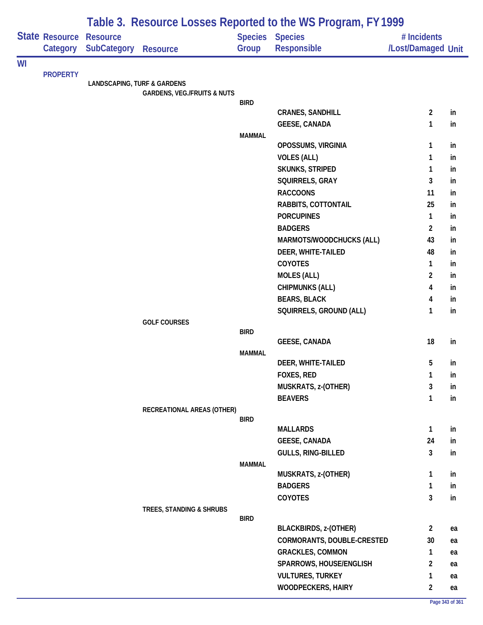|    |                 |                                        |                                        |               | Table 3. Resource Losses Reported to the WS Program, FY 1999 |                    |          |
|----|-----------------|----------------------------------------|----------------------------------------|---------------|--------------------------------------------------------------|--------------------|----------|
|    | State Resource  | <b>Resource</b>                        |                                        |               | Species Species                                              | # Incidents        |          |
|    | Category        | <b>SubCategory</b>                     | <b>Resource</b>                        | Group         | Responsible                                                  | /Lost/Damaged Unit |          |
| WI |                 |                                        |                                        |               |                                                              |                    |          |
|    | <b>PROPERTY</b> | <b>LANDSCAPING, TURF &amp; GARDENS</b> |                                        |               |                                                              |                    |          |
|    |                 |                                        | <b>GARDENS, VEG./FRUITS &amp; NUTS</b> |               |                                                              |                    |          |
|    |                 |                                        |                                        | <b>BIRD</b>   |                                                              |                    |          |
|    |                 |                                        |                                        |               | <b>CRANES, SANDHILL</b>                                      | $\overline{2}$     | in       |
|    |                 |                                        |                                        | <b>MAMMAL</b> | <b>GEESE, CANADA</b>                                         | 1                  | in       |
|    |                 |                                        |                                        |               | OPOSSUMS, VIRGINIA                                           | 1                  | in       |
|    |                 |                                        |                                        |               | <b>VOLES (ALL)</b>                                           | 1                  | in       |
|    |                 |                                        |                                        |               | SKUNKS, STRIPED                                              | 1                  | in       |
|    |                 |                                        |                                        |               | SQUIRRELS, GRAY                                              | 3                  | in       |
|    |                 |                                        |                                        |               | <b>RACCOONS</b>                                              | 11                 | in       |
|    |                 |                                        |                                        |               | RABBITS, COTTONTAIL                                          | 25                 | in       |
|    |                 |                                        |                                        |               | <b>PORCUPINES</b>                                            | $\mathbf{1}$       | in       |
|    |                 |                                        |                                        |               | <b>BADGERS</b>                                               | $\overline{2}$     | in       |
|    |                 |                                        |                                        |               | MARMOTS/WOODCHUCKS (ALL)                                     | 43                 | in       |
|    |                 |                                        |                                        |               | DEER, WHITE-TAILED                                           | 48                 | in       |
|    |                 |                                        |                                        |               | COYOTES                                                      | 1                  | in       |
|    |                 |                                        |                                        |               | <b>MOLES (ALL)</b>                                           | $\overline{2}$     | in       |
|    |                 |                                        |                                        |               | <b>CHIPMUNKS (ALL)</b>                                       | 4                  | in       |
|    |                 |                                        |                                        |               | <b>BEARS, BLACK</b>                                          | 4                  | in       |
|    |                 |                                        |                                        |               | SQUIRRELS, GROUND (ALL)                                      | 1                  | in       |
|    |                 |                                        | <b>GOLF COURSES</b>                    | <b>BIRD</b>   |                                                              |                    |          |
|    |                 |                                        |                                        |               | <b>GEESE, CANADA</b>                                         | 18                 | in       |
|    |                 |                                        |                                        | <b>MAMMAL</b> |                                                              |                    |          |
|    |                 |                                        |                                        |               | DEER, WHITE-TAILED                                           | 5                  | in       |
|    |                 |                                        |                                        |               | FOXES, RED                                                   | $\mathbf{1}$       | in       |
|    |                 |                                        |                                        |               | MUSKRATS, z-(OTHER)                                          | 3                  | in       |
|    |                 |                                        |                                        |               | <b>BEAVERS</b>                                               | $\mathbf{1}$       | in       |
|    |                 |                                        | RECREATIONAL AREAS (OTHER)             |               |                                                              |                    |          |
|    |                 |                                        |                                        | <b>BIRD</b>   |                                                              |                    |          |
|    |                 |                                        |                                        |               | <b>MALLARDS</b>                                              | 1<br>24            | in       |
|    |                 |                                        |                                        |               | <b>GEESE, CANADA</b><br>GULLS, RING-BILLED                   | 3                  | in<br>in |
|    |                 |                                        |                                        | <b>MAMMAL</b> |                                                              |                    |          |
|    |                 |                                        |                                        |               | MUSKRATS, z-(OTHER)                                          | 1                  | in       |
|    |                 |                                        |                                        |               | <b>BADGERS</b>                                               | $\mathbf{1}$       | in       |
|    |                 |                                        |                                        |               | COYOTES                                                      | 3                  | in       |
|    |                 |                                        | TREES, STANDING & SHRUBS               |               |                                                              |                    |          |
|    |                 |                                        |                                        | <b>BIRD</b>   |                                                              |                    |          |
|    |                 |                                        |                                        |               | <b>BLACKBIRDS, z-(OTHER)</b>                                 | $\overline{2}$     | ea       |
|    |                 |                                        |                                        |               | CORMORANTS, DOUBLE-CRESTED                                   | 30                 | ea       |
|    |                 |                                        |                                        |               | <b>GRACKLES, COMMON</b>                                      | 1                  | ea       |
|    |                 |                                        |                                        |               | SPARROWS, HOUSE/ENGLISH                                      | 2                  | ea       |
|    |                 |                                        |                                        |               | <b>VULTURES, TURKEY</b>                                      | 1                  | ea       |
|    |                 |                                        |                                        |               | <b>WOODPECKERS, HAIRY</b>                                    | $\overline{2}$     | ea       |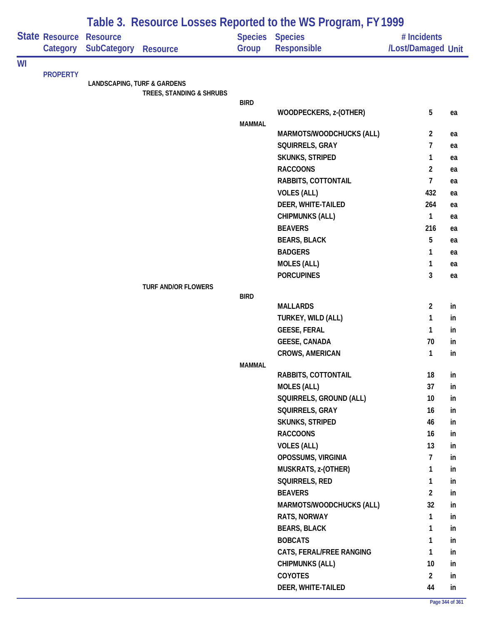|    |                                   |                                        |                            |               | Table 3. Resource Losses Reported to the WS Program, FY 1999 |                                   |    |
|----|-----------------------------------|----------------------------------------|----------------------------|---------------|--------------------------------------------------------------|-----------------------------------|----|
|    | <b>State Resource</b><br>Category | <b>Resource</b><br><b>SubCategory</b>  | <b>Resource</b>            | Group         | Species Species<br>Responsible                               | # Incidents<br>/Lost/Damaged Unit |    |
| WI |                                   |                                        |                            |               |                                                              |                                   |    |
|    | <b>PROPERTY</b>                   | <b>LANDSCAPING, TURF &amp; GARDENS</b> |                            |               |                                                              |                                   |    |
|    |                                   |                                        | TREES, STANDING & SHRUBS   |               |                                                              |                                   |    |
|    |                                   |                                        |                            | <b>BIRD</b>   |                                                              |                                   |    |
|    |                                   |                                        |                            |               | WOODPECKERS, z-(OTHER)                                       | 5                                 | ea |
|    |                                   |                                        |                            | <b>MAMMAL</b> | MARMOTS/WOODCHUCKS (ALL)                                     | 2                                 | ea |
|    |                                   |                                        |                            |               | SQUIRRELS, GRAY                                              | $\overline{7}$                    | ea |
|    |                                   |                                        |                            |               | SKUNKS, STRIPED                                              | $\mathbf{1}$                      | ea |
|    |                                   |                                        |                            |               | <b>RACCOONS</b>                                              | $\overline{2}$                    | ea |
|    |                                   |                                        |                            |               | RABBITS, COTTONTAIL                                          | $\overline{7}$                    | ea |
|    |                                   |                                        |                            |               | <b>VOLES (ALL)</b>                                           | 432                               | ea |
|    |                                   |                                        |                            |               | DEER, WHITE-TAILED                                           | 264                               | ea |
|    |                                   |                                        |                            |               | <b>CHIPMUNKS (ALL)</b>                                       | $\mathbf{1}$                      | ea |
|    |                                   |                                        |                            |               | <b>BEAVERS</b>                                               | 216                               | ea |
|    |                                   |                                        |                            |               | <b>BEARS, BLACK</b>                                          | 5                                 | ea |
|    |                                   |                                        |                            |               | <b>BADGERS</b>                                               | 1                                 | ea |
|    |                                   |                                        |                            |               | <b>MOLES (ALL)</b>                                           | $\mathbf{1}$                      | ea |
|    |                                   |                                        |                            |               | <b>PORCUPINES</b>                                            | 3                                 | ea |
|    |                                   |                                        | <b>TURF AND/OR FLOWERS</b> |               |                                                              |                                   |    |
|    |                                   |                                        |                            | <b>BIRD</b>   | <b>MALLARDS</b>                                              | $\overline{2}$                    | in |
|    |                                   |                                        |                            |               | TURKEY, WILD (ALL)                                           | 1                                 | in |
|    |                                   |                                        |                            |               | <b>GEESE, FERAL</b>                                          | $\mathbf{1}$                      | in |
|    |                                   |                                        |                            |               | <b>GEESE, CANADA</b>                                         | 70                                | in |
|    |                                   |                                        |                            |               | <b>CROWS, AMERICAN</b>                                       | 1                                 | in |
|    |                                   |                                        |                            | <b>MAMMAL</b> |                                                              |                                   |    |
|    |                                   |                                        |                            |               | RABBITS, COTTONTAIL                                          | 18                                | in |
|    |                                   |                                        |                            |               | <b>MOLES (ALL)</b>                                           | 37                                | in |
|    |                                   |                                        |                            |               | SQUIRRELS, GROUND (ALL)                                      | 10                                | in |
|    |                                   |                                        |                            |               | SQUIRRELS, GRAY                                              | 16                                | in |
|    |                                   |                                        |                            |               | <b>SKUNKS, STRIPED</b>                                       | 46                                | in |
|    |                                   |                                        |                            |               | <b>RACCOONS</b>                                              | 16                                | in |
|    |                                   |                                        |                            |               | <b>VOLES (ALL)</b>                                           | 13                                | in |
|    |                                   |                                        |                            |               | OPOSSUMS, VIRGINIA                                           | $\overline{7}$                    | in |
|    |                                   |                                        |                            |               | MUSKRATS, z-(OTHER)                                          | 1                                 | in |
|    |                                   |                                        |                            |               | SQUIRRELS, RED                                               | 1                                 | in |
|    |                                   |                                        |                            |               | <b>BEAVERS</b>                                               | $\overline{2}$                    | in |
|    |                                   |                                        |                            |               | MARMOTS/WOODCHUCKS (ALL)                                     | 32                                | in |
|    |                                   |                                        |                            |               | RATS, NORWAY                                                 | 1                                 | in |
|    |                                   |                                        |                            |               | <b>BEARS, BLACK</b>                                          | 1                                 | in |
|    |                                   |                                        |                            |               | <b>BOBCATS</b>                                               | 1                                 | in |
|    |                                   |                                        |                            |               | CATS, FERAL/FREE RANGING                                     | 1                                 | in |
|    |                                   |                                        |                            |               | <b>CHIPMUNKS (ALL)</b>                                       | 10                                | in |
|    |                                   |                                        |                            |               | <b>COYOTES</b>                                               | $\overline{2}$                    | in |
|    |                                   |                                        |                            |               | DEER, WHITE-TAILED                                           | 44                                | in |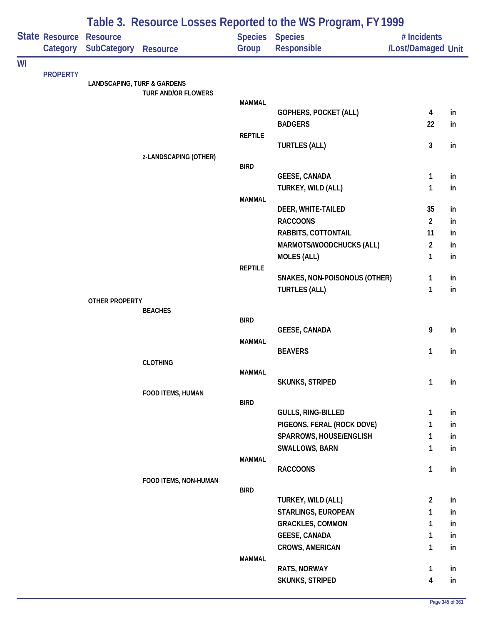|    |                 |                                        |                            |                | Table 3. Resource Losses Reported to the WS Program, FY 1999 |                    |          |
|----|-----------------|----------------------------------------|----------------------------|----------------|--------------------------------------------------------------|--------------------|----------|
|    | State Resource  | <b>Resource</b>                        |                            |                | Species Species                                              | # Incidents        |          |
|    | Category        | <b>SubCategory</b>                     | <b>Resource</b>            | Group          | <b>Responsible</b>                                           | /Lost/Damaged Unit |          |
| WI |                 |                                        |                            |                |                                                              |                    |          |
|    | <b>PROPERTY</b> | <b>LANDSCAPING, TURF &amp; GARDENS</b> |                            |                |                                                              |                    |          |
|    |                 |                                        | <b>TURF AND/OR FLOWERS</b> |                |                                                              |                    |          |
|    |                 |                                        |                            | <b>MAMMAL</b>  |                                                              |                    |          |
|    |                 |                                        |                            |                | GOPHERS, POCKET (ALL)                                        | 4                  | in       |
|    |                 |                                        |                            |                | <b>BADGERS</b>                                               | 22                 | in       |
|    |                 |                                        |                            | <b>REPTILE</b> | <b>TURTLES (ALL)</b>                                         | $\mathbf{3}$       | in       |
|    |                 |                                        | z-LANDSCAPING (OTHER)      |                |                                                              |                    |          |
|    |                 |                                        |                            | <b>BIRD</b>    |                                                              |                    |          |
|    |                 |                                        |                            |                | <b>GEESE, CANADA</b>                                         | $\mathbf{1}$       | in       |
|    |                 |                                        |                            |                | TURKEY, WILD (ALL)                                           | 1                  | in       |
|    |                 |                                        |                            | <b>MAMMAL</b>  |                                                              | 35                 |          |
|    |                 |                                        |                            |                | DEER, WHITE-TAILED<br><b>RACCOONS</b>                        | $\overline{2}$     | in       |
|    |                 |                                        |                            |                | RABBITS, COTTONTAIL                                          | 11                 | in<br>in |
|    |                 |                                        |                            |                | MARMOTS/WOODCHUCKS (ALL)                                     | $\overline{2}$     | in       |
|    |                 |                                        |                            |                | <b>MOLES (ALL)</b>                                           | 1                  | in       |
|    |                 |                                        |                            | <b>REPTILE</b> |                                                              |                    |          |
|    |                 |                                        |                            |                | SNAKES, NON-POISONOUS (OTHER)                                | 1                  | in       |
|    |                 |                                        |                            |                | <b>TURTLES (ALL)</b>                                         | $\mathbf{1}$       | in       |
|    |                 | <b>OTHER PROPERTY</b>                  |                            |                |                                                              |                    |          |
|    |                 |                                        | <b>BEACHES</b>             | <b>BIRD</b>    |                                                              |                    |          |
|    |                 |                                        |                            |                | <b>GEESE, CANADA</b>                                         | 9                  | in       |
|    |                 |                                        |                            | <b>MAMMAL</b>  |                                                              |                    |          |
|    |                 |                                        |                            |                | <b>BEAVERS</b>                                               | 1                  | in       |
|    |                 |                                        | <b>CLOTHING</b>            |                |                                                              |                    |          |
|    |                 |                                        |                            | <b>MAMMAL</b>  |                                                              | $\mathbf{1}$       | in       |
|    |                 |                                        | FOOD ITEMS, HUMAN          |                | SKUNKS, STRIPED                                              |                    |          |
|    |                 |                                        |                            | <b>BIRD</b>    |                                                              |                    |          |
|    |                 |                                        |                            |                | GULLS, RING-BILLED                                           | $\mathbf{1}$       | in       |
|    |                 |                                        |                            |                | PIGEONS, FERAL (ROCK DOVE)                                   | 1                  | in       |
|    |                 |                                        |                            |                | SPARROWS, HOUSE/ENGLISH                                      | 1                  | in       |
|    |                 |                                        |                            |                | SWALLOWS, BARN                                               | 1                  | in       |
|    |                 |                                        |                            | <b>MAMMAL</b>  |                                                              |                    |          |
|    |                 |                                        |                            |                | <b>RACCOONS</b>                                              | $\mathbf{1}$       | in       |
|    |                 |                                        | FOOD ITEMS, NON-HUMAN      | <b>BIRD</b>    |                                                              |                    |          |
|    |                 |                                        |                            |                | TURKEY, WILD (ALL)                                           | $\overline{2}$     | in       |
|    |                 |                                        |                            |                | STARLINGS, EUROPEAN                                          | 1                  | in       |
|    |                 |                                        |                            |                | <b>GRACKLES, COMMON</b>                                      | 1                  | in       |
|    |                 |                                        |                            |                | <b>GEESE, CANADA</b>                                         | 1                  | in       |
|    |                 |                                        |                            |                | CROWS, AMERICAN                                              | 1                  | in       |
|    |                 |                                        |                            | <b>MAMMAL</b>  |                                                              |                    |          |
|    |                 |                                        |                            |                | RATS, NORWAY                                                 | $\mathbf{1}$       | in       |
|    |                 |                                        |                            |                | SKUNKS, STRIPED                                              | 4                  | in       |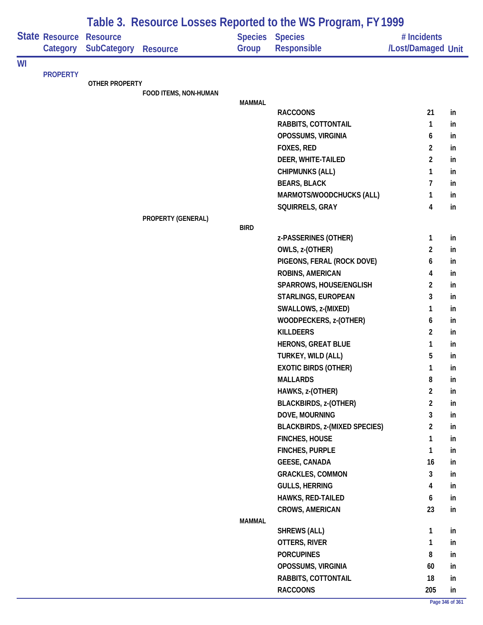| State Resource<br><b>Species Species</b><br><b>Resource</b><br># Incidents<br><b>SubCategory</b><br>Responsible<br>/Lost/Damaged Unit<br>Category<br>Group<br><b>Resource</b><br><b>PROPERTY</b><br><b>OTHER PROPERTY</b><br>FOOD ITEMS, NON-HUMAN<br><b>MAMMAL</b><br><b>RACCOONS</b><br>21<br>in<br>RABBITS, COTTONTAIL<br>1<br>in<br>OPOSSUMS, VIRGINIA<br>6<br>in<br>$\overline{2}$<br>FOXES, RED<br>in<br>DEER, WHITE-TAILED<br>$\overline{2}$<br>in<br><b>CHIPMUNKS (ALL)</b><br>1<br>in<br><b>BEARS, BLACK</b><br>7<br>in<br>MARMOTS/WOODCHUCKS (ALL)<br>1<br>in<br>SQUIRRELS, GRAY<br>4<br>in<br>PROPERTY (GENERAL)<br><b>BIRD</b><br>z-PASSERINES (OTHER)<br>1<br>in<br>OWLS, z-(OTHER)<br>2<br>in<br>PIGEONS, FERAL (ROCK DOVE)<br>6<br>in<br>ROBINS, AMERICAN<br>4<br>in<br>SPARROWS, HOUSE/ENGLISH<br>2<br>in<br>3<br>STARLINGS, EUROPEAN<br>in<br>1<br>SWALLOWS, z-(MIXED)<br>in<br>WOODPECKERS, z-(OTHER)<br>6<br>in<br><b>KILLDEERS</b><br>2<br>in<br><b>HERONS, GREAT BLUE</b><br>1<br>in<br>5<br>TURKEY, WILD (ALL)<br>in<br><b>EXOTIC BIRDS (OTHER)</b><br>1<br>in<br>8<br><b>MALLARDS</b><br>in<br>$\overline{a}$<br>HAWKS, z-(OTHER)<br>in<br>$\overline{a}$<br><b>BLACKBIRDS, z-(OTHER)</b><br>in<br>DOVE, MOURNING<br>3<br>in<br>$\overline{2}$<br><b>BLACKBIRDS, z-(MIXED SPECIES)</b><br>in<br><b>FINCHES, HOUSE</b><br>1<br>in<br>FINCHES, PURPLE<br>1<br>in<br><b>GEESE, CANADA</b><br>16<br>in<br>3<br><b>GRACKLES, COMMON</b><br>in<br><b>GULLS, HERRING</b><br>4<br>in<br>HAWKS, RED-TAILED<br>6<br>in<br>CROWS, AMERICAN<br>23<br>in<br><b>MAMMAL</b><br><b>SHREWS (ALL)</b><br>$\mathbf{1}$<br>in<br>OTTERS, RIVER<br>1<br>in<br><b>PORCUPINES</b><br>8<br>in<br>OPOSSUMS, VIRGINIA<br>60<br>in<br>RABBITS, COTTONTAIL<br>18<br>in<br><b>RACCOONS</b><br>205<br>in<br>Page 346 of 361 |    |  |  | Table 3. Resource Losses Reported to the WS Program, FY 1999 |  |
|----------------------------------------------------------------------------------------------------------------------------------------------------------------------------------------------------------------------------------------------------------------------------------------------------------------------------------------------------------------------------------------------------------------------------------------------------------------------------------------------------------------------------------------------------------------------------------------------------------------------------------------------------------------------------------------------------------------------------------------------------------------------------------------------------------------------------------------------------------------------------------------------------------------------------------------------------------------------------------------------------------------------------------------------------------------------------------------------------------------------------------------------------------------------------------------------------------------------------------------------------------------------------------------------------------------------------------------------------------------------------------------------------------------------------------------------------------------------------------------------------------------------------------------------------------------------------------------------------------------------------------------------------------------------------------------------------------------------------------------------------------------------------------------------------------------------|----|--|--|--------------------------------------------------------------|--|
|                                                                                                                                                                                                                                                                                                                                                                                                                                                                                                                                                                                                                                                                                                                                                                                                                                                                                                                                                                                                                                                                                                                                                                                                                                                                                                                                                                                                                                                                                                                                                                                                                                                                                                                                                                                                                      |    |  |  |                                                              |  |
|                                                                                                                                                                                                                                                                                                                                                                                                                                                                                                                                                                                                                                                                                                                                                                                                                                                                                                                                                                                                                                                                                                                                                                                                                                                                                                                                                                                                                                                                                                                                                                                                                                                                                                                                                                                                                      | WI |  |  |                                                              |  |
|                                                                                                                                                                                                                                                                                                                                                                                                                                                                                                                                                                                                                                                                                                                                                                                                                                                                                                                                                                                                                                                                                                                                                                                                                                                                                                                                                                                                                                                                                                                                                                                                                                                                                                                                                                                                                      |    |  |  |                                                              |  |
|                                                                                                                                                                                                                                                                                                                                                                                                                                                                                                                                                                                                                                                                                                                                                                                                                                                                                                                                                                                                                                                                                                                                                                                                                                                                                                                                                                                                                                                                                                                                                                                                                                                                                                                                                                                                                      |    |  |  |                                                              |  |
|                                                                                                                                                                                                                                                                                                                                                                                                                                                                                                                                                                                                                                                                                                                                                                                                                                                                                                                                                                                                                                                                                                                                                                                                                                                                                                                                                                                                                                                                                                                                                                                                                                                                                                                                                                                                                      |    |  |  |                                                              |  |
|                                                                                                                                                                                                                                                                                                                                                                                                                                                                                                                                                                                                                                                                                                                                                                                                                                                                                                                                                                                                                                                                                                                                                                                                                                                                                                                                                                                                                                                                                                                                                                                                                                                                                                                                                                                                                      |    |  |  |                                                              |  |
|                                                                                                                                                                                                                                                                                                                                                                                                                                                                                                                                                                                                                                                                                                                                                                                                                                                                                                                                                                                                                                                                                                                                                                                                                                                                                                                                                                                                                                                                                                                                                                                                                                                                                                                                                                                                                      |    |  |  |                                                              |  |
|                                                                                                                                                                                                                                                                                                                                                                                                                                                                                                                                                                                                                                                                                                                                                                                                                                                                                                                                                                                                                                                                                                                                                                                                                                                                                                                                                                                                                                                                                                                                                                                                                                                                                                                                                                                                                      |    |  |  |                                                              |  |
|                                                                                                                                                                                                                                                                                                                                                                                                                                                                                                                                                                                                                                                                                                                                                                                                                                                                                                                                                                                                                                                                                                                                                                                                                                                                                                                                                                                                                                                                                                                                                                                                                                                                                                                                                                                                                      |    |  |  |                                                              |  |
|                                                                                                                                                                                                                                                                                                                                                                                                                                                                                                                                                                                                                                                                                                                                                                                                                                                                                                                                                                                                                                                                                                                                                                                                                                                                                                                                                                                                                                                                                                                                                                                                                                                                                                                                                                                                                      |    |  |  |                                                              |  |
|                                                                                                                                                                                                                                                                                                                                                                                                                                                                                                                                                                                                                                                                                                                                                                                                                                                                                                                                                                                                                                                                                                                                                                                                                                                                                                                                                                                                                                                                                                                                                                                                                                                                                                                                                                                                                      |    |  |  |                                                              |  |
|                                                                                                                                                                                                                                                                                                                                                                                                                                                                                                                                                                                                                                                                                                                                                                                                                                                                                                                                                                                                                                                                                                                                                                                                                                                                                                                                                                                                                                                                                                                                                                                                                                                                                                                                                                                                                      |    |  |  |                                                              |  |
|                                                                                                                                                                                                                                                                                                                                                                                                                                                                                                                                                                                                                                                                                                                                                                                                                                                                                                                                                                                                                                                                                                                                                                                                                                                                                                                                                                                                                                                                                                                                                                                                                                                                                                                                                                                                                      |    |  |  |                                                              |  |
|                                                                                                                                                                                                                                                                                                                                                                                                                                                                                                                                                                                                                                                                                                                                                                                                                                                                                                                                                                                                                                                                                                                                                                                                                                                                                                                                                                                                                                                                                                                                                                                                                                                                                                                                                                                                                      |    |  |  |                                                              |  |
|                                                                                                                                                                                                                                                                                                                                                                                                                                                                                                                                                                                                                                                                                                                                                                                                                                                                                                                                                                                                                                                                                                                                                                                                                                                                                                                                                                                                                                                                                                                                                                                                                                                                                                                                                                                                                      |    |  |  |                                                              |  |
|                                                                                                                                                                                                                                                                                                                                                                                                                                                                                                                                                                                                                                                                                                                                                                                                                                                                                                                                                                                                                                                                                                                                                                                                                                                                                                                                                                                                                                                                                                                                                                                                                                                                                                                                                                                                                      |    |  |  |                                                              |  |
|                                                                                                                                                                                                                                                                                                                                                                                                                                                                                                                                                                                                                                                                                                                                                                                                                                                                                                                                                                                                                                                                                                                                                                                                                                                                                                                                                                                                                                                                                                                                                                                                                                                                                                                                                                                                                      |    |  |  |                                                              |  |
|                                                                                                                                                                                                                                                                                                                                                                                                                                                                                                                                                                                                                                                                                                                                                                                                                                                                                                                                                                                                                                                                                                                                                                                                                                                                                                                                                                                                                                                                                                                                                                                                                                                                                                                                                                                                                      |    |  |  |                                                              |  |
|                                                                                                                                                                                                                                                                                                                                                                                                                                                                                                                                                                                                                                                                                                                                                                                                                                                                                                                                                                                                                                                                                                                                                                                                                                                                                                                                                                                                                                                                                                                                                                                                                                                                                                                                                                                                                      |    |  |  |                                                              |  |
|                                                                                                                                                                                                                                                                                                                                                                                                                                                                                                                                                                                                                                                                                                                                                                                                                                                                                                                                                                                                                                                                                                                                                                                                                                                                                                                                                                                                                                                                                                                                                                                                                                                                                                                                                                                                                      |    |  |  |                                                              |  |
|                                                                                                                                                                                                                                                                                                                                                                                                                                                                                                                                                                                                                                                                                                                                                                                                                                                                                                                                                                                                                                                                                                                                                                                                                                                                                                                                                                                                                                                                                                                                                                                                                                                                                                                                                                                                                      |    |  |  |                                                              |  |
|                                                                                                                                                                                                                                                                                                                                                                                                                                                                                                                                                                                                                                                                                                                                                                                                                                                                                                                                                                                                                                                                                                                                                                                                                                                                                                                                                                                                                                                                                                                                                                                                                                                                                                                                                                                                                      |    |  |  |                                                              |  |
|                                                                                                                                                                                                                                                                                                                                                                                                                                                                                                                                                                                                                                                                                                                                                                                                                                                                                                                                                                                                                                                                                                                                                                                                                                                                                                                                                                                                                                                                                                                                                                                                                                                                                                                                                                                                                      |    |  |  |                                                              |  |
|                                                                                                                                                                                                                                                                                                                                                                                                                                                                                                                                                                                                                                                                                                                                                                                                                                                                                                                                                                                                                                                                                                                                                                                                                                                                                                                                                                                                                                                                                                                                                                                                                                                                                                                                                                                                                      |    |  |  |                                                              |  |
|                                                                                                                                                                                                                                                                                                                                                                                                                                                                                                                                                                                                                                                                                                                                                                                                                                                                                                                                                                                                                                                                                                                                                                                                                                                                                                                                                                                                                                                                                                                                                                                                                                                                                                                                                                                                                      |    |  |  |                                                              |  |
|                                                                                                                                                                                                                                                                                                                                                                                                                                                                                                                                                                                                                                                                                                                                                                                                                                                                                                                                                                                                                                                                                                                                                                                                                                                                                                                                                                                                                                                                                                                                                                                                                                                                                                                                                                                                                      |    |  |  |                                                              |  |
|                                                                                                                                                                                                                                                                                                                                                                                                                                                                                                                                                                                                                                                                                                                                                                                                                                                                                                                                                                                                                                                                                                                                                                                                                                                                                                                                                                                                                                                                                                                                                                                                                                                                                                                                                                                                                      |    |  |  |                                                              |  |
|                                                                                                                                                                                                                                                                                                                                                                                                                                                                                                                                                                                                                                                                                                                                                                                                                                                                                                                                                                                                                                                                                                                                                                                                                                                                                                                                                                                                                                                                                                                                                                                                                                                                                                                                                                                                                      |    |  |  |                                                              |  |
|                                                                                                                                                                                                                                                                                                                                                                                                                                                                                                                                                                                                                                                                                                                                                                                                                                                                                                                                                                                                                                                                                                                                                                                                                                                                                                                                                                                                                                                                                                                                                                                                                                                                                                                                                                                                                      |    |  |  |                                                              |  |
|                                                                                                                                                                                                                                                                                                                                                                                                                                                                                                                                                                                                                                                                                                                                                                                                                                                                                                                                                                                                                                                                                                                                                                                                                                                                                                                                                                                                                                                                                                                                                                                                                                                                                                                                                                                                                      |    |  |  |                                                              |  |
|                                                                                                                                                                                                                                                                                                                                                                                                                                                                                                                                                                                                                                                                                                                                                                                                                                                                                                                                                                                                                                                                                                                                                                                                                                                                                                                                                                                                                                                                                                                                                                                                                                                                                                                                                                                                                      |    |  |  |                                                              |  |
|                                                                                                                                                                                                                                                                                                                                                                                                                                                                                                                                                                                                                                                                                                                                                                                                                                                                                                                                                                                                                                                                                                                                                                                                                                                                                                                                                                                                                                                                                                                                                                                                                                                                                                                                                                                                                      |    |  |  |                                                              |  |
|                                                                                                                                                                                                                                                                                                                                                                                                                                                                                                                                                                                                                                                                                                                                                                                                                                                                                                                                                                                                                                                                                                                                                                                                                                                                                                                                                                                                                                                                                                                                                                                                                                                                                                                                                                                                                      |    |  |  |                                                              |  |
|                                                                                                                                                                                                                                                                                                                                                                                                                                                                                                                                                                                                                                                                                                                                                                                                                                                                                                                                                                                                                                                                                                                                                                                                                                                                                                                                                                                                                                                                                                                                                                                                                                                                                                                                                                                                                      |    |  |  |                                                              |  |
|                                                                                                                                                                                                                                                                                                                                                                                                                                                                                                                                                                                                                                                                                                                                                                                                                                                                                                                                                                                                                                                                                                                                                                                                                                                                                                                                                                                                                                                                                                                                                                                                                                                                                                                                                                                                                      |    |  |  |                                                              |  |
|                                                                                                                                                                                                                                                                                                                                                                                                                                                                                                                                                                                                                                                                                                                                                                                                                                                                                                                                                                                                                                                                                                                                                                                                                                                                                                                                                                                                                                                                                                                                                                                                                                                                                                                                                                                                                      |    |  |  |                                                              |  |
|                                                                                                                                                                                                                                                                                                                                                                                                                                                                                                                                                                                                                                                                                                                                                                                                                                                                                                                                                                                                                                                                                                                                                                                                                                                                                                                                                                                                                                                                                                                                                                                                                                                                                                                                                                                                                      |    |  |  |                                                              |  |
|                                                                                                                                                                                                                                                                                                                                                                                                                                                                                                                                                                                                                                                                                                                                                                                                                                                                                                                                                                                                                                                                                                                                                                                                                                                                                                                                                                                                                                                                                                                                                                                                                                                                                                                                                                                                                      |    |  |  |                                                              |  |
|                                                                                                                                                                                                                                                                                                                                                                                                                                                                                                                                                                                                                                                                                                                                                                                                                                                                                                                                                                                                                                                                                                                                                                                                                                                                                                                                                                                                                                                                                                                                                                                                                                                                                                                                                                                                                      |    |  |  |                                                              |  |
|                                                                                                                                                                                                                                                                                                                                                                                                                                                                                                                                                                                                                                                                                                                                                                                                                                                                                                                                                                                                                                                                                                                                                                                                                                                                                                                                                                                                                                                                                                                                                                                                                                                                                                                                                                                                                      |    |  |  |                                                              |  |
|                                                                                                                                                                                                                                                                                                                                                                                                                                                                                                                                                                                                                                                                                                                                                                                                                                                                                                                                                                                                                                                                                                                                                                                                                                                                                                                                                                                                                                                                                                                                                                                                                                                                                                                                                                                                                      |    |  |  |                                                              |  |
|                                                                                                                                                                                                                                                                                                                                                                                                                                                                                                                                                                                                                                                                                                                                                                                                                                                                                                                                                                                                                                                                                                                                                                                                                                                                                                                                                                                                                                                                                                                                                                                                                                                                                                                                                                                                                      |    |  |  |                                                              |  |
|                                                                                                                                                                                                                                                                                                                                                                                                                                                                                                                                                                                                                                                                                                                                                                                                                                                                                                                                                                                                                                                                                                                                                                                                                                                                                                                                                                                                                                                                                                                                                                                                                                                                                                                                                                                                                      |    |  |  |                                                              |  |
|                                                                                                                                                                                                                                                                                                                                                                                                                                                                                                                                                                                                                                                                                                                                                                                                                                                                                                                                                                                                                                                                                                                                                                                                                                                                                                                                                                                                                                                                                                                                                                                                                                                                                                                                                                                                                      |    |  |  |                                                              |  |
|                                                                                                                                                                                                                                                                                                                                                                                                                                                                                                                                                                                                                                                                                                                                                                                                                                                                                                                                                                                                                                                                                                                                                                                                                                                                                                                                                                                                                                                                                                                                                                                                                                                                                                                                                                                                                      |    |  |  |                                                              |  |
|                                                                                                                                                                                                                                                                                                                                                                                                                                                                                                                                                                                                                                                                                                                                                                                                                                                                                                                                                                                                                                                                                                                                                                                                                                                                                                                                                                                                                                                                                                                                                                                                                                                                                                                                                                                                                      |    |  |  |                                                              |  |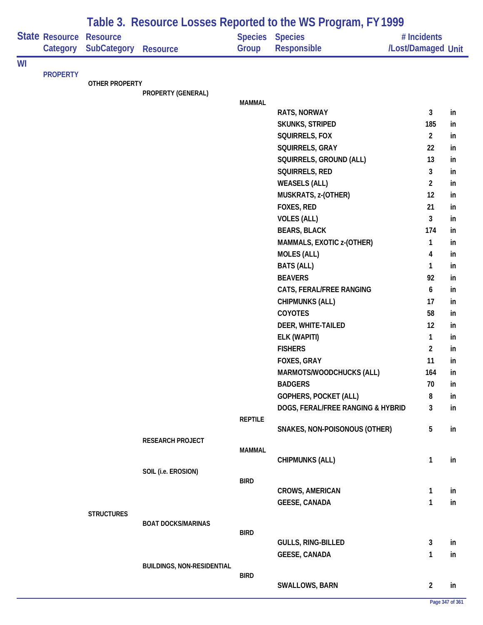|    |                            |                                       |                                   |                | Table 3. Resource Losses Reported to the WS Program, FY 1999 |                                   |    |
|----|----------------------------|---------------------------------------|-----------------------------------|----------------|--------------------------------------------------------------|-----------------------------------|----|
|    | State Resource<br>Category | <b>Resource</b><br><b>SubCategory</b> | <b>Resource</b>                   | Group          | Species Species<br>Responsible                               | # Incidents<br>/Lost/Damaged Unit |    |
| WI |                            |                                       |                                   |                |                                                              |                                   |    |
|    | <b>PROPERTY</b>            | OTHER PROPERTY                        |                                   |                |                                                              |                                   |    |
|    |                            |                                       | PROPERTY (GENERAL)                |                |                                                              |                                   |    |
|    |                            |                                       |                                   | <b>MAMMAL</b>  |                                                              |                                   |    |
|    |                            |                                       |                                   |                | RATS, NORWAY                                                 | 3                                 | in |
|    |                            |                                       |                                   |                | <b>SKUNKS, STRIPED</b>                                       | 185                               | in |
|    |                            |                                       |                                   |                | SQUIRRELS, FOX                                               | $\overline{2}$                    | in |
|    |                            |                                       |                                   |                | SQUIRRELS, GRAY                                              | 22                                | in |
|    |                            |                                       |                                   |                | SQUIRRELS, GROUND (ALL)                                      | 13                                | in |
|    |                            |                                       |                                   |                | SQUIRRELS, RED                                               | 3                                 | in |
|    |                            |                                       |                                   |                | <b>WEASELS (ALL)</b>                                         | $\overline{2}$                    | in |
|    |                            |                                       |                                   |                | MUSKRATS, z-(OTHER)                                          | 12                                | in |
|    |                            |                                       |                                   |                | FOXES, RED                                                   | 21                                | in |
|    |                            |                                       |                                   |                | <b>VOLES (ALL)</b>                                           | 3                                 | in |
|    |                            |                                       |                                   |                | <b>BEARS, BLACK</b>                                          | 174                               | in |
|    |                            |                                       |                                   |                | MAMMALS, EXOTIC z-(OTHER)                                    | $\mathbf{1}$                      | in |
|    |                            |                                       |                                   |                | <b>MOLES (ALL)</b>                                           | 4                                 | in |
|    |                            |                                       |                                   |                | <b>BATS (ALL)</b>                                            | $\mathbf{1}$                      | in |
|    |                            |                                       |                                   |                | <b>BEAVERS</b>                                               | 92                                | in |
|    |                            |                                       |                                   |                | CATS, FERAL/FREE RANGING                                     | 6                                 | in |
|    |                            |                                       |                                   |                | <b>CHIPMUNKS (ALL)</b>                                       | 17                                | in |
|    |                            |                                       |                                   |                | COYOTES                                                      | 58                                | in |
|    |                            |                                       |                                   |                | DEER, WHITE-TAILED                                           | 12                                | in |
|    |                            |                                       |                                   |                | ELK (WAPITI)                                                 | $\mathbf{1}$                      | in |
|    |                            |                                       |                                   |                | <b>FISHERS</b>                                               | $\overline{2}$                    | in |
|    |                            |                                       |                                   |                | FOXES, GRAY                                                  | 11                                | in |
|    |                            |                                       |                                   |                | <b>MARMOTS/WOODCHUCKS (ALL)</b>                              | 164                               | in |
|    |                            |                                       |                                   |                | <b>BADGERS</b>                                               | 70                                | in |
|    |                            |                                       |                                   |                | <b>GOPHERS, POCKET (ALL)</b>                                 | 8                                 | in |
|    |                            |                                       |                                   |                | DOGS, FERAL/FREE RANGING & HYBRID                            | 3                                 | in |
|    |                            |                                       |                                   | <b>REPTILE</b> | SNAKES, NON-POISONOUS (OTHER)                                | $5\phantom{.0}$                   | in |
|    |                            |                                       | RESEARCH PROJECT                  |                |                                                              |                                   |    |
|    |                            |                                       |                                   | <b>MAMMAL</b>  |                                                              |                                   |    |
|    |                            |                                       |                                   |                | <b>CHIPMUNKS (ALL)</b>                                       | $\mathbf{1}$                      | in |
|    |                            |                                       | SOIL (i.e. EROSION)               |                |                                                              |                                   |    |
|    |                            |                                       |                                   | <b>BIRD</b>    |                                                              |                                   |    |
|    |                            |                                       |                                   |                | <b>CROWS, AMERICAN</b>                                       | $\mathbf{1}$                      | in |
|    |                            |                                       |                                   |                | <b>GEESE, CANADA</b>                                         | $\mathbf{1}$                      | in |
|    |                            | <b>STRUCTURES</b>                     | <b>BOAT DOCKS/MARINAS</b>         |                |                                                              |                                   |    |
|    |                            |                                       |                                   | <b>BIRD</b>    |                                                              |                                   |    |
|    |                            |                                       |                                   |                | <b>GULLS, RING-BILLED</b>                                    | $\mathbf{3}$                      | in |
|    |                            |                                       |                                   |                | <b>GEESE, CANADA</b>                                         | 1                                 | in |
|    |                            |                                       | <b>BUILDINGS, NON-RESIDENTIAL</b> |                |                                                              |                                   |    |
|    |                            |                                       |                                   | <b>BIRD</b>    |                                                              | $\overline{2}$                    |    |
|    |                            |                                       |                                   |                | <b>SWALLOWS, BARN</b>                                        |                                   | in |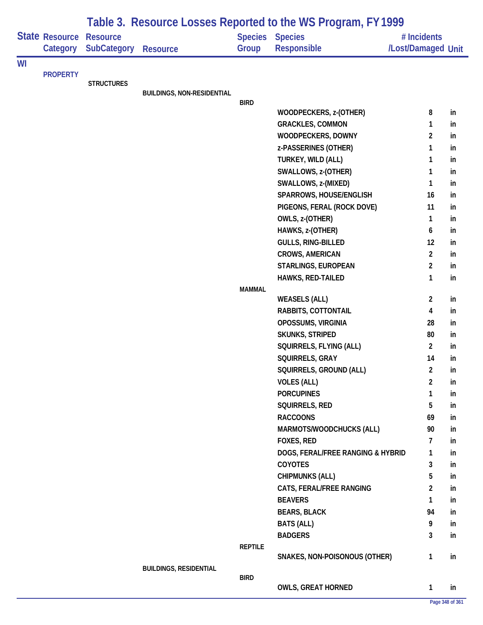|    | <b>State Resource</b><br>Category | <b>Resource</b><br>SubCategory | <b>Resource</b>                   | Group          | <b>Species Species</b><br>Responsible | # Incidents<br>/Lost/Damaged Unit |    |
|----|-----------------------------------|--------------------------------|-----------------------------------|----------------|---------------------------------------|-----------------------------------|----|
| WI |                                   |                                |                                   |                |                                       |                                   |    |
|    | <b>PROPERTY</b>                   |                                |                                   |                |                                       |                                   |    |
|    |                                   | <b>STRUCTURES</b>              | <b>BUILDINGS, NON-RESIDENTIAL</b> |                |                                       |                                   |    |
|    |                                   |                                |                                   | <b>BIRD</b>    |                                       |                                   |    |
|    |                                   |                                |                                   |                | WOODPECKERS, z-(OTHER)                | 8                                 | in |
|    |                                   |                                |                                   |                | <b>GRACKLES, COMMON</b>               | 1                                 | in |
|    |                                   |                                |                                   |                | WOODPECKERS, DOWNY                    | $\overline{c}$                    | in |
|    |                                   |                                |                                   |                | z-PASSERINES (OTHER)                  | 1                                 | in |
|    |                                   |                                |                                   |                | TURKEY, WILD (ALL)                    | 1                                 | in |
|    |                                   |                                |                                   |                | SWALLOWS, z-(OTHER)                   | 1                                 | in |
|    |                                   |                                |                                   |                | SWALLOWS, z-(MIXED)                   | 1                                 | in |
|    |                                   |                                |                                   |                | SPARROWS, HOUSE/ENGLISH               | 16                                | in |
|    |                                   |                                |                                   |                | PIGEONS, FERAL (ROCK DOVE)            | 11                                | in |
|    |                                   |                                |                                   |                | OWLS, z-(OTHER)                       | 1                                 | in |
|    |                                   |                                |                                   |                | HAWKS, z-(OTHER)                      | 6                                 | in |
|    |                                   |                                |                                   |                | GULLS, RING-BILLED                    | 12                                | in |
|    |                                   |                                |                                   |                | CROWS, AMERICAN                       | $\overline{2}$                    | in |
|    |                                   |                                |                                   |                | STARLINGS, EUROPEAN                   | $\overline{2}$                    | in |
|    |                                   |                                |                                   |                | HAWKS, RED-TAILED                     | 1                                 | in |
|    |                                   |                                |                                   | <b>MAMMAL</b>  | <b>WEASELS (ALL)</b>                  | $\overline{2}$                    | in |
|    |                                   |                                |                                   |                | RABBITS, COTTONTAIL                   | 4                                 | in |
|    |                                   |                                |                                   |                | OPOSSUMS, VIRGINIA                    | 28                                | in |
|    |                                   |                                |                                   |                | <b>SKUNKS, STRIPED</b>                | 80                                | in |
|    |                                   |                                |                                   |                | SQUIRRELS, FLYING (ALL)               | $\overline{2}$                    | in |
|    |                                   |                                |                                   |                | SQUIRRELS, GRAY                       | 14                                | in |
|    |                                   |                                |                                   |                | SQUIRRELS, GROUND (ALL)               | $\overline{2}$                    | in |
|    |                                   |                                |                                   |                | <b>VOLES (ALL)</b>                    | $\overline{2}$                    | in |
|    |                                   |                                |                                   |                | <b>PORCUPINES</b>                     | 1                                 | in |
|    |                                   |                                |                                   |                | SQUIRRELS, RED                        | 5                                 | in |
|    |                                   |                                |                                   |                | <b>RACCOONS</b>                       | 69                                | in |
|    |                                   |                                |                                   |                | MARMOTS/WOODCHUCKS (ALL)              | 90                                | in |
|    |                                   |                                |                                   |                | FOXES, RED                            | 7                                 | in |
|    |                                   |                                |                                   |                | DOGS, FERAL/FREE RANGING & HYBRID     | 1                                 | in |
|    |                                   |                                |                                   |                | COYOTES                               | 3                                 | in |
|    |                                   |                                |                                   |                | <b>CHIPMUNKS (ALL)</b>                | 5                                 | in |
|    |                                   |                                |                                   |                | CATS, FERAL/FREE RANGING              | 2                                 | in |
|    |                                   |                                |                                   |                | <b>BEAVERS</b>                        | 1                                 | in |
|    |                                   |                                |                                   |                | <b>BEARS, BLACK</b>                   | 94                                | in |
|    |                                   |                                |                                   |                | <b>BATS (ALL)</b>                     | 9                                 | in |
|    |                                   |                                |                                   |                | <b>BADGERS</b>                        | 3                                 | in |
|    |                                   |                                |                                   | <b>REPTILE</b> |                                       |                                   |    |
|    |                                   |                                |                                   |                | SNAKES, NON-POISONOUS (OTHER)         | 1                                 | in |
|    |                                   |                                | <b>BUILDINGS, RESIDENTIAL</b>     | <b>BIRD</b>    |                                       |                                   |    |
|    |                                   |                                |                                   |                | <b>OWLS, GREAT HORNED</b>             | 1                                 | in |
|    |                                   |                                |                                   |                |                                       | Page 348 of 361                   |    |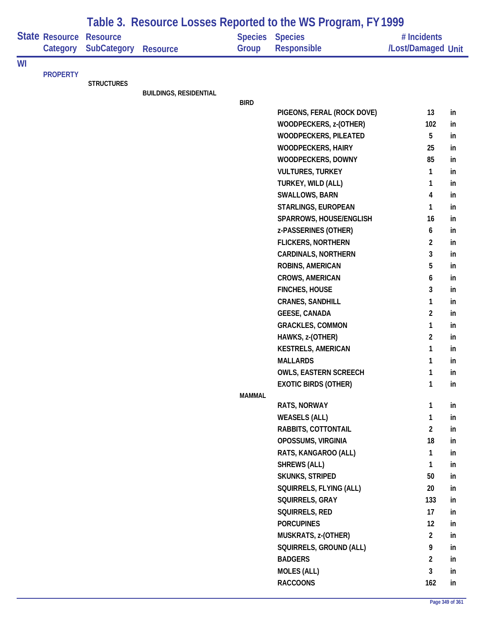|    |                                   | Table 3. Resource Losses Reported to the WS Program, FY 1999 |                               |               |                                              |                                   |    |  |  |
|----|-----------------------------------|--------------------------------------------------------------|-------------------------------|---------------|----------------------------------------------|-----------------------------------|----|--|--|
|    | <b>State Resource</b><br>Category | <b>Resource</b><br><b>SubCategory</b>                        | <b>Resource</b>               | Group         | <b>Species Species</b><br><b>Responsible</b> | # Incidents<br>/Lost/Damaged Unit |    |  |  |
| WI |                                   |                                                              |                               |               |                                              |                                   |    |  |  |
|    | <b>PROPERTY</b>                   |                                                              |                               |               |                                              |                                   |    |  |  |
|    |                                   | <b>STRUCTURES</b>                                            | <b>BUILDINGS, RESIDENTIAL</b> |               |                                              |                                   |    |  |  |
|    |                                   |                                                              |                               | <b>BIRD</b>   |                                              |                                   |    |  |  |
|    |                                   |                                                              |                               |               | PIGEONS, FERAL (ROCK DOVE)                   | 13                                | in |  |  |
|    |                                   |                                                              |                               |               | WOODPECKERS, z-(OTHER)                       | 102                               | in |  |  |
|    |                                   |                                                              |                               |               | WOODPECKERS, PILEATED                        | 5                                 | in |  |  |
|    |                                   |                                                              |                               |               | <b>WOODPECKERS, HAIRY</b>                    | 25                                | in |  |  |
|    |                                   |                                                              |                               |               | WOODPECKERS, DOWNY                           | 85                                | in |  |  |
|    |                                   |                                                              |                               |               | <b>VULTURES, TURKEY</b>                      | 1                                 | in |  |  |
|    |                                   |                                                              |                               |               | TURKEY, WILD (ALL)                           | 1                                 | in |  |  |
|    |                                   |                                                              |                               |               | SWALLOWS, BARN                               | 4                                 | in |  |  |
|    |                                   |                                                              |                               |               | STARLINGS, EUROPEAN                          | 1                                 | in |  |  |
|    |                                   |                                                              |                               |               | SPARROWS, HOUSE/ENGLISH                      | 16                                | in |  |  |
|    |                                   |                                                              |                               |               | z-PASSERINES (OTHER)                         | 6                                 | in |  |  |
|    |                                   |                                                              |                               |               | <b>FLICKERS, NORTHERN</b>                    | $\overline{2}$                    | in |  |  |
|    |                                   |                                                              |                               |               | <b>CARDINALS, NORTHERN</b>                   | 3                                 | in |  |  |
|    |                                   |                                                              |                               |               | ROBINS, AMERICAN                             | 5                                 | in |  |  |
|    |                                   |                                                              |                               |               | <b>CROWS, AMERICAN</b>                       | 6                                 | in |  |  |
|    |                                   |                                                              |                               |               | <b>FINCHES, HOUSE</b>                        | 3                                 | in |  |  |
|    |                                   |                                                              |                               |               | <b>CRANES, SANDHILL</b>                      | 1                                 | in |  |  |
|    |                                   |                                                              |                               |               | <b>GEESE, CANADA</b>                         | $\overline{c}$                    | in |  |  |
|    |                                   |                                                              |                               |               | <b>GRACKLES, COMMON</b>                      | 1                                 | in |  |  |
|    |                                   |                                                              |                               |               | HAWKS, z-(OTHER)                             | $\overline{2}$                    | in |  |  |
|    |                                   |                                                              |                               |               | <b>KESTRELS, AMERICAN</b>                    | 1                                 | in |  |  |
|    |                                   |                                                              |                               |               | <b>MALLARDS</b>                              | 1                                 | in |  |  |
|    |                                   |                                                              |                               |               | OWLS, EASTERN SCREECH                        | 1                                 | in |  |  |
|    |                                   |                                                              |                               |               | <b>EXOTIC BIRDS (OTHER)</b>                  | 1                                 | in |  |  |
|    |                                   |                                                              |                               | <b>MAMMAL</b> |                                              |                                   |    |  |  |
|    |                                   |                                                              |                               |               | RATS, NORWAY                                 | 1                                 | in |  |  |
|    |                                   |                                                              |                               |               | <b>WEASELS (ALL)</b>                         | $\mathbf{1}$                      | in |  |  |
|    |                                   |                                                              |                               |               | RABBITS, COTTONTAIL                          | $\overline{a}$                    | in |  |  |
|    |                                   |                                                              |                               |               | OPOSSUMS, VIRGINIA                           | 18                                | in |  |  |
|    |                                   |                                                              |                               |               | RATS, KANGAROO (ALL)                         | 1                                 | in |  |  |
|    |                                   |                                                              |                               |               | <b>SHREWS (ALL)</b>                          | 1                                 | in |  |  |
|    |                                   |                                                              |                               |               | <b>SKUNKS, STRIPED</b>                       | 50                                | in |  |  |
|    |                                   |                                                              |                               |               | SQUIRRELS, FLYING (ALL)                      | 20                                | in |  |  |
|    |                                   |                                                              |                               |               | SQUIRRELS, GRAY                              | 133                               | in |  |  |
|    |                                   |                                                              |                               |               | SQUIRRELS, RED                               | 17                                | in |  |  |
|    |                                   |                                                              |                               |               | <b>PORCUPINES</b>                            | 12                                | in |  |  |
|    |                                   |                                                              |                               |               | MUSKRATS, z-(OTHER)                          | $\overline{2}$                    | in |  |  |
|    |                                   |                                                              |                               |               | SQUIRRELS, GROUND (ALL)                      | 9                                 | in |  |  |
|    |                                   |                                                              |                               |               | <b>BADGERS</b>                               | $\overline{2}$                    | in |  |  |
|    |                                   |                                                              |                               |               | <b>MOLES (ALL)</b>                           | 3                                 | in |  |  |
|    |                                   |                                                              |                               |               | <b>RACCOONS</b>                              | 162                               | in |  |  |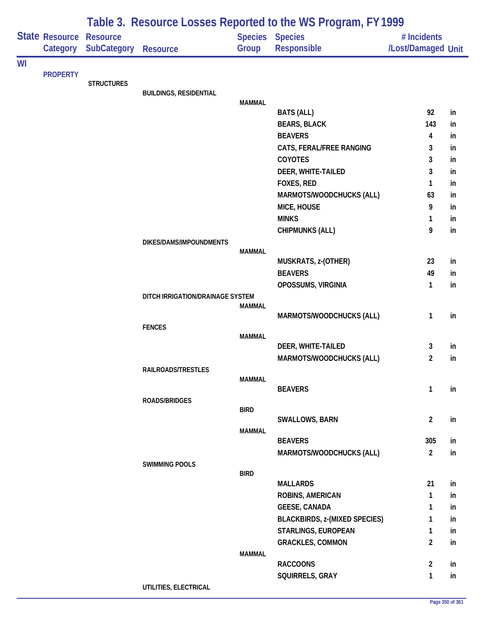|    |                            |                                       |                                  |               | Table 3. Resource Losses Reported to the WS Program, FY 1999 |                                   |    |
|----|----------------------------|---------------------------------------|----------------------------------|---------------|--------------------------------------------------------------|-----------------------------------|----|
|    | State Resource<br>Category | <b>Resource</b><br><b>SubCategory</b> | <b>Resource</b>                  | Group         | Species Species<br>Responsible                               | # Incidents<br>/Lost/Damaged Unit |    |
| WI |                            |                                       |                                  |               |                                                              |                                   |    |
|    | <b>PROPERTY</b>            | <b>STRUCTURES</b>                     |                                  |               |                                                              |                                   |    |
|    |                            |                                       | <b>BUILDINGS, RESIDENTIAL</b>    |               |                                                              |                                   |    |
|    |                            |                                       |                                  | <b>MAMMAL</b> |                                                              | 92                                | in |
|    |                            |                                       |                                  |               | <b>BATS (ALL)</b><br><b>BEARS, BLACK</b>                     | 143                               | in |
|    |                            |                                       |                                  |               | <b>BEAVERS</b>                                               | 4                                 | in |
|    |                            |                                       |                                  |               | CATS, FERAL/FREE RANGING                                     | 3                                 | in |
|    |                            |                                       |                                  |               | COYOTES                                                      | 3                                 | in |
|    |                            |                                       |                                  |               | DEER, WHITE-TAILED                                           | 3                                 | in |
|    |                            |                                       |                                  |               | FOXES, RED                                                   | 1                                 | in |
|    |                            |                                       |                                  |               | MARMOTS/WOODCHUCKS (ALL)                                     | 63                                | in |
|    |                            |                                       |                                  |               | MICE, HOUSE                                                  | 9                                 | in |
|    |                            |                                       |                                  |               | <b>MINKS</b>                                                 | 1                                 | in |
|    |                            |                                       |                                  |               | <b>CHIPMUNKS (ALL)</b>                                       | 9                                 | in |
|    |                            |                                       | DIKES/DAMS/IMPOUNDMENTS          |               |                                                              |                                   |    |
|    |                            |                                       |                                  | <b>MAMMAL</b> | MUSKRATS, z-(OTHER)                                          | 23                                | in |
|    |                            |                                       |                                  |               | <b>BEAVERS</b>                                               | 49                                | in |
|    |                            |                                       |                                  |               | OPOSSUMS, VIRGINIA                                           | 1                                 | in |
|    |                            |                                       | DITCH IRRIGATION/DRAINAGE SYSTEM |               |                                                              |                                   |    |
|    |                            |                                       |                                  | <b>MAMMAL</b> |                                                              |                                   |    |
|    |                            |                                       |                                  |               | MARMOTS/WOODCHUCKS (ALL)                                     | 1                                 | in |
|    |                            |                                       | <b>FENCES</b>                    | <b>MAMMAL</b> |                                                              |                                   |    |
|    |                            |                                       |                                  |               | DEER, WHITE-TAILED                                           | 3                                 | in |
|    |                            |                                       |                                  |               | MARMOTS/WOODCHUCKS (ALL)                                     | 2                                 | in |
|    |                            |                                       | RAILROADS/TRESTLES               |               |                                                              |                                   |    |
|    |                            |                                       |                                  | <b>MAMMAL</b> |                                                              |                                   |    |
|    |                            |                                       | ROADS/BRIDGES                    |               | <b>BEAVERS</b>                                               | $\mathbf{1}$                      | in |
|    |                            |                                       |                                  | <b>BIRD</b>   |                                                              |                                   |    |
|    |                            |                                       |                                  |               | SWALLOWS, BARN                                               | $\overline{2}$                    | in |
|    |                            |                                       |                                  | <b>MAMMAL</b> |                                                              |                                   |    |
|    |                            |                                       |                                  |               | <b>BEAVERS</b>                                               | 305                               | in |
|    |                            |                                       |                                  |               | MARMOTS/WOODCHUCKS (ALL)                                     | $\overline{2}$                    | in |
|    |                            |                                       | <b>SWIMMING POOLS</b>            | <b>BIRD</b>   |                                                              |                                   |    |
|    |                            |                                       |                                  |               | <b>MALLARDS</b>                                              | 21                                | in |
|    |                            |                                       |                                  |               | <b>ROBINS, AMERICAN</b>                                      | 1                                 | in |
|    |                            |                                       |                                  |               | <b>GEESE, CANADA</b>                                         | 1                                 | in |
|    |                            |                                       |                                  |               | <b>BLACKBIRDS, z-(MIXED SPECIES)</b>                         | 1                                 | in |
|    |                            |                                       |                                  |               | STARLINGS, EUROPEAN                                          | 1                                 | in |
|    |                            |                                       |                                  |               | <b>GRACKLES, COMMON</b>                                      | $\overline{2}$                    | in |
|    |                            |                                       |                                  | <b>MAMMAL</b> |                                                              |                                   |    |
|    |                            |                                       |                                  |               | <b>RACCOONS</b>                                              | $\overline{2}$                    | in |
|    |                            |                                       | UTILITIES, ELECTRICAL            |               | SQUIRRELS, GRAY                                              | 1                                 | in |
|    |                            |                                       |                                  |               |                                                              |                                   |    |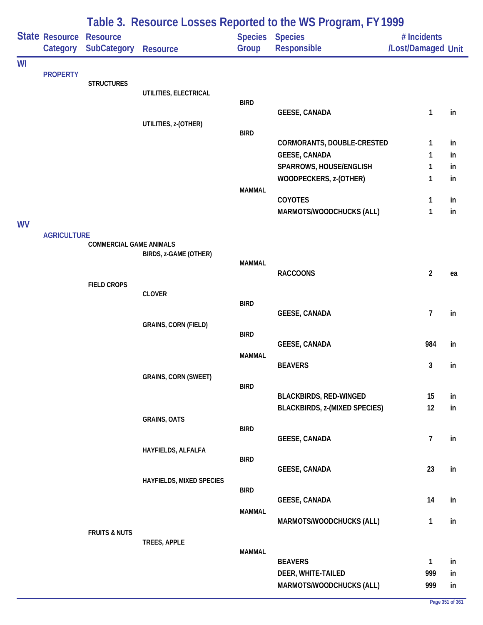|           |                            |                                       |                                 |               | Table 3. Resource Losses Reported to the WS Program, FY 1999 |                                   |    |
|-----------|----------------------------|---------------------------------------|---------------------------------|---------------|--------------------------------------------------------------|-----------------------------------|----|
|           | State Resource<br>Category | <b>Resource</b><br><b>SubCategory</b> | <b>Resource</b>                 | Group         | <b>Species Species</b><br><b>Responsible</b>                 | # Incidents<br>/Lost/Damaged Unit |    |
| WI        |                            |                                       |                                 |               |                                                              |                                   |    |
|           | <b>PROPERTY</b>            | <b>STRUCTURES</b>                     |                                 |               |                                                              |                                   |    |
|           |                            |                                       | UTILITIES, ELECTRICAL           | <b>BIRD</b>   |                                                              |                                   |    |
|           |                            |                                       |                                 |               | <b>GEESE, CANADA</b>                                         | 1                                 | in |
|           |                            |                                       | UTILITIES, z-(OTHER)            |               |                                                              |                                   |    |
|           |                            |                                       |                                 | <b>BIRD</b>   | CORMORANTS, DOUBLE-CRESTED                                   | 1                                 | in |
|           |                            |                                       |                                 |               | <b>GEESE, CANADA</b>                                         | 1                                 | in |
|           |                            |                                       |                                 |               | SPARROWS, HOUSE/ENGLISH                                      | 1                                 | in |
|           |                            |                                       |                                 |               | WOODPECKERS, z-(OTHER)                                       | 1                                 | in |
|           |                            |                                       |                                 | <b>MAMMAL</b> | COYOTES                                                      | 1                                 | in |
|           |                            |                                       |                                 |               | MARMOTS/WOODCHUCKS (ALL)                                     | 1                                 | in |
| <b>WV</b> |                            |                                       |                                 |               |                                                              |                                   |    |
|           | <b>AGRICULTURE</b>         | <b>COMMERCIAL GAME ANIMALS</b>        |                                 |               |                                                              |                                   |    |
|           |                            |                                       | BIRDS, z-GAME (OTHER)           |               |                                                              |                                   |    |
|           |                            |                                       |                                 | <b>MAMMAL</b> | <b>RACCOONS</b>                                              | $\overline{2}$                    | ea |
|           |                            | <b>FIELD CROPS</b>                    |                                 |               |                                                              |                                   |    |
|           |                            |                                       | <b>CLOVER</b>                   |               |                                                              |                                   |    |
|           |                            |                                       |                                 | <b>BIRD</b>   | <b>GEESE, CANADA</b>                                         | $\overline{7}$                    | in |
|           |                            |                                       | <b>GRAINS, CORN (FIELD)</b>     |               |                                                              |                                   |    |
|           |                            |                                       |                                 | <b>BIRD</b>   |                                                              | 984                               |    |
|           |                            |                                       |                                 | <b>MAMMAL</b> | <b>GEESE, CANADA</b>                                         |                                   | in |
|           |                            |                                       |                                 |               | <b>BEAVERS</b>                                               | 3                                 | in |
|           |                            |                                       | <b>GRAINS, CORN (SWEET)</b>     |               |                                                              |                                   |    |
|           |                            |                                       |                                 | <b>BIRD</b>   | <b>BLACKBIRDS, RED-WINGED</b>                                | 15                                | in |
|           |                            |                                       |                                 |               | <b>BLACKBIRDS, z-(MIXED SPECIES)</b>                         | 12                                | in |
|           |                            |                                       | <b>GRAINS, OATS</b>             |               |                                                              |                                   |    |
|           |                            |                                       |                                 | <b>BIRD</b>   | <b>GEESE, CANADA</b>                                         | $\overline{7}$                    | in |
|           |                            |                                       | HAYFIELDS, ALFALFA              |               |                                                              |                                   |    |
|           |                            |                                       |                                 | <b>BIRD</b>   | <b>GEESE, CANADA</b>                                         | 23                                | in |
|           |                            |                                       | <b>HAYFIELDS, MIXED SPECIES</b> |               |                                                              |                                   |    |
|           |                            |                                       |                                 | <b>BIRD</b>   |                                                              |                                   |    |
|           |                            |                                       |                                 | <b>MAMMAL</b> | <b>GEESE, CANADA</b>                                         | 14                                | in |
|           |                            |                                       |                                 |               | MARMOTS/WOODCHUCKS (ALL)                                     | $\mathbf{1}$                      | in |
|           |                            | <b>FRUITS &amp; NUTS</b>              |                                 |               |                                                              |                                   |    |
|           |                            |                                       | TREES, APPLE                    | <b>MAMMAL</b> |                                                              |                                   |    |
|           |                            |                                       |                                 |               | <b>BEAVERS</b>                                               | 1                                 | in |
|           |                            |                                       |                                 |               | DEER, WHITE-TAILED                                           | 999                               | in |
|           |                            |                                       |                                 |               | MARMOTS/WOODCHUCKS (ALL)                                     | 999                               | in |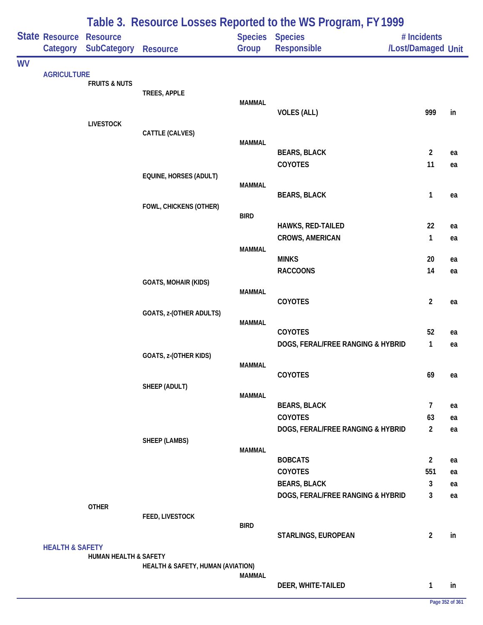|           |                                   |                                       |                                   |               | Table 3. Resource Losses Reported to the WS Program, FY 1999 |                                   |    |
|-----------|-----------------------------------|---------------------------------------|-----------------------------------|---------------|--------------------------------------------------------------|-----------------------------------|----|
|           | <b>State Resource</b><br>Category | <b>Resource</b><br><b>SubCategory</b> | Resource                          | Group         | Species Species<br>Responsible                               | # Incidents<br>/Lost/Damaged Unit |    |
| <b>WV</b> |                                   |                                       |                                   |               |                                                              |                                   |    |
|           | <b>AGRICULTURE</b>                |                                       |                                   |               |                                                              |                                   |    |
|           |                                   | <b>FRUITS &amp; NUTS</b>              |                                   |               |                                                              |                                   |    |
|           |                                   |                                       | TREES, APPLE                      | <b>MAMMAL</b> |                                                              |                                   |    |
|           |                                   |                                       |                                   |               | <b>VOLES (ALL)</b>                                           | 999                               | in |
|           |                                   | <b>LIVESTOCK</b>                      |                                   |               |                                                              |                                   |    |
|           |                                   |                                       | CATTLE (CALVES)                   | <b>MAMMAL</b> |                                                              |                                   |    |
|           |                                   |                                       |                                   |               | <b>BEARS, BLACK</b>                                          | $\overline{2}$                    | ea |
|           |                                   |                                       |                                   |               | COYOTES                                                      | 11                                | ea |
|           |                                   |                                       | EQUINE, HORSES (ADULT)            |               |                                                              |                                   |    |
|           |                                   |                                       |                                   | <b>MAMMAL</b> |                                                              |                                   |    |
|           |                                   |                                       | FOWL, CHICKENS (OTHER)            |               | <b>BEARS, BLACK</b>                                          | 1                                 | ea |
|           |                                   |                                       |                                   | <b>BIRD</b>   |                                                              |                                   |    |
|           |                                   |                                       |                                   |               | HAWKS, RED-TAILED                                            | 22                                | ea |
|           |                                   |                                       |                                   |               | <b>CROWS, AMERICAN</b>                                       | 1                                 | ea |
|           |                                   |                                       |                                   | <b>MAMMAL</b> |                                                              |                                   |    |
|           |                                   |                                       |                                   |               | <b>MINKS</b><br><b>RACCOONS</b>                              | 20<br>14                          | ea |
|           |                                   |                                       | <b>GOATS, MOHAIR (KIDS)</b>       |               |                                                              |                                   | ea |
|           |                                   |                                       |                                   | <b>MAMMAL</b> |                                                              |                                   |    |
|           |                                   |                                       |                                   |               | COYOTES                                                      | $\overline{2}$                    | ea |
|           |                                   |                                       | GOATS, z-(OTHER ADULTS)           |               |                                                              |                                   |    |
|           |                                   |                                       |                                   | <b>MAMMAL</b> | COYOTES                                                      | 52                                | ea |
|           |                                   |                                       |                                   |               | DOGS, FERAL/FREE RANGING & HYBRID                            | $\mathbf{1}$                      | ea |
|           |                                   |                                       | GOATS, z-(OTHER KIDS)             |               |                                                              |                                   |    |
|           |                                   |                                       |                                   | <b>MAMMAL</b> |                                                              |                                   |    |
|           |                                   |                                       |                                   |               | COYOTES                                                      | 69                                | ea |
|           |                                   |                                       | SHEEP (ADULT)                     | <b>MAMMAL</b> |                                                              |                                   |    |
|           |                                   |                                       |                                   |               | <b>BEARS, BLACK</b>                                          | $\overline{7}$                    | ea |
|           |                                   |                                       |                                   |               | <b>COYOTES</b>                                               | 63                                | ea |
|           |                                   |                                       |                                   |               | DOGS, FERAL/FREE RANGING & HYBRID                            | $\overline{2}$                    | ea |
|           |                                   |                                       | SHEEP (LAMBS)                     |               |                                                              |                                   |    |
|           |                                   |                                       |                                   | <b>MAMMAL</b> | <b>BOBCATS</b>                                               | $\overline{2}$                    | ea |
|           |                                   |                                       |                                   |               | <b>COYOTES</b>                                               | 551                               | ea |
|           |                                   |                                       |                                   |               | <b>BEARS, BLACK</b>                                          | 3                                 | ea |
|           |                                   |                                       |                                   |               | DOGS, FERAL/FREE RANGING & HYBRID                            | 3                                 | ea |
|           |                                   | <b>OTHER</b>                          |                                   |               |                                                              |                                   |    |
|           |                                   |                                       | FEED, LIVESTOCK                   | <b>BIRD</b>   |                                                              |                                   |    |
|           |                                   |                                       |                                   |               | STARLINGS, EUROPEAN                                          | $\overline{2}$                    | in |
|           | <b>HEALTH &amp; SAFETY</b>        |                                       |                                   |               |                                                              |                                   |    |
|           |                                   | <b>HUMAN HEALTH &amp; SAFETY</b>      |                                   |               |                                                              |                                   |    |
|           |                                   |                                       | HEALTH & SAFETY, HUMAN (AVIATION) | <b>MAMMAL</b> |                                                              |                                   |    |
|           |                                   |                                       |                                   |               | DEER, WHITE-TAILED                                           | 1                                 | in |
|           |                                   |                                       |                                   |               |                                                              |                                   |    |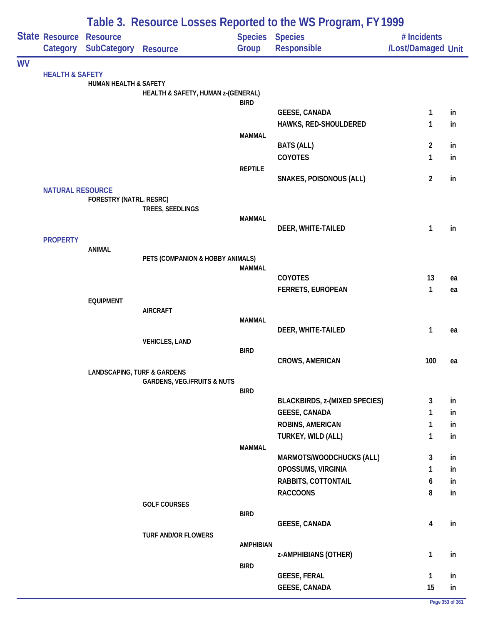|           |                            |                                        | Table 3. Resource Losses Reported to the WS Program, FY 1999 |                        |                                      |                    |    |  |  |  |
|-----------|----------------------------|----------------------------------------|--------------------------------------------------------------|------------------------|--------------------------------------|--------------------|----|--|--|--|
|           | State Resource Resource    |                                        |                                                              | <b>Species Species</b> |                                      | # Incidents        |    |  |  |  |
|           |                            | Category SubCategory                   | <b>Resource</b>                                              | Group                  | Responsible                          | /Lost/Damaged Unit |    |  |  |  |
| <b>WV</b> |                            |                                        |                                                              |                        |                                      |                    |    |  |  |  |
|           | <b>HEALTH &amp; SAFETY</b> | <b>HUMAN HEALTH &amp; SAFETY</b>       |                                                              |                        |                                      |                    |    |  |  |  |
|           |                            |                                        | HEALTH & SAFETY, HUMAN z-(GENERAL)                           |                        |                                      |                    |    |  |  |  |
|           |                            |                                        |                                                              | <b>BIRD</b>            |                                      |                    |    |  |  |  |
|           |                            |                                        |                                                              |                        | <b>GEESE, CANADA</b>                 | 1                  | in |  |  |  |
|           |                            |                                        |                                                              |                        | HAWKS, RED-SHOULDERED                | 1                  | in |  |  |  |
|           |                            |                                        |                                                              | <b>MAMMAL</b>          | <b>BATS (ALL)</b>                    | $\overline{2}$     | in |  |  |  |
|           |                            |                                        |                                                              |                        | COYOTES                              | 1                  | in |  |  |  |
|           |                            |                                        |                                                              | <b>REPTILE</b>         |                                      |                    |    |  |  |  |
|           |                            |                                        |                                                              |                        | <b>SNAKES, POISONOUS (ALL)</b>       | $\overline{2}$     | in |  |  |  |
|           | <b>NATURAL RESOURCE</b>    |                                        |                                                              |                        |                                      |                    |    |  |  |  |
|           |                            | <b>FORESTRY (NATRL. RESRC)</b>         | TREES, SEEDLINGS                                             |                        |                                      |                    |    |  |  |  |
|           |                            |                                        |                                                              | <b>MAMMAL</b>          |                                      |                    |    |  |  |  |
|           |                            |                                        |                                                              |                        | DEER, WHITE-TAILED                   | 1                  | in |  |  |  |
|           | <b>PROPERTY</b>            |                                        |                                                              |                        |                                      |                    |    |  |  |  |
|           |                            | <b>ANIMAL</b>                          | PETS (COMPANION & HOBBY ANIMALS)                             |                        |                                      |                    |    |  |  |  |
|           |                            |                                        |                                                              | <b>MAMMAL</b>          |                                      |                    |    |  |  |  |
|           |                            |                                        |                                                              |                        | COYOTES                              | 13                 | ea |  |  |  |
|           |                            |                                        |                                                              |                        | <b>FERRETS, EUROPEAN</b>             | $\mathbf{1}$       | ea |  |  |  |
|           |                            | <b>EQUIPMENT</b>                       |                                                              |                        |                                      |                    |    |  |  |  |
|           |                            |                                        | <b>AIRCRAFT</b>                                              | <b>MAMMAL</b>          |                                      |                    |    |  |  |  |
|           |                            |                                        |                                                              |                        | DEER, WHITE-TAILED                   | 1                  | ea |  |  |  |
|           |                            |                                        | <b>VEHICLES, LAND</b>                                        |                        |                                      |                    |    |  |  |  |
|           |                            |                                        |                                                              | <b>BIRD</b>            |                                      |                    |    |  |  |  |
|           |                            | <b>LANDSCAPING, TURF &amp; GARDENS</b> |                                                              |                        | <b>CROWS, AMERICAN</b>               | 100                | ea |  |  |  |
|           |                            |                                        | <b>GARDENS, VEG./FRUITS &amp; NUTS</b>                       |                        |                                      |                    |    |  |  |  |
|           |                            |                                        |                                                              | <b>BIRD</b>            |                                      |                    |    |  |  |  |
|           |                            |                                        |                                                              |                        | <b>BLACKBIRDS, z-(MIXED SPECIES)</b> | 3                  | in |  |  |  |
|           |                            |                                        |                                                              |                        | <b>GEESE, CANADA</b>                 | 1                  | in |  |  |  |
|           |                            |                                        |                                                              |                        | ROBINS, AMERICAN                     | 1                  | in |  |  |  |
|           |                            |                                        |                                                              | <b>MAMMAL</b>          | TURKEY, WILD (ALL)                   | 1                  | in |  |  |  |
|           |                            |                                        |                                                              |                        | MARMOTS/WOODCHUCKS (ALL)             | 3                  | in |  |  |  |
|           |                            |                                        |                                                              |                        | OPOSSUMS, VIRGINIA                   | 1                  | in |  |  |  |
|           |                            |                                        |                                                              |                        | RABBITS, COTTONTAIL                  | 6                  | in |  |  |  |
|           |                            |                                        |                                                              |                        | <b>RACCOONS</b>                      | 8                  | in |  |  |  |
|           |                            |                                        | <b>GOLF COURSES</b>                                          |                        |                                      |                    |    |  |  |  |
|           |                            |                                        |                                                              | <b>BIRD</b>            |                                      |                    | in |  |  |  |
|           |                            |                                        | <b>TURF AND/OR FLOWERS</b>                                   |                        | <b>GEESE, CANADA</b>                 | 4                  |    |  |  |  |
|           |                            |                                        |                                                              | <b>AMPHIBIAN</b>       |                                      |                    |    |  |  |  |
|           |                            |                                        |                                                              |                        | z-AMPHIBIANS (OTHER)                 | $\mathbf{1}$       | in |  |  |  |
|           |                            |                                        |                                                              | <b>BIRD</b>            |                                      |                    |    |  |  |  |
|           |                            |                                        |                                                              |                        | <b>GEESE, FERAL</b>                  | $\mathbf{1}$       | in |  |  |  |
|           |                            |                                        |                                                              |                        | <b>GEESE, CANADA</b>                 | 15                 | in |  |  |  |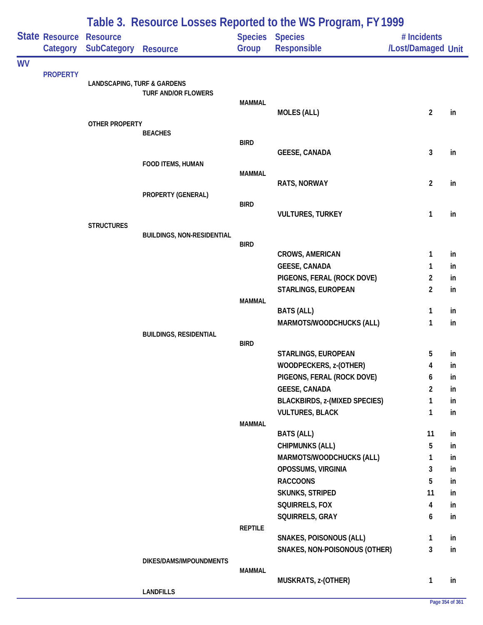|           |                 |                                        | Table 3. Resource Losses Reported to the WS Program, FY 1999 |                |                                                    |                    |           |  |  |  |
|-----------|-----------------|----------------------------------------|--------------------------------------------------------------|----------------|----------------------------------------------------|--------------------|-----------|--|--|--|
|           | State Resource  | <b>Resource</b>                        |                                                              |                | <b>Species Species</b>                             | # Incidents        |           |  |  |  |
|           | Category        | <b>SubCategory</b>                     | <b>Resource</b>                                              | Group          | Responsible                                        | /Lost/Damaged Unit |           |  |  |  |
| <b>WV</b> | <b>PROPERTY</b> |                                        |                                                              |                |                                                    |                    |           |  |  |  |
|           |                 | <b>LANDSCAPING, TURF &amp; GARDENS</b> |                                                              |                |                                                    |                    |           |  |  |  |
|           |                 |                                        | <b>TURF AND/OR FLOWERS</b>                                   | <b>MAMMAL</b>  |                                                    |                    |           |  |  |  |
|           |                 |                                        |                                                              |                | <b>MOLES (ALL)</b>                                 | $\overline{c}$     | in        |  |  |  |
|           |                 | OTHER PROPERTY                         |                                                              |                |                                                    |                    |           |  |  |  |
|           |                 |                                        | <b>BEACHES</b>                                               | <b>BIRD</b>    |                                                    |                    |           |  |  |  |
|           |                 |                                        |                                                              |                | <b>GEESE, CANADA</b>                               | 3                  | in        |  |  |  |
|           |                 |                                        | FOOD ITEMS, HUMAN                                            |                |                                                    |                    |           |  |  |  |
|           |                 |                                        |                                                              | <b>MAMMAL</b>  |                                                    |                    |           |  |  |  |
|           |                 |                                        | PROPERTY (GENERAL)                                           |                | RATS, NORWAY                                       | $\overline{c}$     | in        |  |  |  |
|           |                 |                                        |                                                              | <b>BIRD</b>    |                                                    |                    |           |  |  |  |
|           |                 |                                        |                                                              |                | <b>VULTURES, TURKEY</b>                            | 1                  | in        |  |  |  |
|           |                 | <b>STRUCTURES</b>                      | <b>BUILDINGS, NON-RESIDENTIAL</b>                            |                |                                                    |                    |           |  |  |  |
|           |                 |                                        |                                                              | <b>BIRD</b>    |                                                    |                    |           |  |  |  |
|           |                 |                                        |                                                              |                | <b>CROWS, AMERICAN</b>                             | 1                  | in        |  |  |  |
|           |                 |                                        |                                                              |                | <b>GEESE, CANADA</b>                               | 1                  | in        |  |  |  |
|           |                 |                                        |                                                              |                | PIGEONS, FERAL (ROCK DOVE)                         | 2                  | in        |  |  |  |
|           |                 |                                        |                                                              |                | STARLINGS, EUROPEAN                                | $\overline{2}$     | in        |  |  |  |
|           |                 |                                        |                                                              | <b>MAMMAL</b>  | <b>BATS (ALL)</b>                                  | 1                  | in        |  |  |  |
|           |                 |                                        |                                                              |                | MARMOTS/WOODCHUCKS (ALL)                           | 1                  | in        |  |  |  |
|           |                 |                                        | <b>BUILDINGS, RESIDENTIAL</b>                                |                |                                                    |                    |           |  |  |  |
|           |                 |                                        |                                                              | <b>BIRD</b>    | STARLINGS, EUROPEAN                                |                    |           |  |  |  |
|           |                 |                                        |                                                              |                | WOODPECKERS, z-(OTHER)                             | 5<br>4             | in<br>in. |  |  |  |
|           |                 |                                        |                                                              |                | PIGEONS, FERAL (ROCK DOVE)                         | 6                  | in        |  |  |  |
|           |                 |                                        |                                                              |                | <b>GEESE, CANADA</b>                               | $\overline{2}$     | in        |  |  |  |
|           |                 |                                        |                                                              |                | <b>BLACKBIRDS, z-(MIXED SPECIES)</b>               | 1                  | in        |  |  |  |
|           |                 |                                        |                                                              |                | <b>VULTURES, BLACK</b>                             | 1                  | in        |  |  |  |
|           |                 |                                        |                                                              | <b>MAMMAL</b>  |                                                    |                    |           |  |  |  |
|           |                 |                                        |                                                              |                | <b>BATS (ALL)</b>                                  | 11                 | in        |  |  |  |
|           |                 |                                        |                                                              |                | <b>CHIPMUNKS (ALL)</b><br>MARMOTS/WOODCHUCKS (ALL) | 5<br>1             | in<br>in  |  |  |  |
|           |                 |                                        |                                                              |                | OPOSSUMS, VIRGINIA                                 | 3                  | in        |  |  |  |
|           |                 |                                        |                                                              |                | <b>RACCOONS</b>                                    | 5                  | in        |  |  |  |
|           |                 |                                        |                                                              |                | <b>SKUNKS, STRIPED</b>                             | 11                 | in        |  |  |  |
|           |                 |                                        |                                                              |                | SQUIRRELS, FOX                                     | 4                  | in        |  |  |  |
|           |                 |                                        |                                                              |                | SQUIRRELS, GRAY                                    | 6                  | in        |  |  |  |
|           |                 |                                        |                                                              | <b>REPTILE</b> |                                                    |                    |           |  |  |  |
|           |                 |                                        |                                                              |                | SNAKES, POISONOUS (ALL)                            | 1                  | in        |  |  |  |
|           |                 |                                        | DIKES/DAMS/IMPOUNDMENTS                                      |                | SNAKES, NON-POISONOUS (OTHER)                      | 3                  | in        |  |  |  |
|           |                 |                                        |                                                              | <b>MAMMAL</b>  |                                                    |                    |           |  |  |  |
|           |                 |                                        |                                                              |                | MUSKRATS, z-(OTHER)                                | 1                  | in        |  |  |  |
|           |                 |                                        | <b>LANDFILLS</b>                                             |                |                                                    |                    |           |  |  |  |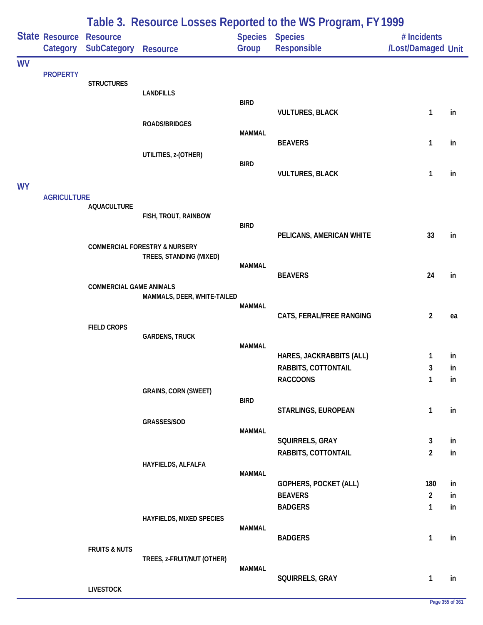|           |                            |                                |                                          |               | Table 3. Resource Losses Reported to the WS Program, FY1999 |                                   |          |
|-----------|----------------------------|--------------------------------|------------------------------------------|---------------|-------------------------------------------------------------|-----------------------------------|----------|
|           | State Resource<br>Category | <b>Resource</b><br>SubCategory | <b>Resource</b>                          | Group         | Species Species<br>Responsible                              | # Incidents<br>/Lost/Damaged Unit |          |
| <b>WV</b> |                            |                                |                                          |               |                                                             |                                   |          |
|           | <b>PROPERTY</b>            | <b>STRUCTURES</b>              |                                          |               |                                                             |                                   |          |
|           |                            |                                | <b>LANDFILLS</b>                         | <b>BIRD</b>   |                                                             |                                   |          |
|           |                            |                                |                                          |               | <b>VULTURES, BLACK</b>                                      | $\mathbf{1}$                      | in       |
|           |                            |                                | ROADS/BRIDGES                            | <b>MAMMAL</b> |                                                             |                                   |          |
|           |                            |                                |                                          |               | <b>BEAVERS</b>                                              | 1                                 | in       |
|           |                            |                                | UTILITIES, z-(OTHER)                     | <b>BIRD</b>   |                                                             |                                   |          |
|           |                            |                                |                                          |               | <b>VULTURES, BLACK</b>                                      | 1                                 | in       |
| <b>WY</b> | <b>AGRICULTURE</b>         |                                |                                          |               |                                                             |                                   |          |
|           |                            | <b>AQUACULTURE</b>             | FISH, TROUT, RAINBOW                     |               |                                                             |                                   |          |
|           |                            |                                |                                          | <b>BIRD</b>   |                                                             |                                   |          |
|           |                            |                                | <b>COMMERCIAL FORESTRY &amp; NURSERY</b> |               | PELICANS, AMERICAN WHITE                                    | 33                                | in       |
|           |                            |                                | TREES, STANDING (MIXED)                  | <b>MAMMAL</b> |                                                             |                                   |          |
|           |                            |                                |                                          |               | <b>BEAVERS</b>                                              | 24                                | in       |
|           |                            | <b>COMMERCIAL GAME ANIMALS</b> | MAMMALS, DEER, WHITE-TAILED              |               |                                                             |                                   |          |
|           |                            |                                |                                          | <b>MAMMAL</b> |                                                             |                                   |          |
|           |                            | <b>FIELD CROPS</b>             |                                          |               | CATS, FERAL/FREE RANGING                                    | $\overline{2}$                    | ea       |
|           |                            |                                | <b>GARDENS, TRUCK</b>                    | <b>MAMMAL</b> |                                                             |                                   |          |
|           |                            |                                |                                          |               | HARES, JACKRABBITS (ALL)                                    | 1                                 | in       |
|           |                            |                                |                                          |               | RABBITS, COTTONTAIL                                         | 3<br>1                            | in       |
|           |                            |                                | <b>GRAINS, CORN (SWEET)</b>              |               | <b>RACCOONS</b>                                             |                                   | in       |
|           |                            |                                |                                          | <b>BIRD</b>   | STARLINGS, EUROPEAN                                         | $\mathbf{1}$                      | in       |
|           |                            |                                | GRASSES/SOD                              |               |                                                             |                                   |          |
|           |                            |                                |                                          | <b>MAMMAL</b> | SQUIRRELS, GRAY                                             | 3                                 | in       |
|           |                            |                                |                                          |               | RABBITS, COTTONTAIL                                         | $\overline{2}$                    | in       |
|           |                            |                                | HAYFIELDS, ALFALFA                       | <b>MAMMAL</b> |                                                             |                                   |          |
|           |                            |                                |                                          |               | <b>GOPHERS, POCKET (ALL)</b>                                | 180                               | in       |
|           |                            |                                |                                          |               | <b>BEAVERS</b><br><b>BADGERS</b>                            | $\overline{2}$<br>$\mathbf{1}$    | in<br>in |
|           |                            |                                | <b>HAYFIELDS, MIXED SPECIES</b>          |               |                                                             |                                   |          |
|           |                            |                                |                                          | <b>MAMMAL</b> | <b>BADGERS</b>                                              | $\mathbf{1}$                      | in       |
|           |                            | <b>FRUITS &amp; NUTS</b>       |                                          |               |                                                             |                                   |          |
|           |                            |                                | TREES, z-FRUIT/NUT (OTHER)               | <b>MAMMAL</b> |                                                             |                                   |          |
|           |                            | <b>LIVESTOCK</b>               |                                          |               | SQUIRRELS, GRAY                                             | $\mathbf{1}$                      | in       |
|           |                            |                                |                                          |               |                                                             |                                   |          |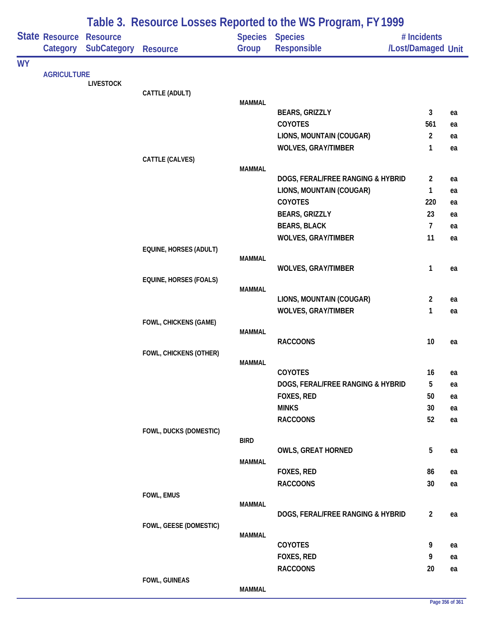|           |                                |                                       |                               |               | Table 3. Resource Losses Reported to the WS Program, FY 1999 |                                   |    |
|-----------|--------------------------------|---------------------------------------|-------------------------------|---------------|--------------------------------------------------------------|-----------------------------------|----|
|           | State Resource                 | <b>Resource</b><br><b>SubCategory</b> | <b>Resource</b>               | Group         | <b>Species Species</b><br><b>Responsible</b>                 | # Incidents<br>/Lost/Damaged Unit |    |
| <b>WY</b> |                                |                                       |                               |               |                                                              |                                   |    |
|           |                                | <b>LIVESTOCK</b>                      |                               |               |                                                              |                                   |    |
|           |                                |                                       | CATTLE (ADULT)                |               |                                                              |                                   |    |
|           |                                |                                       |                               | <b>MAMMAL</b> |                                                              |                                   |    |
|           |                                |                                       |                               |               | <b>BEARS, GRIZZLY</b>                                        | 3                                 | ea |
|           |                                |                                       |                               |               | COYOTES                                                      | 561                               | ea |
|           |                                |                                       |                               |               | LIONS, MOUNTAIN (COUGAR)                                     | $\overline{2}$                    | ea |
|           |                                |                                       |                               |               | <b>WOLVES, GRAY/TIMBER</b>                                   | 1                                 | ea |
|           |                                |                                       | CATTLE (CALVES)               | <b>MAMMAL</b> |                                                              |                                   |    |
|           |                                |                                       |                               |               | DOGS, FERAL/FREE RANGING & HYBRID                            | $\overline{2}$                    | ea |
|           |                                |                                       |                               |               | LIONS, MOUNTAIN (COUGAR)                                     | 1                                 | ea |
|           | Category<br><b>AGRICULTURE</b> |                                       |                               |               | <b>COYOTES</b>                                               | 220                               | ea |
|           |                                |                                       |                               |               | <b>BEARS, GRIZZLY</b>                                        | 23                                | ea |
|           |                                |                                       |                               |               | <b>BEARS, BLACK</b>                                          | 7                                 | ea |
|           |                                |                                       |                               |               | <b>WOLVES, GRAY/TIMBER</b>                                   | 11                                | ea |
|           |                                |                                       | EQUINE, HORSES (ADULT)        |               |                                                              |                                   |    |
|           |                                |                                       |                               | <b>MAMMAL</b> |                                                              | 1                                 |    |
|           |                                |                                       | <b>EQUINE, HORSES (FOALS)</b> |               | <b>WOLVES, GRAY/TIMBER</b>                                   |                                   | ea |
|           |                                |                                       |                               | <b>MAMMAL</b> |                                                              |                                   |    |
|           |                                |                                       |                               |               | LIONS, MOUNTAIN (COUGAR)                                     | $\overline{c}$                    | ea |
|           |                                |                                       |                               |               | <b>WOLVES, GRAY/TIMBER</b>                                   | 1                                 | ea |
|           |                                |                                       | FOWL, CHICKENS (GAME)         |               |                                                              |                                   |    |
|           |                                |                                       |                               | <b>MAMMAL</b> |                                                              |                                   |    |
|           |                                |                                       | FOWL, CHICKENS (OTHER)        |               | <b>RACCOONS</b>                                              | 10                                | ea |
|           |                                |                                       |                               | <b>MAMMAL</b> |                                                              |                                   |    |
|           |                                |                                       |                               |               | COYOTES                                                      | 16                                | ea |
|           |                                |                                       |                               |               | DOGS, FERAL/FREE RANGING & HYBRID                            | 5                                 | ea |
|           |                                |                                       |                               |               | FOXES, RED                                                   | 50                                | ea |
|           |                                |                                       |                               |               | <b>MINKS</b>                                                 | 30                                | ea |
|           |                                |                                       |                               |               | <b>RACCOONS</b>                                              | 52                                | ea |
|           |                                |                                       | FOWL, DUCKS (DOMESTIC)        |               |                                                              |                                   |    |
|           |                                |                                       |                               | <b>BIRD</b>   | <b>OWLS, GREAT HORNED</b>                                    | 5                                 |    |
|           |                                |                                       |                               | <b>MAMMAL</b> |                                                              |                                   | ea |
|           |                                |                                       |                               |               | FOXES, RED                                                   | 86                                | ea |
|           |                                |                                       |                               |               | <b>RACCOONS</b>                                              | 30 <sup>°</sup>                   | ea |
|           |                                |                                       | FOWL, EMUS                    |               |                                                              |                                   |    |
|           |                                |                                       |                               | <b>MAMMAL</b> |                                                              |                                   |    |
|           |                                |                                       |                               |               | DOGS, FERAL/FREE RANGING & HYBRID                            | $\overline{2}$                    | ea |
|           |                                |                                       | FOWL, GEESE (DOMESTIC)        | <b>MAMMAL</b> |                                                              |                                   |    |
|           |                                |                                       |                               |               | COYOTES                                                      | 9                                 | ea |
|           |                                |                                       |                               |               | FOXES, RED                                                   | 9                                 | ea |
|           |                                |                                       |                               |               | <b>RACCOONS</b>                                              | 20                                | ea |
|           |                                |                                       | FOWL, GUINEAS                 |               |                                                              |                                   |    |
|           |                                |                                       |                               | <b>MAMMAL</b> |                                                              |                                   |    |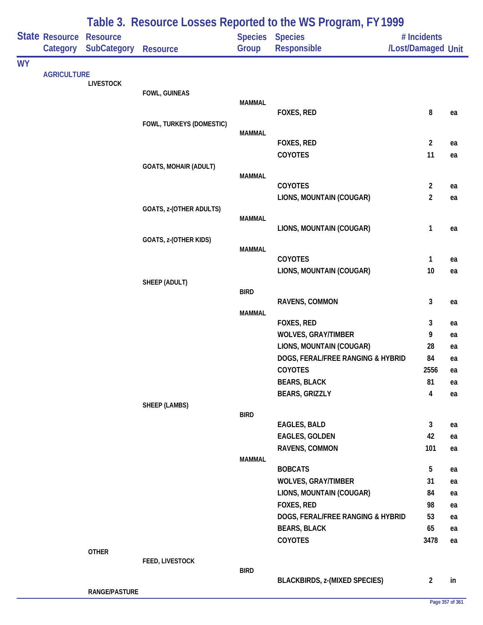|           |                       |                                       |                              |                         | Table 3. Resource Losses Reported to the WS Program, FY 1999 |                         |          |
|-----------|-----------------------|---------------------------------------|------------------------------|-------------------------|--------------------------------------------------------------|-------------------------|----------|
|           | <b>State Resource</b> | <b>Resource</b><br><b>SubCategory</b> |                              | <b>Species</b><br>Group | <b>Species</b>                                               | # Incidents             |          |
|           | Category              |                                       | <b>Resource</b>              |                         | <b>Responsible</b>                                           | /Lost/Damaged Unit      |          |
| <b>WY</b> |                       |                                       |                              |                         |                                                              |                         |          |
|           |                       | <b>LIVESTOCK</b>                      |                              |                         |                                                              |                         |          |
|           |                       |                                       | FOWL, GUINEAS                | <b>MAMMAL</b>           |                                                              |                         |          |
|           |                       |                                       |                              |                         | FOXES, RED                                                   | 8                       | ea       |
|           |                       |                                       | FOWL, TURKEYS (DOMESTIC)     |                         |                                                              |                         |          |
|           |                       |                                       |                              | <b>MAMMAL</b>           |                                                              |                         |          |
|           |                       |                                       |                              |                         | FOXES, RED                                                   | $\overline{2}$          | ea       |
|           |                       |                                       |                              |                         | COYOTES                                                      | 11                      | ea       |
|           |                       |                                       | <b>GOATS, MOHAIR (ADULT)</b> | <b>MAMMAL</b>           |                                                              |                         |          |
|           |                       |                                       |                              |                         | COYOTES                                                      | $\overline{2}$          | ea       |
|           |                       |                                       |                              |                         | LIONS, MOUNTAIN (COUGAR)                                     | $\overline{2}$          | ea       |
|           |                       |                                       | GOATS, z-(OTHER ADULTS)      |                         |                                                              |                         |          |
|           |                       |                                       |                              | <b>MAMMAL</b>           |                                                              |                         |          |
|           |                       |                                       |                              |                         | LIONS, MOUNTAIN (COUGAR)                                     | 1                       | ea       |
|           |                       |                                       | GOATS, z-(OTHER KIDS)        |                         |                                                              |                         |          |
|           |                       |                                       |                              | <b>MAMMAL</b>           | <b>COYOTES</b>                                               | 1                       | ea       |
|           |                       |                                       |                              |                         | LIONS, MOUNTAIN (COUGAR)                                     | 10                      | ea       |
|           |                       |                                       | SHEEP (ADULT)                |                         |                                                              |                         |          |
|           |                       |                                       |                              | <b>BIRD</b>             |                                                              |                         |          |
|           |                       |                                       |                              |                         | RAVENS, COMMON                                               | 3                       | ea       |
|           |                       |                                       |                              | <b>MAMMAL</b>           |                                                              |                         |          |
|           |                       |                                       |                              |                         | FOXES, RED<br><b>WOLVES, GRAY/TIMBER</b>                     | 3                       | ea       |
|           |                       |                                       |                              |                         | LIONS, MOUNTAIN (COUGAR)                                     | 9<br>28                 | ea       |
|           |                       |                                       |                              |                         | DOGS, FERAL/FREE RANGING & HYBRID                            | 84                      | ea<br>ea |
|           |                       |                                       |                              |                         | COYOTES                                                      | 2556                    | ea       |
|           |                       |                                       |                              |                         | <b>BEARS, BLACK</b>                                          | 81                      | ea       |
|           |                       |                                       |                              |                         | <b>BEARS, GRIZZLY</b>                                        | $\overline{\mathbf{4}}$ | ea       |
|           |                       |                                       | <b>SHEEP (LAMBS)</b>         |                         |                                                              |                         |          |
|           |                       |                                       |                              | <b>BIRD</b>             |                                                              |                         |          |
|           |                       |                                       |                              |                         | EAGLES, BALD                                                 | 3                       | ea       |
|           |                       |                                       |                              |                         | <b>EAGLES, GOLDEN</b>                                        | 42                      | ea       |
|           |                       |                                       |                              |                         | RAVENS, COMMON                                               | 101                     | ea       |
|           |                       |                                       |                              | <b>MAMMAL</b>           |                                                              |                         |          |
|           |                       |                                       |                              |                         | <b>BOBCATS</b>                                               | 5                       | ea       |
|           |                       |                                       |                              |                         | <b>WOLVES, GRAY/TIMBER</b><br>LIONS, MOUNTAIN (COUGAR)       | 31<br>84                | ea       |
|           |                       |                                       |                              |                         | FOXES, RED                                                   | 98                      | ea       |
|           |                       |                                       |                              |                         | DOGS, FERAL/FREE RANGING & HYBRID                            | 53                      | ea<br>ea |
|           |                       |                                       |                              |                         | <b>BEARS, BLACK</b>                                          | 65                      | ea       |
|           |                       |                                       |                              |                         | COYOTES                                                      | 3478                    | ea       |
|           | <b>AGRICULTURE</b>    | <b>OTHER</b>                          |                              |                         |                                                              |                         |          |
|           |                       |                                       | FEED, LIVESTOCK              |                         |                                                              |                         |          |
|           |                       |                                       |                              | <b>BIRD</b>             |                                                              |                         |          |
|           |                       |                                       |                              |                         | <b>BLACKBIRDS, z-(MIXED SPECIES)</b>                         | $\overline{2}$          | in       |
|           |                       | RANGE/PASTURE                         |                              |                         |                                                              |                         |          |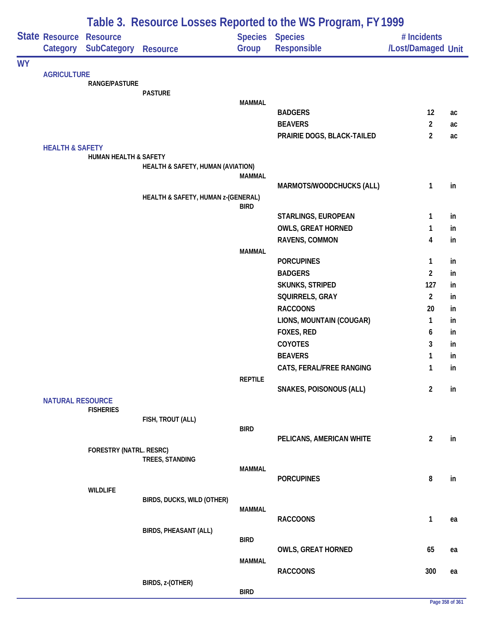|           |                            |                                |                                    |                | Table 3. Resource Losses Reported to the WS Program, FY 1999 |                    |    |
|-----------|----------------------------|--------------------------------|------------------------------------|----------------|--------------------------------------------------------------|--------------------|----|
|           | <b>State Resource</b>      | <b>Resource</b>                |                                    |                | Species Species                                              | # Incidents        |    |
|           | Category                   | SubCategory                    | <b>Resource</b>                    | Group          | Responsible                                                  | /Lost/Damaged Unit |    |
| <b>WY</b> |                            |                                |                                    |                |                                                              |                    |    |
|           | <b>AGRICULTURE</b>         | <b>RANGE/PASTURE</b>           |                                    |                |                                                              |                    |    |
|           |                            |                                | <b>PASTURE</b>                     |                |                                                              |                    |    |
|           |                            |                                |                                    | <b>MAMMAL</b>  |                                                              |                    |    |
|           |                            |                                |                                    |                | <b>BADGERS</b>                                               | 12                 | ac |
|           |                            |                                |                                    |                | <b>BEAVERS</b>                                               | $\overline{2}$     | ac |
|           |                            |                                |                                    |                | PRAIRIE DOGS, BLACK-TAILED                                   | $\overline{2}$     | ac |
|           | <b>HEALTH &amp; SAFETY</b> |                                |                                    |                |                                                              |                    |    |
|           |                            | HUMAN HEALTH & SAFETY          | HEALTH & SAFETY, HUMAN (AVIATION)  |                |                                                              |                    |    |
|           |                            |                                |                                    | <b>MAMMAL</b>  |                                                              |                    |    |
|           |                            |                                |                                    |                | MARMOTS/WOODCHUCKS (ALL)                                     | 1                  | in |
|           |                            |                                | HEALTH & SAFETY, HUMAN z-(GENERAL) |                |                                                              |                    |    |
|           |                            |                                |                                    | <b>BIRD</b>    |                                                              |                    |    |
|           |                            |                                |                                    |                | STARLINGS, EUROPEAN                                          | 1                  | in |
|           |                            |                                |                                    |                | <b>OWLS, GREAT HORNED</b>                                    | 1                  | in |
|           |                            |                                |                                    | <b>MAMMAL</b>  | RAVENS, COMMON                                               | 4                  | in |
|           |                            |                                |                                    |                | <b>PORCUPINES</b>                                            | 1                  | in |
|           |                            |                                |                                    |                | <b>BADGERS</b>                                               | $\overline{2}$     | in |
|           |                            |                                |                                    |                | <b>SKUNKS, STRIPED</b>                                       | 127                | in |
|           |                            |                                |                                    |                | SQUIRRELS, GRAY                                              | $\overline{2}$     | in |
|           |                            |                                |                                    |                | <b>RACCOONS</b>                                              | 20                 | in |
|           |                            |                                |                                    |                | LIONS, MOUNTAIN (COUGAR)                                     | $\mathbf{1}$       | in |
|           |                            |                                |                                    |                | FOXES, RED                                                   | 6                  | in |
|           |                            |                                |                                    |                | COYOTES                                                      | 3                  | in |
|           |                            |                                |                                    |                | <b>BEAVERS</b>                                               | 1                  | in |
|           |                            |                                |                                    |                | CATS, FERAL/FREE RANGING                                     | 1                  | in |
|           |                            |                                |                                    | <b>REPTILE</b> |                                                              |                    |    |
|           |                            |                                |                                    |                | <b>SNAKES, POISONOUS (ALL)</b>                               | $\overline{2}$     | in |
|           | <b>NATURAL RESOURCE</b>    |                                |                                    |                |                                                              |                    |    |
|           |                            | <b>FISHERIES</b>               | FISH, TROUT (ALL)                  |                |                                                              |                    |    |
|           |                            |                                |                                    | <b>BIRD</b>    |                                                              |                    |    |
|           |                            |                                |                                    |                | PELICANS, AMERICAN WHITE                                     | $\overline{2}$     | in |
|           |                            | <b>FORESTRY (NATRL. RESRC)</b> |                                    |                |                                                              |                    |    |
|           |                            |                                | TREES, STANDING                    | <b>MAMMAL</b>  |                                                              |                    |    |
|           |                            |                                |                                    |                | <b>PORCUPINES</b>                                            | 8                  | in |
|           |                            | <b>WILDLIFE</b>                |                                    |                |                                                              |                    |    |
|           |                            |                                | BIRDS, DUCKS, WILD (OTHER)         |                |                                                              |                    |    |
|           |                            |                                |                                    | <b>MAMMAL</b>  |                                                              |                    |    |
|           |                            |                                |                                    |                | <b>RACCOONS</b>                                              | $\mathbf{1}$       | ea |
|           |                            |                                | <b>BIRDS, PHEASANT (ALL)</b>       | <b>BIRD</b>    |                                                              |                    |    |
|           |                            |                                |                                    |                | <b>OWLS, GREAT HORNED</b>                                    | 65                 | ea |
|           |                            |                                |                                    | <b>MAMMAL</b>  |                                                              |                    |    |
|           |                            |                                |                                    |                | <b>RACCOONS</b>                                              | 300                | ea |
|           |                            |                                | BIRDS, z-(OTHER)                   |                |                                                              |                    |    |
|           |                            |                                |                                    | <b>BIRD</b>    |                                                              |                    |    |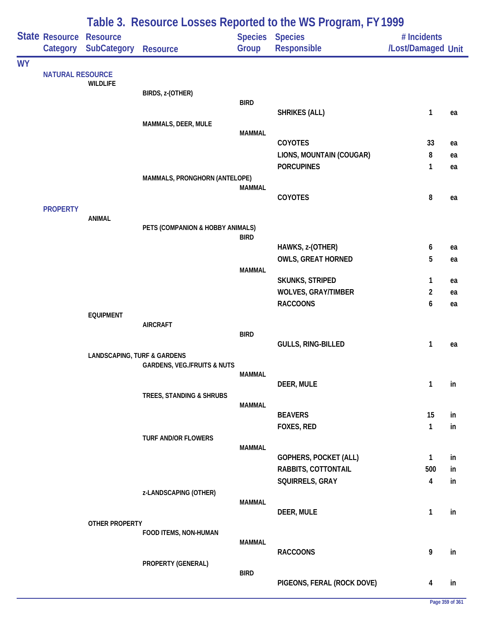|           |                                            |                                        | Table 3. Resource Losses Reported to the WS Program, FY 1999 |               |                                       |                                   |    |  |  |  |  |
|-----------|--------------------------------------------|----------------------------------------|--------------------------------------------------------------|---------------|---------------------------------------|-----------------------------------|----|--|--|--|--|
|           | <b>State Resource Resource</b><br>Category | <b>SubCategory</b>                     | <b>Resource</b>                                              | Group         | <b>Species Species</b><br>Responsible | # Incidents<br>/Lost/Damaged Unit |    |  |  |  |  |
| <b>WY</b> |                                            |                                        |                                                              |               |                                       |                                   |    |  |  |  |  |
|           | <b>NATURAL RESOURCE</b>                    | <b>WILDLIFE</b>                        |                                                              |               |                                       |                                   |    |  |  |  |  |
|           |                                            |                                        | BIRDS, z-(OTHER)                                             |               |                                       |                                   |    |  |  |  |  |
|           |                                            |                                        |                                                              | <b>BIRD</b>   | <b>SHRIKES (ALL)</b>                  | $\mathbf{1}$                      | ea |  |  |  |  |
|           |                                            |                                        | MAMMALS, DEER, MULE                                          |               |                                       |                                   |    |  |  |  |  |
|           |                                            |                                        |                                                              | <b>MAMMAL</b> | <b>COYOTES</b>                        | 33                                | ea |  |  |  |  |
|           |                                            |                                        |                                                              |               | LIONS, MOUNTAIN (COUGAR)              | 8                                 | ea |  |  |  |  |
|           |                                            |                                        |                                                              |               | <b>PORCUPINES</b>                     | 1                                 | ea |  |  |  |  |
|           |                                            |                                        | MAMMALS, PRONGHORN (ANTELOPE)                                |               |                                       |                                   |    |  |  |  |  |
|           |                                            |                                        |                                                              | <b>MAMMAL</b> | COYOTES                               | 8                                 | ea |  |  |  |  |
|           | <b>PROPERTY</b>                            |                                        |                                                              |               |                                       |                                   |    |  |  |  |  |
|           |                                            | <b>ANIMAL</b>                          |                                                              |               |                                       |                                   |    |  |  |  |  |
|           |                                            |                                        | PETS (COMPANION & HOBBY ANIMALS)                             | <b>BIRD</b>   |                                       |                                   |    |  |  |  |  |
|           |                                            |                                        |                                                              |               | HAWKS, z-(OTHER)                      | 6                                 | ea |  |  |  |  |
|           |                                            |                                        |                                                              |               | <b>OWLS, GREAT HORNED</b>             | 5                                 | ea |  |  |  |  |
|           |                                            |                                        |                                                              | <b>MAMMAL</b> | <b>SKUNKS, STRIPED</b>                | 1                                 | ea |  |  |  |  |
|           |                                            |                                        |                                                              |               | <b>WOLVES, GRAY/TIMBER</b>            | 2                                 | ea |  |  |  |  |
|           |                                            |                                        |                                                              |               | <b>RACCOONS</b>                       | 6                                 | ea |  |  |  |  |
|           |                                            | <b>EQUIPMENT</b>                       |                                                              |               |                                       |                                   |    |  |  |  |  |
|           |                                            |                                        | <b>AIRCRAFT</b>                                              | <b>BIRD</b>   |                                       |                                   |    |  |  |  |  |
|           |                                            |                                        |                                                              |               | GULLS, RING-BILLED                    | 1                                 | ea |  |  |  |  |
|           |                                            | <b>LANDSCAPING, TURF &amp; GARDENS</b> | <b>GARDENS, VEG./FRUITS &amp; NUTS</b>                       |               |                                       |                                   |    |  |  |  |  |
|           |                                            |                                        |                                                              | <b>MAMMAL</b> |                                       |                                   |    |  |  |  |  |
|           |                                            |                                        |                                                              |               | DEER, MULE                            | 1                                 | in |  |  |  |  |
|           |                                            |                                        | TREES, STANDING & SHRUBS                                     | <b>MAMMAL</b> |                                       |                                   |    |  |  |  |  |
|           |                                            |                                        |                                                              |               | <b>BEAVERS</b>                        | 15                                | in |  |  |  |  |
|           |                                            |                                        |                                                              |               | FOXES, RED                            | $\mathbf{1}$                      | in |  |  |  |  |
|           |                                            |                                        | TURF AND/OR FLOWERS                                          | <b>MAMMAL</b> |                                       |                                   |    |  |  |  |  |
|           |                                            |                                        |                                                              |               | <b>GOPHERS, POCKET (ALL)</b>          | $\mathbf{1}$                      | in |  |  |  |  |
|           |                                            |                                        |                                                              |               | RABBITS, COTTONTAIL                   | 500                               | in |  |  |  |  |
|           |                                            |                                        |                                                              |               | SQUIRRELS, GRAY                       | 4                                 | in |  |  |  |  |
|           |                                            |                                        | z-LANDSCAPING (OTHER)                                        | MAMMAL        |                                       |                                   |    |  |  |  |  |
|           |                                            |                                        |                                                              |               | DEER, MULE                            | 1                                 | in |  |  |  |  |
|           |                                            | OTHER PROPERTY                         | FOOD ITEMS, NON-HUMAN                                        |               |                                       |                                   |    |  |  |  |  |
|           |                                            |                                        |                                                              | MAMMAL        |                                       |                                   |    |  |  |  |  |
|           |                                            |                                        |                                                              |               | <b>RACCOONS</b>                       | 9                                 | in |  |  |  |  |
|           |                                            |                                        | PROPERTY (GENERAL)                                           | <b>BIRD</b>   |                                       |                                   |    |  |  |  |  |
|           |                                            |                                        |                                                              |               | PIGEONS, FERAL (ROCK DOVE)            | 4                                 | in |  |  |  |  |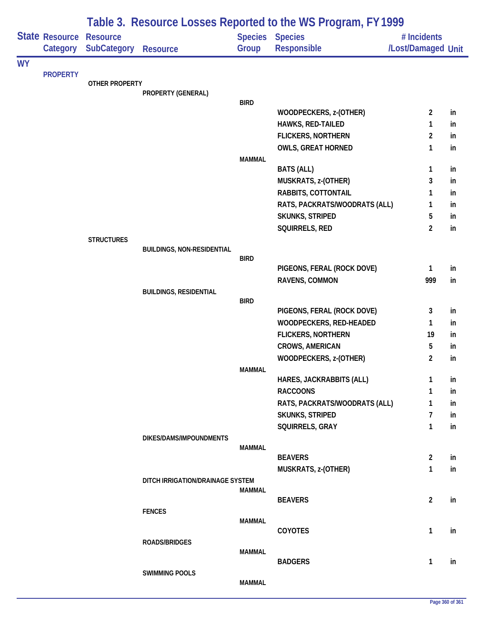|           |                       | Table 3. Resource Losses Reported to the WS Program, FY 1999 |                                   |               |                                                |                     |          |  |  |
|-----------|-----------------------|--------------------------------------------------------------|-----------------------------------|---------------|------------------------------------------------|---------------------|----------|--|--|
|           | <b>State Resource</b> | <b>Resource</b>                                              |                                   |               | <b>Species Species</b>                         | # Incidents         |          |  |  |
|           | Category              | <b>SubCategory</b>                                           | <b>Resource</b>                   | Group         | Responsible                                    | /Lost/Damaged Unit  |          |  |  |
| <b>WY</b> |                       |                                                              |                                   |               |                                                |                     |          |  |  |
|           | <b>PROPERTY</b>       | OTHER PROPERTY                                               |                                   |               |                                                |                     |          |  |  |
|           |                       |                                                              | PROPERTY (GENERAL)                |               |                                                |                     |          |  |  |
|           |                       |                                                              |                                   | <b>BIRD</b>   |                                                |                     |          |  |  |
|           |                       |                                                              |                                   |               | WOODPECKERS, z-(OTHER)                         | $\overline{2}$      | in       |  |  |
|           |                       |                                                              |                                   |               | HAWKS, RED-TAILED<br><b>FLICKERS, NORTHERN</b> | 1<br>$\overline{2}$ | in<br>in |  |  |
|           |                       |                                                              |                                   |               | <b>OWLS, GREAT HORNED</b>                      | 1                   | in       |  |  |
|           |                       |                                                              |                                   | <b>MAMMAL</b> |                                                |                     |          |  |  |
|           |                       |                                                              |                                   |               | <b>BATS (ALL)</b>                              | 1                   | in       |  |  |
|           |                       |                                                              |                                   |               | MUSKRATS, z-(OTHER)                            | 3                   | in       |  |  |
|           |                       |                                                              |                                   |               | RABBITS, COTTONTAIL                            | 1                   | in       |  |  |
|           |                       |                                                              |                                   |               | RATS, PACKRATS/WOODRATS (ALL)                  | 1                   | in       |  |  |
|           |                       |                                                              |                                   |               | <b>SKUNKS, STRIPED</b>                         | 5                   | in       |  |  |
|           |                       |                                                              |                                   |               | SQUIRRELS, RED                                 | $\overline{2}$      | in       |  |  |
|           |                       | <b>STRUCTURES</b>                                            |                                   |               |                                                |                     |          |  |  |
|           |                       |                                                              | <b>BUILDINGS, NON-RESIDENTIAL</b> |               |                                                |                     |          |  |  |
|           |                       |                                                              |                                   | <b>BIRD</b>   | PIGEONS, FERAL (ROCK DOVE)                     | 1                   | in       |  |  |
|           |                       |                                                              |                                   |               | RAVENS, COMMON                                 | 999                 | in       |  |  |
|           |                       |                                                              | <b>BUILDINGS, RESIDENTIAL</b>     |               |                                                |                     |          |  |  |
|           |                       |                                                              |                                   | <b>BIRD</b>   |                                                |                     |          |  |  |
|           |                       |                                                              |                                   |               | PIGEONS, FERAL (ROCK DOVE)                     | 3                   | in       |  |  |
|           |                       |                                                              |                                   |               | WOODPECKERS, RED-HEADED                        | 1                   | in       |  |  |
|           |                       |                                                              |                                   |               | <b>FLICKERS, NORTHERN</b>                      | 19                  | in       |  |  |
|           |                       |                                                              |                                   |               | CROWS, AMERICAN                                | 5                   | in       |  |  |
|           |                       |                                                              |                                   |               | WOODPECKERS, z-(OTHER)                         | $\overline{2}$      | in       |  |  |
|           |                       |                                                              |                                   | <b>MAMMAL</b> |                                                |                     |          |  |  |
|           |                       |                                                              |                                   |               | HARES, JACKRABBITS (ALL)                       | 1                   | in       |  |  |
|           |                       |                                                              |                                   |               | <b>RACCOONS</b>                                | 1                   | in       |  |  |
|           |                       |                                                              |                                   |               | RATS, PACKRATS/WOODRATS (ALL)                  | 1                   | in       |  |  |
|           |                       |                                                              |                                   |               | SKUNKS, STRIPED                                | 7                   | in       |  |  |
|           |                       |                                                              |                                   |               | SQUIRRELS, GRAY                                | 1                   | in       |  |  |
|           |                       |                                                              | DIKES/DAMS/IMPOUNDMENTS           | MAMMAL        |                                                |                     |          |  |  |
|           |                       |                                                              |                                   |               | <b>BEAVERS</b>                                 | $\overline{2}$      | in       |  |  |
|           |                       |                                                              |                                   |               | MUSKRATS, z-(OTHER)                            | 1                   | in       |  |  |
|           |                       |                                                              | DITCH IRRIGATION/DRAINAGE SYSTEM  |               |                                                |                     |          |  |  |
|           |                       |                                                              |                                   | <b>MAMMAL</b> |                                                |                     |          |  |  |
|           |                       |                                                              |                                   |               | <b>BEAVERS</b>                                 | $\overline{2}$      | in       |  |  |
|           |                       |                                                              | <b>FENCES</b>                     | <b>MAMMAL</b> |                                                |                     |          |  |  |
|           |                       |                                                              |                                   |               | <b>COYOTES</b>                                 | 1                   | in       |  |  |
|           |                       |                                                              | ROADS/BRIDGES                     |               |                                                |                     |          |  |  |
|           |                       |                                                              |                                   | <b>MAMMAL</b> |                                                |                     |          |  |  |
|           |                       |                                                              |                                   |               | <b>BADGERS</b>                                 | 1                   | in       |  |  |
|           |                       |                                                              | <b>SWIMMING POOLS</b>             |               |                                                |                     |          |  |  |
|           |                       |                                                              |                                   | <b>MAMMAL</b> |                                                |                     |          |  |  |